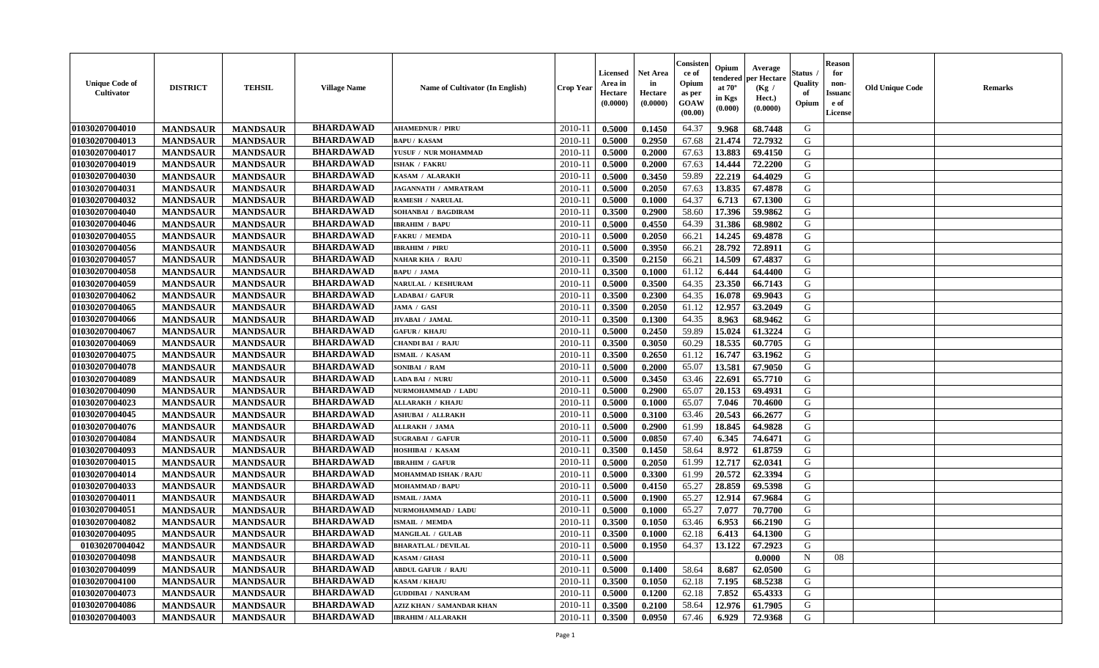| <b>Unique Code of</b><br><b>Cultivator</b> | <b>DISTRICT</b> | <b>TEHSIL</b>   | <b>Village Name</b> | <b>Name of Cultivator (In English)</b> | <b>Crop Year</b> | <b>Licensed</b><br>Area in<br>Hectare<br>(0.0000) | <b>Net Area</b><br>in<br>Hectare<br>(0.0000) | Consister<br>ce of<br>Opium<br>as per<br><b>GOAW</b><br>(00.00) | Opium<br>endered<br>at $70^\circ$<br>in Kgs<br>$(\mathbf{0.000})$ | Average<br>per Hectare<br>(Kg /<br>Hect.)<br>(0.0000) | Status<br>Quality<br>of<br>Opium | Reason<br>for<br>non-<br>Issuan<br>e of<br>License | <b>Old Unique Code</b> | <b>Remarks</b> |
|--------------------------------------------|-----------------|-----------------|---------------------|----------------------------------------|------------------|---------------------------------------------------|----------------------------------------------|-----------------------------------------------------------------|-------------------------------------------------------------------|-------------------------------------------------------|----------------------------------|----------------------------------------------------|------------------------|----------------|
| 01030207004010                             | <b>MANDSAUR</b> | <b>MANDSAUR</b> | <b>BHARDAWAD</b>    | <b>AHAMEDNUR / PIRU</b>                | 2010-11          | 0.5000                                            | 0.1450                                       | 64.37                                                           | 9.968                                                             | 68.7448                                               | G                                |                                                    |                        |                |
| 01030207004013                             | <b>MANDSAUR</b> | <b>MANDSAUR</b> | <b>BHARDAWAD</b>    | <b>BAPU/KASAM</b>                      | $2010 - 11$      | 0.5000                                            | 0.2950                                       | 67.68                                                           | 21.474                                                            | 72.7932                                               | G                                |                                                    |                        |                |
| 01030207004017                             | <b>MANDSAUR</b> | <b>MANDSAUR</b> | <b>BHARDAWAD</b>    | YUSUF / NUR MOHAMMAD                   | 2010-11          | 0.5000                                            | 0.2000                                       | 67.63                                                           | 13.883                                                            | 69.4150                                               | G                                |                                                    |                        |                |
| 01030207004019                             | <b>MANDSAUR</b> | <b>MANDSAUR</b> | <b>BHARDAWAD</b>    | <b>ISHAK / FAKRU</b>                   | 2010-11          | 0.5000                                            | 0.2000                                       | 67.63                                                           | 14.444                                                            | 72.2200                                               | G                                |                                                    |                        |                |
| 01030207004030                             | <b>MANDSAUR</b> | <b>MANDSAUR</b> | <b>BHARDAWAD</b>    | KASAM / ALARAKH                        | $2010 - 11$      | 0.5000                                            | 0.3450                                       | 59.89                                                           | 22.219                                                            | 64.4029                                               | G                                |                                                    |                        |                |
| 01030207004031                             | <b>MANDSAUR</b> | <b>MANDSAUR</b> | <b>BHARDAWAD</b>    | JAGANNATH / AMRATRAM                   | 2010-11          | 0.5000                                            | 0.2050                                       | 67.63                                                           | 13.835                                                            | 67.4878                                               | G                                |                                                    |                        |                |
| 01030207004032                             | <b>MANDSAUR</b> | <b>MANDSAUR</b> | <b>BHARDAWAD</b>    | <b>RAMESH / NARULAL</b>                | 2010-11          | 0.5000                                            | 0.1000                                       | 64.37                                                           | 6.713                                                             | 67.1300                                               | G                                |                                                    |                        |                |
| 01030207004040                             | <b>MANDSAUR</b> | <b>MANDSAUR</b> | <b>BHARDAWAD</b>    | SOHANBAI / BAGDIRAM                    | $2010 - 1$       | 0.3500                                            | 0.2900                                       | 58.60                                                           | 17.396                                                            | 59.9862                                               | G                                |                                                    |                        |                |
| 01030207004046                             | <b>MANDSAUR</b> | <b>MANDSAUR</b> | <b>BHARDAWAD</b>    | <b>IBRAHIM / BAPU</b>                  | 2010-11          | 0.5000                                            | 0.4550                                       | 64.39                                                           | 31.386                                                            | 68.9802                                               | G                                |                                                    |                        |                |
| 01030207004055                             | <b>MANDSAUR</b> | <b>MANDSAUR</b> | <b>BHARDAWAD</b>    | <b>FAKRU / MEMDA</b>                   | 2010-11          | 0.5000                                            | 0.2050                                       | 66.21                                                           | 14.245                                                            | 69.4878                                               | G                                |                                                    |                        |                |
| 01030207004056                             | <b>MANDSAUR</b> | <b>MANDSAUR</b> | <b>BHARDAWAD</b>    | <b>IBRAHIM / PIRU</b>                  | $2010 - 11$      | 0.5000                                            | 0.3950                                       | 66.21                                                           | 28.792                                                            | 72.8911                                               | G                                |                                                    |                        |                |
| 01030207004057                             | <b>MANDSAUR</b> | <b>MANDSAUR</b> | <b>BHARDAWAD</b>    | <b>NAHAR KHA / RAJU</b>                | 2010-11          | 0.3500                                            | 0.2150                                       | 66.21                                                           | 14.509                                                            | 67.4837                                               | G                                |                                                    |                        |                |
| 01030207004058                             | <b>MANDSAUR</b> | <b>MANDSAUR</b> | <b>BHARDAWAD</b>    | <b>BAPU / JAMA</b>                     | $2010 - 11$      | 0.3500                                            | 0.1000                                       | 61.12                                                           | 6.444                                                             | 64.4400                                               | G                                |                                                    |                        |                |
| 01030207004059                             | <b>MANDSAUR</b> | <b>MANDSAUR</b> | <b>BHARDAWAD</b>    | NARULAL / KESHURAM                     | $2010 - 11$      | 0.5000                                            | 0.3500                                       | 64.35                                                           | 23.350                                                            | 66.7143                                               | G                                |                                                    |                        |                |
| 01030207004062                             | <b>MANDSAUR</b> | <b>MANDSAUR</b> | <b>BHARDAWAD</b>    | LADABAI / GAFUR                        | 2010-11          | 0.3500                                            | 0.2300                                       | 64.35                                                           | 16.078                                                            | 69.9043                                               | G                                |                                                    |                        |                |
| 01030207004065                             | <b>MANDSAUR</b> | <b>MANDSAUR</b> | <b>BHARDAWAD</b>    | JAMA / GASI                            | 2010-11          | 0.3500                                            | 0.2050                                       | 61.12                                                           | 12.957                                                            | 63.2049                                               | G                                |                                                    |                        |                |
| 01030207004066                             | <b>MANDSAUR</b> | <b>MANDSAUR</b> | <b>BHARDAWAD</b>    | JIVABAI / JAMAL                        | 2010-11          | 0.3500                                            | 0.1300                                       | 64.35                                                           | 8.963                                                             | 68.9462                                               | G                                |                                                    |                        |                |
| 01030207004067                             | <b>MANDSAUR</b> | <b>MANDSAUR</b> | <b>BHARDAWAD</b>    | <b>GAFUR / KHAJU</b>                   | 2010-11          | 0.5000                                            | 0.2450                                       | 59.89                                                           | 15.024                                                            | 61.3224                                               | G                                |                                                    |                        |                |
| 01030207004069                             | <b>MANDSAUR</b> | <b>MANDSAUR</b> | <b>BHARDAWAD</b>    | <b>CHANDI BAI / RAJU</b>               | $2010 - 11$      | 0.3500                                            | 0.3050                                       | 60.29                                                           | 18.535                                                            | 60.7705                                               | G                                |                                                    |                        |                |
| 01030207004075                             | <b>MANDSAUR</b> | <b>MANDSAUR</b> | <b>BHARDAWAD</b>    | ISMAIL / KASAM                         | 2010-11          | 0.3500                                            | 0.2650                                       | 61.12                                                           | 16.747                                                            | 63.1962                                               | G                                |                                                    |                        |                |
| 01030207004078                             | <b>MANDSAUR</b> | <b>MANDSAUR</b> | <b>BHARDAWAD</b>    | <b>SONIBAI / RAM</b>                   | 2010-11          | 0.5000                                            | 0.2000                                       | 65.07                                                           | 13.581                                                            | 67.9050                                               | G                                |                                                    |                        |                |
| 01030207004089                             | <b>MANDSAUR</b> | <b>MANDSAUR</b> | <b>BHARDAWAD</b>    | LADA BAI / NURU                        | $2010 - 11$      | 0.5000                                            | 0.3450                                       | 63.46                                                           | 22.691                                                            | 65.7710                                               | G                                |                                                    |                        |                |
| 01030207004090                             | <b>MANDSAUR</b> | <b>MANDSAUR</b> | <b>BHARDAWAD</b>    | NURMOHAMMAD / LADU                     | 2010-11          | 0.5000                                            | 0.2900                                       | 65.07                                                           | 20.153                                                            | 69.4931                                               | G                                |                                                    |                        |                |
| 01030207004023                             | <b>MANDSAUR</b> | <b>MANDSAUR</b> | <b>BHARDAWAD</b>    | <b>ALLARAKH / KHAJU</b>                | $2010 - 11$      | 0.5000                                            | 0.1000                                       | 65.07                                                           | 7.046                                                             | 70.4600                                               | G                                |                                                    |                        |                |
| 01030207004045                             | <b>MANDSAUR</b> | <b>MANDSAUR</b> | <b>BHARDAWAD</b>    | <b>ASHUBAI / ALLRAKH</b>               | $2010 - 11$      | 0.5000                                            | 0.3100                                       | 63.46                                                           | 20.543                                                            | 66.2677                                               | G                                |                                                    |                        |                |
| 01030207004076                             | <b>MANDSAUR</b> | <b>MANDSAUR</b> | <b>BHARDAWAD</b>    | ALLRAKH / JAMA                         | $2010 - 11$      | 0.5000                                            | 0.2900                                       | 61.99                                                           | 18.845                                                            | 64.9828                                               | G                                |                                                    |                        |                |
| 01030207004084                             | <b>MANDSAUR</b> | <b>MANDSAUR</b> | <b>BHARDAWAD</b>    | <b>SUGRABAI / GAFUR</b>                | 2010-11          | 0.5000                                            | 0.0850                                       | 67.40                                                           | 6.345                                                             | 74.6471                                               | G                                |                                                    |                        |                |
| 01030207004093                             | <b>MANDSAUR</b> | <b>MANDSAUR</b> | <b>BHARDAWAD</b>    | HOSHIBAI / KASAM                       | 2010-11          | 0.3500                                            | 0.1450                                       | 58.64                                                           | 8.972                                                             | 61.8759                                               | G                                |                                                    |                        |                |
| 01030207004015                             | <b>MANDSAUR</b> | <b>MANDSAUR</b> | <b>BHARDAWAD</b>    | <b>IBRAHIM / GAFUR</b>                 | 2010-11          | 0.5000                                            | 0.2050                                       | 61.99                                                           | 12.717                                                            | 62.0341                                               | G                                |                                                    |                        |                |
| 01030207004014                             | <b>MANDSAUR</b> | <b>MANDSAUR</b> | <b>BHARDAWAD</b>    | <b>MOHAMMAD ISHAK / RAJU</b>           | 2010-11          | 0.5000                                            | 0.3300                                       | 61.99                                                           | 20.572                                                            | 62.3394                                               | G                                |                                                    |                        |                |
| 01030207004033                             | <b>MANDSAUR</b> | <b>MANDSAUR</b> | <b>BHARDAWAD</b>    | <b>MOHAMMAD / BAPU</b>                 | 2010-11          | 0.5000                                            | 0.4150                                       | 65.27                                                           | 28.859                                                            | 69.5398                                               | G                                |                                                    |                        |                |
| 01030207004011                             | <b>MANDSAUR</b> | <b>MANDSAUR</b> | <b>BHARDAWAD</b>    | <b>ISMAIL / JAMA</b>                   | $2010 - 11$      | 0.5000                                            | 0.1900                                       | 65.27                                                           | 12.914                                                            | 67.9684                                               | G                                |                                                    |                        |                |
| 01030207004051                             | <b>MANDSAUR</b> | <b>MANDSAUR</b> | <b>BHARDAWAD</b>    | NURMOHAMMAD / LADU                     | 2010-11          | 0.5000                                            | 0.1000                                       | 65.27                                                           | 7.077                                                             | 70.7700                                               | G                                |                                                    |                        |                |
| 01030207004082                             | <b>MANDSAUR</b> | <b>MANDSAUR</b> | <b>BHARDAWAD</b>    | <b>ISMAIL / MEMDA</b>                  | 2010-11          | 0.3500                                            | 0.1050                                       | 63.46                                                           | 6.953                                                             | 66.2190                                               | G                                |                                                    |                        |                |
| 01030207004095                             | <b>MANDSAUR</b> | <b>MANDSAUR</b> | <b>BHARDAWAD</b>    | <b>MANGILAL / GULAB</b>                | 2010-11          | 0.3500                                            | 0.1000                                       | 62.18                                                           | 6.413                                                             | 64.1300                                               | G                                |                                                    |                        |                |
| 01030207004042                             | <b>MANDSAUR</b> | <b>MANDSAUR</b> | <b>BHARDAWAD</b>    | <b>BHARATLAL / DEVILAL</b>             | $2010-11$ 0.5000 |                                                   | 0.1950                                       |                                                                 | 64.37   13.122                                                    | 67.2923                                               | G                                |                                                    |                        |                |
| 01030207004098                             | <b>MANDSAUR</b> | <b>MANDSAUR</b> | <b>BHARDAWAD</b>    | <b>KASAM / GHASI</b>                   | 2010-11          | 0.5000                                            |                                              |                                                                 |                                                                   | 0.0000                                                | $\mathbf N$                      | 08                                                 |                        |                |
| 01030207004099                             | <b>MANDSAUR</b> | <b>MANDSAUR</b> | <b>BHARDAWAD</b>    | <b>ABDUL GAFUR / RAJU</b>              | 2010-11          | 0.5000                                            | 0.1400                                       | 58.64                                                           | 8.687                                                             | 62.0500                                               | G                                |                                                    |                        |                |
| 01030207004100                             | <b>MANDSAUR</b> | <b>MANDSAUR</b> | <b>BHARDAWAD</b>    | <b>KASAM / KHAJU</b>                   | 2010-11          | 0.3500                                            | 0.1050                                       | 62.18                                                           | 7.195                                                             | 68.5238                                               | G                                |                                                    |                        |                |
| 01030207004073                             | <b>MANDSAUR</b> | <b>MANDSAUR</b> | <b>BHARDAWAD</b>    | <b>GUDDIBAI / NANURAM</b>              | 2010-11          | 0.5000                                            | 0.1200                                       | 62.18                                                           | 7.852                                                             | 65.4333                                               | G                                |                                                    |                        |                |
| 01030207004086                             | <b>MANDSAUR</b> | <b>MANDSAUR</b> | <b>BHARDAWAD</b>    | <b>AZIZ KHAN / SAMANDAR KHAN</b>       | 2010-11          | 0.3500                                            | 0.2100                                       | 58.64                                                           | 12.976                                                            | 61.7905                                               | G                                |                                                    |                        |                |
| 01030207004003                             | <b>MANDSAUR</b> | <b>MANDSAUR</b> | <b>BHARDAWAD</b>    | <b>IBRAHIM / ALLARAKH</b>              | 2010-11          | 0.3500                                            | 0.0950                                       | 67.46                                                           | 6.929                                                             | 72.9368                                               | G                                |                                                    |                        |                |
|                                            |                 |                 |                     |                                        |                  |                                                   |                                              |                                                                 |                                                                   |                                                       |                                  |                                                    |                        |                |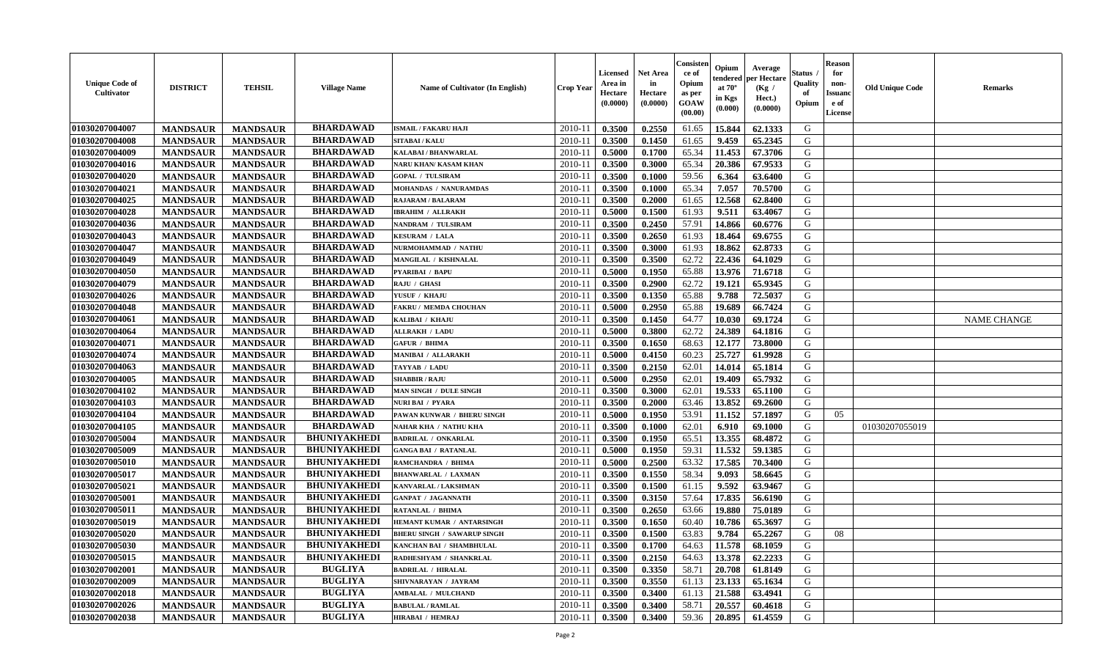| <b>Unique Code of</b><br><b>Cultivator</b> | <b>DISTRICT</b> | <b>TEHSIL</b>   | <b>Village Name</b> | <b>Name of Cultivator (In English)</b> | <b>Crop Year</b> | <b>Licensed</b><br>Area in<br>Hectare<br>(0.0000) | Net Area<br>in<br>Hectare<br>(0.0000) | Consisteı<br>ce of<br>Opium<br>as per<br>GOAW<br>(00.00) | Opium<br>endered<br>at $70^\circ$<br>in Kgs<br>(0.000) | Average<br>per Hectare<br>(Kg /<br>Hect.)<br>(0.0000) | Status<br>Quality<br>of<br>Opium | <b>Reason</b><br>for<br>non-<br><b>Issuand</b><br>e of<br>License | <b>Old Unique Code</b> | Remarks            |
|--------------------------------------------|-----------------|-----------------|---------------------|----------------------------------------|------------------|---------------------------------------------------|---------------------------------------|----------------------------------------------------------|--------------------------------------------------------|-------------------------------------------------------|----------------------------------|-------------------------------------------------------------------|------------------------|--------------------|
| 01030207004007                             | <b>MANDSAUR</b> | <b>MANDSAUR</b> | <b>BHARDAWAD</b>    | <b>ISMAIL / FAKARU HAJI</b>            | 2010-11          | 0.3500                                            | 0.2550                                | 61.65                                                    | 15.844                                                 | 62.1333                                               | G                                |                                                                   |                        |                    |
| 01030207004008                             | <b>MANDSAUR</b> | <b>MANDSAUR</b> | <b>BHARDAWAD</b>    | <b>SITABAI/KALU</b>                    | 2010-11          | 0.3500                                            | 0.1450                                | 61.65                                                    | 9.459                                                  | 65.2345                                               | G                                |                                                                   |                        |                    |
| 01030207004009                             | <b>MANDSAUR</b> | <b>MANDSAUR</b> | <b>BHARDAWAD</b>    | <b>KALABAI/BHANWARLAL</b>              | 2010-11          | 0.5000                                            | 0.1700                                | 65.34                                                    | 11.453                                                 | 67.3706                                               | G                                |                                                                   |                        |                    |
| 01030207004016                             | <b>MANDSAUR</b> | <b>MANDSAUR</b> | <b>BHARDAWAD</b>    | NARU KHAN/ KASAM KHAN                  | 2010-11          | 0.3500                                            | 0.3000                                | 65.34                                                    | 20.386                                                 | 67.9533                                               | G                                |                                                                   |                        |                    |
| 01030207004020                             | <b>MANDSAUR</b> | <b>MANDSAUR</b> | <b>BHARDAWAD</b>    | <b>GOPAL / TULSIRAM</b>                | 2010-11          | 0.3500                                            | 0.1000                                | 59.56                                                    | 6.364                                                  | 63.6400                                               | G                                |                                                                   |                        |                    |
| 01030207004021                             | <b>MANDSAUR</b> | <b>MANDSAUR</b> | <b>BHARDAWAD</b>    | MOHANDAS / NANURAMDAS                  | 2010-11          | 0.3500                                            | 0.1000                                | 65.34                                                    | 7.057                                                  | 70.5700                                               | G                                |                                                                   |                        |                    |
| 01030207004025                             | <b>MANDSAUR</b> | <b>MANDSAUR</b> | <b>BHARDAWAD</b>    | RAJARAM / BALARAM                      | $2010 - 11$      | 0.3500                                            | 0.2000                                | 61.65                                                    | 12.568                                                 | 62.8400                                               | G                                |                                                                   |                        |                    |
| 01030207004028                             | <b>MANDSAUR</b> | <b>MANDSAUR</b> | <b>BHARDAWAD</b>    | <b>IBRAHIM / ALLRAKH</b>               | 2010-11          | 0.5000                                            | 0.1500                                | 61.93                                                    | 9.511                                                  | 63.4067                                               | G                                |                                                                   |                        |                    |
| 01030207004036                             | <b>MANDSAUR</b> | <b>MANDSAUR</b> | <b>BHARDAWAD</b>    | NANDRAM / TULSIRAM                     | 2010-11          | 0.3500                                            | 0.2450                                | 57.91                                                    | 14.866                                                 | 60.6776                                               | G                                |                                                                   |                        |                    |
| 01030207004043                             | <b>MANDSAUR</b> | <b>MANDSAUR</b> | <b>BHARDAWAD</b>    | <b>KESURAM / LALA</b>                  | 2010-11          | 0.3500                                            | 0.2650                                | 61.93                                                    | 18.464                                                 | 69.6755                                               | G                                |                                                                   |                        |                    |
| 01030207004047                             | <b>MANDSAUR</b> | <b>MANDSAUR</b> | <b>BHARDAWAD</b>    | NURMOHAMMAD / NATHU                    | 2010-11          | 0.3500                                            | 0.3000                                | 61.93                                                    | 18.862                                                 | 62.8733                                               | G                                |                                                                   |                        |                    |
| 01030207004049                             | <b>MANDSAUR</b> | <b>MANDSAUR</b> | <b>BHARDAWAD</b>    | MANGILAL / KISHNALAL                   | 2010-11          | 0.3500                                            | 0.3500                                | 62.72                                                    | 22.436                                                 | 64.1029                                               | G                                |                                                                   |                        |                    |
| 01030207004050                             | <b>MANDSAUR</b> | <b>MANDSAUR</b> | <b>BHARDAWAD</b>    | <b>PYARIBAI / BAPU</b>                 | 2010-11          | 0.5000                                            | 0.1950                                | 65.88                                                    | 13.976                                                 | 71.6718                                               | G                                |                                                                   |                        |                    |
| 01030207004079                             | <b>MANDSAUR</b> | <b>MANDSAUR</b> | <b>BHARDAWAD</b>    | RAJU / GHASI                           | 2010-11          | 0.3500                                            | 0.2900                                | 62.72                                                    | 19.121                                                 | 65.9345                                               | G                                |                                                                   |                        |                    |
| 01030207004026                             | <b>MANDSAUR</b> | <b>MANDSAUR</b> | <b>BHARDAWAD</b>    | YUSUF / KHAJU                          | $2010 - 11$      | 0.3500                                            | 0.1350                                | 65.88                                                    | 9.788                                                  | 72.5037                                               | $\mathbf G$                      |                                                                   |                        |                    |
| 01030207004048                             | <b>MANDSAUR</b> | <b>MANDSAUR</b> | <b>BHARDAWAD</b>    | <b>FAKRU/ MEMDA CHOUHAN</b>            | 2010-11          | 0.5000                                            | 0.2950                                | 65.88                                                    | 19.689                                                 | 66.7424                                               | G                                |                                                                   |                        |                    |
| 01030207004061                             | <b>MANDSAUR</b> | <b>MANDSAUR</b> | <b>BHARDAWAD</b>    | KALIBAI / KHAJU                        | 2010-11          | 0.3500                                            | 0.1450                                | 64.77                                                    | 10.030                                                 | 69.1724                                               | G                                |                                                                   |                        | <b>NAME CHANGE</b> |
| 01030207004064                             | <b>MANDSAUR</b> | <b>MANDSAUR</b> | <b>BHARDAWAD</b>    | <b>ALLRAKH / LADU</b>                  | 2010-11          | 0.5000                                            | 0.3800                                | 62.72                                                    | 24.389                                                 | 64.1816                                               | G                                |                                                                   |                        |                    |
| 01030207004071                             | <b>MANDSAUR</b> | <b>MANDSAUR</b> | <b>BHARDAWAD</b>    | <b>GAFUR / BHIMA</b>                   | 2010-11          | 0.3500                                            | 0.1650                                | 68.63                                                    | 12.177                                                 | 73.8000                                               | G                                |                                                                   |                        |                    |
| 01030207004074                             | <b>MANDSAUR</b> | <b>MANDSAUR</b> | <b>BHARDAWAD</b>    | <b>MANIBAI / ALLARAKH</b>              | 2010-11          | 0.5000                                            | 0.4150                                | 60.23                                                    | 25,727                                                 | 61.9928                                               | G                                |                                                                   |                        |                    |
| 01030207004063                             | <b>MANDSAUR</b> | <b>MANDSAUR</b> | <b>BHARDAWAD</b>    | TAYYAB / LADU                          | 2010-11          | 0.3500                                            | 0.2150                                | 62.01                                                    | 14.014                                                 | 65.1814                                               | G                                |                                                                   |                        |                    |
| 01030207004005                             | <b>MANDSAUR</b> | <b>MANDSAUR</b> | <b>BHARDAWAD</b>    | <b>SHABBIR / RAJU</b>                  | 2010-11          | 0.5000                                            | 0.2950                                | 62.01                                                    | 19.409                                                 | 65.7932                                               | G                                |                                                                   |                        |                    |
| 01030207004102                             | <b>MANDSAUR</b> | <b>MANDSAUR</b> | <b>BHARDAWAD</b>    | <b>MAN SINGH / DULE SINGH</b>          | 2010-11          | 0.3500                                            | 0.3000                                | 62.01                                                    | 19.533                                                 | 65.1100                                               | G                                |                                                                   |                        |                    |
| 01030207004103                             | <b>MANDSAUR</b> | <b>MANDSAUR</b> | <b>BHARDAWAD</b>    | NURI BAI / PYARA                       | 2010-11          | 0.3500                                            | 0.2000                                | 63.46                                                    | 13.852                                                 | 69.2600                                               | G                                |                                                                   |                        |                    |
| 01030207004104                             | <b>MANDSAUR</b> | <b>MANDSAUR</b> | <b>BHARDAWAD</b>    | PAWAN KUNWAR / BHERU SINGH             | 2010-11          | 0.5000                                            | 0.1950                                | 53.91                                                    | 11.152                                                 | 57.1897                                               | G                                | 05                                                                |                        |                    |
| 01030207004105                             | <b>MANDSAUR</b> | <b>MANDSAUR</b> | <b>BHARDAWAD</b>    | NAHAR KHA / NATHU KHA                  | 2010-11          | 0.3500                                            | 0.1000                                | 62.01                                                    | 6.910                                                  | 69.1000                                               | G                                |                                                                   | 01030207055019         |                    |
| 01030207005004                             | <b>MANDSAUR</b> | <b>MANDSAUR</b> | <b>BHUNIYAKHEDI</b> | <b>BADRILAL / ONKARLAL</b>             | 2010-11          | 0.3500                                            | 0.1950                                | 65.51                                                    | 13.355                                                 | 68.4872                                               | G                                |                                                                   |                        |                    |
| 01030207005009                             | <b>MANDSAUR</b> | <b>MANDSAUR</b> | <b>BHUNIYAKHEDI</b> | <b>GANGA BAI / RATANLAL</b>            | 2010-11          | 0.5000                                            | 0.1950                                | 59.31                                                    | 11.532                                                 | 59.1385                                               | G                                |                                                                   |                        |                    |
| 01030207005010                             | <b>MANDSAUR</b> | <b>MANDSAUR</b> | <b>BHUNIYAKHEDI</b> | RAMCHANDRA / BHIMA                     | 2010-11          | 0.5000                                            | 0.2500                                | 63.32                                                    | 17.585                                                 | 70.3400                                               | G                                |                                                                   |                        |                    |
| 01030207005017                             | <b>MANDSAUR</b> | <b>MANDSAUR</b> | <b>BHUNIYAKHEDI</b> | <b>BHANWARLAL / LAXMAN</b>             | 2010-11          | 0.3500                                            | 0.1550                                | 58.34                                                    | 9.093                                                  | 58.6645                                               | G                                |                                                                   |                        |                    |
| 01030207005021                             | <b>MANDSAUR</b> | <b>MANDSAUR</b> | <b>BHUNIYAKHEDI</b> | KANVARLAL / LAKSHMAN                   | 2010-11          | 0.3500                                            | 0.1500                                | 61.15                                                    | 9.592                                                  | 63.9467                                               | G                                |                                                                   |                        |                    |
| 01030207005001                             | <b>MANDSAUR</b> | <b>MANDSAUR</b> | <b>BHUNIYAKHEDI</b> | <b>GANPAT / JAGANNATH</b>              | 2010-11          | 0.3500                                            | 0.3150                                | 57.64                                                    | 17.835                                                 | 56.6190                                               | G                                |                                                                   |                        |                    |
| 01030207005011                             | <b>MANDSAUR</b> | <b>MANDSAUR</b> | <b>BHUNIYAKHEDI</b> | RATANLAL / BHIMA                       | 2010-11          | 0.3500                                            | 0.2650                                | 63.66                                                    | 19.880                                                 | 75.0189                                               | G                                |                                                                   |                        |                    |
| 01030207005019                             | <b>MANDSAUR</b> | <b>MANDSAUR</b> | <b>BHUNIYAKHEDI</b> | HEMANT KUMAR / ANTARSINGH              | 2010-11          | 0.3500                                            | 0.1650                                | 60.40                                                    | 10.786                                                 | 65.3697                                               | G                                |                                                                   |                        |                    |
| 01030207005020                             | <b>MANDSAUR</b> | <b>MANDSAUR</b> | <b>BHUNIYAKHEDI</b> | <b>BHERU SINGH / SAWARUP SINGH</b>     | 2010-11          | 0.3500                                            | 0.1500                                | 63.83                                                    | 9.784                                                  | 65.2267                                               | G                                | 08                                                                |                        |                    |
| 01030207005030                             | <b>MANDSAUR</b> | <b>MANDSAUR</b> | <b>BHUNIYAKHEDI</b> | KANCHAN BAI / SHAMBHULAL               | 2010-11          | 0.3500                                            | 0.1700                                | 64.63                                                    | 11.578                                                 | 68.1059                                               | G                                |                                                                   |                        |                    |
| 01030207005015                             | <b>MANDSAUR</b> | <b>MANDSAUR</b> | <b>BHUNIYAKHEDI</b> | RADHESHYAM / SHANKRLAL                 | 2010-11          | 0.3500                                            | 0.2150                                | 64.63                                                    | 13.378                                                 | 62.2233                                               | G                                |                                                                   |                        |                    |
| 01030207002001                             | <b>MANDSAUR</b> | <b>MANDSAUR</b> | <b>BUGLIYA</b>      | <b>BADRILAL / HIRALAL</b>              | 2010-11          | 0.3500                                            | 0.3350                                | 58.71                                                    | 20.708                                                 | 61.8149                                               | G                                |                                                                   |                        |                    |
| 01030207002009                             | <b>MANDSAUR</b> | <b>MANDSAUR</b> | <b>BUGLIYA</b>      | SHIVNARAYAN / JAYRAM                   | 2010-11          | 0.3500                                            | 0.3550                                | 61.13                                                    | 23.133                                                 | 65.1634                                               | G                                |                                                                   |                        |                    |
| 01030207002018                             | <b>MANDSAUR</b> | <b>MANDSAUR</b> | <b>BUGLIYA</b>      | <b>AMBALAL / MULCHAND</b>              | $2010 - 11$      | 0.3500                                            | 0.3400                                | 61.13                                                    | 21.588                                                 | 63.4941                                               | ${\bf G}$                        |                                                                   |                        |                    |
| 01030207002026                             | <b>MANDSAUR</b> | <b>MANDSAUR</b> | <b>BUGLIYA</b>      | <b>BABULAL / RAMLAL</b>                | 2010-11          | 0.3500                                            | 0.3400                                | 58.71                                                    | 20.557                                                 | 60.4618                                               | G                                |                                                                   |                        |                    |
| 01030207002038                             | <b>MANDSAUR</b> | <b>MANDSAUR</b> | <b>BUGLIYA</b>      | <b>HIRABAI / HEMRAJ</b>                | 2010-11          | 0.3500                                            | 0.3400                                | 59.36                                                    | 20.895                                                 | 61.4559                                               | G                                |                                                                   |                        |                    |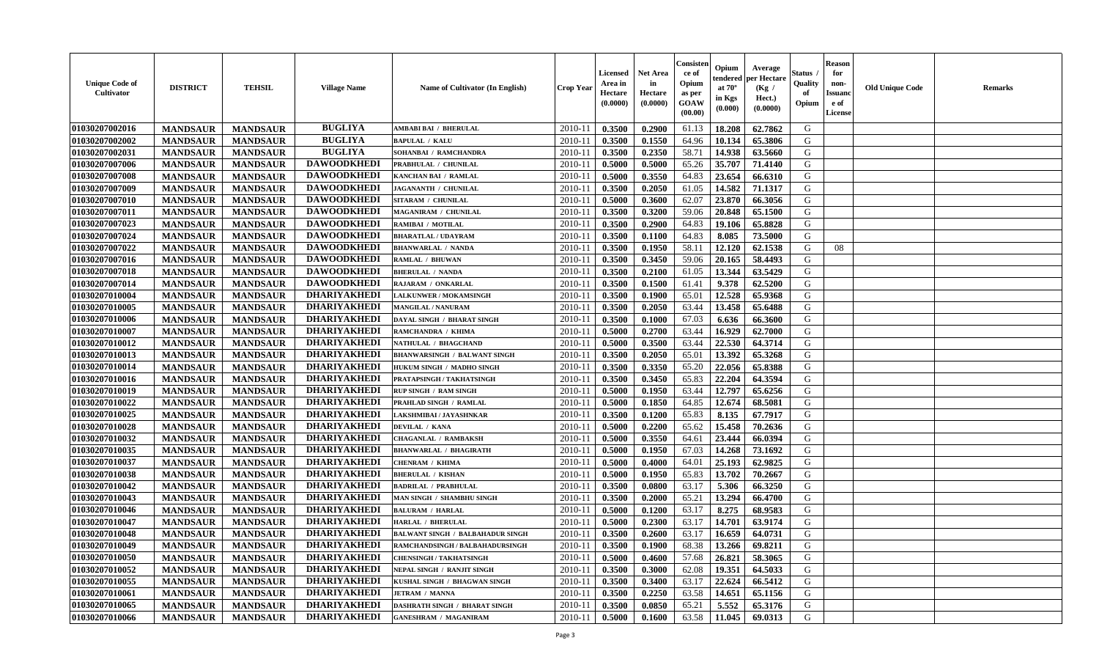| <b>Unique Code of</b><br><b>Cultivator</b> | <b>DISTRICT</b> | <b>TEHSIL</b>   | <b>Village Name</b> | Name of Cultivator (In English)         | <b>Crop Year</b> | Licensed<br>Area in<br>Hectare<br>(0.0000) | <b>Net Area</b><br>in<br>Hectare<br>(0.0000) | Consisteı<br>ce of<br>Opium<br>as per<br>GOAW<br>(00.00) | Opium<br>endered<br>at $70^\circ$<br>in Kgs<br>(0.000) | Average<br>per Hectare<br>(Kg /<br>Hect.)<br>(0.0000) | Status<br>Quality<br>of<br>Opium | <b>Reason</b><br>for<br>non-<br><b>Issuand</b><br>e of<br><b>License</b> | <b>Old Unique Code</b> | <b>Remarks</b> |
|--------------------------------------------|-----------------|-----------------|---------------------|-----------------------------------------|------------------|--------------------------------------------|----------------------------------------------|----------------------------------------------------------|--------------------------------------------------------|-------------------------------------------------------|----------------------------------|--------------------------------------------------------------------------|------------------------|----------------|
| 01030207002016                             | <b>MANDSAUR</b> | <b>MANDSAUR</b> | <b>BUGLIYA</b>      | AMBABI BAI / BHERULAL                   | 2010-11          | 0.3500                                     | 0.2900                                       | 61.13                                                    | 18.208                                                 | 62.7862                                               | G                                |                                                                          |                        |                |
| 01030207002002                             | <b>MANDSAUR</b> | <b>MANDSAUR</b> | <b>BUGLIYA</b>      | <b>BAPULAL / KALU</b>                   | 2010-11          | 0.3500                                     | 0.1550                                       | 64.96                                                    | 10.134                                                 | 65.3806                                               | G                                |                                                                          |                        |                |
| 01030207002031                             | <b>MANDSAUR</b> | <b>MANDSAUR</b> | <b>BUGLIYA</b>      | SOHANBAI / RAMCHANDRA                   | 2010-11          | 0.3500                                     | 0.2350                                       | 58.71                                                    | 14.938                                                 | 63.5660                                               | G                                |                                                                          |                        |                |
| 01030207007006                             | <b>MANDSAUR</b> | <b>MANDSAUR</b> | <b>DAWOODKHEDI</b>  | PRABHULAL / CHUNILAL                    | 2010-11          | 0.5000                                     | 0.5000                                       | 65.26                                                    | 35.707                                                 | 71.4140                                               | G                                |                                                                          |                        |                |
| 01030207007008                             | <b>MANDSAUR</b> | <b>MANDSAUR</b> | <b>DAWOODKHEDI</b>  | <b>KANCHAN BAI / RAMLAL</b>             | 2010-11          | 0.5000                                     | 0.3550                                       | 64.83                                                    | 23.654                                                 | 66.6310                                               | G                                |                                                                          |                        |                |
| 01030207007009                             | <b>MANDSAUR</b> | <b>MANDSAUR</b> | <b>DAWOODKHEDI</b>  | <b>JAGANANTH / CHUNILAL</b>             | 2010-11          | 0.3500                                     | 0.2050                                       | 61.05                                                    | 14.582                                                 | 71.1317                                               | G                                |                                                                          |                        |                |
| 01030207007010                             | <b>MANDSAUR</b> | <b>MANDSAUR</b> | <b>DAWOODKHEDI</b>  | SITARAM / CHUNILAL                      | 2010-11          | 0.5000                                     | 0.3600                                       | 62.07                                                    | 23.870                                                 | 66.3056                                               | G                                |                                                                          |                        |                |
| 01030207007011                             | <b>MANDSAUR</b> | <b>MANDSAUR</b> | <b>DAWOODKHEDI</b>  | MAGANIRAM / CHUNILAL                    | 2010-11          | 0.3500                                     | 0.3200                                       | 59.06                                                    | 20.848                                                 | 65.1500                                               | G                                |                                                                          |                        |                |
| 01030207007023                             | <b>MANDSAUR</b> | <b>MANDSAUR</b> | <b>DAWOODKHEDI</b>  | RAMIBAI / MOTILAL                       | 2010-11          | 0.3500                                     | 0.2900                                       | 64.83                                                    | 19.106                                                 | 65.8828                                               | G                                |                                                                          |                        |                |
| 01030207007024                             | <b>MANDSAUR</b> | <b>MANDSAUR</b> | <b>DAWOODKHEDI</b>  | <b>BHARATLAL / UDAYRAM</b>              | 2010-11          | 0.3500                                     | 0.1100                                       | 64.83                                                    | 8.085                                                  | 73.5000                                               | G                                |                                                                          |                        |                |
| 01030207007022                             | <b>MANDSAUR</b> | <b>MANDSAUR</b> | <b>DAWOODKHEDI</b>  | <b>BHANWARLAL / NANDA</b>               | 2010-11          | 0.3500                                     | 0.1950                                       | 58.11                                                    | 12.120                                                 | 62.1538                                               | G                                | 08                                                                       |                        |                |
| 01030207007016                             | <b>MANDSAUR</b> | <b>MANDSAUR</b> | <b>DAWOODKHEDI</b>  | RAMLAL / BHUWAN                         | 2010-11          | 0.3500                                     | 0.3450                                       | 59.06                                                    | 20.165                                                 | 58.4493                                               | G                                |                                                                          |                        |                |
| 01030207007018                             | <b>MANDSAUR</b> | <b>MANDSAUR</b> | <b>DAWOODKHEDI</b>  | <b>BHERULAL / NANDA</b>                 | 2010-11          | 0.3500                                     | 0.2100                                       | 61.05                                                    | 13.344                                                 | 63.5429                                               | G                                |                                                                          |                        |                |
| 01030207007014                             | <b>MANDSAUR</b> | <b>MANDSAUR</b> | <b>DAWOODKHEDI</b>  | RAJARAM / ONKARLAL                      | $2010 - 11$      | 0.3500                                     | 0.1500                                       | 61.41                                                    | 9.378                                                  | 62.5200                                               | G                                |                                                                          |                        |                |
| 01030207010004                             | <b>MANDSAUR</b> | <b>MANDSAUR</b> | <b>DHARIYAKHEDI</b> | LALKUNWER / MOKAMSINGH                  | 2010-11          | 0.3500                                     | 0.1900                                       | 65.01                                                    | 12.528                                                 | 65.9368                                               | G                                |                                                                          |                        |                |
| 01030207010005                             | <b>MANDSAUR</b> | <b>MANDSAUR</b> | <b>DHARIYAKHEDI</b> | <b>MANGILAL / NANURAM</b>               | 2010-11          | 0.3500                                     | 0.2050                                       | 63.44                                                    | 13.458                                                 | 65.6488                                               | G                                |                                                                          |                        |                |
| 01030207010006                             | <b>MANDSAUR</b> | <b>MANDSAUR</b> | <b>DHARIYAKHEDI</b> | DAYAL SINGH / BHARAT SINGH              | 2010-11          | 0.3500                                     | 0.1000                                       | 67.03                                                    | 6.636                                                  | 66.3600                                               | G                                |                                                                          |                        |                |
| 01030207010007                             | <b>MANDSAUR</b> | <b>MANDSAUR</b> | <b>DHARIYAKHEDI</b> | RAMCHANDRA / KHIMA                      | 2010-11          | 0.5000                                     | 0.2700                                       | 63.44                                                    | 16.929                                                 | 62.7000                                               | G                                |                                                                          |                        |                |
| 01030207010012                             | <b>MANDSAUR</b> | <b>MANDSAUR</b> | <b>DHARIYAKHEDI</b> | <b>NATHULAL / BHAGCHAND</b>             | 2010-11          | 0.5000                                     | 0.3500                                       | 63.44                                                    | 22.530                                                 | 64.3714                                               | G                                |                                                                          |                        |                |
| 01030207010013                             | <b>MANDSAUR</b> | <b>MANDSAUR</b> | <b>DHARIYAKHEDI</b> | <b>BHANWARSINGH / BALWANT SINGH</b>     | 2010-11          | 0.3500                                     | 0.2050                                       | 65.01                                                    | 13.392                                                 | 65.3268                                               | G                                |                                                                          |                        |                |
| 01030207010014                             | <b>MANDSAUR</b> | <b>MANDSAUR</b> | <b>DHARIYAKHEDI</b> | HUKUM SINGH / MADHO SINGH               | 2010-11          | 0.3500                                     | 0.3350                                       | 65.20                                                    | 22.056                                                 | 65.8388                                               | G                                |                                                                          |                        |                |
| 01030207010016                             | <b>MANDSAUR</b> | <b>MANDSAUR</b> | <b>DHARIYAKHEDI</b> | PRATAPSINGH / TAKHATSINGH               | 2010-11          | 0.3500                                     | 0.3450                                       | 65.83                                                    | 22.204                                                 | 64.3594                                               | G                                |                                                                          |                        |                |
| 01030207010019                             | <b>MANDSAUR</b> | <b>MANDSAUR</b> | <b>DHARIYAKHEDI</b> | RUP SINGH / RAM SINGH                   | $2010 - 11$      | 0.5000                                     | 0.1950                                       | 63.44                                                    | 12.797                                                 | 65.6256                                               | G                                |                                                                          |                        |                |
| 01030207010022                             | <b>MANDSAUR</b> | <b>MANDSAUR</b> | <b>DHARIYAKHEDI</b> | PRAHLAD SINGH / RAMLAL                  | 2010-11          | 0.5000                                     | 0.1850                                       | 64.85                                                    | 12.674                                                 | 68.5081                                               | G                                |                                                                          |                        |                |
| 01030207010025                             | <b>MANDSAUR</b> | <b>MANDSAUR</b> | <b>DHARIYAKHEDI</b> | LAKSHMIBAI / JAYASHNKAR                 | 2010-11          | 0.3500                                     | 0.1200                                       | 65.83                                                    | 8.135                                                  | 67.7917                                               | G                                |                                                                          |                        |                |
| 01030207010028                             | <b>MANDSAUR</b> | <b>MANDSAUR</b> | <b>DHARIYAKHEDI</b> | DEVILAL / KANA                          | 2010-11          | 0.5000                                     | 0.2200                                       | 65.62                                                    | 15.458                                                 | 70.2636                                               | G                                |                                                                          |                        |                |
| 01030207010032                             | <b>MANDSAUR</b> | <b>MANDSAUR</b> | <b>DHARIYAKHEDI</b> | <b>CHAGANLAL / RAMBAKSH</b>             | 2010-11          | 0.5000                                     | 0.3550                                       | 64.61                                                    | 23.444                                                 | 66.0394                                               | G                                |                                                                          |                        |                |
| 01030207010035                             | <b>MANDSAUR</b> | <b>MANDSAUR</b> | <b>DHARIYAKHEDI</b> | <b>BHANWARLAL / BHAGIRATH</b>           | 2010-11          | 0.5000                                     | 0.1950                                       | 67.03                                                    | 14.268                                                 | 73.1692                                               | G                                |                                                                          |                        |                |
| 01030207010037                             | <b>MANDSAUR</b> | <b>MANDSAUR</b> | <b>DHARIYAKHEDI</b> | <b>CHENRAM / KHIMA</b>                  | 2010-11          | 0.5000                                     | 0.4000                                       | 64.01                                                    | 25.193                                                 | 62.9825                                               | G                                |                                                                          |                        |                |
| 01030207010038                             | <b>MANDSAUR</b> | <b>MANDSAUR</b> | <b>DHARIYAKHEDI</b> | <b>BHERULAL / KISHAN</b>                | 2010-11          | 0.5000                                     | 0.1950                                       | 65.83                                                    | 13.702                                                 | 70.2667                                               | G                                |                                                                          |                        |                |
| 01030207010042                             | <b>MANDSAUR</b> | <b>MANDSAUR</b> | <b>DHARIYAKHEDI</b> | <b>BADRILAL / PRABHULAL</b>             | 2010-11          | 0.3500                                     | 0.0800                                       | 63.17                                                    | 5.306                                                  | 66.3250                                               | ${\bf G}$                        |                                                                          |                        |                |
| 01030207010043                             | <b>MANDSAUR</b> | <b>MANDSAUR</b> | <b>DHARIYAKHEDI</b> | MAN SINGH / SHAMBHU SINGH               | 2010-11          | 0.3500                                     | 0.2000                                       | 65.21                                                    | 13.294                                                 | 66.4700                                               | G                                |                                                                          |                        |                |
| 01030207010046                             | <b>MANDSAUR</b> | <b>MANDSAUR</b> | <b>DHARIYAKHEDI</b> | <b>BALURAM / HARLAL</b>                 | 2010-11          | 0.5000                                     | 0.1200                                       | 63.17                                                    | 8.275                                                  | 68.9583                                               | G                                |                                                                          |                        |                |
| 01030207010047                             | <b>MANDSAUR</b> | <b>MANDSAUR</b> | <b>DHARIYAKHEDI</b> | <b>HARLAL / BHERULAL</b>                | 2010-11          | 0.5000                                     | 0.2300                                       | 63.17                                                    | 14.701                                                 | 63.9174                                               | G                                |                                                                          |                        |                |
| 01030207010048                             | <b>MANDSAUR</b> | <b>MANDSAUR</b> | <b>DHARIYAKHEDI</b> | <b>BALWANT SINGH / BALBAHADUR SINGH</b> | 2010-11          | 0.3500                                     | 0.2600                                       | 63.17                                                    | 16.659                                                 | 64.0731                                               | G                                |                                                                          |                        |                |
| 01030207010049                             | <b>MANDSAUR</b> | <b>MANDSAUR</b> | <b>DHARIYAKHEDI</b> | RAMCHANDSINGH / BALBAHADURSINGH         | 2010-11          | 0.3500                                     | 0.1900                                       | 68.38                                                    | 13.266                                                 | 69.8211                                               | G                                |                                                                          |                        |                |
| 01030207010050                             | <b>MANDSAUR</b> | <b>MANDSAUR</b> | <b>DHARIYAKHEDI</b> | <b>CHENSINGH / TAKHATSINGH</b>          | 2010-11          | 0.5000                                     | 0.4600                                       | 57.68                                                    | 26.821                                                 | 58.3065                                               | G                                |                                                                          |                        |                |
| 01030207010052                             | <b>MANDSAUR</b> | <b>MANDSAUR</b> | <b>DHARIYAKHEDI</b> | NEPAL SINGH / RANJIT SINGH              | 2010-11          | 0.3500                                     | 0.3000                                       | 62.08                                                    | 19.351                                                 | 64.5033                                               | G                                |                                                                          |                        |                |
| 01030207010055                             | <b>MANDSAUR</b> | <b>MANDSAUR</b> | <b>DHARIYAKHEDI</b> | KUSHAL SINGH / BHAGWAN SINGH            | $2010 - 11$      | 0.3500                                     | 0.3400                                       | 63.17                                                    | 22.624                                                 | 66.5412                                               | G                                |                                                                          |                        |                |
| 01030207010061                             | <b>MANDSAUR</b> | <b>MANDSAUR</b> | <b>DHARIYAKHEDI</b> | <b>JETRAM / MANNA</b>                   | $2010 - 11$      | 0.3500                                     | 0.2250                                       | 63.58                                                    | 14.651                                                 | 65.1156                                               | G                                |                                                                          |                        |                |
| 01030207010065                             | <b>MANDSAUR</b> | <b>MANDSAUR</b> | <b>DHARIYAKHEDI</b> | DASHRATH SINGH / BHARAT SINGH           | 2010-11          | 0.3500                                     | 0.0850                                       | 65.21                                                    | 5.552                                                  | 65.3176                                               | G                                |                                                                          |                        |                |
| 01030207010066                             | <b>MANDSAUR</b> | <b>MANDSAUR</b> | <b>DHARIYAKHEDI</b> | <b>GANESHRAM / MAGANIRAM</b>            | 2010-11          | 0.5000                                     | 0.1600                                       | 63.58                                                    | 11.045                                                 | 69.0313                                               | G                                |                                                                          |                        |                |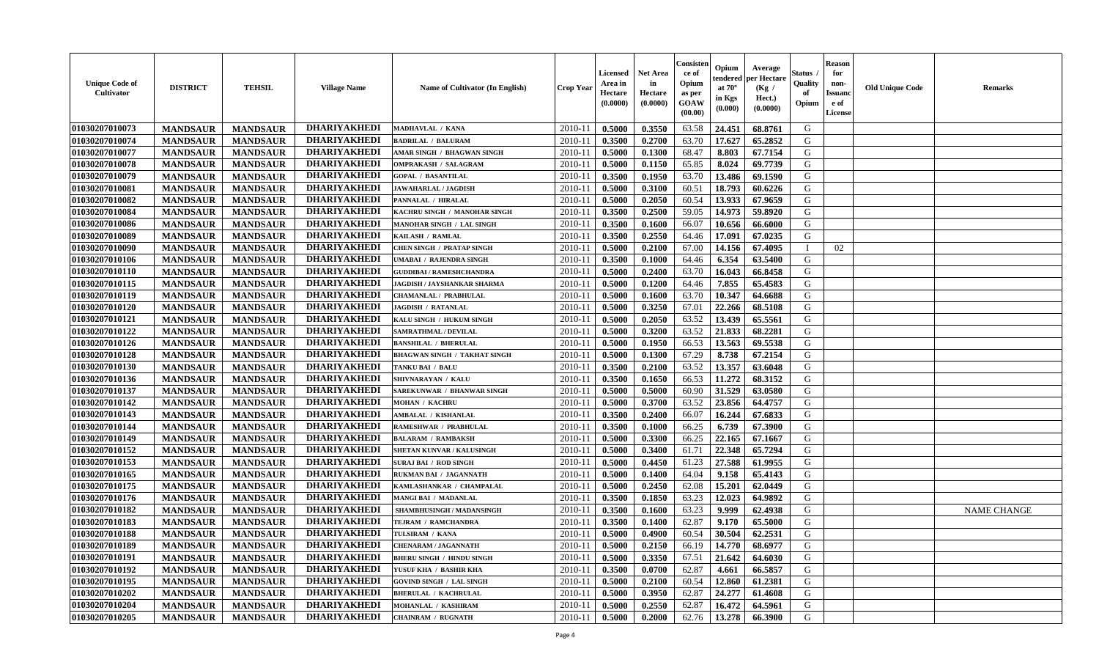| <b>Unique Code of</b><br><b>Cultivator</b> | <b>DISTRICT</b> | <b>TEHSIL</b>   | <b>Village Name</b> | Name of Cultivator (In English)     | <b>Crop Year</b> | <b>Licensed</b><br>Area in<br>Hectare<br>(0.0000) | Net Area<br>in<br>Hectare<br>(0.0000) | Consisteı<br>ce of<br>Opium<br>as per<br>GOAW<br>(00.00) | Opium<br>endered<br>at $70^\circ$<br>in Kgs<br>(0.000) | Average<br>per Hectare<br>(Kg /<br>Hect.)<br>(0.0000) | Status<br>Quality<br>of<br>Opium | <b>Reason</b><br>for<br>non-<br><b>Issuand</b><br>e of<br>License | <b>Old Unique Code</b> | Remarks            |
|--------------------------------------------|-----------------|-----------------|---------------------|-------------------------------------|------------------|---------------------------------------------------|---------------------------------------|----------------------------------------------------------|--------------------------------------------------------|-------------------------------------------------------|----------------------------------|-------------------------------------------------------------------|------------------------|--------------------|
| 01030207010073                             | <b>MANDSAUR</b> | <b>MANDSAUR</b> | <b>DHARIYAKHEDI</b> | MADHAVLAL / KANA                    | 2010-11          | 0.5000                                            | 0.3550                                | 63.58                                                    | 24.451                                                 | 68.8761                                               | G                                |                                                                   |                        |                    |
| 01030207010074                             | <b>MANDSAUR</b> | <b>MANDSAUR</b> | <b>DHARIYAKHEDI</b> | <b>BADRILAL / BALURAM</b>           | 2010-11          | 0.3500                                            | 0.2700                                | 63.70                                                    | 17.627                                                 | 65.2852                                               | G                                |                                                                   |                        |                    |
| 01030207010077                             | <b>MANDSAUR</b> | <b>MANDSAUR</b> | <b>DHARIYAKHEDI</b> | <b>AMAR SINGH / BHAGWAN SINGH</b>   | 2010-11          | 0.5000                                            | 0.1300                                | 68.47                                                    | 8.803                                                  | 67.7154                                               | G                                |                                                                   |                        |                    |
| 01030207010078                             | <b>MANDSAUR</b> | <b>MANDSAUR</b> | <b>DHARIYAKHEDI</b> | <b>OMPRAKASH / SALAGRAM</b>         | 2010-11          | 0.5000                                            | 0.1150                                | 65.85                                                    | 8.024                                                  | 69.7739                                               | G                                |                                                                   |                        |                    |
| 01030207010079                             | <b>MANDSAUR</b> | <b>MANDSAUR</b> | <b>DHARIYAKHEDI</b> | <b>GOPAL / BASANTILAL</b>           | 2010-11          | 0.3500                                            | 0.1950                                | 63.70                                                    | 13.486                                                 | 69.1590                                               | G                                |                                                                   |                        |                    |
| 01030207010081                             | <b>MANDSAUR</b> | <b>MANDSAUR</b> | <b>DHARIYAKHEDI</b> | <b>JAWAHARLAL/JAGDISH</b>           | 2010-11          | 0.5000                                            | 0.3100                                | 60.51                                                    | 18.793                                                 | 60.6226                                               | G                                |                                                                   |                        |                    |
| 01030207010082                             | <b>MANDSAUR</b> | <b>MANDSAUR</b> | <b>DHARIYAKHEDI</b> | PANNALAL / HIRALAL                  | $2010 - 11$      | 0.5000                                            | 0.2050                                | 60.54                                                    | 13.933                                                 | 67.9659                                               | G                                |                                                                   |                        |                    |
| 01030207010084                             | <b>MANDSAUR</b> | <b>MANDSAUR</b> | <b>DHARIYAKHEDI</b> | KACHRU SINGH / MANOHAR SINGH        | 2010-11          | 0.3500                                            | 0.2500                                | 59.05                                                    | 14.973                                                 | 59.8920                                               | G                                |                                                                   |                        |                    |
| 01030207010086                             | <b>MANDSAUR</b> | <b>MANDSAUR</b> | <b>DHARIYAKHEDI</b> | <b>MANOHAR SINGH / LAL SINGH</b>    | 2010-11          | 0.3500                                            | 0.1600                                | 66.07                                                    | 10.656                                                 | 66.6000                                               | G                                |                                                                   |                        |                    |
| 01030207010089                             | <b>MANDSAUR</b> | <b>MANDSAUR</b> | <b>DHARIYAKHEDI</b> | KAILASH / RAMLAL                    | 2010-11          | 0.3500                                            | 0.2550                                | 64.46                                                    | 17.091                                                 | 67.0235                                               | G                                |                                                                   |                        |                    |
| 01030207010090                             | <b>MANDSAUR</b> | <b>MANDSAUR</b> | <b>DHARIYAKHEDI</b> | <b>CHEN SINGH / PRATAP SINGH</b>    | 2010-11          | 0.5000                                            | 0.2100                                | 67.00                                                    | 14.156                                                 | 67.4095                                               | $\mathbf{I}$                     | 02                                                                |                        |                    |
| 01030207010106                             | <b>MANDSAUR</b> | <b>MANDSAUR</b> | <b>DHARIYAKHEDI</b> | UMABAI / RAJENDRA SINGH             | 2010-11          | 0.3500                                            | 0.1000                                | 64.46                                                    | 6.354                                                  | 63.5400                                               | G                                |                                                                   |                        |                    |
| 01030207010110                             | <b>MANDSAUR</b> | <b>MANDSAUR</b> | <b>DHARIYAKHEDI</b> | <b>GUDDIBAI / RAMESHCHANDRA</b>     | 2010-11          | 0.5000                                            | 0.2400                                | 63.70                                                    | 16.043                                                 | 66.8458                                               | G                                |                                                                   |                        |                    |
| 01030207010115                             | <b>MANDSAUR</b> | <b>MANDSAUR</b> | <b>DHARIYAKHEDI</b> | <b>JAGDISH / JAYSHANKAR SHARMA</b>  | 2010-11          | 0.5000                                            | 0.1200                                | 64.46                                                    | 7.855                                                  | 65.4583                                               | G                                |                                                                   |                        |                    |
| 01030207010119                             | <b>MANDSAUR</b> | <b>MANDSAUR</b> | <b>DHARIYAKHEDI</b> | CHAMANLAL / PRABHULAL               | 2010-11          | 0.5000                                            | 0.1600                                | 63.70                                                    | 10.347                                                 | 64.6688                                               | $\mathbf G$                      |                                                                   |                        |                    |
| 01030207010120                             | <b>MANDSAUR</b> | <b>MANDSAUR</b> | <b>DHARIYAKHEDI</b> | <b>JAGDISH / RATANLAL</b>           | 2010-11          | 0.5000                                            | 0.3250                                | 67.01                                                    | 22.266                                                 | 68.5108                                               | G                                |                                                                   |                        |                    |
| 01030207010121                             | <b>MANDSAUR</b> | <b>MANDSAUR</b> | DHARIYAKHEDI        | KALU SINGH / HUKUM SINGH            | 2010-11          | 0.5000                                            | 0.2050                                | 63.52                                                    | 13.439                                                 | 65.5561                                               | G                                |                                                                   |                        |                    |
| 01030207010122                             | <b>MANDSAUR</b> | <b>MANDSAUR</b> | <b>DHARIYAKHEDI</b> | SAMRATHMAL / DEVILAL                | 2010-11          | 0.5000                                            | 0.3200                                | 63.52                                                    | 21.833                                                 | 68.2281                                               | G                                |                                                                   |                        |                    |
| 01030207010126                             | <b>MANDSAUR</b> | <b>MANDSAUR</b> | <b>DHARIYAKHEDI</b> | <b>BANSHILAL / BHERULAL</b>         | 2010-11          | 0.5000                                            | 0.1950                                | 66.53                                                    | 13.563                                                 | 69.5538                                               | G                                |                                                                   |                        |                    |
| 01030207010128                             | <b>MANDSAUR</b> | <b>MANDSAUR</b> | <b>DHARIYAKHEDI</b> | <b>BHAGWAN SINGH / TAKHAT SINGH</b> | 2010-11          | 0.5000                                            | 0.1300                                | 67.29                                                    | 8.738                                                  | 67.2154                                               | G                                |                                                                   |                        |                    |
| 01030207010130                             | <b>MANDSAUR</b> | <b>MANDSAUR</b> | <b>DHARIYAKHEDI</b> | TANKU BAI / BALU                    | 2010-11          | 0.3500                                            | 0.2100                                | 63.52                                                    | 13.357                                                 | 63.6048                                               | G                                |                                                                   |                        |                    |
| 01030207010136                             | <b>MANDSAUR</b> | <b>MANDSAUR</b> | <b>DHARIYAKHEDI</b> | SHIVNARAYAN / KALL                  | 2010-11          | 0.3500                                            | 0.1650                                | 66.53                                                    | 11.272                                                 | 68.3152                                               | G                                |                                                                   |                        |                    |
| 01030207010137                             | <b>MANDSAUR</b> | <b>MANDSAUR</b> | <b>DHARIYAKHEDI</b> | <b>SAREKUNWAR / BHANWAR SINGH</b>   | 2010-11          | 0.5000                                            | 0.5000                                | 60.90                                                    | 31.529                                                 | 63.0580                                               | G                                |                                                                   |                        |                    |
| 01030207010142                             | <b>MANDSAUR</b> | <b>MANDSAUR</b> | <b>DHARIYAKHEDI</b> | <b>MOHAN / KACHRU</b>               | 2010-11          | 0.5000                                            | 0.3700                                | 63.52                                                    | 23.856                                                 | 64.4757                                               | G                                |                                                                   |                        |                    |
| 01030207010143                             | <b>MANDSAUR</b> | <b>MANDSAUR</b> | <b>DHARIYAKHEDI</b> | <b>AMBALAL / KISHANLAL</b>          | 2010-11          | 0.3500                                            | 0.2400                                | 66.07                                                    | 16.244                                                 | 67.6833                                               | G                                |                                                                   |                        |                    |
| 01030207010144                             | <b>MANDSAUR</b> | <b>MANDSAUR</b> | <b>DHARIYAKHEDI</b> | RAMESHWAR / PRABHULAL               | 2010-11          | 0.3500                                            | 0.1000                                | 66.25                                                    | 6.739                                                  | 67.3900                                               | G                                |                                                                   |                        |                    |
| 01030207010149                             | <b>MANDSAUR</b> | <b>MANDSAUR</b> | <b>DHARIYAKHEDI</b> | <b>BALARAM / RAMBAKSH</b>           | 2010-11          | 0.5000                                            | 0.3300                                | 66.25                                                    | 22.165                                                 | 67.1667                                               | G                                |                                                                   |                        |                    |
| 01030207010152                             | <b>MANDSAUR</b> | <b>MANDSAUR</b> | <b>DHARIYAKHEDI</b> | SHETAN KUNVAR / KALUSINGH           | 2010-11          | 0.5000                                            | 0.3400                                | 61.71                                                    | 22.348                                                 | 65.7294                                               | G                                |                                                                   |                        |                    |
| 01030207010153                             | <b>MANDSAUR</b> | <b>MANDSAUR</b> | <b>DHARIYAKHEDI</b> | <b>SURAJ BAI / ROD SINGH</b>        | 2010-11          | 0.5000                                            | 0.4450                                | 61.23                                                    | 27.588                                                 | 61.9955                                               | G                                |                                                                   |                        |                    |
| 01030207010165                             | <b>MANDSAUR</b> | <b>MANDSAUR</b> | <b>DHARIYAKHEDI</b> | RUKMAN BAI / JAGANNATH              | 2010-11          | 0.5000                                            | 0.1400                                | 64.04                                                    | 9.158                                                  | 65.4143                                               | G                                |                                                                   |                        |                    |
| 01030207010175                             | <b>MANDSAUR</b> | <b>MANDSAUR</b> | <b>DHARIYAKHEDI</b> | KAMLASHANKAR / CHAMPALAL            | 2010-11          | 0.5000                                            | 0.2450                                | 62.08                                                    | 15.201                                                 | 62.0449                                               | G                                |                                                                   |                        |                    |
| 01030207010176                             | <b>MANDSAUR</b> | <b>MANDSAUR</b> | <b>DHARIYAKHEDI</b> | MANGI BAI / MADANLAL                | 2010-11          | 0.3500                                            | 0.1850                                | 63.23                                                    | 12.023                                                 | 64.9892                                               | G                                |                                                                   |                        |                    |
| 01030207010182                             | <b>MANDSAUR</b> | <b>MANDSAUR</b> | <b>DHARIYAKHEDI</b> | SHAMBHUSINGH / MADANSINGH           | 2010-11          | 0.3500                                            | 0.1600                                | 63.23                                                    | 9.999                                                  | 62.4938                                               | G                                |                                                                   |                        | <b>NAME CHANGE</b> |
| 01030207010183                             | <b>MANDSAUR</b> | <b>MANDSAUR</b> | <b>DHARIYAKHEDI</b> | TEJRAM / RAMCHANDRA                 | 2010-11          | 0.3500                                            | 0.1400                                | 62.87                                                    | 9.170                                                  | 65.5000                                               | G                                |                                                                   |                        |                    |
| 01030207010188                             | <b>MANDSAUR</b> | <b>MANDSAUR</b> | <b>DHARIYAKHEDI</b> | TULSIRAM / KANA                     | 2010-11          | 0.5000                                            | 0.4900                                | 60.54                                                    | 30.504                                                 | 62.2531                                               | G                                |                                                                   |                        |                    |
| 01030207010189                             | <b>MANDSAUR</b> | <b>MANDSAUR</b> | <b>DHARIYAKHEDI</b> | <b>CHENARAM / JAGANNATH</b>         | 2010-11          | 0.5000                                            | 0.2150                                | 66.19                                                    | 14.770                                                 | 68.6977                                               | G                                |                                                                   |                        |                    |
| 01030207010191                             | <b>MANDSAUR</b> | <b>MANDSAUR</b> | <b>DHARIYAKHEDI</b> | <b>BHERU SINGH / HINDU SINGH</b>    | 2010-11          | 0.5000                                            | 0.3350                                | 67.51                                                    | 21.642                                                 | 64.6030                                               | G                                |                                                                   |                        |                    |
| 01030207010192                             | <b>MANDSAUR</b> | <b>MANDSAUR</b> | <b>DHARIYAKHEDI</b> | YUSUF KHA / BASHIR KHA              | 2010-11          | 0.3500                                            | 0.0700                                | 62.87                                                    | 4.661                                                  | 66.5857                                               | G                                |                                                                   |                        |                    |
| 01030207010195                             | <b>MANDSAUR</b> | <b>MANDSAUR</b> | <b>DHARIYAKHEDI</b> | <b>GOVIND SINGH / LAL SINGH</b>     | 2010-11          | 0.5000                                            | 0.2100                                | 60.54                                                    | 12.860                                                 | 61.2381                                               | G                                |                                                                   |                        |                    |
| 01030207010202                             | <b>MANDSAUR</b> | <b>MANDSAUR</b> | <b>DHARIYAKHEDI</b> | <b>BHERULAL / KACHRULAL</b>         | 2010-11          | 0.5000                                            | 0.3950                                | 62.87                                                    | 24.277                                                 | 61.4608                                               | ${\bf G}$                        |                                                                   |                        |                    |
| 01030207010204                             | <b>MANDSAUR</b> | <b>MANDSAUR</b> | <b>DHARIYAKHEDI</b> | MOHANLAL / KASHIRAM                 | 2010-11          | 0.5000                                            | 0.2550                                | 62.87                                                    | 16.472                                                 | 64.5961                                               | G                                |                                                                   |                        |                    |
| 01030207010205                             | <b>MANDSAUR</b> | <b>MANDSAUR</b> | <b>DHARIYAKHEDI</b> | CHAINRAM / RUGNATH                  | 2010-11          | 0.5000                                            | 0.2000                                | 62.76                                                    | 13.278                                                 | 66.3900                                               | G                                |                                                                   |                        |                    |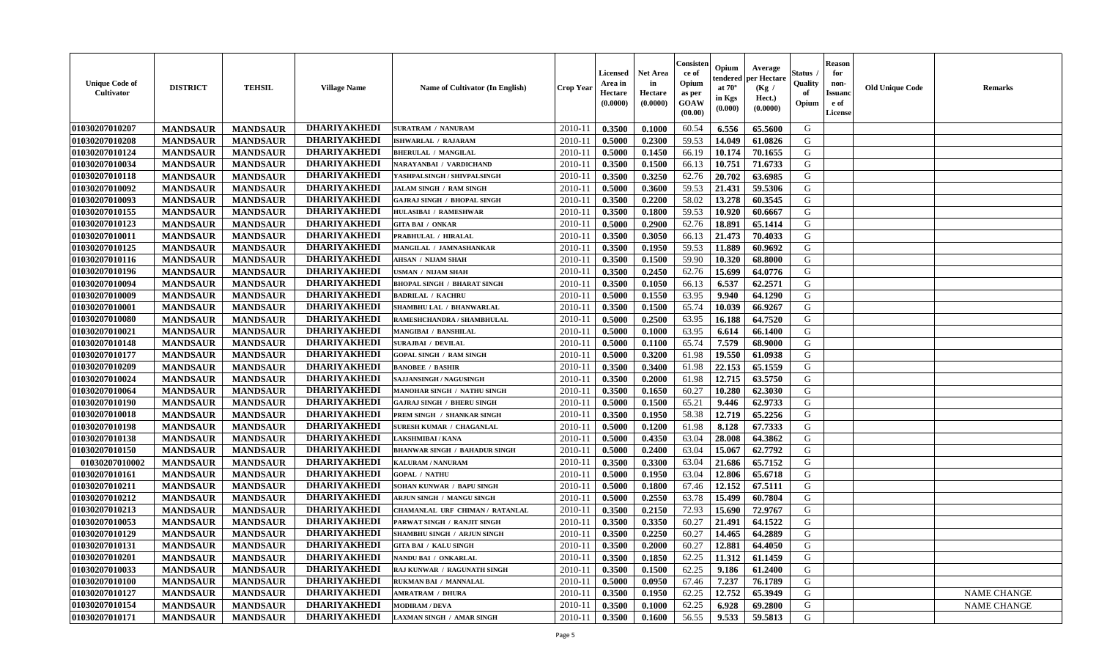| <b>Unique Code of</b><br><b>Cultivator</b> | <b>DISTRICT</b> | <b>TEHSIL</b>   | <b>Village Name</b> | Name of Cultivator (In English)      | <b>Crop Year</b> | <b>Licensed</b><br>Area in<br>Hectare<br>(0.0000) | Net Area<br>in<br>Hectare<br>(0.0000) | Consisteı<br>ce of<br>Opium<br>as per<br>GOAW<br>(00.00) | Opium<br>endered<br>at $70^\circ$<br>in Kgs<br>(0.000) | Average<br>per Hectare<br>(Kg /<br>Hect.)<br>(0.0000) | Status<br>Quality<br>of<br>Opium | <b>Reason</b><br>for<br>non-<br>Issuano<br>e of<br>License | <b>Old Unique Code</b> | Remarks            |
|--------------------------------------------|-----------------|-----------------|---------------------|--------------------------------------|------------------|---------------------------------------------------|---------------------------------------|----------------------------------------------------------|--------------------------------------------------------|-------------------------------------------------------|----------------------------------|------------------------------------------------------------|------------------------|--------------------|
| 01030207010207                             | <b>MANDSAUR</b> | <b>MANDSAUR</b> | <b>DHARIYAKHEDI</b> | <b>SURATRAM / NANURAM</b>            | 2010-11          | 0.3500                                            | 0.1000                                | 60.54                                                    | 6.556                                                  | 65.5600                                               | G                                |                                                            |                        |                    |
| 01030207010208                             | <b>MANDSAUR</b> | <b>MANDSAUR</b> | <b>DHARIYAKHEDI</b> | ISHWARLAL / RAJARAM                  | 2010-11          | 0.5000                                            | 0.2300                                | 59.53                                                    | 14.049                                                 | 61.0826                                               | G                                |                                                            |                        |                    |
| 01030207010124                             | <b>MANDSAUR</b> | <b>MANDSAUR</b> | <b>DHARIYAKHEDI</b> | <b>BHERULAL / MANGILAL</b>           | 2010-11          | 0.5000                                            | 0.1450                                | 66.19                                                    | 10.174                                                 | 70.1655                                               | G                                |                                                            |                        |                    |
| 01030207010034                             | <b>MANDSAUR</b> | <b>MANDSAUR</b> | <b>DHARIYAKHEDI</b> | NARAYANBAI / VARDICHAND              | 2010-11          | 0.3500                                            | 0.1500                                | 66.13                                                    | 10.751                                                 | 71.6733                                               | G                                |                                                            |                        |                    |
| 01030207010118                             | <b>MANDSAUR</b> | <b>MANDSAUR</b> | <b>DHARIYAKHEDI</b> | YASHPALSINGH / SHIVPALSINGH          | 2010-11          | 0.3500                                            | 0.3250                                | 62.76                                                    | 20.702                                                 | 63.6985                                               | G                                |                                                            |                        |                    |
| 01030207010092                             | <b>MANDSAUR</b> | <b>MANDSAUR</b> | <b>DHARIYAKHEDI</b> | <b>JALAM SINGH / RAM SINGH</b>       | 2010-11          | 0.5000                                            | 0.3600                                | 59.53                                                    | 21.431                                                 | 59.5306                                               | G                                |                                                            |                        |                    |
| 01030207010093                             | <b>MANDSAUR</b> | <b>MANDSAUR</b> | <b>DHARIYAKHEDI</b> | <b>GAJRAJ SINGH / BHOPAL SINGH</b>   | $2010 - 11$      | 0.3500                                            | 0.2200                                | 58.02                                                    | 13.278                                                 | 60.3545                                               | G                                |                                                            |                        |                    |
| 01030207010155                             | <b>MANDSAUR</b> | <b>MANDSAUR</b> | <b>DHARIYAKHEDI</b> | <b>HULASIBAI / RAMESHWAR</b>         | 2010-11          | 0.3500                                            | 0.1800                                | 59.53                                                    | 10.920                                                 | 60.6667                                               | G                                |                                                            |                        |                    |
| 01030207010123                             | <b>MANDSAUR</b> | <b>MANDSAUR</b> | <b>DHARIYAKHEDI</b> | <b>GITA BAI / ONKAR</b>              | 2010-11          | 0.5000                                            | 0.2900                                | 62.76                                                    | 18.891                                                 | 65.1414                                               | G                                |                                                            |                        |                    |
| 01030207010011                             | <b>MANDSAUR</b> | <b>MANDSAUR</b> | <b>DHARIYAKHEDI</b> | PRABHULAL / HIRALAL                  | 2010-11          | 0.3500                                            | 0.3050                                | 66.13                                                    | 21.473                                                 | 70.4033                                               | G                                |                                                            |                        |                    |
| 01030207010125                             | <b>MANDSAUR</b> | <b>MANDSAUR</b> | <b>DHARIYAKHEDI</b> | MANGILAL / JAMNASHANKAR              | 2010-11          | 0.3500                                            | 0.1950                                | 59.53                                                    | 11.889                                                 | 60.9692                                               | G                                |                                                            |                        |                    |
| 01030207010116                             | <b>MANDSAUR</b> | <b>MANDSAUR</b> | <b>DHARIYAKHEDI</b> | <b>AHSAN / NIJAM SHAH</b>            | 2010-11          | 0.3500                                            | 0.1500                                | 59.90                                                    | 10.320                                                 | 68.8000                                               | G                                |                                                            |                        |                    |
| 01030207010196                             | <b>MANDSAUR</b> | <b>MANDSAUR</b> | <b>DHARIYAKHEDI</b> | USMAN / NIJAM SHAH                   | 2010-11          | 0.3500                                            | 0.2450                                | 62.76                                                    | 15.699                                                 | 64.0776                                               | G                                |                                                            |                        |                    |
| 01030207010094                             | <b>MANDSAUR</b> | <b>MANDSAUR</b> | <b>DHARIYAKHEDI</b> | <b>BHOPAL SINGH / BHARAT SINGH</b>   | 2010-11          | 0.3500                                            | 0.1050                                | 66.13                                                    | 6.537                                                  | 62.2571                                               | G                                |                                                            |                        |                    |
| 01030207010009                             | <b>MANDSAUR</b> | <b>MANDSAUR</b> | <b>DHARIYAKHEDI</b> | <b>BADRILAL / KACHRU</b>             | 2010-11          | 0.5000                                            | 0.1550                                | 63.95                                                    | 9.940                                                  | 64.1290                                               | $\mathbf G$                      |                                                            |                        |                    |
| 01030207010001                             | <b>MANDSAUR</b> | <b>MANDSAUR</b> | <b>DHARIYAKHEDI</b> | SHAMBHU LAL / BHANWARLAL             | 2010-11          | 0.3500                                            | 0.1500                                | 65.74                                                    | 10.039                                                 | 66.9267                                               | G                                |                                                            |                        |                    |
| 01030207010080                             | <b>MANDSAUR</b> | <b>MANDSAUR</b> | <b>DHARIYAKHEDI</b> | RAMESHCHANDRA / SHAMBHULAL           | 2010-11          | 0.5000                                            | 0.2500                                | 63.95                                                    | 16.188                                                 | 64.7520                                               | G                                |                                                            |                        |                    |
| 01030207010021                             | <b>MANDSAUR</b> | <b>MANDSAUR</b> | <b>DHARIYAKHEDI</b> | <b>MANGIBAI / BANSHILAL</b>          | 2010-11          | 0.5000                                            | 0.1000                                | 63.95                                                    | 6.614                                                  | 66.1400                                               | G                                |                                                            |                        |                    |
| 01030207010148                             | <b>MANDSAUR</b> | <b>MANDSAUR</b> | <b>DHARIYAKHEDI</b> | <b>SURAJBAI / DEVILAL</b>            | 2010-11          | 0.5000                                            | 0.1100                                | 65.74                                                    | 7.579                                                  | 68.9000                                               | G                                |                                                            |                        |                    |
| 01030207010177                             | <b>MANDSAUR</b> | <b>MANDSAUR</b> | <b>DHARIYAKHEDI</b> | <b>GOPAL SINGH / RAM SINGH</b>       | 2010-11          | 0.5000                                            | 0.3200                                | 61.98                                                    | 19.550                                                 | 61.0938                                               | G                                |                                                            |                        |                    |
| 01030207010209                             | <b>MANDSAUR</b> | <b>MANDSAUR</b> | <b>DHARIYAKHEDI</b> | <b>BANOBEE / BASHIR</b>              | 2010-11          | 0.3500                                            | 0.3400                                | 61.98                                                    | 22.153                                                 | 65.1559                                               | G                                |                                                            |                        |                    |
| 01030207010024                             | <b>MANDSAUR</b> | <b>MANDSAUR</b> | <b>DHARIYAKHEDI</b> | SAJJANSINGH / NAGUSINGH              | 2010-11          | 0.3500                                            | 0.2000                                | 61.98                                                    | 12.715                                                 | 63.5750                                               | G                                |                                                            |                        |                    |
| 01030207010064                             | <b>MANDSAUR</b> | <b>MANDSAUR</b> | <b>DHARIYAKHEDI</b> | <b>MANOHAR SINGH / NATHU SINGH</b>   | 2010-11          | 0.3500                                            | 0.1650                                | 60.27                                                    | 10.280                                                 | 62.3030                                               | G                                |                                                            |                        |                    |
| 01030207010190                             | <b>MANDSAUR</b> | <b>MANDSAUR</b> | <b>DHARIYAKHEDI</b> | <b>GAJRAJ SINGH / BHERU SINGH</b>    | 2010-11          | 0.5000                                            | 0.1500                                | 65.21                                                    | 9.446                                                  | 62.9733                                               | G                                |                                                            |                        |                    |
| 01030207010018                             | <b>MANDSAUR</b> | <b>MANDSAUR</b> | <b>DHARIYAKHEDI</b> | PREM SINGH / SHANKAR SINGH           | 2010-11          | 0.3500                                            | 0.1950                                | 58.38                                                    | 12.719                                                 | 65.2256                                               | G                                |                                                            |                        |                    |
| 01030207010198                             | <b>MANDSAUR</b> | <b>MANDSAUR</b> | <b>DHARIYAKHEDI</b> | SURESH KUMAR / CHAGANLAL             | 2010-11          | 0.5000                                            | 0.1200                                | 61.98                                                    | 8.128                                                  | 67.7333                                               | G                                |                                                            |                        |                    |
| 01030207010138                             | <b>MANDSAUR</b> | <b>MANDSAUR</b> | <b>DHARIYAKHEDI</b> | LAKSHMIBAI / KANA                    | 2010-11          | 0.5000                                            | 0.4350                                | 63.04                                                    | 28.008                                                 | 64.3862                                               | G                                |                                                            |                        |                    |
| 01030207010150                             | <b>MANDSAUR</b> | <b>MANDSAUR</b> | <b>DHARIYAKHEDI</b> | <b>BHANWAR SINGH / BAHADUR SINGH</b> | 2010-11          | 0.5000                                            | 0.2400                                | 63.04                                                    | 15.067                                                 | 62.7792                                               | G                                |                                                            |                        |                    |
| 01030207010002                             | <b>MANDSAUR</b> | <b>MANDSAUR</b> | <b>DHARIYAKHEDI</b> | <b>KALURAM / NANURAM</b>             | 2010-11          | 0.3500                                            | 0.3300                                | 63.04                                                    | 21.686                                                 | 65.7152                                               | G                                |                                                            |                        |                    |
| 01030207010161                             | <b>MANDSAUR</b> | <b>MANDSAUR</b> | <b>DHARIYAKHEDI</b> | <b>GOPAL / NATHU</b>                 | 2010-11          | 0.5000                                            | 0.1950                                | 63.04                                                    | 12.806                                                 | 65.6718                                               | G                                |                                                            |                        |                    |
| 01030207010211                             | <b>MANDSAUR</b> | <b>MANDSAUR</b> | <b>DHARIYAKHEDI</b> | SOHAN KUNWAR / BAPU SINGH            | 2010-11          | 0.5000                                            | 0.1800                                | 67.46                                                    | 12.152                                                 | 67.5111                                               | G                                |                                                            |                        |                    |
| 01030207010212                             | <b>MANDSAUR</b> | <b>MANDSAUR</b> | <b>DHARIYAKHEDI</b> | ARJUN SINGH / MANGU SINGH            | 2010-11          | 0.5000                                            | 0.2550                                | 63.78                                                    | 15.499                                                 | 60.7804                                               | G                                |                                                            |                        |                    |
| 01030207010213                             | <b>MANDSAUR</b> | <b>MANDSAUR</b> | <b>DHARIYAKHEDI</b> | CHAMANLAL URF CHIMAN / RATANLAL      | 2010-11          | 0.3500                                            | 0.2150                                | 72.93                                                    | 15.690                                                 | 72.9767                                               | G                                |                                                            |                        |                    |
| 01030207010053                             | <b>MANDSAUR</b> | <b>MANDSAUR</b> | <b>DHARIYAKHEDI</b> | PARWAT SINGH / RANJIT SINGH          | 2010-11          | 0.3500                                            | 0.3350                                | 60.27                                                    | 21.491                                                 | 64.1522                                               | G                                |                                                            |                        |                    |
| 01030207010129                             | <b>MANDSAUR</b> | <b>MANDSAUR</b> | <b>DHARIYAKHEDI</b> | SHAMBHU SINGH / ARJUN SINGH          | 2010-11          | 0.3500                                            | 0.2250                                | 60.27                                                    | 14.465                                                 | 64.2889                                               | G                                |                                                            |                        |                    |
| 01030207010131                             | <b>MANDSAUR</b> | <b>MANDSAUR</b> | <b>DHARIYAKHEDI</b> | <b>GITA BAI / KALU SINGH</b>         | 2010-11          | 0.3500                                            | 0.2000                                | 60.27                                                    | 12.881                                                 | 64.4050                                               | G                                |                                                            |                        |                    |
| 01030207010201                             | <b>MANDSAUR</b> | <b>MANDSAUR</b> | <b>DHARIYAKHEDI</b> | NANDU BAI / ONKARLAL                 | 2010-11          | 0.3500                                            | 0.1850                                | 62.25                                                    | 11.312                                                 | 61.1459                                               | G                                |                                                            |                        |                    |
| 01030207010033                             | <b>MANDSAUR</b> | <b>MANDSAUR</b> | <b>DHARIYAKHEDI</b> | RAJ KUNWAR / RAGUNATH SINGH          | 2010-11          | 0.3500                                            | 0.1500                                | 62.25                                                    | 9.186                                                  | 61.2400                                               | G                                |                                                            |                        |                    |
| 01030207010100                             | <b>MANDSAUR</b> | <b>MANDSAUR</b> | <b>DHARIYAKHEDI</b> | RUKMAN BAI / MANNALAL                | 2010-11          | 0.5000                                            | 0.0950                                | 67.46                                                    | 7.237                                                  | 76.1789                                               | G                                |                                                            |                        |                    |
| 01030207010127                             | <b>MANDSAUR</b> | <b>MANDSAUR</b> | <b>DHARIYAKHEDI</b> | <b>AMRATRAM / DHURA</b>              | 2010-11          | 0.3500                                            | 0.1950                                | 62.25                                                    | 12.752                                                 | 65.3949                                               | ${\bf G}$                        |                                                            |                        | <b>NAME CHANGE</b> |
| 01030207010154                             | <b>MANDSAUR</b> | <b>MANDSAUR</b> | <b>DHARIYAKHEDI</b> | <b>MODIRAM / DEVA</b>                | 2010-11          | 0.3500                                            | 0.1000                                | 62.25                                                    | 6.928                                                  | 69.2800                                               | G                                |                                                            |                        | <b>NAME CHANGE</b> |
| 01030207010171                             | <b>MANDSAUR</b> | <b>MANDSAUR</b> | <b>DHARIYAKHEDI</b> | LAXMAN SINGH / AMAR SINGH            | 2010-11          | 0.3500                                            | 0.1600                                | 56.55                                                    | 9.533                                                  | 59.5813                                               | G                                |                                                            |                        |                    |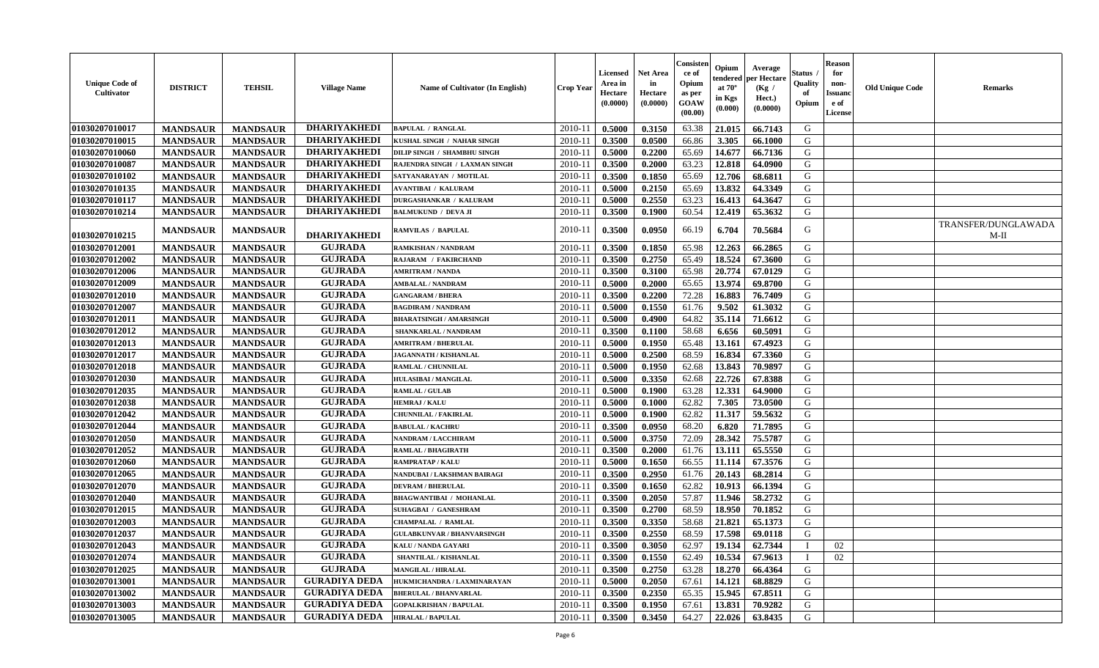| <b>Unique Code of</b><br>Cultivator | <b>DISTRICT</b> | <b>TEHSIL</b>   | <b>Village Name</b>  | Name of Cultivator (In English)   | <b>Crop Year</b> | Licensed<br>Area in<br>Hectare<br>(0.0000) | <b>Net Area</b><br>in<br>Hectare<br>(0.0000) | Consisteı<br>ce of<br>Opium<br>as per<br><b>GOAW</b><br>(00.00) | Opium<br>:endereo<br>at $70^\circ$<br>in Kgs<br>(0.000) | Average<br>per Hectare<br>(Kg /<br>Hect.)<br>(0.0000) | Status<br>Quality<br>of<br>Opium | <b>Reason</b><br>for<br>non-<br><b>Issuano</b><br>e of<br>License | <b>Old Unique Code</b> | <b>Remarks</b>              |
|-------------------------------------|-----------------|-----------------|----------------------|-----------------------------------|------------------|--------------------------------------------|----------------------------------------------|-----------------------------------------------------------------|---------------------------------------------------------|-------------------------------------------------------|----------------------------------|-------------------------------------------------------------------|------------------------|-----------------------------|
| 01030207010017                      | <b>MANDSAUR</b> | <b>MANDSAUR</b> | <b>DHARIYAKHEDI</b>  | <b>BAPULAL / RANGLAL</b>          | 2010-11          | 0.5000                                     | 0.3150                                       | 63.38                                                           | 21.015                                                  | 66.7143                                               | G                                |                                                                   |                        |                             |
| 01030207010015                      | <b>MANDSAUR</b> | <b>MANDSAUR</b> | <b>DHARIYAKHEDI</b>  | KUSHAL SINGH / NAHAR SINGH        | $2010 - 11$      | 0.3500                                     | 0.0500                                       | 66.86                                                           | 3.305                                                   | 66.1000                                               | G                                |                                                                   |                        |                             |
| 01030207010060                      | <b>MANDSAUR</b> | <b>MANDSAUR</b> | <b>DHARIYAKHEDI</b>  | DILIP SINGH / SHAMBHU SINGH       | $2010 - 11$      | 0.5000                                     | 0.2200                                       | 65.69                                                           | 14.677                                                  | 66.7136                                               | G                                |                                                                   |                        |                             |
| 01030207010087                      | <b>MANDSAUR</b> | <b>MANDSAUR</b> | <b>DHARIYAKHEDI</b>  | RAJENDRA SINGH / LAXMAN SINGH     | 2010-11          | 0.3500                                     | 0.2000                                       | 63.23                                                           | 12.818                                                  | 64.0900                                               | G                                |                                                                   |                        |                             |
| 01030207010102                      | <b>MANDSAUR</b> | <b>MANDSAUR</b> | <b>DHARIYAKHEDI</b>  | SATYANARAYAN / MOTILAL            | 2010-11          | 0.3500                                     | 0.1850                                       | 65.69                                                           | 12.706                                                  | 68.6811                                               | G                                |                                                                   |                        |                             |
| 01030207010135                      | <b>MANDSAUR</b> | <b>MANDSAUR</b> | <b>DHARIYAKHEDI</b>  | <b>AVANTIBAI / KALURAM</b>        | 2010-11          | 0.5000                                     | 0.2150                                       | 65.69                                                           | 13.832                                                  | 64.3349                                               | G                                |                                                                   |                        |                             |
| 01030207010117                      | <b>MANDSAUR</b> | <b>MANDSAUR</b> | <b>DHARIYAKHEDI</b>  | <b>DURGASHANKAR / KALURAM</b>     | 2010-11          | 0.5000                                     | 0.2550                                       | 63.23                                                           | 16.413                                                  | 64.3647                                               | G                                |                                                                   |                        |                             |
| 01030207010214                      | <b>MANDSAUR</b> | <b>MANDSAUR</b> | <b>DHARIYAKHEDI</b>  | <b>BALMUKUND / DEVA JI</b>        | 2010-11          | 0.3500                                     | 0.1900                                       | 60.54                                                           | 12.419                                                  | 65.3632                                               | G                                |                                                                   |                        |                             |
| 01030207010215                      | <b>MANDSAUR</b> | <b>MANDSAUR</b> | <b>DHARIYAKHEDI</b>  | RAMVILAS / BAPULAL                | 2010-11          | 0.3500                                     | 0.0950                                       | 66.19                                                           | 6.704                                                   | 70.5684                                               | G                                |                                                                   |                        | TRANSFER/DUNGLAWADA<br>M-II |
| 01030207012001                      | <b>MANDSAUR</b> | <b>MANDSAUR</b> | <b>GUJRADA</b>       | RAMKISHAN / NANDRAM               | 2010-11          | 0.3500                                     | 0.1850                                       | 65.98                                                           | 12.263                                                  | 66.2865                                               | G                                |                                                                   |                        |                             |
| 01030207012002                      | <b>MANDSAUR</b> | <b>MANDSAUR</b> | <b>GUJRADA</b>       | RAJARAM / FAKIRCHAND              | 2010-11          | 0.3500                                     | 0.2750                                       | 65.49                                                           | 18.524                                                  | 67.3600                                               | G                                |                                                                   |                        |                             |
| 01030207012006                      | <b>MANDSAUR</b> | <b>MANDSAUR</b> | <b>GUJRADA</b>       | <b>AMRITRAM / NANDA</b>           | $2010 - 11$      | 0.3500                                     | 0.3100                                       | 65.98                                                           | 20.774                                                  | 67.0129                                               | G                                |                                                                   |                        |                             |
| 01030207012009                      | <b>MANDSAUR</b> | <b>MANDSAUR</b> | <b>GUJRADA</b>       | <b>AMBALAL / NANDRAM</b>          | $2010 - 11$      | 0.5000                                     | 0.2000                                       | 65.65                                                           | 13.974                                                  | 69.8700                                               | G                                |                                                                   |                        |                             |
| 01030207012010                      | <b>MANDSAUR</b> | <b>MANDSAUR</b> | <b>GUJRADA</b>       | <b>GANGARAM / BHERA</b>           | 2010-11          | 0.3500                                     | 0.2200                                       | 72.28                                                           | 16.883                                                  | 76.7409                                               | G                                |                                                                   |                        |                             |
| 01030207012007                      | <b>MANDSAUR</b> | <b>MANDSAUR</b> | <b>GUJRADA</b>       | <b>BAGDIRAM / NANDRAM</b>         | 2010-11          | 0.5000                                     | 0.1550                                       | 61.76                                                           | 9.502                                                   | 61.3032                                               | G                                |                                                                   |                        |                             |
| 01030207012011                      | <b>MANDSAUR</b> | <b>MANDSAUR</b> | <b>GUJRADA</b>       | <b>BHARATSINGH / AMARSINGH</b>    | 2010-11          | 0.5000                                     | 0.4900                                       | 64.82                                                           | 35.114                                                  | 71.6612                                               | G                                |                                                                   |                        |                             |
| 01030207012012                      | <b>MANDSAUR</b> | <b>MANDSAUR</b> | <b>GUJRADA</b>       | <b>SHANKARLAL / NANDRAM</b>       | 2010-11          | 0.3500                                     | 0.1100                                       | 58.68                                                           | 6.656                                                   | 60.5091                                               | G                                |                                                                   |                        |                             |
| 01030207012013                      | <b>MANDSAUR</b> | <b>MANDSAUR</b> | <b>GUJRADA</b>       | <b>AMRITRAM / BHERULAL</b>        | 2010-11          | 0.5000                                     | 0.1950                                       | 65.48                                                           | 13.161                                                  | 67.4923                                               | G                                |                                                                   |                        |                             |
| 01030207012017                      | <b>MANDSAUR</b> | <b>MANDSAUR</b> | <b>GUJRADA</b>       | <b>JAGANNATH / KISHANLAL</b>      | 2010-11          | 0.5000                                     | 0.2500                                       | 68.59                                                           | 16.834                                                  | 67.3360                                               | G                                |                                                                   |                        |                             |
| 01030207012018                      | <b>MANDSAUR</b> | <b>MANDSAUR</b> | <b>GUJRADA</b>       | RAMLAL / CHUNNILAL                | 2010-11          | 0.5000                                     | 0.1950                                       | 62.68                                                           | 13.843                                                  | 70.9897                                               | G                                |                                                                   |                        |                             |
| 01030207012030                      | <b>MANDSAUR</b> | <b>MANDSAUR</b> | <b>GUJRADA</b>       | <b>HULASIBAI / MANGILAL</b>       | 2010-11          | 0.5000                                     | 0.3350                                       | 62.68                                                           | 22.726                                                  | 67.8388                                               | G                                |                                                                   |                        |                             |
| 01030207012035                      | <b>MANDSAUR</b> | <b>MANDSAUR</b> | <b>GUJRADA</b>       | RAMLAL / GULAB                    | 2010-11          | 0.5000                                     | 0.1900                                       | 63.28                                                           | 12.331                                                  | 64.9000                                               | G                                |                                                                   |                        |                             |
| 01030207012038                      | <b>MANDSAUR</b> | <b>MANDSAUR</b> | <b>GUJRADA</b>       | <b>HEMRAJ / KALU</b>              | 2010-11          | 0.5000                                     | 0.1000                                       | 62.82                                                           | 7.305                                                   | 73.0500                                               | G                                |                                                                   |                        |                             |
| 01030207012042                      | <b>MANDSAUR</b> | <b>MANDSAUR</b> | <b>GUJRADA</b>       | <b>CHUNNILAL / FAKIRLAL</b>       | $2010 - 11$      | 0.5000                                     | 0.1900                                       | 62.82                                                           | 11.317                                                  | 59.5632                                               | G                                |                                                                   |                        |                             |
| 01030207012044                      | <b>MANDSAUR</b> | <b>MANDSAUR</b> | <b>GUJRADA</b>       | <b>BABULAL / KACHRU</b>           | 2010-11          | 0.3500                                     | 0.0950                                       | 68.20                                                           | 6.820                                                   | 71.7895                                               | G                                |                                                                   |                        |                             |
| 01030207012050                      | <b>MANDSAUR</b> | <b>MANDSAUR</b> | <b>GUJRADA</b>       | NANDRAM / LACCHIRAM               | 2010-11          | 0.5000                                     | 0.3750                                       | 72.09                                                           | 28.342                                                  | 75.5787                                               | G                                |                                                                   |                        |                             |
| 01030207012052                      | <b>MANDSAUR</b> | <b>MANDSAUR</b> | <b>GUJRADA</b>       | RAMLAL / BHAGIRATH                | 2010-11          | 0.3500                                     | 0.2000                                       | 61.76                                                           | 13.111                                                  | 65.5550                                               | G                                |                                                                   |                        |                             |
| 01030207012060                      | <b>MANDSAUR</b> | <b>MANDSAUR</b> | <b>GUJRADA</b>       | <b>RAMPRATAP / KALU</b>           | 2010-11          | 0.5000                                     | 0.1650                                       | 66.55                                                           | 11.114                                                  | 67.3576                                               | G                                |                                                                   |                        |                             |
| 01030207012065                      | <b>MANDSAUR</b> | <b>MANDSAUR</b> | <b>GUJRADA</b>       | NANDUBAI / LAKSHMAN BAIRAGI       | $2010 - 11$      | 0.3500                                     | 0.2950                                       | 61.76                                                           | 20.143                                                  | 68.2814                                               | G                                |                                                                   |                        |                             |
| 01030207012070                      | <b>MANDSAUR</b> | <b>MANDSAUR</b> | <b>GUJRADA</b>       | <b>DEVRAM / BHERULAL</b>          | 2010-11          | 0.3500                                     | 0.1650                                       | 62.82                                                           | 10.913                                                  | 66.1394                                               | G                                |                                                                   |                        |                             |
| 01030207012040                      | <b>MANDSAUR</b> | <b>MANDSAUR</b> | <b>GUJRADA</b>       | <b>BHAGWANTIBAI / MOHANLAL</b>    | 2010-11          | 0.3500                                     | 0.2050                                       | 57.87                                                           | 11.946                                                  | 58.2732                                               | G                                |                                                                   |                        |                             |
| 01030207012015                      | <b>MANDSAUR</b> | <b>MANDSAUR</b> | <b>GUJRADA</b>       | <b>SUHAGBAI / GANESHRAM</b>       | $2010 - 11$      | 0.3500                                     | 0.2700                                       | 68.59                                                           | 18.950                                                  | 70.1852                                               | G                                |                                                                   |                        |                             |
| 01030207012003                      | <b>MANDSAUR</b> | <b>MANDSAUR</b> | <b>GUJRADA</b>       | <b>CHAMPALAL / RAMLAL</b>         | 2010-11          | 0.3500                                     | 0.3350                                       | 58.68                                                           | 21.821                                                  | 65.1373                                               | G                                |                                                                   |                        |                             |
| 01030207012037                      | <b>MANDSAUR</b> | <b>MANDSAUR</b> | <b>GUJRADA</b>       | <b>GULABKUNVAR / BHANVARSINGH</b> | 2010-11          | 0.3500                                     | 0.2550                                       | 68.59                                                           | 17.598                                                  | 69.0118                                               | G                                |                                                                   |                        |                             |
| 01030207012043                      | <b>MANDSAUR</b> | MANDSAUR        | <b>GUJRADA</b>       | KALU / NANDA GAYARI               | $2010-11$ 0.3500 |                                            | 0.3050                                       | 62.97                                                           |                                                         | $19.134 \mid 62.7344$                                 | $\mathbf{I}$                     | 02                                                                |                        |                             |
| 01030207012074                      | <b>MANDSAUR</b> | <b>MANDSAUR</b> | <b>GUJRADA</b>       | SHANTILAL / KISHANLAL             | 2010-11          | 0.3500                                     | 0.1550                                       | 62.49                                                           | 10.534                                                  | 67.9613                                               |                                  | 02                                                                |                        |                             |
| 01030207012025                      | <b>MANDSAUR</b> | <b>MANDSAUR</b> | <b>GUJRADA</b>       | <b>MANGILAL / HIRALAL</b>         | 2010-11          | 0.3500                                     | 0.2750                                       | 63.28                                                           | 18.270                                                  | 66.4364                                               | G                                |                                                                   |                        |                             |
| 01030207013001                      | <b>MANDSAUR</b> | <b>MANDSAUR</b> | <b>GURADIYA DEDA</b> | HUKMICHANDRA / LAXMINARAYAN       | 2010-11          | 0.5000                                     | 0.2050                                       | 67.61                                                           | 14.121                                                  | 68.8829                                               | G                                |                                                                   |                        |                             |
| 01030207013002                      | <b>MANDSAUR</b> | <b>MANDSAUR</b> | <b>GURADIYA DEDA</b> | <b>BHERULAL / BHANVARLAL</b>      | 2010-11          | 0.3500                                     | 0.2350                                       | 65.35                                                           | 15.945                                                  | 67.8511                                               | G                                |                                                                   |                        |                             |
| 01030207013003                      | <b>MANDSAUR</b> | <b>MANDSAUR</b> | <b>GURADIYA DEDA</b> | <b>GOPALKRISHAN / BAPULAL</b>     | 2010-11          | 0.3500                                     | 0.1950                                       | 67.61                                                           | 13.831                                                  | 70.9282                                               | G                                |                                                                   |                        |                             |
| 01030207013005                      | <b>MANDSAUR</b> | <b>MANDSAUR</b> | <b>GURADIYA DEDA</b> | <b>HIRALAL / BAPULAL</b>          | $2010-11$        | 0.3500                                     | 0.3450                                       | 64.27                                                           | 22.026                                                  | 63.8435                                               | G                                |                                                                   |                        |                             |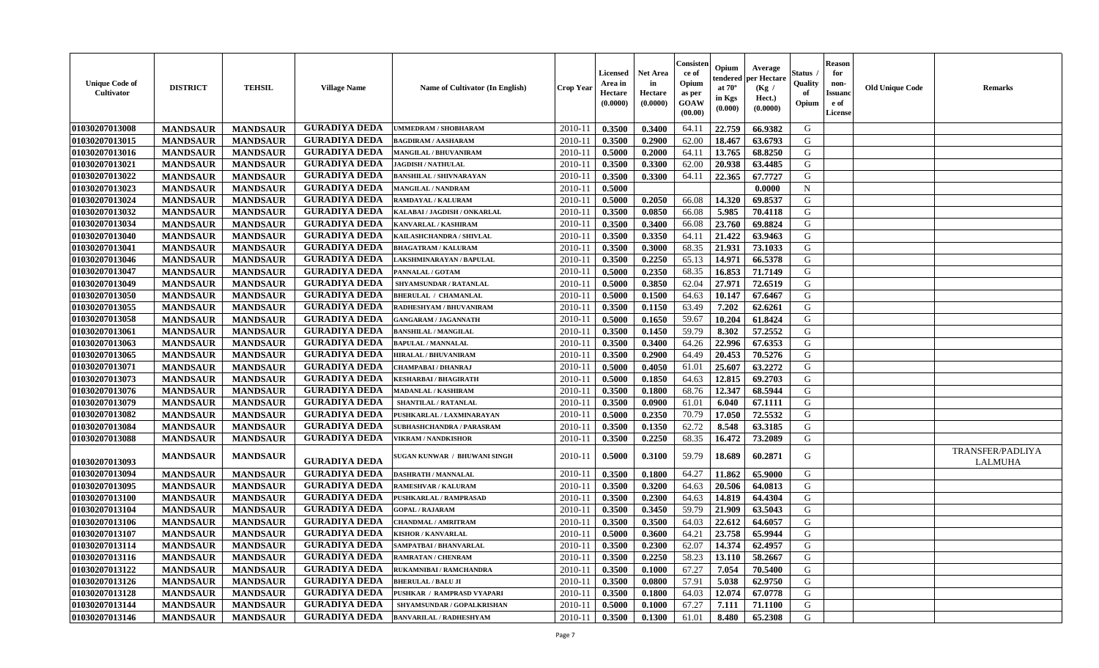| <b>Unique Code of</b><br><b>Cultivator</b> | <b>DISTRICT</b> | <b>TEHSIL</b>   | <b>Village Name</b>  | <b>Name of Cultivator (In English)</b> | <b>Crop Year</b> | <b>Licensed</b><br>Area in<br>Hectare<br>(0.0000) | <b>Net Area</b><br>in<br>Hectare<br>(0.0000) | Consister<br>ce of<br>Opium<br>as per<br><b>GOAW</b><br>(00.00) | Opium<br>endered<br>at $70^\circ$<br>in Kgs<br>$(\mathbf{0.000})$ | Average<br>per Hectare<br>(Kg /<br>Hect.)<br>(0.0000) | Status<br>Quality<br>of<br>Opium | <b>Reason</b><br>for<br>non-<br><b>Issuano</b><br>e of<br>License | <b>Old Unique Code</b> | <b>Remarks</b>                     |
|--------------------------------------------|-----------------|-----------------|----------------------|----------------------------------------|------------------|---------------------------------------------------|----------------------------------------------|-----------------------------------------------------------------|-------------------------------------------------------------------|-------------------------------------------------------|----------------------------------|-------------------------------------------------------------------|------------------------|------------------------------------|
| 01030207013008                             | <b>MANDSAUR</b> | <b>MANDSAUR</b> | <b>GURADIYA DEDA</b> | UMMEDRAM / SHOBHARAM                   | 2010-11          | 0.3500                                            | 0.3400                                       | 64.11                                                           | 22.759                                                            | 66.9382                                               | G                                |                                                                   |                        |                                    |
| 01030207013015                             | <b>MANDSAUR</b> | <b>MANDSAUR</b> | <b>GURADIYA DEDA</b> | <b>BAGDIRAM / AASHARAM</b>             | $2010 - 11$      | 0.3500                                            | 0.2900                                       | 62.00                                                           | 18.467                                                            | 63.6793                                               | G                                |                                                                   |                        |                                    |
| 01030207013016                             | <b>MANDSAUR</b> | <b>MANDSAUR</b> | <b>GURADIYA DEDA</b> | MANGILAL / BHUVANIRAM                  | $2010 - 1$       | 0.5000                                            | 0.2000                                       | 64.11                                                           | 13.765                                                            | 68.8250                                               | G                                |                                                                   |                        |                                    |
| 01030207013021                             | <b>MANDSAUR</b> | <b>MANDSAUR</b> | <b>GURADIYA DEDA</b> | <b>JAGDISH / NATHULAL</b>              | 2010-11          | 0.3500                                            | 0.3300                                       | 62.00                                                           | 20.938                                                            | 63.4485                                               | G                                |                                                                   |                        |                                    |
| 01030207013022                             | <b>MANDSAUR</b> | <b>MANDSAUR</b> | <b>GURADIYA DEDA</b> | <b>BANSHILAL / SHIVNARAYAN</b>         | 2010-11          | 0.3500                                            | 0.3300                                       | 64.11                                                           | 22.365                                                            | 67.7727                                               | G                                |                                                                   |                        |                                    |
| 01030207013023                             | <b>MANDSAUR</b> | <b>MANDSAUR</b> | <b>GURADIYA DEDA</b> | MANGILAL / NANDRAM                     | 2010-11          | 0.5000                                            |                                              |                                                                 |                                                                   | 0.0000                                                | $\mathbf N$                      |                                                                   |                        |                                    |
| 01030207013024                             | <b>MANDSAUR</b> | <b>MANDSAUR</b> | <b>GURADIYA DEDA</b> | RAMDAYAL / KALURAM                     | 2010-11          | 0.5000                                            | 0.2050                                       | 66.08                                                           | 14.320                                                            | 69.8537                                               | G                                |                                                                   |                        |                                    |
| 01030207013032                             | <b>MANDSAUR</b> | <b>MANDSAUR</b> | <b>GURADIYA DEDA</b> | KALABAI / JAGDISH / ONKARLAL           | $2010 - 11$      | 0.3500                                            | 0.0850                                       | 66.08                                                           | 5.985                                                             | 70.4118                                               | G                                |                                                                   |                        |                                    |
| 01030207013034                             | <b>MANDSAUR</b> | <b>MANDSAUR</b> | <b>GURADIYA DEDA</b> | KANVARLAL / KASHIRAM                   | 2010-11          | 0.3500                                            | 0.3400                                       | 66.08                                                           | 23.760                                                            | 69.8824                                               | G                                |                                                                   |                        |                                    |
| 01030207013040                             | <b>MANDSAUR</b> | <b>MANDSAUR</b> | <b>GURADIYA DEDA</b> | KAILASHCHANDRA / SHIVLAL               | $2010 - 11$      | 0.3500                                            | 0.3350                                       | 64.11                                                           | 21.422                                                            | 63.9463                                               | G                                |                                                                   |                        |                                    |
| 01030207013041                             | <b>MANDSAUR</b> | <b>MANDSAUR</b> | <b>GURADIYA DEDA</b> | <b>BHAGATRAM / KALURAM</b>             | 2010-11          | 0.3500                                            | 0.3000                                       | 68.35                                                           | 21.931                                                            | 73.1033                                               | G                                |                                                                   |                        |                                    |
| 01030207013046                             | <b>MANDSAUR</b> | <b>MANDSAUR</b> | <b>GURADIYA DEDA</b> | LAKSHMINARAYAN / BAPULAL               | 2010-11          | 0.3500                                            | 0.2250                                       | 65.13                                                           | 14.971                                                            | 66.5378                                               | G                                |                                                                   |                        |                                    |
| 01030207013047                             | <b>MANDSAUR</b> | <b>MANDSAUR</b> | <b>GURADIYA DEDA</b> | PANNALAL / GOTAM                       | 2010-11          | 0.5000                                            | 0.2350                                       | 68.35                                                           | 16.853                                                            | 71.7149                                               | G                                |                                                                   |                        |                                    |
| 01030207013049                             | <b>MANDSAUR</b> | <b>MANDSAUR</b> | <b>GURADIYA DEDA</b> | SHYAMSUNDAR / RATANLAL                 | 2010-11          | 0.5000                                            | 0.3850                                       | 62.04                                                           | 27.971                                                            | 72.6519                                               | G                                |                                                                   |                        |                                    |
| 01030207013050                             | <b>MANDSAUR</b> | <b>MANDSAUR</b> | <b>GURADIYA DEDA</b> | <b>BHERULAL / CHAMANLAL</b>            | 2010-11          | 0.5000                                            | 0.1500                                       | 64.63                                                           | 10.147                                                            | 67.6467                                               | G                                |                                                                   |                        |                                    |
| 01030207013055                             | <b>MANDSAUR</b> | <b>MANDSAUR</b> | <b>GURADIYA DEDA</b> | <b>RADHESHYAM / BHUVANIRAM</b>         | 2010-11          | 0.3500                                            | 0.1150                                       | 63.49                                                           | 7.202                                                             | 62.6261                                               | G                                |                                                                   |                        |                                    |
| 01030207013058                             | <b>MANDSAUR</b> | <b>MANDSAUR</b> | <b>GURADIYA DEDA</b> | <b>GANGARAM / JAGANNATH</b>            | 2010-11          | 0.5000                                            | 0.1650                                       | 59.67                                                           | 10.204                                                            | 61.8424                                               | G                                |                                                                   |                        |                                    |
| 01030207013061                             | <b>MANDSAUR</b> | <b>MANDSAUR</b> | <b>GURADIYA DEDA</b> | <b>BANSHILAL / MANGILAL</b>            | 2010-11          | 0.3500                                            | 0.1450                                       | 59.79                                                           | 8.302                                                             | 57.2552                                               | G                                |                                                                   |                        |                                    |
| 01030207013063                             | <b>MANDSAUR</b> | <b>MANDSAUR</b> | <b>GURADIYA DEDA</b> | <b>BAPULAL / MANNALAL</b>              | 2010-11          | 0.3500                                            | 0.3400                                       | 64.26                                                           | 22.996                                                            | 67.6353                                               | G                                |                                                                   |                        |                                    |
| 01030207013065                             | <b>MANDSAUR</b> | <b>MANDSAUR</b> | <b>GURADIYA DEDA</b> | <b>HIRALAL / BHUVANIRAM</b>            | 2010-11          | 0.3500                                            | 0.2900                                       | 64.49                                                           | 20.453                                                            | 70.5276                                               | G                                |                                                                   |                        |                                    |
| 01030207013071                             | <b>MANDSAUR</b> | <b>MANDSAUR</b> | <b>GURADIYA DEDA</b> | CHAMPABAI / DHANRAJ                    | $2010 - 11$      | 0.5000                                            | 0.4050                                       | 61.01                                                           | 25.607                                                            | 63.2272                                               | G                                |                                                                   |                        |                                    |
| 01030207013073                             | <b>MANDSAUR</b> | <b>MANDSAUR</b> | <b>GURADIYA DEDA</b> | KESHARBAI / BHAGIRATH                  | 2010-11          | 0.5000                                            | 0.1850                                       | 64.63                                                           | 12.815                                                            | 69.2703                                               | G                                |                                                                   |                        |                                    |
| 01030207013076                             | <b>MANDSAUR</b> | <b>MANDSAUR</b> | <b>GURADIYA DEDA</b> | <b>MADANLAL / KASHIRAM</b>             | 2010-11          | 0.3500                                            | 0.1800                                       | 68.76                                                           | 12.347                                                            | 68.5944                                               | G                                |                                                                   |                        |                                    |
| 01030207013079                             | <b>MANDSAUR</b> | <b>MANDSAUR</b> | <b>GURADIYA DEDA</b> | SHANTILAL / RATANLAL                   | $2010 - 11$      | 0.3500                                            | 0.0900                                       | 61.01                                                           | 6.040                                                             | 67.1111                                               | G                                |                                                                   |                        |                                    |
| 01030207013082                             | <b>MANDSAUR</b> | <b>MANDSAUR</b> | <b>GURADIYA DEDA</b> | PUSHKARLAL / LAXMINARAYAN              | $2010 - 1$       | 0.5000                                            | 0.2350                                       | 70.79                                                           | 17.050                                                            | 72.5532                                               | G                                |                                                                   |                        |                                    |
| 01030207013084                             | <b>MANDSAUR</b> | <b>MANDSAUR</b> | <b>GURADIYA DEDA</b> | <b>SUBHASHCHANDRA / PARASRAM</b>       | 2010-11          | 0.3500                                            | 0.1350                                       | 62.72                                                           | 8.548                                                             | 63.3185                                               | G                                |                                                                   |                        |                                    |
| 01030207013088                             | <b>MANDSAUR</b> | <b>MANDSAUR</b> | <b>GURADIYA DEDA</b> | <b>VIKRAM / NANDKISHOR</b>             | 2010-11          | 0.3500                                            | 0.2250                                       | 68.35                                                           | 16.472                                                            | 73.2089                                               | G                                |                                                                   |                        |                                    |
| 01030207013093                             | <b>MANDSAUR</b> | <b>MANDSAUR</b> | <b>GURADIYA DEDA</b> | SUGAN KUNWAR / BHUWANI SINGH           | 2010-11          | 0.5000                                            | 0.3100                                       | 59.79                                                           | 18.689                                                            | 60.2871                                               | G                                |                                                                   |                        | TRANSFER/PADLIYA<br><b>LALMUHA</b> |
| 01030207013094                             | <b>MANDSAUR</b> | <b>MANDSAUR</b> | <b>GURADIYA DEDA</b> | <b>DASHRATH / MANNALAL</b>             | $2010 - 11$      | 0.3500                                            | 0.1800                                       | 64.27                                                           | 11.862                                                            | 65.9000                                               | G                                |                                                                   |                        |                                    |
| 01030207013095                             | <b>MANDSAUR</b> | <b>MANDSAUR</b> | <b>GURADIYA DEDA</b> | <b>RAMESHVAR / KALURAM</b>             | 2010-11          | 0.3500                                            | 0.3200                                       | 64.63                                                           | 20.506                                                            | 64.0813                                               | G                                |                                                                   |                        |                                    |
| 01030207013100                             | <b>MANDSAUR</b> | <b>MANDSAUR</b> | <b>GURADIYA DEDA</b> | PUSHKARLAL / RAMPRASAD                 | 2010-11          | 0.3500                                            | 0.2300                                       | 64.63                                                           | 14.819                                                            | 64.4304                                               | G                                |                                                                   |                        |                                    |
| 01030207013104                             | <b>MANDSAUR</b> | <b>MANDSAUR</b> | <b>GURADIYA DEDA</b> | <b>GOPAL / RAJARAM</b>                 | $2010 - 11$      | 0.3500                                            | 0.3450                                       | 59.79                                                           | 21.909                                                            | 63.5043                                               | G                                |                                                                   |                        |                                    |
| 01030207013106                             | <b>MANDSAUR</b> | <b>MANDSAUR</b> | <b>GURADIYA DEDA</b> | <b>CHANDMAL / AMRITRAM</b>             | 2010-11          | 0.3500                                            | 0.3500                                       | 64.03                                                           | 22.612                                                            | 64.6057                                               | G                                |                                                                   |                        |                                    |
| 01030207013107                             | <b>MANDSAUR</b> | <b>MANDSAUR</b> | <b>GURADIYA DEDA</b> | <b>KISHOR / KANVARLAL</b>              | 2010-11          | 0.5000                                            | 0.3600                                       | 64.21                                                           | 23.758                                                            | 65.9944                                               | G                                |                                                                   |                        |                                    |
| 01030207013114                             | <b>MANDSAUR</b> | <b>MANDSAUR</b> | <b>GURADIYA DEDA</b> | <b>SAMPATBAI / BHANVARLAL</b>          | $2010-11$ 0.3500 |                                                   | 0.2300                                       | 62.07                                                           | 14.374 62.4957                                                    |                                                       | G                                |                                                                   |                        |                                    |
| 01030207013116                             | <b>MANDSAUR</b> | <b>MANDSAUR</b> | <b>GURADIYA DEDA</b> | RAMRATAN / CHENRAM                     | 2010-11          | 0.3500                                            | 0.2250                                       | 58.23                                                           | 13.110                                                            | 58.2667                                               | G                                |                                                                   |                        |                                    |
| 01030207013122                             | <b>MANDSAUR</b> | <b>MANDSAUR</b> | <b>GURADIYA DEDA</b> | RUKAMNIBAI / RAMCHANDRA                | 2010-11          | 0.3500                                            | 0.1000                                       | 67.27                                                           | 7.054                                                             | 70.5400                                               | G                                |                                                                   |                        |                                    |
| 01030207013126                             | <b>MANDSAUR</b> | <b>MANDSAUR</b> | <b>GURADIYA DEDA</b> | <b>BHERULAL / BALU JI</b>              | 2010-11          | 0.3500                                            | 0.0800                                       | 57.91                                                           | 5.038                                                             | 62.9750                                               | G                                |                                                                   |                        |                                    |
| 01030207013128                             | <b>MANDSAUR</b> | <b>MANDSAUR</b> | <b>GURADIYA DEDA</b> | PUSHKAR / RAMPRASD VYAPARI             | 2010-11          | 0.3500                                            | 0.1800                                       | 64.03                                                           | 12.074                                                            | 67.0778                                               | G                                |                                                                   |                        |                                    |
| 01030207013144                             | <b>MANDSAUR</b> | <b>MANDSAUR</b> | <b>GURADIYA DEDA</b> | SHYAMSUNDAR / GOPALKRISHAN             | 2010-11          | 0.5000                                            | 0.1000                                       | 67.27                                                           | 7.111                                                             | 71.1100                                               | G                                |                                                                   |                        |                                    |
| 01030207013146                             | <b>MANDSAUR</b> | <b>MANDSAUR</b> | <b>GURADIYA DEDA</b> | <b>BANVARILAL / RADHESHYAM</b>         | 2010-11          | 0.3500                                            | 0.1300                                       | 61.01                                                           | 8.480                                                             | 65.2308                                               | G                                |                                                                   |                        |                                    |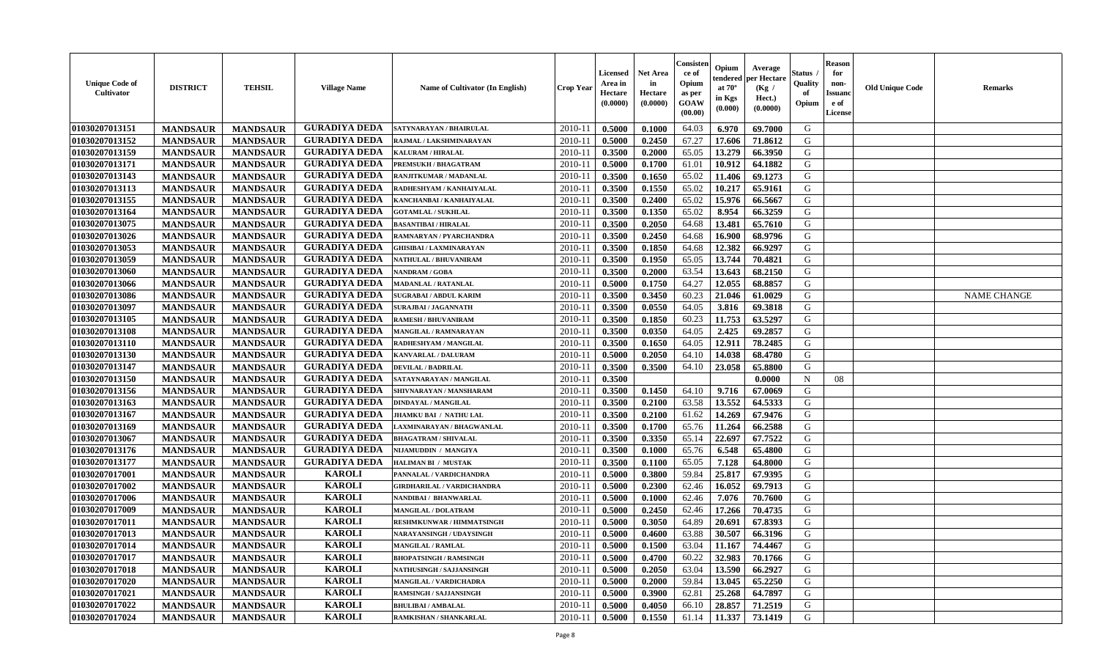| <b>Unique Code of</b><br><b>Cultivator</b> | <b>DISTRICT</b> | <b>TEHSIL</b>   | <b>Village Name</b>  | <b>Name of Cultivator (In English)</b> | <b>Crop Year</b> | <b>Licensed</b><br>Area in<br>Hectare<br>(0.0000) | Net Area<br>in<br>Hectare<br>(0.0000) | Consisteı<br>ce of<br>Opium<br>as per<br>GOAW<br>(00.00) | Opium<br>endered<br>at $70^\circ$<br>in Kgs<br>(0.000) | Average<br>per Hectare<br>(Kg /<br>Hect.)<br>(0.0000) | Status<br>Quality<br>of<br>Opium | <b>Reason</b><br>for<br>non-<br>Issuano<br>e of<br>License | <b>Old Unique Code</b> | Remarks            |
|--------------------------------------------|-----------------|-----------------|----------------------|----------------------------------------|------------------|---------------------------------------------------|---------------------------------------|----------------------------------------------------------|--------------------------------------------------------|-------------------------------------------------------|----------------------------------|------------------------------------------------------------|------------------------|--------------------|
| 01030207013151                             | <b>MANDSAUR</b> | <b>MANDSAUR</b> | <b>GURADIYA DEDA</b> | SATYNARAYAN / BHAIRULAL                | 2010-11          | 0.5000                                            | 0.1000                                | 64.03                                                    | 6.970                                                  | 69.7000                                               | G                                |                                                            |                        |                    |
| 01030207013152                             | <b>MANDSAUR</b> | <b>MANDSAUR</b> | <b>GURADIYA DEDA</b> | RAJMAL / LAKSHMINARAYAN                | 2010-11          | 0.5000                                            | 0.2450                                | 67.27                                                    | 17.606                                                 | 71.8612                                               | G                                |                                                            |                        |                    |
| 01030207013159                             | <b>MANDSAUR</b> | <b>MANDSAUR</b> | <b>GURADIYA DEDA</b> | <b>KALURAM / HIRALAL</b>               | 2010-11          | 0.3500                                            | 0.2000                                | 65.05                                                    | 13.279                                                 | 66.3950                                               | G                                |                                                            |                        |                    |
| 01030207013171                             | <b>MANDSAUR</b> | <b>MANDSAUR</b> | <b>GURADIYA DEDA</b> | PREMSUKH / BHAGATRAM                   | 2010-11          | 0.5000                                            | 0.1700                                | 61.01                                                    | 10.912                                                 | 64.1882                                               | G                                |                                                            |                        |                    |
| 01030207013143                             | <b>MANDSAUR</b> | <b>MANDSAUR</b> | <b>GURADIYA DEDA</b> | RANJITKUMAR / MADANLAL                 | 2010-11          | 0.3500                                            | 0.1650                                | 65.02                                                    | 11.406                                                 | 69.1273                                               | G                                |                                                            |                        |                    |
| 01030207013113                             | <b>MANDSAUR</b> | <b>MANDSAUR</b> | <b>GURADIYA DEDA</b> | RADHESHYAM / KANHAIYALAL               | 2010-11          | 0.3500                                            | 0.1550                                | 65.02                                                    | 10.217                                                 | 65.9161                                               | G                                |                                                            |                        |                    |
| 01030207013155                             | <b>MANDSAUR</b> | <b>MANDSAUR</b> | <b>GURADIYA DEDA</b> | KANCHANBAI / KANHAIYALAL               | $2010 - 11$      | 0.3500                                            | 0.2400                                | 65.02                                                    | 15.976                                                 | 66.5667                                               | G                                |                                                            |                        |                    |
| 01030207013164                             | <b>MANDSAUR</b> | <b>MANDSAUR</b> | <b>GURADIYA DEDA</b> | <b>GOTAMLAL / SUKHLAL</b>              | 2010-11          | 0.3500                                            | 0.1350                                | 65.02                                                    | 8.954                                                  | 66.3259                                               | G                                |                                                            |                        |                    |
| 01030207013075                             | <b>MANDSAUR</b> | <b>MANDSAUR</b> | <b>GURADIYA DEDA</b> | <b>BASANTIBAI / HIRALAL</b>            | 2010-11          | 0.3500                                            | 0.2050                                | 64.68                                                    | 13.481                                                 | 65.7610                                               | G                                |                                                            |                        |                    |
| 01030207013026                             | <b>MANDSAUR</b> | <b>MANDSAUR</b> | <b>GURADIYA DEDA</b> | RAMNARYAN / PYARCHANDRA                | 2010-11          | 0.3500                                            | 0.2450                                | 64.68                                                    | 16.900                                                 | 68.9796                                               | G                                |                                                            |                        |                    |
| 01030207013053                             | <b>MANDSAUR</b> | <b>MANDSAUR</b> | <b>GURADIYA DEDA</b> | <b>GHISIBAI/LAXMINARAYAN</b>           | 2010-11          | 0.3500                                            | 0.1850                                | 64.68                                                    | 12.382                                                 | 66.9297                                               | G                                |                                                            |                        |                    |
| 01030207013059                             | <b>MANDSAUR</b> | <b>MANDSAUR</b> | <b>GURADIYA DEDA</b> | NATHULAL / BHUVANIRAM                  | 2010-11          | 0.3500                                            | 0.1950                                | 65.05                                                    | 13.744                                                 | 70.4821                                               | G                                |                                                            |                        |                    |
| 01030207013060                             | <b>MANDSAUR</b> | <b>MANDSAUR</b> | <b>GURADIYA DEDA</b> | NANDRAM / GOBA                         | 2010-11          | 0.3500                                            | 0.2000                                | 63.54                                                    | 13.643                                                 | 68.2150                                               | G                                |                                                            |                        |                    |
| 01030207013066                             | <b>MANDSAUR</b> | <b>MANDSAUR</b> | <b>GURADIYA DEDA</b> | <b>MADANLAL / RATANLAL</b>             | 2010-11          | 0.5000                                            | 0.1750                                | 64.27                                                    | 12.055                                                 | 68.8857                                               | G                                |                                                            |                        |                    |
| 01030207013086                             | <b>MANDSAUR</b> | <b>MANDSAUR</b> | <b>GURADIYA DEDA</b> | SUGRABAI / ABDUL KARIM                 | 2010-11          | 0.3500                                            | 0.3450                                | 60.23                                                    | 21.046                                                 | 61.0029                                               | $\mathbf G$                      |                                                            |                        | <b>NAME CHANGE</b> |
| 01030207013097                             | <b>MANDSAUR</b> | <b>MANDSAUR</b> | <b>GURADIYA DEDA</b> | <b>SURAJBAI / JAGANNATH</b>            | 2010-11          | 0.3500                                            | 0.0550                                | 64.05                                                    | 3.816                                                  | 69.3818                                               | G                                |                                                            |                        |                    |
| 01030207013105                             | <b>MANDSAUR</b> | <b>MANDSAUR</b> | <b>GURADIYA DEDA</b> | <b>RAMESH / BHUVANIRAM</b>             | 2010-11          | 0.3500                                            | 0.1850                                | 60.23                                                    | 11.753                                                 | 63.5297                                               | G                                |                                                            |                        |                    |
| 01030207013108                             | <b>MANDSAUR</b> | <b>MANDSAUR</b> | <b>GURADIYA DEDA</b> | MANGILAL / RAMNARAYAN                  | 2010-11          | 0.3500                                            | 0.0350                                | 64.05                                                    | 2.425                                                  | 69.2857                                               | G                                |                                                            |                        |                    |
| 01030207013110                             | <b>MANDSAUR</b> | <b>MANDSAUR</b> | <b>GURADIYA DEDA</b> | RADHESHYAM / MANGILAL                  | 2010-11          | 0.3500                                            | 0.1650                                | 64.05                                                    | 12.911                                                 | 78.2485                                               | G                                |                                                            |                        |                    |
| 01030207013130                             | <b>MANDSAUR</b> | <b>MANDSAUR</b> | <b>GURADIYA DEDA</b> | KANVARLAL / DALURAM                    | 2010-11          | 0.5000                                            | 0.2050                                | 64.10                                                    | 14.038                                                 | 68.4780                                               | G                                |                                                            |                        |                    |
| 01030207013147                             | <b>MANDSAUR</b> | <b>MANDSAUR</b> | <b>GURADIYA DEDA</b> | <b>DEVILAL / BADRILAL</b>              | 2010-11          | 0.3500                                            | 0.3500                                | 64.10                                                    | 23.058                                                 | 65.8800                                               | G                                |                                                            |                        |                    |
| 01030207013150                             | <b>MANDSAUR</b> | <b>MANDSAUR</b> | <b>GURADIYA DEDA</b> | SATAYNARAYAN / MANGILAL                | 2010-11          | 0.3500                                            |                                       |                                                          |                                                        | 0.0000                                                | $\mathbf N$                      | 08                                                         |                        |                    |
| 01030207013156                             | <b>MANDSAUR</b> | <b>MANDSAUR</b> | <b>GURADIYA DEDA</b> | SHIVNARAYAN / MANSHARAM                | 2010-11          | 0.3500                                            | 0.1450                                | 64.10                                                    | 9.716                                                  | 67.0069                                               | G                                |                                                            |                        |                    |
| 01030207013163                             | <b>MANDSAUR</b> | <b>MANDSAUR</b> | <b>GURADIYA DEDA</b> | <b>DINDAYAL / MANGILAL</b>             | 2010-11          | 0.3500                                            | 0.2100                                | 63.58                                                    | 13.552                                                 | 64.5333                                               | G                                |                                                            |                        |                    |
| 01030207013167                             | <b>MANDSAUR</b> | <b>MANDSAUR</b> | <b>GURADIYA DEDA</b> | JHAMKU BAI / NATHU LAL                 | 2010-11          | 0.3500                                            | 0.2100                                | 61.62                                                    | 14.269                                                 | 67.9476                                               | G                                |                                                            |                        |                    |
| 01030207013169                             | <b>MANDSAUR</b> | <b>MANDSAUR</b> | <b>GURADIYA DEDA</b> | LAXMINARAYAN / BHAGWANLAL              | 2010-11          | 0.3500                                            | 0.1700                                | 65.76                                                    | 11.264                                                 | 66.2588                                               | G                                |                                                            |                        |                    |
| 01030207013067                             | <b>MANDSAUR</b> | <b>MANDSAUR</b> | <b>GURADIYA DEDA</b> | <b>BHAGATRAM / SHIVALAL</b>            | 2010-11          | 0.3500                                            | 0.3350                                | 65.14                                                    | 22.697                                                 | 67.7522                                               | G                                |                                                            |                        |                    |
| 01030207013176                             | <b>MANDSAUR</b> | <b>MANDSAUR</b> | <b>GURADIYA DEDA</b> | NIJAMUDDIN / MANGIYA                   | 2010-11          | 0.3500                                            | 0.1000                                | 65.76                                                    | 6.548                                                  | 65.4800                                               | G                                |                                                            |                        |                    |
| 01030207013177                             | <b>MANDSAUR</b> | <b>MANDSAUR</b> | <b>GURADIYA DEDA</b> | HALIMAN BI / MUSTAK                    | 2010-11          | 0.3500                                            | 0.1100                                | 65.05                                                    | 7.128                                                  | 64.8000                                               | G                                |                                                            |                        |                    |
| 01030207017001                             | <b>MANDSAUR</b> | <b>MANDSAUR</b> | <b>KAROLI</b>        | PANNALAL / VARDICHANDRA                | 2010-11          | 0.5000                                            | 0.3800                                | 59.84                                                    | 25.817                                                 | 67.9395                                               | G                                |                                                            |                        |                    |
| 01030207017002                             | <b>MANDSAUR</b> | <b>MANDSAUR</b> | <b>KAROLI</b>        | <b>GIRDHARILAL / VARDICHANDRA</b>      | 2010-11          | 0.5000                                            | 0.2300                                | 62.46                                                    | 16.052                                                 | 69.7913                                               | G                                |                                                            |                        |                    |
| 01030207017006                             | <b>MANDSAUR</b> | <b>MANDSAUR</b> | <b>KAROLI</b>        | NANDIBAI / BHANWARLAL                  | 2010-11          | 0.5000                                            | 0.1000                                | 62.46                                                    | 7.076                                                  | 70.7600                                               | G                                |                                                            |                        |                    |
| 01030207017009                             | <b>MANDSAUR</b> | <b>MANDSAUR</b> | <b>KAROLI</b>        | <b>MANGILAL / DOLATRAM</b>             | 2010-11          | 0.5000                                            | 0.2450                                | 62.46                                                    | 17.266                                                 | 70.4735                                               | G                                |                                                            |                        |                    |
| 01030207017011                             | <b>MANDSAUR</b> | <b>MANDSAUR</b> | <b>KAROLI</b>        | <b>RESHMKUNWAR / HIMMATSINGH</b>       | 2010-11          | 0.5000                                            | 0.3050                                | 64.89                                                    | 20.691                                                 | 67.8393                                               | G                                |                                                            |                        |                    |
| 01030207017013                             | <b>MANDSAUR</b> | <b>MANDSAUR</b> | <b>KAROLI</b>        | NARAYANSINGH / UDAYSINGH               | 2010-11          | 0.5000                                            | 0.4600                                | 63.88                                                    | 30.507                                                 | 66.3196                                               | G                                |                                                            |                        |                    |
| 01030207017014                             | <b>MANDSAUR</b> | <b>MANDSAUR</b> | <b>KAROLI</b>        | <b>MANGILAL / RAMLAL</b>               | 2010-11          | 0.5000                                            | 0.1500                                | 63.04                                                    | 11.167                                                 | 74.4467                                               | G                                |                                                            |                        |                    |
| 01030207017017                             | <b>MANDSAUR</b> | <b>MANDSAUR</b> | <b>KAROLI</b>        | <b>BHOPATSINGH / RAMSINGH</b>          | 2010-11          | 0.5000                                            | 0.4700                                | 60.22                                                    | 32.983                                                 | 70.1766                                               | G                                |                                                            |                        |                    |
| 01030207017018                             | <b>MANDSAUR</b> | <b>MANDSAUR</b> | <b>KAROLI</b>        | NATHUSINGH / SAJJANSINGH               | 2010-11          | 0.5000                                            | 0.2050                                | 63.04                                                    | 13.590                                                 | 66.2927                                               | G                                |                                                            |                        |                    |
| 01030207017020                             | <b>MANDSAUR</b> | <b>MANDSAUR</b> | <b>KAROLI</b>        | <b>MANGILAL / VARDICHADRA</b>          | 2010-11          | 0.5000                                            | 0.2000                                | 59.84                                                    | 13.045                                                 | 65.2250                                               | G                                |                                                            |                        |                    |
| 01030207017021                             | <b>MANDSAUR</b> | <b>MANDSAUR</b> | <b>KAROLI</b>        | <b>RAMSINGH / SAJJANSINGH</b>          | 2010-11          | 0.5000                                            | 0.3900                                | 62.81                                                    | 25.268                                                 | 64.7897                                               | ${\bf G}$                        |                                                            |                        |                    |
| 01030207017022                             | <b>MANDSAUR</b> | <b>MANDSAUR</b> | <b>KAROLI</b>        | <b>BHULIBAI/AMBALAL</b>                | 2010-11          | 0.5000                                            | 0.4050                                | 66.10                                                    | 28.857                                                 | 71.2519                                               | G                                |                                                            |                        |                    |
| 01030207017024                             | <b>MANDSAUR</b> | <b>MANDSAUR</b> | <b>KAROLI</b>        | RAMKISHAN / SHANKARLAL                 | 2010-11          | 0.5000                                            | 0.1550                                | 61.14                                                    | 11.337                                                 | 73.1419                                               | G                                |                                                            |                        |                    |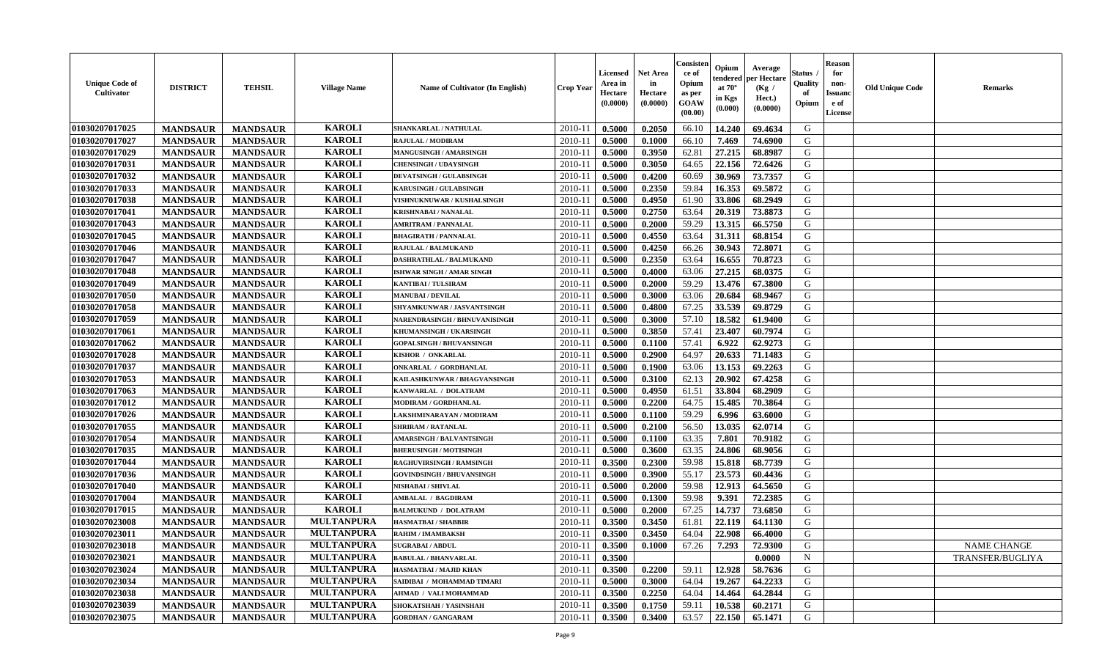| <b>Unique Code of</b><br><b>Cultivator</b> | <b>DISTRICT</b> | <b>TEHSIL</b>   | <b>Village Name</b> | Name of Cultivator (In English)  | <b>Crop Year</b> | <b>Licensed</b><br>Area in<br>Hectare<br>(0.0000) | <b>Net Area</b><br>in<br>Hectare<br>(0.0000) | Consisteı<br>ce of<br>Opium<br>as per<br><b>GOAW</b><br>(00.00) | Opium<br>endered<br>at $70^\circ$<br>in Kgs<br>$(\mathbf{0.000})$ | Average<br>per Hectare<br>(Kg)<br>Hect.)<br>(0.0000) | Status<br>Quality<br>of<br>Opium | Reason<br>for<br>non-<br>Issuan<br>e of<br><b>License</b> | <b>Old Unique Code</b> | <b>Remarks</b>   |
|--------------------------------------------|-----------------|-----------------|---------------------|----------------------------------|------------------|---------------------------------------------------|----------------------------------------------|-----------------------------------------------------------------|-------------------------------------------------------------------|------------------------------------------------------|----------------------------------|-----------------------------------------------------------|------------------------|------------------|
| 01030207017025                             | <b>MANDSAUR</b> | <b>MANDSAUR</b> | <b>KAROLI</b>       | SHANKARLAL / NATHULAL            | 2010-11          | 0.5000                                            | 0.2050                                       | 66.10                                                           | 14.240                                                            | 69.4634                                              | G                                |                                                           |                        |                  |
| 01030207017027                             | <b>MANDSAUR</b> | <b>MANDSAUR</b> | <b>KAROLI</b>       | RAJULAL / MODIRAM                | $2010 - 11$      | 0.5000                                            | 0.1000                                       | 66.10                                                           | 7.469                                                             | 74.6900                                              | G                                |                                                           |                        |                  |
| 01030207017029                             | <b>MANDSAUR</b> | <b>MANDSAUR</b> | <b>KAROLI</b>       | MANGUSINGH / AMARSINGH           | 2010-11          | 0.5000                                            | 0.3950                                       | 62.81                                                           | 27.215                                                            | 68.8987                                              | G                                |                                                           |                        |                  |
| 01030207017031                             | <b>MANDSAUR</b> | <b>MANDSAUR</b> | <b>KAROLI</b>       | <b>CHENSINGH / UDAYSINGH</b>     | 2010-11          | 0.5000                                            | 0.3050                                       | 64.65                                                           | 22.156                                                            | 72.6426                                              | G                                |                                                           |                        |                  |
| 01030207017032                             | <b>MANDSAUR</b> | <b>MANDSAUR</b> | <b>KAROLI</b>       | <b>DEVATSINGH / GULABSINGH</b>   | $2010 - 11$      | 0.5000                                            | 0.4200                                       | 60.69                                                           | 30.969                                                            | 73.7357                                              | G                                |                                                           |                        |                  |
| 01030207017033                             | <b>MANDSAUR</b> | <b>MANDSAUR</b> | <b>KAROLI</b>       | KARUSINGH / GULABSINGH           | 2010-11          | 0.5000                                            | 0.2350                                       | 59.84                                                           | 16.353                                                            | 69.5872                                              | G                                |                                                           |                        |                  |
| 01030207017038                             | <b>MANDSAUR</b> | <b>MANDSAUR</b> | <b>KAROLI</b>       | VISHNUKNUWAR / KUSHALSINGH       | 2010-11          | 0.5000                                            | 0.4950                                       | 61.90                                                           | 33.806                                                            | 68.2949                                              | G                                |                                                           |                        |                  |
| 01030207017041                             | <b>MANDSAUR</b> | <b>MANDSAUR</b> | <b>KAROLI</b>       | <b>KRISHNABAI / NANALAL</b>      | $2010 - 1$       | 0.5000                                            | 0.2750                                       | 63.64                                                           | 20.319                                                            | 73.8873                                              | G                                |                                                           |                        |                  |
| 01030207017043                             | <b>MANDSAUR</b> | <b>MANDSAUR</b> | <b>KAROLI</b>       | <b>AMRITRAM / PANNALAL</b>       | 2010-11          | 0.5000                                            | 0.2000                                       | 59.29                                                           | 13.315                                                            | 66.5750                                              | G                                |                                                           |                        |                  |
| 01030207017045                             | <b>MANDSAUR</b> | <b>MANDSAUR</b> | <b>KAROLI</b>       | <b>BHAGIRATH / PANNALAL</b>      | 2010-11          | 0.5000                                            | 0.4550                                       | 63.64                                                           | 31.311                                                            | 68.8154                                              | G                                |                                                           |                        |                  |
| 01030207017046                             | <b>MANDSAUR</b> | <b>MANDSAUR</b> | <b>KAROLI</b>       | RAJULAL / BALMUKAND              | $2010 - 1$       | 0.5000                                            | 0.4250                                       | 66.26                                                           | 30.943                                                            | 72.8071                                              | G                                |                                                           |                        |                  |
| 01030207017047                             | <b>MANDSAUR</b> | <b>MANDSAUR</b> | <b>KAROLI</b>       | DASHRATHLAL / BALMUKAND          | 2010-11          | 0.5000                                            | 0.2350                                       | 63.64                                                           | 16.655                                                            | 70.8723                                              | G                                |                                                           |                        |                  |
| 01030207017048                             | <b>MANDSAUR</b> | <b>MANDSAUR</b> | <b>KAROLI</b>       | ISHWAR SINGH / AMAR SINGH        | $2010 - 11$      | 0.5000                                            | 0.4000                                       | 63.06                                                           | 27.215                                                            | 68.0375                                              | G                                |                                                           |                        |                  |
| 01030207017049                             | <b>MANDSAUR</b> | <b>MANDSAUR</b> | <b>KAROLI</b>       | <b>KANTIBAI / TULSIRAM</b>       | $2010 - 11$      | 0.5000                                            | 0.2000                                       | 59.29                                                           | 13.476                                                            | 67.3800                                              | G                                |                                                           |                        |                  |
| 01030207017050                             | <b>MANDSAUR</b> | <b>MANDSAUR</b> | <b>KAROLI</b>       | <b>MANUBAI/DEVILAL</b>           | 2010-11          | 0.5000                                            | 0.3000                                       | 63.06                                                           | 20.684                                                            | 68.9467                                              | G                                |                                                           |                        |                  |
| 01030207017058                             | <b>MANDSAUR</b> | <b>MANDSAUR</b> | <b>KAROLI</b>       | SHYAMKUNWAR / JASVANTSINGH       | 2010-11          | 0.5000                                            | 0.4800                                       | 67.25                                                           | 33.539                                                            | 69.8729                                              | G                                |                                                           |                        |                  |
| 01030207017059                             | <b>MANDSAUR</b> | <b>MANDSAUR</b> | <b>KAROLI</b>       | NARENDRASINGH / BHNUVANISINGH    | 2010-11          | 0.5000                                            | 0.3000                                       | 57.10                                                           | 18.582                                                            | 61.9400                                              | G                                |                                                           |                        |                  |
| 01030207017061                             | <b>MANDSAUR</b> | <b>MANDSAUR</b> | <b>KAROLI</b>       | KHUMANSINGH / UKARSINGH          | 2010-11          | 0.5000                                            | 0.3850                                       | 57.41                                                           | 23.407                                                            | 60.7974                                              | G                                |                                                           |                        |                  |
| 01030207017062                             | <b>MANDSAUR</b> | <b>MANDSAUR</b> | <b>KAROLI</b>       | <b>GOPALSINGH / BHUVANSINGH</b>  | $2010 - 11$      | 0.5000                                            | 0.1100                                       | 57.41                                                           | 6.922                                                             | 62.9273                                              | G                                |                                                           |                        |                  |
| 01030207017028                             | <b>MANDSAUR</b> | <b>MANDSAUR</b> | <b>KAROLI</b>       | KISHOR / ONKARLAL                | 2010-11          | 0.5000                                            | 0.2900                                       | 64.97                                                           | 20.633                                                            | 71.1483                                              | G                                |                                                           |                        |                  |
| 01030207017037                             | <b>MANDSAUR</b> | <b>MANDSAUR</b> | <b>KAROLI</b>       | <b>ONKARLAL / GORDHANLAL</b>     | 2010-11          | 0.5000                                            | 0.1900                                       | 63.06                                                           | 13.153                                                            | 69.2263                                              | G                                |                                                           |                        |                  |
| 01030207017053                             | <b>MANDSAUR</b> | <b>MANDSAUR</b> | <b>KAROLI</b>       | KAILASHKUNWAR / BHAGVANSINGH     | $2010 - 1$       | 0.5000                                            | 0.3100                                       | 62.13                                                           | 20.902                                                            | 67.4258                                              | G                                |                                                           |                        |                  |
| 01030207017063                             | <b>MANDSAUR</b> | <b>MANDSAUR</b> | <b>KAROLI</b>       | KANWARLAL / DOLATRAM             | 2010-11          | 0.5000                                            | 0.4950                                       | 61.51                                                           | 33.804                                                            | 68.2909                                              | G                                |                                                           |                        |                  |
| 01030207017012                             | <b>MANDSAUR</b> | <b>MANDSAUR</b> | <b>KAROLI</b>       | MODIRAM / GORDHANLAL             | $2010 - 11$      | 0.5000                                            | 0.2200                                       | 64.75                                                           | 15.485                                                            | 70.3864                                              | G                                |                                                           |                        |                  |
| 01030207017026                             | <b>MANDSAUR</b> | <b>MANDSAUR</b> | <b>KAROLI</b>       | LAKSHMINARAYAN / MODIRAM         | $2010 - 11$      | 0.5000                                            | 0.1100                                       | 59.29                                                           | 6.996                                                             | 63.6000                                              | G                                |                                                           |                        |                  |
| 01030207017055                             | <b>MANDSAUR</b> | <b>MANDSAUR</b> | <b>KAROLI</b>       | <b>SHRIRAM / RATANLAL</b>        | $2010 - 11$      | 0.5000                                            | 0.2100                                       | 56.50                                                           | 13.035                                                            | 62.0714                                              | G                                |                                                           |                        |                  |
| 01030207017054                             | <b>MANDSAUR</b> | <b>MANDSAUR</b> | <b>KAROLI</b>       | <b>AMARSINGH / BALVANTSINGH</b>  | 2010-11          | 0.5000                                            | 0.1100                                       | 63.35                                                           | 7.801                                                             | 70.9182                                              | G                                |                                                           |                        |                  |
| 01030207017035                             | <b>MANDSAUR</b> | <b>MANDSAUR</b> | <b>KAROLI</b>       | <b>BHERUSINGH / MOTISINGH</b>    | 2010-11          | 0.5000                                            | 0.3600                                       | 63.35                                                           | 24.806                                                            | 68.9056                                              | G                                |                                                           |                        |                  |
| 01030207017044                             | <b>MANDSAUR</b> | <b>MANDSAUR</b> | <b>KAROLI</b>       | RAGHUVIRSINGH / RAMSINGH         | 2010-11          | 0.3500                                            | 0.2300                                       | 59.98                                                           | 15.818                                                            | 68.7739                                              | G                                |                                                           |                        |                  |
| 01030207017036                             | <b>MANDSAUR</b> | <b>MANDSAUR</b> | <b>KAROLI</b>       | <b>GOVINDSINGH / BHUVANSINGH</b> | $2010 - 11$      | 0.5000                                            | 0.3900                                       | 55.17                                                           | 23.573                                                            | 60.4436                                              | G                                |                                                           |                        |                  |
| 01030207017040                             | <b>MANDSAUR</b> | <b>MANDSAUR</b> | <b>KAROLI</b>       | NISHABAI / SHIVLAL               | 2010-11          | 0.5000                                            | 0.2000                                       | 59.98                                                           | 12.913                                                            | 64.5650                                              | G                                |                                                           |                        |                  |
| 01030207017004                             | <b>MANDSAUR</b> | <b>MANDSAUR</b> | <b>KAROLI</b>       | <b>AMBALAL / BAGDIRAM</b>        | $2010 - 11$      | 0.5000                                            | 0.1300                                       | 59.98                                                           | 9.391                                                             | 72.2385                                              | G                                |                                                           |                        |                  |
| 01030207017015                             | <b>MANDSAUR</b> | <b>MANDSAUR</b> | <b>KAROLI</b>       | <b>BALMUKUND / DOLATRAM</b>      | 2010-11          | 0.5000                                            | 0.2000                                       | 67.25                                                           | 14.737                                                            | 73.6850                                              | G                                |                                                           |                        |                  |
| 01030207023008                             | <b>MANDSAUR</b> | <b>MANDSAUR</b> | <b>MULTANPURA</b>   | <b>HASMATBAI/SHABBIR</b>         | $2010-11$        | 0.3500                                            | 0.3450                                       | 61.81                                                           | 22.119                                                            | 64.1130                                              | G                                |                                                           |                        |                  |
| 01030207023011                             | <b>MANDSAUR</b> | <b>MANDSAUR</b> | <b>MULTANPURA</b>   | RAHIM / IMAMBAKSH                | 2010-11          | 0.3500                                            | 0.3450                                       | 64.04                                                           | 22.908                                                            | 66.4000                                              | G                                |                                                           |                        |                  |
| 01030207023018                             | <b>MANDSAUR</b> | <b>MANDSAUR</b> | <b>MULTANPURA</b>   | <b>SUGRABAI/ABDUL</b>            | $2010-11$ 0.3500 |                                                   | 0.1000                                       | 67.26                                                           | 7.293                                                             | 72.9300                                              | G                                |                                                           |                        | NAME CHANGE      |
| 01030207023021                             | <b>MANDSAUR</b> | <b>MANDSAUR</b> | <b>MULTANPURA</b>   | <b>BABULAL / BHANVARLAL</b>      | 2010-11          | 0.3500                                            |                                              |                                                                 |                                                                   | 0.0000                                               | $\mathbf N$                      |                                                           |                        | TRANSFER/BUGLIYA |
| 01030207023024                             | <b>MANDSAUR</b> | <b>MANDSAUR</b> | <b>MULTANPURA</b>   | HASMATBAI / MAJID KHAN           | 2010-11          | 0.3500                                            | 0.2200                                       | 59.11                                                           | 12.928                                                            | 58.7636                                              | G                                |                                                           |                        |                  |
| 01030207023034                             | <b>MANDSAUR</b> | <b>MANDSAUR</b> | <b>MULTANPURA</b>   | SAIDIBAI / MOHAMMAD TIMARI       | 2010-11          | 0.5000                                            | 0.3000                                       | 64.04                                                           | 19.267                                                            | 64.2233                                              | G                                |                                                           |                        |                  |
| 01030207023038                             | <b>MANDSAUR</b> | <b>MANDSAUR</b> | <b>MULTANPURA</b>   | <b>AHMAD / VALI MOHAMMAD</b>     | 2010-11          | 0.3500                                            | 0.2250                                       | 64.04                                                           | 14.464                                                            | 64.2844                                              | G                                |                                                           |                        |                  |
| 01030207023039                             | <b>MANDSAUR</b> | <b>MANDSAUR</b> | <b>MULTANPURA</b>   | SHOKATSHAH / YASINSHAH           | 2010-11          | 0.3500                                            | 0.1750                                       | 59.11                                                           | 10.538                                                            | 60.2171                                              | G                                |                                                           |                        |                  |
| 01030207023075                             | <b>MANDSAUR</b> | <b>MANDSAUR</b> | <b>MULTANPURA</b>   | <b>GORDHAN / GANGARAM</b>        | 2010-11          | 0.3500                                            | 0.3400                                       | 63.57                                                           | 22.150                                                            | 65.1471                                              | G                                |                                                           |                        |                  |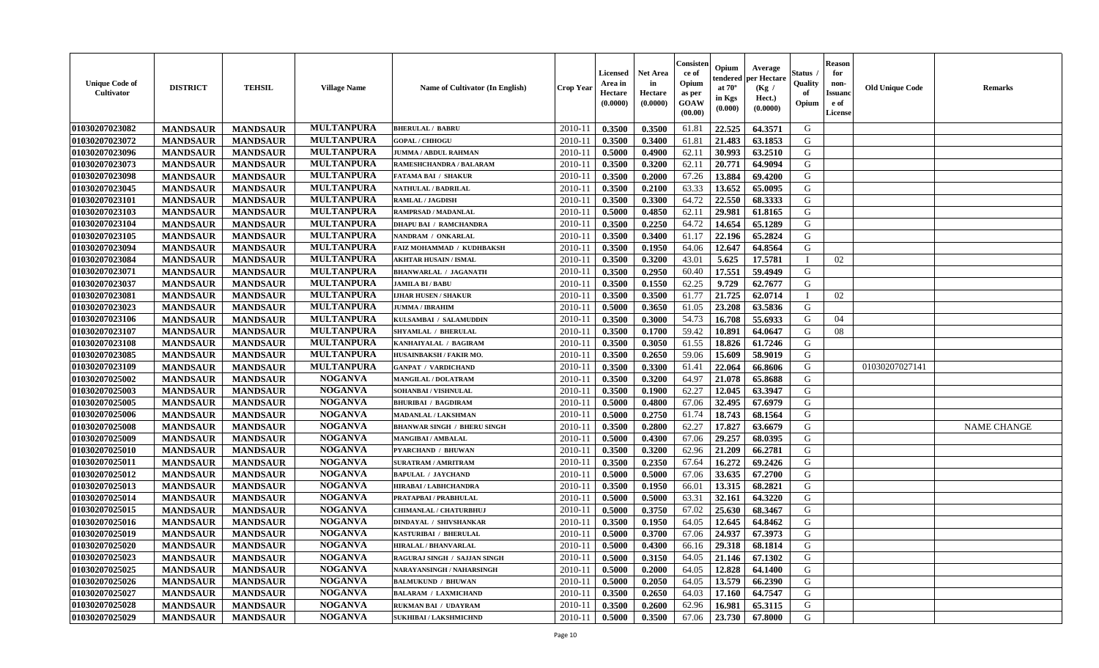| <b>Unique Code of</b><br><b>Cultivator</b> | <b>DISTRICT</b> | <b>TEHSIL</b>   | <b>Village Name</b> | <b>Name of Cultivator (In English)</b> | <b>Crop Year</b> | <b>Licensed</b><br>Area in<br>Hectare<br>(0.0000) | <b>Net Area</b><br>in<br>Hectare<br>(0.0000) | Consister<br>ce of<br>Opium<br>as per<br>GOAW<br>(00.00) | Opium<br>endered<br>at $70^\circ$<br>in Kgs<br>(0.000) | Average<br>per Hectare<br>(Kg /<br>Hect.)<br>(0.0000) | <b>Status</b> .<br>Quality<br>of<br>Opium | <b>Reason</b><br>for<br>non-<br><b>Issuand</b><br>e of<br>License | <b>Old Unique Code</b> | <b>Remarks</b>     |
|--------------------------------------------|-----------------|-----------------|---------------------|----------------------------------------|------------------|---------------------------------------------------|----------------------------------------------|----------------------------------------------------------|--------------------------------------------------------|-------------------------------------------------------|-------------------------------------------|-------------------------------------------------------------------|------------------------|--------------------|
| 01030207023082                             | <b>MANDSAUR</b> | <b>MANDSAUR</b> | <b>MULTANPURA</b>   | <b>BHERULAL / BABRU</b>                | 2010-11          | 0.3500                                            | 0.3500                                       | 61.81                                                    | 22.525                                                 | 64.3571                                               | G                                         |                                                                   |                        |                    |
| 01030207023072                             | <b>MANDSAUR</b> | <b>MANDSAUR</b> | <b>MULTANPURA</b>   | <b>GOPAL / CHHOGU</b>                  | $2010 - 11$      | 0.3500                                            | 0.3400                                       | 61.81                                                    | 21.483                                                 | 63.1853                                               | G                                         |                                                                   |                        |                    |
| 01030207023096                             | <b>MANDSAUR</b> | <b>MANDSAUR</b> | <b>MULTANPURA</b>   | <b>JUMMA / ABDUL RAHMAN</b>            | 2010-11          | 0.5000                                            | 0.4900                                       | 62.11                                                    | 30.993                                                 | 63.2510                                               | G                                         |                                                                   |                        |                    |
| 01030207023073                             | <b>MANDSAUR</b> | <b>MANDSAUR</b> | <b>MULTANPURA</b>   | RAMESHCHANDRA / BALARAM                | 2010-11          | 0.3500                                            | 0.3200                                       | 62.11                                                    | 20.771                                                 | 64.9094                                               | G                                         |                                                                   |                        |                    |
| 01030207023098                             | <b>MANDSAUR</b> | <b>MANDSAUR</b> | <b>MULTANPURA</b>   | <b>FATAMA BAI / SHAKUR</b>             | 2010-11          | 0.3500                                            | 0.2000                                       | 67.26                                                    | 13.884                                                 | 69.4200                                               | G                                         |                                                                   |                        |                    |
| 01030207023045                             | <b>MANDSAUR</b> | <b>MANDSAUR</b> | <b>MULTANPURA</b>   | <b>NATHULAL / BADRILAL</b>             | $2010 - 11$      | 0.3500                                            | 0.2100                                       | 63.33                                                    | 13.652                                                 | 65.0095                                               | G                                         |                                                                   |                        |                    |
| 01030207023101                             | <b>MANDSAUR</b> | <b>MANDSAUR</b> | <b>MULTANPURA</b>   | RAMLAL / JAGDISH                       | $2010 - 1$       | 0.3500                                            | 0.3300                                       | 64.72                                                    | 22.550                                                 | 68.3333                                               | G                                         |                                                                   |                        |                    |
| 01030207023103                             | <b>MANDSAUR</b> | <b>MANDSAUR</b> | <b>MULTANPURA</b>   | RAMPRSAD / MADANLAL                    | 2010-11          | 0.5000                                            | 0.4850                                       | 62.11                                                    | 29.981                                                 | 61.8165                                               | G                                         |                                                                   |                        |                    |
| 01030207023104                             | <b>MANDSAUR</b> | <b>MANDSAUR</b> | <b>MULTANPURA</b>   | <b>DHAPU BAI / RAMCHANDRA</b>          | 2010-11          | 0.3500                                            | 0.2250                                       | 64.72                                                    | 14.654                                                 | 65.1289                                               | G                                         |                                                                   |                        |                    |
| 01030207023105                             | <b>MANDSAUR</b> | <b>MANDSAUR</b> | <b>MULTANPURA</b>   | NANDRAM / ONKARLAL                     | 2010-11          | 0.3500                                            | 0.3400                                       | 61.17                                                    | 22.196                                                 | 65.2824                                               | G                                         |                                                                   |                        |                    |
| 01030207023094                             | <b>MANDSAUR</b> | <b>MANDSAUR</b> | <b>MULTANPURA</b>   | FAIZ MOHAMMAD / KUDHBAKSH              | 2010-11          | 0.3500                                            | 0.1950                                       | 64.06                                                    | 12.647                                                 | 64.8564                                               | G                                         |                                                                   |                        |                    |
| 01030207023084                             | <b>MANDSAUR</b> | <b>MANDSAUR</b> | <b>MULTANPURA</b>   | <b>AKHTAR HUSAIN / ISMAL</b>           | 2010-11          | 0.3500                                            | 0.3200                                       | 43.01                                                    | 5.625                                                  | 17.5781                                               | $\mathbf{I}$                              | 02                                                                |                        |                    |
| 01030207023071                             | <b>MANDSAUR</b> | <b>MANDSAUR</b> | <b>MULTANPURA</b>   | <b>BHANWARLAL / JAGANATH</b>           | 2010-11          | 0.3500                                            | 0.2950                                       | 60.40                                                    | 17.551                                                 | 59.4949                                               | G                                         |                                                                   |                        |                    |
| 01030207023037                             | <b>MANDSAUR</b> | <b>MANDSAUR</b> | <b>MULTANPURA</b>   | JAMILA BI / BABU                       | 2010-11          | 0.3500                                            | 0.1550                                       | 62.25                                                    | 9.729                                                  | 62.7677                                               | G                                         |                                                                   |                        |                    |
| 01030207023081                             | <b>MANDSAUR</b> | <b>MANDSAUR</b> | <b>MULTANPURA</b>   | <b>LJHAR HUSEN / SHAKUR</b>            | $2010 - 1$       | 0.3500                                            | 0.3500                                       | 61.77                                                    | 21.725                                                 | 62.0714                                               |                                           | 02                                                                |                        |                    |
| 01030207023023                             | <b>MANDSAUR</b> | <b>MANDSAUR</b> | <b>MULTANPURA</b>   | <b>JUMMA / IBRAHIM</b>                 | 2010-11          | 0.5000                                            | 0.3650                                       | 61.05                                                    | 23.208                                                 | 63.5836                                               | G                                         |                                                                   |                        |                    |
| 01030207023106                             | <b>MANDSAUR</b> | <b>MANDSAUR</b> | <b>MULTANPURA</b>   | KULSAMBAI / SALAMUDDIN                 | 2010-11          | 0.3500                                            | 0.3000                                       | 54.73                                                    | 16.708                                                 | 55.6933                                               | G                                         | 04                                                                |                        |                    |
| 01030207023107                             | <b>MANDSAUR</b> | <b>MANDSAUR</b> | <b>MULTANPURA</b>   | <b>SHYAMLAL / BHERULAL</b>             | 2010-11          | 0.3500                                            | 0.1700                                       | 59.42                                                    | 10.891                                                 | 64.0647                                               | G                                         | 08                                                                |                        |                    |
| 01030207023108                             | <b>MANDSAUR</b> | <b>MANDSAUR</b> | <b>MULTANPURA</b>   | KANHAIYALAL / BAGIRAM                  | 2010-11          | 0.3500                                            | 0.3050                                       | 61.55                                                    | 18.826                                                 | 61.7246                                               | G                                         |                                                                   |                        |                    |
| 01030207023085                             | <b>MANDSAUR</b> | <b>MANDSAUR</b> | <b>MULTANPURA</b>   | HUSAINBAKSH / FAKIR MO.                | 2010-11          | 0.3500                                            | 0.2650                                       | 59.06                                                    | 15.609                                                 | 58.9019                                               | G                                         |                                                                   |                        |                    |
| 01030207023109                             | <b>MANDSAUR</b> | <b>MANDSAUR</b> | <b>MULTANPURA</b>   | <b>GANPAT / VARDICHAND</b>             | 2010-11          | 0.3500                                            | 0.3300                                       | 61.41                                                    | 22.064                                                 | 66.8606                                               | G                                         |                                                                   | 01030207027141         |                    |
| 01030207025002                             | <b>MANDSAUR</b> | <b>MANDSAUR</b> | <b>NOGANVA</b>      | <b>MANGILAL / DOLATRAM</b>             | 2010-11          | 0.3500                                            | 0.3200                                       | 64.97                                                    | 21.078                                                 | 65.8688                                               | G                                         |                                                                   |                        |                    |
| 01030207025003                             | <b>MANDSAUR</b> | <b>MANDSAUR</b> | <b>NOGANVA</b>      | SOHANBAI / VISHNULAL                   | $2010 - 11$      | 0.3500                                            | 0.1900                                       | 62.27                                                    | 12.045                                                 | 63.3947                                               | G                                         |                                                                   |                        |                    |
| 01030207025005                             | <b>MANDSAUR</b> | <b>MANDSAUR</b> | <b>NOGANVA</b>      | <b>BHURIBAI / BAGDIRAM</b>             | 2010-11          | 0.5000                                            | 0.4800                                       | 67.06                                                    | 32.495                                                 | 67.6979                                               | ${\bf G}$                                 |                                                                   |                        |                    |
| 01030207025006                             | <b>MANDSAUR</b> | <b>MANDSAUR</b> | <b>NOGANVA</b>      | <b>MADANLAL / LAKSHMAN</b>             | 2010-11          | 0.5000                                            | 0.2750                                       | 61.74                                                    | 18.743                                                 | 68.1564                                               | G                                         |                                                                   |                        |                    |
| 01030207025008                             | <b>MANDSAUR</b> | <b>MANDSAUR</b> | <b>NOGANVA</b>      | <b>BHANWAR SINGH / BHERU SINGH</b>     | 2010-11          | 0.3500                                            | 0.2800                                       | 62.27                                                    | 17.827                                                 | 63.6679                                               | G                                         |                                                                   |                        | <b>NAME CHANGE</b> |
| 01030207025009                             | <b>MANDSAUR</b> | <b>MANDSAUR</b> | <b>NOGANVA</b>      | <b>MANGIBAI/AMBALAL</b>                | 2010-11          | 0.5000                                            | 0.4300                                       | 67.06                                                    | 29.257                                                 | 68.0395                                               | G                                         |                                                                   |                        |                    |
| 01030207025010                             | <b>MANDSAUR</b> | <b>MANDSAUR</b> | <b>NOGANVA</b>      | PYARCHAND / BHUWAN                     | 2010-11          | 0.3500                                            | 0.3200                                       | 62.96                                                    | 21.209                                                 | 66.2781                                               | G                                         |                                                                   |                        |                    |
| 01030207025011                             | <b>MANDSAUR</b> | <b>MANDSAUR</b> | <b>NOGANVA</b>      | <b>SURATRAM / AMRITRAM</b>             | 2010-11          | 0.3500                                            | 0.2350                                       | 67.64                                                    | 16.272                                                 | 69.2426                                               | G                                         |                                                                   |                        |                    |
| 01030207025012                             | <b>MANDSAUR</b> | <b>MANDSAUR</b> | <b>NOGANVA</b>      | <b>BAPULAL / JAYCHAND</b>              | 2010-11          | 0.5000                                            | 0.5000                                       | 67.06                                                    | 33.635                                                 | 67.2700                                               | G                                         |                                                                   |                        |                    |
| 01030207025013                             | <b>MANDSAUR</b> | <b>MANDSAUR</b> | <b>NOGANVA</b>      | <b>HIRABAI/LABHCHANDRA</b>             | $2010 - 11$      | 0.3500                                            | 0.1950                                       | 66.01                                                    | 13.315                                                 | 68.2821                                               | G                                         |                                                                   |                        |                    |
| 01030207025014                             | <b>MANDSAUR</b> | <b>MANDSAUR</b> | <b>NOGANVA</b>      | PRATAPBAI/PRABHULAL                    | 2010-11          | 0.5000                                            | 0.5000                                       | 63.31                                                    | 32.161                                                 | 64.3220                                               | G                                         |                                                                   |                        |                    |
| 01030207025015                             | <b>MANDSAUR</b> | <b>MANDSAUR</b> | <b>NOGANVA</b>      | <b>CHIMANLAL / CHATURBHUJ</b>          | 2010-11          | 0.5000                                            | 0.3750                                       | 67.02                                                    | 25.630                                                 | 68.3467                                               | G                                         |                                                                   |                        |                    |
| 01030207025016                             | <b>MANDSAUR</b> | <b>MANDSAUR</b> | <b>NOGANVA</b>      | <b>DINDAYAL / SHIVSHANKAR</b>          | 2010-11          | 0.3500                                            | 0.1950                                       | 64.05                                                    | 12.645                                                 | 64.8462                                               | G                                         |                                                                   |                        |                    |
| 01030207025019                             | <b>MANDSAUR</b> | <b>MANDSAUR</b> | <b>NOGANVA</b>      | KASTURIBAI / BHERULAL                  | 2010-11          | 0.5000                                            | 0.3700                                       | 67.06                                                    | 24.937                                                 | 67.3973                                               | ${\bf G}$                                 |                                                                   |                        |                    |
| 01030207025020                             | <b>MANDSAUR</b> | <b>MANDSAUR</b> | <b>NOGANVA</b>      | <b>HIRALAL / BHANVARLAL</b>            | 2010-11          | 0.5000                                            | 0.4300                                       | 66.16                                                    | 29.318                                                 | 68.1814                                               | G                                         |                                                                   |                        |                    |
| 01030207025023                             | <b>MANDSAUR</b> | <b>MANDSAUR</b> | <b>NOGANVA</b>      | RAGURAJ SINGH / SAJJAN SINGH           | 2010-11          | 0.5000                                            | 0.3150                                       | 64.05                                                    | 21.146                                                 | 67.1302                                               | G                                         |                                                                   |                        |                    |
| 01030207025025                             | <b>MANDSAUR</b> | <b>MANDSAUR</b> | <b>NOGANVA</b>      | NARAYANSINGH / NAHARSINGH              | 2010-11          | 0.5000                                            | 0.2000                                       | 64.05                                                    | 12.828                                                 | 64.1400                                               | G                                         |                                                                   |                        |                    |
| 01030207025026                             | <b>MANDSAUR</b> | <b>MANDSAUR</b> | <b>NOGANVA</b>      | <b>BALMUKUND / BHUWAN</b>              | $2010 - 11$      | 0.5000                                            | 0.2050                                       | 64.05                                                    | 13.579                                                 | 66.2390                                               | G                                         |                                                                   |                        |                    |
| 01030207025027                             | <b>MANDSAUR</b> | <b>MANDSAUR</b> | <b>NOGANVA</b>      | <b>BALARAM / LAXMICHAND</b>            | $2010 - 11$      | 0.3500                                            | 0.2650                                       | 64.03                                                    | 17.160                                                 | 64.7547                                               | ${\bf G}$                                 |                                                                   |                        |                    |
| 01030207025028                             | <b>MANDSAUR</b> | <b>MANDSAUR</b> | <b>NOGANVA</b>      | RUKMAN BAI / UDAYRAM                   | 2010-11          | 0.3500                                            | 0.2600                                       | 62.96                                                    | 16.981                                                 | 65.3115                                               | G                                         |                                                                   |                        |                    |
| 01030207025029                             | <b>MANDSAUR</b> | <b>MANDSAUR</b> | <b>NOGANVA</b>      | <b>SUKHIBAI / LAKSHMICHND</b>          | 2010-11          | 0.5000                                            | 0.3500                                       | 67.06                                                    | 23.730                                                 | 67.8000                                               | G                                         |                                                                   |                        |                    |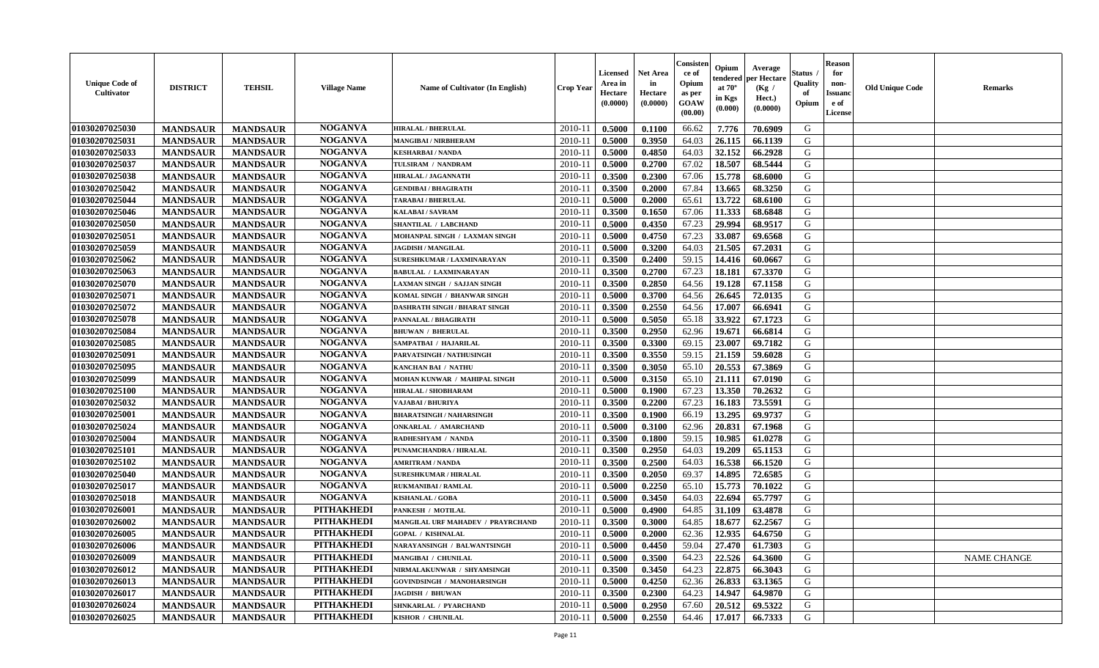| <b>Unique Code of</b><br><b>Cultivator</b> | <b>DISTRICT</b> | <b>TEHSIL</b>   | <b>Village Name</b> | <b>Name of Cultivator (In English)</b> | <b>Crop Year</b> | <b>Licensed</b><br>Area in<br>Hectare<br>(0.0000) | <b>Net Area</b><br>in<br>Hectare<br>(0.0000) | Consister<br>ce of<br>Opium<br>as per<br><b>GOAW</b><br>(00.00) | Opium<br>endered<br>at $70^{\circ}$<br>in Kgs<br>$(\mathbf{0.000})$ | Average<br>per Hectare<br>(Kg)<br>Hect.)<br>(0.0000) | Status<br>Quality<br>of<br>Opium | <b>Reason</b><br>for<br>non-<br><b>Issuano</b><br>e of<br>License | <b>Old Unique Code</b> | <b>Remarks</b> |
|--------------------------------------------|-----------------|-----------------|---------------------|----------------------------------------|------------------|---------------------------------------------------|----------------------------------------------|-----------------------------------------------------------------|---------------------------------------------------------------------|------------------------------------------------------|----------------------------------|-------------------------------------------------------------------|------------------------|----------------|
| 01030207025030                             | <b>MANDSAUR</b> | <b>MANDSAUR</b> | <b>NOGANVA</b>      | <b>HIRALAL / BHERULAL</b>              | 2010-11          | 0.5000                                            | 0.1100                                       | 66.62                                                           | 7.776                                                               | 70.6909                                              | G                                |                                                                   |                        |                |
| 01030207025031                             | <b>MANDSAUR</b> | <b>MANDSAUR</b> | <b>NOGANVA</b>      | MANGIBAI / NIRBHERAM                   | $2010 - 11$      | 0.5000                                            | 0.3950                                       | 64.03                                                           | 26.115                                                              | 66.1139                                              | G                                |                                                                   |                        |                |
| 01030207025033                             | <b>MANDSAUR</b> | <b>MANDSAUR</b> | <b>NOGANVA</b>      | <b>KESHARBAI/NANDA</b>                 | $2010 - 1$       | 0.5000                                            | 0.4850                                       | 64.03                                                           | 32.152                                                              | 66.2928                                              | G                                |                                                                   |                        |                |
| 01030207025037                             | <b>MANDSAUR</b> | <b>MANDSAUR</b> | <b>NOGANVA</b>      | TULSIRAM / NANDRAM                     | $2010 - 11$      | 0.5000                                            | 0.2700                                       | 67.02                                                           | 18.507                                                              | 68.5444                                              | G                                |                                                                   |                        |                |
| 01030207025038                             | <b>MANDSAUR</b> | <b>MANDSAUR</b> | <b>NOGANVA</b>      | <b>HIRALAL / JAGANNATH</b>             | 2010-11          | 0.3500                                            | 0.2300                                       | 67.06                                                           | 15.778                                                              | 68.6000                                              | G                                |                                                                   |                        |                |
| 01030207025042                             | <b>MANDSAUR</b> | <b>MANDSAUR</b> | <b>NOGANVA</b>      | <b>GENDIBAI / BHAGIRATH</b>            | $2010 - 11$      | 0.3500                                            | 0.2000                                       | 67.84                                                           | 13.665                                                              | 68.3250                                              | G                                |                                                                   |                        |                |
| 01030207025044                             | <b>MANDSAUR</b> | <b>MANDSAUR</b> | <b>NOGANVA</b>      | <b>TARABAI / BHERULAL</b>              | 2010-11          | 0.5000                                            | 0.2000                                       | 65.61                                                           | 13.722                                                              | 68.6100                                              | G                                |                                                                   |                        |                |
| 01030207025046                             | <b>MANDSAUR</b> | <b>MANDSAUR</b> | <b>NOGANVA</b>      | KALABAI / SAVRAM                       | 2010-11          | 0.3500                                            | 0.1650                                       | 67.06                                                           | 11.333                                                              | 68.6848                                              | G                                |                                                                   |                        |                |
| 01030207025050                             | <b>MANDSAUR</b> | <b>MANDSAUR</b> | <b>NOGANVA</b>      | <b>SHANTILAL / LABCHAND</b>            | 2010-11          | 0.5000                                            | 0.4350                                       | 67.23                                                           | 29.994                                                              | 68.9517                                              | G                                |                                                                   |                        |                |
| 01030207025051                             | <b>MANDSAUR</b> | <b>MANDSAUR</b> | <b>NOGANVA</b>      | MOHANPAL SINGH / LAXMAN SINGH          | $2010 - 1$       | 0.5000                                            | 0.4750                                       | 67.23                                                           | 33.087                                                              | 69.6568                                              | G                                |                                                                   |                        |                |
| 01030207025059                             | <b>MANDSAUR</b> | <b>MANDSAUR</b> | <b>NOGANVA</b>      | <b>JAGDISH / MANGILAL</b>              | 2010-11          | 0.5000                                            | 0.3200                                       | 64.03                                                           | 21.505                                                              | 67.2031                                              | G                                |                                                                   |                        |                |
| 01030207025062                             | <b>MANDSAUR</b> | <b>MANDSAUR</b> | <b>NOGANVA</b>      | SURESHKUMAR / LAXMINARAYAN             | 2010-11          | 0.3500                                            | 0.2400                                       | 59.15                                                           | 14.416                                                              | 60.0667                                              | G                                |                                                                   |                        |                |
| 01030207025063                             | <b>MANDSAUR</b> | <b>MANDSAUR</b> | <b>NOGANVA</b>      | <b>BABULAL / LAXMINARAYAN</b>          | 2010-11          | 0.3500                                            | 0.2700                                       | 67.23                                                           | 18.181                                                              | 67.3370                                              | G                                |                                                                   |                        |                |
| 01030207025070                             | <b>MANDSAUR</b> | <b>MANDSAUR</b> | <b>NOGANVA</b>      | LAXMAN SINGH / SAJJAN SINGH            | $2010 - 11$      | 0.3500                                            | 0.2850                                       | 64.56                                                           | 19.128                                                              | 67.1158                                              | G                                |                                                                   |                        |                |
| 01030207025071                             | <b>MANDSAUR</b> | <b>MANDSAUR</b> | <b>NOGANVA</b>      | KOMAL SINGH / BHANWAR SINGH            | $2010 - 11$      | 0.5000                                            | 0.3700                                       | 64.56                                                           | 26.645                                                              | 72.0135                                              | G                                |                                                                   |                        |                |
| 01030207025072                             | <b>MANDSAUR</b> | <b>MANDSAUR</b> | <b>NOGANVA</b>      | <b>DASHRATH SINGH / BHARAT SINGH</b>   | 2010-11          | 0.3500                                            | 0.2550                                       | 64.56                                                           | 17.007                                                              | 66.6941                                              | G                                |                                                                   |                        |                |
| 01030207025078                             | <b>MANDSAUR</b> | <b>MANDSAUR</b> | <b>NOGANVA</b>      | PANNALAL / BHAGIRATH                   | 2010-11          | 0.5000                                            | 0.5050                                       | 65.18                                                           | 33.922                                                              | 67.1723                                              | G                                |                                                                   |                        |                |
| 01030207025084                             | <b>MANDSAUR</b> | <b>MANDSAUR</b> | <b>NOGANVA</b>      | <b>BHUWAN / BHERULAL</b>               | 2010-11          | 0.3500                                            | 0.2950                                       | 62.96                                                           | 19.671                                                              | 66.6814                                              | G                                |                                                                   |                        |                |
| 01030207025085                             | <b>MANDSAUR</b> | <b>MANDSAUR</b> | <b>NOGANVA</b>      | SAMPATBAI / HAJARILAL                  | $2010 - 11$      | 0.3500                                            | 0.3300                                       | 69.15                                                           | 23.007                                                              | 69.7182                                              | G                                |                                                                   |                        |                |
| 01030207025091                             | <b>MANDSAUR</b> | <b>MANDSAUR</b> | <b>NOGANVA</b>      | PARVATSINGH / NATHUSINGH               | 2010-11          | 0.3500                                            | 0.3550                                       | 59.15                                                           | 21.159                                                              | 59.6028                                              | G                                |                                                                   |                        |                |
| 01030207025095                             | <b>MANDSAUR</b> | <b>MANDSAUR</b> | <b>NOGANVA</b>      | KANCHAN BAI / NATHU                    | $2010 - 11$      | 0.3500                                            | 0.3050                                       | 65.10                                                           | 20.553                                                              | 67.3869                                              | G                                |                                                                   |                        |                |
| 01030207025099                             | <b>MANDSAUR</b> | <b>MANDSAUR</b> | <b>NOGANVA</b>      | MOHAN KUNWAR / MAHIPAL SINGH           | 2010-11          | 0.5000                                            | 0.3150                                       | 65.10                                                           | 21.111                                                              | 67.0190                                              | G                                |                                                                   |                        |                |
| 01030207025100                             | <b>MANDSAUR</b> | <b>MANDSAUR</b> | <b>NOGANVA</b>      | HIRALAL / SHOBHARAM                    | 2010-11          | 0.5000                                            | 0.1900                                       | 67.23                                                           | 13.350                                                              | 70.2632                                              | G                                |                                                                   |                        |                |
| 01030207025032                             | <b>MANDSAUR</b> | <b>MANDSAUR</b> | <b>NOGANVA</b>      | VAJABAI / BHURIYA                      | $2010 - 11$      | 0.3500                                            | 0.2200                                       | 67.23                                                           | 16.183                                                              | 73.5591                                              | G                                |                                                                   |                        |                |
| 01030207025001                             | <b>MANDSAUR</b> | <b>MANDSAUR</b> | <b>NOGANVA</b>      | <b>BHARATSINGH / NAHARSINGH</b>        | $2010 - 11$      | 0.3500                                            | 0.1900                                       | 66.19                                                           | 13.295                                                              | 69.9737                                              | G                                |                                                                   |                        |                |
| 01030207025024                             | <b>MANDSAUR</b> | <b>MANDSAUR</b> | <b>NOGANVA</b>      | <b>ONKARLAL / AMARCHAND</b>            | 2010-11          | 0.5000                                            | 0.3100                                       | 62.96                                                           | 20.831                                                              | 67.1968                                              | G                                |                                                                   |                        |                |
| 01030207025004                             | <b>MANDSAUR</b> | <b>MANDSAUR</b> | <b>NOGANVA</b>      | RADHESHYAM / NANDA                     | $2010 - 11$      | 0.3500                                            | 0.1800                                       | 59.15                                                           | 10.985                                                              | 61.0278                                              | G                                |                                                                   |                        |                |
| 01030207025101                             | <b>MANDSAUR</b> | <b>MANDSAUR</b> | <b>NOGANVA</b>      | PUNAMCHANDRA / HIRALAL                 | 2010-11          | 0.3500                                            | 0.2950                                       | 64.03                                                           | 19.209                                                              | 65.1153                                              | G                                |                                                                   |                        |                |
| 01030207025102                             | <b>MANDSAUR</b> | <b>MANDSAUR</b> | <b>NOGANVA</b>      | <b>AMRITRAM / NANDA</b>                | 2010-11          | 0.3500                                            | 0.2500                                       | 64.03                                                           | 16.538                                                              | 66.1520                                              | G                                |                                                                   |                        |                |
| 01030207025040                             | <b>MANDSAUR</b> | <b>MANDSAUR</b> | <b>NOGANVA</b>      | <b>SURESHKUMAR / HIRALAL</b>           | $2010 - 11$      | 0.3500                                            | 0.2050                                       | 69.37                                                           | 14.895                                                              | 72.6585                                              | G                                |                                                                   |                        |                |
| 01030207025017                             | <b>MANDSAUR</b> | <b>MANDSAUR</b> | <b>NOGANVA</b>      | <b>RUKMANIBAI / RAMLAL</b>             | 2010-11          | 0.5000                                            | 0.2250                                       | 65.10                                                           | 15.773                                                              | 70.1022                                              | G                                |                                                                   |                        |                |
| 01030207025018                             | <b>MANDSAUR</b> | <b>MANDSAUR</b> | <b>NOGANVA</b>      | <b>KISHANLAL / GOBA</b>                | 2010-11          | 0.5000                                            | 0.3450                                       | 64.03                                                           | 22.694                                                              | 65.7797                                              | G                                |                                                                   |                        |                |
| 01030207026001                             | <b>MANDSAUR</b> | <b>MANDSAUR</b> | <b>PITHAKHEDI</b>   | PANKESH / MOTILAL                      | $2010 - 11$      | 0.5000                                            | 0.4900                                       | 64.85                                                           | 31.109                                                              | 63.4878                                              | G                                |                                                                   |                        |                |
| 01030207026002                             | <b>MANDSAUR</b> | <b>MANDSAUR</b> | <b>PITHAKHEDI</b>   | MANGILAL URF MAHADEV / PRAYRCHAND      | 2010-11          | 0.3500                                            | 0.3000                                       | 64.85                                                           | 18.677                                                              | 62.2567                                              | G                                |                                                                   |                        |                |
| 01030207026005                             | <b>MANDSAUR</b> | <b>MANDSAUR</b> | <b>PITHAKHEDI</b>   | <b>GOPAL / KISHNALAL</b>               | 2010-11          | 0.5000                                            | 0.2000                                       | 62.36                                                           | 12.935                                                              | 64.6750                                              | G                                |                                                                   |                        |                |
| 01030207026006                             | <b>MANDSAUR</b> | <b>MANDSAUR</b> | PITHAKHEDI          | NARAYANSINGH / BALWANTSINGH            | $2010 - 11$      | 0.5000                                            | 0.4450                                       | 59.04                                                           |                                                                     | $\mid$ 27.470   61.7303                              | G                                |                                                                   |                        |                |
| 01030207026009                             | <b>MANDSAUR</b> | <b>MANDSAUR</b> | <b>PITHAKHEDI</b>   | MANGIBAI / CHUNILAL                    | 2010-11          | 0.5000                                            | 0.3500                                       | 64.23                                                           | 22.526                                                              | 64.3600                                              | G                                |                                                                   |                        | NAME CHANGE    |
| 01030207026012                             | <b>MANDSAUR</b> | <b>MANDSAUR</b> | <b>PITHAKHEDI</b>   | NIRMALAKUNWAR / SHYAMSINGH             | 2010-11          | 0.3500                                            | 0.3450                                       | 64.23                                                           | 22.875                                                              | 66.3043                                              | G                                |                                                                   |                        |                |
| 01030207026013                             | <b>MANDSAUR</b> | <b>MANDSAUR</b> | <b>PITHAKHEDI</b>   | <b>GOVINDSINGH / MANOHARSINGH</b>      | 2010-11          | 0.5000                                            | 0.4250                                       | 62.36                                                           | 26.833                                                              | 63.1365                                              | G                                |                                                                   |                        |                |
| 01030207026017                             | <b>MANDSAUR</b> | <b>MANDSAUR</b> | <b>PITHAKHEDI</b>   | <b>JAGDISH / BHUWAN</b>                | 2010-11          | 0.3500                                            | 0.2300                                       | 64.23                                                           | 14.947                                                              | 64.9870                                              | G                                |                                                                   |                        |                |
| 01030207026024                             | <b>MANDSAUR</b> | <b>MANDSAUR</b> | <b>PITHAKHEDI</b>   | SHNKARLAL / PYARCHAND                  | 2010-11          | 0.5000                                            | 0.2950                                       | 67.60                                                           | 20.512                                                              | 69.5322                                              | G                                |                                                                   |                        |                |
| 01030207026025                             | <b>MANDSAUR</b> | <b>MANDSAUR</b> | <b>PITHAKHEDI</b>   | KISHOR / CHUNILAL                      | $2010-11$        | 0.5000                                            | 0.2550                                       | 64.46                                                           | 17.017                                                              | 66.7333                                              | G                                |                                                                   |                        |                |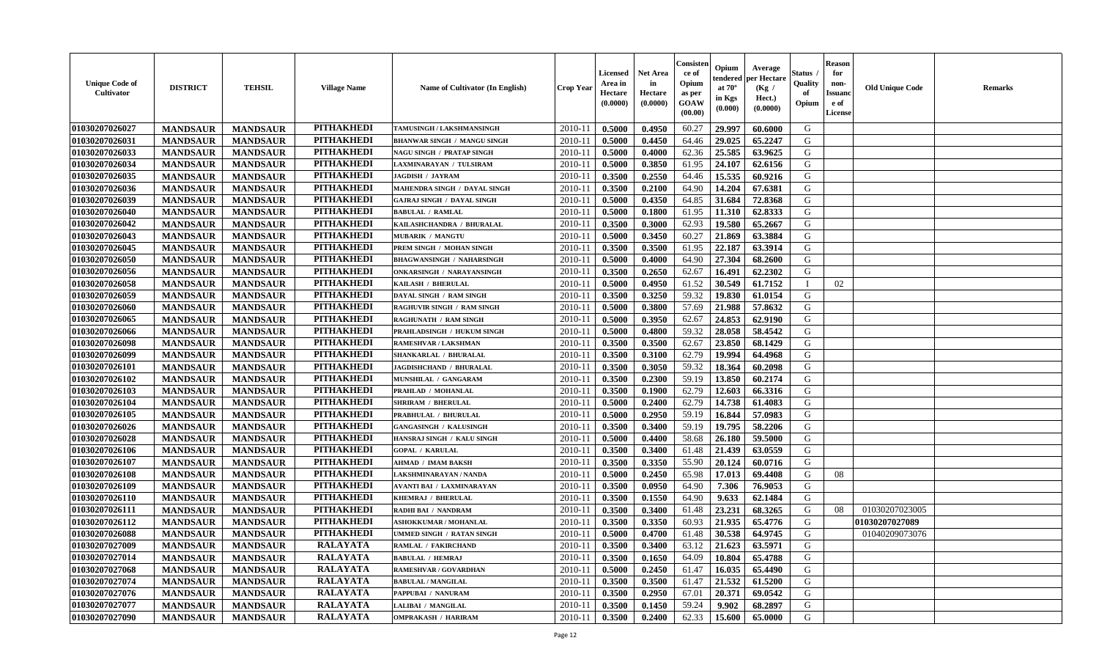| <b>Unique Code of</b><br>Cultivator | <b>DISTRICT</b> | <b>TEHSIL</b>   | <b>Village Name</b> | <b>Name of Cultivator (In English)</b> | Crop Year   | <b>Licensed</b><br>Area in<br>Hectare<br>(0.0000) | <b>Net Area</b><br>in<br>Hectare<br>(0.0000) | Consister<br>ce of<br>Opium<br>as per<br><b>GOAW</b><br>(00.00) | Opium<br>endered<br>at $70^{\circ}$<br>in Kgs<br>$(\mathbf{0.000})$ | Average<br>per Hectare<br>(Kg /<br>Hect.)<br>(0.0000) | Status<br>Quality<br>of<br>Opium | <b>Reason</b><br>for<br>non-<br><b>Issuanc</b><br>e of<br><b>License</b> | <b>Old Unique Code</b> | <b>Remarks</b> |
|-------------------------------------|-----------------|-----------------|---------------------|----------------------------------------|-------------|---------------------------------------------------|----------------------------------------------|-----------------------------------------------------------------|---------------------------------------------------------------------|-------------------------------------------------------|----------------------------------|--------------------------------------------------------------------------|------------------------|----------------|
| 01030207026027                      | <b>MANDSAUR</b> | <b>MANDSAUR</b> | <b>PITHAKHEDI</b>   | TAMUSINGH / LAKSHMANSINGH              | 2010-11     | 0.5000                                            | 0.4950                                       | 60.27                                                           | 29.997                                                              | 60.6000                                               | G                                |                                                                          |                        |                |
| 01030207026031                      | <b>MANDSAUR</b> | <b>MANDSAUR</b> | <b>PITHAKHEDI</b>   | <b>BHANWAR SINGH / MANGU SINGH</b>     | 2010-11     | 0.5000                                            | 0.4450                                       | 64.46                                                           | 29.025                                                              | 65,2247                                               | G                                |                                                                          |                        |                |
| 01030207026033                      | <b>MANDSAUR</b> | <b>MANDSAUR</b> | <b>PITHAKHEDI</b>   | NAGU SINGH / PRATAP SINGH              | 2010-11     | 0.5000                                            | 0.4000                                       | 62.36                                                           | 25.585                                                              | 63.9625                                               | G                                |                                                                          |                        |                |
| 01030207026034                      | <b>MANDSAUR</b> | <b>MANDSAUR</b> | <b>PITHAKHEDI</b>   | LAXMINARAYAN / TULSIRAM                | 2010-11     | 0.5000                                            | 0.3850                                       | 61.95                                                           | 24.107                                                              | 62.6156                                               | G                                |                                                                          |                        |                |
| 01030207026035                      | <b>MANDSAUR</b> | <b>MANDSAUR</b> | <b>PITHAKHEDI</b>   | <b>JAGDISH / JAYRAM</b>                | $2010 - 11$ | 0.3500                                            | 0.2550                                       | 64.46                                                           | 15.535                                                              | 60.9216                                               | G                                |                                                                          |                        |                |
| 01030207026036                      | <b>MANDSAUR</b> | <b>MANDSAUR</b> | <b>PITHAKHEDI</b>   | MAHENDRA SINGH / DAYAL SINGH           | $2010 - 11$ | 0.3500                                            | 0.2100                                       | 64.90                                                           | 14.204                                                              | 67.6381                                               | G                                |                                                                          |                        |                |
| 01030207026039                      | <b>MANDSAUR</b> | <b>MANDSAUR</b> | <b>PITHAKHEDI</b>   | <b>GAJRAJ SINGH / DAYAL SINGH</b>      | 2010-11     | 0.5000                                            | 0.4350                                       | 64.85                                                           | 31.684                                                              | 72.8368                                               | ${\bf G}$                        |                                                                          |                        |                |
| 01030207026040                      | <b>MANDSAUR</b> | <b>MANDSAUR</b> | <b>PITHAKHEDI</b>   | <b>BABULAL / RAMLAL</b>                | 2010-11     | 0.5000                                            | 0.1800                                       | 61.95                                                           | 11.310                                                              | 62.8333                                               | G                                |                                                                          |                        |                |
| 01030207026042                      | <b>MANDSAUR</b> | <b>MANDSAUR</b> | <b>PITHAKHEDI</b>   | KAILASHCHANDRA / BHURALAL              | 2010-11     | 0.3500                                            | 0.3000                                       | 62.93                                                           | 19.580                                                              | 65.2667                                               | G                                |                                                                          |                        |                |
| 01030207026043                      | <b>MANDSAUR</b> | <b>MANDSAUR</b> | <b>PITHAKHEDI</b>   | MUBARIK / MANGTU                       | 2010-11     | 0.5000                                            | 0.3450                                       | 60.27                                                           | 21.869                                                              | 63.3884                                               | G                                |                                                                          |                        |                |
| 01030207026045                      | <b>MANDSAUR</b> | <b>MANDSAUR</b> | <b>PITHAKHEDI</b>   | PREM SINGH / MOHAN SINGH               | 2010-11     | 0.3500                                            | 0.3500                                       | 61.95                                                           | 22.187                                                              | 63.3914                                               | G                                |                                                                          |                        |                |
| 01030207026050                      | <b>MANDSAUR</b> | <b>MANDSAUR</b> | <b>PITHAKHEDI</b>   | <b>BHAGWANSINGH / NAHARSINGH</b>       | 2010-11     | 0.5000                                            | 0.4000                                       | 64.90                                                           | 27.304                                                              | 68.2600                                               | G                                |                                                                          |                        |                |
| 01030207026056                      | <b>MANDSAUR</b> | <b>MANDSAUR</b> | <b>PITHAKHEDI</b>   | <b>ONKARSINGH / NARAYANSINGH</b>       | 2010-11     | 0.3500                                            | 0.2650                                       | 62.67                                                           | 16.491                                                              | 62.2302                                               | G                                |                                                                          |                        |                |
| 01030207026058                      | <b>MANDSAUR</b> | <b>MANDSAUR</b> | <b>PITHAKHEDI</b>   | KAILASH / BHERULAL                     | $2010 - 11$ | 0.5000                                            | 0.4950                                       | 61.52                                                           | 30.549                                                              | 61.7152                                               |                                  | 02                                                                       |                        |                |
| 01030207026059                      | <b>MANDSAUR</b> | <b>MANDSAUR</b> | <b>PITHAKHEDI</b>   | DAYAL SINGH / RAM SINGH                | 2010-11     | 0.3500                                            | 0.3250                                       | 59.32                                                           | 19.830                                                              | 61.0154                                               | G                                |                                                                          |                        |                |
| 01030207026060                      | <b>MANDSAUR</b> | <b>MANDSAUR</b> | <b>PITHAKHEDI</b>   | <b>RAGHUVIR SINGH / RAM SINGH</b>      | 2010-11     | 0.5000                                            | 0.3800                                       | 57.69                                                           | 21.988                                                              | 57.8632                                               | G                                |                                                                          |                        |                |
| 01030207026065                      | <b>MANDSAUR</b> | <b>MANDSAUR</b> | <b>PITHAKHEDI</b>   | RAGHUNATH / RAM SINGH                  | 2010-11     | 0.5000                                            | 0.3950                                       | 62.67                                                           | 24.853                                                              | 62.9190                                               | G                                |                                                                          |                        |                |
| 01030207026066                      | <b>MANDSAUR</b> | <b>MANDSAUR</b> | <b>PITHAKHEDI</b>   | PRAHLADSINGH / HUKUM SINGH             | 2010-11     | 0.5000                                            | 0.4800                                       | 59.32                                                           | 28.058                                                              | 58.4542                                               | G                                |                                                                          |                        |                |
| 01030207026098                      | <b>MANDSAUR</b> | <b>MANDSAUR</b> | <b>PITHAKHEDI</b>   | RAMESHVAR / LAKSHMAN                   | 2010-11     | 0.3500                                            | 0.3500                                       | 62.67                                                           | 23.850                                                              | 68.1429                                               | G                                |                                                                          |                        |                |
| 01030207026099                      | <b>MANDSAUR</b> | <b>MANDSAUR</b> | <b>PITHAKHEDI</b>   | SHANKARLAL / BHURALAL                  | 2010-11     | 0.3500                                            | 0.3100                                       | 62.79                                                           | 19.994                                                              | 64.4968                                               | G                                |                                                                          |                        |                |
| 01030207026101                      | <b>MANDSAUR</b> | <b>MANDSAUR</b> | <b>PITHAKHEDI</b>   | <b>JAGDISHCHAND / BHURALAL</b>         | 2010-11     | 0.3500                                            | 0.3050                                       | 59.32                                                           | 18.364                                                              | 60.2098                                               | G                                |                                                                          |                        |                |
| 01030207026102                      | <b>MANDSAUR</b> | <b>MANDSAUR</b> | <b>PITHAKHEDI</b>   | MUNSHILAL / GANGARAM                   | $2010 - 11$ | 0.3500                                            | 0.2300                                       | 59.19                                                           | 13.850                                                              | 60.2174                                               | G                                |                                                                          |                        |                |
| 01030207026103                      | <b>MANDSAUR</b> | <b>MANDSAUR</b> | <b>PITHAKHEDI</b>   | PRAHLAD / MOHANLAL                     | 2010-11     | 0.3500                                            | 0.1900                                       | 62.79                                                           | 12.603                                                              | 66.3316                                               | G                                |                                                                          |                        |                |
| 01030207026104                      | <b>MANDSAUR</b> | <b>MANDSAUR</b> | <b>PITHAKHEDI</b>   | <b>SHRIRAM / BHERULAL</b>              | 2010-11     | 0.5000                                            | 0.2400                                       | 62.79                                                           | 14.738                                                              | 61.4083                                               | G                                |                                                                          |                        |                |
| 01030207026105                      | <b>MANDSAUR</b> | <b>MANDSAUR</b> | <b>PITHAKHEDI</b>   | PRABHULAL / BHURULAL                   | 2010-11     | 0.5000                                            | 0.2950                                       | 59.19                                                           | 16.844                                                              | 57.0983                                               | G                                |                                                                          |                        |                |
| 01030207026026                      | <b>MANDSAUR</b> | <b>MANDSAUR</b> | <b>PITHAKHEDI</b>   | <b>GANGASINGH / KALUSINGH</b>          | 2010-11     | 0.3500                                            | 0.3400                                       | 59.19                                                           | 19.795                                                              | 58.2206                                               | G                                |                                                                          |                        |                |
| 01030207026028                      | <b>MANDSAUR</b> | <b>MANDSAUR</b> | <b>PITHAKHEDI</b>   | HANSRAJ SINGH / KALU SINGH             | 2010-11     | 0.5000                                            | 0.4400                                       | 58.68                                                           | 26.180                                                              | 59.5000                                               | G                                |                                                                          |                        |                |
| 01030207026106                      | <b>MANDSAUR</b> | <b>MANDSAUR</b> | <b>PITHAKHEDI</b>   | <b>GOPAL / KARULAL</b>                 | 2010-11     | 0.3500                                            | 0.3400                                       | 61.48                                                           | 21.439                                                              | 63.0559                                               | G                                |                                                                          |                        |                |
| 01030207026107                      | <b>MANDSAUR</b> | <b>MANDSAUR</b> | <b>PITHAKHEDI</b>   | <b>AHMAD / IMAM BAKSH</b>              | 2010-11     | 0.3500                                            | 0.3350                                       | 55.90                                                           | 20.124                                                              | 60.0716                                               | G                                |                                                                          |                        |                |
| 01030207026108                      | <b>MANDSAUR</b> | <b>MANDSAUR</b> | <b>PITHAKHEDI</b>   | LAKSHMINARAYAN / NANDA                 | $2010 - 11$ | 0.5000                                            | 0.2450                                       | 65.98                                                           | 17.013                                                              | 69.4408                                               | G                                | 08                                                                       |                        |                |
| 01030207026109                      | <b>MANDSAUR</b> | <b>MANDSAUR</b> | <b>PITHAKHEDI</b>   | AVANTI BAI / LAXMINARAYAN              | 2010-11     | 0.3500                                            | 0.0950                                       | 64.90                                                           | 7.306                                                               | 76.9053                                               | G                                |                                                                          |                        |                |
| 01030207026110                      | <b>MANDSAUR</b> | <b>MANDSAUR</b> | <b>PITHAKHEDI</b>   | KHEMRAJ / BHERULAL                     | 2010-11     | 0.3500                                            | 0.1550                                       | 64.90                                                           | 9.633                                                               | 62.1484                                               | G                                |                                                                          |                        |                |
| 01030207026111                      | <b>MANDSAUR</b> | <b>MANDSAUR</b> | <b>PITHAKHEDI</b>   | RADHI BAI / NANDRAM                    | 2010-11     | 0.3500                                            | 0.3400                                       | 61.48                                                           | 23.231                                                              | 68.3265                                               | G                                | 08                                                                       | 01030207023005         |                |
| 01030207026112                      | <b>MANDSAUR</b> | <b>MANDSAUR</b> | <b>PITHAKHEDI</b>   | <b>ASHOKKUMAR / MOHANLAL</b>           | 2010-11     | 0.3500                                            | 0.3350                                       | 60.93                                                           | 21.935                                                              | 65.4776                                               | G                                |                                                                          | 01030207027089         |                |
| 01030207026088                      | <b>MANDSAUR</b> | <b>MANDSAUR</b> | <b>PITHAKHEDI</b>   | UMMED SINGH / RATAN SINGH              | 2010-11     | 0.5000                                            | 0.4700                                       | 61.48                                                           | 30.538                                                              | 64.9745                                               | G                                |                                                                          | 01040209073076         |                |
| 01030207027009                      | <b>MANDSAUR</b> | <b>MANDSAUR</b> | <b>RALAYATA</b>     | RAMLAL / FAKIRCHAND                    | 2010-11     | 0.3500                                            | 0.3400                                       | 63.12                                                           | 21.623                                                              | 63.5971                                               | G                                |                                                                          |                        |                |
| 01030207027014                      | <b>MANDSAUR</b> | <b>MANDSAUR</b> | <b>RALAYATA</b>     | <b>BABULAL / HEMRAJ</b>                | 2010-11     | 0.3500                                            | 0.1650                                       | 64.09                                                           | 10.804                                                              | 65.4788                                               | G                                |                                                                          |                        |                |
| 01030207027068                      | <b>MANDSAUR</b> | <b>MANDSAUR</b> | <b>RALAYATA</b>     | RAMESHVAR / GOVARDHAN                  | 2010-11     | 0.5000                                            | 0.2450                                       | 61.47                                                           | 16.035                                                              | 65.4490                                               | G                                |                                                                          |                        |                |
| 01030207027074                      | <b>MANDSAUR</b> | <b>MANDSAUR</b> | <b>RALAYATA</b>     | <b>BABULAL / MANGILAL</b>              | $2010 - 11$ | 0.3500                                            | 0.3500                                       | 61.47                                                           | 21.532                                                              | 61.5200                                               | ${\bf G}$                        |                                                                          |                        |                |
| 01030207027076                      | <b>MANDSAUR</b> | <b>MANDSAUR</b> | <b>RALAYATA</b>     | PAPPUBAI / NANURAM                     | $2010 - 11$ | 0.3500                                            | 0.2950                                       | 67.01                                                           | 20.371                                                              | 69.0542                                               | G                                |                                                                          |                        |                |
| 01030207027077                      | <b>MANDSAUR</b> | <b>MANDSAUR</b> | <b>RALAYATA</b>     | LALIBAI / MANGILAL                     | 2010-11     | 0.3500                                            | 0.1450                                       | 59.24                                                           | 9.902                                                               | 68.2897                                               | G                                |                                                                          |                        |                |
| 01030207027090                      | <b>MANDSAUR</b> | <b>MANDSAUR</b> | <b>RALAYATA</b>     | <b>OMPRAKASH / HARIRAM</b>             | 2010-11     | 0.3500                                            | 0.2400                                       | 62.33                                                           | 15.600                                                              | 65.0000                                               | G                                |                                                                          |                        |                |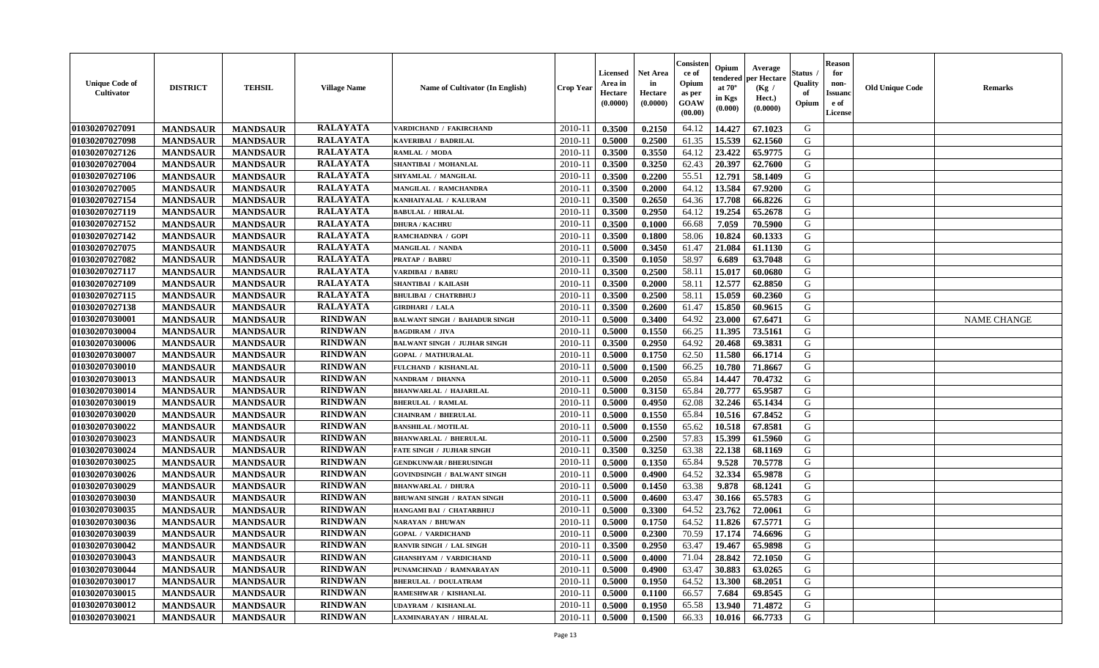| <b>Unique Code of</b><br><b>Cultivator</b> | <b>DISTRICT</b> | <b>TEHSIL</b>   | <b>Village Name</b> | <b>Name of Cultivator (In English)</b> | <b>Crop Year</b> | <b>Licensed</b><br>Area in<br>Hectare<br>(0.0000) | <b>Net Area</b><br>in<br>Hectare<br>(0.0000) | Consisteı<br>ce of<br>Opium<br>as per<br>GOAW<br>(00.00) | Opium<br>endered<br>at $70^{\circ}$<br>in Kgs<br>(0.000) | Average<br>oer Hectare<br>(Kg /<br>Hect.)<br>(0.0000) | Status<br>Quality<br>of<br>Opium | <b>Reason</b><br>for<br>non-<br><b>Issuand</b><br>e of<br>License | <b>Old Unique Code</b> | Remarks            |
|--------------------------------------------|-----------------|-----------------|---------------------|----------------------------------------|------------------|---------------------------------------------------|----------------------------------------------|----------------------------------------------------------|----------------------------------------------------------|-------------------------------------------------------|----------------------------------|-------------------------------------------------------------------|------------------------|--------------------|
| 01030207027091                             | <b>MANDSAUR</b> | <b>MANDSAUR</b> | <b>RALAYATA</b>     | VARDICHAND / FAKIRCHAND                | 2010-11          | 0.3500                                            | 0.2150                                       | 64.12                                                    | 14.427                                                   | 67.1023                                               | G                                |                                                                   |                        |                    |
| 01030207027098                             | <b>MANDSAUR</b> | <b>MANDSAUR</b> | <b>RALAYATA</b>     | KAVERIBAI / BADRILAL                   | $2010 - 11$      | 0.5000                                            | 0.2500                                       | 61.35                                                    | 15.539                                                   | 62.1560                                               | G                                |                                                                   |                        |                    |
| 01030207027126                             | <b>MANDSAUR</b> | <b>MANDSAUR</b> | <b>RALAYATA</b>     | RAMLAL / MODA                          | 2010-11          | 0.3500                                            | 0.3550                                       | 64.12                                                    | 23.422                                                   | 65.9775                                               | G                                |                                                                   |                        |                    |
| 01030207027004                             | <b>MANDSAUR</b> | <b>MANDSAUR</b> | <b>RALAYATA</b>     | SHANTIBAI / MOHANLAL                   | 2010-11          | 0.3500                                            | 0.3250                                       | 62.43                                                    | 20.397                                                   | 62.7600                                               | G                                |                                                                   |                        |                    |
| 01030207027106                             | <b>MANDSAUR</b> | <b>MANDSAUR</b> | <b>RALAYATA</b>     | SHYAMLAL / MANGILAL                    | 2010-11          | 0.3500                                            | 0.2200                                       | 55.51                                                    | 12.791                                                   | 58.1409                                               | G                                |                                                                   |                        |                    |
| 01030207027005                             | <b>MANDSAUR</b> | <b>MANDSAUR</b> | <b>RALAYATA</b>     | MANGILAL / RAMCHANDRA                  | 2010-11          | 0.3500                                            | 0.2000                                       | 64.12                                                    | 13.584                                                   | 67.9200                                               | G                                |                                                                   |                        |                    |
| 01030207027154                             | <b>MANDSAUR</b> | <b>MANDSAUR</b> | <b>RALAYATA</b>     | KANHAIYALAL / KALURAM                  | 2010-11          | 0.3500                                            | 0.2650                                       | 64.36                                                    | 17.708                                                   | 66.8226                                               | G                                |                                                                   |                        |                    |
| 01030207027119                             | <b>MANDSAUR</b> | <b>MANDSAUR</b> | <b>RALAYATA</b>     | <b>BABULAL / HIRALAL</b>               | 2010-11          | 0.3500                                            | 0.2950                                       | 64.12                                                    | 19.254                                                   | 65.2678                                               | G                                |                                                                   |                        |                    |
| 01030207027152                             | <b>MANDSAUR</b> | <b>MANDSAUR</b> | <b>RALAYATA</b>     | <b>DHURA / KACHRU</b>                  | 2010-11          | 0.3500                                            | 0.1000                                       | 66.68                                                    | 7.059                                                    | 70.5900                                               | G                                |                                                                   |                        |                    |
| 01030207027142                             | <b>MANDSAUR</b> | <b>MANDSAUR</b> | <b>RALAYATA</b>     | RAMCHADNRA / GOPI                      | 2010-11          | 0.3500                                            | 0.1800                                       | 58.06                                                    | 10.824                                                   | 60.1333                                               | G                                |                                                                   |                        |                    |
| 01030207027075                             | <b>MANDSAUR</b> | <b>MANDSAUR</b> | <b>RALAYATA</b>     | MANGILAL / NANDA                       | 2010-11          | 0.5000                                            | 0.3450                                       | 61.47                                                    | 21.084                                                   | 61.1130                                               | G                                |                                                                   |                        |                    |
| 01030207027082                             | <b>MANDSAUR</b> | <b>MANDSAUR</b> | <b>RALAYATA</b>     | <b>PRATAP / BABRU</b>                  | 2010-11          | 0.3500                                            | 0.1050                                       | 58.97                                                    | 6.689                                                    | 63.7048                                               | G                                |                                                                   |                        |                    |
| 01030207027117                             | <b>MANDSAUR</b> | <b>MANDSAUR</b> | <b>RALAYATA</b>     | VARDIBAI / BABRU                       | 2010-11          | 0.3500                                            | 0.2500                                       | 58.11                                                    | 15.017                                                   | 60.0680                                               | G                                |                                                                   |                        |                    |
| 01030207027109                             | <b>MANDSAUR</b> | <b>MANDSAUR</b> | <b>RALAYATA</b>     | SHANTIBAI / KAILASH                    | 2010-11          | 0.3500                                            | 0.2000                                       | 58.11                                                    | 12.577                                                   | 62.8850                                               | G                                |                                                                   |                        |                    |
| 01030207027115                             | <b>MANDSAUR</b> | <b>MANDSAUR</b> | <b>RALAYATA</b>     | <b>BHULIBAI / CHATRBHUJ</b>            | 2010-11          | 0.3500                                            | 0.2500                                       | 58.11                                                    | 15.059                                                   | 60.2360                                               | G                                |                                                                   |                        |                    |
| 01030207027138                             | <b>MANDSAUR</b> | <b>MANDSAUR</b> | <b>RALAYATA</b>     | <b>GIRDHARI / LALA</b>                 | 2010-11          | 0.3500                                            | 0.2600                                       | 61.47                                                    | 15.850                                                   | 60.9615                                               | G                                |                                                                   |                        |                    |
| 01030207030001                             | <b>MANDSAUR</b> | <b>MANDSAUR</b> | <b>RINDWAN</b>      | <b>BALWANT SINGH / BAHADUR SINGH</b>   | 2010-11          | 0.5000                                            | 0.3400                                       | 64.92                                                    | 23.000                                                   | 67.6471                                               | G                                |                                                                   |                        | <b>NAME CHANGE</b> |
| 01030207030004                             | <b>MANDSAUR</b> | <b>MANDSAUR</b> | <b>RINDWAN</b>      | <b>BAGDIRAM / JIVA</b>                 | 2010-11          | 0.5000                                            | 0.1550                                       | 66.25                                                    | 11.395                                                   | 73.5161                                               | G                                |                                                                   |                        |                    |
| 01030207030006                             | <b>MANDSAUR</b> | <b>MANDSAUR</b> | <b>RINDWAN</b>      | <b>BALWANT SINGH / JUJHAR SINGH</b>    | 2010-11          | 0.3500                                            | 0.2950                                       | 64.92                                                    | 20.468                                                   | 69.3831                                               | G                                |                                                                   |                        |                    |
| 01030207030007                             | <b>MANDSAUR</b> | <b>MANDSAUR</b> | <b>RINDWAN</b>      | <b>GOPAL / MATHURALAL</b>              | 2010-11          | 0.5000                                            | 0.1750                                       | 62.50                                                    | 11.580                                                   | 66.1714                                               | G                                |                                                                   |                        |                    |
| 01030207030010                             | <b>MANDSAUR</b> | <b>MANDSAUR</b> | <b>RINDWAN</b>      | FULCHAND / KISHANLAL                   | 2010-11          | 0.5000                                            | 0.1500                                       | 66.25                                                    | 10.780                                                   | 71.8667                                               | G                                |                                                                   |                        |                    |
| 01030207030013                             | <b>MANDSAUR</b> | <b>MANDSAUR</b> | <b>RINDWAN</b>      | NANDRAM / DHANNA                       | 2010-11          | 0.5000                                            | 0.2050                                       | 65.84                                                    | 14.447                                                   | 70.4732                                               | G                                |                                                                   |                        |                    |
| 01030207030014                             | <b>MANDSAUR</b> | <b>MANDSAUR</b> | <b>RINDWAN</b>      | <b>BHANWARLAL / HAJARILAL</b>          | 2010-11          | 0.5000                                            | 0.3150                                       | 65.84                                                    | 20.777                                                   | 65.9587                                               | G                                |                                                                   |                        |                    |
| 01030207030019                             | <b>MANDSAUR</b> | <b>MANDSAUR</b> | <b>RINDWAN</b>      | <b>BHERULAL / RAMLAL</b>               | 2010-11          | 0.5000                                            | 0.4950                                       | 62.08                                                    | 32.246                                                   | 65.1434                                               | G                                |                                                                   |                        |                    |
| 01030207030020                             | <b>MANDSAUR</b> | <b>MANDSAUR</b> | <b>RINDWAN</b>      | <b>CHAINRAM / BHERULAL</b>             | 2010-11          | 0.5000                                            | 0.1550                                       | 65.84                                                    | 10.516                                                   | 67.8452                                               | G                                |                                                                   |                        |                    |
| 01030207030022                             | <b>MANDSAUR</b> | <b>MANDSAUR</b> | <b>RINDWAN</b>      | <b>BANSHILAL / MOTILAL</b>             | 2010-11          | 0.5000                                            | 0.1550                                       | 65.62                                                    | 10.518                                                   | 67.8581                                               | G                                |                                                                   |                        |                    |
| 01030207030023                             | <b>MANDSAUR</b> | <b>MANDSAUR</b> | <b>RINDWAN</b>      | <b>BHANWARLAL / BHERULAL</b>           | 2010-11          | 0.5000                                            | 0.2500                                       | 57.83                                                    | 15.399                                                   | 61.5960                                               | G                                |                                                                   |                        |                    |
| 01030207030024                             | <b>MANDSAUR</b> | <b>MANDSAUR</b> | <b>RINDWAN</b>      | <b>FATE SINGH / JUJHAR SINGH</b>       | 2010-11          | 0.3500                                            | 0.3250                                       | 63.38                                                    | 22.138                                                   | 68.1169                                               | G                                |                                                                   |                        |                    |
| 01030207030025                             | <b>MANDSAUR</b> | <b>MANDSAUR</b> | <b>RINDWAN</b>      | <b>GENDKUNWAR / BHERUSINGH</b>         | 2010-11          | 0.5000                                            | 0.1350                                       | 65.84                                                    | 9.528                                                    | 70.5778                                               | G                                |                                                                   |                        |                    |
| 01030207030026                             | <b>MANDSAUR</b> | <b>MANDSAUR</b> | <b>RINDWAN</b>      | <b>GOVINDSINGH / BALWANT SINGH</b>     | 2010-11          | 0.5000                                            | 0.4900                                       | 64.52                                                    | 32.334                                                   | 65.9878                                               | G                                |                                                                   |                        |                    |
| 01030207030029                             | <b>MANDSAUR</b> | <b>MANDSAUR</b> | <b>RINDWAN</b>      | <b>BHANWARLAL / DHURA</b>              | 2010-11          | 0.5000                                            | 0.1450                                       | 63.38                                                    | 9.878                                                    | 68.1241                                               | G                                |                                                                   |                        |                    |
| 01030207030030                             | <b>MANDSAUR</b> | <b>MANDSAUR</b> | <b>RINDWAN</b>      | <b>BHUWANI SINGH / RATAN SINGH</b>     | 2010-11          | 0.5000                                            | 0.4600                                       | 63.47                                                    | 30.166                                                   | 65.5783                                               | G                                |                                                                   |                        |                    |
| 01030207030035                             | <b>MANDSAUR</b> | <b>MANDSAUR</b> | <b>RINDWAN</b>      | HANGAMI BAI / CHATARBHUJ               | 2010-11          | 0.5000                                            | 0.3300                                       | 64.52                                                    | 23.762                                                   | 72.0061                                               | G                                |                                                                   |                        |                    |
| 01030207030036                             | <b>MANDSAUR</b> | <b>MANDSAUR</b> | <b>RINDWAN</b>      | <b>NARAYAN / BHUWAN</b>                | 2010-11          | 0.5000                                            | 0.1750                                       | 64.52                                                    | 11.826                                                   | 67.5771                                               | G                                |                                                                   |                        |                    |
| 01030207030039                             | <b>MANDSAUR</b> | <b>MANDSAUR</b> | <b>RINDWAN</b>      | <b>GOPAL / VARDICHAND</b>              | 2010-11          | 0.5000                                            | 0.2300                                       | 70.59                                                    | 17.174                                                   | 74.6696                                               | G                                |                                                                   |                        |                    |
| 01030207030042                             | <b>MANDSAUR</b> | <b>MANDSAUR</b> | <b>RINDWAN</b>      | <b>RANVIR SINGH / LAL SINGH</b>        | 2010-11          | 0.3500                                            | 0.2950                                       | 63.47                                                    | 19.467                                                   | 65.9898                                               | G                                |                                                                   |                        |                    |
| 01030207030043                             | <b>MANDSAUR</b> | <b>MANDSAUR</b> | <b>RINDWAN</b>      | <b>GHANSHYAM / VARDICHAND</b>          | 2010-11          | 0.5000                                            | 0.4000                                       | 71.04                                                    | 28.842                                                   | 72.1050                                               | G                                |                                                                   |                        |                    |
| 01030207030044                             | <b>MANDSAUR</b> | <b>MANDSAUR</b> | <b>RINDWAN</b>      | PUNAMCHNAD / RAMNARAYAN                | 2010-11          | 0.5000                                            | 0.4900                                       | 63.47                                                    | 30.883                                                   | 63.0265                                               | G                                |                                                                   |                        |                    |
| 01030207030017                             | <b>MANDSAUR</b> | <b>MANDSAUR</b> | <b>RINDWAN</b>      | <b>BHERULAL / DOULATRAM</b>            | $2010 - 11$      | 0.5000                                            | 0.1950                                       | 64.52                                                    | 13.300                                                   | 68.2051                                               | G                                |                                                                   |                        |                    |
| 01030207030015                             | <b>MANDSAUR</b> | <b>MANDSAUR</b> | <b>RINDWAN</b>      | RAMESHWAR / KISHANLAL                  | 2010-11          | 0.5000                                            | 0.1100                                       | 66.57                                                    | 7.684                                                    | 69.8545                                               | ${\bf G}$                        |                                                                   |                        |                    |
| 01030207030012                             | <b>MANDSAUR</b> | <b>MANDSAUR</b> | <b>RINDWAN</b>      | UDAYRAM / KISHANLAL                    | 2010-11          | 0.5000                                            | 0.1950                                       | 65.58                                                    | 13.940                                                   | 71.4872                                               | G                                |                                                                   |                        |                    |
| 01030207030021                             | <b>MANDSAUR</b> | <b>MANDSAUR</b> | <b>RINDWAN</b>      | LAXMINARAYAN / HIRALAL                 | 2010-11          | 0.5000                                            | 0.1500                                       | 66.33                                                    | 10.016                                                   | 66.7733                                               | G                                |                                                                   |                        |                    |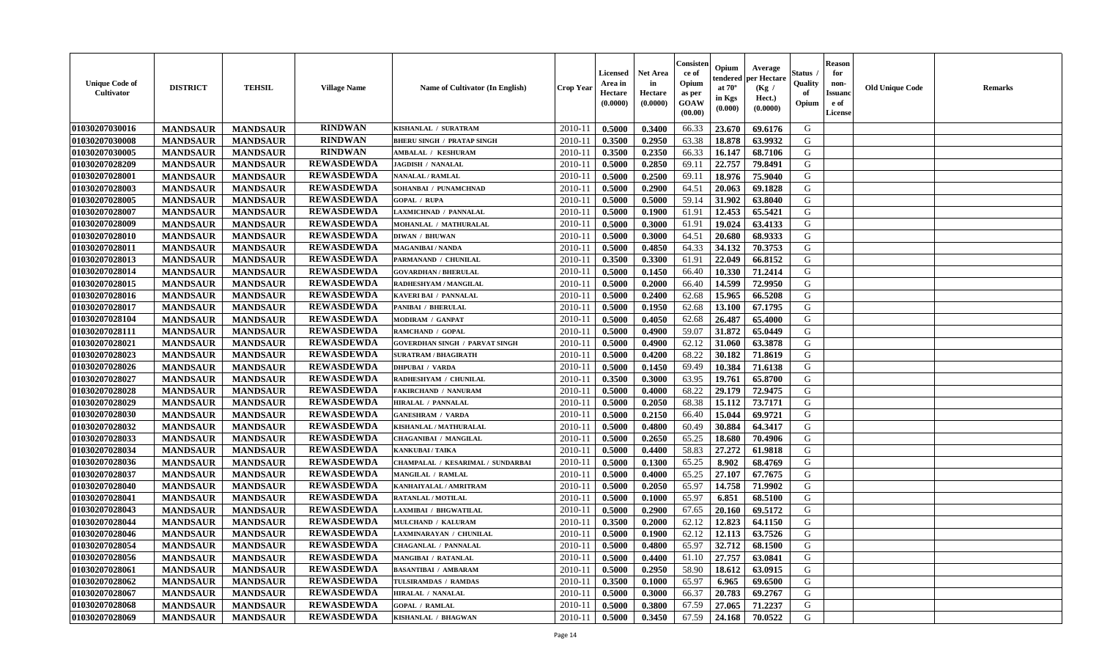| <b>Unique Code of</b><br><b>Cultivator</b> | <b>DISTRICT</b> | <b>TEHSIL</b>   | <b>Village Name</b> | Name of Cultivator (In English)       | <b>Crop Year</b> | <b>Licensed</b><br>Area in<br>Hectare<br>(0.0000) | Net Area<br>in<br>Hectare<br>(0.0000) | Consisteı<br>ce of<br>Opium<br>as per<br>GOAW<br>(00.00) | Opium<br>endered<br>at $70^\circ$<br>in Kgs<br>(0.000) | Average<br>per Hectare<br>(Kg /<br>Hect.)<br>(0.0000) | Status<br>Quality<br>of<br>Opium | <b>Reason</b><br>for<br>non-<br><b>Issuanc</b><br>e of<br>License | <b>Old Unique Code</b> | Remarks |
|--------------------------------------------|-----------------|-----------------|---------------------|---------------------------------------|------------------|---------------------------------------------------|---------------------------------------|----------------------------------------------------------|--------------------------------------------------------|-------------------------------------------------------|----------------------------------|-------------------------------------------------------------------|------------------------|---------|
| 01030207030016                             | <b>MANDSAUR</b> | <b>MANDSAUR</b> | <b>RINDWAN</b>      | KISHANLAL / SURATRAM                  | 2010-11          | 0.5000                                            | 0.3400                                | 66.33                                                    | 23.670                                                 | 69.6176                                               | G                                |                                                                   |                        |         |
| 01030207030008                             | <b>MANDSAUR</b> | <b>MANDSAUR</b> | <b>RINDWAN</b>      | <b>BHERU SINGH / PRATAP SINGH</b>     | $2010 - 11$      | 0.3500                                            | 0.2950                                | 63.38                                                    | 18.878                                                 | 63.9932                                               | G                                |                                                                   |                        |         |
| 01030207030005                             | <b>MANDSAUR</b> | <b>MANDSAUR</b> | <b>RINDWAN</b>      | AMBALAL / KESHURAM                    | 2010-11          | 0.3500                                            | 0.2350                                | 66.33                                                    | 16.147                                                 | 68.7106                                               | G                                |                                                                   |                        |         |
| 01030207028209                             | <b>MANDSAUR</b> | <b>MANDSAUR</b> | <b>REWASDEWDA</b>   | <b>JAGDISH / NANALAL</b>              | 2010-11          | 0.5000                                            | 0.2850                                | 69.11                                                    | 22.757                                                 | 79.8491                                               | G                                |                                                                   |                        |         |
| 01030207028001                             | <b>MANDSAUR</b> | <b>MANDSAUR</b> | <b>REWASDEWDA</b>   | <b>NANALAL / RAMLAL</b>               | 2010-11          | 0.5000                                            | 0.2500                                | 69.11                                                    | 18.976                                                 | 75.9040                                               | G                                |                                                                   |                        |         |
| 01030207028003                             | <b>MANDSAUR</b> | <b>MANDSAUR</b> | <b>REWASDEWDA</b>   | SOHANBAI / PUNAMCHNAD                 | $2010 - 11$      | 0.5000                                            | 0.2900                                | 64.51                                                    | 20.063                                                 | 69.1828                                               | G                                |                                                                   |                        |         |
| 01030207028005                             | <b>MANDSAUR</b> | <b>MANDSAUR</b> | <b>REWASDEWDA</b>   | <b>GOPAL / RUPA</b>                   | $2010 - 11$      | 0.5000                                            | 0.5000                                | 59.14                                                    | 31.902                                                 | 63.8040                                               | G                                |                                                                   |                        |         |
| 01030207028007                             | <b>MANDSAUR</b> | <b>MANDSAUR</b> | <b>REWASDEWDA</b>   | LAXMICHNAD / PANNALAL                 | 2010-11          | 0.5000                                            | 0.1900                                | 61.91                                                    | 12.453                                                 | 65.5421                                               | G                                |                                                                   |                        |         |
| 01030207028009                             | <b>MANDSAUR</b> | <b>MANDSAUR</b> | <b>REWASDEWDA</b>   | MOHANLAL / MATHURALAL                 | 2010-11          | 0.5000                                            | 0.3000                                | 61.91                                                    | 19.024                                                 | 63.4133                                               | G                                |                                                                   |                        |         |
| 01030207028010                             | <b>MANDSAUR</b> | <b>MANDSAUR</b> | <b>REWASDEWDA</b>   | <b>DIWAN / BHUWAN</b>                 | 2010-11          | 0.5000                                            | 0.3000                                | 64.51                                                    | 20.680                                                 | 68.9333                                               | G                                |                                                                   |                        |         |
| 01030207028011                             | <b>MANDSAUR</b> | <b>MANDSAUR</b> | <b>REWASDEWDA</b>   | <b>MAGANIBAI / NANDA</b>              | 2010-11          | 0.5000                                            | 0.4850                                | 64.33                                                    | 34.132                                                 | 70.3753                                               | G                                |                                                                   |                        |         |
| 01030207028013                             | <b>MANDSAUR</b> | <b>MANDSAUR</b> | <b>REWASDEWDA</b>   | PARMANAND / CHUNILAL                  | 2010-11          | 0.3500                                            | 0.3300                                | 61.91                                                    | 22.049                                                 | 66.8152                                               | G                                |                                                                   |                        |         |
| 01030207028014                             | <b>MANDSAUR</b> | <b>MANDSAUR</b> | <b>REWASDEWDA</b>   | <b>GOVARDHAN / BHERULAL</b>           | 2010-11          | 0.5000                                            | 0.1450                                | 66.40                                                    | 10.330                                                 | 71.2414                                               | G                                |                                                                   |                        |         |
| 01030207028015                             | <b>MANDSAUR</b> | <b>MANDSAUR</b> | <b>REWASDEWDA</b>   | RADHESHYAM / MANGILAL                 | 2010-11          | 0.5000                                            | 0.2000                                | 66.40                                                    | 14.599                                                 | 72.9950                                               | G                                |                                                                   |                        |         |
| 01030207028016                             | <b>MANDSAUR</b> | <b>MANDSAUR</b> | <b>REWASDEWDA</b>   | KAVERI BAI / PANNALAL                 | 2010-11          | 0.5000                                            | 0.2400                                | 62.68                                                    | 15.965                                                 | 66.5208                                               | $\mathbf G$                      |                                                                   |                        |         |
| 01030207028017                             | <b>MANDSAUR</b> | <b>MANDSAUR</b> | <b>REWASDEWDA</b>   | PANIBAI / BHERULAL                    | 2010-11          | 0.5000                                            | 0.1950                                | 62.68                                                    | 13.100                                                 | 67.1795                                               | G                                |                                                                   |                        |         |
| 01030207028104                             | <b>MANDSAUR</b> | <b>MANDSAUR</b> | <b>REWASDEWDA</b>   | MODIRAM / GANPAT                      | 2010-11          | 0.5000                                            | 0.4050                                | 62.68                                                    | 26.487                                                 | 65.4000                                               | G                                |                                                                   |                        |         |
| 01030207028111                             | <b>MANDSAUR</b> | <b>MANDSAUR</b> | <b>REWASDEWDA</b>   | RAMCHAND / GOPAL                      | 2010-11          | 0.5000                                            | 0.4900                                | 59.07                                                    | 31.872                                                 | 65.0449                                               | G                                |                                                                   |                        |         |
| 01030207028021                             | <b>MANDSAUR</b> | <b>MANDSAUR</b> | <b>REWASDEWDA</b>   | <b>GOVERDHAN SINGH / PARVAT SINGH</b> | 2010-11          | 0.5000                                            | 0.4900                                | 62.12                                                    | 31.060                                                 | 63.3878                                               | G                                |                                                                   |                        |         |
| 01030207028023                             | <b>MANDSAUR</b> | <b>MANDSAUR</b> | <b>REWASDEWDA</b>   | <b>SURATRAM / BHAGIRATH</b>           | 2010-11          | 0.5000                                            | 0.4200                                | 68.22                                                    | 30.182                                                 | 71.8619                                               | G                                |                                                                   |                        |         |
| 01030207028026                             | <b>MANDSAUR</b> | <b>MANDSAUR</b> | <b>REWASDEWDA</b>   | <b>DHPUBAI / VARDA</b>                | 2010-11          | 0.5000                                            | 0.1450                                | 69.49                                                    | 10.384                                                 | 71.6138                                               | G                                |                                                                   |                        |         |
| 01030207028027                             | <b>MANDSAUR</b> | <b>MANDSAUR</b> | <b>REWASDEWDA</b>   | RADHESHYAM / CHUNILAL                 | 2010-11          | 0.3500                                            | 0.3000                                | 63.95                                                    | 19.761                                                 | 65.8700                                               | G                                |                                                                   |                        |         |
| 01030207028028                             | <b>MANDSAUR</b> | <b>MANDSAUR</b> | <b>REWASDEWDA</b>   | FAKIRCHAND / NANURAM                  | 2010-11          | 0.5000                                            | 0.4000                                | 68.22                                                    | 29.179                                                 | 72.9475                                               | G                                |                                                                   |                        |         |
| 01030207028029                             | <b>MANDSAUR</b> | <b>MANDSAUR</b> | <b>REWASDEWDA</b>   | HIRALAL / PANNALAL                    | 2010-11          | 0.5000                                            | 0.2050                                | 68.38                                                    | 15.112                                                 | 73.7171                                               | G                                |                                                                   |                        |         |
| 01030207028030                             | <b>MANDSAUR</b> | <b>MANDSAUR</b> | <b>REWASDEWDA</b>   | <b>GANESHRAM / VARDA</b>              | 2010-11          | 0.5000                                            | 0.2150                                | 66.40                                                    | 15.044                                                 | 69.9721                                               | G                                |                                                                   |                        |         |
| 01030207028032                             | <b>MANDSAUR</b> | <b>MANDSAUR</b> | <b>REWASDEWDA</b>   | KISHANLAL / MATHURALAL                | 2010-11          | 0.5000                                            | 0.4800                                | 60.49                                                    | 30.884                                                 | 64.3417                                               | G                                |                                                                   |                        |         |
| 01030207028033                             | <b>MANDSAUR</b> | <b>MANDSAUR</b> | <b>REWASDEWDA</b>   | <b>CHAGANIBAI / MANGILAL</b>          | 2010-11          | 0.5000                                            | 0.2650                                | 65.25                                                    | 18.680                                                 | 70.4906                                               | G                                |                                                                   |                        |         |
| 01030207028034                             | <b>MANDSAUR</b> | <b>MANDSAUR</b> | <b>REWASDEWDA</b>   | <b>KANKUBAI/TAIKA</b>                 | 2010-11          | 0.5000                                            | 0.4400                                | 58.83                                                    | 27.272                                                 | 61.9818                                               | G                                |                                                                   |                        |         |
| 01030207028036                             | <b>MANDSAUR</b> | <b>MANDSAUR</b> | <b>REWASDEWDA</b>   | CHAMPALAL / KESARIMAL / SUNDARBAI     | 2010-11          | 0.5000                                            | 0.1300                                | 65.25                                                    | 8.902                                                  | 68.4769                                               | G                                |                                                                   |                        |         |
| 01030207028037                             | <b>MANDSAUR</b> | <b>MANDSAUR</b> | <b>REWASDEWDA</b>   | MANGILAL / RAMLAL                     | 2010-11          | 0.5000                                            | 0.4000                                | 65.25                                                    | 27.107                                                 | 67.7675                                               | G                                |                                                                   |                        |         |
| 01030207028040                             | <b>MANDSAUR</b> | <b>MANDSAUR</b> | <b>REWASDEWDA</b>   | KANHAIYALAL / AMRITRAM                | 2010-11          | 0.5000                                            | 0.2050                                | 65.97                                                    | 14.758                                                 | 71.9902                                               | G                                |                                                                   |                        |         |
| 01030207028041                             | <b>MANDSAUR</b> | <b>MANDSAUR</b> | <b>REWASDEWDA</b>   | RATANLAL / MOTILAL                    | 2010-11          | 0.5000                                            | 0.1000                                | 65.97                                                    | 6.851                                                  | 68.5100                                               | G                                |                                                                   |                        |         |
| 01030207028043                             | <b>MANDSAUR</b> | <b>MANDSAUR</b> | <b>REWASDEWDA</b>   | LAXMIBAI / BHGWATILAL                 | 2010-11          | 0.5000                                            | 0.2900                                | 67.65                                                    | 20.160                                                 | 69.5172                                               | G                                |                                                                   |                        |         |
| 01030207028044                             | <b>MANDSAUR</b> | <b>MANDSAUR</b> | <b>REWASDEWDA</b>   | MULCHAND / KALURAM                    | 2010-11          | 0.3500                                            | 0.2000                                | 62.12                                                    | 12.823                                                 | 64.1150                                               | G                                |                                                                   |                        |         |
| 01030207028046                             | <b>MANDSAUR</b> | <b>MANDSAUR</b> | <b>REWASDEWDA</b>   | LAXMINARAYAN / CHUNILAL               | 2010-11          | 0.5000                                            | 0.1900                                | 62.12                                                    | 12.113                                                 | 63.7526                                               | G                                |                                                                   |                        |         |
| 01030207028054                             | <b>MANDSAUR</b> | <b>MANDSAUR</b> | <b>REWASDEWDA</b>   | <b>CHAGANLAL / PANNALAL</b>           | 2010-11          | 0.5000                                            | 0.4800                                | 65.97                                                    | 32.712                                                 | 68.1500                                               | G                                |                                                                   |                        |         |
| 01030207028056                             | <b>MANDSAUR</b> | <b>MANDSAUR</b> | <b>REWASDEWDA</b>   | MANGIBAI / RATANLAL                   | 2010-11          | 0.5000                                            | 0.4400                                | 61.10                                                    | 27.757                                                 | 63.0841                                               | G                                |                                                                   |                        |         |
| 01030207028061                             | <b>MANDSAUR</b> | <b>MANDSAUR</b> | <b>REWASDEWDA</b>   | <b>BASANTIBAI / AMBARAM</b>           | 2010-11          | 0.5000                                            | 0.2950                                | 58.90                                                    | 18.612                                                 | 63.0915                                               | G                                |                                                                   |                        |         |
| 01030207028062                             | <b>MANDSAUR</b> | <b>MANDSAUR</b> | <b>REWASDEWDA</b>   | TULSIRAMDAS / RAMDAS                  | 2010-11          | 0.3500                                            | 0.1000                                | 65.97                                                    | 6.965                                                  | 69.6500                                               | G                                |                                                                   |                        |         |
| 01030207028067                             | <b>MANDSAUR</b> | <b>MANDSAUR</b> | <b>REWASDEWDA</b>   | <b>HIRALAL / NANALAL</b>              | 2010-11          | 0.5000                                            | 0.3000                                | 66.37                                                    | 20.783                                                 | 69.2767                                               | ${\bf G}$                        |                                                                   |                        |         |
| 01030207028068                             | <b>MANDSAUR</b> | <b>MANDSAUR</b> | <b>REWASDEWDA</b>   | <b>GOPAL / RAMLAL</b>                 | 2010-11          | 0.5000                                            | 0.3800                                | 67.59                                                    | 27.065                                                 | 71.2237                                               | G                                |                                                                   |                        |         |
| 01030207028069                             | <b>MANDSAUR</b> | <b>MANDSAUR</b> | <b>REWASDEWDA</b>   | KISHANLAL / BHAGWAN                   | 2010-11          | 0.5000                                            | 0.3450                                | 67.59                                                    | 24.168                                                 | 70.0522                                               | G                                |                                                                   |                        |         |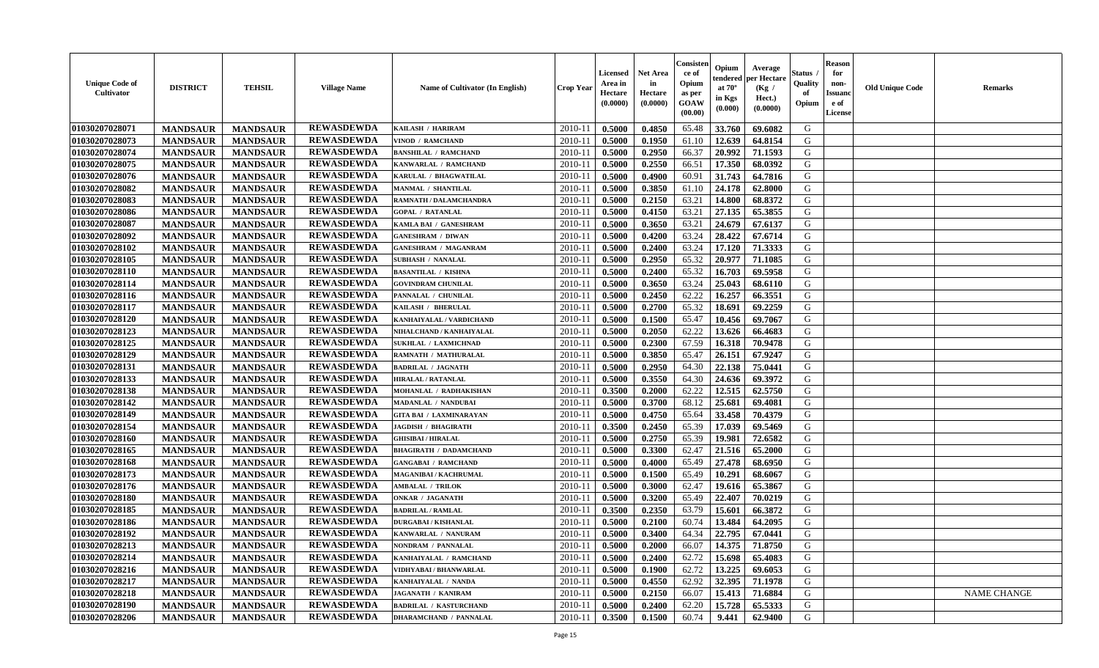| <b>Unique Code of</b><br>Cultivator | <b>DISTRICT</b> | <b>TEHSIL</b>   | <b>Village Name</b> | Name of Cultivator (In English) | <b>Crop Year</b> | <b>Licensed</b><br>Area in<br>Hectare<br>(0.0000) | Net Area<br>in<br>Hectare<br>(0.0000) | Consister<br>ce of<br>Opium<br>as per<br>GOAW<br>(00.00) | Opium<br>endered<br>at $70^\circ$<br>in Kgs<br>(0.000) | Average<br>per Hectare<br>(Kg /<br>Hect.)<br>(0.0000) | Status<br>Quality<br>of<br>Opium | <b>Reason</b><br>for<br>non-<br>Issuano<br>e of<br>License | <b>Old Unique Code</b> | Remarks            |
|-------------------------------------|-----------------|-----------------|---------------------|---------------------------------|------------------|---------------------------------------------------|---------------------------------------|----------------------------------------------------------|--------------------------------------------------------|-------------------------------------------------------|----------------------------------|------------------------------------------------------------|------------------------|--------------------|
| 01030207028071                      | <b>MANDSAUR</b> | <b>MANDSAUR</b> | <b>REWASDEWDA</b>   | KAILASH / HARIRAM               | 2010-11          | 0.5000                                            | 0.4850                                | 65.48                                                    | 33.760                                                 | 69.6082                                               | G                                |                                                            |                        |                    |
| 01030207028073                      | <b>MANDSAUR</b> | <b>MANDSAUR</b> | <b>REWASDEWDA</b>   | VINOD / RAMCHAND                | 2010-11          | 0.5000                                            | 0.1950                                | 61.10                                                    | 12.639                                                 | 64.8154                                               | G                                |                                                            |                        |                    |
| 01030207028074                      | <b>MANDSAUR</b> | <b>MANDSAUR</b> | <b>REWASDEWDA</b>   | <b>BANSHILAL / RAMCHAND</b>     | 2010-11          | 0.5000                                            | 0.2950                                | 66.37                                                    | 20.992                                                 | 71.1593                                               | G                                |                                                            |                        |                    |
| 01030207028075                      | <b>MANDSAUR</b> | <b>MANDSAUR</b> | <b>REWASDEWDA</b>   | KANWARLAL / RAMCHAND            | 2010-11          | 0.5000                                            | 0.2550                                | 66.51                                                    | 17.350                                                 | 68.0392                                               | G                                |                                                            |                        |                    |
| 01030207028076                      | <b>MANDSAUR</b> | <b>MANDSAUR</b> | <b>REWASDEWDA</b>   | KARULAL / BHAGWATILAL           | 2010-11          | 0.5000                                            | 0.4900                                | 60.91                                                    | 31.743                                                 | 64.7816                                               | G                                |                                                            |                        |                    |
| 01030207028082                      | <b>MANDSAUR</b> | <b>MANDSAUR</b> | <b>REWASDEWDA</b>   | <b>MANMAL / SHANTILAL</b>       | 2010-11          | 0.5000                                            | 0.3850                                | 61.10                                                    | 24.178                                                 | 62.8000                                               | G                                |                                                            |                        |                    |
| 01030207028083                      | <b>MANDSAUR</b> | <b>MANDSAUR</b> | <b>REWASDEWDA</b>   | RAMNATH / DALAMCHANDRA          | $2010 - 11$      | 0.5000                                            | 0.2150                                | 63.21                                                    | 14.800                                                 | 68.8372                                               | G                                |                                                            |                        |                    |
| 01030207028086                      | <b>MANDSAUR</b> | <b>MANDSAUR</b> | <b>REWASDEWDA</b>   | <b>GOPAL / RATANLAL</b>         | 2010-11          | 0.5000                                            | 0.4150                                | 63.21                                                    | 27.135                                                 | 65.3855                                               | G                                |                                                            |                        |                    |
| 01030207028087                      | <b>MANDSAUR</b> | <b>MANDSAUR</b> | <b>REWASDEWDA</b>   | KAMLA BAI / GANESHRAM           | 2010-11          | 0.5000                                            | 0.3650                                | 63.21                                                    | 24.679                                                 | 67.6137                                               | G                                |                                                            |                        |                    |
| 01030207028092                      | <b>MANDSAUR</b> | <b>MANDSAUR</b> | <b>REWASDEWDA</b>   | <b>GANESHRAM / DIWAN</b>        | 2010-11          | 0.5000                                            | 0.4200                                | 63.24                                                    | 28.422                                                 | 67.6714                                               | G                                |                                                            |                        |                    |
| 01030207028102                      | <b>MANDSAUR</b> | <b>MANDSAUR</b> | <b>REWASDEWDA</b>   | <b>GANESHRAM / MAGANRAM</b>     | 2010-11          | 0.5000                                            | 0.2400                                | 63.24                                                    | 17.120                                                 | 71.3333                                               | G                                |                                                            |                        |                    |
| 01030207028105                      | <b>MANDSAUR</b> | <b>MANDSAUR</b> | <b>REWASDEWDA</b>   | <b>SUBHASH / NANALAL</b>        | 2010-11          | 0.5000                                            | 0.2950                                | 65.32                                                    | 20.977                                                 | 71.1085                                               | G                                |                                                            |                        |                    |
| 01030207028110                      | <b>MANDSAUR</b> | <b>MANDSAUR</b> | <b>REWASDEWDA</b>   | <b>BASANTILAL / KISHNA</b>      | 2010-11          | 0.5000                                            | 0.2400                                | 65.32                                                    | 16.703                                                 | 69.5958                                               | G                                |                                                            |                        |                    |
| 01030207028114                      | <b>MANDSAUR</b> | <b>MANDSAUR</b> | <b>REWASDEWDA</b>   | <b>GOVINDRAM CHUNILAL</b>       | 2010-11          | 0.5000                                            | 0.3650                                | 63.24                                                    | 25.043                                                 | 68.6110                                               | G                                |                                                            |                        |                    |
| 01030207028116                      | <b>MANDSAUR</b> | <b>MANDSAUR</b> | <b>REWASDEWDA</b>   | PANNALAL / CHUNILAL             | 2010-11          | 0.5000                                            | 0.2450                                | 62.22                                                    | 16.257                                                 | 66.3551                                               | G                                |                                                            |                        |                    |
| 01030207028117                      | <b>MANDSAUR</b> | <b>MANDSAUR</b> | <b>REWASDEWDA</b>   | KAILASH / BHERULAL              | 2010-11          | 0.5000                                            | 0.2700                                | 65.32                                                    | 18.691                                                 | 69.2259                                               | G                                |                                                            |                        |                    |
| 01030207028120                      | <b>MANDSAUR</b> | <b>MANDSAUR</b> | <b>REWASDEWDA</b>   | KANHAIYALAL / VARDICHAND        | 2010-11          | 0.5000                                            | 0.1500                                | 65.47                                                    | 10.456                                                 | 69.7067                                               | G                                |                                                            |                        |                    |
| 01030207028123                      | <b>MANDSAUR</b> | <b>MANDSAUR</b> | <b>REWASDEWDA</b>   | NIHALCHAND / KANHAIYALAL        | 2010-11          | 0.5000                                            | 0.2050                                | 62.22                                                    | 13.626                                                 | 66.4683                                               | G                                |                                                            |                        |                    |
| 01030207028125                      | <b>MANDSAUR</b> | <b>MANDSAUR</b> | <b>REWASDEWDA</b>   | <b>SUKHLAL / LAXMICHNAD</b>     | 2010-11          | 0.5000                                            | 0.2300                                | 67.59                                                    | 16.318                                                 | 70.9478                                               | G                                |                                                            |                        |                    |
| 01030207028129                      | <b>MANDSAUR</b> | <b>MANDSAUR</b> | <b>REWASDEWDA</b>   | RAMNATH / MATHURALAL            | 2010-11          | 0.5000                                            | 0.3850                                | 65.47                                                    | 26.151                                                 | 67.9247                                               | G                                |                                                            |                        |                    |
| 01030207028131                      | <b>MANDSAUR</b> | <b>MANDSAUR</b> | <b>REWASDEWDA</b>   | <b>BADRILAL / JAGNATH</b>       | 2010-11          | 0.5000                                            | 0.2950                                | 64.30                                                    | 22.138                                                 | 75.0441                                               | G                                |                                                            |                        |                    |
| 01030207028133                      | <b>MANDSAUR</b> | <b>MANDSAUR</b> | <b>REWASDEWDA</b>   | <b>HIRALAL / RATANLAL</b>       | 2010-11          | 0.5000                                            | 0.3550                                | 64.30                                                    | 24.636                                                 | 69.3972                                               | G                                |                                                            |                        |                    |
| 01030207028138                      | <b>MANDSAUR</b> | <b>MANDSAUR</b> | <b>REWASDEWDA</b>   | MOHANLAL / RADHAKISHAN          | 2010-11          | 0.3500                                            | 0.2000                                | 62.22                                                    | 12.515                                                 | 62.5750                                               | G                                |                                                            |                        |                    |
| 01030207028142                      | <b>MANDSAUR</b> | <b>MANDSAUR</b> | <b>REWASDEWDA</b>   | <b>MADANLAL / NANDUBAI</b>      | 2010-11          | 0.5000                                            | 0.3700                                | 68.12                                                    | 25.681                                                 | 69.4081                                               | G                                |                                                            |                        |                    |
| 01030207028149                      | <b>MANDSAUR</b> | <b>MANDSAUR</b> | <b>REWASDEWDA</b>   | <b>GITA BAI / LAXMINARAYAN</b>  | 2010-11          | 0.5000                                            | 0.4750                                | 65.64                                                    | 33.458                                                 | 70.4379                                               | G                                |                                                            |                        |                    |
| 01030207028154                      | <b>MANDSAUR</b> | <b>MANDSAUR</b> | <b>REWASDEWDA</b>   | <b>JAGDISH / BHAGIRATH</b>      | 2010-11          | 0.3500                                            | 0.2450                                | 65.39                                                    | 17.039                                                 | 69.5469                                               | G                                |                                                            |                        |                    |
| 01030207028160                      | <b>MANDSAUR</b> | <b>MANDSAUR</b> | <b>REWASDEWDA</b>   | <b>GHISIBAI / HIRALAL</b>       | 2010-11          | 0.5000                                            | 0.2750                                | 65.39                                                    | 19.981                                                 | 72.6582                                               | G                                |                                                            |                        |                    |
| 01030207028165                      | <b>MANDSAUR</b> | <b>MANDSAUR</b> | <b>REWASDEWDA</b>   | <b>BHAGIRATH / DADAMCHAND</b>   | 2010-11          | 0.5000                                            | 0.3300                                | 62.47                                                    | 21.516                                                 | 65.2000                                               | G                                |                                                            |                        |                    |
| 01030207028168                      | <b>MANDSAUR</b> | <b>MANDSAUR</b> | <b>REWASDEWDA</b>   | <b>GANGABAI / RAMCHAND</b>      | 2010-11          | 0.5000                                            | 0.4000                                | 65.49                                                    | 27.478                                                 | 68.6950                                               | G                                |                                                            |                        |                    |
| 01030207028173                      | <b>MANDSAUR</b> | <b>MANDSAUR</b> | <b>REWASDEWDA</b>   | MAGANIBAI / KACHRUMAI           | 2010-11          | 0.5000                                            | 0.1500                                | 65.49                                                    | 10.291                                                 | 68.6067                                               | G                                |                                                            |                        |                    |
| 01030207028176                      | <b>MANDSAUR</b> | <b>MANDSAUR</b> | <b>REWASDEWDA</b>   | <b>AMBALAL / TRILOK</b>         | 2010-11          | 0.5000                                            | 0.3000                                | 62.47                                                    | 19.616                                                 | 65.3867                                               | G                                |                                                            |                        |                    |
| 01030207028180                      | <b>MANDSAUR</b> | <b>MANDSAUR</b> | <b>REWASDEWDA</b>   | <b>ONKAR / JAGANATH</b>         | 2010-11          | 0.5000                                            | 0.3200                                | 65.49                                                    | 22.407                                                 | 70.0219                                               | G                                |                                                            |                        |                    |
| 01030207028185                      | <b>MANDSAUR</b> | <b>MANDSAUR</b> | <b>REWASDEWDA</b>   | <b>BADRILAL / RAMLAL</b>        | 2010-11          | 0.3500                                            | 0.2350                                | 63.79                                                    | 15.601                                                 | 66.3872                                               | G                                |                                                            |                        |                    |
| 01030207028186                      | <b>MANDSAUR</b> | <b>MANDSAUR</b> | <b>REWASDEWDA</b>   | <b>DURGABAI/KISHANLAL</b>       | 2010-11          | 0.5000                                            | 0.2100                                | 60.74                                                    | 13.484                                                 | 64.2095                                               | G                                |                                                            |                        |                    |
| 01030207028192                      | <b>MANDSAUR</b> | <b>MANDSAUR</b> | <b>REWASDEWDA</b>   | KANWARLAL / NANURAM             | 2010-11          | 0.5000                                            | 0.3400                                | 64.34                                                    | 22.795                                                 | 67.0441                                               | G                                |                                                            |                        |                    |
| 01030207028213                      | <b>MANDSAUR</b> | <b>MANDSAUR</b> | <b>REWASDEWDA</b>   | NONDRAM / PANNALAL              | 2010-11          | 0.5000                                            | 0.2000                                | 66.07                                                    | 14.375                                                 | 71.8750                                               | G                                |                                                            |                        |                    |
| 01030207028214                      | <b>MANDSAUR</b> | <b>MANDSAUR</b> | <b>REWASDEWDA</b>   | KANHAIYALAL / RAMCHAND          | 2010-11          | 0.5000                                            | 0.2400                                | 62.72                                                    | 15.698                                                 | 65.4083                                               | G                                |                                                            |                        |                    |
| 01030207028216                      | <b>MANDSAUR</b> | <b>MANDSAUR</b> | <b>REWASDEWDA</b>   | VIDHYABAI / BHANWARLAL          | 2010-11          | 0.5000                                            | 0.1900                                | 62.72                                                    | 13.225                                                 | 69.6053                                               | G                                |                                                            |                        |                    |
| 01030207028217                      | <b>MANDSAUR</b> | <b>MANDSAUR</b> | <b>REWASDEWDA</b>   | KANHAIYALAL / NANDA             | 2010-11          | 0.5000                                            | 0.4550                                | 62.92                                                    | 32.395                                                 | 71.1978                                               | G                                |                                                            |                        |                    |
| 01030207028218                      | <b>MANDSAUR</b> | <b>MANDSAUR</b> | <b>REWASDEWDA</b>   | <b>JAGANATH / KANIRAM</b>       | 2010-11          | 0.5000                                            | 0.2150                                | 66.07                                                    | 15.413                                                 | 71.6884                                               | G                                |                                                            |                        | <b>NAME CHANGE</b> |
| 01030207028190                      | <b>MANDSAUR</b> | <b>MANDSAUR</b> | <b>REWASDEWDA</b>   | <b>BADRILAL / KASTURCHAND</b>   | 2010-11          | 0.5000                                            | 0.2400                                | 62.20                                                    | 15.728                                                 | 65.5333                                               | G                                |                                                            |                        |                    |
| 01030207028206                      | <b>MANDSAUR</b> | <b>MANDSAUR</b> | <b>REWASDEWDA</b>   | <b>DHARAMCHAND / PANNALAL</b>   | 2010-11          | 0.3500                                            | 0.1500                                | 60.74                                                    | 9.441                                                  | 62.9400                                               | G                                |                                                            |                        |                    |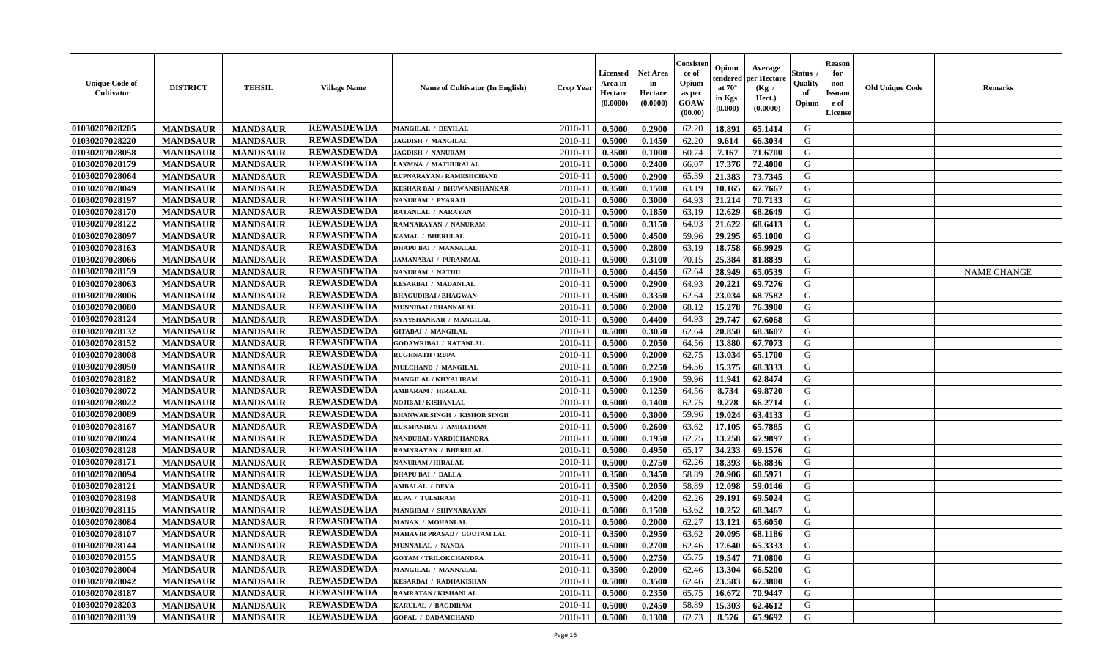| <b>Unique Code of</b><br><b>Cultivator</b> | <b>DISTRICT</b> | <b>TEHSIL</b>   | <b>Village Name</b> | Name of Cultivator (In English)     | <b>Crop Year</b> | Licensed<br>Area in<br>Hectare<br>(0.0000) | Net Area<br>in<br>Hectare<br>(0.0000) | Consisteı<br>ce of<br>Opium<br>as per<br>GOAW<br>(00.00) | Opium<br>endered<br>at $70^\circ$<br>in Kgs<br>(0.000) | Average<br>per Hectare<br>(Kg /<br>Hect.)<br>(0.0000) | Status<br>Quality<br>of<br>Opium | <b>Reason</b><br>for<br>non-<br><b>Issuand</b><br>e of<br>License | <b>Old Unique Code</b> | Remarks            |
|--------------------------------------------|-----------------|-----------------|---------------------|-------------------------------------|------------------|--------------------------------------------|---------------------------------------|----------------------------------------------------------|--------------------------------------------------------|-------------------------------------------------------|----------------------------------|-------------------------------------------------------------------|------------------------|--------------------|
| 01030207028205                             | <b>MANDSAUR</b> | <b>MANDSAUR</b> | <b>REWASDEWDA</b>   | MANGILAL / DEVILAL                  | 2010-11          | 0.5000                                     | 0.2900                                | 62.20                                                    | 18.891                                                 | 65.1414                                               | G                                |                                                                   |                        |                    |
| 01030207028220                             | <b>MANDSAUR</b> | <b>MANDSAUR</b> | <b>REWASDEWDA</b>   | <b>JAGDISH / MANGILAL</b>           | 2010-11          | 0.5000                                     | 0.1450                                | 62.20                                                    | 9.614                                                  | 66.3034                                               | G                                |                                                                   |                        |                    |
| 01030207028058                             | <b>MANDSAUR</b> | <b>MANDSAUR</b> | <b>REWASDEWDA</b>   | <b>JAGDISH / NANURAM</b>            | 2010-11          | 0.3500                                     | 0.1000                                | 60.74                                                    | 7.167                                                  | 71.6700                                               | G                                |                                                                   |                        |                    |
| 01030207028179                             | <b>MANDSAUR</b> | <b>MANDSAUR</b> | <b>REWASDEWDA</b>   | LAXMNA / MATHURALAL                 | 2010-11          | 0.5000                                     | 0.2400                                | 66.07                                                    | 17.376                                                 | 72.4000                                               | G                                |                                                                   |                        |                    |
| 01030207028064                             | <b>MANDSAUR</b> | <b>MANDSAUR</b> | <b>REWASDEWDA</b>   | RUPNARAYAN / RAMESHCHAND            | 2010-11          | 0.5000                                     | 0.2900                                | 65.39                                                    | 21.383                                                 | 73.7345                                               | G                                |                                                                   |                        |                    |
| 01030207028049                             | <b>MANDSAUR</b> | <b>MANDSAUR</b> | <b>REWASDEWDA</b>   | KESHAR BAI / BHUWANISHANKAR         | $2010 - 11$      | 0.3500                                     | 0.1500                                | 63.19                                                    | 10.165                                                 | 67.7667                                               | G                                |                                                                   |                        |                    |
| 01030207028197                             | <b>MANDSAUR</b> | <b>MANDSAUR</b> | <b>REWASDEWDA</b>   | NANURAM / PYARAJI                   | $2010 - 11$      | 0.5000                                     | 0.3000                                | 64.93                                                    | 21.214                                                 | 70.7133                                               | G                                |                                                                   |                        |                    |
| 01030207028170                             | <b>MANDSAUR</b> | <b>MANDSAUR</b> | <b>REWASDEWDA</b>   | RATANLAL / NARAYAN                  | 2010-11          | 0.5000                                     | 0.1850                                | 63.19                                                    | 12.629                                                 | 68.2649                                               | G                                |                                                                   |                        |                    |
| 01030207028122                             | <b>MANDSAUR</b> | <b>MANDSAUR</b> | <b>REWASDEWDA</b>   | RAMNARAYAN / NANURAM                | 2010-11          | 0.5000                                     | 0.3150                                | 64.93                                                    | 21.622                                                 | 68.6413                                               | G                                |                                                                   |                        |                    |
| 01030207028097                             | <b>MANDSAUR</b> | <b>MANDSAUR</b> | <b>REWASDEWDA</b>   | KAMAL / BHERULAL                    | 2010-11          | 0.5000                                     | 0.4500                                | 59.96                                                    | 29.295                                                 | 65.1000                                               | G                                |                                                                   |                        |                    |
| 01030207028163                             | <b>MANDSAUR</b> | <b>MANDSAUR</b> | <b>REWASDEWDA</b>   | <b>DHAPU BAI / MANNALAL</b>         | 2010-11          | 0.5000                                     | 0.2800                                | 63.19                                                    | 18.758                                                 | 66.9929                                               | G                                |                                                                   |                        |                    |
| 01030207028066                             | <b>MANDSAUR</b> | <b>MANDSAUR</b> | <b>REWASDEWDA</b>   | <b>JAMANABAI / PURANMAL</b>         | 2010-11          | 0.5000                                     | 0.3100                                | 70.15                                                    | 25.384                                                 | 81.8839                                               | G                                |                                                                   |                        |                    |
| 01030207028159                             | <b>MANDSAUR</b> | <b>MANDSAUR</b> | <b>REWASDEWDA</b>   | NANURAM / NATHU                     | 2010-11          | 0.5000                                     | 0.4450                                | 62.64                                                    | 28.949                                                 | 65.0539                                               | G                                |                                                                   |                        | <b>NAME CHANGE</b> |
| 01030207028063                             | <b>MANDSAUR</b> | <b>MANDSAUR</b> | <b>REWASDEWDA</b>   | <b>KESARBAI / MADANLAL</b>          | 2010-11          | 0.5000                                     | 0.2900                                | 64.93                                                    | 20.221                                                 | 69.7276                                               | G                                |                                                                   |                        |                    |
| 01030207028006                             | <b>MANDSAUR</b> | <b>MANDSAUR</b> | <b>REWASDEWDA</b>   | <b>BHAGUDIBAI / BHAGWAN</b>         | 2010-11          | 0.3500                                     | 0.3350                                | 62.64                                                    | 23.034                                                 | 68.7582                                               | $\mathbf G$                      |                                                                   |                        |                    |
| 01030207028080                             | <b>MANDSAUR</b> | <b>MANDSAUR</b> | <b>REWASDEWDA</b>   | MUNNIBAI / DHANNALAL                | 2010-11          | 0.5000                                     | 0.2000                                | 68.12                                                    | 15.278                                                 | 76.3900                                               | G                                |                                                                   |                        |                    |
| 01030207028124                             | <b>MANDSAUR</b> | <b>MANDSAUR</b> | <b>REWASDEWDA</b>   | NYAYSHANKAR / MANGILAL              | 2010-11          | 0.5000                                     | 0.4400                                | 64.93                                                    | 29.747                                                 | 67.6068                                               | G                                |                                                                   |                        |                    |
| 01030207028132                             | <b>MANDSAUR</b> | <b>MANDSAUR</b> | <b>REWASDEWDA</b>   | <b>GITABAI / MANGILAL</b>           | 2010-11          | 0.5000                                     | 0.3050                                | 62.64                                                    | 20.850                                                 | 68.3607                                               | G                                |                                                                   |                        |                    |
| 01030207028152                             | <b>MANDSAUR</b> | <b>MANDSAUR</b> | <b>REWASDEWDA</b>   | <b>GODAWRIBAI / RATANLAL</b>        | 2010-11          | 0.5000                                     | 0.2050                                | 64.56                                                    | 13.880                                                 | 67.7073                                               | G                                |                                                                   |                        |                    |
| 01030207028008                             | <b>MANDSAUR</b> | <b>MANDSAUR</b> | <b>REWASDEWDA</b>   | <b>RUGHNATH / RUPA</b>              | 2010-11          | 0.5000                                     | 0.2000                                | 62.75                                                    | 13.034                                                 | 65.1700                                               | G                                |                                                                   |                        |                    |
| 01030207028050                             | <b>MANDSAUR</b> | <b>MANDSAUR</b> | <b>REWASDEWDA</b>   | MULCHAND / MANGILAL                 | 2010-11          | 0.5000                                     | 0.2250                                | 64.56                                                    | 15.375                                                 | 68.3333                                               | G                                |                                                                   |                        |                    |
| 01030207028182                             | <b>MANDSAUR</b> | <b>MANDSAUR</b> | <b>REWASDEWDA</b>   | MANGILAL / KHYALIRAM                | 2010-11          | 0.5000                                     | 0.1900                                | 59.96                                                    | 11.941                                                 | 62.8474                                               | G                                |                                                                   |                        |                    |
| 01030207028072                             | <b>MANDSAUR</b> | <b>MANDSAUR</b> | <b>REWASDEWDA</b>   | <b>AMBARAM / HIRALAL</b>            | 2010-11          | 0.5000                                     | 0.1250                                | 64.56                                                    | 8.734                                                  | 69.8720                                               | G                                |                                                                   |                        |                    |
| 01030207028022                             | <b>MANDSAUR</b> | <b>MANDSAUR</b> | <b>REWASDEWDA</b>   | <b>NOJIBAI / KISHANLAL</b>          | 2010-11          | 0.5000                                     | 0.1400                                | 62.75                                                    | 9.278                                                  | 66.2714                                               | G                                |                                                                   |                        |                    |
| 01030207028089                             | <b>MANDSAUR</b> | <b>MANDSAUR</b> | <b>REWASDEWDA</b>   | <b>BHANWAR SINGH / KISHOR SINGH</b> | 2010-11          | 0.5000                                     | 0.3000                                | 59.96                                                    | 19.024                                                 | 63.4133                                               | G                                |                                                                   |                        |                    |
| 01030207028167                             | <b>MANDSAUR</b> | <b>MANDSAUR</b> | <b>REWASDEWDA</b>   | RUKMANIBAI / AMRATRAM               | 2010-11          | 0.5000                                     | 0.2600                                | 63.62                                                    | 17.105                                                 | 65.7885                                               | G                                |                                                                   |                        |                    |
| 01030207028024                             | <b>MANDSAUR</b> | <b>MANDSAUR</b> | <b>REWASDEWDA</b>   | NANDUBAI / VARDICHANDRA             | 2010-11          | 0.5000                                     | 0.1950                                | 62.75                                                    | 13.258                                                 | 67.9897                                               | G                                |                                                                   |                        |                    |
| 01030207028128                             | <b>MANDSAUR</b> | <b>MANDSAUR</b> | <b>REWASDEWDA</b>   | <b>RAMNRAYAN / BHERULAL</b>         | 2010-11          | 0.5000                                     | 0.4950                                | 65.17                                                    | 34.233                                                 | 69.1576                                               | G                                |                                                                   |                        |                    |
| 01030207028171                             | <b>MANDSAUR</b> | <b>MANDSAUR</b> | <b>REWASDEWDA</b>   | NANURAM / HIRALAL                   | 2010-11          | 0.5000                                     | 0.2750                                | 62.26                                                    | 18.393                                                 | 66.8836                                               | G                                |                                                                   |                        |                    |
| 01030207028094                             | <b>MANDSAUR</b> | <b>MANDSAUR</b> | <b>REWASDEWDA</b>   | <b>DHAPU BAI / DALLA</b>            | 2010-11          | 0.3500                                     | 0.3450                                | 58.89                                                    | 20.906                                                 | 60.5971                                               | G                                |                                                                   |                        |                    |
| 01030207028121                             | <b>MANDSAUR</b> | <b>MANDSAUR</b> | <b>REWASDEWDA</b>   | <b>AMBALAL / DEVA</b>               | 2010-11          | 0.3500                                     | 0.2050                                | 58.89                                                    | 12.098                                                 | 59.0146                                               | G                                |                                                                   |                        |                    |
| 01030207028198                             | <b>MANDSAUR</b> | <b>MANDSAUR</b> | <b>REWASDEWDA</b>   | RUPA / TULSIRAM                     | 2010-11          | 0.5000                                     | 0.4200                                | 62.26                                                    | 29.191                                                 | 69.5024                                               | G                                |                                                                   |                        |                    |
| 01030207028115                             | <b>MANDSAUR</b> | <b>MANDSAUR</b> | <b>REWASDEWDA</b>   | MANGIBAI / SHIVNARAYAN              | 2010-11          | 0.5000                                     | 0.1500                                | 63.62                                                    | 10.252                                                 | 68.3467                                               | G                                |                                                                   |                        |                    |
| 01030207028084                             | <b>MANDSAUR</b> | <b>MANDSAUR</b> | <b>REWASDEWDA</b>   | <b>MANAK / MOHANLAL</b>             | 2010-11          | 0.5000                                     | 0.2000                                | 62.27                                                    | 13.121                                                 | 65.6050                                               | G                                |                                                                   |                        |                    |
| 01030207028107                             | <b>MANDSAUR</b> | <b>MANDSAUR</b> | <b>REWASDEWDA</b>   | MAHAVIR PRASAD / GOUTAM LAL         | 2010-11          | 0.3500                                     | 0.2950                                | 63.62                                                    | 20.095                                                 | 68.1186                                               | G                                |                                                                   |                        |                    |
| 01030207028144                             | <b>MANDSAUR</b> | <b>MANDSAUR</b> | <b>REWASDEWDA</b>   | MUNNALAL / NANDA                    | 2010-11          | 0.5000                                     | 0.2700                                | 62.46                                                    | 17.640                                                 | 65.3333                                               | G                                |                                                                   |                        |                    |
| 01030207028155                             | <b>MANDSAUR</b> | <b>MANDSAUR</b> | <b>REWASDEWDA</b>   | <b>GOTAM / TRILOKCHANDRA</b>        | 2010-11          | 0.5000                                     | 0.2750                                | 65.75                                                    | 19.547                                                 | 71.0800                                               | G                                |                                                                   |                        |                    |
| 01030207028004                             | <b>MANDSAUR</b> | <b>MANDSAUR</b> | <b>REWASDEWDA</b>   | MANGILAL / MANNALAL                 | 2010-11          | 0.3500                                     | 0.2000                                | 62.46                                                    | 13.304                                                 | 66.5200                                               | G                                |                                                                   |                        |                    |
| 01030207028042                             | <b>MANDSAUR</b> | <b>MANDSAUR</b> | <b>REWASDEWDA</b>   | <b>KESARBAI / RADHAKISHAN</b>       | $2010 - 11$      | 0.5000                                     | 0.3500                                | 62.46                                                    | 23.583                                                 | 67.3800                                               | G                                |                                                                   |                        |                    |
| 01030207028187                             | <b>MANDSAUR</b> | <b>MANDSAUR</b> | <b>REWASDEWDA</b>   | RAMRATAN / KISHANLAL                | 2010-11          | 0.5000                                     | 0.2350                                | 65.75                                                    | 16.672                                                 | 70.9447                                               | ${\bf G}$                        |                                                                   |                        |                    |
| 01030207028203                             | <b>MANDSAUR</b> | <b>MANDSAUR</b> | <b>REWASDEWDA</b>   | KARULAL / BAGDIRAM                  | 2010-11          | 0.5000                                     | 0.2450                                | 58.89                                                    | 15.303                                                 | 62.4612                                               | G                                |                                                                   |                        |                    |
| 01030207028139                             | <b>MANDSAUR</b> | <b>MANDSAUR</b> | <b>REWASDEWDA</b>   | <b>GOPAL / DADAMCHAND</b>           | 2010-11          | 0.5000                                     | 0.1300                                | 62.73                                                    | 8.576                                                  | 65.9692                                               | G                                |                                                                   |                        |                    |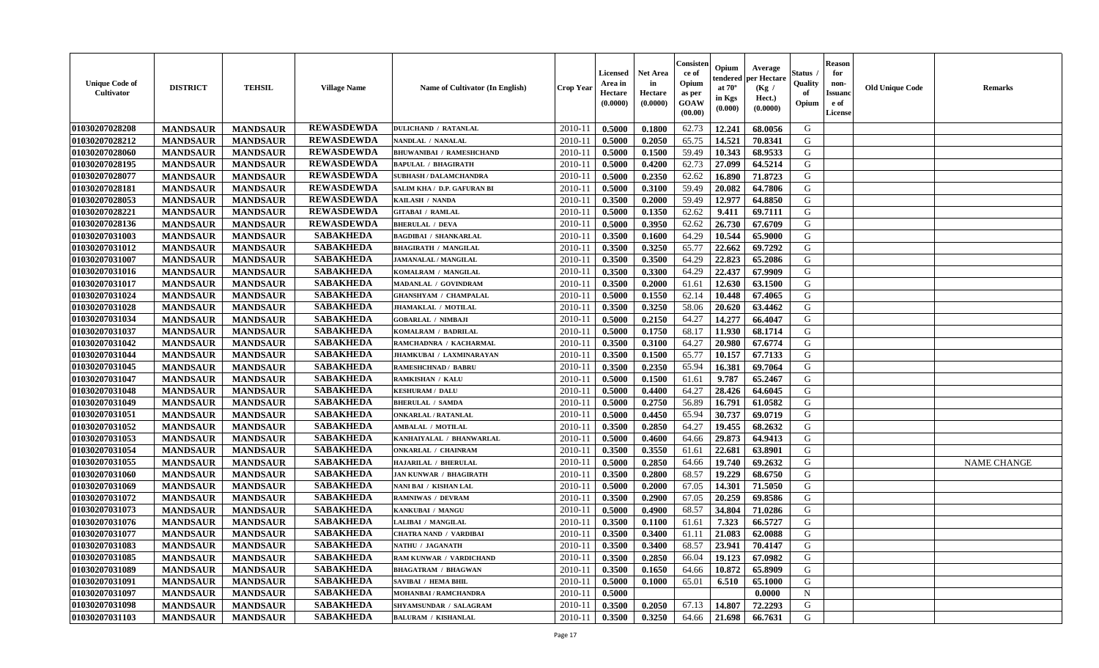| <b>Unique Code of</b><br>Cultivator | <b>DISTRICT</b> | <b>TEHSIL</b>   | <b>Village Name</b> | Name of Cultivator (In English) | <b>Crop Year</b> | <b>Licensed</b><br>Area in<br>Hectare<br>(0.0000) | <b>Net Area</b><br>in<br>Hectare<br>(0.0000) | Consisten<br>ce of<br>Opium<br>as per<br><b>GOAW</b><br>(00.00) | Opium<br>tendered<br>at $70^\circ$<br>in Kgs<br>$(\mathbf{0.000})$ | Average<br>per Hectare<br>(Kg /<br>Hect.)<br>(0.0000) | Status .<br>Quality<br>of<br>Opium | <b>Reason</b><br>for<br>non-<br><b>Issuanc</b><br>e of<br>License | <b>Old Unique Code</b> | <b>Remarks</b>     |
|-------------------------------------|-----------------|-----------------|---------------------|---------------------------------|------------------|---------------------------------------------------|----------------------------------------------|-----------------------------------------------------------------|--------------------------------------------------------------------|-------------------------------------------------------|------------------------------------|-------------------------------------------------------------------|------------------------|--------------------|
| 01030207028208                      | <b>MANDSAUR</b> | <b>MANDSAUR</b> | <b>REWASDEWDA</b>   | <b>DULICHAND / RATANLAL</b>     | 2010-11          | 0.5000                                            | 0.1800                                       | 62.73                                                           | 12.241                                                             | 68.0056                                               | G                                  |                                                                   |                        |                    |
| 01030207028212                      | <b>MANDSAUR</b> | <b>MANDSAUR</b> | <b>REWASDEWDA</b>   | NANDLAL / NANALAL               | $2010 - 11$      | 0.5000                                            | 0.2050                                       | 65.75                                                           | 14.521                                                             | 70.8341                                               | G                                  |                                                                   |                        |                    |
| 01030207028060                      | <b>MANDSAUR</b> | <b>MANDSAUR</b> | <b>REWASDEWDA</b>   | <b>BHUWANIBAI / RAMESHCHAND</b> | $2010 - 1$       | 0.5000                                            | 0.1500                                       | 59.49                                                           | 10.343                                                             | 68.9533                                               | G                                  |                                                                   |                        |                    |
| 01030207028195                      | <b>MANDSAUR</b> | <b>MANDSAUR</b> | <b>REWASDEWDA</b>   | <b>BAPULAL / BHAGIRATH</b>      | 2010-11          | 0.5000                                            | 0.4200                                       | 62.73                                                           | 27.099                                                             | 64.5214                                               | G                                  |                                                                   |                        |                    |
| 01030207028077                      | <b>MANDSAUR</b> | <b>MANDSAUR</b> | <b>REWASDEWDA</b>   | <b>SUBHASH / DALAMCHANDRA</b>   | 2010-11          | 0.5000                                            | 0.2350                                       | 62.62                                                           | 16.890                                                             | 71.8723                                               | G                                  |                                                                   |                        |                    |
| 01030207028181                      | <b>MANDSAUR</b> | <b>MANDSAUR</b> | <b>REWASDEWDA</b>   | SALIM KHA / D.P. GAFURAN BI     | $2010 - 11$      | 0.5000                                            | 0.3100                                       | 59.49                                                           | 20.082                                                             | 64.7806                                               | G                                  |                                                                   |                        |                    |
| 01030207028053                      | <b>MANDSAUR</b> | <b>MANDSAUR</b> | <b>REWASDEWDA</b>   | KAILASH / NANDA                 | 2010-11          | 0.3500                                            | 0.2000                                       | 59.49                                                           | 12.977                                                             | 64.8850                                               | G                                  |                                                                   |                        |                    |
| 01030207028221                      | <b>MANDSAUR</b> | <b>MANDSAUR</b> | <b>REWASDEWDA</b>   | <b>GITABAI / RAMLAL</b>         | $2010 - 11$      | 0.5000                                            | 0.1350                                       | 62.62                                                           | 9.411                                                              | 69.7111                                               | G                                  |                                                                   |                        |                    |
| 01030207028136                      | <b>MANDSAUR</b> | <b>MANDSAUR</b> | <b>REWASDEWDA</b>   | <b>BHERULAL / DEVA</b>          | 2010-11          | 0.5000                                            | 0.3950                                       | 62.62                                                           | 26.730                                                             | 67.6709                                               | G                                  |                                                                   |                        |                    |
| 01030207031003                      | <b>MANDSAUR</b> | <b>MANDSAUR</b> | <b>SABAKHEDA</b>    | <b>BAGDIBAI / SHANKARLAL</b>    | 2010-11          | 0.3500                                            | 0.1600                                       | 64.29                                                           | 10.544                                                             | 65.9000                                               | G                                  |                                                                   |                        |                    |
| 01030207031012                      | <b>MANDSAUR</b> | <b>MANDSAUR</b> | <b>SABAKHEDA</b>    | <b>BHAGIRATH / MANGILAL</b>     | $2010 - 11$      | 0.3500                                            | 0.3250                                       | 65.77                                                           | 22.662                                                             | 69.7292                                               | G                                  |                                                                   |                        |                    |
| 01030207031007                      | <b>MANDSAUR</b> | <b>MANDSAUR</b> | <b>SABAKHEDA</b>    | <b>JAMANALAL / MANGILAL</b>     | 2010-11          | 0.3500                                            | 0.3500                                       | 64.29                                                           | 22.823                                                             | 65.2086                                               | G                                  |                                                                   |                        |                    |
| 01030207031016                      | <b>MANDSAUR</b> | <b>MANDSAUR</b> | <b>SABAKHEDA</b>    | KOMALRAM / MANGILAL             | $2010 - 11$      | 0.3500                                            | 0.3300                                       | 64.29                                                           | 22.437                                                             | 67.9909                                               | G                                  |                                                                   |                        |                    |
| 01030207031017                      | <b>MANDSAUR</b> | <b>MANDSAUR</b> | <b>SABAKHEDA</b>    | MADANLAL / GOVINDRAM            | $2010 - 1$       | 0.3500                                            | 0.2000                                       | 61.61                                                           | 12.630                                                             | 63.1500                                               | G                                  |                                                                   |                        |                    |
| 01030207031024                      | <b>MANDSAUR</b> | <b>MANDSAUR</b> | <b>SABAKHEDA</b>    | <b>GHANSHYAM / CHAMPALAL</b>    | 2010-11          | 0.5000                                            | 0.1550                                       | 62.14                                                           | 10.448                                                             | 67.4065                                               | G                                  |                                                                   |                        |                    |
| 01030207031028                      | <b>MANDSAUR</b> | <b>MANDSAUR</b> | <b>SABAKHEDA</b>    | JHAMAKLAL / MOTILAL             | 2010-11          | 0.3500                                            | 0.3250                                       | 58.06                                                           | 20.620                                                             | 63.4462                                               | G                                  |                                                                   |                        |                    |
| 01030207031034                      | <b>MANDSAUR</b> | <b>MANDSAUR</b> | <b>SABAKHEDA</b>    | <b>GOBARLAL / NIMBAJI</b>       | $2010 - 11$      | 0.5000                                            | 0.2150                                       | 64.27                                                           | 14.277                                                             | 66.4047                                               | G                                  |                                                                   |                        |                    |
| 01030207031037                      | <b>MANDSAUR</b> | <b>MANDSAUR</b> | <b>SABAKHEDA</b>    | KOMALRAM / BADRILAL             | 2010-11          | 0.5000                                            | 0.1750                                       | 68.17                                                           | 11.930                                                             | 68.1714                                               | G                                  |                                                                   |                        |                    |
| 01030207031042                      | <b>MANDSAUR</b> | <b>MANDSAUR</b> | <b>SABAKHEDA</b>    | RAMCHADNRA / KACHARMAL          | $2010 - 11$      | 0.3500                                            | 0.3100                                       | 64.27                                                           | 20.980                                                             | 67.6774                                               | G                                  |                                                                   |                        |                    |
| 01030207031044                      |                 |                 | <b>SABAKHEDA</b>    | <b>JHAMKUBAI / LAXMINARAYAN</b> |                  | 0.3500                                            | 0.1500                                       |                                                                 | 10.157                                                             |                                                       |                                    |                                                                   |                        |                    |
|                                     | <b>MANDSAUR</b> | <b>MANDSAUR</b> | <b>SABAKHEDA</b>    |                                 | 2010-11          |                                                   |                                              | 65.77                                                           |                                                                    | 67.7133                                               | G                                  |                                                                   |                        |                    |
| 01030207031045                      | <b>MANDSAUR</b> | <b>MANDSAUR</b> |                     | <b>RAMESHCHNAD / BABRU</b>      | 2010-11          | 0.3500                                            | 0.2350                                       | 65.94                                                           | 16.381                                                             | 69.7064                                               | G                                  |                                                                   |                        |                    |
| 01030207031047                      | <b>MANDSAUR</b> | <b>MANDSAUR</b> | <b>SABAKHEDA</b>    | RAMKISHAN / KALU                | $2010 - 11$      | 0.5000                                            | 0.1500                                       | 61.61                                                           | 9.787                                                              | 65,2467                                               | G                                  |                                                                   |                        |                    |
| 01030207031048                      | <b>MANDSAUR</b> | <b>MANDSAUR</b> | <b>SABAKHEDA</b>    | <b>KESHURAM / DALU</b>          | 2010-11          | 0.5000                                            | 0.4400                                       | 64.27                                                           | 28.426                                                             | 64.6045                                               | G                                  |                                                                   |                        |                    |
| 01030207031049                      | <b>MANDSAUR</b> | <b>MANDSAUR</b> | <b>SABAKHEDA</b>    | <b>BHERULAL / SAMDA</b>         | 2010-11          | 0.5000                                            | 0.2750                                       | 56.89                                                           | 16.791                                                             | 61.0582                                               | G                                  |                                                                   |                        |                    |
| 01030207031051                      | <b>MANDSAUR</b> | <b>MANDSAUR</b> | <b>SABAKHEDA</b>    | <b>ONKARLAL / RATANLAL</b>      | $2010 - 1$       | 0.5000                                            | 0.4450                                       | 65.94                                                           | 30.737                                                             | 69.0719                                               | G                                  |                                                                   |                        |                    |
| 01030207031052                      | <b>MANDSAUR</b> | <b>MANDSAUR</b> | <b>SABAKHEDA</b>    | AMBALAL / MOTILAL               | 2010-11          | 0.3500                                            | 0.2850                                       | 64.27                                                           | 19.455                                                             | 68.2632                                               | G                                  |                                                                   |                        |                    |
| 01030207031053                      | <b>MANDSAUR</b> | <b>MANDSAUR</b> | <b>SABAKHEDA</b>    | KANHAIYALAL / BHANWARLAL        | $2010 - 11$      | 0.5000                                            | 0.4600                                       | 64.66                                                           | 29.873                                                             | 64.9413                                               | G                                  |                                                                   |                        |                    |
| 01030207031054                      | <b>MANDSAUR</b> | <b>MANDSAUR</b> | <b>SABAKHEDA</b>    | <b>ONKARLAL / CHAINRAM</b>      | 2010-11          | 0.3500                                            | 0.3550                                       | 61.61                                                           | 22.681                                                             | 63.8901                                               | G                                  |                                                                   |                        |                    |
| 01030207031055                      | <b>MANDSAUR</b> | <b>MANDSAUR</b> | <b>SABAKHEDA</b>    | HAJARILAL / BHERULAL            | 2010-11          | 0.5000                                            | 0.2850                                       | 64.66                                                           | 19.740                                                             | 69.2632                                               | G                                  |                                                                   |                        | <b>NAME CHANGE</b> |
| 01030207031060                      | <b>MANDSAUR</b> | <b>MANDSAUR</b> | <b>SABAKHEDA</b>    | <b>JAN KUNWAR / BHAGIRATH</b>   | $2010 - 11$      | 0.3500                                            | 0.2800                                       | 68.57                                                           | 19.229                                                             | 68.6750                                               | G                                  |                                                                   |                        |                    |
| 01030207031069                      | <b>MANDSAUR</b> | <b>MANDSAUR</b> | <b>SABAKHEDA</b>    | NANI BAI / KISHAN LAL           | 2010-11          | 0.5000                                            | 0.2000                                       | 67.05                                                           | 14.301                                                             | 71.5050                                               | G                                  |                                                                   |                        |                    |
| 01030207031072                      | <b>MANDSAUR</b> | <b>MANDSAUR</b> | <b>SABAKHEDA</b>    | <b>RAMNIWAS / DEVRAM</b>        | 2010-11          | 0.3500                                            | 0.2900                                       | 67.05                                                           | 20.259                                                             | 69.8586                                               | G                                  |                                                                   |                        |                    |
| 01030207031073                      | <b>MANDSAUR</b> | <b>MANDSAUR</b> | <b>SABAKHEDA</b>    | KANKUBAI / MANGU                | $2010 - 11$      | 0.5000                                            | 0.4900                                       | 68.57                                                           | 34.804                                                             | 71.0286                                               | G                                  |                                                                   |                        |                    |
| 01030207031076                      | <b>MANDSAUR</b> | <b>MANDSAUR</b> | <b>SABAKHEDA</b>    | <b>LALIBAI / MANGILAL</b>       | 2010-11          | 0.3500                                            | 0.1100                                       | 61.61                                                           | 7.323                                                              | 66.5727                                               | G                                  |                                                                   |                        |                    |
| 01030207031077                      | <b>MANDSAUR</b> | <b>MANDSAUR</b> | <b>SABAKHEDA</b>    | <b>CHATRA NAND / VARDIBAI</b>   | 2010-11          | 0.3500                                            | 0.3400                                       | 61.11                                                           | 21.083                                                             | 62.0088                                               | G                                  |                                                                   |                        |                    |
| 01030207031083                      | <b>MANDSAUR</b> | <b>MANDSAUR</b> | SABAKHEDA           | NATHU / JAGANATH                |                  | $2010-11$ 0.3500                                  | 0.3400                                       | 68.57                                                           |                                                                    | 23.941 70.4147                                        | G                                  |                                                                   |                        |                    |
| 01030207031085                      | <b>MANDSAUR</b> | <b>MANDSAUR</b> | <b>SABAKHEDA</b>    | RAM KUNWAR / VARDICHAND         | 2010-11          | 0.3500                                            | 0.2850                                       | 66.04                                                           | 19.123                                                             | 67.0982                                               | G                                  |                                                                   |                        |                    |
| 01030207031089                      | <b>MANDSAUR</b> | <b>MANDSAUR</b> | <b>SABAKHEDA</b>    | <b>BHAGATRAM / BHAGWAN</b>      | 2010-11          | 0.3500                                            | 0.1650                                       | 64.66                                                           | 10.872                                                             | 65.8909                                               | G                                  |                                                                   |                        |                    |
| 01030207031091                      | <b>MANDSAUR</b> | <b>MANDSAUR</b> | <b>SABAKHEDA</b>    | <b>SAVIBAI / HEMA BHIL</b>      | 2010-11          | 0.5000                                            | 0.1000                                       | 65.01                                                           | 6.510                                                              | 65.1000                                               | G                                  |                                                                   |                        |                    |
| 01030207031097                      | <b>MANDSAUR</b> | <b>MANDSAUR</b> | <b>SABAKHEDA</b>    | MOHANBAI / RAMCHANDRA           | 2010-11          | 0.5000                                            |                                              |                                                                 |                                                                    | 0.0000                                                | $\mathbf N$                        |                                                                   |                        |                    |
| 01030207031098                      | <b>MANDSAUR</b> | <b>MANDSAUR</b> | <b>SABAKHEDA</b>    | SHYAMSUNDAR / SALAGRAM          | 2010-11          | 0.3500                                            | 0.2050                                       | 67.13                                                           | 14.807                                                             | 72.2293                                               | G                                  |                                                                   |                        |                    |
| 01030207031103                      | <b>MANDSAUR</b> | <b>MANDSAUR</b> | <b>SABAKHEDA</b>    | <b>BALURAM / KISHANLAL</b>      | $2010 - 11$      | 0.3500                                            | 0.3250                                       | 64.66                                                           | 21.698                                                             | 66.7631                                               | G                                  |                                                                   |                        |                    |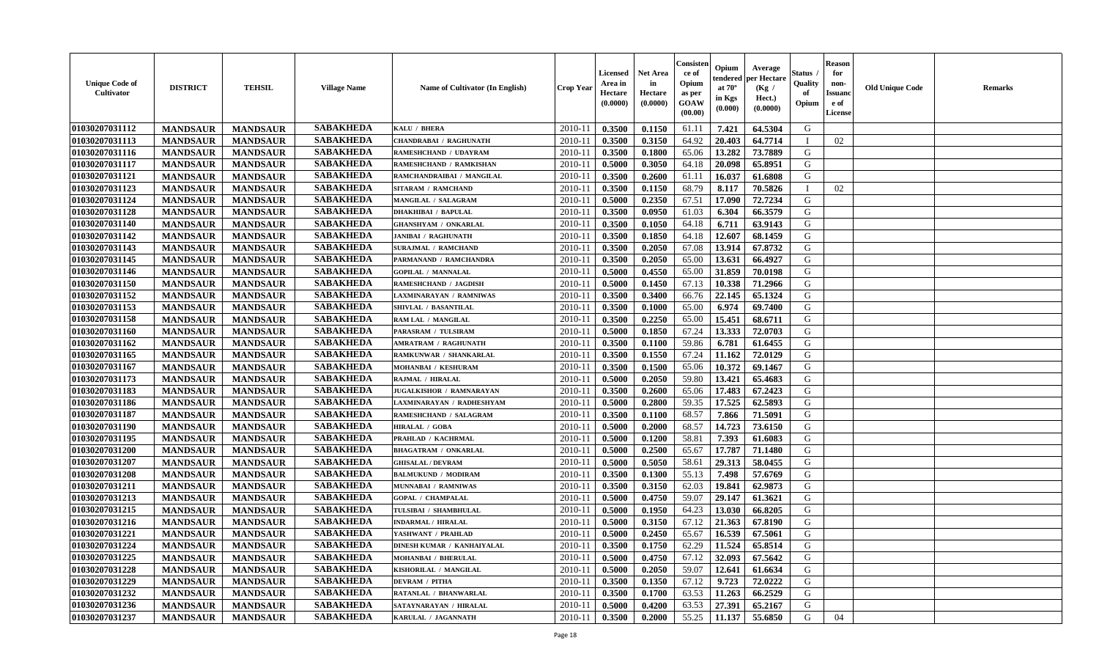| <b>Unique Code of</b><br><b>Cultivator</b> | <b>DISTRICT</b> | <b>TEHSIL</b>   | <b>Village Name</b> | Name of Cultivator (In English)   | <b>Crop Year</b> | <b>Licensed</b><br>Area in<br>Hectare<br>(0.0000) | Net Area<br>in<br>Hectare<br>(0.0000) | Consister<br>ce of<br>Opium<br>as per<br>GOAW<br>(00.00) | Opium<br>endered<br>at $70^\circ$<br>in Kgs<br>(0.000) | Average<br>per Hectare<br>(Kg /<br>Hect.)<br>(0.0000) | Status<br>Quality<br>of<br>Opium | <b>Reason</b><br>for<br>non-<br><b>Issuand</b><br>e of<br>License | <b>Old Unique Code</b> | Remarks |
|--------------------------------------------|-----------------|-----------------|---------------------|-----------------------------------|------------------|---------------------------------------------------|---------------------------------------|----------------------------------------------------------|--------------------------------------------------------|-------------------------------------------------------|----------------------------------|-------------------------------------------------------------------|------------------------|---------|
| 01030207031112                             | <b>MANDSAUR</b> | <b>MANDSAUR</b> | <b>SABAKHEDA</b>    | KALU / BHERA                      | 2010-11          | 0.3500                                            | 0.1150                                | 61.11                                                    | 7.421                                                  | 64.5304                                               | G                                |                                                                   |                        |         |
| 01030207031113                             | <b>MANDSAUR</b> | <b>MANDSAUR</b> | <b>SABAKHEDA</b>    | <b>CHANDRABAI / RAGHUNATH</b>     | 2010-11          | 0.3500                                            | 0.3150                                | 64.92                                                    | 20.403                                                 | 64.7714                                               | П                                | 02                                                                |                        |         |
| 01030207031116                             | <b>MANDSAUR</b> | <b>MANDSAUR</b> | <b>SABAKHEDA</b>    | RAMESHCHAND / UDAYRAM             | 2010-11          | 0.3500                                            | 0.1800                                | 65.06                                                    | 13.282                                                 | 73.7889                                               | G                                |                                                                   |                        |         |
| 01030207031117                             | <b>MANDSAUR</b> | <b>MANDSAUR</b> | <b>SABAKHEDA</b>    | RAMESHCHAND / RAMKISHAN           | 2010-11          | 0.5000                                            | 0.3050                                | 64.18                                                    | 20.098                                                 | 65.8951                                               | G                                |                                                                   |                        |         |
| 01030207031121                             | <b>MANDSAUR</b> | <b>MANDSAUR</b> | <b>SABAKHEDA</b>    | RAMCHANDRAIBAI / MANGILAL         | 2010-11          | 0.3500                                            | 0.2600                                | 61.11                                                    | 16.037                                                 | 61.6808                                               | G                                |                                                                   |                        |         |
| 01030207031123                             | <b>MANDSAUR</b> | <b>MANDSAUR</b> | <b>SABAKHEDA</b>    | <b>SITARAM / RAMCHAND</b>         | 2010-11          | 0.3500                                            | 0.1150                                | 68.79                                                    | 8.117                                                  | 70.5826                                               | $\mathbf{I}$                     | 02                                                                |                        |         |
| 01030207031124                             | <b>MANDSAUR</b> | <b>MANDSAUR</b> | <b>SABAKHEDA</b>    | MANGILAL / SALAGRAM               | $2010 - 11$      | 0.5000                                            | 0.2350                                | 67.51                                                    | 17.090                                                 | 72.7234                                               | G                                |                                                                   |                        |         |
| 01030207031128                             | <b>MANDSAUR</b> | <b>MANDSAUR</b> | <b>SABAKHEDA</b>    | <b>DHAKHIBAI / BAPULAL</b>        | 2010-11          | 0.3500                                            | 0.0950                                | 61.03                                                    | 6.304                                                  | 66.3579                                               | G                                |                                                                   |                        |         |
| 01030207031140                             | <b>MANDSAUR</b> | <b>MANDSAUR</b> | <b>SABAKHEDA</b>    | <b>GHANSHYAM / ONKARLAL</b>       | 2010-11          | 0.3500                                            | 0.1050                                | 64.18                                                    | 6.711                                                  | 63.9143                                               | G                                |                                                                   |                        |         |
| 01030207031142                             | <b>MANDSAUR</b> | <b>MANDSAUR</b> | <b>SABAKHEDA</b>    | <b>JANIBAI / RAGHUNATH</b>        | 2010-11          | 0.3500                                            | 0.1850                                | 64.18                                                    | 12.607                                                 | 68.1459                                               | G                                |                                                                   |                        |         |
| 01030207031143                             | <b>MANDSAUR</b> | <b>MANDSAUR</b> | <b>SABAKHEDA</b>    | <b>SURAJMAL / RAMCHAND</b>        | 2010-11          | 0.3500                                            | 0.2050                                | 67.08                                                    | 13.914                                                 | 67.8732                                               | G                                |                                                                   |                        |         |
| 01030207031145                             | <b>MANDSAUR</b> | <b>MANDSAUR</b> | <b>SABAKHEDA</b>    | PARMANAND / RAMCHANDRA            | 2010-11          | 0.3500                                            | 0.2050                                | 65.00                                                    | 13.631                                                 | 66.4927                                               | G                                |                                                                   |                        |         |
| 01030207031146                             | <b>MANDSAUR</b> | <b>MANDSAUR</b> | <b>SABAKHEDA</b>    | <b>GOPILAL / MANNALAL</b>         | 2010-11          | 0.5000                                            | 0.4550                                | 65.00                                                    | 31.859                                                 | 70.0198                                               | G                                |                                                                   |                        |         |
| 01030207031150                             | <b>MANDSAUR</b> | <b>MANDSAUR</b> | <b>SABAKHEDA</b>    | RAMESHCHAND / JAGDISH             | 2010-11          | 0.5000                                            | 0.1450                                | 67.13                                                    | 10.338                                                 | 71.2966                                               | G                                |                                                                   |                        |         |
| 01030207031152                             | <b>MANDSAUR</b> | <b>MANDSAUR</b> | <b>SABAKHEDA</b>    | AXMINARAYAN / RAMNIWAS            | 2010-11          | 0.3500                                            | 0.3400                                | 66.76                                                    | 22.145                                                 | 65.1324                                               | $\mathbf G$                      |                                                                   |                        |         |
| 01030207031153                             | <b>MANDSAUR</b> | <b>MANDSAUR</b> | <b>SABAKHEDA</b>    | SHIVLAL / BASANTILAL              | 2010-11          | 0.3500                                            | 0.1000                                | 65.00                                                    | 6.974                                                  | 69.7400                                               | G                                |                                                                   |                        |         |
| 01030207031158                             | <b>MANDSAUR</b> | <b>MANDSAUR</b> | <b>SABAKHEDA</b>    | RAM LAL / MANGILAL                | 2010-11          | 0.3500                                            | 0.2250                                | 65.00                                                    | 15.451                                                 | 68.6711                                               | G                                |                                                                   |                        |         |
| 01030207031160                             | <b>MANDSAUR</b> | <b>MANDSAUR</b> | <b>SABAKHEDA</b>    | PARASRAM / TULSIRAM               | 2010-11          | 0.5000                                            | 0.1850                                | 67.24                                                    | 13.333                                                 | 72.0703                                               | G                                |                                                                   |                        |         |
| 01030207031162                             | <b>MANDSAUR</b> | <b>MANDSAUR</b> | <b>SABAKHEDA</b>    | <b>AMRATRAM / RAGHUNATH</b>       | 2010-11          | 0.3500                                            | 0.1100                                | 59.86                                                    | 6.781                                                  | 61.6455                                               | G                                |                                                                   |                        |         |
| 01030207031165                             | <b>MANDSAUR</b> | <b>MANDSAUR</b> | <b>SABAKHEDA</b>    | RAMKUNWAR / SHANKARLAL            | 2010-11          | 0.3500                                            | 0.1550                                | 67.24                                                    | 11.162                                                 | 72.0129                                               | G                                |                                                                   |                        |         |
| 01030207031167                             | <b>MANDSAUR</b> | <b>MANDSAUR</b> | <b>SABAKHEDA</b>    | MOHANBAI / KESHURAM               | 2010-11          | 0.3500                                            | 0.1500                                | 65.06                                                    | 10.372                                                 | 69.1467                                               | G                                |                                                                   |                        |         |
| 01030207031173                             | <b>MANDSAUR</b> | <b>MANDSAUR</b> | <b>SABAKHEDA</b>    | RAJMAL / HIRALAL                  | 2010-11          | 0.5000                                            | 0.2050                                | 59.80                                                    | 13.421                                                 | 65.4683                                               | G                                |                                                                   |                        |         |
| 01030207031183                             | <b>MANDSAUR</b> | <b>MANDSAUR</b> | <b>SABAKHEDA</b>    | <b>JUGALKISHOR / RAMNARAYAN</b>   | 2010-11          | 0.3500                                            | 0.2600                                | 65.06                                                    | 17.483                                                 | 67.2423                                               | G                                |                                                                   |                        |         |
| 01030207031186                             | <b>MANDSAUR</b> | <b>MANDSAUR</b> | <b>SABAKHEDA</b>    | LAXMINARAYAN / RADHESHYAM         | 2010-11          | 0.5000                                            | 0.2800                                | 59.35                                                    | 17.525                                                 | 62.5893                                               | G                                |                                                                   |                        |         |
| 01030207031187                             | <b>MANDSAUR</b> | <b>MANDSAUR</b> | <b>SABAKHEDA</b>    | RAMESHCHAND / SALAGRAM            | 2010-11          | 0.3500                                            | 0.1100                                | 68.57                                                    | 7.866                                                  | 71.5091                                               | G                                |                                                                   |                        |         |
| 01030207031190                             | <b>MANDSAUR</b> | <b>MANDSAUR</b> | <b>SABAKHEDA</b>    | HIRALAL / GOBA                    | 2010-11          | 0.5000                                            | 0.2000                                | 68.57                                                    | 14.723                                                 | 73.6150                                               | G                                |                                                                   |                        |         |
| 01030207031195                             | <b>MANDSAUR</b> | <b>MANDSAUR</b> | <b>SABAKHEDA</b>    | PRAHLAD / KACHRMAL                | 2010-11          | 0.5000                                            | 0.1200                                | 58.81                                                    | 7.393                                                  | 61.6083                                               | G                                |                                                                   |                        |         |
| 01030207031200                             | <b>MANDSAUR</b> | <b>MANDSAUR</b> | <b>SABAKHEDA</b>    | <b>BHAGATRAM / ONKARLAL</b>       | 2010-11          | 0.5000                                            | 0.2500                                | 65.67                                                    | 17.787                                                 | 71.1480                                               | G                                |                                                                   |                        |         |
| 01030207031207                             | <b>MANDSAUR</b> | <b>MANDSAUR</b> | <b>SABAKHEDA</b>    | <b>GHISALAL / DEVRAM</b>          | 2010-11          | 0.5000                                            | 0.5050                                | 58.61                                                    | 29.313                                                 | 58.0455                                               | G                                |                                                                   |                        |         |
| 01030207031208                             | <b>MANDSAUR</b> | <b>MANDSAUR</b> | <b>SABAKHEDA</b>    | <b>BALMUKUND / MODIRAM</b>        | 2010-11          | 0.3500                                            | 0.1300                                | 55.13                                                    | 7.498                                                  | 57.6769                                               | G                                |                                                                   |                        |         |
| 01030207031211                             | <b>MANDSAUR</b> | <b>MANDSAUR</b> | <b>SABAKHEDA</b>    | MUNNABAI / RAMNIWAS               | 2010-11          | 0.3500                                            | 0.3150                                | 62.03                                                    | 19.841                                                 | 62.9873                                               | G                                |                                                                   |                        |         |
| 01030207031213                             | <b>MANDSAUR</b> | <b>MANDSAUR</b> | <b>SABAKHEDA</b>    | <b>GOPAL / CHAMPALAL</b>          | 2010-11          | 0.5000                                            | 0.4750                                | 59.07                                                    | 29.147                                                 | 61.3621                                               | G                                |                                                                   |                        |         |
| 01030207031215                             | <b>MANDSAUR</b> | <b>MANDSAUR</b> | <b>SABAKHEDA</b>    | TULSIBAI / SHAMBHULAL             | 2010-11          | 0.5000                                            | 0.1950                                | 64.23                                                    | 13.030                                                 | 66.8205                                               | G                                |                                                                   |                        |         |
| 01030207031216                             | <b>MANDSAUR</b> | <b>MANDSAUR</b> | <b>SABAKHEDA</b>    | <b>INDARMAL / HIRALAL</b>         | 2010-11          | 0.5000                                            | 0.3150                                | 67.12                                                    | 21.363                                                 | 67.8190                                               | G                                |                                                                   |                        |         |
| 01030207031221                             | <b>MANDSAUR</b> | <b>MANDSAUR</b> | <b>SABAKHEDA</b>    | YASHWANT / PRAHLAD                | 2010-11          | 0.5000                                            | 0.2450                                | 65.67                                                    | 16.539                                                 | 67.5061                                               | G                                |                                                                   |                        |         |
| 01030207031224                             | <b>MANDSAUR</b> | <b>MANDSAUR</b> | <b>SABAKHEDA</b>    | <b>DINESH KUMAR / KANHAIYALAL</b> | 2010-11          | 0.3500                                            | 0.1750                                | 62.29                                                    | 11.524                                                 | 65.8514                                               | G                                |                                                                   |                        |         |
| 01030207031225                             | <b>MANDSAUR</b> | <b>MANDSAUR</b> | <b>SABAKHEDA</b>    | <b>MOHANBAI / BHERULAL</b>        | 2010-11          | 0.5000                                            | 0.4750                                | 67.12                                                    | 32.093                                                 | 67.5642                                               | G                                |                                                                   |                        |         |
| 01030207031228                             | <b>MANDSAUR</b> | <b>MANDSAUR</b> | <b>SABAKHEDA</b>    | KISHORILAL / MANGILAL             | 2010-11          | 0.5000                                            | 0.2050                                | 59.07                                                    | 12.641                                                 | 61.6634                                               | G                                |                                                                   |                        |         |
| 01030207031229                             | <b>MANDSAUR</b> | <b>MANDSAUR</b> | <b>SABAKHEDA</b>    | <b>DEVRAM / PITHA</b>             | 2010-11          | 0.3500                                            | 0.1350                                | 67.12                                                    | 9.723                                                  | 72.0222                                               | G                                |                                                                   |                        |         |
| 01030207031232                             | <b>MANDSAUR</b> | <b>MANDSAUR</b> | <b>SABAKHEDA</b>    | RATANLAL / BHANWARLAL             | 2010-11          | 0.3500                                            | 0.1700                                | 63.53                                                    | 11.263                                                 | 66.2529                                               | ${\bf G}$                        |                                                                   |                        |         |
| 01030207031236                             |                 |                 | <b>SABAKHEDA</b>    |                                   | 2010-11          | 0.5000                                            |                                       | 63.53                                                    |                                                        |                                                       | G                                |                                                                   |                        |         |
|                                            | <b>MANDSAUR</b> | <b>MANDSAUR</b> | <b>SABAKHEDA</b>    | SATAYNARAYAN / HIRALAL            |                  |                                                   | 0.4200                                |                                                          | 27.391                                                 | 65.2167                                               | G                                |                                                                   |                        |         |
| 01030207031237                             | <b>MANDSAUR</b> | <b>MANDSAUR</b> |                     | KARULAL / JAGANNATH               | 2010-11          | 0.3500                                            | 0.2000                                | 55.25                                                    | 11.137                                                 | 55.6850                                               |                                  | 04                                                                |                        |         |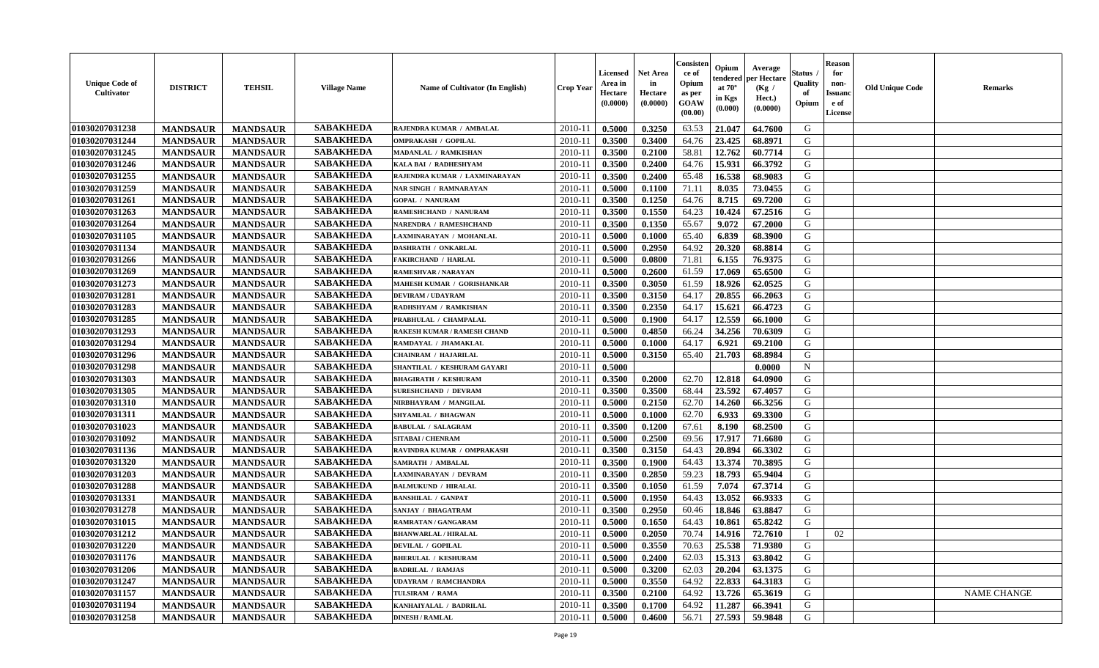| <b>Unique Code of</b><br>Cultivator | <b>DISTRICT</b> | <b>TEHSIL</b>   | <b>Village Name</b> | Name of Cultivator (In English) | <b>Crop Year</b> | <b>Licensed</b><br>Area in<br>Hectare<br>(0.0000) | <b>Net Area</b><br>in<br>Hectare<br>(0.0000) | Consister<br>ce of<br>Opium<br>as per<br>GOAW<br>(00.00) | Opium<br>endered<br>at $70^\circ$<br>in Kgs<br>(0.000) | Average<br>per Hectare<br>(Kg /<br>Hect.)<br>(0.0000) | Status .<br>Quality<br>of<br>Opium | <b>Reason</b><br>for<br>non-<br><b>Issuand</b><br>e of<br>License | <b>Old Unique Code</b> | <b>Remarks</b>     |
|-------------------------------------|-----------------|-----------------|---------------------|---------------------------------|------------------|---------------------------------------------------|----------------------------------------------|----------------------------------------------------------|--------------------------------------------------------|-------------------------------------------------------|------------------------------------|-------------------------------------------------------------------|------------------------|--------------------|
| 01030207031238                      | <b>MANDSAUR</b> | <b>MANDSAUR</b> | <b>SABAKHEDA</b>    | RAJENDRA KUMAR / AMBALAL        | 2010-11          | 0.5000                                            | 0.3250                                       | 63.53                                                    | 21.047                                                 | 64.7600                                               | G                                  |                                                                   |                        |                    |
| 01030207031244                      | <b>MANDSAUR</b> | <b>MANDSAUR</b> | <b>SABAKHEDA</b>    | <b>OMPRAKASH / GOPILAL</b>      | $2010-11$        | 0.3500                                            | 0.3400                                       | 64.76                                                    | 23.425                                                 | 68.8971                                               | G                                  |                                                                   |                        |                    |
| 01030207031245                      | <b>MANDSAUR</b> | <b>MANDSAUR</b> | <b>SABAKHEDA</b>    | MADANLAL / RAMKISHAN            | 2010-11          | 0.3500                                            | 0.2100                                       | 58.81                                                    | 12.762                                                 | 60.7714                                               | G                                  |                                                                   |                        |                    |
| 01030207031246                      | <b>MANDSAUR</b> | <b>MANDSAUR</b> | <b>SABAKHEDA</b>    | KALA BAI / RADHESHYAM           | 2010-11          | 0.3500                                            | 0.2400                                       | 64.76                                                    | 15.931                                                 | 66.3792                                               | G                                  |                                                                   |                        |                    |
| 01030207031255                      | <b>MANDSAUR</b> | <b>MANDSAUR</b> | <b>SABAKHEDA</b>    | RAJENDRA KUMAR / LAXMINARAYAN   | 2010-11          | 0.3500                                            | 0.2400                                       | 65.48                                                    | 16.538                                                 | 68.9083                                               | G                                  |                                                                   |                        |                    |
| 01030207031259                      | <b>MANDSAUR</b> | <b>MANDSAUR</b> | <b>SABAKHEDA</b>    | NAR SINGH / RAMNARAYAN          | 2010-11          | 0.5000                                            | 0.1100                                       | 71.11                                                    | 8.035                                                  | 73.0455                                               | G                                  |                                                                   |                        |                    |
| 01030207031261                      | <b>MANDSAUR</b> | <b>MANDSAUR</b> | <b>SABAKHEDA</b>    | <b>GOPAL / NANURAM</b>          | $2010 - 11$      | 0.3500                                            | 0.1250                                       | 64.76                                                    | 8.715                                                  | 69.7200                                               | G                                  |                                                                   |                        |                    |
| 01030207031263                      | <b>MANDSAUR</b> | <b>MANDSAUR</b> | <b>SABAKHEDA</b>    | RAMESHCHAND / NANURAM           | 2010-11          | 0.3500                                            | 0.1550                                       | 64.23                                                    | 10.424                                                 | 67.2516                                               | G                                  |                                                                   |                        |                    |
| 01030207031264                      | <b>MANDSAUR</b> | <b>MANDSAUR</b> | <b>SABAKHEDA</b>    | <b>NARENDRA / RAMESHCHAND</b>   | 2010-11          | 0.3500                                            | 0.1350                                       | 65.67                                                    | 9.072                                                  | 67.2000                                               | G                                  |                                                                   |                        |                    |
| 01030207031105                      | <b>MANDSAUR</b> | <b>MANDSAUR</b> | <b>SABAKHEDA</b>    | LAXMINARAYAN / MOHANLAL         | 2010-11          | 0.5000                                            | 0.1000                                       | 65.40                                                    | 6.839                                                  | 68.3900                                               | G                                  |                                                                   |                        |                    |
| 01030207031134                      | <b>MANDSAUR</b> | <b>MANDSAUR</b> | <b>SABAKHEDA</b>    | <b>DASHRATH / ONKARLAL</b>      | 2010-11          | 0.5000                                            | 0.2950                                       | 64.92                                                    | 20.320                                                 | 68.8814                                               | G                                  |                                                                   |                        |                    |
| 01030207031266                      | <b>MANDSAUR</b> | <b>MANDSAUR</b> | <b>SABAKHEDA</b>    | <b>FAKIRCHAND / HARLAL</b>      | 2010-11          | 0.5000                                            | 0.0800                                       | 71.81                                                    | 6.155                                                  | 76.9375                                               | G                                  |                                                                   |                        |                    |
| 01030207031269                      | <b>MANDSAUR</b> | <b>MANDSAUR</b> | <b>SABAKHEDA</b>    | <b>RAMESHVAR / NARAYAN</b>      | 2010-11          | 0.5000                                            | 0.2600                                       | 61.59                                                    | 17.069                                                 | 65.6500                                               | G                                  |                                                                   |                        |                    |
| 01030207031273                      | <b>MANDSAUR</b> | <b>MANDSAUR</b> | <b>SABAKHEDA</b>    | MAHESH KUMAR / GORISHANKAR      | 2010-11          | 0.3500                                            | 0.3050                                       | 61.59                                                    | 18.926                                                 | 62.0525                                               | G                                  |                                                                   |                        |                    |
| 01030207031281                      | <b>MANDSAUR</b> | <b>MANDSAUR</b> | <b>SABAKHEDA</b>    | <b>DEVIRAM / UDAYRAM</b>        | $2010 - 1$       | 0.3500                                            | 0.3150                                       | 64.17                                                    | 20.855                                                 | 66.2063                                               | ${\bf G}$                          |                                                                   |                        |                    |
| 01030207031283                      | <b>MANDSAUR</b> | <b>MANDSAUR</b> | <b>SABAKHEDA</b>    | RADHSHYAM / RAMKISHAN           | 2010-11          | 0.3500                                            | 0.2350                                       | 64.17                                                    | 15.621                                                 | 66.4723                                               | G                                  |                                                                   |                        |                    |
| 01030207031285                      | <b>MANDSAUR</b> | <b>MANDSAUR</b> | <b>SABAKHEDA</b>    | PRABHULAL / CHAMPALAL           | 2010-11          | 0.5000                                            | 0.1900                                       | 64.17                                                    | 12.559                                                 | 66.1000                                               | G                                  |                                                                   |                        |                    |
| 01030207031293                      | <b>MANDSAUR</b> | <b>MANDSAUR</b> | <b>SABAKHEDA</b>    | RAKESH KUMAR / RAMESH CHAND     | 2010-11          | 0.5000                                            | 0.4850                                       | 66.24                                                    | 34.256                                                 | 70.6309                                               | G                                  |                                                                   |                        |                    |
| 01030207031294                      | <b>MANDSAUR</b> | <b>MANDSAUR</b> | <b>SABAKHEDA</b>    | RAMDAYAL / JHAMAKLAL            | 2010-11          | 0.5000                                            | 0.1000                                       | 64.17                                                    | 6.921                                                  | 69.2100                                               | G                                  |                                                                   |                        |                    |
| 01030207031296                      |                 |                 | <b>SABAKHEDA</b>    | <b>CHAINRAM / HAJARILAL</b>     |                  |                                                   |                                              | 65.40                                                    |                                                        |                                                       | G                                  |                                                                   |                        |                    |
|                                     | <b>MANDSAUR</b> | <b>MANDSAUR</b> | <b>SABAKHEDA</b>    |                                 | 2010-11          | 0.5000                                            | 0.3150                                       |                                                          | 21.703                                                 | 68.8984                                               |                                    |                                                                   |                        |                    |
| 01030207031298                      | <b>MANDSAUR</b> | <b>MANDSAUR</b> | <b>SABAKHEDA</b>    | SHANTILAL / KESHURAM GAYARI     | 2010-11          | 0.5000                                            |                                              |                                                          |                                                        | 0.0000                                                | $\mathbf N$                        |                                                                   |                        |                    |
| 01030207031303                      | <b>MANDSAUR</b> | <b>MANDSAUR</b> |                     | <b>BHAGIRATH / KESHURAM</b>     | 2010-11          | 0.3500                                            | 0.2000                                       | 62.70                                                    | 12.818                                                 | 64.0900                                               | G                                  |                                                                   |                        |                    |
| 01030207031305                      | <b>MANDSAUR</b> | <b>MANDSAUR</b> | <b>SABAKHEDA</b>    | <b>SURESHCHAND / DEVRAM</b>     | $2010 - 11$      | 0.3500                                            | 0.3500                                       | 68.44                                                    | 23.592                                                 | 67.4057                                               | G                                  |                                                                   |                        |                    |
| 01030207031310                      | <b>MANDSAUR</b> | <b>MANDSAUR</b> | <b>SABAKHEDA</b>    | NIRBHAYRAM / MANGILAL           | 2010-11          | 0.5000                                            | 0.2150                                       | 62.70                                                    | 14.260                                                 | 66.3256                                               | G                                  |                                                                   |                        |                    |
| 01030207031311                      | <b>MANDSAUR</b> | <b>MANDSAUR</b> | <b>SABAKHEDA</b>    | <b>SHYAMLAL / BHAGWAN</b>       | 2010-11          | 0.5000                                            | 0.1000                                       | 62.70                                                    | 6.933                                                  | 69.3300                                               | G                                  |                                                                   |                        |                    |
| 01030207031023                      | <b>MANDSAUR</b> | <b>MANDSAUR</b> | <b>SABAKHEDA</b>    | <b>BABULAL / SALAGRAM</b>       | 2010-11          | 0.3500                                            | 0.1200                                       | 67.61                                                    | 8.190                                                  | 68.2500                                               | G                                  |                                                                   |                        |                    |
| 01030207031092                      | <b>MANDSAUR</b> | <b>MANDSAUR</b> | <b>SABAKHEDA</b>    | <b>SITABAI/ CHENRAM</b>         | 2010-11          | 0.5000                                            | 0.2500                                       | 69.56                                                    | 17.917                                                 | 71.6680                                               | G                                  |                                                                   |                        |                    |
| 01030207031136                      | <b>MANDSAUR</b> | <b>MANDSAUR</b> | <b>SABAKHEDA</b>    | RAVINDRA KUMAR / OMPRAKASH      | 2010-11          | 0.3500                                            | 0.3150                                       | 64.43                                                    | 20.894                                                 | 66.3302                                               | G                                  |                                                                   |                        |                    |
| 01030207031320                      | <b>MANDSAUR</b> | <b>MANDSAUR</b> | <b>SABAKHEDA</b>    | <b>SAMRATH / AMBALAL</b>        | 2010-11          | 0.3500                                            | 0.1900                                       | 64.43                                                    | 13.374                                                 | 70.3895                                               | G                                  |                                                                   |                        |                    |
| 01030207031203                      | <b>MANDSAUR</b> | <b>MANDSAUR</b> | <b>SABAKHEDA</b>    | LAXMINARAYAN / DEVRAM           | 2010-11          | 0.3500                                            | 0.2850                                       | 59.23                                                    | 18.793                                                 | 65.9404                                               | G                                  |                                                                   |                        |                    |
| 01030207031288                      | <b>MANDSAUR</b> | <b>MANDSAUR</b> | <b>SABAKHEDA</b>    | <b>BALMUKUND / HIRALAL</b>      | $2010 - 11$      | 0.3500                                            | 0.1050                                       | 61.59                                                    | 7.074                                                  | 67.3714                                               | G                                  |                                                                   |                        |                    |
| 01030207031331                      | <b>MANDSAUR</b> | <b>MANDSAUR</b> | <b>SABAKHEDA</b>    | <b>BANSHILAL / GANPAT</b>       | 2010-11          | 0.5000                                            | 0.1950                                       | 64.43                                                    | 13.052                                                 | 66.9333                                               | G                                  |                                                                   |                        |                    |
| 01030207031278                      | <b>MANDSAUR</b> | <b>MANDSAUR</b> | <b>SABAKHEDA</b>    | SANJAY / BHAGATRAM              | 2010-11          | 0.3500                                            | 0.2950                                       | 60.46                                                    | 18.846                                                 | 63.8847                                               | G                                  |                                                                   |                        |                    |
| 01030207031015                      | <b>MANDSAUR</b> | <b>MANDSAUR</b> | <b>SABAKHEDA</b>    | <b>RAMRATAN / GANGARAM</b>      | 2010-11          | 0.5000                                            | 0.1650                                       | 64.43                                                    | 10.861                                                 | 65.8242                                               | G                                  |                                                                   |                        |                    |
| 01030207031212                      | <b>MANDSAUR</b> | <b>MANDSAUR</b> | <b>SABAKHEDA</b>    | <b>BHANWARLAL / HIRALAL</b>     | 2010-11          | 0.5000                                            | 0.2050                                       | 70.74                                                    | 14.916                                                 | 72.7610                                               | $\mathbf{I}$                       | 02                                                                |                        |                    |
| 01030207031220                      | <b>MANDSAUR</b> | <b>MANDSAUR</b> | <b>SABAKHEDA</b>    | <b>DEVILAL / GOPILAL</b>        | 2010-11          | 0.5000                                            | 0.3550                                       | 70.63                                                    | 25.538                                                 | 71.9380                                               | G                                  |                                                                   |                        |                    |
| 01030207031176                      | <b>MANDSAUR</b> | <b>MANDSAUR</b> | <b>SABAKHEDA</b>    | <b>BHERULAL / KESHURAM</b>      | 2010-11          | 0.5000                                            | 0.2400                                       | 62.03                                                    | 15.313                                                 | 63.8042                                               | G                                  |                                                                   |                        |                    |
| 01030207031206                      | <b>MANDSAUR</b> | <b>MANDSAUR</b> | <b>SABAKHEDA</b>    | <b>BADRILAL / RAMJAS</b>        | 2010-11          | 0.5000                                            | 0.3200                                       | 62.03                                                    | 20.204                                                 | 63.1375                                               | G                                  |                                                                   |                        |                    |
| 01030207031247                      | <b>MANDSAUR</b> | <b>MANDSAUR</b> | <b>SABAKHEDA</b>    | <b>UDAYRAM / RAMCHANDRA</b>     | 2010-11          | 0.5000                                            | 0.3550                                       | 64.92                                                    | 22.833                                                 | 64.3183                                               | G                                  |                                                                   |                        |                    |
| 01030207031157                      | <b>MANDSAUR</b> | <b>MANDSAUR</b> | <b>SABAKHEDA</b>    | TULSIRAM / RAMA                 | 2010-11          | 0.3500                                            | 0.2100                                       | 64.92                                                    | 13.726                                                 | 65.3619                                               | ${\bf G}$                          |                                                                   |                        | <b>NAME CHANGE</b> |
| 01030207031194                      | <b>MANDSAUR</b> | <b>MANDSAUR</b> | <b>SABAKHEDA</b>    | KANHAIYALAL / BADRILAL          | 2010-11          | 0.3500                                            | 0.1700                                       | 64.92                                                    | 11.287                                                 | 66.3941                                               | G                                  |                                                                   |                        |                    |
| 01030207031258                      | <b>MANDSAUR</b> | <b>MANDSAUR</b> | <b>SABAKHEDA</b>    | <b>DINESH / RAMLAL</b>          | 2010-11          | 0.5000                                            | 0.4600                                       | 56.71                                                    | 27.593                                                 | 59.9848                                               | G                                  |                                                                   |                        |                    |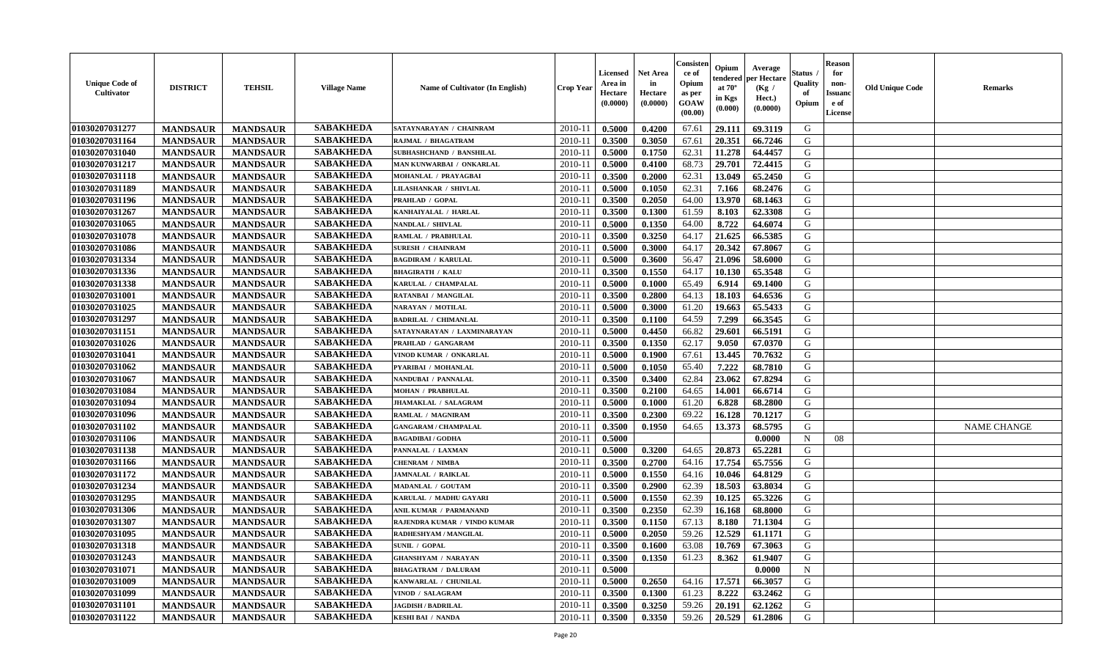| <b>Unique Code of</b><br>Cultivator | <b>DISTRICT</b> | <b>TEHSIL</b>   | <b>Village Name</b> | Name of Cultivator (In English) | <b>Crop Year</b> | <b>Licensed</b><br>Area in<br>Hectare<br>(0.0000) | <b>Net Area</b><br>in<br>Hectare<br>(0.0000) | Consisten<br>ce of<br>Opium<br>as per<br><b>GOAW</b><br>(00.00) | Opium<br>tendered<br>at $70^\circ$<br>in Kgs<br>$(\mathbf{0.000})$ | Average<br>per Hectare<br>(Kg /<br>Hect.)<br>(0.0000) | Status .<br>Quality<br>of<br>Opium | <b>Reason</b><br>for<br>non-<br><b>Issuanc</b><br>e of<br>License | <b>Old Unique Code</b> | <b>Remarks</b>     |
|-------------------------------------|-----------------|-----------------|---------------------|---------------------------------|------------------|---------------------------------------------------|----------------------------------------------|-----------------------------------------------------------------|--------------------------------------------------------------------|-------------------------------------------------------|------------------------------------|-------------------------------------------------------------------|------------------------|--------------------|
| 01030207031277                      | <b>MANDSAUR</b> | <b>MANDSAUR</b> | <b>SABAKHEDA</b>    | SATAYNARAYAN / CHAINRAM         | 2010-11          | 0.5000                                            | 0.4200                                       | 67.61                                                           | 29.111                                                             | 69.3119                                               | G                                  |                                                                   |                        |                    |
| 01030207031164                      | <b>MANDSAUR</b> | <b>MANDSAUR</b> | <b>SABAKHEDA</b>    | RAJMAL / BHAGATRAM              | $2010 - 11$      | 0.3500                                            | 0.3050                                       | 67.61                                                           | 20.351                                                             | 66.7246                                               | G                                  |                                                                   |                        |                    |
| 01030207031040                      | <b>MANDSAUR</b> | <b>MANDSAUR</b> | <b>SABAKHEDA</b>    | SUBHASHCHAND / BANSHILAL        | $2010 - 1$       | 0.5000                                            | 0.1750                                       | 62.31                                                           | 11.278                                                             | 64.4457                                               | G                                  |                                                                   |                        |                    |
| 01030207031217                      | <b>MANDSAUR</b> | <b>MANDSAUR</b> | <b>SABAKHEDA</b>    | MAN KUNWARBAI / ONKARLAL        | 2010-11          | 0.5000                                            | 0.4100                                       | 68.73                                                           | 29.701                                                             | 72.4415                                               | G                                  |                                                                   |                        |                    |
| 01030207031118                      | <b>MANDSAUR</b> | <b>MANDSAUR</b> | <b>SABAKHEDA</b>    | MOHANLAL / PRAYAGBAI            | 2010-11          | 0.3500                                            | 0.2000                                       | 62.31                                                           | 13.049                                                             | 65.2450                                               | G                                  |                                                                   |                        |                    |
| 01030207031189                      | <b>MANDSAUR</b> | <b>MANDSAUR</b> | <b>SABAKHEDA</b>    | <b>LILASHANKAR / SHIVLAL</b>    | $2010 - 11$      | 0.5000                                            | 0.1050                                       | 62.31                                                           | 7.166                                                              | 68.2476                                               | G                                  |                                                                   |                        |                    |
| 01030207031196                      | <b>MANDSAUR</b> | <b>MANDSAUR</b> | <b>SABAKHEDA</b>    | PRAHLAD / GOPAL                 | 2010-11          | 0.3500                                            | 0.2050                                       | 64.00                                                           | 13.970                                                             | 68.1463                                               | G                                  |                                                                   |                        |                    |
| 01030207031267                      | <b>MANDSAUR</b> | <b>MANDSAUR</b> | <b>SABAKHEDA</b>    | KANHAIYALAL / HARLAL            | $2010 - 11$      | 0.3500                                            | 0.1300                                       | 61.59                                                           | 8.103                                                              | 62.3308                                               | G                                  |                                                                   |                        |                    |
| 01030207031065                      | <b>MANDSAUR</b> | <b>MANDSAUR</b> | <b>SABAKHEDA</b>    | NANDLAL / SHIVLAL               | 2010-11          | 0.5000                                            | 0.1350                                       | 64.00                                                           | 8.722                                                              | 64.6074                                               | G                                  |                                                                   |                        |                    |
| 01030207031078                      | <b>MANDSAUR</b> | <b>MANDSAUR</b> | <b>SABAKHEDA</b>    | RAMLAL / PRABHULAL              | 2010-11          | 0.3500                                            | 0.3250                                       | 64.17                                                           | 21.625                                                             | 66.5385                                               | G                                  |                                                                   |                        |                    |
| 01030207031086                      | <b>MANDSAUR</b> | <b>MANDSAUR</b> | <b>SABAKHEDA</b>    | <b>SURESH / CHAINRAM</b>        | $2010 - 11$      | 0.5000                                            | 0.3000                                       | 64.17                                                           | 20.342                                                             | 67.8067                                               | G                                  |                                                                   |                        |                    |
| 01030207031334                      | <b>MANDSAUR</b> | <b>MANDSAUR</b> | <b>SABAKHEDA</b>    | <b>BAGDIRAM / KARULAL</b>       | 2010-11          | 0.5000                                            | 0.3600                                       | 56.47                                                           | 21.096                                                             | 58.6000                                               | G                                  |                                                                   |                        |                    |
| 01030207031336                      | <b>MANDSAUR</b> | <b>MANDSAUR</b> | <b>SABAKHEDA</b>    | <b>BHAGIRATH / KALU</b>         | $2010 - 11$      | 0.3500                                            | 0.1550                                       | 64.17                                                           | 10.130                                                             | 65.3548                                               | G                                  |                                                                   |                        |                    |
| 01030207031338                      | <b>MANDSAUR</b> | <b>MANDSAUR</b> | <b>SABAKHEDA</b>    | KARULAL / CHAMPALAL             | $2010 - 1$       | 0.5000                                            | 0.1000                                       | 65.49                                                           | 6.914                                                              | 69.1400                                               | G                                  |                                                                   |                        |                    |
| 01030207031001                      | <b>MANDSAUR</b> | <b>MANDSAUR</b> | <b>SABAKHEDA</b>    | RATANBAI / MANGILAL             | 2010-11          | 0.3500                                            | 0.2800                                       | 64.13                                                           | 18.103                                                             | 64.6536                                               | G                                  |                                                                   |                        |                    |
| 01030207031025                      | <b>MANDSAUR</b> | <b>MANDSAUR</b> | <b>SABAKHEDA</b>    | NARAYAN / MOTILAL               | 2010-11          | 0.5000                                            | 0.3000                                       | 61.20                                                           | 19.663                                                             | 65.5433                                               | G                                  |                                                                   |                        |                    |
| 01030207031297                      | <b>MANDSAUR</b> | <b>MANDSAUR</b> | <b>SABAKHEDA</b>    | <b>BADRILAL / CHIMANLAL</b>     | $2010 - 11$      | 0.3500                                            | 0.1100                                       | 64.59                                                           | 7.299                                                              | 66.3545                                               | G                                  |                                                                   |                        |                    |
| 01030207031151                      | <b>MANDSAUR</b> | <b>MANDSAUR</b> | <b>SABAKHEDA</b>    | SATAYNARAYAN / LAXMINARAYAN     | 2010-11          | 0.5000                                            | 0.4450                                       | 66.82                                                           | 29.601                                                             | 66.5191                                               | G                                  |                                                                   |                        |                    |
| 01030207031026                      | <b>MANDSAUR</b> | <b>MANDSAUR</b> | <b>SABAKHEDA</b>    | PRAHLAD / GANGARAM              | $2010 - 11$      | 0.3500                                            | 0.1350                                       | 62.17                                                           | 9.050                                                              | 67.0370                                               | G                                  |                                                                   |                        |                    |
| 01030207031041                      | <b>MANDSAUR</b> | <b>MANDSAUR</b> | <b>SABAKHEDA</b>    | VINOD KUMAR / ONKARLAL          | 2010-11          | 0.5000                                            | 0.1900                                       | 67.61                                                           | 13.445                                                             | 70.7632                                               | G                                  |                                                                   |                        |                    |
| 01030207031062                      | <b>MANDSAUR</b> | <b>MANDSAUR</b> | <b>SABAKHEDA</b>    | PYARIBAI / MOHANLAL             | 2010-11          | 0.5000                                            | 0.1050                                       | 65.40                                                           | 7.222                                                              | 68.7810                                               | G                                  |                                                                   |                        |                    |
| 01030207031067                      | <b>MANDSAUR</b> | <b>MANDSAUR</b> | <b>SABAKHEDA</b>    | NANDUBAI / PANNALAL             | $2010 - 11$      | 0.3500                                            | 0.3400                                       | 62.84                                                           | 23.062                                                             | 67.8294                                               | G                                  |                                                                   |                        |                    |
| 01030207031084                      | <b>MANDSAUR</b> | <b>MANDSAUR</b> | <b>SABAKHEDA</b>    | <b>MOHAN / PRABHULAL</b>        | 2010-11          | 0.3500                                            | 0.2100                                       | 64.65                                                           | 14.001                                                             | 66.6714                                               | G                                  |                                                                   |                        |                    |
| 01030207031094                      | <b>MANDSAUR</b> | <b>MANDSAUR</b> | <b>SABAKHEDA</b>    | JHAMAKLAL / SALAGRAM            | 2010-11          | 0.5000                                            | 0.1000                                       | 61.20                                                           | 6.828                                                              | 68.2800                                               | G                                  |                                                                   |                        |                    |
| 01030207031096                      | <b>MANDSAUR</b> | <b>MANDSAUR</b> | <b>SABAKHEDA</b>    | RAMLAL / MAGNIRAM               | $2010 - 1$       | 0.3500                                            | 0.2300                                       | 69.22                                                           | 16.128                                                             | 70.1217                                               | G                                  |                                                                   |                        |                    |
| 01030207031102                      | <b>MANDSAUR</b> | <b>MANDSAUR</b> | <b>SABAKHEDA</b>    | <b>GANGARAM / CHAMPALAL</b>     | 2010-11          | 0.3500                                            | 0.1950                                       | 64.65                                                           | 13.373                                                             | 68.5795                                               | G                                  |                                                                   |                        | <b>NAME CHANGE</b> |
| 01030207031106                      | <b>MANDSAUR</b> | <b>MANDSAUR</b> | <b>SABAKHEDA</b>    | <b>BAGADIBAI/GODHA</b>          | $2010-11$        | 0.5000                                            |                                              |                                                                 |                                                                    | 0.0000                                                | N                                  | 08                                                                |                        |                    |
| 01030207031138                      | <b>MANDSAUR</b> | <b>MANDSAUR</b> | <b>SABAKHEDA</b>    | PANNALAL / LAXMAN               | 2010-11          | 0.5000                                            | 0.3200                                       | 64.65                                                           | 20.873                                                             | 65,2281                                               | G                                  |                                                                   |                        |                    |
| 01030207031166                      | <b>MANDSAUR</b> | <b>MANDSAUR</b> | <b>SABAKHEDA</b>    | <b>CHENRAM / NIMBA</b>          | 2010-11          | 0.3500                                            | 0.2700                                       | 64.16                                                           | 17.754                                                             | 65.7556                                               | G                                  |                                                                   |                        |                    |
| 01030207031172                      | <b>MANDSAUR</b> | <b>MANDSAUR</b> | <b>SABAKHEDA</b>    | JAMNALAL / RAIKLAL              | $2010 - 11$      | 0.5000                                            | 0.1550                                       | 64.16                                                           | 10.046                                                             | 64.8129                                               | G                                  |                                                                   |                        |                    |
| 01030207031234                      | <b>MANDSAUR</b> | <b>MANDSAUR</b> | <b>SABAKHEDA</b>    | MADANLAL / GOUTAM               | 2010-11          | 0.3500                                            | 0.2900                                       | 62.39                                                           | 18.503                                                             | 63.8034                                               | G                                  |                                                                   |                        |                    |
| 01030207031295                      | <b>MANDSAUR</b> | <b>MANDSAUR</b> | <b>SABAKHEDA</b>    | KARULAL / MADHU GAYARI          | 2010-11          | 0.5000                                            | 0.1550                                       | 62.39                                                           | 10.125                                                             | 65.3226                                               | G                                  |                                                                   |                        |                    |
| 01030207031306                      | <b>MANDSAUR</b> | <b>MANDSAUR</b> | <b>SABAKHEDA</b>    | ANIL KUMAR / PARMANAND          | $2010 - 11$      | 0.3500                                            | 0.2350                                       | 62.39                                                           | 16.168                                                             | 68.8000                                               | G                                  |                                                                   |                        |                    |
| 01030207031307                      | <b>MANDSAUR</b> | <b>MANDSAUR</b> | <b>SABAKHEDA</b>    | RAJENDRA KUMAR / VINDO KUMAR    | 2010-11          | 0.3500                                            | 0.1150                                       | 67.13                                                           | 8.180                                                              | 71.1304                                               | G                                  |                                                                   |                        |                    |
| 01030207031095                      | <b>MANDSAUR</b> | <b>MANDSAUR</b> | <b>SABAKHEDA</b>    | RADHESHYAM / MANGILAL           | 2010-11          | 0.5000                                            | 0.2050                                       | 59.26                                                           | 12.529                                                             | 61.1171                                               | G                                  |                                                                   |                        |                    |
| 01030207031318                      | <b>MANDSAUR</b> | <b>MANDSAUR</b> | <b>SABAKHEDA</b>    | <b>SUNIL / GOPAL</b>            |                  | $2010-11$ 0.3500                                  | 0.1600                                       | 63.08                                                           | 10.769                                                             | 67.3063                                               | G                                  |                                                                   |                        |                    |
| 01030207031243                      | <b>MANDSAUR</b> | <b>MANDSAUR</b> | <b>SABAKHEDA</b>    | <b>GHANSHYAM / NARAYAN</b>      | 2010-11          | 0.3500                                            | 0.1350                                       | 61.23                                                           | 8.362                                                              | 61.9407                                               | G                                  |                                                                   |                        |                    |
| 01030207031071                      | <b>MANDSAUR</b> | <b>MANDSAUR</b> | <b>SABAKHEDA</b>    | <b>BHAGATRAM / DALURAM</b>      | 2010-11          | 0.5000                                            |                                              |                                                                 |                                                                    | 0.0000                                                | $\mathbf N$                        |                                                                   |                        |                    |
| 01030207031009                      | <b>MANDSAUR</b> | <b>MANDSAUR</b> | <b>SABAKHEDA</b>    | KANWARLAL / CHUNILAL            | 2010-11          | 0.5000                                            | 0.2650                                       | 64.16                                                           | 17.571                                                             | 66.3057                                               | G                                  |                                                                   |                        |                    |
| 01030207031099                      | <b>MANDSAUR</b> | <b>MANDSAUR</b> | <b>SABAKHEDA</b>    | VINOD / SALAGRAM                | 2010-11          | 0.3500                                            | 0.1300                                       | 61.23                                                           | 8.222                                                              | 63.2462                                               | G                                  |                                                                   |                        |                    |
| 01030207031101                      | <b>MANDSAUR</b> | <b>MANDSAUR</b> | <b>SABAKHEDA</b>    | <b>JAGDISH / BADRILAL</b>       | 2010-11          | 0.3500                                            | 0.3250                                       | 59.26                                                           | 20.191                                                             | 62.1262                                               | G                                  |                                                                   |                        |                    |
| 01030207031122                      | <b>MANDSAUR</b> | <b>MANDSAUR</b> | <b>SABAKHEDA</b>    | <b>KESHI BAI / NANDA</b>        | $2010-11$        | 0.3500                                            | 0.3350                                       | 59.26                                                           | 20.529                                                             | 61.2806                                               | G                                  |                                                                   |                        |                    |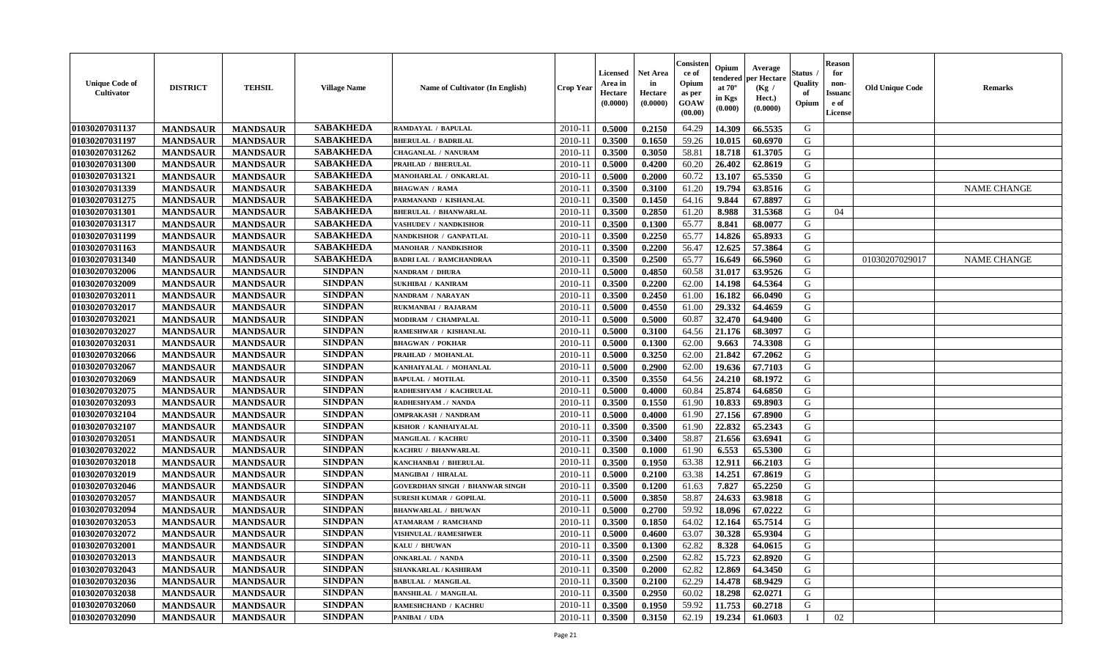| <b>Unique Code of</b><br>Cultivator | <b>DISTRICT</b> | <b>TEHSIL</b>   | <b>Village Name</b> | Name of Cultivator (In English)        | <b>Crop Year</b> | <b>Licensed</b><br>Area in<br>Hectare<br>(0.0000) | Net Area<br>in<br>Hectare<br>(0.0000) | Consiste<br>ce of<br>Opium<br>as per<br>GOAW<br>(00.00) | Opium<br>endereo<br>at 70°<br>in Kgs<br>(0.000) | Average<br>er Hectare<br>(Kg /<br>Hect.)<br>(0.0000) | Status<br>Quality<br>of<br>Opium | <b>Reason</b><br>for<br>non-<br><b>Issuand</b><br>e of<br><b>License</b> | <b>Old Unique Code</b> | Remarks            |
|-------------------------------------|-----------------|-----------------|---------------------|----------------------------------------|------------------|---------------------------------------------------|---------------------------------------|---------------------------------------------------------|-------------------------------------------------|------------------------------------------------------|----------------------------------|--------------------------------------------------------------------------|------------------------|--------------------|
| 01030207031137                      | <b>MANDSAUR</b> | <b>MANDSAUR</b> | <b>SABAKHEDA</b>    | RAMDAYAL / BAPULAL                     | 2010-11          | 0.5000                                            | 0.2150                                | 64.29                                                   | 14.309                                          | 66.5535                                              | G                                |                                                                          |                        |                    |
| 01030207031197                      | <b>MANDSAUR</b> | <b>MANDSAUR</b> | <b>SABAKHEDA</b>    | <b>BHERULAL / BADRILAL</b>             | 2010-11          | 0.3500                                            | 0.1650                                | 59.26                                                   | 10.015                                          | 60.6970                                              | G                                |                                                                          |                        |                    |
| 01030207031262                      | <b>MANDSAUR</b> | <b>MANDSAUR</b> | <b>SABAKHEDA</b>    | <b>CHAGANLAL / NANURAM</b>             | 2010-11          | 0.3500                                            | 0.3050                                | 58.81                                                   | 18.718                                          | 61.3705                                              | G                                |                                                                          |                        |                    |
| 01030207031300                      | <b>MANDSAUR</b> | <b>MANDSAUR</b> | <b>SABAKHEDA</b>    | PRAHLAD / BHERULAL                     | 2010-11          | 0.5000                                            | 0.4200                                | 60.20                                                   | 26.402                                          | 62.8619                                              | G                                |                                                                          |                        |                    |
| 01030207031321                      | <b>MANDSAUR</b> | <b>MANDSAUR</b> | <b>SABAKHEDA</b>    | MANOHARLAL / ONKARLAL                  | 2010-11          | 0.5000                                            | 0.2000                                | 60.72                                                   | 13.107                                          | 65.5350                                              | G                                |                                                                          |                        |                    |
| 01030207031339                      | <b>MANDSAUR</b> | <b>MANDSAUR</b> | <b>SABAKHEDA</b>    | <b>BHAGWAN / RAMA</b>                  | $2010 - 11$      | 0.3500                                            | 0.3100                                | 61.20                                                   | 19.794                                          | 63.8516                                              | G                                |                                                                          |                        | <b>NAME CHANGE</b> |
| 01030207031275                      | <b>MANDSAUR</b> | <b>MANDSAUR</b> | <b>SABAKHEDA</b>    | PARMANAND / KISHANLAL                  | 2010-11          | 0.3500                                            | 0.1450                                | 64.16                                                   | 9.844                                           | 67.8897                                              | G                                |                                                                          |                        |                    |
| 01030207031301                      | <b>MANDSAUR</b> | <b>MANDSAUR</b> | <b>SABAKHEDA</b>    | <b>BHERULAL / BHANWARLAL</b>           | 2010-11          | 0.3500                                            | 0.2850                                | 61.20                                                   | 8.988                                           | 31.5368                                              | G                                | 04                                                                       |                        |                    |
| 01030207031317                      | <b>MANDSAUR</b> | <b>MANDSAUR</b> | <b>SABAKHEDA</b>    | VASHUDEV / NANDKISHOR                  | $2010 - 11$      | 0.3500                                            | 0.1300                                | 65.77                                                   | 8.841                                           | 68.0077                                              | G                                |                                                                          |                        |                    |
| 01030207031199                      | <b>MANDSAUR</b> | <b>MANDSAUR</b> | <b>SABAKHEDA</b>    | NANDKISHOR / GANPATLAL                 | 2010-11          | 0.3500                                            | 0.2250                                | 65.77                                                   | 14.826                                          | 65.8933                                              | G                                |                                                                          |                        |                    |
| 01030207031163                      | <b>MANDSAUR</b> | <b>MANDSAUR</b> | <b>SABAKHEDA</b>    | <b>MANOHAR / NANDKISHOR</b>            | 2010-11          | 0.3500                                            | 0.2200                                | 56.47                                                   | 12.625                                          | 57.3864                                              | G                                |                                                                          |                        |                    |
| 01030207031340                      | <b>MANDSAUR</b> | <b>MANDSAUR</b> | <b>SABAKHEDA</b>    | <b>BADRI LAL / RAMCHANDRAA</b>         | 2010-11          | 0.3500                                            | 0.2500                                | 65.77                                                   | 16.649                                          | 66.5960                                              | G                                |                                                                          | 01030207029017         | <b>NAME CHANGE</b> |
| 01030207032006                      | <b>MANDSAUR</b> | <b>MANDSAUR</b> | <b>SINDPAN</b>      | NANDRAM / DHURA                        | 2010-11          | 0.5000                                            | 0.4850                                | 60.58                                                   | 31.017                                          | 63.9526                                              | G                                |                                                                          |                        |                    |
| 01030207032009                      | <b>MANDSAUR</b> | <b>MANDSAUR</b> | <b>SINDPAN</b>      | SUKHIBAI / KANIRAM                     | $2010 - 11$      | 0.3500                                            | 0.2200                                | 62.00                                                   | 14.198                                          | 64.5364                                              | $\mathbf G$                      |                                                                          |                        |                    |
| 01030207032011                      | <b>MANDSAUR</b> | <b>MANDSAUR</b> | <b>SINDPAN</b>      | NANDRAM / NARAYAN                      | 2010-11          | 0.3500                                            | 0.2450                                | 61.00                                                   | 16.182                                          | 66.0490                                              | G                                |                                                                          |                        |                    |
| 01030207032017                      | <b>MANDSAUR</b> | <b>MANDSAUR</b> | <b>SINDPAN</b>      | RUKMANBAI / RAJARAM                    | 2010-11          | 0.5000                                            | 0.4550                                | 61.00                                                   | 29.332                                          | 64.4659                                              | G                                |                                                                          |                        |                    |
| 01030207032021                      | <b>MANDSAUR</b> | <b>MANDSAUR</b> | <b>SINDPAN</b>      | MODIRAM / CHAMPALAL                    | 2010-11          | 0.5000                                            | 0.5000                                | 60.87                                                   | 32.470                                          | 64.9400                                              | G                                |                                                                          |                        |                    |
| 01030207032027                      | <b>MANDSAUR</b> | <b>MANDSAUR</b> | <b>SINDPAN</b>      | RAMESHWAR / KISHANLAL                  | $2010 - 11$      | 0.5000                                            | 0.3100                                | 64.56                                                   | 21.176                                          | 68.3097                                              | G                                |                                                                          |                        |                    |
| 01030207032031                      | <b>MANDSAUR</b> | <b>MANDSAUR</b> | <b>SINDPAN</b>      | <b>BHAGWAN / POKHAR</b>                | 2010-11          | 0.5000                                            | 0.1300                                | 62.00                                                   | 9.663                                           | 74.3308                                              | G                                |                                                                          |                        |                    |
| 01030207032066                      | <b>MANDSAUR</b> | <b>MANDSAUR</b> | <b>SINDPAN</b>      | PRAHLAD / MOHANLAL                     | 2010-11          | 0.5000                                            | 0.3250                                | 62.00                                                   | 21.842                                          | 67.2062                                              | G                                |                                                                          |                        |                    |
| 01030207032067                      | <b>MANDSAUR</b> | <b>MANDSAUR</b> | <b>SINDPAN</b>      | KANHAIYALAL / MOHANLAL                 | 2010-11          | 0.5000                                            | 0.2900                                | 62.00                                                   | 19.636                                          | 67.7103                                              | G                                |                                                                          |                        |                    |
| 01030207032069                      | <b>MANDSAUR</b> | <b>MANDSAUR</b> | <b>SINDPAN</b>      | <b>BAPULAL / MOTILAL</b>               | 2010-11          | 0.3500                                            | 0.3550                                | 64.56                                                   | 24.210                                          | 68.1972                                              | G                                |                                                                          |                        |                    |
| 01030207032075                      | <b>MANDSAUR</b> | <b>MANDSAUR</b> | <b>SINDPAN</b>      | RADHESHYAM / KACHRULAL                 | $2010 - 11$      | 0.5000                                            | 0.4000                                | 60.84                                                   | 25.874                                          | 64.6850                                              | G                                |                                                                          |                        |                    |
| 01030207032093                      | <b>MANDSAUR</b> | <b>MANDSAUR</b> | <b>SINDPAN</b>      | RADHESHYAM./ NANDA                     | 2010-11          | 0.3500                                            | 0.1550                                | 61.90                                                   | 10.833                                          | 69.8903                                              | G                                |                                                                          |                        |                    |
| 01030207032104                      | <b>MANDSAUR</b> | <b>MANDSAUR</b> | <b>SINDPAN</b>      | <b>OMPRAKASH / NANDRAM</b>             | 2010-11          | 0.5000                                            | 0.4000                                | 61.90                                                   | 27.156                                          | 67.8900                                              | G                                |                                                                          |                        |                    |
| 01030207032107                      | <b>MANDSAUR</b> | <b>MANDSAUR</b> | <b>SINDPAN</b>      | KISHOR / KANHAIYALAL                   | 2010-11          | 0.3500                                            | 0.3500                                | 61.90                                                   | 22.832                                          | 65.2343                                              | G                                |                                                                          |                        |                    |
| 01030207032051                      | <b>MANDSAUR</b> | <b>MANDSAUR</b> | <b>SINDPAN</b>      | MANGILAL / KACHRU                      | 2010-11          | 0.3500                                            | 0.3400                                | 58.87                                                   | 21.656                                          | 63.6941                                              | G                                |                                                                          |                        |                    |
| 01030207032022                      | <b>MANDSAUR</b> | <b>MANDSAUR</b> | <b>SINDPAN</b>      | KACHRU / BHANWARLAL                    | 2010-11          | 0.3500                                            | 0.1000                                | 61.90                                                   | 6.553                                           | 65.5300                                              | G                                |                                                                          |                        |                    |
| 01030207032018                      | <b>MANDSAUR</b> | <b>MANDSAUR</b> | <b>SINDPAN</b>      | KANCHANBAI / BHERULAL                  | 2010-11          | 0.3500                                            | 0.1950                                | 63.38                                                   | 12.911                                          | 66.2103                                              | G                                |                                                                          |                        |                    |
| 01030207032019                      | <b>MANDSAUR</b> | <b>MANDSAUR</b> | <b>SINDPAN</b>      | <b>MANGIBAI / HIRALAL</b>              | 2010-11          | 0.5000                                            | 0.2100                                | 63.38                                                   | 14.251                                          | 67.8619                                              | G                                |                                                                          |                        |                    |
| 01030207032046                      | <b>MANDSAUR</b> | <b>MANDSAUR</b> | <b>SINDPAN</b>      | <b>GOVERDHAN SINGH / BHANWAR SINGH</b> | $2010-11$        | 0.3500                                            | 0.1200                                | 61.63                                                   | 7.827                                           | 65.2250                                              | G                                |                                                                          |                        |                    |
| 01030207032057                      | <b>MANDSAUR</b> | <b>MANDSAUR</b> | <b>SINDPAN</b>      | <b>SURESH KUMAR / GOPILAL</b>          | 2010-11          | 0.5000                                            | 0.3850                                | 58.87                                                   | 24.633                                          | 63.9818                                              | G                                |                                                                          |                        |                    |
| 01030207032094                      | <b>MANDSAUR</b> | <b>MANDSAUR</b> | <b>SINDPAN</b>      | <b>BHANWARLAL / BHUWAN</b>             | 2010-11          | 0.5000                                            | 0.2700                                | 59.92                                                   | 18.096                                          | 67.0222                                              | G                                |                                                                          |                        |                    |
| 01030207032053                      | <b>MANDSAUR</b> | <b>MANDSAUR</b> | <b>SINDPAN</b>      | <b>ATAMARAM / RAMCHAND</b>             | 2010-11          | 0.3500                                            | 0.1850                                | 64.02                                                   | 12.164                                          | 65.7514                                              | G                                |                                                                          |                        |                    |
| 01030207032072                      | <b>MANDSAUR</b> | <b>MANDSAUR</b> | <b>SINDPAN</b>      | VISHNULAL / RAMESHWER                  | 2010-11          | 0.5000                                            | 0.4600                                | 63.07                                                   | 30.328                                          | 65.9304                                              | G                                |                                                                          |                        |                    |
| 01030207032001                      | <b>MANDSAUR</b> | <b>MANDSAUR</b> | <b>SINDPAN</b>      | KALU / BHUWAN                          | 2010-11          | 0.3500                                            | 0.1300                                | 62.82                                                   | 8.328                                           | 64.0615                                              | G                                |                                                                          |                        |                    |
| 01030207032013                      | <b>MANDSAUR</b> | <b>MANDSAUR</b> | <b>SINDPAN</b>      | <b>ONKARLAL / NANDA</b>                | $2010 - 11$      | 0.3500                                            | 0.2500                                | 62.82                                                   | 15.723                                          | 62.8920                                              | G                                |                                                                          |                        |                    |
| 01030207032043                      | <b>MANDSAUR</b> | <b>MANDSAUR</b> | <b>SINDPAN</b>      | SHANKARLAL / KASHIRAM                  | 2010-11          | 0.3500                                            | 0.2000                                | 62.82                                                   | 12.869                                          | 64.3450                                              | G                                |                                                                          |                        |                    |
| 01030207032036                      | <b>MANDSAUR</b> | <b>MANDSAUR</b> | <b>SINDPAN</b>      | <b>BABULAL / MANGILAL</b>              | 2010-11          | 0.3500                                            | 0.2100                                | 62.29                                                   | 14.478                                          | 68.9429                                              | ${\bf G}$                        |                                                                          |                        |                    |
| 01030207032038                      | <b>MANDSAUR</b> | <b>MANDSAUR</b> | <b>SINDPAN</b>      | <b>BANSHILAL / MANGILAL</b>            | $2010 - 11$      | 0.3500                                            | 0.2950                                | 60.02                                                   | 18.298                                          | 62.0271                                              | G                                |                                                                          |                        |                    |
| 01030207032060                      | <b>MANDSAUR</b> | <b>MANDSAUR</b> | <b>SINDPAN</b>      | RAMESHCHAND / KACHRU                   | 2010-11          | 0.3500                                            | 0.1950                                | 59.92                                                   | 11.753                                          | 60.2718                                              | G                                |                                                                          |                        |                    |
| 01030207032090                      | <b>MANDSAUR</b> | <b>MANDSAUR</b> | <b>SINDPAN</b>      | PANIBAI / UDA                          | 2010-11          | 0.3500                                            | 0.3150                                | 62.19                                                   | 19.234                                          | 61.0603                                              | $\mathbf I$                      | 02                                                                       |                        |                    |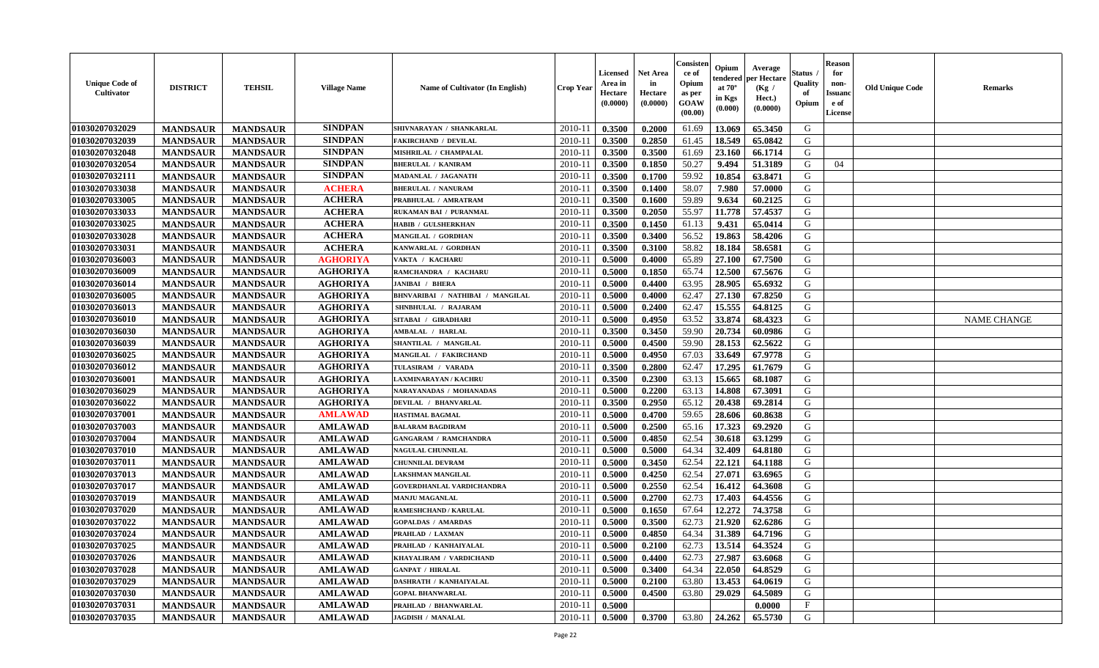| <b>Unique Code of</b><br>Cultivator | <b>DISTRICT</b> | <b>TEHSIL</b>   | <b>Village Name</b> | Name of Cultivator (In English)  | <b>Crop Year</b> | <b>Licensed</b><br>Area in<br>Hectare<br>(0.0000) | <b>Net Area</b><br>in<br>Hectare<br>(0.0000) | Consisteı<br>ce of<br>Opium<br>as per<br>GOAW<br>(00.00) | Opium<br>endered<br>at $70^{\circ}$<br>in Kgs<br>(0.000) | Average<br>oer Hectare<br>(Kg /<br>Hect.)<br>(0.0000) | Status<br>Quality<br>of<br>Opium | <b>Reason</b><br>for<br>non-<br><b>Issuand</b><br>e of<br>License | <b>Old Unique Code</b> | <b>Remarks</b>     |
|-------------------------------------|-----------------|-----------------|---------------------|----------------------------------|------------------|---------------------------------------------------|----------------------------------------------|----------------------------------------------------------|----------------------------------------------------------|-------------------------------------------------------|----------------------------------|-------------------------------------------------------------------|------------------------|--------------------|
| 01030207032029                      | <b>MANDSAUR</b> | <b>MANDSAUR</b> | <b>SINDPAN</b>      | SHIVNARAYAN / SHANKARLAL         | 2010-11          | 0.3500                                            | 0.2000                                       | 61.69                                                    | 13.069                                                   | 65.3450                                               | G                                |                                                                   |                        |                    |
| 01030207032039                      | <b>MANDSAUR</b> | <b>MANDSAUR</b> | <b>SINDPAN</b>      | <b>FAKIRCHAND / DEVILAL</b>      | $2010 - 11$      | 0.3500                                            | 0.2850                                       | 61.45                                                    | 18.549                                                   | 65.0842                                               | G                                |                                                                   |                        |                    |
| 01030207032048                      | <b>MANDSAUR</b> | <b>MANDSAUR</b> | <b>SINDPAN</b>      | MISHRILAL / CHAMPALAL            | 2010-11          | 0.3500                                            | 0.3500                                       | 61.69                                                    | 23.160                                                   | 66.1714                                               | G                                |                                                                   |                        |                    |
| 01030207032054                      | <b>MANDSAUR</b> | <b>MANDSAUR</b> | <b>SINDPAN</b>      | <b>BHERULAL / KANIRAM</b>        | 2010-11          | 0.3500                                            | 0.1850                                       | 50.27                                                    | 9.494                                                    | 51.3189                                               | G                                | 04                                                                |                        |                    |
| 01030207032111                      | <b>MANDSAUR</b> | <b>MANDSAUR</b> | <b>SINDPAN</b>      | MADANLAL / JAGANATH              | 2010-11          | 0.3500                                            | 0.1700                                       | 59.92                                                    | 10.854                                                   | 63.8471                                               | G                                |                                                                   |                        |                    |
| 01030207033038                      | <b>MANDSAUR</b> | <b>MANDSAUR</b> | <b>ACHERA</b>       | <b>BHERULAL / NANURAM</b>        | 2010-11          | 0.3500                                            | 0.1400                                       | 58.07                                                    | 7.980                                                    | 57.0000                                               | G                                |                                                                   |                        |                    |
| 01030207033005                      | <b>MANDSAUR</b> | <b>MANDSAUR</b> | <b>ACHERA</b>       | PRABHULAL / AMRATRAM             | 2010-11          | 0.3500                                            | 0.1600                                       | 59.89                                                    | 9.634                                                    | 60.2125                                               | G                                |                                                                   |                        |                    |
| 01030207033033                      | <b>MANDSAUR</b> | <b>MANDSAUR</b> | <b>ACHERA</b>       | RUKAMAN BAI / PURANMAL           | 2010-11          | 0.3500                                            | 0.2050                                       | 55.97                                                    | 11.778                                                   | 57.4537                                               | G                                |                                                                   |                        |                    |
| 01030207033025                      | <b>MANDSAUR</b> | <b>MANDSAUR</b> | <b>ACHERA</b>       | HABIB / GULSHERKHAN              | 2010-11          | 0.3500                                            | 0.1450                                       | 61.13                                                    | 9.431                                                    | 65.0414                                               | G                                |                                                                   |                        |                    |
| 01030207033028                      | <b>MANDSAUR</b> | <b>MANDSAUR</b> | <b>ACHERA</b>       | <b>MANGILAL / GORDHAN</b>        | 2010-11          | 0.3500                                            | 0.3400                                       | 56.52                                                    | 19.863                                                   | 58.4206                                               | G                                |                                                                   |                        |                    |
| 01030207033031                      | <b>MANDSAUR</b> | <b>MANDSAUR</b> | <b>ACHERA</b>       | KANWARLAL / GORDHAN              | 2010-11          | 0.3500                                            | 0.3100                                       | 58.82                                                    | 18.184                                                   | 58.6581                                               | G                                |                                                                   |                        |                    |
| 01030207036003                      | <b>MANDSAUR</b> | <b>MANDSAUR</b> | <b>AGHORIYA</b>     | VAKTA / KACHARU                  | 2010-11          | 0.5000                                            | 0.4000                                       | 65.89                                                    | 27.100                                                   | 67.7500                                               | G                                |                                                                   |                        |                    |
| 01030207036009                      | <b>MANDSAUR</b> | <b>MANDSAUR</b> | <b>AGHORIYA</b>     | RAMCHANDRA / KACHARU             | 2010-11          | 0.5000                                            | 0.1850                                       | 65.74                                                    | 12.500                                                   | 67.5676                                               | G                                |                                                                   |                        |                    |
| 01030207036014                      | <b>MANDSAUR</b> | <b>MANDSAUR</b> | <b>AGHORIYA</b>     | <b>JANIBAI / BHERA</b>           | 2010-11          | 0.5000                                            | 0.4400                                       | 63.95                                                    | 28.905                                                   | 65.6932                                               | G                                |                                                                   |                        |                    |
| 01030207036005                      | <b>MANDSAUR</b> | <b>MANDSAUR</b> | <b>AGHORIYA</b>     | BHNVARIBAI / NATHIBAI / MANGILAL | $2010 - 11$      | 0.5000                                            | 0.4000                                       | 62.47                                                    | 27.130                                                   | 67.8250                                               | G                                |                                                                   |                        |                    |
| 01030207036013                      | <b>MANDSAUR</b> | <b>MANDSAUR</b> | <b>AGHORIYA</b>     | SHNBHULAL / RAJARAM              | 2010-11          | 0.5000                                            | 0.2400                                       | 62.47                                                    | 15.555                                                   | 64.8125                                               | G                                |                                                                   |                        |                    |
| 01030207036010                      | <b>MANDSAUR</b> | <b>MANDSAUR</b> | <b>AGHORIYA</b>     | SITABAI / GIRADHARI              | 2010-11          | 0.5000                                            | 0.4950                                       | 63.52                                                    | 33.874                                                   | 68.4323                                               | G                                |                                                                   |                        | <b>NAME CHANGE</b> |
| 01030207036030                      | <b>MANDSAUR</b> | <b>MANDSAUR</b> | <b>AGHORIYA</b>     | AMBALAL / HARLAL                 | 2010-11          | 0.3500                                            | 0.3450                                       | 59.90                                                    | 20.734                                                   | 60.0986                                               | G                                |                                                                   |                        |                    |
| 01030207036039                      | <b>MANDSAUR</b> | <b>MANDSAUR</b> | <b>AGHORIYA</b>     | SHANTILAL / MANGILAL             | 2010-11          | 0.5000                                            | 0.4500                                       | 59.90                                                    | 28.153                                                   | 62.5622                                               | G                                |                                                                   |                        |                    |
| 01030207036025                      | <b>MANDSAUR</b> | <b>MANDSAUR</b> | <b>AGHORIYA</b>     | MANGILAL / FAKIRCHAND            | 2010-11          | 0.5000                                            | 0.4950                                       | 67.03                                                    | 33.649                                                   | 67.9778                                               | G                                |                                                                   |                        |                    |
| 01030207036012                      | <b>MANDSAUR</b> | <b>MANDSAUR</b> | <b>AGHORIYA</b>     | TULASIRAM / VARADA               | 2010-11          | 0.3500                                            | 0.2800                                       | 62.47                                                    | 17.295                                                   | 61.7679                                               | G                                |                                                                   |                        |                    |
| 01030207036001                      | <b>MANDSAUR</b> | <b>MANDSAUR</b> | <b>AGHORIYA</b>     | AXMINARAYAN / KACHRU             | 2010-11          | 0.3500                                            | 0.2300                                       | 63.13                                                    | 15.665                                                   | 68.1087                                               | G                                |                                                                   |                        |                    |
| 01030207036029                      | <b>MANDSAUR</b> | <b>MANDSAUR</b> | <b>AGHORIYA</b>     | <b>NARAYANADAS / MOHANADAS</b>   | 2010-11          | 0.5000                                            | 0.2200                                       | 63.13                                                    | 14.808                                                   | 67.3091                                               | G                                |                                                                   |                        |                    |
| 01030207036022                      | <b>MANDSAUR</b> | <b>MANDSAUR</b> | <b>AGHORIYA</b>     | DEVILAL / BHANVARLAL             | 2010-11          | 0.3500                                            | 0.2950                                       | 65.12                                                    | 20.438                                                   | 69.2814                                               | G                                |                                                                   |                        |                    |
| 01030207037001                      | <b>MANDSAUR</b> | <b>MANDSAUR</b> | <b>AMLAWAD</b>      | <b>HASTIMAL BAGMAL</b>           | 2010-11          | 0.5000                                            | 0.4700                                       | 59.65                                                    | 28.606                                                   | 60.8638                                               | G                                |                                                                   |                        |                    |
| 01030207037003                      | <b>MANDSAUR</b> | <b>MANDSAUR</b> | <b>AMLAWAD</b>      | <b>BALARAM BAGDIRAM</b>          | 2010-11          | 0.5000                                            | 0.2500                                       | 65.16                                                    | 17.323                                                   | 69.2920                                               | G                                |                                                                   |                        |                    |
| 01030207037004                      | <b>MANDSAUR</b> | <b>MANDSAUR</b> | <b>AMLAWAD</b>      | <b>GANGARAM / RAMCHANDRA</b>     | 2010-11          | 0.5000                                            | 0.4850                                       | 62.54                                                    | 30.618                                                   | 63.1299                                               | G                                |                                                                   |                        |                    |
| 01030207037010                      | <b>MANDSAUR</b> | <b>MANDSAUR</b> | <b>AMLAWAD</b>      | NAGULAL CHUNNILAL                | 2010-11          | 0.5000                                            | 0.5000                                       | 64.34                                                    | 32.409                                                   | 64.8180                                               | G                                |                                                                   |                        |                    |
| 01030207037011                      | <b>MANDSAUR</b> | <b>MANDSAUR</b> | <b>AMLAWAD</b>      | <b>CHUNNILAL DEVRAM</b>          | 2010-11          | 0.5000                                            | 0.3450                                       | 62.54                                                    | 22.121                                                   | 64.1188                                               | G                                |                                                                   |                        |                    |
| 01030207037013                      | <b>MANDSAUR</b> | <b>MANDSAUR</b> | <b>AMLAWAD</b>      | AKSHMAN MANGILAL                 | 2010-11          | 0.5000                                            | 0.4250                                       | 62.54                                                    | 27.071                                                   | 63.6965                                               | G                                |                                                                   |                        |                    |
| 01030207037017                      | <b>MANDSAUR</b> | <b>MANDSAUR</b> | <b>AMLAWAD</b>      | GOVERDHANLAL VARDICHANDRA        | 2010-11          | 0.5000                                            | 0.2550                                       | 62.54                                                    | 16.412                                                   | 64.3608                                               | ${\bf G}$                        |                                                                   |                        |                    |
| 01030207037019                      | <b>MANDSAUR</b> | <b>MANDSAUR</b> | <b>AMLAWAD</b>      | <b>MANJU MAGANLAL</b>            | 2010-11          | 0.5000                                            | 0.2700                                       | 62.73                                                    | 17.403                                                   | 64.4556                                               | G                                |                                                                   |                        |                    |
| 01030207037020                      | <b>MANDSAUR</b> | <b>MANDSAUR</b> | <b>AMLAWAD</b>      | RAMESHCHAND / KARULAL            | 2010-11          | 0.5000                                            | 0.1650                                       | 67.64                                                    | 12.272                                                   | 74.3758                                               | G                                |                                                                   |                        |                    |
| 01030207037022                      | <b>MANDSAUR</b> | <b>MANDSAUR</b> | <b>AMLAWAD</b>      | <b>GOPALDAS / AMARDAS</b>        | 2010-11          | 0.5000                                            | 0.3500                                       | 62.73                                                    | 21.920                                                   | 62.6286                                               | G                                |                                                                   |                        |                    |
| 01030207037024                      | <b>MANDSAUR</b> | <b>MANDSAUR</b> | <b>AMLAWAD</b>      | PRAHLAD / LAXMAN                 | 2010-11          | 0.5000                                            | 0.4850                                       | 64.34                                                    | 31.389                                                   | 64.7196                                               | G                                |                                                                   |                        |                    |
| 01030207037025                      | <b>MANDSAUR</b> | <b>MANDSAUR</b> | <b>AMLAWAD</b>      | PRAHLAD / KANHAIYALAL            | 2010-11          | 0.5000                                            | 0.2100                                       | 62.73                                                    | 13.514                                                   | 64.3524                                               | G                                |                                                                   |                        |                    |
| 01030207037026                      | <b>MANDSAUR</b> | <b>MANDSAUR</b> | <b>AMLAWAD</b>      | KHAYALIRAM / VARDICHAND          | 2010-11          | 0.5000                                            | 0.4400                                       | 62.73                                                    | 27.987                                                   | 63.6068                                               | G                                |                                                                   |                        |                    |
| 01030207037028                      | <b>MANDSAUR</b> | <b>MANDSAUR</b> | <b>AMLAWAD</b>      | <b>GANPAT / HIRALAL</b>          | 2010-11          | 0.5000                                            | 0.3400                                       | 64.34                                                    | 22.050                                                   | 64.8529                                               | G                                |                                                                   |                        |                    |
| 01030207037029                      | <b>MANDSAUR</b> | <b>MANDSAUR</b> | <b>AMLAWAD</b>      | DASHRATH / KANHAIYALAL           | 2010-11          | 0.5000                                            | 0.2100                                       | 63.80                                                    | 13.453                                                   | 64.0619                                               | $\mathbf G$                      |                                                                   |                        |                    |
| 01030207037030                      | <b>MANDSAUR</b> | <b>MANDSAUR</b> | <b>AMLAWAD</b>      | <b>GOPAL BHANWARLAL</b>          | 2010-11          | 0.5000                                            | 0.4500                                       | 63.80                                                    | 29.029                                                   | 64.5089                                               | G                                |                                                                   |                        |                    |
| 01030207037031                      | <b>MANDSAUR</b> | <b>MANDSAUR</b> | <b>AMLAWAD</b>      | PRAHLAD / BHANWARLAL             | 2010-11          | 0.5000                                            |                                              |                                                          |                                                          | 0.0000                                                | $_{\rm F}$                       |                                                                   |                        |                    |
| 01030207037035                      | <b>MANDSAUR</b> | <b>MANDSAUR</b> | <b>AMLAWAD</b>      | <b>JAGDISH / MANALAL</b>         | 2010-11          | 0.5000                                            | 0.3700                                       | 63.80                                                    | 24,262                                                   | 65.5730                                               | G                                |                                                                   |                        |                    |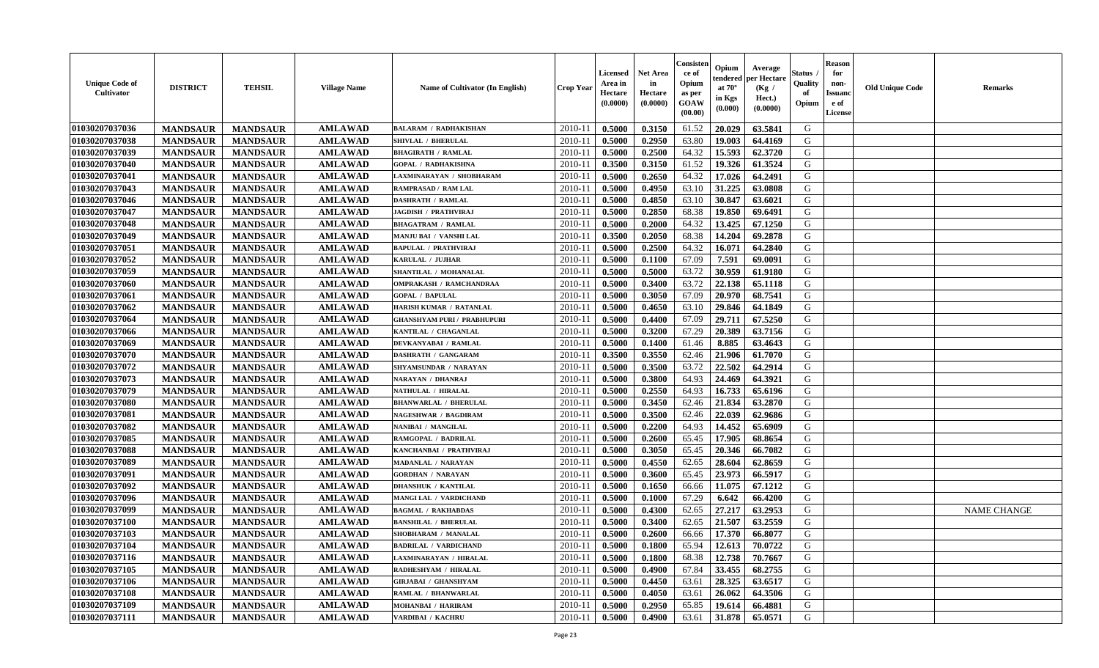| <b>Unique Code of</b><br>Cultivator | <b>DISTRICT</b> | <b>TEHSIL</b>   | <b>Village Name</b> | Name of Cultivator (In English)    | <b>Crop Year</b> | <b>Licensed</b><br>Area in<br>Hectare<br>(0.0000) | <b>Net Area</b><br>in<br>Hectare<br>(0.0000) | Consister<br>ce of<br>Opium<br>as per<br>GOAW<br>(00.00) | Opium<br>endered<br>at $70^\circ$<br>in Kgs<br>(0.000) | Average<br>per Hectare<br>(Kg /<br>Hect.)<br>(0.0000) | <b>Status</b><br>Quality<br>of<br>Opium | <b>Reason</b><br>for<br>non-<br><b>Issuand</b><br>e of<br>License | <b>Old Unique Code</b> | <b>Remarks</b>     |
|-------------------------------------|-----------------|-----------------|---------------------|------------------------------------|------------------|---------------------------------------------------|----------------------------------------------|----------------------------------------------------------|--------------------------------------------------------|-------------------------------------------------------|-----------------------------------------|-------------------------------------------------------------------|------------------------|--------------------|
| 01030207037036                      | <b>MANDSAUR</b> | <b>MANDSAUR</b> | <b>AMLAWAD</b>      | <b>BALARAM / RADHAKISHAN</b>       | 2010-11          | 0.5000                                            | 0.3150                                       | 61.52                                                    | 20.029                                                 | 63.5841                                               | G                                       |                                                                   |                        |                    |
| 01030207037038                      | <b>MANDSAUR</b> | <b>MANDSAUR</b> | <b>AMLAWAD</b>      | SHIVLAL / BHERULAL                 | $2010 - 11$      | 0.5000                                            | 0.2950                                       | 63.80                                                    | 19.003                                                 | 64.4169                                               | G                                       |                                                                   |                        |                    |
| 01030207037039                      | <b>MANDSAUR</b> | <b>MANDSAUR</b> | <b>AMLAWAD</b>      | <b>BHAGIRATH / RAMLAL</b>          | 2010-11          | 0.5000                                            | 0.2500                                       | 64.32                                                    | 15.593                                                 | 62.3720                                               | G                                       |                                                                   |                        |                    |
| 01030207037040                      | <b>MANDSAUR</b> | <b>MANDSAUR</b> | <b>AMLAWAD</b>      | <b>GOPAL / RADHAKISHNA</b>         | 2010-11          | 0.3500                                            | 0.3150                                       | 61.52                                                    | 19.326                                                 | 61.3524                                               | G                                       |                                                                   |                        |                    |
| 01030207037041                      | <b>MANDSAUR</b> | <b>MANDSAUR</b> | <b>AMLAWAD</b>      | LAXMINARAYAN / SHOBHARAM           | 2010-11          | 0.5000                                            | 0.2650                                       | 64.32                                                    | 17.026                                                 | 64.2491                                               | G                                       |                                                                   |                        |                    |
| 01030207037043                      | <b>MANDSAUR</b> | <b>MANDSAUR</b> | <b>AMLAWAD</b>      | RAMPRASAD / RAM LAL                | $2010 - 11$      | 0.5000                                            | 0.4950                                       | 63.10                                                    | 31.225                                                 | 63.0808                                               | G                                       |                                                                   |                        |                    |
| 01030207037046                      | <b>MANDSAUR</b> | <b>MANDSAUR</b> | <b>AMLAWAD</b>      | <b>DASHRATH / RAMLAL</b>           | $2010 - 11$      | 0.5000                                            | 0.4850                                       | 63.10                                                    | 30.847                                                 | 63.6021                                               | ${\bf G}$                               |                                                                   |                        |                    |
| 01030207037047                      | <b>MANDSAUR</b> | <b>MANDSAUR</b> | <b>AMLAWAD</b>      | <b>JAGDISH / PRATHVIRAJ</b>        | 2010-11          | 0.5000                                            | 0.2850                                       | 68.38                                                    | 19.850                                                 | 69.6491                                               | G                                       |                                                                   |                        |                    |
| 01030207037048                      | <b>MANDSAUR</b> | <b>MANDSAUR</b> | <b>AMLAWAD</b>      | <b>BHAGATRAM / RAMLAL</b>          | 2010-11          | 0.5000                                            | 0.2000                                       | 64.32                                                    | 13.425                                                 | 67.1250                                               | G                                       |                                                                   |                        |                    |
| 01030207037049                      | <b>MANDSAUR</b> | <b>MANDSAUR</b> | <b>AMLAWAD</b>      | MANJU BAI / VANSHI LAL             | 2010-11          | 0.3500                                            | 0.2050                                       | 68.38                                                    | 14.204                                                 | 69.2878                                               | G                                       |                                                                   |                        |                    |
| 01030207037051                      | <b>MANDSAUR</b> | <b>MANDSAUR</b> | <b>AMLAWAD</b>      | <b>BAPULAL / PRATHVIRAJ</b>        | 2010-11          | 0.5000                                            | 0.2500                                       | 64.32                                                    | 16.071                                                 | 64.2840                                               | $\mathbf G$                             |                                                                   |                        |                    |
| 01030207037052                      | <b>MANDSAUR</b> | <b>MANDSAUR</b> | <b>AMLAWAD</b>      | KARULAL / JUJHAR                   | 2010-11          | 0.5000                                            | 0.1100                                       | 67.09                                                    | 7.591                                                  | 69.0091                                               | G                                       |                                                                   |                        |                    |
| 01030207037059                      | <b>MANDSAUR</b> | <b>MANDSAUR</b> | <b>AMLAWAD</b>      | SHANTILAL / MOHANALAL              | 2010-11          | 0.5000                                            | 0.5000                                       | 63.72                                                    | 30.959                                                 | 61.9180                                               | G                                       |                                                                   |                        |                    |
| 01030207037060                      | <b>MANDSAUR</b> | <b>MANDSAUR</b> | <b>AMLAWAD</b>      | <b>OMPRAKASH / RAMCHANDRAA</b>     | $2010 - 11$      | 0.5000                                            | 0.3400                                       | 63.72                                                    | 22.138                                                 | 65.1118                                               | G                                       |                                                                   |                        |                    |
| 01030207037061                      | <b>MANDSAUR</b> | <b>MANDSAUR</b> | <b>AMLAWAD</b>      | <b>GOPAL / BAPULAL</b>             | $2010 - 11$      | 0.5000                                            | 0.3050                                       | 67.09                                                    | 20.970                                                 | 68.7541                                               | G                                       |                                                                   |                        |                    |
| 01030207037062                      | <b>MANDSAUR</b> | <b>MANDSAUR</b> | <b>AMLAWAD</b>      | HARISH KUMAR / RATANLAL            | 2010-11          | 0.5000                                            | 0.4650                                       | 63.10                                                    | 29.846                                                 | 64.1849                                               | G                                       |                                                                   |                        |                    |
| 01030207037064                      | <b>MANDSAUR</b> | <b>MANDSAUR</b> | <b>AMLAWAD</b>      | <b>GHANSHYAM PURI / PRABHUPURI</b> | 2010-11          | 0.5000                                            | 0.4400                                       | 67.09                                                    | 29.711                                                 | 67.5250                                               | G                                       |                                                                   |                        |                    |
| 01030207037066                      |                 |                 | <b>AMLAWAD</b>      |                                    | 2010-11          |                                                   |                                              | 67.29                                                    | 20.389                                                 | 63.7156                                               | G                                       |                                                                   |                        |                    |
|                                     | <b>MANDSAUR</b> | <b>MANDSAUR</b> |                     | KANTILAL / CHAGANLAL               |                  | 0.5000                                            | 0.3200                                       |                                                          |                                                        |                                                       |                                         |                                                                   |                        |                    |
| 01030207037069                      | <b>MANDSAUR</b> | <b>MANDSAUR</b> | <b>AMLAWAD</b>      | DEVKANYABAI / RAMLAL               | 2010-11          | 0.5000                                            | 0.1400                                       | 61.46                                                    | 8.885                                                  | 63.4643                                               | G                                       |                                                                   |                        |                    |
| 01030207037070                      | <b>MANDSAUR</b> | <b>MANDSAUR</b> | <b>AMLAWAD</b>      | DASHRATH / GANGARAM                | 2010-11          | 0.3500                                            | 0.3550                                       | 62.46                                                    | 21.906                                                 | 61.7070                                               | G                                       |                                                                   |                        |                    |
| 01030207037072                      | <b>MANDSAUR</b> | <b>MANDSAUR</b> | <b>AMLAWAD</b>      | SHYAMSUNDAR / NARAYAN              | 2010-11          | 0.5000                                            | 0.3500                                       | 63.72                                                    | 22.502                                                 | 64.2914                                               | G                                       |                                                                   |                        |                    |
| 01030207037073                      | <b>MANDSAUR</b> | <b>MANDSAUR</b> | <b>AMLAWAD</b>      | NARAYAN / DHANRAJ                  | 2010-11          | 0.5000                                            | 0.3800                                       | 64.93                                                    | 24.469                                                 | 64.3921                                               | G                                       |                                                                   |                        |                    |
| 01030207037079                      | <b>MANDSAUR</b> | <b>MANDSAUR</b> | <b>AMLAWAD</b>      | <b>NATHULAL / HIRALAL</b>          | $2010 - 11$      | 0.5000                                            | 0.2550                                       | 64.93                                                    | 16.733                                                 | 65.6196                                               | ${\bf G}$                               |                                                                   |                        |                    |
| 01030207037080                      | <b>MANDSAUR</b> | <b>MANDSAUR</b> | <b>AMLAWAD</b>      | <b>BHANWARLAL / BHERULAL</b>       | 2010-11          | 0.5000                                            | 0.3450                                       | 62.46                                                    | 21.834                                                 | 63.2870                                               | G                                       |                                                                   |                        |                    |
| 01030207037081                      | <b>MANDSAUR</b> | <b>MANDSAUR</b> | <b>AMLAWAD</b>      | <b>NAGESHWAR / BAGDIRAM</b>        | 2010-11          | 0.5000                                            | 0.3500                                       | 62.46                                                    | 22.039                                                 | 62.9686                                               | G                                       |                                                                   |                        |                    |
| 01030207037082                      | <b>MANDSAUR</b> | <b>MANDSAUR</b> | <b>AMLAWAD</b>      | NANIBAI / MANGILAL                 | 2010-11          | 0.5000                                            | 0.2200                                       | 64.93                                                    | 14.452                                                 | 65.6909                                               | G                                       |                                                                   |                        |                    |
| 01030207037085                      | <b>MANDSAUR</b> | <b>MANDSAUR</b> | <b>AMLAWAD</b>      | RAMGOPAL / BADRILAL                | 2010-11          | 0.5000                                            | 0.2600                                       | 65.45                                                    | 17.905                                                 | 68.8654                                               | G                                       |                                                                   |                        |                    |
| 01030207037088                      | <b>MANDSAUR</b> | <b>MANDSAUR</b> | <b>AMLAWAD</b>      | KANCHANBAI / PRATHVIRAJ            | 2010-11          | 0.5000                                            | 0.3050                                       | 65.45                                                    | 20.346                                                 | 66.7082                                               | G                                       |                                                                   |                        |                    |
| 01030207037089                      | <b>MANDSAUR</b> | <b>MANDSAUR</b> | <b>AMLAWAD</b>      | <b>MADANLAL / NARAYAN</b>          | 2010-11          | 0.5000                                            | 0.4550                                       | 62.65                                                    | 28.604                                                 | 62.8659                                               | G                                       |                                                                   |                        |                    |
| 01030207037091                      | <b>MANDSAUR</b> | <b>MANDSAUR</b> | <b>AMLAWAD</b>      | <b>GORDHAN / NARAYAN</b>           | 2010-11          | 0.5000                                            | 0.3600                                       | 65.45                                                    | 23.973                                                 | 66.5917                                               | G                                       |                                                                   |                        |                    |
| 01030207037092                      | <b>MANDSAUR</b> | <b>MANDSAUR</b> | <b>AMLAWAD</b>      | DHANSHUK / KANTILAL                | $2010 - 11$      | 0.5000                                            | 0.1650                                       | 66.66                                                    | 11.075                                                 | 67.1212                                               | ${\bf G}$                               |                                                                   |                        |                    |
| 01030207037096                      | <b>MANDSAUR</b> | <b>MANDSAUR</b> | <b>AMLAWAD</b>      | MANGI LAL / VARDICHAND             | 2010-11          | 0.5000                                            | 0.1000                                       | 67.29                                                    | 6.642                                                  | 66.4200                                               | G                                       |                                                                   |                        |                    |
| 01030207037099                      | <b>MANDSAUR</b> | <b>MANDSAUR</b> | <b>AMLAWAD</b>      | <b>BAGMAL / RAKHABDAS</b>          | 2010-11          | 0.5000                                            | 0.4300                                       | 62.65                                                    | 27.217                                                 | 63.2953                                               | G                                       |                                                                   |                        | <b>NAME CHANGE</b> |
| 01030207037100                      | <b>MANDSAUR</b> | <b>MANDSAUR</b> | <b>AMLAWAD</b>      | <b>BANSHILAL / BHERULAL</b>        | 2010-11          | 0.5000                                            | 0.3400                                       | 62.65                                                    | 21.507                                                 | 63.2559                                               | G                                       |                                                                   |                        |                    |
| 01030207037103                      | <b>MANDSAUR</b> | <b>MANDSAUR</b> | <b>AMLAWAD</b>      | SHOBHARAM / MANALAL                | 2010-11          | 0.5000                                            | 0.2600                                       | 66.66                                                    | 17.370                                                 | 66.8077                                               | G                                       |                                                                   |                        |                    |
| 01030207037104                      | <b>MANDSAUR</b> | <b>MANDSAUR</b> | <b>AMLAWAD</b>      | <b>BADRILAL / VARDICHAND</b>       | 2010-11          | 0.5000                                            | 0.1800                                       | 65.94                                                    | 12.613                                                 | 70.0722                                               | G                                       |                                                                   |                        |                    |
| 01030207037116                      | <b>MANDSAUR</b> | <b>MANDSAUR</b> | <b>AMLAWAD</b>      | LAXMINARAYAN / HIRALAL             | 2010-11          | 0.5000                                            | 0.1800                                       | 68.38                                                    | 12.738                                                 | 70.7667                                               | G                                       |                                                                   |                        |                    |
| 01030207037105                      | <b>MANDSAUR</b> | <b>MANDSAUR</b> | <b>AMLAWAD</b>      | RADHESHYAM / HIRALAL               | 2010-11          | 0.5000                                            | 0.4900                                       | 67.84                                                    | 33.455                                                 | 68.2755                                               | G                                       |                                                                   |                        |                    |
| 01030207037106                      | <b>MANDSAUR</b> | <b>MANDSAUR</b> | <b>AMLAWAD</b>      | <b>GIRJABAI / GHANSHYAM</b>        | 2010-11          | 0.5000                                            | 0.4450                                       | 63.61                                                    | 28.325                                                 | 63.6517                                               | ${\bf G}$                               |                                                                   |                        |                    |
| 01030207037108                      | <b>MANDSAUR</b> | <b>MANDSAUR</b> | <b>AMLAWAD</b>      | RAMLAL / BHANWARLAL                | $2010 - 11$      | 0.5000                                            | 0.4050                                       | 63.61                                                    | 26.062                                                 | 64.3506                                               | G                                       |                                                                   |                        |                    |
| 01030207037109                      | <b>MANDSAUR</b> | <b>MANDSAUR</b> | <b>AMLAWAD</b>      | MOHANBAI / HARIRAM                 | 2010-11          | 0.5000                                            | 0.2950                                       | 65.85                                                    | 19.614                                                 | 66.4881                                               | G                                       |                                                                   |                        |                    |
| 01030207037111                      | <b>MANDSAUR</b> | <b>MANDSAUR</b> | <b>AMLAWAD</b>      | VARDIBAI / KACHRU                  | 2010-11          | 0.5000                                            | 0.4900                                       | 63.61                                                    | 31.878                                                 | 65.0571                                               | G                                       |                                                                   |                        |                    |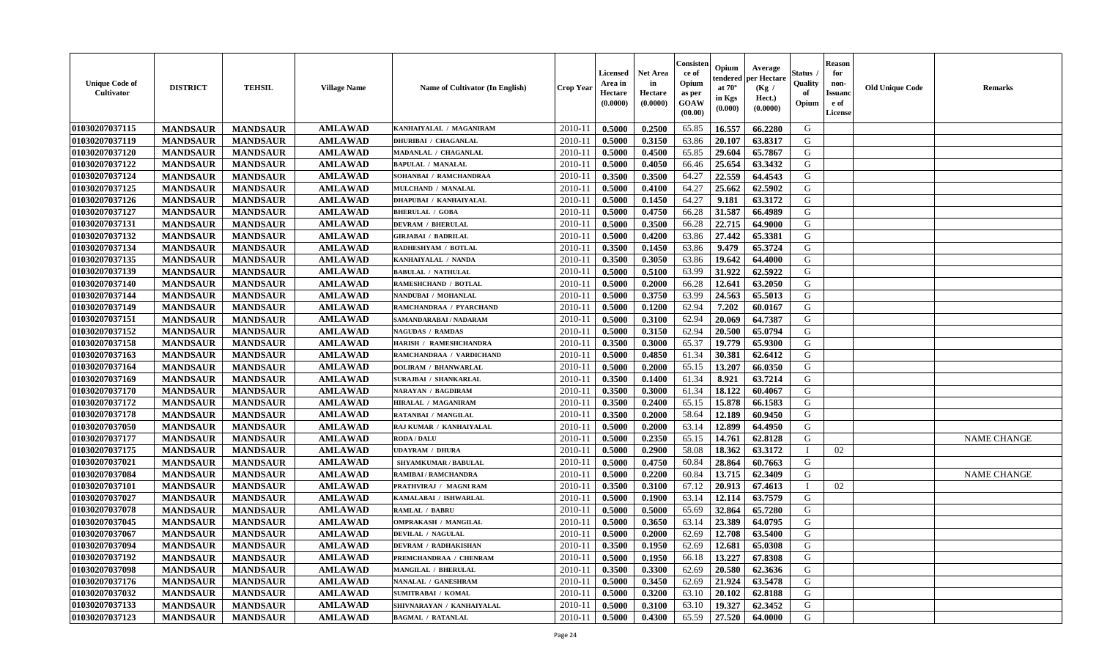| <b>Unique Code of</b><br>Cultivator | <b>DISTRICT</b> | <b>TEHSIL</b>   | <b>Village Name</b> | Name of Cultivator (In English) | <b>Crop Year</b> | <b>Licensed</b><br>Area in<br>Hectare<br>(0.0000) | <b>Net Area</b><br>in<br>Hectare<br>(0.0000) | Consister<br>ce of<br>Opium<br>as per<br>GOAW<br>(00.00) | Opium<br>endered<br>at $70^\circ$<br>in Kgs<br>(0.000) | Average<br>per Hectare<br>(Kg /<br>Hect.)<br>(0.0000) | <b>Status</b> .<br>Quality<br>of<br>Opium | <b>Reason</b><br>for<br>non-<br><b>Issuand</b><br>e of<br>License | <b>Old Unique Code</b> | <b>Remarks</b>     |
|-------------------------------------|-----------------|-----------------|---------------------|---------------------------------|------------------|---------------------------------------------------|----------------------------------------------|----------------------------------------------------------|--------------------------------------------------------|-------------------------------------------------------|-------------------------------------------|-------------------------------------------------------------------|------------------------|--------------------|
| 01030207037115                      | <b>MANDSAUR</b> | <b>MANDSAUR</b> | <b>AMLAWAD</b>      | KANHAIYALAL / MAGANIRAM         | 2010-11          | 0.5000                                            | 0.2500                                       | 65.85                                                    | 16.557                                                 | 66.2280                                               | G                                         |                                                                   |                        |                    |
| 01030207037119                      | <b>MANDSAUR</b> | <b>MANDSAUR</b> | <b>AMLAWAD</b>      | <b>DHURIBAI / CHAGANLAL</b>     | $2010 - 11$      | 0.5000                                            | 0.3150                                       | 63.86                                                    | 20.107                                                 | 63.8317                                               | G                                         |                                                                   |                        |                    |
| 01030207037120                      | <b>MANDSAUR</b> | <b>MANDSAUR</b> | <b>AMLAWAD</b>      | MADANLAL / CHAGANLAL            | 2010-11          | 0.5000                                            | 0.4500                                       | 65.85                                                    | 29.604                                                 | 65.7867                                               | G                                         |                                                                   |                        |                    |
| 01030207037122                      | <b>MANDSAUR</b> | <b>MANDSAUR</b> | <b>AMLAWAD</b>      | <b>BAPULAL / MANALAL</b>        | 2010-11          | 0.5000                                            | 0.4050                                       | 66.46                                                    | 25.654                                                 | 63.3432                                               | G                                         |                                                                   |                        |                    |
| 01030207037124                      | <b>MANDSAUR</b> | <b>MANDSAUR</b> | <b>AMLAWAD</b>      | SOHANBAI / RAMCHANDRAA          | 2010-11          | 0.3500                                            | 0.3500                                       | 64.27                                                    | 22.559                                                 | 64.4543                                               | G                                         |                                                                   |                        |                    |
| 01030207037125                      | <b>MANDSAUR</b> | <b>MANDSAUR</b> | <b>AMLAWAD</b>      | MULCHAND / MANALAL              | $2010 - 11$      | 0.5000                                            | 0.4100                                       | 64.27                                                    | 25.662                                                 | 62.5902                                               | G                                         |                                                                   |                        |                    |
| 01030207037126                      | <b>MANDSAUR</b> | <b>MANDSAUR</b> | <b>AMLAWAD</b>      | DHAPUBAI / KANHAIYALAL          | $2010 - 1$       | 0.5000                                            | 0.1450                                       | 64.27                                                    | 9.181                                                  | 63.3172                                               | G                                         |                                                                   |                        |                    |
| 01030207037127                      | <b>MANDSAUR</b> | <b>MANDSAUR</b> | <b>AMLAWAD</b>      | <b>BHERULAL / GOBA</b>          | 2010-11          | 0.5000                                            | 0.4750                                       | 66.28                                                    | 31.587                                                 | 66.4989                                               | G                                         |                                                                   |                        |                    |
| 01030207037131                      | <b>MANDSAUR</b> | <b>MANDSAUR</b> | <b>AMLAWAD</b>      | <b>DEVRAM / BHERULAL</b>        | 2010-11          | 0.5000                                            | 0.3500                                       | 66.28                                                    | 22.715                                                 | 64.9000                                               | G                                         |                                                                   |                        |                    |
| 01030207037132                      | <b>MANDSAUR</b> | <b>MANDSAUR</b> | <b>AMLAWAD</b>      | <b>GIRJABAI / BADRILAL</b>      | 2010-11          | 0.5000                                            | 0.4200                                       | 63.86                                                    | 27.442                                                 | 65.3381                                               | G                                         |                                                                   |                        |                    |
| 01030207037134                      | <b>MANDSAUR</b> | <b>MANDSAUR</b> | <b>AMLAWAD</b>      | RADHESHYAM / BOTLAL             | 2010-11          | 0.3500                                            | 0.1450                                       | 63.86                                                    | 9.479                                                  | 65.3724                                               | G                                         |                                                                   |                        |                    |
| 01030207037135                      | <b>MANDSAUR</b> | <b>MANDSAUR</b> | <b>AMLAWAD</b>      | KANHAIYALAL / NANDA             | 2010-11          | 0.3500                                            | 0.3050                                       | 63.86                                                    | 19.642                                                 | 64.4000                                               | G                                         |                                                                   |                        |                    |
| 01030207037139                      | <b>MANDSAUR</b> | <b>MANDSAUR</b> | <b>AMLAWAD</b>      | <b>BABULAL / NATHULAL</b>       | 2010-11          | 0.5000                                            | 0.5100                                       | 63.99                                                    | 31.922                                                 | 62.5922                                               | G                                         |                                                                   |                        |                    |
| 01030207037140                      | <b>MANDSAUR</b> | <b>MANDSAUR</b> | <b>AMLAWAD</b>      | RAMESHCHAND / BOTLAL            | 2010-11          | 0.5000                                            | 0.2000                                       | 66.28                                                    | 12.641                                                 | 63.2050                                               | G                                         |                                                                   |                        |                    |
| 01030207037144                      | <b>MANDSAUR</b> | <b>MANDSAUR</b> | <b>AMLAWAD</b>      | <b>NANDUBAI / MOHANLAL</b>      | $2010 - 1$       | 0.5000                                            | 0.3750                                       | 63.99                                                    | 24.563                                                 | 65.5013                                               | ${\bf G}$                                 |                                                                   |                        |                    |
| 01030207037149                      | <b>MANDSAUR</b> | <b>MANDSAUR</b> | <b>AMLAWAD</b>      | RAMCHANDRAA / PYARCHAND         | 2010-11          | 0.5000                                            | 0.1200                                       | 62.94                                                    | 7.202                                                  | 60.0167                                               | G                                         |                                                                   |                        |                    |
| 01030207037151                      | <b>MANDSAUR</b> | <b>MANDSAUR</b> | <b>AMLAWAD</b>      | SAMANDARABAI / NADARAM          | 2010-11          | 0.5000                                            | 0.3100                                       | 62.94                                                    | 20.069                                                 | 64.7387                                               | G                                         |                                                                   |                        |                    |
| 01030207037152                      | <b>MANDSAUR</b> | <b>MANDSAUR</b> | <b>AMLAWAD</b>      | <b>NAGUDAS / RAMDAS</b>         | 2010-11          | 0.5000                                            | 0.3150                                       | 62.94                                                    | 20.500                                                 | 65.0794                                               | G                                         |                                                                   |                        |                    |
| 01030207037158                      | <b>MANDSAUR</b> | <b>MANDSAUR</b> | <b>AMLAWAD</b>      | HARISH / RAMESHCHANDRA          | 2010-11          | 0.3500                                            | 0.3000                                       | 65.37                                                    | 19.779                                                 | 65.9300                                               | G                                         |                                                                   |                        |                    |
|                                     |                 |                 |                     | RAMCHANDRAA / VARDICHAND        | 2010-11          | 0.5000                                            | 0.4850                                       | 61.34                                                    | 30.381                                                 | 62.6412                                               | G                                         |                                                                   |                        |                    |
| 01030207037163<br>01030207037164    | <b>MANDSAUR</b> | <b>MANDSAUR</b> | <b>AMLAWAD</b>      |                                 |                  |                                                   |                                              |                                                          |                                                        |                                                       |                                           |                                                                   |                        |                    |
|                                     | <b>MANDSAUR</b> | <b>MANDSAUR</b> | <b>AMLAWAD</b>      | <b>DOLIRAM / BHANWARLAL</b>     | 2010-11          | 0.5000                                            | 0.2000                                       | 65.15                                                    | 13.207                                                 | 66.0350                                               | G                                         |                                                                   |                        |                    |
| 01030207037169                      | <b>MANDSAUR</b> | <b>MANDSAUR</b> | <b>AMLAWAD</b>      | <b>SURAJBAI / SHANKARLAL</b>    | 2010-11          | 0.3500                                            | 0.1400                                       | 61.34                                                    | 8.921                                                  | 63.7214                                               | G                                         |                                                                   |                        |                    |
| 01030207037170                      | <b>MANDSAUR</b> | <b>MANDSAUR</b> | <b>AMLAWAD</b>      | NARAYAN / BAGDIRAM              | $2010 - 11$      | 0.3500                                            | 0.3000                                       | 61.34                                                    | 18.122                                                 | 60.4067                                               | G                                         |                                                                   |                        |                    |
| 01030207037172                      | <b>MANDSAUR</b> | <b>MANDSAUR</b> | <b>AMLAWAD</b>      | <b>HIRALAL / MAGANIRAM</b>      | 2010-11          | 0.3500                                            | 0.2400                                       | 65.15                                                    | 15.878                                                 | 66.1583                                               | ${\bf G}$                                 |                                                                   |                        |                    |
| 01030207037178                      | <b>MANDSAUR</b> | <b>MANDSAUR</b> | <b>AMLAWAD</b>      | RATANBAI / MANGILAL             | 2010-11          | 0.3500                                            | 0.2000                                       | 58.64                                                    | 12.189                                                 | 60.9450                                               | G                                         |                                                                   |                        |                    |
| 01030207037050                      | <b>MANDSAUR</b> | <b>MANDSAUR</b> | <b>AMLAWAD</b>      | RAJ KUMAR / KANHAIYALAL         | 2010-11          | 0.5000                                            | 0.2000                                       | 63.14                                                    | 12.899                                                 | 64.4950                                               | G                                         |                                                                   |                        |                    |
| 01030207037177                      | <b>MANDSAUR</b> | <b>MANDSAUR</b> | <b>AMLAWAD</b>      | <b>RODA / DALU</b>              | 2010-11          | 0.5000                                            | 0.2350                                       | 65.15                                                    | 14.761                                                 | 62.8128                                               | G                                         |                                                                   |                        | <b>NAME CHANGE</b> |
| 01030207037175                      | <b>MANDSAUR</b> | <b>MANDSAUR</b> | <b>AMLAWAD</b>      | <b>UDAYRAM / DHURA</b>          | 2010-11          | 0.5000                                            | 0.2900                                       | 58.08                                                    | 18.362                                                 | 63.3172                                               | $\mathbf{I}$                              | 02                                                                |                        |                    |
| 01030207037021                      | <b>MANDSAUR</b> | <b>MANDSAUR</b> | <b>AMLAWAD</b>      | SHYAMKUMAR / BABULAL            | 2010-11          | 0.5000                                            | 0.4750                                       | 60.84                                                    | 28.864                                                 | 60.7663                                               | G                                         |                                                                   |                        |                    |
| 01030207037084                      | <b>MANDSAUR</b> | <b>MANDSAUR</b> | <b>AMLAWAD</b>      | <b>RAMIBAI / RAMCHANDRA</b>     | 2010-11          | 0.5000                                            | 0.2200                                       | 60.84                                                    | 13.715                                                 | 62.3409                                               | G                                         |                                                                   |                        | <b>NAME CHANGE</b> |
| 01030207037101                      | <b>MANDSAUR</b> | <b>MANDSAUR</b> | <b>AMLAWAD</b>      | PRATHVIRAJ / MAGNI RAM          | $2010 - 11$      | 0.3500                                            | 0.3100                                       | 67.12                                                    | 20.913                                                 | 67.4613                                               |                                           | 02                                                                |                        |                    |
| 01030207037027                      | <b>MANDSAUR</b> | <b>MANDSAUR</b> | <b>AMLAWAD</b>      | KAMALABAI / ISHWARLAL           | 2010-11          | 0.5000                                            | 0.1900                                       | 63.14                                                    | 12.114                                                 | 63.7579                                               | G                                         |                                                                   |                        |                    |
| 01030207037078                      | <b>MANDSAUR</b> | <b>MANDSAUR</b> | <b>AMLAWAD</b>      | <b>RAMLAL / BABRU</b>           | 2010-11          | 0.5000                                            | 0.5000                                       | 65.69                                                    | 32.864                                                 | 65.7280                                               | G                                         |                                                                   |                        |                    |
| 01030207037045                      | <b>MANDSAUR</b> | <b>MANDSAUR</b> | <b>AMLAWAD</b>      | <b>OMPRAKASH / MANGILAL</b>     | 2010-11          | 0.5000                                            | 0.3650                                       | 63.14                                                    | 23.389                                                 | 64.0795                                               | G                                         |                                                                   |                        |                    |
| 01030207037067                      | <b>MANDSAUR</b> | <b>MANDSAUR</b> | <b>AMLAWAD</b>      | <b>DEVILAL / NAGULAL</b>        | 2010-11          | 0.5000                                            | 0.2000                                       | 62.69                                                    | 12.708                                                 | 63.5400                                               | ${\bf G}$                                 |                                                                   |                        |                    |
| 01030207037094                      | <b>MANDSAUR</b> | <b>MANDSAUR</b> | <b>AMLAWAD</b>      | <b>DEVRAM / RADHAKISHAN</b>     | 2010-11          | 0.3500                                            | 0.1950                                       | 62.69                                                    | 12.681                                                 | 65.0308                                               | G                                         |                                                                   |                        |                    |
| 01030207037192                      | <b>MANDSAUR</b> | <b>MANDSAUR</b> | <b>AMLAWAD</b>      | PREMCHANDRAA / CHENRAM          | 2010-11          | 0.5000                                            | 0.1950                                       | 66.18                                                    | 13.227                                                 | 67.8308                                               | G                                         |                                                                   |                        |                    |
| 01030207037098                      | <b>MANDSAUR</b> | <b>MANDSAUR</b> | <b>AMLAWAD</b>      | <b>MANGILAL / BHERULAI</b>      | 2010-11          | 0.3500                                            | 0.3300                                       | 62.69                                                    | 20.580                                                 | 62.3636                                               | G                                         |                                                                   |                        |                    |
| 01030207037176                      | <b>MANDSAUR</b> | <b>MANDSAUR</b> | <b>AMLAWAD</b>      | NANALAL / GANESHRAM             | $2010 - 11$      | 0.5000                                            | 0.3450                                       | 62.69                                                    | 21.924                                                 | 63.5478                                               | G                                         |                                                                   |                        |                    |
| 01030207037032                      | <b>MANDSAUR</b> | <b>MANDSAUR</b> | <b>AMLAWAD</b>      | SUMITRABAI / KOMAL              | $2010 - 11$      | 0.5000                                            | 0.3200                                       | 63.10                                                    | 20.102                                                 | 62.8188                                               | ${\bf G}$                                 |                                                                   |                        |                    |
| 01030207037133                      | <b>MANDSAUR</b> | <b>MANDSAUR</b> | <b>AMLAWAD</b>      | SHIVNARAYAN / KANHAIYALAL       | 2010-11          | 0.5000                                            | 0.3100                                       | 63.10                                                    | 19.327                                                 | 62.3452                                               | G                                         |                                                                   |                        |                    |
| 01030207037123                      | <b>MANDSAUR</b> | <b>MANDSAUR</b> | <b>AMLAWAD</b>      | <b>BAGMAL / RATANLAL</b>        | 2010-11          | 0.5000                                            | 0.4300                                       | 65.59                                                    | 27.520                                                 | 64.0000                                               | G                                         |                                                                   |                        |                    |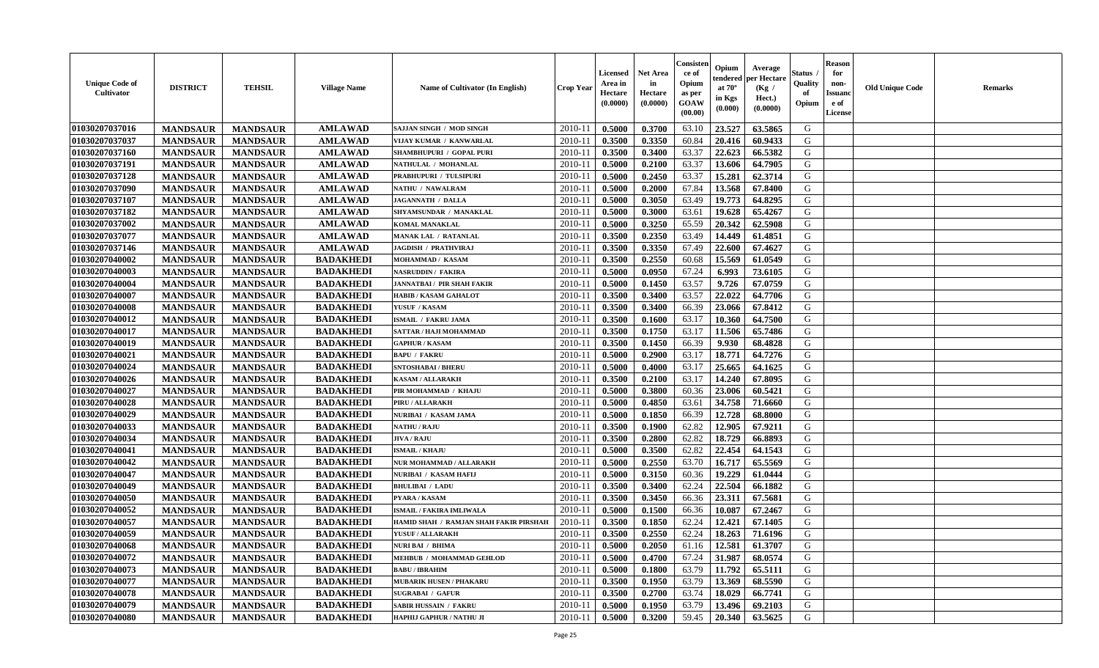| <b>Unique Code of</b><br>Cultivator | <b>DISTRICT</b> | <b>TEHSIL</b>   | <b>Village Name</b> | Name of Cultivator (In English)        | <b>Crop Year</b> | <b>Licensed</b><br>Area in<br>Hectare<br>(0.0000) | <b>Net Area</b><br>in<br>Hectare<br>(0.0000) | Consisten<br>ce of<br>Opium<br>as per<br><b>GOAW</b><br>(00.00) | Opium<br>tendered<br>at $70^\circ$<br>in Kgs<br>$(\mathbf{0.000})$ | Average<br>per Hectare<br>(Kg /<br>Hect.)<br>(0.0000) | Status .<br>Quality<br>of<br>Opium | <b>Reason</b><br>for<br>non-<br><b>Issuand</b><br>e of<br>License | <b>Old Unique Code</b> | <b>Remarks</b> |
|-------------------------------------|-----------------|-----------------|---------------------|----------------------------------------|------------------|---------------------------------------------------|----------------------------------------------|-----------------------------------------------------------------|--------------------------------------------------------------------|-------------------------------------------------------|------------------------------------|-------------------------------------------------------------------|------------------------|----------------|
| 01030207037016                      | <b>MANDSAUR</b> | <b>MANDSAUR</b> | <b>AMLAWAD</b>      | SAJJAN SINGH / MOD SINGH               | 2010-11          | 0.5000                                            | 0.3700                                       | 63.10                                                           | 23.527                                                             | 63.5865                                               | G                                  |                                                                   |                        |                |
| 01030207037037                      | <b>MANDSAUR</b> | <b>MANDSAUR</b> | <b>AMLAWAD</b>      | VIJAY KUMAR / KANWARLAL                | $2010 - 11$      | 0.3500                                            | 0.3350                                       | 60.84                                                           | 20.416                                                             | 60.9433                                               | G                                  |                                                                   |                        |                |
| 01030207037160                      | <b>MANDSAUR</b> | <b>MANDSAUR</b> | <b>AMLAWAD</b>      | SHAMBHUPURI / GOPAL PURI               | $2010 - 1$       | 0.3500                                            | 0.3400                                       | 63.37                                                           | 22.623                                                             | 66.5382                                               | G                                  |                                                                   |                        |                |
| 01030207037191                      | <b>MANDSAUR</b> | <b>MANDSAUR</b> | <b>AMLAWAD</b>      | NATHULAL / MOHANLAL                    | 2010-11          | 0.5000                                            | 0.2100                                       | 63.37                                                           | 13.606                                                             | 64.7905                                               | G                                  |                                                                   |                        |                |
| 01030207037128                      | <b>MANDSAUR</b> | <b>MANDSAUR</b> | <b>AMLAWAD</b>      | PRABHUPURI / TULSIPURI                 | 2010-11          | 0.5000                                            | 0.2450                                       | 63.37                                                           | 15.281                                                             | 62.3714                                               | G                                  |                                                                   |                        |                |
| 01030207037090                      | <b>MANDSAUR</b> | <b>MANDSAUR</b> | <b>AMLAWAD</b>      | NATHU / NAWALRAM                       | $2010 - 11$      | 0.5000                                            | 0.2000                                       | 67.84                                                           | 13.568                                                             | 67.8400                                               | G                                  |                                                                   |                        |                |
| 01030207037107                      | <b>MANDSAUR</b> | <b>MANDSAUR</b> | <b>AMLAWAD</b>      | <b>JAGANNATH / DALLA</b>               | 2010-11          | 0.5000                                            | 0.3050                                       | 63.49                                                           | 19.773                                                             | 64.8295                                               | G                                  |                                                                   |                        |                |
| 01030207037182                      | <b>MANDSAUR</b> | <b>MANDSAUR</b> | <b>AMLAWAD</b>      | SHYAMSUNDAR / MANAKLAL                 | $2010 - 11$      | 0.5000                                            | 0.3000                                       | 63.61                                                           | 19.628                                                             | 65.4267                                               | G                                  |                                                                   |                        |                |
| 01030207037002                      | <b>MANDSAUR</b> | <b>MANDSAUR</b> | <b>AMLAWAD</b>      | KOMAL MANAKLAL                         | 2010-11          | 0.5000                                            | 0.3250                                       | 65.59                                                           | 20.342                                                             | 62.5908                                               | G                                  |                                                                   |                        |                |
| 01030207037077                      | <b>MANDSAUR</b> | <b>MANDSAUR</b> | <b>AMLAWAD</b>      | MANAK LAL / RATANLAL                   | 2010-11          | 0.3500                                            | 0.2350                                       | 63.49                                                           | 14.449                                                             | 61.4851                                               | G                                  |                                                                   |                        |                |
| 01030207037146                      | <b>MANDSAUR</b> | <b>MANDSAUR</b> | <b>AMLAWAD</b>      | <b>JAGDISH / PRATHVIRAJ</b>            | $2010 - 11$      | 0.3500                                            | 0.3350                                       | 67.49                                                           | 22.600                                                             | 67.4627                                               | G                                  |                                                                   |                        |                |
| 01030207040002                      | <b>MANDSAUR</b> | <b>MANDSAUR</b> | <b>BADAKHEDI</b>    | MOHAMMAD / KASAM                       | 2010-11          | 0.3500                                            | 0.2550                                       | 60.68                                                           | 15.569                                                             | 61.0549                                               | G                                  |                                                                   |                        |                |
| 01030207040003                      | <b>MANDSAUR</b> | <b>MANDSAUR</b> | <b>BADAKHEDI</b>    | <b>NASRUDDIN / FAKIRA</b>              | $2010 - 11$      | 0.5000                                            | 0.0950                                       | 67.24                                                           | 6.993                                                              | 73.6105                                               | G                                  |                                                                   |                        |                |
| 01030207040004                      | <b>MANDSAUR</b> | <b>MANDSAUR</b> | <b>BADAKHEDI</b>    | <b>JANNATBAI / PIR SHAH FAKIR</b>      | $2010 - 1$       | 0.5000                                            | 0.1450                                       | 63.57                                                           | 9.726                                                              | 67.0759                                               | G                                  |                                                                   |                        |                |
| 01030207040007                      | <b>MANDSAUR</b> | <b>MANDSAUR</b> | <b>BADAKHEDI</b>    | <b>HABIB / KASAM GAHALOT</b>           | 2010-11          | 0.3500                                            | 0.3400                                       | 63.57                                                           | 22.022                                                             | 64.7706                                               | G                                  |                                                                   |                        |                |
| 01030207040008                      | <b>MANDSAUR</b> | <b>MANDSAUR</b> | <b>BADAKHEDI</b>    | YUSUF / KASAM                          | 2010-11          | 0.3500                                            | 0.3400                                       | 66.39                                                           | 23.066                                                             | 67.8412                                               | G                                  |                                                                   |                        |                |
| 01030207040012                      | <b>MANDSAUR</b> | <b>MANDSAUR</b> | <b>BADAKHEDI</b>    | ISMAIL / FAKRU JAMA                    | $2010 - 11$      | 0.3500                                            | 0.1600                                       | 63.17                                                           | 10.360                                                             | 64.7500                                               | G                                  |                                                                   |                        |                |
| 01030207040017                      | <b>MANDSAUR</b> | <b>MANDSAUR</b> | <b>BADAKHEDI</b>    | SATTAR / HAJI MOHAMMAD                 | 2010-11          | 0.3500                                            | 0.1750                                       | 63.17                                                           | 11.506                                                             | 65.7486                                               | G                                  |                                                                   |                        |                |
| 01030207040019                      | <b>MANDSAUR</b> | <b>MANDSAUR</b> | <b>BADAKHEDI</b>    | <b>GAPHUR / KASAM</b>                  | $2010 - 11$      | 0.3500                                            | 0.1450                                       | 66.39                                                           | 9.930                                                              | 68.4828                                               | G                                  |                                                                   |                        |                |
| 01030207040021                      | <b>MANDSAUR</b> | <b>MANDSAUR</b> | <b>BADAKHEDI</b>    | <b>BAPU / FAKRU</b>                    | 2010-11          | 0.5000                                            | 0.2900                                       | 63.17                                                           | 18.771                                                             | 64.7276                                               | G                                  |                                                                   |                        |                |
| 01030207040024                      | <b>MANDSAUR</b> | <b>MANDSAUR</b> | <b>BADAKHEDI</b>    | <b>SNTOSHABAI / BHERU</b>              | 2010-11          | 0.5000                                            | 0.4000                                       | 63.17                                                           | 25.665                                                             | 64.1625                                               | G                                  |                                                                   |                        |                |
| 01030207040026                      | <b>MANDSAUR</b> | <b>MANDSAUR</b> | <b>BADAKHEDI</b>    | <b>KASAM / ALLARAKH</b>                | $2010 - 11$      | 0.3500                                            | 0.2100                                       | 63.17                                                           | 14.240                                                             | 67.8095                                               | G                                  |                                                                   |                        |                |
| 01030207040027                      | <b>MANDSAUR</b> | <b>MANDSAUR</b> | <b>BADAKHEDI</b>    | PIR MOHAMMAD / KHAJU                   | 2010-11          | 0.5000                                            | 0.3800                                       | 60.36                                                           | 23.006                                                             | 60.5421                                               | G                                  |                                                                   |                        |                |
| 01030207040028                      | <b>MANDSAUR</b> | <b>MANDSAUR</b> | <b>BADAKHEDI</b>    | PIRU / ALLARAKH                        | 2010-11          | 0.5000                                            | 0.4850                                       | 63.61                                                           | 34.758                                                             | 71.6660                                               | G                                  |                                                                   |                        |                |
| 01030207040029                      | <b>MANDSAUR</b> | <b>MANDSAUR</b> | <b>BADAKHEDI</b>    | NURIBAI / KASAM JAMA                   | $2010 - 1$       | 0.5000                                            | 0.1850                                       | 66.39                                                           | 12.728                                                             | 68.8000                                               | G                                  |                                                                   |                        |                |
| 01030207040033                      | <b>MANDSAUR</b> | <b>MANDSAUR</b> | <b>BADAKHEDI</b>    | <b>NATHU / RAJU</b>                    | 2010-11          | 0.3500                                            | 0.1900                                       | 62.82                                                           | 12.905                                                             | 67.9211                                               | G                                  |                                                                   |                        |                |
| 01030207040034                      | <b>MANDSAUR</b> | <b>MANDSAUR</b> | <b>BADAKHEDI</b>    | <b>JIVA / RAJU</b>                     | $2010 - 11$      | 0.3500                                            | 0.2800                                       | 62.82                                                           | 18.729                                                             | 66.8893                                               | G                                  |                                                                   |                        |                |
| 01030207040041                      | <b>MANDSAUR</b> | <b>MANDSAUR</b> | <b>BADAKHEDI</b>    | <b>ISMAIL / KHAJU</b>                  | 2010-11          | 0.5000                                            | 0.3500                                       | 62.82                                                           | 22.454                                                             | 64.1543                                               | G                                  |                                                                   |                        |                |
| 01030207040042                      | <b>MANDSAUR</b> | <b>MANDSAUR</b> | <b>BADAKHEDI</b>    | NUR MOHAMMAD / ALLARAKH                | 2010-11          | 0.5000                                            | 0.2550                                       | 63.70                                                           | 16.717                                                             | 65.5569                                               | G                                  |                                                                   |                        |                |
| 01030207040047                      | <b>MANDSAUR</b> | <b>MANDSAUR</b> | <b>BADAKHEDI</b>    | NURIBAI / KASAM HAFIJ                  | $2010 - 11$      | 0.5000                                            | 0.3150                                       | 60.36                                                           | 19.229                                                             | 61.0444                                               | G                                  |                                                                   |                        |                |
| 01030207040049                      | <b>MANDSAUR</b> | <b>MANDSAUR</b> | <b>BADAKHEDI</b>    | <b>BHULIBAI / LADU</b>                 | 2010-11          | 0.3500                                            | 0.3400                                       | 62.24                                                           | 22.504                                                             | 66.1882                                               | G                                  |                                                                   |                        |                |
| 01030207040050                      | <b>MANDSAUR</b> | <b>MANDSAUR</b> | <b>BADAKHEDI</b>    | PYARA / KASAM                          | 2010-11          | 0.3500                                            | 0.3450                                       | 66.36                                                           | 23.311                                                             | 67.5681                                               | G                                  |                                                                   |                        |                |
| 01030207040052                      | <b>MANDSAUR</b> | <b>MANDSAUR</b> | <b>BADAKHEDI</b>    | ISMAIL / FAKIRA IMLIWALA               | $2010 - 11$      | 0.5000                                            | 0.1500                                       | 66.36                                                           | 10.087                                                             | 67.2467                                               | G                                  |                                                                   |                        |                |
| 01030207040057                      | <b>MANDSAUR</b> | <b>MANDSAUR</b> | <b>BADAKHEDI</b>    | HAMID SHAH / RAMJAN SHAH FAKIR PIRSHAH | $2010 - 11$      | 0.3500                                            | 0.1850                                       | 62.24                                                           | 12.421                                                             | 67.1405                                               | G                                  |                                                                   |                        |                |
| 01030207040059                      | <b>MANDSAUR</b> | <b>MANDSAUR</b> | <b>BADAKHEDI</b>    | YUSUF / ALLARAKH                       | 2010-11          | 0.3500                                            | 0.2550                                       | 62.24                                                           | 18.263                                                             | 71.6196                                               | G                                  |                                                                   |                        |                |
| 01030207040068                      | <b>MANDSAUR</b> | <b>MANDSAUR</b> | <b>BADAKHEDI</b>    | <b>NURI BAI / BHIMA</b>                | $2010 - 11$      | 0.5000                                            | 0.2050                                       | 61.16                                                           |                                                                    | $12.581$ 61.3707                                      | G                                  |                                                                   |                        |                |
| 01030207040072                      | <b>MANDSAUR</b> | <b>MANDSAUR</b> | <b>BADAKHEDI</b>    | MEHBUB / MOHAMMAD GEHLOD               | 2010-11          | 0.5000                                            | 0.4700                                       | 67.24                                                           | 31.987                                                             | 68.0574                                               | G                                  |                                                                   |                        |                |
| 01030207040073                      | <b>MANDSAUR</b> | <b>MANDSAUR</b> | <b>BADAKHEDI</b>    | <b>BABU / IBRAHIM</b>                  | 2010-11          | 0.5000                                            | 0.1800                                       | 63.79                                                           | 11.792                                                             | 65.5111                                               | G                                  |                                                                   |                        |                |
| 01030207040077                      | <b>MANDSAUR</b> | <b>MANDSAUR</b> | <b>BADAKHEDI</b>    | <b>MUBARIK HUSEN / PHAKARU</b>         | 2010-11          | 0.3500                                            | 0.1950                                       | 63.79                                                           | 13.369                                                             | 68.5590                                               | G                                  |                                                                   |                        |                |
| 01030207040078                      | <b>MANDSAUR</b> | <b>MANDSAUR</b> | <b>BADAKHEDI</b>    | <b>SUGRABAI / GAFUR</b>                | 2010-11          | 0.3500                                            | 0.2700                                       | 63.74                                                           | 18.029                                                             | 66.7741                                               | G                                  |                                                                   |                        |                |
| 01030207040079                      | <b>MANDSAUR</b> | <b>MANDSAUR</b> | <b>BADAKHEDI</b>    | <b>SABIR HUSSAIN / FAKRU</b>           | 2010-11          | 0.5000                                            | 0.1950                                       | 63.79                                                           | 13.496                                                             | 69.2103                                               | G                                  |                                                                   |                        |                |
| 01030207040080                      | <b>MANDSAUR</b> | <b>MANDSAUR</b> | <b>BADAKHEDI</b>    | HAPHIJ GAPHUR / NATHU JI               | $2010 - 11$      | 0.5000                                            | 0.3200                                       | 59.45                                                           | 20.340                                                             | 63.5625                                               | G                                  |                                                                   |                        |                |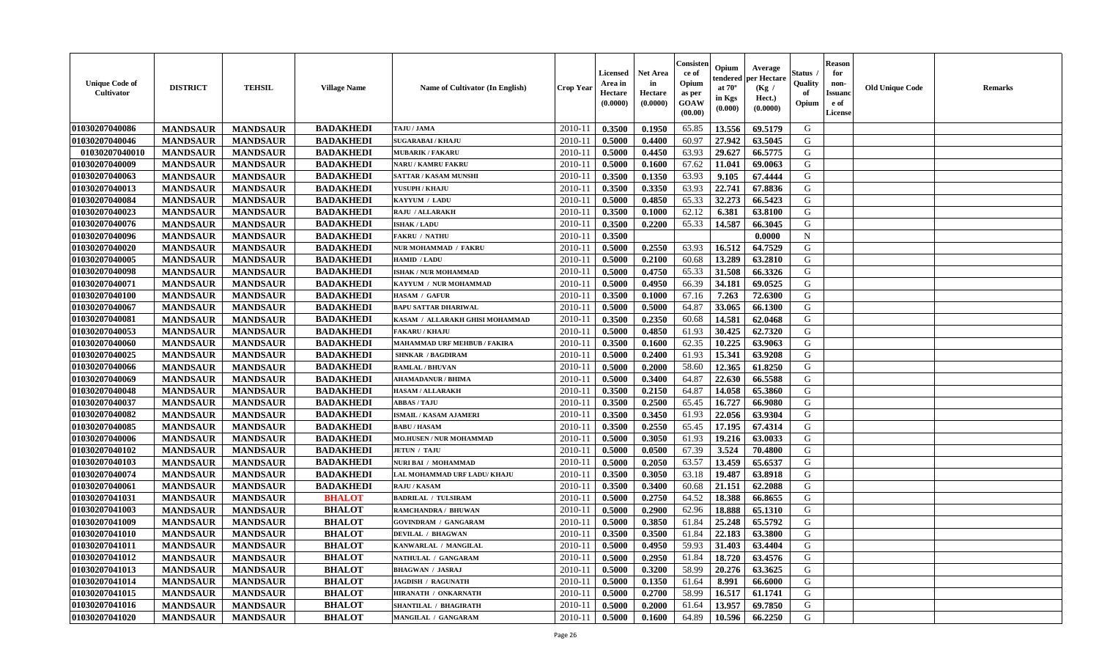| <b>Unique Code of</b><br><b>Cultivator</b> | <b>DISTRICT</b> | <b>TEHSIL</b>   | <b>Village Name</b> | Name of Cultivator (In English) | <b>Crop Year</b> | <b>Licensed</b><br>Area in<br>Hectare<br>(0.0000) | Net Area<br>in<br>Hectare<br>(0.0000) | Consisteı<br>ce of<br>Opium<br>as per<br>GOAW<br>(00.00) | Opium<br>endered<br>at $70^\circ$<br>in Kgs<br>(0.000) | Average<br>per Hectare<br>(Kg /<br>Hect.)<br>(0.0000) | Status<br>Quality<br>of<br>Opium | <b>Reason</b><br>for<br>non-<br><b>Issuanc</b><br>e of<br>License | <b>Old Unique Code</b> | Remarks |
|--------------------------------------------|-----------------|-----------------|---------------------|---------------------------------|------------------|---------------------------------------------------|---------------------------------------|----------------------------------------------------------|--------------------------------------------------------|-------------------------------------------------------|----------------------------------|-------------------------------------------------------------------|------------------------|---------|
| 01030207040086                             | <b>MANDSAUR</b> | <b>MANDSAUR</b> | <b>BADAKHEDI</b>    | TAJU / JAMA                     | 2010-11          | 0.3500                                            | 0.1950                                | 65.85                                                    | 13.556                                                 | 69.5179                                               | G                                |                                                                   |                        |         |
| 01030207040046                             | <b>MANDSAUR</b> | <b>MANDSAUR</b> | <b>BADAKHEDI</b>    | <b>SUGARABAI/KHAJU</b>          | 2010-11          | 0.5000                                            | 0.4400                                | 60.97                                                    | 27.942                                                 | 63.5045                                               | G                                |                                                                   |                        |         |
| 01030207040010                             | <b>MANDSAUR</b> | <b>MANDSAUR</b> | <b>BADAKHEDI</b>    | <b>MUBARIK / FAKARU</b>         | 2010-11          | 0.5000                                            | 0.4450                                | 63.93                                                    | 29.627                                                 | 66.5775                                               | G                                |                                                                   |                        |         |
| 01030207040009                             | <b>MANDSAUR</b> | <b>MANDSAUR</b> | <b>BADAKHEDI</b>    | <b>NARU / KAMRU FAKRU</b>       | 2010-11          | 0.5000                                            | 0.1600                                | 67.62                                                    | 11.041                                                 | 69.0063                                               | G                                |                                                                   |                        |         |
| 01030207040063                             | <b>MANDSAUR</b> | <b>MANDSAUR</b> | <b>BADAKHEDI</b>    | <b>SATTAR / KASAM MUNSHI</b>    | 2010-11          | 0.3500                                            | 0.1350                                | 63.93                                                    | 9.105                                                  | 67.4444                                               | G                                |                                                                   |                        |         |
| 01030207040013                             | <b>MANDSAUR</b> | <b>MANDSAUR</b> | <b>BADAKHEDI</b>    | YUSUPH / KHAJU                  | 2010-11          | 0.3500                                            | 0.3350                                | 63.93                                                    | 22.741                                                 | 67.8836                                               | G                                |                                                                   |                        |         |
| 01030207040084                             | <b>MANDSAUR</b> | <b>MANDSAUR</b> | <b>BADAKHEDI</b>    | KAYYUM / LADU                   | $2010 - 11$      | 0.5000                                            | 0.4850                                | 65.33                                                    | 32.273                                                 | 66.5423                                               | G                                |                                                                   |                        |         |
| 01030207040023                             | <b>MANDSAUR</b> | <b>MANDSAUR</b> | <b>BADAKHEDI</b>    | <b>RAJU / ALLARAKH</b>          | 2010-11          | 0.3500                                            | 0.1000                                | 62.12                                                    | 6.381                                                  | 63.8100                                               | G                                |                                                                   |                        |         |
| 01030207040076                             | <b>MANDSAUR</b> | <b>MANDSAUR</b> | <b>BADAKHEDI</b>    | <b>ISHAK / LADU</b>             | 2010-11          | 0.3500                                            | 0.2200                                | 65.33                                                    | 14.587                                                 | 66.3045                                               | G                                |                                                                   |                        |         |
| 01030207040096                             | <b>MANDSAUR</b> | <b>MANDSAUR</b> | <b>BADAKHEDI</b>    | <b>FAKRU / NATHU</b>            | 2010-11          | 0.3500                                            |                                       |                                                          |                                                        | 0.0000                                                | N                                |                                                                   |                        |         |
| 01030207040020                             | <b>MANDSAUR</b> | <b>MANDSAUR</b> | <b>BADAKHEDI</b>    | NUR MOHAMMAD / FAKRU            | 2010-11          | 0.5000                                            | 0.2550                                | 63.93                                                    | 16.512                                                 | 64.7529                                               | G                                |                                                                   |                        |         |
| 01030207040005                             | <b>MANDSAUR</b> | <b>MANDSAUR</b> | <b>BADAKHEDI</b>    | HAMID / LADU                    | 2010-11          | 0.5000                                            | 0.2100                                | 60.68                                                    | 13.289                                                 | 63.2810                                               | G                                |                                                                   |                        |         |
| 01030207040098                             | <b>MANDSAUR</b> | <b>MANDSAUR</b> | <b>BADAKHEDI</b>    | <b>ISHAK / NUR MOHAMMAD</b>     | 2010-11          | 0.5000                                            | 0.4750                                | 65.33                                                    | 31.508                                                 | 66.3326                                               | G                                |                                                                   |                        |         |
| 01030207040071                             | <b>MANDSAUR</b> | <b>MANDSAUR</b> | <b>BADAKHEDI</b>    | KAYYUM / NUR MOHAMMAD           | 2010-11          | 0.5000                                            | 0.4950                                | 66.39                                                    | 34.181                                                 | 69.0525                                               | G                                |                                                                   |                        |         |
| 01030207040100                             | <b>MANDSAUR</b> | <b>MANDSAUR</b> | <b>BADAKHEDI</b>    | <b>HASAM / GAFUR</b>            | $2010 - 11$      | 0.3500                                            | 0.1000                                | 67.16                                                    | 7.263                                                  | 72.6300                                               | $\mathbf G$                      |                                                                   |                        |         |
| 01030207040067                             | <b>MANDSAUR</b> | <b>MANDSAUR</b> | <b>BADAKHEDI</b>    | <b>BAPU SATTAR DHARIWAL</b>     | $2010 - 11$      | 0.5000                                            | 0.5000                                | 64.87                                                    | 33.065                                                 | 66.1300                                               | G                                |                                                                   |                        |         |
| 01030207040081                             | <b>MANDSAUR</b> | <b>MANDSAUR</b> | <b>BADAKHEDI</b>    | KASAM / ALLARAKH GHISI MOHAMMAD | 2010-11          | 0.3500                                            | 0.2350                                | 60.68                                                    | 14.581                                                 | 62.0468                                               | G                                |                                                                   |                        |         |
| 01030207040053                             | <b>MANDSAUR</b> | <b>MANDSAUR</b> | <b>BADAKHEDI</b>    | <b>FAKARU / KHAJU</b>           | 2010-11          | 0.5000                                            | 0.4850                                | 61.93                                                    | 30.425                                                 | 62.7320                                               | G                                |                                                                   |                        |         |
| 01030207040060                             | <b>MANDSAUR</b> | <b>MANDSAUR</b> | <b>BADAKHEDI</b>    | MAHAMMAD URF MEHBUB / FAKIRA    | 2010-11          | 0.3500                                            | 0.1600                                | 62.35                                                    | 10.225                                                 | 63.9063                                               | G                                |                                                                   |                        |         |
| 01030207040025                             | <b>MANDSAUR</b> | <b>MANDSAUR</b> | <b>BADAKHEDI</b>    | <b>SHNKAR / BAGDIRAM</b>        | 2010-11          | 0.5000                                            | 0.2400                                | 61.93                                                    | 15.341                                                 | 63.9208                                               | G                                |                                                                   |                        |         |
| 01030207040066                             | <b>MANDSAUR</b> | <b>MANDSAUR</b> | <b>BADAKHEDI</b>    | <b>RAMLAL / BHUVAN</b>          | 2010-11          | 0.5000                                            | 0.2000                                | 58.60                                                    | 12.365                                                 | 61.8250                                               | G                                |                                                                   |                        |         |
| 01030207040069                             | <b>MANDSAUR</b> | <b>MANDSAUR</b> | <b>BADAKHEDI</b>    | <b>AHAMADANUR / BHIMA</b>       | 2010-11          | 0.5000                                            | 0.3400                                | 64.87                                                    | 22.630                                                 | 66.5588                                               | G                                |                                                                   |                        |         |
| 01030207040048                             | <b>MANDSAUR</b> | <b>MANDSAUR</b> | <b>BADAKHEDI</b>    | <b>HASAM / ALLARAKH</b>         | 2010-11          | 0.3500                                            | 0.2150                                | 64.87                                                    | 14.058                                                 | 65.3860                                               | G                                |                                                                   |                        |         |
| 01030207040037                             | <b>MANDSAUR</b> | <b>MANDSAUR</b> | <b>BADAKHEDI</b>    | <b>ABBAS / TAJU</b>             | 2010-11          | 0.3500                                            | 0.2500                                | 65.45                                                    | 16.727                                                 | 66.9080                                               | G                                |                                                                   |                        |         |
| 01030207040082                             | <b>MANDSAUR</b> | <b>MANDSAUR</b> | <b>BADAKHEDI</b>    | <b>ISMAIL / KASAM AJAMERI</b>   | 2010-11          | 0.3500                                            | 0.3450                                | 61.93                                                    | 22.056                                                 | 63.9304                                               | G                                |                                                                   |                        |         |
| 01030207040085                             | <b>MANDSAUR</b> | <b>MANDSAUR</b> | <b>BADAKHEDI</b>    | <b>BABU / HASAM</b>             | 2010-11          | 0.3500                                            | 0.2550                                | 65.45                                                    | 17.195                                                 | 67.4314                                               | G                                |                                                                   |                        |         |
| 01030207040006                             | <b>MANDSAUR</b> | <b>MANDSAUR</b> | <b>BADAKHEDI</b>    | <b>MO.HUSEN / NUR MOHAMMAD</b>  | $2010 - 11$      | 0.5000                                            | 0.3050                                | 61.93                                                    | 19.216                                                 | 63.0033                                               | G                                |                                                                   |                        |         |
| 01030207040102                             | <b>MANDSAUR</b> | <b>MANDSAUR</b> | <b>BADAKHEDI</b>    | <b>JETUN / TAJU</b>             | 2010-11          | 0.5000                                            | 0.0500                                | 67.39                                                    | 3.524                                                  | 70.4800                                               | G                                |                                                                   |                        |         |
| 01030207040103                             | <b>MANDSAUR</b> | <b>MANDSAUR</b> | <b>BADAKHEDI</b>    | NURI BAI / MOHAMMAD             | 2010-11          | 0.5000                                            | 0.2050                                | 63.57                                                    | 13.459                                                 | 65.6537                                               | G                                |                                                                   |                        |         |
| 01030207040074                             | <b>MANDSAUR</b> | <b>MANDSAUR</b> | <b>BADAKHEDI</b>    | LAL MOHAMMAD URF LADU/ KHAJU    | 2010-11          | 0.3500                                            | 0.3050                                | 63.18                                                    | 19.487                                                 | 63.8918                                               | G                                |                                                                   |                        |         |
| 01030207040061                             | <b>MANDSAUR</b> | <b>MANDSAUR</b> | <b>BADAKHEDI</b>    | <b>RAJU / KASAM</b>             | 2010-11          | 0.3500                                            | 0.3400                                | 60.68                                                    | 21.151                                                 | 62.2088                                               | G                                |                                                                   |                        |         |
| 01030207041031                             | <b>MANDSAUR</b> | <b>MANDSAUR</b> | <b>BHALOT</b>       | <b>BADRILAL / TULSIRAM</b>      | 2010-11          | 0.5000                                            | 0.2750                                | 64.52                                                    | 18.388                                                 | 66.8655                                               | G                                |                                                                   |                        |         |
| 01030207041003                             | <b>MANDSAUR</b> | <b>MANDSAUR</b> | <b>BHALOT</b>       | RAMCHANDRA / BHUWAN             | 2010-11          | 0.5000                                            | 0.2900                                | 62.96                                                    | 18.888                                                 | 65.1310                                               | G                                |                                                                   |                        |         |
| 01030207041009                             | <b>MANDSAUR</b> | <b>MANDSAUR</b> | <b>BHALOT</b>       | <b>GOVINDRAM / GANGARAM</b>     | 2010-11          | 0.5000                                            | 0.3850                                | 61.84                                                    | 25.248                                                 | 65.5792                                               | G                                |                                                                   |                        |         |
| 01030207041010                             | <b>MANDSAUR</b> | <b>MANDSAUR</b> | <b>BHALOT</b>       | <b>DEVILAL / BHAGWAN</b>        | 2010-11          | 0.3500                                            | 0.3500                                | 61.84                                                    | 22.183                                                 | 63.3800                                               | G                                |                                                                   |                        |         |
| 01030207041011                             | <b>MANDSAUR</b> | <b>MANDSAUR</b> | <b>BHALOT</b>       | KANWARLAL / MANGILAL            | 2010-11          | 0.5000                                            | 0.4950                                | 59.93                                                    | 31.403                                                 | 63.4404                                               | G                                |                                                                   |                        |         |
| 01030207041012                             | <b>MANDSAUR</b> | <b>MANDSAUR</b> | <b>BHALOT</b>       | NATHULAL / GANGARAM             | 2010-11          | 0.5000                                            | 0.2950                                | 61.84                                                    | 18.720                                                 | 63.4576                                               | G                                |                                                                   |                        |         |
| 01030207041013                             | <b>MANDSAUR</b> | <b>MANDSAUR</b> | <b>BHALOT</b>       | <b>BHAGWAN / JASRAJ</b>         | 2010-11          | 0.5000                                            | 0.3200                                | 58.99                                                    | 20.276                                                 | 63.3625                                               | G                                |                                                                   |                        |         |
| 01030207041014                             | <b>MANDSAUR</b> | <b>MANDSAUR</b> | <b>BHALOT</b>       | <b>JAGDISH / RAGUNATH</b>       | $2010 - 11$      | 0.5000                                            | 0.1350                                | 61.64                                                    | 8.991                                                  | 66.6000                                               | G                                |                                                                   |                        |         |
| 01030207041015                             | <b>MANDSAUR</b> | <b>MANDSAUR</b> | <b>BHALOT</b>       | HIRANATH / ONKARNATH            | $2010 - 11$      | 0.5000                                            | 0.2700                                | 58.99                                                    | 16.517                                                 | 61.1741                                               | ${\bf G}$                        |                                                                   |                        |         |
| 01030207041016                             | <b>MANDSAUR</b> | <b>MANDSAUR</b> | <b>BHALOT</b>       | SHANTILAL / BHAGIRATH           | 2010-11          | 0.5000                                            | 0.2000                                | 61.64                                                    | 13.957                                                 | 69.7850                                               | G                                |                                                                   |                        |         |
| 01030207041020                             | <b>MANDSAUR</b> | <b>MANDSAUR</b> | <b>BHALOT</b>       | MANGILAL / GANGARAM             | 2010-11          | 0.5000                                            | 0.1600                                | 64.89                                                    | 10.596                                                 | 66.2250                                               | G                                |                                                                   |                        |         |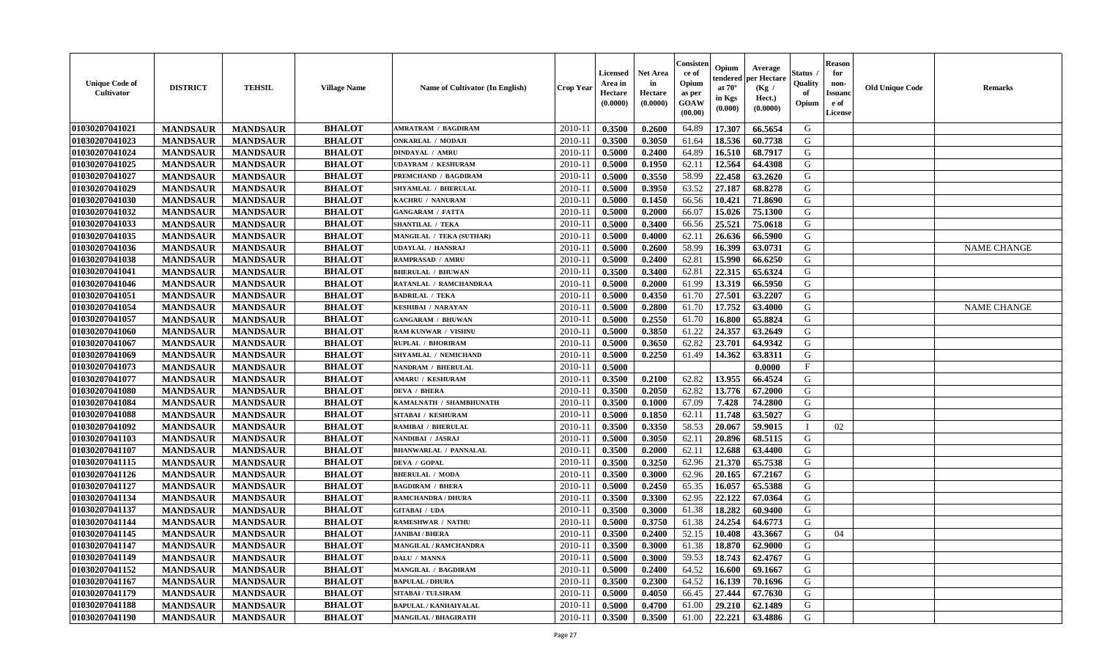| <b>Unique Code of</b><br><b>Cultivator</b> | <b>DISTRICT</b> | <b>TEHSIL</b>   | <b>Village Name</b> | Name of Cultivator (In English) | <b>Crop Year</b> | Licensed<br>Area in<br>Hectare<br>(0.0000) | <b>Net Area</b><br>in<br>Hectare<br>(0.0000) | Consisteı<br>ce of<br>Opium<br>as per<br>GOAW<br>(00.00) | Opium<br>endered<br>at $70^\circ$<br>in Kgs<br>(0.000) | Average<br>per Hectare<br>(Kg /<br>Hect.)<br>(0.0000) | Status<br>Quality<br>of<br>Opium | <b>Reason</b><br>for<br>non-<br><b>Issuand</b><br>e of<br>License | <b>Old Unique Code</b> | <b>Remarks</b>     |
|--------------------------------------------|-----------------|-----------------|---------------------|---------------------------------|------------------|--------------------------------------------|----------------------------------------------|----------------------------------------------------------|--------------------------------------------------------|-------------------------------------------------------|----------------------------------|-------------------------------------------------------------------|------------------------|--------------------|
| 01030207041021                             | <b>MANDSAUR</b> | <b>MANDSAUR</b> | <b>BHALOT</b>       | AMRATRAM / BAGDIRAM             | 2010-11          | 0.3500                                     | 0.2600                                       | 64.89                                                    | 17.307                                                 | 66.5654                                               | G                                |                                                                   |                        |                    |
| 01030207041023                             | <b>MANDSAUR</b> | <b>MANDSAUR</b> | <b>BHALOT</b>       | <b>ONKARLAL / MODAJI</b>        | 2010-11          | 0.3500                                     | 0.3050                                       | 61.64                                                    | 18.536                                                 | 60.7738                                               | G                                |                                                                   |                        |                    |
| 01030207041024                             | <b>MANDSAUR</b> | <b>MANDSAUR</b> | <b>BHALOT</b>       | <b>DINDAYAL / AMRU</b>          | 2010-11          | 0.5000                                     | 0.2400                                       | 64.89                                                    | 16.510                                                 | 68.7917                                               | G                                |                                                                   |                        |                    |
| 01030207041025                             | <b>MANDSAUR</b> | <b>MANDSAUR</b> | <b>BHALOT</b>       | <b>UDAYRAM / KESHURAM</b>       | 2010-11          | 0.5000                                     | 0.1950                                       | 62.11                                                    | 12.564                                                 | 64.4308                                               | G                                |                                                                   |                        |                    |
| 01030207041027                             | <b>MANDSAUR</b> | <b>MANDSAUR</b> | <b>BHALOT</b>       | PREMCHAND / BAGDIRAM            | 2010-11          | 0.5000                                     | 0.3550                                       | 58.99                                                    | 22.458                                                 | 63.2620                                               | G                                |                                                                   |                        |                    |
| 01030207041029                             | <b>MANDSAUR</b> | <b>MANDSAUR</b> | <b>BHALOT</b>       | <b>SHYAMLAL / BHERULAL</b>      | 2010-11          | 0.5000                                     | 0.3950                                       | 63.52                                                    | 27.187                                                 | 68.8278                                               | G                                |                                                                   |                        |                    |
| 01030207041030                             | <b>MANDSAUR</b> | <b>MANDSAUR</b> | <b>BHALOT</b>       | KACHRU / NANURAM                | 2010-11          | 0.5000                                     | 0.1450                                       | 66.56                                                    | 10.421                                                 | 71.8690                                               | G                                |                                                                   |                        |                    |
| 01030207041032                             | <b>MANDSAUR</b> | <b>MANDSAUR</b> | <b>BHALOT</b>       | <b>GANGARAM / FATTA</b>         | 2010-11          | 0.5000                                     | 0.2000                                       | 66.07                                                    | 15.026                                                 | 75.1300                                               | G                                |                                                                   |                        |                    |
| 01030207041033                             | <b>MANDSAUR</b> | <b>MANDSAUR</b> | <b>BHALOT</b>       | <b>SHANTILAL / TEKA</b>         | 2010-11          | 0.5000                                     | 0.3400                                       | 66.56                                                    | 25.521                                                 | 75.0618                                               | G                                |                                                                   |                        |                    |
| 01030207041035                             | <b>MANDSAUR</b> | <b>MANDSAUR</b> | <b>BHALOT</b>       | <b>MANGILAL / TEKA (SUTHAR)</b> | 2010-11          | 0.5000                                     | 0.4000                                       | 62.11                                                    | 26.636                                                 | 66.5900                                               | G                                |                                                                   |                        |                    |
| 01030207041036                             | <b>MANDSAUR</b> | <b>MANDSAUR</b> | <b>BHALOT</b>       | <b>UDAYLAL / HANSRAJ</b>        | 2010-11          | 0.5000                                     | 0.2600                                       | 58.99                                                    | 16.399                                                 | 63.0731                                               | $\mathbf G$                      |                                                                   |                        | <b>NAME CHANGE</b> |
| 01030207041038                             | <b>MANDSAUR</b> | <b>MANDSAUR</b> | <b>BHALOT</b>       | <b>RAMPRASAD / AMRU</b>         | 2010-11          | 0.5000                                     | 0.2400                                       | 62.81                                                    | 15.990                                                 | 66.6250                                               | G                                |                                                                   |                        |                    |
| 01030207041041                             | <b>MANDSAUR</b> | <b>MANDSAUR</b> | <b>BHALOT</b>       | <b>BHERULAL / BHUWAN</b>        | 2010-11          | 0.3500                                     | 0.3400                                       | 62.81                                                    | 22.315                                                 | 65.6324                                               | G                                |                                                                   |                        |                    |
| 01030207041046                             | <b>MANDSAUR</b> | <b>MANDSAUR</b> | <b>BHALOT</b>       | RATANLAL / RAMCHANDRAA          | $2010 - 11$      | 0.5000                                     | 0.2000                                       | 61.99                                                    | 13.319                                                 | 66.5950                                               | G                                |                                                                   |                        |                    |
| 01030207041051                             | <b>MANDSAUR</b> | <b>MANDSAUR</b> | <b>BHALOT</b>       | <b>BADRILAL / TEKA</b>          | 2010-11          | 0.5000                                     | 0.4350                                       | 61.70                                                    | 27.501                                                 | 63.2207                                               | G                                |                                                                   |                        |                    |
| 01030207041054                             | <b>MANDSAUR</b> | <b>MANDSAUR</b> | <b>BHALOT</b>       | <b>KESHIBAI / NARAYAN</b>       | 2010-11          | 0.5000                                     | 0.2800                                       | 61.70                                                    | 17.752                                                 | 63.4000                                               | G                                |                                                                   |                        | <b>NAME CHANGE</b> |
| 01030207041057                             | <b>MANDSAUR</b> | <b>MANDSAUR</b> | <b>BHALOT</b>       | <b>GANGARAM / BHUWAN</b>        | 2010-11          | 0.5000                                     | 0.2550                                       | 61.70                                                    | 16.800                                                 | 65.8824                                               | G                                |                                                                   |                        |                    |
| 01030207041060                             | <b>MANDSAUR</b> | <b>MANDSAUR</b> | <b>BHALOT</b>       | <b>RAM KUNWAR / VISHNU</b>      | 2010-11          | 0.5000                                     | 0.3850                                       | 61.22                                                    | 24.357                                                 | 63.2649                                               | G                                |                                                                   |                        |                    |
| 01030207041067                             | <b>MANDSAUR</b> | <b>MANDSAUR</b> | <b>BHALOT</b>       | RUPLAL / BHORIRAM               | 2010-11          | 0.5000                                     | 0.3650                                       | 62.82                                                    | 23.701                                                 | 64.9342                                               | G                                |                                                                   |                        |                    |
| 01030207041069                             | <b>MANDSAUR</b> | <b>MANDSAUR</b> | <b>BHALOT</b>       | SHYAMLAL / NEMICHAND            | 2010-11          | 0.5000                                     | 0.2250                                       | 61.49                                                    | 14.362                                                 | 63.8311                                               | G                                |                                                                   |                        |                    |
| 01030207041073                             | <b>MANDSAUR</b> | <b>MANDSAUR</b> | <b>BHALOT</b>       | <b>NANDRAM / BHERULAL</b>       | 2010-11          | 0.5000                                     |                                              |                                                          |                                                        | 0.0000                                                | F                                |                                                                   |                        |                    |
| 01030207041077                             | <b>MANDSAUR</b> | <b>MANDSAUR</b> | <b>BHALOT</b>       | <b>AMARU / KESHURAM</b>         | 2010-11          | 0.3500                                     | 0.2100                                       | 62.82                                                    | 13.955                                                 | 66.4524                                               | G                                |                                                                   |                        |                    |
| 01030207041080                             | <b>MANDSAUR</b> | <b>MANDSAUR</b> | <b>BHALOT</b>       | <b>DEVA / BHERA</b>             | $2010 - 11$      | 0.3500                                     | 0.2050                                       | 62.82                                                    | 13.776                                                 | 67.2000                                               | G                                |                                                                   |                        |                    |
| 01030207041084                             | <b>MANDSAUR</b> | <b>MANDSAUR</b> | <b>BHALOT</b>       | KAMALNATH / SHAMBHUNATH         | 2010-11          | 0.3500                                     | 0.1000                                       | 67.09                                                    | 7.428                                                  | 74.2800                                               | G                                |                                                                   |                        |                    |
| 01030207041088                             | <b>MANDSAUR</b> | <b>MANDSAUR</b> | <b>BHALOT</b>       | SITABAI / KESHURAM              | 2010-11          | 0.5000                                     | 0.1850                                       | 62.11                                                    | 11.748                                                 | 63.5027                                               | G                                |                                                                   |                        |                    |
| 01030207041092                             | <b>MANDSAUR</b> | <b>MANDSAUR</b> | <b>BHALOT</b>       | <b>RAMIBAI / BHERULAL</b>       | 2010-11          | 0.3500                                     | 0.3350                                       | 58.53                                                    | 20.067                                                 | 59.9015                                               | $\mathbf{I}$                     | 02                                                                |                        |                    |
| 01030207041103                             | <b>MANDSAUR</b> | <b>MANDSAUR</b> | <b>BHALOT</b>       | NANDIBAI / JASRAJ               | 2010-11          | 0.5000                                     | 0.3050                                       | 62.11                                                    | 20.896                                                 | 68.5115                                               | G                                |                                                                   |                        |                    |
| 01030207041107                             | <b>MANDSAUR</b> | <b>MANDSAUR</b> | <b>BHALOT</b>       | <b>BHANWARLAL / PANNALAL</b>    | 2010-11          | 0.3500                                     | 0.2000                                       | 62.11                                                    | 12.688                                                 | 63.4400                                               | G                                |                                                                   |                        |                    |
| 01030207041115                             | <b>MANDSAUR</b> | <b>MANDSAUR</b> | <b>BHALOT</b>       | <b>DEVA / GOPAL</b>             | 2010-11          | 0.3500                                     | 0.3250                                       | 62.96                                                    | 21.370                                                 | 65.7538                                               | G                                |                                                                   |                        |                    |
| 01030207041126                             | <b>MANDSAUR</b> | <b>MANDSAUR</b> | <b>BHALOT</b>       | <b>BHERULAL / MODA</b>          | 2010-11          | 0.3500                                     | 0.3000                                       | 62.96                                                    | 20.165                                                 | 67.2167                                               | G                                |                                                                   |                        |                    |
| 01030207041127                             | <b>MANDSAUR</b> | <b>MANDSAUR</b> | <b>BHALOT</b>       | <b>BAGDIRAM / BHERA</b>         | $2010 - 11$      | 0.5000                                     | 0.2450                                       | 65.35                                                    | 16.057                                                 | 65.5388                                               | ${\bf G}$                        |                                                                   |                        |                    |
| 01030207041134                             | <b>MANDSAUR</b> | <b>MANDSAUR</b> | <b>BHALOT</b>       | <b>RAMCHANDRA / DHURA</b>       | 2010-11          | 0.3500                                     | 0.3300                                       | 62.95                                                    | 22.122                                                 | 67.0364                                               | G                                |                                                                   |                        |                    |
| 01030207041137                             | <b>MANDSAUR</b> | <b>MANDSAUR</b> | <b>BHALOT</b>       | <b>GITABAI / UDA</b>            | 2010-11          | 0.3500                                     | 0.3000                                       | 61.38                                                    | 18.282                                                 | 60.9400                                               | G                                |                                                                   |                        |                    |
| 01030207041144                             | <b>MANDSAUR</b> | <b>MANDSAUR</b> | <b>BHALOT</b>       | <b>RAMESHWAR / NATHU</b>        | 2010-11          | 0.5000                                     | 0.3750                                       | 61.38                                                    | 24.254                                                 | 64.6773                                               | G                                |                                                                   |                        |                    |
| 01030207041145                             | <b>MANDSAUR</b> | <b>MANDSAUR</b> | <b>BHALOT</b>       | <b>JANIBAI / BHERA</b>          | 2010-11          | 0.3500                                     | 0.2400                                       | 52.15                                                    | 10.408                                                 | 43.3667                                               | G                                | 04                                                                |                        |                    |
| 01030207041147                             | <b>MANDSAUR</b> | <b>MANDSAUR</b> | <b>BHALOT</b>       | <b>MANGILAL / RAMCHANDRA</b>    | 2010-11          | 0.3500                                     | 0.3000                                       | 61.38                                                    | 18.870                                                 | 62.9000                                               | G                                |                                                                   |                        |                    |
| 01030207041149                             | <b>MANDSAUR</b> | <b>MANDSAUR</b> | <b>BHALOT</b>       | DALU / MANNA                    | 2010-11          | 0.5000                                     | 0.3000                                       | 59.53                                                    | 18.743                                                 | 62.4767                                               | G                                |                                                                   |                        |                    |
| 01030207041152                             | <b>MANDSAUR</b> | <b>MANDSAUR</b> | <b>BHALOT</b>       | MANGILAL / BAGDIRAM             | 2010-11          | 0.5000                                     | 0.2400                                       | 64.52                                                    | 16.600                                                 | 69.1667                                               | G                                |                                                                   |                        |                    |
| 01030207041167                             | <b>MANDSAUR</b> | <b>MANDSAUR</b> | <b>BHALOT</b>       | <b>BAPULAL / DHURA</b>          | 2010-11          | 0.3500                                     | 0.2300                                       | 64.52                                                    | 16.139                                                 | 70.1696                                               | G                                |                                                                   |                        |                    |
| 01030207041179                             | <b>MANDSAUR</b> | <b>MANDSAUR</b> | <b>BHALOT</b>       | <b>SITABAI / TULSIRAM</b>       | $2010 - 11$      | 0.5000                                     | 0.4050                                       | 66.45                                                    | 27.444                                                 | 67.7630                                               | G                                |                                                                   |                        |                    |
| 01030207041188                             | <b>MANDSAUR</b> | <b>MANDSAUR</b> | <b>BHALOT</b>       | <b>BAPULAL / KANHAIYALAL</b>    | 2010-11          | 0.5000                                     | 0.4700                                       | 61.00                                                    | 29.210                                                 | 62.1489                                               | G                                |                                                                   |                        |                    |
| 01030207041190                             | <b>MANDSAUR</b> | <b>MANDSAUR</b> | <b>BHALOT</b>       | <b>MANGILAL / BHAGIRATH</b>     | 2010-11          | 0.3500                                     | 0.3500                                       | 61.00                                                    | 22.221                                                 | 63.4886                                               | G                                |                                                                   |                        |                    |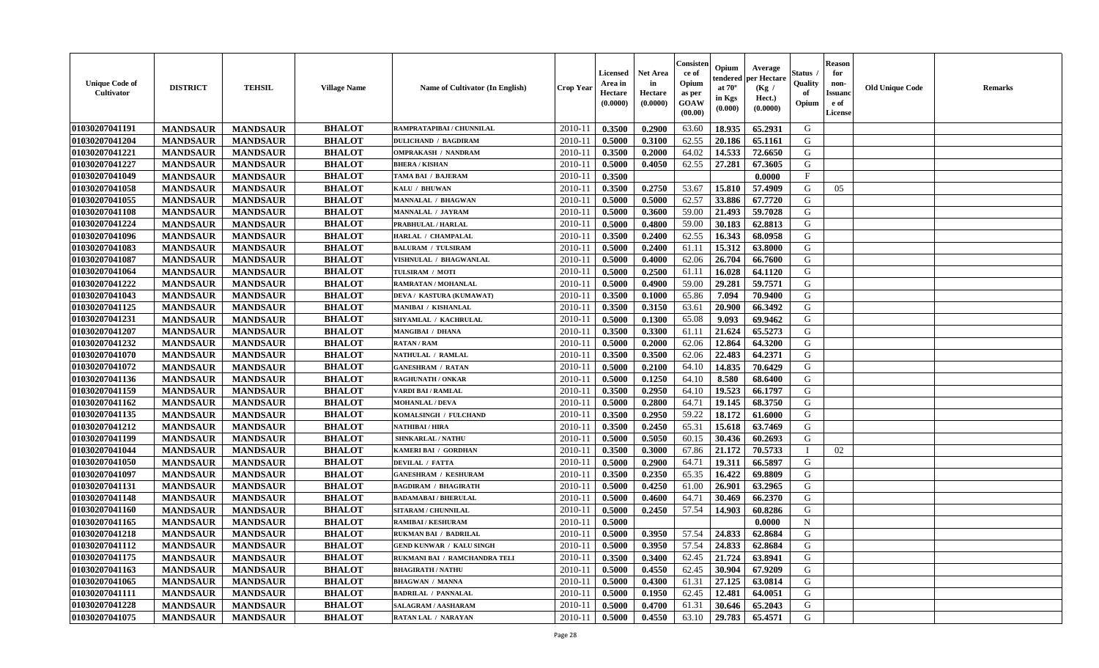| <b>Unique Code of</b><br><b>Cultivator</b> | <b>DISTRICT</b> | <b>TEHSIL</b>   | <b>Village Name</b> | Name of Cultivator (In English) | <b>Crop Year</b> | <b>Licensed</b><br>Area in<br>Hectare<br>(0.0000) | Net Area<br>in<br>Hectare<br>(0.0000) | Consister<br>ce of<br>Opium<br>as per<br>GOAW<br>(00.00) | Opium<br>endered<br>at $70^\circ$<br>in Kgs<br>(0.000) | Average<br>per Hectare<br>(Kg /<br>Hect.)<br>(0.0000) | Status<br>Quality<br>of<br>Opium | <b>Reason</b><br>for<br>non-<br><b>Issuanc</b><br>e of<br>License | <b>Old Unique Code</b> | Remarks |
|--------------------------------------------|-----------------|-----------------|---------------------|---------------------------------|------------------|---------------------------------------------------|---------------------------------------|----------------------------------------------------------|--------------------------------------------------------|-------------------------------------------------------|----------------------------------|-------------------------------------------------------------------|------------------------|---------|
| 01030207041191                             | <b>MANDSAUR</b> | <b>MANDSAUR</b> | <b>BHALOT</b>       | RAMPRATAPIBAI / CHUNNILAL       | 2010-11          | 0.3500                                            | 0.2900                                | 63.60                                                    | 18.935                                                 | 65.2931                                               | G                                |                                                                   |                        |         |
| 01030207041204                             | <b>MANDSAUR</b> | <b>MANDSAUR</b> | <b>BHALOT</b>       | <b>DULICHAND / BAGDIRAM</b>     | 2010-11          | 0.5000                                            | 0.3100                                | 62.55                                                    | 20.186                                                 | 65.1161                                               | G                                |                                                                   |                        |         |
| 01030207041221                             | <b>MANDSAUR</b> | <b>MANDSAUR</b> | <b>BHALOT</b>       | <b>OMPRAKASH / NANDRAM</b>      | 2010-11          | 0.3500                                            | 0.2000                                | 64.02                                                    | 14.533                                                 | 72.6650                                               | G                                |                                                                   |                        |         |
| 01030207041227                             | <b>MANDSAUR</b> | <b>MANDSAUR</b> | <b>BHALOT</b>       | <b>BHERA / KISHAN</b>           | 2010-11          | 0.5000                                            | 0.4050                                | 62.55                                                    | 27.281                                                 | 67.3605                                               | G                                |                                                                   |                        |         |
| 01030207041049                             | <b>MANDSAUR</b> | <b>MANDSAUR</b> | <b>BHALOT</b>       | <b>TAMA BAI / BAJERAM</b>       | 2010-11          | 0.3500                                            |                                       |                                                          |                                                        | 0.0000                                                | $_{\rm F}$                       |                                                                   |                        |         |
| 01030207041058                             | <b>MANDSAUR</b> | <b>MANDSAUR</b> | <b>BHALOT</b>       | KALU / BHUWAN                   | 2010-11          | 0.3500                                            | 0.2750                                | 53.67                                                    | 15.810                                                 | 57.4909                                               | G                                | 05                                                                |                        |         |
| 01030207041055                             | <b>MANDSAUR</b> | <b>MANDSAUR</b> | <b>BHALOT</b>       | MANNALAL / BHAGWAN              | $2010 - 11$      | 0.5000                                            | 0.5000                                | 62.57                                                    | 33.886                                                 | 67.7720                                               | G                                |                                                                   |                        |         |
| 01030207041108                             | <b>MANDSAUR</b> | <b>MANDSAUR</b> | <b>BHALOT</b>       | MANNALAL / JAYRAM               | 2010-11          | 0.5000                                            | 0.3600                                | 59.00                                                    | 21.493                                                 | 59.7028                                               | G                                |                                                                   |                        |         |
| 01030207041224                             | <b>MANDSAUR</b> | <b>MANDSAUR</b> | <b>BHALOT</b>       | PRABHULAL / HARLAL              | 2010-11          | 0.5000                                            | 0.4800                                | 59.00                                                    | 30.183                                                 | 62.8813                                               | G                                |                                                                   |                        |         |
| 01030207041096                             | <b>MANDSAUR</b> | <b>MANDSAUR</b> | <b>BHALOT</b>       | HARLAL / CHAMPALAL              | 2010-11          | 0.3500                                            | 0.2400                                | 62.55                                                    | 16.343                                                 | 68.0958                                               | G                                |                                                                   |                        |         |
| 01030207041083                             | <b>MANDSAUR</b> | <b>MANDSAUR</b> | <b>BHALOT</b>       | <b>BALURAM / TULSIRAM</b>       | 2010-11          | 0.5000                                            | 0.2400                                | 61.11                                                    | 15.312                                                 | 63.8000                                               | G                                |                                                                   |                        |         |
| 01030207041087                             | <b>MANDSAUR</b> | <b>MANDSAUR</b> | <b>BHALOT</b>       | VISHNULAL / BHAGWANLAL          | 2010-11          | 0.5000                                            | 0.4000                                | 62.06                                                    | 26.704                                                 | 66.7600                                               | G                                |                                                                   |                        |         |
| 01030207041064                             | <b>MANDSAUR</b> | <b>MANDSAUR</b> | <b>BHALOT</b>       | TULSIRAM / MOTI                 | 2010-11          | 0.5000                                            | 0.2500                                | 61.11                                                    | 16.028                                                 | 64.1120                                               | G                                |                                                                   |                        |         |
| 01030207041222                             | <b>MANDSAUR</b> | <b>MANDSAUR</b> | <b>BHALOT</b>       | RAMRATAN / MOHANLAL             | 2010-11          | 0.5000                                            | 0.4900                                | 59.00                                                    | 29.281                                                 | 59.7571                                               | G                                |                                                                   |                        |         |
| 01030207041043                             | <b>MANDSAUR</b> | <b>MANDSAUR</b> | <b>BHALOT</b>       | DEVA / KASTURA (KUMAWAT)        | 2010-11          | 0.3500                                            | 0.1000                                | 65.86                                                    | 7.094                                                  | 70.9400                                               | $\mathbf G$                      |                                                                   |                        |         |
| 01030207041125                             | <b>MANDSAUR</b> | <b>MANDSAUR</b> | <b>BHALOT</b>       | <b>MANIBAI / KISHANLAL</b>      | 2010-11          | 0.3500                                            | 0.3150                                | 63.61                                                    | 20.900                                                 | 66.3492                                               | G                                |                                                                   |                        |         |
| 01030207041231                             | <b>MANDSAUR</b> | <b>MANDSAUR</b> | <b>BHALOT</b>       | SHYAMLAL / KACHRULAL            | 2010-11          | 0.5000                                            | 0.1300                                | 65.08                                                    | 9.093                                                  | 69.9462                                               | G                                |                                                                   |                        |         |
| 01030207041207                             | <b>MANDSAUR</b> | <b>MANDSAUR</b> | <b>BHALOT</b>       | <b>MANGIBAI / DHANA</b>         | 2010-11          | 0.3500                                            | 0.3300                                | 61.11                                                    | 21.624                                                 | 65.5273                                               | G                                |                                                                   |                        |         |
| 01030207041232                             | <b>MANDSAUR</b> | <b>MANDSAUR</b> | <b>BHALOT</b>       | <b>RATAN / RAM</b>              | 2010-11          | 0.5000                                            | 0.2000                                | 62.06                                                    | 12.864                                                 | 64.3200                                               | G                                |                                                                   |                        |         |
| 01030207041070                             | <b>MANDSAUR</b> | <b>MANDSAUR</b> | <b>BHALOT</b>       | NATHULAL / RAMLAL               | 2010-11          | 0.3500                                            | 0.3500                                | 62.06                                                    | 22.483                                                 | 64.2371                                               | G                                |                                                                   |                        |         |
| 01030207041072                             | <b>MANDSAUR</b> | <b>MANDSAUR</b> | <b>BHALOT</b>       | <b>GANESHRAM / RATAN</b>        | 2010-11          | 0.5000                                            | 0.2100                                | 64.10                                                    | 14.835                                                 | 70.6429                                               | G                                |                                                                   |                        |         |
| 01030207041136                             | <b>MANDSAUR</b> | <b>MANDSAUR</b> | <b>BHALOT</b>       | <b>RAGHUNATH / ONKAR</b>        | 2010-11          | 0.5000                                            | 0.1250                                | 64.10                                                    | 8.580                                                  | 68.6400                                               | G                                |                                                                   |                        |         |
| 01030207041159                             | <b>MANDSAUR</b> | <b>MANDSAUR</b> | <b>BHALOT</b>       | VARDI BAI / RAMLAL              | 2010-11          | 0.3500                                            | 0.2950                                | 64.10                                                    | 19.523                                                 | 66.1797                                               | G                                |                                                                   |                        |         |
| 01030207041162                             | <b>MANDSAUR</b> | <b>MANDSAUR</b> | <b>BHALOT</b>       | <b>MOHANLAL / DEVA</b>          | 2010-11          | 0.5000                                            | 0.2800                                | 64.71                                                    | 19.145                                                 | 68.3750                                               | G                                |                                                                   |                        |         |
| 01030207041135                             | <b>MANDSAUR</b> | <b>MANDSAUR</b> | <b>BHALOT</b>       | KOMALSINGH / FULCHAND           | 2010-11          | 0.3500                                            | 0.2950                                | 59.22                                                    | 18.172                                                 | 61.6000                                               | G                                |                                                                   |                        |         |
| 01030207041212                             | <b>MANDSAUR</b> | <b>MANDSAUR</b> | <b>BHALOT</b>       | NATHIBAI / HIRA                 | 2010-11          | 0.3500                                            | 0.2450                                | 65.31                                                    | 15.618                                                 | 63.7469                                               | G                                |                                                                   |                        |         |
| 01030207041199                             | <b>MANDSAUR</b> | <b>MANDSAUR</b> | <b>BHALOT</b>       | <b>SHNKARLAL / NATHU</b>        | 2010-11          | 0.5000                                            | 0.5050                                | 60.15                                                    | 30.436                                                 | 60.2693                                               | G                                |                                                                   |                        |         |
| 01030207041044                             | <b>MANDSAUR</b> | <b>MANDSAUR</b> | <b>BHALOT</b>       | KAMERI BAI / GORDHAN            | 2010-11          | 0.3500                                            | 0.3000                                | 67.86                                                    | 21.172                                                 | 70.5733                                               | $\mathbf{I}$                     | 02                                                                |                        |         |
| 01030207041050                             | <b>MANDSAUR</b> | <b>MANDSAUR</b> | <b>BHALOT</b>       | <b>DEVILAL / FATTA</b>          | 2010-11          | 0.5000                                            | 0.2900                                | 64.71                                                    | 19.311                                                 | 66.5897                                               | G                                |                                                                   |                        |         |
| 01030207041097                             | <b>MANDSAUR</b> | <b>MANDSAUR</b> | <b>BHALOT</b>       | <b>GANESHRAM / KESHURAM</b>     | 2010-11          | 0.3500                                            | 0.2350                                | 65.35                                                    | 16.422                                                 | 69.8809                                               | G                                |                                                                   |                        |         |
| 01030207041131                             | <b>MANDSAUR</b> | <b>MANDSAUR</b> | <b>BHALOT</b>       | <b>BAGDIRAM / BHAGIRATH</b>     | 2010-11          | 0.5000                                            | 0.4250                                | 61.00                                                    | 26.901                                                 | 63.2965                                               | G                                |                                                                   |                        |         |
| 01030207041148                             | <b>MANDSAUR</b> | <b>MANDSAUR</b> | <b>BHALOT</b>       | <b>BADAMABAI/BHERULAL</b>       | 2010-11          | 0.5000                                            | 0.4600                                | 64.71                                                    | 30.469                                                 | 66.2370                                               | G                                |                                                                   |                        |         |
| 01030207041160                             | <b>MANDSAUR</b> | <b>MANDSAUR</b> | <b>BHALOT</b>       | SITARAM / CHUNNILAL             | 2010-11          | 0.5000                                            | 0.2450                                | 57.54                                                    | 14.903                                                 | 60.8286                                               | G                                |                                                                   |                        |         |
| 01030207041165                             | <b>MANDSAUR</b> | <b>MANDSAUR</b> | <b>BHALOT</b>       | <b>RAMIBAI/KESHURAM</b>         | 2010-11          | 0.5000                                            |                                       |                                                          |                                                        | 0.0000                                                | $\mathbf N$                      |                                                                   |                        |         |
| 01030207041218                             | <b>MANDSAUR</b> | <b>MANDSAUR</b> | <b>BHALOT</b>       | RUKMAN BAI / BADRILAL           | 2010-11          | 0.5000                                            | 0.3950                                | 57.54                                                    | 24.833                                                 | 62.8684                                               | G                                |                                                                   |                        |         |
| 01030207041112                             | <b>MANDSAUR</b> | <b>MANDSAUR</b> | <b>BHALOT</b>       | <b>GEND KUNWAR / KALU SINGH</b> | 2010-11          | 0.5000                                            | 0.3950                                | 57.54                                                    | 24.833                                                 | 62.8684                                               | G                                |                                                                   |                        |         |
| 01030207041175                             | <b>MANDSAUR</b> | <b>MANDSAUR</b> | <b>BHALOT</b>       | RUKMANI BAI / RAMCHANDRA TELI   | 2010-11          | 0.3500                                            | 0.3400                                | 62.45                                                    | 21.724                                                 | 63.8941                                               | G                                |                                                                   |                        |         |
| 01030207041163                             | <b>MANDSAUR</b> | <b>MANDSAUR</b> | <b>BHALOT</b>       | <b>BHAGIRATH / NATHU</b>        | 2010-11          | 0.5000                                            | 0.4550                                | 62.45                                                    | 30.904                                                 | 67.9209                                               | G                                |                                                                   |                        |         |
| 01030207041065                             | <b>MANDSAUR</b> | <b>MANDSAUR</b> | <b>BHALOT</b>       | <b>BHAGWAN / MANNA</b>          | 2010-11          | 0.5000                                            | 0.4300                                | 61.31                                                    | 27.125                                                 | 63.0814                                               | G                                |                                                                   |                        |         |
| 01030207041111                             | <b>MANDSAUR</b> | <b>MANDSAUR</b> | <b>BHALOT</b>       | <b>BADRILAL / PANNALAL</b>      | 2010-11          | 0.5000                                            | 0.1950                                | 62.45                                                    | 12.481                                                 | 64.0051                                               | ${\bf G}$                        |                                                                   |                        |         |
| 01030207041228                             | <b>MANDSAUR</b> | <b>MANDSAUR</b> | <b>BHALOT</b>       | SALAGRAM / AASHARAM             | 2010-11          | 0.5000                                            | 0.4700                                | 61.31                                                    | 30.646                                                 | 65.2043                                               | G                                |                                                                   |                        |         |
| 01030207041075                             | <b>MANDSAUR</b> | <b>MANDSAUR</b> | <b>BHALOT</b>       | <b>RATAN LAL / NARAYAN</b>      | 2010-11          | 0.5000                                            | 0.4550                                | 63.10                                                    | 29.783                                                 | 65.4571                                               | G                                |                                                                   |                        |         |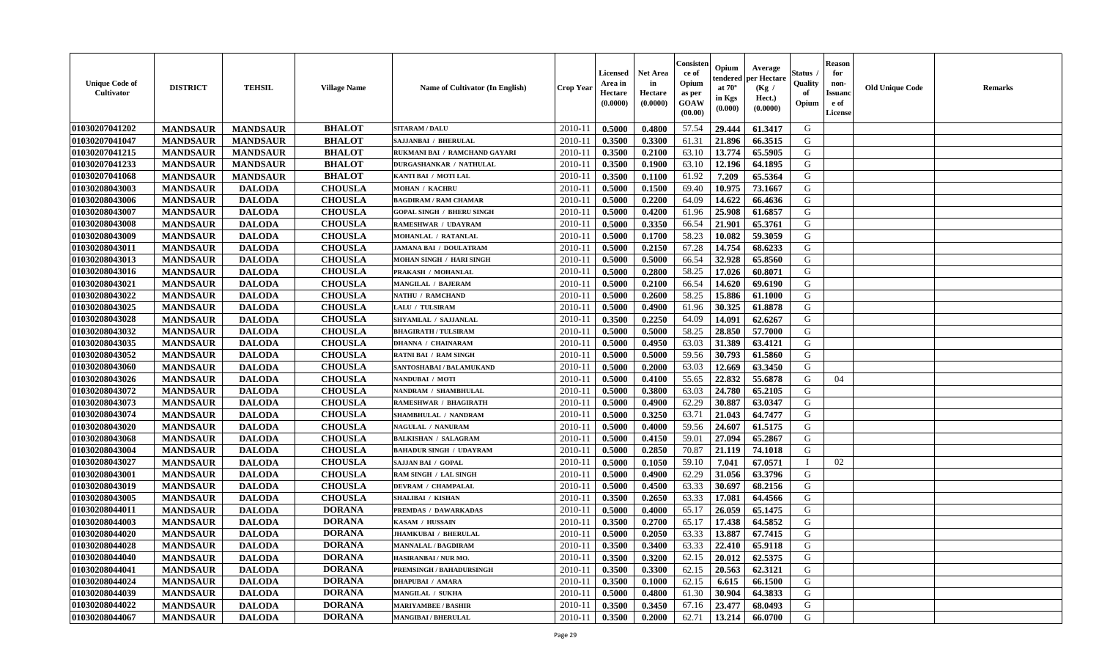| <b>Unique Code of</b><br><b>Cultivator</b> | <b>DISTRICT</b> | <b>TEHSIL</b>   | <b>Village Name</b> | Name of Cultivator (In English)  | <b>Crop Year</b> | Licensed<br>Area in<br>Hectare<br>(0.0000) | <b>Net Area</b><br>in<br>Hectare<br>(0.0000) | Consisteı<br>ce of<br>Opium<br>as per<br>GOAW<br>(00.00) | Opium<br>endered<br>at $70^{\circ}$<br>in Kgs<br>(0.000) | Average<br>per Hectare<br>(Kg /<br>Hect.)<br>(0.0000) | Status<br>Quality<br>of<br>Opium | <b>Reason</b><br>for<br>non-<br><b>Issuand</b><br>e of<br><b>License</b> | <b>Old Unique Code</b> | <b>Remarks</b> |
|--------------------------------------------|-----------------|-----------------|---------------------|----------------------------------|------------------|--------------------------------------------|----------------------------------------------|----------------------------------------------------------|----------------------------------------------------------|-------------------------------------------------------|----------------------------------|--------------------------------------------------------------------------|------------------------|----------------|
| 01030207041202                             | <b>MANDSAUR</b> | <b>MANDSAUR</b> | <b>BHALOT</b>       | <b>SITARAM / DALU</b>            | 2010-11          | 0.5000                                     | 0.4800                                       | 57.54                                                    | 29,444                                                   | 61.3417                                               | G                                |                                                                          |                        |                |
| 01030207041047                             | <b>MANDSAUR</b> | <b>MANDSAUR</b> | <b>BHALOT</b>       | SAJJANBAI / BHERULAL             | $2010 - 11$      | 0.3500                                     | 0.3300                                       | 61.31                                                    | 21.896                                                   | 66.3515                                               | G                                |                                                                          |                        |                |
| 01030207041215                             | <b>MANDSAUR</b> | <b>MANDSAUR</b> | <b>BHALOT</b>       | RUKMANI BAI / RAMCHAND GAYARI    | 2010-11          | 0.3500                                     | 0.2100                                       | 63.10                                                    | 13.774                                                   | 65.5905                                               | G                                |                                                                          |                        |                |
| 01030207041233                             | <b>MANDSAUR</b> | <b>MANDSAUR</b> | <b>BHALOT</b>       | <b>DURGASHANKAR / NATHULAL</b>   | 2010-11          | 0.3500                                     | 0.1900                                       | 63.10                                                    | 12.196                                                   | 64.1895                                               | G                                |                                                                          |                        |                |
| 01030207041068                             | <b>MANDSAUR</b> | <b>MANDSAUR</b> | <b>BHALOT</b>       | KANTI BAI / MOTI LAL             | 2010-11          | 0.3500                                     | 0.1100                                       | 61.92                                                    | 7.209                                                    | 65.5364                                               | G                                |                                                                          |                        |                |
| 01030208043003                             | <b>MANDSAUR</b> | <b>DALODA</b>   | <b>CHOUSLA</b>      | <b>MOHAN / KACHRU</b>            | 2010-11          | 0.5000                                     | 0.1500                                       | 69.40                                                    | 10.975                                                   | 73.1667                                               | G                                |                                                                          |                        |                |
| 01030208043006                             | <b>MANDSAUR</b> | <b>DALODA</b>   | <b>CHOUSLA</b>      | <b>BAGDIRAM / RAM CHAMAR</b>     | 2010-11          | 0.5000                                     | 0.2200                                       | 64.09                                                    | 14.622                                                   | 66.4636                                               | G                                |                                                                          |                        |                |
| 01030208043007                             | <b>MANDSAUR</b> | <b>DALODA</b>   | <b>CHOUSLA</b>      | <b>GOPAL SINGH / BHERU SINGH</b> | 2010-11          | 0.5000                                     | 0.4200                                       | 61.96                                                    | 25.908                                                   | 61.6857                                               | G                                |                                                                          |                        |                |
| 01030208043008                             | <b>MANDSAUR</b> | <b>DALODA</b>   | <b>CHOUSLA</b>      | RAMESHWAR / UDAYRAM              | 2010-11          | 0.5000                                     | 0.3350                                       | 66.54                                                    | 21.901                                                   | 65.3761                                               | G                                |                                                                          |                        |                |
| 01030208043009                             | <b>MANDSAUR</b> | <b>DALODA</b>   | <b>CHOUSLA</b>      | MOHANLAL / RATANLAL              | 2010-11          | 0.5000                                     | 0.1700                                       | 58.23                                                    | 10.082                                                   | 59.3059                                               | G                                |                                                                          |                        |                |
| 01030208043011                             | <b>MANDSAUR</b> | <b>DALODA</b>   | <b>CHOUSLA</b>      | <b>JAMANA BAI / DOULATRAM</b>    | 2010-11          | 0.5000                                     | 0.2150                                       | 67.28                                                    | 14.754                                                   | 68.6233                                               | $\mathbf G$                      |                                                                          |                        |                |
| 01030208043013                             | <b>MANDSAUR</b> | <b>DALODA</b>   | <b>CHOUSLA</b>      | <b>MOHAN SINGH / HARI SINGH</b>  | 2010-11          | 0.5000                                     | 0.5000                                       | 66.54                                                    | 32.928                                                   | 65.8560                                               | G                                |                                                                          |                        |                |
| 01030208043016                             | <b>MANDSAUR</b> | <b>DALODA</b>   | <b>CHOUSLA</b>      | PRAKASH / MOHANLAL               | 2010-11          | 0.5000                                     | 0.2800                                       | 58.25                                                    | 17.026                                                   | 60.8071                                               | G                                |                                                                          |                        |                |
| 01030208043021                             | <b>MANDSAUR</b> | <b>DALODA</b>   | <b>CHOUSLA</b>      | MANGILAL / BAJERAM               | $2010 - 11$      | 0.5000                                     | 0.2100                                       | 66.54                                                    | 14.620                                                   | 69.6190                                               | G                                |                                                                          |                        |                |
| 01030208043022                             | <b>MANDSAUR</b> | <b>DALODA</b>   | <b>CHOUSLA</b>      | NATHU / RAMCHAND                 | 2010-11          | 0.5000                                     | 0.2600                                       | 58.25                                                    | 15.886                                                   | 61.1000                                               | G                                |                                                                          |                        |                |
| 01030208043025                             | <b>MANDSAUR</b> | <b>DALODA</b>   | <b>CHOUSLA</b>      | LALU / TULSIRAM                  | 2010-11          | 0.5000                                     | 0.4900                                       | 61.96                                                    | 30.325                                                   | 61.8878                                               | G                                |                                                                          |                        |                |
| 01030208043028                             | <b>MANDSAUR</b> | <b>DALODA</b>   | <b>CHOUSLA</b>      | SHYAMLAL / SAJJANLAL             | 2010-11          | 0.3500                                     | 0.2250                                       | 64.09                                                    | 14.091                                                   | 62.6267                                               | G                                |                                                                          |                        |                |
| 01030208043032                             | <b>MANDSAUR</b> | <b>DALODA</b>   | <b>CHOUSLA</b>      | <b>BHAGIRATH / TULSIRAM</b>      | 2010-11          | 0.5000                                     | 0.5000                                       | 58.25                                                    | 28.850                                                   | 57.7000                                               | G                                |                                                                          |                        |                |
| 01030208043035                             | <b>MANDSAUR</b> | <b>DALODA</b>   | <b>CHOUSLA</b>      | <b>DHANNA / CHAINARAM</b>        | 2010-11          | 0.5000                                     | 0.4950                                       | 63.03                                                    | 31.389                                                   | 63.4121                                               | G                                |                                                                          |                        |                |
| 01030208043052                             | <b>MANDSAUR</b> | <b>DALODA</b>   | <b>CHOUSLA</b>      | <b>RATNI BAI / RAM SINGH</b>     | 2010-11          | 0.5000                                     | 0.5000                                       | 59.56                                                    | 30.793                                                   | 61.5860                                               | G                                |                                                                          |                        |                |
| 01030208043060                             | <b>MANDSAUR</b> | <b>DALODA</b>   | <b>CHOUSLA</b>      | SANTOSHABAI / BALAMUKAND         | 2010-11          | 0.5000                                     | 0.2000                                       | 63.03                                                    | 12.669                                                   | 63.3450                                               | G                                |                                                                          |                        |                |
| 01030208043026                             | <b>MANDSAUR</b> | <b>DALODA</b>   | <b>CHOUSLA</b>      | NANDUBAI / MOTI                  | 2010-11          | 0.5000                                     | 0.4100                                       | 55.65                                                    | 22.832                                                   | 55.6878                                               | G                                | 04                                                                       |                        |                |
| 01030208043072                             | <b>MANDSAUR</b> | <b>DALODA</b>   | <b>CHOUSLA</b>      | NANDRAM / SHAMBHULAL             | $2010 - 11$      | 0.5000                                     | 0.3800                                       | 63.03                                                    | 24.780                                                   | 65.2105                                               | G                                |                                                                          |                        |                |
| 01030208043073                             | <b>MANDSAUR</b> | <b>DALODA</b>   | <b>CHOUSLA</b>      | RAMESHWAR / BHAGIRATH            | 2010-11          | 0.5000                                     | 0.4900                                       | 62.29                                                    | 30.887                                                   | 63.0347                                               | G                                |                                                                          |                        |                |
| 01030208043074                             | <b>MANDSAUR</b> | <b>DALODA</b>   | <b>CHOUSLA</b>      | SHAMBHULAL / NANDRAM             | 2010-11          | 0.5000                                     | 0.3250                                       | 63.71                                                    | 21.043                                                   | 64.7477                                               | G                                |                                                                          |                        |                |
| 01030208043020                             | <b>MANDSAUR</b> | <b>DALODA</b>   | <b>CHOUSLA</b>      | NAGULAL / NANURAM                | 2010-11          | 0.5000                                     | 0.4000                                       | 59.56                                                    | 24.607                                                   | 61.5175                                               | G                                |                                                                          |                        |                |
| 01030208043068                             | <b>MANDSAUR</b> | <b>DALODA</b>   | <b>CHOUSLA</b>      | <b>BALKISHAN / SALAGRAM</b>      | 2010-11          | 0.5000                                     | 0.4150                                       | 59.01                                                    | 27.094                                                   | 65.2867                                               | G                                |                                                                          |                        |                |
| 01030208043004                             | <b>MANDSAUR</b> | <b>DALODA</b>   | <b>CHOUSLA</b>      | <b>BAHADUR SINGH / UDAYRAM</b>   | 2010-11          | 0.5000                                     | 0.2850                                       | 70.87                                                    | 21.119                                                   | 74.1018                                               | G                                |                                                                          |                        |                |
| 01030208043027                             | <b>MANDSAUR</b> | <b>DALODA</b>   | <b>CHOUSLA</b>      | <b>SAJJAN BAI / GOPAL</b>        | 2010-11          | 0.5000                                     | 0.1050                                       | 59.10                                                    | 7.041                                                    | 67.0571                                               | $\mathbf{I}$                     | 02                                                                       |                        |                |
| 01030208043001                             | <b>MANDSAUR</b> | <b>DALODA</b>   | <b>CHOUSLA</b>      | RAM SINGH / LAL SINGH            | 2010-11          | 0.5000                                     | 0.4900                                       | 62.29                                                    | 31.056                                                   | 63.3796                                               | G                                |                                                                          |                        |                |
| 01030208043019                             | <b>MANDSAUR</b> | <b>DALODA</b>   | <b>CHOUSLA</b>      | DEVRAM / CHAMPALAL               | $2010 - 1$       | 0.5000                                     | 0.4500                                       | 63.33                                                    | 30.697                                                   | 68.2156                                               | G                                |                                                                          |                        |                |
| 01030208043005                             | <b>MANDSAUR</b> | <b>DALODA</b>   | <b>CHOUSLA</b>      | <b>SHALIBAI / KISHAN</b>         | 2010-11          | 0.3500                                     | 0.2650                                       | 63.33                                                    | 17.081                                                   | 64.4566                                               | G                                |                                                                          |                        |                |
| 01030208044011                             | <b>MANDSAUR</b> | <b>DALODA</b>   | <b>DORANA</b>       | PREMDAS / DAWARKADAS             | 2010-11          | 0.5000                                     | 0.4000                                       | 65.17                                                    | 26.059                                                   | 65.1475                                               | G                                |                                                                          |                        |                |
| 01030208044003                             | <b>MANDSAUR</b> | <b>DALODA</b>   | <b>DORANA</b>       | KASAM / HUSSAIN                  | 2010-11          | 0.3500                                     | 0.2700                                       | 65.17                                                    | 17.438                                                   | 64.5852                                               | G                                |                                                                          |                        |                |
| 01030208044020                             | <b>MANDSAUR</b> | <b>DALODA</b>   | <b>DORANA</b>       | JHAMKUBAI / BHERULAL             | 2010-11          | 0.5000                                     | 0.2050                                       | 63.33                                                    | 13.887                                                   | 67.7415                                               | G                                |                                                                          |                        |                |
| 01030208044028                             | <b>MANDSAUR</b> | <b>DALODA</b>   | <b>DORANA</b>       | <b>MANNALAL / BAGDIRAM</b>       | 2010-11          | 0.3500                                     | 0.3400                                       | 63.33                                                    | 22.410                                                   | 65.9118                                               | G                                |                                                                          |                        |                |
| 01030208044040                             | <b>MANDSAUR</b> | <b>DALODA</b>   | <b>DORANA</b>       | HASIRANBAI / NUR MO.             | 2010-11          | 0.3500                                     | 0.3200                                       | 62.15                                                    | 20.012                                                   | 62.5375                                               | G                                |                                                                          |                        |                |
| 01030208044041                             | <b>MANDSAUR</b> | <b>DALODA</b>   | <b>DORANA</b>       | PREMSINGH / BAHADURSINGH         | 2010-11          | 0.3500                                     | 0.3300                                       | 62.15                                                    | 20.563                                                   | 62.3121                                               | G                                |                                                                          |                        |                |
| 01030208044024                             | <b>MANDSAUR</b> | <b>DALODA</b>   | <b>DORANA</b>       | <b>DHAPUBAI / AMARA</b>          | $2010 - 11$      | 0.3500                                     | 0.1000                                       | 62.15                                                    | 6.615                                                    | 66.1500                                               | G                                |                                                                          |                        |                |
| 01030208044039                             | <b>MANDSAUR</b> | <b>DALODA</b>   | <b>DORANA</b>       | MANGILAL / SUKHA                 | $2010 - 11$      | 0.5000                                     | 0.4800                                       | 61.30                                                    | 30.904                                                   | 64.3833                                               | G                                |                                                                          |                        |                |
| 01030208044022                             | <b>MANDSAUR</b> | <b>DALODA</b>   | <b>DORANA</b>       | <b>MARIYAMBEE / BASHIR</b>       | 2010-11          | 0.3500                                     | 0.3450                                       | 67.16                                                    | 23,477                                                   | 68.0493                                               | G                                |                                                                          |                        |                |
| 01030208044067                             | <b>MANDSAUR</b> | <b>DALODA</b>   | <b>DORANA</b>       | <b>MANGIBAI / BHERULAL</b>       | 2010-11          | 0.3500                                     | 0.2000                                       | 62.71                                                    | 13.214                                                   | 66.0700                                               | G                                |                                                                          |                        |                |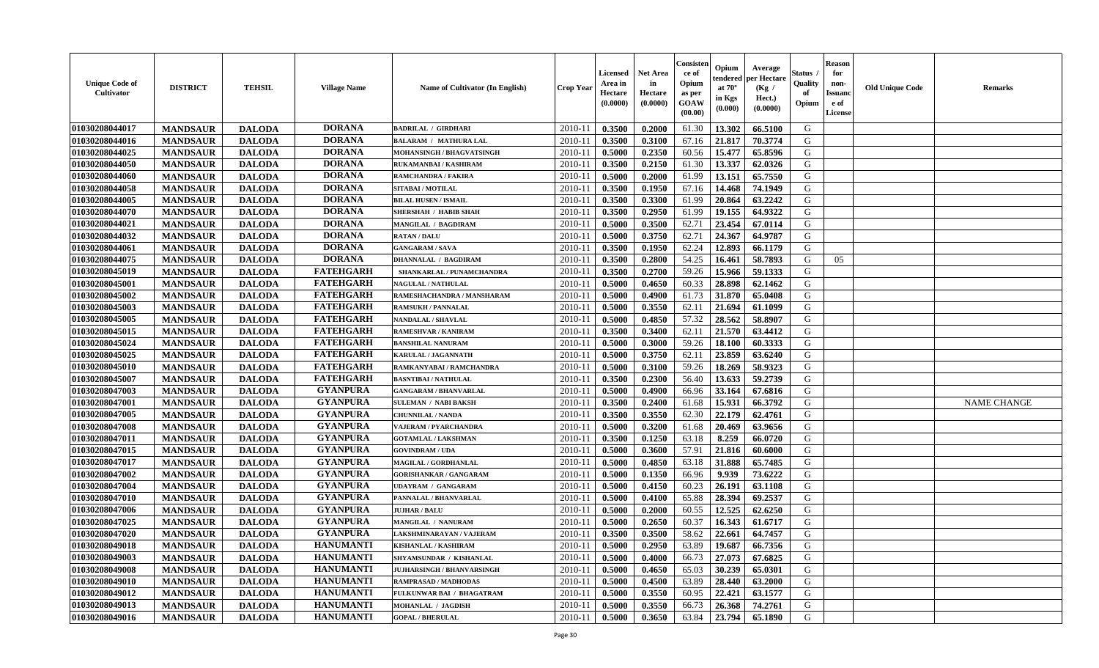| <b>Unique Code of</b><br><b>Cultivator</b> | <b>DISTRICT</b> | <b>TEHSIL</b> | <b>Village Name</b> | Name of Cultivator (In English)   | <b>Crop Year</b> | <b>Licensed</b><br>Area in<br>Hectare<br>(0.0000) | Net Area<br>in<br>Hectare<br>(0.0000) | Consisteı<br>ce of<br>Opium<br>as per<br>GOAW<br>(00.00) | Opium<br>endered<br>at $70^\circ$<br>in Kgs<br>(0.000) | Average<br>per Hectare<br>(Kg /<br>Hect.)<br>(0.0000) | Status<br>Quality<br>of<br>Opium | <b>Reason</b><br>for<br>non-<br>Issuano<br>e of<br>License | <b>Old Unique Code</b> | Remarks            |
|--------------------------------------------|-----------------|---------------|---------------------|-----------------------------------|------------------|---------------------------------------------------|---------------------------------------|----------------------------------------------------------|--------------------------------------------------------|-------------------------------------------------------|----------------------------------|------------------------------------------------------------|------------------------|--------------------|
| 01030208044017                             | <b>MANDSAUR</b> | <b>DALODA</b> | <b>DORANA</b>       | <b>BADRILAL / GIRDHARI</b>        | 2010-11          | 0.3500                                            | 0.2000                                | 61.30                                                    | 13.302                                                 | 66.5100                                               | G                                |                                                            |                        |                    |
| 01030208044016                             | <b>MANDSAUR</b> | <b>DALODA</b> | <b>DORANA</b>       | <b>BALARAM / MATHURA LAL</b>      | 2010-11          | 0.3500                                            | 0.3100                                | 67.16                                                    | 21.817                                                 | 70.3774                                               | G                                |                                                            |                        |                    |
| 01030208044025                             | <b>MANDSAUR</b> | <b>DALODA</b> | <b>DORANA</b>       | MOHANSINGH / BHAGVATSINGH         | 2010-11          | 0.5000                                            | 0.2350                                | 60.56                                                    | 15.477                                                 | 65.8596                                               | G                                |                                                            |                        |                    |
| 01030208044050                             | <b>MANDSAUR</b> | <b>DALODA</b> | <b>DORANA</b>       | RUKAMANBAI / KASHIRAM             | 2010-11          | 0.3500                                            | 0.2150                                | 61.30                                                    | 13.337                                                 | 62.0326                                               | G                                |                                                            |                        |                    |
| 01030208044060                             | <b>MANDSAUR</b> | <b>DALODA</b> | <b>DORANA</b>       | <b>RAMCHANDRA / FAKIRA</b>        | 2010-11          | 0.5000                                            | 0.2000                                | 61.99                                                    | 13.151                                                 | 65.7550                                               | G                                |                                                            |                        |                    |
| 01030208044058                             | <b>MANDSAUR</b> | <b>DALODA</b> | <b>DORANA</b>       | SITABAI / MOTILAL                 | 2010-11          | 0.3500                                            | 0.1950                                | 67.16                                                    | 14.468                                                 | 74.1949                                               | G                                |                                                            |                        |                    |
| 01030208044005                             | <b>MANDSAUR</b> | <b>DALODA</b> | <b>DORANA</b>       | <b>BILAL HUSEN / ISMAIL</b>       | $2010 - 11$      | 0.3500                                            | 0.3300                                | 61.99                                                    | 20.864                                                 | 63.2242                                               | G                                |                                                            |                        |                    |
| 01030208044070                             | <b>MANDSAUR</b> | <b>DALODA</b> | <b>DORANA</b>       | <b>SHERSHAH / HABIB SHAH</b>      | 2010-11          | 0.3500                                            | 0.2950                                | 61.99                                                    | 19.155                                                 | 64.9322                                               | G                                |                                                            |                        |                    |
| 01030208044021                             | <b>MANDSAUR</b> | <b>DALODA</b> | <b>DORANA</b>       | MANGILAL / BAGDIRAM               | 2010-11          | 0.5000                                            | 0.3500                                | 62.71                                                    | 23.454                                                 | 67.0114                                               | G                                |                                                            |                        |                    |
| 01030208044032                             | <b>MANDSAUR</b> | <b>DALODA</b> | <b>DORANA</b>       | <b>RATAN / DALU</b>               | 2010-11          | 0.5000                                            | 0.3750                                | 62.71                                                    | 24.367                                                 | 64.9787                                               | G                                |                                                            |                        |                    |
| 01030208044061                             | <b>MANDSAUR</b> | <b>DALODA</b> | <b>DORANA</b>       | <b>GANGARAM / SAVA</b>            | 2010-11          | 0.3500                                            | 0.1950                                | 62.24                                                    | 12.893                                                 | 66.1179                                               | G                                |                                                            |                        |                    |
| 01030208044075                             | <b>MANDSAUR</b> | <b>DALODA</b> | <b>DORANA</b>       | <b>DHANNALAL / BAGDIRAM</b>       | 2010-11          | 0.3500                                            | 0.2800                                | 54.25                                                    | 16.461                                                 | 58.7893                                               | G                                | 05                                                         |                        |                    |
| 01030208045019                             | <b>MANDSAUR</b> | <b>DALODA</b> | <b>FATEHGARH</b>    | SHANKARLAL / PUNAMCHANDRA         | 2010-11          | 0.3500                                            | 0.2700                                | 59.26                                                    | 15.966                                                 | 59.1333                                               | G                                |                                                            |                        |                    |
| 01030208045001                             | <b>MANDSAUR</b> | <b>DALODA</b> | <b>FATEHGARH</b>    | <b>NAGULAL / NATHULAL</b>         | 2010-11          | 0.5000                                            | 0.4650                                | 60.33                                                    | 28.898                                                 | 62.1462                                               | G                                |                                                            |                        |                    |
| 01030208045002                             | <b>MANDSAUR</b> | <b>DALODA</b> | <b>FATEHGARH</b>    | RAMESHACHANDRA / MANSHARAM        | $2010 - 11$      | 0.5000                                            | 0.4900                                | 61.73                                                    | 31.870                                                 | 65.0408                                               | $\mathbf G$                      |                                                            |                        |                    |
| 01030208045003                             | <b>MANDSAUR</b> | <b>DALODA</b> | <b>FATEHGARH</b>    | <b>RAMSUKH / PANNALAL</b>         | $2010 - 11$      | 0.5000                                            | 0.3550                                | 62.11                                                    | 21.694                                                 | 61.1099                                               | G                                |                                                            |                        |                    |
| 01030208045005                             | <b>MANDSAUR</b> | <b>DALODA</b> | <b>FATEHGARH</b>    | <b>NANDALAL / SHAVLAL</b>         | 2010-11          | 0.5000                                            | 0.4850                                | 57.32                                                    | 28.562                                                 | 58.8907                                               | G                                |                                                            |                        |                    |
| 01030208045015                             | <b>MANDSAUR</b> | <b>DALODA</b> | <b>FATEHGARH</b>    | <b>RAMESHVAR / KANIRAM</b>        | 2010-11          | 0.3500                                            | 0.3400                                | 62.11                                                    | 21.570                                                 | 63.4412                                               | G                                |                                                            |                        |                    |
| 01030208045024                             | <b>MANDSAUR</b> | <b>DALODA</b> | <b>FATEHGARH</b>    | <b>BANSHILAL NANURAM</b>          | 2010-11          | 0.5000                                            | 0.3000                                | 59.26                                                    | 18.100                                                 | 60.3333                                               | G                                |                                                            |                        |                    |
| 01030208045025                             | <b>MANDSAUR</b> | <b>DALODA</b> | <b>FATEHGARH</b>    | KARULAL / JAGANNATH               | 2010-11          | 0.5000                                            | 0.3750                                | 62.11                                                    | 23.859                                                 | 63.6240                                               | G                                |                                                            |                        |                    |
| 01030208045010                             | <b>MANDSAUR</b> | <b>DALODA</b> | <b>FATEHGARH</b>    | RAMKANYABAI / RAMCHANDRA          | 2010-11          | 0.5000                                            | 0.3100                                | 59.26                                                    | 18.269                                                 | 58.9323                                               | G                                |                                                            |                        |                    |
| 01030208045007                             | <b>MANDSAUR</b> | <b>DALODA</b> | <b>FATEHGARH</b>    | <b>BASNTIBAI / NATHULAL</b>       | 2010-11          | 0.3500                                            | 0.2300                                | 56.40                                                    | 13.633                                                 | 59.2739                                               | G                                |                                                            |                        |                    |
| 01030208047003                             | <b>MANDSAUR</b> | <b>DALODA</b> | <b>GYANPURA</b>     | <b>GANGARAM / BHANVARLAL</b>      | 2010-11          | 0.5000                                            | 0.4900                                | 66.96                                                    | 33.164                                                 | 67.6816                                               | G                                |                                                            |                        |                    |
| 01030208047001                             | <b>MANDSAUR</b> | <b>DALODA</b> | <b>GYANPURA</b>     | <b>SULEMAN / NABI BAKSH</b>       | 2010-11          | 0.3500                                            | 0.2400                                | 61.68                                                    | 15.931                                                 | 66.3792                                               | G                                |                                                            |                        | <b>NAME CHANGE</b> |
| 01030208047005                             | <b>MANDSAUR</b> | <b>DALODA</b> | <b>GYANPURA</b>     | <b>CHUNNILAL / NANDA</b>          | 2010-11          | 0.3500                                            | 0.3550                                | 62.30                                                    | 22.179                                                 | 62.4761                                               | G                                |                                                            |                        |                    |
| 01030208047008                             | <b>MANDSAUR</b> | <b>DALODA</b> | <b>GYANPURA</b>     | VAJERAM / PYARCHANDRA             | 2010-11          | 0.5000                                            | 0.3200                                | 61.68                                                    | 20.469                                                 | 63.9656                                               | G                                |                                                            |                        |                    |
| 01030208047011                             | <b>MANDSAUR</b> | <b>DALODA</b> | <b>GYANPURA</b>     | <b>GOTAMLAL / LAKSHMAN</b>        | 2010-11          | 0.3500                                            | 0.1250                                | 63.18                                                    | 8.259                                                  | 66.0720                                               | G                                |                                                            |                        |                    |
| 01030208047015                             | <b>MANDSAUR</b> | <b>DALODA</b> | <b>GYANPURA</b>     | <b>GOVINDRAM / UDA</b>            | 2010-11          | 0.5000                                            | 0.3600                                | 57.91                                                    | 21.816                                                 | 60.6000                                               | G                                |                                                            |                        |                    |
| 01030208047017                             | <b>MANDSAUR</b> | <b>DALODA</b> | <b>GYANPURA</b>     | MAGILAL / GORDHANLAL              | 2010-11          | 0.5000                                            | 0.4850                                | 63.18                                                    | 31.888                                                 | 65.7485                                               | G                                |                                                            |                        |                    |
| 01030208047002                             | <b>MANDSAUR</b> | <b>DALODA</b> | <b>GYANPURA</b>     | <b>GORISHANKAR / GANGARAM</b>     | 2010-11          | 0.5000                                            | 0.1350                                | 66.96                                                    | 9.939                                                  | 73.6222                                               | G                                |                                                            |                        |                    |
| 01030208047004                             | <b>MANDSAUR</b> | <b>DALODA</b> | <b>GYANPURA</b>     | <b>UDAYRAM / GANGARAM</b>         | 2010-11          | 0.5000                                            | 0.4150                                | 60.23                                                    | 26.191                                                 | 63.1108                                               | G                                |                                                            |                        |                    |
| 01030208047010                             | <b>MANDSAUR</b> | <b>DALODA</b> | <b>GYANPURA</b>     | PANNALAL / BHANVARLAL             | 2010-11          | 0.5000                                            | 0.4100                                | 65.88                                                    | 28.394                                                 | 69.2537                                               | G                                |                                                            |                        |                    |
| 01030208047006                             | <b>MANDSAUR</b> | <b>DALODA</b> | <b>GYANPURA</b>     | <b>JUJHAR / BALU</b>              | 2010-11          | 0.5000                                            | 0.2000                                | 60.55                                                    | 12.525                                                 | 62.6250                                               | G                                |                                                            |                        |                    |
| 01030208047025                             | <b>MANDSAUR</b> | <b>DALODA</b> | <b>GYANPURA</b>     | MANGILAL / NANURAM                | 2010-11          | 0.5000                                            | 0.2650                                | 60.37                                                    | 16.343                                                 | 61.6717                                               | G                                |                                                            |                        |                    |
| 01030208047020                             | <b>MANDSAUR</b> | <b>DALODA</b> | <b>GYANPURA</b>     | LAKSHMINARAYAN / VAJERAM          | 2010-11          | 0.3500                                            | 0.3500                                | 58.62                                                    | 22.661                                                 | 64.7457                                               | G                                |                                                            |                        |                    |
| 01030208049018                             | <b>MANDSAUR</b> | <b>DALODA</b> | <b>HANUMANTI</b>    | <b>KISHANLAL / KASHIRAM</b>       | 2010-11          | 0.5000                                            | 0.2950                                | 63.89                                                    | 19.687                                                 | 66.7356                                               | G                                |                                                            |                        |                    |
| 01030208049003                             | <b>MANDSAUR</b> | <b>DALODA</b> | <b>HANUMANTI</b>    | SHYAMSUNDAR / KISHANLAL           | 2010-11          | 0.5000                                            | 0.4000                                | 66.73                                                    | 27.073                                                 | 67.6825                                               | G                                |                                                            |                        |                    |
| 01030208049008                             | <b>MANDSAUR</b> | <b>DALODA</b> | <b>HANUMANTI</b>    | <b>JUJHARSINGH / BHANVARSINGH</b> | 2010-11          | 0.5000                                            | 0.4650                                | 65.03                                                    | 30.239                                                 | 65.0301                                               | G                                |                                                            |                        |                    |
| 01030208049010                             | <b>MANDSAUR</b> | <b>DALODA</b> | <b>HANUMANTI</b>    | <b>RAMPRASAD / MADHODAS</b>       | $2010 - 11$      | 0.5000                                            | 0.4500                                | 63.89                                                    | 28.440                                                 | 63.2000                                               | G                                |                                                            |                        |                    |
| 01030208049012                             | <b>MANDSAUR</b> | <b>DALODA</b> | <b>HANUMANTI</b>    | <b>FULKUNWAR BAI / BHAGATRAM</b>  | $2010 - 11$      | 0.5000                                            | 0.3550                                | 60.95                                                    | 22.421                                                 | 63.1577                                               | ${\bf G}$                        |                                                            |                        |                    |
| 01030208049013                             | <b>MANDSAUR</b> | <b>DALODA</b> | <b>HANUMANTI</b>    | MOHANLAL / JAGDISH                | 2010-11          | 0.5000                                            | 0.3550                                | 66.73                                                    | 26.368                                                 | 74.2761                                               | G                                |                                                            |                        |                    |
| 01030208049016                             | <b>MANDSAUR</b> | <b>DALODA</b> | <b>HANUMANTI</b>    | <b>GOPAL / BHERULAL</b>           | 2010-11          | 0.5000                                            | 0.3650                                | 63.84                                                    | 23.794                                                 | 65.1890                                               | G                                |                                                            |                        |                    |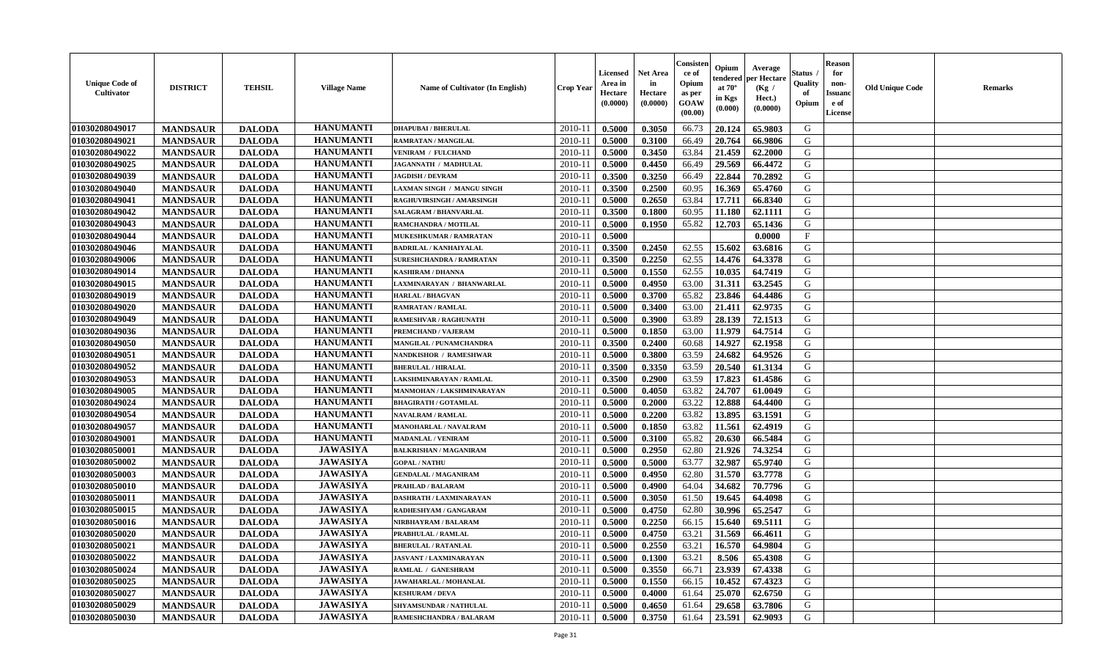| <b>Unique Code of</b><br><b>Cultivator</b> | <b>DISTRICT</b> | <b>TEHSIL</b> | <b>Village Name</b> | <b>Name of Cultivator (In English)</b> | <b>Crop Year</b> | <b>Licensed</b><br>Area in<br>Hectare<br>(0.0000) | Net Area<br>in<br>Hectare<br>(0.0000) | Consisteı<br>ce of<br>Opium<br>as per<br>GOAW<br>(00.00) | Opium<br>endered<br>at $70^\circ$<br>in Kgs<br>(0.000) | Average<br>per Hectare<br>(Kg /<br>Hect.)<br>(0.0000) | Status<br>Quality<br>of<br>Opium | <b>Reason</b><br>for<br>non-<br>Issuano<br>e of<br>License | <b>Old Unique Code</b> | Remarks |
|--------------------------------------------|-----------------|---------------|---------------------|----------------------------------------|------------------|---------------------------------------------------|---------------------------------------|----------------------------------------------------------|--------------------------------------------------------|-------------------------------------------------------|----------------------------------|------------------------------------------------------------|------------------------|---------|
| 01030208049017                             | <b>MANDSAUR</b> | <b>DALODA</b> | <b>HANUMANTI</b>    | <b>DHAPUBAI / BHERULAL</b>             | 2010-11          | 0.5000                                            | 0.3050                                | 66.73                                                    | 20.124                                                 | 65.9803                                               | G                                |                                                            |                        |         |
| 01030208049021                             | <b>MANDSAUR</b> | <b>DALODA</b> | <b>HANUMANTI</b>    | RAMRATAN / MANGILAL                    | 2010-11          | 0.5000                                            | 0.3100                                | 66.49                                                    | 20.764                                                 | 66.9806                                               | G                                |                                                            |                        |         |
| 01030208049022                             | <b>MANDSAUR</b> | <b>DALODA</b> | <b>HANUMANTI</b>    | <b>VENIRAM / FULCHAND</b>              | 2010-11          | 0.5000                                            | 0.3450                                | 63.84                                                    | 21.459                                                 | 62.2000                                               | G                                |                                                            |                        |         |
| 01030208049025                             | <b>MANDSAUR</b> | <b>DALODA</b> | <b>HANUMANTI</b>    | JAGANNATH / MADHULAL                   | 2010-11          | 0.5000                                            | 0.4450                                | 66.49                                                    | 29.569                                                 | 66.4472                                               | G                                |                                                            |                        |         |
| 01030208049039                             | <b>MANDSAUR</b> | <b>DALODA</b> | <b>HANUMANTI</b>    | <b>JAGDISH / DEVRAM</b>                | 2010-11          | 0.3500                                            | 0.3250                                | 66.49                                                    | 22.844                                                 | 70.2892                                               | G                                |                                                            |                        |         |
| 01030208049040                             | <b>MANDSAUR</b> | <b>DALODA</b> | <b>HANUMANTI</b>    | LAXMAN SINGH / MANGU SINGH             | 2010-11          | 0.3500                                            | 0.2500                                | 60.95                                                    | 16.369                                                 | 65.4760                                               | G                                |                                                            |                        |         |
| 01030208049041                             | <b>MANDSAUR</b> | <b>DALODA</b> | <b>HANUMANTI</b>    | RAGHUVIRSINGH / AMARSINGH              | $2010 - 11$      | 0.5000                                            | 0.2650                                | 63.84                                                    | 17.711                                                 | 66.8340                                               | G                                |                                                            |                        |         |
| 01030208049042                             | <b>MANDSAUR</b> | <b>DALODA</b> | <b>HANUMANTI</b>    | SALAGRAM / BHANVARLAL                  | 2010-11          | 0.3500                                            | 0.1800                                | 60.95                                                    | 11.180                                                 | 62.1111                                               | G                                |                                                            |                        |         |
| 01030208049043                             | <b>MANDSAUR</b> | <b>DALODA</b> | <b>HANUMANTI</b>    | RAMCHANDRA / MOTILAL                   | 2010-11          | 0.5000                                            | 0.1950                                | 65.82                                                    | 12.703                                                 | 65.1436                                               | G                                |                                                            |                        |         |
| 01030208049044                             | <b>MANDSAUR</b> | <b>DALODA</b> | <b>HANUMANTI</b>    | <b>MUKESHKUMAR / RAMRATAN</b>          | 2010-11          | 0.5000                                            |                                       |                                                          |                                                        | 0.0000                                                | $\mathbf{F}$                     |                                                            |                        |         |
| 01030208049046                             | <b>MANDSAUR</b> | <b>DALODA</b> | <b>HANUMANTI</b>    | <b>BADRILAL / KANHAIYALAL</b>          | 2010-11          | 0.3500                                            | 0.2450                                | 62.55                                                    | 15.602                                                 | 63.6816                                               | G                                |                                                            |                        |         |
| 01030208049006                             | <b>MANDSAUR</b> | <b>DALODA</b> | <b>HANUMANTI</b>    | <b>SURESHCHANDRA / RAMRATAN</b>        | 2010-11          | 0.3500                                            | 0.2250                                | 62.55                                                    | 14.476                                                 | 64.3378                                               | G                                |                                                            |                        |         |
| 01030208049014                             | <b>MANDSAUR</b> | <b>DALODA</b> | <b>HANUMANTI</b>    | <b>KASHIRAM / DHANNA</b>               | 2010-11          | 0.5000                                            | 0.1550                                | 62.55                                                    | 10.035                                                 | 64.7419                                               | G                                |                                                            |                        |         |
| 01030208049015                             | <b>MANDSAUR</b> | <b>DALODA</b> | <b>HANUMANTI</b>    | LAXMINARAYAN / BHANWARLAL              | 2010-11          | 0.5000                                            | 0.4950                                | 63.00                                                    | 31.311                                                 | 63.2545                                               | G                                |                                                            |                        |         |
| 01030208049019                             | <b>MANDSAUR</b> | <b>DALODA</b> | <b>HANUMANTI</b>    | <b>HARLAL / BHAGVAN</b>                | 2010-11          | 0.5000                                            | 0.3700                                | 65.82                                                    | 23.846                                                 | 64.4486                                               | ${\bf G}$                        |                                                            |                        |         |
| 01030208049020                             | <b>MANDSAUR</b> | <b>DALODA</b> | <b>HANUMANTI</b>    | <b>RAMRATAN / RAMLAL</b>               | 2010-11          | 0.5000                                            | 0.3400                                | 63.00                                                    | 21.411                                                 | 62.9735                                               | G                                |                                                            |                        |         |
| 01030208049049                             | <b>MANDSAUR</b> | <b>DALODA</b> | <b>HANUMANTI</b>    | RAMESHVAR / RAGHUNATH                  | 2010-11          | 0.5000                                            | 0.3900                                | 63.89                                                    | 28.139                                                 | 72.1513                                               | G                                |                                                            |                        |         |
| 01030208049036                             | <b>MANDSAUR</b> | <b>DALODA</b> | <b>HANUMANTI</b>    | PREMCHAND / VAJERAM                    | 2010-11          | 0.5000                                            | 0.1850                                | 63.00                                                    | 11.979                                                 | 64.7514                                               | G                                |                                                            |                        |         |
| 01030208049050                             | <b>MANDSAUR</b> | <b>DALODA</b> | <b>HANUMANTI</b>    | MANGILAL / PUNAMCHANDRA                | 2010-11          | 0.3500                                            | 0.2400                                | 60.68                                                    | 14.927                                                 | 62.1958                                               | G                                |                                                            |                        |         |
| 01030208049051                             | <b>MANDSAUR</b> | <b>DALODA</b> | <b>HANUMANTI</b>    | <b>NANDKISHOR / RAMESHWAR</b>          | 2010-11          | 0.5000                                            | 0.3800                                | 63.59                                                    | 24.682                                                 | 64.9526                                               | G                                |                                                            |                        |         |
| 01030208049052                             | <b>MANDSAUR</b> | <b>DALODA</b> | <b>HANUMANTI</b>    | <b>BHERULAL / HIRALAL</b>              | 2010-11          | 0.3500                                            | 0.3350                                | 63.59                                                    | 20.540                                                 | 61.3134                                               | G                                |                                                            |                        |         |
| 01030208049053                             | <b>MANDSAUR</b> | <b>DALODA</b> | <b>HANUMANTI</b>    | LAKSHMINARAYAN / RAMLAL                | 2010-11          | 0.3500                                            | 0.2900                                | 63.59                                                    | 17.823                                                 | 61.4586                                               | G                                |                                                            |                        |         |
| 01030208049005                             | <b>MANDSAUR</b> | <b>DALODA</b> | <b>HANUMANTI</b>    | MANMOHAN / LAKSHMINARAYAN              | 2010-11          | 0.5000                                            | 0.4050                                | 63.82                                                    | 24.707                                                 | 61.0049                                               | G                                |                                                            |                        |         |
| 01030208049024                             | <b>MANDSAUR</b> | <b>DALODA</b> | <b>HANUMANTI</b>    | <b>BHAGIRATH / GOTAMLAL</b>            | 2010-11          | 0.5000                                            | 0.2000                                | 63.22                                                    | 12.888                                                 | 64.4400                                               | G                                |                                                            |                        |         |
| 01030208049054                             | <b>MANDSAUR</b> | <b>DALODA</b> | <b>HANUMANTI</b>    | <b>NAVALRAM / RAMLAL</b>               | 2010-11          | 0.5000                                            | 0.2200                                | 63.82                                                    | 13.895                                                 | 63.1591                                               | G                                |                                                            |                        |         |
| 01030208049057                             | <b>MANDSAUR</b> | <b>DALODA</b> | <b>HANUMANTI</b>    | MANOHARLAL / NAVALRAM                  | 2010-11          | 0.5000                                            | 0.1850                                | 63.82                                                    | 11.561                                                 | 62.4919                                               | G                                |                                                            |                        |         |
| 01030208049001                             | <b>MANDSAUR</b> | <b>DALODA</b> | <b>HANUMANTI</b>    | <b>MADANLAL / VENIRAM</b>              | 2010-11          | 0.5000                                            | 0.3100                                | 65.82                                                    | 20.630                                                 | 66.5484                                               | G                                |                                                            |                        |         |
| 01030208050001                             | <b>MANDSAUR</b> | <b>DALODA</b> | <b>JAWASIYA</b>     | <b>BALKRISHAN / MAGANIRAM</b>          | 2010-11          | 0.5000                                            | 0.2950                                | 62.80                                                    | 21.926                                                 | 74.3254                                               | G                                |                                                            |                        |         |
| 01030208050002                             | <b>MANDSAUR</b> | <b>DALODA</b> | <b>JAWASIYA</b>     | <b>GOPAL / NATHU</b>                   | 2010-11          | 0.5000                                            | 0.5000                                | 63.77                                                    | 32.987                                                 | 65.9740                                               | G                                |                                                            |                        |         |
| 01030208050003                             | <b>MANDSAUR</b> | <b>DALODA</b> | <b>JAWASIYA</b>     | <b>GENDALAL / MAGANIRAM</b>            | 2010-11          | 0.5000                                            | 0.4950                                | 62.80                                                    | 31.570                                                 | 63.7778                                               | G                                |                                                            |                        |         |
| 01030208050010                             | <b>MANDSAUR</b> | <b>DALODA</b> | <b>JAWASIYA</b>     | PRAHLAD / BALARAM                      | 2010-11          | 0.5000                                            | 0.4900                                | 64.04                                                    | 34.682                                                 | 70.7796                                               | G                                |                                                            |                        |         |
| 01030208050011                             | <b>MANDSAUR</b> | <b>DALODA</b> | <b>JAWASIYA</b>     | DASHRATH / LAXMINARAYAN                | 2010-11          | 0.5000                                            | 0.3050                                | 61.50                                                    | 19.645                                                 | 64.4098                                               | G                                |                                                            |                        |         |
| 01030208050015                             | <b>MANDSAUR</b> | <b>DALODA</b> | <b>JAWASIYA</b>     | RADHESHYAM / GANGARAM                  | 2010-11          | 0.5000                                            | 0.4750                                | 62.80                                                    | 30.996                                                 | 65.2547                                               | G                                |                                                            |                        |         |
| 01030208050016                             | <b>MANDSAUR</b> | <b>DALODA</b> | <b>JAWASIYA</b>     | NIRBHAYRAM / BALARAM                   | 2010-11          | 0.5000                                            | 0.2250                                | 66.15                                                    | 15.640                                                 | 69.5111                                               | G                                |                                                            |                        |         |
| 01030208050020                             | <b>MANDSAUR</b> | <b>DALODA</b> | <b>JAWASIYA</b>     | PRABHULAL / RAMLAL                     | 2010-11          | 0.5000                                            | 0.4750                                | 63.21                                                    | 31.569                                                 | 66.4611                                               | G                                |                                                            |                        |         |
| 01030208050021                             | <b>MANDSAUR</b> | <b>DALODA</b> | <b>JAWASIYA</b>     | <b>BHERULAL / RATANLAL</b>             | 2010-11          | 0.5000                                            | 0.2550                                | 63.21                                                    | 16.570                                                 | 64.9804                                               | G                                |                                                            |                        |         |
| 01030208050022                             | <b>MANDSAUR</b> | <b>DALODA</b> | <b>JAWASIYA</b>     | <b>JASVANT / LAXMINARAYAN</b>          | 2010-11          | 0.5000                                            | 0.1300                                | 63.21                                                    | 8.506                                                  | 65.4308                                               | G                                |                                                            |                        |         |
| 01030208050024                             | <b>MANDSAUR</b> | <b>DALODA</b> | <b>JAWASIYA</b>     | RAMLAL / GANESHRAM                     | 2010-11          | 0.5000                                            | 0.3550                                | 66.71                                                    | 23.939                                                 | 67.4338                                               | G                                |                                                            |                        |         |
| 01030208050025                             | <b>MANDSAUR</b> | <b>DALODA</b> | <b>JAWASIYA</b>     | JAWAHARLAL / MOHANLAL                  | $2010 - 11$      | 0.5000                                            | 0.1550                                | 66.15                                                    | 10.452                                                 | 67.4323                                               | G                                |                                                            |                        |         |
| 01030208050027                             | <b>MANDSAUR</b> | <b>DALODA</b> | <b>JAWASIYA</b>     | <b>KESHURAM / DEVA</b>                 | $2010 - 11$      | 0.5000                                            | 0.4000                                | 61.64                                                    | 25.070                                                 | 62.6750                                               | ${\bf G}$                        |                                                            |                        |         |
| 01030208050029                             | <b>MANDSAUR</b> | <b>DALODA</b> | <b>JAWASIYA</b>     | SHYAMSUNDAR / NATHULAL                 | 2010-11          | 0.5000                                            | 0.4650                                | 61.64                                                    | 29.658                                                 | 63.7806                                               | G                                |                                                            |                        |         |
| 01030208050030                             | <b>MANDSAUR</b> | <b>DALODA</b> | <b>JAWASIYA</b>     | <b>RAMESHCHANDRA / BALARAM</b>         | 2010-11          | 0.5000                                            | 0.3750                                | 61.64                                                    | 23.591                                                 | 62.9093                                               | G                                |                                                            |                        |         |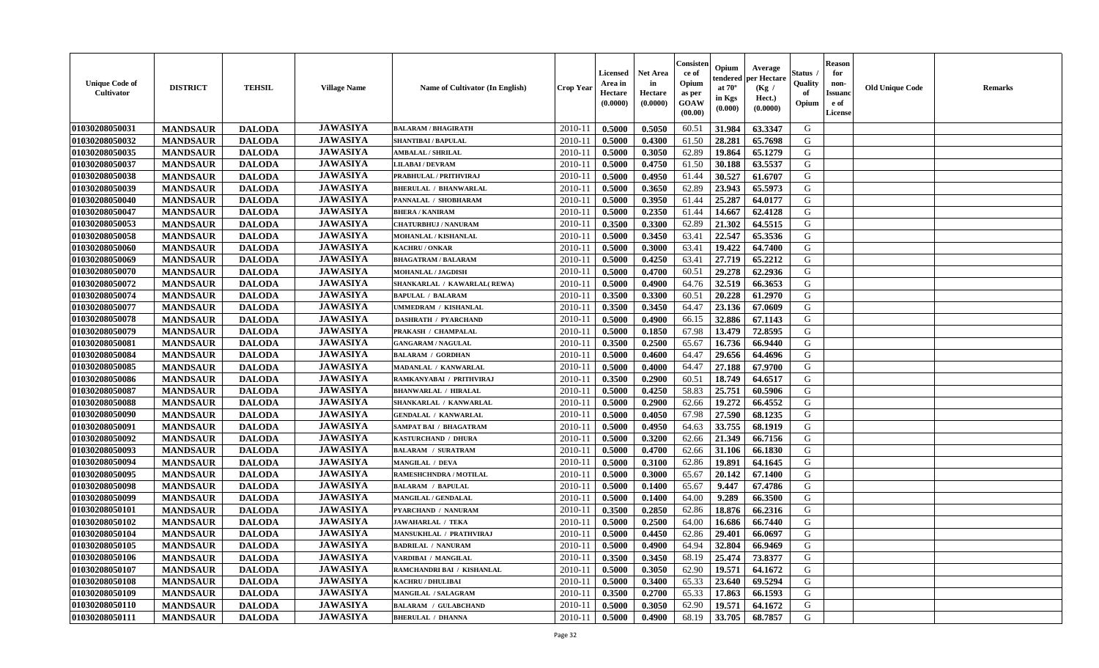| <b>Unique Code of</b><br><b>Cultivator</b> | <b>DISTRICT</b> | <b>TEHSIL</b> | <b>Village Name</b> | Name of Cultivator (In English) | <b>Crop Year</b> | Licensed<br>Area in<br>Hectare<br>(0.0000) | <b>Net Area</b><br>in<br>Hectare<br>(0.0000) | Consisteı<br>ce of<br>Opium<br>as per<br>GOAW<br>(00.00) | Opium<br>endered<br>at $70^\circ$<br>in Kgs<br>(0.000) | Average<br>per Hectare<br>(Kg /<br>Hect.)<br>(0.0000) | Status<br>Quality<br>of<br>Opium | <b>Reason</b><br>for<br>non-<br><b>Issuand</b><br>e of<br>License | <b>Old Unique Code</b> | <b>Remarks</b> |
|--------------------------------------------|-----------------|---------------|---------------------|---------------------------------|------------------|--------------------------------------------|----------------------------------------------|----------------------------------------------------------|--------------------------------------------------------|-------------------------------------------------------|----------------------------------|-------------------------------------------------------------------|------------------------|----------------|
| 01030208050031                             | <b>MANDSAUR</b> | <b>DALODA</b> | <b>JAWASIYA</b>     | <b>BALARAM / BHAGIRATH</b>      | 2010-11          | 0.5000                                     | 0.5050                                       | 60.51                                                    | 31.984                                                 | 63.3347                                               | G                                |                                                                   |                        |                |
| 01030208050032                             | <b>MANDSAUR</b> | <b>DALODA</b> | <b>JAWASIYA</b>     | <b>SHANTIBAI / BAPULAL</b>      | 2010-11          | 0.5000                                     | 0.4300                                       | 61.50                                                    | 28.281                                                 | 65.7698                                               | G                                |                                                                   |                        |                |
| 01030208050035                             | <b>MANDSAUR</b> | <b>DALODA</b> | <b>JAWASIYA</b>     | <b>AMBALAL / SHRILAL</b>        | 2010-11          | 0.5000                                     | 0.3050                                       | 62.89                                                    | 19.864                                                 | 65.1279                                               | G                                |                                                                   |                        |                |
| 01030208050037                             | <b>MANDSAUR</b> | <b>DALODA</b> | <b>JAWASIYA</b>     | <b>LILABAI/DEVRAM</b>           | 2010-11          | 0.5000                                     | 0.4750                                       | 61.50                                                    | 30.188                                                 | 63.5537                                               | G                                |                                                                   |                        |                |
| 01030208050038                             | <b>MANDSAUR</b> | <b>DALODA</b> | <b>JAWASIYA</b>     | PRABHULAL / PRITHVIRAJ          | 2010-11          | 0.5000                                     | 0.4950                                       | 61.44                                                    | 30.527                                                 | 61.6707                                               | G                                |                                                                   |                        |                |
| 01030208050039                             | <b>MANDSAUR</b> | <b>DALODA</b> | <b>JAWASIYA</b>     | <b>BHERULAL / BHANWARLAL</b>    | 2010-11          | 0.5000                                     | 0.3650                                       | 62.89                                                    | 23.943                                                 | 65.5973                                               | G                                |                                                                   |                        |                |
| 01030208050040                             | <b>MANDSAUR</b> | <b>DALODA</b> | <b>JAWASIYA</b>     | PANNALAL / SHOBHARAM            | 2010-11          | 0.5000                                     | 0.3950                                       | 61.44                                                    | 25.287                                                 | 64.0177                                               | G                                |                                                                   |                        |                |
| 01030208050047                             | <b>MANDSAUR</b> | <b>DALODA</b> | <b>JAWASIYA</b>     | <b>BHERA / KANIRAM</b>          | 2010-11          | 0.5000                                     | 0.2350                                       | 61.44                                                    | 14.667                                                 | 62.4128                                               | G                                |                                                                   |                        |                |
| 01030208050053                             | <b>MANDSAUR</b> | <b>DALODA</b> | <b>JAWASIYA</b>     | <b>CHATURBHUJ / NANURAM</b>     | 2010-11          | 0.3500                                     | 0.3300                                       | 62.89                                                    | 21.302                                                 | 64.5515                                               | G                                |                                                                   |                        |                |
| 01030208050058                             | <b>MANDSAUR</b> | <b>DALODA</b> | <b>JAWASIYA</b>     | MOHANLAL / KISHANLAL            | 2010-11          | 0.5000                                     | 0.3450                                       | 63.41                                                    | 22.547                                                 | 65.3536                                               | G                                |                                                                   |                        |                |
| 01030208050060                             | <b>MANDSAUR</b> | <b>DALODA</b> | <b>JAWASIYA</b>     | <b>KACHRU / ONKAR</b>           | 2010-11          | 0.5000                                     | 0.3000                                       | 63.41                                                    | 19.422                                                 | 64.7400                                               | $\mathbf G$                      |                                                                   |                        |                |
| 01030208050069                             | <b>MANDSAUR</b> | <b>DALODA</b> | <b>JAWASIYA</b>     | <b>BHAGATRAM / BALARAM</b>      | 2010-11          | 0.5000                                     | 0.4250                                       | 63.41                                                    | 27.719                                                 | 65,2212                                               | G                                |                                                                   |                        |                |
| 01030208050070                             | <b>MANDSAUR</b> | <b>DALODA</b> | <b>JAWASIYA</b>     | <b>MOHANLAL / JAGDISH</b>       | 2010-11          | 0.5000                                     | 0.4700                                       | 60.51                                                    | 29.278                                                 | 62.2936                                               | G                                |                                                                   |                        |                |
| 01030208050072                             | <b>MANDSAUR</b> | <b>DALODA</b> | <b>JAWASIYA</b>     | SHANKARLAL / KAWARLAL (REWA)    | $2010 - 11$      | 0.5000                                     | 0.4900                                       | 64.76                                                    | 32.519                                                 | 66.3653                                               | G                                |                                                                   |                        |                |
| 01030208050074                             | <b>MANDSAUR</b> | <b>DALODA</b> | <b>JAWASIYA</b>     | <b>BAPULAL / BALARAM</b>        | 2010-11          | 0.3500                                     | 0.3300                                       | 60.51                                                    | 20.228                                                 | 61.2970                                               | G                                |                                                                   |                        |                |
| 01030208050077                             | <b>MANDSAUR</b> | <b>DALODA</b> | <b>JAWASIYA</b>     | UMMEDRAM / KISHANLAL            | 2010-11          | 0.3500                                     | 0.3450                                       | 64.47                                                    | 23.136                                                 | 67.0609                                               | G                                |                                                                   |                        |                |
| 01030208050078                             | <b>MANDSAUR</b> | <b>DALODA</b> | <b>JAWASIYA</b>     | <b>DASHRATH / PYARCHAND</b>     | 2010-11          | 0.5000                                     | 0.4900                                       | 66.15                                                    | 32.886                                                 | 67.1143                                               | G                                |                                                                   |                        |                |
| 01030208050079                             | <b>MANDSAUR</b> | <b>DALODA</b> | <b>JAWASIYA</b>     | PRAKASH / CHAMPALAL             | 2010-11          | 0.5000                                     | 0.1850                                       | 67.98                                                    | 13.479                                                 | 72.8595                                               | G                                |                                                                   |                        |                |
| 01030208050081                             | <b>MANDSAUR</b> | <b>DALODA</b> | <b>JAWASIYA</b>     | <b>GANGARAM / NAGULAL</b>       | 2010-11          | 0.3500                                     | 0.2500                                       | 65.67                                                    | 16.736                                                 | 66.9440                                               | G                                |                                                                   |                        |                |
| 01030208050084                             | <b>MANDSAUR</b> | <b>DALODA</b> | <b>JAWASIYA</b>     | <b>BALARAM / GORDHAN</b>        | 2010-11          | 0.5000                                     | 0.4600                                       | 64.47                                                    | 29.656                                                 | 64.4696                                               | G                                |                                                                   |                        |                |
| 01030208050085                             | <b>MANDSAUR</b> | <b>DALODA</b> | <b>JAWASIYA</b>     | MADANLAL / KANWARLAL            | 2010-11          | 0.5000                                     | 0.4000                                       | 64.47                                                    | 27.188                                                 | 67.9700                                               | G                                |                                                                   |                        |                |
| 01030208050086                             | <b>MANDSAUR</b> | <b>DALODA</b> | <b>JAWASIYA</b>     | RAMKANYABAI / PRITHVIRAJ        | 2010-11          | 0.3500                                     | 0.2900                                       | 60.51                                                    | 18.749                                                 | 64.6517                                               | G                                |                                                                   |                        |                |
| 01030208050087                             | <b>MANDSAUR</b> | <b>DALODA</b> | <b>JAWASIYA</b>     | <b>BHANWARLAL / HIRALAL</b>     | $2010 - 11$      | 0.5000                                     | 0.4250                                       | 58.83                                                    | 25.751                                                 | 60.5906                                               | G                                |                                                                   |                        |                |
| 01030208050088                             | <b>MANDSAUR</b> | <b>DALODA</b> | <b>JAWASIYA</b>     | SHANKARLAL / KANWARLAL          | 2010-11          | 0.5000                                     | 0.2900                                       | 62.66                                                    | 19.272                                                 | 66.4552                                               | G                                |                                                                   |                        |                |
| 01030208050090                             | <b>MANDSAUR</b> | <b>DALODA</b> | <b>JAWASIYA</b>     | <b>GENDALAL / KANWARLAL</b>     | 2010-11          | 0.5000                                     | 0.4050                                       | 67.98                                                    | 27.590                                                 | 68.1235                                               | G                                |                                                                   |                        |                |
| 01030208050091                             | <b>MANDSAUR</b> | <b>DALODA</b> | <b>JAWASIYA</b>     | <b>SAMPAT BAI / BHAGATRAM</b>   | 2010-11          | 0.5000                                     | 0.4950                                       | 64.63                                                    | 33.755                                                 | 68.1919                                               | G                                |                                                                   |                        |                |
| 01030208050092                             | <b>MANDSAUR</b> | <b>DALODA</b> | <b>JAWASIYA</b>     | <b>KASTURCHAND / DHURA</b>      | 2010-11          | 0.5000                                     | 0.3200                                       | 62.66                                                    | 21.349                                                 | 66.7156                                               | G                                |                                                                   |                        |                |
| 01030208050093                             | <b>MANDSAUR</b> | <b>DALODA</b> | <b>JAWASIYA</b>     | <b>BALARAM / SURATRAM</b>       | 2010-11          | 0.5000                                     | 0.4700                                       | 62.66                                                    | 31.106                                                 | 66.1830                                               | G                                |                                                                   |                        |                |
| 01030208050094                             | <b>MANDSAUR</b> | <b>DALODA</b> | <b>JAWASIYA</b>     | <b>MANGILAL / DEVA</b>          | 2010-11          | 0.5000                                     | 0.3100                                       | 62.86                                                    | 19.891                                                 | 64.1645                                               | G                                |                                                                   |                        |                |
| 01030208050095                             | <b>MANDSAUR</b> | <b>DALODA</b> | <b>JAWASIYA</b>     | RAMESHCHNDRA / MOTILAL          | 2010-11          | 0.5000                                     | 0.3000                                       | 65.67                                                    | 20.142                                                 | 67.1400                                               | G                                |                                                                   |                        |                |
| 01030208050098                             | <b>MANDSAUR</b> | <b>DALODA</b> | <b>JAWASIYA</b>     | <b>BALARAM / BAPULAL</b>        | $2010 - 11$      | 0.5000                                     | 0.1400                                       | 65.67                                                    | 9.447                                                  | 67.4786                                               | ${\bf G}$                        |                                                                   |                        |                |
| 01030208050099                             | <b>MANDSAUR</b> | <b>DALODA</b> | <b>JAWASIYA</b>     | MANGILAL / GENDALAL             | 2010-11          | 0.5000                                     | 0.1400                                       | 64.00                                                    | 9.289                                                  | 66.3500                                               | G                                |                                                                   |                        |                |
| 01030208050101                             | <b>MANDSAUR</b> | <b>DALODA</b> | <b>JAWASIYA</b>     | PYARCHAND / NANURAM             | 2010-11          | 0.3500                                     | 0.2850                                       | 62.86                                                    | 18.876                                                 | 66.2316                                               | G                                |                                                                   |                        |                |
| 01030208050102                             | <b>MANDSAUR</b> | <b>DALODA</b> | <b>JAWASIYA</b>     | <b>JAWAHARLAL / TEKA</b>        | 2010-11          | 0.5000                                     | 0.2500                                       | 64.00                                                    | 16.686                                                 | 66.7440                                               | G                                |                                                                   |                        |                |
| 01030208050104                             | <b>MANDSAUR</b> | <b>DALODA</b> | <b>JAWASIYA</b>     | <b>MANSUKHLAL / PRATHVIRAJ</b>  | 2010-11          | 0.5000                                     | 0.4450                                       | 62.86                                                    | 29.401                                                 | 66.0697                                               | G                                |                                                                   |                        |                |
| 01030208050105                             | <b>MANDSAUR</b> | <b>DALODA</b> | <b>JAWASIYA</b>     | <b>BADRILAL / NANURAM</b>       | 2010-11          | 0.5000                                     | 0.4900                                       | 64.94                                                    | 32.804                                                 | 66.9469                                               | G                                |                                                                   |                        |                |
| 01030208050106                             | <b>MANDSAUR</b> | <b>DALODA</b> | <b>JAWASIYA</b>     | VARDIBAI / MANGILAL             | 2010-11          | 0.3500                                     | 0.3450                                       | 68.19                                                    | 25.474                                                 | 73.8377                                               | G                                |                                                                   |                        |                |
| 01030208050107                             | <b>MANDSAUR</b> | <b>DALODA</b> | <b>JAWASIYA</b>     | RAMCHANDRI BAI / KISHANLAL      | 2010-11          | 0.5000                                     | 0.3050                                       | 62.90                                                    | 19.571                                                 | 64.1672                                               | G                                |                                                                   |                        |                |
| 01030208050108                             | <b>MANDSAUR</b> | <b>DALODA</b> | <b>JAWASIYA</b>     | <b>KACHRU / DHULIBAI</b>        | $2010 - 11$      | 0.5000                                     | 0.3400                                       | 65.33                                                    | 23.640                                                 | 69.5294                                               | ${\bf G}$                        |                                                                   |                        |                |
| 01030208050109                             | <b>MANDSAUR</b> | <b>DALODA</b> | <b>JAWASIYA</b>     | <b>MANGILAL / SALAGRAM</b>      | $2010 - 11$      | 0.3500                                     | 0.2700                                       | 65.33                                                    | 17.863                                                 | 66.1593                                               | G                                |                                                                   |                        |                |
| 01030208050110                             | <b>MANDSAUR</b> | <b>DALODA</b> | <b>JAWASIYA</b>     | <b>BALARAM / GULABCHAND</b>     | 2010-11          | 0.5000                                     | 0.3050                                       | 62.90                                                    | 19.571                                                 | 64.1672                                               | G                                |                                                                   |                        |                |
| 01030208050111                             | <b>MANDSAUR</b> | <b>DALODA</b> | <b>JAWASIYA</b>     | <b>BHERULAL / DHANNA</b>        | 2010-11          | 0.5000                                     | 0.4900                                       | 68.19                                                    | 33.705                                                 | 68.7857                                               | G                                |                                                                   |                        |                |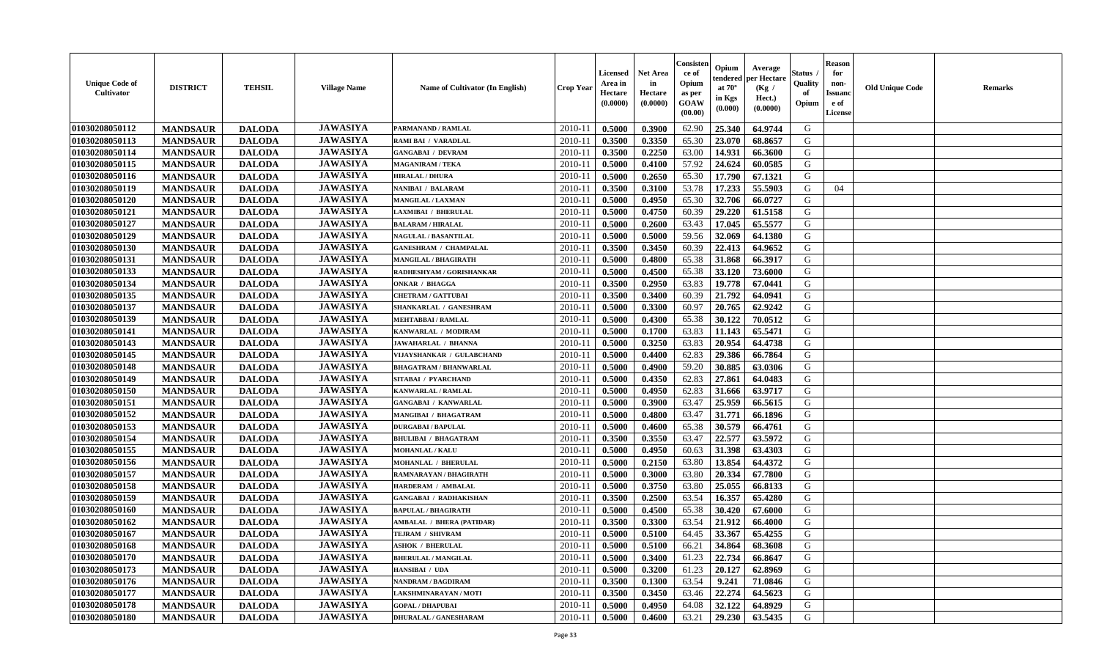| <b>Unique Code of</b><br><b>Cultivator</b> | <b>DISTRICT</b> | <b>TEHSIL</b> | <b>Village Name</b> | <b>Name of Cultivator (In English)</b> | <b>Crop Year</b> | <b>Licensed</b><br>Area in<br>Hectare<br>(0.0000) | <b>Net Area</b><br>in<br>Hectare<br>(0.0000) | Consisteı<br>ce of<br>Opium<br>as per<br>GOAW<br>(00.00) | Opium<br>endered<br>at $70^\circ$<br>in Kgs<br>(0.000) | Average<br>per Hectare<br>(Kg /<br>Hect.)<br>(0.0000) | Status<br>Quality<br>of<br>Opium | <b>Reason</b><br>for<br>non-<br><b>Issuand</b><br>e of<br>License | <b>Old Unique Code</b> | Remarks |
|--------------------------------------------|-----------------|---------------|---------------------|----------------------------------------|------------------|---------------------------------------------------|----------------------------------------------|----------------------------------------------------------|--------------------------------------------------------|-------------------------------------------------------|----------------------------------|-------------------------------------------------------------------|------------------------|---------|
| 01030208050112                             | <b>MANDSAUR</b> | <b>DALODA</b> | <b>JAWASIYA</b>     | PARMANAND / RAMLAL                     | 2010-11          | 0.5000                                            | 0.3900                                       | 62.90                                                    | 25.340                                                 | 64.9744                                               | G                                |                                                                   |                        |         |
| 01030208050113                             | <b>MANDSAUR</b> | <b>DALODA</b> | <b>JAWASIYA</b>     | RAMI BAI / VARADLAL                    | 2010-11          | 0.3500                                            | 0.3350                                       | 65.30                                                    | 23.070                                                 | 68.8657                                               | G                                |                                                                   |                        |         |
| 01030208050114                             | <b>MANDSAUR</b> | <b>DALODA</b> | <b>JAWASIYA</b>     | <b>GANGABAI / DEVRAM</b>               | 2010-11          | 0.3500                                            | 0.2250                                       | 63.00                                                    | 14.931                                                 | 66.3600                                               | G                                |                                                                   |                        |         |
| 01030208050115                             | <b>MANDSAUR</b> | <b>DALODA</b> | <b>JAWASIYA</b>     | <b>MAGANIRAM / TEKA</b>                | 2010-11          | 0.5000                                            | 0.4100                                       | 57.92                                                    | 24.624                                                 | 60.0585                                               | G                                |                                                                   |                        |         |
| 01030208050116                             | <b>MANDSAUR</b> | <b>DALODA</b> | <b>JAWASIYA</b>     | <b>HIRALAL / DHURA</b>                 | 2010-11          | 0.5000                                            | 0.2650                                       | 65.30                                                    | 17.790                                                 | 67.1321                                               | G                                |                                                                   |                        |         |
| 01030208050119                             | <b>MANDSAUR</b> | <b>DALODA</b> | <b>JAWASIYA</b>     | NANIBAI / BALARAM                      | 2010-11          | 0.3500                                            | 0.3100                                       | 53.78                                                    | 17.233                                                 | 55.5903                                               | G                                | 04                                                                |                        |         |
| 01030208050120                             | <b>MANDSAUR</b> | <b>DALODA</b> | <b>JAWASIYA</b>     | MANGILAL / LAXMAN                      | $2010 - 11$      | 0.5000                                            | 0.4950                                       | 65.30                                                    | 32.706                                                 | 66.0727                                               | G                                |                                                                   |                        |         |
| 01030208050121                             | <b>MANDSAUR</b> | <b>DALODA</b> | <b>JAWASIYA</b>     | <b>LAXMIBAI / BHERULAL</b>             | 2010-11          | 0.5000                                            | 0.4750                                       | 60.39                                                    | 29.220                                                 | 61.5158                                               | G                                |                                                                   |                        |         |
| 01030208050127                             | <b>MANDSAUR</b> | <b>DALODA</b> | <b>JAWASIYA</b>     | <b>BALARAM / HIRALAL</b>               | 2010-11          | 0.5000                                            | 0.2600                                       | 63.43                                                    | 17.045                                                 | 65.5577                                               | G                                |                                                                   |                        |         |
| 01030208050129                             | <b>MANDSAUR</b> | <b>DALODA</b> | <b>JAWASIYA</b>     | <b>NAGULAL / BASANTILAL</b>            | 2010-11          | 0.5000                                            | 0.5000                                       | 59.56                                                    | 32.069                                                 | 64.1380                                               | G                                |                                                                   |                        |         |
| 01030208050130                             | <b>MANDSAUR</b> | <b>DALODA</b> | <b>JAWASIYA</b>     | <b>GANESHRAM / CHAMPALAL</b>           | 2010-11          | 0.3500                                            | 0.3450                                       | 60.39                                                    | 22.413                                                 | 64.9652                                               | G                                |                                                                   |                        |         |
| 01030208050131                             | <b>MANDSAUR</b> | <b>DALODA</b> | <b>JAWASIYA</b>     | <b>MANGILAL / BHAGIRATH</b>            | 2010-11          | 0.5000                                            | 0.4800                                       | 65.38                                                    | 31.868                                                 | 66.3917                                               | G                                |                                                                   |                        |         |
| 01030208050133                             | <b>MANDSAUR</b> | <b>DALODA</b> | <b>JAWASIYA</b>     | RADHESHYAM / GORISHANKAR               | 2010-11          | 0.5000                                            | 0.4500                                       | 65.38                                                    | 33.120                                                 | 73.6000                                               | G                                |                                                                   |                        |         |
| 01030208050134                             | <b>MANDSAUR</b> | <b>DALODA</b> | <b>JAWASIYA</b>     | ONKAR / BHAGGA                         | 2010-11          | 0.3500                                            | 0.2950                                       | 63.83                                                    | 19.778                                                 | 67.0441                                               | G                                |                                                                   |                        |         |
| 01030208050135                             | <b>MANDSAUR</b> | <b>DALODA</b> | <b>JAWASIYA</b>     | <b>CHETRAM / GATTUBAI</b>              | 2010-11          | 0.3500                                            | 0.3400                                       | 60.39                                                    | 21.792                                                 | 64.0941                                               | $\mathbf G$                      |                                                                   |                        |         |
| 01030208050137                             | <b>MANDSAUR</b> | <b>DALODA</b> | <b>JAWASIYA</b>     | SHANKARLAL / GANESHRAM                 | 2010-11          | 0.5000                                            | 0.3300                                       | 60.97                                                    | 20.765                                                 | 62.9242                                               | G                                |                                                                   |                        |         |
| 01030208050139                             | <b>MANDSAUR</b> | <b>DALODA</b> | <b>JAWASIYA</b>     | <b>MEHTABBAI/RAMLAL</b>                | 2010-11          | 0.5000                                            | 0.4300                                       | 65.38                                                    | 30.122                                                 | 70.0512                                               | G                                |                                                                   |                        |         |
| 01030208050141                             | <b>MANDSAUR</b> | <b>DALODA</b> | <b>JAWASIYA</b>     | KANWARLAL / MODIRAM                    | 2010-11          | 0.5000                                            | 0.1700                                       | 63.83                                                    | 11.143                                                 | 65.5471                                               | G                                |                                                                   |                        |         |
| 01030208050143                             | <b>MANDSAUR</b> | <b>DALODA</b> | <b>JAWASIYA</b>     | <b>JAWAHARLAL / BHANNA</b>             | 2010-11          | 0.5000                                            | 0.3250                                       | 63.83                                                    | 20.954                                                 | 64.4738                                               | G                                |                                                                   |                        |         |
| 01030208050145                             | <b>MANDSAUR</b> | <b>DALODA</b> | <b>JAWASIYA</b>     | VIJAYSHANKAR / GULABCHAND              | 2010-11          | 0.5000                                            | 0.4400                                       | 62.83                                                    | 29.386                                                 | 66.7864                                               | G                                |                                                                   |                        |         |
| 01030208050148                             | <b>MANDSAUR</b> | <b>DALODA</b> | <b>JAWASIYA</b>     | <b>BHAGATRAM / BHANWARLAL</b>          | 2010-11          | 0.5000                                            | 0.4900                                       | 59.20                                                    | 30.885                                                 | 63.0306                                               | G                                |                                                                   |                        |         |
| 01030208050149                             | <b>MANDSAUR</b> | <b>DALODA</b> | <b>JAWASIYA</b>     | <b>SITABAI / PYARCHAND</b>             | 2010-11          | 0.5000                                            | 0.4350                                       | 62.83                                                    | 27.861                                                 | 64.0483                                               | G                                |                                                                   |                        |         |
| 01030208050150                             | <b>MANDSAUR</b> | <b>DALODA</b> | <b>JAWASIYA</b>     | KANWARLAL / RAMLAL                     | 2010-11          | 0.5000                                            | 0.4950                                       | 62.83                                                    | 31.666                                                 | 63.9717                                               | G                                |                                                                   |                        |         |
| 01030208050151                             | <b>MANDSAUR</b> | <b>DALODA</b> | <b>JAWASIYA</b>     | <b>GANGABAI / KANWARLAL</b>            | 2010-11          | 0.5000                                            | 0.3900                                       | 63.47                                                    | 25.959                                                 | 66.5615                                               | G                                |                                                                   |                        |         |
| 01030208050152                             | <b>MANDSAUR</b> | <b>DALODA</b> | <b>JAWASIYA</b>     | <b>MANGIBAI / BHAGATRAM</b>            | 2010-11          | 0.5000                                            | 0.4800                                       | 63.47                                                    | 31.771                                                 | 66.1896                                               | G                                |                                                                   |                        |         |
| 01030208050153                             | <b>MANDSAUR</b> | <b>DALODA</b> | <b>JAWASIYA</b>     | <b>DURGABAI/BAPULAL</b>                | 2010-11          | 0.5000                                            | 0.4600                                       | 65.38                                                    | 30.579                                                 | 66.4761                                               | G                                |                                                                   |                        |         |
| 01030208050154                             | <b>MANDSAUR</b> | <b>DALODA</b> | <b>JAWASIYA</b>     | <b>BHULIBAI / BHAGATRAM</b>            | 2010-11          | 0.3500                                            | 0.3550                                       | 63.47                                                    | 22.577                                                 | 63.5972                                               | G                                |                                                                   |                        |         |
| 01030208050155                             | <b>MANDSAUR</b> | <b>DALODA</b> | <b>JAWASIYA</b>     | <b>MOHANLAL / KALU</b>                 | 2010-11          | 0.5000                                            | 0.4950                                       | 60.63                                                    | 31.398                                                 | 63.4303                                               | G                                |                                                                   |                        |         |
| 01030208050156                             | <b>MANDSAUR</b> | <b>DALODA</b> | <b>JAWASIYA</b>     | MOHANLAL / BHERULAL                    | 2010-11          | 0.5000                                            | 0.2150                                       | 63.80                                                    | 13.854                                                 | 64.4372                                               | G                                |                                                                   |                        |         |
| 01030208050157                             | <b>MANDSAUR</b> | <b>DALODA</b> | <b>JAWASIYA</b>     | <b>RAMNARAYAN / BHAGIRATH</b>          | 2010-11          | 0.5000                                            | 0.3000                                       | 63.80                                                    | 20.334                                                 | 67.7800                                               | G                                |                                                                   |                        |         |
| 01030208050158                             | <b>MANDSAUR</b> | <b>DALODA</b> | <b>JAWASIYA</b>     | HARDERAM / AMBALAL                     | 2010-11          | 0.5000                                            | 0.3750                                       | 63.80                                                    | 25.055                                                 | 66.8133                                               | G                                |                                                                   |                        |         |
| 01030208050159                             | <b>MANDSAUR</b> | <b>DALODA</b> | <b>JAWASIYA</b>     | <b>GANGABAI / RADHAKISHAN</b>          | 2010-11          | 0.3500                                            | 0.2500                                       | 63.54                                                    | 16.357                                                 | 65.4280                                               | G                                |                                                                   |                        |         |
| 01030208050160                             | <b>MANDSAUR</b> | <b>DALODA</b> | <b>JAWASIYA</b>     | <b>BAPULAL / BHAGIRATH</b>             | 2010-11          | 0.5000                                            | 0.4500                                       | 65.38                                                    | 30.420                                                 | 67.6000                                               | G                                |                                                                   |                        |         |
| 01030208050162                             | <b>MANDSAUR</b> | <b>DALODA</b> | <b>JAWASIYA</b>     | <b>AMBALAL / BHERA (PATIDAR)</b>       | 2010-11          | 0.3500                                            | 0.3300                                       | 63.54                                                    | 21.912                                                 | 66.4000                                               | G                                |                                                                   |                        |         |
| 01030208050167                             | <b>MANDSAUR</b> | <b>DALODA</b> | <b>JAWASIYA</b>     | TEJRAM / SHIVRAM                       | 2010-11          | 0.5000                                            | 0.5100                                       | 64.45                                                    | 33.367                                                 | 65.4255                                               | G                                |                                                                   |                        |         |
| 01030208050168                             | <b>MANDSAUR</b> | <b>DALODA</b> | <b>JAWASIYA</b>     | <b>ASHOK / BHERULAL</b>                | 2010-11          | 0.5000                                            | 0.5100                                       | 66.21                                                    | 34.864                                                 | 68.3608                                               | G                                |                                                                   |                        |         |
| 01030208050170                             | <b>MANDSAUR</b> | <b>DALODA</b> | <b>JAWASIYA</b>     | <b>BHERULAL / MANGILAL</b>             | 2010-11          | 0.5000                                            | 0.3400                                       | 61.23                                                    | 22.734                                                 | 66.8647                                               | G                                |                                                                   |                        |         |
| 01030208050173                             | <b>MANDSAUR</b> | <b>DALODA</b> | <b>JAWASIYA</b>     | HANSIBAI / UDA                         | 2010-11          | 0.5000                                            | 0.3200                                       | 61.23                                                    | 20.127                                                 | 62.8969                                               | G                                |                                                                   |                        |         |
| 01030208050176                             | <b>MANDSAUR</b> | <b>DALODA</b> | <b>JAWASIYA</b>     | <b>NANDRAM / BAGDIRAM</b>              | 2010-11          | 0.3500                                            | 0.1300                                       | 63.54                                                    | 9.241                                                  | 71.0846                                               | G                                |                                                                   |                        |         |
| 01030208050177                             | <b>MANDSAUR</b> | <b>DALODA</b> | <b>JAWASIYA</b>     | LAKSHMINARAYAN / MOTI                  | 2010-11          | 0.3500                                            | 0.3450                                       | 63.46                                                    | 22.274                                                 | 64.5623                                               | ${\bf G}$                        |                                                                   |                        |         |
| 01030208050178                             | <b>MANDSAUR</b> | <b>DALODA</b> | <b>JAWASIYA</b>     | <b>GOPAL / DHAPUBAI</b>                | 2010-11          | 0.5000                                            | 0.4950                                       | 64.08                                                    | 32.122                                                 | 64.8929                                               | G                                |                                                                   |                        |         |
| 01030208050180                             | <b>MANDSAUR</b> | <b>DALODA</b> | <b>JAWASIYA</b>     | <b>DHURALAL / GANESHARAM</b>           | 2010-11          | 0.5000                                            | 0.4600                                       | 63.21                                                    | 29.230                                                 | 63.5435                                               | G                                |                                                                   |                        |         |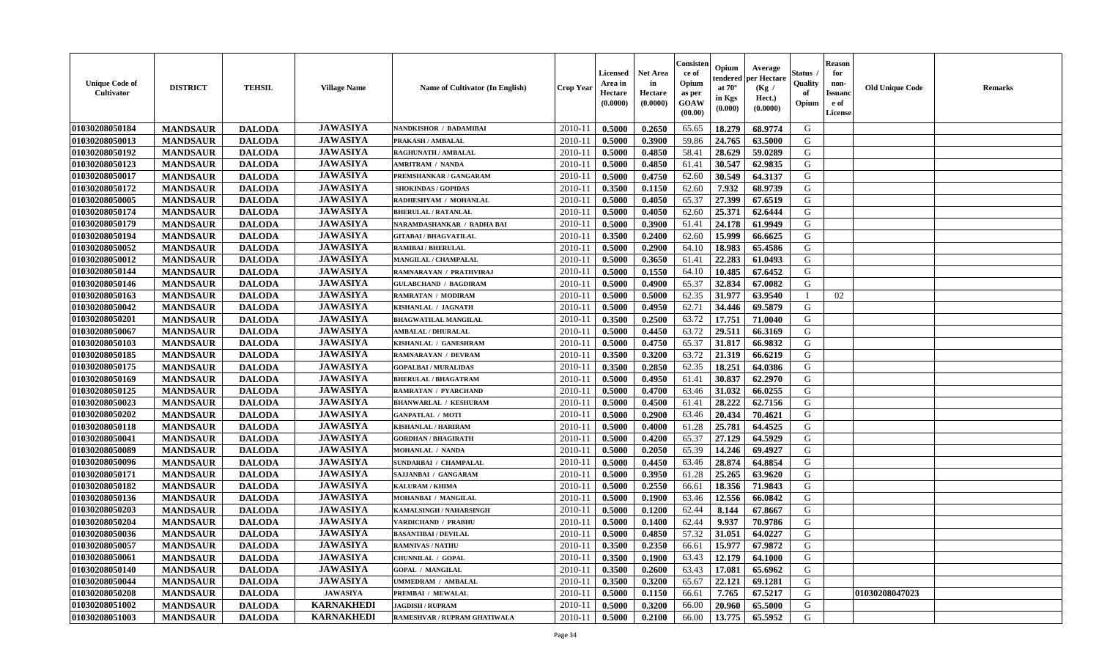| <b>Unique Code of</b><br>Cultivator | <b>DISTRICT</b> | <b>TEHSIL</b> | <b>Village Name</b> | <b>Name of Cultivator (In English)</b> | <b>Crop Year</b> | <b>Licensed</b><br>Area in<br>Hectare<br>(0.0000) | <b>Net Area</b><br>in<br>Hectare<br>(0.0000) | Consister<br>ce of<br>Opium<br>as per<br>GOAW<br>(00.00) | Opium<br>endered<br>at $70^\circ$<br>in Kgs<br>(0.000) | Average<br>per Hectare<br>(Kg /<br>Hect.)<br>(0.0000) | <b>Status</b> .<br>Quality<br>of<br>Opium | <b>Reason</b><br>for<br>non-<br><b>Issuand</b><br>e of<br>License | <b>Old Unique Code</b> | <b>Remarks</b> |
|-------------------------------------|-----------------|---------------|---------------------|----------------------------------------|------------------|---------------------------------------------------|----------------------------------------------|----------------------------------------------------------|--------------------------------------------------------|-------------------------------------------------------|-------------------------------------------|-------------------------------------------------------------------|------------------------|----------------|
| 01030208050184                      | <b>MANDSAUR</b> | <b>DALODA</b> | <b>JAWASIYA</b>     | NANDKISHOR / BADAMIBAI                 | 2010-11          | 0.5000                                            | 0.2650                                       | 65.65                                                    | 18.279                                                 | 68.9774                                               | G                                         |                                                                   |                        |                |
| 01030208050013                      | <b>MANDSAUR</b> | <b>DALODA</b> | <b>JAWASIYA</b>     | PRAKASH / AMBALAL                      | $2010 - 11$      | 0.5000                                            | 0.3900                                       | 59.86                                                    | 24.765                                                 | 63.5000                                               | G                                         |                                                                   |                        |                |
| 01030208050192                      | <b>MANDSAUR</b> | <b>DALODA</b> | <b>JAWASIYA</b>     | RAGHUNATH / AMBALAL                    | 2010-11          | 0.5000                                            | 0.4850                                       | 58.41                                                    | 28.629                                                 | 59.0289                                               | G                                         |                                                                   |                        |                |
| 01030208050123                      | <b>MANDSAUR</b> | <b>DALODA</b> | <b>JAWASIYA</b>     | <b>AMRITRAM / NANDA</b>                | 2010-11          | 0.5000                                            | 0.4850                                       | 61.41                                                    | 30.547                                                 | 62.9835                                               | G                                         |                                                                   |                        |                |
| 01030208050017                      | <b>MANDSAUR</b> | <b>DALODA</b> | <b>JAWASIYA</b>     | PREMSHANKAR / GANGARAM                 | 2010-11          | 0.5000                                            | 0.4750                                       | 62.60                                                    | 30.549                                                 | 64.3137                                               | G                                         |                                                                   |                        |                |
| 01030208050172                      | <b>MANDSAUR</b> | <b>DALODA</b> | <b>JAWASIYA</b>     | <b>SHOKINDAS / GOPIDAS</b>             | 2010-11          | 0.3500                                            | 0.1150                                       | 62.60                                                    | 7.932                                                  | 68.9739                                               | G                                         |                                                                   |                        |                |
| 01030208050005                      | <b>MANDSAUR</b> | <b>DALODA</b> | <b>JAWASIYA</b>     | RADHESHYAM / MOHANLAL                  | $2010 - 1$       | 0.5000                                            | 0.4050                                       | 65.37                                                    | 27.399                                                 | 67.6519                                               | G                                         |                                                                   |                        |                |
| 01030208050174                      | <b>MANDSAUR</b> | <b>DALODA</b> | <b>JAWASIYA</b>     | <b>BHERULAL / RATANLAL</b>             | 2010-11          | 0.5000                                            | 0.4050                                       | 62.60                                                    | 25.371                                                 | 62.6444                                               | G                                         |                                                                   |                        |                |
| 01030208050179                      | <b>MANDSAUR</b> | <b>DALODA</b> | <b>JAWASIYA</b>     | NARAMDASHANKAR / RADHA BAI             | 2010-11          | 0.5000                                            | 0.3900                                       | 61.41                                                    | 24.178                                                 | 61.9949                                               | G                                         |                                                                   |                        |                |
| 01030208050194                      | <b>MANDSAUR</b> | <b>DALODA</b> | <b>JAWASIYA</b>     | <b>GITABAI/BHAGVATILAL</b>             | 2010-11          | 0.3500                                            | 0.2400                                       | 62.60                                                    | 15.999                                                 | 66.6625                                               | G                                         |                                                                   |                        |                |
| 01030208050052                      | <b>MANDSAUR</b> | <b>DALODA</b> | <b>JAWASIYA</b>     | <b>RAMIBAI / BHERULAL</b>              | 2010-11          | 0.5000                                            | 0.2900                                       | 64.10                                                    | 18.983                                                 | 65.4586                                               | G                                         |                                                                   |                        |                |
| 01030208050012                      | <b>MANDSAUR</b> | <b>DALODA</b> | <b>JAWASIYA</b>     | MANGILAL / CHAMPALAL                   | 2010-11          | 0.5000                                            | 0.3650                                       | 61.41                                                    | 22.283                                                 | 61.0493                                               | G                                         |                                                                   |                        |                |
| 01030208050144                      | <b>MANDSAUR</b> | <b>DALODA</b> | <b>JAWASIYA</b>     | RAMNARAYAN / PRATHVIRAJ                | 2010-11          | 0.5000                                            | 0.1550                                       | 64.10                                                    | 10.485                                                 | 67.6452                                               | G                                         |                                                                   |                        |                |
| 01030208050146                      | <b>MANDSAUR</b> | <b>DALODA</b> | <b>JAWASIYA</b>     | <b>GULABCHAND / BAGDIRAM</b>           | 2010-11          | 0.5000                                            | 0.4900                                       | 65.37                                                    | 32.834                                                 | 67.0082                                               | G                                         |                                                                   |                        |                |
| 01030208050163                      | <b>MANDSAUR</b> | <b>DALODA</b> | <b>JAWASIYA</b>     | <b>RAMRATAN / MODIRAM</b>              | $2010 - 1$       | 0.5000                                            | 0.5000                                       | 62.35                                                    | 31.977                                                 | 63.9540                                               |                                           | 02                                                                |                        |                |
| 01030208050042                      | <b>MANDSAUR</b> | <b>DALODA</b> | <b>JAWASIYA</b>     | KISHANLAL / JAGNATH                    | 2010-11          | 0.5000                                            | 0.4950                                       | 62.71                                                    | 34.446                                                 | 69.5879                                               | G                                         |                                                                   |                        |                |
| 01030208050201                      | <b>MANDSAUR</b> | <b>DALODA</b> | <b>JAWASIYA</b>     | <b>BHAGWATILAL MANGILAL</b>            | 2010-11          | 0.3500                                            | 0.2500                                       | 63.72                                                    | 17.751                                                 | 71.0040                                               | G                                         |                                                                   |                        |                |
| 01030208050067                      | <b>MANDSAUR</b> | <b>DALODA</b> | <b>JAWASIYA</b>     | <b>AMBALAL / DHURALAL</b>              | 2010-11          | 0.5000                                            | 0.4450                                       | 63.72                                                    | 29.511                                                 | 66.3169                                               | G                                         |                                                                   |                        |                |
| 01030208050103                      | <b>MANDSAUR</b> | <b>DALODA</b> | <b>JAWASIYA</b>     | KISHANLAL / GANESHRAM                  | 2010-11          | 0.5000                                            | 0.4750                                       | 65.37                                                    | 31.817                                                 | 66.9832                                               | G                                         |                                                                   |                        |                |
|                                     |                 |               | <b>JAWASIYA</b>     |                                        |                  |                                                   | 0.3200                                       |                                                          | 21.319                                                 | 66.6219                                               | G                                         |                                                                   |                        |                |
| 01030208050185                      | <b>MANDSAUR</b> | <b>DALODA</b> | <b>JAWASIYA</b>     | RAMNARAYAN / DEVRAM                    | 2010-11          | 0.3500                                            |                                              | 63.72                                                    |                                                        |                                                       |                                           |                                                                   |                        |                |
| 01030208050175                      | <b>MANDSAUR</b> | <b>DALODA</b> |                     | <b>GOPALBAI/MURALIDAS</b>              | 2010-11          | 0.3500                                            | 0.2850                                       | 62.35                                                    | 18.251                                                 | 64.0386                                               | G                                         |                                                                   |                        |                |
| 01030208050169                      | <b>MANDSAUR</b> | <b>DALODA</b> | <b>JAWASIYA</b>     | <b>BHERULAL / BHAGATRAM</b>            | 2010-11          | 0.5000                                            | 0.4950                                       | 61.41                                                    | 30.837                                                 | 62.2970                                               | G                                         |                                                                   |                        |                |
| 01030208050125                      | <b>MANDSAUR</b> | <b>DALODA</b> | <b>JAWASIYA</b>     | <b>RAMRATAN / PYARCHAND</b>            | $2010 - 11$      | 0.5000                                            | 0.4700                                       | 63.46                                                    | 31.032                                                 | 66.0255                                               | ${\bf G}$                                 |                                                                   |                        |                |
| 01030208050023                      | <b>MANDSAUR</b> | <b>DALODA</b> | <b>JAWASIYA</b>     | <b>BHANWARLAL / KESHURAM</b>           | 2010-11          | 0.5000                                            | 0.4500                                       | 61.41                                                    | 28.222                                                 | 62.7156                                               | ${\bf G}$                                 |                                                                   |                        |                |
| 01030208050202                      | <b>MANDSAUR</b> | <b>DALODA</b> | <b>JAWASIYA</b>     | <b>GANPATLAL / MOTI</b>                | 2010-11          | 0.5000                                            | 0.2900                                       | 63.46                                                    | 20.434                                                 | 70.4621                                               | G                                         |                                                                   |                        |                |
| 01030208050118                      | <b>MANDSAUR</b> | <b>DALODA</b> | <b>JAWASIYA</b>     | <b>KISHANLAL / HARIRAM</b>             | 2010-11          | 0.5000                                            | 0.4000                                       | 61.28                                                    | 25.781                                                 | 64.4525                                               | G                                         |                                                                   |                        |                |
| 01030208050041                      | <b>MANDSAUR</b> | <b>DALODA</b> | <b>JAWASIYA</b>     | <b>GORDHAN / BHAGIRATH</b>             | 2010-11          | 0.5000                                            | 0.4200                                       | 65.37                                                    | 27.129                                                 | 64.5929                                               | G                                         |                                                                   |                        |                |
| 01030208050089                      | <b>MANDSAUR</b> | <b>DALODA</b> | <b>JAWASIYA</b>     | MOHANLAL / NANDA                       | 2010-11          | 0.5000                                            | 0.2050                                       | 65.39                                                    | 14.246                                                 | 69.4927                                               | G                                         |                                                                   |                        |                |
| 01030208050096                      | <b>MANDSAUR</b> | <b>DALODA</b> | <b>JAWASIYA</b>     | SUNDARBAI / CHAMPALAL                  | 2010-11          | 0.5000                                            | 0.4450                                       | 63.46                                                    | 28.874                                                 | 64.8854                                               | G                                         |                                                                   |                        |                |
| 01030208050171                      | <b>MANDSAUR</b> | <b>DALODA</b> | <b>JAWASIYA</b>     | SAJJANBAI / GANGARAM                   | 2010-11          | 0.5000                                            | 0.3950                                       | 61.28                                                    | 25.265                                                 | 63.9620                                               | G                                         |                                                                   |                        |                |
| 01030208050182                      | <b>MANDSAUR</b> | <b>DALODA</b> | <b>JAWASIYA</b>     | <b>KALURAM / KHIMA</b>                 | $2010 - 11$      | 0.5000                                            | 0.2550                                       | 66.61                                                    | 18.356                                                 | 71.9843                                               | G                                         |                                                                   |                        |                |
| 01030208050136                      | <b>MANDSAUR</b> | <b>DALODA</b> | <b>JAWASIYA</b>     | MOHANBAI / MANGILAL                    | 2010-11          | 0.5000                                            | 0.1900                                       | 63.46                                                    | 12.556                                                 | 66.0842                                               | G                                         |                                                                   |                        |                |
| 01030208050203                      | <b>MANDSAUR</b> | <b>DALODA</b> | <b>JAWASIYA</b>     | KAMALSINGH / NAHARSINGH                | 2010-11          | 0.5000                                            | 0.1200                                       | 62.44                                                    | 8.144                                                  | 67.8667                                               | G                                         |                                                                   |                        |                |
| 01030208050204                      | <b>MANDSAUR</b> | <b>DALODA</b> | <b>JAWASIYA</b>     | <b>VARDICHAND / PRABHU</b>             | 2010-11          | 0.5000                                            | 0.1400                                       | 62.44                                                    | 9.937                                                  | 70.9786                                               | G                                         |                                                                   |                        |                |
| 01030208050036                      | <b>MANDSAUR</b> | <b>DALODA</b> | <b>JAWASIYA</b>     | <b>BASANTIBAI / DEVILAL</b>            | 2010-11          | 0.5000                                            | 0.4850                                       | 57.32                                                    | 31.051                                                 | 64.0227                                               | ${\bf G}$                                 |                                                                   |                        |                |
| 01030208050057                      | <b>MANDSAUR</b> | <b>DALODA</b> | <b>JAWASIYA</b>     | <b>RAMNIVAS / NATHU</b>                | 2010-11          | 0.3500                                            | 0.2350                                       | 66.61                                                    | 15.977                                                 | 67.9872                                               | G                                         |                                                                   |                        |                |
| 01030208050061                      | <b>MANDSAUR</b> | <b>DALODA</b> | <b>JAWASIYA</b>     | CHUNNILAL / GOPAL                      | 2010-11          | 0.3500                                            | 0.1900                                       | 63.43                                                    | 12.179                                                 | 64.1000                                               | G                                         |                                                                   |                        |                |
| 01030208050140                      | <b>MANDSAUR</b> | <b>DALODA</b> | <b>JAWASIYA</b>     | <b>GOPAL / MANGILAL</b>                | 2010-11          | 0.3500                                            | 0.2600                                       | 63.43                                                    | 17.081                                                 | 65.6962                                               | G                                         |                                                                   |                        |                |
| 01030208050044                      | <b>MANDSAUR</b> | <b>DALODA</b> | <b>JAWASIYA</b>     | UMMEDRAM / AMBALAL                     | $2010 - 11$      | 0.3500                                            | 0.3200                                       | 65.67                                                    | 22.121                                                 | 69.1281                                               | G                                         |                                                                   |                        |                |
| 01030208050208                      | <b>MANDSAUR</b> | <b>DALODA</b> | <b>JAWASIYA</b>     | PREMBAI / MEWALAL                      | $2010 - 11$      | 0.5000                                            | 0.1150                                       | 66.61                                                    | 7.765                                                  | 67.5217                                               | ${\bf G}$                                 |                                                                   | 01030208047023         |                |
| 01030208051002                      | <b>MANDSAUR</b> | <b>DALODA</b> | <b>KARNAKHEDI</b>   | <b>JAGDISH / RUPRAM</b>                | 2010-11          | 0.5000                                            | 0.3200                                       | 66.00                                                    | 20.960                                                 | 65.5000                                               | G                                         |                                                                   |                        |                |
| 01030208051003                      | <b>MANDSAUR</b> | <b>DALODA</b> | <b>KARNAKHEDI</b>   | RAMESHVAR / RUPRAM GHATIWALA           | 2010-11          | 0.5000                                            | 0.2100                                       | 66.00                                                    | 13.775                                                 | 65.5952                                               | G                                         |                                                                   |                        |                |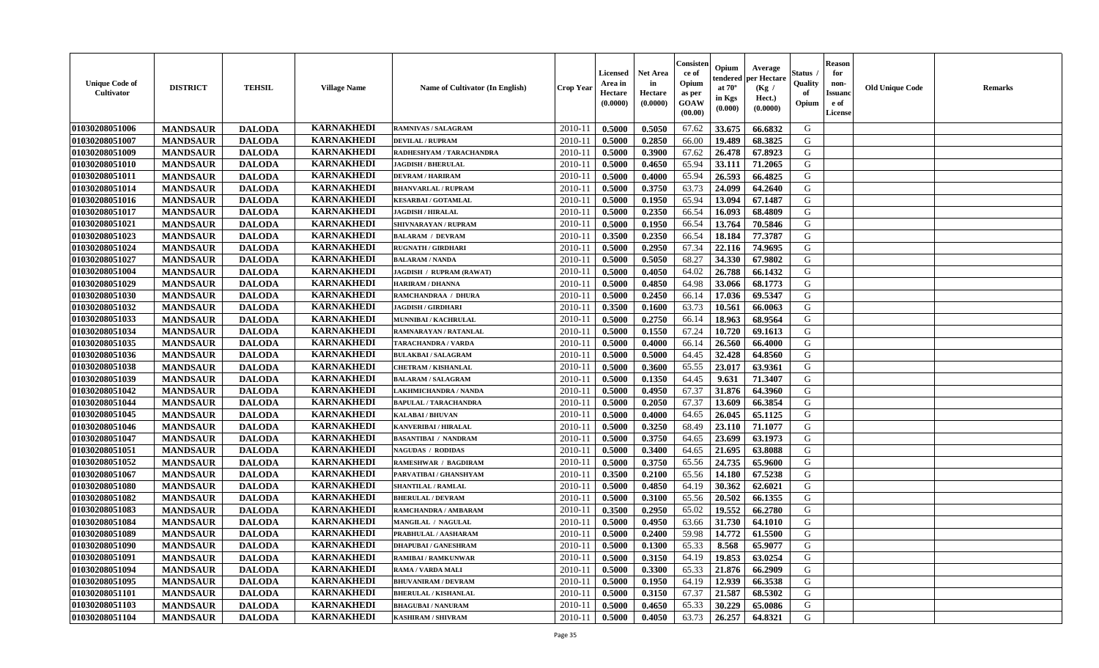| <b>Unique Code of</b><br><b>Cultivator</b> | <b>DISTRICT</b> | <b>TEHSIL</b> | <b>Village Name</b> | Name of Cultivator (In English) | <b>Crop Year</b> | Licensed<br>Area in<br>Hectare<br>(0.0000) | <b>Net Area</b><br>in<br>Hectare<br>(0.0000) | Consisteı<br>ce of<br>Opium<br>as per<br>GOAW<br>(00.00) | Opium<br>endered<br>at $70^\circ$<br>in Kgs<br>(0.000) | Average<br>per Hectare<br>(Kg /<br>Hect.)<br>(0.0000) | Status<br>Quality<br>of<br>Opium | <b>Reason</b><br>for<br>non-<br><b>Issuand</b><br>e of<br>License | <b>Old Unique Code</b> | <b>Remarks</b> |
|--------------------------------------------|-----------------|---------------|---------------------|---------------------------------|------------------|--------------------------------------------|----------------------------------------------|----------------------------------------------------------|--------------------------------------------------------|-------------------------------------------------------|----------------------------------|-------------------------------------------------------------------|------------------------|----------------|
| 01030208051006                             | <b>MANDSAUR</b> | <b>DALODA</b> | <b>KARNAKHEDI</b>   | RAMNIVAS / SALAGRAM             | 2010-11          | 0.5000                                     | 0.5050                                       | 67.62                                                    | 33.675                                                 | 66.6832                                               | G                                |                                                                   |                        |                |
| 01030208051007                             | <b>MANDSAUR</b> | <b>DALODA</b> | <b>KARNAKHEDI</b>   | <b>DEVILAL / RUPRAM</b>         | 2010-11          | 0.5000                                     | 0.2850                                       | 66.00                                                    | 19.489                                                 | 68.3825                                               | G                                |                                                                   |                        |                |
| 01030208051009                             | <b>MANDSAUR</b> | <b>DALODA</b> | <b>KARNAKHEDI</b>   | RADHESHYAM / TARACHANDRA        | 2010-11          | 0.5000                                     | 0.3900                                       | 67.62                                                    | 26.478                                                 | 67.8923                                               | G                                |                                                                   |                        |                |
| 01030208051010                             | <b>MANDSAUR</b> | <b>DALODA</b> | <b>KARNAKHEDI</b>   | <b>JAGDISH / BHERULAL</b>       | 2010-11          | 0.5000                                     | 0.4650                                       | 65.94                                                    | 33.111                                                 | 71.2065                                               | G                                |                                                                   |                        |                |
| 01030208051011                             | <b>MANDSAUR</b> | <b>DALODA</b> | <b>KARNAKHEDI</b>   | <b>DEVRAM / HARIRAM</b>         | 2010-11          | 0.5000                                     | 0.4000                                       | 65.94                                                    | 26.593                                                 | 66.4825                                               | G                                |                                                                   |                        |                |
| 01030208051014                             | <b>MANDSAUR</b> | <b>DALODA</b> | <b>KARNAKHEDI</b>   | <b>BHANVARLAL / RUPRAM</b>      | 2010-11          | 0.5000                                     | 0.3750                                       | 63.73                                                    | 24.099                                                 | 64.2640                                               | G                                |                                                                   |                        |                |
| 01030208051016                             | <b>MANDSAUR</b> | <b>DALODA</b> | <b>KARNAKHEDI</b>   | <b>KESARBAI/GOTAMLAL</b>        | 2010-11          | 0.5000                                     | 0.1950                                       | 65.94                                                    | 13.094                                                 | 67.1487                                               | G                                |                                                                   |                        |                |
| 01030208051017                             | <b>MANDSAUR</b> | <b>DALODA</b> | <b>KARNAKHEDI</b>   | <b>JAGDISH / HIRALAL</b>        | 2010-11          | 0.5000                                     | 0.2350                                       | 66.54                                                    | 16.093                                                 | 68.4809                                               | G                                |                                                                   |                        |                |
| 01030208051021                             | <b>MANDSAUR</b> | <b>DALODA</b> | <b>KARNAKHEDI</b>   | SHIVNARAYAN / RUPRAM            | 2010-11          | 0.5000                                     | 0.1950                                       | 66.54                                                    | 13.764                                                 | 70.5846                                               | G                                |                                                                   |                        |                |
| 01030208051023                             | <b>MANDSAUR</b> | <b>DALODA</b> | <b>KARNAKHEDI</b>   | <b>BALARAM / DEVRAM</b>         | 2010-11          | 0.3500                                     | 0.2350                                       | 66.54                                                    | 18.184                                                 | 77.3787                                               | G                                |                                                                   |                        |                |
| 01030208051024                             | <b>MANDSAUR</b> | <b>DALODA</b> | <b>KARNAKHEDI</b>   | <b>RUGNATH / GIRDHARI</b>       | 2010-11          | 0.5000                                     | 0.2950                                       | 67.34                                                    | 22.116                                                 | 74.9695                                               | $\mathbf G$                      |                                                                   |                        |                |
| 01030208051027                             | <b>MANDSAUR</b> | <b>DALODA</b> | <b>KARNAKHEDI</b>   | <b>BALARAM / NANDA</b>          | 2010-11          | 0.5000                                     | 0.5050                                       | 68.27                                                    | 34.330                                                 | 67.9802                                               | G                                |                                                                   |                        |                |
| 01030208051004                             | <b>MANDSAUR</b> | <b>DALODA</b> | <b>KARNAKHEDI</b>   | JAGDISH / RUPRAM (RAWAT)        | 2010-11          | 0.5000                                     | 0.4050                                       | 64.02                                                    | 26.788                                                 | 66.1432                                               | G                                |                                                                   |                        |                |
| 01030208051029                             | <b>MANDSAUR</b> | <b>DALODA</b> | <b>KARNAKHEDI</b>   | <b>HARIRAM / DHANNA</b>         | $2010 - 11$      | 0.5000                                     | 0.4850                                       | 64.98                                                    | 33.066                                                 | 68.1773                                               | G                                |                                                                   |                        |                |
| 01030208051030                             | <b>MANDSAUR</b> | <b>DALODA</b> | <b>KARNAKHEDI</b>   | RAMCHANDRAA / DHURA             | 2010-11          | 0.5000                                     | 0.2450                                       | 66.14                                                    | 17.036                                                 | 69.5347                                               | G                                |                                                                   |                        |                |
| 01030208051032                             | <b>MANDSAUR</b> | <b>DALODA</b> | <b>KARNAKHEDI</b>   | <b>JAGDISH / GIRDHARI</b>       | 2010-11          | 0.3500                                     | 0.1600                                       | 63.73                                                    | 10.561                                                 | 66.0063                                               | G                                |                                                                   |                        |                |
| 01030208051033                             | <b>MANDSAUR</b> | <b>DALODA</b> | <b>KARNAKHEDI</b>   | MUNNIBAI / KACHRULAL            | 2010-11          | 0.5000                                     | 0.2750                                       | 66.14                                                    | 18.963                                                 | 68.9564                                               | G                                |                                                                   |                        |                |
| 01030208051034                             | <b>MANDSAUR</b> | <b>DALODA</b> | <b>KARNAKHEDI</b>   | RAMNARAYAN / RATANLAL           | 2010-11          | 0.5000                                     | 0.1550                                       | 67.24                                                    | 10.720                                                 | 69.1613                                               | G                                |                                                                   |                        |                |
| 01030208051035                             | <b>MANDSAUR</b> | <b>DALODA</b> | <b>KARNAKHEDI</b>   | TARACHANDRA / VARDA             | 2010-11          | 0.5000                                     | 0.4000                                       | 66.14                                                    | 26.560                                                 | 66.4000                                               | G                                |                                                                   |                        |                |
| 01030208051036                             | <b>MANDSAUR</b> | <b>DALODA</b> | <b>KARNAKHEDI</b>   | <b>BULAKBAI/SALAGRAM</b>        | 2010-11          | 0.5000                                     | 0.5000                                       | 64.45                                                    | 32.428                                                 | 64.8560                                               | G                                |                                                                   |                        |                |
| 01030208051038                             | <b>MANDSAUR</b> | <b>DALODA</b> | <b>KARNAKHEDI</b>   | <b>CHETRAM / KISHANLAL</b>      | 2010-11          | 0.5000                                     | 0.3600                                       | 65.55                                                    | 23.017                                                 | 63.9361                                               | G                                |                                                                   |                        |                |
| 01030208051039                             | <b>MANDSAUR</b> | <b>DALODA</b> | <b>KARNAKHEDI</b>   | <b>BALARAM / SALAGRAM</b>       | 2010-11          | 0.5000                                     | 0.1350                                       | 64.45                                                    | 9.631                                                  | 71.3407                                               | G                                |                                                                   |                        |                |
| 01030208051042                             | <b>MANDSAUR</b> | <b>DALODA</b> | <b>KARNAKHEDI</b>   | LAKHMICHANDRA / NANDA           | $2010 - 11$      | 0.5000                                     | 0.4950                                       | 67.37                                                    | 31.876                                                 | 64.3960                                               | G                                |                                                                   |                        |                |
| 01030208051044                             | <b>MANDSAUR</b> | <b>DALODA</b> | <b>KARNAKHEDI</b>   | <b>BAPULAL / TARACHANDRA</b>    | 2010-11          | 0.5000                                     | 0.2050                                       | 67.37                                                    | 13.609                                                 | 66.3854                                               | G                                |                                                                   |                        |                |
| 01030208051045                             | <b>MANDSAUR</b> | <b>DALODA</b> | <b>KARNAKHEDI</b>   | <b>KALABAI/BHUVAN</b>           | 2010-11          | 0.5000                                     | 0.4000                                       | 64.65                                                    | 26.045                                                 | 65.1125                                               | G                                |                                                                   |                        |                |
| 01030208051046                             | <b>MANDSAUR</b> | <b>DALODA</b> | <b>KARNAKHEDI</b>   | <b>KANVERIBAI / HIRALAL</b>     | 2010-11          | 0.5000                                     | 0.3250                                       | 68.49                                                    | 23.110                                                 | 71.1077                                               | G                                |                                                                   |                        |                |
| 01030208051047                             | <b>MANDSAUR</b> | <b>DALODA</b> | <b>KARNAKHEDI</b>   | <b>BASANTIBAI / NANDRAM</b>     | 2010-11          | 0.5000                                     | 0.3750                                       | 64.65                                                    | 23.699                                                 | 63.1973                                               | G                                |                                                                   |                        |                |
| 01030208051051                             | <b>MANDSAUR</b> | <b>DALODA</b> | <b>KARNAKHEDI</b>   | <b>NAGUDAS / RODIDAS</b>        | 2010-11          | 0.5000                                     | 0.3400                                       | 64.65                                                    | 21.695                                                 | 63.8088                                               | G                                |                                                                   |                        |                |
| 01030208051052                             | <b>MANDSAUR</b> | <b>DALODA</b> | <b>KARNAKHEDI</b>   | <b>RAMESHWAR / BAGDIRAM</b>     | 2010-11          | 0.5000                                     | 0.3750                                       | 65.56                                                    | 24.735                                                 | 65.9600                                               | G                                |                                                                   |                        |                |
| 01030208051067                             | <b>MANDSAUR</b> | <b>DALODA</b> | <b>KARNAKHEDI</b>   | PARVATIBAI / GHANSHYAM          | 2010-11          | 0.3500                                     | 0.2100                                       | 65.56                                                    | 14.180                                                 | 67.5238                                               | G                                |                                                                   |                        |                |
| 01030208051080                             | <b>MANDSAUR</b> | <b>DALODA</b> | <b>KARNAKHEDI</b>   | SHANTILAL / RAMLAL              | 2010-11          | 0.5000                                     | 0.4850                                       | 64.19                                                    | 30.362                                                 | 62.6021                                               | ${\bf G}$                        |                                                                   |                        |                |
| 01030208051082                             | <b>MANDSAUR</b> | <b>DALODA</b> | <b>KARNAKHEDI</b>   | <b>BHERULAL / DEVRAM</b>        | 2010-11          | 0.5000                                     | 0.3100                                       | 65.56                                                    | 20.502                                                 | 66.1355                                               | G                                |                                                                   |                        |                |
| 01030208051083                             | <b>MANDSAUR</b> | <b>DALODA</b> | <b>KARNAKHEDI</b>   | RAMCHANDRA / AMBARAM            | 2010-11          | 0.3500                                     | 0.2950                                       | 65.02                                                    | 19.552                                                 | 66.2780                                               | G                                |                                                                   |                        |                |
| 01030208051084                             | <b>MANDSAUR</b> | <b>DALODA</b> | <b>KARNAKHEDI</b>   | MANGILAL / NAGULAL              | 2010-11          | 0.5000                                     | 0.4950                                       | 63.66                                                    | 31.730                                                 | 64.1010                                               | G                                |                                                                   |                        |                |
| 01030208051089                             | <b>MANDSAUR</b> | <b>DALODA</b> | <b>KARNAKHEDI</b>   | PRABHULAL / AASHARAM            | 2010-11          | 0.5000                                     | 0.2400                                       | 59.98                                                    | 14.772                                                 | 61.5500                                               | G                                |                                                                   |                        |                |
| 01030208051090                             | <b>MANDSAUR</b> | <b>DALODA</b> | <b>KARNAKHEDI</b>   | <b>DHAPUBAI/GANESHRAM</b>       | 2010-11          | 0.5000                                     | 0.1300                                       | 65.33                                                    | 8.568                                                  | 65.9077                                               | G                                |                                                                   |                        |                |
| 01030208051091                             | <b>MANDSAUR</b> | <b>DALODA</b> | <b>KARNAKHEDI</b>   | <b>RAMIBAI / RAMKUNWAR</b>      | 2010-11          | 0.5000                                     | 0.3150                                       | 64.19                                                    | 19.853                                                 | 63.0254                                               | G                                |                                                                   |                        |                |
| 01030208051094                             | <b>MANDSAUR</b> | <b>DALODA</b> | <b>KARNAKHEDI</b>   | RAMA / VARDA MALI               | 2010-11          | 0.5000                                     | 0.3300                                       | 65.33                                                    | 21.876                                                 | 66.2909                                               | G                                |                                                                   |                        |                |
| 01030208051095                             | <b>MANDSAUR</b> | <b>DALODA</b> | <b>KARNAKHEDI</b>   | <b>BHUVANIRAM / DEVRAM</b>      | $2010 - 11$      | 0.5000                                     | 0.1950                                       | 64.19                                                    | 12.939                                                 | 66.3538                                               | G                                |                                                                   |                        |                |
| 01030208051101                             | <b>MANDSAUR</b> | <b>DALODA</b> | <b>KARNAKHEDI</b>   | <b>BHERULAL / KISHANLAL</b>     | $2010 - 11$      | 0.5000                                     | 0.3150                                       | 67.37                                                    | 21.587                                                 | 68.5302                                               | G                                |                                                                   |                        |                |
| 01030208051103                             | <b>MANDSAUR</b> | <b>DALODA</b> | <b>KARNAKHEDI</b>   | <b>BHAGUBAI/NANURAM</b>         | 2010-11          | 0.5000                                     | 0.4650                                       | 65.33                                                    | 30.229                                                 | 65.0086                                               | G                                |                                                                   |                        |                |
| 01030208051104                             | <b>MANDSAUR</b> | <b>DALODA</b> | <b>KARNAKHEDI</b>   | <b>KASHIRAM / SHIVRAM</b>       | 2010-11          | 0.5000                                     | 0.4050                                       | 63.73                                                    | 26.257                                                 | 64.8321                                               | G                                |                                                                   |                        |                |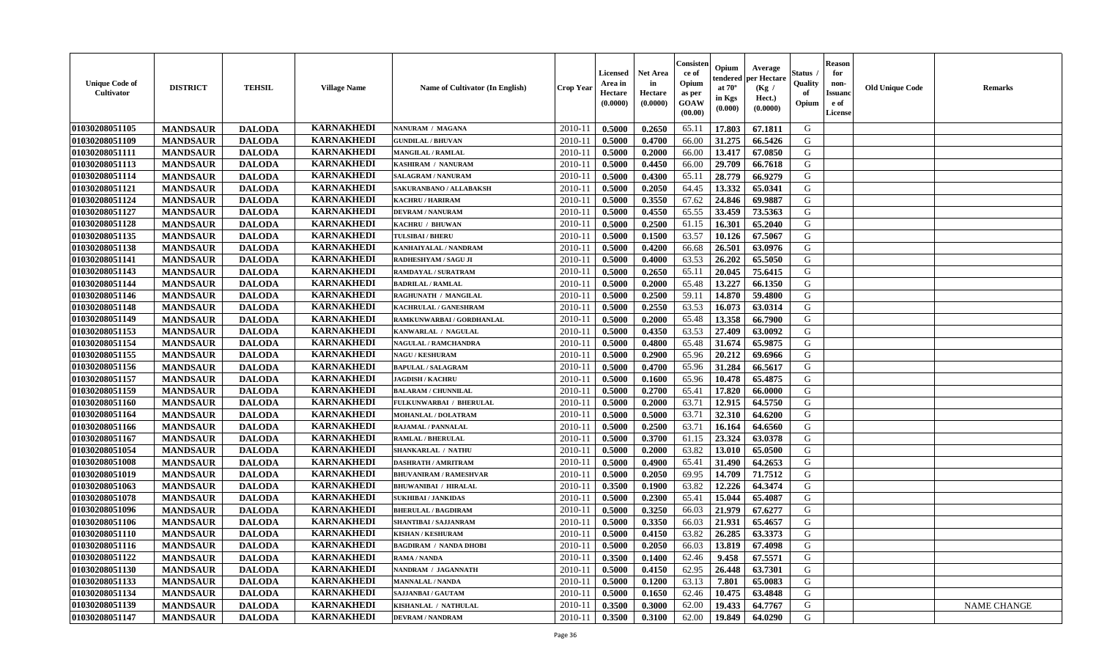| <b>Unique Code of</b><br><b>Cultivator</b> | <b>DISTRICT</b> | <b>TEHSIL</b> | <b>Village Name</b> | Name of Cultivator (In English) | <b>Crop Year</b> | <b>Licensed</b><br>Area in<br>Hectare<br>(0.0000) | <b>Net Area</b><br>in<br>Hectare<br>(0.0000) | Consister<br>ce of<br>Opium<br>as per<br>GOAW<br>(00.00) | Opium<br>endered<br>at $70^\circ$<br>in Kgs<br>(0.000) | Average<br>per Hectare<br>(Kg /<br>Hect.)<br>(0.0000) | Status<br>Quality<br>of<br>Opium | <b>Reason</b><br>for<br>non-<br>Issuano<br>e of<br>License | <b>Old Unique Code</b> | <b>Remarks</b>     |
|--------------------------------------------|-----------------|---------------|---------------------|---------------------------------|------------------|---------------------------------------------------|----------------------------------------------|----------------------------------------------------------|--------------------------------------------------------|-------------------------------------------------------|----------------------------------|------------------------------------------------------------|------------------------|--------------------|
| 01030208051105                             | <b>MANDSAUR</b> | <b>DALODA</b> | <b>KARNAKHEDI</b>   | NANURAM / MAGANA                | 2010-11          | 0.5000                                            | 0.2650                                       | 65.11                                                    | 17.803                                                 | 67.1811                                               | G                                |                                                            |                        |                    |
| 01030208051109                             | <b>MANDSAUR</b> | <b>DALODA</b> | <b>KARNAKHEDI</b>   | <b>GUNDILAL / BHUVAN</b>        | 2010-11          | 0.5000                                            | 0.4700                                       | 66.00                                                    | 31.275                                                 | 66.5426                                               | G                                |                                                            |                        |                    |
| 01030208051111                             | <b>MANDSAUR</b> | <b>DALODA</b> | <b>KARNAKHEDI</b>   | <b>MANGILAL / RAMLAL</b>        | 2010-11          | 0.5000                                            | 0.2000                                       | 66.00                                                    | 13.417                                                 | 67.0850                                               | G                                |                                                            |                        |                    |
| 01030208051113                             | <b>MANDSAUR</b> | <b>DALODA</b> | <b>KARNAKHEDI</b>   | KASHIRAM / NANURAM              | 2010-11          | 0.5000                                            | 0.4450                                       | 66.00                                                    | 29.709                                                 | 66.7618                                               | G                                |                                                            |                        |                    |
| 01030208051114                             | <b>MANDSAUR</b> | <b>DALODA</b> | <b>KARNAKHEDI</b>   | <b>SALAGRAM / NANURAM</b>       | 2010-11          | 0.5000                                            | 0.4300                                       | 65.11                                                    | 28.779                                                 | 66.9279                                               | G                                |                                                            |                        |                    |
| 01030208051121                             | <b>MANDSAUR</b> | <b>DALODA</b> | <b>KARNAKHEDI</b>   | SAKURANBANO / ALLABAKSH         | 2010-11          | 0.5000                                            | 0.2050                                       | 64.45                                                    | 13.332                                                 | 65.0341                                               | G                                |                                                            |                        |                    |
| 01030208051124                             | <b>MANDSAUR</b> | <b>DALODA</b> | <b>KARNAKHEDI</b>   | <b>KACHRU / HARIRAM</b>         | 2010-11          | 0.5000                                            | 0.3550                                       | 67.62                                                    | 24.846                                                 | 69.9887                                               | G                                |                                                            |                        |                    |
| 01030208051127                             | <b>MANDSAUR</b> | <b>DALODA</b> | <b>KARNAKHEDI</b>   | <b>DEVRAM / NANURAM</b>         | 2010-11          | 0.5000                                            | 0.4550                                       | 65.55                                                    | 33.459                                                 | 73.5363                                               | G                                |                                                            |                        |                    |
| 01030208051128                             | <b>MANDSAUR</b> | <b>DALODA</b> | <b>KARNAKHEDI</b>   | KACHRU / BHUWAN                 | 2010-11          | 0.5000                                            | 0.2500                                       | 61.15                                                    | 16.301                                                 | 65.2040                                               | G                                |                                                            |                        |                    |
| 01030208051135                             | <b>MANDSAUR</b> | <b>DALODA</b> | <b>KARNAKHEDI</b>   | <b>TULSIBAI/BHERU</b>           | 2010-11          | 0.5000                                            | 0.1500                                       | 63.57                                                    | 10.126                                                 | 67.5067                                               | G                                |                                                            |                        |                    |
| 01030208051138                             | <b>MANDSAUR</b> | <b>DALODA</b> | <b>KARNAKHEDI</b>   | KANHAIYALAL / NANDRAM           | 2010-11          | 0.5000                                            | 0.4200                                       | 66.68                                                    | 26.501                                                 | 63.0976                                               | $\mathbf G$                      |                                                            |                        |                    |
| 01030208051141                             | <b>MANDSAUR</b> | <b>DALODA</b> | <b>KARNAKHEDI</b>   | RADHESHYAM / SAGU JI            | 2010-11          | 0.5000                                            | 0.4000                                       | 63.53                                                    | 26.202                                                 | 65.5050                                               | G                                |                                                            |                        |                    |
| 01030208051143                             | <b>MANDSAUR</b> | <b>DALODA</b> | <b>KARNAKHEDI</b>   | <b>RAMDAYAL / SURATRAM</b>      | 2010-11          | 0.5000                                            | 0.2650                                       | 65.11                                                    | 20.045                                                 | 75.6415                                               | G                                |                                                            |                        |                    |
| 01030208051144                             | <b>MANDSAUR</b> | <b>DALODA</b> | <b>KARNAKHEDI</b>   | <b>BADRILAL / RAMLAL</b>        | 2010-11          | 0.5000                                            | 0.2000                                       | 65.48                                                    | 13.227                                                 | 66.1350                                               | G                                |                                                            |                        |                    |
| 01030208051146                             | <b>MANDSAUR</b> | <b>DALODA</b> | <b>KARNAKHEDI</b>   | RAGHUNATH / MANGILAL            | 2010-11          | 0.5000                                            | 0.2500                                       | 59.11                                                    | 14.870                                                 | 59.4800                                               | G                                |                                                            |                        |                    |
| 01030208051148                             | <b>MANDSAUR</b> | <b>DALODA</b> | <b>KARNAKHEDI</b>   | KACHRULAL / GANESHRAM           | 2010-11          | 0.5000                                            | 0.2550                                       | 63.53                                                    | 16.073                                                 | 63.0314                                               | G                                |                                                            |                        |                    |
| 01030208051149                             | <b>MANDSAUR</b> | <b>DALODA</b> | <b>KARNAKHEDI</b>   | RAMKUNWARBAI / GORDHANLAL       | 2010-11          | 0.5000                                            | 0.2000                                       | 65.48                                                    | 13.358                                                 | 66.7900                                               | G                                |                                                            |                        |                    |
| 01030208051153                             | <b>MANDSAUR</b> | <b>DALODA</b> | <b>KARNAKHEDI</b>   | KANWARLAL / NAGULAL             | 2010-11          | 0.5000                                            | 0.4350                                       | 63.53                                                    | 27,409                                                 | 63.0092                                               | G                                |                                                            |                        |                    |
| 01030208051154                             | <b>MANDSAUR</b> | <b>DALODA</b> | <b>KARNAKHEDI</b>   | <b>NAGULAL / RAMCHANDRA</b>     | 2010-11          | 0.5000                                            | 0.4800                                       | 65.48                                                    | 31.674                                                 | 65.9875                                               | G                                |                                                            |                        |                    |
| 01030208051155                             | <b>MANDSAUR</b> | <b>DALODA</b> | <b>KARNAKHEDI</b>   | <b>NAGU / KESHURAM</b>          | 2010-11          | 0.5000                                            | 0.2900                                       | 65.96                                                    | 20.212                                                 | 69.6966                                               | G                                |                                                            |                        |                    |
| 01030208051156                             | <b>MANDSAUR</b> | <b>DALODA</b> | <b>KARNAKHEDI</b>   | <b>BAPULAL / SALAGRAM</b>       | 2010-11          | 0.5000                                            | 0.4700                                       | 65.96                                                    | 31.284                                                 | 66.5617                                               | G                                |                                                            |                        |                    |
| 01030208051157                             | <b>MANDSAUR</b> | <b>DALODA</b> | <b>KARNAKHEDI</b>   | <b>JAGDISH / KACHRU</b>         | 2010-11          | 0.5000                                            | 0.1600                                       | 65.96                                                    | 10.478                                                 | 65.4875                                               | G                                |                                                            |                        |                    |
| 01030208051159                             | <b>MANDSAUR</b> | <b>DALODA</b> | <b>KARNAKHEDI</b>   | <b>BALARAM / CHUNNILAL</b>      | $2010 - 11$      | 0.5000                                            | 0.2700                                       | 65.41                                                    | 17.820                                                 | 66.0000                                               | G                                |                                                            |                        |                    |
| 01030208051160                             | <b>MANDSAUR</b> | <b>DALODA</b> | <b>KARNAKHEDI</b>   | FULKUNWARBAI / BHERULAL         | 2010-11          | 0.5000                                            | 0.2000                                       | 63.71                                                    | 12.915                                                 | 64.5750                                               | G                                |                                                            |                        |                    |
| 01030208051164                             | <b>MANDSAUR</b> | <b>DALODA</b> | <b>KARNAKHEDI</b>   | <b>MOHANLAL / DOLATRAM</b>      | 2010-11          | 0.5000                                            | 0.5000                                       | 63.71                                                    | 32.310                                                 | 64.6200                                               | G                                |                                                            |                        |                    |
| 01030208051166                             | <b>MANDSAUR</b> | <b>DALODA</b> | <b>KARNAKHEDI</b>   | RAJAMAL / PANNALAL              | 2010-11          | 0.5000                                            | 0.2500                                       | 63.71                                                    | 16.164                                                 | 64.6560                                               | G                                |                                                            |                        |                    |
| 01030208051167                             | <b>MANDSAUR</b> | <b>DALODA</b> | <b>KARNAKHEDI</b>   | <b>RAMLAL / BHERULAL</b>        | 2010-11          | 0.5000                                            | 0.3700                                       | 61.15                                                    | 23.324                                                 | 63.0378                                               | G                                |                                                            |                        |                    |
| 01030208051054                             | <b>MANDSAUR</b> | <b>DALODA</b> | <b>KARNAKHEDI</b>   | <b>SHANKARLAL / NATHU</b>       | 2010-11          | 0.5000                                            | 0.2000                                       | 63.82                                                    | 13.010                                                 | 65.0500                                               | G                                |                                                            |                        |                    |
| 01030208051008                             | <b>MANDSAUR</b> | <b>DALODA</b> | <b>KARNAKHEDI</b>   | <b>DASHRATH / AMRITRAM</b>      | 2010-11          | 0.5000                                            | 0.4900                                       | 65.41                                                    | 31.490                                                 | 64.2653                                               | G                                |                                                            |                        |                    |
| 01030208051019                             | <b>MANDSAUR</b> | <b>DALODA</b> | <b>KARNAKHEDI</b>   | <b>BHUVANIRAM / RAMESHVAR</b>   | 2010-11          | 0.5000                                            | 0.2050                                       | 69.95                                                    | 14.709                                                 | 71.7512                                               | G                                |                                                            |                        |                    |
| 01030208051063                             | <b>MANDSAUR</b> | <b>DALODA</b> | <b>KARNAKHEDI</b>   | <b>BHUWANIBAI / HIRALAL</b>     | 2010-11          | 0.3500                                            | 0.1900                                       | 63.82                                                    | 12.226                                                 | 64.3474                                               | ${\bf G}$                        |                                                            |                        |                    |
| 01030208051078                             | <b>MANDSAUR</b> | <b>DALODA</b> | <b>KARNAKHEDI</b>   | <b>SUKHIBAI / JANKIDAS</b>      | 2010-11          | 0.5000                                            | 0.2300                                       | 65.41                                                    | 15.044                                                 | 65.4087                                               | G                                |                                                            |                        |                    |
| 01030208051096                             | <b>MANDSAUR</b> | <b>DALODA</b> | <b>KARNAKHEDI</b>   | <b>BHERULAL / BAGDIRAM</b>      | 2010-11          | 0.5000                                            | 0.3250                                       | 66.03                                                    | 21.979                                                 | 67.6277                                               | G                                |                                                            |                        |                    |
| 01030208051106                             | <b>MANDSAUR</b> | <b>DALODA</b> | <b>KARNAKHEDI</b>   | SHANTIBAI / SAJJANRAM           | 2010-11          | 0.5000                                            | 0.3350                                       | 66.03                                                    | 21.931                                                 | 65.4657                                               | G                                |                                                            |                        |                    |
| 01030208051110                             | <b>MANDSAUR</b> | <b>DALODA</b> | <b>KARNAKHEDI</b>   | <b>KISHAN / KESHURAM</b>        | 2010-11          | 0.5000                                            | 0.4150                                       | 63.82                                                    | 26.285                                                 | 63.3373                                               | G                                |                                                            |                        |                    |
| 01030208051116                             | <b>MANDSAUR</b> | <b>DALODA</b> | <b>KARNAKHEDI</b>   | <b>BAGDIRAM / NANDA DHOBI</b>   | 2010-11          | 0.5000                                            | 0.2050                                       | 66.03                                                    | 13.819                                                 | 67.4098                                               | G                                |                                                            |                        |                    |
| 01030208051122                             | <b>MANDSAUR</b> | <b>DALODA</b> | <b>KARNAKHEDI</b>   | <b>RAMA / NANDA</b>             | 2010-11          | 0.3500                                            | 0.1400                                       | 62.46                                                    | 9.458                                                  | 67.5571                                               | G                                |                                                            |                        |                    |
| 01030208051130                             | <b>MANDSAUR</b> | <b>DALODA</b> | <b>KARNAKHEDI</b>   | NANDRAM / JAGANNATH             | 2010-11          | 0.5000                                            | 0.4150                                       | 62.95                                                    | 26.448                                                 | 63.7301                                               | G                                |                                                            |                        |                    |
| 01030208051133                             | <b>MANDSAUR</b> | <b>DALODA</b> | <b>KARNAKHEDI</b>   | <b>MANNALAL / NANDA</b>         | 2010-11          | 0.5000                                            | 0.1200                                       | 63.13                                                    | 7.801                                                  | 65.0083                                               | G                                |                                                            |                        |                    |
| 01030208051134                             | <b>MANDSAUR</b> | <b>DALODA</b> | <b>KARNAKHEDI</b>   | SAJJANBAI / GAUTAM              | 2010-11          | 0.5000                                            | 0.1650                                       | 62.46                                                    | 10.475                                                 | 63.4848                                               | G                                |                                                            |                        |                    |
| 01030208051139                             | <b>MANDSAUR</b> | <b>DALODA</b> | <b>KARNAKHEDI</b>   | KISHANLAL / NATHULAL            | 2010-11          | 0.3500                                            | 0.3000                                       | 62.00                                                    | 19.433                                                 | 64.7767                                               | G                                |                                                            |                        | <b>NAME CHANGE</b> |
| 01030208051147                             | <b>MANDSAUR</b> | <b>DALODA</b> | <b>KARNAKHEDI</b>   | <b>DEVRAM / NANDRAM</b>         | 2010-11          | 0.3500                                            | 0.3100                                       | 62.00                                                    | 19.849                                                 | 64.0290                                               | G                                |                                                            |                        |                    |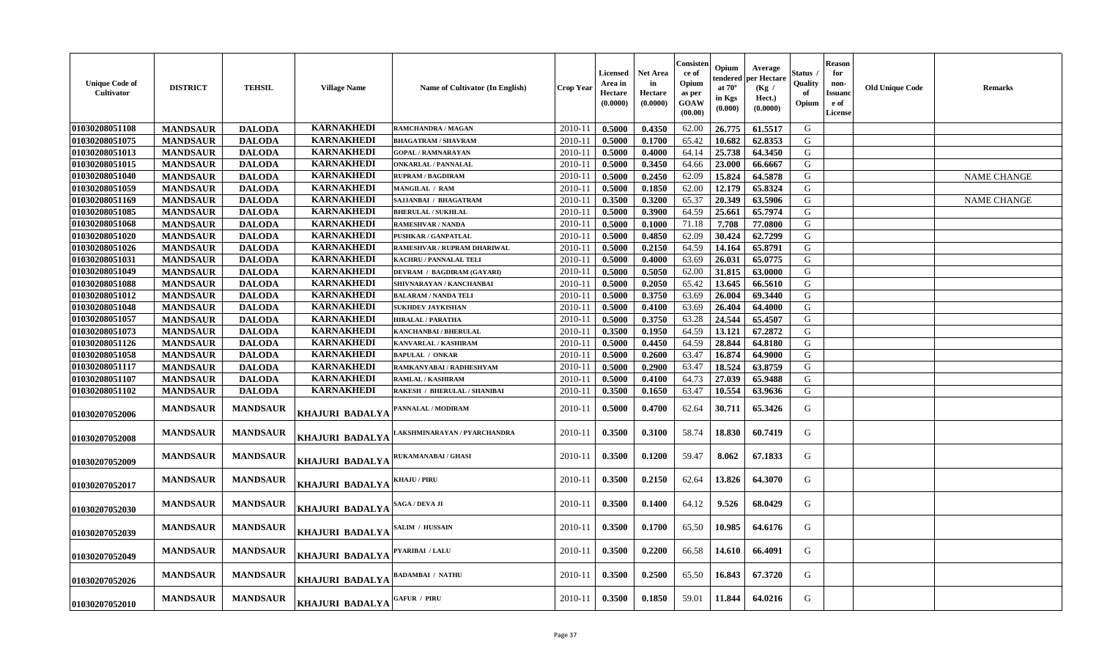| <b>Unique Code of</b><br>Cultivator | <b>DISTRICT</b> | <b>TEHSIL</b>   | <b>Village Name</b>    | <b>Name of Cultivator (In English)</b> | <b>Crop Year</b> | Licensed<br>Area in<br><b>Hectare</b><br>(0.0000) | <b>Net Area</b><br>in<br>Hectare<br>(0.0000) | Consisten<br>ce of<br>Opium<br>as per<br>GOAW<br>(00.00) | Opium<br>tendered<br>at $70^\circ$<br>in Kgs<br>(0.000) | Average<br>per Hectare<br>(Kg /<br>Hect.)<br>(0.0000) | Status<br>Quality<br>оf<br>Opium | <b>Reason</b><br>for<br>non-<br>Issuanc<br>e of<br>License | <b>Old Unique Code</b> | Remarks            |
|-------------------------------------|-----------------|-----------------|------------------------|----------------------------------------|------------------|---------------------------------------------------|----------------------------------------------|----------------------------------------------------------|---------------------------------------------------------|-------------------------------------------------------|----------------------------------|------------------------------------------------------------|------------------------|--------------------|
| 01030208051108                      | <b>MANDSAUR</b> | <b>DALODA</b>   | <b>KARNAKHEDI</b>      | RAMCHANDRA / MAGAN                     | 2010-11          | 0.5000                                            | 0.4350                                       | 62.00                                                    | 26.775                                                  | 61.5517                                               | G                                |                                                            |                        |                    |
| 01030208051075                      | <b>MANDSAUR</b> | <b>DALODA</b>   | <b>KARNAKHEDI</b>      | <b>BHAGATRAM / SHAVRAM</b>             | 2010-11          | 0.5000                                            | 0.1700                                       | 65.42                                                    | 10.682                                                  | 62.8353                                               | G                                |                                                            |                        |                    |
| 01030208051013                      | <b>MANDSAUR</b> | <b>DALODA</b>   | <b>KARNAKHEDI</b>      | <b>GOPAL / RAMNARAYAN</b>              | 2010-11          | 0.5000                                            | 0.4000                                       | 64.14                                                    | 25.738                                                  | 64.3450                                               | G                                |                                                            |                        |                    |
| 01030208051015                      | <b>MANDSAUR</b> | <b>DALODA</b>   | <b>KARNAKHEDI</b>      | <b>ONKARLAL / PANNALAL</b>             | 2010-11          | 0.5000                                            | 0.3450                                       | 64.66                                                    | 23.000                                                  | 66.6667                                               | G                                |                                                            |                        |                    |
| 01030208051040                      | <b>MANDSAUR</b> | <b>DALODA</b>   | <b>KARNAKHEDI</b>      | <b>RUPRAM / BAGDIRAM</b>               | 2010-11          | 0.5000                                            | 0.2450                                       | 62.09                                                    | 15.824                                                  | 64.5878                                               | G                                |                                                            |                        | <b>NAME CHANGE</b> |
| 01030208051059                      | <b>MANDSAUR</b> | <b>DALODA</b>   | <b>KARNAKHEDI</b>      | MANGILAL / RAM                         | 2010-11          | 0.5000                                            | 0.1850                                       | 62.00                                                    | 12.179                                                  | 65.8324                                               | G                                |                                                            |                        |                    |
| 01030208051169                      | <b>MANDSAUR</b> | <b>DALODA</b>   | <b>KARNAKHEDI</b>      | SAJJANBAI / BHAGATRAM                  | 2010-11          | 0.3500                                            | 0.3200                                       | 65.37                                                    | 20.349                                                  | 63.5906                                               | G                                |                                                            |                        | <b>NAME CHANGE</b> |
| 01030208051085                      | <b>MANDSAUR</b> | <b>DALODA</b>   | <b>KARNAKHEDI</b>      | <b>BHERULAL / SUKHLAL</b>              | 2010-11          | 0.5000                                            | 0.3900                                       | 64.59                                                    | 25.661                                                  | 65.7974                                               | G                                |                                                            |                        |                    |
| 01030208051068                      | <b>MANDSAUR</b> | <b>DALODA</b>   | <b>KARNAKHEDI</b>      | <b>RAMESHVAR / NANDA</b>               | 2010-11          | 0.5000                                            | 0.1000                                       | 71.18                                                    | 7.708                                                   | 77.0800                                               | G                                |                                                            |                        |                    |
| 01030208051020                      | <b>MANDSAUR</b> | <b>DALODA</b>   | <b>KARNAKHEDI</b>      | <b>PUSHKAR / GANPATLAL</b>             | 2010-11          | 0.5000                                            | 0.4850                                       | 62.09                                                    | 30.424                                                  | 62.7299                                               | G                                |                                                            |                        |                    |
| 01030208051026                      | <b>MANDSAUR</b> | <b>DALODA</b>   | <b>KARNAKHEDI</b>      | RAMESHVAR / RUPRAM DHARIWAL            | 2010-11          | 0.5000                                            | 0.2150                                       | 64.59                                                    | 14.164                                                  | 65.8791                                               | G                                |                                                            |                        |                    |
| 01030208051031                      | <b>MANDSAUR</b> | <b>DALODA</b>   | <b>KARNAKHEDI</b>      | <b>KACHRU / PANNALAL TELI</b>          | 2010-11          | 0.5000                                            | 0.4000                                       | 63.69                                                    | 26.031                                                  | 65.0775                                               | G                                |                                                            |                        |                    |
| 01030208051049                      | <b>MANDSAUR</b> | <b>DALODA</b>   | <b>KARNAKHEDI</b>      | DEVRAM / BAGDIRAM (GAYARI)             | 2010-11          | 0.5000                                            | 0.5050                                       | 62.00                                                    | 31.815                                                  | 63.0000                                               | G                                |                                                            |                        |                    |
| 01030208051088                      | <b>MANDSAUR</b> | <b>DALODA</b>   | <b>KARNAKHEDI</b>      | SHIVNARAYAN / KANCHANBAI               | 2010-11          | 0.5000                                            | 0.2050                                       | 65.42                                                    | 13.645                                                  | 66.5610                                               | G                                |                                                            |                        |                    |
| 01030208051012                      | <b>MANDSAUR</b> | <b>DALODA</b>   | <b>KARNAKHEDI</b>      | <b>BALARAM / NANDA TELI</b>            | 2010-11          | 0.5000                                            | 0.3750                                       | 63.69                                                    | 26.004                                                  | 69.3440                                               | G                                |                                                            |                        |                    |
| 01030208051048                      | <b>MANDSAUR</b> | <b>DALODA</b>   | <b>KARNAKHEDI</b>      | <b>SUKHDEV JAYKISHAN</b>               | 2010-11          | 0.5000                                            | 0.4100                                       | 63.69                                                    | 26.404                                                  | 64.4000                                               | G                                |                                                            |                        |                    |
| 01030208051057                      | <b>MANDSAUR</b> | <b>DALODA</b>   | <b>KARNAKHEDI</b>      | <b>HIRALAL / PARATHA</b>               | 2010-11          | 0.5000                                            | 0.3750                                       | 63.28                                                    | 24.544                                                  | 65.4507                                               | G                                |                                                            |                        |                    |
| 01030208051073                      | <b>MANDSAUR</b> | <b>DALODA</b>   | <b>KARNAKHEDI</b>      | KANCHANBAI / BHERULAL                  | 2010-11          | 0.3500                                            | 0.1950                                       | 64.59                                                    | 13.121                                                  | 67.2872                                               | ${\bf G}$                        |                                                            |                        |                    |
| 01030208051126                      | <b>MANDSAUR</b> | <b>DALODA</b>   | <b>KARNAKHEDI</b>      | KANVARLAL / KASHIRAM                   | 2010-11          | 0.5000                                            | 0.4450                                       | 64.59                                                    | 28.844                                                  | 64.8180                                               | G                                |                                                            |                        |                    |
| 01030208051058                      | <b>MANDSAUR</b> | <b>DALODA</b>   | <b>KARNAKHEDI</b>      | <b>BAPULAL / ONKAR</b>                 | 2010-11          | 0.5000                                            | 0.2600                                       | 63.47                                                    | 16.874                                                  | 64.9000                                               | G                                |                                                            |                        |                    |
| 01030208051117                      | <b>MANDSAUR</b> | <b>DALODA</b>   | <b>KARNAKHEDI</b>      | RAMKANYABAI / RADHESHYAM               | 2010-11          | 0.5000                                            | 0.2900                                       | 63.47                                                    | 18.524                                                  | 63.8759                                               | G                                |                                                            |                        |                    |
| 01030208051107                      | <b>MANDSAUR</b> | <b>DALODA</b>   | <b>KARNAKHEDI</b>      | <b>RAMLAL / KASHIRAM</b>               | 2010-11          | 0.5000                                            | 0.4100                                       | 64.73                                                    | 27.039                                                  | 65.9488                                               | G                                |                                                            |                        |                    |
| 01030208051102                      | <b>MANDSAUR</b> | <b>DALODA</b>   | <b>KARNAKHEDI</b>      | RAKESH / BHERULAL / SHANIBAI           | 2010-11          | 0.3500                                            | 0.1650                                       | 63.47                                                    | 10.554                                                  | 63.9636                                               | ${\bf G}$                        |                                                            |                        |                    |
| 01030207052006                      | <b>MANDSAUR</b> | <b>MANDSAUR</b> | KHAJURI BADALYA        | PANNALAL / MODIRAM                     | 2010-11          | 0.5000                                            | 0.4700                                       | 62.64                                                    | 30.711                                                  | 65.3426                                               | G                                |                                                            |                        |                    |
| 01030207052008                      | <b>MANDSAUR</b> | <b>MANDSAUR</b> | <b>KHAJURI BADALYA</b> | AKSHMINARAYAN / PYARCHANDRA            | 2010-11          | 0.3500                                            | 0.3100                                       | 58.74                                                    | 18.830                                                  | 60.7419                                               | G                                |                                                            |                        |                    |
| 01030207052009                      | <b>MANDSAUR</b> | <b>MANDSAUR</b> | KHAJURI BADALYA        | RUKAMANABAI / GHASI                    | 2010-11          | 0.3500                                            | 0.1200                                       | 59.47                                                    | 8.062                                                   | 67.1833                                               | G                                |                                                            |                        |                    |
| 01030207052017                      | <b>MANDSAUR</b> | <b>MANDSAUR</b> | <b>KHAJURI BADALYA</b> | <b>KHAJU / PIRU</b>                    | 2010-11          | 0.3500                                            | 0.2150                                       | 62.64                                                    | 13.826                                                  | 64.3070                                               | G                                |                                                            |                        |                    |
| 01030207052030                      | <b>MANDSAUR</b> | <b>MANDSAUR</b> | <b>KHAJURI BADALYA</b> | SAGA / DEVA JI                         | 2010-11          | 0.3500                                            | 0.1400                                       | 64.12                                                    | 9.526                                                   | 68.0429                                               | G                                |                                                            |                        |                    |
| 01030207052039                      | <b>MANDSAUR</b> | <b>MANDSAUR</b> | KHAJURI BADALYA        | SALIM / HUSSAIN                        | 2010-11          | 0.3500                                            | 0.1700                                       | 65.50                                                    | 10.985                                                  | 64.6176                                               | G                                |                                                            |                        |                    |
| 01030207052049                      | <b>MANDSAUR</b> | <b>MANDSAUR</b> | <b>KHAJURI BADALYA</b> | PYARIBAI / LALU                        | 2010-11          | 0.3500                                            | 0.2200                                       | 66.58                                                    | 14.610                                                  | 66.4091                                               | G                                |                                                            |                        |                    |
| 01030207052026                      | <b>MANDSAUR</b> | <b>MANDSAUR</b> | KHAJURI BADALYA        | <b>BADAMBAI / NATHU</b>                | 2010-11          | 0.3500                                            | 0.2500                                       | 65.50                                                    | 16.843                                                  | 67.3720                                               | G                                |                                                            |                        |                    |
| 01030207052010                      | <b>MANDSAUR</b> | <b>MANDSAUR</b> | KHAJURI BADALYA        | <b>GAFUR / PIRU</b>                    | 2010-11          | 0.3500                                            | 0.1850                                       | 59.01                                                    | 11.844                                                  | 64.0216                                               | G                                |                                                            |                        |                    |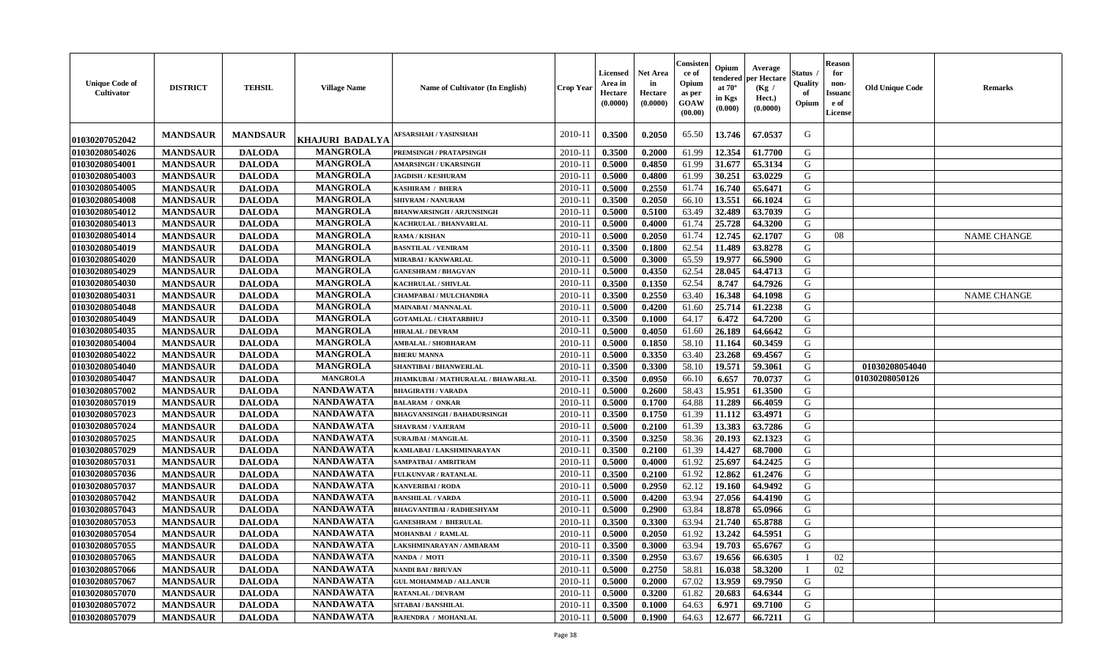| <b>Unique Code of</b><br>Cultivator | <b>DISTRICT</b> | <b>TEHSIL</b>   | <b>Village Name</b> | Name of Cultivator (In English)           | <b>Crop Year</b> | Licensed<br>Area in<br>Hectare<br>(0.0000) | Net Area<br>in<br>Hectare<br>(0.0000) | Consister<br>ce of<br>Opium<br>as per<br>GOAW<br>(00.00) | Opium<br>endere<br>at $70^\circ$<br>in Kgs<br>$(\mathbf{0.000})$ | Average<br>per Hectare<br>(Kg /<br>Hect.)<br>(0.0000) | Status<br>Quality<br>of<br>Opium | <b>Reason</b><br>for<br>non-<br><b>Issuano</b><br>e of<br>License | <b>Old Unique Code</b> | <b>Remarks</b>     |
|-------------------------------------|-----------------|-----------------|---------------------|-------------------------------------------|------------------|--------------------------------------------|---------------------------------------|----------------------------------------------------------|------------------------------------------------------------------|-------------------------------------------------------|----------------------------------|-------------------------------------------------------------------|------------------------|--------------------|
| 01030207052042                      | <b>MANDSAUR</b> | <b>MANDSAUR</b> | KHAJURI BADALYA     | <b>AFSARSHAH / YASINSHAH</b>              | 2010-11          | 0.3500                                     | 0.2050                                | 65.50                                                    | 13.746                                                           | 67.0537                                               | G                                |                                                                   |                        |                    |
| 01030208054026                      | <b>MANDSAUR</b> | <b>DALODA</b>   | <b>MANGROLA</b>     | PREMSINGH / PRATAPSINGH                   | $2010 - 11$      | 0.3500                                     | 0.2000                                | 61.99                                                    | 12.354                                                           | 61.7700                                               | G                                |                                                                   |                        |                    |
| 01030208054001                      | <b>MANDSAUR</b> | <b>DALODA</b>   | <b>MANGROLA</b>     | <b>AMARSINGH / UKARSINGH</b>              | $2010-11$        | 0.5000                                     | 0.4850                                | 61.99                                                    | 31.677                                                           | 65.3134                                               | G                                |                                                                   |                        |                    |
| 01030208054003                      | <b>MANDSAUR</b> | <b>DALODA</b>   | <b>MANGROLA</b>     | <b>JAGDISH / KESHURAM</b>                 | 2010-11          | 0.5000                                     | 0.4800                                | 61.99                                                    | 30.251                                                           | 63.0229                                               | G                                |                                                                   |                        |                    |
| 01030208054005                      | <b>MANDSAUR</b> | <b>DALODA</b>   | <b>MANGROLA</b>     | KASHIRAM / BHERA                          | $2010 - 11$      | 0.5000                                     | 0.2550                                | 61.74                                                    | 16.740                                                           | 65.6471                                               | G                                |                                                                   |                        |                    |
| 01030208054008                      | <b>MANDSAUR</b> | <b>DALODA</b>   | <b>MANGROLA</b>     | <b>SHIVRAM / NANURAM</b>                  | 2010-11          | 0.3500                                     | 0.2050                                | 66.10                                                    | 13.551                                                           | 66.1024                                               | G                                |                                                                   |                        |                    |
| 01030208054012                      | <b>MANDSAUR</b> | <b>DALODA</b>   | <b>MANGROLA</b>     | <b>BHANWARSINGH / ARJUNSINGH</b>          | $2010 - 11$      | 0.5000                                     | 0.5100                                | 63.49                                                    | 32.489                                                           | 63.7039                                               | G                                |                                                                   |                        |                    |
| 01030208054013                      | <b>MANDSAUR</b> | <b>DALODA</b>   | <b>MANGROLA</b>     | <b>KACHRULAL / BHANVARLAL</b>             | 2010-11          | 0.5000                                     | 0.4000                                | 61.74                                                    | 25.728                                                           | 64.3200                                               | G                                |                                                                   |                        |                    |
| 01030208054014                      | <b>MANDSAUR</b> | <b>DALODA</b>   | <b>MANGROLA</b>     | RAMA / KISHAN                             | 2010-11          | 0.5000                                     | 0.2050                                | 61.74                                                    | 12.745                                                           | 62.1707                                               | G                                | 08                                                                |                        | <b>NAME CHANGE</b> |
| 01030208054019                      | <b>MANDSAUR</b> | <b>DALODA</b>   | <b>MANGROLA</b>     | <b>BASNTILAL / VENIRAM</b>                | 2010-11          | 0.3500                                     | 0.1800                                | 62.54                                                    | 11.489                                                           | 63.8278                                               | G                                |                                                                   |                        |                    |
| 01030208054020                      | <b>MANDSAUR</b> | <b>DALODA</b>   | <b>MANGROLA</b>     | MIRABAI / KANWARLAL                       | 2010-11          | 0.5000                                     | 0.3000                                | 65.59                                                    | 19.977                                                           | 66.5900                                               | G                                |                                                                   |                        |                    |
| 01030208054029                      | <b>MANDSAUR</b> | <b>DALODA</b>   | <b>MANGROLA</b>     | <b>GANESHRAM / BHAGVAN</b>                | $2010 - 11$      | 0.5000                                     | 0.4350                                | 62.54                                                    | 28.045                                                           | 64.4713                                               | G                                |                                                                   |                        |                    |
| 01030208054030                      | <b>MANDSAUR</b> | <b>DALODA</b>   | <b>MANGROLA</b>     | <b>KACHRULAL / SHIVLAL</b>                | $2010 - 1$       | 0.3500                                     | 0.1350                                | 62.54                                                    | 8.747                                                            | 64.7926                                               | G                                |                                                                   |                        |                    |
| 01030208054031                      | <b>MANDSAUR</b> | <b>DALODA</b>   | <b>MANGROLA</b>     | CHAMPABAI / MULCHANDRA                    | 2010-11          | 0.3500                                     | 0.2550                                | 63.40                                                    | 16.348                                                           | 64.1098                                               | G                                |                                                                   |                        | <b>NAME CHANGE</b> |
| 01030208054048                      | <b>MANDSAUR</b> | <b>DALODA</b>   | <b>MANGROLA</b>     | <b>MAINABAI/MANNALAL</b>                  | 2010-11          | 0.5000                                     | 0.4200                                | 61.60                                                    | 25.714                                                           | 61.2238                                               | G                                |                                                                   |                        |                    |
| 01030208054049                      | <b>MANDSAUR</b> | <b>DALODA</b>   | <b>MANGROLA</b>     | <b>GOTAMLAL / CHATARBHUJ</b>              | $2010 - 11$      | 0.3500                                     | 0.1000                                | 64.17                                                    | 6.472                                                            | 64.7200                                               | G                                |                                                                   |                        |                    |
| 01030208054035                      | <b>MANDSAUR</b> | <b>DALODA</b>   | <b>MANGROLA</b>     | <b>HIRALAL / DEVRAM</b>                   | 2010-11          | 0.5000                                     | 0.4050                                | 61.60                                                    | 26.189                                                           | 64.6642                                               | G                                |                                                                   |                        |                    |
| 01030208054004                      | <b>MANDSAUR</b> | <b>DALODA</b>   | <b>MANGROLA</b>     | <b>AMBALAL / SHOBHARAM</b>                | $2010 - 11$      | 0.5000                                     | 0.1850                                | 58.10                                                    | 11.164                                                           | 60.3459                                               | G                                |                                                                   |                        |                    |
| 01030208054022                      | <b>MANDSAUR</b> | <b>DALODA</b>   | <b>MANGROLA</b>     | <b>BHERU MANNA</b>                        | 2010-11          | 0.5000                                     | 0.3350                                | 63.40                                                    | 23.268                                                           | 69.4567                                               | G                                |                                                                   |                        |                    |
| 01030208054040                      | <b>MANDSAUR</b> | <b>DALODA</b>   | <b>MANGROLA</b>     | <b>SHANTIBAI / BHANWERLAL</b>             | 2010-11          | 0.3500                                     | 0.3300                                | 58.10                                                    | 19.571                                                           | 59.3061                                               | G                                |                                                                   | 01030208054040         |                    |
| 01030208054047                      | <b>MANDSAUR</b> | <b>DALODA</b>   | <b>MANGROLA</b>     | <b>JHAMKUBAI / MATHURALAL / BHAWARLAL</b> | $2010-1$         | 0.3500                                     | 0.0950                                | 66.10                                                    | 6.657                                                            | 70.0737                                               | G                                |                                                                   | 01030208050126         |                    |
| 01030208057002                      | <b>MANDSAUR</b> | <b>DALODA</b>   | <b>NANDAWATA</b>    | <b>BHAGIRATH / VARADA</b>                 | 2010-11          | 0.5000                                     | 0.2600                                | 58.43                                                    | 15.951                                                           | 61.3500                                               | G                                |                                                                   |                        |                    |
| 01030208057019                      | <b>MANDSAUR</b> | <b>DALODA</b>   | <b>NANDAWATA</b>    | <b>BALARAM / ONKAR</b>                    | 2010-11          | 0.5000                                     | 0.1700                                | 64.88                                                    | 11.289                                                           | 66.4059                                               | G                                |                                                                   |                        |                    |
| 01030208057023                      | <b>MANDSAUR</b> | <b>DALODA</b>   | <b>NANDAWATA</b>    | <b>BHAGVANSINGH / BAHADURSINGH</b>        | $2010 - 1$       | 0.3500                                     | 0.1750                                | 61.39                                                    | 11.112                                                           | 63.4971                                               | G                                |                                                                   |                        |                    |
| 01030208057024                      | <b>MANDSAUR</b> | <b>DALODA</b>   | <b>NANDAWATA</b>    | <b>SHAVRAM / VAJERAM</b>                  | 2010-11          | 0.5000                                     | 0.2100                                | 61.39                                                    | 13.383                                                           | 63.7286                                               | G                                |                                                                   |                        |                    |
| 01030208057025                      | <b>MANDSAUR</b> | <b>DALODA</b>   | <b>NANDAWATA</b>    | <b>SURAJBAI / MANGILAL</b>                | 2010-11          | 0.3500                                     | 0.3250                                | 58.36                                                    | 20.193                                                           | 62.1323                                               | G                                |                                                                   |                        |                    |
| 01030208057029                      | <b>MANDSAUR</b> | <b>DALODA</b>   | <b>NANDAWATA</b>    | KAMLABAI / LAKSHMINARAYAN                 | $2010 - 11$      | 0.3500                                     | 0.2100                                | 61.39                                                    | 14.427                                                           | 68.7000                                               | G                                |                                                                   |                        |                    |
| 01030208057031                      | <b>MANDSAUR</b> | <b>DALODA</b>   | <b>NANDAWATA</b>    | SAMPATBAI / AMRITRAM                      | 2010-11          | 0.5000                                     | 0.4000                                | 61.92                                                    | 25.697                                                           | 64.2425                                               | G                                |                                                                   |                        |                    |
| 01030208057036                      | <b>MANDSAUR</b> | <b>DALODA</b>   | <b>NANDAWATA</b>    | FULKUNVAR / RATANLAL                      | $2010 - 11$      | 0.3500                                     | 0.2100                                | 61.92                                                    | 12.862                                                           | 61.2476                                               | G                                |                                                                   |                        |                    |
| 01030208057037                      | <b>MANDSAUR</b> | <b>DALODA</b>   | <b>NANDAWATA</b>    | <b>KANVERIBAI / RODA</b>                  | 2010-11          | 0.5000                                     | 0.2950                                | 62.12                                                    | 19.160                                                           | 64.9492                                               | G                                |                                                                   |                        |                    |
| 01030208057042                      | <b>MANDSAUR</b> | <b>DALODA</b>   | <b>NANDAWATA</b>    | <b>BANSHILAL / VARDA</b>                  | 2010-11          | 0.5000                                     | 0.4200                                | 63.94                                                    | 27.056                                                           | 64.4190                                               | G                                |                                                                   |                        |                    |
| 01030208057043                      | <b>MANDSAUR</b> | <b>DALODA</b>   | <b>NANDAWATA</b>    | <b>BHAGVANTIBAI / RADHESHYAM</b>          | $2010 - 11$      | 0.5000                                     | 0.2900                                | 63.84                                                    | 18.878                                                           | 65.0966                                               | G                                |                                                                   |                        |                    |
| 01030208057053                      | <b>MANDSAUR</b> | <b>DALODA</b>   | <b>NANDAWATA</b>    | <b>GANESHRAM / BHERULAL</b>               | 2010-11          | 0.3500                                     | 0.3300                                | 63.94                                                    | 21.740                                                           | 65.8788                                               | G                                |                                                                   |                        |                    |
| 01030208057054                      | <b>MANDSAUR</b> | <b>DALODA</b>   | <b>NANDAWATA</b>    | MOHANBAI / RAMLAL                         | 2010-11          | 0.5000                                     | 0.2050                                | 61.92                                                    | 13.242                                                           | 64.5951                                               | G                                |                                                                   |                        |                    |
| 01030208057055                      | <b>MANDSAUR</b> | <b>DALODA</b>   | <b>NANDAWATA</b>    | LAKSHMINARAYAN / AMBARAM                  | $2010-11$ 0.3500 |                                            | 0.3000                                | 63.94                                                    |                                                                  | 19.703 65.6767                                        | G                                |                                                                   |                        |                    |
| 01030208057065                      | <b>MANDSAUR</b> | <b>DALODA</b>   | <b>NANDAWATA</b>    | NANDA / MOTI                              | 2010-11          | 0.3500                                     | 0.2950                                | 63.67                                                    | 19.656                                                           | 66.6305                                               | - 1                              | 02                                                                |                        |                    |
| 01030208057066                      | <b>MANDSAUR</b> | <b>DALODA</b>   | <b>NANDAWATA</b>    | NANDI BAI / BHUVAN                        | 2010-11          | 0.5000                                     | 0.2750                                | 58.81                                                    | 16.038                                                           | 58.3200                                               |                                  | 02                                                                |                        |                    |
| 01030208057067                      | <b>MANDSAUR</b> | <b>DALODA</b>   | <b>NANDAWATA</b>    | <b>GUL MOHAMMAD / ALLANUR</b>             | 2010-11          | 0.5000                                     | 0.2000                                | 67.02                                                    | 13.959                                                           | 69.7950                                               | G                                |                                                                   |                        |                    |
| 01030208057070                      | <b>MANDSAUR</b> | <b>DALODA</b>   | <b>NANDAWATA</b>    | <b>RATANLAL / DEVRAM</b>                  | 2010-11          | 0.5000                                     | 0.3200                                | 61.82                                                    | 20.683                                                           | 64.6344                                               | G                                |                                                                   |                        |                    |
| 01030208057072                      | <b>MANDSAUR</b> | <b>DALODA</b>   | <b>NANDAWATA</b>    | SITABAI / BANSHILAL                       | 2010-11          | 0.3500                                     | 0.1000                                | 64.63                                                    | 6.971                                                            | 69.7100                                               | G                                |                                                                   |                        |                    |
| 01030208057079                      | <b>MANDSAUR</b> | <b>DALODA</b>   | <b>NANDAWATA</b>    | RAJENDRA / MOHANLAL                       | $2010-11$        | 0.5000                                     | 0.1900                                | 64.63                                                    | 12.677                                                           | 66.7211                                               | G                                |                                                                   |                        |                    |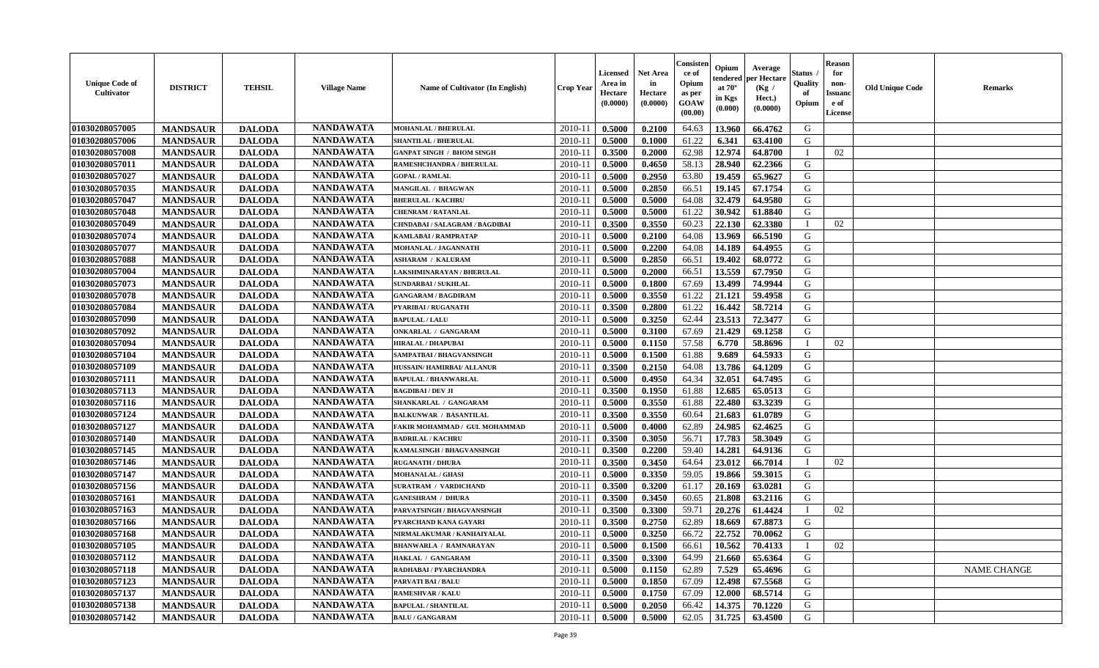| <b>Unique Code of</b><br><b>Cultivator</b> | <b>DISTRICT</b> | <b>TEHSIL</b> | <b>Village Name</b> | Name of Cultivator (In English)  | <b>Crop Year</b> | <b>Licensed</b><br>Area in<br>Hectare<br>(0.0000) | <b>Net Area</b><br>in<br>Hectare<br>(0.0000) | Consisteı<br>ce of<br>Opium<br>as per<br>GOAW<br>(00.00) | Opium<br>endered<br>at $70^\circ$<br>in Kgs<br>(0.000) | Average<br>per Hectare<br>(Kg /<br>Hect.)<br>(0.0000) | Status<br>Quality<br>of<br>Opium | <b>Reason</b><br>for<br>non-<br>Issuano<br>e of<br>License | <b>Old Unique Code</b> | <b>Remarks</b>     |
|--------------------------------------------|-----------------|---------------|---------------------|----------------------------------|------------------|---------------------------------------------------|----------------------------------------------|----------------------------------------------------------|--------------------------------------------------------|-------------------------------------------------------|----------------------------------|------------------------------------------------------------|------------------------|--------------------|
| 01030208057005                             | <b>MANDSAUR</b> | <b>DALODA</b> | <b>NANDAWATA</b>    | MOHANLAL / BHERULAL              | 2010-11          | 0.5000                                            | 0.2100                                       | 64.63                                                    | 13.960                                                 | 66.4762                                               | G                                |                                                            |                        |                    |
| 01030208057006                             | <b>MANDSAUR</b> | <b>DALODA</b> | <b>NANDAWATA</b>    | <b>SHANTILAL / BHERULAL</b>      | 2010-11          | 0.5000                                            | 0.1000                                       | 61.22                                                    | 6.341                                                  | 63.4100                                               | G                                |                                                            |                        |                    |
| 01030208057008                             | <b>MANDSAUR</b> | <b>DALODA</b> | <b>NANDAWATA</b>    | <b>GANPAT SINGH / BHOM SINGH</b> | 2010-11          | 0.3500                                            | 0.2000                                       | 62.98                                                    | 12.974                                                 | 64.8700                                               | $\mathbf{I}$                     | 02                                                         |                        |                    |
| 01030208057011                             | <b>MANDSAUR</b> | <b>DALODA</b> | <b>NANDAWATA</b>    | RAMESHCHANDRA / BHERULAL         | 2010-11          | 0.5000                                            | 0.4650                                       | 58.13                                                    | 28.940                                                 | 62.2366                                               | G                                |                                                            |                        |                    |
| 01030208057027                             | <b>MANDSAUR</b> | <b>DALODA</b> | <b>NANDAWATA</b>    | <b>GOPAL / RAMLAL</b>            | 2010-11          | 0.5000                                            | 0.2950                                       | 63.80                                                    | 19.459                                                 | 65.9627                                               | G                                |                                                            |                        |                    |
| 01030208057035                             | <b>MANDSAUR</b> | <b>DALODA</b> | <b>NANDAWATA</b>    | MANGILAL / BHAGWAN               | 2010-11          | 0.5000                                            | 0.2850                                       | 66.51                                                    | 19.145                                                 | 67.1754                                               | G                                |                                                            |                        |                    |
| 01030208057047                             | <b>MANDSAUR</b> | <b>DALODA</b> | <b>NANDAWATA</b>    | <b>BHERULAL / KACHRU</b>         | 2010-11          | 0.5000                                            | 0.5000                                       | 64.08                                                    | 32.479                                                 | 64.9580                                               | G                                |                                                            |                        |                    |
| 01030208057048                             | <b>MANDSAUR</b> | <b>DALODA</b> | <b>NANDAWATA</b>    | <b>CHENRAM / RATANLAL</b>        | 2010-11          | 0.5000                                            | 0.5000                                       | 61.22                                                    | 30.942                                                 | 61.8840                                               | G                                |                                                            |                        |                    |
| 01030208057049                             | <b>MANDSAUR</b> | <b>DALODA</b> | <b>NANDAWATA</b>    | CHNDABAI / SALAGRAM / BAGDIBAI   | 2010-11          | 0.3500                                            | 0.3550                                       | 60.23                                                    | 22.130                                                 | 62.3380                                               | <sup>1</sup>                     | 02                                                         |                        |                    |
| 01030208057074                             | <b>MANDSAUR</b> | <b>DALODA</b> | <b>NANDAWATA</b>    | KAMLABAI / RAMPRATAP             | 2010-11          | 0.5000                                            | 0.2100                                       | 64.08                                                    | 13.969                                                 | 66.5190                                               | G                                |                                                            |                        |                    |
| 01030208057077                             | <b>MANDSAUR</b> | <b>DALODA</b> | <b>NANDAWATA</b>    | MOHANLAL / JAGANNATH             | 2010-11          | 0.5000                                            | 0.2200                                       | 64.08                                                    | 14.189                                                 | 64.4955                                               | $\mathbf G$                      |                                                            |                        |                    |
| 01030208057088                             | <b>MANDSAUR</b> | <b>DALODA</b> | <b>NANDAWATA</b>    | <b>ASHARAM / KALURAM</b>         | 2010-11          | 0.5000                                            | 0.2850                                       | 66.51                                                    | 19.402                                                 | 68.0772                                               | G                                |                                                            |                        |                    |
| 01030208057004                             | <b>MANDSAUR</b> | <b>DALODA</b> | <b>NANDAWATA</b>    | LAKSHMINARAYAN / BHERULAL        | 2010-11          | 0.5000                                            | 0.2000                                       | 66.51                                                    | 13.559                                                 | 67.7950                                               | G                                |                                                            |                        |                    |
| 01030208057073                             | <b>MANDSAUR</b> | <b>DALODA</b> | <b>NANDAWATA</b>    | <b>SUNDARBAI / SUKHLAL</b>       | $2010 - 11$      | 0.5000                                            | 0.1800                                       | 67.69                                                    | 13.499                                                 | 74.9944                                               | G                                |                                                            |                        |                    |
| 01030208057078                             | <b>MANDSAUR</b> | <b>DALODA</b> | <b>NANDAWATA</b>    | <b>GANGARAM / BAGDIRAM</b>       | 2010-11          | 0.5000                                            | 0.3550                                       | 61.22                                                    | 21.121                                                 | 59.4958                                               | G                                |                                                            |                        |                    |
| 01030208057084                             | <b>MANDSAUR</b> | <b>DALODA</b> | <b>NANDAWATA</b>    | PYARIBAI / RUGANATH              | 2010-11          | 0.3500                                            | 0.2800                                       | 61.22                                                    | 16.442                                                 | 58.7214                                               | G                                |                                                            |                        |                    |
| 01030208057090                             | <b>MANDSAUR</b> | <b>DALODA</b> | <b>NANDAWATA</b>    | <b>BAPULAL / LALU</b>            | 2010-11          | 0.5000                                            | 0.3250                                       | 62.44                                                    | 23.513                                                 | 72.3477                                               | G                                |                                                            |                        |                    |
| 01030208057092                             | <b>MANDSAUR</b> | <b>DALODA</b> | <b>NANDAWATA</b>    | <b>ONKARLAL / GANGARAM</b>       | 2010-11          | 0.5000                                            | 0.3100                                       | 67.69                                                    | 21.429                                                 | 69.1258                                               | G                                |                                                            |                        |                    |
| 01030208057094                             | <b>MANDSAUR</b> | <b>DALODA</b> | <b>NANDAWATA</b>    | <b>HIRALAL / DHAPUBAI</b>        | 2010-11          | 0.5000                                            | 0.1150                                       | 57.58                                                    | 6.770                                                  | 58.8696                                               | $\mathbf{I}$                     | 02                                                         |                        |                    |
| 01030208057104                             | <b>MANDSAUR</b> | <b>DALODA</b> | <b>NANDAWATA</b>    | SAMPATBAI / BHAGVANSINGH         | 2010-11          | 0.5000                                            | 0.1500                                       | 61.88                                                    | 9.689                                                  | 64.5933                                               | G                                |                                                            |                        |                    |
| 01030208057109                             | <b>MANDSAUR</b> | <b>DALODA</b> | <b>NANDAWATA</b>    | HUSSAIN/HAMIRBAI/ ALLANUR        | 2010-11          | 0.3500                                            | 0.2150                                       | 64.08                                                    | 13.786                                                 | 64.1209                                               | G                                |                                                            |                        |                    |
| 01030208057111                             | <b>MANDSAUR</b> | <b>DALODA</b> | <b>NANDAWATA</b>    | <b>BAPULAL / BHANWARLAL</b>      | 2010-11          | 0.5000                                            | 0.4950                                       | 64.34                                                    | 32.051                                                 | 64.7495                                               | G                                |                                                            |                        |                    |
| 01030208057113                             | <b>MANDSAUR</b> | <b>DALODA</b> | <b>NANDAWATA</b>    | <b>BAGDIBAI/DEV JI</b>           | $2010 - 11$      | 0.3500                                            | 0.1950                                       | 61.88                                                    | 12.685                                                 | 65.0513                                               | G                                |                                                            |                        |                    |
| 01030208057116                             | <b>MANDSAUR</b> | <b>DALODA</b> | <b>NANDAWATA</b>    | SHANKARLAL / GANGARAM            | 2010-11          | 0.5000                                            | 0.3550                                       | 61.88                                                    | 22.480                                                 | 63.3239                                               | G                                |                                                            |                        |                    |
| 01030208057124                             | <b>MANDSAUR</b> | <b>DALODA</b> | <b>NANDAWATA</b>    | <b>BALKUNWAR / BASANTILAL</b>    | 2010-11          | 0.3500                                            | 0.3550                                       | 60.64                                                    | 21.683                                                 | 61.0789                                               | G                                |                                                            |                        |                    |
| 01030208057127                             | <b>MANDSAUR</b> | <b>DALODA</b> | <b>NANDAWATA</b>    | FAKIR MOHAMMAD / GUL MOHAMMAD    | 2010-11          | 0.5000                                            | 0.4000                                       | 62.89                                                    | 24.985                                                 | 62.4625                                               | G                                |                                                            |                        |                    |
| 01030208057140                             | <b>MANDSAUR</b> | <b>DALODA</b> | <b>NANDAWATA</b>    | <b>BADRILAL / KACHRU</b>         | 2010-11          | 0.3500                                            | 0.3050                                       | 56.71                                                    | 17.783                                                 | 58.3049                                               | G                                |                                                            |                        |                    |
| 01030208057145                             | <b>MANDSAUR</b> | <b>DALODA</b> | <b>NANDAWATA</b>    | KAMALSINGH / BHAGVANSINGH        | 2010-11          | 0.3500                                            | 0.2200                                       | 59.40                                                    | 14.281                                                 | 64.9136                                               | G                                |                                                            |                        |                    |
| 01030208057146                             | <b>MANDSAUR</b> | <b>DALODA</b> | <b>NANDAWATA</b>    | <b>RUGANATH / DHURA</b>          | 2010-11          | 0.3500                                            | 0.3450                                       | 64.64                                                    | 23.012                                                 | 66.7014                                               | $\mathbf{I}$                     | 02                                                         |                        |                    |
| 01030208057147                             | <b>MANDSAUR</b> | <b>DALODA</b> | <b>NANDAWATA</b>    | <b>MOHANALAL / GHASI</b>         | 2010-11          | 0.5000                                            | 0.3350                                       | 59.05                                                    | 19.866                                                 | 59.3015                                               | G                                |                                                            |                        |                    |
| 01030208057156                             | <b>MANDSAUR</b> | <b>DALODA</b> | <b>NANDAWATA</b>    | <b>SURATRAM / VARDICHAND</b>     | 2010-11          | 0.3500                                            | 0.3200                                       | 61.17                                                    | 20.169                                                 | 63.0281                                               | ${\bf G}$                        |                                                            |                        |                    |
| 01030208057161                             | <b>MANDSAUR</b> | <b>DALODA</b> | <b>NANDAWATA</b>    | <b>GANESHRAM / DHURA</b>         | 2010-11          | 0.3500                                            | 0.3450                                       | 60.65                                                    | 21.808                                                 | 63.2116                                               | G                                |                                                            |                        |                    |
| 01030208057163                             | <b>MANDSAUR</b> | <b>DALODA</b> | <b>NANDAWATA</b>    | PARVATSINGH / BHAGVANSINGH       | 2010-11          | 0.3500                                            | 0.3300                                       | 59.71                                                    | 20.276                                                 | 61.4424                                               | T                                | 02                                                         |                        |                    |
| 01030208057166                             | <b>MANDSAUR</b> | <b>DALODA</b> | <b>NANDAWATA</b>    | PYARCHAND KANA GAYARI            | 2010-11          | 0.3500                                            | 0.2750                                       | 62.89                                                    | 18.669                                                 | 67.8873                                               | G                                |                                                            |                        |                    |
| 01030208057168                             | <b>MANDSAUR</b> | <b>DALODA</b> | <b>NANDAWATA</b>    | NIRMALAKUMAR / KANHAIYALAL       | 2010-11          | 0.5000                                            | 0.3250                                       | 66.72                                                    | 22.752                                                 | 70.0062                                               | G                                |                                                            |                        |                    |
| 01030208057105                             | <b>MANDSAUR</b> | <b>DALODA</b> | <b>NANDAWATA</b>    | <b>BHANWARLA / RAMNARAYAN</b>    | 2010-11          | 0.5000                                            | 0.1500                                       | 66.61                                                    | 10.562                                                 | 70.4133                                               | $\mathbf I$                      | 02                                                         |                        |                    |
| 01030208057112                             | <b>MANDSAUR</b> | <b>DALODA</b> | <b>NANDAWATA</b>    | HAKLAL / GANGARAM                | 2010-11          | 0.3500                                            | 0.3300                                       | 64.99                                                    | 21.660                                                 | 65.6364                                               | G                                |                                                            |                        |                    |
| 01030208057118                             | <b>MANDSAUR</b> | <b>DALODA</b> | <b>NANDAWATA</b>    | RADHABAI / PYARCHANDRA           | 2010-11          | 0.5000                                            | 0.1150                                       | 62.89                                                    | 7.529                                                  | 65.4696                                               | G                                |                                                            |                        | <b>NAME CHANGE</b> |
| 01030208057123                             | <b>MANDSAUR</b> | <b>DALODA</b> | <b>NANDAWATA</b>    | PARVATI BAI / BALU               | $2010 - 11$      | 0.5000                                            | 0.1850                                       | 67.09                                                    | 12.498                                                 | 67.5568                                               | G                                |                                                            |                        |                    |
| 01030208057137                             | <b>MANDSAUR</b> | <b>DALODA</b> | <b>NANDAWATA</b>    | <b>RAMESHVAR / KALU</b>          | $2010 - 11$      | 0.5000                                            | 0.1750                                       | 67.09                                                    | 12.000                                                 | 68.5714                                               | G                                |                                                            |                        |                    |
| 01030208057138                             | <b>MANDSAUR</b> | <b>DALODA</b> | <b>NANDAWATA</b>    | <b>BAPULAL / SHANTILAL</b>       | 2010-11          | 0.5000                                            | 0.2050                                       | 66.42                                                    | 14.375                                                 | 70.1220                                               | G                                |                                                            |                        |                    |
| 01030208057142                             | <b>MANDSAUR</b> | <b>DALODA</b> | <b>NANDAWATA</b>    | <b>BALU / GANGARAM</b>           | 2010-11          | 0.5000                                            | 0.5000                                       | 62.05                                                    | 31.725                                                 | 63.4500                                               | G                                |                                                            |                        |                    |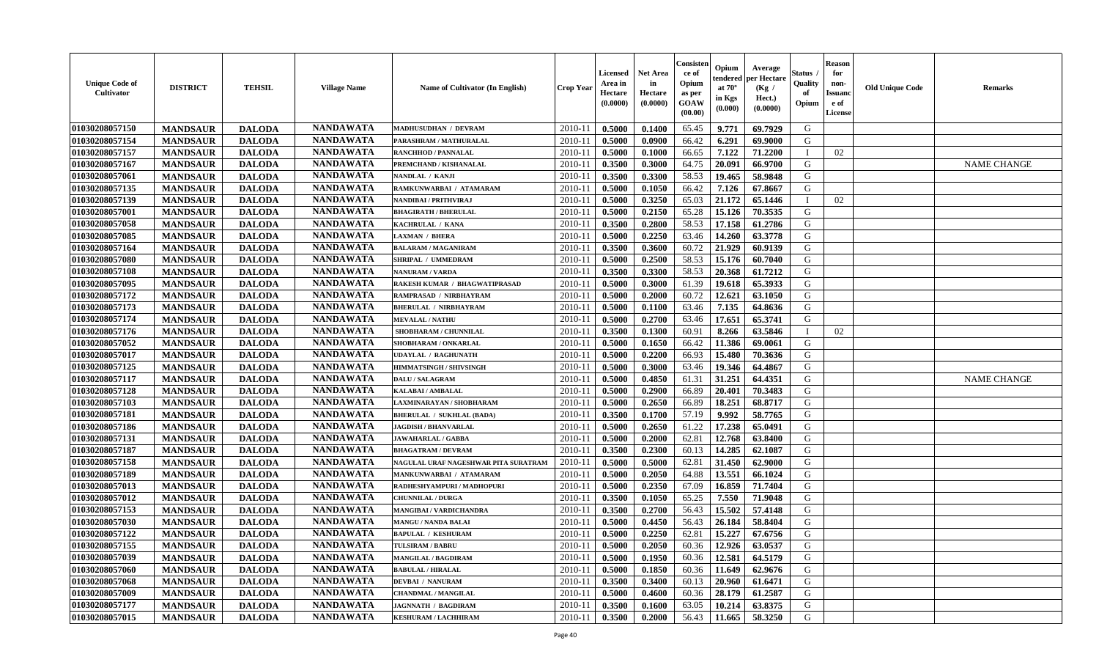| <b>Unique Code of</b><br>Cultivator | <b>DISTRICT</b> | <b>TEHSIL</b> | <b>Village Name</b> | Name of Cultivator (In English)      | <b>Crop Year</b> | Licensed<br>Area in<br>Hectare<br>(0.0000) | Net Area<br>in<br>Hectare<br>(0.0000) | Consisteı<br>ce of<br>Opium<br>as per<br><b>GOAW</b><br>(00.00) | Opium<br>:endereo<br>at $70^\circ$<br>in Kgs<br>$(\mathbf{0.000})$ | Average<br>per Hectare<br>(Kg /<br>Hect.)<br>(0.0000) | Status<br>Quality<br>of<br>Opium | <b>Reason</b><br>for<br>non-<br><b>Issuano</b><br>e of<br>License | <b>Old Unique Code</b> | <b>Remarks</b>     |
|-------------------------------------|-----------------|---------------|---------------------|--------------------------------------|------------------|--------------------------------------------|---------------------------------------|-----------------------------------------------------------------|--------------------------------------------------------------------|-------------------------------------------------------|----------------------------------|-------------------------------------------------------------------|------------------------|--------------------|
| 01030208057150                      | <b>MANDSAUR</b> | <b>DALODA</b> | <b>NANDAWATA</b>    | MADHUSUDHAN / DEVRAM                 | 2010-11          | 0.5000                                     | 0.1400                                | 65.45                                                           | 9.771                                                              | 69.7929                                               | G                                |                                                                   |                        |                    |
| 01030208057154                      | <b>MANDSAUR</b> | <b>DALODA</b> | <b>NANDAWATA</b>    | PARASHRAM / MATHURALAL               | $2010 - 11$      | 0.5000                                     | 0.0900                                | 66.42                                                           | 6.291                                                              | 69.9000                                               | G                                |                                                                   |                        |                    |
| 01030208057157                      | <b>MANDSAUR</b> | <b>DALODA</b> | <b>NANDAWATA</b>    | <b>RANCHHOD / PANNALAL</b>           | $2010 - 11$      | 0.5000                                     | 0.1000                                | 66.65                                                           | 7.122                                                              | 71,2200                                               |                                  | 02                                                                |                        |                    |
| 01030208057167                      | <b>MANDSAUR</b> | <b>DALODA</b> | <b>NANDAWATA</b>    | PREMCHAND / KISHANALAL               | 2010-11          | 0.3500                                     | 0.3000                                | 64.75                                                           | 20.091                                                             | 66.9700                                               | G                                |                                                                   |                        | <b>NAME CHANGE</b> |
| 01030208057061                      | <b>MANDSAUR</b> | <b>DALODA</b> | <b>NANDAWATA</b>    | NANDLAL / KANJI                      | 2010-11          | 0.3500                                     | 0.3300                                | 58.53                                                           | 19.465                                                             | 58.9848                                               | G                                |                                                                   |                        |                    |
| 01030208057135                      | <b>MANDSAUR</b> | <b>DALODA</b> | <b>NANDAWATA</b>    | RAMKUNWARBAI / ATAMARAM              | 2010-11          | 0.5000                                     | 0.1050                                | 66.42                                                           | 7.126                                                              | 67.8667                                               | G                                |                                                                   |                        |                    |
| 01030208057139                      | <b>MANDSAUR</b> | <b>DALODA</b> | <b>NANDAWATA</b>    | NANDIBAI / PRITHVIRAJ                | 2010-11          | 0.5000                                     | 0.3250                                | 65.03                                                           | 21.172                                                             | 65.1446                                               | - 1                              | 02                                                                |                        |                    |
| 01030208057001                      | <b>MANDSAUR</b> | <b>DALODA</b> | <b>NANDAWATA</b>    | <b>BHAGIRATH / BHERULAL</b>          | $2010 - 11$      | 0.5000                                     | 0.2150                                | 65.28                                                           | 15.126                                                             | 70.3535                                               | G                                |                                                                   |                        |                    |
| 01030208057058                      | <b>MANDSAUR</b> | <b>DALODA</b> | <b>NANDAWATA</b>    | KACHRULAL / KANA                     | 2010-11          | 0.3500                                     | 0.2800                                | 58.53                                                           | 17.158                                                             | 61.2786                                               | G                                |                                                                   |                        |                    |
| 01030208057085                      | <b>MANDSAUR</b> | <b>DALODA</b> | <b>NANDAWATA</b>    | <b>LAXMAN / BHERA</b>                | 2010-11          | 0.5000                                     | 0.2250                                | 63.46                                                           | 14.260                                                             | 63.3778                                               | G                                |                                                                   |                        |                    |
| 01030208057164                      | <b>MANDSAUR</b> | <b>DALODA</b> | <b>NANDAWATA</b>    | <b>BALARAM / MAGANIRAM</b>           | 2010-11          | 0.3500                                     | 0.3600                                | 60.72                                                           | 21.929                                                             | 60.9139                                               | G                                |                                                                   |                        |                    |
| 01030208057080                      | <b>MANDSAUR</b> | <b>DALODA</b> | <b>NANDAWATA</b>    | SHRIPAL / UMMEDRAM                   | 2010-11          | 0.5000                                     | 0.2500                                | 58.53                                                           | 15.176                                                             | 60.7040                                               | G                                |                                                                   |                        |                    |
| 01030208057108                      | <b>MANDSAUR</b> | <b>DALODA</b> | <b>NANDAWATA</b>    | NANURAM / VARDA                      | 2010-11          | 0.3500                                     | 0.3300                                | 58.53                                                           | 20.368                                                             | 61.7212                                               | G                                |                                                                   |                        |                    |
| 01030208057095                      | <b>MANDSAUR</b> | <b>DALODA</b> | <b>NANDAWATA</b>    | RAKESH KUMAR / BHAGWATIPRASAD        | $2010 - 1$       | 0.5000                                     | 0.3000                                | 61.39                                                           | 19.618                                                             | 65.3933                                               | G                                |                                                                   |                        |                    |
| 01030208057172                      | <b>MANDSAUR</b> | <b>DALODA</b> | <b>NANDAWATA</b>    | RAMPRASAD / NIRBHAYRAM               | 2010-11          | 0.5000                                     | 0.2000                                | 60.72                                                           | 12.621                                                             | 63.1050                                               | G                                |                                                                   |                        |                    |
| 01030208057173                      | <b>MANDSAUR</b> | <b>DALODA</b> | <b>NANDAWATA</b>    | <b>BHERULAL / NIRBHAYRAM</b>         | 2010-11          | 0.5000                                     | 0.1100                                | 63.46                                                           | 7.135                                                              | 64.8636                                               | G                                |                                                                   |                        |                    |
| 01030208057174                      | <b>MANDSAUR</b> | <b>DALODA</b> | <b>NANDAWATA</b>    | <b>MEVALAL / NATHU</b>               | 2010-11          | 0.5000                                     | 0.2700                                | 63.46                                                           | 17.651                                                             | 65.3741                                               | G                                |                                                                   |                        |                    |
| 01030208057176                      | <b>MANDSAUR</b> | <b>DALODA</b> | <b>NANDAWATA</b>    | SHOBHARAM / CHUNNILAL                | 2010-11          | 0.3500                                     | 0.1300                                | 60.91                                                           | 8.266                                                              | 63.5846                                               | - 1                              | 02                                                                |                        |                    |
| 01030208057052                      | <b>MANDSAUR</b> | <b>DALODA</b> | <b>NANDAWATA</b>    | <b>SHOBHARAM / ONKARLAL</b>          | $2010 - 11$      | 0.5000                                     | 0.1650                                | 66.42                                                           | 11.386                                                             | 69.0061                                               | G                                |                                                                   |                        |                    |
| 01030208057017                      | <b>MANDSAUR</b> | <b>DALODA</b> | <b>NANDAWATA</b>    | <b>UDAYLAL / RAGHUNATH</b>           | 2010-11          | 0.5000                                     | 0.2200                                | 66.93                                                           | 15.480                                                             | 70.3636                                               | G                                |                                                                   |                        |                    |
| 01030208057125                      | <b>MANDSAUR</b> | <b>DALODA</b> | <b>NANDAWATA</b>    | HIMMATSINGH / SHIVSINGH              | 2010-11          | 0.5000                                     | 0.3000                                | 63.46                                                           | 19.346                                                             | 64.4867                                               | G                                |                                                                   |                        |                    |
| 01030208057117                      | <b>MANDSAUR</b> | <b>DALODA</b> | <b>NANDAWATA</b>    | <b>DALU / SALAGRAM</b>               | $2010 - 11$      | 0.5000                                     | 0.4850                                | 61.31                                                           | 31.251                                                             | 64.4351                                               | G                                |                                                                   |                        | <b>NAME CHANGE</b> |
| 01030208057128                      | <b>MANDSAUR</b> | <b>DALODA</b> | <b>NANDAWATA</b>    | <b>KALABAI/AMBALAL</b>               | 2010-11          | 0.5000                                     | 0.2900                                | 66.89                                                           | 20.401                                                             | 70.3483                                               | G                                |                                                                   |                        |                    |
| 01030208057103                      | <b>MANDSAUR</b> | <b>DALODA</b> | <b>NANDAWATA</b>    | LAXMINARAYAN / SHOBHARAM             | 2010-11          | 0.5000                                     | 0.2650                                | 66.89                                                           | 18.251                                                             | 68.8717                                               | G                                |                                                                   |                        |                    |
| 01030208057181                      | <b>MANDSAUR</b> | <b>DALODA</b> | <b>NANDAWATA</b>    | <b>BHERULAL / SUKHLAL (BADA)</b>     | $2010 - 1$       | 0.3500                                     | 0.1700                                | 57.19                                                           | 9.992                                                              | 58.7765                                               | G                                |                                                                   |                        |                    |
| 01030208057186                      | <b>MANDSAUR</b> | <b>DALODA</b> | <b>NANDAWATA</b>    | <b>JAGDISH / BHANVARLAL</b>          | 2010-11          | 0.5000                                     | 0.2650                                | 61.22                                                           | 17.238                                                             | 65.0491                                               | G                                |                                                                   |                        |                    |
| 01030208057131                      | <b>MANDSAUR</b> | <b>DALODA</b> | <b>NANDAWATA</b>    | <b>JAWAHARLAL / GABBA</b>            | $2010-11$        | 0.5000                                     | 0.2000                                | 62.81                                                           | 12.768                                                             | 63.8400                                               | G                                |                                                                   |                        |                    |
| 01030208057187                      | <b>MANDSAUR</b> | <b>DALODA</b> | <b>NANDAWATA</b>    | <b>BHAGATRAM / DEVRAM</b>            | 2010-11          | 0.3500                                     | 0.2300                                | 60.13                                                           | 14.285                                                             | 62.1087                                               | G                                |                                                                   |                        |                    |
| 01030208057158                      | <b>MANDSAUR</b> | <b>DALODA</b> | <b>NANDAWATA</b>    | NAGULAL URAF NAGESHWAR PITA SURATRAM | 2010-11          | 0.5000                                     | 0.5000                                | 62.81                                                           | 31.450                                                             | 62.9000                                               | G                                |                                                                   |                        |                    |
| 01030208057189                      | <b>MANDSAUR</b> | <b>DALODA</b> | <b>NANDAWATA</b>    | MANKUNWARBAI / ATAMARAM              | $2010 - 11$      | 0.5000                                     | 0.2050                                | 64.88                                                           | 13.551                                                             | 66.1024                                               | G                                |                                                                   |                        |                    |
| 01030208057013                      | <b>MANDSAUR</b> | <b>DALODA</b> | <b>NANDAWATA</b>    | RADHESHYAMPURI / MADHOPURI           | 2010-11          | 0.5000                                     | 0.2350                                | 67.09                                                           | 16.859                                                             | 71.7404                                               | G                                |                                                                   |                        |                    |
| 01030208057012                      | <b>MANDSAUR</b> | <b>DALODA</b> | <b>NANDAWATA</b>    | <b>CHUNNILAL / DURGA</b>             | 2010-11          | 0.3500                                     | 0.1050                                | 65.25                                                           | 7.550                                                              | 71.9048                                               | G                                |                                                                   |                        |                    |
| 01030208057153                      | <b>MANDSAUR</b> | <b>DALODA</b> | <b>NANDAWATA</b>    | MANGIBAI / VARDICHANDRA              | $2010 - 11$      | 0.3500                                     | 0.2700                                | 56.43                                                           | 15.502                                                             | 57.4148                                               | G                                |                                                                   |                        |                    |
| 01030208057030                      | <b>MANDSAUR</b> | <b>DALODA</b> | <b>NANDAWATA</b>    | <b>MANGU / NANDA BALAI</b>           | 2010-11          | 0.5000                                     | 0.4450                                | 56.43                                                           | 26.184                                                             | 58.8404                                               | G                                |                                                                   |                        |                    |
| 01030208057122                      | <b>MANDSAUR</b> | <b>DALODA</b> | <b>NANDAWATA</b>    | <b>BAPULAL / KESHURAM</b>            | 2010-11          | 0.5000                                     | 0.2250                                | 62.81                                                           | 15.227                                                             | 67.6756                                               | G                                |                                                                   |                        |                    |
| 01030208057155                      | <b>MANDSAUR</b> | <b>DALODA</b> | <b>NANDAWATA</b>    | <b>TULSIRAM / BABRU</b>              |                  | $2010-11$   0.5000                         | 0.2050                                |                                                                 | 60.36 12.926                                                       | 63.0537                                               | G                                |                                                                   |                        |                    |
| 01030208057039                      | <b>MANDSAUR</b> | <b>DALODA</b> | <b>NANDAWATA</b>    | <b>MANGILAL / BAGDIRAM</b>           | 2010-11          | 0.5000                                     | 0.1950                                | 60.36                                                           | 12.581                                                             | 64.5179                                               | G                                |                                                                   |                        |                    |
| 01030208057060                      | <b>MANDSAUR</b> | <b>DALODA</b> | <b>NANDAWATA</b>    | <b>BABULAL / HIRALAL</b>             | 2010-11          | 0.5000                                     | 0.1850                                | 60.36                                                           | 11.649                                                             | 62.9676                                               | G                                |                                                                   |                        |                    |
| 01030208057068                      | <b>MANDSAUR</b> | <b>DALODA</b> | <b>NANDAWATA</b>    | <b>DEVBAI / NANURAM</b>              | 2010-11          | 0.3500                                     | 0.3400                                | 60.13                                                           | 20.960                                                             | 61.6471                                               | G                                |                                                                   |                        |                    |
| 01030208057009                      | <b>MANDSAUR</b> | <b>DALODA</b> | <b>NANDAWATA</b>    | <b>CHANDMAL / MANGILAL</b>           | 2010-11          | 0.5000                                     | 0.4600                                | 60.36                                                           | 28.179                                                             | 61.2587                                               | G                                |                                                                   |                        |                    |
| 01030208057177                      | <b>MANDSAUR</b> | <b>DALODA</b> | <b>NANDAWATA</b>    | <b>JAGNNATH / BAGDIRAM</b>           | 2010-11          | 0.3500                                     | 0.1600                                | 63.05                                                           | 10.214                                                             | 63.8375                                               | G                                |                                                                   |                        |                    |
| 01030208057015                      | <b>MANDSAUR</b> | <b>DALODA</b> | <b>NANDAWATA</b>    | KESHURAM / LACHHIRAM                 | $2010-11$        | 0.3500                                     | 0.2000                                | 56.43                                                           | 11.665                                                             | 58.3250                                               | G                                |                                                                   |                        |                    |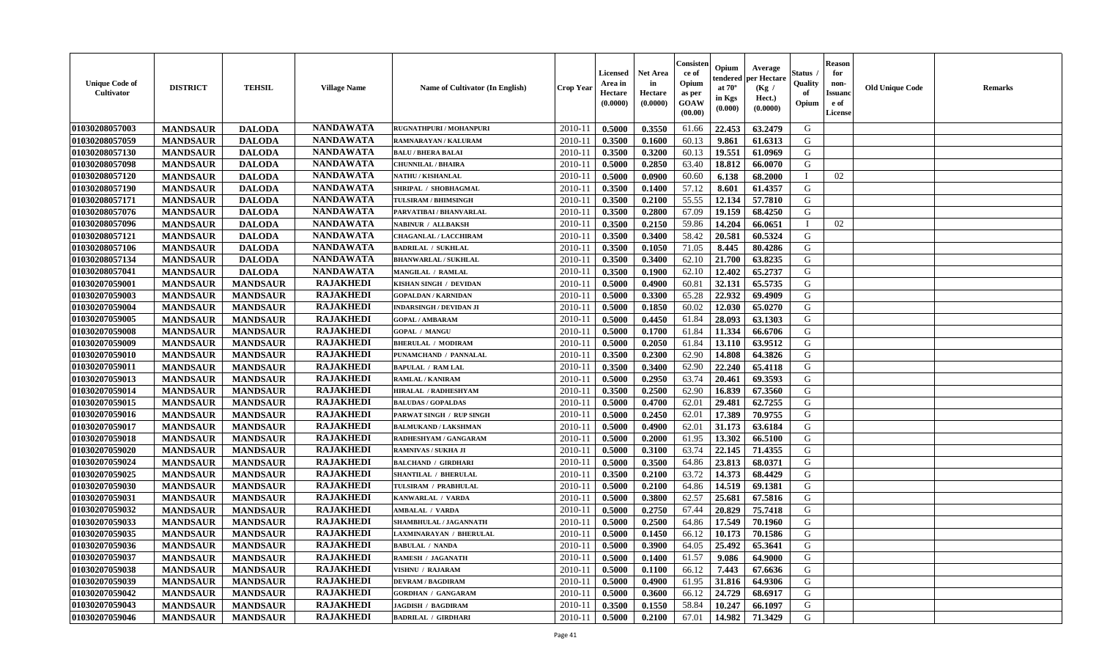| <b>Unique Code of</b><br><b>Cultivator</b> | <b>DISTRICT</b> | <b>TEHSIL</b>   | <b>Village Name</b> | <b>Name of Cultivator (In English)</b> | <b>Crop Year</b> | <b>Licensed</b><br>Area in<br>Hectare<br>(0.0000) | Net Area<br>in<br>Hectare<br>(0.0000) | Consisteı<br>ce of<br>Opium<br>as per<br>GOAW<br>(00.00) | Opium<br>endered<br>at $70^\circ$<br>in Kgs<br>(0.000) | Average<br>per Hectare<br>(Kg /<br>Hect.)<br>(0.0000) | Status<br>Quality<br>of<br>Opium | <b>Reason</b><br>for<br>non-<br><b>Issuand</b><br>e of<br>License | <b>Old Unique Code</b> | Remarks |
|--------------------------------------------|-----------------|-----------------|---------------------|----------------------------------------|------------------|---------------------------------------------------|---------------------------------------|----------------------------------------------------------|--------------------------------------------------------|-------------------------------------------------------|----------------------------------|-------------------------------------------------------------------|------------------------|---------|
| 01030208057003                             | <b>MANDSAUR</b> | <b>DALODA</b>   | <b>NANDAWATA</b>    | RUGNATHPURI / MOHANPURI                | 2010-11          | 0.5000                                            | 0.3550                                | 61.66                                                    | 22.453                                                 | 63.2479                                               | G                                |                                                                   |                        |         |
| 01030208057059                             | <b>MANDSAUR</b> | <b>DALODA</b>   | <b>NANDAWATA</b>    | RAMNARAYAN / KALURAM                   | 2010-11          | 0.3500                                            | 0.1600                                | 60.13                                                    | 9.861                                                  | 61.6313                                               | G                                |                                                                   |                        |         |
| 01030208057130                             | <b>MANDSAUR</b> | <b>DALODA</b>   | <b>NANDAWATA</b>    | <b>BALU / BHERA BALAI</b>              | 2010-11          | 0.3500                                            | 0.3200                                | 60.13                                                    | 19.551                                                 | 61.0969                                               | G                                |                                                                   |                        |         |
| 01030208057098                             | <b>MANDSAUR</b> | <b>DALODA</b>   | <b>NANDAWATA</b>    | <b>CHUNNILAL / BHAIRA</b>              | 2010-11          | 0.5000                                            | 0.2850                                | 63.40                                                    | 18.812                                                 | 66.0070                                               | G                                |                                                                   |                        |         |
| 01030208057120                             | <b>MANDSAUR</b> | <b>DALODA</b>   | <b>NANDAWATA</b>    | <b>NATHU / KISHANLAL</b>               | 2010-11          | 0.5000                                            | 0.0900                                | 60.60                                                    | 6.138                                                  | 68.2000                                               | $\mathbf{I}$                     | 02                                                                |                        |         |
| 01030208057190                             | <b>MANDSAUR</b> | <b>DALODA</b>   | <b>NANDAWATA</b>    | SHRIPAL / SHOBHAGMAL                   | 2010-11          | 0.3500                                            | 0.1400                                | 57.12                                                    | 8.601                                                  | 61.4357                                               | G                                |                                                                   |                        |         |
| 01030208057171                             | <b>MANDSAUR</b> | <b>DALODA</b>   | <b>NANDAWATA</b>    | <b>TULSIRAM / BHIMSINGH</b>            | $2010 - 11$      | 0.3500                                            | 0.2100                                | 55.55                                                    | 12.134                                                 | 57.7810                                               | G                                |                                                                   |                        |         |
| 01030208057076                             | <b>MANDSAUR</b> | <b>DALODA</b>   | <b>NANDAWATA</b>    | PARVATIBAI / BHANVARLAL                | 2010-11          | 0.3500                                            | 0.2800                                | 67.09                                                    | 19.159                                                 | 68.4250                                               | G                                |                                                                   |                        |         |
| 01030208057096                             | <b>MANDSAUR</b> | <b>DALODA</b>   | <b>NANDAWATA</b>    | <b>NABINUR / ALLBAKSH</b>              | 2010-11          | 0.3500                                            | 0.2150                                | 59.86                                                    | 14.204                                                 | 66.0651                                               | $\mathbf I$                      | 02                                                                |                        |         |
| 01030208057121                             | <b>MANDSAUR</b> | <b>DALODA</b>   | <b>NANDAWATA</b>    | <b>CHAGANLAL / LACCHIRAM</b>           | 2010-11          | 0.3500                                            | 0.3400                                | 58.42                                                    | 20.581                                                 | 60.5324                                               | G                                |                                                                   |                        |         |
| 01030208057106                             | <b>MANDSAUR</b> | <b>DALODA</b>   | <b>NANDAWATA</b>    | <b>BADRILAL / SUKHLAL</b>              | 2010-11          | 0.3500                                            | 0.1050                                | 71.05                                                    | 8.445                                                  | 80.4286                                               | G                                |                                                                   |                        |         |
| 01030208057134                             | <b>MANDSAUR</b> | <b>DALODA</b>   | <b>NANDAWATA</b>    | <b>BHANWARLAL / SUKHLAL</b>            | 2010-11          | 0.3500                                            | 0.3400                                | 62.10                                                    | 21.700                                                 | 63.8235                                               | G                                |                                                                   |                        |         |
| 01030208057041                             | <b>MANDSAUR</b> | <b>DALODA</b>   | <b>NANDAWATA</b>    | <b>MANGILAL / RAMLAL</b>               | 2010-11          | 0.3500                                            | 0.1900                                | 62.10                                                    | 12.402                                                 | 65.2737                                               | G                                |                                                                   |                        |         |
| 01030207059001                             | <b>MANDSAUR</b> | <b>MANDSAUR</b> | <b>RAJAKHEDI</b>    | KISHAN SINGH / DEVIDAN                 | 2010-11          | 0.5000                                            | 0.4900                                | 60.81                                                    | 32.131                                                 | 65.5735                                               | G                                |                                                                   |                        |         |
| 01030207059003                             | <b>MANDSAUR</b> | <b>MANDSAUR</b> | <b>RAJAKHEDI</b>    | <b>GOPALDAN / KARNIDAN</b>             | 2010-11          | 0.5000                                            | 0.3300                                | 65.28                                                    | 22.932                                                 | 69.4909                                               | $\mathbf G$                      |                                                                   |                        |         |
| 01030207059004                             | <b>MANDSAUR</b> | <b>MANDSAUR</b> | <b>RAJAKHEDI</b>    | <b>INDARSINGH / DEVIDAN JI</b>         | 2010-11          | 0.5000                                            | 0.1850                                | 60.02                                                    | 12.030                                                 | 65.0270                                               | G                                |                                                                   |                        |         |
| 01030207059005                             | <b>MANDSAUR</b> | <b>MANDSAUR</b> | <b>RAJAKHEDI</b>    | <b>GOPAL / AMBARAM</b>                 | 2010-11          | 0.5000                                            | 0.4450                                | 61.84                                                    | 28.093                                                 | 63.1303                                               | G                                |                                                                   |                        |         |
| 01030207059008                             | <b>MANDSAUR</b> | <b>MANDSAUR</b> | <b>RAJAKHEDI</b>    | <b>GOPAL / MANGU</b>                   | 2010-11          | 0.5000                                            | 0.1700                                | 61.84                                                    | 11.334                                                 | 66.6706                                               | G                                |                                                                   |                        |         |
| 01030207059009                             | <b>MANDSAUR</b> | <b>MANDSAUR</b> | <b>RAJAKHEDI</b>    | <b>BHERULAL / MODIRAM</b>              | 2010-11          | 0.5000                                            | 0.2050                                | 61.84                                                    | 13.110                                                 | 63.9512                                               | G                                |                                                                   |                        |         |
| 01030207059010                             | <b>MANDSAUR</b> | <b>MANDSAUR</b> | <b>RAJAKHEDI</b>    | PUNAMCHAND / PANNALAL                  | 2010-11          | 0.3500                                            | 0.2300                                | 62.90                                                    | 14.808                                                 | 64.3826                                               | G                                |                                                                   |                        |         |
| 01030207059011                             | <b>MANDSAUR</b> | <b>MANDSAUR</b> | <b>RAJAKHEDI</b>    | <b>BAPULAL / RAM LAL</b>               | 2010-11          | 0.3500                                            | 0.3400                                | 62.90                                                    | 22.240                                                 | 65.4118                                               | G                                |                                                                   |                        |         |
| 01030207059013                             | <b>MANDSAUR</b> | <b>MANDSAUR</b> | <b>RAJAKHEDI</b>    | <b>RAMLAL / KANIRAM</b>                | 2010-11          | 0.5000                                            | 0.2950                                | 63.74                                                    | 20.461                                                 | 69.3593                                               | G                                |                                                                   |                        |         |
| 01030207059014                             | <b>MANDSAUR</b> | <b>MANDSAUR</b> | <b>RAJAKHEDI</b>    | HIRALAL / RADHESHYAM                   | 2010-11          | 0.3500                                            | 0.2500                                | 62.90                                                    | 16.839                                                 | 67.3560                                               | G                                |                                                                   |                        |         |
| 01030207059015                             | <b>MANDSAUR</b> | <b>MANDSAUR</b> | <b>RAJAKHEDI</b>    | <b>BALUDAS / GOPALDAS</b>              | 2010-11          | 0.5000                                            | 0.4700                                | 62.01                                                    | 29.481                                                 | 62.7255                                               | G                                |                                                                   |                        |         |
| 01030207059016                             | <b>MANDSAUR</b> | <b>MANDSAUR</b> | <b>RAJAKHEDI</b>    | PARWAT SINGH / RUP SINGH               | 2010-11          | 0.5000                                            | 0.2450                                | 62.01                                                    | 17.389                                                 | 70.9755                                               | G                                |                                                                   |                        |         |
| 01030207059017                             | <b>MANDSAUR</b> | <b>MANDSAUR</b> | <b>RAJAKHEDI</b>    | <b>BALMUKAND / LAKSHMAN</b>            | 2010-11          | 0.5000                                            | 0.4900                                | 62.01                                                    | 31.173                                                 | 63.6184                                               | G                                |                                                                   |                        |         |
| 01030207059018                             | <b>MANDSAUR</b> | <b>MANDSAUR</b> | <b>RAJAKHEDI</b>    | RADHESHYAM / GANGARAM                  | 2010-11          | 0.5000                                            | 0.2000                                | 61.95                                                    | 13.302                                                 | 66.5100                                               | G                                |                                                                   |                        |         |
| 01030207059020                             | <b>MANDSAUR</b> | <b>MANDSAUR</b> | <b>RAJAKHEDI</b>    | <b>RAMNIVAS / SUKHA JI</b>             | 2010-11          | 0.5000                                            | 0.3100                                | 63.74                                                    | 22.145                                                 | 71.4355                                               | G                                |                                                                   |                        |         |
| 01030207059024                             | <b>MANDSAUR</b> | <b>MANDSAUR</b> | <b>RAJAKHEDI</b>    | <b>BALCHAND / GIRDHARI</b>             | 2010-11          | 0.5000                                            | 0.3500                                | 64.86                                                    | 23.813                                                 | 68.0371                                               | G                                |                                                                   |                        |         |
| 01030207059025                             | <b>MANDSAUR</b> | <b>MANDSAUR</b> | <b>RAJAKHEDI</b>    | <b>SHANTILAL / BHERULAL</b>            | 2010-11          | 0.3500                                            | 0.2100                                | 63.72                                                    | 14.373                                                 | 68.4429                                               | G                                |                                                                   |                        |         |
| 01030207059030                             | <b>MANDSAUR</b> | <b>MANDSAUR</b> | <b>RAJAKHEDI</b>    | TULSIRAM / PRABHULAL                   | 2010-11          | 0.5000                                            | 0.2100                                | 64.86                                                    | 14.519                                                 | 69.1381                                               | G                                |                                                                   |                        |         |
| 01030207059031                             | <b>MANDSAUR</b> | <b>MANDSAUR</b> | <b>RAJAKHEDI</b>    | KANWARLAL / VARDA                      | 2010-11          | 0.5000                                            | 0.3800                                | 62.57                                                    | 25.681                                                 | 67.5816                                               | G                                |                                                                   |                        |         |
| 01030207059032                             | <b>MANDSAUR</b> | <b>MANDSAUR</b> | <b>RAJAKHEDI</b>    | <b>AMBALAL / VARDA</b>                 | 2010-11          | 0.5000                                            | 0.2750                                | 67.44                                                    | 20.829                                                 | 75.7418                                               | G                                |                                                                   |                        |         |
| 01030207059033                             | <b>MANDSAUR</b> | <b>MANDSAUR</b> | <b>RAJAKHEDI</b>    | SHAMBHULAL / JAGANNATH                 | 2010-11          | 0.5000                                            | 0.2500                                | 64.86                                                    | 17.549                                                 | 70.1960                                               | G                                |                                                                   |                        |         |
| 01030207059035                             | <b>MANDSAUR</b> | <b>MANDSAUR</b> | <b>RAJAKHEDI</b>    | LAXMINARAYAN / BHERULAL                | 2010-11          | 0.5000                                            | 0.1450                                | 66.12                                                    | 10.173                                                 | 70.1586                                               | G                                |                                                                   |                        |         |
| 01030207059036                             | <b>MANDSAUR</b> | <b>MANDSAUR</b> | <b>RAJAKHEDI</b>    | <b>BABULAL / NANDA</b>                 | 2010-11          | 0.5000                                            | 0.3900                                | 64.05                                                    | 25.492                                                 | 65.3641                                               | G                                |                                                                   |                        |         |
| 01030207059037                             | <b>MANDSAUR</b> | <b>MANDSAUR</b> | <b>RAJAKHEDI</b>    | <b>RAMESH / JAGANATH</b>               | 2010-11          | 0.5000                                            | 0.1400                                | 61.57                                                    | 9.086                                                  | 64.9000                                               | G                                |                                                                   |                        |         |
| 01030207059038                             | <b>MANDSAUR</b> | <b>MANDSAUR</b> | <b>RAJAKHEDI</b>    | VISHNU / RAJARAM                       | 2010-11          | 0.5000                                            | 0.1100                                | 66.12                                                    | 7.443                                                  | 67.6636                                               | G                                |                                                                   |                        |         |
| 01030207059039                             | <b>MANDSAUR</b> | <b>MANDSAUR</b> | <b>RAJAKHEDI</b>    | <b>DEVRAM / BAGDIRAM</b>               | 2010-11          | 0.5000                                            | 0.4900                                | 61.95                                                    | 31.816                                                 | 64.9306                                               | G                                |                                                                   |                        |         |
| 01030207059042                             | <b>MANDSAUR</b> | <b>MANDSAUR</b> | <b>RAJAKHEDI</b>    | <b>GORDHAN / GANGARAM</b>              | 2010-11          | 0.5000                                            | 0.3600                                | 66.12                                                    | 24.729                                                 | 68.6917                                               | ${\bf G}$                        |                                                                   |                        |         |
| 01030207059043                             | <b>MANDSAUR</b> | <b>MANDSAUR</b> | RAJAKHEDI           | <b>JAGDISH / BAGDIRAM</b>              | 2010-11          | 0.3500                                            | 0.1550                                | 58.84                                                    | 10.247                                                 | 66.1097                                               | G                                |                                                                   |                        |         |
| 01030207059046                             | <b>MANDSAUR</b> | <b>MANDSAUR</b> | <b>RAJAKHEDI</b>    | <b>BADRILAL / GIRDHARI</b>             | 2010-11          | 0.5000                                            | 0.2100                                | 67.01                                                    | 14.982                                                 | 71.3429                                               | G                                |                                                                   |                        |         |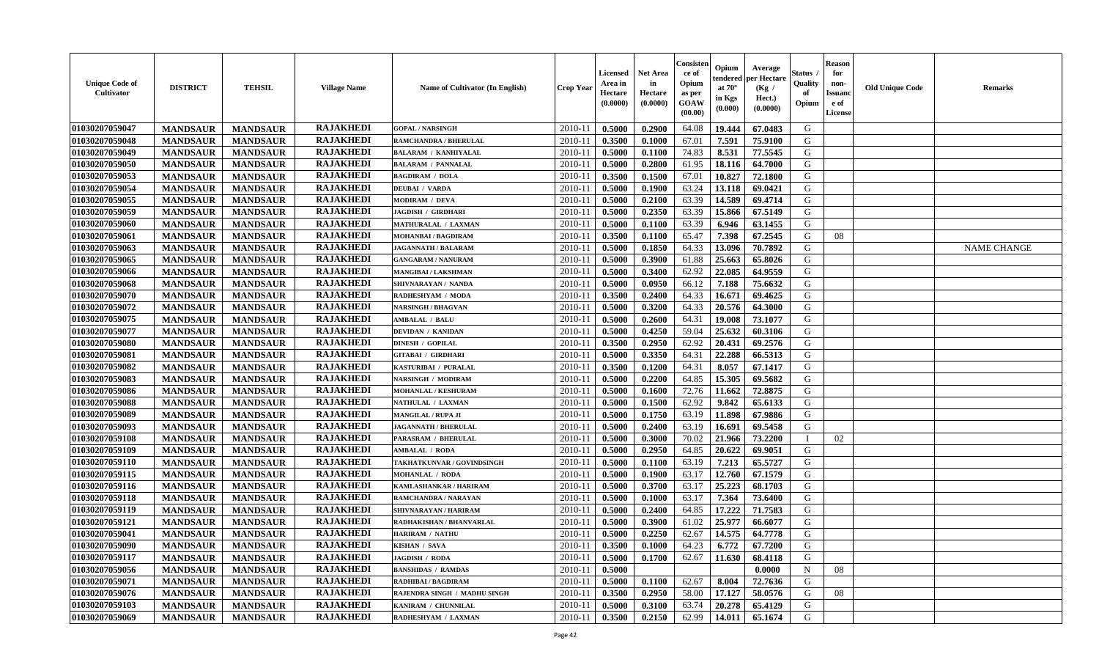| <b>Unique Code of</b><br><b>Cultivator</b> | <b>DISTRICT</b> | <b>TEHSIL</b>   | <b>Village Name</b> | Name of Cultivator (In English) | <b>Crop Year</b> | <b>Licensed</b><br>Area in<br>Hectare<br>(0.0000) | Net Area<br>in<br>Hectare<br>(0.0000) | Consisteı<br>ce of<br>Opium<br>as per<br>GOAW<br>(00.00) | Opium<br>endered<br>at $70^\circ$<br>in Kgs<br>(0.000) | Average<br>per Hectare<br>(Kg /<br>Hect.)<br>(0.0000) | Status<br>Quality<br>of<br>Opium | <b>Reason</b><br>for<br>non-<br><b>Issuand</b><br>e of<br>License | <b>Old Unique Code</b> | Remarks            |
|--------------------------------------------|-----------------|-----------------|---------------------|---------------------------------|------------------|---------------------------------------------------|---------------------------------------|----------------------------------------------------------|--------------------------------------------------------|-------------------------------------------------------|----------------------------------|-------------------------------------------------------------------|------------------------|--------------------|
| 01030207059047                             | <b>MANDSAUR</b> | <b>MANDSAUR</b> | <b>RAJAKHEDI</b>    | <b>GOPAL / NARSINGH</b>         | 2010-11          | 0.5000                                            | 0.2900                                | 64.08                                                    | 19.444                                                 | 67.0483                                               | G                                |                                                                   |                        |                    |
| 01030207059048                             | <b>MANDSAUR</b> | <b>MANDSAUR</b> | <b>RAJAKHEDI</b>    | RAMCHANDRA / BHERULAL           | 2010-11          | 0.3500                                            | 0.1000                                | 67.01                                                    | 7.591                                                  | 75.9100                                               | G                                |                                                                   |                        |                    |
| 01030207059049                             | <b>MANDSAUR</b> | <b>MANDSAUR</b> | <b>RAJAKHEDI</b>    | <b>BALARAM / KANHIYALAL</b>     | 2010-11          | 0.5000                                            | 0.1100                                | 74.83                                                    | 8.531                                                  | 77.5545                                               | G                                |                                                                   |                        |                    |
| 01030207059050                             | <b>MANDSAUR</b> | <b>MANDSAUR</b> | <b>RAJAKHEDI</b>    | <b>BALARAM / PANNALAL</b>       | 2010-11          | 0.5000                                            | 0.2800                                | 61.95                                                    | 18.116                                                 | 64.7000                                               | G                                |                                                                   |                        |                    |
| 01030207059053                             | <b>MANDSAUR</b> | <b>MANDSAUR</b> | <b>RAJAKHEDI</b>    | <b>BAGDIRAM / DOLA</b>          | 2010-11          | 0.3500                                            | 0.1500                                | 67.01                                                    | 10.827                                                 | 72.1800                                               | G                                |                                                                   |                        |                    |
| 01030207059054                             | <b>MANDSAUR</b> | <b>MANDSAUR</b> | <b>RAJAKHEDI</b>    | <b>DEUBAI / VARDA</b>           | 2010-11          | 0.5000                                            | 0.1900                                | 63.24                                                    | 13.118                                                 | 69.0421                                               | G                                |                                                                   |                        |                    |
| 01030207059055                             | <b>MANDSAUR</b> | <b>MANDSAUR</b> | <b>RAJAKHEDI</b>    | <b>MODIRAM / DEVA</b>           | $2010 - 11$      | 0.5000                                            | 0.2100                                | 63.39                                                    | 14.589                                                 | 69.4714                                               | G                                |                                                                   |                        |                    |
| 01030207059059                             | <b>MANDSAUR</b> | <b>MANDSAUR</b> | <b>RAJAKHEDI</b>    | <b>JAGDISH / GIRDHARI</b>       | 2010-11          | 0.5000                                            | 0.2350                                | 63.39                                                    | 15.866                                                 | 67.5149                                               | G                                |                                                                   |                        |                    |
| 01030207059060                             | <b>MANDSAUR</b> | <b>MANDSAUR</b> | <b>RAJAKHEDI</b>    | MATHURALAL / LAXMAN             | 2010-11          | 0.5000                                            | 0.1100                                | 63.39                                                    | 6.946                                                  | 63.1455                                               | G                                |                                                                   |                        |                    |
| 01030207059061                             | <b>MANDSAUR</b> | <b>MANDSAUR</b> | <b>RAJAKHEDI</b>    | <b>MOHANBAI/BAGDIRAM</b>        | 2010-11          | 0.3500                                            | 0.1100                                | 65.47                                                    | 7.398                                                  | 67.2545                                               | G                                | 08                                                                |                        |                    |
| 01030207059063                             | <b>MANDSAUR</b> | <b>MANDSAUR</b> | <b>RAJAKHEDI</b>    | <b>JAGANNATH / BALARAM</b>      | 2010-11          | 0.5000                                            | 0.1850                                | 64.33                                                    | 13.096                                                 | 70.7892                                               | G                                |                                                                   |                        | <b>NAME CHANGE</b> |
| 01030207059065                             | <b>MANDSAUR</b> | <b>MANDSAUR</b> | <b>RAJAKHEDI</b>    | <b>GANGARAM / NANURAM</b>       | 2010-11          | 0.5000                                            | 0.3900                                | 61.88                                                    | 25.663                                                 | 65.8026                                               | G                                |                                                                   |                        |                    |
| 01030207059066                             | <b>MANDSAUR</b> | <b>MANDSAUR</b> | <b>RAJAKHEDI</b>    | <b>MANGIBAI/LAKSHMAN</b>        | 2010-11          | 0.5000                                            | 0.3400                                | 62.92                                                    | 22.085                                                 | 64.9559                                               | G                                |                                                                   |                        |                    |
| 01030207059068                             | <b>MANDSAUR</b> | <b>MANDSAUR</b> | <b>RAJAKHEDI</b>    | SHIVNARAYAN / NANDA             | 2010-11          | 0.5000                                            | 0.0950                                | 66.12                                                    | 7.188                                                  | 75.6632                                               | G                                |                                                                   |                        |                    |
| 01030207059070                             | <b>MANDSAUR</b> | <b>MANDSAUR</b> | <b>RAJAKHEDI</b>    | RADHESHYAM / MODA               | 2010-11          | 0.3500                                            | 0.2400                                | 64.33                                                    | 16.671                                                 | 69.4625                                               | $\mathbf G$                      |                                                                   |                        |                    |
| 01030207059072                             | <b>MANDSAUR</b> | <b>MANDSAUR</b> | <b>RAJAKHEDI</b>    | <b>NARSINGH / BHAGVAN</b>       | 2010-11          | 0.5000                                            | 0.3200                                | 64.33                                                    | 20.576                                                 | 64.3000                                               | G                                |                                                                   |                        |                    |
| 01030207059075                             | <b>MANDSAUR</b> | <b>MANDSAUR</b> | <b>RAJAKHEDI</b>    | <b>AMBALAL / BALU</b>           | 2010-11          | 0.5000                                            | 0.2600                                | 64.31                                                    | 19.008                                                 | 73.1077                                               | G                                |                                                                   |                        |                    |
| 01030207059077                             | <b>MANDSAUR</b> | <b>MANDSAUR</b> | <b>RAJAKHEDI</b>    | <b>DEVIDAN / KANIDAN</b>        | 2010-11          | 0.5000                                            | 0.4250                                | 59.04                                                    | 25.632                                                 | 60.3106                                               | G                                |                                                                   |                        |                    |
| 01030207059080                             | <b>MANDSAUR</b> | <b>MANDSAUR</b> | <b>RAJAKHEDI</b>    | <b>DINESH / GOPILAL</b>         | 2010-11          | 0.3500                                            | 0.2950                                | 62.92                                                    | 20.431                                                 | 69.2576                                               | G                                |                                                                   |                        |                    |
| 01030207059081                             | <b>MANDSAUR</b> | <b>MANDSAUR</b> | <b>RAJAKHEDI</b>    | <b>GITABAI / GIRDHARI</b>       | 2010-11          | 0.5000                                            | 0.3350                                | 64.31                                                    | 22.288                                                 | 66.5313                                               | G                                |                                                                   |                        |                    |
| 01030207059082                             | <b>MANDSAUR</b> | <b>MANDSAUR</b> | <b>RAJAKHEDI</b>    | KASTURIBAI / PURALAL            | 2010-11          | 0.3500                                            | 0.1200                                | 64.31                                                    | 8.057                                                  | 67.1417                                               | G                                |                                                                   |                        |                    |
| 01030207059083                             | <b>MANDSAUR</b> | <b>MANDSAUR</b> | <b>RAJAKHEDI</b>    | <b>NARSINGH / MODIRAM</b>       | 2010-11          | 0.5000                                            | 0.2200                                | 64.85                                                    | 15.305                                                 | 69.5682                                               | G                                |                                                                   |                        |                    |
| 01030207059086                             | <b>MANDSAUR</b> | <b>MANDSAUR</b> | <b>RAJAKHEDI</b>    | <b>MOHANLAL / KESHURAM</b>      | 2010-11          | 0.5000                                            | 0.1600                                | 72.76                                                    | 11.662                                                 | 72.8875                                               | G                                |                                                                   |                        |                    |
| 01030207059088                             | <b>MANDSAUR</b> | <b>MANDSAUR</b> | <b>RAJAKHEDI</b>    | NATHULAL / LAXMAN               | 2010-11          | 0.5000                                            | 0.1500                                | 62.92                                                    | 9.842                                                  | 65.6133                                               | G                                |                                                                   |                        |                    |
| 01030207059089                             | <b>MANDSAUR</b> | <b>MANDSAUR</b> | <b>RAJAKHEDI</b>    | <b>MANGILAL / RUPA JI</b>       | 2010-11          | 0.5000                                            | 0.1750                                | 63.19                                                    | 11.898                                                 | 67.9886                                               | G                                |                                                                   |                        |                    |
| 01030207059093                             | <b>MANDSAUR</b> | <b>MANDSAUR</b> | <b>RAJAKHEDI</b>    | <b>JAGANNATH / BHERULAL</b>     | 2010-11          | 0.5000                                            | 0.2400                                | 63.19                                                    | 16.691                                                 | 69.5458                                               | G                                |                                                                   |                        |                    |
| 01030207059108                             | <b>MANDSAUR</b> | <b>MANDSAUR</b> | <b>RAJAKHEDI</b>    | PARASRAM / BHERULAL             | 2010-11          | 0.5000                                            | 0.3000                                | 70.02                                                    | 21.966                                                 | 73.2200                                               | T                                | 02                                                                |                        |                    |
| 01030207059109                             | <b>MANDSAUR</b> | <b>MANDSAUR</b> | <b>RAJAKHEDI</b>    | <b>AMBALAL / RODA</b>           | 2010-11          | 0.5000                                            | 0.2950                                | 64.85                                                    | 20.622                                                 | 69.9051                                               | G                                |                                                                   |                        |                    |
| 01030207059110                             | <b>MANDSAUR</b> | <b>MANDSAUR</b> | <b>RAJAKHEDI</b>    | TAKHATKUNVAR / GOVINDSINGH      | 2010-11          | 0.5000                                            | 0.1100                                | 63.19                                                    | 7.213                                                  | 65.5727                                               | G                                |                                                                   |                        |                    |
| 01030207059115                             | <b>MANDSAUR</b> | <b>MANDSAUR</b> | <b>RAJAKHEDI</b>    | <b>MOHANLAL / RODA</b>          | 2010-11          | 0.5000                                            | 0.1900                                | 63.17                                                    | 12.760                                                 | 67.1579                                               | G                                |                                                                   |                        |                    |
| 01030207059116                             | <b>MANDSAUR</b> | <b>MANDSAUR</b> | <b>RAJAKHEDI</b>    | KAMLASHANKAR / HARIRAM          | 2010-11          | 0.5000                                            | 0.3700                                | 63.17                                                    | 25.223                                                 | 68.1703                                               | G                                |                                                                   |                        |                    |
| 01030207059118                             | <b>MANDSAUR</b> | <b>MANDSAUR</b> | <b>RAJAKHEDI</b>    | RAMCHANDRA / NARAYAN            | 2010-11          | 0.5000                                            | 0.1000                                | 63.17                                                    | 7.364                                                  | 73.6400                                               | G                                |                                                                   |                        |                    |
| 01030207059119                             | <b>MANDSAUR</b> | <b>MANDSAUR</b> | <b>RAJAKHEDI</b>    | SHIVNARAYAN / HARIRAM           | 2010-11          | 0.5000                                            | 0.2400                                | 64.85                                                    | 17.222                                                 | 71.7583                                               | G                                |                                                                   |                        |                    |
| 01030207059121                             | <b>MANDSAUR</b> | <b>MANDSAUR</b> | <b>RAJAKHEDI</b>    | RADHAKISHAN / BHANVARLAL        | 2010-11          | 0.5000                                            | 0.3900                                | 61.02                                                    | 25.977                                                 | 66.6077                                               | G                                |                                                                   |                        |                    |
| 01030207059041                             | <b>MANDSAUR</b> | <b>MANDSAUR</b> | <b>RAJAKHEDI</b>    | <b>HARIRAM / NATHU</b>          | 2010-11          | 0.5000                                            | 0.2250                                | 62.67                                                    | 14.575                                                 | 64.7778                                               | G                                |                                                                   |                        |                    |
| 01030207059090                             | <b>MANDSAUR</b> | <b>MANDSAUR</b> | <b>RAJAKHEDI</b>    | KISHAN / SAVA                   | 2010-11          | 0.3500                                            | 0.1000                                | 64.23                                                    | 6.772                                                  | 67.7200                                               | G                                |                                                                   |                        |                    |
| 01030207059117                             | <b>MANDSAUR</b> | <b>MANDSAUR</b> | <b>RAJAKHEDI</b>    | JAGDISH / RODA                  | 2010-11          | 0.5000                                            | 0.1700                                | 62.67                                                    | 11.630                                                 | 68.4118                                               | G                                |                                                                   |                        |                    |
| 01030207059056                             | <b>MANDSAUR</b> | <b>MANDSAUR</b> | <b>RAJAKHEDI</b>    | <b>BANSHIDAS / RAMDAS</b>       | 2010-11          | 0.5000                                            |                                       |                                                          |                                                        | 0.0000                                                | N                                | 08                                                                |                        |                    |
| 01030207059071                             | <b>MANDSAUR</b> | <b>MANDSAUR</b> | <b>RAJAKHEDI</b>    | <b>RADHIBAI / BAGDIRAM</b>      | $2010 - 11$      | 0.5000                                            | 0.1100                                | 62.67                                                    | 8.004                                                  | 72.7636                                               | G                                |                                                                   |                        |                    |
| 01030207059076                             | <b>MANDSAUR</b> | <b>MANDSAUR</b> | <b>RAJAKHEDI</b>    | RAJENDRA SINGH / MADHU SINGH    | $2010 - 11$      | 0.3500                                            | 0.2950                                | 58.00                                                    | 17.127                                                 | 58.0576                                               | G                                | 08                                                                |                        |                    |
| 01030207059103                             | <b>MANDSAUR</b> | <b>MANDSAUR</b> | RAJAKHEDI           | KANIRAM / CHUNNILAL             | 2010-11          | 0.5000                                            | 0.3100                                | 63.74                                                    | 20.278                                                 | 65.4129                                               | G                                |                                                                   |                        |                    |
| 01030207059069                             | <b>MANDSAUR</b> | <b>MANDSAUR</b> | <b>RAJAKHEDI</b>    | RADHESHYAM / LAXMAN             | 2010-11          | 0.3500                                            | 0.2150                                | 62.99                                                    | 14.011                                                 | 65.1674                                               | G                                |                                                                   |                        |                    |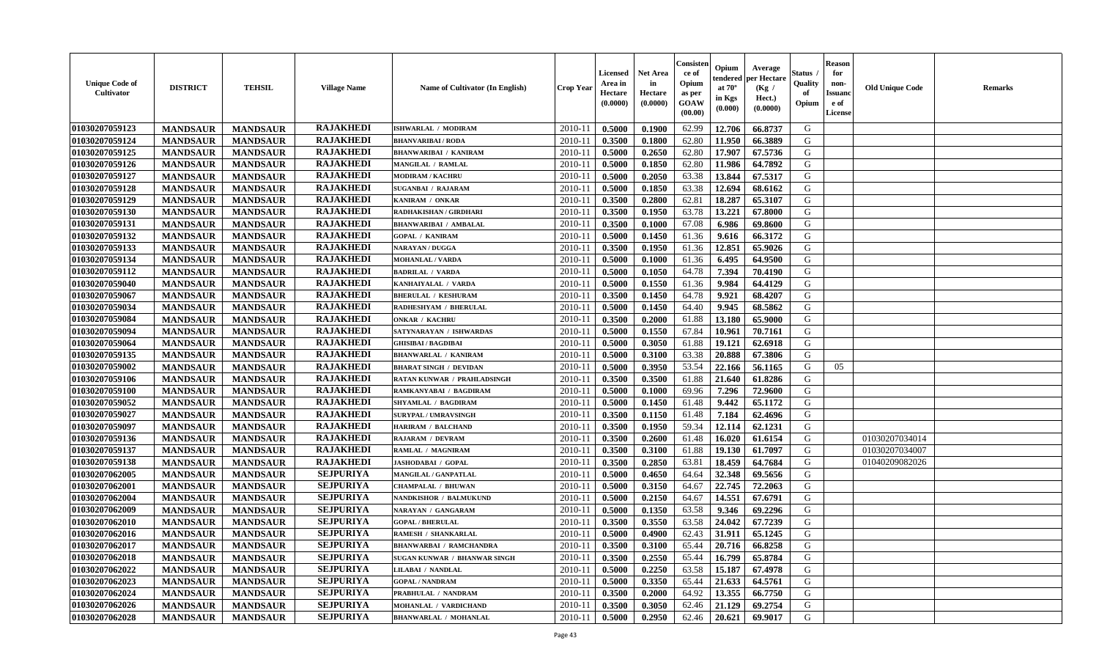| <b>Unique Code of</b><br>Cultivator | <b>DISTRICT</b> | <b>TEHSIL</b>   | <b>Village Name</b> | Name of Cultivator (In English) | <b>Crop Year</b> | <b>Licensed</b><br>Area in<br>Hectare<br>(0.0000) | <b>Net Area</b><br>in<br>Hectare<br>(0.0000) | Consister<br>ce of<br>Opium<br>as per<br>GOAW<br>(00.00) | Opium<br>endered<br>at $70^\circ$<br>in Kgs<br>(0.000) | Average<br>per Hectare<br>(Kg /<br>Hect.)<br>(0.0000) | <b>Status</b> .<br>Quality<br>of<br>Opium | <b>Reason</b><br>for<br>non-<br><b>Issuand</b><br>e of<br>License | <b>Old Unique Code</b> | <b>Remarks</b> |
|-------------------------------------|-----------------|-----------------|---------------------|---------------------------------|------------------|---------------------------------------------------|----------------------------------------------|----------------------------------------------------------|--------------------------------------------------------|-------------------------------------------------------|-------------------------------------------|-------------------------------------------------------------------|------------------------|----------------|
| 01030207059123                      | <b>MANDSAUR</b> | <b>MANDSAUR</b> | <b>RAJAKHEDI</b>    | <b>ISHWARLAL / MODIRAM</b>      | 2010-11          | 0.5000                                            | 0.1900                                       | 62.99                                                    | 12.706                                                 | 66.8737                                               | G                                         |                                                                   |                        |                |
| 01030207059124                      | <b>MANDSAUR</b> | <b>MANDSAUR</b> | <b>RAJAKHEDI</b>    | <b>BHANVARIBAI/RODA</b>         | $2010 - 11$      | 0.3500                                            | 0.1800                                       | 62.80                                                    | 11.950                                                 | 66.3889                                               | G                                         |                                                                   |                        |                |
| 01030207059125                      | <b>MANDSAUR</b> | <b>MANDSAUR</b> | <b>RAJAKHEDI</b>    | <b>BHANWARIBAI / KANIRAM</b>    | 2010-11          | 0.5000                                            | 0.2650                                       | 62.80                                                    | 17.907                                                 | 67.5736                                               | G                                         |                                                                   |                        |                |
| 01030207059126                      | <b>MANDSAUR</b> | <b>MANDSAUR</b> | <b>RAJAKHEDI</b>    | <b>MANGILAL / RAMLAL</b>        | 2010-11          | 0.5000                                            | 0.1850                                       | 62.80                                                    | 11.986                                                 | 64.7892                                               | G                                         |                                                                   |                        |                |
| 01030207059127                      | <b>MANDSAUR</b> | <b>MANDSAUR</b> | <b>RAJAKHEDI</b>    | <b>MODIRAM / KACHRU</b>         | 2010-11          | 0.5000                                            | 0.2050                                       | 63.38                                                    | 13.844                                                 | 67.5317                                               | G                                         |                                                                   |                        |                |
| 01030207059128                      | <b>MANDSAUR</b> | <b>MANDSAUR</b> | <b>RAJAKHEDI</b>    | <b>SUGANBAI / RAJARAM</b>       | 2010-11          | 0.5000                                            | 0.1850                                       | 63.38                                                    | 12.694                                                 | 68.6162                                               | G                                         |                                                                   |                        |                |
| 01030207059129                      | <b>MANDSAUR</b> | <b>MANDSAUR</b> | <b>RAJAKHEDI</b>    | KANIRAM / ONKAR                 | $2010 - 1$       | 0.3500                                            | 0.2800                                       | 62.81                                                    | 18.287                                                 | 65.3107                                               | G                                         |                                                                   |                        |                |
| 01030207059130                      | <b>MANDSAUR</b> | <b>MANDSAUR</b> | <b>RAJAKHEDI</b>    | RADHAKISHAN / GIRDHARI          | 2010-11          | 0.3500                                            | 0.1950                                       | 63.78                                                    | 13.221                                                 | 67.8000                                               | G                                         |                                                                   |                        |                |
| 01030207059131                      | <b>MANDSAUR</b> | <b>MANDSAUR</b> | <b>RAJAKHEDI</b>    | <b>BHANWARIBAI / AMBALAL</b>    | 2010-11          | 0.3500                                            | 0.1000                                       | 67.08                                                    | 6.986                                                  | 69.8600                                               | G                                         |                                                                   |                        |                |
| 01030207059132                      | <b>MANDSAUR</b> | <b>MANDSAUR</b> | <b>RAJAKHEDI</b>    | <b>GOPAL / KANIRAM</b>          | 2010-11          | 0.5000                                            | 0.1450                                       | 61.36                                                    | 9.616                                                  | 66.3172                                               | G                                         |                                                                   |                        |                |
| 01030207059133                      | <b>MANDSAUR</b> | <b>MANDSAUR</b> | <b>RAJAKHEDI</b>    | <b>NARAYAN / DUGGA</b>          | 2010-11          | 0.3500                                            | 0.1950                                       | 61.36                                                    | 12.851                                                 | 65.9026                                               | G                                         |                                                                   |                        |                |
| 01030207059134                      | <b>MANDSAUR</b> | <b>MANDSAUR</b> | <b>RAJAKHEDI</b>    | <b>MOHANLAL / VARDA</b>         | 2010-11          | 0.5000                                            | 0.1000                                       | 61.36                                                    | 6.495                                                  | 64.9500                                               | G                                         |                                                                   |                        |                |
| 01030207059112                      | <b>MANDSAUR</b> | <b>MANDSAUR</b> | <b>RAJAKHEDI</b>    | <b>BADRILAL / VARDA</b>         | 2010-11          | 0.5000                                            | 0.1050                                       | 64.78                                                    | 7.394                                                  | 70.4190                                               | G                                         |                                                                   |                        |                |
| 01030207059040                      | <b>MANDSAUR</b> | <b>MANDSAUR</b> | <b>RAJAKHEDI</b>    | KANHAIYALAL / VARDA             | 2010-11          | 0.5000                                            | 0.1550                                       | 61.36                                                    | 9.984                                                  | 64.4129                                               | G                                         |                                                                   |                        |                |
| 01030207059067                      | <b>MANDSAUR</b> | <b>MANDSAUR</b> | <b>RAJAKHEDI</b>    | <b>BHERULAL / KESHURAM</b>      | $2010 - 1$       | 0.3500                                            | 0.1450                                       | 64.78                                                    | 9.921                                                  | 68.4207                                               | ${\bf G}$                                 |                                                                   |                        |                |
| 01030207059034                      | <b>MANDSAUR</b> | <b>MANDSAUR</b> | <b>RAJAKHEDI</b>    | RADHESHYAM / BHERULAL           | 2010-11          | 0.5000                                            | 0.1450                                       | 64.40                                                    | 9.945                                                  | 68.5862                                               | G                                         |                                                                   |                        |                |
| 01030207059084                      |                 |                 | <b>RAJAKHEDI</b>    | <b>ONKAR / KACHRU</b>           | 2010-11          |                                                   |                                              | 61.88                                                    |                                                        |                                                       | G                                         |                                                                   |                        |                |
|                                     | <b>MANDSAUR</b> | <b>MANDSAUR</b> | <b>RAJAKHEDI</b>    |                                 |                  | 0.3500                                            | 0.2000                                       |                                                          | 13.180                                                 | 65.9000                                               |                                           |                                                                   |                        |                |
| 01030207059094                      | <b>MANDSAUR</b> | <b>MANDSAUR</b> |                     | SATYNARAYAN / ISHWARDAS         | 2010-11          | 0.5000                                            | 0.1550                                       | 67.84                                                    | 10.961                                                 | 70.7161                                               | G                                         |                                                                   |                        |                |
| 01030207059064                      | <b>MANDSAUR</b> | <b>MANDSAUR</b> | <b>RAJAKHEDI</b>    | <b>GHISIBAI / BAGDIBAI</b>      | 2010-11          | 0.5000                                            | 0.3050                                       | 61.88                                                    | 19.121                                                 | 62.6918                                               | G                                         |                                                                   |                        |                |
| 01030207059135                      | <b>MANDSAUR</b> | <b>MANDSAUR</b> | <b>RAJAKHEDI</b>    | <b>BHANWARLAL / KANIRAM</b>     | 2010-11          | 0.5000                                            | 0.3100                                       | 63.38                                                    | 20.888                                                 | 67.3806                                               | G                                         |                                                                   |                        |                |
| 01030207059002                      | <b>MANDSAUR</b> | <b>MANDSAUR</b> | <b>RAJAKHEDI</b>    | <b>BHARAT SINGH / DEVIDAN</b>   | 2010-11          | 0.5000                                            | 0.3950                                       | 53.54                                                    | 22.166                                                 | 56.1165                                               | G                                         | 05                                                                |                        |                |
| 01030207059106                      | <b>MANDSAUR</b> | <b>MANDSAUR</b> | <b>RAJAKHEDI</b>    | RATAN KUNWAR / PRAHLADSINGH     | 2010-11          | 0.3500                                            | 0.3500                                       | 61.88                                                    | 21.640                                                 | 61.8286                                               | G                                         |                                                                   |                        |                |
| 01030207059100                      | <b>MANDSAUR</b> | <b>MANDSAUR</b> | <b>RAJAKHEDI</b>    | RAMKANYABAI / BAGDIRAM          | $2010 - 11$      | 0.5000                                            | 0.1000                                       | 69.96                                                    | 7.296                                                  | 72.9600                                               | G                                         |                                                                   |                        |                |
| 01030207059052                      | <b>MANDSAUR</b> | <b>MANDSAUR</b> | <b>RAJAKHEDI</b>    | SHYAMLAL / BAGDIRAM             | 2010-11          | 0.5000                                            | 0.1450                                       | 61.48                                                    | 9.442                                                  | 65.1172                                               | ${\bf G}$                                 |                                                                   |                        |                |
| 01030207059027                      | <b>MANDSAUR</b> | <b>MANDSAUR</b> | <b>RAJAKHEDI</b>    | <b>SURYPAL / UMRAVSINGH</b>     | 2010-11          | 0.3500                                            | 0.1150                                       | 61.48                                                    | 7.184                                                  | 62.4696                                               | G                                         |                                                                   |                        |                |
| 01030207059097                      | <b>MANDSAUR</b> | <b>MANDSAUR</b> | <b>RAJAKHEDI</b>    | <b>HARIRAM / BALCHAND</b>       | 2010-11          | 0.3500                                            | 0.1950                                       | 59.34                                                    | 12.114                                                 | 62.1231                                               | $\mathsf G$                               |                                                                   |                        |                |
| 01030207059136                      | <b>MANDSAUR</b> | <b>MANDSAUR</b> | <b>RAJAKHEDI</b>    | <b>RAJARAM / DEVRAM</b>         | 2010-11          | 0.3500                                            | 0.2600                                       | 61.48                                                    | 16.020                                                 | 61.6154                                               | G                                         |                                                                   | 01030207034014         |                |
| 01030207059137                      | <b>MANDSAUR</b> | <b>MANDSAUR</b> | <b>RAJAKHEDI</b>    | RAMLAL / MAGNIRAM               | 2010-11          | 0.3500                                            | 0.3100                                       | 61.88                                                    | 19.130                                                 | 61.7097                                               | G                                         |                                                                   | 01030207034007         |                |
| 01030207059138                      | <b>MANDSAUR</b> | <b>MANDSAUR</b> | <b>RAJAKHEDI</b>    | JASHODABAI / GOPAL              | 2010-11          | 0.3500                                            | 0.2850                                       | 63.81                                                    | 18.459                                                 | 64.7684                                               | G                                         |                                                                   | 01040209082026         |                |
| 01030207062005                      | <b>MANDSAUR</b> | <b>MANDSAUR</b> | <b>SEJPURIYA</b>    | MANGILAL / GANPATLAL            | 2010-11          | 0.5000                                            | 0.4650                                       | 64.64                                                    | 32.348                                                 | 69.5656                                               | G                                         |                                                                   |                        |                |
| 01030207062001                      | <b>MANDSAUR</b> | <b>MANDSAUR</b> | <b>SEJPURIYA</b>    | CHAMPALAL / BHUWAN              | $2010 - 11$      | 0.5000                                            | 0.3150                                       | 64.67                                                    | 22.745                                                 | 72.2063                                               | G                                         |                                                                   |                        |                |
| 01030207062004                      | <b>MANDSAUR</b> | <b>MANDSAUR</b> | <b>SEJPURIYA</b>    | NANDKISHOR / BALMUKUND          | 2010-11          | 0.5000                                            | 0.2150                                       | 64.67                                                    | 14.551                                                 | 67.6791                                               | G                                         |                                                                   |                        |                |
| 01030207062009                      | <b>MANDSAUR</b> | <b>MANDSAUR</b> | <b>SEJPURIYA</b>    | NARAYAN / GANGARAM              | 2010-11          | 0.5000                                            | 0.1350                                       | 63.58                                                    | 9.346                                                  | 69.2296                                               | G                                         |                                                                   |                        |                |
| 01030207062010                      | <b>MANDSAUR</b> | <b>MANDSAUR</b> | <b>SEJPURIYA</b>    | <b>GOPAL / BHERULAL</b>         | 2010-11          | 0.3500                                            | 0.3550                                       | 63.58                                                    | 24.042                                                 | 67.7239                                               | G                                         |                                                                   |                        |                |
| 01030207062016                      | <b>MANDSAUR</b> | <b>MANDSAUR</b> | <b>SEJPURIYA</b>    | RAMESH / SHANKARLAL             | 2010-11          | 0.5000                                            | 0.4900                                       | 62.43                                                    | 31.911                                                 | 65.1245                                               | ${\bf G}$                                 |                                                                   |                        |                |
| 01030207062017                      | <b>MANDSAUR</b> | <b>MANDSAUR</b> | <b>SEJPURIYA</b>    | <b>BHANWARBAI / RAMCHANDRA</b>  | 2010-11          | 0.3500                                            | 0.3100                                       | 65.44                                                    | 20.716                                                 | 66.8258                                               | G                                         |                                                                   |                        |                |
| 01030207062018                      | <b>MANDSAUR</b> | <b>MANDSAUR</b> | <b>SEJPURIYA</b>    | SUGAN KUNWAR / BHANWAR SINGH    | 2010-11          | 0.3500                                            | 0.2550                                       | 65.44                                                    | 16.799                                                 | 65.8784                                               | G                                         |                                                                   |                        |                |
| 01030207062022                      | <b>MANDSAUR</b> | <b>MANDSAUR</b> | <b>SEJPURIYA</b>    | <b>LILABAI / NANDLAL</b>        | 2010-11          | 0.5000                                            | 0.2250                                       | 63.58                                                    | 15.187                                                 | 67.4978                                               | G                                         |                                                                   |                        |                |
| 01030207062023                      | <b>MANDSAUR</b> | <b>MANDSAUR</b> | <b>SEJPURIYA</b>    | <b>GOPAL / NANDRAM</b>          | $2010 - 11$      | 0.5000                                            | 0.3350                                       | 65.44                                                    | 21.633                                                 | 64.5761                                               | G                                         |                                                                   |                        |                |
| 01030207062024                      | <b>MANDSAUR</b> | <b>MANDSAUR</b> | <b>SEJPURIYA</b>    | PRABHULAL / NANDRAM             | $2010 - 11$      | 0.3500                                            | 0.2000                                       | 64.92                                                    | 13.355                                                 | 66.7750                                               | ${\bf G}$                                 |                                                                   |                        |                |
| 01030207062026                      | <b>MANDSAUR</b> | <b>MANDSAUR</b> | <b>SEJPURIYA</b>    | MOHANLAL / VARDICHAND           | 2010-11          | 0.3500                                            | 0.3050                                       | 62.46                                                    | 21.129                                                 | 69.2754                                               | G                                         |                                                                   |                        |                |
| 01030207062028                      | <b>MANDSAUR</b> | <b>MANDSAUR</b> | <b>SEJPURIYA</b>    | <b>BHANWARLAL / MOHANLAL</b>    | 2010-11          | 0.5000                                            | 0.2950                                       | 62.46                                                    | 20.621                                                 | 69.9017                                               | G                                         |                                                                   |                        |                |
|                                     |                 |                 |                     |                                 |                  |                                                   |                                              |                                                          |                                                        |                                                       |                                           |                                                                   |                        |                |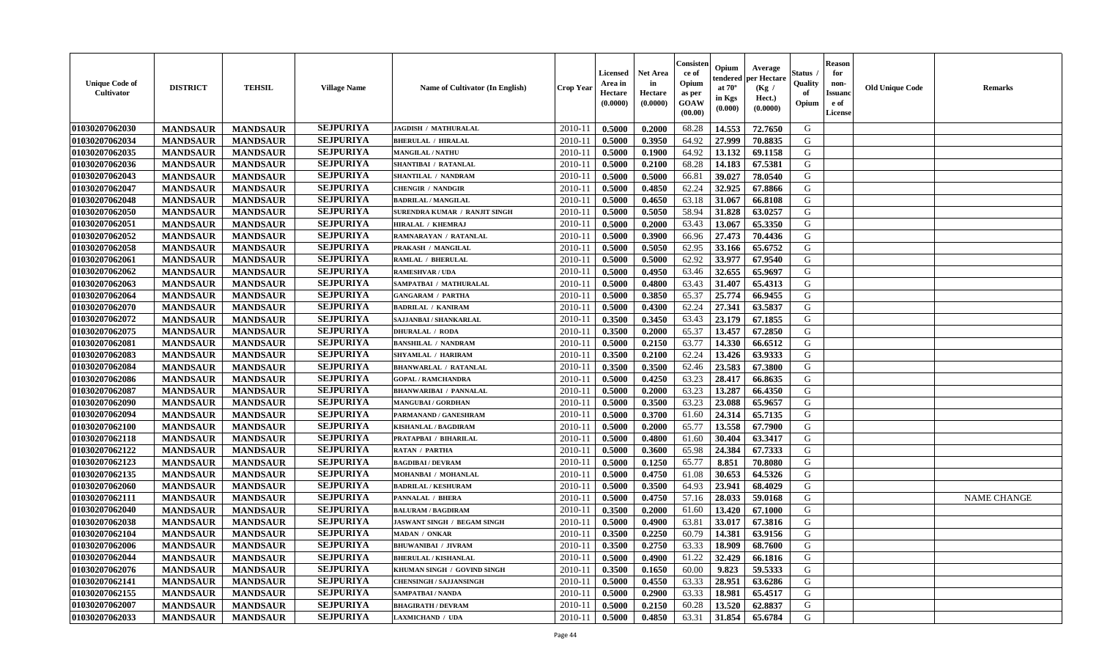| <b>Unique Code of</b><br>Cultivator | <b>DISTRICT</b> | <b>TEHSIL</b>   | <b>Village Name</b> | Name of Cultivator (In English) | <b>Crop Year</b> | <b>Licensed</b><br>Area in<br>Hectare<br>(0.0000) | <b>Net Area</b><br>in<br>Hectare<br>(0.0000) | Consister<br>ce of<br>Opium<br>as per<br>GOAW<br>(00.00) | Opium<br>endered<br>at $70^\circ$<br>in Kgs<br>(0.000) | Average<br>per Hectare<br>(Kg /<br>Hect.)<br>(0.0000) | <b>Status</b><br>Quality<br>of<br>Opium | <b>Reason</b><br>for<br>non-<br><b>Issuand</b><br>e of<br>License | <b>Old Unique Code</b> | <b>Remarks</b>     |
|-------------------------------------|-----------------|-----------------|---------------------|---------------------------------|------------------|---------------------------------------------------|----------------------------------------------|----------------------------------------------------------|--------------------------------------------------------|-------------------------------------------------------|-----------------------------------------|-------------------------------------------------------------------|------------------------|--------------------|
| 01030207062030                      | <b>MANDSAUR</b> | <b>MANDSAUR</b> | <b>SEJPURIYA</b>    | JAGDISH / MATHURALAL            | 2010-11          | 0.5000                                            | 0.2000                                       | 68.28                                                    | 14.553                                                 | 72.7650                                               | G                                       |                                                                   |                        |                    |
| 01030207062034                      | <b>MANDSAUR</b> | <b>MANDSAUR</b> | <b>SEJPURIYA</b>    | <b>BHERULAL / HIRALAL</b>       | 2010-11          | 0.5000                                            | 0.3950                                       | 64.92                                                    | 27.999                                                 | 70.8835                                               | G                                       |                                                                   |                        |                    |
| 01030207062035                      | <b>MANDSAUR</b> | <b>MANDSAUR</b> | <b>SEJPURIYA</b>    | <b>MANGILAL / NATHU</b>         | 2010-11          | 0.5000                                            | 0.1900                                       | 64.92                                                    | 13.132                                                 | 69.1158                                               | G                                       |                                                                   |                        |                    |
| 01030207062036                      | <b>MANDSAUR</b> | <b>MANDSAUR</b> | <b>SEJPURIYA</b>    | <b>SHANTIBAI / RATANLAL</b>     | 2010-11          | 0.5000                                            | 0.2100                                       | 68.28                                                    | 14.183                                                 | 67.5381                                               | G                                       |                                                                   |                        |                    |
| 01030207062043                      | <b>MANDSAUR</b> | <b>MANDSAUR</b> | <b>SEJPURIYA</b>    | SHANTILAL / NANDRAM             | 2010-11          | 0.5000                                            | 0.5000                                       | 66.81                                                    | 39.027                                                 | 78.0540                                               | G                                       |                                                                   |                        |                    |
| 01030207062047                      | <b>MANDSAUR</b> | <b>MANDSAUR</b> | <b>SEJPURIYA</b>    | CHENGIR / NANDGIR               | 2010-11          | 0.5000                                            | 0.4850                                       | 62.24                                                    | 32.925                                                 | 67.8866                                               | G                                       |                                                                   |                        |                    |
| 01030207062048                      | <b>MANDSAUR</b> | <b>MANDSAUR</b> | <b>SEJPURIYA</b>    | <b>BADRILAL / MANGILAL</b>      | $2010 - 11$      | 0.5000                                            | 0.4650                                       | 63.18                                                    | 31.067                                                 | 66.8108                                               | G                                       |                                                                   |                        |                    |
| 01030207062050                      | <b>MANDSAUR</b> | <b>MANDSAUR</b> | <b>SEJPURIYA</b>    | SURENDRA KUMAR / RANJIT SINGH   | 2010-11          | 0.5000                                            | 0.5050                                       | 58.94                                                    | 31.828                                                 | 63.0257                                               | G                                       |                                                                   |                        |                    |
| 01030207062051                      | <b>MANDSAUR</b> | <b>MANDSAUR</b> | <b>SEJPURIYA</b>    | <b>HIRALAL / KHEMRAJ</b>        | 2010-11          | 0.5000                                            | 0.2000                                       | 63.43                                                    | 13.067                                                 | 65.3350                                               | G                                       |                                                                   |                        |                    |
| 01030207062052                      | <b>MANDSAUR</b> | <b>MANDSAUR</b> | <b>SEJPURIYA</b>    | RAMNARAYAN / RATANLAL           | 2010-11          | 0.5000                                            | 0.3900                                       | 66.96                                                    | 27.473                                                 | 70.4436                                               | G                                       |                                                                   |                        |                    |
| 01030207062058                      | <b>MANDSAUR</b> | <b>MANDSAUR</b> | <b>SEJPURIYA</b>    | PRAKASH / MANGILAL              | 2010-11          | 0.5000                                            | 0.5050                                       | 62.95                                                    | 33.166                                                 | 65.6752                                               | G                                       |                                                                   |                        |                    |
| 01030207062061                      | <b>MANDSAUR</b> | <b>MANDSAUR</b> | <b>SEJPURIYA</b>    | <b>RAMLAL / BHERULAL</b>        | 2010-11          | 0.5000                                            | 0.5000                                       | 62.92                                                    | 33.977                                                 | 67.9540                                               | G                                       |                                                                   |                        |                    |
| 01030207062062                      | <b>MANDSAUR</b> | <b>MANDSAUR</b> | <b>SEJPURIYA</b>    | <b>RAMESHVAR / UDA</b>          | 2010-11          | 0.5000                                            | 0.4950                                       | 63.46                                                    | 32.655                                                 | 65.9697                                               | G                                       |                                                                   |                        |                    |
| 01030207062063                      | <b>MANDSAUR</b> | <b>MANDSAUR</b> | <b>SEJPURIYA</b>    | SAMPATBAI / MATHURALAL          | 2010-11          | 0.5000                                            | 0.4800                                       | 63.43                                                    | 31.407                                                 | 65.4313                                               | G                                       |                                                                   |                        |                    |
| 01030207062064                      | <b>MANDSAUR</b> | <b>MANDSAUR</b> | <b>SEJPURIYA</b>    | <b>GANGARAM / PARTHA</b>        | $2010 - 11$      | 0.5000                                            | 0.3850                                       | 65.37                                                    | 25.774                                                 | 66.9455                                               | G                                       |                                                                   |                        |                    |
| 01030207062070                      | <b>MANDSAUR</b> | <b>MANDSAUR</b> | <b>SEJPURIYA</b>    | <b>BADRILAL / KANIRAM</b>       | 2010-11          | 0.5000                                            | 0.4300                                       | 62.24                                                    | 27.341                                                 | 63.5837                                               | G                                       |                                                                   |                        |                    |
| 01030207062072                      | <b>MANDSAUR</b> | <b>MANDSAUR</b> | <b>SEJPURIYA</b>    | SAJJANBAI / SHANKARLAL          | 2010-11          | 0.3500                                            | 0.3450                                       | 63.43                                                    | 23.179                                                 | 67.1855                                               | G                                       |                                                                   |                        |                    |
| 01030207062075                      | <b>MANDSAUR</b> | <b>MANDSAUR</b> | <b>SEJPURIYA</b>    | <b>DHURALAL / RODA</b>          | 2010-11          | 0.3500                                            | 0.2000                                       | 65.37                                                    | 13.457                                                 | 67.2850                                               | G                                       |                                                                   |                        |                    |
| 01030207062081                      | <b>MANDSAUR</b> | <b>MANDSAUR</b> | <b>SEJPURIYA</b>    | <b>BANSHILAL / NANDRAM</b>      | 2010-11          | 0.5000                                            | 0.2150                                       | 63.77                                                    | 14.330                                                 | 66.6512                                               | G                                       |                                                                   |                        |                    |
| 01030207062083                      | <b>MANDSAUR</b> | <b>MANDSAUR</b> | <b>SEJPURIYA</b>    | SHYAMLAL / HARIRAM              | 2010-11          | 0.3500                                            | 0.2100                                       | 62.24                                                    | 13.426                                                 | 63.9333                                               | G                                       |                                                                   |                        |                    |
| 01030207062084                      | <b>MANDSAUR</b> | <b>MANDSAUR</b> | <b>SEJPURIYA</b>    | <b>BHANWARLAL / RATANLAL</b>    | 2010-11          | 0.3500                                            | 0.3500                                       | 62.46                                                    | 23.583                                                 | 67.3800                                               | G                                       |                                                                   |                        |                    |
| 01030207062086                      | <b>MANDSAUR</b> | <b>MANDSAUR</b> | <b>SEJPURIYA</b>    | <b>GOPAL / RAMCHANDRA</b>       | 2010-11          | 0.5000                                            | 0.4250                                       | 63.23                                                    | 28.417                                                 | 66.8635                                               | G                                       |                                                                   |                        |                    |
| 01030207062087                      | <b>MANDSAUR</b> | <b>MANDSAUR</b> | <b>SEJPURIYA</b>    | <b>BHANWARIBAI / PANNALAL</b>   | $2010 - 11$      | 0.5000                                            | 0.2000                                       | 63.23                                                    | 13.287                                                 | 66.4350                                               | ${\bf G}$                               |                                                                   |                        |                    |
| 01030207062090                      | <b>MANDSAUR</b> | <b>MANDSAUR</b> | <b>SEJPURIYA</b>    | <b>MANGUBAI/GORDHAN</b>         | 2010-11          | 0.5000                                            | 0.3500                                       | 63.23                                                    | 23.088                                                 | 65.9657                                               | G                                       |                                                                   |                        |                    |
| 01030207062094                      | <b>MANDSAUR</b> | <b>MANDSAUR</b> | <b>SEJPURIYA</b>    | PARMANAND / GANESHRAM           | 2010-11          | 0.5000                                            | 0.3700                                       | 61.60                                                    | 24.314                                                 | 65.7135                                               | G                                       |                                                                   |                        |                    |
| 01030207062100                      | <b>MANDSAUR</b> | <b>MANDSAUR</b> | <b>SEJPURIYA</b>    | <b>KISHANLAL / BAGDIRAM</b>     | 2010-11          | 0.5000                                            | 0.2000                                       | 65.77                                                    | 13.558                                                 | 67.7900                                               | G                                       |                                                                   |                        |                    |
| 01030207062118                      | <b>MANDSAUR</b> | <b>MANDSAUR</b> | <b>SEJPURIYA</b>    | PRATAPBAI / BIHARILAL           | 2010-11          | 0.5000                                            | 0.4800                                       | 61.60                                                    | 30.404                                                 | 63.3417                                               | G                                       |                                                                   |                        |                    |
| 01030207062122                      | <b>MANDSAUR</b> | <b>MANDSAUR</b> | <b>SEJPURIYA</b>    | <b>RATAN / PARTHA</b>           | 2010-11          | 0.5000                                            | 0.3600                                       | 65.98                                                    | 24.384                                                 | 67.7333                                               | G                                       |                                                                   |                        |                    |
| 01030207062123                      | <b>MANDSAUR</b> | <b>MANDSAUR</b> | <b>SEJPURIYA</b>    | <b>BAGDIBAI/DEVRAM</b>          | 2010-11          | 0.5000                                            | 0.1250                                       | 65.77                                                    | 8.851                                                  | 70.8080                                               | G                                       |                                                                   |                        |                    |
| 01030207062135                      | <b>MANDSAUR</b> | <b>MANDSAUR</b> | <b>SEJPURIYA</b>    | MOHANBAI / MOHANLAL             | 2010-11          | 0.5000                                            | 0.4750                                       | 61.08                                                    | 30.653                                                 | 64.5326                                               | G                                       |                                                                   |                        |                    |
| 01030207062060                      | <b>MANDSAUR</b> | <b>MANDSAUR</b> | <b>SEJPURIYA</b>    | <b>BADRILAL / KESHURAM</b>      | $2010 - 11$      | 0.5000                                            | 0.3500                                       | 64.93                                                    | 23.941                                                 | 68.4029                                               | ${\bf G}$                               |                                                                   |                        |                    |
| 01030207062111                      | <b>MANDSAUR</b> | <b>MANDSAUR</b> | <b>SEJPURIYA</b>    | PANNALAL / BHERA                | 2010-11          | 0.5000                                            | 0.4750                                       | 57.16                                                    | 28.033                                                 | 59.0168                                               | G                                       |                                                                   |                        | <b>NAME CHANGE</b> |
| 01030207062040                      | <b>MANDSAUR</b> | <b>MANDSAUR</b> | <b>SEJPURIYA</b>    | <b>BALURAM / BAGDIRAM</b>       | 2010-11          | 0.3500                                            | 0.2000                                       | 61.60                                                    | 13.420                                                 | 67.1000                                               | G                                       |                                                                   |                        |                    |
| 01030207062038                      | <b>MANDSAUR</b> | <b>MANDSAUR</b> | <b>SEJPURIYA</b>    | JASWANT SINGH / BEGAM SINGH     | 2010-11          | 0.5000                                            | 0.4900                                       | 63.81                                                    | 33.017                                                 | 67.3816                                               | G                                       |                                                                   |                        |                    |
| 01030207062104                      | <b>MANDSAUR</b> | <b>MANDSAUR</b> | <b>SEJPURIYA</b>    | MADAN / ONKAR                   | 2010-11          | 0.3500                                            | 0.2250                                       | 60.79                                                    | 14.381                                                 | 63.9156                                               | G                                       |                                                                   |                        |                    |
| 01030207062006                      | <b>MANDSAUR</b> | <b>MANDSAUR</b> | <b>SEJPURIYA</b>    | <b>BHUWANIBAI / JIVRAM</b>      | 2010-11          | 0.3500                                            | 0.2750                                       | 63.33                                                    | 18.909                                                 | 68.7600                                               | G                                       |                                                                   |                        |                    |
| 01030207062044                      | <b>MANDSAUR</b> | <b>MANDSAUR</b> | <b>SEJPURIYA</b>    | <b>BHERULAL / KISHANLAL</b>     | 2010-11          | 0.5000                                            | 0.4900                                       | 61.22                                                    | 32.429                                                 | 66.1816                                               | G                                       |                                                                   |                        |                    |
| 01030207062076                      | <b>MANDSAUR</b> | <b>MANDSAUR</b> | <b>SEJPURIYA</b>    | KHUMAN SINGH / GOVIND SINGH     | 2010-11          | 0.3500                                            | 0.1650                                       | 60.00                                                    | 9.823                                                  | 59.5333                                               | G                                       |                                                                   |                        |                    |
| 01030207062141                      | <b>MANDSAUR</b> | <b>MANDSAUR</b> | <b>SEJPURIYA</b>    | <b>CHENSINGH / SAJJANSINGH</b>  | 2010-11          | 0.5000                                            | 0.4550                                       | 63.33                                                    | 28.951                                                 | 63.6286                                               | ${\bf G}$                               |                                                                   |                        |                    |
| 01030207062155                      | <b>MANDSAUR</b> | <b>MANDSAUR</b> | <b>SEJPURIYA</b>    | SAMPATBAI / NANDA               | $2010 - 11$      | 0.5000                                            | 0.2900                                       | 63.33                                                    | 18.981                                                 | 65.4517                                               | G                                       |                                                                   |                        |                    |
| 01030207062007                      | <b>MANDSAUR</b> | <b>MANDSAUR</b> | <b>SEJPURIYA</b>    | <b>BHAGIRATH / DEVRAM</b>       | 2010-11          | 0.5000                                            | 0.2150                                       | 60.28                                                    | 13.520                                                 | 62.8837                                               | G                                       |                                                                   |                        |                    |
| 01030207062033                      | <b>MANDSAUR</b> | <b>MANDSAUR</b> | <b>SEJPURIYA</b>    | <b>LAXMICHAND / UDA</b>         | 2010-11          | 0.5000                                            | 0.4850                                       | 63.31                                                    | 31.854                                                 | 65.6784                                               | G                                       |                                                                   |                        |                    |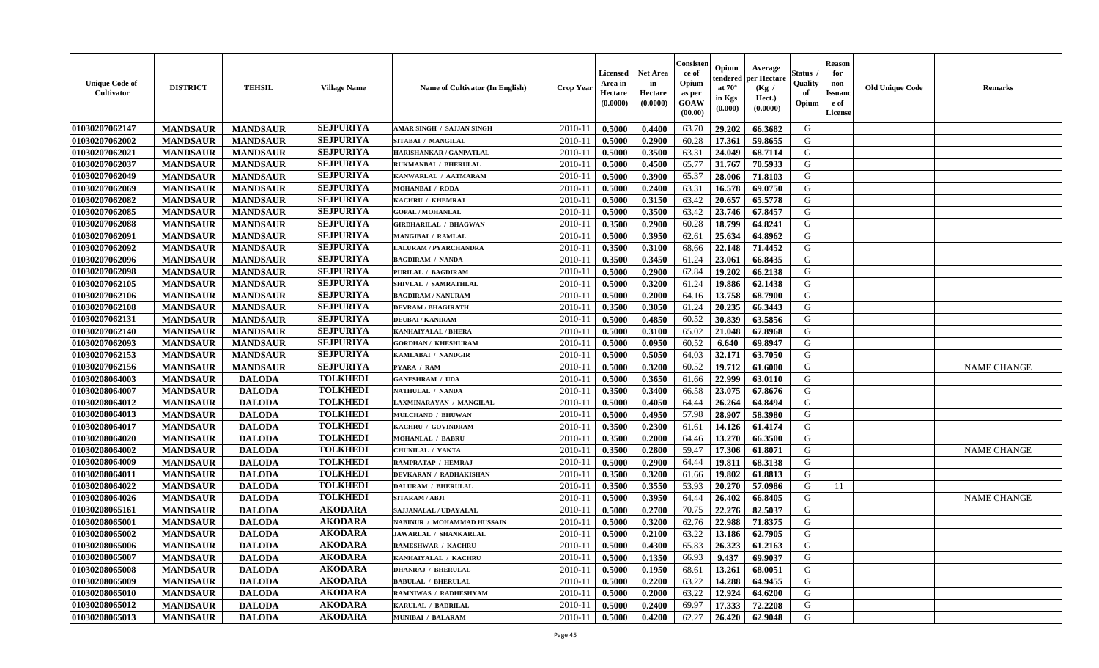| <b>Unique Code of</b><br>Cultivator | <b>DISTRICT</b> | <b>TEHSIL</b>   | <b>Village Name</b> | Name of Cultivator (In English)  | <b>Crop Year</b> | <b>Licensed</b><br>Area in<br>Hectare<br>(0.0000) | <b>Net Area</b><br>in<br>Hectare<br>(0.0000) | Consister<br>ce of<br>Opium<br>as per<br>GOAW<br>(00.00) | Opium<br>endered<br>at $70^\circ$<br>in Kgs<br>(0.000) | Average<br>per Hectare<br>(Kg /<br>Hect.)<br>(0.0000) | Status .<br>Quality<br>of<br>Opium | <b>Reason</b><br>for<br>non-<br><b>Issuand</b><br>e of<br>License | <b>Old Unique Code</b> | <b>Remarks</b>     |
|-------------------------------------|-----------------|-----------------|---------------------|----------------------------------|------------------|---------------------------------------------------|----------------------------------------------|----------------------------------------------------------|--------------------------------------------------------|-------------------------------------------------------|------------------------------------|-------------------------------------------------------------------|------------------------|--------------------|
| 01030207062147                      | <b>MANDSAUR</b> | <b>MANDSAUR</b> | <b>SEJPURIYA</b>    | <b>AMAR SINGH / SAJJAN SINGH</b> | 2010-11          | 0.5000                                            | 0.4400                                       | 63.70                                                    | 29.202                                                 | 66.3682                                               | G                                  |                                                                   |                        |                    |
| 01030207062002                      | <b>MANDSAUR</b> | <b>MANDSAUR</b> | <b>SEJPURIYA</b>    | SITABAI / MANGILAL               | $2010 - 11$      | 0.5000                                            | 0.2900                                       | 60.28                                                    | 17.361                                                 | 59.8655                                               | G                                  |                                                                   |                        |                    |
| 01030207062021                      | <b>MANDSAUR</b> | <b>MANDSAUR</b> | <b>SEJPURIYA</b>    | HARISHANKAR / GANPATLAL          | 2010-11          | 0.5000                                            | 0.3500                                       | 63.31                                                    | 24.049                                                 | 68.7114                                               | G                                  |                                                                   |                        |                    |
| 01030207062037                      | <b>MANDSAUR</b> | <b>MANDSAUR</b> | <b>SEJPURIYA</b>    | <b>RUKMANBAI / BHERULAL</b>      | 2010-11          | 0.5000                                            | 0.4500                                       | 65.77                                                    | 31.767                                                 | 70.5933                                               | G                                  |                                                                   |                        |                    |
| 01030207062049                      | <b>MANDSAUR</b> | <b>MANDSAUR</b> | <b>SEJPURIYA</b>    | KANWARLAL / AATMARAM             | 2010-11          | 0.5000                                            | 0.3900                                       | 65.37                                                    | 28.006                                                 | 71.8103                                               | G                                  |                                                                   |                        |                    |
| 01030207062069                      | <b>MANDSAUR</b> | <b>MANDSAUR</b> | <b>SEJPURIYA</b>    | MOHANBAI / RODA                  | 2010-11          | 0.5000                                            | 0.2400                                       | 63.31                                                    | 16.578                                                 | 69.0750                                               | G                                  |                                                                   |                        |                    |
| 01030207062082                      | <b>MANDSAUR</b> | <b>MANDSAUR</b> | <b>SEJPURIYA</b>    | KACHRU / KHEMRAJ                 | $2010 - 1$       | 0.5000                                            | 0.3150                                       | 63.42                                                    | 20.657                                                 | 65.5778                                               | G                                  |                                                                   |                        |                    |
| 01030207062085                      | <b>MANDSAUR</b> | <b>MANDSAUR</b> | <b>SEJPURIYA</b>    | <b>GOPAL / MOHANLAL</b>          | 2010-11          | 0.5000                                            | 0.3500                                       | 63.42                                                    | 23.746                                                 | 67.8457                                               | G                                  |                                                                   |                        |                    |
| 01030207062088                      | <b>MANDSAUR</b> | <b>MANDSAUR</b> | <b>SEJPURIYA</b>    | <b>GIRDHARILAL / BHAGWAN</b>     | 2010-11          | 0.3500                                            | 0.2900                                       | 60.28                                                    | 18.799                                                 | 64.8241                                               | G                                  |                                                                   |                        |                    |
| 01030207062091                      | <b>MANDSAUR</b> | <b>MANDSAUR</b> | <b>SEJPURIYA</b>    | <b>MANGIBAI / RAMLAL</b>         | 2010-11          | 0.5000                                            | 0.3950                                       | 62.61                                                    | 25.634                                                 | 64.8962                                               | G                                  |                                                                   |                        |                    |
| 01030207062092                      | <b>MANDSAUR</b> | <b>MANDSAUR</b> | <b>SEJPURIYA</b>    | <b>LALURAM / PYARCHANDRA</b>     | 2010-11          | 0.3500                                            | 0.3100                                       | 68.66                                                    | 22.148                                                 | 71.4452                                               | G                                  |                                                                   |                        |                    |
| 01030207062096                      | <b>MANDSAUR</b> | <b>MANDSAUR</b> | <b>SEJPURIYA</b>    | <b>BAGDIRAM / NANDA</b>          | 2010-11          | 0.3500                                            | 0.3450                                       | 61.24                                                    | 23.061                                                 | 66.8435                                               | G                                  |                                                                   |                        |                    |
| 01030207062098                      | <b>MANDSAUR</b> | <b>MANDSAUR</b> | <b>SEJPURIYA</b>    | <b>PURILAL / BAGDIRAM</b>        | 2010-11          | 0.5000                                            | 0.2900                                       | 62.84                                                    | 19.202                                                 | 66.2138                                               | G                                  |                                                                   |                        |                    |
| 01030207062105                      | <b>MANDSAUR</b> | <b>MANDSAUR</b> | <b>SEJPURIYA</b>    | SHIVLAL / SAMRATHLAL             | 2010-11          | 0.5000                                            | 0.3200                                       | 61.24                                                    | 19.886                                                 | 62.1438                                               | G                                  |                                                                   |                        |                    |
| 01030207062106                      | <b>MANDSAUR</b> | <b>MANDSAUR</b> | <b>SEJPURIYA</b>    | <b>BAGDIRAM / NANURAM</b>        | $2010 - 1$       | 0.5000                                            | 0.2000                                       | 64.16                                                    | 13.758                                                 | 68.7900                                               | ${\bf G}$                          |                                                                   |                        |                    |
| 01030207062108                      | <b>MANDSAUR</b> | <b>MANDSAUR</b> | <b>SEJPURIYA</b>    | <b>DEVRAM / BHAGIRATH</b>        | 2010-11          | 0.3500                                            | 0.3050                                       | 61.24                                                    | 20.235                                                 | 66.3443                                               | G                                  |                                                                   |                        |                    |
| 01030207062131                      | <b>MANDSAUR</b> | <b>MANDSAUR</b> | <b>SEJPURIYA</b>    | <b>DEUBAI/KANIRAM</b>            | 2010-11          | 0.5000                                            | 0.4850                                       | 60.52                                                    | 30.839                                                 | 63.5856                                               | G                                  |                                                                   |                        |                    |
| 01030207062140                      | <b>MANDSAUR</b> | <b>MANDSAUR</b> | <b>SEJPURIYA</b>    | <b>KANHAIYALAL / BHERA</b>       | 2010-11          | 0.5000                                            | 0.3100                                       | 65.02                                                    | 21.048                                                 | 67.8968                                               | G                                  |                                                                   |                        |                    |
| 01030207062093                      | <b>MANDSAUR</b> | <b>MANDSAUR</b> | <b>SEJPURIYA</b>    | <b>GORDHAN / KHESHURAM</b>       | 2010-11          | 0.5000                                            | 0.0950                                       | 60.52                                                    | 6.640                                                  | 69.8947                                               | G                                  |                                                                   |                        |                    |
|                                     |                 |                 | <b>SEJPURIYA</b>    | KAMLABAI / NANDGIR               |                  |                                                   | 0.5050                                       | 64.03                                                    | 32.171                                                 | 63.7050                                               | G                                  |                                                                   |                        |                    |
| 01030207062153                      | <b>MANDSAUR</b> | <b>MANDSAUR</b> | <b>SEJPURIYA</b>    |                                  | 2010-11          | 0.5000                                            |                                              |                                                          |                                                        |                                                       |                                    |                                                                   |                        |                    |
| 01030207062156                      | <b>MANDSAUR</b> | <b>MANDSAUR</b> | <b>TOLKHEDI</b>     | PYARA / RAM                      | 2010-11          | 0.5000                                            | 0.3200                                       | 60.52                                                    | 19.712                                                 | 61.6000                                               | G                                  |                                                                   |                        | <b>NAME CHANGE</b> |
| 01030208064003                      | <b>MANDSAUR</b> | <b>DALODA</b>   |                     | <b>GANESHRAM / UDA</b>           | 2010-11          | 0.5000                                            | 0.3650                                       | 61.66                                                    | 22.999                                                 | 63.0110                                               | G                                  |                                                                   |                        |                    |
| 01030208064007                      | <b>MANDSAUR</b> | <b>DALODA</b>   | <b>TOLKHEDI</b>     | <b>NATHULAL / NANDA</b>          | $2010 - 11$      | 0.3500                                            | 0.3400                                       | 66.58                                                    | 23.075                                                 | 67.8676                                               | G                                  |                                                                   |                        |                    |
| 01030208064012                      | <b>MANDSAUR</b> | <b>DALODA</b>   | <b>TOLKHEDI</b>     | LAXMINARAYAN / MANGILAL          | 2010-11          | 0.5000                                            | 0.4050                                       | 64.44                                                    | 26.264                                                 | 64.8494                                               | G                                  |                                                                   |                        |                    |
| 01030208064013                      | <b>MANDSAUR</b> | <b>DALODA</b>   | <b>TOLKHEDI</b>     | MULCHAND / BHUWAN                | 2010-11          | 0.5000                                            | 0.4950                                       | 57.98                                                    | 28.907                                                 | 58.3980                                               | G                                  |                                                                   |                        |                    |
| 01030208064017                      | <b>MANDSAUR</b> | <b>DALODA</b>   | <b>TOLKHEDI</b>     | KACHRU / GOVINDRAM               | 2010-11          | 0.3500                                            | 0.2300                                       | 61.61                                                    | 14.126                                                 | 61.4174                                               | G                                  |                                                                   |                        |                    |
| 01030208064020                      | <b>MANDSAUR</b> | <b>DALODA</b>   | <b>TOLKHEDI</b>     | <b>MOHANLAL / BABRU</b>          | 2010-11          | 0.3500                                            | 0.2000                                       | 64.46                                                    | 13.270                                                 | 66.3500                                               | G                                  |                                                                   |                        |                    |
| 01030208064002                      | <b>MANDSAUR</b> | <b>DALODA</b>   | <b>TOLKHEDI</b>     | <b>CHUNILAL / VAKTA</b>          | 2010-11          | 0.3500                                            | 0.2800                                       | 59.47                                                    | 17.306                                                 | 61.8071                                               | G                                  |                                                                   |                        | <b>NAME CHANGE</b> |
| 01030208064009                      | <b>MANDSAUR</b> | <b>DALODA</b>   | <b>TOLKHEDI</b>     | RAMPRATAP / HEMRAJ               | 2010-11          | 0.5000                                            | 0.2900                                       | 64.44                                                    | 19.811                                                 | 68.3138                                               | G                                  |                                                                   |                        |                    |
| 01030208064011                      | <b>MANDSAUR</b> | <b>DALODA</b>   | <b>TOLKHEDI</b>     | <b>DEVKARAN / RADHAKISHAN</b>    | 2010-11          | 0.3500                                            | 0.3200                                       | 61.66                                                    | 19.802                                                 | 61.8813                                               | G                                  |                                                                   |                        |                    |
| 01030208064022                      | <b>MANDSAUR</b> | <b>DALODA</b>   | <b>TOLKHEDI</b>     | <b>DALURAM / BHERULAL</b>        | $2010 - 11$      | 0.3500                                            | 0.3550                                       | 53.93                                                    | 20.270                                                 | 57.0986                                               | G                                  | 11                                                                |                        |                    |
| 01030208064026                      | <b>MANDSAUR</b> | <b>DALODA</b>   | <b>TOLKHEDI</b>     | SITARAM / ABJI                   | 2010-11          | 0.5000                                            | 0.3950                                       | 64.44                                                    | 26.402                                                 | 66.8405                                               | G                                  |                                                                   |                        | <b>NAME CHANGE</b> |
| 01030208065161                      | <b>MANDSAUR</b> | <b>DALODA</b>   | <b>AKODARA</b>      | SAJJANALAL / UDAYALAL            | 2010-11          | 0.5000                                            | 0.2700                                       | 70.75                                                    | 22.276                                                 | 82.5037                                               | G                                  |                                                                   |                        |                    |
| 01030208065001                      | <b>MANDSAUR</b> | <b>DALODA</b>   | <b>AKODARA</b>      | NABINUR / MOHAMMAD HUSSAIN       | 2010-11          | 0.5000                                            | 0.3200                                       | 62.76                                                    | 22.988                                                 | 71.8375                                               | G                                  |                                                                   |                        |                    |
| 01030208065002                      | <b>MANDSAUR</b> | <b>DALODA</b>   | <b>AKODARA</b>      | JAWARLAL / SHANKARLAL            | 2010-11          | 0.5000                                            | 0.2100                                       | 63.22                                                    | 13.186                                                 | 62.7905                                               | ${\bf G}$                          |                                                                   |                        |                    |
| 01030208065006                      | <b>MANDSAUR</b> | <b>DALODA</b>   | <b>AKODARA</b>      | RAMESHWAR / KACHRU               | 2010-11          | 0.5000                                            | 0.4300                                       | 65.83                                                    | 26.323                                                 | 61.2163                                               | G                                  |                                                                   |                        |                    |
| 01030208065007                      | <b>MANDSAUR</b> | <b>DALODA</b>   | <b>AKODARA</b>      | KANHAIYALAL / KACHRU             | 2010-11          | 0.5000                                            | 0.1350                                       | 66.93                                                    | 9.437                                                  | 69.9037                                               | G                                  |                                                                   |                        |                    |
| 01030208065008                      | <b>MANDSAUR</b> | <b>DALODA</b>   | <b>AKODARA</b>      | <b>DHANRAJ / BHERULAL</b>        | 2010-11          | 0.5000                                            | 0.1950                                       | 68.61                                                    | 13.261                                                 | 68.0051                                               | G                                  |                                                                   |                        |                    |
| 01030208065009                      | <b>MANDSAUR</b> | <b>DALODA</b>   | <b>AKODARA</b>      | <b>BABULAL / BHERULAL</b>        | $2010 - 11$      | 0.5000                                            | 0.2200                                       | 63.22                                                    | 14.288                                                 | 64.9455                                               | G                                  |                                                                   |                        |                    |
| 01030208065010                      | <b>MANDSAUR</b> | <b>DALODA</b>   | <b>AKODARA</b>      | RAMNIWAS / RADHESHYAM            | $2010 - 11$      | 0.5000                                            | 0.2000                                       | 63.22                                                    | 12.924                                                 | 64.6200                                               | ${\bf G}$                          |                                                                   |                        |                    |
| 01030208065012                      | <b>MANDSAUR</b> | <b>DALODA</b>   | <b>AKODARA</b>      | KARULAL / BADRILAL               | 2010-11          | 0.5000                                            | 0.2400                                       | 69.97                                                    | 17.333                                                 | 72.2208                                               | G                                  |                                                                   |                        |                    |
| 01030208065013                      | <b>MANDSAUR</b> | <b>DALODA</b>   | <b>AKODARA</b>      | <b>MUNIBAI / BALARAM</b>         | 2010-11          | 0.5000                                            | 0.4200                                       | 62.27                                                    | 26.420                                                 | 62.9048                                               | G                                  |                                                                   |                        |                    |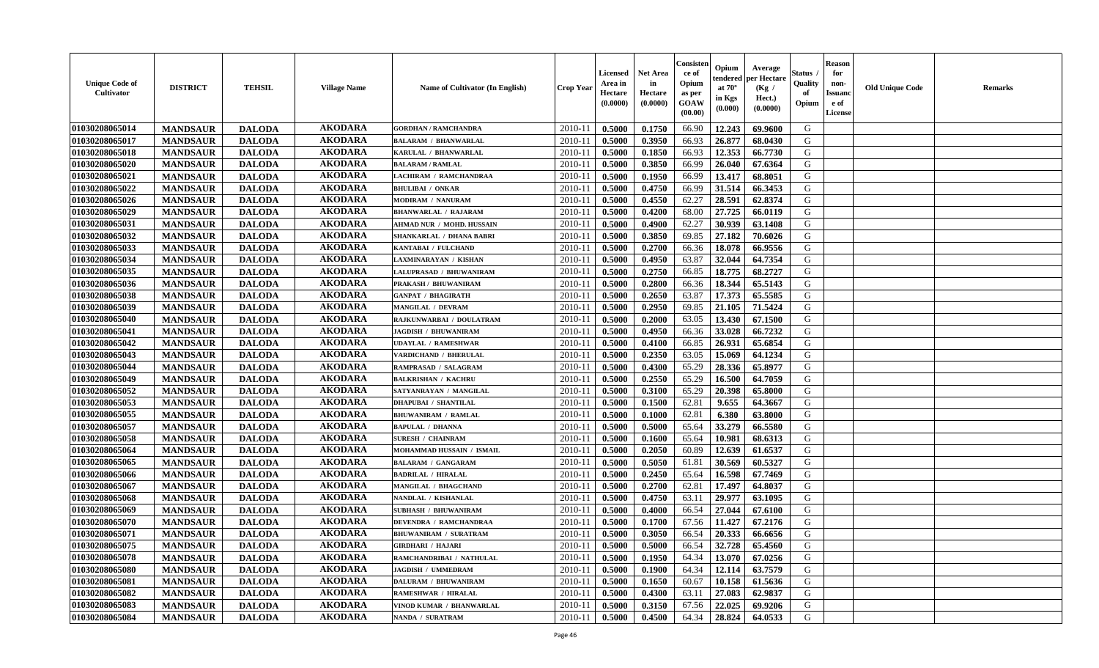| <b>Unique Code of</b><br><b>Cultivator</b> | <b>DISTRICT</b> | <b>TEHSIL</b> | <b>Village Name</b> | Name of Cultivator (In English) | <b>Crop Year</b> | Licensed<br>Area in<br>Hectare<br>(0.0000) | <b>Net Area</b><br>in<br>Hectare<br>(0.0000) | Consisteı<br>ce of<br>Opium<br>as per<br>GOAW<br>(00.00) | Opium<br>endered<br>at $70^\circ$<br>in Kgs<br>(0.000) | Average<br>per Hectare<br>(Kg /<br>Hect.)<br>(0.0000) | Status<br>Quality<br>of<br>Opium | <b>Reason</b><br>for<br>non-<br><b>Issuand</b><br>e of<br><b>License</b> | <b>Old Unique Code</b> | <b>Remarks</b> |
|--------------------------------------------|-----------------|---------------|---------------------|---------------------------------|------------------|--------------------------------------------|----------------------------------------------|----------------------------------------------------------|--------------------------------------------------------|-------------------------------------------------------|----------------------------------|--------------------------------------------------------------------------|------------------------|----------------|
| 01030208065014                             | <b>MANDSAUR</b> | <b>DALODA</b> | <b>AKODARA</b>      | <b>GORDHAN / RAMCHANDRA</b>     | 2010-11          | 0.5000                                     | 0.1750                                       | 66.90                                                    | 12.243                                                 | 69.9600                                               | G                                |                                                                          |                        |                |
| 01030208065017                             | <b>MANDSAUR</b> | <b>DALODA</b> | <b>AKODARA</b>      | <b>BALARAM / BHANWARLAL</b>     | 2010-11          | 0.5000                                     | 0.3950                                       | 66.93                                                    | 26.877                                                 | 68.0430                                               | G                                |                                                                          |                        |                |
| 01030208065018                             | <b>MANDSAUR</b> | <b>DALODA</b> | <b>AKODARA</b>      | KARULAL / BHANWARLAL            | 2010-11          | 0.5000                                     | 0.1850                                       | 66.93                                                    | 12.353                                                 | 66.7730                                               | G                                |                                                                          |                        |                |
| 01030208065020                             | <b>MANDSAUR</b> | <b>DALODA</b> | <b>AKODARA</b>      | <b>BALARAM / RAMLAL</b>         | 2010-11          | 0.5000                                     | 0.3850                                       | 66.99                                                    | 26.040                                                 | 67.6364                                               | G                                |                                                                          |                        |                |
| 01030208065021                             | <b>MANDSAUR</b> | <b>DALODA</b> | <b>AKODARA</b>      | LACHIRAM / RAMCHANDRAA          | 2010-11          | 0.5000                                     | 0.1950                                       | 66.99                                                    | 13.417                                                 | 68.8051                                               | G                                |                                                                          |                        |                |
| 01030208065022                             | <b>MANDSAUR</b> | <b>DALODA</b> | <b>AKODARA</b>      | <b>BHULIBAI / ONKAR</b>         | 2010-11          | 0.5000                                     | 0.4750                                       | 66.99                                                    | 31.514                                                 | 66.3453                                               | G                                |                                                                          |                        |                |
| 01030208065026                             | <b>MANDSAUR</b> | <b>DALODA</b> | <b>AKODARA</b>      | <b>MODIRAM / NANURAM</b>        | 2010-11          | 0.5000                                     | 0.4550                                       | 62.27                                                    | 28.591                                                 | 62.8374                                               | G                                |                                                                          |                        |                |
| 01030208065029                             | <b>MANDSAUR</b> | <b>DALODA</b> | <b>AKODARA</b>      | <b>BHANWARLAL / RAJARAM</b>     | 2010-11          | 0.5000                                     | 0.4200                                       | 68.00                                                    | 27.725                                                 | 66.0119                                               | G                                |                                                                          |                        |                |
| 01030208065031                             | <b>MANDSAUR</b> | <b>DALODA</b> | <b>AKODARA</b>      | AHMAD NUR / MOHD. HUSSAIN       | 2010-11          | 0.5000                                     | 0.4900                                       | 62.27                                                    | 30.939                                                 | 63.1408                                               | G                                |                                                                          |                        |                |
| 01030208065032                             | <b>MANDSAUR</b> | <b>DALODA</b> | <b>AKODARA</b>      | SHANKARLAL / DHANA BABRI        | 2010-11          | 0.5000                                     | 0.3850                                       | 69.85                                                    | 27.182                                                 | 70.6026                                               | G                                |                                                                          |                        |                |
| 01030208065033                             | <b>MANDSAUR</b> | <b>DALODA</b> | <b>AKODARA</b>      | KANTABAI / FULCHAND             | 2010-11          | 0.5000                                     | 0.2700                                       | 66.36                                                    | 18.078                                                 | 66.9556                                               | G                                |                                                                          |                        |                |
| 01030208065034                             | <b>MANDSAUR</b> | <b>DALODA</b> | <b>AKODARA</b>      | <b>LAXMINARAYAN / KISHAN</b>    | 2010-11          | 0.5000                                     | 0.4950                                       | 63.87                                                    | 32.044                                                 | 64.7354                                               | G                                |                                                                          |                        |                |
| 01030208065035                             | <b>MANDSAUR</b> | <b>DALODA</b> | <b>AKODARA</b>      | LALUPRASAD / BHUWANIRAM         | 2010-11          | 0.5000                                     | 0.2750                                       | 66.85                                                    | 18.775                                                 | 68.2727                                               | G                                |                                                                          |                        |                |
| 01030208065036                             | <b>MANDSAUR</b> | <b>DALODA</b> | <b>AKODARA</b>      | PRAKASH / BHUWANIRAM            | $2010 - 11$      | 0.5000                                     | 0.2800                                       | 66.36                                                    | 18.344                                                 | 65.5143                                               | G                                |                                                                          |                        |                |
| 01030208065038                             | <b>MANDSAUR</b> | <b>DALODA</b> | <b>AKODARA</b>      | <b>GANPAT / BHAGIRATH</b>       | 2010-11          | 0.5000                                     | 0.2650                                       | 63.87                                                    | 17.373                                                 | 65.5585                                               | G                                |                                                                          |                        |                |
| 01030208065039                             | <b>MANDSAUR</b> | <b>DALODA</b> | <b>AKODARA</b>      | <b>MANGILAL / DEVRAM</b>        | 2010-11          | 0.5000                                     | 0.2950                                       | 69.85                                                    | 21.105                                                 | 71.5424                                               | G                                |                                                                          |                        |                |
| 01030208065040                             | <b>MANDSAUR</b> | <b>DALODA</b> | <b>AKODARA</b>      | RAJKUNWARBAI / DOULATRAM        | 2010-11          | 0.5000                                     | 0.2000                                       | 63.05                                                    | 13.430                                                 | 67.1500                                               | G                                |                                                                          |                        |                |
| 01030208065041                             | <b>MANDSAUR</b> | <b>DALODA</b> | <b>AKODARA</b>      | <b>JAGDISH / BHUWANIRAM</b>     | 2010-11          | 0.5000                                     | 0.4950                                       | 66.36                                                    | 33.028                                                 | 66.7232                                               | G                                |                                                                          |                        |                |
| 01030208065042                             | <b>MANDSAUR</b> | <b>DALODA</b> | <b>AKODARA</b>      | <b>UDAYLAL / RAMESHWAR</b>      | 2010-11          | 0.5000                                     | 0.4100                                       | 66.85                                                    | 26.931                                                 | 65.6854                                               | G                                |                                                                          |                        |                |
| 01030208065043                             | <b>MANDSAUR</b> | <b>DALODA</b> | <b>AKODARA</b>      | VARDICHAND / BHERULAL           | 2010-11          | 0.5000                                     | 0.2350                                       | 63.05                                                    | 15.069                                                 | 64.1234                                               | G                                |                                                                          |                        |                |
| 01030208065044                             | <b>MANDSAUR</b> | <b>DALODA</b> | <b>AKODARA</b>      | <b>RAMPRASAD / SALAGRAM</b>     | 2010-11          | 0.5000                                     | 0.4300                                       | 65.29                                                    | 28.336                                                 | 65.8977                                               | G                                |                                                                          |                        |                |
| 01030208065049                             | <b>MANDSAUR</b> | <b>DALODA</b> | <b>AKODARA</b>      | <b>BALKRISHAN / KACHRU</b>      | 2010-11          | 0.5000                                     | 0.2550                                       | 65.29                                                    | 16.500                                                 | 64.7059                                               | G                                |                                                                          |                        |                |
| 01030208065052                             | <b>MANDSAUR</b> | <b>DALODA</b> | <b>AKODARA</b>      | SATYANRAYAN / MANGILAL          | $2010 - 11$      | 0.5000                                     | 0.3100                                       | 65.29                                                    | 20.398                                                 | 65.8000                                               | G                                |                                                                          |                        |                |
| 01030208065053                             | <b>MANDSAUR</b> | <b>DALODA</b> | <b>AKODARA</b>      | <b>DHAPUBAI / SHANTILAL</b>     | 2010-11          | 0.5000                                     | 0.1500                                       | 62.81                                                    | 9.655                                                  | 64.3667                                               | G                                |                                                                          |                        |                |
| 01030208065055                             | <b>MANDSAUR</b> | <b>DALODA</b> | <b>AKODARA</b>      | <b>BHUWANIRAM / RAMLAL</b>      | 2010-11          | 0.5000                                     | 0.1000                                       | 62.81                                                    | 6.380                                                  | 63.8000                                               | G                                |                                                                          |                        |                |
| 01030208065057                             | <b>MANDSAUR</b> | <b>DALODA</b> | <b>AKODARA</b>      | <b>BAPULAL / DHANNA</b>         | 2010-11          | 0.5000                                     | 0.5000                                       | 65.64                                                    | 33.279                                                 | 66.5580                                               | G                                |                                                                          |                        |                |
| 01030208065058                             | <b>MANDSAUR</b> | <b>DALODA</b> | <b>AKODARA</b>      | <b>SURESH / CHAINRAM</b>        | 2010-11          | 0.5000                                     | 0.1600                                       | 65.64                                                    | 10.981                                                 | 68.6313                                               | G                                |                                                                          |                        |                |
| 01030208065064                             | <b>MANDSAUR</b> | <b>DALODA</b> | <b>AKODARA</b>      | MOHAMMAD HUSSAIN / ISMAIL       | 2010-11          | 0.5000                                     | 0.2050                                       | 60.89                                                    | 12.639                                                 | 61.6537                                               | G                                |                                                                          |                        |                |
| 01030208065065                             | <b>MANDSAUR</b> | <b>DALODA</b> | <b>AKODARA</b>      | <b>BALARAM / GANGARAM</b>       | 2010-11          | 0.5000                                     | 0.5050                                       | 61.81                                                    | 30.569                                                 | 60.5327                                               | G                                |                                                                          |                        |                |
| 01030208065066                             | <b>MANDSAUR</b> | <b>DALODA</b> | <b>AKODARA</b>      | <b>BADRILAL / HIRALAL</b>       | 2010-11          | 0.5000                                     | 0.2450                                       | 65.64                                                    | 16.598                                                 | 67.7469                                               | G                                |                                                                          |                        |                |
| 01030208065067                             | <b>MANDSAUR</b> | <b>DALODA</b> | <b>AKODARA</b>      | MANGILAL / BHAGCHAND            | $2010 - 1$       | 0.5000                                     | 0.2700                                       | 62.81                                                    | 17.497                                                 | 64.8037                                               | ${\bf G}$                        |                                                                          |                        |                |
| 01030208065068                             | <b>MANDSAUR</b> | <b>DALODA</b> | <b>AKODARA</b>      | NANDLAL / KISHANLAL             | 2010-11          | 0.5000                                     | 0.4750                                       | 63.11                                                    | 29.977                                                 | 63.1095                                               | G                                |                                                                          |                        |                |
| 01030208065069                             | <b>MANDSAUR</b> | <b>DALODA</b> | <b>AKODARA</b>      | <b>SUBHASH / BHUWANIRAM</b>     | 2010-11          | 0.5000                                     | 0.4000                                       | 66.54                                                    | 27.044                                                 | 67.6100                                               | G                                |                                                                          |                        |                |
| 01030208065070                             | <b>MANDSAUR</b> | <b>DALODA</b> | <b>AKODARA</b>      | DEVENDRA / RAMCHANDRAA          | 2010-11          | 0.5000                                     | 0.1700                                       | 67.56                                                    | 11.427                                                 | 67.2176                                               | G                                |                                                                          |                        |                |
| 01030208065071                             | <b>MANDSAUR</b> | <b>DALODA</b> | <b>AKODARA</b>      | BHUWANIRAM / SURATRAM           | 2010-11          | 0.5000                                     | 0.3050                                       | 66.54                                                    | 20.333                                                 | 66.6656                                               | G                                |                                                                          |                        |                |
| 01030208065075                             | <b>MANDSAUR</b> | <b>DALODA</b> | <b>AKODARA</b>      | <b>GIRDHARI / HAJARI</b>        | 2010-11          | 0.5000                                     | 0.5000                                       | 66.54                                                    | 32.728                                                 | 65.4560                                               | G                                |                                                                          |                        |                |
| 01030208065078                             | <b>MANDSAUR</b> | <b>DALODA</b> | <b>AKODARA</b>      | RAMCHANDRIBAI / NATHULAL        | 2010-11          | 0.5000                                     | 0.1950                                       | 64.34                                                    | 13.070                                                 | 67.0256                                               | G                                |                                                                          |                        |                |
| 01030208065080                             | <b>MANDSAUR</b> | <b>DALODA</b> | <b>AKODARA</b>      | <b>JAGDISH / UMMEDRAM</b>       | 2010-11          | 0.5000                                     | 0.1900                                       | 64.34                                                    | 12.114                                                 | 63.7579                                               | G                                |                                                                          |                        |                |
| 01030208065081                             | <b>MANDSAUR</b> | <b>DALODA</b> | <b>AKODARA</b>      | DALURAM / BHUWANIRAM            | $2010 - 11$      | 0.5000                                     | 0.1650                                       | 60.67                                                    | 10.158                                                 | 61.5636                                               | G                                |                                                                          |                        |                |
| 01030208065082                             | <b>MANDSAUR</b> | <b>DALODA</b> | <b>AKODARA</b>      | <b>RAMESHWAR / HIRALAL</b>      | $2010 - 11$      | 0.5000                                     | 0.4300                                       | 63.11                                                    | 27.083                                                 | 62.9837                                               | G                                |                                                                          |                        |                |
| 01030208065083                             | <b>MANDSAUR</b> | <b>DALODA</b> | <b>AKODARA</b>      | VINOD KUMAR / BHANWARLAL        | 2010-11          | 0.5000                                     | 0.3150                                       | 67.56                                                    | 22.025                                                 | 69.9206                                               | G                                |                                                                          |                        |                |
| 01030208065084                             | <b>MANDSAUR</b> | <b>DALODA</b> | <b>AKODARA</b>      | NANDA / SURATRAM                | 2010-11          | 0.5000                                     | 0.4500                                       | 64.34                                                    | 28.824                                                 | 64.0533                                               | G                                |                                                                          |                        |                |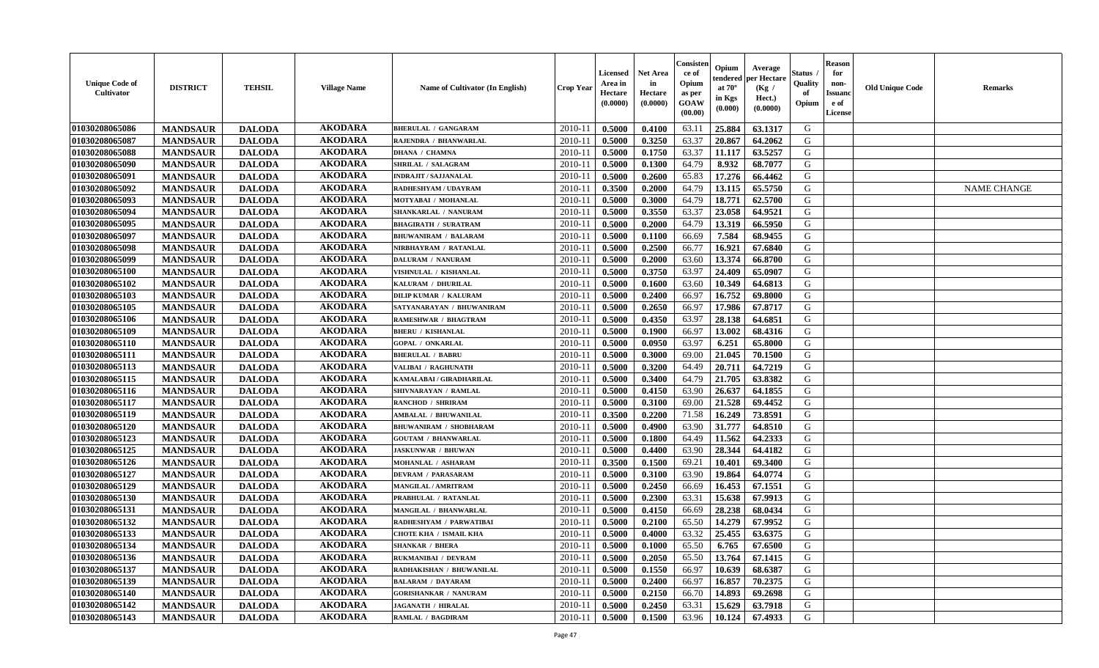| <b>Unique Code of</b><br>Cultivator | <b>DISTRICT</b> | <b>TEHSIL</b> | <b>Village Name</b> | <b>Name of Cultivator (In English)</b> | Crop Year   | Licensed<br>Area in<br>Hectare<br>(0.0000) | <b>Net Area</b><br>in<br>Hectare<br>(0.0000) | Consister<br>ce of<br>Opium<br>as per<br>GOAW<br>(00.00) | Opium<br>endered<br>at $70^\circ$<br>in Kgs<br>(0.000) | Average<br>per Hectare<br>(Kg /<br>Hect.)<br>(0.0000) | Status<br>Quality<br>of<br>Opium | <b>Reason</b><br>for<br>non-<br><b>Issuanc</b><br>e of<br><b>License</b> | <b>Old Unique Code</b> | <b>Remarks</b>     |
|-------------------------------------|-----------------|---------------|---------------------|----------------------------------------|-------------|--------------------------------------------|----------------------------------------------|----------------------------------------------------------|--------------------------------------------------------|-------------------------------------------------------|----------------------------------|--------------------------------------------------------------------------|------------------------|--------------------|
| 01030208065086                      | <b>MANDSAUR</b> | <b>DALODA</b> | <b>AKODARA</b>      | <b>BHERULAL / GANGARAM</b>             | 2010-11     | 0.5000                                     | 0.4100                                       | 63.11                                                    | 25.884                                                 | 63.1317                                               | G                                |                                                                          |                        |                    |
| 01030208065087                      | <b>MANDSAUR</b> | <b>DALODA</b> | <b>AKODARA</b>      | RAJENDRA / BHANWARLAL                  | 2010-11     | 0.5000                                     | 0.3250                                       | 63.37                                                    | 20.867                                                 | 64.2062                                               | G                                |                                                                          |                        |                    |
| 01030208065088                      | <b>MANDSAUR</b> | <b>DALODA</b> | <b>AKODARA</b>      | <b>DHANA / CHAMNA</b>                  | $2010 - 11$ | 0.5000                                     | 0.1750                                       | 63.37                                                    | 11.117                                                 | 63.5257                                               | G                                |                                                                          |                        |                    |
| 01030208065090                      | <b>MANDSAUR</b> | <b>DALODA</b> | <b>AKODARA</b>      | SHRILAL / SALAGRAM                     | 2010-11     | 0.5000                                     | 0.1300                                       | 64.79                                                    | 8.932                                                  | 68.7077                                               | G                                |                                                                          |                        |                    |
| 01030208065091                      | <b>MANDSAUR</b> | <b>DALODA</b> | <b>AKODARA</b>      | <b>INDRAJIT / SAJJANALAL</b>           | $2010 - 1$  | 0.5000                                     | 0.2600                                       | 65.83                                                    | 17.276                                                 | 66.4462                                               | G                                |                                                                          |                        |                    |
| 01030208065092                      | <b>MANDSAUR</b> | <b>DALODA</b> | <b>AKODARA</b>      | RADHESHYAM / UDAYRAM                   | $2010 - 1$  | 0.3500                                     | 0.2000                                       | 64.79                                                    | 13.115                                                 | 65.5750                                               | G                                |                                                                          |                        | <b>NAME CHANGE</b> |
| 01030208065093                      | <b>MANDSAUR</b> | <b>DALODA</b> | <b>AKODARA</b>      | MOTYABAI / MOHANLAL                    | $2010 - 1$  | 0.5000                                     | 0.3000                                       | 64.79                                                    | 18.771                                                 | 62.5700                                               | G                                |                                                                          |                        |                    |
| 01030208065094                      | <b>MANDSAUR</b> | <b>DALODA</b> | <b>AKODARA</b>      | SHANKARLAL / NANURAM                   | $2010 - 1$  | 0.5000                                     | 0.3550                                       | 63.37                                                    | 23.058                                                 | 64.9521                                               | G                                |                                                                          |                        |                    |
| 01030208065095                      | <b>MANDSAUR</b> | <b>DALODA</b> | <b>AKODARA</b>      | <b>BHAGIRATH / SURATRAM</b>            | 2010-11     | 0.5000                                     | 0.2000                                       | 64.79                                                    | 13.319                                                 | 66.5950                                               | G                                |                                                                          |                        |                    |
| 01030208065097                      | <b>MANDSAUR</b> | <b>DALODA</b> | <b>AKODARA</b>      | <b>BHUWANIRAM / BALARAM</b>            | 2010-11     | 0.5000                                     | 0.1100                                       | 66.69                                                    | 7.584                                                  | 68.9455                                               | G                                |                                                                          |                        |                    |
| 01030208065098                      | <b>MANDSAUR</b> | <b>DALODA</b> | <b>AKODARA</b>      | NIRBHAYRAM / RATANLAL                  | $2010 - 11$ | 0.5000                                     | 0.2500                                       | 66.77                                                    | 16.921                                                 | 67.6840                                               | $\mathbf G$                      |                                                                          |                        |                    |
| 01030208065099                      | <b>MANDSAUR</b> | <b>DALODA</b> | <b>AKODARA</b>      | <b>DALURAM / NANURAM</b>               | 2010-11     | 0.5000                                     | 0.2000                                       | 63.60                                                    | 13.374                                                 | 66.8700                                               | G                                |                                                                          |                        |                    |
| 01030208065100                      | <b>MANDSAUR</b> | <b>DALODA</b> | <b>AKODARA</b>      | VISHNULAL / KISHANLAI                  | $2010 - 11$ | 0.5000                                     | 0.3750                                       | 63.97                                                    | 24.409                                                 | 65.0907                                               | G                                |                                                                          |                        |                    |
| 01030208065102                      | <b>MANDSAUR</b> | <b>DALODA</b> | <b>AKODARA</b>      | KALURAM / DHURILAL                     | 2010-1      | 0.5000                                     | 0.1600                                       | 63.60                                                    | 10.349                                                 | 64.6813                                               | G                                |                                                                          |                        |                    |
| 01030208065103                      | <b>MANDSAUR</b> | <b>DALODA</b> | <b>AKODARA</b>      | <b>DILIP KUMAR / KALURAM</b>           | $2010 - 1$  | 0.5000                                     | 0.2400                                       | 66.97                                                    | 16.752                                                 | 69.8000                                               | G                                |                                                                          |                        |                    |
| 01030208065105                      | <b>MANDSAUR</b> | <b>DALODA</b> | <b>AKODARA</b>      | SATYANARAYAN / BHUWANIRAM              | 2010-11     | 0.5000                                     | 0.2650                                       | 66.97                                                    | 17.986                                                 | 67.8717                                               | G                                |                                                                          |                        |                    |
| 01030208065106                      | <b>MANDSAUR</b> | <b>DALODA</b> | <b>AKODARA</b>      | RAMESHWAR / BHAGTRAM                   | 2010-11     | 0.5000                                     | 0.4350                                       | 63.97                                                    | 28.138                                                 | 64.6851                                               | G                                |                                                                          |                        |                    |
| 01030208065109                      | <b>MANDSAUR</b> | <b>DALODA</b> | <b>AKODARA</b>      | <b>BHERU / KISHANLAL</b>               | $2010 - 11$ | 0.5000                                     | 0.1900                                       | 66.97                                                    | 13.002                                                 | 68.4316                                               | G                                |                                                                          |                        |                    |
| 01030208065110                      | <b>MANDSAUR</b> | <b>DALODA</b> | <b>AKODARA</b>      | <b>GOPAL / ONKARLAL</b>                | $2010 - 11$ | 0.5000                                     | 0.0950                                       | 63.97                                                    | 6.251                                                  | 65.8000                                               | G                                |                                                                          |                        |                    |
| 01030208065111                      | <b>MANDSAUR</b> | <b>DALODA</b> | <b>AKODARA</b>      | <b>BHERULAL / BABRU</b>                | 2010-11     | 0.5000                                     | 0.3000                                       | 69.00                                                    | 21.045                                                 | 70.1500                                               | G                                |                                                                          |                        |                    |
| 01030208065113                      | <b>MANDSAUR</b> | <b>DALODA</b> | <b>AKODARA</b>      | VALIBAI / RAGHUNATH                    | 2010-11     | 0.5000                                     | 0.3200                                       | 64.49                                                    | 20.711                                                 | 64.7219                                               | G                                |                                                                          |                        |                    |
| 01030208065115                      | <b>MANDSAUR</b> | <b>DALODA</b> | <b>AKODARA</b>      | KAMALABAI / GIRADHARILAL               | 2010-1      | 0.5000                                     | 0.3400                                       | 64.79                                                    | 21.705                                                 | 63.8382                                               | G                                |                                                                          |                        |                    |
| 01030208065116                      | <b>MANDSAUR</b> | <b>DALODA</b> | <b>AKODARA</b>      | SHIVNARAYAN / RAMLAL                   | 2010-1      | 0.5000                                     | 0.4150                                       | 63.90                                                    | 26.637                                                 | 64.1855                                               | G                                |                                                                          |                        |                    |
| 01030208065117                      | <b>MANDSAUR</b> | <b>DALODA</b> | <b>AKODARA</b>      | <b>RANCHOD / SHRIRAM</b>               | 2010-11     | 0.5000                                     | 0.3100                                       | 69.00                                                    | 21.528                                                 | 69.4452                                               | G                                |                                                                          |                        |                    |
| 01030208065119                      | <b>MANDSAUR</b> | <b>DALODA</b> | <b>AKODARA</b>      | <b>AMBALAL / BHUWANILAL</b>            | 2010-11     | 0.3500                                     | 0.2200                                       | 71.58                                                    | 16.249                                                 | 73.8591                                               | G                                |                                                                          |                        |                    |
| 01030208065120                      | <b>MANDSAUR</b> | <b>DALODA</b> | <b>AKODARA</b>      | <b>BHUWANIRAM / SHOBHARAM</b>          | $2010 - 11$ | 0.5000                                     | 0.4900                                       | 63.90                                                    | 31.777                                                 | 64.8510                                               | G                                |                                                                          |                        |                    |
| 01030208065123                      | <b>MANDSAUR</b> | <b>DALODA</b> | <b>AKODARA</b>      | <b>GOUTAM / BHANWARLAL</b>             | 2010-11     | 0.5000                                     | 0.1800                                       | 64.49                                                    | 11.562                                                 | 64.2333                                               | G                                |                                                                          |                        |                    |
| 01030208065125                      | <b>MANDSAUR</b> | <b>DALODA</b> | <b>AKODARA</b>      | <b>JASKUNWAR / BHUWAN</b>              | 2010-11     | 0.5000                                     | 0.4400                                       | 63.90                                                    | 28.344                                                 | 64.4182                                               | G                                |                                                                          |                        |                    |
| 01030208065126                      | <b>MANDSAUR</b> | <b>DALODA</b> | <b>AKODARA</b>      | MOHANLAL / ASHARAM                     | 2010-11     | 0.3500                                     | 0.1500                                       | 69.21                                                    | 10.401                                                 | 69.3400                                               | G                                |                                                                          |                        |                    |
| 01030208065127                      | <b>MANDSAUR</b> | <b>DALODA</b> | <b>AKODARA</b>      | <b>DEVRAM / PARASARAM</b>              | $2010 - 1$  | 0.5000                                     | 0.3100                                       | 63.90                                                    | 19.864                                                 | 64.0774                                               | G                                |                                                                          |                        |                    |
| 01030208065129                      | <b>MANDSAUR</b> | <b>DALODA</b> | <b>AKODARA</b>      | <b>MANGILAL / AMRITRAM</b>             | 2010-1      | 0.5000                                     | 0.2450                                       | 66.69                                                    | 16.453                                                 | 67.1551                                               | ${\bf G}$                        |                                                                          |                        |                    |
| 01030208065130                      | <b>MANDSAUR</b> | <b>DALODA</b> | <b>AKODARA</b>      | PRABHULAL / RATANLAL                   | $2010 - 1$  | 0.5000                                     | 0.2300                                       | 63.31                                                    | 15.638                                                 | 67.9913                                               | G                                |                                                                          |                        |                    |
| 01030208065131                      | <b>MANDSAUR</b> | <b>DALODA</b> | <b>AKODARA</b>      | <b>MANGILAL / BHANWARLAL</b>           | 2010-11     | 0.5000                                     | 0.4150                                       | 66.69                                                    | 28.238                                                 | 68.0434                                               | G                                |                                                                          |                        |                    |
| 01030208065132                      | <b>MANDSAUR</b> | <b>DALODA</b> | <b>AKODARA</b>      | RADHESHYAM / PARWATIBAI                | 2010-11     | 0.5000                                     | 0.2100                                       | 65.50                                                    | 14.279                                                 | 67.9952                                               | G                                |                                                                          |                        |                    |
| 01030208065133                      | <b>MANDSAUR</b> | <b>DALODA</b> | <b>AKODARA</b>      | <b>CHOTE KHA / ISMAIL KHA</b>          | 2010-11     | 0.5000                                     | 0.4000                                       | 63.32                                                    | 25.455                                                 | 63.6375                                               | G                                |                                                                          |                        |                    |
| 01030208065134                      | <b>MANDSAUR</b> | <b>DALODA</b> | <b>AKODARA</b>      | <b>SHANKAR / BHERA</b>                 | 2010-11     | 0.5000                                     | 0.1000                                       | 65.50                                                    | 6.765                                                  | 67.6500                                               | G                                |                                                                          |                        |                    |
| 01030208065136                      | <b>MANDSAUR</b> | <b>DALODA</b> | <b>AKODARA</b>      | <b>RUKMANIBAI / DEVRAM</b>             | 2010-11     | 0.5000                                     | 0.2050                                       | 65.50                                                    | 13.764                                                 | 67.1415                                               | G                                |                                                                          |                        |                    |
| 01030208065137                      | <b>MANDSAUR</b> | <b>DALODA</b> | <b>AKODARA</b>      | RADHAKISHAN / BHUWANILAL               | $2010 - 1$  | 0.5000                                     | 0.1550                                       | 66.97                                                    | 10.639                                                 | 68.6387                                               | G                                |                                                                          |                        |                    |
| 01030208065139                      | <b>MANDSAUR</b> | <b>DALODA</b> | <b>AKODARA</b>      | <b>BALARAM / DAYARAM</b>               | $2010-1$    | 0.5000                                     | 0.2400                                       | 66.97                                                    | 16.857                                                 | 70.2375                                               | G                                |                                                                          |                        |                    |
| 01030208065140                      | <b>MANDSAUR</b> | <b>DALODA</b> | <b>AKODARA</b>      | <b>GORISHANKAR / NANURAM</b>           | 2010-1      | 0.5000                                     | 0.2150                                       | 66.70                                                    | 14.893                                                 | 69.2698                                               | G                                |                                                                          |                        |                    |
| 01030208065142                      | <b>MANDSAUR</b> | <b>DALODA</b> | <b>AKODARA</b>      | <b>JAGANATH / HIRALAL</b>              | 2010-11     | 0.5000                                     | 0.2450                                       | 63.31                                                    | 15.629                                                 | 63.7918                                               | G                                |                                                                          |                        |                    |
| 01030208065143                      | <b>MANDSAUR</b> | <b>DALODA</b> | <b>AKODARA</b>      | RAMLAL / BAGDIRAM                      | 2010-11     | 0.5000                                     | 0.1500                                       | 63.96                                                    | 10.124                                                 | 67.4933                                               | G                                |                                                                          |                        |                    |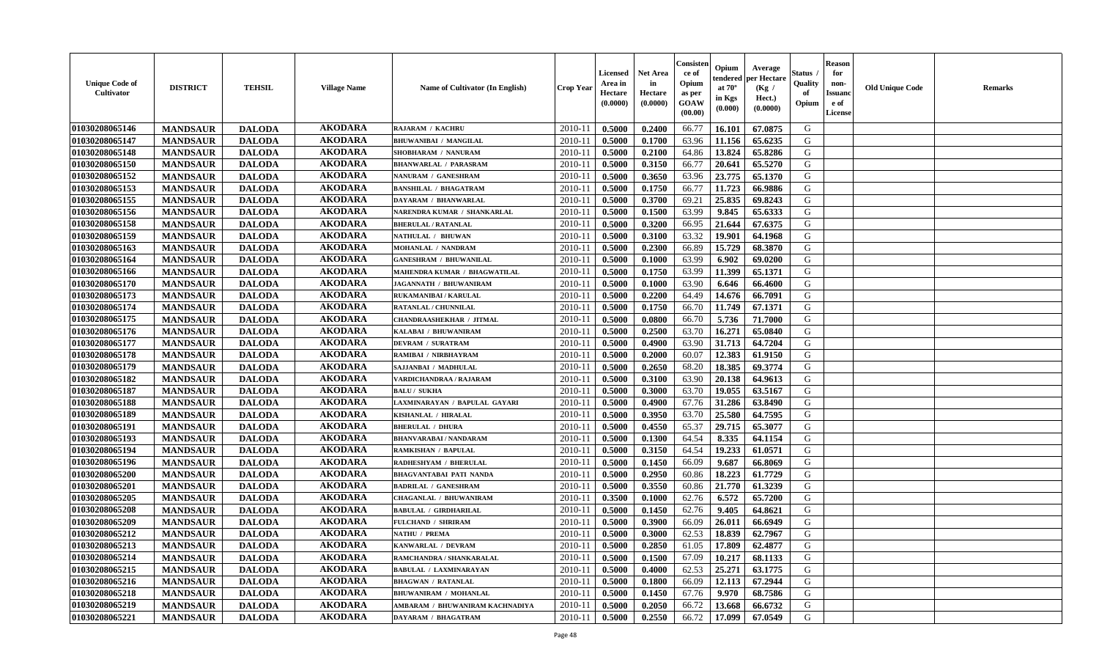| <b>Unique Code of</b><br><b>Cultivator</b> | <b>DISTRICT</b> | <b>TEHSIL</b> | <b>Village Name</b> | <b>Name of Cultivator (In English)</b> | <b>Crop Year</b> | Licensed<br>Area in<br>Hectare<br>(0.0000) | Net Area<br>in<br>Hectare<br>(0.0000) | Consisteı<br>ce of<br>Opium<br>as per<br>GOAW<br>(00.00) | Opium<br>endered<br>at $70^\circ$<br>in Kgs<br>(0.000) | Average<br>per Hectare<br>(Kg /<br>Hect.)<br>(0.0000) | Status<br>Quality<br>of<br>Opium | <b>Reason</b><br>for<br>non-<br><b>Issuand</b><br>e of<br>License | <b>Old Unique Code</b> | Remarks |
|--------------------------------------------|-----------------|---------------|---------------------|----------------------------------------|------------------|--------------------------------------------|---------------------------------------|----------------------------------------------------------|--------------------------------------------------------|-------------------------------------------------------|----------------------------------|-------------------------------------------------------------------|------------------------|---------|
| 01030208065146                             | <b>MANDSAUR</b> | <b>DALODA</b> | <b>AKODARA</b>      | RAJARAM / KACHRU                       | 2010-11          | 0.5000                                     | 0.2400                                | 66.77                                                    | 16.101                                                 | 67.0875                                               | G                                |                                                                   |                        |         |
| 01030208065147                             | <b>MANDSAUR</b> | <b>DALODA</b> | <b>AKODARA</b>      | <b>BHUWANIBAI / MANGILAL</b>           | 2010-11          | 0.5000                                     | 0.1700                                | 63.96                                                    | 11.156                                                 | 65.6235                                               | G                                |                                                                   |                        |         |
| 01030208065148                             | <b>MANDSAUR</b> | <b>DALODA</b> | <b>AKODARA</b>      | SHOBHARAM / NANURAM                    | 2010-11          | 0.5000                                     | 0.2100                                | 64.86                                                    | 13.824                                                 | 65.8286                                               | G                                |                                                                   |                        |         |
| 01030208065150                             | <b>MANDSAUR</b> | <b>DALODA</b> | <b>AKODARA</b>      | <b>BHANWARLAL / PARASRAM</b>           | 2010-11          | 0.5000                                     | 0.3150                                | 66.77                                                    | 20.641                                                 | 65.5270                                               | G                                |                                                                   |                        |         |
| 01030208065152                             | <b>MANDSAUR</b> | <b>DALODA</b> | <b>AKODARA</b>      | NANURAM / GANESHRAM                    | 2010-11          | 0.5000                                     | 0.3650                                | 63.96                                                    | 23.775                                                 | 65.1370                                               | G                                |                                                                   |                        |         |
| 01030208065153                             | <b>MANDSAUR</b> | <b>DALODA</b> | <b>AKODARA</b>      | <b>BANSHILAL / BHAGATRAM</b>           | $2010 - 11$      | 0.5000                                     | 0.1750                                | 66.77                                                    | 11.723                                                 | 66.9886                                               | G                                |                                                                   |                        |         |
| 01030208065155                             | <b>MANDSAUR</b> | <b>DALODA</b> | <b>AKODARA</b>      | DAYARAM / BHANWARLAL                   | $2010 - 11$      | 0.5000                                     | 0.3700                                | 69.21                                                    | 25.835                                                 | 69.8243                                               | G                                |                                                                   |                        |         |
| 01030208065156                             | <b>MANDSAUR</b> | <b>DALODA</b> | <b>AKODARA</b>      | NARENDRA KUMAR / SHANKARLAL            | 2010-11          | 0.5000                                     | 0.1500                                | 63.99                                                    | 9.845                                                  | 65.6333                                               | G                                |                                                                   |                        |         |
| 01030208065158                             | <b>MANDSAUR</b> | <b>DALODA</b> | <b>AKODARA</b>      | <b>BHERULAL / RATANLAL</b>             | 2010-11          | 0.5000                                     | 0.3200                                | 66.95                                                    | 21.644                                                 | 67.6375                                               | G                                |                                                                   |                        |         |
| 01030208065159                             | <b>MANDSAUR</b> | <b>DALODA</b> | <b>AKODARA</b>      | NATHULAL / BHUWAN                      | 2010-11          | 0.5000                                     | 0.3100                                | 63.32                                                    | 19.901                                                 | 64.1968                                               | G                                |                                                                   |                        |         |
| 01030208065163                             | <b>MANDSAUR</b> | <b>DALODA</b> | <b>AKODARA</b>      | MOHANLAL / NANDRAM                     | 2010-11          | 0.5000                                     | 0.2300                                | 66.89                                                    | 15.729                                                 | 68.3870                                               | G                                |                                                                   |                        |         |
| 01030208065164                             | <b>MANDSAUR</b> | <b>DALODA</b> | <b>AKODARA</b>      | <b>GANESHRAM / BHUWANILAL</b>          | 2010-11          | 0.5000                                     | 0.1000                                | 63.99                                                    | 6.902                                                  | 69.0200                                               | G                                |                                                                   |                        |         |
| 01030208065166                             | <b>MANDSAUR</b> | <b>DALODA</b> | <b>AKODARA</b>      | MAHENDRA KUMAR / BHAGWATILAL           | 2010-11          | 0.5000                                     | 0.1750                                | 63.99                                                    | 11.399                                                 | 65.1371                                               | G                                |                                                                   |                        |         |
| 01030208065170                             | <b>MANDSAUR</b> | <b>DALODA</b> | <b>AKODARA</b>      | <b>JAGANNATH / BHUWANIRAM</b>          | 2010-11          | 0.5000                                     | 0.1000                                | 63.90                                                    | 6.646                                                  | 66.4600                                               | G                                |                                                                   |                        |         |
| 01030208065173                             | <b>MANDSAUR</b> | <b>DALODA</b> | <b>AKODARA</b>      | RUKAMANIBAI / KARULAL                  | 2010-11          | 0.5000                                     | 0.2200                                | 64.49                                                    | 14.676                                                 | 66.7091                                               | $\mathbf G$                      |                                                                   |                        |         |
| 01030208065174                             | <b>MANDSAUR</b> | <b>DALODA</b> | <b>AKODARA</b>      | <b>RATANLAL / CHUNNILAL</b>            | 2010-11          | 0.5000                                     | 0.1750                                | 66.70                                                    | 11.749                                                 | 67.1371                                               | G                                |                                                                   |                        |         |
| 01030208065175                             | <b>MANDSAUR</b> | <b>DALODA</b> | <b>AKODARA</b>      | <b>CHANDRAASHEKHAR / JITMAL</b>        | 2010-11          | 0.5000                                     | 0.0800                                | 66.70                                                    | 5.736                                                  | 71.7000                                               | G                                |                                                                   |                        |         |
| 01030208065176                             | <b>MANDSAUR</b> | <b>DALODA</b> | <b>AKODARA</b>      | KALABAI / BHUWANIRAM                   | 2010-11          | 0.5000                                     | 0.2500                                | 63.70                                                    | 16.271                                                 | 65.0840                                               | G                                |                                                                   |                        |         |
| 01030208065177                             | <b>MANDSAUR</b> | <b>DALODA</b> | <b>AKODARA</b>      | <b>DEVRAM / SURATRAM</b>               | 2010-11          | 0.5000                                     | 0.4900                                | 63.90                                                    | 31.713                                                 | 64.7204                                               | G                                |                                                                   |                        |         |
| 01030208065178                             | <b>MANDSAUR</b> | <b>DALODA</b> | <b>AKODARA</b>      | RAMIBAI / NIRBHAYRAM                   | 2010-11          | 0.5000                                     | 0.2000                                | 60.07                                                    | 12.383                                                 | 61.9150                                               | G                                |                                                                   |                        |         |
| 01030208065179                             | <b>MANDSAUR</b> | <b>DALODA</b> | <b>AKODARA</b>      | SAJJANBAI / MADHULAL                   | 2010-11          | 0.5000                                     | 0.2650                                | 68.20                                                    | 18.385                                                 | 69.3774                                               | G                                |                                                                   |                        |         |
| 01030208065182                             | <b>MANDSAUR</b> | <b>DALODA</b> | <b>AKODARA</b>      | VARDICHANDRAA / RAJARAM                | 2010-11          | 0.5000                                     | 0.3100                                | 63.90                                                    | 20.138                                                 | 64.9613                                               | G                                |                                                                   |                        |         |
| 01030208065187                             | <b>MANDSAUR</b> | <b>DALODA</b> | <b>AKODARA</b>      | <b>BALU / SUKHA</b>                    | 2010-11          | 0.5000                                     | 0.3000                                | 63.70                                                    | 19.055                                                 | 63.5167                                               | G                                |                                                                   |                        |         |
| 01030208065188                             | <b>MANDSAUR</b> | <b>DALODA</b> | <b>AKODARA</b>      | LAXMINARAYAN / BAPULAL GAYARI          | 2010-11          | 0.5000                                     | 0.4900                                | 67.76                                                    | 31.286                                                 | 63.8490                                               | G                                |                                                                   |                        |         |
| 01030208065189                             | <b>MANDSAUR</b> | <b>DALODA</b> | <b>AKODARA</b>      | KISHANLAL / HIRALAL                    | 2010-11          | 0.5000                                     | 0.3950                                | 63.70                                                    | 25.580                                                 | 64.7595                                               | G                                |                                                                   |                        |         |
| 01030208065191                             | <b>MANDSAUR</b> | <b>DALODA</b> | <b>AKODARA</b>      | <b>BHERULAL / DHURA</b>                | 2010-11          | 0.5000                                     | 0.4550                                | 65.37                                                    | 29.715                                                 | 65.3077                                               | G                                |                                                                   |                        |         |
| 01030208065193                             | <b>MANDSAUR</b> | <b>DALODA</b> | <b>AKODARA</b>      | <b>BHANVARABAI / NANDARAM</b>          | 2010-11          | 0.5000                                     | 0.1300                                | 64.54                                                    | 8.335                                                  | 64.1154                                               | G                                |                                                                   |                        |         |
| 01030208065194                             | <b>MANDSAUR</b> | <b>DALODA</b> | <b>AKODARA</b>      | RAMKISHAN / BAPULAL                    | 2010-11          | 0.5000                                     | 0.3150                                | 64.54                                                    | 19.233                                                 | 61.0571                                               | G                                |                                                                   |                        |         |
| 01030208065196                             | <b>MANDSAUR</b> | <b>DALODA</b> | <b>AKODARA</b>      | RADHESHYAM / BHERULAL                  | 2010-11          | 0.5000                                     | 0.1450                                | 66.09                                                    | 9.687                                                  | 66.8069                                               | G                                |                                                                   |                        |         |
| 01030208065200                             | <b>MANDSAUR</b> | <b>DALODA</b> | <b>AKODARA</b>      | <b>BHAGVANTABAI PATI NANDA</b>         | 2010-11          | 0.5000                                     | 0.2950                                | 60.86                                                    | 18.223                                                 | 61.7729                                               | G                                |                                                                   |                        |         |
| 01030208065201                             | <b>MANDSAUR</b> | <b>DALODA</b> | <b>AKODARA</b>      | <b>BADRILAL / GANESHRAM</b>            | 2010-11          | 0.5000                                     | 0.3550                                | 60.86                                                    | 21.770                                                 | 61.3239                                               | G                                |                                                                   |                        |         |
| 01030208065205                             | <b>MANDSAUR</b> | <b>DALODA</b> | <b>AKODARA</b>      | <b>CHAGANLAL / BHUWANIRAM</b>          | 2010-11          | 0.3500                                     | 0.1000                                | 62.76                                                    | 6.572                                                  | 65.7200                                               | G                                |                                                                   |                        |         |
| 01030208065208                             | <b>MANDSAUR</b> | <b>DALODA</b> | <b>AKODARA</b>      | <b>BABULAL / GIRDHARILAL</b>           | 2010-11          | 0.5000                                     | 0.1450                                | 62.76                                                    | 9.405                                                  | 64.8621                                               | G                                |                                                                   |                        |         |
| 01030208065209                             | <b>MANDSAUR</b> | <b>DALODA</b> | <b>AKODARA</b>      | <b>FULCHAND / SHRIRAM</b>              | 2010-11          | 0.5000                                     | 0.3900                                | 66.09                                                    | 26.011                                                 | 66.6949                                               | G                                |                                                                   |                        |         |
| 01030208065212                             | <b>MANDSAUR</b> | <b>DALODA</b> | <b>AKODARA</b>      | NATHU / PREMA                          | 2010-11          | 0.5000                                     | 0.3000                                | 62.53                                                    | 18.839                                                 | 62.7967                                               | G                                |                                                                   |                        |         |
| 01030208065213                             | <b>MANDSAUR</b> | <b>DALODA</b> | <b>AKODARA</b>      | KANWARLAL / DEVRAM                     | 2010-11          | 0.5000                                     | 0.2850                                | 61.05                                                    | 17.809                                                 | 62.4877                                               | G                                |                                                                   |                        |         |
| 01030208065214                             | <b>MANDSAUR</b> | <b>DALODA</b> | <b>AKODARA</b>      | RAMCHANDRA / SHANKARALAL               | 2010-11          | 0.5000                                     | 0.1500                                | 67.09                                                    | 10.217                                                 | 68.1133                                               | G                                |                                                                   |                        |         |
| 01030208065215                             | <b>MANDSAUR</b> | <b>DALODA</b> | <b>AKODARA</b>      | <b>BABULAL / LAXMINARAYAN</b>          | 2010-11          | 0.5000                                     | 0.4000                                | 62.53                                                    | 25.271                                                 | 63.1775                                               | G                                |                                                                   |                        |         |
| 01030208065216                             | <b>MANDSAUR</b> | <b>DALODA</b> | <b>AKODARA</b>      | <b>BHAGWAN / RATANLAL</b>              | $2010 - 11$      | 0.5000                                     | 0.1800                                | 66.09                                                    | 12.113                                                 | 67.2944                                               | G                                |                                                                   |                        |         |
| 01030208065218                             | <b>MANDSAUR</b> | <b>DALODA</b> | <b>AKODARA</b>      | <b>BHUWANIRAM / MOHANLAL</b>           | $2010 - 11$      | 0.5000                                     | 0.1450                                | 67.76                                                    | 9.970                                                  | 68.7586                                               | ${\bf G}$                        |                                                                   |                        |         |
| 01030208065219                             | <b>MANDSAUR</b> | <b>DALODA</b> | <b>AKODARA</b>      | AMBARAM / BHUWANIRAM KACHNADIYA        | 2010-11          | 0.5000                                     | 0.2050                                | 66.72                                                    | 13.668                                                 | 66.6732                                               | G                                |                                                                   |                        |         |
| 01030208065221                             | <b>MANDSAUR</b> | <b>DALODA</b> | <b>AKODARA</b>      | <b>DAYARAM / BHAGATRAM</b>             | 2010-11          | 0.5000                                     | 0.2550                                | 66.72                                                    | 17.099                                                 | 67.0549                                               | G                                |                                                                   |                        |         |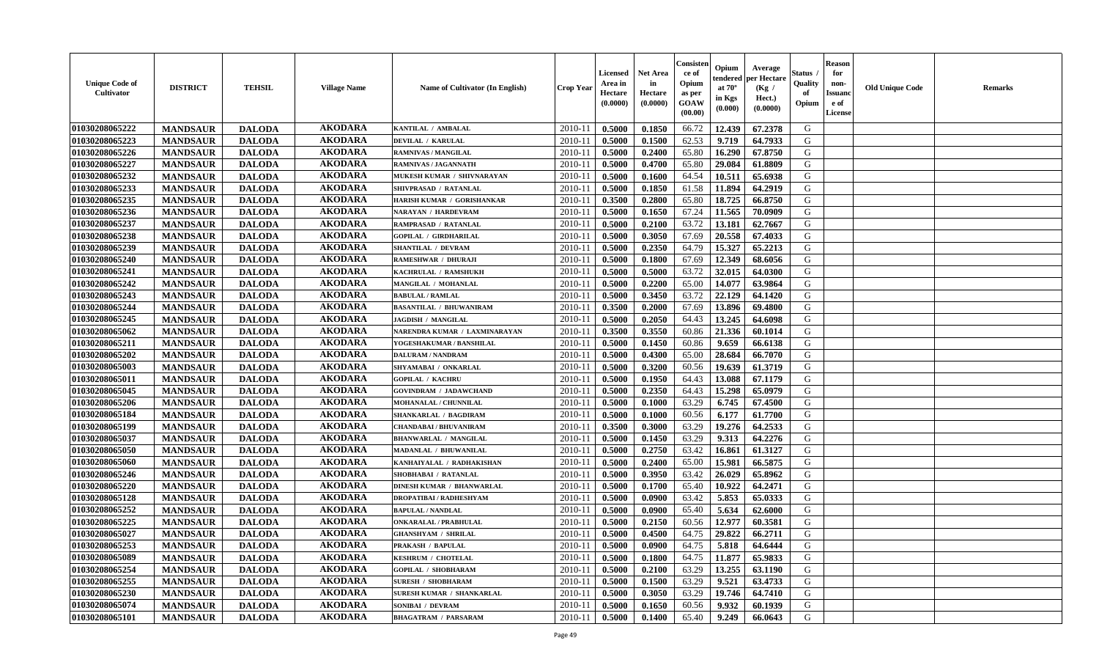| <b>Unique Code of</b><br><b>Cultivator</b> | <b>DISTRICT</b> | <b>TEHSIL</b> | <b>Village Name</b> | <b>Name of Cultivator (In English)</b> | <b>Crop Year</b> | Licensed<br>Area in<br>Hectare<br>(0.0000) | Net Area<br>in<br>Hectare<br>(0.0000) | Consisteı<br>ce of<br>Opium<br>as per<br>GOAW<br>(00.00) | Opium<br>endered<br>at $70^\circ$<br>in Kgs<br>(0.000) | Average<br>per Hectare<br>(Kg /<br>Hect.)<br>(0.0000) | Status<br>Quality<br>of<br>Opium | <b>Reason</b><br>for<br>non-<br><b>Issuand</b><br>e of<br>License | <b>Old Unique Code</b> | Remarks |
|--------------------------------------------|-----------------|---------------|---------------------|----------------------------------------|------------------|--------------------------------------------|---------------------------------------|----------------------------------------------------------|--------------------------------------------------------|-------------------------------------------------------|----------------------------------|-------------------------------------------------------------------|------------------------|---------|
| 01030208065222                             | <b>MANDSAUR</b> | <b>DALODA</b> | <b>AKODARA</b>      | KANTILAL / AMBALAL                     | 2010-11          | 0.5000                                     | 0.1850                                | 66.72                                                    | 12.439                                                 | 67.2378                                               | G                                |                                                                   |                        |         |
| 01030208065223                             | <b>MANDSAUR</b> | <b>DALODA</b> | <b>AKODARA</b>      | <b>DEVILAL / KARULAL</b>               | 2010-11          | 0.5000                                     | 0.1500                                | 62.53                                                    | 9.719                                                  | 64.7933                                               | G                                |                                                                   |                        |         |
| 01030208065226                             | <b>MANDSAUR</b> | <b>DALODA</b> | <b>AKODARA</b>      | <b>RAMNIVAS / MANGILAL</b>             | 2010-11          | 0.5000                                     | 0.2400                                | 65.80                                                    | 16.290                                                 | 67.8750                                               | G                                |                                                                   |                        |         |
| 01030208065227                             | <b>MANDSAUR</b> | <b>DALODA</b> | <b>AKODARA</b>      | <b>RAMNIVAS / JAGANNATH</b>            | 2010-11          | 0.5000                                     | 0.4700                                | 65.80                                                    | 29.084                                                 | 61.8809                                               | G                                |                                                                   |                        |         |
| 01030208065232                             | <b>MANDSAUR</b> | <b>DALODA</b> | <b>AKODARA</b>      | MUKESH KUMAR / SHIVNARAYAN             | 2010-11          | 0.5000                                     | 0.1600                                | 64.54                                                    | 10.511                                                 | 65.6938                                               | G                                |                                                                   |                        |         |
| 01030208065233                             | <b>MANDSAUR</b> | <b>DALODA</b> | <b>AKODARA</b>      | SHIVPRASAD / RATANLAL                  | $2010 - 11$      | 0.5000                                     | 0.1850                                | 61.58                                                    | 11.894                                                 | 64.2919                                               | G                                |                                                                   |                        |         |
| 01030208065235                             | <b>MANDSAUR</b> | <b>DALODA</b> | <b>AKODARA</b>      | HARISH KUMAR / GORISHANKAR             | $2010 - 11$      | 0.3500                                     | 0.2800                                | 65.80                                                    | 18.725                                                 | 66.8750                                               | G                                |                                                                   |                        |         |
| 01030208065236                             | <b>MANDSAUR</b> | <b>DALODA</b> | <b>AKODARA</b>      | NARAYAN / HARDEVRAM                    | 2010-11          | 0.5000                                     | 0.1650                                | 67.24                                                    | 11.565                                                 | 70.0909                                               | G                                |                                                                   |                        |         |
| 01030208065237                             | <b>MANDSAUR</b> | <b>DALODA</b> | <b>AKODARA</b>      | RAMPRASAD / RATANLAL                   | 2010-11          | 0.5000                                     | 0.2100                                | 63.72                                                    | 13.181                                                 | 62.7667                                               | G                                |                                                                   |                        |         |
| 01030208065238                             | <b>MANDSAUR</b> | <b>DALODA</b> | <b>AKODARA</b>      | <b>GOPILAL / GIRDHARILAL</b>           | 2010-11          | 0.5000                                     | 0.3050                                | 67.69                                                    | 20.558                                                 | 67.4033                                               | G                                |                                                                   |                        |         |
| 01030208065239                             | <b>MANDSAUR</b> | <b>DALODA</b> | <b>AKODARA</b>      | SHANTILAL / DEVRAM                     | 2010-11          | 0.5000                                     | 0.2350                                | 64.79                                                    | 15.327                                                 | 65.2213                                               | G                                |                                                                   |                        |         |
| 01030208065240                             | <b>MANDSAUR</b> | <b>DALODA</b> | <b>AKODARA</b>      | RAMESHWAR / DHURAJI                    | 2010-11          | 0.5000                                     | 0.1800                                | 67.69                                                    | 12.349                                                 | 68.6056                                               | G                                |                                                                   |                        |         |
| 01030208065241                             | <b>MANDSAUR</b> | <b>DALODA</b> | <b>AKODARA</b>      | KACHRULAL / RAMSHUKE                   | 2010-11          | 0.5000                                     | 0.5000                                | 63.72                                                    | 32.015                                                 | 64.0300                                               | G                                |                                                                   |                        |         |
| 01030208065242                             | <b>MANDSAUR</b> | <b>DALODA</b> | <b>AKODARA</b>      | MANGILAL / MOHANLAL                    | 2010-11          | 0.5000                                     | 0.2200                                | 65.00                                                    | 14.077                                                 | 63.9864                                               | G                                |                                                                   |                        |         |
| 01030208065243                             | <b>MANDSAUR</b> | <b>DALODA</b> | <b>AKODARA</b>      | <b>BABULAL / RAMLAL</b>                | $2010 - 11$      | 0.5000                                     | 0.3450                                | 63.72                                                    | 22.129                                                 | 64.1420                                               | $\mathbf G$                      |                                                                   |                        |         |
| 01030208065244                             | <b>MANDSAUR</b> | <b>DALODA</b> | <b>AKODARA</b>      | <b>BASANTILAL / BHUWANIRAM</b>         | 2010-11          | 0.3500                                     | 0.2000                                | 67.69                                                    | 13.896                                                 | 69.4800                                               | G                                |                                                                   |                        |         |
| 01030208065245                             | <b>MANDSAUR</b> | <b>DALODA</b> | <b>AKODARA</b>      | <b>JAGDISH / MANGILAL</b>              | 2010-11          | 0.5000                                     | 0.2050                                | 64.43                                                    | 13.245                                                 | 64.6098                                               | G                                |                                                                   |                        |         |
| 01030208065062                             | <b>MANDSAUR</b> | <b>DALODA</b> | <b>AKODARA</b>      | NARENDRA KUMAR / LAXMINARAYAN          | 2010-11          | 0.3500                                     | 0.3550                                | 60.86                                                    | 21.336                                                 | 60.1014                                               | G                                |                                                                   |                        |         |
| 01030208065211                             | <b>MANDSAUR</b> | <b>DALODA</b> | <b>AKODARA</b>      | YOGESHAKUMAR / BANSHILAL               | 2010-11          | 0.5000                                     | 0.1450                                | 60.86                                                    | 9.659                                                  | 66.6138                                               | G                                |                                                                   |                        |         |
| 01030208065202                             | <b>MANDSAUR</b> | <b>DALODA</b> | <b>AKODARA</b>      | <b>DALURAM / NANDRAM</b>               | 2010-11          | 0.5000                                     | 0.4300                                | 65.00                                                    | 28.684                                                 | 66.7070                                               | G                                |                                                                   |                        |         |
| 01030208065003                             | <b>MANDSAUR</b> | <b>DALODA</b> | <b>AKODARA</b>      | SHYAMABAI / ONKARLAL                   | 2010-11          | 0.5000                                     | 0.3200                                | 60.56                                                    | 19.639                                                 | 61.3719                                               | G                                |                                                                   |                        |         |
| 01030208065011                             | <b>MANDSAUR</b> | <b>DALODA</b> | <b>AKODARA</b>      | <b>GOPILAL / KACHRU</b>                | 2010-11          | 0.5000                                     | 0.1950                                | 64.43                                                    | 13.088                                                 | 67.1179                                               | G                                |                                                                   |                        |         |
| 01030208065045                             | <b>MANDSAUR</b> | <b>DALODA</b> | <b>AKODARA</b>      | <b>GOVINDRAM / JADAWCHAND</b>          | 2010-11          | 0.5000                                     | 0.2350                                | 64.43                                                    | 15.298                                                 | 65.0979                                               | G                                |                                                                   |                        |         |
| 01030208065206                             | <b>MANDSAUR</b> | <b>DALODA</b> | <b>AKODARA</b>      | MOHANALAL / CHUNNILAL                  | 2010-11          | 0.5000                                     | 0.1000                                | 63.29                                                    | 6.745                                                  | 67.4500                                               | G                                |                                                                   |                        |         |
| 01030208065184                             | <b>MANDSAUR</b> | <b>DALODA</b> | <b>AKODARA</b>      | SHANKARLAL / BAGDIRAM                  | 2010-11          | 0.5000                                     | 0.1000                                | 60.56                                                    | 6.177                                                  | 61.7700                                               | G                                |                                                                   |                        |         |
| 01030208065199                             | <b>MANDSAUR</b> | <b>DALODA</b> | <b>AKODARA</b>      | CHANDABAI / BHUVANIRAM                 | 2010-11          | 0.3500                                     | 0.3000                                | 63.29                                                    | 19.276                                                 | 64.2533                                               | G                                |                                                                   |                        |         |
| 01030208065037                             | <b>MANDSAUR</b> | <b>DALODA</b> | <b>AKODARA</b>      | <b>BHANWARLAL / MANGILAL</b>           | 2010-11          | 0.5000                                     | 0.1450                                | 63.29                                                    | 9.313                                                  | 64.2276                                               | G                                |                                                                   |                        |         |
| 01030208065050                             | <b>MANDSAUR</b> | <b>DALODA</b> | <b>AKODARA</b>      | MADANLAL / BHUWANILAL                  | 2010-11          | 0.5000                                     | 0.2750                                | 63.42                                                    | 16.861                                                 | 61.3127                                               | G                                |                                                                   |                        |         |
| 01030208065060                             | <b>MANDSAUR</b> | <b>DALODA</b> | <b>AKODARA</b>      | KANHAIYALAL / RADHAKISHAN              | 2010-11          | 0.5000                                     | 0.2400                                | 65.00                                                    | 15.981                                                 | 66.5875                                               | G                                |                                                                   |                        |         |
| 01030208065246                             | <b>MANDSAUR</b> | <b>DALODA</b> | <b>AKODARA</b>      | SHOBHABAI / RATANLAL                   | 2010-11          | 0.5000                                     | 0.3950                                | 63.42                                                    | 26.029                                                 | 65.8962                                               | G                                |                                                                   |                        |         |
| 01030208065220                             | <b>MANDSAUR</b> | <b>DALODA</b> | <b>AKODARA</b>      | <b>DINESH KUMAR / BHANWARLAL</b>       | 2010-11          | 0.5000                                     | 0.1700                                | 65.40                                                    | 10.922                                                 | 64.2471                                               | G                                |                                                                   |                        |         |
| 01030208065128                             | <b>MANDSAUR</b> | <b>DALODA</b> | <b>AKODARA</b>      | <b>DROPATIBAI / RADHESHYAM</b>         | 2010-11          | 0.5000                                     | 0.0900                                | 63.42                                                    | 5.853                                                  | 65.0333                                               | G                                |                                                                   |                        |         |
| 01030208065252                             | <b>MANDSAUR</b> | <b>DALODA</b> | <b>AKODARA</b>      | <b>BAPULAL / NANDLAL</b>               | 2010-11          | 0.5000                                     | 0.0900                                | 65.40                                                    | 5.634                                                  | 62.6000                                               | G                                |                                                                   |                        |         |
| 01030208065225                             | <b>MANDSAUR</b> | <b>DALODA</b> | <b>AKODARA</b>      | <b>ONKARALAL / PRABHULAL</b>           | 2010-11          | 0.5000                                     | 0.2150                                | 60.56                                                    | 12.977                                                 | 60.3581                                               | G                                |                                                                   |                        |         |
| 01030208065027                             | <b>MANDSAUR</b> | <b>DALODA</b> | <b>AKODARA</b>      | <b>GHANSHYAM / SHRILAL</b>             | 2010-11          | 0.5000                                     | 0.4500                                | 64.75                                                    | 29.822                                                 | 66.2711                                               | G                                |                                                                   |                        |         |
| 01030208065253                             | <b>MANDSAUR</b> | <b>DALODA</b> | <b>AKODARA</b>      | <b>PRAKASH / BAPULAL</b>               | 2010-11          | 0.5000                                     | 0.0900                                | 64.75                                                    | 5.818                                                  | 64.6444                                               | G                                |                                                                   |                        |         |
| 01030208065089                             | <b>MANDSAUR</b> | <b>DALODA</b> | <b>AKODARA</b>      | <b>KESHRUM / CHOTELAL</b>              | 2010-11          | 0.5000                                     | 0.1800                                | 64.75                                                    | 11.877                                                 | 65.9833                                               | G                                |                                                                   |                        |         |
| 01030208065254                             | <b>MANDSAUR</b> | <b>DALODA</b> | <b>AKODARA</b>      | <b>GOPILAL / SHOBHARAM</b>             | 2010-11          | 0.5000                                     | 0.2100                                | 63.29                                                    | 13.255                                                 | 63.1190                                               | G                                |                                                                   |                        |         |
| 01030208065255                             | <b>MANDSAUR</b> | <b>DALODA</b> | <b>AKODARA</b>      | <b>SURESH / SHOBHARAM</b>              | $2010 - 11$      | 0.5000                                     | 0.1500                                | 63.29                                                    | 9.521                                                  | 63.4733                                               | G                                |                                                                   |                        |         |
| 01030208065230                             | <b>MANDSAUR</b> | <b>DALODA</b> | <b>AKODARA</b>      | <b>SURESH KUMAR / SHANKARLAL</b>       | $2010 - 11$      | 0.5000                                     | 0.3050                                | 63.29                                                    | 19.746                                                 | 64.7410                                               | ${\bf G}$                        |                                                                   |                        |         |
| 01030208065074                             | <b>MANDSAUR</b> | <b>DALODA</b> | <b>AKODARA</b>      | SONIBAI / DEVRAM                       | 2010-11          | 0.5000                                     | 0.1650                                | 60.56                                                    | 9.932                                                  | 60.1939                                               | G                                |                                                                   |                        |         |
| 01030208065101                             | <b>MANDSAUR</b> | <b>DALODA</b> | <b>AKODARA</b>      | <b>BHAGATRAM / PARSARAM</b>            | 2010-11          | 0.5000                                     | 0.1400                                | 65.40                                                    | 9.249                                                  | 66.0643                                               | G                                |                                                                   |                        |         |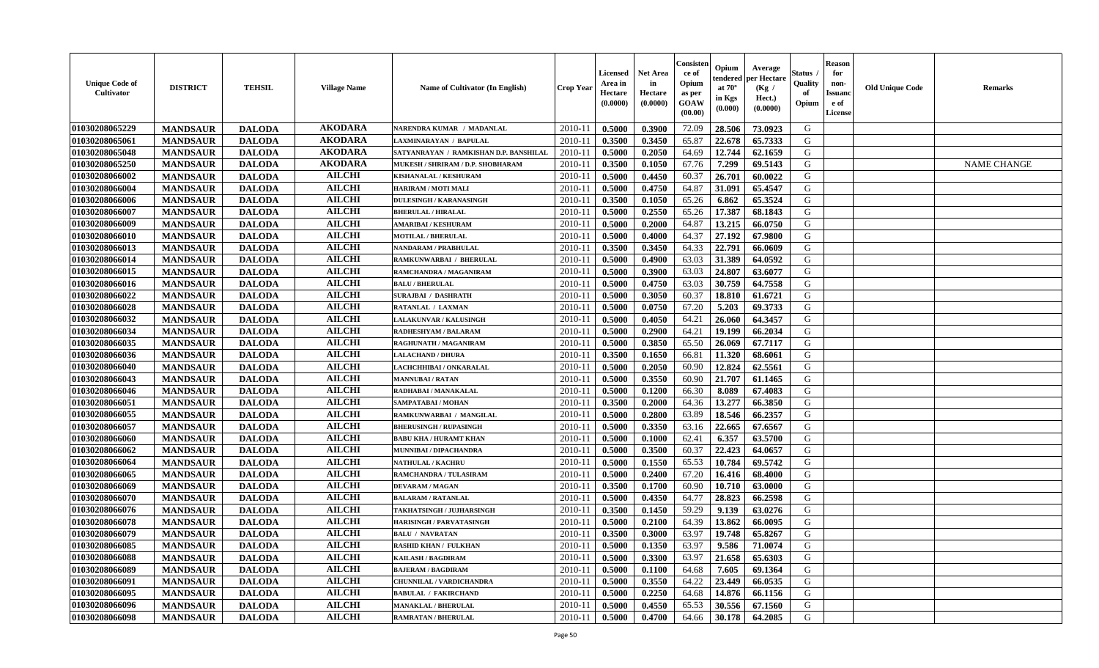| <b>Unique Code of</b><br>Cultivator | <b>DISTRICT</b> | <b>TEHSIL</b> | <b>Village Name</b> | <b>Name of Cultivator (In English)</b> | <b>Crop Year</b> | Licensed<br>Area in<br>Hectare<br>(0.0000) | <b>Net Area</b><br>in<br>Hectare<br>(0.0000) | Consister<br>ce of<br>Opium<br>as per<br>GOAW<br>(00.00) | Opium<br>endered<br>at $70^\circ$<br>in Kgs<br>$(\mathbf{0.000})$ | Average<br>per Hectare<br>(Kg /<br>Hect.)<br>(0.0000) | Status<br>Quality<br>of<br>Opium | <b>Reason</b><br>for<br>non-<br><b>Issuanc</b><br>e of<br>License | <b>Old Unique Code</b> | Remarks            |
|-------------------------------------|-----------------|---------------|---------------------|----------------------------------------|------------------|--------------------------------------------|----------------------------------------------|----------------------------------------------------------|-------------------------------------------------------------------|-------------------------------------------------------|----------------------------------|-------------------------------------------------------------------|------------------------|--------------------|
| 01030208065229                      | <b>MANDSAUR</b> | <b>DALODA</b> | <b>AKODARA</b>      | NARENDRA KUMAR / MADANLAL              | 2010-11          | 0.5000                                     | 0.3900                                       | 72.09                                                    | 28.506                                                            | 73.0923                                               | G                                |                                                                   |                        |                    |
| 01030208065061                      | <b>MANDSAUR</b> | <b>DALODA</b> | <b>AKODARA</b>      | LAXMINARAYAN / BAPULAL                 | $2010-1$         | 0.3500                                     | 0.3450                                       | 65.87                                                    | 22.678                                                            | 65.7333                                               | G                                |                                                                   |                        |                    |
| 01030208065048                      | <b>MANDSAUR</b> | <b>DALODA</b> | <b>AKODARA</b>      | SATYANRAYAN / RAMKISHAN D.P. BANSHILAL | $2010-1$         | 0.5000                                     | 0.2050                                       | 64.69                                                    | 12.744                                                            | 62.1659                                               | G                                |                                                                   |                        |                    |
| 01030208065250                      | <b>MANDSAUR</b> | <b>DALODA</b> | <b>AKODARA</b>      | MUKESH / SHRIRAM / D.P. SHOBHARAM      | 2010-11          | 0.3500                                     | 0.1050                                       | 67.76                                                    | 7.299                                                             | 69.5143                                               | G                                |                                                                   |                        | <b>NAME CHANGE</b> |
| 01030208066002                      | <b>MANDSAUR</b> | <b>DALODA</b> | <b>AILCHI</b>       | <b>KISHANALAL / KESHURAM</b>           | 2010-11          | 0.5000                                     | 0.4450                                       | 60.37                                                    | 26.701                                                            | 60.0022                                               | G                                |                                                                   |                        |                    |
| 01030208066004                      | <b>MANDSAUR</b> | <b>DALODA</b> | <b>AILCHI</b>       | HARIRAM / MOTI MALI                    | $2010 - 1$       | 0.5000                                     | 0.4750                                       | 64.87                                                    | 31.091                                                            | 65.4547                                               | G                                |                                                                   |                        |                    |
| 01030208066006                      | <b>MANDSAUR</b> | <b>DALODA</b> | <b>AILCHI</b>       | <b>DULESINGH / KARANASINGH</b>         | 2010-1           | 0.3500                                     | 0.1050                                       | 65.26                                                    | 6.862                                                             | 65.3524                                               | G                                |                                                                   |                        |                    |
| 01030208066007                      | <b>MANDSAUR</b> | <b>DALODA</b> | <b>AILCHI</b>       | <b>BHERULAL / HIRALAL</b>              | $2010 - 1$       | 0.5000                                     | 0.2550                                       | 65.26                                                    | 17.387                                                            | 68.1843                                               | G                                |                                                                   |                        |                    |
| 01030208066009                      | <b>MANDSAUR</b> | <b>DALODA</b> | <b>AILCHI</b>       | <b>AMARIBAI/KESHURAM</b>               | 2010-11          | 0.5000                                     | 0.2000                                       | 64.87                                                    | 13.215                                                            | 66.0750                                               | G                                |                                                                   |                        |                    |
| 01030208066010                      | <b>MANDSAUR</b> | <b>DALODA</b> | <b>AILCHI</b>       | <b>MOTILAL / BHERULAL</b>              | $2010 - 11$      | 0.5000                                     | 0.4000                                       | 64.37                                                    | 27.192                                                            | 67.9800                                               | G                                |                                                                   |                        |                    |
| 01030208066013                      | <b>MANDSAUR</b> | <b>DALODA</b> | <b>AILCHI</b>       | <b>NANDARAM / PRABHULAL</b>            | 2010-11          | 0.3500                                     | 0.3450                                       | 64.33                                                    | 22.791                                                            | 66.0609                                               | G                                |                                                                   |                        |                    |
| 01030208066014                      | <b>MANDSAUR</b> | <b>DALODA</b> | <b>AILCHI</b>       | RAMKUNWARBAI / BHERULAL                | 2010-11          | 0.5000                                     | 0.4900                                       | 63.03                                                    | 31.389                                                            | 64.0592                                               | G                                |                                                                   |                        |                    |
| 01030208066015                      | <b>MANDSAUR</b> | <b>DALODA</b> | <b>AILCHI</b>       | RAMCHANDRA / MAGANIRAM                 | 2010-11          | 0.5000                                     | 0.3900                                       | 63.03                                                    | 24.807                                                            | 63.6077                                               | G                                |                                                                   |                        |                    |
| 01030208066016                      | <b>MANDSAUR</b> | <b>DALODA</b> | <b>AILCHI</b>       | <b>BALU / BHERULAL</b>                 | $2010 - 11$      | 0.5000                                     | 0.4750                                       | 63.03                                                    | 30.759                                                            | 64.7558                                               | G                                |                                                                   |                        |                    |
| <b>01030208066022</b>               | <b>MANDSAUR</b> | <b>DALODA</b> | <b>AILCHI</b>       | <b>SURAJBAI / DASHRATH</b>             | 2010-1           | 0.5000                                     | 0.3050                                       | 60.37                                                    | 18.810                                                            | 61.6721                                               | G                                |                                                                   |                        |                    |
| 01030208066028                      | <b>MANDSAUR</b> | <b>DALODA</b> | <b>AILCHI</b>       | RATANLAL / LAXMAN                      | 2010-1           | 0.5000                                     | 0.0750                                       | 67.20                                                    | 5.203                                                             | 69.3733                                               | G                                |                                                                   |                        |                    |
| 01030208066032                      | <b>MANDSAUR</b> | <b>DALODA</b> | <b>AILCHI</b>       | LALAKUNVAR / KALUSINGH                 | 2010-11          | 0.5000                                     | 0.4050                                       | 64.21                                                    | 26.060                                                            | 64.3457                                               | G                                |                                                                   |                        |                    |
| 01030208066034                      | <b>MANDSAUR</b> | <b>DALODA</b> | <b>AILCHI</b>       | RADHESHYAM / BALARAM                   | 2010-11          | 0.5000                                     | 0.2900                                       | 64.21                                                    | 19.199                                                            | 66.2034                                               | G                                |                                                                   |                        |                    |
| 01030208066035                      | <b>MANDSAUR</b> | <b>DALODA</b> | <b>AILCHI</b>       | RAGHUNATH / MAGANIRAM                  | $2010 - 1$       | 0.5000                                     | 0.3850                                       | 65.50                                                    | 26.069                                                            | 67.7117                                               | G                                |                                                                   |                        |                    |
| 01030208066036                      | <b>MANDSAUR</b> | <b>DALODA</b> | <b>AILCHI</b>       | <b>LALACHAND / DHURA</b>               | 2010-11          | 0.3500                                     | 0.1650                                       | 66.81                                                    | 11.320                                                            | 68.6061                                               | G                                |                                                                   |                        |                    |
| 01030208066040                      | <b>MANDSAUR</b> | <b>DALODA</b> | <b>AILCHI</b>       | LACHCHHIBAI / ONKARALAL                | 2010-11          | 0.5000                                     | 0.2050                                       | 60.90                                                    | 12.824                                                            | 62.5561                                               | G                                |                                                                   |                        |                    |
| 01030208066043                      | <b>MANDSAUR</b> | <b>DALODA</b> | <b>AILCHI</b>       | <b>MANNUBAI/RATAN</b>                  | $2010 - 1$       | 0.5000                                     | 0.3550                                       | 60.90                                                    | 21.707                                                            | 61.1465                                               | G                                |                                                                   |                        |                    |
| 01030208066046                      | <b>MANDSAUR</b> | <b>DALODA</b> | <b>AILCHI</b>       | RADHABAI / MANAKALAL                   | $2010 - 1$       | 0.5000                                     | 0.1200                                       | 66.30                                                    | 8.089                                                             | 67.4083                                               | G                                |                                                                   |                        |                    |
| 01030208066051                      | <b>MANDSAUR</b> | <b>DALODA</b> | <b>AILCHI</b>       | SAMPATABAI / MOHAN                     | 2010-1           | 0.3500                                     | 0.2000                                       | 64.36                                                    | 13,277                                                            | 66.3850                                               | G                                |                                                                   |                        |                    |
| 01030208066055                      | <b>MANDSAUR</b> | <b>DALODA</b> | <b>AILCHI</b>       | RAMKUNWARBAI / MANGILAL                | $2010 - 1$       | 0.5000                                     | 0.2800                                       | 63.89                                                    | 18.546                                                            | 66.2357                                               | G                                |                                                                   |                        |                    |
| 01030208066057                      | <b>MANDSAUR</b> | <b>DALODA</b> | <b>AILCHI</b>       | <b>BHERUSINGH / RUPASINGH</b>          | 2010-11          | 0.5000                                     | 0.3350                                       | 63.16                                                    | 22.665                                                            | 67.6567                                               | G                                |                                                                   |                        |                    |
| 01030208066060                      | <b>MANDSAUR</b> | <b>DALODA</b> | <b>AILCHI</b>       | <b>BABU KHA / HURAMT KHAN</b>          | $2010 - 1$       | 0.5000                                     | 0.1000                                       | 62.41                                                    | 6.357                                                             | 63.5700                                               | G                                |                                                                   |                        |                    |
| 01030208066062                      | <b>MANDSAUR</b> | <b>DALODA</b> | <b>AILCHI</b>       | MUNNIBAI / DIPACHANDRA                 | 2010-11          | 0.5000                                     | 0.3500                                       | 60.37                                                    | 22.423                                                            | 64.0657                                               | G                                |                                                                   |                        |                    |
| 01030208066064                      | <b>MANDSAUR</b> | <b>DALODA</b> | <b>AILCHI</b>       | <b>NATHULAL / KACHRU</b>               | 2010-11          | 0.5000                                     | 0.1550                                       | 65.53                                                    | 10.784                                                            | 69.5742                                               | G                                |                                                                   |                        |                    |
| 01030208066065                      | <b>MANDSAUR</b> | <b>DALODA</b> | <b>AILCHI</b>       | RAMCHANDRA / TULASIRAM                 | $2010 - 1$       | 0.5000                                     | 0.2400                                       | 67.20                                                    | 16.416                                                            | 68.4000                                               | G                                |                                                                   |                        |                    |
| 01030208066069                      | <b>MANDSAUR</b> | <b>DALODA</b> | <b>AILCHI</b>       | <b>DEVARAM / MAGAN</b>                 | $2010 - 1$       | 0.3500                                     | 0.1700                                       | 60.90                                                    | 10.710                                                            | 63.0000                                               | G                                |                                                                   |                        |                    |
| 01030208066070                      | <b>MANDSAUR</b> | <b>DALODA</b> | <b>AILCHI</b>       | <b>BALARAM / RATANLAL</b>              | $2010 - 1$       | 0.5000                                     | 0.4350                                       | 64.77                                                    | 28.823                                                            | 66.2598                                               | G                                |                                                                   |                        |                    |
| 01030208066076                      | <b>MANDSAUR</b> | <b>DALODA</b> | <b>AILCHI</b>       | TAKHATSINGH / JUJHARSINGH              | $2010 - 1$       | 0.3500                                     | 0.1450                                       | 59.29                                                    | 9.139                                                             | 63.0276                                               | G                                |                                                                   |                        |                    |
| 01030208066078                      | <b>MANDSAUR</b> | <b>DALODA</b> | <b>AILCHI</b>       | <b>HARISINGH / PARVATASINGH</b>        | 2010-11          | 0.5000                                     | 0.2100                                       | 64.39                                                    | 13.862                                                            | 66.0095                                               | G                                |                                                                   |                        |                    |
| 01030208066079                      | <b>MANDSAUR</b> | <b>DALODA</b> | <b>AILCHI</b>       | <b>BALU / NAVRATAN</b>                 | 2010-11          | 0.3500                                     | 0.3000                                       | 63.97                                                    | 19.748                                                            | 65.8267                                               | G                                |                                                                   |                        |                    |
| 01030208066085                      | <b>MANDSAUR</b> | <b>DALODA</b> | <b>AILCHI</b>       | <b>RASHID KHAN / FULKHAN</b>           | 2010-11          | 0.5000                                     | 0.1350                                       | 63.97                                                    | 9.586                                                             | 71.0074                                               | G                                |                                                                   |                        |                    |
| 01030208066088                      | <b>MANDSAUR</b> | <b>DALODA</b> | <b>AILCHI</b>       | <b>KAILASH / BAGDIRAM</b>              | 2010-11          | 0.5000                                     | 0.3300                                       | 63.97                                                    | 21.658                                                            | 65.6303                                               | G                                |                                                                   |                        |                    |
| 01030208066089                      | <b>MANDSAUR</b> | <b>DALODA</b> | <b>AILCHI</b>       | <b>BAJERAM / BAGDIRAM</b>              | 2010-11          | 0.5000                                     | 0.1100                                       | 64.68                                                    | 7.605                                                             | 69.1364                                               | G                                |                                                                   |                        |                    |
| 01030208066091                      | <b>MANDSAUR</b> | <b>DALODA</b> | <b>AILCHI</b>       | <b>CHUNNILAL / VARDICHANDRA</b>        | 2010-1           | 0.5000                                     | 0.3550                                       | 64.22                                                    | 23.449                                                            | 66.0535                                               | G                                |                                                                   |                        |                    |
| 01030208066095                      | <b>MANDSAUR</b> | <b>DALODA</b> | <b>AILCHI</b>       | <b>BABULAL / FAKIRCHAND</b>            | 2010-1           | 0.5000                                     | 0.2250                                       | 64.68                                                    | 14.876                                                            | 66.1156                                               | ${\bf G}$                        |                                                                   |                        |                    |
| 01030208066096                      | <b>MANDSAUR</b> | <b>DALODA</b> | <b>AILCHI</b>       | <b>MANAKLAL / BHERULAL</b>             | $2010-1$         | 0.5000                                     | 0.4550                                       | 65.53                                                    | 30.556                                                            | 67.1560                                               | G                                |                                                                   |                        |                    |
| 01030208066098                      | <b>MANDSAUR</b> | <b>DALODA</b> | <b>AILCHI</b>       | <b>RAMRATAN / BHERULAL</b>             | 2010-11          | 0.5000                                     | 0.4700                                       | 64.66                                                    | 30.178                                                            | 64.2085                                               | G                                |                                                                   |                        |                    |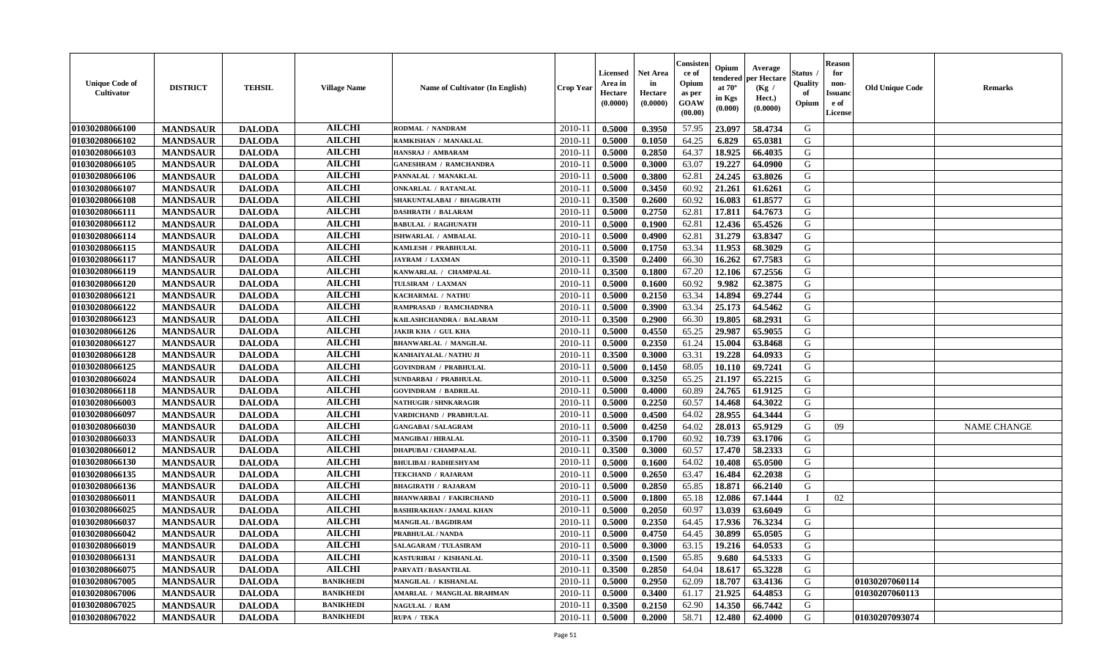| <b>Unique Code of</b><br><b>Cultivator</b> | <b>DISTRICT</b> | <b>TEHSIL</b> | <b>Village Name</b> | Name of Cultivator (In English)   | <b>Crop Year</b> | Licensed<br>Area in<br>Hectare<br>(0.0000) | <b>Net Area</b><br>in<br>Hectare<br>(0.0000) | Consisteı<br>ce of<br>Opium<br>as per<br>GOAW<br>(00.00) | Opium<br>endered<br>at $70^\circ$<br>in Kgs<br>(0.000) | Average<br>per Hectare<br>(Kg /<br>Hect.)<br>(0.0000) | Status<br>Quality<br>of<br>Opium | <b>Reason</b><br>for<br>non-<br><b>Issuand</b><br>e of<br><b>License</b> | <b>Old Unique Code</b> | <b>Remarks</b>     |
|--------------------------------------------|-----------------|---------------|---------------------|-----------------------------------|------------------|--------------------------------------------|----------------------------------------------|----------------------------------------------------------|--------------------------------------------------------|-------------------------------------------------------|----------------------------------|--------------------------------------------------------------------------|------------------------|--------------------|
| 01030208066100                             | <b>MANDSAUR</b> | <b>DALODA</b> | <b>AILCHI</b>       | RODMAL / NANDRAM                  | 2010-11          | 0.5000                                     | 0.3950                                       | 57.95                                                    | 23.097                                                 | 58.4734                                               | G                                |                                                                          |                        |                    |
| 01030208066102                             | <b>MANDSAUR</b> | <b>DALODA</b> | <b>AILCHI</b>       | RAMKISHAN / MANAKLAL              | 2010-11          | 0.5000                                     | 0.1050                                       | 64.25                                                    | 6.829                                                  | 65.0381                                               | G                                |                                                                          |                        |                    |
| 01030208066103                             | <b>MANDSAUR</b> | <b>DALODA</b> | <b>AILCHI</b>       | HANSRAJ / AMBARAM                 | 2010-11          | 0.5000                                     | 0.2850                                       | 64.37                                                    | 18.925                                                 | 66.4035                                               | G                                |                                                                          |                        |                    |
| 01030208066105                             | <b>MANDSAUR</b> | <b>DALODA</b> | <b>AILCHI</b>       | <b>GANESHRAM / RAMCHANDRA</b>     | 2010-11          | 0.5000                                     | 0.3000                                       | 63.07                                                    | 19.227                                                 | 64.0900                                               | G                                |                                                                          |                        |                    |
| 01030208066106                             | <b>MANDSAUR</b> | <b>DALODA</b> | <b>AILCHI</b>       | PANNALAL / MANAKLAL               | 2010-11          | 0.5000                                     | 0.3800                                       | 62.81                                                    | 24.245                                                 | 63.8026                                               | G                                |                                                                          |                        |                    |
| 01030208066107                             | <b>MANDSAUR</b> | <b>DALODA</b> | <b>AILCHI</b>       | <b>ONKARLAL / RATANLAL</b>        | $2010 - 11$      | 0.5000                                     | 0.3450                                       | 60.92                                                    | 21.261                                                 | 61.6261                                               | G                                |                                                                          |                        |                    |
| 01030208066108                             | <b>MANDSAUR</b> | <b>DALODA</b> | <b>AILCHI</b>       | SHAKUNTALABAI / BHAGIRATH         | 2010-11          | 0.3500                                     | 0.2600                                       | 60.92                                                    | 16.083                                                 | 61.8577                                               | G                                |                                                                          |                        |                    |
| 01030208066111                             | <b>MANDSAUR</b> | <b>DALODA</b> | <b>AILCHI</b>       | <b>DASHRATH / BALARAM</b>         | 2010-11          | 0.5000                                     | 0.2750                                       | 62.81                                                    | 17.811                                                 | 64.7673                                               | G                                |                                                                          |                        |                    |
| 01030208066112                             | <b>MANDSAUR</b> | <b>DALODA</b> | <b>AILCHI</b>       | <b>BABULAL / RAGHUNATH</b>        | 2010-11          | 0.5000                                     | 0.1900                                       | 62.81                                                    | 12.436                                                 | 65.4526                                               | G                                |                                                                          |                        |                    |
| 01030208066114                             | <b>MANDSAUR</b> | <b>DALODA</b> | <b>AILCHI</b>       | ISHWARLAL / AMBALAL               | 2010-11          | 0.5000                                     | 0.4900                                       | 62.81                                                    | 31.279                                                 | 63.8347                                               | G                                |                                                                          |                        |                    |
| 01030208066115                             | <b>MANDSAUR</b> | <b>DALODA</b> | <b>AILCHI</b>       | KAMLESH / PRABHULAL               | 2010-11          | 0.5000                                     | 0.1750                                       | 63.34                                                    | 11.953                                                 | 68.3029                                               | G                                |                                                                          |                        |                    |
| 01030208066117                             | <b>MANDSAUR</b> | <b>DALODA</b> | <b>AILCHI</b>       | <b>JAYRAM / LAXMAN</b>            | 2010-11          | 0.3500                                     | 0.2400                                       | 66.30                                                    | 16.262                                                 | 67.7583                                               | G                                |                                                                          |                        |                    |
| 01030208066119                             | <b>MANDSAUR</b> | <b>DALODA</b> | <b>AILCHI</b>       | KANWARLAL / CHAMPALAL             | 2010-11          | 0.3500                                     | 0.1800                                       | 67.20                                                    | 12.106                                                 | 67.2556                                               | G                                |                                                                          |                        |                    |
| 01030208066120                             | <b>MANDSAUR</b> | <b>DALODA</b> | <b>AILCHI</b>       | TULSIRAM / LAXMAN                 | $2010 - 11$      | 0.5000                                     | 0.1600                                       | 60.92                                                    | 9.982                                                  | 62.3875                                               | G                                |                                                                          |                        |                    |
| 01030208066121                             | <b>MANDSAUR</b> | <b>DALODA</b> | <b>AILCHI</b>       | KACHARMAL / NATHU                 | 2010-11          | 0.5000                                     | 0.2150                                       | 63.34                                                    | 14.894                                                 | 69.2744                                               | G                                |                                                                          |                        |                    |
| 01030208066122                             | <b>MANDSAUR</b> | <b>DALODA</b> | <b>AILCHI</b>       | RAMPRASAD / RAMCHADNRA            | 2010-11          | 0.5000                                     | 0.3900                                       | 63.34                                                    | 25.173                                                 | 64.5462                                               | G                                |                                                                          |                        |                    |
| 01030208066123                             | <b>MANDSAUR</b> | <b>DALODA</b> | <b>AILCHI</b>       | KAILASHCHANDRA / BALARAM          | 2010-11          | 0.3500                                     | 0.2900                                       | 66.30                                                    | 19.805                                                 | 68.2931                                               | G                                |                                                                          |                        |                    |
| 01030208066126                             | <b>MANDSAUR</b> | <b>DALODA</b> | <b>AILCHI</b>       | <b>JAKIR KHA / GUL KHA</b>        | 2010-11          | 0.5000                                     | 0.4550                                       | 65.25                                                    | 29.987                                                 | 65.9055                                               | G                                |                                                                          |                        |                    |
| 01030208066127                             | <b>MANDSAUR</b> | <b>DALODA</b> | <b>AILCHI</b>       | <b>BHANWARLAL / MANGILAL</b>      | 2010-11          | 0.5000                                     | 0.2350                                       | 61.24                                                    | 15.004                                                 | 63.8468                                               | G                                |                                                                          |                        |                    |
| 01030208066128                             | <b>MANDSAUR</b> | <b>DALODA</b> | <b>AILCHI</b>       | KANHAIYALAL / NATHU JI            | 2010-11          | 0.3500                                     | 0.3000                                       | 63.31                                                    | 19.228                                                 | 64.0933                                               | G                                |                                                                          |                        |                    |
| 01030208066125                             | <b>MANDSAUR</b> | <b>DALODA</b> | <b>AILCHI</b>       | <b>GOVINDRAM / PRABHULAL</b>      | 2010-11          | 0.5000                                     | 0.1450                                       | 68.05                                                    | 10.110                                                 | 69.7241                                               | G                                |                                                                          |                        |                    |
| 01030208066024                             | <b>MANDSAUR</b> | <b>DALODA</b> | <b>AILCHI</b>       | <b>SUNDARBAI / PRABHULAL</b>      | 2010-11          | 0.5000                                     | 0.3250                                       | 65.25                                                    | 21.197                                                 | 65.2215                                               | G                                |                                                                          |                        |                    |
| 01030208066118                             | <b>MANDSAUR</b> | <b>DALODA</b> | <b>AILCHI</b>       | <b>GOVINDRAM / BADRILAL</b>       | $2010 - 11$      | 0.5000                                     | 0.4000                                       | 60.89                                                    | 24.765                                                 | 61.9125                                               | G                                |                                                                          |                        |                    |
| 01030208066003                             | <b>MANDSAUR</b> | <b>DALODA</b> | <b>AILCHI</b>       | <b>NATHUGIR / SHNKARAGIR</b>      | 2010-11          | 0.5000                                     | 0.2250                                       | 60.57                                                    | 14.468                                                 | 64.3022                                               | G                                |                                                                          |                        |                    |
| 01030208066097                             | <b>MANDSAUR</b> | <b>DALODA</b> | <b>AILCHI</b>       | VARDICHAND / PRABHULAL            | 2010-11          | 0.5000                                     | 0.4500                                       | 64.02                                                    | 28.955                                                 | 64.3444                                               | G                                |                                                                          |                        |                    |
| 01030208066030                             | <b>MANDSAUR</b> | <b>DALODA</b> | <b>AILCHI</b>       | <b>GANGABAI/SALAGRAM</b>          | 2010-11          | 0.5000                                     | 0.4250                                       | 64.02                                                    | 28.013                                                 | 65.9129                                               | G                                | 09                                                                       |                        | <b>NAME CHANGE</b> |
| 01030208066033                             | <b>MANDSAUR</b> | <b>DALODA</b> | <b>AILCHI</b>       | <b>MANGIBAI / HIRALAL</b>         | 2010-11          | 0.3500                                     | 0.1700                                       | 60.92                                                    | 10.739                                                 | 63.1706                                               | G                                |                                                                          |                        |                    |
| 01030208066012                             | <b>MANDSAUR</b> | <b>DALODA</b> | <b>AILCHI</b>       | <b>DHAPUBAI / CHAMPALAL</b>       | 2010-11          | 0.3500                                     | 0.3000                                       | 60.57                                                    | 17.470                                                 | 58.2333                                               | G                                |                                                                          |                        |                    |
| 01030208066130                             | <b>MANDSAUR</b> | <b>DALODA</b> | <b>AILCHI</b>       | <b>BHULIBAI/RADHESHYAM</b>        | 2010-11          | 0.5000                                     | 0.1600                                       | 64.02                                                    | 10.408                                                 | 65.0500                                               | G                                |                                                                          |                        |                    |
| 01030208066135                             | <b>MANDSAUR</b> | <b>DALODA</b> | <b>AILCHI</b>       | <b>TEKCHAND / RAJARAM</b>         | 2010-11          | 0.5000                                     | 0.2650                                       | 63.47                                                    | 16.484                                                 | 62.2038                                               | G                                |                                                                          |                        |                    |
| 01030208066136                             | <b>MANDSAUR</b> | <b>DALODA</b> | <b>AILCHI</b>       | <b>BHAGIRATH / RAJARAM</b>        | $2010 - 1$       | 0.5000                                     | 0.2850                                       | 65.85                                                    | 18.871                                                 | 66.2140                                               | ${\bf G}$                        |                                                                          |                        |                    |
| 01030208066011                             | <b>MANDSAUR</b> | <b>DALODA</b> | <b>AILCHI</b>       | <b>BHANWARBAI / FAKIRCHAND</b>    | 2010-11          | 0.5000                                     | 0.1800                                       | 65.18                                                    | 12.086                                                 | 67.1444                                               | T                                | 02                                                                       |                        |                    |
| 01030208066025                             | <b>MANDSAUR</b> | <b>DALODA</b> | <b>AILCHI</b>       | <b>BASHIRAKHAN / JAMAL KHAN</b>   | 2010-11          | 0.5000                                     | 0.2050                                       | 60.97                                                    | 13.039                                                 | 63.6049                                               | G                                |                                                                          |                        |                    |
| 01030208066037                             | <b>MANDSAUR</b> | <b>DALODA</b> | <b>AILCHI</b>       | <b>MANGILAL / BAGDIRAM</b>        | 2010-11          | 0.5000                                     | 0.2350                                       | 64.45                                                    | 17.936                                                 | 76.3234                                               | G                                |                                                                          |                        |                    |
| 01030208066042                             | <b>MANDSAUR</b> | <b>DALODA</b> | <b>AILCHI</b>       | <b>PRABHULAL / NANDA</b>          | 2010-11          | 0.5000                                     | 0.4750                                       | 64.45                                                    | 30.899                                                 | 65.0505                                               | G                                |                                                                          |                        |                    |
| 01030208066019                             | <b>MANDSAUR</b> | <b>DALODA</b> | <b>AILCHI</b>       | <b>SALAGARAM / TULASIRAM</b>      | 2010-11          | 0.5000                                     | 0.3000                                       | 63.15                                                    | 19.216                                                 | 64.0533                                               | G                                |                                                                          |                        |                    |
| 01030208066131                             | <b>MANDSAUR</b> | <b>DALODA</b> | <b>AILCHI</b>       | KASTURIBAI / KISHANLAL            | 2010-11          | 0.3500                                     | 0.1500                                       | 65.85                                                    | 9.680                                                  | 64.5333                                               | G                                |                                                                          |                        |                    |
| 01030208066075                             | <b>MANDSAUR</b> | <b>DALODA</b> | <b>AILCHI</b>       | PARVATI / BASANTILAL              | 2010-11          | 0.3500                                     | 0.2850                                       | 64.04                                                    | 18.617                                                 | 65.3228                                               | G                                |                                                                          |                        |                    |
| 01030208067005                             | <b>MANDSAUR</b> | <b>DALODA</b> | <b>BANIKHEDI</b>    | MANGILAL / KISHANLAL              | $2010 - 11$      | 0.5000                                     | 0.2950                                       | 62.09                                                    | 18.707                                                 | 63.4136                                               | G                                |                                                                          | 01030207060114         |                    |
| 01030208067006                             | <b>MANDSAUR</b> | <b>DALODA</b> | <b>BANIKHEDI</b>    | <b>AMARLAL / MANGILAL BRAHMAN</b> | $2010 - 11$      | 0.5000                                     | 0.3400                                       | 61.17                                                    | 21.925                                                 | 64.4853                                               | G                                |                                                                          | 01030207060113         |                    |
| 01030208067025                             | <b>MANDSAUR</b> | <b>DALODA</b> | <b>BANIKHEDI</b>    | NAGULAL / RAM                     | 2010-11          | 0.3500                                     | 0.2150                                       | 62.90                                                    | 14.350                                                 | 66.7442                                               | G                                |                                                                          |                        |                    |
| 01030208067022                             | <b>MANDSAUR</b> | <b>DALODA</b> | <b>BANIKHEDI</b>    | RUPA / TEKA                       | 2010-11          | 0.5000                                     | 0.2000                                       | 58.71                                                    | 12.480                                                 | 62.4000                                               | G                                |                                                                          | 01030207093074         |                    |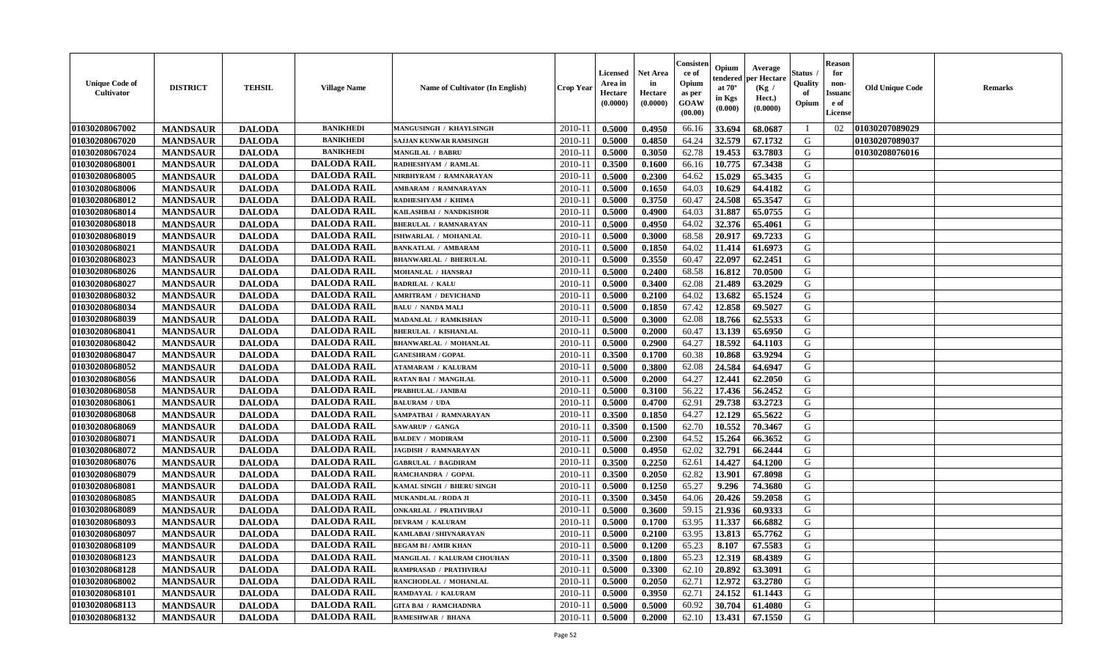| <b>Unique Code of</b><br><b>Cultivator</b> | <b>DISTRICT</b> | <b>TEHSIL</b> | <b>Village Name</b> | Name of Cultivator (In English) | <b>Crop Year</b> | Licensed<br>Area in<br>Hectare<br>(0.0000) | <b>Net Area</b><br>in<br>Hectare<br>(0.0000) | Consisteı<br>ce of<br>Opium<br>as per<br>GOAW<br>(00.00) | Opium<br>endered<br>at $70^\circ$<br>in Kgs<br>(0.000) | Average<br>per Hectare<br>(Kg /<br>Hect.)<br>(0.0000) | Status<br>Quality<br>of<br>Opium | <b>Reason</b><br>for<br>non-<br><b>Issuanc</b><br>e of<br><b>License</b> | <b>Old Unique Code</b> | <b>Remarks</b> |
|--------------------------------------------|-----------------|---------------|---------------------|---------------------------------|------------------|--------------------------------------------|----------------------------------------------|----------------------------------------------------------|--------------------------------------------------------|-------------------------------------------------------|----------------------------------|--------------------------------------------------------------------------|------------------------|----------------|
| 01030208067002                             | <b>MANDSAUR</b> | <b>DALODA</b> | <b>BANIKHEDI</b>    | MANGUSINGH / KHAYLSINGH         | 2010-11          | 0.5000                                     | 0.4950                                       | 66.16                                                    | 33.694                                                 | 68.0687                                               | T                                | 02                                                                       | 01030207089029         |                |
| 01030208067020                             | <b>MANDSAUR</b> | <b>DALODA</b> | <b>BANIKHEDI</b>    | SAJJAN KUNWAR RAMSINGH          | 2010-11          | 0.5000                                     | 0.4850                                       | 64.24                                                    | 32.579                                                 | 67.1732                                               | G                                |                                                                          | 01030207089037         |                |
| 01030208067024                             | <b>MANDSAUR</b> | <b>DALODA</b> | <b>BANIKHEDI</b>    | <b>MANGILAL / BABRU</b>         | 2010-11          | 0.5000                                     | 0.3050                                       | 62.78                                                    | 19.453                                                 | 63.7803                                               | G                                |                                                                          | 01030208076016         |                |
| 01030208068001                             | <b>MANDSAUR</b> | <b>DALODA</b> | <b>DALODA RAIL</b>  | RADHESHYAM / RAMLAL             | 2010-11          | 0.3500                                     | 0.1600                                       | 66.16                                                    | 10.775                                                 | 67.3438                                               | G                                |                                                                          |                        |                |
| 01030208068005                             | <b>MANDSAUR</b> | <b>DALODA</b> | <b>DALODA RAIL</b>  | NIRBHYRAM / RAMNARAYAN          | 2010-11          | 0.5000                                     | 0.2300                                       | 64.62                                                    | 15.029                                                 | 65.3435                                               | G                                |                                                                          |                        |                |
| 01030208068006                             | <b>MANDSAUR</b> | <b>DALODA</b> | <b>DALODA RAIL</b>  | <b>AMBARAM / RAMNARAYAN</b>     | 2010-11          | 0.5000                                     | 0.1650                                       | 64.03                                                    | 10.629                                                 | 64.4182                                               | G                                |                                                                          |                        |                |
| 01030208068012                             | <b>MANDSAUR</b> | <b>DALODA</b> | <b>DALODA RAIL</b>  | RADHESHYAM / KHIMA              | 2010-11          | 0.5000                                     | 0.3750                                       | 60.47                                                    | 24.508                                                 | 65.3547                                               | G                                |                                                                          |                        |                |
| 01030208068014                             | <b>MANDSAUR</b> | <b>DALODA</b> | <b>DALODA RAIL</b>  | KAILASHBAI / NANDKISHOR         | 2010-11          | 0.5000                                     | 0.4900                                       | 64.03                                                    | 31.887                                                 | 65.0755                                               | G                                |                                                                          |                        |                |
| 01030208068018                             | <b>MANDSAUR</b> | <b>DALODA</b> | <b>DALODA RAIL</b>  | <b>BHERULAL / RAMNARAYAN</b>    | 2010-11          | 0.5000                                     | 0.4950                                       | 64.02                                                    | 32.376                                                 | 65.4061                                               | G                                |                                                                          |                        |                |
| 01030208068019                             | <b>MANDSAUR</b> | <b>DALODA</b> | <b>DALODA RAIL</b>  | ISHWARLAL / MOHANLAL            | 2010-11          | 0.5000                                     | 0.3000                                       | 68.58                                                    | 20.917                                                 | 69.7233                                               | G                                |                                                                          |                        |                |
| 01030208068021                             | <b>MANDSAUR</b> | <b>DALODA</b> | <b>DALODA RAIL</b>  | <b>BANKATLAL / AMBARAM</b>      | 2010-11          | 0.5000                                     | 0.1850                                       | 64.02                                                    | 11.414                                                 | 61.6973                                               | $\mathbf G$                      |                                                                          |                        |                |
| 01030208068023                             | <b>MANDSAUR</b> | <b>DALODA</b> | <b>DALODA RAIL</b>  | <b>BHANWARLAL / BHERULAL</b>    | 2010-11          | 0.5000                                     | 0.3550                                       | 60.47                                                    | 22.097                                                 | 62.2451                                               | G                                |                                                                          |                        |                |
| 01030208068026                             | <b>MANDSAUR</b> | <b>DALODA</b> | <b>DALODA RAIL</b>  | MOHANLAL / HANSRAJ              | 2010-11          | 0.5000                                     | 0.2400                                       | 68.58                                                    | 16.812                                                 | 70.0500                                               | G                                |                                                                          |                        |                |
| 01030208068027                             | <b>MANDSAUR</b> | <b>DALODA</b> | <b>DALODA RAIL</b>  | <b>BADRILAL / KALU</b>          | $2010 - 11$      | 0.5000                                     | 0.3400                                       | 62.08                                                    | 21.489                                                 | 63.2029                                               | G                                |                                                                          |                        |                |
| 01030208068032                             | <b>MANDSAUR</b> | <b>DALODA</b> | <b>DALODA RAIL</b>  | <b>AMRITRAM / DEVICHAND</b>     | 2010-11          | 0.5000                                     | 0.2100                                       | 64.02                                                    | 13.682                                                 | 65.1524                                               | G                                |                                                                          |                        |                |
| 01030208068034                             | <b>MANDSAUR</b> | <b>DALODA</b> | <b>DALODA RAIL</b>  | <b>BALU / NANDA MALI</b>        | 2010-11          | 0.5000                                     | 0.1850                                       | 67.42                                                    | 12.858                                                 | 69.5027                                               | G                                |                                                                          |                        |                |
| 01030208068039                             | <b>MANDSAUR</b> | <b>DALODA</b> | <b>DALODA RAIL</b>  | <b>MADANLAL / RAMKISHAN</b>     | 2010-11          | 0.5000                                     | 0.3000                                       | 62.08                                                    | 18.766                                                 | 62.5533                                               | G                                |                                                                          |                        |                |
| 01030208068041                             | <b>MANDSAUR</b> | <b>DALODA</b> | <b>DALODA RAIL</b>  | <b>BHERULAL / KISHANLAL</b>     | 2010-11          | 0.5000                                     | 0.2000                                       | 60.47                                                    | 13.139                                                 | 65.6950                                               | G                                |                                                                          |                        |                |
| 01030208068042                             | <b>MANDSAUR</b> | <b>DALODA</b> | <b>DALODA RAIL</b>  | <b>BHANWARLAL / MOHANLAL</b>    | 2010-11          | 0.5000                                     | 0.2900                                       | 64.27                                                    | 18.592                                                 | 64.1103                                               | G                                |                                                                          |                        |                |
| 01030208068047                             | <b>MANDSAUR</b> | <b>DALODA</b> | <b>DALODA RAIL</b>  | <b>GANESHRAM / GOPAL</b>        | 2010-11          | 0.3500                                     | 0.1700                                       | 60.38                                                    | 10.868                                                 | 63.9294                                               | G                                |                                                                          |                        |                |
| 01030208068052                             | <b>MANDSAUR</b> | <b>DALODA</b> | <b>DALODA RAIL</b>  | <b>ATAMARAM / KALURAM</b>       | 2010-11          | 0.5000                                     | 0.3800                                       | 62.08                                                    | 24.584                                                 | 64.6947                                               | G                                |                                                                          |                        |                |
| 01030208068056                             | <b>MANDSAUR</b> | <b>DALODA</b> | <b>DALODA RAIL</b>  | <b>RATAN BAI / MANGILAL</b>     | 2010-11          | 0.5000                                     | 0.2000                                       | 64.27                                                    | 12.441                                                 | 62.2050                                               | G                                |                                                                          |                        |                |
| 01030208068058                             | <b>MANDSAUR</b> | <b>DALODA</b> | <b>DALODA RAIL</b>  | <b>PRABHULAL / JANIBAI</b>      | $2010 - 11$      | 0.5000                                     | 0.3100                                       | 56.22                                                    | 17.436                                                 | 56.2452                                               | G                                |                                                                          |                        |                |
| 01030208068061                             | <b>MANDSAUR</b> | <b>DALODA</b> | <b>DALODA RAIL</b>  | <b>BALURAM / UDA</b>            | 2010-11          | 0.5000                                     | 0.4700                                       | 62.91                                                    | 29.738                                                 | 63.2723                                               | G                                |                                                                          |                        |                |
| 01030208068068                             | <b>MANDSAUR</b> | <b>DALODA</b> | <b>DALODA RAIL</b>  | SAMPATBAI / RAMNARAYAN          | 2010-11          | 0.3500                                     | 0.1850                                       | 64.27                                                    | 12.129                                                 | 65.5622                                               | G                                |                                                                          |                        |                |
| 01030208068069                             | <b>MANDSAUR</b> | <b>DALODA</b> | <b>DALODA RAIL</b>  | <b>SAWARUP / GANGA</b>          | 2010-11          | 0.3500                                     | 0.1500                                       | 62.70                                                    | 10.552                                                 | 70.3467                                               | G                                |                                                                          |                        |                |
| 01030208068071                             | <b>MANDSAUR</b> | <b>DALODA</b> | <b>DALODA RAIL</b>  | <b>BALDEV / MODIRAM</b>         | 2010-11          | 0.5000                                     | 0.2300                                       | 64.52                                                    | 15.264                                                 | 66.3652                                               | G                                |                                                                          |                        |                |
| 01030208068072                             | <b>MANDSAUR</b> | <b>DALODA</b> | <b>DALODA RAIL</b>  | <b>JAGDISH / RAMNARAYAN</b>     | 2010-11          | 0.5000                                     | 0.4950                                       | 62.02                                                    | 32.791                                                 | 66.2444                                               | G                                |                                                                          |                        |                |
| 01030208068076                             | <b>MANDSAUR</b> | <b>DALODA</b> | <b>DALODA RAIL</b>  | <b>GABRULAL / BAGDIRAM</b>      | 2010-11          | 0.3500                                     | 0.2250                                       | 62.61                                                    | 14.427                                                 | 64.1200                                               | G                                |                                                                          |                        |                |
| 01030208068079                             | <b>MANDSAUR</b> | <b>DALODA</b> | <b>DALODA RAIL</b>  | RAMCHANDRA / GOPAL              | 2010-11          | 0.3500                                     | 0.2050                                       | 62.82                                                    | 13.901                                                 | 67.8098                                               | G                                |                                                                          |                        |                |
| 01030208068081                             | <b>MANDSAUR</b> | <b>DALODA</b> | <b>DALODA RAIL</b>  | KAMAL SINGH / BHERU SINGH       | $2010 - 1$       | 0.5000                                     | 0.1250                                       | 65.27                                                    | 9.296                                                  | 74.3680                                               | ${\bf G}$                        |                                                                          |                        |                |
| 01030208068085                             | <b>MANDSAUR</b> | <b>DALODA</b> | <b>DALODA RAIL</b>  | MUKANDLAL / RODA JI             | 2010-11          | 0.3500                                     | 0.3450                                       | 64.06                                                    | 20.426                                                 | 59.2058                                               | G                                |                                                                          |                        |                |
| 01030208068089                             | <b>MANDSAUR</b> | <b>DALODA</b> | <b>DALODA RAIL</b>  | <b>ONKARLAL / PRATHVIRAJ</b>    | 2010-11          | 0.5000                                     | 0.3600                                       | 59.15                                                    | 21.936                                                 | 60.9333                                               | G                                |                                                                          |                        |                |
| 01030208068093                             | <b>MANDSAUR</b> | <b>DALODA</b> | <b>DALODA RAIL</b>  | <b>DEVRAM / KALURAM</b>         | 2010-11          | 0.5000                                     | 0.1700                                       | 63.95                                                    | 11.337                                                 | 66.6882                                               | G                                |                                                                          |                        |                |
| 01030208068097                             | <b>MANDSAUR</b> | <b>DALODA</b> | <b>DALODA RAIL</b>  | KAMLABAI / SHIVNARAYAN          | 2010-11          | 0.5000                                     | 0.2100                                       | 63.95                                                    | 13.813                                                 | 65.7762                                               | G                                |                                                                          |                        |                |
| 01030208068109                             | <b>MANDSAUR</b> | <b>DALODA</b> | <b>DALODA RAIL</b>  | <b>BEGAM BI/AMIR KHAN</b>       | 2010-11          | 0.5000                                     | 0.1200                                       | 65.23                                                    | 8.107                                                  | 67.5583                                               | G                                |                                                                          |                        |                |
| 01030208068123                             | <b>MANDSAUR</b> | <b>DALODA</b> | <b>DALODA RAIL</b>  | MANGILAL / KALURAM CHOUHAN      | 2010-11          | 0.3500                                     | 0.1800                                       | 65.23                                                    | 12.319                                                 | 68.4389                                               | G                                |                                                                          |                        |                |
| 01030208068128                             | <b>MANDSAUR</b> | <b>DALODA</b> | <b>DALODA RAIL</b>  | RAMPRASAD / PRATHVIRAJ          | 2010-11          | 0.5000                                     | 0.3300                                       | 62.10                                                    | 20.892                                                 | 63.3091                                               | G                                |                                                                          |                        |                |
| 01030208068002                             | <b>MANDSAUR</b> | <b>DALODA</b> | <b>DALODA RAIL</b>  | RANCHODLAL / MOHANLAL           | 2010-11          | 0.5000                                     | 0.2050                                       | 62.71                                                    | 12.972                                                 | 63.2780                                               | G                                |                                                                          |                        |                |
| 01030208068101                             | <b>MANDSAUR</b> | <b>DALODA</b> | <b>DALODA RAIL</b>  | RAMDAYAL / KALURAM              | $2010 - 11$      | 0.5000                                     | 0.3950                                       | 62.71                                                    | 24.152                                                 | 61.1443                                               | G                                |                                                                          |                        |                |
| 01030208068113                             | <b>MANDSAUR</b> | <b>DALODA</b> | <b>DALODA RAIL</b>  | <b>GITA BAI / RAMCHADNRA</b>    | 2010-11          | 0.5000                                     | 0.5000                                       | 60.92                                                    | 30.704                                                 | 61.4080                                               | G                                |                                                                          |                        |                |
| 01030208068132                             | <b>MANDSAUR</b> | <b>DALODA</b> | <b>DALODA RAIL</b>  | <b>RAMESHWAR / BHANA</b>        | 2010-11          | 0.5000                                     | 0.2000                                       | 62.10                                                    | 13.431                                                 | 67.1550                                               | G                                |                                                                          |                        |                |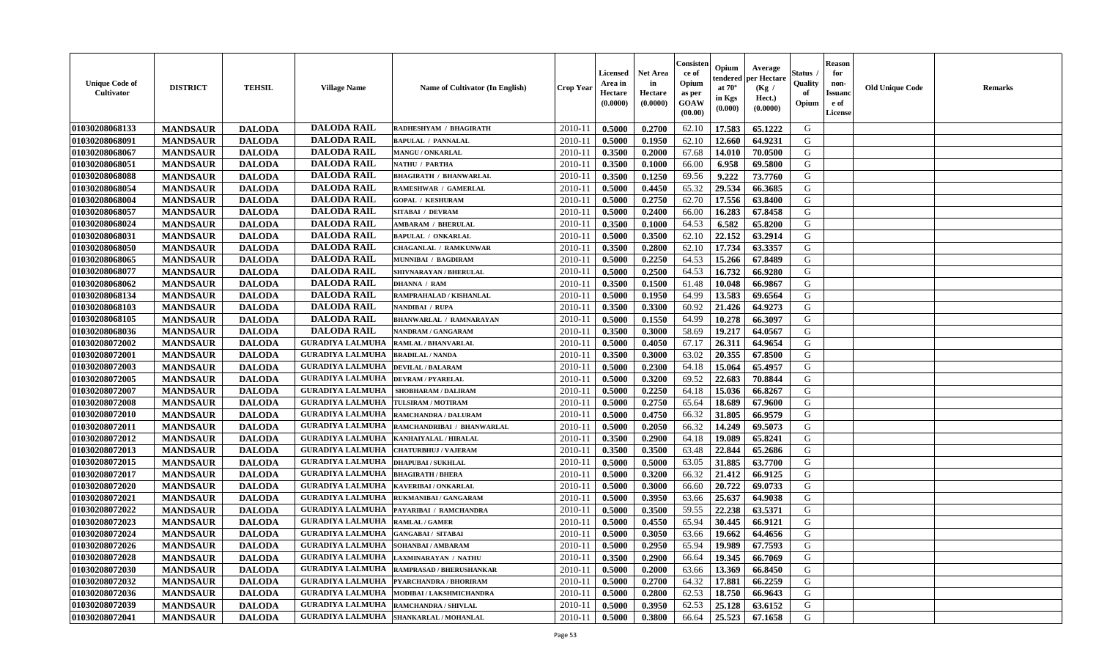| <b>Unique Code of</b><br>Cultivator | <b>DISTRICT</b> | <b>TEHSIL</b> | <b>Village Name</b>                        | Name of Cultivator (In English)           | <b>Crop Year</b> | Licensed<br>Area in<br>Hectare<br>(0.0000) | <b>Net Area</b><br>in<br>Hectare<br>(0.0000) | Consisten<br>ce of<br>Opium<br>as per<br>GOAW<br>(00.00) | Opium<br>tendered<br>at $70^\circ$<br>in Kgs<br>(0.000) | Average<br>per Hectare<br>(Kg /<br>Hect.)<br>(0.0000) | Status<br>Quality<br>of<br>Opium | <b>Reason</b><br>for<br>non-<br><b>Issuand</b><br>e of<br>License | <b>Old Unique Code</b> | <b>Remarks</b> |
|-------------------------------------|-----------------|---------------|--------------------------------------------|-------------------------------------------|------------------|--------------------------------------------|----------------------------------------------|----------------------------------------------------------|---------------------------------------------------------|-------------------------------------------------------|----------------------------------|-------------------------------------------------------------------|------------------------|----------------|
| 01030208068133                      | <b>MANDSAUR</b> | <b>DALODA</b> | <b>DALODA RAIL</b>                         | RADHESHYAM / BHAGIRATH                    | 2010-11          | 0.5000                                     | 0.2700                                       | 62.10                                                    | 17.583                                                  | 65.1222                                               | G                                |                                                                   |                        |                |
| 01030208068091                      | <b>MANDSAUR</b> | <b>DALODA</b> | <b>DALODA RAIL</b>                         | <b>BAPULAL / PANNALAL</b>                 | 2010-1           | 0.5000                                     | 0.1950                                       | 62.10                                                    | 12.660                                                  | 64.9231                                               | G                                |                                                                   |                        |                |
| 01030208068067                      | <b>MANDSAUR</b> | <b>DALODA</b> | <b>DALODA RAIL</b>                         | <b>MANGU / ONKARLAL</b>                   | 2010-1           | 0.3500                                     | 0.2000                                       | 67.68                                                    | 14.010                                                  | 70.0500                                               | G                                |                                                                   |                        |                |
| 01030208068051                      | <b>MANDSAUR</b> | <b>DALODA</b> | <b>DALODA RAIL</b>                         | <b>NATHU / PARTHA</b>                     | $2010 - 1$       | 0.3500                                     | 0.1000                                       | 66.00                                                    | 6.958                                                   | 69.5800                                               | G                                |                                                                   |                        |                |
| 01030208068088                      | <b>MANDSAUR</b> | <b>DALODA</b> | <b>DALODA RAIL</b>                         | <b>BHAGIRATH / BHANWARLAL</b>             | $2010 - 11$      | 0.3500                                     | 0.1250                                       | 69.56                                                    | 9.222                                                   | 73.7760                                               | G                                |                                                                   |                        |                |
| 01030208068054                      | <b>MANDSAUR</b> | <b>DALODA</b> | <b>DALODA RAIL</b>                         | RAMESHWAR / GAMERLAL                      | $2010-1$         | 0.5000                                     | 0.4450                                       | 65.32                                                    | 29.534                                                  | 66.3685                                               | G                                |                                                                   |                        |                |
| 01030208068004                      | <b>MANDSAUR</b> | <b>DALODA</b> | <b>DALODA RAIL</b>                         | <b>GOPAL / KESHURAM</b>                   | $2010 - 11$      | 0.5000                                     | 0.2750                                       | 62.70                                                    | 17.556                                                  | 63.8400                                               | G                                |                                                                   |                        |                |
| 01030208068057                      | <b>MANDSAUR</b> | <b>DALODA</b> | <b>DALODA RAIL</b>                         | SITABAI / DEVRAM                          | $2010 - 1$       | 0.5000                                     | 0.2400                                       | 66.00                                                    | 16.283                                                  | 67.8458                                               | G                                |                                                                   |                        |                |
| 01030208068024                      | <b>MANDSAUR</b> | <b>DALODA</b> | <b>DALODA RAIL</b>                         | <b>AMBARAM / BHERULAL</b>                 | 2010-11          | 0.3500                                     | 0.1000                                       | 64.53                                                    | 6.582                                                   | 65.8200                                               | G                                |                                                                   |                        |                |
| 01030208068031                      | <b>MANDSAUR</b> | <b>DALODA</b> | <b>DALODA RAIL</b>                         | <b>BAPULAL / ONKARLAL</b>                 | 2010-1           | 0.5000                                     | 0.3500                                       | 62.10                                                    | 22.152                                                  | 63.2914                                               | G                                |                                                                   |                        |                |
| 01030208068050                      | <b>MANDSAUR</b> | <b>DALODA</b> | <b>DALODA RAIL</b>                         | <b>CHAGANLAL / RAMKUNWAR</b>              | 2010-11          | 0.3500                                     | 0.2800                                       | 62.10                                                    | 17.734                                                  | 63.3357                                               | G                                |                                                                   |                        |                |
| 01030208068065                      | <b>MANDSAUR</b> | <b>DALODA</b> | <b>DALODA RAIL</b>                         | MUNNIBAI / BAGDIRAM                       | 2010-11          | 0.5000                                     | 0.2250                                       | 64.53                                                    | 15.266                                                  | 67.8489                                               | G                                |                                                                   |                        |                |
| 01030208068077                      | <b>MANDSAUR</b> | <b>DALODA</b> | <b>DALODA RAIL</b>                         | <b>SHIVNARAYAN / BHERULAL</b>             | $2010-1$         | 0.5000                                     | 0.2500                                       | 64.53                                                    | 16.732                                                  | 66.9280                                               | G                                |                                                                   |                        |                |
| 01030208068062                      | <b>MANDSAUR</b> | <b>DALODA</b> | <b>DALODA RAIL</b>                         | <b>DHANNA / RAM</b>                       | $2010-1$         | 0.3500                                     | 0.1500                                       | 61.48                                                    | 10.048                                                  | 66.9867                                               | G                                |                                                                   |                        |                |
| 01030208068134                      | <b>MANDSAUR</b> | <b>DALODA</b> | <b>DALODA RAIL</b>                         | RAMPRAHALAD / KISHANLAL                   | $2010 - 1$       | 0.5000                                     | 0.1950                                       | 64.99                                                    | 13.583                                                  | 69.6564                                               | G                                |                                                                   |                        |                |
| 01030208068103                      | <b>MANDSAUR</b> | <b>DALODA</b> | <b>DALODA RAIL</b>                         | NANDIBAI / RUPA                           | $2010 - 1$       | 0.3500                                     | 0.3300                                       | 60.92                                                    | 21.426                                                  | 64.9273                                               | G                                |                                                                   |                        |                |
| 01030208068105                      | <b>MANDSAUR</b> | <b>DALODA</b> | <b>DALODA RAIL</b>                         | <b>BHANWARLAL / RAMNARAYAN</b>            | 2010-11          | 0.5000                                     | 0.1550                                       | 64.99                                                    | 10.278                                                  | 66.3097                                               | G                                |                                                                   |                        |                |
| 01030208068036                      | <b>MANDSAUR</b> | <b>DALODA</b> | <b>DALODA RAIL</b>                         | <b>NANDRAM / GANGARAM</b>                 | $2010 - 11$      | 0.3500                                     | 0.3000                                       | 58.69                                                    | 19.217                                                  | 64.0567                                               | G                                |                                                                   |                        |                |
| 01030208072002                      | <b>MANDSAUR</b> | <b>DALODA</b> | <b>GURADIYA LALMUHA</b>                    | RAMLAL / BHANVARLAL                       | $2010 - 11$      | 0.5000                                     | 0.4050                                       | 67.17                                                    | 26.311                                                  | 64.9654                                               | G                                |                                                                   |                        |                |
| 01030208072001                      | <b>MANDSAUR</b> | <b>DALODA</b> | <b>GURADIYA LALMUHA</b>                    | <b>BRADILAL / NANDA</b>                   | $2010 - 11$      | 0.3500                                     | 0.3000                                       | 63.02                                                    | 20.355                                                  | 67.8500                                               | G                                |                                                                   |                        |                |
| 01030208072003                      | <b>MANDSAUR</b> | <b>DALODA</b> | <b>GURADIYA LALMUHA</b>                    | <b>DEVILAL / BALARAM</b>                  | $2010 - 1$       | 0.5000                                     | 0.2300                                       | 64.18                                                    | 15.064                                                  | 65.4957                                               | G                                |                                                                   |                        |                |
| 01030208072005                      | <b>MANDSAUR</b> | <b>DALODA</b> | <b>GURADIYA LALMUHA</b>                    | <b>DEVRAM / PYARELAL</b>                  | 2010-11          | 0.5000                                     | 0.3200                                       | 69.52                                                    | 22.683                                                  | 70.8844                                               | G                                |                                                                   |                        |                |
| 01030208072007                      | <b>MANDSAUR</b> | <b>DALODA</b> | <b>GURADIYA LALMUHA</b>                    | SHOBHARAM / DALIRAM                       | 2010-11          | 0.5000                                     | 0.2250                                       | 64.18                                                    | 15.036                                                  | 66.8267                                               | G                                |                                                                   |                        |                |
| 01030208072008                      | <b>MANDSAUR</b> | <b>DALODA</b> | <b>GURADIYA LALMUHA</b>                    | <b>TULSIRAM / MOTIRAM</b>                 | 2010-1           | 0.5000                                     | 0.2750                                       | 65.64                                                    | 18.689                                                  | 67.9600                                               | G                                |                                                                   |                        |                |
| 01030208072010                      | <b>MANDSAUR</b> | <b>DALODA</b> | <b>GURADIYA LALMUHA</b>                    | RAMCHANDRA / DALURAM                      | $2010-1$         | 0.5000                                     | 0.4750                                       | 66.32                                                    | 31.805                                                  | 66.9579                                               | G                                |                                                                   |                        |                |
| 01030208072011                      | <b>MANDSAUR</b> | <b>DALODA</b> | <b>GURADIYA LALMUHA</b>                    | RAMCHANDRIBAI / BHANWARLAL                | 2010-11          | 0.5000                                     | 0.2050                                       | 66.32                                                    | 14.249                                                  | 69.5073                                               | G                                |                                                                   |                        |                |
| 01030208072012                      | <b>MANDSAUR</b> | <b>DALODA</b> | <b>GURADIYA LALMUHA</b>                    | KANHAIYALAL / HIRALAL                     | $2010 - 1$       | 0.3500                                     | 0.2900                                       | 64.18                                                    | 19.089                                                  | 65.8241                                               | G                                |                                                                   |                        |                |
| 01030208072013                      | <b>MANDSAUR</b> | <b>DALODA</b> | <b>GURADIYA LALMUHA</b>                    | <b>CHATURBHUJ / VAJERAM</b>               | $2010 - 11$      | 0.3500                                     | 0.3500                                       | 63.48                                                    | 22.844                                                  | 65.2686                                               | G                                |                                                                   |                        |                |
| 01030208072015                      | <b>MANDSAUR</b> | <b>DALODA</b> | <b>GURADIYA LALMUHA</b>                    | <b>DHAPUBAI/SUKHLAL</b>                   | 2010-11          | 0.5000                                     | 0.5000                                       | 63.05                                                    | 31.885                                                  | 63.7700                                               | G                                |                                                                   |                        |                |
| 01030208072017                      | <b>MANDSAUR</b> | <b>DALODA</b> | <b>GURADIYA LALMUHA</b>                    | <b>BHAGIRATH / BHERA</b>                  | $2010 - 1$       | 0.5000                                     | 0.3200                                       | 66.32                                                    | 21.412                                                  | 66.9125                                               | G                                |                                                                   |                        |                |
| 01030208072020                      | <b>MANDSAUR</b> | <b>DALODA</b> | <b>GURADIYA LALMUHA</b>                    | KAVERIBAI / ONKARLAL                      | $2010 - 11$      | 0.5000                                     | 0.3000                                       | 66.60                                                    | 20.722                                                  | 69.0733                                               | G                                |                                                                   |                        |                |
| 01030208072021                      | <b>MANDSAUR</b> | <b>DALODA</b> | <b>GURADIYA LALMUHA</b>                    | RUKMANIBAI / GANGARAM                     | 2010-11          | 0.5000                                     | 0.3950                                       | 63.66                                                    | 25.637                                                  | 64.9038                                               | G                                |                                                                   |                        |                |
| 01030208072022                      | <b>MANDSAUR</b> | <b>DALODA</b> | <b>GURADIYA LALMUHA</b>                    | PAYARIBAI / RAMCHANDRA                    | 2010-1           | 0.5000                                     | 0.3500                                       | 59.55                                                    | 22.238                                                  | 63.5371                                               | G                                |                                                                   |                        |                |
| 01030208072023                      | <b>MANDSAUR</b> | <b>DALODA</b> | <b>GURADIYA LALMUHA</b>                    | <b>RAMLAL / GAMER</b>                     | 2010-11          | 0.5000                                     | 0.4550                                       | 65.94                                                    | 30.445                                                  | 66.9121                                               | G                                |                                                                   |                        |                |
| 01030208072024                      | <b>MANDSAUR</b> | <b>DALODA</b> | <b>GURADIYA LALMUHA GANGABAI / SITABAI</b> |                                           | 2010-11          | 0.5000                                     | 0.3050                                       | 63.66                                                    | 19.662                                                  | 64.4656                                               | G                                |                                                                   |                        |                |
| 01030208072026                      | <b>MANDSAUR</b> | <b>DALODA</b> | <b>GURADIYA LALMUHA  SOHANBAI/AMBARAM</b>  |                                           | 2010-11          | 0.5000                                     | 0.2950                                       | 65.94                                                    | 19.989                                                  | 67.7593                                               | G                                |                                                                   |                        |                |
| 01030208072028                      | <b>MANDSAUR</b> | <b>DALODA</b> | <b>GURADIYA LALMUHA</b>                    | <b>LAXMINARAYAN / NATHU</b>               | 2010-11          | 0.3500                                     | 0.2900                                       | 66.64                                                    | 19.345                                                  | 66.7069                                               | G                                |                                                                   |                        |                |
| 01030208072030                      | <b>MANDSAUR</b> | <b>DALODA</b> | <b>GURADIYA LALMUHA</b>                    | <b>RAMPRASAD / BHERUSHANKAR</b>           | 2010-11          | 0.5000                                     | 0.2000                                       | 63.66                                                    | 13.369                                                  | 66.8450                                               | G                                |                                                                   |                        |                |
| 01030208072032                      | <b>MANDSAUR</b> | <b>DALODA</b> |                                            | GURADIYA LALMUHA   PYARCHANDRA / BHORIRAM | 2010-11          | 0.5000                                     | 0.2700                                       | 64.32                                                    | 17.881                                                  | 66.2259                                               | G                                |                                                                   |                        |                |
| 01030208072036                      | <b>MANDSAUR</b> | <b>DALODA</b> | <b>GURADIYA LALMUHA</b>                    | MODIBAI / LAKSHMICHANDRA                  | 2010-11          | 0.5000                                     | 0.2800                                       | 62.53                                                    | 18.750                                                  | 66.9643                                               | G                                |                                                                   |                        |                |
| 01030208072039                      | <b>MANDSAUR</b> | <b>DALODA</b> | <b>GURADIYA LALMUHA</b>                    | <b>RAMCHANDRA / SHIVLAL</b>               | 2010-11          | 0.5000                                     | 0.3950                                       | 62.53                                                    | 25.128                                                  | 63.6152                                               | G                                |                                                                   |                        |                |
| 01030208072041                      | <b>MANDSAUR</b> | <b>DALODA</b> |                                            | GURADIYA LALMUHA SHANKARLAL / MOHANLAL    | 2010-11          | 0.5000                                     | 0.3800                                       | 66.64                                                    | 25.523                                                  | 67.1658                                               | G                                |                                                                   |                        |                |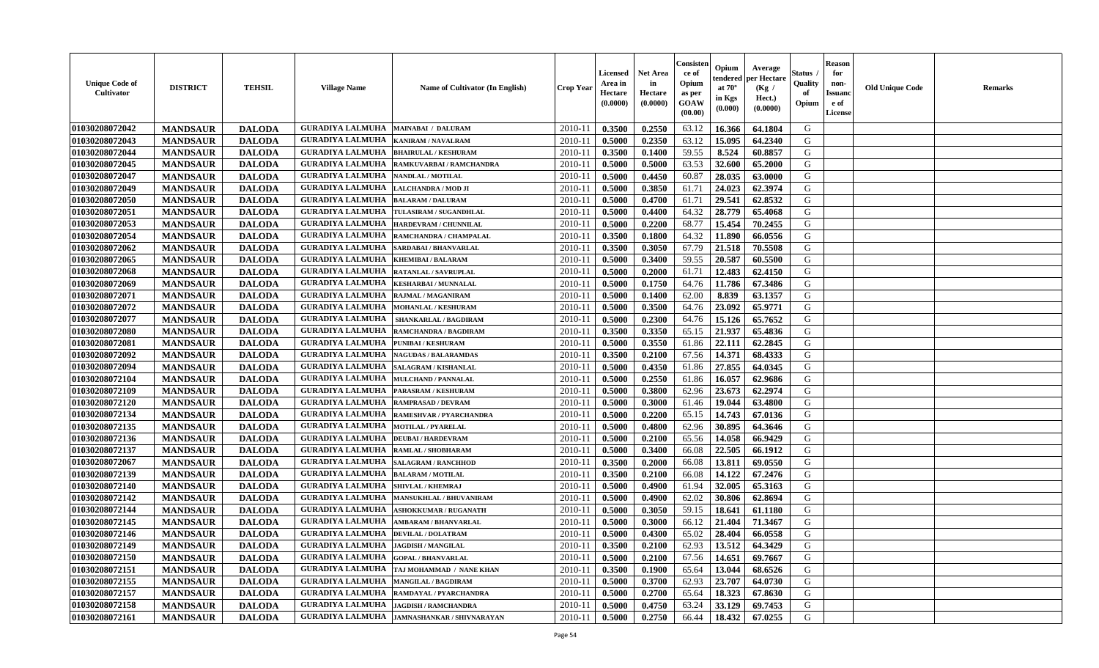| <b>Unique Code of</b><br><b>Cultivator</b> | <b>DISTRICT</b> | <b>TEHSIL</b> | <b>Village Name</b>                         | Name of Cultivator (In English)             | <b>Crop Year</b> | <b>Licensed</b><br>Area in<br>Hectare<br>(0.0000) | Net Area<br>in<br>Hectare<br>(0.0000) | Consister<br>ce of<br>Opium<br>as per<br><b>GOAW</b><br>(00.00) | Opium<br>endered<br>at $70^\circ$<br>in Kgs<br>(0.000) | Average<br>per Hectare<br>(Kg /<br>Hect.)<br>(0.0000) | Status<br>Quality<br>of<br>Opium | <b>Reason</b><br>for<br>non-<br><b>Issuano</b><br>e of<br>License | <b>Old Unique Code</b> | <b>Remarks</b> |
|--------------------------------------------|-----------------|---------------|---------------------------------------------|---------------------------------------------|------------------|---------------------------------------------------|---------------------------------------|-----------------------------------------------------------------|--------------------------------------------------------|-------------------------------------------------------|----------------------------------|-------------------------------------------------------------------|------------------------|----------------|
| 01030208072042                             | <b>MANDSAUR</b> | <b>DALODA</b> | <b>GURADIYA LALMUHA</b>                     | <b>MAINABAI / DALURAM</b>                   | 2010-11          | 0.3500                                            | 0.2550                                | 63.12                                                           | 16.366                                                 | 64.1804                                               | G                                |                                                                   |                        |                |
| 01030208072043                             | <b>MANDSAUR</b> | <b>DALODA</b> | <b>GURADIYA LALMUHA</b>                     | <b>KANIRAM / NAVALRAM</b>                   | $2010 - 11$      | 0.5000                                            | 0.2350                                | 63.12                                                           | 15.095                                                 | 64.2340                                               | G                                |                                                                   |                        |                |
| 01030208072044                             | <b>MANDSAUR</b> | <b>DALODA</b> | <b>GURADIYA LALMUHA</b>                     | <b>BHAIRULAL / KESHURAM</b>                 | $2010 - 11$      | 0.3500                                            | 0.1400                                | 59.55                                                           | 8.524                                                  | 60.8857                                               | G                                |                                                                   |                        |                |
| 01030208072045                             | <b>MANDSAUR</b> | <b>DALODA</b> | <b>GURADIYA LALMUHA</b>                     | RAMKUVARBAI / RAMCHANDRA                    | 2010-11          | 0.5000                                            | 0.5000                                | 63.53                                                           | 32.600                                                 | 65.2000                                               | G                                |                                                                   |                        |                |
| 01030208072047                             | <b>MANDSAUR</b> | <b>DALODA</b> | <b>GURADIYA LALMUHA</b>                     | NANDLAL / MOTILAL                           | 2010-11          | 0.5000                                            | 0.4450                                | 60.87                                                           | 28.035                                                 | 63.0000                                               | G                                |                                                                   |                        |                |
| 01030208072049                             | <b>MANDSAUR</b> | <b>DALODA</b> | <b>GURADIYA LALMUHA</b>                     | LALCHANDRA / MOD JI                         | 2010-11          | 0.5000                                            | 0.3850                                | 61.71                                                           | 24.023                                                 | 62.3974                                               | G                                |                                                                   |                        |                |
| 01030208072050                             | <b>MANDSAUR</b> | <b>DALODA</b> | <b>GURADIYA LALMUHA</b>                     | <b>BALARAM / DALURAM</b>                    | 2010-11          | 0.5000                                            | 0.4700                                | 61.71                                                           | 29.541                                                 | 62.8532                                               | G                                |                                                                   |                        |                |
| 01030208072051                             | <b>MANDSAUR</b> | <b>DALODA</b> | <b>GURADIYA LALMUHA</b>                     | TULASIRAM / SUGANDHLAL                      | 2010-11          | 0.5000                                            | 0.4400                                | 64.32                                                           | 28.779                                                 | 65.4068                                               | G                                |                                                                   |                        |                |
| 01030208072053                             | <b>MANDSAUR</b> | <b>DALODA</b> | <b>GURADIYA LALMUHA</b>                     | <b>HARDEVRAM / CHUNNILAL</b>                | 2010-11          | 0.5000                                            | 0.2200                                | 68.77                                                           | 15.454                                                 | 70.2455                                               | G                                |                                                                   |                        |                |
| 01030208072054                             | <b>MANDSAUR</b> | <b>DALODA</b> | <b>GURADIYA LALMUHA</b>                     | RAMCHANDRA / CHAMPALAL                      | $2010 - 11$      | 0.3500                                            | 0.1800                                | 64.32                                                           | 11.890                                                 | 66.0556                                               | G                                |                                                                   |                        |                |
| 01030208072062                             | <b>MANDSAUR</b> | <b>DALODA</b> | <b>GURADIYA LALMUHA</b>                     | SARDABAI / BHANVARLAL                       | 2010-11          | 0.3500                                            | 0.3050                                | 67.79                                                           | 21.518                                                 | 70.5508                                               | G                                |                                                                   |                        |                |
| 01030208072065                             | <b>MANDSAUR</b> | <b>DALODA</b> | <b>GURADIYA LALMUHA</b>                     | <b>KHEMIBAI/BALARAM</b>                     | 2010-11          | 0.5000                                            | 0.3400                                | 59.55                                                           | 20.587                                                 | 60.5500                                               | G                                |                                                                   |                        |                |
| 01030208072068                             | <b>MANDSAUR</b> | <b>DALODA</b> | <b>GURADIYA LALMUHA</b>                     | RATANLAL / SAVRUPLAL                        | 2010-11          | 0.5000                                            | 0.2000                                | 61.71                                                           | 12.483                                                 | 62.4150                                               | G                                |                                                                   |                        |                |
| 01030208072069                             | <b>MANDSAUR</b> | <b>DALODA</b> | <b>GURADIYA LALMUHA</b>                     | <b>KESHARBAI / MUNNALAL</b>                 | 2010-11          | 0.5000                                            | 0.1750                                | 64.76                                                           | 11.786                                                 | 67.3486                                               | G                                |                                                                   |                        |                |
| 01030208072071                             | <b>MANDSAUR</b> | <b>DALODA</b> | <b>GURADIYA LALMUHA</b>                     | RAJMAL / MAGANIRAM                          | 2010-11          | 0.5000                                            | 0.1400                                | 62.00                                                           | 8.839                                                  | 63.1357                                               | G                                |                                                                   |                        |                |
| 01030208072072                             | <b>MANDSAUR</b> | <b>DALODA</b> | <b>GURADIYA LALMUHA</b>                     | <b>MOHANLAL / KESHURAM</b>                  | 2010-11          | 0.5000                                            | 0.3500                                | 64.76                                                           | 23.092                                                 | 65.9771                                               | G                                |                                                                   |                        |                |
| 01030208072077                             | <b>MANDSAUR</b> | <b>DALODA</b> | <b>GURADIYA LALMUHA</b>                     | <b>SHANKARLAL / BAGDIRAM</b>                | 2010-11          | 0.5000                                            | 0.2300                                | 64.76                                                           | 15.126                                                 | 65.7652                                               | G                                |                                                                   |                        |                |
| 01030208072080                             | <b>MANDSAUR</b> | <b>DALODA</b> | <b>GURADIYA LALMUHA</b>                     | RAMCHANDRA / BAGDIRAM                       | 2010-11          | 0.3500                                            | 0.3350                                | 65.15                                                           | 21.937                                                 | 65.4836                                               | G                                |                                                                   |                        |                |
| 01030208072081                             | <b>MANDSAUR</b> | <b>DALODA</b> | <b>GURADIYA LALMUHA</b>                     | PUNIBAI / KESHURAM                          | 2010-11          | 0.5000                                            | 0.3550                                | 61.86                                                           | 22.111                                                 | 62.2845                                               | G                                |                                                                   |                        |                |
| 01030208072092                             | <b>MANDSAUR</b> | <b>DALODA</b> | <b>GURADIYA LALMUHA</b>                     | <b>NAGUDAS / BALARAMDAS</b>                 | 2010-11          | 0.3500                                            | 0.2100                                | 67.56                                                           | 14.371                                                 | 68.4333                                               | G                                |                                                                   |                        |                |
| 01030208072094                             | <b>MANDSAUR</b> | <b>DALODA</b> | <b>GURADIYA LALMUHA</b>                     | SALAGRAM / KISHANLAL                        | $2010 - 11$      | 0.5000                                            | 0.4350                                | 61.86                                                           | 27.855                                                 | 64.0345                                               | G                                |                                                                   |                        |                |
| 01030208072104                             | <b>MANDSAUR</b> | <b>DALODA</b> | <b>GURADIYA LALMUHA</b>                     | MULCHAND / PANNALAL                         | 2010-11          | 0.5000                                            | 0.2550                                | 61.86                                                           | 16.057                                                 | 62.9686                                               | G                                |                                                                   |                        |                |
| 01030208072109                             | <b>MANDSAUR</b> | <b>DALODA</b> | <b>GURADIYA LALMUHA</b>                     | PARASRAM / KESHURAM                         | 2010-11          | 0.5000                                            | 0.3800                                | 62.96                                                           | 23.673                                                 | 62.2974                                               | G                                |                                                                   |                        |                |
| 01030208072120                             | <b>MANDSAUR</b> | <b>DALODA</b> | <b>GURADIYA LALMUHA</b>                     | <b>RAMPRASAD / DEVRAM</b>                   | $2010 - 11$      | 0.5000                                            | 0.3000                                | 61.46                                                           | 19.044                                                 | 63.4800                                               | G                                |                                                                   |                        |                |
| 01030208072134                             | <b>MANDSAUR</b> | <b>DALODA</b> | <b>GURADIYA LALMUHA</b>                     | RAMESHVAR / PYARCHANDRA                     | $2010 - 11$      | 0.5000                                            | 0.2200                                | 65.15                                                           | 14.743                                                 | 67.0136                                               | G                                |                                                                   |                        |                |
| 01030208072135                             | <b>MANDSAUR</b> | <b>DALODA</b> | <b>GURADIYA LALMUHA</b>                     | <b>MOTILAL / PYARELAL</b>                   | 2010-11          | 0.5000                                            | 0.4800                                | 62.96                                                           | 30.895                                                 | 64.3646                                               | G                                |                                                                   |                        |                |
| 01030208072136                             | <b>MANDSAUR</b> | <b>DALODA</b> | <b>GURADIYA LALMUHA</b>                     | <b>DEUBAI/HARDEVRAM</b>                     | 2010-11          | 0.5000                                            | 0.2100                                | 65.56                                                           | 14.058                                                 | 66.9429                                               | G                                |                                                                   |                        |                |
| 01030208072137                             | <b>MANDSAUR</b> | <b>DALODA</b> | <b>GURADIYA LALMUHA</b>                     | RAMLAL / SHOBHARAM                          | 2010-11          | 0.5000                                            | 0.3400                                | 66.08                                                           | 22.505                                                 | 66.1912                                               | G                                |                                                                   |                        |                |
| 01030208072067                             | <b>MANDSAUR</b> | <b>DALODA</b> | <b>GURADIYA LALMUHA</b>                     | <b>SALAGRAM / RANCHHOD</b>                  | 2010-11          | 0.3500                                            | 0.2000                                | 66.08                                                           | 13.811                                                 | 69.0550                                               | G                                |                                                                   |                        |                |
| 01030208072139                             | <b>MANDSAUR</b> | <b>DALODA</b> | <b>GURADIYA LALMUHA</b>                     | <b>BALARAM / MOTILAL</b>                    | $2010 - 11$      | 0.3500                                            | 0.2100                                | 66.08                                                           | 14.122                                                 | 67.2476                                               | G                                |                                                                   |                        |                |
| 01030208072140                             | <b>MANDSAUR</b> | <b>DALODA</b> | <b>GURADIYA LALMUHA</b>                     | <b>SHIVLAL / KHEMRAJ</b>                    | 2010-11          | 0.5000                                            | 0.4900                                | 61.94                                                           | 32.005                                                 | 65.3163                                               | G                                |                                                                   |                        |                |
| 01030208072142                             | <b>MANDSAUR</b> | <b>DALODA</b> | <b>GURADIYA LALMUHA</b>                     | <b>MANSUKHLAL / BHUVANIRAM</b>              | 2010-11          | 0.5000                                            | 0.4900                                | 62.02                                                           | 30.806                                                 | 62.8694                                               | G                                |                                                                   |                        |                |
| 01030208072144                             | <b>MANDSAUR</b> | <b>DALODA</b> | <b>GURADIYA LALMUHA</b>                     | <b>ASHOKKUMAR / RUGANATH</b>                | $2010-11$        | 0.5000                                            | 0.3050                                | 59.15                                                           | 18.641                                                 | 61.1180                                               | G                                |                                                                   |                        |                |
| 01030208072145                             | <b>MANDSAUR</b> | <b>DALODA</b> | <b>GURADIYA LALMUHA</b>                     | <b>AMBARAM / BHANVARLAL</b>                 | 2010-11          | 0.5000                                            | 0.3000                                | 66.12                                                           | 21.404                                                 | 71.3467                                               | G                                |                                                                   |                        |                |
| 01030208072146                             | <b>MANDSAUR</b> | <b>DALODA</b> | <b>GURADIYA LALMUHA</b>                     | <b>DEVILAL / DOLATRAM</b>                   | 2010-11          | 0.5000                                            | 0.4300                                | 65.02                                                           | 28.404                                                 | 66.0558                                               | G                                |                                                                   |                        |                |
| 01030208072149                             | <b>MANDSAUR</b> | <b>DALODA</b> | <b>GURADIYA LALMUHA  JAGDISH / MANGILAL</b> |                                             | $2010-11$ 0.3500 |                                                   | 0.2100                                | 62.93                                                           | 13.512                                                 | 64.3429                                               | G                                |                                                                   |                        |                |
| 01030208072150                             | <b>MANDSAUR</b> | <b>DALODA</b> | <b>GURADIYA LALMUHA</b>                     | <b>GOPAL / BHANVARLAL</b>                   | 2010-11          | 0.5000                                            | 0.2100                                | 67.56                                                           | 14.651                                                 | 69.7667                                               | G                                |                                                                   |                        |                |
| 01030208072151                             | <b>MANDSAUR</b> | <b>DALODA</b> | <b>GURADIYA LALMUHA</b>                     | TAJ MOHAMMAD / NANE KHAN                    | 2010-11          | 0.3500                                            | 0.1900                                | 65.64                                                           | 13.044                                                 | 68.6526                                               | G                                |                                                                   |                        |                |
| 01030208072155                             | <b>MANDSAUR</b> | <b>DALODA</b> | <b>GURADIYA LALMUHA MANGILAL / BAGDIRAM</b> |                                             | 2010-11          | 0.5000                                            | 0.3700                                | 62.93                                                           | 23.707                                                 | 64.0730                                               | G                                |                                                                   |                        |                |
| 01030208072157                             | <b>MANDSAUR</b> | <b>DALODA</b> | <b>GURADIYA LALMUHA</b>                     | RAMDAYAL / PYARCHANDRA                      | 2010-11          | 0.5000                                            | 0.2700                                | 65.64                                                           | 18.323                                                 | 67.8630                                               | G                                |                                                                   |                        |                |
| 01030208072158                             | <b>MANDSAUR</b> | <b>DALODA</b> | <b>GURADIYA LALMUHA</b>                     | <b>JAGDISH / RAMCHANDRA</b>                 | 2010-11          | 0.5000                                            | 0.4750                                | 63.24                                                           | 33.129                                                 | 69.7453                                               | G                                |                                                                   |                        |                |
| 01030208072161                             | <b>MANDSAUR</b> | <b>DALODA</b> |                                             | GURADIYA LALMUHA JAMNASHANKAR / SHIVNARAYAN | 2010-11          | 0.5000                                            | 0.2750                                | 66.44                                                           | 18.432                                                 | 67.0255                                               | G                                |                                                                   |                        |                |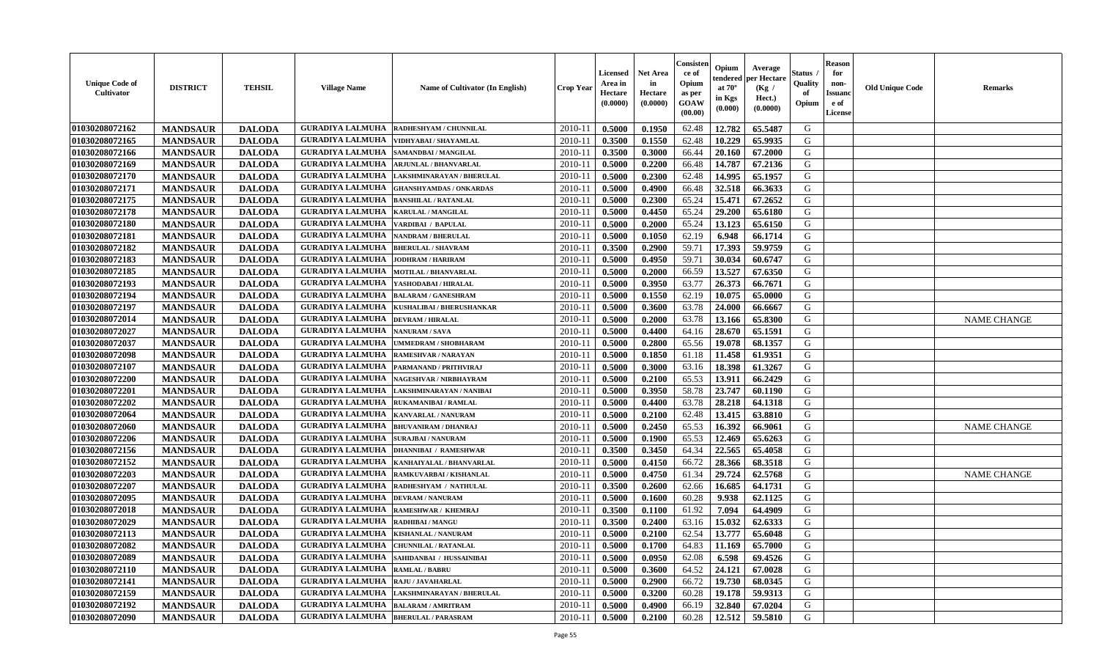| <b>Unique Code of</b><br>Cultivator | <b>DISTRICT</b> | <b>TEHSIL</b> | <b>Village Name</b>                            | Name of Cultivator (In English) | <b>Crop Year</b> | Licensed<br>Area in<br>Hectare<br>(0.0000) | Net Area<br>in<br>Hectare<br>(0.0000) | Consister<br>ce of<br>Opium<br>as per<br><b>GOAW</b><br>(00.00) | Opium<br>:endereo<br>at $70^\circ$<br>in Kgs<br>(0.000) | Average<br>per Hectare<br>(Kg /<br>Hect.)<br>(0.0000) | Status<br>Quality<br>of<br>Opium | <b>Reason</b><br>for<br>non-<br><b>Issuan</b><br>e of<br>License | <b>Old Unique Code</b> | <b>Remarks</b>     |
|-------------------------------------|-----------------|---------------|------------------------------------------------|---------------------------------|------------------|--------------------------------------------|---------------------------------------|-----------------------------------------------------------------|---------------------------------------------------------|-------------------------------------------------------|----------------------------------|------------------------------------------------------------------|------------------------|--------------------|
| 01030208072162                      | <b>MANDSAUR</b> | <b>DALODA</b> | <b>GURADIYA LALMUHA</b>                        | RADHESHYAM / CHUNNILAL          | 2010-11          | 0.5000                                     | 0.1950                                | 62.48                                                           | 12.782                                                  | 65.5487                                               | G                                |                                                                  |                        |                    |
| 01030208072165                      | <b>MANDSAUR</b> | <b>DALODA</b> | <b>GURADIYA LALMUHA</b>                        | VIDHYABAI / SHAYAMLAL           | $2010 - 11$      | 0.3500                                     | 0.1550                                | 62.48                                                           | 10.229                                                  | 65.9935                                               | G                                |                                                                  |                        |                    |
| 01030208072166                      | <b>MANDSAUR</b> | <b>DALODA</b> | <b>GURADIYA LALMUHA</b>                        | SAMANDBAI / MANGILAL            | $2010 - 11$      | 0.3500                                     | 0.3000                                | 66.44                                                           | 20.160                                                  | 67.2000                                               | G                                |                                                                  |                        |                    |
| 01030208072169                      | <b>MANDSAUR</b> | <b>DALODA</b> | <b>GURADIYA LALMUHA</b>                        | <b>ARJUNLAL / BHANVARLAL</b>    | 2010-11          | 0.5000                                     | 0.2200                                | 66.48                                                           | 14.787                                                  | 67.2136                                               | G                                |                                                                  |                        |                    |
| 01030208072170                      | <b>MANDSAUR</b> | <b>DALODA</b> | <b>GURADIYA LALMUHA</b>                        | LAKSHMINARAYAN / BHERULAL       | 2010-11          | 0.5000                                     | 0.2300                                | 62.48                                                           | 14.995                                                  | 65.1957                                               | G                                |                                                                  |                        |                    |
| 01030208072171                      | <b>MANDSAUR</b> | <b>DALODA</b> | <b>GURADIYA LALMUHA</b>                        | <b>GHANSHYAMDAS / ONKARDAS</b>  | 2010-11          | 0.5000                                     | 0.4900                                | 66.48                                                           | 32.518                                                  | 66.3633                                               | G                                |                                                                  |                        |                    |
| 01030208072175                      | <b>MANDSAUR</b> | <b>DALODA</b> | <b>GURADIYA LALMUHA</b>                        | <b>BANSHILAL / RATANLAL</b>     | 2010-11          | 0.5000                                     | 0.2300                                | 65.24                                                           | 15.471                                                  | 67.2652                                               | G                                |                                                                  |                        |                    |
| 01030208072178                      | <b>MANDSAUR</b> | <b>DALODA</b> | <b>GURADIYA LALMUHA</b>                        | <b>KARULAL / MANGILAL</b>       | $2010 - 11$      | 0.5000                                     | 0.4450                                | 65.24                                                           | 29,200                                                  | 65.6180                                               | G                                |                                                                  |                        |                    |
| 01030208072180                      | <b>MANDSAUR</b> | <b>DALODA</b> | <b>GURADIYA LALMUHA</b>                        | VARDIBAI / BAPULAL              | 2010-11          | 0.5000                                     | 0.2000                                | 65.24                                                           | 13.123                                                  | 65.6150                                               | G                                |                                                                  |                        |                    |
| 01030208072181                      | <b>MANDSAUR</b> | <b>DALODA</b> | <b>GURADIYA LALMUHA</b>                        | <b>NANDRAM / BHERULAL</b>       | 2010-11          | 0.5000                                     | 0.1050                                | 62.19                                                           | 6.948                                                   | 66.1714                                               | G                                |                                                                  |                        |                    |
| 01030208072182                      | <b>MANDSAUR</b> | <b>DALODA</b> | <b>GURADIYA LALMUHA</b>                        | <b>BHERULAL / SHAVRAM</b>       | 2010-11          | 0.3500                                     | 0.2900                                | 59.71                                                           | 17.393                                                  | 59,9759                                               | G                                |                                                                  |                        |                    |
| 01030208072183                      | <b>MANDSAUR</b> | <b>DALODA</b> | <b>GURADIYA LALMUHA</b>                        | JODHRAM / HARIRAM               | 2010-11          | 0.5000                                     | 0.4950                                | 59.71                                                           | 30.034                                                  | 60.6747                                               | G                                |                                                                  |                        |                    |
| 01030208072185                      | <b>MANDSAUR</b> | <b>DALODA</b> | <b>GURADIYA LALMUHA</b>                        | <b>MOTILAL / BHANVARLAL</b>     | 2010-11          | 0.5000                                     | 0.2000                                | 66.59                                                           | 13.527                                                  | 67.6350                                               | G                                |                                                                  |                        |                    |
| 01030208072193                      | <b>MANDSAUR</b> | <b>DALODA</b> | <b>GURADIYA LALMUHA</b>                        | YASHODABAI / HIRALAL            | $2010 - 11$      | 0.5000                                     | 0.3950                                | 63.77                                                           | 26.373                                                  | 66.7671                                               | G                                |                                                                  |                        |                    |
| 01030208072194                      | <b>MANDSAUR</b> | <b>DALODA</b> | <b>GURADIYA LALMUHA</b>                        | <b>BALARAM / GANESHRAM</b>      | 2010-11          | 0.5000                                     | 0.1550                                | 62.19                                                           | 10.075                                                  | 65.0000                                               | G                                |                                                                  |                        |                    |
| 01030208072197                      | <b>MANDSAUR</b> | <b>DALODA</b> | <b>GURADIYA LALMUHA</b>                        | KUSHALIBAI / BHERUSHANKAR       | 2010-11          | 0.5000                                     | 0.3600                                | 63.78                                                           | 24.000                                                  | 66.6667                                               | G                                |                                                                  |                        |                    |
| 01030208072014                      | <b>MANDSAUR</b> | <b>DALODA</b> | <b>GURADIYA LALMUHA</b>                        | <b>DEVRAM / HIRALAL</b>         | 2010-11          | 0.5000                                     | 0.2000                                | 63.78                                                           | 13.166                                                  | 65.8300                                               | G                                |                                                                  |                        | <b>NAME CHANGE</b> |
| 01030208072027                      | <b>MANDSAUR</b> | <b>DALODA</b> | <b>GURADIYA LALMUHA</b>                        | <b>NANURAM / SAVA</b>           | 2010-11          | 0.5000                                     | 0.4400                                | 64.16                                                           | 28.670                                                  | 65.1591                                               | G                                |                                                                  |                        |                    |
| 01030208072037                      | <b>MANDSAUR</b> | <b>DALODA</b> | <b>GURADIYA LALMUHA</b>                        | UMMEDRAM / SHOBHARAM            | $2010 - 11$      | 0.5000                                     | 0.2800                                | 65.56                                                           | 19.078                                                  | 68.1357                                               | G                                |                                                                  |                        |                    |
| 01030208072098                      | <b>MANDSAUR</b> | <b>DALODA</b> | <b>GURADIYA LALMUHA</b>                        | <b>RAMESHVAR / NARAYAN</b>      | 2010-11          | 0.5000                                     | 0.1850                                | 61.18                                                           | 11.458                                                  | 61.9351                                               | G                                |                                                                  |                        |                    |
| 01030208072107                      | <b>MANDSAUR</b> | <b>DALODA</b> | <b>GURADIYA LALMUHA</b>                        | PARMANAND / PRITHVIRAJ          | 2010-11          | 0.5000                                     | 0.3000                                | 63.16                                                           | 18.398                                                  | 61.3267                                               | G                                |                                                                  |                        |                    |
| 01030208072200                      | <b>MANDSAUR</b> | <b>DALODA</b> | <b>GURADIYA LALMUHA</b>                        | NAGESHVAR / NIRBHAYRAM          | $2010 - 11$      | 0.5000                                     | 0.2100                                | 65.53                                                           | 13.911                                                  | 66.2429                                               | G                                |                                                                  |                        |                    |
| 01030208072201                      | <b>MANDSAUR</b> | <b>DALODA</b> | <b>GURADIYA LALMUHA</b>                        | LAKSHMINARAYAN / NANIBAI        | 2010-11          | 0.5000                                     | 0.3950                                | 58.78                                                           | 23.747                                                  | 60.1190                                               | G                                |                                                                  |                        |                    |
| 01030208072202                      | <b>MANDSAUR</b> | <b>DALODA</b> | <b>GURADIYA LALMUHA</b>                        | RUKAMANIBAI / RAMLAL            | 2010-11          | 0.5000                                     | 0.4400                                | 63.78                                                           | 28.218                                                  | 64.1318                                               | G                                |                                                                  |                        |                    |
| 01030208072064                      | <b>MANDSAUR</b> | <b>DALODA</b> | <b>GURADIYA LALMUHA</b>                        | KANVARLAL / NANURAM             | $2010 - 11$      | 0.5000                                     | 0.2100                                | 62.48                                                           | 13.415                                                  | 63.8810                                               | G                                |                                                                  |                        |                    |
| 01030208072060                      | <b>MANDSAUR</b> | <b>DALODA</b> | <b>GURADIYA LALMUHA</b>                        | <b>BHUVANIRAM / DHANRAJ</b>     | 2010-11          | 0.5000                                     | 0.2450                                | 65.53                                                           | 16.392                                                  | 66.9061                                               | G                                |                                                                  |                        | <b>NAME CHANGE</b> |
| 01030208072206                      | <b>MANDSAUR</b> | <b>DALODA</b> | <b>GURADIYA LALMUHA</b>                        | <b>SURAJBAI / NANURAM</b>       | $2010-11$        | 0.5000                                     | 0.1900                                | 65.53                                                           | 12.469                                                  | 65.6263                                               | G                                |                                                                  |                        |                    |
| 01030208072156                      | <b>MANDSAUR</b> | <b>DALODA</b> | <b>GURADIYA LALMUHA</b>                        | <b>DHANNIBAI / RAMESHWAR</b>    | 2010-11          | 0.3500                                     | 0.3450                                | 64.34                                                           | 22.565                                                  | 65.4058                                               | G                                |                                                                  |                        |                    |
| 01030208072152                      | <b>MANDSAUR</b> | <b>DALODA</b> | <b>GURADIYA LALMUHA</b>                        | KANHAIYALAL / BHANVARLAL        | 2010-11          | 0.5000                                     | 0.4150                                | 66.72                                                           | 28.366                                                  | 68.3518                                               | G                                |                                                                  |                        |                    |
| 01030208072203                      | <b>MANDSAUR</b> | <b>DALODA</b> | <b>GURADIYA LALMUHA</b>                        | RAMKUVARBAI / KISHANLAL         | $2010 - 11$      | 0.5000                                     | 0.4750                                | 61.34                                                           | 29.724                                                  | 62.5768                                               | G                                |                                                                  |                        | <b>NAME CHANGE</b> |
| 01030208072207                      | <b>MANDSAUR</b> | <b>DALODA</b> | <b>GURADIYA LALMUHA</b>                        | RADHESHYAM / NATHULAL           | 2010-11          | 0.3500                                     | 0.2600                                | 62.66                                                           | 16.685                                                  | 64.1731                                               | G                                |                                                                  |                        |                    |
| 01030208072095                      | <b>MANDSAUR</b> | <b>DALODA</b> | <b>GURADIYA LALMUHA</b>                        | <b>DEVRAM / NANURAM</b>         | 2010-11          | 0.5000                                     | 0.1600                                | 60.28                                                           | 9.938                                                   | 62.1125                                               | G                                |                                                                  |                        |                    |
| 01030208072018                      | <b>MANDSAUR</b> | <b>DALODA</b> | <b>GURADIYA LALMUHA</b>                        | <b>RAMESHWAR / KHEMRAJ</b>      | $2010 - 11$      | 0.3500                                     | 0.1100                                | 61.92                                                           | 7.094                                                   | 64.4909                                               | G                                |                                                                  |                        |                    |
| 01030208072029                      | <b>MANDSAUR</b> | <b>DALODA</b> | <b>GURADIYA LALMUHA</b>                        | <b>RADHIBAI / MANGU</b>         | 2010-11          | 0.3500                                     | 0.2400                                | 63.16                                                           | 15.032                                                  | 62.6333                                               | G                                |                                                                  |                        |                    |
| 01030208072113                      | <b>MANDSAUR</b> | <b>DALODA</b> | <b>GURADIYA LALMUHA</b>                        | <b>KISHANLAL / NANURAM</b>      | 2010-11          | 0.5000                                     | 0.2100                                | 62.54                                                           | 13.777                                                  | 65.6048                                               | G                                |                                                                  |                        |                    |
| 01030208072082                      | <b>MANDSAUR</b> | <b>DALODA</b> | <b>GURADIYA LALMUHA   CHUNNILAL / RATANLAL</b> |                                 | $2010 - 11$      | 0.5000                                     | 0.1700                                | 64.83                                                           | 11.169                                                  | 65.7000                                               | G                                |                                                                  |                        |                    |
| 01030208072089                      | <b>MANDSAUR</b> | <b>DALODA</b> | <b>GURADIYA LALMUHA</b>                        | SAHIDANBAI / HUSSAINIBAI        | 2010-11          | 0.5000                                     | 0.0950                                | 62.08                                                           | 6.598                                                   | 69.4526                                               | G                                |                                                                  |                        |                    |
| 01030208072110                      | <b>MANDSAUR</b> | <b>DALODA</b> | <b>GURADIYA LALMUHA</b>                        | <b>RAMLAL / BABRU</b>           | 2010-11          | 0.5000                                     | 0.3600                                | 64.52                                                           | 24.121                                                  | 67.0028                                               | G                                |                                                                  |                        |                    |
| 01030208072141                      | <b>MANDSAUR</b> | <b>DALODA</b> | <b>GURADIYA LALMUHA RAJU / JAVAHARLAL</b>      |                                 | 2010-11          | 0.5000                                     | 0.2900                                | 66.72                                                           | 19.730                                                  | 68.0345                                               | G                                |                                                                  |                        |                    |
| 01030208072159                      | <b>MANDSAUR</b> | <b>DALODA</b> | <b>GURADIYA LALMUHA</b>                        | LAKSHMINARAYAN / BHERULAL       | 2010-11          | 0.5000                                     | 0.3200                                | 60.28                                                           | 19.178                                                  | 59.9313                                               | G                                |                                                                  |                        |                    |
| 01030208072192                      | <b>MANDSAUR</b> | <b>DALODA</b> | <b>GURADIYA LALMUHA</b>                        | <b>BALARAM / AMRITRAM</b>       | 2010-11          | 0.5000                                     | 0.4900                                | 66.19                                                           | 32.840                                                  | 67.0204                                               | G                                |                                                                  |                        |                    |
| 01030208072090                      | <b>MANDSAUR</b> | <b>DALODA</b> | <b>GURADIYA LALMUHA  BHERULAL / PARASRAM</b>   |                                 | 2010-11          | 0.5000                                     | 0.2100                                | 60.28                                                           | 12.512                                                  | 59.5810                                               | G                                |                                                                  |                        |                    |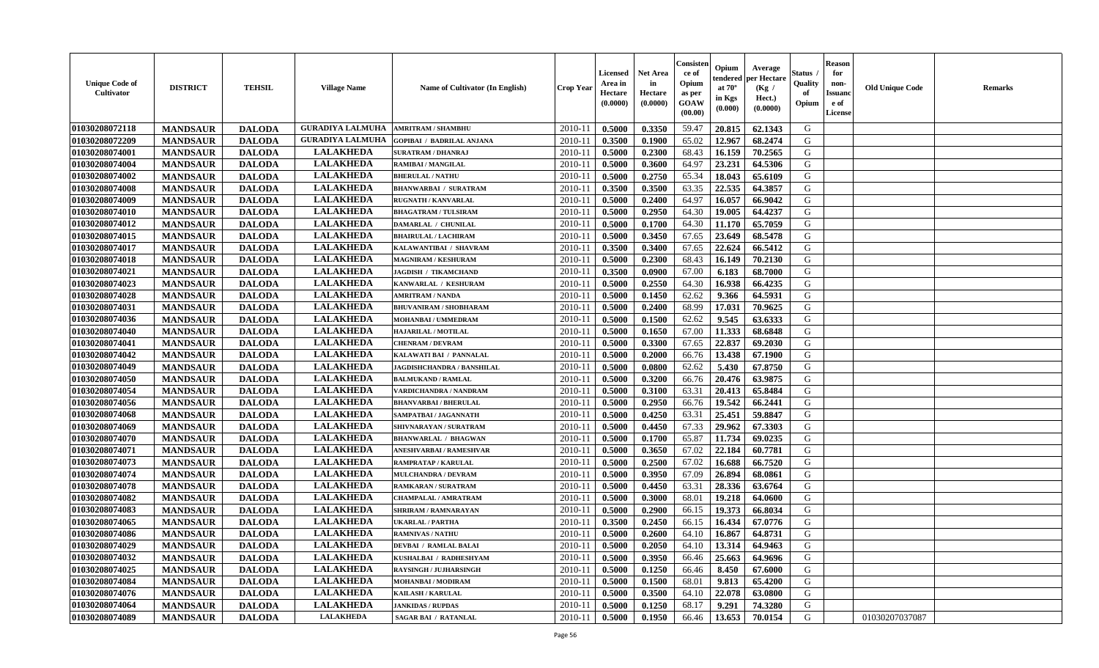| <b>Unique Code of</b><br><b>Cultivator</b> | <b>DISTRICT</b> | <b>TEHSIL</b> | <b>Village Name</b>     | Name of Cultivator (In English)  | <b>Crop Year</b> | <b>Licensed</b><br>Area in<br>Hectare<br>(0.0000) | <b>Net Area</b><br>in<br>Hectare<br>(0.0000) | Consisteı<br>ce of<br>Opium<br>as per<br>GOAW<br>(00.00) | Opium<br>endered<br>at $70^\circ$<br>in Kgs<br>(0.000) | Average<br>per Hectare<br>(Kg /<br>Hect.)<br>(0.0000) | Status<br>Quality<br>of<br>Opium | <b>Reason</b><br>for<br>non-<br><b>Issuand</b><br>e of<br>License | <b>Old Unique Code</b> | <b>Remarks</b> |
|--------------------------------------------|-----------------|---------------|-------------------------|----------------------------------|------------------|---------------------------------------------------|----------------------------------------------|----------------------------------------------------------|--------------------------------------------------------|-------------------------------------------------------|----------------------------------|-------------------------------------------------------------------|------------------------|----------------|
| 01030208072118                             | <b>MANDSAUR</b> | <b>DALODA</b> | <b>GURADIYA LALMUHA</b> | <b>AMRITRAM / SHAMBHU</b>        | 2010-11          | 0.5000                                            | 0.3350                                       | 59.47                                                    | 20.815                                                 | 62.1343                                               | G                                |                                                                   |                        |                |
| 01030208072209                             | <b>MANDSAUR</b> | <b>DALODA</b> | <b>GURADIYA LALMUHA</b> | <b>GOPIBAI / BADRILAL ANJANA</b> | 2010-11          | 0.3500                                            | 0.1900                                       | 65.02                                                    | 12.967                                                 | 68.2474                                               | G                                |                                                                   |                        |                |
| 01030208074001                             | <b>MANDSAUR</b> | <b>DALODA</b> | <b>LALAKHEDA</b>        | <b>SURATRAM / DHANRAJ</b>        | 2010-11          | 0.5000                                            | 0.2300                                       | 68.43                                                    | 16.159                                                 | 70.2565                                               | G                                |                                                                   |                        |                |
| 01030208074004                             | <b>MANDSAUR</b> | <b>DALODA</b> | <b>LALAKHEDA</b>        | <b>RAMIBAI / MANGILAL</b>        | 2010-11          | 0.5000                                            | 0.3600                                       | 64.97                                                    | 23.231                                                 | 64.5306                                               | G                                |                                                                   |                        |                |
| 01030208074002                             | <b>MANDSAUR</b> | <b>DALODA</b> | <b>LALAKHEDA</b>        | <b>BHERULAL / NATHU</b>          | 2010-11          | 0.5000                                            | 0.2750                                       | 65.34                                                    | 18.043                                                 | 65.6109                                               | G                                |                                                                   |                        |                |
| 01030208074008                             | <b>MANDSAUR</b> | <b>DALODA</b> | <b>LALAKHEDA</b>        | <b>BHANWARBAI / SURATRAM</b>     | 2010-11          | 0.3500                                            | 0.3500                                       | 63.35                                                    | 22.535                                                 | 64.3857                                               | G                                |                                                                   |                        |                |
| 01030208074009                             | <b>MANDSAUR</b> | <b>DALODA</b> | <b>LALAKHEDA</b>        | <b>RUGNATH / KANVARLAL</b>       | 2010-11          | 0.5000                                            | 0.2400                                       | 64.97                                                    | 16.057                                                 | 66.9042                                               | G                                |                                                                   |                        |                |
| 01030208074010                             | <b>MANDSAUR</b> | <b>DALODA</b> | <b>LALAKHEDA</b>        | <b>BHAGATRAM / TULSIRAM</b>      | 2010-11          | 0.5000                                            | 0.2950                                       | 64.30                                                    | 19.005                                                 | 64.4237                                               | G                                |                                                                   |                        |                |
| 01030208074012                             | <b>MANDSAUR</b> | <b>DALODA</b> | <b>LALAKHEDA</b>        | DAMARLAL / CHUNILAL              | 2010-11          | 0.5000                                            | 0.1700                                       | 64.30                                                    | 11.170                                                 | 65.7059                                               | G                                |                                                                   |                        |                |
| 01030208074015                             | <b>MANDSAUR</b> | <b>DALODA</b> | <b>LALAKHEDA</b>        | <b>BHAIRULAL / LACHIRAM</b>      | 2010-11          | 0.5000                                            | 0.3450                                       | 67.65                                                    | 23.649                                                 | 68.5478                                               | G                                |                                                                   |                        |                |
| 01030208074017                             | <b>MANDSAUR</b> | <b>DALODA</b> | <b>LALAKHEDA</b>        | KALAWANTIBAI / SHAVRAM           | 2010-11          | 0.3500                                            | 0.3400                                       | 67.65                                                    | 22.624                                                 | 66.5412                                               | $\mathbf G$                      |                                                                   |                        |                |
| 01030208074018                             | <b>MANDSAUR</b> | <b>DALODA</b> | <b>LALAKHEDA</b>        | <b>MAGNIRAM / KESHURAM</b>       | 2010-11          | 0.5000                                            | 0.2300                                       | 68.43                                                    | 16.149                                                 | 70.2130                                               | G                                |                                                                   |                        |                |
| 01030208074021                             | <b>MANDSAUR</b> | <b>DALODA</b> | <b>LALAKHEDA</b>        | <b>JAGDISH / TIKAMCHAND</b>      | 2010-11          | 0.3500                                            | 0.0900                                       | 67.00                                                    | 6.183                                                  | 68.7000                                               | G                                |                                                                   |                        |                |
| 01030208074023                             | <b>MANDSAUR</b> | <b>DALODA</b> | <b>LALAKHEDA</b>        | KANWARLAL / KESHURAM             | $2010 - 11$      | 0.5000                                            | 0.2550                                       | 64.30                                                    | 16.938                                                 | 66.4235                                               | G                                |                                                                   |                        |                |
| 01030208074028                             | <b>MANDSAUR</b> | <b>DALODA</b> | <b>LALAKHEDA</b>        | <b>AMRITRAM / NANDA</b>          | 2010-11          | 0.5000                                            | 0.1450                                       | 62.62                                                    | 9.366                                                  | 64.5931                                               | G                                |                                                                   |                        |                |
| 01030208074031                             | <b>MANDSAUR</b> | <b>DALODA</b> | <b>LALAKHEDA</b>        | <b>BHUVANIRAM / SHOBHARAM</b>    | 2010-11          | 0.5000                                            | 0.2400                                       | 68.99                                                    | 17.031                                                 | 70.9625                                               | G                                |                                                                   |                        |                |
| 01030208074036                             | <b>MANDSAUR</b> | <b>DALODA</b> | <b>LALAKHEDA</b>        | MOHANBAI / UMMEDRAM              | 2010-11          | 0.5000                                            | 0.1500                                       | 62.62                                                    | 9.545                                                  | 63.6333                                               | G                                |                                                                   |                        |                |
| 01030208074040                             | <b>MANDSAUR</b> | <b>DALODA</b> | <b>LALAKHEDA</b>        | HAJARILAL / MOTILAL              | 2010-11          | 0.5000                                            | 0.1650                                       | 67.00                                                    | 11.333                                                 | 68.6848                                               | G                                |                                                                   |                        |                |
| 01030208074041                             | <b>MANDSAUR</b> | <b>DALODA</b> | <b>LALAKHEDA</b>        | <b>CHENRAM / DEVRAM</b>          | 2010-11          | 0.5000                                            | 0.3300                                       | 67.65                                                    | 22.837                                                 | 69.2030                                               | G                                |                                                                   |                        |                |
| 01030208074042                             | <b>MANDSAUR</b> | <b>DALODA</b> | <b>LALAKHEDA</b>        | KALAWATI BAI / PANNALAL          | 2010-11          | 0.5000                                            | 0.2000                                       | 66.76                                                    | 13.438                                                 | 67.1900                                               | G                                |                                                                   |                        |                |
| 01030208074049                             | <b>MANDSAUR</b> | <b>DALODA</b> | <b>LALAKHEDA</b>        | JAGDISHCHANDRA / BANSHILAL       | 2010-11          | 0.5000                                            | 0.0800                                       | 62.62                                                    | 5.430                                                  | 67.8750                                               | G                                |                                                                   |                        |                |
| 01030208074050                             | <b>MANDSAUR</b> | <b>DALODA</b> | <b>LALAKHEDA</b>        | <b>BALMUKAND / RAMLAL</b>        | 2010-11          | 0.5000                                            | 0.3200                                       | 66.76                                                    | 20.476                                                 | 63.9875                                               | G                                |                                                                   |                        |                |
| 01030208074054                             | <b>MANDSAUR</b> | <b>DALODA</b> | <b>LALAKHEDA</b>        | VARDICHANDRA / NANDRAM           | $2010 - 11$      | 0.5000                                            | 0.3100                                       | 63.31                                                    | 20.413                                                 | 65.8484                                               | G                                |                                                                   |                        |                |
| 01030208074056                             | <b>MANDSAUR</b> | <b>DALODA</b> | <b>LALAKHEDA</b>        | <b>BHANVARBAI/BHERULAL</b>       | 2010-11          | 0.5000                                            | 0.2950                                       | 66.76                                                    | 19.542                                                 | 66.2441                                               | G                                |                                                                   |                        |                |
| 01030208074068                             | <b>MANDSAUR</b> | <b>DALODA</b> | <b>LALAKHEDA</b>        | SAMPATBAI / JAGANNATH            | 2010-11          | 0.5000                                            | 0.4250                                       | 63.31                                                    | 25.451                                                 | 59.8847                                               | G                                |                                                                   |                        |                |
| 01030208074069                             | <b>MANDSAUR</b> | <b>DALODA</b> | <b>LALAKHEDA</b>        | SHIVNARAYAN / SURATRAM           | 2010-11          | 0.5000                                            | 0.4450                                       | 67.33                                                    | 29.962                                                 | 67.3303                                               | G                                |                                                                   |                        |                |
| 01030208074070                             | <b>MANDSAUR</b> | <b>DALODA</b> | <b>LALAKHEDA</b>        | <b>BHANWARLAL / BHAGWAN</b>      | 2010-11          | 0.5000                                            | 0.1700                                       | 65.87                                                    | 11.734                                                 | 69.0235                                               | G                                |                                                                   |                        |                |
| 01030208074071                             | <b>MANDSAUR</b> | <b>DALODA</b> | <b>LALAKHEDA</b>        | ANESHVARBAI / RAMESHVAR          | 2010-11          | 0.5000                                            | 0.3650                                       | 67.02                                                    | 22.184                                                 | 60.7781                                               | G                                |                                                                   |                        |                |
| 01030208074073                             | <b>MANDSAUR</b> | <b>DALODA</b> | <b>LALAKHEDA</b>        | <b>RAMPRATAP / KARULAL</b>       | 2010-11          | 0.5000                                            | 0.2500                                       | 67.02                                                    | 16.688                                                 | 66.7520                                               | G                                |                                                                   |                        |                |
| 01030208074074                             | <b>MANDSAUR</b> | <b>DALODA</b> | <b>LALAKHEDA</b>        | <b>MULCHANDRA / DEVRAM</b>       | 2010-11          | 0.5000                                            | 0.3950                                       | 67.09                                                    | 26.894                                                 | 68.0861                                               | G                                |                                                                   |                        |                |
| 01030208074078                             | <b>MANDSAUR</b> | <b>DALODA</b> | <b>LALAKHEDA</b>        | RAMKARAN / SURATRAM              | 2010-11          | 0.5000                                            | 0.4450                                       | 63.31                                                    | 28.336                                                 | 63.6764                                               | ${\bf G}$                        |                                                                   |                        |                |
| 01030208074082                             | <b>MANDSAUR</b> | <b>DALODA</b> | <b>LALAKHEDA</b>        | CHAMPALAL / AMRATRAM             | 2010-11          | 0.5000                                            | 0.3000                                       | 68.01                                                    | 19.218                                                 | 64.0600                                               | G                                |                                                                   |                        |                |
| 01030208074083                             | <b>MANDSAUR</b> | <b>DALODA</b> | <b>LALAKHEDA</b>        | SHRIRAM / RAMNARAYAN             | 2010-11          | 0.5000                                            | 0.2900                                       | 66.15                                                    | 19.373                                                 | 66.8034                                               | G                                |                                                                   |                        |                |
| 01030208074065                             | <b>MANDSAUR</b> | <b>DALODA</b> | <b>LALAKHEDA</b>        | <b>UKARLAL / PARTHA</b>          | 2010-11          | 0.3500                                            | 0.2450                                       | 66.15                                                    | 16.434                                                 | 67.0776                                               | G                                |                                                                   |                        |                |
| 01030208074086                             | <b>MANDSAUR</b> | <b>DALODA</b> | <b>LALAKHEDA</b>        | <b>RAMNIVAS / NATHU</b>          | 2010-11          | 0.5000                                            | 0.2600                                       | 64.10                                                    | 16.867                                                 | 64.8731                                               | G                                |                                                                   |                        |                |
| 01030208074029                             | <b>MANDSAUR</b> | <b>DALODA</b> | <b>LALAKHEDA</b>        | <b>DEVBAI / RAMLAL BALAI</b>     | 2010-11          | 0.5000                                            | 0.2050                                       | 64.10                                                    | 13.314                                                 | 64.9463                                               | G                                |                                                                   |                        |                |
| 01030208074032                             | <b>MANDSAUR</b> | <b>DALODA</b> | <b>LALAKHEDA</b>        | KUSHALBAI / RADHESHYAM           | 2010-11          | 0.5000                                            | 0.3950                                       | 66.46                                                    | 25.663                                                 | 64.9696                                               | G                                |                                                                   |                        |                |
| 01030208074025                             | <b>MANDSAUR</b> | <b>DALODA</b> | <b>LALAKHEDA</b>        | <b>RAYSINGH / JUJHARSINGH</b>    | 2010-11          | 0.5000                                            | 0.1250                                       | 66.46                                                    | 8.450                                                  | 67.6000                                               | G                                |                                                                   |                        |                |
| 01030208074084                             | <b>MANDSAUR</b> | <b>DALODA</b> | <b>LALAKHEDA</b>        | <b>MOHANBAI/MODIRAM</b>          | $2010 - 11$      | 0.5000                                            | 0.1500                                       | 68.01                                                    | 9.813                                                  | 65.4200                                               | G                                |                                                                   |                        |                |
| 01030208074076                             | <b>MANDSAUR</b> | <b>DALODA</b> | <b>LALAKHEDA</b>        | <b>KAILASH / KARULAL</b>         | $2010 - 11$      | 0.5000                                            | 0.3500                                       | 64.10                                                    | 22.078                                                 | 63.0800                                               | G                                |                                                                   |                        |                |
| 01030208074064                             | <b>MANDSAUR</b> | <b>DALODA</b> | <b>LALAKHEDA</b>        | <b>JANKIDAS / RUPDAS</b>         | 2010-11          | 0.5000                                            | 0.1250                                       | 68.17                                                    | 9.291                                                  | 74.3280                                               | G                                |                                                                   |                        |                |
| 01030208074089                             | <b>MANDSAUR</b> | <b>DALODA</b> | <b>LALAKHEDA</b>        | <b>SAGAR BAI / RATANLAL</b>      | 2010-11          | 0.5000                                            | 0.1950                                       | 66.46                                                    | 13.653                                                 | 70.0154                                               | G                                |                                                                   | 01030207037087         |                |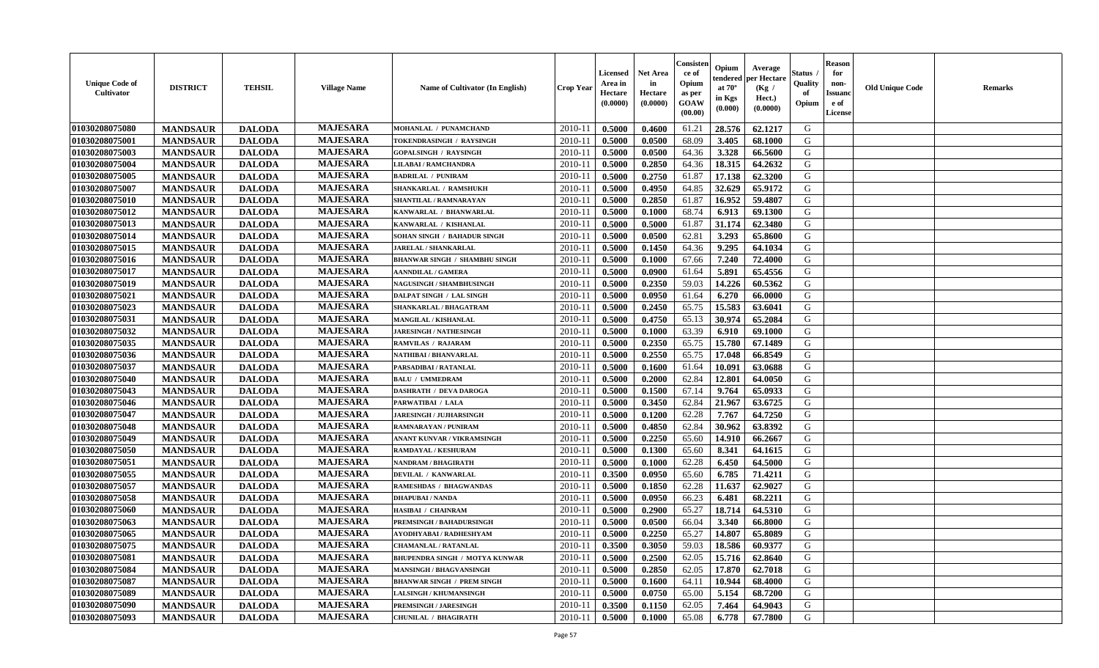| <b>Unique Code of</b><br><b>Cultivator</b> | <b>DISTRICT</b> | <b>TEHSIL</b> | <b>Village Name</b> | Name of Cultivator (In English)       | <b>Crop Year</b> | Licensed<br>Area in<br>Hectare<br>(0.0000) | <b>Net Area</b><br>in<br>Hectare<br>(0.0000) | Consisteı<br>ce of<br>Opium<br>as per<br>GOAW<br>(00.00) | Opium<br>endered<br>at $70^\circ$<br>in Kgs<br>(0.000) | Average<br>per Hectare<br>(Kg /<br>Hect.)<br>(0.0000) | Status<br>Quality<br>of<br>Opium | <b>Reason</b><br>for<br>non-<br><b>Issuand</b><br>e of<br><b>License</b> | <b>Old Unique Code</b> | <b>Remarks</b> |
|--------------------------------------------|-----------------|---------------|---------------------|---------------------------------------|------------------|--------------------------------------------|----------------------------------------------|----------------------------------------------------------|--------------------------------------------------------|-------------------------------------------------------|----------------------------------|--------------------------------------------------------------------------|------------------------|----------------|
| 01030208075080                             | <b>MANDSAUR</b> | <b>DALODA</b> | <b>MAJESARA</b>     | MOHANLAL / PUNAMCHAND                 | 2010-11          | 0.5000                                     | 0.4600                                       | 61.21                                                    | 28.576                                                 | 62.1217                                               | G                                |                                                                          |                        |                |
| 01030208075001                             | <b>MANDSAUR</b> | <b>DALODA</b> | <b>MAJESARA</b>     | TOKENDRASINGH / RAYSINGH              | 2010-11          | 0.5000                                     | 0.0500                                       | 68.09                                                    | 3.405                                                  | 68.1000                                               | G                                |                                                                          |                        |                |
| 01030208075003                             | <b>MANDSAUR</b> | <b>DALODA</b> | <b>MAJESARA</b>     | <b>GOPALSINGH / RAYSINGH</b>          | 2010-11          | 0.5000                                     | 0.0500                                       | 64.36                                                    | 3.328                                                  | 66.5600                                               | G                                |                                                                          |                        |                |
| 01030208075004                             | <b>MANDSAUR</b> | <b>DALODA</b> | <b>MAJESARA</b>     | <b>LILABAI/RAMCHANDRA</b>             | 2010-11          | 0.5000                                     | 0.2850                                       | 64.36                                                    | 18.315                                                 | 64.2632                                               | G                                |                                                                          |                        |                |
| 01030208075005                             | <b>MANDSAUR</b> | <b>DALODA</b> | <b>MAJESARA</b>     | <b>BADRILAL / PUNIRAM</b>             | 2010-11          | 0.5000                                     | 0.2750                                       | 61.87                                                    | 17.138                                                 | 62.3200                                               | G                                |                                                                          |                        |                |
| 01030208075007                             | <b>MANDSAUR</b> | <b>DALODA</b> | <b>MAJESARA</b>     | SHANKARLAL / RAMSHUKH                 | $2010 - 11$      | 0.5000                                     | 0.4950                                       | 64.85                                                    | 32.629                                                 | 65.9172                                               | G                                |                                                                          |                        |                |
| 01030208075010                             | <b>MANDSAUR</b> | <b>DALODA</b> | <b>MAJESARA</b>     | SHANTILAL / RAMNARAYAN                | 2010-11          | 0.5000                                     | 0.2850                                       | 61.87                                                    | 16.952                                                 | 59.4807                                               | G                                |                                                                          |                        |                |
| 01030208075012                             | <b>MANDSAUR</b> | <b>DALODA</b> | <b>MAJESARA</b>     | KANWARLAL / BHANWARLAL                | 2010-11          | 0.5000                                     | 0.1000                                       | 68.74                                                    | 6.913                                                  | 69.1300                                               | G                                |                                                                          |                        |                |
| 01030208075013                             | <b>MANDSAUR</b> | <b>DALODA</b> | <b>MAJESARA</b>     | KANWARLAL / KISHANLAL                 | 2010-11          | 0.5000                                     | 0.5000                                       | 61.87                                                    | 31.174                                                 | 62.3480                                               | G                                |                                                                          |                        |                |
| 01030208075014                             | <b>MANDSAUR</b> | <b>DALODA</b> | <b>MAJESARA</b>     | SOHAN SINGH / BAHADUR SINGH           | 2010-11          | 0.5000                                     | 0.0500                                       | 62.81                                                    | 3.293                                                  | 65.8600                                               | G                                |                                                                          |                        |                |
| 01030208075015                             | <b>MANDSAUR</b> | <b>DALODA</b> | <b>MAJESARA</b>     | JARELAL / SHANKARLAL                  | 2010-11          | 0.5000                                     | 0.1450                                       | 64.36                                                    | 9.295                                                  | 64.1034                                               | $\mathbf G$                      |                                                                          |                        |                |
| 01030208075016                             | <b>MANDSAUR</b> | <b>DALODA</b> | <b>MAJESARA</b>     | <b>BHANWAR SINGH / SHAMBHU SINGH</b>  | 2010-11          | 0.5000                                     | 0.1000                                       | 67.66                                                    | 7.240                                                  | 72.4000                                               | G                                |                                                                          |                        |                |
| 01030208075017                             | <b>MANDSAUR</b> | <b>DALODA</b> | <b>MAJESARA</b>     | <b>AANNDILAL / GAMERA</b>             | 2010-11          | 0.5000                                     | 0.0900                                       | 61.64                                                    | 5.891                                                  | 65.4556                                               | G                                |                                                                          |                        |                |
| 01030208075019                             | <b>MANDSAUR</b> | <b>DALODA</b> | <b>MAJESARA</b>     | NAGUSINGH / SHAMBHUSINGH              | $2010 - 11$      | 0.5000                                     | 0.2350                                       | 59.03                                                    | 14.226                                                 | 60.5362                                               | G                                |                                                                          |                        |                |
| 01030208075021                             | <b>MANDSAUR</b> | <b>DALODA</b> | <b>MAJESARA</b>     | DALPAT SINGH / LAL SINGH              | 2010-11          | 0.5000                                     | 0.0950                                       | 61.64                                                    | 6.270                                                  | 66.0000                                               | G                                |                                                                          |                        |                |
| 01030208075023                             | <b>MANDSAUR</b> | <b>DALODA</b> | <b>MAJESARA</b>     | SHANKARLAL / BHAGATRAM                | 2010-11          | 0.5000                                     | 0.2450                                       | 65.75                                                    | 15.583                                                 | 63.6041                                               | G                                |                                                                          |                        |                |
| 01030208075031                             | <b>MANDSAUR</b> | <b>DALODA</b> | <b>MAJESARA</b>     | <b>MANGILAL / KISHANLAL</b>           | 2010-11          | 0.5000                                     | 0.4750                                       | 65.13                                                    | 30.974                                                 | 65.2084                                               | G                                |                                                                          |                        |                |
| 01030208075032                             | <b>MANDSAUR</b> | <b>DALODA</b> | <b>MAJESARA</b>     | <b>JARESINGH / NATHESINGH</b>         | 2010-11          | 0.5000                                     | 0.1000                                       | 63.39                                                    | 6.910                                                  | 69.1000                                               | G                                |                                                                          |                        |                |
| 01030208075035                             | <b>MANDSAUR</b> | <b>DALODA</b> | <b>MAJESARA</b>     | <b>RAMVILAS / RAJARAM</b>             | 2010-11          | 0.5000                                     | 0.2350                                       | 65.75                                                    | 15.780                                                 | 67.1489                                               | G                                |                                                                          |                        |                |
| 01030208075036                             | <b>MANDSAUR</b> | <b>DALODA</b> | <b>MAJESARA</b>     | NATHIBAI / BHANVARLAL                 | 2010-11          | 0.5000                                     | 0.2550                                       | 65.75                                                    | 17.048                                                 | 66.8549                                               | G                                |                                                                          |                        |                |
| 01030208075037                             | <b>MANDSAUR</b> | <b>DALODA</b> | <b>MAJESARA</b>     | PARSADIBAI / RATANLAL                 | 2010-11          | 0.5000                                     | 0.1600                                       | 61.64                                                    | 10.091                                                 | 63.0688                                               | G                                |                                                                          |                        |                |
| 01030208075040                             | <b>MANDSAUR</b> | <b>DALODA</b> | <b>MAJESARA</b>     | <b>BALU / UMMEDRAM</b>                | 2010-11          | 0.5000                                     | 0.2000                                       | 62.84                                                    | 12.801                                                 | 64.0050                                               | G                                |                                                                          |                        |                |
| 01030208075043                             | <b>MANDSAUR</b> | <b>DALODA</b> | <b>MAJESARA</b>     | <b>DASHRATH / DEVA DAROGA</b>         | $2010 - 11$      | 0.5000                                     | 0.1500                                       | 67.14                                                    | 9.764                                                  | 65.0933                                               | G                                |                                                                          |                        |                |
| 01030208075046                             | <b>MANDSAUR</b> | <b>DALODA</b> | <b>MAJESARA</b>     | PARWATIBAI / LALA                     | 2010-11          | 0.5000                                     | 0.3450                                       | 62.84                                                    | 21.967                                                 | 63.6725                                               | G                                |                                                                          |                        |                |
| 01030208075047                             | <b>MANDSAUR</b> | <b>DALODA</b> | <b>MAJESARA</b>     | <b>JARESINGH / JUJHARSINGH</b>        | 2010-11          | 0.5000                                     | 0.1200                                       | 62.28                                                    | 7.767                                                  | 64.7250                                               | G                                |                                                                          |                        |                |
| 01030208075048                             | <b>MANDSAUR</b> | <b>DALODA</b> | <b>MAJESARA</b>     | RAMNARAYAN / PUNIRAM                  | 2010-11          | 0.5000                                     | 0.4850                                       | 62.84                                                    | 30.962                                                 | 63.8392                                               | G                                |                                                                          |                        |                |
| 01030208075049                             | <b>MANDSAUR</b> | <b>DALODA</b> | <b>MAJESARA</b>     | ANANT KUNVAR / VIKRAMSINGH            | 2010-11          | 0.5000                                     | 0.2250                                       | 65.60                                                    | 14.910                                                 | 66.2667                                               | G                                |                                                                          |                        |                |
| 01030208075050                             | <b>MANDSAUR</b> | <b>DALODA</b> | <b>MAJESARA</b>     | RAMDAYAL / KESHURAM                   | 2010-11          | 0.5000                                     | 0.1300                                       | 65.60                                                    | 8.341                                                  | 64.1615                                               | G                                |                                                                          |                        |                |
| 01030208075051                             | <b>MANDSAUR</b> | <b>DALODA</b> | <b>MAJESARA</b>     | <b>NANDRAM / BHAGIRATH</b>            | 2010-11          | 0.5000                                     | 0.1000                                       | 62.28                                                    | 6.450                                                  | 64.5000                                               | G                                |                                                                          |                        |                |
| 01030208075055                             | <b>MANDSAUR</b> | <b>DALODA</b> | <b>MAJESARA</b>     | DEVILAL / KANWARLAL                   | 2010-11          | 0.3500                                     | 0.0950                                       | 65.60                                                    | 6.785                                                  | 71.4211                                               | G                                |                                                                          |                        |                |
| 01030208075057                             | <b>MANDSAUR</b> | <b>DALODA</b> | <b>MAJESARA</b>     | RAMESHDAS / BHAGWANDAS                | $2010 - 1$       | 0.5000                                     | 0.1850                                       | 62.28                                                    | 11.637                                                 | 62.9027                                               | ${\bf G}$                        |                                                                          |                        |                |
| 01030208075058                             | <b>MANDSAUR</b> | <b>DALODA</b> | <b>MAJESARA</b>     | <b>DHAPUBAI/NANDA</b>                 | 2010-11          | 0.5000                                     | 0.0950                                       | 66.23                                                    | 6.481                                                  | 68.2211                                               | G                                |                                                                          |                        |                |
| 01030208075060                             | <b>MANDSAUR</b> | <b>DALODA</b> | <b>MAJESARA</b>     | HASIBAI / CHAINRAM                    | 2010-11          | 0.5000                                     | 0.2900                                       | 65.27                                                    | 18.714                                                 | 64.5310                                               | G                                |                                                                          |                        |                |
| 01030208075063                             | <b>MANDSAUR</b> | <b>DALODA</b> | <b>MAJESARA</b>     | PREMSINGH / BAHADURSINGH              | 2010-11          | 0.5000                                     | 0.0500                                       | 66.04                                                    | 3.340                                                  | 66.8000                                               | G                                |                                                                          |                        |                |
| 01030208075065                             | <b>MANDSAUR</b> | <b>DALODA</b> | <b>MAJESARA</b>     | AYODHYABAI / RADHESHYAM               | 2010-11          | 0.5000                                     | 0.2250                                       | 65.27                                                    | 14.807                                                 | 65.8089                                               | G                                |                                                                          |                        |                |
| 01030208075075                             | <b>MANDSAUR</b> | <b>DALODA</b> | <b>MAJESARA</b>     | <b>CHAMANLAL / RATANLAL</b>           | 2010-11          | 0.3500                                     | 0.3050                                       | 59.03                                                    | 18.586                                                 | 60.9377                                               | G                                |                                                                          |                        |                |
| 01030208075081                             | <b>MANDSAUR</b> | <b>DALODA</b> | <b>MAJESARA</b>     | <b>BHUPENDRA SINGH / MOTYA KUNWAR</b> | 2010-11          | 0.5000                                     | 0.2500                                       | 62.05                                                    | 15.716                                                 | 62.8640                                               | G                                |                                                                          |                        |                |
| 01030208075084                             | <b>MANDSAUR</b> | <b>DALODA</b> | <b>MAJESARA</b>     | MANSINGH / BHAGVANSINGH               | 2010-11          | 0.5000                                     | 0.2850                                       | 62.05                                                    | 17.870                                                 | 62.7018                                               | G                                |                                                                          |                        |                |
| 01030208075087                             | <b>MANDSAUR</b> | <b>DALODA</b> | <b>MAJESARA</b>     | <b>BHANWAR SINGH / PREM SINGH</b>     | $2010 - 11$      | 0.5000                                     | 0.1600                                       | 64.11                                                    | 10.944                                                 | 68.4000                                               | G                                |                                                                          |                        |                |
| 01030208075089                             | <b>MANDSAUR</b> | <b>DALODA</b> | <b>MAJESARA</b>     | <b>LALSINGH / KHUMANSINGH</b>         | $2010 - 11$      | 0.5000                                     | 0.0750                                       | 65.00                                                    | 5.154                                                  | 68.7200                                               | G                                |                                                                          |                        |                |
| 01030208075090                             | <b>MANDSAUR</b> | <b>DALODA</b> | <b>MAJESARA</b>     | <b>PREMSINGH / JARESINGH</b>          | 2010-11          | 0.3500                                     | 0.1150                                       | 62.05                                                    | 7.464                                                  | 64.9043                                               | G                                |                                                                          |                        |                |
| 01030208075093                             | <b>MANDSAUR</b> | <b>DALODA</b> | <b>MAJESARA</b>     | <b>CHUNILAL / BHAGIRATH</b>           | 2010-11          | 0.5000                                     | 0.1000                                       | 65.08                                                    | 6.778                                                  | 67.7800                                               | G                                |                                                                          |                        |                |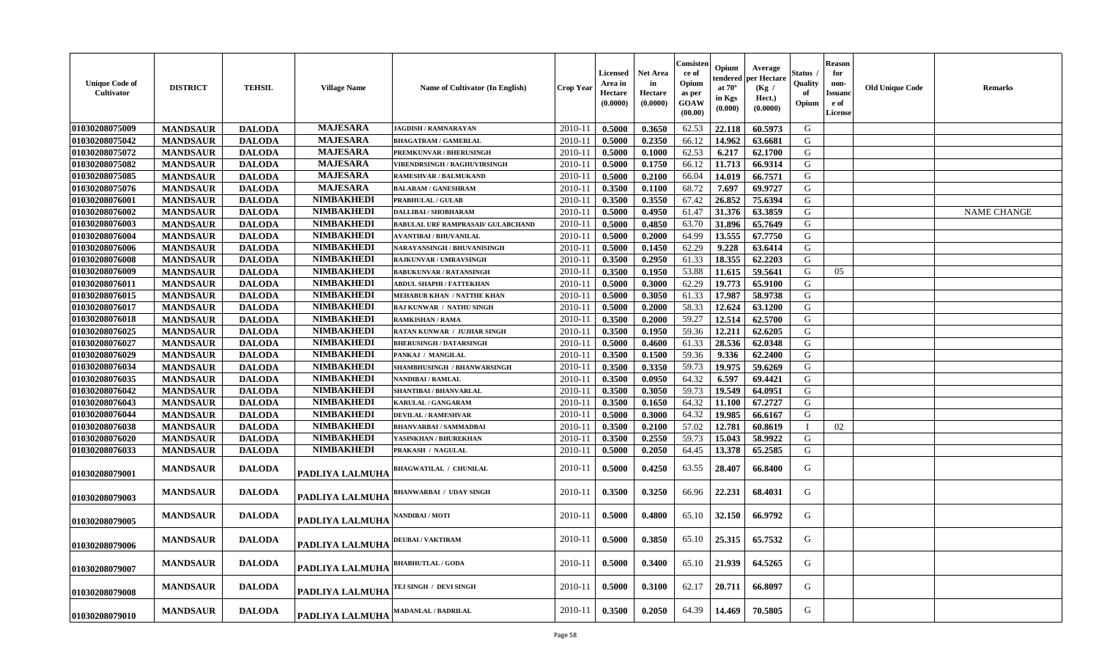| <b>Unique Code of</b><br>Cultivator | <b>DISTRICT</b> | <b>TEHSIL</b> | <b>Village Name</b>    | Name of Cultivator (In English)          | Crop Yeaı | Licensed<br>Area in<br>Hectare<br>(0.0000) | Net Area<br>in<br><b>Hectare</b><br>(0.0000) | Consisten<br>ce of<br>Opium<br>as per<br>GOAW<br>(00.00) | Opium<br>tendered<br>at $70^\circ$<br>in Kgs<br>(0.000) | Average<br>per Hectare<br>(Kg /<br>Hect.)<br>(0.0000) | Status<br>Quality<br>Opium | <b>Reason</b><br>for<br>non-<br>Issuanc<br>e of<br><b>License</b> | <b>Old Unique Code</b> | <b>Remarks</b>     |
|-------------------------------------|-----------------|---------------|------------------------|------------------------------------------|-----------|--------------------------------------------|----------------------------------------------|----------------------------------------------------------|---------------------------------------------------------|-------------------------------------------------------|----------------------------|-------------------------------------------------------------------|------------------------|--------------------|
| 01030208075009                      | <b>MANDSAUR</b> | <b>DALODA</b> | <b>MAJESARA</b>        | JAGDISH / RAMNARAYAN                     | 2010-11   | 0.5000                                     | 0.3650                                       | 62.53                                                    | 22.118                                                  | 60.5973                                               | G                          |                                                                   |                        |                    |
| 01030208075042                      | <b>MANDSAUR</b> | <b>DALODA</b> | <b>MAJESARA</b>        | <b>BHAGATRAM / GAMERLAL</b>              | 2010-11   | 0.5000                                     | 0.2350                                       | 66.12                                                    | 14.962                                                  | 63.6681                                               | G                          |                                                                   |                        |                    |
| 01030208075072                      | <b>MANDSAUR</b> | <b>DALODA</b> | <b>MAJESARA</b>        | PREMKUNVAR / BHERUSINGH                  | 2010-11   | 0.5000                                     | 0.1000                                       | 62.53                                                    | 6.217                                                   | 62.1700                                               | G                          |                                                                   |                        |                    |
| 01030208075082                      | <b>MANDSAUR</b> | <b>DALODA</b> | <b>MAJESARA</b>        | <b>VIRENDRSINGH / RAGHUVIRSINGH</b>      | 2010-11   | 0.5000                                     | 0.1750                                       | 66.12                                                    | 11.713                                                  | 66.9314                                               | G                          |                                                                   |                        |                    |
| 01030208075085                      | <b>MANDSAUR</b> | <b>DALODA</b> | <b>MAJESARA</b>        | <b>RAMESHVAR / BALMUKAND</b>             | 2010-11   | 0.5000                                     | 0.2100                                       | 66.04                                                    | 14.019                                                  | 66.7571                                               | G                          |                                                                   |                        |                    |
| 01030208075076                      | <b>MANDSAUR</b> | <b>DALODA</b> | <b>MAJESARA</b>        | <b>BALARAM / GANESHRAM</b>               | 2010-11   | 0.3500                                     | 0.1100                                       | 68.72                                                    | 7.697                                                   | 69.9727                                               | G                          |                                                                   |                        |                    |
| 01030208076001                      | <b>MANDSAUR</b> | <b>DALODA</b> | <b>NIMBAKHEDI</b>      | <b>PRABHULAL / GULAB</b>                 | 2010-11   | 0.3500                                     | 0.3550                                       | 67.42                                                    | 26.852                                                  | 75.6394                                               | G                          |                                                                   |                        |                    |
| 01030208076002                      | <b>MANDSAUR</b> | <b>DALODA</b> | <b>NIMBAKHEDI</b>      | <b>DALLIBAI/SHOBHARAM</b>                | 2010-11   | 0.5000                                     | 0.4950                                       | 61.47                                                    | 31.376                                                  | 63.3859                                               | G                          |                                                                   |                        | <b>NAME CHANGE</b> |
| 01030208076003                      | <b>MANDSAUR</b> | <b>DALODA</b> | <b>NIMBAKHEDI</b>      | <b>BABULAL URF RAMPRASAD/ GULABCHAND</b> | 2010-11   | 0.5000                                     | 0.4850                                       | 63.70                                                    | 31.896                                                  | 65.7649                                               | G                          |                                                                   |                        |                    |
| 01030208076004                      | <b>MANDSAUR</b> | <b>DALODA</b> | <b>NIMBAKHEDI</b>      | <b>AVANTIBAI / BHUVANILAL</b>            | 2010-11   | 0.5000                                     | 0.2000                                       | 64.99                                                    | 13.555                                                  | 67.7750                                               | G                          |                                                                   |                        |                    |
| 01030208076006                      | <b>MANDSAUR</b> | <b>DALODA</b> | <b>NIMBAKHEDI</b>      | NARAYANSINGH / BHUVANISINGH              | 2010-11   | 0.5000                                     | 0.1450                                       | 62.29                                                    | 9.228                                                   | 63.6414                                               | G                          |                                                                   |                        |                    |
| 01030208076008                      | <b>MANDSAUR</b> | <b>DALODA</b> | <b>NIMBAKHEDI</b>      | <b>RAJKUNVAR / UMRAVSINGH</b>            | 2010-11   | 0.3500                                     | 0.2950                                       | 61.33                                                    | 18.355                                                  | 62.2203                                               | G                          |                                                                   |                        |                    |
| 01030208076009                      | <b>MANDSAUR</b> | <b>DALODA</b> | <b>NIMBAKHEDI</b>      | <b>BABUKUNVAR / RATANSINGH</b>           | 2010-11   | 0.3500                                     | 0.1950                                       | 53.88                                                    | 11.615                                                  | 59.5641                                               | G                          | 05                                                                |                        |                    |
| 01030208076011                      | <b>MANDSAUR</b> | <b>DALODA</b> | <b>NIMBAKHEDI</b>      | <b>ABDUL SHAPHI / FATTEKHAN</b>          | 2010-11   | 0.5000                                     | 0.3000                                       | 62.29                                                    | 19.773                                                  | 65.9100                                               | ${\bf G}$                  |                                                                   |                        |                    |
| 01030208076015                      | <b>MANDSAUR</b> | <b>DALODA</b> | <b>NIMBAKHEDI</b>      | <b>MEHABUB KHAN / NATTHE KHAN</b>        | 2010-11   | 0.5000                                     | 0.3050                                       | 61.33                                                    | 17.987                                                  | 58.9738                                               | G                          |                                                                   |                        |                    |
| 01030208076017                      | <b>MANDSAUR</b> | <b>DALODA</b> | <b>NIMBAKHEDI</b>      | RAJ KUNWAR / NATHU SINGH                 | 2010-11   | 0.5000                                     | 0.2000                                       | 58.33                                                    | 12.624                                                  | 63.1200                                               | G                          |                                                                   |                        |                    |
| 01030208076018                      | <b>MANDSAUR</b> | <b>DALODA</b> | <b>NIMBAKHEDI</b>      | <b>RAMKISHAN / RAMA</b>                  | 2010-11   | 0.3500                                     | 0.2000                                       | 59.27                                                    | 12.514                                                  | 62.5700                                               | G                          |                                                                   |                        |                    |
| 01030208076025                      | <b>MANDSAUR</b> | <b>DALODA</b> | <b>NIMBAKHEDI</b>      | RATAN KUNWAR / JUJHAR SINGH              | 2010-11   | 0.3500                                     | 0.1950                                       | 59.36                                                    | 12.211                                                  | 62.6205                                               | G                          |                                                                   |                        |                    |
| 01030208076027                      | <b>MANDSAUR</b> | <b>DALODA</b> | <b>NIMBAKHEDI</b>      | <b>BHERUSINGH / DATARSINGH</b>           | 2010-11   | 0.5000                                     | 0.4600                                       | 61.33                                                    | 28.536                                                  | 62.0348                                               | G                          |                                                                   |                        |                    |
| 01030208076029                      | <b>MANDSAUR</b> | <b>DALODA</b> | <b>NIMBAKHEDI</b>      | PANKAJ / MANGILAL                        | 2010-11   | 0.3500                                     | 0.1500                                       | 59.36                                                    | 9.336                                                   | 62.2400                                               | G                          |                                                                   |                        |                    |
| 01030208076034                      | <b>MANDSAUR</b> | <b>DALODA</b> | <b>NIMBAKHEDI</b>      | SHAMBHUSINGH / BHANWARSINGH              | 2010-11   | 0.3500                                     | 0.3350                                       | 59.73                                                    | 19.975                                                  | 59.6269                                               | G                          |                                                                   |                        |                    |
| 01030208076035                      | <b>MANDSAUR</b> | <b>DALODA</b> | <b>NIMBAKHEDI</b>      | NANDIBAI / RAMLAL                        | 2010-11   | 0.3500                                     | 0.0950                                       | 64.32                                                    | 6.597                                                   | 69.4421                                               | ${\bf G}$                  |                                                                   |                        |                    |
| 01030208076042                      | <b>MANDSAUR</b> | <b>DALODA</b> | <b>NIMBAKHEDI</b>      | <b>SHANTIBAI / BHANVARLAL</b>            | 2010-11   | 0.3500                                     | 0.3050                                       | 59.73                                                    | 19.549                                                  | 64.0951                                               | G                          |                                                                   |                        |                    |
| 01030208076043                      | <b>MANDSAUR</b> | <b>DALODA</b> | <b>NIMBAKHEDI</b>      | <b>KARULAL / GANGARAM</b>                | 2010-11   | 0.3500                                     | 0.1650                                       | 64.32                                                    | 11.100                                                  | 67.2727                                               | G                          |                                                                   |                        |                    |
| 01030208076044                      | <b>MANDSAUR</b> | <b>DALODA</b> | <b>NIMBAKHEDI</b>      | <b>DEVILAL / RAMESHVAR</b>               | 2010-11   | 0.5000                                     | 0.3000                                       | 64.32                                                    | 19.985                                                  | 66.6167                                               | G                          |                                                                   |                        |                    |
| 01030208076038                      | <b>MANDSAUR</b> | <b>DALODA</b> | <b>NIMBAKHEDI</b>      | <b>BHANVARBAI/SAMMADBAI</b>              | 2010-11   | 0.3500                                     | 0.2100                                       | 57.02                                                    | 12.781                                                  | 60.8619                                               |                            | 02                                                                |                        |                    |
| 01030208076020                      | <b>MANDSAUR</b> | <b>DALODA</b> | <b>NIMBAKHEDI</b>      | YASINKHAN / BHUREKHAN                    | 2010-11   | 0.3500                                     | 0.2550                                       | 59.73                                                    | 15.043                                                  | 58.9922                                               | G                          |                                                                   |                        |                    |
| 01030208076033                      | <b>MANDSAUR</b> | <b>DALODA</b> | <b>NIMBAKHEDI</b>      | PRAKASH / NAGULAL                        | 2010-11   | 0.5000                                     | 0.2050                                       | 64.45                                                    | 13.378                                                  | 65.2585                                               | G                          |                                                                   |                        |                    |
| 01030208079001                      | <b>MANDSAUR</b> | <b>DALODA</b> | PADLIYA LALMUHA        | <b>BHAGWATILAL / CHUNILAL</b>            | 2010-11   | 0.5000                                     | 0.4250                                       | 63.55                                                    | 28.407                                                  | 66.8400                                               | G                          |                                                                   |                        |                    |
| 01030208079003                      | <b>MANDSAUR</b> | <b>DALODA</b> | PADLIYA LALMUHA        | <b>BHANWARBAI / UDAY SINGH</b>           | 2010-11   | 0.3500                                     | 0.3250                                       | 66.96                                                    | 22.231                                                  | 68.4031                                               | G                          |                                                                   |                        |                    |
| 01030208079005                      | <b>MANDSAUR</b> | <b>DALODA</b> | PADLIYA LALMUHA        | NANDIBAI / MOTI                          | 2010-11   | 0.5000                                     | 0.4800                                       | 65.10                                                    | 32.150                                                  | 66.9792                                               | G                          |                                                                   |                        |                    |
| 01030208079006                      | <b>MANDSAUR</b> | <b>DALODA</b> | <b>PADLIYA LALMUHA</b> | <b>DEUBAI/VAKTIRAM</b>                   | 2010-11   | 0.5000                                     | 0.3850                                       | 65.10                                                    | 25.315                                                  | 65.7532                                               | G                          |                                                                   |                        |                    |
| 01030208079007                      | <b>MANDSAUR</b> | <b>DALODA</b> | PADLIYA LALMUHA        | <b>BHABHUTLAL / GODA</b>                 | 2010-11   | 0.5000                                     | 0.3400                                       | 65.10                                                    | 21.939                                                  | 64.5265                                               | G                          |                                                                   |                        |                    |
| 01030208079008                      | <b>MANDSAUR</b> | <b>DALODA</b> | PADLIYA LALMUHA        | TEJ SINGH / DEVI SINGH                   | 2010-11   | 0.5000                                     | 0.3100                                       | 62.17                                                    | 20.711                                                  | 66.8097                                               | G                          |                                                                   |                        |                    |
| 01030208079010                      | <b>MANDSAUR</b> | <b>DALODA</b> | PADLIYA LALMUHA        | <b>MADANLAL / BADRILAL</b>               | 2010-11   | 0.3500                                     | 0.2050                                       | 64.39                                                    | 14.469                                                  | 70.5805                                               | G                          |                                                                   |                        |                    |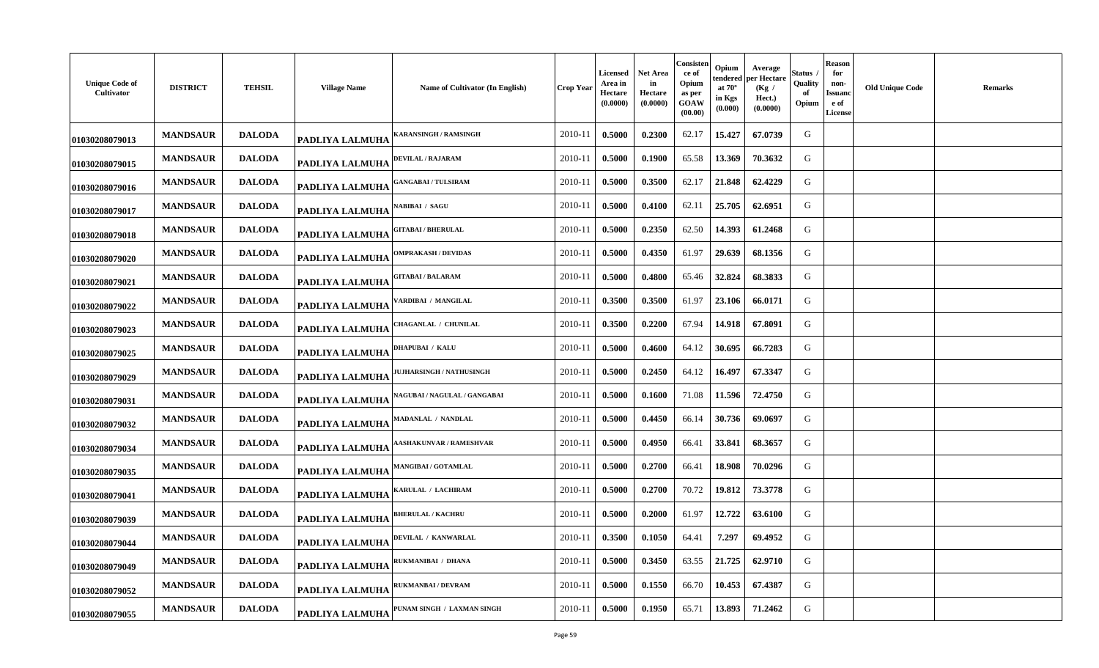| <b>Unique Code of</b><br>Cultivator | <b>DISTRICT</b> | <b>TEHSIL</b> | <b>Village Name</b>    | Name of Cultivator (In English)     | <b>Crop Year</b> | Licensed<br>Area in<br>Hectare<br>(0.0000) | Net Area<br>in<br>Hectare<br>(0.0000) | Consisten<br>ce of<br>Opium<br>as per<br>GOAW<br>(00.00) | Opium<br>tendered<br>at $70^\circ$<br>in Kgs<br>(0.000) | Average<br>per Hectare<br>(Kg /<br>Hect.)<br>(0.0000) | Status<br>Quality<br>of<br>Opium | <b>Reason</b><br>for<br>non-<br>Issuanc<br>e of<br><b>License</b> | <b>Old Unique Code</b> | <b>Remarks</b> |
|-------------------------------------|-----------------|---------------|------------------------|-------------------------------------|------------------|--------------------------------------------|---------------------------------------|----------------------------------------------------------|---------------------------------------------------------|-------------------------------------------------------|----------------------------------|-------------------------------------------------------------------|------------------------|----------------|
| 01030208079013                      | <b>MANDSAUR</b> | <b>DALODA</b> | <b>PADLIYA LALMUHA</b> | ARANSINGH / RAMSINGH                | 2010-11          | 0.5000                                     | 0.2300                                | 62.17                                                    | 15.427                                                  | 67.0739                                               | G                                |                                                                   |                        |                |
| 01030208079015                      | <b>MANDSAUR</b> | <b>DALODA</b> | <b>PADLIYA LALMUHA</b> | DEVILAL / RAJARAM                   | 2010-11          | 0.5000                                     | 0.1900                                | 65.58                                                    | 13.369                                                  | 70.3632                                               | G                                |                                                                   |                        |                |
| 01030208079016                      | <b>MANDSAUR</b> | <b>DALODA</b> | PADLIYA LALMUHA        | <b>GANGABAI / TULSIRAM</b>          | 2010-11          | 0.5000                                     | 0.3500                                | 62.17                                                    | 21.848                                                  | 62.4229                                               | G                                |                                                                   |                        |                |
| 01030208079017                      | <b>MANDSAUR</b> | <b>DALODA</b> | PADLIYA LALMUHA        | <b>NABIBAI / SAGU</b>               | 2010-11          | 0.5000                                     | 0.4100                                | 62.11                                                    | 25.705                                                  | 62.6951                                               | G                                |                                                                   |                        |                |
| 01030208079018                      | <b>MANDSAUR</b> | <b>DALODA</b> | PADLIYA LALMUHA        | <b>HTABAI/BHERULAL</b>              | 2010-11          | 0.5000                                     | 0.2350                                | 62.50                                                    | 14.393                                                  | 61.2468                                               | G                                |                                                                   |                        |                |
| 01030208079020                      | <b>MANDSAUR</b> | <b>DALODA</b> | <b>PADLIYA LALMUHA</b> | <b>OMPRAKASH / DEVIDAS</b>          | 2010-11          | 0.5000                                     | 0.4350                                | 61.97                                                    | 29.639                                                  | 68.1356                                               | G                                |                                                                   |                        |                |
| 01030208079021                      | <b>MANDSAUR</b> | <b>DALODA</b> | PADLIYA LALMUHA        | <b>GITABAI/BALARAM</b>              | 2010-11          | 0.5000                                     | 0.4800                                | 65.46                                                    | 32.824                                                  | 68.3833                                               | G                                |                                                                   |                        |                |
| 01030208079022                      | <b>MANDSAUR</b> | <b>DALODA</b> | PADLIYA LALMUHA        | <b>/ARDIBAI / MANGILAL</b>          | 2010-11          | 0.3500                                     | 0.3500                                | 61.97                                                    | 23.106                                                  | 66.0171                                               | G                                |                                                                   |                        |                |
| 01030208079023                      | <b>MANDSAUR</b> | <b>DALODA</b> | PADLIYA LALMUHA        | 'HAGANLAL / CHUNILAL                | 2010-11          | 0.3500                                     | 0.2200                                | 67.94                                                    | 14.918                                                  | 67.8091                                               | G                                |                                                                   |                        |                |
| 01030208079025                      | <b>MANDSAUR</b> | <b>DALODA</b> | <b>PADLIYA LALMUHA</b> | DHAPUBAI / KALU                     | 2010-11          | 0.5000                                     | 0.4600                                | 64.12                                                    | 30.695                                                  | 66.7283                                               | G                                |                                                                   |                        |                |
| 01030208079029                      | <b>MANDSAUR</b> | <b>DALODA</b> | PADLIYA LALMUHA        | <b>JUHARSINGH / NATHUSINGH</b>      | 2010-11          | 0.5000                                     | 0.2450                                | 64.12                                                    | 16.497                                                  | 67.3347                                               | G                                |                                                                   |                        |                |
| 01030208079031                      | <b>MANDSAUR</b> | <b>DALODA</b> | <b>PADLIYA LALMUHA</b> | <b>\AGUBAI / NAGULAL / GANGABAI</b> | 2010-11          | 0.5000                                     | 0.1600                                | 71.08                                                    | 11.596                                                  | 72.4750                                               | G                                |                                                                   |                        |                |
| 01030208079032                      | <b>MANDSAUR</b> | <b>DALODA</b> | PADLIYA LALMUHA        | <b>MADANLAL / NANDLAL</b>           | 2010-11          | 0.5000                                     | 0.4450                                | 66.14                                                    | 30.736                                                  | 69.0697                                               | G                                |                                                                   |                        |                |
| 01030208079034                      | <b>MANDSAUR</b> | <b>DALODA</b> | <b>PADLIYA LALMUHA</b> | ASHAKUNVAR / RAMESHVAR              | 2010-11          | 0.5000                                     | 0.4950                                | 66.41                                                    | 33.841                                                  | 68.3657                                               | G                                |                                                                   |                        |                |
| 01030208079035                      | <b>MANDSAUR</b> | <b>DALODA</b> | PADLIYA LALMUHA        | <b>MANGIBAI / GOTAMLAL</b>          | 2010-11          | 0.5000                                     | 0.2700                                | 66.41                                                    | 18.908                                                  | 70.0296                                               | G                                |                                                                   |                        |                |
| 01030208079041                      | <b>MANDSAUR</b> | <b>DALODA</b> | PADLIYA LALMUHA        | <b>ARULAL / LACHIRAM</b>            | 2010-11          | 0.5000                                     | 0.2700                                | 70.72                                                    | 19.812                                                  | 73.3778                                               | G                                |                                                                   |                        |                |
| 01030208079039                      | <b>MANDSAUR</b> | <b>DALODA</b> | PADLIYA LALMUHA        | <b>BHERULAL / KACHRU</b>            | 2010-11          | 0.5000                                     | 0.2000                                | 61.97                                                    | 12.722                                                  | 63.6100                                               | G                                |                                                                   |                        |                |
| 01030208079044                      | <b>MANDSAUR</b> | <b>DALODA</b> | <b>PADLIYA LALMUHA</b> | DEVILAL / KANWARLAL                 | 2010-11          | 0.3500                                     | 0.1050                                | 64.41                                                    | 7.297                                                   | 69.4952                                               | G                                |                                                                   |                        |                |
| 01030208079049                      | <b>MANDSAUR</b> | <b>DALODA</b> | PADLIYA LALMUHA        | RUKMANIBAI / DHANA                  | 2010-11          | 0.5000                                     | 0.3450                                | 63.55                                                    | 21.725                                                  | 62.9710                                               | G                                |                                                                   |                        |                |
| 01030208079052                      | <b>MANDSAUR</b> | <b>DALODA</b> | <b>PADLIYA LALMUHA</b> | RUKMANBAI / DEVRAM                  | 2010-11          | 0.5000                                     | 0.1550                                | 66.70                                                    | 10.453                                                  | 67.4387                                               | G                                |                                                                   |                        |                |
| 01030208079055                      | <b>MANDSAUR</b> | <b>DALODA</b> | PADLIYA LALMUHA        | PUNAM SINGH / LAXMAN SINGH          | 2010-11          | 0.5000                                     | 0.1950                                | 65.71                                                    | 13.893                                                  | 71.2462                                               | G                                |                                                                   |                        |                |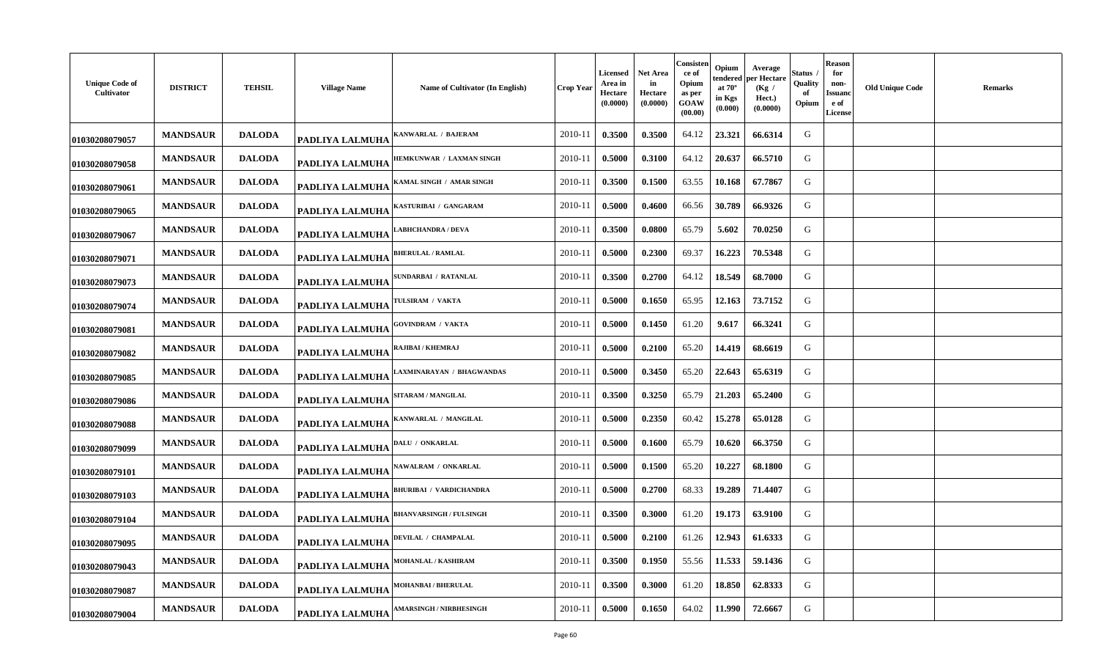| <b>Unique Code of</b><br>Cultivator | <b>DISTRICT</b> | <b>TEHSIL</b> | <b>Village Name</b>    | Name of Cultivator (In English) | <b>Crop Year</b> | Licensed<br>Area in<br>Hectare<br>(0.0000) | Net Area<br>in<br>Hectare<br>(0.0000) | Consisten<br>ce of<br>Opium<br>as per<br>GOAW<br>(00.00) | Opium<br>tendered<br>at $70^\circ$<br>in Kgs<br>(0.000) | Average<br>per Hectare<br>(Kg /<br>Hect.)<br>(0.0000) | Status<br>Quality<br>of<br>Opium | <b>Reason</b><br>for<br>non-<br>Issuanc<br>e of<br><b>License</b> | <b>Old Unique Code</b> | <b>Remarks</b> |
|-------------------------------------|-----------------|---------------|------------------------|---------------------------------|------------------|--------------------------------------------|---------------------------------------|----------------------------------------------------------|---------------------------------------------------------|-------------------------------------------------------|----------------------------------|-------------------------------------------------------------------|------------------------|----------------|
| 01030208079057                      | <b>MANDSAUR</b> | <b>DALODA</b> | <b>PADLIYA LALMUHA</b> | ANWARLAL / BAJERAM              | 2010-11          | 0.3500                                     | 0.3500                                | 64.12                                                    | 23.321                                                  | 66.6314                                               | G                                |                                                                   |                        |                |
| 01030208079058                      | <b>MANDSAUR</b> | <b>DALODA</b> | <b>PADLIYA LALMUHA</b> | HEMKUNWAR / LAXMAN SINGH        | 2010-11          | 0.5000                                     | 0.3100                                | 64.12                                                    | 20.637                                                  | 66.5710                                               | G                                |                                                                   |                        |                |
| 01030208079061                      | <b>MANDSAUR</b> | <b>DALODA</b> | PADLIYA LALMUHA        | KAMAL SINGH / AMAR SINGH        | 2010-11          | 0.3500                                     | 0.1500                                | 63.55                                                    | 10.168                                                  | 67.7867                                               | G                                |                                                                   |                        |                |
| 01030208079065                      | <b>MANDSAUR</b> | <b>DALODA</b> | PADLIYA LALMUHA        | KASTURIBAI / GANGARAM           | 2010-11          | 0.5000                                     | 0.4600                                | 66.56                                                    | 30.789                                                  | 66.9326                                               | G                                |                                                                   |                        |                |
| 01030208079067                      | <b>MANDSAUR</b> | <b>DALODA</b> | PADLIYA LALMUHA        | <b>ABHCHANDRA / DEVA</b>        | 2010-11          | 0.3500                                     | 0.0800                                | 65.79                                                    | 5.602                                                   | 70.0250                                               | G                                |                                                                   |                        |                |
| 01030208079071                      | <b>MANDSAUR</b> | <b>DALODA</b> | PADLIYA LALMUHA        | <b>BHERULAL / RAMLAL</b>        | 2010-11          | 0.5000                                     | 0.2300                                | 69.37                                                    | 16.223                                                  | 70.5348                                               | G                                |                                                                   |                        |                |
| 01030208079073                      | <b>MANDSAUR</b> | <b>DALODA</b> | PADLIYA LALMUHA        | SUNDARBAI / RATANLAL            | 2010-11          | 0.3500                                     | 0.2700                                | 64.12                                                    | 18.549                                                  | 68.7000                                               | G                                |                                                                   |                        |                |
| 01030208079074                      | <b>MANDSAUR</b> | <b>DALODA</b> | PADLIYA LALMUHA        | <b>TULSIRAM / VAKTA</b>         | 2010-11          | 0.5000                                     | 0.1650                                | 65.95                                                    | 12.163                                                  | 73.7152                                               | G                                |                                                                   |                        |                |
| 01030208079081                      | <b>MANDSAUR</b> | <b>DALODA</b> | PADLIYA LALMUHA        | <b>GOVINDRAM / VAKTA</b>        | 2010-11          | 0.5000                                     | 0.1450                                | 61.20                                                    | 9.617                                                   | 66.3241                                               | G                                |                                                                   |                        |                |
| 01030208079082                      | <b>MANDSAUR</b> | <b>DALODA</b> | <b>PADLIYA LALMUHA</b> | RAJIBAI / KHEMRAJ               | 2010-11          | 0.5000                                     | 0.2100                                | 65.20                                                    | 14.419                                                  | 68.6619                                               | G                                |                                                                   |                        |                |
| 01030208079085                      | <b>MANDSAUR</b> | <b>DALODA</b> | PADLIYA LALMUHA        | <b>AXMINARAYAN / BHAGWANDAS</b> | 2010-11          | 0.5000                                     | 0.3450                                | 65.20                                                    | 22.643                                                  | 65.6319                                               | G                                |                                                                   |                        |                |
| 01030208079086                      | <b>MANDSAUR</b> | <b>DALODA</b> | PADLIYA LALMUHA        | SITARAM / MANGILAL              | 2010-11          | 0.3500                                     | 0.3250                                | 65.79                                                    | 21.203                                                  | 65.2400                                               | G                                |                                                                   |                        |                |
| 01030208079088                      | <b>MANDSAUR</b> | <b>DALODA</b> | PADLIYA LALMUHA        | KANWARLAL / MANGILAL            | 2010-11          | 0.5000                                     | 0.2350                                | 60.42                                                    | 15.278                                                  | 65.0128                                               | G                                |                                                                   |                        |                |
| 01030208079099                      | <b>MANDSAUR</b> | <b>DALODA</b> | PADLIYA LALMUHA        | <b>DALU / ONKARLAL</b>          | 2010-11          | 0.5000                                     | 0.1600                                | 65.79                                                    | 10.620                                                  | 66.3750                                               | G                                |                                                                   |                        |                |
| 01030208079101                      | <b>MANDSAUR</b> | <b>DALODA</b> | <b>PADLIYA LALMUHA</b> | <b>AWALRAM / ONKARLAL</b>       | 2010-11          | 0.5000                                     | 0.1500                                | 65.20                                                    | 10.227                                                  | 68.1800                                               | G                                |                                                                   |                        |                |
| 01030208079103                      | <b>MANDSAUR</b> | <b>DALODA</b> | PADLIYA LALMUHA        | <b>BHURIBAI / VARDICHANDRA</b>  | 2010-11          | 0.5000                                     | 0.2700                                | 68.33                                                    | 19.289                                                  | 71.4407                                               | G                                |                                                                   |                        |                |
| 01030208079104                      | <b>MANDSAUR</b> | <b>DALODA</b> | PADLIYA LALMUHA        | <b>BHANVARSINGH / FULSINGH</b>  | 2010-11          | 0.3500                                     | 0.3000                                | 61.20                                                    | 19.173                                                  | 63.9100                                               | G                                |                                                                   |                        |                |
| 01030208079095                      | <b>MANDSAUR</b> | <b>DALODA</b> | <b>PADLIYA LALMUHA</b> | DEVILAL / CHAMPALAL             | 2010-11          | 0.5000                                     | 0.2100                                | 61.26                                                    | 12.943                                                  | 61.6333                                               | G                                |                                                                   |                        |                |
| 01030208079043                      | <b>MANDSAUR</b> | <b>DALODA</b> | <b>PADLIYA LALMUHA</b> | MOHANLAL / KASHIRAM             | 2010-11          | 0.3500                                     | 0.1950                                | 55.56                                                    | 11.533                                                  | 59.1436                                               | G                                |                                                                   |                        |                |
| 01030208079087                      | <b>MANDSAUR</b> | <b>DALODA</b> | <b>PADLIYA LALMUHA</b> | <b>MOHANBAI / BHERULAL</b>      | 2010-11          | 0.3500                                     | 0.3000                                | 61.20                                                    | 18.850                                                  | 62.8333                                               | G                                |                                                                   |                        |                |
| 01030208079004                      | <b>MANDSAUR</b> | <b>DALODA</b> | <b>PADLIYA LALMUHA</b> | <b>AMARSINGH / NIRBHESINGH</b>  | 2010-11          | 0.5000                                     | 0.1650                                | 64.02                                                    | 11.990                                                  | 72.6667                                               | G                                |                                                                   |                        |                |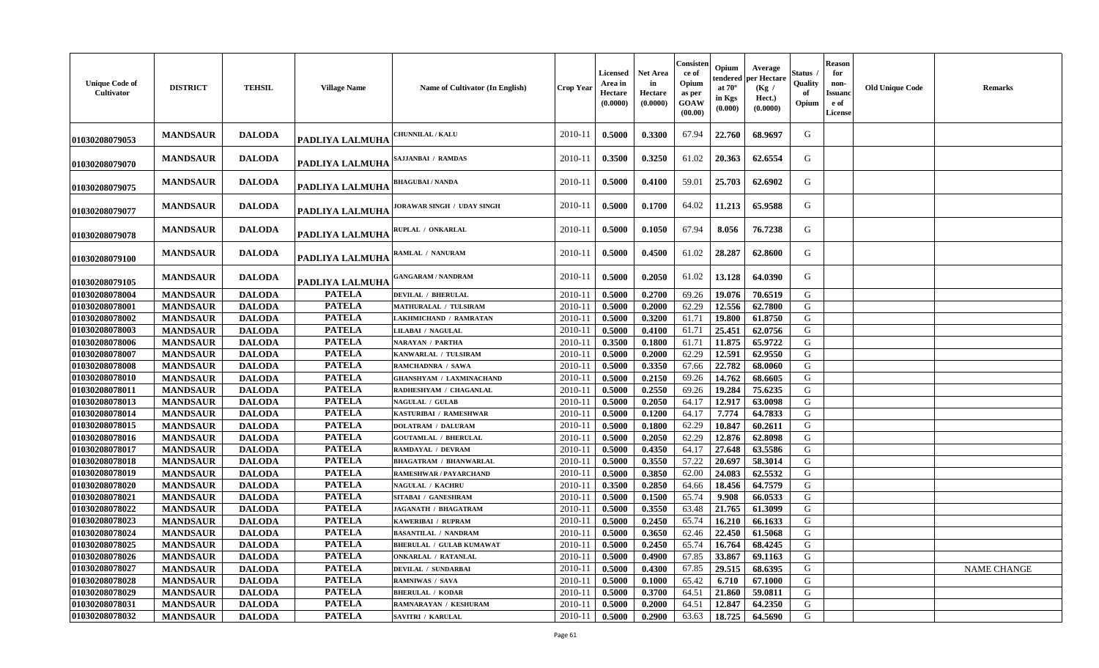| <b>Unique Code of</b><br>Cultivator | <b>DISTRICT</b> | <b>TEHSIL</b> | <b>Village Name</b>    | Name of Cultivator (In English) | <b>Crop Year</b> | Licensed<br>Area in<br>Hectare<br>(0.0000) | <b>Net Area</b><br>in<br>Hectare<br>(0.0000) | Consisten<br>ce of<br>Opium<br>as per<br>GOAW<br>(00.00) | Opium<br>tendered<br>at $70^\circ$<br>in Kgs<br>(0.000) | Average<br>per Hectare<br>(Kg)<br>Hect.)<br>(0.0000) | Status<br>Quality<br>of<br>Opium | <b>Reason</b><br>for<br>non-<br>Issuanc<br>e of<br><b>License</b> | <b>Old Unique Code</b> | <b>Remarks</b>     |
|-------------------------------------|-----------------|---------------|------------------------|---------------------------------|------------------|--------------------------------------------|----------------------------------------------|----------------------------------------------------------|---------------------------------------------------------|------------------------------------------------------|----------------------------------|-------------------------------------------------------------------|------------------------|--------------------|
| 01030208079053                      | <b>MANDSAUR</b> | <b>DALODA</b> | PADLIYA LALMUHA        | <b>CHUNNILAL / KALU</b>         | 2010-11          | 0.5000                                     | 0.3300                                       | 67.94                                                    | 22.760                                                  | 68.9697                                              | G                                |                                                                   |                        |                    |
| 01030208079070                      | <b>MANDSAUR</b> | <b>DALODA</b> | PADLIYA LALMUHA        | SAJJANBAI / RAMDAS              | 2010-11          | 0.3500                                     | 0.3250                                       | 61.02                                                    | 20.363                                                  | 62.6554                                              | G                                |                                                                   |                        |                    |
| 01030208079075                      | <b>MANDSAUR</b> | <b>DALODA</b> | <b>PADLIYA LALMUHA</b> | <b>BHAGUBAI / NANDA</b>         | 2010-11          | 0.5000                                     | 0.4100                                       | 59.01                                                    | 25.703                                                  | 62.6902                                              | G                                |                                                                   |                        |                    |
| 01030208079077                      | <b>MANDSAUR</b> | <b>DALODA</b> | <b>PADLIYA LALMUHA</b> | JORAWAR SINGH / UDAY SINGH      | 2010-11          | 0.5000                                     | 0.1700                                       | 64.02                                                    | 11.213                                                  | 65.9588                                              | G                                |                                                                   |                        |                    |
| 01030208079078                      | <b>MANDSAUR</b> | <b>DALODA</b> | <b>PADLIYA LALMUHA</b> | RUPLAL / ONKARLAL               | 2010-11          | 0.5000                                     | 0.1050                                       | 67.94                                                    | 8.056                                                   | 76.7238                                              | G                                |                                                                   |                        |                    |
| 01030208079100                      | <b>MANDSAUR</b> | <b>DALODA</b> | PADLIYA LALMUHA        | RAMLAL / NANURAM                | 2010-11          | 0.5000                                     | 0.4500                                       | 61.02                                                    | 28.287                                                  | 62.8600                                              | G                                |                                                                   |                        |                    |
| 01030208079105                      | <b>MANDSAUR</b> | <b>DALODA</b> | PADLIYA LALMUHA        | <b>GANGARAM / NANDRAM</b>       | 2010-11          | 0.5000                                     | 0.2050                                       | 61.02                                                    | 13.128                                                  | 64.0390                                              | G                                |                                                                   |                        |                    |
| 01030208078004                      | <b>MANDSAUR</b> | <b>DALODA</b> | <b>PATELA</b>          | <b>DEVILAL / BHERULAL</b>       | 2010-11          | 0.5000                                     | 0.2700                                       | 69.26                                                    | 19.076                                                  | 70.6519                                              | G                                |                                                                   |                        |                    |
| 01030208078001                      | <b>MANDSAUR</b> | <b>DALODA</b> | <b>PATELA</b>          | MATHURALAL / TULSIRAM           | 2010-11          | 0.5000                                     | 0.2000                                       | 62.29                                                    | 12.556                                                  | 62.7800                                              | G                                |                                                                   |                        |                    |
| 01030208078002                      | <b>MANDSAUR</b> | <b>DALODA</b> | <b>PATELA</b>          | LAKHMICHAND / RAMRATAN          | 2010-11          | 0.5000                                     | 0.3200                                       | 61.71                                                    | 19.800                                                  | 61.8750                                              | G                                |                                                                   |                        |                    |
| 01030208078003                      | <b>MANDSAUR</b> | <b>DALODA</b> | <b>PATELA</b>          | <b>LILABAI / NAGULAL</b>        | 2010-11          | 0.5000                                     | 0.4100                                       | 61.71                                                    | 25.451                                                  | 62.0756                                              | G                                |                                                                   |                        |                    |
| 01030208078006                      | <b>MANDSAUR</b> | <b>DALODA</b> | <b>PATELA</b>          | <b>NARAYAN / PARTHA</b>         | 2010-11          | 0.3500                                     | 0.1800                                       | 61.71                                                    | 11.875                                                  | 65.9722                                              | G                                |                                                                   |                        |                    |
| 01030208078007                      | <b>MANDSAUR</b> | <b>DALODA</b> | <b>PATELA</b>          | KANWARLAL / TULSIRAM            | 2010-11          | 0.5000                                     | 0.2000                                       | 62.29                                                    | 12.591                                                  | 62.9550                                              | G                                |                                                                   |                        |                    |
| 01030208078008                      | <b>MANDSAUR</b> | <b>DALODA</b> | <b>PATELA</b>          | RAMCHADNRA / SAWA               | 2010-11          | 0.5000                                     | 0.3350                                       | 67.66                                                    | 22.782                                                  | 68.0060                                              | G                                |                                                                   |                        |                    |
| 01030208078010                      | <b>MANDSAUR</b> | <b>DALODA</b> | <b>PATELA</b>          | GHANSHYAM / LAXMINACHAND        | 2010-11          | 0.5000                                     | 0.2150                                       | 69.26                                                    | 14.762                                                  | 68.6605                                              | G                                |                                                                   |                        |                    |
| 01030208078011                      | <b>MANDSAUR</b> | <b>DALODA</b> | <b>PATELA</b>          | RADHESHYAM / CHAGANLAL          | 2010-11          | 0.5000                                     | 0.2550                                       | 69.26                                                    | 19.284                                                  | 75.6235                                              | G                                |                                                                   |                        |                    |
| 01030208078013                      | <b>MANDSAUR</b> | <b>DALODA</b> | <b>PATELA</b>          | <b>NAGULAL / GULAB</b>          | 2010-11          | 0.5000                                     | 0.2050                                       | 64.17                                                    | 12.917                                                  | 63.0098                                              | G                                |                                                                   |                        |                    |
| 01030208078014                      | <b>MANDSAUR</b> | <b>DALODA</b> | <b>PATELA</b>          | KASTURIBAI / RAMESHWAR          | 2010-11          | 0.5000                                     | 0.1200                                       | 64.17                                                    | 7.774                                                   | 64.7833                                              | G                                |                                                                   |                        |                    |
| 01030208078015                      | <b>MANDSAUR</b> | <b>DALODA</b> | <b>PATELA</b>          | <b>DOLATRAM / DALURAM</b>       | 2010-11          | 0.5000                                     | 0.1800                                       | 62.29                                                    | 10.847                                                  | 60.2611                                              | G                                |                                                                   |                        |                    |
| 01030208078016                      | <b>MANDSAUR</b> | <b>DALODA</b> | <b>PATELA</b>          | <b>GOUTAMLAL / BHERULAL</b>     | 2010-11          | 0.5000                                     | 0.2050                                       | 62.29                                                    | 12.876                                                  | 62.8098                                              | G                                |                                                                   |                        |                    |
| 01030208078017                      | <b>MANDSAUR</b> | <b>DALODA</b> | <b>PATELA</b>          | RAMDAYAL / DEVRAM               | 2010-11          | 0.5000                                     | 0.4350                                       | 64.17                                                    | 27.648                                                  | 63.5586                                              | G                                |                                                                   |                        |                    |
| 01030208078018                      | <b>MANDSAUR</b> | <b>DALODA</b> | <b>PATELA</b>          | <b>BHAGATRAM / BHANWARLAL</b>   | 2010-11          | 0.5000                                     | 0.3550                                       | 57.22                                                    | 20.697                                                  | 58.3014                                              | G                                |                                                                   |                        |                    |
| 01030208078019                      | <b>MANDSAUR</b> | <b>DALODA</b> | <b>PATELA</b>          | RAMESHWAR / PAYARCHAND          | 2010-11          | 0.5000                                     | 0.3850                                       | 62.00                                                    | 24.083                                                  | 62.5532                                              | G                                |                                                                   |                        |                    |
| 01030208078020                      | <b>MANDSAUR</b> | <b>DALODA</b> | <b>PATELA</b>          | NAGULAL / KACHRU                | 2010-11          | 0.3500                                     | 0.2850                                       | 64.66                                                    | 18.456                                                  | 64.7579                                              | G                                |                                                                   |                        |                    |
| 01030208078021                      | <b>MANDSAUR</b> | <b>DALODA</b> | <b>PATELA</b>          | SITABAI / GANESHRAM             | 2010-11          | 0.5000                                     | 0.1500                                       | 65.74                                                    | 9.908                                                   | 66.0533                                              | G                                |                                                                   |                        |                    |
| 01030208078022                      | <b>MANDSAUR</b> | <b>DALODA</b> | <b>PATELA</b>          | JAGANATH / BHAGATRAM            | 2010-11          | 0.5000                                     | 0.3550                                       | 63.48                                                    | 21.765                                                  | 61.3099                                              | G                                |                                                                   |                        |                    |
| 01030208078023                      | <b>MANDSAUR</b> | <b>DALODA</b> | <b>PATELA</b>          | KAWERIBAI / RUPRAM              | 2010-11          | 0.5000                                     | 0.2450                                       | 65.74                                                    | 16.210                                                  | 66.1633                                              | G                                |                                                                   |                        |                    |
| 01030208078024                      | <b>MANDSAUR</b> | <b>DALODA</b> | <b>PATELA</b>          | <b>BASANTILAL / NANDRAM</b>     | 2010-11          | 0.5000                                     | 0.3650                                       | 62.46                                                    | 22,450                                                  | 61.5068                                              | G                                |                                                                   |                        |                    |
| 01030208078025                      | <b>MANDSAUR</b> | <b>DALODA</b> | <b>PATELA</b>          | <b>BHERULAL / GULAB KUMAWAT</b> | 2010-11          | 0.5000                                     | 0.2450                                       | 65.74                                                    | 16.764                                                  | 68.4245                                              | G                                |                                                                   |                        |                    |
| 01030208078026                      | <b>MANDSAUR</b> | <b>DALODA</b> | <b>PATELA</b>          | <b>ONKARLAL / RATANLAL</b>      | 2010-11          | 0.5000                                     | 0.4900                                       | 67.85                                                    | 33.867                                                  | 69.1163                                              | G                                |                                                                   |                        |                    |
| 01030208078027                      | <b>MANDSAUR</b> | <b>DALODA</b> | <b>PATELA</b>          | <b>DEVILAL / SUNDARBAI</b>      | 2010-11          | 0.5000                                     | 0.4300                                       | 67.85                                                    | 29.515                                                  | 68.6395                                              | G                                |                                                                   |                        | <b>NAME CHANGE</b> |
| 01030208078028                      | <b>MANDSAUR</b> | <b>DALODA</b> | <b>PATELA</b>          | RAMNIWAS / SAVA                 | 2010-11          | 0.5000                                     | 0.1000                                       | 65.42                                                    | 6.710                                                   | 67.1000                                              | G                                |                                                                   |                        |                    |
| 01030208078029                      | <b>MANDSAUR</b> | <b>DALODA</b> | <b>PATELA</b>          | <b>BHERULAL / KODAR</b>         | 2010-11          | 0.5000                                     | 0.3700                                       | 64.51                                                    | 21.860                                                  | 59.0811                                              | G                                |                                                                   |                        |                    |
| 01030208078031                      | <b>MANDSAUR</b> | <b>DALODA</b> | <b>PATELA</b>          | RAMNARAYAN / KESHURAM           | 2010-11          | 0.5000                                     | 0.2000                                       | 64.51                                                    | 12.847                                                  | 64.2350                                              | G                                |                                                                   |                        |                    |
| 01030208078032                      | <b>MANDSAUR</b> | <b>DALODA</b> | <b>PATELA</b>          | <b>SAVITRI / KARULAL</b>        | 2010-11          | 0.5000                                     | 0.2900                                       | 63.63                                                    | 18.725                                                  | 64.5690                                              | G                                |                                                                   |                        |                    |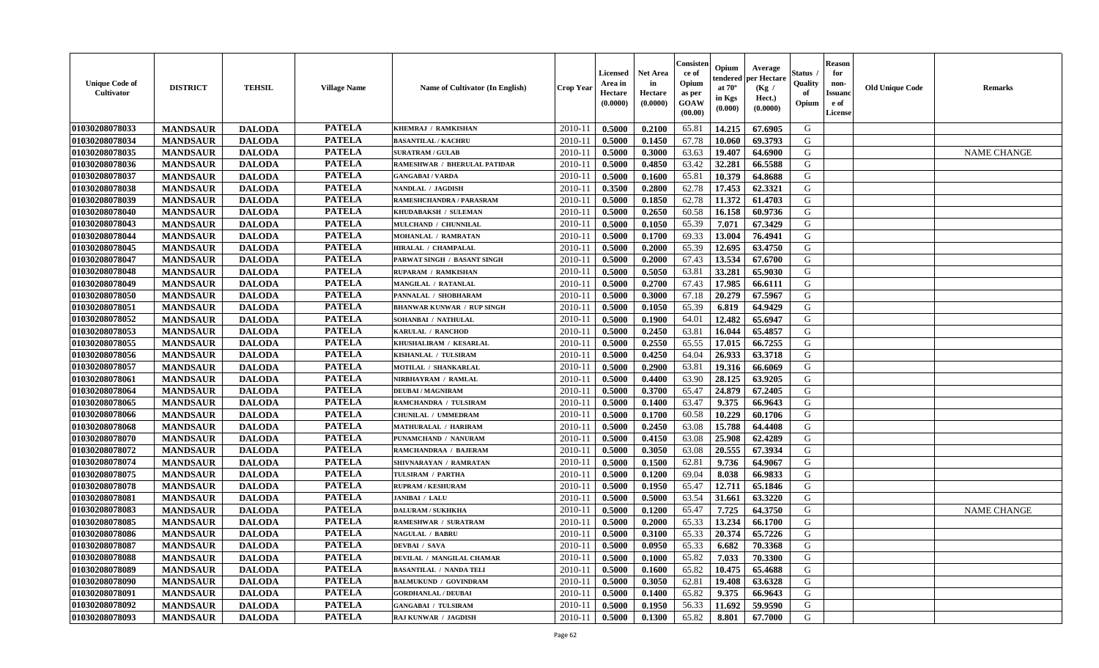| <b>Unique Code of</b><br><b>Cultivator</b> | <b>DISTRICT</b> | <b>TEHSIL</b> | <b>Village Name</b> | Name of Cultivator (In English)   | <b>Crop Year</b> | Licensed<br>Area in<br>Hectare<br>(0.0000) | Net Area<br>in<br>Hectare<br>(0.0000) | Consisteı<br>ce of<br>Opium<br>as per<br>GOAW<br>(00.00) | Opium<br>endered<br>at $70^\circ$<br>in Kgs<br>(0.000) | Average<br>per Hectare<br>(Kg /<br>Hect.)<br>(0.0000) | Status<br>Quality<br>of<br>Opium | <b>Reason</b><br>for<br>non-<br><b>Issuand</b><br>e of<br>License | <b>Old Unique Code</b> | Remarks            |
|--------------------------------------------|-----------------|---------------|---------------------|-----------------------------------|------------------|--------------------------------------------|---------------------------------------|----------------------------------------------------------|--------------------------------------------------------|-------------------------------------------------------|----------------------------------|-------------------------------------------------------------------|------------------------|--------------------|
| 01030208078033                             | <b>MANDSAUR</b> | <b>DALODA</b> | <b>PATELA</b>       | KHEMRAJ / RAMKISHAN               | 2010-11          | 0.5000                                     | 0.2100                                | 65.81                                                    | 14.215                                                 | 67.6905                                               | G                                |                                                                   |                        |                    |
| 01030208078034                             | <b>MANDSAUR</b> | <b>DALODA</b> | <b>PATELA</b>       | <b>BASANTILAL / KACHRU</b>        | $2010 - 11$      | 0.5000                                     | 0.1450                                | 67.78                                                    | 10.060                                                 | 69.3793                                               | G                                |                                                                   |                        |                    |
| 01030208078035                             | <b>MANDSAUR</b> | <b>DALODA</b> | <b>PATELA</b>       | <b>SURATRAM / GULAB</b>           | 2010-11          | 0.5000                                     | 0.3000                                | 63.63                                                    | 19.407                                                 | 64.6900                                               | G                                |                                                                   |                        | <b>NAME CHANGE</b> |
| 01030208078036                             | <b>MANDSAUR</b> | <b>DALODA</b> | <b>PATELA</b>       | RAMESHWAR / BHERULAL PATIDAR      | 2010-11          | 0.5000                                     | 0.4850                                | 63.42                                                    | 32.281                                                 | 66.5588                                               | G                                |                                                                   |                        |                    |
| 01030208078037                             | <b>MANDSAUR</b> | <b>DALODA</b> | <b>PATELA</b>       | <b>GANGABAI/VARDA</b>             | 2010-11          | 0.5000                                     | 0.1600                                | 65.81                                                    | 10.379                                                 | 64.8688                                               | G                                |                                                                   |                        |                    |
| 01030208078038                             | <b>MANDSAUR</b> | <b>DALODA</b> | <b>PATELA</b>       | NANDLAL / JAGDISH                 | $2010 - 11$      | 0.3500                                     | 0.2800                                | 62.78                                                    | 17.453                                                 | 62.3321                                               | G                                |                                                                   |                        |                    |
| 01030208078039                             | <b>MANDSAUR</b> | <b>DALODA</b> | <b>PATELA</b>       | RAMESHCHANDRA / PARASRAM          | $2010 - 11$      | 0.5000                                     | 0.1850                                | 62.78                                                    | 11.372                                                 | 61.4703                                               | G                                |                                                                   |                        |                    |
| 01030208078040                             | <b>MANDSAUR</b> | <b>DALODA</b> | <b>PATELA</b>       | KHUDABAKSH / SULEMAN              | 2010-11          | 0.5000                                     | 0.2650                                | 60.58                                                    | 16.158                                                 | 60.9736                                               | G                                |                                                                   |                        |                    |
| 01030208078043                             | <b>MANDSAUR</b> | <b>DALODA</b> | <b>PATELA</b>       | MULCHAND / CHUNNILAL              | 2010-11          | 0.5000                                     | 0.1050                                | 65.39                                                    | 7.071                                                  | 67.3429                                               | G                                |                                                                   |                        |                    |
| 01030208078044                             | <b>MANDSAUR</b> | <b>DALODA</b> | <b>PATELA</b>       | MOHANLAL / RAMRATAN               | 2010-11          | 0.5000                                     | 0.1700                                | 69.33                                                    | 13.004                                                 | 76.4941                                               | G                                |                                                                   |                        |                    |
| 01030208078045                             | <b>MANDSAUR</b> | <b>DALODA</b> | <b>PATELA</b>       | HIRALAL / CHAMPALAL               | 2010-11          | 0.5000                                     | 0.2000                                | 65.39                                                    | 12.695                                                 | 63.4750                                               | G                                |                                                                   |                        |                    |
| 01030208078047                             | <b>MANDSAUR</b> | <b>DALODA</b> | <b>PATELA</b>       | PARWAT SINGH / BASANT SINGH       | 2010-11          | 0.5000                                     | 0.2000                                | 67.43                                                    | 13.534                                                 | 67.6700                                               | G                                |                                                                   |                        |                    |
| 01030208078048                             | <b>MANDSAUR</b> | <b>DALODA</b> | <b>PATELA</b>       | RUPARAM / RAMKISHAN               | 2010-11          | 0.5000                                     | 0.5050                                | 63.81                                                    | 33.281                                                 | 65.9030                                               | G                                |                                                                   |                        |                    |
| 01030208078049                             | <b>MANDSAUR</b> | <b>DALODA</b> | <b>PATELA</b>       | MANGILAL / RATANLAL               | 2010-11          | 0.5000                                     | 0.2700                                | 67.43                                                    | 17.985                                                 | 66.6111                                               | G                                |                                                                   |                        |                    |
| 01030208078050                             | <b>MANDSAUR</b> | <b>DALODA</b> | <b>PATELA</b>       | PANNALAL / SHOBHARAM              | $2010 - 11$      | 0.5000                                     | 0.3000                                | 67.18                                                    | 20.279                                                 | 67.5967                                               | G                                |                                                                   |                        |                    |
| 01030208078051                             | <b>MANDSAUR</b> | <b>DALODA</b> | <b>PATELA</b>       | <b>BHANWAR KUNWAR / RUP SINGH</b> | $2010 - 11$      | 0.5000                                     | 0.1050                                | 65.39                                                    | 6.819                                                  | 64.9429                                               | G                                |                                                                   |                        |                    |
| 01030208078052                             | <b>MANDSAUR</b> | <b>DALODA</b> | <b>PATELA</b>       | SOHANBAI / NATHULAL               | 2010-11          | 0.5000                                     | 0.1900                                | 64.01                                                    | 12.482                                                 | 65.6947                                               | G                                |                                                                   |                        |                    |
| 01030208078053                             | <b>MANDSAUR</b> | <b>DALODA</b> | <b>PATELA</b>       | KARULAL / RANCHOD                 | 2010-11          | 0.5000                                     | 0.2450                                | 63.81                                                    | 16.044                                                 | 65.4857                                               | G                                |                                                                   |                        |                    |
| 01030208078055                             | <b>MANDSAUR</b> | <b>DALODA</b> | <b>PATELA</b>       | KHUSHALIRAM / KESARLAL            | 2010-11          | 0.5000                                     | 0.2550                                | 65.55                                                    | 17.015                                                 | 66.7255                                               | G                                |                                                                   |                        |                    |
| 01030208078056                             | <b>MANDSAUR</b> | <b>DALODA</b> | <b>PATELA</b>       | KISHANLAL / TULSIRAM              | 2010-11          | 0.5000                                     | 0.4250                                | 64.04                                                    | 26.933                                                 | 63.3718                                               | G                                |                                                                   |                        |                    |
| 01030208078057                             | <b>MANDSAUR</b> | <b>DALODA</b> | <b>PATELA</b>       | MOTILAL / SHANKARLAL              | 2010-11          | 0.5000                                     | 0.2900                                | 63.81                                                    | 19.316                                                 | 66.6069                                               | G                                |                                                                   |                        |                    |
| 01030208078061                             | <b>MANDSAUR</b> | <b>DALODA</b> | <b>PATELA</b>       | NIRBHAYRAM / RAMLAL               | 2010-11          | 0.5000                                     | 0.4400                                | 63.90                                                    | 28.125                                                 | 63.9205                                               | G                                |                                                                   |                        |                    |
| 01030208078064                             | <b>MANDSAUR</b> | <b>DALODA</b> | <b>PATELA</b>       | <b>DEUBAI/MAGNIRAM</b>            | 2010-11          | 0.5000                                     | 0.3700                                | 65.47                                                    | 24.879                                                 | 67.2405                                               | G                                |                                                                   |                        |                    |
| 01030208078065                             | <b>MANDSAUR</b> | <b>DALODA</b> | <b>PATELA</b>       | RAMCHANDRA / TULSIRAM             | 2010-11          | 0.5000                                     | 0.1400                                | 63.47                                                    | 9.375                                                  | 66.9643                                               | G                                |                                                                   |                        |                    |
| 01030208078066                             | <b>MANDSAUR</b> | <b>DALODA</b> | <b>PATELA</b>       | CHUNILAL / UMMEDRAM               | 2010-11          | 0.5000                                     | 0.1700                                | 60.58                                                    | 10.229                                                 | 60.1706                                               | G                                |                                                                   |                        |                    |
| 01030208078068                             | <b>MANDSAUR</b> | <b>DALODA</b> | <b>PATELA</b>       | MATHURALAL / HARIRAM              | 2010-11          | 0.5000                                     | 0.2450                                | 63.08                                                    | 15.788                                                 | 64.4408                                               | G                                |                                                                   |                        |                    |
| 01030208078070                             | <b>MANDSAUR</b> | <b>DALODA</b> | <b>PATELA</b>       | PUNAMCHAND / NANURAM              | 2010-11          | 0.5000                                     | 0.4150                                | 63.08                                                    | 25.908                                                 | 62.4289                                               | G                                |                                                                   |                        |                    |
| 01030208078072                             | <b>MANDSAUR</b> | <b>DALODA</b> | <b>PATELA</b>       | RAMCHANDRAA / BAJERAM             | 2010-11          | 0.5000                                     | 0.3050                                | 63.08                                                    | 20.555                                                 | 67.3934                                               | G                                |                                                                   |                        |                    |
| 01030208078074                             | <b>MANDSAUR</b> | <b>DALODA</b> | <b>PATELA</b>       | SHIVNARAYAN / RAMRATAN            | 2010-11          | 0.5000                                     | 0.1500                                | 62.81                                                    | 9.736                                                  | 64.9067                                               | G                                |                                                                   |                        |                    |
| 01030208078075                             | <b>MANDSAUR</b> | <b>DALODA</b> | <b>PATELA</b>       | TULSIRAM / PARTHA                 | 2010-11          | 0.5000                                     | 0.1200                                | 69.04                                                    | 8.038                                                  | 66.9833                                               | G                                |                                                                   |                        |                    |
| 01030208078078                             | <b>MANDSAUR</b> | <b>DALODA</b> | <b>PATELA</b>       | <b>RUPRAM / KESHURAM</b>          | 2010-11          | 0.5000                                     | 0.1950                                | 65.47                                                    | 12.711                                                 | 65.1846                                               | G                                |                                                                   |                        |                    |
| 01030208078081                             | <b>MANDSAUR</b> | <b>DALODA</b> | <b>PATELA</b>       | <b>JANIBAI / LALU</b>             | 2010-11          | 0.5000                                     | 0.5000                                | 63.54                                                    | 31.661                                                 | 63.3220                                               | G                                |                                                                   |                        |                    |
| 01030208078083                             | <b>MANDSAUR</b> | <b>DALODA</b> | <b>PATELA</b>       | <b>DALURAM / SUKHKHA</b>          | 2010-11          | 0.5000                                     | 0.1200                                | 65.47                                                    | 7.725                                                  | 64.3750                                               | G                                |                                                                   |                        | <b>NAME CHANGE</b> |
| 01030208078085                             | <b>MANDSAUR</b> | <b>DALODA</b> | <b>PATELA</b>       | <b>RAMESHWAR / SURATRAM</b>       | 2010-11          | 0.5000                                     | 0.2000                                | 65.33                                                    | 13.234                                                 | 66.1700                                               | G                                |                                                                   |                        |                    |
| 01030208078086                             | <b>MANDSAUR</b> | <b>DALODA</b> | <b>PATELA</b>       | <b>NAGULAL / BABRU</b>            | 2010-11          | 0.5000                                     | 0.3100                                | 65.33                                                    | 20.374                                                 | 65.7226                                               | G                                |                                                                   |                        |                    |
| 01030208078087                             | <b>MANDSAUR</b> | <b>DALODA</b> | <b>PATELA</b>       | <b>DEVBAI / SAVA</b>              | 2010-11          | 0.5000                                     | 0.0950                                | 65.33                                                    | 6.682                                                  | 70.3368                                               | G                                |                                                                   |                        |                    |
| 01030208078088                             | <b>MANDSAUR</b> | <b>DALODA</b> | <b>PATELA</b>       | DEVILAL / MANGILAL CHAMAR         | 2010-11          | 0.5000                                     | 0.1000                                | 65.82                                                    | 7.033                                                  | 70.3300                                               | G                                |                                                                   |                        |                    |
| 01030208078089                             | <b>MANDSAUR</b> | <b>DALODA</b> | <b>PATELA</b>       | <b>BASANTILAL / NANDA TEL</b>     | 2010-11          | 0.5000                                     | 0.1600                                | 65.82                                                    | 10.475                                                 | 65.4688                                               | G                                |                                                                   |                        |                    |
| 01030208078090                             | <b>MANDSAUR</b> | <b>DALODA</b> | <b>PATELA</b>       | <b>BALMUKUND / GOVINDRAM</b>      | $2010 - 11$      | 0.5000                                     | 0.3050                                | 62.81                                                    | 19.408                                                 | 63.6328                                               | G                                |                                                                   |                        |                    |
| 01030208078091                             | <b>MANDSAUR</b> | <b>DALODA</b> | <b>PATELA</b>       | <b>GORDHANLAL / DEUBAI</b>        | $2010 - 11$      | 0.5000                                     | 0.1400                                | 65.82                                                    | 9.375                                                  | 66.9643                                               | ${\bf G}$                        |                                                                   |                        |                    |
| 01030208078092                             | <b>MANDSAUR</b> | <b>DALODA</b> | <b>PATELA</b>       | <b>GANGABAI / TULSIRAM</b>        | 2010-11          | 0.5000                                     | 0.1950                                | 56.33                                                    | 11.692                                                 | 59.9590                                               | G                                |                                                                   |                        |                    |
| 01030208078093                             | <b>MANDSAUR</b> | <b>DALODA</b> | <b>PATELA</b>       | <b>RAJ KUNWAR / JAGDISH</b>       | 2010-11          | 0.5000                                     | 0.1300                                | 65.82                                                    | 8.801                                                  | 67.7000                                               | G                                |                                                                   |                        |                    |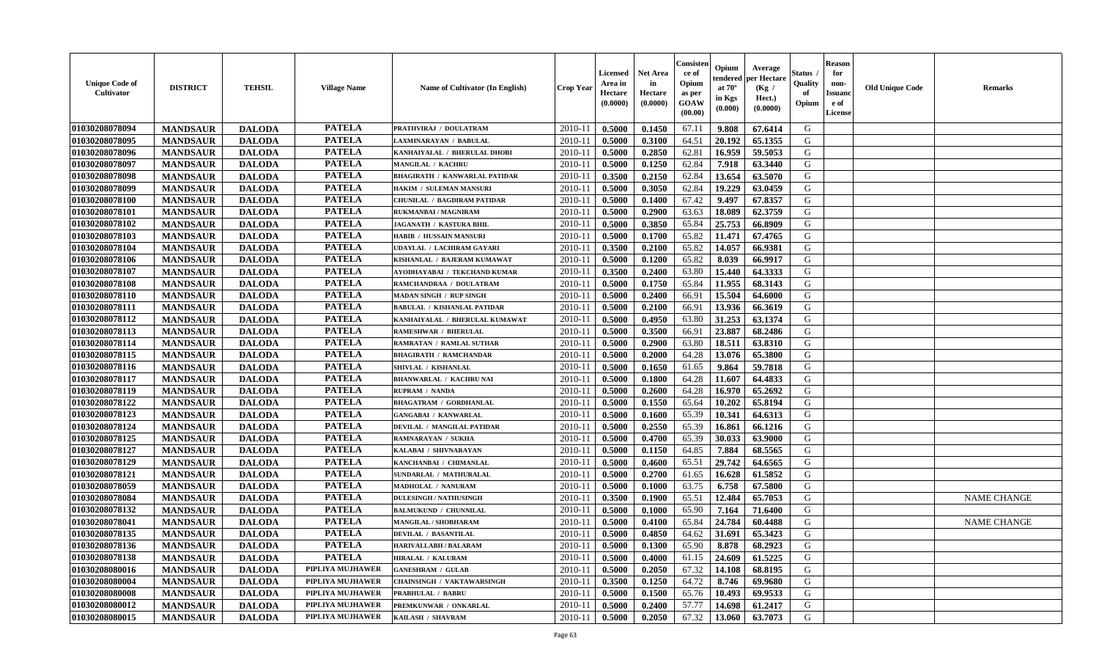| <b>Unique Code of</b><br><b>Cultivator</b> | <b>DISTRICT</b> | <b>TEHSIL</b> | <b>Village Name</b> | Name of Cultivator (In English)      | <b>Crop Year</b> | <b>Licensed</b><br>Area in<br>Hectare<br>(0.0000) | <b>Net Area</b><br>in<br>Hectare<br>(0.0000) | Consisteı<br>ce of<br>Opium<br>as per<br><b>GOAW</b><br>(00.00) | Opium<br>endered<br>at $70^\circ$<br>in Kgs<br>$(\mathbf{0.000})$ | Average<br>per Hectare<br>(Kg /<br>Hect.)<br>(0.0000) | Status<br>Quality<br>of<br>Opium | <b>Reason</b><br>for<br>non-<br>Issuan<br>e of<br><b>License</b> | <b>Old Unique Code</b> | <b>Remarks</b>     |
|--------------------------------------------|-----------------|---------------|---------------------|--------------------------------------|------------------|---------------------------------------------------|----------------------------------------------|-----------------------------------------------------------------|-------------------------------------------------------------------|-------------------------------------------------------|----------------------------------|------------------------------------------------------------------|------------------------|--------------------|
| 01030208078094                             | <b>MANDSAUR</b> | <b>DALODA</b> | <b>PATELA</b>       | PRATHVIRAJ / DOULATRAM               | 2010-11          | 0.5000                                            | 0.1450                                       | 67.11                                                           | 9.808                                                             | 67.6414                                               | G                                |                                                                  |                        |                    |
| 01030208078095                             | <b>MANDSAUR</b> | <b>DALODA</b> | <b>PATELA</b>       | LAXMINARAYAN / BABULAL               | $2010 - 11$      | 0.5000                                            | 0.3100                                       | 64.51                                                           | 20.192                                                            | 65.1355                                               | G                                |                                                                  |                        |                    |
| 01030208078096                             | <b>MANDSAUR</b> | <b>DALODA</b> | <b>PATELA</b>       | KANHAIYALAL / BHERULAL DHOBI         | 2010-11          | 0.5000                                            | 0.2850                                       | 62.81                                                           | 16.959                                                            | 59.5053                                               | G                                |                                                                  |                        |                    |
| 01030208078097                             | <b>MANDSAUR</b> | <b>DALODA</b> | <b>PATELA</b>       | MANGILAL / KACHRU                    | 2010-11          | 0.5000                                            | 0.1250                                       | 62.84                                                           | 7.918                                                             | 63.3440                                               | G                                |                                                                  |                        |                    |
| 01030208078098                             | <b>MANDSAUR</b> | <b>DALODA</b> | <b>PATELA</b>       | <b>BHAGIRATH / KANWARLAL PATIDAR</b> | $2010 - 11$      | 0.3500                                            | 0.2150                                       | 62.84                                                           | 13.654                                                            | 63.5070                                               | G                                |                                                                  |                        |                    |
| 01030208078099                             | <b>MANDSAUR</b> | <b>DALODA</b> | <b>PATELA</b>       | HAKIM / SULEMAN MANSURI              | 2010-11          | 0.5000                                            | 0.3050                                       | 62.84                                                           | 19.229                                                            | 63.0459                                               | G                                |                                                                  |                        |                    |
| 01030208078100                             | <b>MANDSAUR</b> | <b>DALODA</b> | <b>PATELA</b>       | <b>CHUNILAL / BAGDIRAM PATIDAR</b>   | 2010-11          | 0.5000                                            | 0.1400                                       | 67.42                                                           | 9.497                                                             | 67.8357                                               | G                                |                                                                  |                        |                    |
| 01030208078101                             | <b>MANDSAUR</b> | <b>DALODA</b> | <b>PATELA</b>       | RUKMANBAI / MAGNIRAM                 | $2010 - 1$       | 0.5000                                            | 0.2900                                       | 63.63                                                           | 18.089                                                            | 62.3759                                               | G                                |                                                                  |                        |                    |
| 01030208078102                             | <b>MANDSAUR</b> | <b>DALODA</b> | <b>PATELA</b>       | <b>JAGANATH / KASTURA BHIL</b>       | 2010-11          | 0.5000                                            | 0.3850                                       | 65.84                                                           | 25.753                                                            | 66.8909                                               | G                                |                                                                  |                        |                    |
| 01030208078103                             | <b>MANDSAUR</b> | <b>DALODA</b> | <b>PATELA</b>       | HABIB / HUSSAIN MANSURI              | 2010-11          | 0.5000                                            | 0.1700                                       | 65.82                                                           | 11.471                                                            | 67.4765                                               | G                                |                                                                  |                        |                    |
| 01030208078104                             | <b>MANDSAUR</b> | <b>DALODA</b> | <b>PATELA</b>       | UDAYLAL / LACHIRAM GAYARI            | $2010 - 11$      | 0.3500                                            | 0.2100                                       | 65.82                                                           | 14.057                                                            | 66.9381                                               | G                                |                                                                  |                        |                    |
| 01030208078106                             | <b>MANDSAUR</b> | <b>DALODA</b> | <b>PATELA</b>       | KISHANLAL / BAJERAM KUMAWAT          | 2010-11          | 0.5000                                            | 0.1200                                       | 65.82                                                           | 8.039                                                             | 66.9917                                               | G                                |                                                                  |                        |                    |
| 01030208078107                             | <b>MANDSAUR</b> | <b>DALODA</b> | <b>PATELA</b>       | AYODHAYABAI / TEKCHAND KUMAR         | $2010 - 11$      | 0.3500                                            | 0.2400                                       | 63.80                                                           | 15.440                                                            | 64.3333                                               | G                                |                                                                  |                        |                    |
| 01030208078108                             | <b>MANDSAUR</b> | <b>DALODA</b> | <b>PATELA</b>       | RAMCHANDRAA / DOULATRAM              | $2010 - 11$      | 0.5000                                            | 0.1750                                       | 65.84                                                           | 11.955                                                            | 68.3143                                               | G                                |                                                                  |                        |                    |
| 01030208078110                             | <b>MANDSAUR</b> | <b>DALODA</b> | <b>PATELA</b>       | <b>MADAN SINGH / RUP SINGH</b>       | 2010-11          | 0.5000                                            | 0.2400                                       | 66.91                                                           | 15.504                                                            | 64.6000                                               | G                                |                                                                  |                        |                    |
| 01030208078111                             | <b>MANDSAUR</b> | <b>DALODA</b> | <b>PATELA</b>       | <b>BABULAL / KISHANLAL PATIDAR</b>   | 2010-11          | 0.5000                                            | 0.2100                                       | 66.91                                                           | 13.936                                                            | 66.3619                                               | G                                |                                                                  |                        |                    |
| 01030208078112                             | <b>MANDSAUR</b> | <b>DALODA</b> | <b>PATELA</b>       | KANHAIYALAL / BHERULAL KUMAWAT       | 2010-11          | 0.5000                                            | 0.4950                                       | 63.80                                                           | 31.253                                                            | 63.1374                                               | G                                |                                                                  |                        |                    |
| 01030208078113                             | <b>MANDSAUR</b> | <b>DALODA</b> | <b>PATELA</b>       | <b>RAMESHWAR / BHERULAL</b>          | 2010-11          | 0.5000                                            | 0.3500                                       | 66.91                                                           | 23.887                                                            | 68.2486                                               | G                                |                                                                  |                        |                    |
| 01030208078114                             | <b>MANDSAUR</b> | <b>DALODA</b> | <b>PATELA</b>       | <b>RAMRATAN / RAMLAL SUTHAR</b>      | $2010 - 11$      | 0.5000                                            | 0.2900                                       | 63.80                                                           | 18.511                                                            | 63.8310                                               | G                                |                                                                  |                        |                    |
| 01030208078115                             | <b>MANDSAUR</b> | <b>DALODA</b> | <b>PATELA</b>       | <b>BHAGIRATH / RAMCHANDAR</b>        | 2010-11          | 0.5000                                            | 0.2000                                       | 64.28                                                           | 13.076                                                            | 65.3800                                               | G                                |                                                                  |                        |                    |
| 01030208078116                             | <b>MANDSAUR</b> | <b>DALODA</b> | <b>PATELA</b>       | SHIVLAL / KISHANLAL                  | 2010-11          | 0.5000                                            | 0.1650                                       | 61.65                                                           | 9.864                                                             | 59.7818                                               | G                                |                                                                  |                        |                    |
| 01030208078117                             | <b>MANDSAUR</b> | <b>DALODA</b> | <b>PATELA</b>       | <b>BHANWARLAL / KACHRU NAI</b>       | $2010 - 11$      | 0.5000                                            | 0.1800                                       | 64.28                                                           | 11.607                                                            | 64.4833                                               | G                                |                                                                  |                        |                    |
| 01030208078119                             | <b>MANDSAUR</b> | <b>DALODA</b> | <b>PATELA</b>       | RUPRAM / NANDA                       | 2010-11          | 0.5000                                            | 0.2600                                       | 64.28                                                           | 16.970                                                            | 65.2692                                               | G                                |                                                                  |                        |                    |
| 01030208078122                             | <b>MANDSAUR</b> | <b>DALODA</b> | <b>PATELA</b>       | <b>BHAGATRAM / GORDHANLAL</b>        | $2010 - 11$      | 0.5000                                            | 0.1550                                       | 65.64                                                           | 10.202                                                            | 65.8194                                               | G                                |                                                                  |                        |                    |
| 01030208078123                             | <b>MANDSAUR</b> | <b>DALODA</b> | <b>PATELA</b>       | <b>GANGABAI / KANWARLAL</b>          | $2010 - 11$      | 0.5000                                            | 0.1600                                       | 65.39                                                           | 10.341                                                            | 64.6313                                               | G                                |                                                                  |                        |                    |
| 01030208078124                             | <b>MANDSAUR</b> | <b>DALODA</b> | <b>PATELA</b>       | DEVILAL / MANGILAL PATIDAR           | $2010 - 11$      | 0.5000                                            | 0.2550                                       | 65.39                                                           | 16.861                                                            | 66.1216                                               | G                                |                                                                  |                        |                    |
| 01030208078125                             | <b>MANDSAUR</b> | <b>DALODA</b> | <b>PATELA</b>       | RAMNARAYAN / SUKHA                   | 2010-11          | 0.5000                                            | 0.4700                                       | 65.39                                                           | 30.033                                                            | 63.9000                                               | G                                |                                                                  |                        |                    |
| 01030208078127                             | <b>MANDSAUR</b> | <b>DALODA</b> | <b>PATELA</b>       | KALABAI / SHIVNARAYAN                | 2010-11          | 0.5000                                            | 0.1150                                       | 64.85                                                           | 7.884                                                             | 68.5565                                               | G                                |                                                                  |                        |                    |
| 01030208078129                             | <b>MANDSAUR</b> | <b>DALODA</b> | <b>PATELA</b>       | KANCHANBAI / CHIMANLAL               | 2010-11          | 0.5000                                            | 0.4600                                       | 65.51                                                           | 29.742                                                            | 64.6565                                               | G                                |                                                                  |                        |                    |
| 01030208078121                             | <b>MANDSAUR</b> | <b>DALODA</b> | <b>PATELA</b>       | SUNDARLAL / MATHURALAL               | 2010-11          | 0.5000                                            | 0.2700                                       | 61.65                                                           | 16.628                                                            | 61.5852                                               | G                                |                                                                  |                        |                    |
| 01030208078059                             | <b>MANDSAUR</b> | <b>DALODA</b> | <b>PATELA</b>       | <b>MADHOLAL / NANURAM</b>            | 2010-11          | 0.5000                                            | 0.1000                                       | 63.75                                                           | 6.758                                                             | 67.5800                                               | G                                |                                                                  |                        |                    |
| 01030208078084                             | <b>MANDSAUR</b> | <b>DALODA</b> | <b>PATELA</b>       | <b>DULESINGH / NATHUSINGH</b>        | $2010 - 11$      | 0.3500                                            | 0.1900                                       | 65.51                                                           | 12.484                                                            | 65.7053                                               | G                                |                                                                  |                        | <b>NAME CHANGE</b> |
| 01030208078132                             | <b>MANDSAUR</b> | <b>DALODA</b> | <b>PATELA</b>       | <b>BALMUKUND / CHUNNILAL</b>         | 2010-11          | 0.5000                                            | 0.1000                                       | 65.90                                                           | 7.164                                                             | 71.6400                                               | G                                |                                                                  |                        |                    |
| 01030208078041                             | <b>MANDSAUR</b> | <b>DALODA</b> | <b>PATELA</b>       | <b>MANGILAL / SHOBHARAM</b>          | 2010-11          | 0.5000                                            | 0.4100                                       | 65.84                                                           | 24.784                                                            | 60.4488                                               | G                                |                                                                  |                        | <b>NAME CHANGE</b> |
| 01030208078135                             | <b>MANDSAUR</b> | <b>DALODA</b> | <b>PATELA</b>       | <b>DEVILAL / BASANTILAL</b>          | 2010-11          | 0.5000                                            | 0.4850                                       | 64.62                                                           | 31.691                                                            | 65.3423                                               | G                                |                                                                  |                        |                    |
| 01030208078136                             | <b>MANDSAUR</b> | <b>DALODA</b> | PATELA              | <b>HARIVALLABH / BALARAM</b>         | $2010-11$ 0.5000 |                                                   | 0.1300                                       | 65.90                                                           | 8.878                                                             | 68.2923                                               | G                                |                                                                  |                        |                    |
| 01030208078138                             | <b>MANDSAUR</b> | <b>DALODA</b> | <b>PATELA</b>       | <b>HIRALAL / KALURAM</b>             | 2010-11          | 0.5000                                            | 0.4000                                       | 61.15                                                           | 24.609                                                            | 61.5225                                               | G                                |                                                                  |                        |                    |
| 01030208080016                             | <b>MANDSAUR</b> | <b>DALODA</b> | PIPLIYA MUJHAWER    | <b>GANESHRAM / GULAB</b>             | 2010-11          | 0.5000                                            | 0.2050                                       | 67.32                                                           | 14.108                                                            | 68.8195                                               | G                                |                                                                  |                        |                    |
| 01030208080004                             | <b>MANDSAUR</b> | <b>DALODA</b> | PIPLIYA MUJHAWER    | <b>CHAINSINGH / VAKTAWARSINGH</b>    | 2010-11          | 0.3500                                            | 0.1250                                       | 64.72                                                           | 8.746                                                             | 69.9680                                               | G                                |                                                                  |                        |                    |
| 01030208080008                             | <b>MANDSAUR</b> | <b>DALODA</b> | PIPLIYA MUJHAWER    | PRABHULAL / BABRU                    | 2010-11          | 0.5000                                            | 0.1500                                       | 65.76                                                           | 10.493                                                            | 69.9533                                               | G                                |                                                                  |                        |                    |
| 01030208080012                             | <b>MANDSAUR</b> | <b>DALODA</b> | PIPLIYA MUJHAWER    | PREMKUNWAR / ONKARLAL                | 2010-11          | 0.5000                                            | 0.2400                                       | 57.77                                                           | 14.698                                                            | 61.2417                                               | G                                |                                                                  |                        |                    |
| 01030208080015                             | <b>MANDSAUR</b> | <b>DALODA</b> | PIPLIYA MUJHAWER    | KAILASH / SHAVRAM                    | 2010-11          | 0.5000                                            | 0.2050                                       | 67.32                                                           | 13.060                                                            | 63.7073                                               | G                                |                                                                  |                        |                    |
|                                            |                 |               |                     |                                      |                  |                                                   |                                              |                                                                 |                                                                   |                                                       |                                  |                                                                  |                        |                    |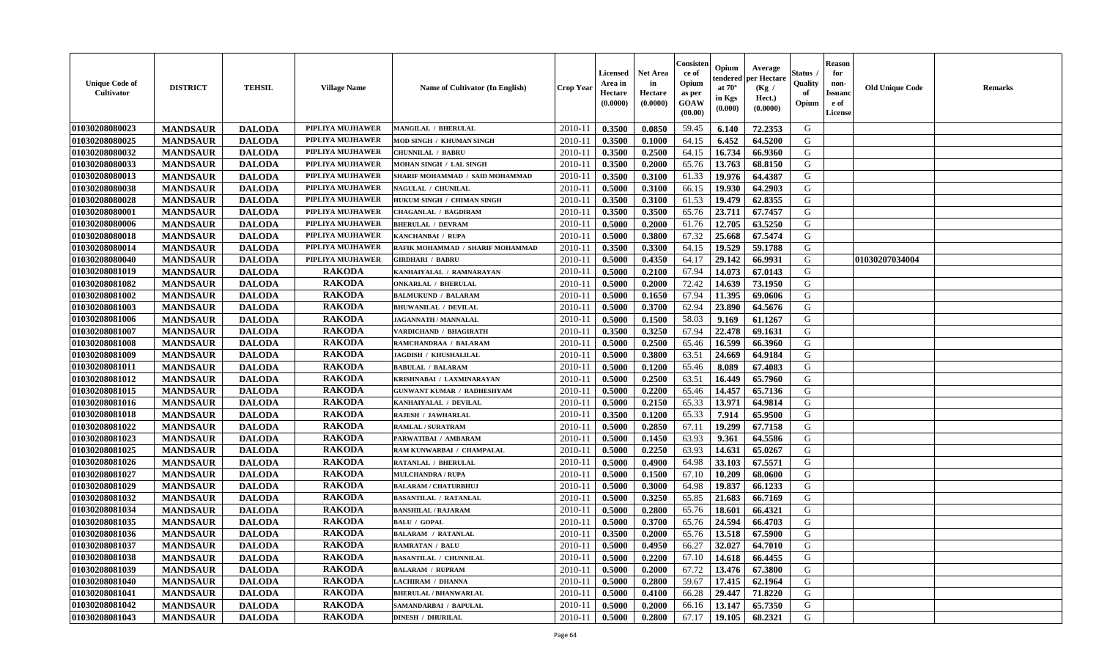| <b>Unique Code of</b><br><b>Cultivator</b> | <b>DISTRICT</b> | <b>TEHSIL</b> | <b>Village Name</b> | Name of Cultivator (In English)   | <b>Crop Year</b> | <b>Licensed</b><br>Area in<br>Hectare<br>(0.0000) | <b>Net Area</b><br>in<br>Hectare<br>(0.0000) | Consister<br>ce of<br>Opium<br>as per<br><b>GOAW</b><br>(00.00) | Opium<br>endered<br>at $70^\circ$<br>in Kgs<br>(0.000) | Average<br>per Hectare<br>(Kg /<br>Hect.)<br>(0.0000) | Status<br>Quality<br>of<br>Opium | <b>Reason</b><br>for<br>non-<br><b>Issuand</b><br>e of<br><b>License</b> | <b>Old Unique Code</b> | <b>Remarks</b> |
|--------------------------------------------|-----------------|---------------|---------------------|-----------------------------------|------------------|---------------------------------------------------|----------------------------------------------|-----------------------------------------------------------------|--------------------------------------------------------|-------------------------------------------------------|----------------------------------|--------------------------------------------------------------------------|------------------------|----------------|
| 01030208080023                             | <b>MANDSAUR</b> | <b>DALODA</b> | PIPLIYA MUJHAWER    | <b>MANGILAL / BHERULAL</b>        | 2010-11          | 0.3500                                            | 0.0850                                       | 59.45                                                           | 6.140                                                  | 72.2353                                               | G                                |                                                                          |                        |                |
| 01030208080025                             | <b>MANDSAUR</b> | <b>DALODA</b> | PIPLIYA MUJHAWER    | MOD SINGH / KHUMAN SINGH          | 2010-11          | 0.3500                                            | 0.1000                                       | 64.15                                                           | 6.452                                                  | 64.5200                                               | G                                |                                                                          |                        |                |
| 01030208080032                             | <b>MANDSAUR</b> | <b>DALODA</b> | PIPLIYA MUJHAWER    | <b>CHUNNILAL / BABRU</b>          | 2010-11          | 0.3500                                            | 0.2500                                       | 64.15                                                           | 16.734                                                 | 66.9360                                               | G                                |                                                                          |                        |                |
| 01030208080033                             | <b>MANDSAUR</b> | <b>DALODA</b> | PIPLIYA MUJHAWER    | MOHAN SINGH / LAL SINGH           | 2010-11          | 0.3500                                            | 0.2000                                       | 65.76                                                           | 13.763                                                 | 68.8150                                               | G                                |                                                                          |                        |                |
| 01030208080013                             | <b>MANDSAUR</b> | <b>DALODA</b> | PIPLIYA MUJHAWER    | SHARIF MOHAMMAD / SAID MOHAMMAD   | 2010-11          | 0.3500                                            | 0.3100                                       | 61.33                                                           | 19.976                                                 | 64.4387                                               | G                                |                                                                          |                        |                |
| 01030208080038                             | <b>MANDSAUR</b> | <b>DALODA</b> | PIPLIYA MUJHAWER    | <b>NAGULAL / CHUNILAL</b>         | $2010 - 11$      | 0.5000                                            | 0.3100                                       | 66.15                                                           | 19.930                                                 | 64.2903                                               | G                                |                                                                          |                        |                |
| 01030208080028                             | <b>MANDSAUR</b> | <b>DALODA</b> | PIPLIYA MUJHAWER    | <b>HUKUM SINGH / CHIMAN SINGH</b> | 2010-11          | 0.3500                                            | 0.3100                                       | 61.53                                                           | 19.479                                                 | 62.8355                                               | $\mathbf G$                      |                                                                          |                        |                |
| 01030208080001                             | <b>MANDSAUR</b> | <b>DALODA</b> | PIPLIYA MUJHAWER    | <b>CHAGANLAL / BAGDIRAM</b>       | 2010-11          | 0.3500                                            | 0.3500                                       | 65.76                                                           | 23.711                                                 | 67.7457                                               | G                                |                                                                          |                        |                |
| 01030208080006                             | <b>MANDSAUR</b> | <b>DALODA</b> | PIPLIYA MUJHAWER    | <b>BHERULAL / DEVRAM</b>          | 2010-11          | 0.5000                                            | 0.2000                                       | 61.76                                                           | 12.705                                                 | 63.5250                                               | G                                |                                                                          |                        |                |
| 01030208080018                             | <b>MANDSAUR</b> | <b>DALODA</b> | PIPLIYA MUJHAWER    | KANCHANBAI / RUPA                 | 2010-11          | 0.5000                                            | 0.3800                                       | 67.32                                                           | 25.668                                                 | 67.5474                                               | G                                |                                                                          |                        |                |
| 01030208080014                             | <b>MANDSAUR</b> | <b>DALODA</b> | PIPLIYA MUJHAWER    | RAFIK MOHAMMAD / SHARIF MOHAMMAD  | $2010 - 11$      | 0.3500                                            | 0.3300                                       | 64.15                                                           | 19.529                                                 | 59.1788                                               | G                                |                                                                          |                        |                |
| 01030208080040                             | <b>MANDSAUR</b> | <b>DALODA</b> | PIPLIYA MUJHAWER    | <b>GIRDHARI / BABRU</b>           | 2010-11          | 0.5000                                            | 0.4350                                       | 64.17                                                           | 29.142                                                 | 66.9931                                               | G                                |                                                                          | 01030207034004         |                |
| 01030208081019                             | <b>MANDSAUR</b> | <b>DALODA</b> | <b>RAKODA</b>       | KANHAIYALAL / RAMNARAYAN          | 2010-11          | 0.5000                                            | 0.2100                                       | 67.94                                                           | 14.073                                                 | 67.0143                                               | G                                |                                                                          |                        |                |
| 01030208081082                             | <b>MANDSAUR</b> | <b>DALODA</b> | <b>RAKODA</b>       | <b>ONKARLAL / BHERULAL</b>        | 2010-11          | 0.5000                                            | 0.2000                                       | 72.42                                                           | 14.639                                                 | 73.1950                                               | G                                |                                                                          |                        |                |
| 01030208081002                             | <b>MANDSAUR</b> | <b>DALODA</b> | <b>RAKODA</b>       | <b>BALMUKUND / BALARAM</b>        | $2010 - 11$      | 0.5000                                            | 0.1650                                       | 67.94                                                           | 11.395                                                 | 69.0606                                               | ${\bf G}$                        |                                                                          |                        |                |
| 01030208081003                             | <b>MANDSAUR</b> | <b>DALODA</b> | <b>RAKODA</b>       | <b>BHUWANILAL / DEVILAL</b>       | 2010-11          | 0.5000                                            | 0.3700                                       | 62.94                                                           | 23.890                                                 | 64.5676                                               | G                                |                                                                          |                        |                |
| 01030208081006                             | <b>MANDSAUR</b> | <b>DALODA</b> | <b>RAKODA</b>       | <b>JAGANNATH / MANNALAL</b>       | 2010-11          | 0.5000                                            | 0.1500                                       | 58.03                                                           | 9.169                                                  | 61.1267                                               | G                                |                                                                          |                        |                |
| 01030208081007                             | <b>MANDSAUR</b> | <b>DALODA</b> | <b>RAKODA</b>       | VARDICHAND / BHAGIRATH            | 2010-11          | 0.3500                                            | 0.3250                                       | 67.94                                                           | 22.478                                                 | 69.1631                                               | G                                |                                                                          |                        |                |
| 01030208081008                             | <b>MANDSAUR</b> | <b>DALODA</b> | <b>RAKODA</b>       | RAMCHANDRAA / BALARAM             | 2010-11          | 0.5000                                            | 0.2500                                       | 65.46                                                           | 16.599                                                 | 66.3960                                               | G                                |                                                                          |                        |                |
| 01030208081009                             | <b>MANDSAUR</b> | <b>DALODA</b> | <b>RAKODA</b>       | <b>JAGDISH / KHUSHALILAL</b>      | 2010-11          | 0.5000                                            | 0.3800                                       | 63.51                                                           | 24.669                                                 | 64.9184                                               | G                                |                                                                          |                        |                |
| 01030208081011                             | <b>MANDSAUR</b> | <b>DALODA</b> | <b>RAKODA</b>       | <b>BABULAL / BALARAM</b>          | 2010-11          | 0.5000                                            | 0.1200                                       | 65.46                                                           | 8.089                                                  | 67.4083                                               | G                                |                                                                          |                        |                |
| 01030208081012                             | <b>MANDSAUR</b> | <b>DALODA</b> | <b>RAKODA</b>       | KRISHNABAI / LAXMINARAYAN         | 2010-11          | 0.5000                                            | 0.2500                                       | 63.51                                                           | 16.449                                                 | 65.7960                                               | G                                |                                                                          |                        |                |
| 01030208081015                             | <b>MANDSAUR</b> | <b>DALODA</b> | <b>RAKODA</b>       | <b>GUNWANT KUMAR / RADHESHYAM</b> | $2010 - 1$       | 0.5000                                            | 0.2200                                       | 65.46                                                           | 14.457                                                 | 65.7136                                               | G                                |                                                                          |                        |                |
| 01030208081016                             | <b>MANDSAUR</b> | <b>DALODA</b> | <b>RAKODA</b>       | KANHAIYALAL / DEVILAL             | 2010-11          | 0.5000                                            | 0.2150                                       | 65.33                                                           | 13.971                                                 | 64.9814                                               | G                                |                                                                          |                        |                |
| 01030208081018                             | <b>MANDSAUR</b> | <b>DALODA</b> | <b>RAKODA</b>       | <b>RAJESH / JAWHARLAL</b>         | 2010-11          | 0.3500                                            | 0.1200                                       | 65.33                                                           | 7.914                                                  | 65.9500                                               | G                                |                                                                          |                        |                |
| 01030208081022                             | <b>MANDSAUR</b> | <b>DALODA</b> | <b>RAKODA</b>       | <b>RAMLAL / SURATRAM</b>          | 2010-11          | 0.5000                                            | 0.2850                                       | 67.11                                                           | 19.299                                                 | 67.7158                                               | G                                |                                                                          |                        |                |
| 01030208081023                             | <b>MANDSAUR</b> | <b>DALODA</b> | <b>RAKODA</b>       | PARWATIBAI / AMBARAM              | 2010-11          | 0.5000                                            | 0.1450                                       | 63.93                                                           | 9.361                                                  | 64.5586                                               | G                                |                                                                          |                        |                |
| 01030208081025                             | <b>MANDSAUR</b> | <b>DALODA</b> | <b>RAKODA</b>       | RAM KUNWARBAI / CHAMPALAL         | 2010-11          | 0.5000                                            | 0.2250                                       | 63.93                                                           | 14.631                                                 | 65.0267                                               | G                                |                                                                          |                        |                |
| 01030208081026                             | <b>MANDSAUR</b> | <b>DALODA</b> | <b>RAKODA</b>       | <b>RATANLAL / BHERULAL</b>        | 2010-11          | 0.5000                                            | 0.4900                                       | 64.98                                                           | 33.103                                                 | 67.5571                                               | G                                |                                                                          |                        |                |
| 01030208081027                             | <b>MANDSAUR</b> | <b>DALODA</b> | <b>RAKODA</b>       | <b>MULCHANDRA / RUPA</b>          | 2010-11          | 0.5000                                            | 0.1500                                       | 67.10                                                           | 10.209                                                 | 68.0600                                               | G                                |                                                                          |                        |                |
| 01030208081029                             | <b>MANDSAUR</b> | <b>DALODA</b> | <b>RAKODA</b>       | <b>BALARAM / CHATURBHUJ</b>       | $2010 - 11$      | 0.5000                                            | 0.3000                                       | 64.98                                                           | 19.837                                                 | 66.1233                                               | $\mathbf G$                      |                                                                          |                        |                |
| 01030208081032                             | <b>MANDSAUR</b> | <b>DALODA</b> | <b>RAKODA</b>       | <b>BASANTILAL / RATANLAL</b>      | $2010 - 11$      | 0.5000                                            | 0.3250                                       | 65.85                                                           | 21.683                                                 | 66.7169                                               | G                                |                                                                          |                        |                |
| 01030208081034                             | <b>MANDSAUR</b> | <b>DALODA</b> | <b>RAKODA</b>       | <b>BANSHILAL / RAJARAM</b>        | 2010-11          | 0.5000                                            | 0.2800                                       | 65.76                                                           | 18.601                                                 | 66.4321                                               | G                                |                                                                          |                        |                |
| 01030208081035                             | <b>MANDSAUR</b> | <b>DALODA</b> | <b>RAKODA</b>       | <b>BALU / GOPAL</b>               | 2010-11          | 0.5000                                            | 0.3700                                       | 65.76                                                           | 24.594                                                 | 66.4703                                               | G                                |                                                                          |                        |                |
| 01030208081036                             | <b>MANDSAUR</b> | <b>DALODA</b> | <b>RAKODA</b>       | <b>BALARAM / RATANLAL</b>         | 2010-11          | 0.3500                                            | 0.2000                                       | 65.76                                                           | 13.518                                                 | 67.5900                                               | G                                |                                                                          |                        |                |
| 01030208081037                             | <b>MANDSAUR</b> | <b>DALODA</b> | <b>RAKODA</b>       | <b>RAMRATAN / BALU</b>            | 2010-11          | 0.5000                                            | 0.4950                                       | 66.27                                                           | 32.027                                                 | 64.7010                                               | G                                |                                                                          |                        |                |
| 01030208081038                             | <b>MANDSAUR</b> | <b>DALODA</b> | <b>RAKODA</b>       | <b>BASANTILAL / CHUNNILAL</b>     | 2010-11          | 0.5000                                            | 0.2200                                       | 67.10                                                           | 14.618                                                 | 66.4455                                               | G                                |                                                                          |                        |                |
| 01030208081039                             | <b>MANDSAUR</b> | <b>DALODA</b> | <b>RAKODA</b>       | <b>BALARAM / RUPRAM</b>           | 2010-11          | 0.5000                                            | 0.2000                                       | 67.72                                                           | 13.476                                                 | 67.3800                                               | G                                |                                                                          |                        |                |
| 01030208081040                             | <b>MANDSAUR</b> | <b>DALODA</b> | <b>RAKODA</b>       | LACHIRAM / DHANNA                 | 2010-11          | 0.5000                                            | 0.2800                                       | 59.67                                                           | 17.415                                                 | 62.1964                                               | G                                |                                                                          |                        |                |
| 01030208081041                             | <b>MANDSAUR</b> | <b>DALODA</b> | <b>RAKODA</b>       | <b>BHERULAL / BHANWARLAL</b>      | $2010 - 11$      | 0.5000                                            | 0.4100                                       | 66.28                                                           | 29,447                                                 | 71.8220                                               | G                                |                                                                          |                        |                |
| 01030208081042                             | <b>MANDSAUR</b> | <b>DALODA</b> | <b>RAKODA</b>       | SAMANDARBAI / BAPULAL             | 2010-11          | 0.5000                                            | 0.2000                                       | 66.16                                                           | 13.147                                                 | 65.7350                                               | G                                |                                                                          |                        |                |
| 01030208081043                             | <b>MANDSAUR</b> | <b>DALODA</b> | <b>RAKODA</b>       | <b>DINESH / DHURILAL</b>          | 2010-11          | 0.5000                                            | 0.2800                                       | 67.17                                                           | 19.105                                                 | 68.2321                                               | G                                |                                                                          |                        |                |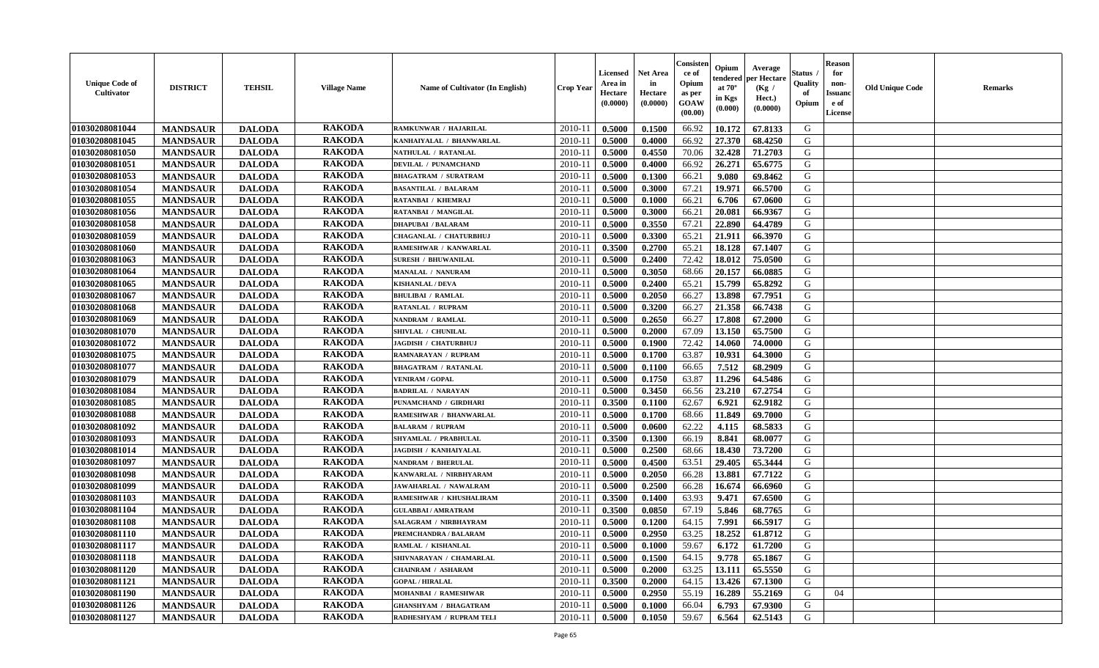| <b>Unique Code of</b><br><b>Cultivator</b> | <b>DISTRICT</b> | <b>TEHSIL</b> | <b>Village Name</b> | <b>Name of Cultivator (In English)</b> | <b>Crop Year</b> | Licensed<br>Area in<br>Hectare<br>(0.0000) | <b>Net Area</b><br>in<br>Hectare<br>(0.0000) | Consister<br>ce of<br>Opium<br>as per<br>GOAW<br>(00.00) | Opium<br>endered<br>at $70^\circ$<br>in Kgs<br>(0.000) | Average<br>per Hectare<br>(Kg /<br>Hect.)<br>(0.0000) | Status<br>Quality<br>of<br>Opium | <b>Reason</b><br>for<br>non-<br><b>Issuanc</b><br>e of<br><b>License</b> | <b>Old Unique Code</b> | <b>Remarks</b> |
|--------------------------------------------|-----------------|---------------|---------------------|----------------------------------------|------------------|--------------------------------------------|----------------------------------------------|----------------------------------------------------------|--------------------------------------------------------|-------------------------------------------------------|----------------------------------|--------------------------------------------------------------------------|------------------------|----------------|
| 01030208081044                             | <b>MANDSAUR</b> | <b>DALODA</b> | <b>RAKODA</b>       | RAMKUNWAR / HAJARILAL                  | 2010-11          | 0.5000                                     | 0.1500                                       | 66.92                                                    | 10.172                                                 | 67.8133                                               | G                                |                                                                          |                        |                |
| 01030208081045                             | <b>MANDSAUR</b> | <b>DALODA</b> | <b>RAKODA</b>       | KANHAIYALAL / BHANWARLAL               | 2010-11          | 0.5000                                     | 0.4000                                       | 66.92                                                    | 27.370                                                 | 68.4250                                               | G                                |                                                                          |                        |                |
| 01030208081050                             | <b>MANDSAUR</b> | <b>DALODA</b> | <b>RAKODA</b>       | NATHULAL / RATANLAL                    | $2010 - 11$      | 0.5000                                     | 0.4550                                       | 70.06                                                    | 32.428                                                 | 71.2703                                               | G                                |                                                                          |                        |                |
| 01030208081051                             | <b>MANDSAUR</b> | <b>DALODA</b> | <b>RAKODA</b>       | <b>DEVILAL / PUNAMCHAND</b>            | 2010-11          | 0.5000                                     | 0.4000                                       | 66.92                                                    | 26.271                                                 | 65.6775                                               | G                                |                                                                          |                        |                |
| 01030208081053                             | <b>MANDSAUR</b> | <b>DALODA</b> | <b>RAKODA</b>       | <b>BHAGATRAM / SURATRAM</b>            | $2010 - 1$       | 0.5000                                     | 0.1300                                       | 66.21                                                    | 9.080                                                  | 69.8462                                               | G                                |                                                                          |                        |                |
| 01030208081054                             | <b>MANDSAUR</b> | <b>DALODA</b> | <b>RAKODA</b>       | <b>BASANTILAL / BALARAM</b>            | $2010 - 1$       | 0.5000                                     | 0.3000                                       | 67.21                                                    | 19.971                                                 | 66.5700                                               | G                                |                                                                          |                        |                |
| 01030208081055                             | <b>MANDSAUR</b> | <b>DALODA</b> | <b>RAKODA</b>       | RATANBAI / KHEMRAJ                     | $2010 - 1$       | 0.5000                                     | 0.1000                                       | 66.21                                                    | 6.706                                                  | 67.0600                                               | G                                |                                                                          |                        |                |
| 01030208081056                             | <b>MANDSAUR</b> | <b>DALODA</b> | <b>RAKODA</b>       | RATANBAI / MANGILAL                    | $2010 - 1$       | 0.5000                                     | 0.3000                                       | 66.21                                                    | 20.081                                                 | 66.9367                                               | G                                |                                                                          |                        |                |
| 01030208081058                             | <b>MANDSAUR</b> | <b>DALODA</b> | <b>RAKODA</b>       | <b>DHAPUBAI / BALARAM</b>              | 2010-11          | 0.5000                                     | 0.3550                                       | 67.21                                                    | 22.890                                                 | 64.4789                                               | G                                |                                                                          |                        |                |
| 01030208081059                             | <b>MANDSAUR</b> | <b>DALODA</b> | <b>RAKODA</b>       | CHAGANLAL / CHATURBHUJ                 | 2010-11          | 0.5000                                     | 0.3300                                       | 65.21                                                    | 21.911                                                 | 66.3970                                               | G                                |                                                                          |                        |                |
| 01030208081060                             | <b>MANDSAUR</b> | <b>DALODA</b> | <b>RAKODA</b>       | RAMESHWAR / KANWARLAL                  | $2010 - 11$      | 0.3500                                     | 0.2700                                       | 65.21                                                    | 18.128                                                 | 67.1407                                               | G                                |                                                                          |                        |                |
| 01030208081063                             | <b>MANDSAUR</b> | <b>DALODA</b> | <b>RAKODA</b>       | <b>SURESH / BHUWANILAL</b>             | 2010-11          | 0.5000                                     | 0.2400                                       | 72.42                                                    | 18.012                                                 | 75.0500                                               | G                                |                                                                          |                        |                |
| 01030208081064                             | <b>MANDSAUR</b> | <b>DALODA</b> | <b>RAKODA</b>       | <b>MANALAL / NANURAM</b>               | $2010 - 11$      | 0.5000                                     | 0.3050                                       | 68.66                                                    | 20.157                                                 | 66.0885                                               | G                                |                                                                          |                        |                |
| 01030208081065                             | <b>MANDSAUR</b> | <b>DALODA</b> | <b>RAKODA</b>       | <b>KISHANLAL / DEVA</b>                | 2010-1           | 0.5000                                     | 0.2400                                       | 65.21                                                    | 15.799                                                 | 65.8292                                               | G                                |                                                                          |                        |                |
| 01030208081067                             | <b>MANDSAUR</b> | <b>DALODA</b> | <b>RAKODA</b>       | <b>BHULIBAI / RAMLAL</b>               | 2010-11          | 0.5000                                     | 0.2050                                       | 66.27                                                    | 13.898                                                 | 67.7951                                               | G                                |                                                                          |                        |                |
| 01030208081068                             | <b>MANDSAUR</b> | <b>DALODA</b> | <b>RAKODA</b>       | <b>RATANLAL / RUPRAM</b>               | 2010-11          | 0.5000                                     | 0.3200                                       | 66.27                                                    | 21.358                                                 | 66.7438                                               | G                                |                                                                          |                        |                |
| 01030208081069                             | <b>MANDSAUR</b> | <b>DALODA</b> | <b>RAKODA</b>       | NANDRAM / RAMLAL                       | 2010-11          | 0.5000                                     | 0.2650                                       | 66.27                                                    | 17.808                                                 | 67.2000                                               | G                                |                                                                          |                        |                |
| 01030208081070                             | <b>MANDSAUR</b> | <b>DALODA</b> | <b>RAKODA</b>       | SHIVLAL / CHUNILAL                     | $2010 - 11$      | 0.5000                                     | 0.2000                                       | 67.09                                                    | 13.150                                                 | 65.7500                                               | G                                |                                                                          |                        |                |
| 01030208081072                             | <b>MANDSAUR</b> | <b>DALODA</b> | <b>RAKODA</b>       | JAGDISH / CHATURBHUJ                   | $2010 - 11$      | 0.5000                                     | 0.1900                                       | 72.42                                                    | 14.060                                                 | 74.0000                                               | G                                |                                                                          |                        |                |
| 01030208081075                             | <b>MANDSAUR</b> | <b>DALODA</b> | <b>RAKODA</b>       | <b>RAMNARAYAN / RUPRAM</b>             | 2010-11          | 0.5000                                     | 0.1700                                       | 63.87                                                    | 10.931                                                 | 64.3000                                               | G                                |                                                                          |                        |                |
| 01030208081077                             | <b>MANDSAUR</b> | <b>DALODA</b> | <b>RAKODA</b>       | <b>BHAGATRAM / RATANLAL</b>            | 2010-11          | 0.5000                                     | 0.1100                                       | 66.65                                                    | 7.512                                                  | 68.2909                                               | G                                |                                                                          |                        |                |
| 01030208081079                             | <b>MANDSAUR</b> | <b>DALODA</b> | <b>RAKODA</b>       | <b>VENIRAM / GOPAL</b>                 | 2010-1           | 0.5000                                     | 0.1750                                       | 63.87                                                    | 11.296                                                 | 64.5486                                               | G                                |                                                                          |                        |                |
| 01030208081084                             | <b>MANDSAUR</b> | <b>DALODA</b> | <b>RAKODA</b>       | <b>BADRILAL / NARAYAN</b>              | 2010-1           | 0.5000                                     | 0.3450                                       | 66.56                                                    | 23.210                                                 | 67.2754                                               | G                                |                                                                          |                        |                |
| 01030208081085                             | <b>MANDSAUR</b> | <b>DALODA</b> | <b>RAKODA</b>       | PUNAMCHAND / GIRDHARI                  | 2010-11          | 0.3500                                     | 0.1100                                       | 62.67                                                    | 6.921                                                  | 62.9182                                               | G                                |                                                                          |                        |                |
| 01030208081088                             | <b>MANDSAUR</b> | <b>DALODA</b> | <b>RAKODA</b>       | RAMESHWAR / BHANWARLAL                 | 2010-11          | 0.5000                                     | 0.1700                                       | 68.66                                                    | 11.849                                                 | 69.7000                                               | G                                |                                                                          |                        |                |
| 01030208081092                             | <b>MANDSAUR</b> | <b>DALODA</b> | <b>RAKODA</b>       | <b>BALARAM / RUPRAM</b>                | $2010 - 11$      | 0.5000                                     | 0.0600                                       | 62.22                                                    | 4.115                                                  | 68.5833                                               | G                                |                                                                          |                        |                |
| 01030208081093                             | <b>MANDSAUR</b> | <b>DALODA</b> | <b>RAKODA</b>       | SHYAMLAL / PRABHULAL                   | 2010-11          | 0.3500                                     | 0.1300                                       | 66.19                                                    | 8.841                                                  | 68.0077                                               | G                                |                                                                          |                        |                |
| 01030208081014                             | <b>MANDSAUR</b> | <b>DALODA</b> | <b>RAKODA</b>       | JAGDISH / KANHAIYALAL                  | 2010-11          | 0.5000                                     | 0.2500                                       | 68.66                                                    | 18.430                                                 | 73.7200                                               | G                                |                                                                          |                        |                |
| 01030208081097                             | <b>MANDSAUR</b> | <b>DALODA</b> | <b>RAKODA</b>       | NANDRAM / BHERULAL                     | 2010-11          | 0.5000                                     | 0.4500                                       | 63.51                                                    | 29.405                                                 | 65.3444                                               | G                                |                                                                          |                        |                |
| 01030208081098                             | <b>MANDSAUR</b> | <b>DALODA</b> | <b>RAKODA</b>       | KANWARLAL / NIRBHYARAM                 | $2010 - 1$       | 0.5000                                     | 0.2050                                       | 66.28                                                    | 13.881                                                 | 67.7122                                               | G                                |                                                                          |                        |                |
| 01030208081099                             | <b>MANDSAUR</b> | <b>DALODA</b> | <b>RAKODA</b>       | JAWAHARLAL / NAWALRAM                  | 2010-1           | 0.5000                                     | 0.2500                                       | 66.28                                                    | 16.674                                                 | 66.6960                                               | G                                |                                                                          |                        |                |
| 01030208081103                             | <b>MANDSAUR</b> | <b>DALODA</b> | <b>RAKODA</b>       | RAMESHWAR / KHUSHALIRAM                | $2010 - 1$       | 0.3500                                     | 0.1400                                       | 63.93                                                    | 9.471                                                  | 67.6500                                               | G                                |                                                                          |                        |                |
| 01030208081104                             | <b>MANDSAUR</b> | <b>DALODA</b> | <b>RAKODA</b>       | <b>GULABBAI/AMRATRAM</b>               | 2010-11          | 0.3500                                     | 0.0850                                       | 67.19                                                    | 5.846                                                  | 68.7765                                               | G                                |                                                                          |                        |                |
| 01030208081108                             | <b>MANDSAUR</b> | <b>DALODA</b> | <b>RAKODA</b>       | SALAGRAM / NIRBHAYRAM                  | 2010-11          | 0.5000                                     | 0.1200                                       | 64.15                                                    | 7.991                                                  | 66.5917                                               | G                                |                                                                          |                        |                |
| 01030208081110                             | <b>MANDSAUR</b> | <b>DALODA</b> | <b>RAKODA</b>       | PREMCHANDRA / BALARAM                  | 2010-11          | 0.5000                                     | 0.2950                                       | 63.25                                                    | 18.252                                                 | 61.8712                                               | G                                |                                                                          |                        |                |
| 01030208081117                             | <b>MANDSAUR</b> | <b>DALODA</b> | <b>RAKODA</b>       | RAMLAL / KISHANLAL                     | 2010-11          | 0.5000                                     | 0.1000                                       | 59.67                                                    | 6.172                                                  | 61.7200                                               | G                                |                                                                          |                        |                |
| 01030208081118                             | <b>MANDSAUR</b> | <b>DALODA</b> | <b>RAKODA</b>       | SHIVNARAYAN / CHAMARLAL                | 2010-11          | 0.5000                                     | 0.1500                                       | 64.15                                                    | 9.778                                                  | 65.1867                                               | G                                |                                                                          |                        |                |
| 01030208081120                             | <b>MANDSAUR</b> | <b>DALODA</b> | <b>RAKODA</b>       | <b>CHAINRAM / ASHARAM</b>              | $2010 - 11$      | 0.5000                                     | 0.2000                                       | 63.25                                                    | 13.111                                                 | 65.5550                                               | G                                |                                                                          |                        |                |
| 01030208081121                             | <b>MANDSAUR</b> | <b>DALODA</b> | <b>RAKODA</b>       | <b>GOPAL / HIRALAL</b>                 | $2010-1$         | 0.3500                                     | 0.2000                                       | 64.15                                                    | 13.426                                                 | 67.1300                                               | G                                |                                                                          |                        |                |
| 01030208081190                             | <b>MANDSAUR</b> | <b>DALODA</b> | <b>RAKODA</b>       | MOHANBAI / RAMESHWAR                   | 2010-1           | 0.5000                                     | 0.2950                                       | 55.19                                                    | 16.289                                                 | 55.2169                                               | G                                | 04                                                                       |                        |                |
| 01030208081126                             | <b>MANDSAUR</b> | <b>DALODA</b> | <b>RAKODA</b>       | <b>GHANSHYAM / BHAGATRAM</b>           | 2010-11          | 0.5000                                     | 0.1000                                       | 66.04                                                    | 6.793                                                  | 67.9300                                               | G                                |                                                                          |                        |                |
| 01030208081127                             | <b>MANDSAUR</b> | <b>DALODA</b> | <b>RAKODA</b>       | RADHESHYAM / RUPRAM TELI               | 2010-11          | 0.5000                                     | 0.1050                                       | 59.67                                                    | 6.564                                                  | 62.5143                                               | G                                |                                                                          |                        |                |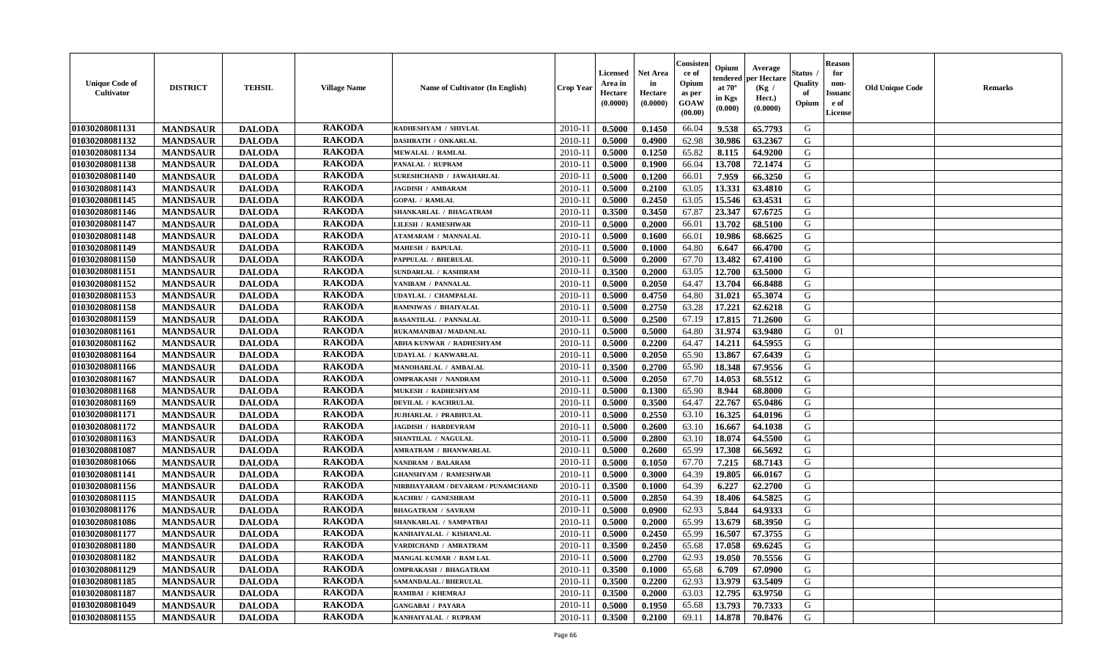| <b>Unique Code of</b><br><b>Cultivator</b> | <b>DISTRICT</b> | <b>TEHSIL</b> | <b>Village Name</b> | <b>Name of Cultivator (In English)</b> | <b>Crop Year</b> | Licensed<br>Area in<br>Hectare<br>(0.0000) | <b>Net Area</b><br>in<br>Hectare<br>(0.0000) | Consister<br>ce of<br>Opium<br>as per<br>GOAW<br>(00.00) | Opium<br>endered<br>at $70^\circ$<br>in Kgs<br>(0.000) | Average<br>per Hectare<br>(Kg /<br>Hect.)<br>(0.0000) | Status<br>Quality<br>of<br>Opium | <b>Reason</b><br>for<br>non-<br><b>Issuanc</b><br>e of<br><b>License</b> | <b>Old Unique Code</b> | <b>Remarks</b> |
|--------------------------------------------|-----------------|---------------|---------------------|----------------------------------------|------------------|--------------------------------------------|----------------------------------------------|----------------------------------------------------------|--------------------------------------------------------|-------------------------------------------------------|----------------------------------|--------------------------------------------------------------------------|------------------------|----------------|
| 01030208081131                             | <b>MANDSAUR</b> | <b>DALODA</b> | <b>RAKODA</b>       | RADHESHYAM / SHIVLAL                   | 2010-11          | 0.5000                                     | 0.1450                                       | 66.04                                                    | 9.538                                                  | 65.7793                                               | G                                |                                                                          |                        |                |
| 01030208081132                             | <b>MANDSAUR</b> | <b>DALODA</b> | <b>RAKODA</b>       | DASHRATH / ONKARLAL                    | 2010-11          | 0.5000                                     | 0.4900                                       | 62.98                                                    | 30.986                                                 | 63.2367                                               | G                                |                                                                          |                        |                |
| 01030208081134                             | <b>MANDSAUR</b> | <b>DALODA</b> | <b>RAKODA</b>       | <b>MEWALAL / RAMLAL</b>                | $2010 - 11$      | 0.5000                                     | 0.1250                                       | 65.82                                                    | 8.115                                                  | 64.9200                                               | G                                |                                                                          |                        |                |
| 01030208081138                             | <b>MANDSAUR</b> | <b>DALODA</b> | <b>RAKODA</b>       | <b>PANALAL / RUPRAM</b>                | 2010-11          | 0.5000                                     | 0.1900                                       | 66.04                                                    | 13.708                                                 | 72.1474                                               | G                                |                                                                          |                        |                |
| 01030208081140                             | <b>MANDSAUR</b> | <b>DALODA</b> | <b>RAKODA</b>       | <b>SURESHCHAND / JAWAHARLAL</b>        | $2010 - 1$       | 0.5000                                     | 0.1200                                       | 66.01                                                    | 7.959                                                  | 66.3250                                               | G                                |                                                                          |                        |                |
| 01030208081143                             | <b>MANDSAUR</b> | <b>DALODA</b> | <b>RAKODA</b>       | <b>JAGDISH / AMBARAM</b>               | $2010 - 1$       | 0.5000                                     | 0.2100                                       | 63.05                                                    | 13.331                                                 | 63.4810                                               | G                                |                                                                          |                        |                |
| 01030208081145                             | <b>MANDSAUR</b> | <b>DALODA</b> | <b>RAKODA</b>       | <b>GOPAL / RAMLAL</b>                  | $2010 - 1$       | 0.5000                                     | 0.2450                                       | 63.05                                                    | 15.546                                                 | 63.4531                                               | G                                |                                                                          |                        |                |
| 01030208081146                             | <b>MANDSAUR</b> | <b>DALODA</b> | <b>RAKODA</b>       | SHANKARLAL / BHAGATRAM                 | $2010 - 1$       | 0.3500                                     | 0.3450                                       | 67.87                                                    | 23.347                                                 | 67.6725                                               | G                                |                                                                          |                        |                |
| 01030208081147                             | <b>MANDSAUR</b> | <b>DALODA</b> | <b>RAKODA</b>       | <b>LILESH / RAMESHWAR</b>              | 2010-11          | 0.5000                                     | 0.2000                                       | 66.01                                                    | 13.702                                                 | 68.5100                                               | G                                |                                                                          |                        |                |
| 01030208081148                             | <b>MANDSAUR</b> | <b>DALODA</b> | <b>RAKODA</b>       | <b>ATAMARAM / MANNALAL</b>             | 2010-11          | 0.5000                                     | 0.1600                                       | 66.01                                                    | 10.986                                                 | 68.6625                                               | G                                |                                                                          |                        |                |
| 01030208081149                             | <b>MANDSAUR</b> | <b>DALODA</b> | <b>RAKODA</b>       | <b>MAHESH / BAPULAL</b>                | $2010 - 11$      | 0.5000                                     | 0.1000                                       | 64.80                                                    | 6.647                                                  | 66.4700                                               | G                                |                                                                          |                        |                |
| 01030208081150                             | <b>MANDSAUR</b> | <b>DALODA</b> | <b>RAKODA</b>       | PAPPULAL / BHERULAL                    | 2010-11          | 0.5000                                     | 0.2000                                       | 67.70                                                    | 13.482                                                 | 67.4100                                               | G                                |                                                                          |                        |                |
| 01030208081151                             | <b>MANDSAUR</b> | <b>DALODA</b> | <b>RAKODA</b>       | <b>SUNDARLAL / KASHIRAM</b>            | $2010 - 11$      | 0.3500                                     | 0.2000                                       | 63.05                                                    | 12.700                                                 | 63.5000                                               | G                                |                                                                          |                        |                |
| 01030208081152                             | <b>MANDSAUR</b> | <b>DALODA</b> | <b>RAKODA</b>       | VANIRAM / PANNALAL                     | 2010-1           | 0.5000                                     | 0.2050                                       | 64.47                                                    | 13.704                                                 | 66.8488                                               | G                                |                                                                          |                        |                |
| 01030208081153                             | <b>MANDSAUR</b> | <b>DALODA</b> | <b>RAKODA</b>       | UDAYLAL / CHAMPALAL                    | 2010-11          | 0.5000                                     | 0.4750                                       | 64.80                                                    | 31.021                                                 | 65.3074                                               | G                                |                                                                          |                        |                |
| 01030208081158                             | <b>MANDSAUR</b> | <b>DALODA</b> | <b>RAKODA</b>       | <b>RAMNIWAS / BHAIYALAL</b>            | 2010-11          | 0.5000                                     | 0.2750                                       | 63.28                                                    | 17.221                                                 | 62.6218                                               | G                                |                                                                          |                        |                |
| 01030208081159                             | <b>MANDSAUR</b> | <b>DALODA</b> | <b>RAKODA</b>       | <b>BASANTILAL / PANNALAL</b>           | 2010-11          | 0.5000                                     | 0.2500                                       | 67.19                                                    | 17.815                                                 | 71.2600                                               | G                                |                                                                          |                        |                |
| 01030208081161                             | <b>MANDSAUR</b> | <b>DALODA</b> | <b>RAKODA</b>       | RUKAMANIBAI / MADANLAL                 | $2010 - 11$      | 0.5000                                     | 0.5000                                       | 64.80                                                    | 31.974                                                 | 63.9480                                               | G                                | 01                                                                       |                        |                |
| 01030208081162                             | <b>MANDSAUR</b> | <b>DALODA</b> | <b>RAKODA</b>       | ABHA KUNWAR / RADHESHYAM               | $2010-1$         | 0.5000                                     | 0.2200                                       | 64.47                                                    | 14.211                                                 | 64.5955                                               | G                                |                                                                          |                        |                |
| 01030208081164                             | <b>MANDSAUR</b> | <b>DALODA</b> | <b>RAKODA</b>       | <b>UDAYLAL / KANWARLAL</b>             | 2010-11          | 0.5000                                     | 0.2050                                       | 65.90                                                    | 13.867                                                 | 67.6439                                               | G                                |                                                                          |                        |                |
| 01030208081166                             | <b>MANDSAUR</b> | <b>DALODA</b> | <b>RAKODA</b>       | MANOHARLAL / AMBALAL                   | 2010-11          | 0.3500                                     | 0.2700                                       | 65.90                                                    | 18.348                                                 | 67.9556                                               | G                                |                                                                          |                        |                |
| 01030208081167                             | <b>MANDSAUR</b> | <b>DALODA</b> | <b>RAKODA</b>       | <b>OMPRAKASH / NANDRAM</b>             | 2010-1           | 0.5000                                     | 0.2050                                       | 67.70                                                    | 14.053                                                 | 68.5512                                               | G                                |                                                                          |                        |                |
| 01030208081168                             | <b>MANDSAUR</b> | <b>DALODA</b> | <b>RAKODA</b>       | MUKESH / RADHESHYAM                    | 2010-1           | 0.5000                                     | 0.1300                                       | 65.90                                                    | 8.944                                                  | 68.8000                                               | G                                |                                                                          |                        |                |
| 01030208081169                             | <b>MANDSAUR</b> | <b>DALODA</b> | <b>RAKODA</b>       | DEVILAL / KACHRULAL                    | 2010-11          | 0.5000                                     | 0.3500                                       | 64.47                                                    | 22.767                                                 | 65.0486                                               | G                                |                                                                          |                        |                |
| 01030208081171                             | <b>MANDSAUR</b> | <b>DALODA</b> | <b>RAKODA</b>       | JUJHARLAL / PRABHULAL                  | 2010-11          | 0.5000                                     | 0.2550                                       | 63.10                                                    | 16.325                                                 | 64.0196                                               | G                                |                                                                          |                        |                |
| 01030208081172                             | <b>MANDSAUR</b> | <b>DALODA</b> | <b>RAKODA</b>       | <b>JAGDISH / HARDEVRAM</b>             | $2010 - 11$      | 0.5000                                     | 0.2600                                       | 63.10                                                    | 16.667                                                 | 64.1038                                               | G                                |                                                                          |                        |                |
| 01030208081163                             | <b>MANDSAUR</b> | <b>DALODA</b> | <b>RAKODA</b>       | <b>SHANTILAL / NAGULAL</b>             | 2010-11          | 0.5000                                     | 0.2800                                       | 63.10                                                    | 18.074                                                 | 64.5500                                               | G                                |                                                                          |                        |                |
| 01030208081087                             | <b>MANDSAUR</b> | <b>DALODA</b> | <b>RAKODA</b>       | AMRATRAM / BHANWARLAL                  | 2010-11          | 0.5000                                     | 0.2600                                       | 65.99                                                    | 17.308                                                 | 66.5692                                               | G                                |                                                                          |                        |                |
| 01030208081066                             | <b>MANDSAUR</b> | <b>DALODA</b> | <b>RAKODA</b>       | <b>NANDRAM / BALARAM</b>               | 2010-11          | 0.5000                                     | 0.1050                                       | 67.70                                                    | 7.215                                                  | 68.7143                                               | G                                |                                                                          |                        |                |
| 01030208081141                             | <b>MANDSAUR</b> | <b>DALODA</b> | <b>RAKODA</b>       | <b>GHANSHYAM / RAMESHWAR</b>           | $2010 - 1$       | 0.5000                                     | 0.3000                                       | 64.39                                                    | 19.805                                                 | 66.0167                                               | G                                |                                                                          |                        |                |
| 01030208081156                             | <b>MANDSAUR</b> | <b>DALODA</b> | <b>RAKODA</b>       | NIRBHAYARAM / DEVARAM / PUNAMCHAND     | 2010-1           | 0.3500                                     | 0.1000                                       | 64.39                                                    | 6.227                                                  | 62.2700                                               | ${\bf G}$                        |                                                                          |                        |                |
| 01030208081115                             | <b>MANDSAUR</b> | <b>DALODA</b> | <b>RAKODA</b>       | KACHRU / GANESHRAM                     | $2010-1$         | 0.5000                                     | 0.2850                                       | 64.39                                                    | 18.406                                                 | 64.5825                                               | G                                |                                                                          |                        |                |
| 01030208081176                             | <b>MANDSAUR</b> | <b>DALODA</b> | <b>RAKODA</b>       | <b>BHAGATRAM / SAVRAM</b>              | 2010-11          | 0.5000                                     | 0.0900                                       | 62.93                                                    | 5.844                                                  | 64.9333                                               | G                                |                                                                          |                        |                |
| 01030208081086                             | <b>MANDSAUR</b> | <b>DALODA</b> | <b>RAKODA</b>       | SHANKARLAL / SAMPATBAI                 | 2010-11          | 0.5000                                     | 0.2000                                       | 65.99                                                    | 13.679                                                 | 68.3950                                               | G                                |                                                                          |                        |                |
| 01030208081177                             | <b>MANDSAUR</b> | <b>DALODA</b> | <b>RAKODA</b>       | KANHAIYALAL / KISHANLAL                | 2010-11          | 0.5000                                     | 0.2450                                       | 65.99                                                    | 16.507                                                 | 67.3755                                               | G                                |                                                                          |                        |                |
| 01030208081180                             | <b>MANDSAUR</b> | <b>DALODA</b> | <b>RAKODA</b>       | VARDICHAND / AMRATRAM                  | 2010-11          | 0.3500                                     | 0.2450                                       | 65.68                                                    | 17.058                                                 | 69.6245                                               | G                                |                                                                          |                        |                |
| 01030208081182                             | <b>MANDSAUR</b> | <b>DALODA</b> | <b>RAKODA</b>       | MANGAL KUMAR / RAM LAL                 | 2010-11          | 0.5000                                     | 0.2700                                       | 62.93                                                    | 19.050                                                 | 70.5556                                               | G                                |                                                                          |                        |                |
| 01030208081129                             | <b>MANDSAUR</b> | <b>DALODA</b> | <b>RAKODA</b>       | <b>OMPRAKASH / BHAGATRAM</b>           | 2010-11          | 0.3500                                     | 0.1000                                       | 65.68                                                    | 6.709                                                  | 67.0900                                               | G                                |                                                                          |                        |                |
| 01030208081185                             | <b>MANDSAUR</b> | <b>DALODA</b> | <b>RAKODA</b>       | <b>SAMANDALAL / BHERULAL</b>           | $2010-1$         | 0.3500                                     | 0.2200                                       | 62.93                                                    | 13.979                                                 | 63.5409                                               | G                                |                                                                          |                        |                |
| 01030208081187                             | <b>MANDSAUR</b> | <b>DALODA</b> | <b>RAKODA</b>       | RAMIBAI / KHEMRAJ                      | 2010-1           | 0.3500                                     | 0.2000                                       | 63.03                                                    | 12.795                                                 | 63.9750                                               | G                                |                                                                          |                        |                |
| 01030208081049                             | <b>MANDSAUR</b> | <b>DALODA</b> | <b>RAKODA</b>       | <b>GANGABAI / PAYARA</b>               | 2010-11          | 0.5000                                     | 0.1950                                       | 65.68                                                    | 13.793                                                 | 70.7333                                               | G                                |                                                                          |                        |                |
| 01030208081155                             | <b>MANDSAUR</b> | <b>DALODA</b> | <b>RAKODA</b>       | KANHAIYALAL / RUPRAM                   | 2010-11          | 0.3500                                     | 0.2100                                       | 69.11                                                    | 14.878                                                 | 70.8476                                               | G                                |                                                                          |                        |                |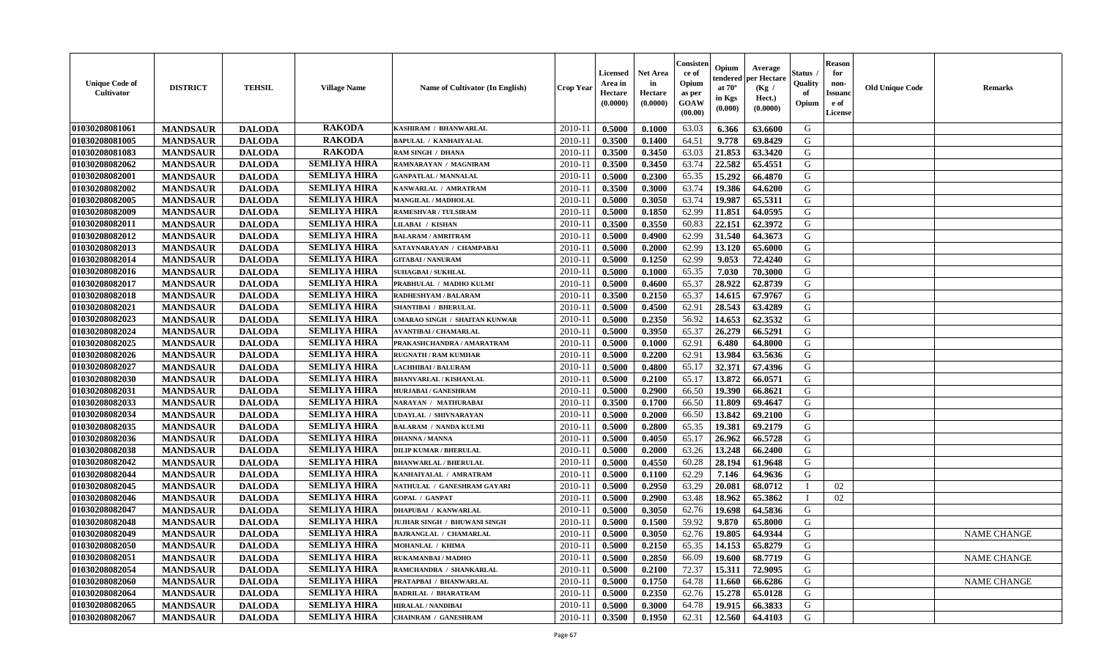| <b>Unique Code of</b><br><b>Cultivator</b> | <b>DISTRICT</b> | <b>TEHSIL</b> | <b>Village Name</b> | Name of Cultivator (In English) | <b>Crop Year</b> | Licensed<br>Area in<br>Hectare<br>(0.0000) | <b>Net Area</b><br>in<br>Hectare<br>(0.0000) | Consisteı<br>ce of<br>Opium<br>as per<br>GOAW<br>(00.00) | Opium<br>endered<br>at $70^\circ$<br>in Kgs<br>(0.000) | Average<br>per Hectare<br>(Kg /<br>Hect.)<br>(0.0000) | Status<br>Quality<br>of<br>Opium | <b>Reason</b><br>for<br>non-<br><b>Issuand</b><br>e of<br>License | <b>Old Unique Code</b> | <b>Remarks</b>     |
|--------------------------------------------|-----------------|---------------|---------------------|---------------------------------|------------------|--------------------------------------------|----------------------------------------------|----------------------------------------------------------|--------------------------------------------------------|-------------------------------------------------------|----------------------------------|-------------------------------------------------------------------|------------------------|--------------------|
| 01030208081061                             | <b>MANDSAUR</b> | <b>DALODA</b> | <b>RAKODA</b>       | KASHIRAM / BHANWARLAL           | 2010-11          | 0.5000                                     | 0.1000                                       | 63.03                                                    | 6.366                                                  | 63.6600                                               | G                                |                                                                   |                        |                    |
| 01030208081005                             | <b>MANDSAUR</b> | <b>DALODA</b> | <b>RAKODA</b>       | <b>BAPULAL / KANHAIYALAL</b>    | 2010-11          | 0.3500                                     | 0.1400                                       | 64.51                                                    | 9.778                                                  | 69.8429                                               | G                                |                                                                   |                        |                    |
| 01030208081083                             | <b>MANDSAUR</b> | <b>DALODA</b> | <b>RAKODA</b>       | <b>RAM SINGH / DHANA</b>        | 2010-11          | 0.3500                                     | 0.3450                                       | 63.03                                                    | 21.853                                                 | 63.3420                                               | G                                |                                                                   |                        |                    |
| 01030208082062                             | <b>MANDSAUR</b> | <b>DALODA</b> | <b>SEMLIYA HIRA</b> | RAMNARAYAN / MAGNIRAM           | 2010-11          | 0.3500                                     | 0.3450                                       | 63.74                                                    | 22.582                                                 | 65.4551                                               | G                                |                                                                   |                        |                    |
| 01030208082001                             | <b>MANDSAUR</b> | <b>DALODA</b> | <b>SEMLIYA HIRA</b> | <b>GANPATLAL / MANNALAL</b>     | 2010-11          | 0.5000                                     | 0.2300                                       | 65.35                                                    | 15,292                                                 | 66.4870                                               | G                                |                                                                   |                        |                    |
| 01030208082002                             | <b>MANDSAUR</b> | <b>DALODA</b> | <b>SEMLIYA HIRA</b> | KANWARLAL / AMRATRAM            | 2010-11          | 0.3500                                     | 0.3000                                       | 63.74                                                    | 19.386                                                 | 64.6200                                               | G                                |                                                                   |                        |                    |
| 01030208082005                             | <b>MANDSAUR</b> | <b>DALODA</b> | <b>SEMLIYA HIRA</b> | MANGILAL / MADHOLAL             | 2010-11          | 0.5000                                     | 0.3050                                       | 63.74                                                    | 19.987                                                 | 65.5311                                               | G                                |                                                                   |                        |                    |
| 01030208082009                             | <b>MANDSAUR</b> | <b>DALODA</b> | <b>SEMLIYA HIRA</b> | <b>RAMESHVAR / TULSIRAM</b>     | 2010-11          | 0.5000                                     | 0.1850                                       | 62.99                                                    | 11.851                                                 | 64.0595                                               | G                                |                                                                   |                        |                    |
| 01030208082011                             | <b>MANDSAUR</b> | <b>DALODA</b> | <b>SEMLIYA HIRA</b> | LILABAI / KISHAN                | 2010-11          | 0.3500                                     | 0.3550                                       | 60.83                                                    | 22.151                                                 | 62.3972                                               | G                                |                                                                   |                        |                    |
| 01030208082012                             | <b>MANDSAUR</b> | <b>DALODA</b> | <b>SEMLIYA HIRA</b> | <b>BALARAM / AMRITRAM</b>       | 2010-11          | 0.5000                                     | 0.4900                                       | 62.99                                                    | 31.540                                                 | 64.3673                                               | G                                |                                                                   |                        |                    |
| 01030208082013                             | <b>MANDSAUR</b> | <b>DALODA</b> | <b>SEMLIYA HIRA</b> | SATAYNARAYAN / CHAMPABAI        | 2010-11          | 0.5000                                     | 0.2000                                       | 62.99                                                    | 13.120                                                 | 65.6000                                               | $\mathbf G$                      |                                                                   |                        |                    |
| 01030208082014                             | <b>MANDSAUR</b> | <b>DALODA</b> | <b>SEMLIYA HIRA</b> | <b>GITABAI/NANURAM</b>          | 2010-11          | 0.5000                                     | 0.1250                                       | 62.99                                                    | 9.053                                                  | 72.4240                                               | G                                |                                                                   |                        |                    |
| 01030208082016                             | <b>MANDSAUR</b> | <b>DALODA</b> | <b>SEMLIYA HIRA</b> | <b>SUHAGBAI/SUKHLAL</b>         | 2010-11          | 0.5000                                     | 0.1000                                       | 65.35                                                    | 7.030                                                  | 70.3000                                               | G                                |                                                                   |                        |                    |
| 01030208082017                             | <b>MANDSAUR</b> | <b>DALODA</b> | <b>SEMLIYA HIRA</b> | PRABHULAL / MADHO KULMI         | $2010 - 11$      | 0.5000                                     | 0.4600                                       | 65.37                                                    | 28.922                                                 | 62.8739                                               | G                                |                                                                   |                        |                    |
| 01030208082018                             | <b>MANDSAUR</b> | <b>DALODA</b> | <b>SEMLIYA HIRA</b> | RADHESHYAM / BALARAM            | 2010-11          | 0.3500                                     | 0.2150                                       | 65.37                                                    | 14.615                                                 | 67.9767                                               | G                                |                                                                   |                        |                    |
| 01030208082021                             | <b>MANDSAUR</b> | <b>DALODA</b> | <b>SEMLIYA HIRA</b> | <b>SHANTIBAI / BHERULAL</b>     | 2010-11          | 0.5000                                     | 0.4500                                       | 62.91                                                    | 28.543                                                 | 63.4289                                               | G                                |                                                                   |                        |                    |
| 01030208082023                             | <b>MANDSAUR</b> | <b>DALODA</b> | <b>SEMLIYA HIRA</b> | UMARAO SINGH / SHAITAN KUNWAR   | 2010-11          | 0.5000                                     | 0.2350                                       | 56.92                                                    | 14.653                                                 | 62.3532                                               | G                                |                                                                   |                        |                    |
| 01030208082024                             | <b>MANDSAUR</b> | <b>DALODA</b> | <b>SEMLIYA HIRA</b> | <b>AVANTIBAI / CHAMARLAL</b>    | 2010-11          | 0.5000                                     | 0.3950                                       | 65.37                                                    | 26.279                                                 | 66.5291                                               | G                                |                                                                   |                        |                    |
| 01030208082025                             | <b>MANDSAUR</b> | <b>DALODA</b> | <b>SEMLIYA HIRA</b> | PRAKASHCHANDRA / AMARATRAM      | 2010-11          | 0.5000                                     | 0.1000                                       | 62.91                                                    | 6.480                                                  | 64.8000                                               | G                                |                                                                   |                        |                    |
| 01030208082026                             | <b>MANDSAUR</b> | <b>DALODA</b> | <b>SEMLIYA HIRA</b> | <b>RUGNATH / RAM KUMHAR</b>     | 2010-11          | 0.5000                                     | 0.2200                                       | 62.91                                                    | 13.984                                                 | 63.5636                                               | G                                |                                                                   |                        |                    |
| 01030208082027                             | <b>MANDSAUR</b> | <b>DALODA</b> | <b>SEMLIYA HIRA</b> | LACHHIBAI / BALURAM             | 2010-11          | 0.5000                                     | 0.4800                                       | 65.17                                                    | 32.371                                                 | 67.4396                                               | G                                |                                                                   |                        |                    |
| 01030208082030                             | <b>MANDSAUR</b> | <b>DALODA</b> | <b>SEMLIYA HIRA</b> | <b>BHANVARLAL / KISHANLAL</b>   | 2010-11          | 0.5000                                     | 0.2100                                       | 65.17                                                    | 13.872                                                 | 66.0571                                               | G                                |                                                                   |                        |                    |
| 01030208082031                             | <b>MANDSAUR</b> | <b>DALODA</b> | <b>SEMLIYA HIRA</b> | HURJABAI / GANESHRAM            | $2010 - 11$      | 0.5000                                     | 0.2900                                       | 66.50                                                    | 19.390                                                 | 66.8621                                               | G                                |                                                                   |                        |                    |
| 01030208082033                             | <b>MANDSAUR</b> | <b>DALODA</b> | <b>SEMLIYA HIRA</b> | NARAYAN / MATHURABAI            | 2010-11          | 0.3500                                     | 0.1700                                       | 66.50                                                    | 11.809                                                 | 69.4647                                               | G                                |                                                                   |                        |                    |
| 01030208082034                             | <b>MANDSAUR</b> | <b>DALODA</b> | <b>SEMLIYA HIRA</b> | <b>UDAYLAL / SHIVNARAYAN</b>    | 2010-11          | 0.5000                                     | 0.2000                                       | 66.50                                                    | 13.842                                                 | 69.2100                                               | G                                |                                                                   |                        |                    |
| 01030208082035                             | <b>MANDSAUR</b> | <b>DALODA</b> | <b>SEMLIYA HIRA</b> | <b>BALARAM / NANDA KULMI</b>    | 2010-11          | 0.5000                                     | 0.2800                                       | 65.35                                                    | 19.381                                                 | 69.2179                                               | G                                |                                                                   |                        |                    |
| 01030208082036                             | <b>MANDSAUR</b> | <b>DALODA</b> | <b>SEMLIYA HIRA</b> | <b>DHANNA / MANNA</b>           | 2010-11          | 0.5000                                     | 0.4050                                       | 65.17                                                    | 26.962                                                 | 66.5728                                               | G                                |                                                                   |                        |                    |
| 01030208082038                             | <b>MANDSAUR</b> | <b>DALODA</b> | <b>SEMLIYA HIRA</b> | <b>DILIP KUMAR / BHERULAL</b>   | 2010-11          | 0.5000                                     | 0.2000                                       | 63.26                                                    | 13.248                                                 | 66.2400                                               | G                                |                                                                   |                        |                    |
| 01030208082042                             | <b>MANDSAUR</b> | <b>DALODA</b> | <b>SEMLIYA HIRA</b> | <b>BHANWARLAL / BHERULAL</b>    | 2010-11          | 0.5000                                     | 0.4550                                       | 60.28                                                    | 28.194                                                 | 61.9648                                               | G                                |                                                                   |                        |                    |
| 01030208082044                             | <b>MANDSAUR</b> | <b>DALODA</b> | <b>SEMLIYA HIRA</b> | KANHAIYALAL / AMRATRAM          | 2010-11          | 0.5000                                     | 0.1100                                       | 62.29                                                    | 7.146                                                  | 64.9636                                               | G                                |                                                                   |                        |                    |
| 01030208082045                             | <b>MANDSAUR</b> | <b>DALODA</b> | <b>SEMLIYA HIRA</b> | NATHULAL / GANESHRAM GAYARI     | $2010 - 1$       | 0.5000                                     | 0.2950                                       | 63.29                                                    | 20.081                                                 | 68.0712                                               |                                  | 02                                                                |                        |                    |
| 01030208082046                             | <b>MANDSAUR</b> | <b>DALODA</b> | <b>SEMLIYA HIRA</b> | <b>GOPAL / GANPAT</b>           | 2010-11          | 0.5000                                     | 0.2900                                       | 63.48                                                    | 18.962                                                 | 65.3862                                               | I                                | 02                                                                |                        |                    |
| 01030208082047                             | <b>MANDSAUR</b> | <b>DALODA</b> | <b>SEMLIYA HIRA</b> | <b>DHAPUBAI / KANWARLAL</b>     | 2010-11          | 0.5000                                     | 0.3050                                       | 62.76                                                    | 19.698                                                 | 64.5836                                               | G                                |                                                                   |                        |                    |
| 01030208082048                             | <b>MANDSAUR</b> | <b>DALODA</b> | <b>SEMLIYA HIRA</b> | JUJHAR SINGH / BHUWANI SINGH    | 2010-11          | 0.5000                                     | 0.1500                                       | 59.92                                                    | 9.870                                                  | 65.8000                                               | G                                |                                                                   |                        |                    |
| 01030208082049                             | <b>MANDSAUR</b> | <b>DALODA</b> | <b>SEMLIYA HIRA</b> | <b>BAJRANGLAL / CHAMARLAL</b>   | 2010-11          | 0.5000                                     | 0.3050                                       | 62.76                                                    | 19.805                                                 | 64.9344                                               | G                                |                                                                   |                        | <b>NAME CHANGE</b> |
| 01030208082050                             | <b>MANDSAUR</b> | <b>DALODA</b> | <b>SEMLIYA HIRA</b> | MOHANLAL / KHIMA                | 2010-11          | 0.5000                                     | 0.2150                                       | 65.35                                                    | 14.153                                                 | 65.8279                                               | G                                |                                                                   |                        |                    |
| 01030208082051                             | <b>MANDSAUR</b> | <b>DALODA</b> | <b>SEMLIYA HIRA</b> | RUKAMANBAI / MADHO              | 2010-11          | 0.5000                                     | 0.2850                                       | 66.09                                                    | 19.600                                                 | 68.7719                                               | G                                |                                                                   |                        | <b>NAME CHANGE</b> |
| 01030208082054                             | <b>MANDSAUR</b> | <b>DALODA</b> | <b>SEMLIYA HIRA</b> | RAMCHANDRA / SHANKARLAL         | 2010-11          | 0.5000                                     | 0.2100                                       | 72.37                                                    | 15.311                                                 | 72.9095                                               | G                                |                                                                   |                        |                    |
| 01030208082060                             | <b>MANDSAUR</b> | <b>DALODA</b> | <b>SEMLIYA HIRA</b> | PRATAPBAI / BHANWARLAL          | $2010 - 11$      | 0.5000                                     | 0.1750                                       | 64.78                                                    | 11.660                                                 | 66.6286                                               | G                                |                                                                   |                        | <b>NAME CHANGE</b> |
| 01030208082064                             | <b>MANDSAUR</b> | <b>DALODA</b> | <b>SEMLIYA HIRA</b> | <b>BADRILAL / BHARATRAM</b>     | $2010 - 11$      | 0.5000                                     | 0.2350                                       | 62.76                                                    | 15.278                                                 | 65.0128                                               | G                                |                                                                   |                        |                    |
| 01030208082065                             | <b>MANDSAUR</b> | <b>DALODA</b> | <b>SEMLIYA HIRA</b> | <b>HIRALAL / NANDIBAI</b>       | 2010-11          | 0.5000                                     | 0.3000                                       | 64.78                                                    | 19.915                                                 | 66.3833                                               | G                                |                                                                   |                        |                    |
| 01030208082067                             | <b>MANDSAUR</b> | <b>DALODA</b> | <b>SEMLIYA HIRA</b> | <b>CHAINRAM / GANESHRAM</b>     | 2010-11          | 0.3500                                     | 0.1950                                       | 62.31                                                    | 12.560                                                 | 64.4103                                               | G                                |                                                                   |                        |                    |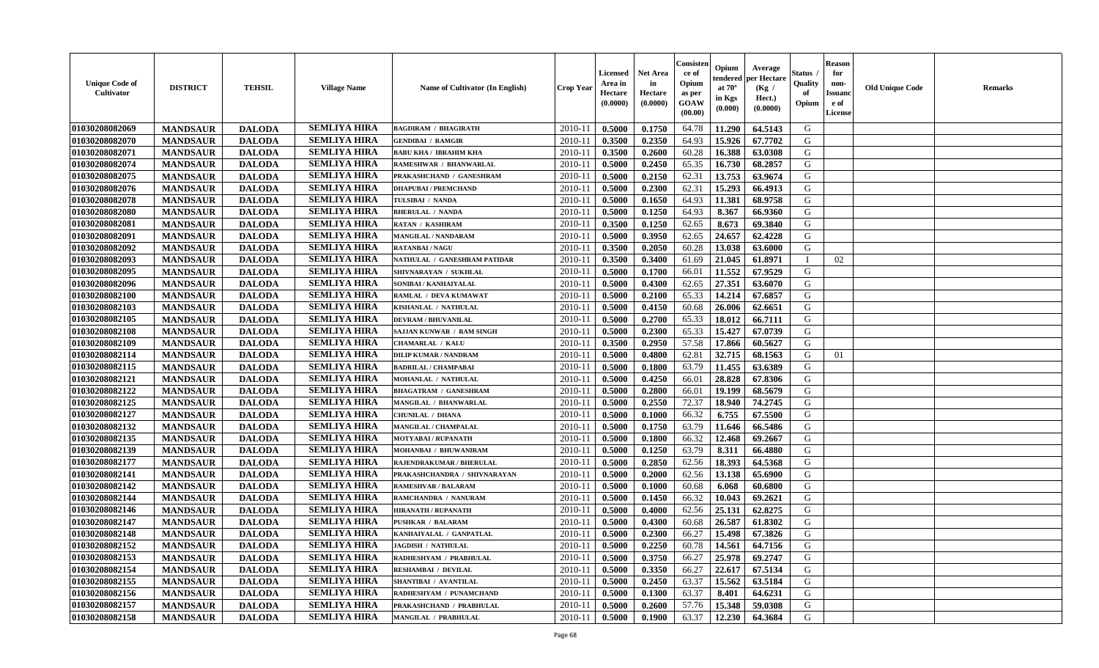| <b>Unique Code of</b><br><b>Cultivator</b> | <b>DISTRICT</b> | <b>TEHSIL</b> | <b>Village Name</b> | Name of Cultivator (In English) | <b>Crop Year</b> | <b>Licensed</b><br>Area in<br>Hectare<br>(0.0000) | <b>Net Area</b><br>in<br>Hectare<br>(0.0000) | Consister<br>ce of<br>Opium<br>as per<br>GOAW<br>(00.00) | Opium<br>endered<br>at $70^\circ$<br>in Kgs<br>(0.000) | Average<br>per Hectare<br>(Kg /<br>Hect.)<br>(0.0000) | Status<br>Quality<br>of<br>Opium | <b>Reason</b><br>for<br>non-<br><b>Issuand</b><br>e of<br><b>License</b> | <b>Old Unique Code</b> | <b>Remarks</b> |
|--------------------------------------------|-----------------|---------------|---------------------|---------------------------------|------------------|---------------------------------------------------|----------------------------------------------|----------------------------------------------------------|--------------------------------------------------------|-------------------------------------------------------|----------------------------------|--------------------------------------------------------------------------|------------------------|----------------|
| 01030208082069                             | <b>MANDSAUR</b> | <b>DALODA</b> | <b>SEMLIYA HIRA</b> | <b>BAGDIRAM / BHAGIRATH</b>     | 2010-11          | 0.5000                                            | 0.1750                                       | 64.78                                                    | 11.290                                                 | 64.5143                                               | G                                |                                                                          |                        |                |
| 01030208082070                             | <b>MANDSAUR</b> | <b>DALODA</b> | <b>SEMLIYA HIRA</b> | <b>GENDIBAI / RAMGIR</b>        | 2010-11          | 0.3500                                            | 0.2350                                       | 64.93                                                    | 15.926                                                 | 67.7702                                               | G                                |                                                                          |                        |                |
| 01030208082071                             | <b>MANDSAUR</b> | <b>DALODA</b> | <b>SEMLIYA HIRA</b> | <b>BABU KHA / IBRAHIM KHA</b>   | 2010-11          | 0.3500                                            | 0.2600                                       | 60.28                                                    | 16.388                                                 | 63.0308                                               | G                                |                                                                          |                        |                |
| 01030208082074                             | <b>MANDSAUR</b> | <b>DALODA</b> | <b>SEMLIYA HIRA</b> | RAMESHWAR / BHANWARLAL          | 2010-11          | 0.5000                                            | 0.2450                                       | 65.35                                                    | 16.730                                                 | 68.2857                                               | G                                |                                                                          |                        |                |
| 01030208082075                             | <b>MANDSAUR</b> | <b>DALODA</b> | <b>SEMLIYA HIRA</b> | PRAKASHCHAND / GANESHRAM        | 2010-11          | 0.5000                                            | 0.2150                                       | 62.31                                                    | 13.753                                                 | 63.9674                                               | G                                |                                                                          |                        |                |
| 01030208082076                             | <b>MANDSAUR</b> | <b>DALODA</b> | <b>SEMLIYA HIRA</b> | <b>DHAPUBAI/PREMCHAND</b>       | 2010-11          | 0.5000                                            | 0.2300                                       | 62.31                                                    | 15.293                                                 | 66.4913                                               | G                                |                                                                          |                        |                |
| 01030208082078                             | <b>MANDSAUR</b> | <b>DALODA</b> | <b>SEMLIYA HIRA</b> | TULSIBAI / NANDA                | 2010-11          | 0.5000                                            | 0.1650                                       | 64.93                                                    | 11.381                                                 | 68.9758                                               | G                                |                                                                          |                        |                |
| 01030208082080                             | <b>MANDSAUR</b> | <b>DALODA</b> | <b>SEMLIYA HIRA</b> | <b>BHERULAL / NANDA</b>         | 2010-11          | 0.5000                                            | 0.1250                                       | 64.93                                                    | 8.367                                                  | 66.9360                                               | G                                |                                                                          |                        |                |
| 01030208082081                             | <b>MANDSAUR</b> | <b>DALODA</b> | <b>SEMLIYA HIRA</b> | <b>RATAN / KASHIRAM</b>         | 2010-11          | 0.3500                                            | 0.1250                                       | 62.65                                                    | 8.673                                                  | 69.3840                                               | G                                |                                                                          |                        |                |
| 01030208082091                             | <b>MANDSAUR</b> | <b>DALODA</b> | <b>SEMLIYA HIRA</b> | MANGILAL / NANDARAM             | 2010-11          | 0.5000                                            | 0.3950                                       | 62.65                                                    | 24.657                                                 | 62.4228                                               | G                                |                                                                          |                        |                |
| 01030208082092                             | <b>MANDSAUR</b> | <b>DALODA</b> | <b>SEMLIYA HIRA</b> | <b>RATANBAI/NAGU</b>            | 2010-11          | 0.3500                                            | 0.2050                                       | 60.28                                                    | 13.038                                                 | 63.6000                                               | $\mathbf G$                      |                                                                          |                        |                |
| 01030208082093                             | <b>MANDSAUR</b> | <b>DALODA</b> | <b>SEMLIYA HIRA</b> | NATHULAL / GANESHRAM PATIDAR    | 2010-11          | 0.3500                                            | 0.3400                                       | 61.69                                                    | 21.045                                                 | 61.8971                                               | $\mathbf{I}$                     | 02                                                                       |                        |                |
| 01030208082095                             | <b>MANDSAUR</b> | <b>DALODA</b> | <b>SEMLIYA HIRA</b> | SHIVNARAYAN / SUKHLAL           | 2010-11          | 0.5000                                            | 0.1700                                       | 66.01                                                    | 11.552                                                 | 67.9529                                               | G                                |                                                                          |                        |                |
| 01030208082096                             | <b>MANDSAUR</b> | <b>DALODA</b> | <b>SEMLIYA HIRA</b> | SONIBAI / KANHAIYALAL           | 2010-11          | 0.5000                                            | 0.4300                                       | 62.65                                                    | 27.351                                                 | 63.6070                                               | G                                |                                                                          |                        |                |
| 01030208082100                             | <b>MANDSAUR</b> | <b>DALODA</b> | <b>SEMLIYA HIRA</b> | RAMLAL / DEVA KUMAWAT           | 2010-11          | 0.5000                                            | 0.2100                                       | 65.33                                                    | 14.214                                                 | 67.6857                                               | G                                |                                                                          |                        |                |
| 01030208082103                             | <b>MANDSAUR</b> | <b>DALODA</b> | <b>SEMLIYA HIRA</b> | KISHANLAL / NATHULAL            | 2010-11          | 0.5000                                            | 0.4150                                       | 60.68                                                    | 26.006                                                 | 62.6651                                               | G                                |                                                                          |                        |                |
| 01030208082105                             | <b>MANDSAUR</b> | <b>DALODA</b> | <b>SEMLIYA HIRA</b> | <b>DEVRAM / BHUVANILAL</b>      | 2010-11          | 0.5000                                            | 0.2700                                       | 65.33                                                    | 18.012                                                 | 66.7111                                               | G                                |                                                                          |                        |                |
| 01030208082108                             | <b>MANDSAUR</b> | <b>DALODA</b> | <b>SEMLIYA HIRA</b> | SAJJAN KUNWAR / RAM SINGH       | 2010-11          | 0.5000                                            | 0.2300                                       | 65.33                                                    | 15.427                                                 | 67.0739                                               | G                                |                                                                          |                        |                |
| 01030208082109                             | <b>MANDSAUR</b> | <b>DALODA</b> | <b>SEMLIYA HIRA</b> | <b>CHAMARLAL / KALU</b>         | 2010-11          | 0.3500                                            | 0.2950                                       | 57.58                                                    | 17.866                                                 | 60.5627                                               | G                                |                                                                          |                        |                |
| 01030208082114                             | <b>MANDSAUR</b> | <b>DALODA</b> | <b>SEMLIYA HIRA</b> | <b>DILIP KUMAR / NANDRAM</b>    | 2010-11          | 0.5000                                            | 0.4800                                       | 62.81                                                    | 32.715                                                 | 68.1563                                               | G                                | 01                                                                       |                        |                |
| 01030208082115                             | <b>MANDSAUR</b> | <b>DALODA</b> | <b>SEMLIYA HIRA</b> | <b>BADRILAL / CHAMPABAI</b>     | 2010-11          | 0.5000                                            | 0.1800                                       | 63.79                                                    | 11.455                                                 | 63.6389                                               | G                                |                                                                          |                        |                |
| 01030208082121                             | <b>MANDSAUR</b> | <b>DALODA</b> | <b>SEMLIYA HIRA</b> | MOHANLAL / NATHULAL             | 2010-11          | 0.5000                                            | 0.4250                                       | 66.01                                                    | 28.828                                                 | 67.8306                                               | G                                |                                                                          |                        |                |
| 01030208082122                             | <b>MANDSAUR</b> | <b>DALODA</b> | <b>SEMLIYA HIRA</b> | <b>BHAGATRAM / GANESHRAM</b>    | $2010 - 11$      | 0.5000                                            | 0.2800                                       | 66.01                                                    | 19.199                                                 | 68.5679                                               | G                                |                                                                          |                        |                |
| 01030208082125                             | <b>MANDSAUR</b> | <b>DALODA</b> | <b>SEMLIYA HIRA</b> | MANGILAL / BHANWARLAL           | 2010-11          | 0.5000                                            | 0.2550                                       | 72.37                                                    | 18.940                                                 | 74.2745                                               | G                                |                                                                          |                        |                |
| 01030208082127                             | <b>MANDSAUR</b> | <b>DALODA</b> | <b>SEMLIYA HIRA</b> | CHUNILAL / DHANA                | 2010-11          | 0.5000                                            | 0.1000                                       | 66.32                                                    | 6.755                                                  | 67.5500                                               | G                                |                                                                          |                        |                |
| 01030208082132                             | <b>MANDSAUR</b> | <b>DALODA</b> | <b>SEMLIYA HIRA</b> | MANGILAL / CHAMPALAL            | 2010-11          | 0.5000                                            | 0.1750                                       | 63.79                                                    | 11.646                                                 | 66.5486                                               | G                                |                                                                          |                        |                |
| 01030208082135                             | <b>MANDSAUR</b> | <b>DALODA</b> | <b>SEMLIYA HIRA</b> | MOTYABAI / RUPANATH             | 2010-11          | 0.5000                                            | 0.1800                                       | 66.32                                                    | 12.468                                                 | 69.2667                                               | G                                |                                                                          |                        |                |
| 01030208082139                             | <b>MANDSAUR</b> | <b>DALODA</b> | <b>SEMLIYA HIRA</b> | MOHANBAI / BHUWANIRAM           | 2010-11          | 0.5000                                            | 0.1250                                       | 63.79                                                    | 8.311                                                  | 66.4880                                               | G                                |                                                                          |                        |                |
| 01030208082177                             | <b>MANDSAUR</b> | <b>DALODA</b> | <b>SEMLIYA HIRA</b> | RAJENDRAKUMAR / BHERULAL        | 2010-11          | 0.5000                                            | 0.2850                                       | 62.56                                                    | 18.393                                                 | 64.5368                                               | G                                |                                                                          |                        |                |
| 01030208082141                             | <b>MANDSAUR</b> | <b>DALODA</b> | <b>SEMLIYA HIRA</b> | PRAKASHCHANDRA / SHIVNARAYAN    | 2010-11          | 0.5000                                            | 0.2000                                       | 62.56                                                    | 13.138                                                 | 65.6900                                               | G                                |                                                                          |                        |                |
| 01030208082142                             | <b>MANDSAUR</b> | <b>DALODA</b> | <b>SEMLIYA HIRA</b> | RAMESHVAR / BALARAM             | 2010-11          | 0.5000                                            | 0.1000                                       | 60.68                                                    | 6.068                                                  | 60.6800                                               | ${\bf G}$                        |                                                                          |                        |                |
| 01030208082144                             | <b>MANDSAUR</b> | <b>DALODA</b> | <b>SEMLIYA HIRA</b> | RAMCHANDRA / NANURAM            | 2010-11          | 0.5000                                            | 0.1450                                       | 66.32                                                    | 10.043                                                 | 69.2621                                               | G                                |                                                                          |                        |                |
| 01030208082146                             | <b>MANDSAUR</b> | <b>DALODA</b> | <b>SEMLIYA HIRA</b> | <b>HIRANATH / RUPANATH</b>      | 2010-11          | 0.5000                                            | 0.4000                                       | 62.56                                                    | 25.131                                                 | 62.8275                                               | G                                |                                                                          |                        |                |
| 01030208082147                             | <b>MANDSAUR</b> | <b>DALODA</b> | <b>SEMLIYA HIRA</b> | <b>PUSHKAR / BALARAM</b>        | 2010-11          | 0.5000                                            | 0.4300                                       | 60.68                                                    | 26.587                                                 | 61.8302                                               | G                                |                                                                          |                        |                |
| 01030208082148                             | <b>MANDSAUR</b> | <b>DALODA</b> | <b>SEMLIYA HIRA</b> | KANHAIYALAL / GANPATLAL         | 2010-11          | 0.5000                                            | 0.2300                                       | 66.27                                                    | 15.498                                                 | 67.3826                                               | G                                |                                                                          |                        |                |
| 01030208082152                             | <b>MANDSAUR</b> | <b>DALODA</b> | <b>SEMLIYA HIRA</b> | <b>JAGDISH / NATHULAL</b>       | 2010-11          | 0.5000                                            | 0.2250                                       | 60.78                                                    | 14.561                                                 | 64.7156                                               | G                                |                                                                          |                        |                |
| 01030208082153                             | <b>MANDSAUR</b> | <b>DALODA</b> | <b>SEMLIYA HIRA</b> | RADHESHYAM / PRABHULAL          | 2010-11          | 0.5000                                            | 0.3750                                       | 66.27                                                    | 25.978                                                 | 69.2747                                               | G                                |                                                                          |                        |                |
| 01030208082154                             | <b>MANDSAUR</b> | <b>DALODA</b> | <b>SEMLIYA HIRA</b> | RESHAMBAI / DEVILAL             | 2010-11          | 0.5000                                            | 0.3350                                       | 66.27                                                    | 22.617                                                 | 67.5134                                               | G                                |                                                                          |                        |                |
| 01030208082155                             | <b>MANDSAUR</b> | <b>DALODA</b> | <b>SEMLIYA HIRA</b> | SHANTIBAI / AVANTILAL           | 2010-11          | 0.5000                                            | 0.2450                                       | 63.37                                                    | 15.562                                                 | 63.5184                                               | G                                |                                                                          |                        |                |
| 01030208082156                             | <b>MANDSAUR</b> | <b>DALODA</b> | <b>SEMLIYA HIRA</b> | RADHESHYAM / PUNAMCHAND         | $2010 - 11$      | 0.5000                                            | 0.1300                                       | 63.37                                                    | 8.401                                                  | 64.6231                                               | G                                |                                                                          |                        |                |
| 01030208082157                             | <b>MANDSAUR</b> | <b>DALODA</b> | <b>SEMLIYA HIRA</b> | PRAKASHCHAND / PRABHULAL        | 2010-11          | 0.5000                                            | 0.2600                                       | 57.76                                                    | 15.348                                                 | 59.0308                                               | G                                |                                                                          |                        |                |
| 01030208082158                             | <b>MANDSAUR</b> | <b>DALODA</b> | <b>SEMLIYA HIRA</b> | <b>MANGILAL / PRABHULAL</b>     | 2010-11          | 0.5000                                            | 0.1900                                       | 63.37                                                    | 12.230                                                 | 64.3684                                               | G                                |                                                                          |                        |                |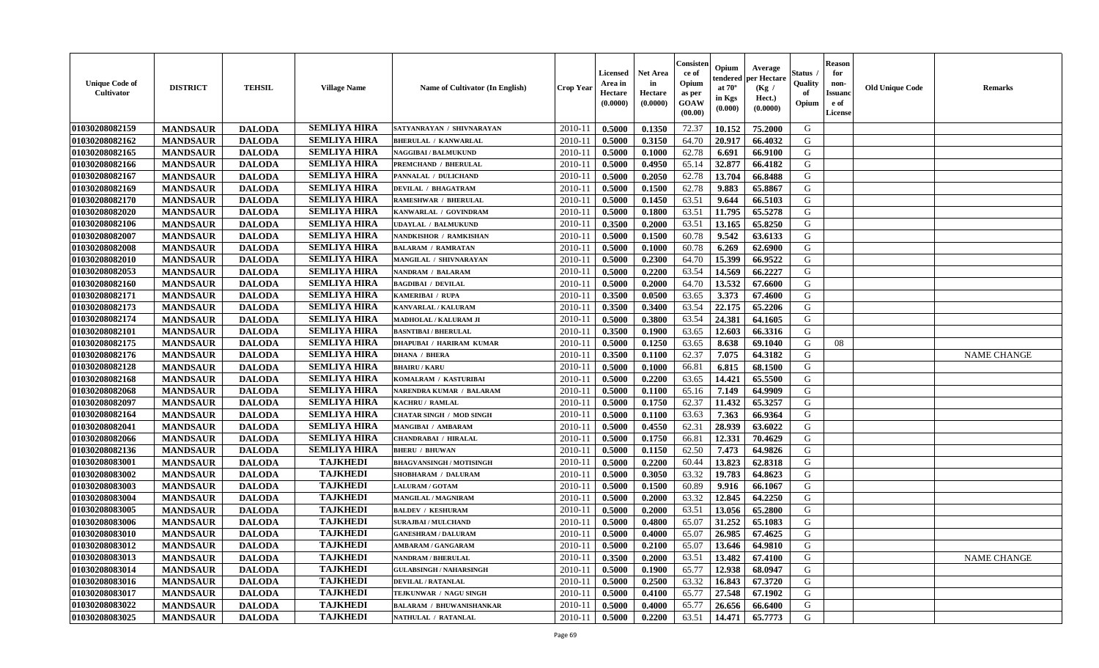| <b>Unique Code of</b><br><b>Cultivator</b> | <b>DISTRICT</b> | <b>TEHSIL</b> | <b>Village Name</b> | Name of Cultivator (In English) | <b>Crop Year</b> | <b>Licensed</b><br>Area in<br>Hectare<br>(0.0000) | <b>Net Area</b><br>in<br>Hectare<br>(0.0000) | Consisteı<br>ce of<br>Opium<br>as per<br>GOAW<br>(00.00) | Opium<br>endered<br>at $70^\circ$<br>in Kgs<br>(0.000) | Average<br>per Hectare<br>(Kg /<br>Hect.)<br>(0.0000) | Status<br>Quality<br>of<br>Opium | <b>Reason</b><br>for<br>non-<br>Issuano<br>e of<br>License | <b>Old Unique Code</b> | <b>Remarks</b>     |
|--------------------------------------------|-----------------|---------------|---------------------|---------------------------------|------------------|---------------------------------------------------|----------------------------------------------|----------------------------------------------------------|--------------------------------------------------------|-------------------------------------------------------|----------------------------------|------------------------------------------------------------|------------------------|--------------------|
| 01030208082159                             | <b>MANDSAUR</b> | <b>DALODA</b> | <b>SEMLIYA HIRA</b> | SATYANRAYAN / SHIVNARAYAN       | 2010-11          | 0.5000                                            | 0.1350                                       | 72.37                                                    | 10.152                                                 | 75.2000                                               | G                                |                                                            |                        |                    |
| 01030208082162                             | <b>MANDSAUR</b> | <b>DALODA</b> | <b>SEMLIYA HIRA</b> | <b>BHERULAL / KANWARLAL</b>     | 2010-11          | 0.5000                                            | 0.3150                                       | 64.70                                                    | 20.917                                                 | 66.4032                                               | G                                |                                                            |                        |                    |
| 01030208082165                             | <b>MANDSAUR</b> | <b>DALODA</b> | <b>SEMLIYA HIRA</b> | <b>NAGGIBAI / BALMUKUND</b>     | 2010-11          | 0.5000                                            | 0.1000                                       | 62.78                                                    | 6.691                                                  | 66.9100                                               | G                                |                                                            |                        |                    |
| 01030208082166                             | <b>MANDSAUR</b> | <b>DALODA</b> | <b>SEMLIYA HIRA</b> | PREMCHAND / BHERULAL            | 2010-11          | 0.5000                                            | 0.4950                                       | 65.14                                                    | 32.877                                                 | 66.4182                                               | G                                |                                                            |                        |                    |
| 01030208082167                             | <b>MANDSAUR</b> | <b>DALODA</b> | <b>SEMLIYA HIRA</b> | PANNALAL / DULICHAND            | 2010-11          | 0.5000                                            | 0.2050                                       | 62.78                                                    | 13.704                                                 | 66.8488                                               | G                                |                                                            |                        |                    |
| 01030208082169                             | <b>MANDSAUR</b> | <b>DALODA</b> | <b>SEMLIYA HIRA</b> | <b>DEVILAL / BHAGATRAM</b>      | 2010-11          | 0.5000                                            | 0.1500                                       | 62.78                                                    | 9.883                                                  | 65.8867                                               | G                                |                                                            |                        |                    |
| 01030208082170                             | <b>MANDSAUR</b> | <b>DALODA</b> | <b>SEMLIYA HIRA</b> | <b>RAMESHWAR / BHERULAL</b>     | 2010-11          | 0.5000                                            | 0.1450                                       | 63.51                                                    | 9.644                                                  | 66.5103                                               | G                                |                                                            |                        |                    |
| 01030208082020                             | <b>MANDSAUR</b> | <b>DALODA</b> | <b>SEMLIYA HIRA</b> | KANWARLAL / GOVINDRAM           | 2010-11          | 0.5000                                            | 0.1800                                       | 63.51                                                    | 11.795                                                 | 65.5278                                               | G                                |                                                            |                        |                    |
| 01030208082106                             | <b>MANDSAUR</b> | <b>DALODA</b> | <b>SEMLIYA HIRA</b> | <b>UDAYLAL / BALMUKUND</b>      | 2010-11          | 0.3500                                            | 0.2000                                       | 63.51                                                    | 13.165                                                 | 65.8250                                               | G                                |                                                            |                        |                    |
| 01030208082007                             | <b>MANDSAUR</b> | <b>DALODA</b> | <b>SEMLIYA HIRA</b> | NANDKISHOR / RAMKISHAN          | 2010-11          | 0.5000                                            | 0.1500                                       | 60.78                                                    | 9.542                                                  | 63.6133                                               | G                                |                                                            |                        |                    |
| 01030208082008                             | <b>MANDSAUR</b> | <b>DALODA</b> | <b>SEMLIYA HIRA</b> | <b>BALARAM / RAMRATAN</b>       | 2010-11          | 0.5000                                            | 0.1000                                       | 60.78                                                    | 6.269                                                  | 62.6900                                               | $\mathbf G$                      |                                                            |                        |                    |
| 01030208082010                             | <b>MANDSAUR</b> | <b>DALODA</b> | <b>SEMLIYA HIRA</b> | MANGILAL / SHIVNARAYAN          | 2010-11          | 0.5000                                            | 0.2300                                       | 64.70                                                    | 15.399                                                 | 66.9522                                               | G                                |                                                            |                        |                    |
| 01030208082053                             | <b>MANDSAUR</b> | <b>DALODA</b> | <b>SEMLIYA HIRA</b> | NANDRAM / BALARAM               | 2010-11          | 0.5000                                            | 0.2200                                       | 63.54                                                    | 14.569                                                 | 66.2227                                               | G                                |                                                            |                        |                    |
| 01030208082160                             | <b>MANDSAUR</b> | <b>DALODA</b> | <b>SEMLIYA HIRA</b> | <b>BAGDIBAI / DEVILAL</b>       | 2010-11          | 0.5000                                            | 0.2000                                       | 64.70                                                    | 13.532                                                 | 67.6600                                               | G                                |                                                            |                        |                    |
| 01030208082171                             | <b>MANDSAUR</b> | <b>DALODA</b> | <b>SEMLIYA HIRA</b> | KAMERIBAI / RUPA                | 2010-11          | 0.3500                                            | 0.0500                                       | 63.65                                                    | 3.373                                                  | 67.4600                                               | G                                |                                                            |                        |                    |
| 01030208082173                             | <b>MANDSAUR</b> | <b>DALODA</b> | <b>SEMLIYA HIRA</b> | KANVARLAL / KALURAM             | 2010-11          | 0.3500                                            | 0.3400                                       | 63.54                                                    | 22.175                                                 | 65.2206                                               | G                                |                                                            |                        |                    |
| 01030208082174                             | <b>MANDSAUR</b> | <b>DALODA</b> | <b>SEMLIYA HIRA</b> | MADHOLAL / KALURAM JI           | 2010-11          | 0.5000                                            | 0.3800                                       | 63.54                                                    | 24.381                                                 | 64.1605                                               | G                                |                                                            |                        |                    |
| 01030208082101                             | <b>MANDSAUR</b> | <b>DALODA</b> | <b>SEMLIYA HIRA</b> | <b>BASNTIBAI / BHERULAL</b>     | 2010-11          | 0.3500                                            | 0.1900                                       | 63.65                                                    | 12.603                                                 | 66.3316                                               | G                                |                                                            |                        |                    |
| 01030208082175                             | <b>MANDSAUR</b> | <b>DALODA</b> | <b>SEMLIYA HIRA</b> | <b>DHAPUBAI / HARIRAM KUMAR</b> | 2010-11          | 0.5000                                            | 0.1250                                       | 63.65                                                    | 8.638                                                  | 69.1040                                               | G                                | 08                                                         |                        |                    |
| 01030208082176                             | <b>MANDSAUR</b> | <b>DALODA</b> | <b>SEMLIYA HIRA</b> | <b>DHANA / BHERA</b>            | 2010-11          | 0.3500                                            | 0.1100                                       | 62.37                                                    | 7.075                                                  | 64.3182                                               | G                                |                                                            |                        | <b>NAME CHANGE</b> |
| 01030208082128                             | <b>MANDSAUR</b> | <b>DALODA</b> | <b>SEMLIYA HIRA</b> | <b>BHAIRU / KARU</b>            | 2010-11          | 0.5000                                            | 0.1000                                       | 66.81                                                    | 6.815                                                  | 68.1500                                               | G                                |                                                            |                        |                    |
| 01030208082168                             | <b>MANDSAUR</b> | <b>DALODA</b> | <b>SEMLIYA HIRA</b> | KOMALRAM / KASTURIBAI           | 2010-11          | 0.5000                                            | 0.2200                                       | 63.65                                                    | 14.421                                                 | 65.5500                                               | G                                |                                                            |                        |                    |
| 01030208082068                             | <b>MANDSAUR</b> | <b>DALODA</b> | <b>SEMLIYA HIRA</b> | <b>NARENDRA KUMAR / BALARAM</b> | $2010 - 11$      | 0.5000                                            | 0.1100                                       | 65.16                                                    | 7.149                                                  | 64.9909                                               | G                                |                                                            |                        |                    |
| 01030208082097                             | <b>MANDSAUR</b> | <b>DALODA</b> | <b>SEMLIYA HIRA</b> | KACHRU / RAMLAL                 | 2010-11          | 0.5000                                            | 0.1750                                       | 62.37                                                    | 11.432                                                 | 65.3257                                               | G                                |                                                            |                        |                    |
| 01030208082164                             | <b>MANDSAUR</b> | <b>DALODA</b> | <b>SEMLIYA HIRA</b> | <b>CHATAR SINGH / MOD SINGH</b> | 2010-11          | 0.5000                                            | 0.1100                                       | 63.63                                                    | 7.363                                                  | 66.9364                                               | G                                |                                                            |                        |                    |
| 01030208082041                             | <b>MANDSAUR</b> | <b>DALODA</b> | <b>SEMLIYA HIRA</b> | <b>MANGIBAI / AMBARAM</b>       | 2010-11          | 0.5000                                            | 0.4550                                       | 62.31                                                    | 28.939                                                 | 63.6022                                               | G                                |                                                            |                        |                    |
| 01030208082066                             | <b>MANDSAUR</b> | <b>DALODA</b> | <b>SEMLIYA HIRA</b> | <b>CHANDRABAI / HIRALAL</b>     | 2010-11          | 0.5000                                            | 0.1750                                       | 66.81                                                    | 12.331                                                 | 70.4629                                               | G                                |                                                            |                        |                    |
| 01030208082136                             | <b>MANDSAUR</b> | <b>DALODA</b> | <b>SEMLIYA HIRA</b> | <b>BHERU / BHUWAN</b>           | 2010-11          | 0.5000                                            | 0.1150                                       | 62.50                                                    | 7.473                                                  | 64.9826                                               | G                                |                                                            |                        |                    |
| 01030208083001                             | <b>MANDSAUR</b> | <b>DALODA</b> | <b>TAJKHEDI</b>     | <b>BHAGVANSINGH / MOTISINGH</b> | 2010-11          | 0.5000                                            | 0.2200                                       | 60.44                                                    | 13.823                                                 | 62.8318                                               | G                                |                                                            |                        |                    |
| 01030208083002                             | <b>MANDSAUR</b> | <b>DALODA</b> | <b>TAJKHEDI</b>     | SHOBHARAM / DALURAM             | 2010-11          | 0.5000                                            | 0.3050                                       | 63.32                                                    | 19.783                                                 | 64.8623                                               | G                                |                                                            |                        |                    |
| 01030208083003                             | <b>MANDSAUR</b> | <b>DALODA</b> | <b>TAJKHEDI</b>     | <b>LALURAM / GOTAM</b>          | 2010-11          | 0.5000                                            | 0.1500                                       | 60.89                                                    | 9.916                                                  | 66.1067                                               | ${\bf G}$                        |                                                            |                        |                    |
| 01030208083004                             | <b>MANDSAUR</b> | <b>DALODA</b> | <b>TAJKHEDI</b>     | <b>MANGILAL / MAGNIRAM</b>      | 2010-11          | 0.5000                                            | 0.2000                                       | 63.32                                                    | 12.845                                                 | 64,2250                                               | G                                |                                                            |                        |                    |
| 01030208083005                             | <b>MANDSAUR</b> | <b>DALODA</b> | <b>TAJKHEDI</b>     | <b>BALDEV / KESHURAM</b>        | 2010-11          | 0.5000                                            | 0.2000                                       | 63.51                                                    | 13.056                                                 | 65.2800                                               | G                                |                                                            |                        |                    |
| 01030208083006                             | <b>MANDSAUR</b> | <b>DALODA</b> | <b>TAJKHEDI</b>     | <b>SURAJBAI / MULCHAND</b>      | 2010-11          | 0.5000                                            | 0.4800                                       | 65.07                                                    | 31.252                                                 | 65.1083                                               | G                                |                                                            |                        |                    |
| 01030208083010                             | <b>MANDSAUR</b> | <b>DALODA</b> | <b>TAJKHEDI</b>     | <b>GANESHRAM / DALURAM</b>      | 2010-11          | 0.5000                                            | 0.4000                                       | 65.07                                                    | 26.985                                                 | 67.4625                                               | G                                |                                                            |                        |                    |
| 01030208083012                             | <b>MANDSAUR</b> | <b>DALODA</b> | <b>TAJKHEDI</b>     | <b>AMBARAM / GANGARAM</b>       | 2010-11          | 0.5000                                            | 0.2100                                       | 65.07                                                    | 13.646                                                 | 64.9810                                               | G                                |                                                            |                        |                    |
| 01030208083013                             | <b>MANDSAUR</b> | <b>DALODA</b> | <b>TAJKHEDI</b>     | <b>NANDRAM / BHERULAL</b>       | 2010-11          | 0.3500                                            | 0.2000                                       | 63.51                                                    | 13.482                                                 | 67.4100                                               | G                                |                                                            |                        | <b>NAME CHANGE</b> |
| 01030208083014                             | <b>MANDSAUR</b> | <b>DALODA</b> | <b>TAJKHEDI</b>     | <b>GULABSINGH / NAHARSINGH</b>  | 2010-11          | 0.5000                                            | 0.1900                                       | 65.77                                                    | 12.938                                                 | 68.0947                                               | G                                |                                                            |                        |                    |
| 01030208083016                             | <b>MANDSAUR</b> | <b>DALODA</b> | <b>TAJKHEDI</b>     | <b>DEVILAL / RATANLAL</b>       | $2010 - 11$      | 0.5000                                            | 0.2500                                       | 63.32                                                    | 16.843                                                 | 67.3720                                               | G                                |                                                            |                        |                    |
| 01030208083017                             | <b>MANDSAUR</b> | <b>DALODA</b> | <b>TAJKHEDI</b>     | TEJKUNWAR / NAGU SINGH          | $2010 - 11$      | 0.5000                                            | 0.4100                                       | 65.77                                                    | 27.548                                                 | 67.1902                                               | G                                |                                                            |                        |                    |
| 01030208083022                             | <b>MANDSAUR</b> | <b>DALODA</b> | <b>TAJKHEDI</b>     | <b>BALARAM / BHUWANISHANKAR</b> | 2010-11          | 0.5000                                            | 0.4000                                       | 65.77                                                    | 26.656                                                 | 66.6400                                               | G                                |                                                            |                        |                    |
| 01030208083025                             | <b>MANDSAUR</b> | <b>DALODA</b> | <b>TAJKHEDI</b>     | NATHULAL / RATANLAL             | 2010-11          | 0.5000                                            | 0.2200                                       | 63.51                                                    | 14.471                                                 | 65.7773                                               | G                                |                                                            |                        |                    |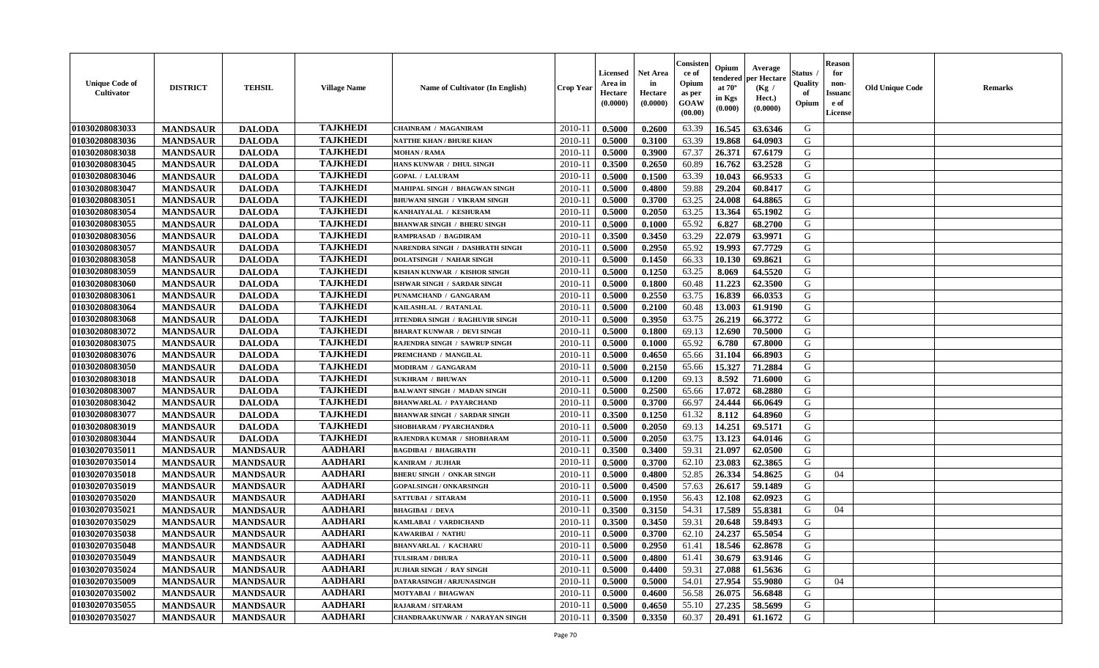| <b>Unique Code of</b><br><b>Cultivator</b> | <b>DISTRICT</b> | <b>TEHSIL</b>   | <b>Village Name</b> | <b>Name of Cultivator (In English)</b> | <b>Crop Year</b> | Licensed<br>Area in<br>Hectare<br>(0.0000) | Net Area<br>in<br>Hectare<br>(0.0000) | Consisteı<br>ce of<br>Opium<br>as per<br>GOAW<br>(00.00) | Opium<br>endered<br>at $70^{\circ}$<br>in Kgs<br>(0.000) | Average<br>per Hectare<br>(Kg /<br>Hect.)<br>(0.0000) | Status<br>Quality<br>of<br>Opium | <b>Reason</b><br>for<br>non-<br><b>Issuand</b><br>e of<br>License | <b>Old Unique Code</b> | Remarks |
|--------------------------------------------|-----------------|-----------------|---------------------|----------------------------------------|------------------|--------------------------------------------|---------------------------------------|----------------------------------------------------------|----------------------------------------------------------|-------------------------------------------------------|----------------------------------|-------------------------------------------------------------------|------------------------|---------|
| 01030208083033                             | <b>MANDSAUR</b> | <b>DALODA</b>   | <b>TAJKHEDI</b>     | <b>CHAINRAM / MAGANIRAM</b>            | 2010-11          | 0.5000                                     | 0.2600                                | 63.39                                                    | 16.545                                                   | 63.6346                                               | G                                |                                                                   |                        |         |
| 01030208083036                             | <b>MANDSAUR</b> | <b>DALODA</b>   | <b>TAJKHEDI</b>     | <b>NATTHE KHAN / BHURE KHAN</b>        | 2010-11          | 0.5000                                     | 0.3100                                | 63.39                                                    | 19.868                                                   | 64.0903                                               | G                                |                                                                   |                        |         |
| 01030208083038                             | <b>MANDSAUR</b> | <b>DALODA</b>   | <b>TAJKHEDI</b>     | <b>MOHAN / RAMA</b>                    | 2010-11          | 0.5000                                     | 0.3900                                | 67.37                                                    | 26.371                                                   | 67.6179                                               | G                                |                                                                   |                        |         |
| 01030208083045                             | <b>MANDSAUR</b> | <b>DALODA</b>   | <b>TAJKHEDI</b>     | HANS KUNWAR / DHUL SINGH               | 2010-11          | 0.3500                                     | 0.2650                                | 60.89                                                    | 16.762                                                   | 63.2528                                               | G                                |                                                                   |                        |         |
| 01030208083046                             | <b>MANDSAUR</b> | <b>DALODA</b>   | <b>TAJKHEDI</b>     | <b>GOPAL / LALURAM</b>                 | 2010-11          | 0.5000                                     | 0.1500                                | 63.39                                                    | 10.043                                                   | 66.9533                                               | G                                |                                                                   |                        |         |
| 01030208083047                             | <b>MANDSAUR</b> | <b>DALODA</b>   | <b>TAJKHEDI</b>     | MAHIPAL SINGH / BHAGWAN SINGH          | $2010 - 11$      | 0.5000                                     | 0.4800                                | 59.88                                                    | 29.204                                                   | 60.8417                                               | G                                |                                                                   |                        |         |
| 01030208083051                             | <b>MANDSAUR</b> | <b>DALODA</b>   | <b>TAJKHEDI</b>     | BHUWANI SINGH / VIKRAM SINGH           | $2010 - 11$      | 0.5000                                     | 0.3700                                | 63.25                                                    | 24.008                                                   | 64.8865                                               | G                                |                                                                   |                        |         |
| 01030208083054                             | <b>MANDSAUR</b> | <b>DALODA</b>   | <b>TAJKHEDI</b>     | KANHAIYALAL / KESHURAM                 | 2010-11          | 0.5000                                     | 0.2050                                | 63.25                                                    | 13.364                                                   | 65.1902                                               | G                                |                                                                   |                        |         |
| 01030208083055                             | <b>MANDSAUR</b> | <b>DALODA</b>   | <b>TAJKHEDI</b>     | <b>BHANWAR SINGH / BHERU SINGH</b>     | 2010-11          | 0.5000                                     | 0.1000                                | 65.92                                                    | 6.827                                                    | 68.2700                                               | G                                |                                                                   |                        |         |
| 01030208083056                             | <b>MANDSAUR</b> | <b>DALODA</b>   | <b>TAJKHEDI</b>     | RAMPRASAD / BAGDIRAM                   | 2010-11          | 0.3500                                     | 0.3450                                | 63.29                                                    | 22.079                                                   | 63.9971                                               | G                                |                                                                   |                        |         |
| 01030208083057                             | <b>MANDSAUR</b> | <b>DALODA</b>   | <b>TAJKHEDI</b>     | NARENDRA SINGH / DASHRATH SINGH        | 2010-11          | 0.5000                                     | 0.2950                                | 65.92                                                    | 19.993                                                   | 67.7729                                               | G                                |                                                                   |                        |         |
| 01030208083058                             | <b>MANDSAUR</b> | <b>DALODA</b>   | <b>TAJKHEDI</b>     | <b>DOLATSINGH / NAHAR SINGH</b>        | 2010-11          | 0.5000                                     | 0.1450                                | 66.33                                                    | 10.130                                                   | 69.8621                                               | G                                |                                                                   |                        |         |
| 01030208083059                             | <b>MANDSAUR</b> | <b>DALODA</b>   | <b>TAJKHEDI</b>     | KISHAN KUNWAR / KISHOR SINGH           | 2010-11          | 0.5000                                     | 0.1250                                | 63.25                                                    | 8.069                                                    | 64.5520                                               | G                                |                                                                   |                        |         |
| 01030208083060                             | <b>MANDSAUR</b> | <b>DALODA</b>   | <b>TAJKHEDI</b>     | ISHWAR SINGH / SARDAR SINGH            | 2010-11          | 0.5000                                     | 0.1800                                | 60.48                                                    | 11.223                                                   | 62.3500                                               | G                                |                                                                   |                        |         |
| 01030208083061                             | <b>MANDSAUR</b> | <b>DALODA</b>   | <b>TAJKHEDI</b>     | PUNAMCHAND / GANGARAM                  | $2010 - 11$      | 0.5000                                     | 0.2550                                | 63.75                                                    | 16.839                                                   | 66.0353                                               | $\mathbf G$                      |                                                                   |                        |         |
| 01030208083064                             | <b>MANDSAUR</b> | <b>DALODA</b>   | <b>TAJKHEDI</b>     | KAILASHLAL / RATANLAL                  | $2010 - 11$      | 0.5000                                     | 0.2100                                | 60.48                                                    | 13.003                                                   | 61.9190                                               | G                                |                                                                   |                        |         |
| 01030208083068                             | <b>MANDSAUR</b> | <b>DALODA</b>   | <b>TAJKHEDI</b>     | JITENDRA SINGH / RAGHUVIR SINGH        | 2010-11          | 0.5000                                     | 0.3950                                | 63.75                                                    | 26.219                                                   | 66.3772                                               | G                                |                                                                   |                        |         |
| 01030208083072                             | <b>MANDSAUR</b> | <b>DALODA</b>   | <b>TAJKHEDI</b>     | <b>BHARAT KUNWAR / DEVI SINGH</b>      | 2010-11          | 0.5000                                     | 0.1800                                | 69.13                                                    | 12.690                                                   | 70.5000                                               | G                                |                                                                   |                        |         |
| 01030208083075                             | <b>MANDSAUR</b> | <b>DALODA</b>   | <b>TAJKHEDI</b>     | RAJENDRA SINGH / SAWRUP SINGH          | 2010-11          | 0.5000                                     | 0.1000                                | 65.92                                                    | 6.780                                                    | 67.8000                                               | G                                |                                                                   |                        |         |
| 01030208083076                             | <b>MANDSAUR</b> | <b>DALODA</b>   | <b>TAJKHEDI</b>     | PREMCHAND / MANGILAL                   | 2010-11          | 0.5000                                     | 0.4650                                | 65.66                                                    | 31.104                                                   | 66.8903                                               | G                                |                                                                   |                        |         |
| 01030208083050                             | <b>MANDSAUR</b> | <b>DALODA</b>   | <b>TAJKHEDI</b>     | MODIRAM / GANGARAM                     | 2010-11          | 0.5000                                     | 0.2150                                | 65.66                                                    | 15.327                                                   | 71.2884                                               | G                                |                                                                   |                        |         |
| 01030208083018                             | <b>MANDSAUR</b> | <b>DALODA</b>   | <b>TAJKHEDI</b>     | <b>SUKHRAM / BHUWAN</b>                | 2010-11          | 0.5000                                     | 0.1200                                | 69.13                                                    | 8.592                                                    | 71.6000                                               | G                                |                                                                   |                        |         |
| 01030208083007                             | <b>MANDSAUR</b> | <b>DALODA</b>   | <b>TAJKHEDI</b>     | <b>BALWANT SINGH / MADAN SINGH</b>     | 2010-11          | 0.5000                                     | 0.2500                                | 65.66                                                    | 17.072                                                   | 68.2880                                               | G                                |                                                                   |                        |         |
| 01030208083042                             | <b>MANDSAUR</b> | <b>DALODA</b>   | <b>TAJKHEDI</b>     | <b>BHANWARLAL / PAYARCHAND</b>         | 2010-11          | 0.5000                                     | 0.3700                                | 66.97                                                    | 24.444                                                   | 66.0649                                               | G                                |                                                                   |                        |         |
| 01030208083077                             | <b>MANDSAUR</b> | <b>DALODA</b>   | <b>TAJKHEDI</b>     | <b>BHANWAR SINGH / SARDAR SINGH</b>    | 2010-11          | 0.3500                                     | 0.1250                                | 61.32                                                    | 8.112                                                    | 64.8960                                               | G                                |                                                                   |                        |         |
| 01030208083019                             | <b>MANDSAUR</b> | <b>DALODA</b>   | <b>TAJKHEDI</b>     | SHOBHARAM / PYARCHANDRA                | 2010-11          | 0.5000                                     | 0.2050                                | 69.13                                                    | 14.251                                                   | 69.5171                                               | G                                |                                                                   |                        |         |
| 01030208083044                             | <b>MANDSAUR</b> | <b>DALODA</b>   | <b>TAJKHEDI</b>     | RAJENDRA KUMAR / SHOBHARAM             | $2010 - 11$      | 0.5000                                     | 0.2050                                | 63.75                                                    | 13.123                                                   | 64.0146                                               | G                                |                                                                   |                        |         |
| 01030207035011                             | <b>MANDSAUR</b> | <b>MANDSAUR</b> | <b>AADHARI</b>      | <b>BAGDIBAI / BHAGIRATH</b>            | 2010-11          | 0.3500                                     | 0.3400                                | 59.31                                                    | 21.097                                                   | 62.0500                                               | G                                |                                                                   |                        |         |
| 01030207035014                             | <b>MANDSAUR</b> | <b>MANDSAUR</b> | <b>AADHARI</b>      | KANIRAM / JUJHAR                       | 2010-11          | 0.5000                                     | 0.3700                                | 62.10                                                    | 23.083                                                   | 62.3865                                               | G                                |                                                                   |                        |         |
| 01030207035018                             | <b>MANDSAUR</b> | <b>MANDSAUR</b> | <b>AADHARI</b>      | <b>BHERU SINGH / ONKAR SINGH</b>       | 2010-11          | 0.5000                                     | 0.4800                                | 52.85                                                    | 26.334                                                   | 54.8625                                               | G                                | 04                                                                |                        |         |
| 01030207035019                             | <b>MANDSAUR</b> | <b>MANDSAUR</b> | <b>AADHARI</b>      | <b>GOPALSINGH / ONKARSINGH</b>         | 2010-11          | 0.5000                                     | 0.4500                                | 57.63                                                    | 26.617                                                   | 59.1489                                               | G                                |                                                                   |                        |         |
| 01030207035020                             | <b>MANDSAUR</b> | <b>MANDSAUR</b> | <b>AADHARI</b>      | SATTUBAI / SITARAM                     | 2010-11          | 0.5000                                     | 0.1950                                | 56.43                                                    | 12.108                                                   | 62.0923                                               | G                                |                                                                   |                        |         |
| 01030207035021                             | <b>MANDSAUR</b> | <b>MANDSAUR</b> | <b>AADHARI</b>      | <b>BHAGIBAI / DEVA</b>                 | 2010-11          | 0.3500                                     | 0.3150                                | 54.31                                                    | 17.589                                                   | 55.8381                                               | G                                | 04                                                                |                        |         |
| 01030207035029                             | <b>MANDSAUR</b> | <b>MANDSAUR</b> | <b>AADHARI</b>      | KAMLABAI / VARDICHAND                  | 2010-11          | 0.3500                                     | 0.3450                                | 59.31                                                    | 20.648                                                   | 59.8493                                               | G                                |                                                                   |                        |         |
| 01030207035038                             | <b>MANDSAUR</b> | <b>MANDSAUR</b> | <b>AADHARI</b>      | KAWARIBAI / NATHU                      | 2010-11          | 0.5000                                     | 0.3700                                | 62.10                                                    | 24.237                                                   | 65.5054                                               | G                                |                                                                   |                        |         |
| 01030207035048                             | <b>MANDSAUR</b> | <b>MANDSAUR</b> | <b>AADHARI</b>      | <b>BHANVARLAL / KACHARU</b>            | 2010-11          | 0.5000                                     | 0.2950                                | 61.41                                                    | 18.546                                                   | 62.8678                                               | G                                |                                                                   |                        |         |
| 01030207035049                             | <b>MANDSAUR</b> | <b>MANDSAUR</b> | <b>AADHARI</b>      | <b>TULSIRAM / DHURA</b>                | 2010-11          | 0.5000                                     | 0.4800                                | 61.41                                                    | 30.679                                                   | 63.9146                                               | G                                |                                                                   |                        |         |
| 01030207035024                             | <b>MANDSAUR</b> | <b>MANDSAUR</b> | <b>AADHARI</b>      | JUJHAR SINGH / RAY SINGH               | 2010-11          | 0.5000                                     | 0.4400                                | 59.31                                                    | 27.088                                                   | 61.5636                                               | G                                |                                                                   |                        |         |
| 01030207035009                             | <b>MANDSAUR</b> | <b>MANDSAUR</b> | <b>AADHARI</b>      | DATARASINGH / ARJUNASINGH              | $2010 - 11$      | 0.5000                                     | 0.5000                                | 54.01                                                    | 27.954                                                   | 55.9080                                               | G                                | 04                                                                |                        |         |
| 01030207035002                             | <b>MANDSAUR</b> | <b>MANDSAUR</b> | <b>AADHARI</b>      | MOTYABAI / BHAGWAN                     | $2010 - 11$      | 0.5000                                     | 0.4600                                | 56.58                                                    | 26.075                                                   | 56.6848                                               | G                                |                                                                   |                        |         |
| 01030207035055                             | <b>MANDSAUR</b> | <b>MANDSAUR</b> | <b>AADHARI</b>      | <b>RAJARAM / SITARAM</b>               | 2010-11          | 0.5000                                     | 0.4650                                | 55.10                                                    | 27.235                                                   | 58.5699                                               | G                                |                                                                   |                        |         |
| 01030207035027                             | <b>MANDSAUR</b> | <b>MANDSAUR</b> | <b>AADHARI</b>      | <b>CHANDRAAKUNWAR / NARAYAN SINGH</b>  | 2010-11          | 0.3500                                     | 0.3350                                | 60.37                                                    | 20.491                                                   | 61.1672                                               | G                                |                                                                   |                        |         |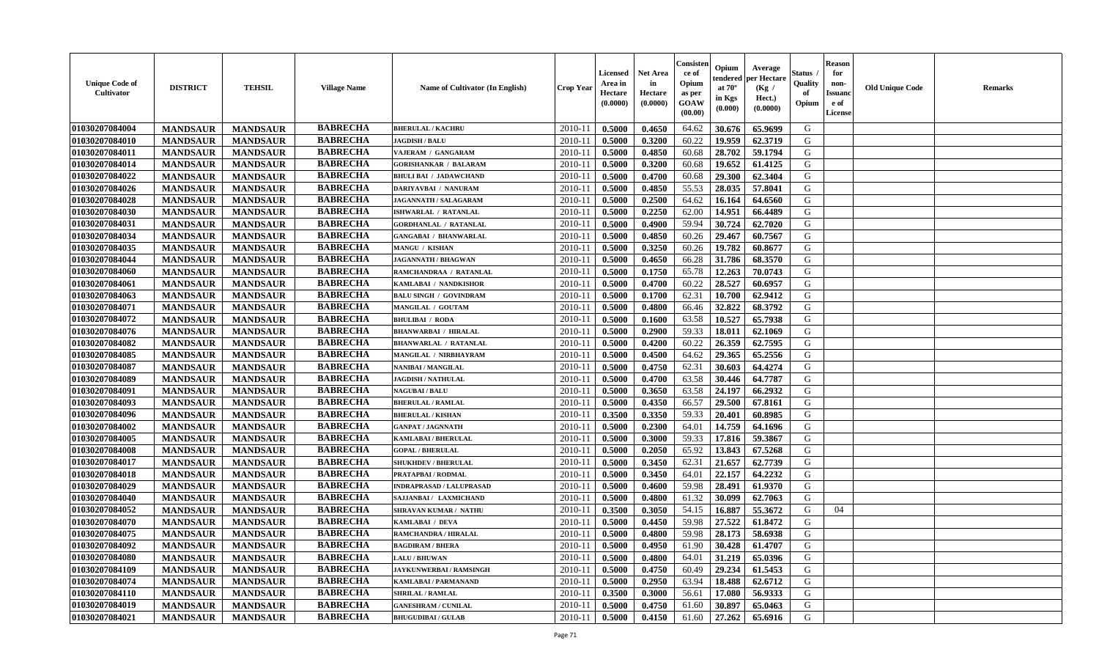| <b>Unique Code of</b><br>Cultivator | <b>DISTRICT</b> | <b>TEHSIL</b>   | <b>Village Name</b> | <b>Name of Cultivator (In English)</b> | <b>Crop Year</b> | <b>Licensed</b><br>Area in<br>Hectare<br>(0.0000) | Net Area<br>in<br>Hectare<br>(0.0000) | Consisteı<br>ce of<br>Opium<br>as per<br>GOAW<br>(00.00) | Opium<br>endered<br>at $70^\circ$<br>in Kgs<br>(0.000) | Average<br>per Hectare<br>(Kg /<br>Hect.)<br>(0.0000) | Status<br>Quality<br>of<br>Opium | <b>Reason</b><br>for<br>non-<br><b>Issuand</b><br>e of<br>License | <b>Old Unique Code</b> | Remarks |
|-------------------------------------|-----------------|-----------------|---------------------|----------------------------------------|------------------|---------------------------------------------------|---------------------------------------|----------------------------------------------------------|--------------------------------------------------------|-------------------------------------------------------|----------------------------------|-------------------------------------------------------------------|------------------------|---------|
| 01030207084004                      | <b>MANDSAUR</b> | <b>MANDSAUR</b> | <b>BABRECHA</b>     | <b>BHERULAL / KACHRU</b>               | 2010-11          | 0.5000                                            | 0.4650                                | 64.62                                                    | 30.676                                                 | 65.9699                                               | G                                |                                                                   |                        |         |
| 01030207084010                      | <b>MANDSAUR</b> | <b>MANDSAUR</b> | <b>BABRECHA</b>     | <b>JAGDISH / BALU</b>                  | 2010-11          | 0.5000                                            | 0.3200                                | 60.22                                                    | 19.959                                                 | 62.3719                                               | G                                |                                                                   |                        |         |
| 01030207084011                      | <b>MANDSAUR</b> | <b>MANDSAUR</b> | <b>BABRECHA</b>     | VAJERAM / GANGARAM                     | 2010-11          | 0.5000                                            | 0.4850                                | 60.68                                                    | 28.702                                                 | 59.1794                                               | G                                |                                                                   |                        |         |
| 01030207084014                      | <b>MANDSAUR</b> | <b>MANDSAUR</b> | <b>BABRECHA</b>     | <b>GORISHANKAR / BALARAM</b>           | 2010-11          | 0.5000                                            | 0.3200                                | 60.68                                                    | 19.652                                                 | 61.4125                                               | G                                |                                                                   |                        |         |
| 01030207084022                      | <b>MANDSAUR</b> | <b>MANDSAUR</b> | <b>BABRECHA</b>     | <b>BHULI BAI / JADAWCHAND</b>          | 2010-11          | 0.5000                                            | 0.4700                                | 60.68                                                    | 29.300                                                 | 62.3404                                               | G                                |                                                                   |                        |         |
| 01030207084026                      | <b>MANDSAUR</b> | <b>MANDSAUR</b> | <b>BABRECHA</b>     | DARIYAVBAI / NANURAM                   | 2010-11          | 0.5000                                            | 0.4850                                | 55.53                                                    | 28.035                                                 | 57.8041                                               | G                                |                                                                   |                        |         |
| 01030207084028                      | <b>MANDSAUR</b> | <b>MANDSAUR</b> | <b>BABRECHA</b>     | JAGANNATH / SALAGARAM                  | $2010 - 11$      | 0.5000                                            | 0.2500                                | 64.62                                                    | 16.164                                                 | 64.6560                                               | G                                |                                                                   |                        |         |
| 01030207084030                      | <b>MANDSAUR</b> | <b>MANDSAUR</b> | <b>BABRECHA</b>     | ISHWARLAL / RATANLAL                   | 2010-11          | 0.5000                                            | 0.2250                                | 62.00                                                    | 14.951                                                 | 66.4489                                               | G                                |                                                                   |                        |         |
| 01030207084031                      | <b>MANDSAUR</b> | <b>MANDSAUR</b> | <b>BABRECHA</b>     | <b>GORDHANLAL / RATANLAL</b>           | 2010-11          | 0.5000                                            | 0.4900                                | 59.94                                                    | 30.724                                                 | 62.7020                                               | G                                |                                                                   |                        |         |
| 01030207084034                      | <b>MANDSAUR</b> | <b>MANDSAUR</b> | <b>BABRECHA</b>     | <b>GANGABAI / BHANWARLAL</b>           | 2010-11          | 0.5000                                            | 0.4850                                | 60.26                                                    | 29.467                                                 | 60.7567                                               | G                                |                                                                   |                        |         |
| 01030207084035                      | <b>MANDSAUR</b> | <b>MANDSAUR</b> | <b>BABRECHA</b>     | <b>MANGU / KISHAN</b>                  | 2010-11          | 0.5000                                            | 0.3250                                | 60.26                                                    | 19.782                                                 | 60.8677                                               | G                                |                                                                   |                        |         |
| 01030207084044                      | <b>MANDSAUR</b> | <b>MANDSAUR</b> | <b>BABRECHA</b>     | <b>JAGANNATH / BHAGWAN</b>             | 2010-11          | 0.5000                                            | 0.4650                                | 66.28                                                    | 31.786                                                 | 68.3570                                               | G                                |                                                                   |                        |         |
| 01030207084060                      | <b>MANDSAUR</b> | <b>MANDSAUR</b> | <b>BABRECHA</b>     | RAMCHANDRAA / RATANLAL                 | 2010-11          | 0.5000                                            | 0.1750                                | 65.78                                                    | 12.263                                                 | 70.0743                                               | G                                |                                                                   |                        |         |
| 01030207084061                      | <b>MANDSAUR</b> | <b>MANDSAUR</b> | <b>BABRECHA</b>     | KAMLABAI / NANDKISHOR                  | 2010-11          | 0.5000                                            | 0.4700                                | 60.22                                                    | 28.527                                                 | 60.6957                                               | G                                |                                                                   |                        |         |
| 01030207084063                      | <b>MANDSAUR</b> | <b>MANDSAUR</b> | <b>BABRECHA</b>     | <b>BALU SINGH / GOVINDRAM</b>          | 2010-11          | 0.5000                                            | 0.1700                                | 62.31                                                    | 10.700                                                 | 62.9412                                               | $\mathbf G$                      |                                                                   |                        |         |
| 01030207084071                      | <b>MANDSAUR</b> | <b>MANDSAUR</b> | <b>BABRECHA</b>     | MANGILAL / GOUTAM                      | 2010-11          | 0.5000                                            | 0.4800                                | 66.46                                                    | 32.822                                                 | 68.3792                                               | G                                |                                                                   |                        |         |
| 01030207084072                      | <b>MANDSAUR</b> | <b>MANDSAUR</b> | <b>BABRECHA</b>     | <b>BHULIBAI / RODA</b>                 | 2010-11          | 0.5000                                            | 0.1600                                | 63.58                                                    | 10.527                                                 | 65.7938                                               | G                                |                                                                   |                        |         |
| 01030207084076                      | <b>MANDSAUR</b> | <b>MANDSAUR</b> | <b>BABRECHA</b>     | <b>BHANWARBAI / HIRALAL</b>            | 2010-11          | 0.5000                                            | 0.2900                                | 59.33                                                    | 18.011                                                 | 62.1069                                               | G                                |                                                                   |                        |         |
| 01030207084082                      | <b>MANDSAUR</b> | <b>MANDSAUR</b> | <b>BABRECHA</b>     | <b>BHANWARLAL / RATANLAL</b>           | 2010-11          | 0.5000                                            | 0.4200                                | 60.22                                                    | 26.359                                                 | 62.7595                                               | G                                |                                                                   |                        |         |
| 01030207084085                      | <b>MANDSAUR</b> | <b>MANDSAUR</b> | <b>BABRECHA</b>     | MANGILAL / NIRBHAYRAM                  | 2010-11          | 0.5000                                            | 0.4500                                | 64.62                                                    | 29.365                                                 | 65.2556                                               | G                                |                                                                   |                        |         |
| 01030207084087                      | <b>MANDSAUR</b> | <b>MANDSAUR</b> | <b>BABRECHA</b>     | <b>NANIBAI/MANGILAL</b>                | 2010-11          | 0.5000                                            | 0.4750                                | 62.31                                                    | 30.603                                                 | 64.4274                                               | G                                |                                                                   |                        |         |
| 01030207084089                      | <b>MANDSAUR</b> | <b>MANDSAUR</b> | <b>BABRECHA</b>     | <b>JAGDISH / NATHULAL</b>              | 2010-11          | 0.5000                                            | 0.4700                                | 63.58                                                    | 30.446                                                 | 64.7787                                               | G                                |                                                                   |                        |         |
| 01030207084091                      | <b>MANDSAUR</b> | <b>MANDSAUR</b> | <b>BABRECHA</b>     | <b>NAGUBAI/BALU</b>                    | 2010-11          | 0.5000                                            | 0.3650                                | 63.58                                                    | 24.197                                                 | 66.2932                                               | G                                |                                                                   |                        |         |
| 01030207084093                      | <b>MANDSAUR</b> | <b>MANDSAUR</b> | <b>BABRECHA</b>     | <b>BHERULAL / RAMLAL</b>               | 2010-11          | 0.5000                                            | 0.4350                                | 66.57                                                    | 29.500                                                 | 67.8161                                               | G                                |                                                                   |                        |         |
| 01030207084096                      | <b>MANDSAUR</b> | <b>MANDSAUR</b> | <b>BABRECHA</b>     | <b>BHERULAL / KISHAN</b>               | 2010-11          | 0.3500                                            | 0.3350                                | 59.33                                                    | 20.401                                                 | 60.8985                                               | G                                |                                                                   |                        |         |
| 01030207084002                      | <b>MANDSAUR</b> | <b>MANDSAUR</b> | <b>BABRECHA</b>     | <b>GANPAT / JAGNNATH</b>               | 2010-11          | 0.5000                                            | 0.2300                                | 64.01                                                    | 14.759                                                 | 64.1696                                               | G                                |                                                                   |                        |         |
| 01030207084005                      | <b>MANDSAUR</b> | <b>MANDSAUR</b> | <b>BABRECHA</b>     | <b>KAMLABAI/BHERULAL</b>               | 2010-11          | 0.5000                                            | 0.3000                                | 59.33                                                    | 17.816                                                 | 59.3867                                               | G                                |                                                                   |                        |         |
| 01030207084008                      | <b>MANDSAUR</b> | <b>MANDSAUR</b> | <b>BABRECHA</b>     | <b>GOPAL / BHERULAL</b>                | 2010-11          | 0.5000                                            | 0.2050                                | 65.92                                                    | 13.843                                                 | 67.5268                                               | G                                |                                                                   |                        |         |
| 01030207084017                      | <b>MANDSAUR</b> | <b>MANDSAUR</b> | <b>BABRECHA</b>     | <b>SHUKHDEV / BHERULAL</b>             | 2010-11          | 0.5000                                            | 0.3450                                | 62.31                                                    | 21.657                                                 | 62.7739                                               | G                                |                                                                   |                        |         |
| 01030207084018                      | <b>MANDSAUR</b> | <b>MANDSAUR</b> | <b>BABRECHA</b>     | PRATAPBAI / RODMAL                     | 2010-11          | 0.5000                                            | 0.3450                                | 64.01                                                    | 22.157                                                 | 64.2232                                               | G                                |                                                                   |                        |         |
| 01030207084029                      | <b>MANDSAUR</b> | <b>MANDSAUR</b> | <b>BABRECHA</b>     | <b>INDRAPRASAD / LALUPRASAD</b>        | 2010-11          | 0.5000                                            | 0.4600                                | 59.98                                                    | 28.491                                                 | 61.9370                                               | G                                |                                                                   |                        |         |
| 01030207084040                      | <b>MANDSAUR</b> | <b>MANDSAUR</b> | <b>BABRECHA</b>     | SAJJANBAI / LAXMICHAND                 | 2010-11          | 0.5000                                            | 0.4800                                | 61.32                                                    | 30.099                                                 | 62.7063                                               | G                                |                                                                   |                        |         |
| 01030207084052                      | <b>MANDSAUR</b> | <b>MANDSAUR</b> | <b>BABRECHA</b>     | <b>SHRAVAN KUMAR / NATHU</b>           | 2010-11          | 0.3500                                            | 0.3050                                | 54.15                                                    | 16.887                                                 | 55.3672                                               | G                                | 04                                                                |                        |         |
| 01030207084070                      | <b>MANDSAUR</b> | <b>MANDSAUR</b> | <b>BABRECHA</b>     | KAMLABAI / DEVA                        | 2010-11          | 0.5000                                            | 0.4450                                | 59.98                                                    | 27.522                                                 | 61.8472                                               | G                                |                                                                   |                        |         |
| 01030207084075                      | <b>MANDSAUR</b> | <b>MANDSAUR</b> | <b>BABRECHA</b>     | RAMCHANDRA / HIRALAL                   | 2010-11          | 0.5000                                            | 0.4800                                | 59.98                                                    | 28.173                                                 | 58.6938                                               | G                                |                                                                   |                        |         |
| 01030207084092                      | <b>MANDSAUR</b> | <b>MANDSAUR</b> | <b>BABRECHA</b>     | <b>BAGDIRAM / BHERA</b>                | 2010-11          | 0.5000                                            | 0.4950                                | 61.90                                                    | 30.428                                                 | 61.4707                                               | G                                |                                                                   |                        |         |
| 01030207084080                      | <b>MANDSAUR</b> | <b>MANDSAUR</b> | <b>BABRECHA</b>     | <b>LALU / BHUWAN</b>                   | 2010-11          | 0.5000                                            | 0.4800                                | 64.01                                                    | 31.219                                                 | 65.0396                                               | G                                |                                                                   |                        |         |
| 01030207084109                      | <b>MANDSAUR</b> | <b>MANDSAUR</b> | <b>BABRECHA</b>     | JAYKUNWERBAI / RAMSINGH                | 2010-11          | 0.5000                                            | 0.4750                                | 60.49                                                    | 29.234                                                 | 61.5453                                               | G                                |                                                                   |                        |         |
| 01030207084074                      | <b>MANDSAUR</b> | <b>MANDSAUR</b> | <b>BABRECHA</b>     | <b>KAMLABAI/PARMANAND</b>              | $2010 - 11$      | 0.5000                                            | 0.2950                                | 63.94                                                    | 18.488                                                 | 62.6712                                               | G                                |                                                                   |                        |         |
| 01030207084110                      | <b>MANDSAUR</b> | <b>MANDSAUR</b> | <b>BABRECHA</b>     | <b>SHRILAL / RAMLAL</b>                | 2010-11          | 0.3500                                            | 0.3000                                | 56.61                                                    | 17.080                                                 | 56.9333                                               | ${\bf G}$                        |                                                                   |                        |         |
| 01030207084019                      | <b>MANDSAUR</b> | <b>MANDSAUR</b> | <b>BABRECHA</b>     | <b>GANESHRAM / CUNILAL</b>             | 2010-11          | 0.5000                                            | 0.4750                                | 61.60                                                    | 30.897                                                 | 65.0463                                               | G                                |                                                                   |                        |         |
| 01030207084021                      | <b>MANDSAUR</b> | <b>MANDSAUR</b> | <b>BABRECHA</b>     | <b>BHUGUDIBAI / GULAB</b>              | 2010-11          | 0.5000                                            | 0.4150                                | 61.60                                                    | 27.262                                                 | 65.6916                                               | G                                |                                                                   |                        |         |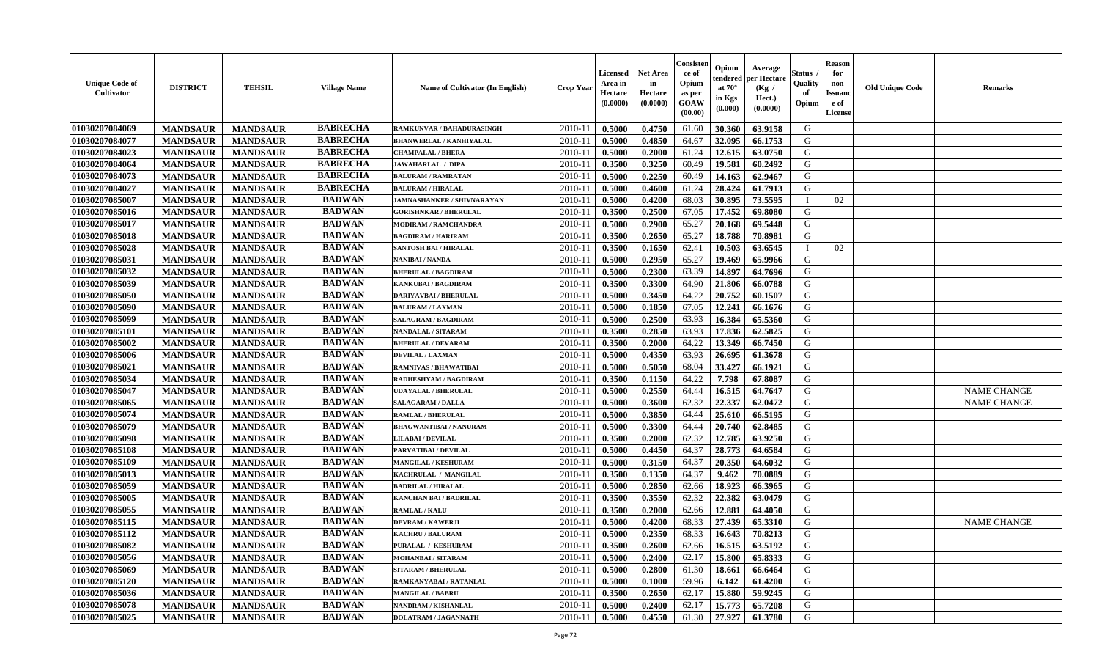| <b>Unique Code of</b><br><b>Cultivator</b> | <b>DISTRICT</b> | <b>TEHSIL</b>   | <b>Village Name</b> | <b>Name of Cultivator (In English)</b> | <b>Crop Year</b> | Licensed<br>Area in<br>Hectare<br>(0.0000) | <b>Net Area</b><br>in<br>Hectare<br>(0.0000) | Consister<br>ce of<br>Opium<br>as per<br>GOAW<br>(00.00) | Opium<br>endered<br>at $70^{\circ}$<br>in Kgs<br>$(\mathbf{0.000})$ | Average<br>per Hectare<br>(Kg /<br>Hect.)<br>(0.0000) | <b>Status</b> .<br>Quality<br>of<br>Opium | <b>Reason</b><br>for<br>non-<br><b>Issuand</b><br>e of<br>License | <b>Old Unique Code</b> | <b>Remarks</b>     |
|--------------------------------------------|-----------------|-----------------|---------------------|----------------------------------------|------------------|--------------------------------------------|----------------------------------------------|----------------------------------------------------------|---------------------------------------------------------------------|-------------------------------------------------------|-------------------------------------------|-------------------------------------------------------------------|------------------------|--------------------|
| 01030207084069                             | <b>MANDSAUR</b> | <b>MANDSAUR</b> | <b>BABRECHA</b>     | RAMKUNVAR / BAHADURASINGH              | 2010-11          | 0.5000                                     | 0.4750                                       | 61.60                                                    | 30.360                                                              | 63.9158                                               | G                                         |                                                                   |                        |                    |
| 01030207084077                             | <b>MANDSAUR</b> | <b>MANDSAUR</b> | <b>BABRECHA</b>     | <b>BHANWERLAL / KANHIYALAL</b>         | $2010 - 11$      | 0.5000                                     | 0.4850                                       | 64.67                                                    | 32.095                                                              | 66.1753                                               | G                                         |                                                                   |                        |                    |
| 01030207084023                             | <b>MANDSAUR</b> | <b>MANDSAUR</b> | <b>BABRECHA</b>     | <b>CHAMPALAL / BHERA</b>               | 2010-11          | 0.5000                                     | 0.2000                                       | 61.24                                                    | 12.615                                                              | 63.0750                                               | G                                         |                                                                   |                        |                    |
| 01030207084064                             | <b>MANDSAUR</b> | <b>MANDSAUR</b> | <b>BABRECHA</b>     | <b>JAWAHARLAL / DIPA</b>               | 2010-11          | 0.3500                                     | 0.3250                                       | 60.49                                                    | 19.581                                                              | 60.2492                                               | G                                         |                                                                   |                        |                    |
| 01030207084073                             | <b>MANDSAUR</b> | <b>MANDSAUR</b> | <b>BABRECHA</b>     | <b>BALURAM / RAMRATAN</b>              | 2010-11          | 0.5000                                     | 0.2250                                       | 60.49                                                    | 14.163                                                              | 62.9467                                               | G                                         |                                                                   |                        |                    |
| 01030207084027                             | <b>MANDSAUR</b> | <b>MANDSAUR</b> | <b>BABRECHA</b>     | <b>BALURAM / HIRALAL</b>               | $2010 - 11$      | 0.5000                                     | 0.4600                                       | 61.24                                                    | 28.424                                                              | 61.7913                                               | G                                         |                                                                   |                        |                    |
| 01030207085007                             | <b>MANDSAUR</b> | <b>MANDSAUR</b> | <b>BADWAN</b>       | <b>JAMNASHANKER / SHIVNARAYAN</b>      | $2010 - 1$       | 0.5000                                     | 0.4200                                       | 68.03                                                    | 30.895                                                              | 73.5595                                               |                                           | 02                                                                |                        |                    |
| 01030207085016                             | <b>MANDSAUR</b> | <b>MANDSAUR</b> | <b>BADWAN</b>       | <b>GORISHNKAR / BHERULAL</b>           | 2010-11          | 0.3500                                     | 0.2500                                       | 67.05                                                    | 17.452                                                              | 69.8080                                               | G                                         |                                                                   |                        |                    |
| 01030207085017                             | <b>MANDSAUR</b> | <b>MANDSAUR</b> | <b>BADWAN</b>       | <b>MODIRAM / RAMCHANDRA</b>            | 2010-11          | 0.5000                                     | 0.2900                                       | 65.27                                                    | 20.168                                                              | 69.5448                                               | G                                         |                                                                   |                        |                    |
| 01030207085018                             | <b>MANDSAUR</b> | <b>MANDSAUR</b> | <b>BADWAN</b>       | <b>BAGDIRAM / HARIRAM</b>              | 2010-11          | 0.3500                                     | 0.2650                                       | 65.27                                                    | 18.788                                                              | 70.8981                                               | G                                         |                                                                   |                        |                    |
| 01030207085028                             | <b>MANDSAUR</b> | <b>MANDSAUR</b> | <b>BADWAN</b>       | <b>SANTOSH BAI / HIRALAL</b>           | 2010-11          | 0.3500                                     | 0.1650                                       | 62.41                                                    | 10.503                                                              | 63.6545                                               | $\mathbf{I}$                              | 02                                                                |                        |                    |
| 01030207085031                             | <b>MANDSAUR</b> | <b>MANDSAUR</b> | <b>BADWAN</b>       | <b>NANIBAI / NANDA</b>                 | 2010-11          | 0.5000                                     | 0.2950                                       | 65.27                                                    | 19.469                                                              | 65.9966                                               | G                                         |                                                                   |                        |                    |
| 01030207085032                             | <b>MANDSAUR</b> | <b>MANDSAUR</b> | <b>BADWAN</b>       | <b>BHERULAL / BAGDIRAM</b>             | 2010-11          | 0.5000                                     | 0.2300                                       | 63.39                                                    | 14.897                                                              | 64.7696                                               | G                                         |                                                                   |                        |                    |
| 01030207085039                             | <b>MANDSAUR</b> | <b>MANDSAUR</b> | <b>BADWAN</b>       | KANKUBAI / BAGDIRAM                    | 2010-11          | 0.3500                                     | 0.3300                                       | 64.90                                                    | 21.806                                                              | 66.0788                                               | G                                         |                                                                   |                        |                    |
| 01030207085050                             | <b>MANDSAUR</b> | <b>MANDSAUR</b> | <b>BADWAN</b>       | <b>DARIYAVBAI / BHERULAL</b>           | $2010 - 1$       | 0.5000                                     | 0.3450                                       | 64.22                                                    | 20.752                                                              | 60.1507                                               | ${\bf G}$                                 |                                                                   |                        |                    |
| 01030207085090                             | <b>MANDSAUR</b> | <b>MANDSAUR</b> | <b>BADWAN</b>       | <b>BALURAM / LAXMAN</b>                | 2010-11          | 0.5000                                     | 0.1850                                       | 67.05                                                    | 12.241                                                              | 66.1676                                               | G                                         |                                                                   |                        |                    |
| 01030207085099                             | <b>MANDSAUR</b> | <b>MANDSAUR</b> | <b>BADWAN</b>       | <b>SALAGRAM / BAGDIRAM</b>             | 2010-11          | 0.5000                                     | 0.2500                                       | 63.93                                                    | 16.384                                                              | 65.5360                                               | G                                         |                                                                   |                        |                    |
| 01030207085101                             | <b>MANDSAUR</b> | <b>MANDSAUR</b> | <b>BADWAN</b>       | <b>NANDALAL / SITARAM</b>              | 2010-11          | 0.3500                                     | 0.2850                                       | 63.93                                                    | 17.836                                                              | 62.5825                                               | G                                         |                                                                   |                        |                    |
| 01030207085002                             | <b>MANDSAUR</b> | <b>MANDSAUR</b> | <b>BADWAN</b>       | <b>BHERULAL / DEVARAM</b>              | 2010-11          | 0.3500                                     | 0.2000                                       | 64.22                                                    | 13.349                                                              | 66.7450                                               | G                                         |                                                                   |                        |                    |
|                                            |                 |                 | <b>BADWAN</b>       | <b>DEVILAL / LAXMAN</b>                |                  |                                            | 0.4350                                       |                                                          |                                                                     |                                                       | G                                         |                                                                   |                        |                    |
| 01030207085006                             | <b>MANDSAUR</b> | <b>MANDSAUR</b> | <b>BADWAN</b>       |                                        | 2010-11          | 0.5000                                     |                                              | 63.93                                                    | 26.695                                                              | 61.3678                                               |                                           |                                                                   |                        |                    |
| 01030207085021                             | <b>MANDSAUR</b> | <b>MANDSAUR</b> | <b>BADWAN</b>       | <b>RAMNIVAS / BHAWATIBAI</b>           | 2010-11          | 0.5000                                     | 0.5050                                       | 68.04                                                    | 33.427                                                              | 66.1921                                               | G                                         |                                                                   |                        |                    |
| 01030207085034                             | <b>MANDSAUR</b> | <b>MANDSAUR</b> |                     | RADHESHYAM / BAGDIRAM                  | 2010-11          | 0.3500                                     | 0.1150                                       | 64.22                                                    | 7.798                                                               | 67.8087                                               | G                                         |                                                                   |                        |                    |
| 01030207085047                             | <b>MANDSAUR</b> | <b>MANDSAUR</b> | <b>BADWAN</b>       | <b>UDAYALAL / BHERULAL</b>             | $2010 - 1$       | 0.5000                                     | 0.2550                                       | 64.44                                                    | 16.515                                                              | 64.7647                                               | G                                         |                                                                   |                        | <b>NAME CHANGE</b> |
| 01030207085065                             | <b>MANDSAUR</b> | <b>MANDSAUR</b> | <b>BADWAN</b>       | <b>SALAGARAM / DALLA</b>               | 2010-11          | 0.5000                                     | 0.3600                                       | 62.32                                                    | 22.337                                                              | 62.0472                                               | ${\bf G}$                                 |                                                                   |                        | <b>NAME CHANGE</b> |
| 01030207085074                             | <b>MANDSAUR</b> | <b>MANDSAUR</b> | <b>BADWAN</b>       | <b>RAMLAL / BHERULAL</b>               | 2010-11          | 0.5000                                     | 0.3850                                       | 64.44                                                    | 25.610                                                              | 66.5195                                               | G                                         |                                                                   |                        |                    |
| 01030207085079                             | <b>MANDSAUR</b> | <b>MANDSAUR</b> | <b>BADWAN</b>       | <b>BHAGWANTIBAI / NANURAM</b>          | 2010-11          | 0.5000                                     | 0.3300                                       | 64.44                                                    | 20.740                                                              | 62.8485                                               | G                                         |                                                                   |                        |                    |
| 01030207085098                             | <b>MANDSAUR</b> | <b>MANDSAUR</b> | <b>BADWAN</b>       | <b>LILABAI / DEVILAL</b>               | 2010-11          | 0.3500                                     | 0.2000                                       | 62.32                                                    | 12.785                                                              | 63.9250                                               | G                                         |                                                                   |                        |                    |
| 01030207085108                             | <b>MANDSAUR</b> | <b>MANDSAUR</b> | <b>BADWAN</b>       | PARVATIBAI / DEVILAL                   | 2010-11          | 0.5000                                     | 0.4450                                       | 64.37                                                    | 28.773                                                              | 64.6584                                               | G                                         |                                                                   |                        |                    |
| 01030207085109                             | <b>MANDSAUR</b> | <b>MANDSAUR</b> | <b>BADWAN</b>       | <b>MANGILAL / KESHURAM</b>             | 2010-11          | 0.5000                                     | 0.3150                                       | 64.37                                                    | 20.350                                                              | 64.6032                                               | G                                         |                                                                   |                        |                    |
| 01030207085013                             | <b>MANDSAUR</b> | <b>MANDSAUR</b> | <b>BADWAN</b>       | KACHRULAL / MANGILAL                   | 2010-11          | 0.3500                                     | 0.1350                                       | 64.37                                                    | 9.462                                                               | 70.0889                                               | G                                         |                                                                   |                        |                    |
| 01030207085059                             | <b>MANDSAUR</b> | <b>MANDSAUR</b> | <b>BADWAN</b>       | <b>BADRILAL / HIRALAL</b>              | $2010 - 11$      | 0.5000                                     | 0.2850                                       | 62.66                                                    | 18.923                                                              | 66.3965                                               | G                                         |                                                                   |                        |                    |
| 01030207085005                             | <b>MANDSAUR</b> | <b>MANDSAUR</b> | <b>BADWAN</b>       | KANCHAN BAI / BADRILAL                 | 2010-11          | 0.3500                                     | 0.3550                                       | 62.32                                                    | 22.382                                                              | 63.0479                                               | G                                         |                                                                   |                        |                    |
| 01030207085055                             | <b>MANDSAUR</b> | <b>MANDSAUR</b> | <b>BADWAN</b>       | RAMLAL / KALU                          | 2010-11          | 0.3500                                     | 0.2000                                       | 62.66                                                    | 12.881                                                              | 64.4050                                               | G                                         |                                                                   |                        |                    |
| 01030207085115                             | <b>MANDSAUR</b> | <b>MANDSAUR</b> | <b>BADWAN</b>       | <b>DEVRAM / KAWERJI</b>                | 2010-11          | 0.5000                                     | 0.4200                                       | 68.33                                                    | 27.439                                                              | 65.3310                                               | G                                         |                                                                   |                        | <b>NAME CHANGE</b> |
| 01030207085112                             | <b>MANDSAUR</b> | <b>MANDSAUR</b> | <b>BADWAN</b>       | <b>KACHRU / BALURAM</b>                | 2010-11          | 0.5000                                     | 0.2350                                       | 68.33                                                    | 16.643                                                              | 70.8213                                               | ${\bf G}$                                 |                                                                   |                        |                    |
| 01030207085082                             | <b>MANDSAUR</b> | <b>MANDSAUR</b> | <b>BADWAN</b>       | PURALAL / KESHURAM                     | 2010-11          | 0.3500                                     | 0.2600                                       | 62.66                                                    | 16.515                                                              | 63.5192                                               | G                                         |                                                                   |                        |                    |
| 01030207085056                             | <b>MANDSAUR</b> | <b>MANDSAUR</b> | <b>BADWAN</b>       | <b>MOHANBAI/SITARAM</b>                | 2010-11          | 0.5000                                     | 0.2400                                       | 62.17                                                    | 15.800                                                              | 65.8333                                               | G                                         |                                                                   |                        |                    |
| 01030207085069                             | <b>MANDSAUR</b> | <b>MANDSAUR</b> | <b>BADWAN</b>       | <b>SITARAM / BHERULAL</b>              | 2010-11          | 0.5000                                     | 0.2800                                       | 61.30                                                    | 18.661                                                              | 66.6464                                               | G                                         |                                                                   |                        |                    |
| 01030207085120                             | <b>MANDSAUR</b> | <b>MANDSAUR</b> | <b>BADWAN</b>       | RAMKANYABAI / RATANLAL                 | $2010 - 11$      | 0.5000                                     | 0.1000                                       | 59.96                                                    | 6.142                                                               | 61.4200                                               | G                                         |                                                                   |                        |                    |
| 01030207085036                             | <b>MANDSAUR</b> | <b>MANDSAUR</b> | <b>BADWAN</b>       | <b>MANGILAL / BABRU</b>                | $2010 - 11$      | 0.3500                                     | 0.2650                                       | 62.17                                                    | 15.880                                                              | 59.9245                                               | ${\bf G}$                                 |                                                                   |                        |                    |
| 01030207085078                             | <b>MANDSAUR</b> | <b>MANDSAUR</b> | <b>BADWAN</b>       | NANDRAM / KISHANLAL                    | 2010-11          | 0.5000                                     | 0.2400                                       | 62.17                                                    | 15.773                                                              | 65.7208                                               | G                                         |                                                                   |                        |                    |
| 01030207085025                             | <b>MANDSAUR</b> | <b>MANDSAUR</b> | <b>BADWAN</b>       | <b>DOLATRAM / JAGANNATH</b>            | 2010-11          | 0.5000                                     | 0.4550                                       | 61.30                                                    | 27.927                                                              | 61.3780                                               | G                                         |                                                                   |                        |                    |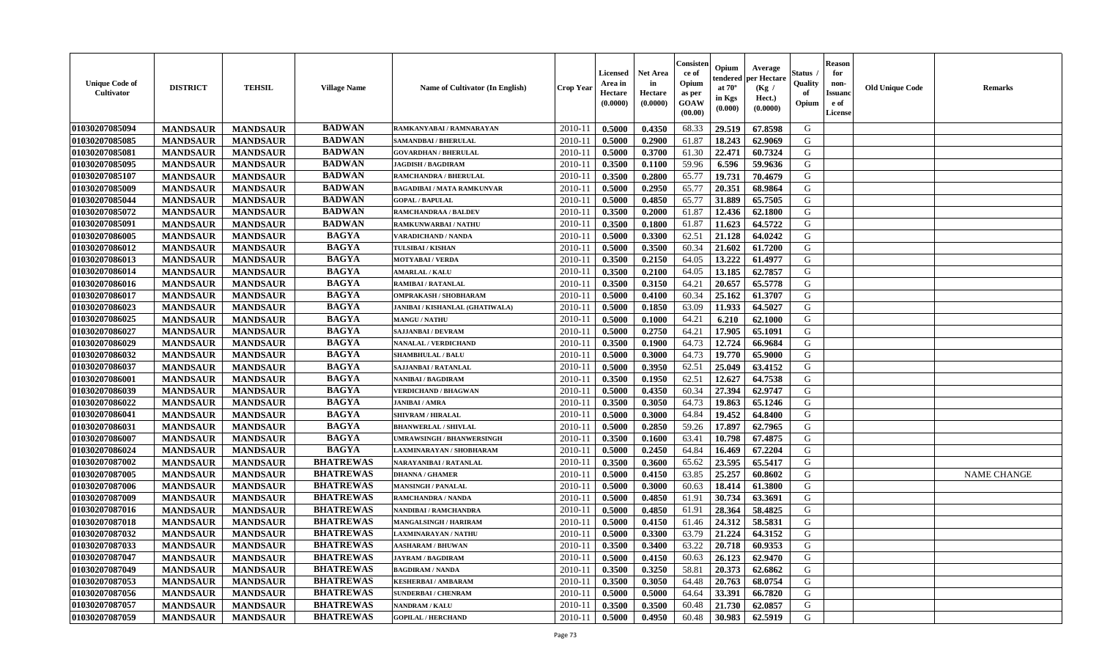| Consister<br><b>Reason</b><br>Opium<br>Average<br><b>Net Area</b><br><b>Status</b> .<br>for<br><b>Licensed</b><br>ce of<br>per Hectare<br>endered<br><b>Unique Code of</b><br>in<br>Opium<br>Quality<br>Area in<br>non-<br><b>DISTRICT</b><br><b>TEHSIL</b><br>at $70^{\circ}$<br><b>Village Name</b><br>Name of Cultivator (In English)<br><b>Crop Year</b><br>(Kg /<br><b>Cultivator</b><br>Hectare<br>of<br>Hectare<br><b>Issuand</b><br>as per<br>in Kgs<br>Hect.)<br>(0.0000)<br>(0.0000)<br>GOAW<br>e of<br>Opium<br>$(\mathbf{0.000})$<br>(0.0000)<br>(00.00)<br>License | <b>Old Unique Code</b> | <b>Remarks</b>     |
|---------------------------------------------------------------------------------------------------------------------------------------------------------------------------------------------------------------------------------------------------------------------------------------------------------------------------------------------------------------------------------------------------------------------------------------------------------------------------------------------------------------------------------------------------------------------------------|------------------------|--------------------|
| <b>BADWAN</b><br>01030207085094<br>2010-11<br>0.5000<br>0.4350<br>68.33<br>29.519<br>67.8598<br>G<br><b>MANDSAUR</b><br><b>MANDSAUR</b><br>RAMKANYABAI / RAMNARAYAN                                                                                                                                                                                                                                                                                                                                                                                                             |                        |                    |
| <b>BADWAN</b><br>01030207085085<br>G<br><b>MANDSAUR</b><br>$2010 - 11$<br>0.5000<br>0.2900<br>61.87<br>18.243<br>62.9069<br><b>MANDSAUR</b><br><b>SAMANDBAI / BHERULAL</b>                                                                                                                                                                                                                                                                                                                                                                                                      |                        |                    |
| <b>BADWAN</b><br>01030207085081<br>0.5000<br>0.3700<br>61.30<br>22.471<br>60.7324<br>G<br><b>MANDSAUR</b><br><b>MANDSAUR</b><br><b>GOVARDHAN / BHERULAL</b><br>2010-11                                                                                                                                                                                                                                                                                                                                                                                                          |                        |                    |
| <b>BADWAN</b><br>01030207085095<br><b>MANDSAUR</b><br><b>MANDSAUR</b><br>0.3500<br>0.1100<br>59.96<br>6.596<br>59.9636<br>G<br><b>JAGDISH / BAGDIRAM</b><br>2010-11                                                                                                                                                                                                                                                                                                                                                                                                             |                        |                    |
| 01030207085107<br><b>BADWAN</b><br><b>MANDSAUR</b><br><b>MANDSAUR</b><br>2010-11<br>0.3500<br>0.2800<br>65.77<br>19.731<br>70.4679<br>G<br><b>RAMCHANDRA / BHERULAL</b>                                                                                                                                                                                                                                                                                                                                                                                                         |                        |                    |
| <b>BADWAN</b><br>01030207085009<br><b>MANDSAUR</b><br><b>MANDSAUR</b><br>0.5000<br>0.2950<br>65.77<br>20.351<br>68.9864<br>G<br>$2010 - 11$<br><b>BAGADIBAI / MATA RAMKUNVAR</b>                                                                                                                                                                                                                                                                                                                                                                                                |                        |                    |
| <b>BADWAN</b><br>01030207085044<br><b>MANDSAUR</b><br><b>MANDSAUR</b><br>0.4850<br>65.77<br>31.889<br>65.7505<br>G<br>$2010 - 1$<br>0.5000<br><b>GOPAL / BAPULAL</b>                                                                                                                                                                                                                                                                                                                                                                                                            |                        |                    |
| 01030207085072<br><b>BADWAN</b><br>12.436<br>G<br><b>MANDSAUR</b><br><b>MANDSAUR</b><br>2010-11<br>0.3500<br>0.2000<br>61.87<br>62.1800<br>RAMCHANDRAA / BALDEV                                                                                                                                                                                                                                                                                                                                                                                                                 |                        |                    |
| 01030207085091<br><b>BADWAN</b><br>G<br><b>MANDSAUR</b><br><b>MANDSAUR</b><br>2010-11<br>0.3500<br>0.1800<br>61.87<br>11.623<br>64.5722<br>RAMKUNWARBAI / NATHU                                                                                                                                                                                                                                                                                                                                                                                                                 |                        |                    |
| <b>BAGYA</b><br>01030207086005<br>62.51<br>G<br><b>MANDSAUR</b><br>2010-11<br>0.5000<br>0.3300<br>21.128<br>64.0242<br><b>MANDSAUR</b><br><b>VARADICHAND / NANDA</b>                                                                                                                                                                                                                                                                                                                                                                                                            |                        |                    |
| <b>BAGYA</b><br>61.7200<br>G<br>01030207086012<br><b>MANDSAUR</b><br><b>MANDSAUR</b><br>2010-11<br>0.5000<br>0.3500<br>60.34<br>21.602<br><b>TULSIBAI/KISHAN</b>                                                                                                                                                                                                                                                                                                                                                                                                                |                        |                    |
| <b>BAGYA</b><br>13.222<br>01030207086013<br><b>MANDSAUR</b><br><b>MANDSAUR</b><br><b>MOTYABAI/VERDA</b><br>2010-11<br>0.3500<br>0.2150<br>64.05<br>61.4977<br>G                                                                                                                                                                                                                                                                                                                                                                                                                 |                        |                    |
| <b>BAGYA</b><br>01030207086014<br><b>MANDSAUR</b><br><b>MANDSAUR</b><br>0.3500<br>0.2100<br>13.185<br>62.7857<br>G<br><b>AMARLAL / KALU</b><br>2010-11<br>64.05                                                                                                                                                                                                                                                                                                                                                                                                                 |                        |                    |
| <b>BAGYA</b><br>01030207086016<br><b>MANDSAUR</b><br><b>MANDSAUR</b><br>2010-11<br>0.3500<br>0.3150<br>20.657<br>65.5778<br>G<br>64.21<br>RAMIBAI / RATANLAL                                                                                                                                                                                                                                                                                                                                                                                                                    |                        |                    |
| <b>BAGYA</b><br>25.162<br>${\bf G}$<br>01030207086017<br><b>MANDSAUR</b><br><b>MANDSAUR</b><br>$2010 - 1$<br>0.5000<br>0.4100<br>60.34<br>61.3707<br>OMPRAKASH / SHOBHARAM                                                                                                                                                                                                                                                                                                                                                                                                      |                        |                    |
| G<br>01030207086023<br><b>MANDSAUR</b><br><b>MANDSAUR</b><br><b>BAGYA</b><br>63.09<br>11.933<br>64.5027<br>2010-11<br>0.5000<br>0.1850<br>JANIBAI / KISHANLAL (GHATIWALA)                                                                                                                                                                                                                                                                                                                                                                                                       |                        |                    |
| <b>BAGYA</b><br>01030207086025<br>64.21<br>6.210<br>G<br><b>MANDSAUR</b><br><b>MANDSAUR</b><br>2010-11<br>0.5000<br>0.1000<br>62.1000<br><b>MANGU / NATHU</b>                                                                                                                                                                                                                                                                                                                                                                                                                   |                        |                    |
| <b>BAGYA</b><br>01030207086027<br><b>MANDSAUR</b><br>2010-11<br>0.2750<br>64.21<br>17.905<br>G<br><b>MANDSAUR</b><br>0.5000<br>65.1091<br><b>SAJJANBAI / DEVRAM</b>                                                                                                                                                                                                                                                                                                                                                                                                             |                        |                    |
| <b>BAGYA</b><br>64.73<br>12.724<br>G<br>01030207086029<br><b>MANDSAUR</b><br><b>MANDSAUR</b><br>2010-11<br>0.3500<br>0.1900<br>66.9684<br><b>NANALAL / VERDICHAND</b>                                                                                                                                                                                                                                                                                                                                                                                                           |                        |                    |
| <b>BAGYA</b><br>19.770<br>65.9000<br>G                                                                                                                                                                                                                                                                                                                                                                                                                                                                                                                                          |                        |                    |
| 01030207086032<br><b>MANDSAUR</b><br><b>MANDSAUR</b><br><b>SHAMBHULAL / BALU</b><br>2010-11<br>0.5000<br>0.3000<br>64.73<br><b>BAGYA</b>                                                                                                                                                                                                                                                                                                                                                                                                                                        |                        |                    |
| 01030207086037<br><b>MANDSAUR</b><br><b>MANDSAUR</b><br>0.3950<br>62.51<br>25.049<br>63.4152<br>G<br><b>SAJJANBAI / RATANLAL</b><br>2010-11<br>0.5000                                                                                                                                                                                                                                                                                                                                                                                                                           |                        |                    |
| <b>BAGYA</b><br>64.7538<br>01030207086001<br><b>MANDSAUR</b><br><b>MANDSAUR</b><br>2010-11<br>0.3500<br>0.1950<br>62.51<br>12.627<br>G<br>NANIBAI / BAGDIRAM                                                                                                                                                                                                                                                                                                                                                                                                                    |                        |                    |
| 01030207086039<br><b>MANDSAUR</b><br><b>BAGYA</b><br>27.394<br>62.9747<br>${\bf G}$<br><b>MANDSAUR</b><br>$2010 - 1$<br>0.5000<br>0.4350<br>60.34<br><b>VERDICHAND / BHAGWAN</b>                                                                                                                                                                                                                                                                                                                                                                                                |                        |                    |
| <b>BAGYA</b><br>${\bf G}$<br>01030207086022<br>64.73<br>19.863<br><b>MANDSAUR</b><br><b>MANDSAUR</b><br>2010-11<br>0.3500<br>0.3050<br>65.1246<br>JANIBAI / AMRA                                                                                                                                                                                                                                                                                                                                                                                                                |                        |                    |
| <b>BAGYA</b><br>G<br>01030207086041<br><b>MANDSAUR</b><br>2010-11<br>0.5000<br>0.3000<br>64.84<br>19.452<br>64.8400<br><b>MANDSAUR</b><br><b>SHIVRAM / HIRALAL</b>                                                                                                                                                                                                                                                                                                                                                                                                              |                        |                    |
| <b>BAGYA</b><br>01030207086031<br><b>MANDSAUR</b><br>2010-11<br>0.5000<br>0.2850<br>59.26<br>17.897<br>62.7965<br>G<br><b>MANDSAUR</b><br><b>BHANWERLAL / SHIVLAL</b>                                                                                                                                                                                                                                                                                                                                                                                                           |                        |                    |
| <b>BAGYA</b><br>01030207086007<br><b>MANDSAUR</b><br>0.1600<br>63.41<br>10.798<br>67.4875<br>G<br><b>MANDSAUR</b><br>2010-11<br>0.3500<br>UMRAWSINGH / BHANWERSINGH                                                                                                                                                                                                                                                                                                                                                                                                             |                        |                    |
| <b>BAGYA</b><br>0.2450<br>16.469<br>67.2204<br>G<br>01030207086024<br><b>MANDSAUR</b><br><b>MANDSAUR</b><br>LAXMINARAYAN / SHOBHARAM<br>2010-11<br>0.5000<br>64.84                                                                                                                                                                                                                                                                                                                                                                                                              |                        |                    |
| <b>BHATREWAS</b><br>23.595<br>65.5417<br>G<br>01030207087002<br><b>MANDSAUR</b><br><b>MANDSAUR</b><br><b>NARAYANIBAI / RATANLAL</b><br>2010-11<br>0.3500<br>0.3600<br>65.62                                                                                                                                                                                                                                                                                                                                                                                                     |                        |                    |
| <b>BHATREWAS</b><br>01030207087005<br>25.257<br><b>MANDSAUR</b><br><b>MANDSAUR</b><br>2010-11<br>0.5000<br>0.4150<br>63.85<br>60.8602<br>G<br><b>DHANNA / GHAMER</b>                                                                                                                                                                                                                                                                                                                                                                                                            |                        | <b>NAME CHANGE</b> |
| <b>BHATREWAS</b><br>01030207087006<br><b>MANDSAUR</b><br><b>MANDSAUR</b><br>60.63<br>18.414<br>61.3800<br>G<br>$2010 - 11$<br>0.5000<br>0.3000<br><b>MANSINGH / PANALAL</b>                                                                                                                                                                                                                                                                                                                                                                                                     |                        |                    |
| <b>BHATREWAS</b><br>01030207087009<br>G<br><b>MANDSAUR</b><br><b>MANDSAUR</b><br>2010-11<br>61.91<br>30.734<br>63.3691<br>0.5000<br>0.4850<br>RAMCHANDRA / NANDA                                                                                                                                                                                                                                                                                                                                                                                                                |                        |                    |
| <b>BHATREWAS</b><br>G<br>01030207087016<br><b>MANDSAUR</b><br>2010-11<br>0.5000<br>0.4850<br>61.91<br>28.364<br>58.4825<br><b>MANDSAUR</b><br>NANDIBAI / RAMCHANDRA                                                                                                                                                                                                                                                                                                                                                                                                             |                        |                    |
| <b>BHATREWAS</b><br>01030207087018<br>24.312<br>58.5831<br>G<br><b>MANDSAUR</b><br><b>MANDSAUR</b><br>2010-11<br>0.5000<br>0.4150<br>61.46<br><b>MANGALSINGH / HARIRAM</b>                                                                                                                                                                                                                                                                                                                                                                                                      |                        |                    |
| <b>BHATREWAS</b><br>${\bf G}$<br>01030207087032<br><b>MANDSAUR</b><br><b>MANDSAUR</b><br>0.5000<br>0.3300<br>63.79<br>21.224<br>64.3152<br>2010-11<br>LAXMINARAYAN / NATHU                                                                                                                                                                                                                                                                                                                                                                                                      |                        |                    |
| <b>BHATREWAS</b><br>63.22<br>20.718<br>G<br>01030207087033<br><b>MANDSAUR</b><br><b>MANDSAUR</b><br>0.3500<br>0.3400<br>60.9353<br><b>AASHARAM / BHUWAN</b><br>2010-11                                                                                                                                                                                                                                                                                                                                                                                                          |                        |                    |
| <b>BHATREWAS</b><br>01030207087047<br><b>MANDSAUR</b><br><b>MANDSAUR</b><br><b>JAYRAM / BAGDIRAM</b><br>2010-11<br>0.5000<br>0.4150<br>60.63<br>26.123<br>62.9470<br>G                                                                                                                                                                                                                                                                                                                                                                                                          |                        |                    |
| <b>BHATREWAS</b><br><b>MANDSAUR</b><br><b>MANDSAUR</b><br>0.3250<br>58.81<br>20.373<br>62.6862<br>G<br>01030207087049<br><b>BAGDIRAM / NANDA</b><br>2010-11<br>0.3500                                                                                                                                                                                                                                                                                                                                                                                                           |                        |                    |
| <b>BHATREWAS</b><br>01030207087053<br><b>MANDSAUR</b><br><b>MANDSAUR</b><br>0.3050<br>20.763<br>68.0754<br>G<br>$2010 - 11$<br>0.3500<br>64.48<br><b>KESHERBAI/AMBARAM</b>                                                                                                                                                                                                                                                                                                                                                                                                      |                        |                    |
| <b>BHATREWAS</b><br>33.391<br>${\bf G}$<br>01030207087056<br><b>MANDSAUR</b><br><b>MANDSAUR</b><br>0.5000<br>64.64<br>66.7820<br>$2010 - 11$<br>0.5000<br><b>SUNDERBAI/CHENRAM</b>                                                                                                                                                                                                                                                                                                                                                                                              |                        |                    |
| <b>BHATREWAS</b><br>G<br>01030207087057<br><b>MANDSAUR</b><br>2010-11<br>0.3500<br>0.3500<br>60.48<br>21.730<br>62.0857<br><b>MANDSAUR</b><br>NANDRAM / KALU                                                                                                                                                                                                                                                                                                                                                                                                                    |                        |                    |
| <b>BHATREWAS</b><br>G<br>01030207087059<br>2010-11<br>0.5000<br>0.4950<br>60.48<br>30.983<br>62.5919<br><b>MANDSAUR</b><br><b>MANDSAUR</b><br><b>GOPILAL / HERCHAND</b>                                                                                                                                                                                                                                                                                                                                                                                                         |                        |                    |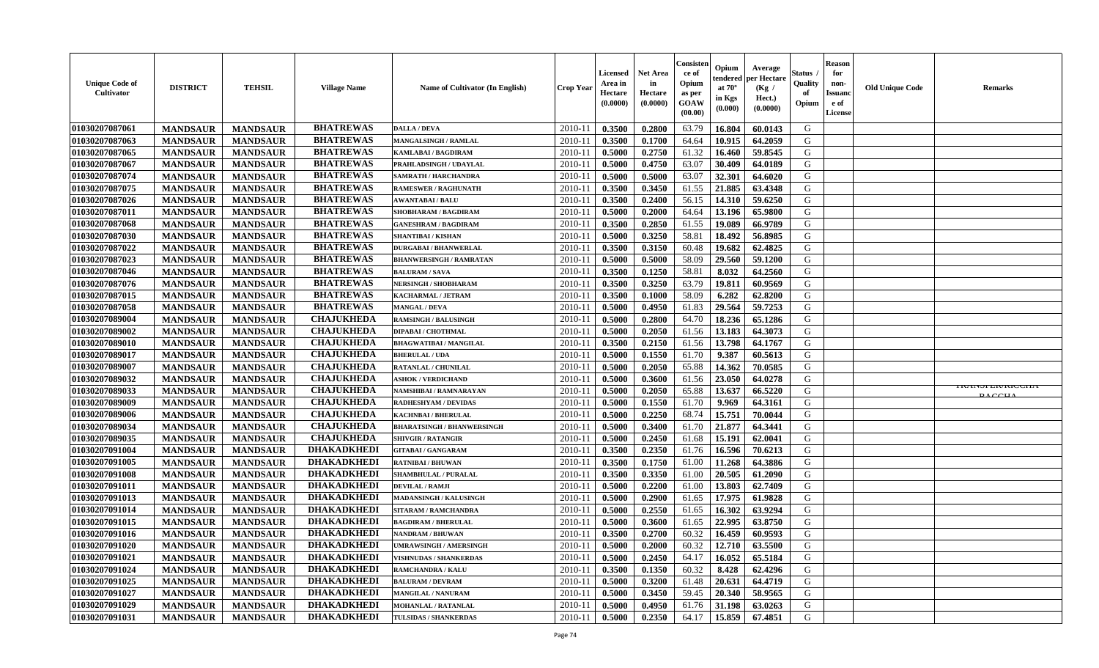| <b>Unique Code of</b><br><b>Cultivator</b> | <b>DISTRICT</b> | <b>TEHSIL</b>   | <b>Village Name</b> | <b>Name of Cultivator (In English)</b> | <b>Crop Year</b> | <b>Licensed</b><br>Area in<br>Hectare<br>(0.0000) | <b>Net Area</b><br>in<br>Hectare<br>(0.0000) | Consister<br>ce of<br>Opium<br>as per<br><b>GOAW</b><br>(00.00) | Opium<br>endered<br>at $70^\circ$<br>in Kgs<br>$(\mathbf{0.000})$ | Average<br>per Hectare<br>(Kg)<br>Hect.)<br>(0.0000) | Status<br>Quality<br>of<br>Opium | <b>Reason</b><br>for<br>non-<br><b>Issuano</b><br>e of<br>License | <b>Old Unique Code</b> | <b>Remarks</b>                      |
|--------------------------------------------|-----------------|-----------------|---------------------|----------------------------------------|------------------|---------------------------------------------------|----------------------------------------------|-----------------------------------------------------------------|-------------------------------------------------------------------|------------------------------------------------------|----------------------------------|-------------------------------------------------------------------|------------------------|-------------------------------------|
| 01030207087061                             | <b>MANDSAUR</b> | <b>MANDSAUR</b> | <b>BHATREWAS</b>    | <b>DALLA / DEVA</b>                    | 2010-11          | 0.3500                                            | 0.2800                                       | 63.79                                                           | 16.804                                                            | 60.0143                                              | G                                |                                                                   |                        |                                     |
| 01030207087063                             | <b>MANDSAUR</b> | <b>MANDSAUR</b> | <b>BHATREWAS</b>    | <b>MANGALSINGH / RAMLAL</b>            | $2010 - 1$       | 0.3500                                            | 0.1700                                       | 64.64                                                           | 10.915                                                            | 64.2059                                              | G                                |                                                                   |                        |                                     |
| 01030207087065                             | <b>MANDSAUR</b> | <b>MANDSAUR</b> | <b>BHATREWAS</b>    | KAMLABAI / BAGDIRAM                    | $2010 - 1$       | 0.5000                                            | 0.2750                                       | 61.32                                                           | 16.460                                                            | 59.8545                                              | G                                |                                                                   |                        |                                     |
| 01030207087067                             | <b>MANDSAUR</b> | <b>MANDSAUR</b> | <b>BHATREWAS</b>    | PRAHLADSINGH / UDAYLAL                 | $2010 - 11$      | 0.5000                                            | 0.4750                                       | 63.07                                                           | 30.409                                                            | 64.0189                                              | G                                |                                                                   |                        |                                     |
| 01030207087074                             | <b>MANDSAUR</b> | <b>MANDSAUR</b> | <b>BHATREWAS</b>    | <b>SAMRATH / HARCHANDRA</b>            | 2010-11          | 0.5000                                            | 0.5000                                       | 63.07                                                           | 32.301                                                            | 64.6020                                              | G                                |                                                                   |                        |                                     |
| 01030207087075                             | <b>MANDSAUR</b> | <b>MANDSAUR</b> | <b>BHATREWAS</b>    | <b>RAMESWER / RAGHUNATH</b>            | $2010 - 11$      | 0.3500                                            | 0.3450                                       | 61.55                                                           | 21.885                                                            | 63.4348                                              | G                                |                                                                   |                        |                                     |
| 01030207087026                             | <b>MANDSAUR</b> | <b>MANDSAUR</b> | <b>BHATREWAS</b>    | <b>AWANTABAI/BALU</b>                  | 2010-11          | 0.3500                                            | 0.2400                                       | 56.15                                                           | 14.310                                                            | 59.6250                                              | G                                |                                                                   |                        |                                     |
| 01030207087011                             | <b>MANDSAUR</b> | <b>MANDSAUR</b> | <b>BHATREWAS</b>    | SHOBHARAM / BAGDIRAM                   | $2010 - 11$      | 0.5000                                            | 0.2000                                       | 64.64                                                           | 13.196                                                            | 65.9800                                              | G                                |                                                                   |                        |                                     |
| 01030207087068                             | <b>MANDSAUR</b> | <b>MANDSAUR</b> | <b>BHATREWAS</b>    | <b>GANESHRAM / BAGDIRAM</b>            | 2010-11          | 0.3500                                            | 0.2850                                       | 61.55                                                           | 19.089                                                            | 66.9789                                              | G                                |                                                                   |                        |                                     |
| 01030207087030                             | <b>MANDSAUR</b> | <b>MANDSAUR</b> | <b>BHATREWAS</b>    | <b>SHANTIBAI / KISHAN</b>              | $2010 - 11$      | 0.5000                                            | 0.3250                                       | 58.81                                                           | 18.492                                                            | 56.8985                                              | G                                |                                                                   |                        |                                     |
| 01030207087022                             | <b>MANDSAUR</b> | <b>MANDSAUR</b> | <b>BHATREWAS</b>    | <b>DURGABAI/BHANWERLAL</b>             | 2010-11          | 0.3500                                            | 0.3150                                       | 60.48                                                           | 19.682                                                            | 62.4825                                              | G                                |                                                                   |                        |                                     |
| 01030207087023                             | <b>MANDSAUR</b> | <b>MANDSAUR</b> | <b>BHATREWAS</b>    | <b>BHANWERSINGH / RAMRATAN</b>         | 2010-11          | 0.5000                                            | 0.5000                                       | 58.09                                                           | 29.560                                                            | 59.1200                                              | G                                |                                                                   |                        |                                     |
| 01030207087046                             | <b>MANDSAUR</b> | <b>MANDSAUR</b> | <b>BHATREWAS</b>    | <b>BALURAM / SAVA</b>                  | 2010-11          | 0.3500                                            | 0.1250                                       | 58.81                                                           | 8.032                                                             | 64.2560                                              | G                                |                                                                   |                        |                                     |
| 01030207087076                             | <b>MANDSAUR</b> | <b>MANDSAUR</b> | <b>BHATREWAS</b>    | NERSINGH / SHOBHARAM                   | $2010 - 11$      | 0.3500                                            | 0.3250                                       | 63.79                                                           | 19.811                                                            | 60.9569                                              | G                                |                                                                   |                        |                                     |
| 01030207087015                             | <b>MANDSAUR</b> | <b>MANDSAUR</b> | <b>BHATREWAS</b>    | KACHARMAL / JETRAM                     | $2010 - 11$      | 0.3500                                            | 0.1000                                       | 58.09                                                           | 6.282                                                             | 62.8200                                              | G                                |                                                                   |                        |                                     |
| 01030207087058                             | <b>MANDSAUR</b> | <b>MANDSAUR</b> | <b>BHATREWAS</b>    | <b>MANGAL / DEVA</b>                   | 2010-11          | 0.5000                                            | 0.4950                                       | 61.83                                                           | 29.564                                                            | 59.7253                                              | G                                |                                                                   |                        |                                     |
| 01030207089004                             | <b>MANDSAUR</b> | <b>MANDSAUR</b> | <b>CHAJUKHEDA</b>   | <b>RAMSINGH / BALUSINGH</b>            | 2010-11          | 0.5000                                            | 0.2800                                       | 64.70                                                           | 18.236                                                            | 65.1286                                              | G                                |                                                                   |                        |                                     |
| 01030207089002                             | <b>MANDSAUR</b> | <b>MANDSAUR</b> | <b>CHAJUKHEDA</b>   | <b>DIPABAI/CHOTHMAL</b>                | 2010-11          | 0.5000                                            | 0.2050                                       | 61.56                                                           | 13.183                                                            | 64.3073                                              | G                                |                                                                   |                        |                                     |
| 01030207089010                             | <b>MANDSAUR</b> | <b>MANDSAUR</b> | <b>CHAJUKHEDA</b>   | <b>BHAGWATIBAI / MANGILAL</b>          | $2010 - 11$      | 0.3500                                            | 0.2150                                       | 61.56                                                           | 13.798                                                            | 64.1767                                              | G                                |                                                                   |                        |                                     |
| 01030207089017                             | <b>MANDSAUR</b> | <b>MANDSAUR</b> | <b>CHAJUKHEDA</b>   | <b>BHERULAL / UDA</b>                  | 2010-11          | 0.5000                                            | 0.1550                                       | 61.70                                                           | 9.387                                                             | 60.5613                                              | G                                |                                                                   |                        |                                     |
| 01030207089007                             | <b>MANDSAUR</b> | <b>MANDSAUR</b> | <b>CHAJUKHEDA</b>   | RATANLAL / CHUNILAL                    | $2010 - 11$      | 0.5000                                            | 0.2050                                       | 65.88                                                           | 14.362                                                            | 70.0585                                              | G                                |                                                                   |                        |                                     |
| 01030207089032                             | <b>MANDSAUR</b> | <b>MANDSAUR</b> | <b>CHAJUKHEDA</b>   | <b>ASHOK / VERDICHAND</b>              | 2010-11          | 0.5000                                            | 0.3600                                       | 61.56                                                           | 23.050                                                            | 64.0278                                              | G                                |                                                                   |                        |                                     |
| 01030207089033                             | <b>MANDSAUR</b> | <b>MANDSAUR</b> | <b>CHAJUKHEDA</b>   | NAMSHIBAI / RAMNARAYAN                 | 2010-11          | 0.5000                                            | 0.2050                                       | 65.88                                                           | 13.637                                                            | 66.5220                                              | G                                |                                                                   |                        | <b>IRAINSPER/RICCITA</b><br>DA CCIL |
| 01030207089009                             | <b>MANDSAUR</b> | <b>MANDSAUR</b> | <b>CHAJUKHEDA</b>   | RADHESHYAM / DEVIDAS                   | $2010 - 11$      | 0.5000                                            | 0.1550                                       | 61.70                                                           | 9.969                                                             | 64.3161                                              | G                                |                                                                   |                        |                                     |
| 01030207089006                             | <b>MANDSAUR</b> | <b>MANDSAUR</b> | <b>CHAJUKHEDA</b>   | KACHNBAI / BHERULAL                    | $2010 - 1$       | 0.5000                                            | 0.2250                                       | 68.74                                                           | 15.751                                                            | 70.0044                                              | G                                |                                                                   |                        |                                     |
| 01030207089034                             | <b>MANDSAUR</b> | <b>MANDSAUR</b> | <b>CHAJUKHEDA</b>   | <b>BHARATSINGH / BHANWERSINGH</b>      | 2010-11          | 0.5000                                            | 0.3400                                       | 61.70                                                           | 21.877                                                            | 64.3441                                              | G                                |                                                                   |                        |                                     |
| 01030207089035                             | <b>MANDSAUR</b> | <b>MANDSAUR</b> | <b>CHAJUKHEDA</b>   | <b>SHIVGIR / RATANGIR</b>              | $2010 - 11$      | 0.5000                                            | 0.2450                                       | 61.68                                                           | 15.191                                                            | 62.0041                                              | G                                |                                                                   |                        |                                     |
| 01030207091004                             | <b>MANDSAUR</b> | <b>MANDSAUR</b> | <b>DHAKADKHEDI</b>  | <b>GITABAI/ GANGARAM</b>               | 2010-11          | 0.3500                                            | 0.2350                                       | 61.76                                                           | 16.596                                                            | 70.6213                                              | G                                |                                                                   |                        |                                     |
| 01030207091005                             | <b>MANDSAUR</b> | <b>MANDSAUR</b> | <b>DHAKADKHEDI</b>  | <b>RATNIBAI / BHUWAN</b>               | 2010-11          | 0.3500                                            | 0.1750                                       | 61.00                                                           | 11.268                                                            | 64.3886                                              | G                                |                                                                   |                        |                                     |
| 01030207091008                             | <b>MANDSAUR</b> | <b>MANDSAUR</b> | <b>DHAKADKHEDI</b>  | <b>SHAMBHULAL / PURALAL</b>            | $2010 - 11$      | 0.3500                                            | 0.3350                                       | 61.00                                                           | 20.505                                                            | 61.2090                                              | G                                |                                                                   |                        |                                     |
| 01030207091011                             | <b>MANDSAUR</b> | <b>MANDSAUR</b> | <b>DHAKADKHEDI</b>  | <b>DEVILAL / RAMJI</b>                 | 2010-11          | 0.5000                                            | 0.2200                                       | 61.00                                                           | 13.803                                                            | 62.7409                                              | G                                |                                                                   |                        |                                     |
| 01030207091013                             | <b>MANDSAUR</b> | <b>MANDSAUR</b> | <b>DHAKADKHEDI</b>  | MADANSINGH / KALUSINGH                 | 2010-11          | 0.5000                                            | 0.2900                                       | 61.65                                                           | 17.975                                                            | 61.9828                                              | G                                |                                                                   |                        |                                     |
| 01030207091014                             | <b>MANDSAUR</b> | <b>MANDSAUR</b> | <b>DHAKADKHEDI</b>  | SITARAM / RAMCHANDRA                   | $2010 - 11$      | 0.5000                                            | 0.2550                                       | 61.65                                                           | 16.302                                                            | 63.9294                                              | G                                |                                                                   |                        |                                     |
| 01030207091015                             | <b>MANDSAUR</b> | <b>MANDSAUR</b> | <b>DHAKADKHEDI</b>  | <b>BAGDIRAM / BHERULAL</b>             | 2010-11          | 0.5000                                            | 0.3600                                       | 61.65                                                           | 22.995                                                            | 63.8750                                              | G                                |                                                                   |                        |                                     |
| 01030207091016                             | <b>MANDSAUR</b> | <b>MANDSAUR</b> | <b>DHAKADKHEDI</b>  | <b>NANDRAM / BHUWAN</b>                | 2010-11          | 0.3500                                            | 0.2700                                       | 60.32                                                           | 16.459                                                            | 60.9593                                              | G                                |                                                                   |                        |                                     |
| 01030207091020                             | <b>MANDSAUR</b> | <b>MANDSAUR</b> | <b>DHAKADKHEDI</b>  | <b>UMRAWSINGH / AMERSINGH</b>          | $2010-11$ 0.5000 |                                                   | 0.2000                                       |                                                                 |                                                                   | $60.32$   12.710   63.5500                           | G                                |                                                                   |                        |                                     |
| 01030207091021                             | <b>MANDSAUR</b> | <b>MANDSAUR</b> | <b>DHAKADKHEDI</b>  | <b>VISHNUDAS / SHANKERDAS</b>          | 2010-11          | 0.5000                                            | 0.2450                                       | 64.17                                                           | 16.052                                                            | 65.5184                                              | G                                |                                                                   |                        |                                     |
| 01030207091024                             | <b>MANDSAUR</b> | <b>MANDSAUR</b> | <b>DHAKADKHEDI</b>  | RAMCHANDRA / KALU                      | 2010-11          | 0.3500                                            | 0.1350                                       | 60.32                                                           | 8.428                                                             | 62.4296                                              | G                                |                                                                   |                        |                                     |
| 01030207091025                             | <b>MANDSAUR</b> | <b>MANDSAUR</b> | <b>DHAKADKHEDI</b>  | <b>BALURAM / DEVRAM</b>                | 2010-11          | 0.5000                                            | 0.3200                                       | 61.48                                                           | 20.631                                                            | 64.4719                                              | G                                |                                                                   |                        |                                     |
| 01030207091027                             | <b>MANDSAUR</b> | <b>MANDSAUR</b> | <b>DHAKADKHEDI</b>  | <b>MANGILAL / NANURAM</b>              | 2010-11          | 0.5000                                            | 0.3450                                       | 59.45                                                           | 20.340                                                            | 58.9565                                              | G                                |                                                                   |                        |                                     |
| 01030207091029                             | <b>MANDSAUR</b> | <b>MANDSAUR</b> | <b>DHAKADKHEDI</b>  | <b>MOHANLAL / RATANLAL</b>             | 2010-11          | 0.5000                                            | 0.4950                                       | 61.76                                                           | 31.198                                                            | 63.0263                                              | G                                |                                                                   |                        |                                     |
| 01030207091031                             | <b>MANDSAUR</b> | <b>MANDSAUR</b> | <b>DHAKADKHEDI</b>  | TULSIDAS / SHANKERDAS                  | $2010-11$        | 0.5000                                            | 0.2350                                       | 64.17                                                           |                                                                   | 15.859 67.4851                                       | G                                |                                                                   |                        |                                     |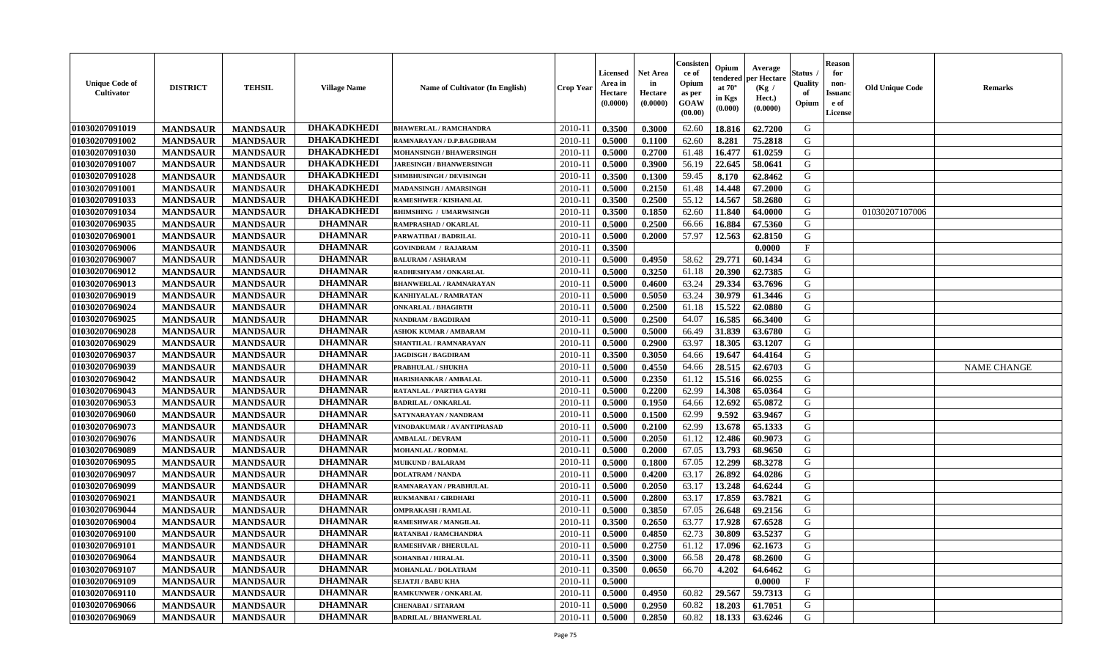| <b>Unique Code of</b><br><b>Cultivator</b> | <b>DISTRICT</b> | <b>TEHSIL</b>   | <b>Village Name</b> | Name of Cultivator (In English) | <b>Crop Year</b> | Licensed<br>Area in<br>Hectare<br>(0.0000) | <b>Net Area</b><br>in<br>Hectare<br>(0.0000) | Consister<br>ce of<br>Opium<br>as per<br>GOAW<br>(00.00) | Opium<br>endered<br>at $70^\circ$<br>in Kgs<br>(0.000) | Average<br>per Hectare<br>(Kg /<br>Hect.)<br>(0.0000) | <b>Status</b> .<br>Quality<br>of<br>Opium | <b>Reason</b><br>for<br>non-<br><b>Issuand</b><br>e of<br>License | <b>Old Unique Code</b> | <b>Remarks</b>     |
|--------------------------------------------|-----------------|-----------------|---------------------|---------------------------------|------------------|--------------------------------------------|----------------------------------------------|----------------------------------------------------------|--------------------------------------------------------|-------------------------------------------------------|-------------------------------------------|-------------------------------------------------------------------|------------------------|--------------------|
| 01030207091019                             | <b>MANDSAUR</b> | <b>MANDSAUR</b> | <b>DHAKADKHEDI</b>  | <b>BHAWERLAL / RAMCHANDRA</b>   | 2010-11          | 0.3500                                     | 0.3000                                       | 62.60                                                    | 18.816                                                 | 62.7200                                               | G                                         |                                                                   |                        |                    |
| 01030207091002                             | <b>MANDSAUR</b> | <b>MANDSAUR</b> | <b>DHAKADKHEDI</b>  | RAMNARAYAN / D.P.BAGDIRAM       | $2010 - 11$      | 0.5000                                     | 0.1100                                       | 62.60                                                    | 8.281                                                  | 75.2818                                               | G                                         |                                                                   |                        |                    |
| 01030207091030                             | <b>MANDSAUR</b> | <b>MANDSAUR</b> | <b>DHAKADKHEDI</b>  | <b>MOHANSINGH / BHAWERSINGH</b> | 2010-11          | 0.5000                                     | 0.2700                                       | 61.48                                                    | 16.477                                                 | 61.0259                                               | G                                         |                                                                   |                        |                    |
| 01030207091007                             | <b>MANDSAUR</b> | <b>MANDSAUR</b> | <b>DHAKADKHEDI</b>  | <b>JARESINGH / BHANWERSINGH</b> | 2010-11          | 0.5000                                     | 0.3900                                       | 56.19                                                    | 22.645                                                 | 58.0641                                               | G                                         |                                                                   |                        |                    |
| 01030207091028                             | <b>MANDSAUR</b> | <b>MANDSAUR</b> | <b>DHAKADKHEDI</b>  | SHMBHUSINGH / DEVISINGH         | 2010-11          | 0.3500                                     | 0.1300                                       | 59.45                                                    | 8.170                                                  | 62.8462                                               | G                                         |                                                                   |                        |                    |
| 01030207091001                             | <b>MANDSAUR</b> | <b>MANDSAUR</b> | <b>DHAKADKHEDI</b>  | MADANSINGH / AMARSINGH          | 2010-11          | 0.5000                                     | 0.2150                                       | 61.48                                                    | 14.448                                                 | 67.2000                                               | G                                         |                                                                   |                        |                    |
| 01030207091033                             | <b>MANDSAUR</b> | <b>MANDSAUR</b> | <b>DHAKADKHEDI</b>  | RAMESHWER / KISHANLAL           | $2010 - 1$       | 0.3500                                     | 0.2500                                       | 55.12                                                    | 14.567                                                 | 58.2680                                               | G                                         |                                                                   |                        |                    |
| 01030207091034                             | <b>MANDSAUR</b> | <b>MANDSAUR</b> | <b>DHAKADKHEDI</b>  | <b>BHIMSHING / UMARWSINGH</b>   | 2010-11          | 0.3500                                     | 0.1850                                       | 62.60                                                    | 11.840                                                 | 64.0000                                               | G                                         |                                                                   | 01030207107006         |                    |
| 01030207069035                             | <b>MANDSAUR</b> | <b>MANDSAUR</b> | <b>DHAMNAR</b>      | RAMPRASHAD / OKARLAL            | 2010-11          | 0.5000                                     | 0.2500                                       | 66.66                                                    | 16.884                                                 | 67.5360                                               | G                                         |                                                                   |                        |                    |
| 01030207069001                             | <b>MANDSAUR</b> | <b>MANDSAUR</b> | <b>DHAMNAR</b>      | PARWATIBAI / BADRILAL           | 2010-11          | 0.5000                                     | 0.2000                                       | 57.97                                                    | 12.563                                                 | 62.8150                                               | G                                         |                                                                   |                        |                    |
| 01030207069006                             | <b>MANDSAUR</b> | <b>MANDSAUR</b> | <b>DHAMNAR</b>      | <b>GOVINDRAM / RAJARAM</b>      | 2010-11          | 0.3500                                     |                                              |                                                          |                                                        | 0.0000                                                | $\rm F$                                   |                                                                   |                        |                    |
| 01030207069007                             | <b>MANDSAUR</b> | <b>MANDSAUR</b> | <b>DHAMNAR</b>      | <b>BALURAM / ASHARAM</b>        | 2010-11          | 0.5000                                     | 0.4950                                       | 58.62                                                    | 29.771                                                 | 60.1434                                               | G                                         |                                                                   |                        |                    |
| 01030207069012                             | <b>MANDSAUR</b> | <b>MANDSAUR</b> | <b>DHAMNAR</b>      | RADHESHYAM / ONKARLAL           | 2010-11          | 0.5000                                     | 0.3250                                       | 61.18                                                    | 20.390                                                 | 62.7385                                               | G                                         |                                                                   |                        |                    |
| 01030207069013                             | <b>MANDSAUR</b> | <b>MANDSAUR</b> | <b>DHAMNAR</b>      | <b>BHANWERLAL / RAMNARAYAN</b>  | 2010-11          | 0.5000                                     | 0.4600                                       | 63.24                                                    | 29.334                                                 | 63.7696                                               | G                                         |                                                                   |                        |                    |
| 01030207069019                             | <b>MANDSAUR</b> | <b>MANDSAUR</b> | <b>DHAMNAR</b>      | KANHIYALAL / RAMRATAN           | $2010 - 1$       | 0.5000                                     | 0.5050                                       | 63.24                                                    | 30.979                                                 | 61.3446                                               | ${\bf G}$                                 |                                                                   |                        |                    |
| 01030207069024                             | <b>MANDSAUR</b> | <b>MANDSAUR</b> | <b>DHAMNAR</b>      | <b>ONKARLAL / BHAGIRTH</b>      | 2010-11          | 0.5000                                     | 0.2500                                       | 61.18                                                    | 15.522                                                 | 62.0880                                               | G                                         |                                                                   |                        |                    |
| 01030207069025                             | <b>MANDSAUR</b> | <b>MANDSAUR</b> | <b>DHAMNAR</b>      | NANDRAM / BAGDIRAM              | 2010-11          | 0.5000                                     | 0.2500                                       | 64.07                                                    | 16.585                                                 | 66.3400                                               | G                                         |                                                                   |                        |                    |
| 01030207069028                             | <b>MANDSAUR</b> | <b>MANDSAUR</b> | <b>DHAMNAR</b>      | <b>ASHOK KUMAR / AMBARAM</b>    | 2010-11          | 0.5000                                     | 0.5000                                       | 66.49                                                    | 31.839                                                 | 63.6780                                               | G                                         |                                                                   |                        |                    |
| 01030207069029                             | <b>MANDSAUR</b> | <b>MANDSAUR</b> | <b>DHAMNAR</b>      | SHANTILAL / RAMNARAYAN          | 2010-11          | 0.5000                                     | 0.2900                                       | 63.97                                                    | 18.305                                                 | 63.1207                                               | G                                         |                                                                   |                        |                    |
|                                            |                 |                 | <b>DHAMNAR</b>      | <b>JAGDISGH / BAGDIRAM</b>      |                  |                                            | 0.3050                                       |                                                          | 19.647                                                 |                                                       | G                                         |                                                                   |                        |                    |
| 01030207069037                             | <b>MANDSAUR</b> | <b>MANDSAUR</b> | <b>DHAMNAR</b>      |                                 | 2010-11          | 0.3500                                     |                                              | 64.66                                                    |                                                        | 64.4164                                               |                                           |                                                                   |                        |                    |
| 01030207069039                             | <b>MANDSAUR</b> | <b>MANDSAUR</b> |                     | PRABHULAL / SHUKHA              | 2010-11          | 0.5000                                     | 0.4550                                       | 64.66                                                    | 28.515                                                 | 62.6703                                               | G                                         |                                                                   |                        | <b>NAME CHANGE</b> |
| 01030207069042                             | <b>MANDSAUR</b> | <b>MANDSAUR</b> | <b>DHAMNAR</b>      | HARISHANKAR / AMBALAL           | 2010-11          | 0.5000                                     | 0.2350                                       | 61.12                                                    | 15.516                                                 | 66.0255                                               | G                                         |                                                                   |                        |                    |
| 01030207069043                             | <b>MANDSAUR</b> | <b>MANDSAUR</b> | <b>DHAMNAR</b>      | RATANLAL / PARTHA GAYRI         | $2010 - 1$       | 0.5000                                     | 0.2200                                       | 62.99                                                    | 14.308                                                 | 65.0364                                               | ${\bf G}$                                 |                                                                   |                        |                    |
| 01030207069053                             | <b>MANDSAUR</b> | <b>MANDSAUR</b> | <b>DHAMNAR</b>      | <b>BADRILAL / ONKARLAL</b>      | 2010-11          | 0.5000                                     | 0.1950                                       | 64.66                                                    | 12.692                                                 | 65.0872                                               | ${\bf G}$                                 |                                                                   |                        |                    |
| 01030207069060                             | <b>MANDSAUR</b> | <b>MANDSAUR</b> | <b>DHAMNAR</b>      | SATYNARAYAN / NANDRAM           | 2010-11          | 0.5000                                     | 0.1500                                       | 62.99                                                    | 9.592                                                  | 63.9467                                               | G                                         |                                                                   |                        |                    |
| 01030207069073                             | <b>MANDSAUR</b> | <b>MANDSAUR</b> | <b>DHAMNAR</b>      | VINODAKUMAR / AVANTIPRASAD      | 2010-11          | 0.5000                                     | 0.2100                                       | 62.99                                                    | 13.678                                                 | 65.1333                                               | G                                         |                                                                   |                        |                    |
| 01030207069076                             | <b>MANDSAUR</b> | <b>MANDSAUR</b> | <b>DHAMNAR</b>      | <b>AMBALAL / DEVRAM</b>         | 2010-11          | 0.5000                                     | 0.2050                                       | 61.12                                                    | 12.486                                                 | 60.9073                                               | G                                         |                                                                   |                        |                    |
| 01030207069089                             | <b>MANDSAUR</b> | <b>MANDSAUR</b> | <b>DHAMNAR</b>      | <b>MOHANLAL / RODMAL</b>        | 2010-11          | 0.5000                                     | 0.2000                                       | 67.05                                                    | 13.793                                                 | 68.9650                                               | G                                         |                                                                   |                        |                    |
| 01030207069095                             | <b>MANDSAUR</b> | <b>MANDSAUR</b> | <b>DHAMNAR</b>      | <b>MUIKUND / BALARAM</b>        | 2010-11          | 0.5000                                     | 0.1800                                       | 67.05                                                    | 12.299                                                 | 68.3278                                               | G                                         |                                                                   |                        |                    |
| 01030207069097                             | <b>MANDSAUR</b> | <b>MANDSAUR</b> | <b>DHAMNAR</b>      | <b>DOLATRAM / NANDA</b>         | 2010-11          | 0.5000                                     | 0.4200                                       | 63.17                                                    | 26.892                                                 | 64.0286                                               | G                                         |                                                                   |                        |                    |
| 01030207069099                             | <b>MANDSAUR</b> | <b>MANDSAUR</b> | <b>DHAMNAR</b>      | RAMNARAYAN / PRABHULAL          | $2010 - 11$      | 0.5000                                     | 0.2050                                       | 63.17                                                    | 13.248                                                 | 64.6244                                               | G                                         |                                                                   |                        |                    |
| 01030207069021                             | <b>MANDSAUR</b> | <b>MANDSAUR</b> | <b>DHAMNAR</b>      | <b>RUKMANBAI/GIRDHARI</b>       | 2010-11          | 0.5000                                     | 0.2800                                       | 63.17                                                    | 17.859                                                 | 63.7821                                               | G                                         |                                                                   |                        |                    |
| 01030207069044                             | <b>MANDSAUR</b> | <b>MANDSAUR</b> | <b>DHAMNAR</b>      | <b>OMPRAKASH / RAMLAL</b>       | 2010-11          | 0.5000                                     | 0.3850                                       | 67.05                                                    | 26.648                                                 | 69.2156                                               | G                                         |                                                                   |                        |                    |
| 01030207069004                             | <b>MANDSAUR</b> | <b>MANDSAUR</b> | <b>DHAMNAR</b>      | RAMESHWAR / MANGILAL            | 2010-11          | 0.3500                                     | 0.2650                                       | 63.77                                                    | 17.928                                                 | 67.6528                                               | G                                         |                                                                   |                        |                    |
| 01030207069100                             | <b>MANDSAUR</b> | <b>MANDSAUR</b> | <b>DHAMNAR</b>      | RATANBAI / RAMCHANDRA           | 2010-11          | 0.5000                                     | 0.4850                                       | 62.73                                                    | 30.809                                                 | 63.5237                                               | ${\bf G}$                                 |                                                                   |                        |                    |
| 01030207069101                             | <b>MANDSAUR</b> | <b>MANDSAUR</b> | <b>DHAMNAR</b>      | <b>RAMESHVAR / BHERULAL</b>     | 2010-11          | 0.5000                                     | 0.2750                                       | 61.12                                                    | 17.096                                                 | 62.1673                                               | G                                         |                                                                   |                        |                    |
| 01030207069064                             | <b>MANDSAUR</b> | <b>MANDSAUR</b> | <b>DHAMNAR</b>      | <b>SOHANBAI/HIRALAL</b>         | 2010-11          | 0.3500                                     | 0.3000                                       | 66.58                                                    | 20.478                                                 | 68.2600                                               | G                                         |                                                                   |                        |                    |
| 01030207069107                             | <b>MANDSAUR</b> | <b>MANDSAUR</b> | <b>DHAMNAR</b>      | <b>MOHANLAL / DOLATRAM</b>      | 2010-11          | 0.3500                                     | 0.0650                                       | 66.70                                                    | 4.202                                                  | 64.6462                                               | G                                         |                                                                   |                        |                    |
| 01030207069109                             | <b>MANDSAUR</b> | <b>MANDSAUR</b> | <b>DHAMNAR</b>      | <b>SEJATJI / BABU KHA</b>       | $2010 - 11$      | 0.5000                                     |                                              |                                                          |                                                        | 0.0000                                                | $\mathbf{F}$                              |                                                                   |                        |                    |
| 01030207069110                             | <b>MANDSAUR</b> | <b>MANDSAUR</b> | <b>DHAMNAR</b>      | <b>RAMKUNWER / ONKARLAL</b>     | $2010 - 11$      | 0.5000                                     | 0.4950                                       | 60.82                                                    | 29.567                                                 | 59.7313                                               | ${\bf G}$                                 |                                                                   |                        |                    |
| 01030207069066                             | <b>MANDSAUR</b> | <b>MANDSAUR</b> | <b>DHAMNAR</b>      | CHENABAI / SITARAM              | 2010-11          | 0.5000                                     | 0.2950                                       | 60.82                                                    | 18.203                                                 | 61.7051                                               | G                                         |                                                                   |                        |                    |
| 01030207069069                             | <b>MANDSAUR</b> | <b>MANDSAUR</b> | <b>DHAMNAR</b>      | <b>BADRILAL / BHANWERLAL</b>    | 2010-11          | 0.5000                                     | 0.2850                                       | 60.82                                                    | 18.133                                                 | 63.6246                                               | G                                         |                                                                   |                        |                    |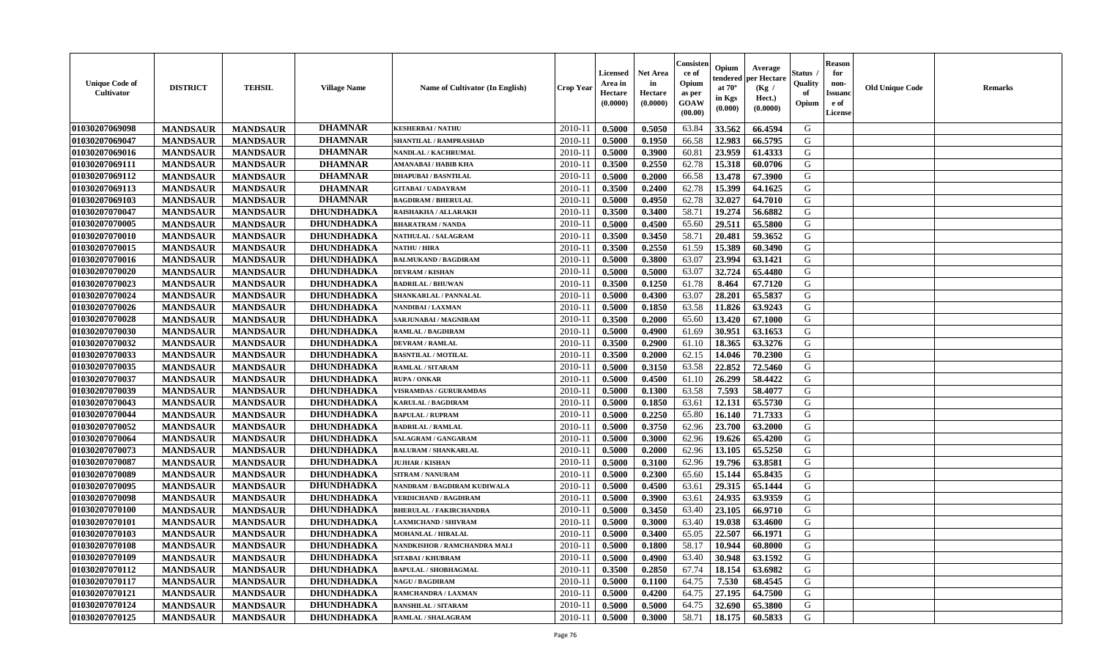| <b>Unique Code of</b><br><b>Cultivator</b> | <b>DISTRICT</b> | <b>TEHSIL</b>   | <b>Village Name</b> | <b>Name of Cultivator (In English)</b> | <b>Crop Year</b> | Licensed<br>Area in<br>Hectare<br>(0.0000) | Net Area<br>in<br>Hectare<br>(0.0000) | Consisteı<br>ce of<br>Opium<br>as per<br>GOAW<br>(00.00) | Opium<br>endered<br>at $70^\circ$<br>in Kgs<br>(0.000) | Average<br>per Hectare<br>(Kg /<br>Hect.)<br>(0.0000) | Status<br>Quality<br>of<br>Opium | <b>Reason</b><br>for<br>non-<br><b>Issuand</b><br>e of<br>License | <b>Old Unique Code</b> | Remarks |
|--------------------------------------------|-----------------|-----------------|---------------------|----------------------------------------|------------------|--------------------------------------------|---------------------------------------|----------------------------------------------------------|--------------------------------------------------------|-------------------------------------------------------|----------------------------------|-------------------------------------------------------------------|------------------------|---------|
| 01030207069098                             | <b>MANDSAUR</b> | <b>MANDSAUR</b> | <b>DHAMNAR</b>      | <b>KESHERBAI/NATHU</b>                 | 2010-11          | 0.5000                                     | 0.5050                                | 63.84                                                    | 33.562                                                 | 66.4594                                               | G                                |                                                                   |                        |         |
| 01030207069047                             | <b>MANDSAUR</b> | <b>MANDSAUR</b> | <b>DHAMNAR</b>      | SHANTILAL / RAMPRASHAD                 | 2010-11          | 0.5000                                     | 0.1950                                | 66.58                                                    | 12.983                                                 | 66.5795                                               | G                                |                                                                   |                        |         |
| 01030207069016                             | <b>MANDSAUR</b> | <b>MANDSAUR</b> | <b>DHAMNAR</b>      | NANDLAL / KACHRUMAL                    | 2010-11          | 0.5000                                     | 0.3900                                | 60.81                                                    | 23.959                                                 | 61.4333                                               | G                                |                                                                   |                        |         |
| 01030207069111                             | <b>MANDSAUR</b> | <b>MANDSAUR</b> | <b>DHAMNAR</b>      | <b>AMANABAI / HABIB KHA</b>            | 2010-11          | 0.3500                                     | 0.2550                                | 62.78                                                    | 15.318                                                 | 60.0706                                               | G                                |                                                                   |                        |         |
| 01030207069112                             | <b>MANDSAUR</b> | <b>MANDSAUR</b> | <b>DHAMNAR</b>      | <b>DHAPUBAI / BASNTILAL</b>            | 2010-11          | 0.5000                                     | 0.2000                                | 66.58                                                    | 13.478                                                 | 67.3900                                               | G                                |                                                                   |                        |         |
| 01030207069113                             | <b>MANDSAUR</b> | <b>MANDSAUR</b> | <b>DHAMNAR</b>      | <b>GITABAI/ UADAYRAM</b>               | 2010-11          | 0.3500                                     | 0.2400                                | 62.78                                                    | 15.399                                                 | 64.1625                                               | G                                |                                                                   |                        |         |
| 01030207069103                             | <b>MANDSAUR</b> | <b>MANDSAUR</b> | <b>DHAMNAR</b>      | <b>BAGDIRAM / BHERULAL</b>             | $2010 - 11$      | 0.5000                                     | 0.4950                                | 62.78                                                    | 32.027                                                 | 64.7010                                               | G                                |                                                                   |                        |         |
| 01030207070047                             | <b>MANDSAUR</b> | <b>MANDSAUR</b> | DHUNDHADKA          | RAISHAKHA / ALLARAKH                   | 2010-11          | 0.3500                                     | 0.3400                                | 58.71                                                    | 19.274                                                 | 56.6882                                               | G                                |                                                                   |                        |         |
| 01030207070005                             | <b>MANDSAUR</b> | <b>MANDSAUR</b> | DHUNDHADKA          | <b>BHARATRAM / NANDA</b>               | 2010-11          | 0.5000                                     | 0.4500                                | 65.60                                                    | 29.511                                                 | 65.5800                                               | G                                |                                                                   |                        |         |
| 01030207070010                             | <b>MANDSAUR</b> | <b>MANDSAUR</b> | DHUNDHADKA          | <b>NATHULAL / SALAGRAM</b>             | 2010-11          | 0.3500                                     | 0.3450                                | 58.71                                                    | 20.481                                                 | 59.3652                                               | G                                |                                                                   |                        |         |
| 01030207070015                             | <b>MANDSAUR</b> | <b>MANDSAUR</b> | DHUNDHADKA          | <b>NATHU / HIRA</b>                    | 2010-11          | 0.3500                                     | 0.2550                                | 61.59                                                    | 15.389                                                 | 60.3490                                               | G                                |                                                                   |                        |         |
| 01030207070016                             | <b>MANDSAUR</b> | <b>MANDSAUR</b> | DHUNDHADKA          | <b>BALMUKAND / BAGDIRAM</b>            | 2010-11          | 0.5000                                     | 0.3800                                | 63.07                                                    | 23.994                                                 | 63.1421                                               | G                                |                                                                   |                        |         |
| 01030207070020                             | <b>MANDSAUR</b> | <b>MANDSAUR</b> | DHUNDHADKA          | <b>DEVRAM / KISHAN</b>                 | 2010-11          | 0.5000                                     | 0.5000                                | 63.07                                                    | 32.724                                                 | 65.4480                                               | G                                |                                                                   |                        |         |
| 01030207070023                             | <b>MANDSAUR</b> | <b>MANDSAUR</b> | DHUNDHADKA          | <b>BADRILAL / BHUWAN</b>               | 2010-11          | 0.3500                                     | 0.1250                                | 61.78                                                    | 8.464                                                  | 67.7120                                               | G                                |                                                                   |                        |         |
| 01030207070024                             | <b>MANDSAUR</b> | <b>MANDSAUR</b> | DHUNDHADKA          | SHANKARLAL / PANNALAL                  | $2010 - 11$      | 0.5000                                     | 0.4300                                | 63.07                                                    | 28.201                                                 | 65.5837                                               | G                                |                                                                   |                        |         |
| 01030207070026                             | <b>MANDSAUR</b> | <b>MANDSAUR</b> | DHUNDHADKA          | NANDIBAI / LAXMAN                      | 2010-11          | 0.5000                                     | 0.1850                                | 63.58                                                    | 11.826                                                 | 63.9243                                               | G                                |                                                                   |                        |         |
| 01030207070028                             | <b>MANDSAUR</b> | <b>MANDSAUR</b> | DHUNDHADKA          | SARJUNABAI / MAGNIRAM                  | 2010-11          | 0.3500                                     | 0.2000                                | 65.60                                                    | 13.420                                                 | 67.1000                                               | G                                |                                                                   |                        |         |
| 01030207070030                             | <b>MANDSAUR</b> | <b>MANDSAUR</b> | DHUNDHADKA          | <b>RAMLAL / BAGDIRAM</b>               | 2010-11          | 0.5000                                     | 0.4900                                | 61.69                                                    | 30.951                                                 | 63.1653                                               | G                                |                                                                   |                        |         |
| 01030207070032                             | <b>MANDSAUR</b> | <b>MANDSAUR</b> | DHUNDHADKA          | <b>DEVRAM / RAMLAL</b>                 | 2010-11          | 0.3500                                     | 0.2900                                | 61.10                                                    | 18.365                                                 | 63.3276                                               | G                                |                                                                   |                        |         |
| 01030207070033                             | <b>MANDSAUR</b> | <b>MANDSAUR</b> | <b>DHUNDHADKA</b>   | <b>BASNTILAL / MOTILAL</b>             | 2010-11          | 0.3500                                     | 0.2000                                | 62.15                                                    | 14.046                                                 | 70.2300                                               | G                                |                                                                   |                        |         |
| 01030207070035                             | <b>MANDSAUR</b> | <b>MANDSAUR</b> | DHUNDHADKA          | RAMLAL / SITARAM                       | 2010-11          | 0.5000                                     | 0.3150                                | 63.58                                                    | 22.852                                                 | 72.5460                                               | G                                |                                                                   |                        |         |
| 01030207070037                             | <b>MANDSAUR</b> | <b>MANDSAUR</b> | DHUNDHADKA          | <b>RUPA / ONKAR</b>                    | 2010-11          | 0.5000                                     | 0.4500                                | 61.10                                                    | 26.299                                                 | 58.4422                                               | G                                |                                                                   |                        |         |
| 01030207070039                             | <b>MANDSAUR</b> | <b>MANDSAUR</b> | DHUNDHADKA          | <b>VISRAMDAS / GURURAMDAS</b>          | 2010-11          | 0.5000                                     | 0.1300                                | 63.58                                                    | 7.593                                                  | 58.4077                                               | G                                |                                                                   |                        |         |
| 01030207070043                             | <b>MANDSAUR</b> | <b>MANDSAUR</b> | DHUNDHADKA          | <b>KARULAL / BAGDIRAM</b>              | 2010-11          | 0.5000                                     | 0.1850                                | 63.61                                                    | 12.131                                                 | 65.5730                                               | G                                |                                                                   |                        |         |
| 01030207070044                             | <b>MANDSAUR</b> | <b>MANDSAUR</b> | DHUNDHADKA          | <b>BAPULAL / RUPRAM</b>                | 2010-11          | 0.5000                                     | 0.2250                                | 65.80                                                    | 16.140                                                 | 71.7333                                               | G                                |                                                                   |                        |         |
| 01030207070052                             | <b>MANDSAUR</b> | <b>MANDSAUR</b> | DHUNDHADKA          | <b>BADRILAL / RAMLAL</b>               | 2010-11          | 0.5000                                     | 0.3750                                | 62.96                                                    | 23.700                                                 | 63.2000                                               | G                                |                                                                   |                        |         |
| 01030207070064                             | <b>MANDSAUR</b> | <b>MANDSAUR</b> | DHUNDHADKA          | SALAGRAM / GANGARAM                    | 2010-11          | 0.5000                                     | 0.3000                                | 62.96                                                    | 19.626                                                 | 65.4200                                               | G                                |                                                                   |                        |         |
| 01030207070073                             | <b>MANDSAUR</b> | <b>MANDSAUR</b> | DHUNDHADKA          | <b>BALURAM / SHANKARLAL</b>            | 2010-11          | 0.5000                                     | 0.2000                                | 62.96                                                    | 13.105                                                 | 65.5250                                               | G                                |                                                                   |                        |         |
| 01030207070087                             | <b>MANDSAUR</b> | <b>MANDSAUR</b> | DHUNDHADKA          | <b>JUJHAR / KISHAN</b>                 | 2010-11          | 0.5000                                     | 0.3100                                | 62.96                                                    | 19.796                                                 | 63.8581                                               | G                                |                                                                   |                        |         |
| 01030207070089                             | <b>MANDSAUR</b> | <b>MANDSAUR</b> | DHUNDHADKA          | <b>SITRAM / NANURAM</b>                | 2010-11          | 0.5000                                     | 0.2300                                | 65.60                                                    | 15.144                                                 | 65.8435                                               | G                                |                                                                   |                        |         |
| 01030207070095                             | <b>MANDSAUR</b> | <b>MANDSAUR</b> | <b>DHUNDHADKA</b>   | NANDRAM / BAGDIRAM KUDIWALA            | $2010 - 11$      | 0.5000                                     | 0.4500                                | 63.61                                                    | 29.315                                                 | 65.1444                                               | G                                |                                                                   |                        |         |
| 01030207070098                             | <b>MANDSAUR</b> | <b>MANDSAUR</b> | DHUNDHADKA          | <b>VERDICHAND / BAGDIRAM</b>           | 2010-11          | 0.5000                                     | 0.3900                                | 63.61                                                    | 24.935                                                 | 63.9359                                               | G                                |                                                                   |                        |         |
| 01030207070100                             | <b>MANDSAUR</b> | <b>MANDSAUR</b> | DHUNDHADKA          | <b>BHERULAL / FAKIRCHANDRA</b>         | 2010-11          | 0.5000                                     | 0.3450                                | 63.40                                                    | 23.105                                                 | 66.9710                                               | G                                |                                                                   |                        |         |
| 01030207070101                             | <b>MANDSAUR</b> | <b>MANDSAUR</b> | DHUNDHADKA          | <b>LAXMICHAND / SHIVRAM</b>            | 2010-11          | 0.5000                                     | 0.3000                                | 63.40                                                    | 19.038                                                 | 63.4600                                               | G                                |                                                                   |                        |         |
| 01030207070103                             | <b>MANDSAUR</b> | <b>MANDSAUR</b> | DHUNDHADKA          | MOHANLAL / HIRALAL                     | 2010-11          | 0.5000                                     | 0.3400                                | 65.05                                                    | 22.507                                                 | 66.1971                                               | G                                |                                                                   |                        |         |
| 01030207070108                             | <b>MANDSAUR</b> | <b>MANDSAUR</b> | DHUNDHADKA          | NANDKISHOR / RAMCHANDRA MALI           | 2010-11          | 0.5000                                     | 0.1800                                | 58.17                                                    | 10.944                                                 | 60.8000                                               | G                                |                                                                   |                        |         |
| 01030207070109                             | <b>MANDSAUR</b> | <b>MANDSAUR</b> | DHUNDHADKA          | <b>SITABAI/KHUBRAM</b>                 | 2010-11          | 0.5000                                     | 0.4900                                | 63.40                                                    | 30.948                                                 | 63.1592                                               | G                                |                                                                   |                        |         |
| 01030207070112                             | <b>MANDSAUR</b> | <b>MANDSAUR</b> | DHUNDHADKA          | <b>BAPULAL / SHOBHAGMAL</b>            | 2010-11          | 0.3500                                     | 0.2850                                | 67.74                                                    | 18.154                                                 | 63.6982                                               | G                                |                                                                   |                        |         |
| 01030207070117                             | <b>MANDSAUR</b> | <b>MANDSAUR</b> | <b>DHUNDHADKA</b>   | <b>NAGU / BAGDIRAM</b>                 | $2010 - 11$      | 0.5000                                     | 0.1100                                | 64.75                                                    | 7.530                                                  | 68.4545                                               | G                                |                                                                   |                        |         |
| 01030207070121                             | <b>MANDSAUR</b> | <b>MANDSAUR</b> | <b>DHUNDHADKA</b>   | RAMCHANDRA / LAXMAN                    | 2010-11          | 0.5000                                     | 0.4200                                | 64.75                                                    | 27.195                                                 | 64.7500                                               | ${\bf G}$                        |                                                                   |                        |         |
| 01030207070124                             | <b>MANDSAUR</b> | <b>MANDSAUR</b> | <b>DHUNDHADKA</b>   | <b>BANSHILAL / SITARAM</b>             | 2010-11          | 0.5000                                     | 0.5000                                | 64.75                                                    | 32.690                                                 | 65.3800                                               | G                                |                                                                   |                        |         |
| 01030207070125                             | <b>MANDSAUR</b> | <b>MANDSAUR</b> | DHUNDHADKA          | <b>RAMLAL / SHALAGRAM</b>              | 2010-11          | 0.5000                                     | 0.3000                                | 58.71                                                    | 18.175                                                 | 60.5833                                               | G                                |                                                                   |                        |         |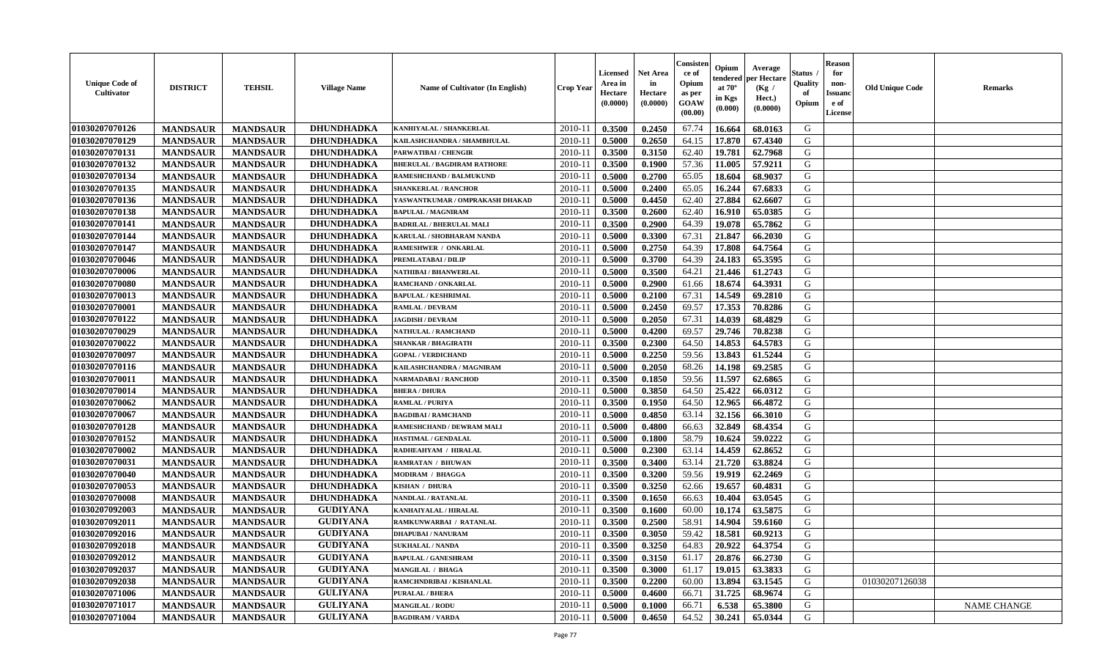| <b>Unique Code of</b><br>Cultivator | <b>DISTRICT</b> | <b>TEHSIL</b>   | <b>Village Name</b> | <b>Name of Cultivator (In English)</b> | Crop Year   | <b>Licensed</b><br>Area in<br>Hectare<br>(0.0000) | Net Area<br>in<br>Hectare<br>(0.0000) | Consister<br>ce of<br>Opium<br>as per<br><b>GOAW</b><br>(00.00) | Opium<br>endered<br>at $70^\circ$<br>in Kgs<br>(0.000) | Average<br>per Hectare<br>(Kg /<br>Hect.)<br>(0.0000) | Status<br>Quality<br>of<br>Opium | <b>Reason</b><br>for<br>non-<br><b>Issuanc</b><br>e of<br><b>License</b> | <b>Old Unique Code</b> | <b>Remarks</b>     |
|-------------------------------------|-----------------|-----------------|---------------------|----------------------------------------|-------------|---------------------------------------------------|---------------------------------------|-----------------------------------------------------------------|--------------------------------------------------------|-------------------------------------------------------|----------------------------------|--------------------------------------------------------------------------|------------------------|--------------------|
| 01030207070126                      | <b>MANDSAUR</b> | <b>MANDSAUR</b> | <b>DHUNDHADKA</b>   | KANHIYALAL / SHANKERLAL                | 2010-11     | 0.3500                                            | 0.2450                                | 67.74                                                           | 16.664                                                 | 68.0163                                               | G                                |                                                                          |                        |                    |
| 01030207070129                      | <b>MANDSAUR</b> | <b>MANDSAUR</b> | DHUNDHADKA          | KAILASHCHANDRA / SHAMBHULAL            | 2010-11     | 0.5000                                            | 0.2650                                | 64.15                                                           | 17.870                                                 | 67.4340                                               | G                                |                                                                          |                        |                    |
| 01030207070131                      | <b>MANDSAUR</b> | <b>MANDSAUR</b> | <b>DHUNDHADKA</b>   | PARWATIBAI / CHENGIR                   | 2010-11     | 0.3500                                            | 0.3150                                | 62.40                                                           | 19.781                                                 | 62.7968                                               | G                                |                                                                          |                        |                    |
| 01030207070132                      | <b>MANDSAUR</b> | <b>MANDSAUR</b> | <b>DHUNDHADKA</b>   | <b>BHERULAL / BAGDIRAM RATHORE</b>     | 2010-11     | 0.3500                                            | 0.1900                                | 57.36                                                           | 11.005                                                 | 57.9211                                               | G                                |                                                                          |                        |                    |
| 01030207070134                      | <b>MANDSAUR</b> | <b>MANDSAUR</b> | DHUNDHADKA          | RAMESHCHAND / BALMUKUND                | $2010 - 1$  | 0.5000                                            | 0.2700                                | 65.05                                                           | 18.604                                                 | 68.9037                                               | G                                |                                                                          |                        |                    |
| 01030207070135                      | <b>MANDSAUR</b> | <b>MANDSAUR</b> | <b>DHUNDHADKA</b>   | <b>SHANKERLAL / RANCHOR</b>            | $2010 - 11$ | 0.5000                                            | 0.2400                                | 65.05                                                           | 16.244                                                 | 67.6833                                               | G                                |                                                                          |                        |                    |
| 01030207070136                      | <b>MANDSAUR</b> | <b>MANDSAUR</b> | <b>DHUNDHADKA</b>   | YASWANTKUMAR / OMPRAKASH DHAKAD        | 2010-11     | 0.5000                                            | 0.4450                                | 62.40                                                           | 27.884                                                 | 62.6607                                               | G                                |                                                                          |                        |                    |
| 01030207070138                      | <b>MANDSAUR</b> | <b>MANDSAUR</b> | <b>DHUNDHADKA</b>   | <b>BAPULAL / MAGNIRAM</b>              | 2010-11     | 0.3500                                            | 0.2600                                | 62.40                                                           | 16.910                                                 | 65.0385                                               | G                                |                                                                          |                        |                    |
| 01030207070141                      | <b>MANDSAUR</b> | <b>MANDSAUR</b> | <b>DHUNDHADKA</b>   | <b>BADRILAL / BHERULAL MALI</b>        | 2010-11     | 0.3500                                            | 0.2900                                | 64.39                                                           | 19.078                                                 | 65.7862                                               | G                                |                                                                          |                        |                    |
| 01030207070144                      | <b>MANDSAUR</b> | <b>MANDSAUR</b> | <b>DHUNDHADKA</b>   | KARULAL / SHOBHARAM NANDA              | 2010-11     | 0.5000                                            | 0.3300                                | 67.31                                                           | 21.847                                                 | 66.2030                                               | G                                |                                                                          |                        |                    |
| 01030207070147                      | <b>MANDSAUR</b> | <b>MANDSAUR</b> | <b>DHUNDHADKA</b>   | RAMESHWER / ONKARLAL                   | 2010-11     | 0.5000                                            | 0.2750                                | 64.39                                                           | 17.808                                                 | 64.7564                                               | G                                |                                                                          |                        |                    |
| 01030207070046                      | <b>MANDSAUR</b> | <b>MANDSAUR</b> | <b>DHUNDHADKA</b>   | PREMLATABAI / DILIP                    | 2010-11     | 0.5000                                            | 0.3700                                | 64.39                                                           | 24.183                                                 | 65.3595                                               | G                                |                                                                          |                        |                    |
| 01030207070006                      | <b>MANDSAUR</b> | <b>MANDSAUR</b> | DHUNDHADKA          | NATHIBAI / BHANWERLAL                  | 2010-11     | 0.5000                                            | 0.3500                                | 64.21                                                           | 21.446                                                 | 61.2743                                               | G                                |                                                                          |                        |                    |
| 01030207070080                      | <b>MANDSAUR</b> | <b>MANDSAUR</b> | <b>DHUNDHADKA</b>   | RAMCHAND / ONKARLAL                    | $2010 - 11$ | 0.5000                                            | 0.2900                                | 61.66                                                           | 18.674                                                 | 64.3931                                               | ${\bf G}$                        |                                                                          |                        |                    |
| 01030207070013                      | <b>MANDSAUR</b> | <b>MANDSAUR</b> | DHUNDHADKA          | <b>BAPULAL / KESHRIMAL</b>             | 2010-11     | 0.5000                                            | 0.2100                                | 67.31                                                           | 14.549                                                 | 69.2810                                               | G                                |                                                                          |                        |                    |
| 01030207070001                      | <b>MANDSAUR</b> | <b>MANDSAUR</b> | <b>DHUNDHADKA</b>   | <b>RAMLAL / DEVRAM</b>                 | 2010-11     | 0.5000                                            | 0.2450                                | 69.57                                                           | 17.353                                                 | 70.8286                                               | G                                |                                                                          |                        |                    |
| 01030207070122                      | <b>MANDSAUR</b> | <b>MANDSAUR</b> | <b>DHUNDHADKA</b>   | <b>JAGDISH / DEVRAM</b>                | 2010-11     | 0.5000                                            | 0.2050                                | 67.31                                                           | 14.039                                                 | 68.4829                                               | G                                |                                                                          |                        |                    |
| 01030207070029                      | <b>MANDSAUR</b> | <b>MANDSAUR</b> | <b>DHUNDHADKA</b>   | NATHULAL / RAMCHAND                    | 2010-11     | 0.5000                                            | 0.4200                                | 69.57                                                           | 29.746                                                 | 70.8238                                               | G                                |                                                                          |                        |                    |
| 01030207070022                      | <b>MANDSAUR</b> | <b>MANDSAUR</b> | DHUNDHADKA          | <b>SHANKAR / BHAGIRATH</b>             | 2010-11     | 0.3500                                            | 0.2300                                | 64.50                                                           | 14.853                                                 | 64.5783                                               | G                                |                                                                          |                        |                    |
| 01030207070097                      | <b>MANDSAUR</b> | <b>MANDSAUR</b> | DHUNDHADKA          | <b>GOPAL / VERDICHAND</b>              | 2010-11     | 0.5000                                            | 0.2250                                | 59.56                                                           | 13.843                                                 | 61.5244                                               | G                                |                                                                          |                        |                    |
| 01030207070116                      | <b>MANDSAUR</b> | <b>MANDSAUR</b> | DHUNDHADKA          | KAILASHCHANDRA / MAGNIRAM              | 2010-11     | 0.5000                                            | 0.2050                                | 68.26                                                           | 14.198                                                 | 69.2585                                               | G                                |                                                                          |                        |                    |
| 01030207070011                      | <b>MANDSAUR</b> | <b>MANDSAUR</b> | DHUNDHADKA          | NARMADABAI / RANCHOD                   | $2010 - 11$ | 0.3500                                            | 0.1850                                | 59.56                                                           | 11.597                                                 | 62.6865                                               | G                                |                                                                          |                        |                    |
| 01030207070014                      | <b>MANDSAUR</b> | <b>MANDSAUR</b> | <b>DHUNDHADKA</b>   | <b>BHERA / DHURA</b>                   | 2010-11     | 0.5000                                            | 0.3850                                | 64.50                                                           | 25.422                                                 | 66.0312                                               | G                                |                                                                          |                        |                    |
| 01030207070062                      | <b>MANDSAUR</b> | <b>MANDSAUR</b> | <b>DHUNDHADKA</b>   | <b>RAMLAL / PURIYA</b>                 | 2010-11     | 0.3500                                            | 0.1950                                | 64.50                                                           | 12.965                                                 | 66.4872                                               | G                                |                                                                          |                        |                    |
| 01030207070067                      | <b>MANDSAUR</b> | <b>MANDSAUR</b> | <b>DHUNDHADKA</b>   | <b>BAGDIBAI / RAMCHAND</b>             | 2010-11     | 0.5000                                            | 0.4850                                | 63.14                                                           | 32.156                                                 | 66.3010                                               | G                                |                                                                          |                        |                    |
| 01030207070128                      | <b>MANDSAUR</b> | <b>MANDSAUR</b> | <b>DHUNDHADKA</b>   | RAMESHCHAND / DEWRAM MALI              | 2010-11     | 0.5000                                            | 0.4800                                | 66.63                                                           | 32.849                                                 | 68.4354                                               | G                                |                                                                          |                        |                    |
| 01030207070152                      | <b>MANDSAUR</b> | <b>MANDSAUR</b> | DHUNDHADKA          | <b>HASTIMAL / GENDALAL</b>             | 2010-11     | 0.5000                                            | 0.1800                                | 58.79                                                           | 10.624                                                 | 59.0222                                               | G                                |                                                                          |                        |                    |
| 01030207070002                      | <b>MANDSAUR</b> | <b>MANDSAUR</b> | <b>DHUNDHADKA</b>   | RADHEAHYAM / HIRALAL                   | 2010-11     | 0.5000                                            | 0.2300                                | 63.14                                                           | 14.459                                                 | 62.8652                                               | G                                |                                                                          |                        |                    |
| 01030207070031                      | <b>MANDSAUR</b> | <b>MANDSAUR</b> | <b>DHUNDHADKA</b>   | <b>RAMRATAN / BHUWAN</b>               | 2010-11     | 0.3500                                            | 0.3400                                | 63.14                                                           | 21.720                                                 | 63.8824                                               | G                                |                                                                          |                        |                    |
| 01030207070040                      | <b>MANDSAUR</b> | <b>MANDSAUR</b> | <b>DHUNDHADKA</b>   | MODIRAM / BHAGGA                       | $2010 - 11$ | 0.3500                                            | 0.3200                                | 59.56                                                           | 19.919                                                 | 62.2469                                               | G                                |                                                                          |                        |                    |
| 01030207070053                      | <b>MANDSAUR</b> | <b>MANDSAUR</b> | DHUNDHADKA          | KISHAN / DHURA                         | 2010-11     | 0.3500                                            | 0.3250                                | 62.66                                                           | 19.657                                                 | 60.4831                                               | ${\bf G}$                        |                                                                          |                        |                    |
| 01030207070008                      | <b>MANDSAUR</b> | <b>MANDSAUR</b> | <b>DHUNDHADKA</b>   | NANDLAL / RATANLAL                     | 2010-11     | 0.3500                                            | 0.1650                                | 66.63                                                           | 10.404                                                 | 63.0545                                               | G                                |                                                                          |                        |                    |
| 01030207092003                      | <b>MANDSAUR</b> | <b>MANDSAUR</b> | <b>GUDIYANA</b>     | KANHAIYALAL / HIRALAL                  | 2010-11     | 0.3500                                            | 0.1600                                | 60.00                                                           | 10.174                                                 | 63.5875                                               | G                                |                                                                          |                        |                    |
| 01030207092011                      | <b>MANDSAUR</b> | <b>MANDSAUR</b> | <b>GUDIYANA</b>     | RAMKUNWARBAI / RATANLAL                | 2010-11     | 0.3500                                            | 0.2500                                | 58.91                                                           | 14.904                                                 | 59.6160                                               | G                                |                                                                          |                        |                    |
| 01030207092016                      | <b>MANDSAUR</b> | <b>MANDSAUR</b> | <b>GUDIYANA</b>     | <b>DHAPUBAI/NANURAM</b>                | 2010-11     | 0.3500                                            | 0.3050                                | 59.42                                                           | 18.581                                                 | 60.9213                                               | G                                |                                                                          |                        |                    |
| 01030207092018                      | <b>MANDSAUR</b> | <b>MANDSAUR</b> | <b>GUDIYANA</b>     | <b>SUKHALAL / NANDA</b>                | 2010-11     | 0.3500                                            | 0.3250                                | 64.83                                                           | 20.922                                                 | 64.3754                                               | G                                |                                                                          |                        |                    |
| 01030207092012                      | <b>MANDSAUR</b> | <b>MANDSAUR</b> | <b>GUDIYANA</b>     | <b>BAPULAL / GANESHRAM</b>             | 2010-11     | 0.3500                                            | 0.3150                                | 61.17                                                           | 20.876                                                 | 66.2730                                               | G                                |                                                                          |                        |                    |
| 01030207092037                      | <b>MANDSAUR</b> | <b>MANDSAUR</b> | <b>GUDIYANA</b>     | MANGILAL / BHAGA                       | 2010-11     | 0.3500                                            | 0.3000                                | 61.17                                                           | 19.015                                                 | 63.3833                                               | G                                |                                                                          |                        |                    |
| 01030207092038                      | <b>MANDSAUR</b> | <b>MANDSAUR</b> | <b>GUDIYANA</b>     | RAMCHNDRIBAI / KISHANLAL               | $2010 - 11$ | 0.3500                                            | 0.2200                                | 60.00                                                           | 13.894                                                 | 63.1545                                               | ${\bf G}$                        |                                                                          | 01030207126038         |                    |
| 01030207071006                      | <b>MANDSAUR</b> | <b>MANDSAUR</b> | <b>GULIYANA</b>     | <b>PURALAL / BHERA</b>                 | $2010 - 11$ | 0.5000                                            | 0.4600                                | 66.71                                                           | 31.725                                                 | 68.9674                                               | G                                |                                                                          |                        |                    |
| 01030207071017                      | <b>MANDSAUR</b> | <b>MANDSAUR</b> | <b>GULIYANA</b>     | <b>MANGILAL / RODU</b>                 | 2010-11     | 0.5000                                            | 0.1000                                | 66.71                                                           | 6.538                                                  | 65.3800                                               | G                                |                                                                          |                        | <b>NAME CHANGE</b> |
| 01030207071004                      | <b>MANDSAUR</b> | <b>MANDSAUR</b> | <b>GULIYANA</b>     | <b>BAGDIRAM / VARDA</b>                | 2010-11     | 0.5000                                            | 0.4650                                | 64.52                                                           | 30.241                                                 | 65.0344                                               | G                                |                                                                          |                        |                    |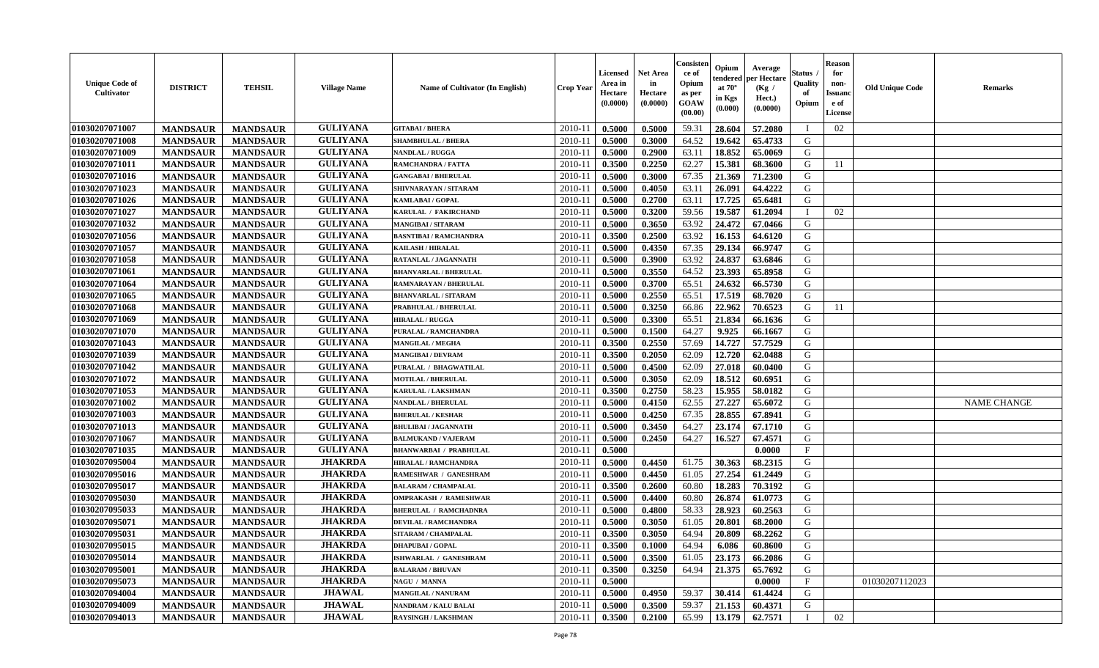| <b>Unique Code of</b><br><b>Cultivator</b> | <b>DISTRICT</b> | <b>TEHSIL</b>   | <b>Village Name</b> | <b>Name of Cultivator (In English)</b> | <b>Crop Year</b> | <b>Licensed</b><br>Area in<br>Hectare<br>(0.0000) | Net Area<br>in<br>Hectare<br>(0.0000) | Consisteı<br>ce of<br>Opium<br>as per<br>GOAW<br>(00.00) | Opium<br>endered<br>at $70^\circ$<br>in Kgs<br>(0.000) | Average<br>per Hectare<br>(Kg /<br>Hect.)<br>(0.0000) | Status<br>Quality<br>of<br>Opium | <b>Reason</b><br>for<br>non-<br><b>Issuand</b><br>e of<br>License | <b>Old Unique Code</b> | Remarks            |
|--------------------------------------------|-----------------|-----------------|---------------------|----------------------------------------|------------------|---------------------------------------------------|---------------------------------------|----------------------------------------------------------|--------------------------------------------------------|-------------------------------------------------------|----------------------------------|-------------------------------------------------------------------|------------------------|--------------------|
| 01030207071007                             | <b>MANDSAUR</b> | <b>MANDSAUR</b> | <b>GULIYANA</b>     | <b>GITABAI/BHERA</b>                   | 2010-11          | 0.5000                                            | 0.5000                                | 59.31                                                    | 28.604                                                 | 57.2080                                               | $\blacksquare$                   | 02                                                                |                        |                    |
| 01030207071008                             | <b>MANDSAUR</b> | <b>MANDSAUR</b> | <b>GULIYANA</b>     | <b>SHAMBHULAL / BHERA</b>              | 2010-11          | 0.5000                                            | 0.3000                                | 64.52                                                    | 19.642                                                 | 65.4733                                               | G                                |                                                                   |                        |                    |
| 01030207071009                             | <b>MANDSAUR</b> | <b>MANDSAUR</b> | <b>GULIYANA</b>     | NANDLAL / RUGGA                        | 2010-11          | 0.5000                                            | 0.2900                                | 63.11                                                    | 18.852                                                 | 65.0069                                               | G                                |                                                                   |                        |                    |
| 01030207071011                             | <b>MANDSAUR</b> | <b>MANDSAUR</b> | <b>GULIYANA</b>     | RAMCHANDRA / FATTA                     | 2010-11          | 0.3500                                            | 0.2250                                | 62.27                                                    | 15.381                                                 | 68.3600                                               | G                                | 11                                                                |                        |                    |
| 01030207071016                             | <b>MANDSAUR</b> | <b>MANDSAUR</b> | <b>GULIYANA</b>     | <b>GANGABAI / BHERULAL</b>             | 2010-11          | 0.5000                                            | 0.3000                                | 67.35                                                    | 21.369                                                 | 71.2300                                               | G                                |                                                                   |                        |                    |
| 01030207071023                             | <b>MANDSAUR</b> | <b>MANDSAUR</b> | <b>GULIYANA</b>     | SHIVNARAYAN / SITARAM                  | 2010-11          | 0.5000                                            | 0.4050                                | 63.11                                                    | 26.091                                                 | 64.4222                                               | G                                |                                                                   |                        |                    |
| 01030207071026                             | <b>MANDSAUR</b> | <b>MANDSAUR</b> | <b>GULIYANA</b>     | <b>KAMLABAI/GOPAL</b>                  | $2010 - 11$      | 0.5000                                            | 0.2700                                | 63.11                                                    | 17.725                                                 | 65.6481                                               | G                                |                                                                   |                        |                    |
| 01030207071027                             | <b>MANDSAUR</b> | <b>MANDSAUR</b> | <b>GULIYANA</b>     | KARULAL / FAKIRCHAND                   | 2010-11          | 0.5000                                            | 0.3200                                | 59.56                                                    | 19.587                                                 | 61.2094                                               | T                                | 02                                                                |                        |                    |
| 01030207071032                             | <b>MANDSAUR</b> | <b>MANDSAUR</b> | <b>GULIYANA</b>     | <b>MANGIBAI/SITARAM</b>                | 2010-11          | 0.5000                                            | 0.3650                                | 63.92                                                    | 24.472                                                 | 67.0466                                               | G                                |                                                                   |                        |                    |
| 01030207071056                             | <b>MANDSAUR</b> | <b>MANDSAUR</b> | <b>GULIYANA</b>     | <b>BASNTIBAI / RAMCHANDRA</b>          | 2010-11          | 0.3500                                            | 0.2500                                | 63.92                                                    | 16.153                                                 | 64.6120                                               | G                                |                                                                   |                        |                    |
| 01030207071057                             | <b>MANDSAUR</b> | <b>MANDSAUR</b> | <b>GULIYANA</b>     | <b>KAILASH / HIRALAL</b>               | 2010-11          | 0.5000                                            | 0.4350                                | 67.35                                                    | 29.134                                                 | 66.9747                                               | G                                |                                                                   |                        |                    |
| 01030207071058                             | <b>MANDSAUR</b> | <b>MANDSAUR</b> | <b>GULIYANA</b>     | RATANLAL / JAGANNATH                   | 2010-11          | 0.5000                                            | 0.3900                                | 63.92                                                    | 24.837                                                 | 63.6846                                               | G                                |                                                                   |                        |                    |
| 01030207071061                             | <b>MANDSAUR</b> | <b>MANDSAUR</b> | <b>GULIYANA</b>     | <b>BHANVARLAL / BHERULAL</b>           | 2010-11          | 0.5000                                            | 0.3550                                | 64.52                                                    | 23.393                                                 | 65.8958                                               | G                                |                                                                   |                        |                    |
| 01030207071064                             | <b>MANDSAUR</b> | <b>MANDSAUR</b> | <b>GULIYANA</b>     | RAMNARAYAN / BHERULAL                  | 2010-11          | 0.5000                                            | 0.3700                                | 65.51                                                    | 24.632                                                 | 66.5730                                               | G                                |                                                                   |                        |                    |
| 01030207071065                             | <b>MANDSAUR</b> | <b>MANDSAUR</b> | <b>GULIYANA</b>     | <b>BHANVARLAL / SITARAM</b>            | 2010-11          | 0.5000                                            | 0.2550                                | 65.51                                                    | 17.519                                                 | 68.7020                                               | $\mathbf G$                      |                                                                   |                        |                    |
| 01030207071068                             | <b>MANDSAUR</b> | <b>MANDSAUR</b> | <b>GULIYANA</b>     | PRABHULAL / BHERULAL                   | 2010-11          | 0.5000                                            | 0.3250                                | 66.86                                                    | 22.962                                                 | 70.6523                                               | G                                | 11                                                                |                        |                    |
| 01030207071069                             | <b>MANDSAUR</b> | <b>MANDSAUR</b> | <b>GULIYANA</b>     | <b>HIRALAL / RUGGA</b>                 | 2010-11          | 0.5000                                            | 0.3300                                | 65.51                                                    | 21.834                                                 | 66.1636                                               | G                                |                                                                   |                        |                    |
| 01030207071070                             | <b>MANDSAUR</b> | <b>MANDSAUR</b> | <b>GULIYANA</b>     | PURALAL / RAMCHANDRA                   | 2010-11          | 0.5000                                            | 0.1500                                | 64.27                                                    | 9.925                                                  | 66.1667                                               | G                                |                                                                   |                        |                    |
| 01030207071043                             | <b>MANDSAUR</b> | <b>MANDSAUR</b> | <b>GULIYANA</b>     | <b>MANGILAL / MEGHA</b>                | 2010-11          | 0.3500                                            | 0.2550                                | 57.69                                                    | 14.727                                                 | 57.7529                                               | G                                |                                                                   |                        |                    |
| 01030207071039                             | <b>MANDSAUR</b> | <b>MANDSAUR</b> | <b>GULIYANA</b>     | <b>MANGIBAI/DEVRAM</b>                 | 2010-11          | 0.3500                                            | 0.2050                                | 62.09                                                    | 12.720                                                 | 62.0488                                               | G                                |                                                                   |                        |                    |
| 01030207071042                             | <b>MANDSAUR</b> | <b>MANDSAUR</b> | <b>GULIYANA</b>     | PURALAL / BHAGWATILAL                  | 2010-11          | 0.5000                                            | 0.4500                                | 62.09                                                    | 27.018                                                 | 60.0400                                               | G                                |                                                                   |                        |                    |
| 01030207071072                             | <b>MANDSAUR</b> | <b>MANDSAUR</b> | <b>GULIYANA</b>     | <b>MOTILAL / BHERULAL</b>              | 2010-11          | 0.5000                                            | 0.3050                                | 62.09                                                    | 18.512                                                 | 60.6951                                               | G                                |                                                                   |                        |                    |
| 01030207071053                             | <b>MANDSAUR</b> | <b>MANDSAUR</b> | <b>GULIYANA</b>     | <b>KARULAL / LAKSHMAN</b>              | 2010-11          | 0.3500                                            | 0.2750                                | 58.23                                                    | 15.955                                                 | 58.0182                                               | G                                |                                                                   |                        |                    |
| 01030207071002                             | <b>MANDSAUR</b> | <b>MANDSAUR</b> | <b>GULIYANA</b>     | <b>NANDLAL / BHERULAL</b>              | 2010-11          | 0.5000                                            | 0.4150                                | 62.55                                                    | 27,227                                                 | 65.6072                                               | G                                |                                                                   |                        | <b>NAME CHANGE</b> |
| 01030207071003                             | <b>MANDSAUR</b> | <b>MANDSAUR</b> | <b>GULIYANA</b>     | <b>BHERULAL / KESHAR</b>               | 2010-11          | 0.5000                                            | 0.4250                                | 67.35                                                    | 28.855                                                 | 67.8941                                               | G                                |                                                                   |                        |                    |
| 01030207071013                             | <b>MANDSAUR</b> | <b>MANDSAUR</b> | <b>GULIYANA</b>     | <b>BHULIBAI / JAGANNATH</b>            | 2010-11          | 0.5000                                            | 0.3450                                | 64.27                                                    | 23.174                                                 | 67.1710                                               | G                                |                                                                   |                        |                    |
| 01030207071067                             | <b>MANDSAUR</b> | <b>MANDSAUR</b> | <b>GULIYANA</b>     | <b>BALMUKAND / VAJERAM</b>             | 2010-11          | 0.5000                                            | 0.2450                                | 64.27                                                    | 16.527                                                 | 67.4571                                               | G                                |                                                                   |                        |                    |
| 01030207071035                             | <b>MANDSAUR</b> | <b>MANDSAUR</b> | <b>GULIYANA</b>     | <b>BHANWARBAI / PRABHULAL</b>          | 2010-11          | 0.5000                                            |                                       |                                                          |                                                        | 0.0000                                                | $\mathbf{F}$                     |                                                                   |                        |                    |
| 01030207095004                             | <b>MANDSAUR</b> | <b>MANDSAUR</b> | <b>JHAKRDA</b>      | <b>HIRALAL / RAMCHANDRA</b>            | 2010-11          | 0.5000                                            | 0.4450                                | 61.75                                                    | 30.363                                                 | 68.2315                                               | G                                |                                                                   |                        |                    |
| 01030207095016                             | <b>MANDSAUR</b> | <b>MANDSAUR</b> | <b>JHAKRDA</b>      | RAMESHWAR / GANESHRAM                  | 2010-11          | 0.5000                                            | 0.4450                                | 61.05                                                    | 27.254                                                 | 61.2449                                               | G                                |                                                                   |                        |                    |
| 01030207095017                             | <b>MANDSAUR</b> | <b>MANDSAUR</b> | <b>JHAKRDA</b>      | <b>BALARAM / CHAMPALAL</b>             | 2010-11          | 0.3500                                            | 0.2600                                | 60.80                                                    | 18.283                                                 | 70.3192                                               | G                                |                                                                   |                        |                    |
| 01030207095030                             | <b>MANDSAUR</b> | <b>MANDSAUR</b> | <b>JHAKRDA</b>      | <b>OMPRAKASH / RAMESHWAR</b>           | 2010-11          | 0.5000                                            | 0.4400                                | 60.80                                                    | 26.874                                                 | 61.0773                                               | G                                |                                                                   |                        |                    |
| 01030207095033                             | <b>MANDSAUR</b> | <b>MANDSAUR</b> | <b>JHAKRDA</b>      | <b>BHERULAL / RAMCHADNRA</b>           | 2010-11          | 0.5000                                            | 0.4800                                | 58.33                                                    | 28.923                                                 | 60.2563                                               | G                                |                                                                   |                        |                    |
| 01030207095071                             | <b>MANDSAUR</b> | <b>MANDSAUR</b> | <b>JHAKRDA</b>      | <b>DEVILAL / RAMCHANDRA</b>            | 2010-11          | 0.5000                                            | 0.3050                                | 61.05                                                    | 20.801                                                 | 68.2000                                               | G                                |                                                                   |                        |                    |
| 01030207095031                             | <b>MANDSAUR</b> | <b>MANDSAUR</b> | <b>JHAKRDA</b>      | SITARAM / CHAMPALAL                    | 2010-11          | 0.3500                                            | 0.3050                                | 64.94                                                    | 20.809                                                 | 68.2262                                               | G                                |                                                                   |                        |                    |
| 01030207095015                             | <b>MANDSAUR</b> | <b>MANDSAUR</b> | <b>JHAKRDA</b>      | <b>DHAPUBAI/GOPAL</b>                  | 2010-11          | 0.3500                                            | 0.1000                                | 64.94                                                    | 6.086                                                  | 60.8600                                               | G                                |                                                                   |                        |                    |
| 01030207095014                             | <b>MANDSAUR</b> | <b>MANDSAUR</b> | <b>JHAKRDA</b>      | ISHWARLAL / GANESHRAM                  | 2010-11          | 0.5000                                            | 0.3500                                | 61.05                                                    | 23.173                                                 | 66.2086                                               | G                                |                                                                   |                        |                    |
| 01030207095001                             | <b>MANDSAUR</b> | <b>MANDSAUR</b> | <b>JHAKRDA</b>      | <b>BALARAM / BHUVAN</b>                | 2010-11          | 0.3500                                            | 0.3250                                | 64.94                                                    | 21.375                                                 | 65.7692                                               | G                                |                                                                   |                        |                    |
| 01030207095073                             | <b>MANDSAUR</b> | <b>MANDSAUR</b> | <b>JHAKRDA</b>      | NAGU / MANNA                           | 2010-11          | 0.5000                                            |                                       |                                                          |                                                        | 0.0000                                                | $\mathbf{F}$                     |                                                                   | 01030207112023         |                    |
| 01030207094004                             | <b>MANDSAUR</b> | <b>MANDSAUR</b> | <b>JHAWAL</b>       | <b>MANGILAL / NANURAM</b>              | 2010-11          | 0.5000                                            | 0.4950                                | 59.37                                                    | 30.414                                                 | 61.4424                                               | G                                |                                                                   |                        |                    |
| 01030207094009                             | <b>MANDSAUR</b> | <b>MANDSAUR</b> | <b>JHAWAL</b>       | <b>NANDRAM / KALU BALAI</b>            | 2010-11          | 0.5000                                            | 0.3500                                | 59.37                                                    | 21.153                                                 | 60.4371                                               | G                                |                                                                   |                        |                    |
| 01030207094013                             | <b>MANDSAUR</b> | <b>MANDSAUR</b> | <b>JHAWAL</b>       | <b>RAYSINGH / LAKSHMAN</b>             | 2010-11          | 0.3500                                            | 0.2100                                | 65.99                                                    | 13.179                                                 | 62.7571                                               | $\mathbf I$                      | 02                                                                |                        |                    |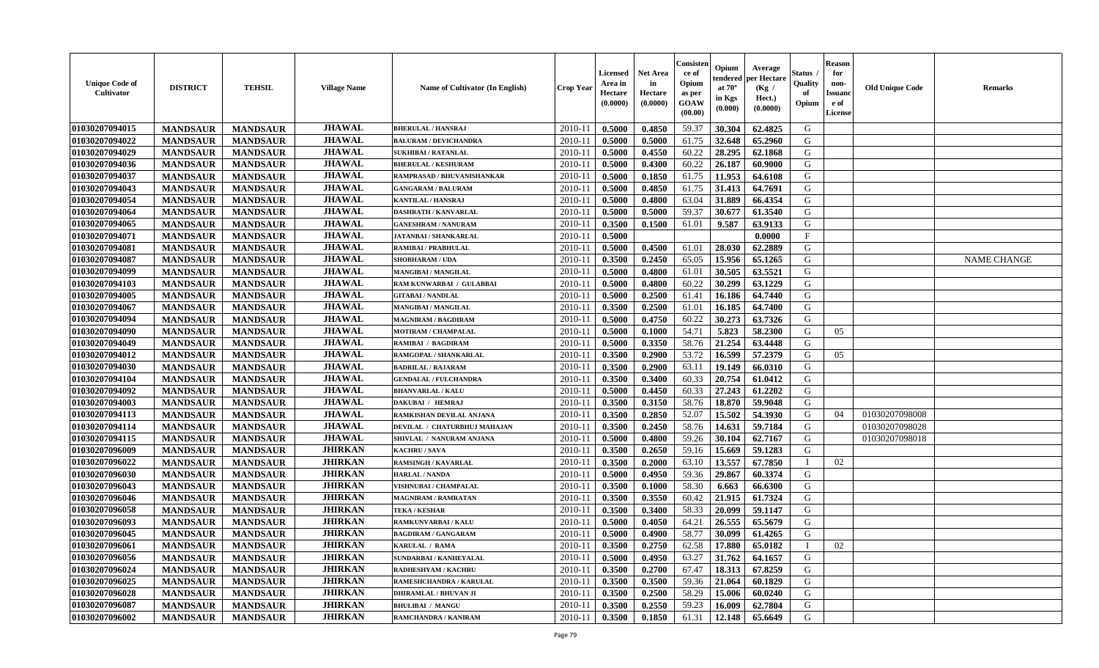| <b>Unique Code of</b><br><b>Cultivator</b> | <b>DISTRICT</b> | <b>TEHSIL</b>   | <b>Village Name</b> | <b>Name of Cultivator (In English)</b> | <b>Crop Year</b> | <b>Licensed</b><br>Area in<br>Hectare<br>(0.0000) | Net Area<br>in<br>Hectare<br>(0.0000) | Consisteı<br>ce of<br>Opium<br>as per<br>GOAW<br>(00.00) | Opium<br>endered<br>at $70^\circ$<br>in Kgs<br>(0.000) | Average<br>per Hectare<br>(Kg /<br>Hect.)<br>(0.0000) | Status<br>Quality<br>of<br>Opium | <b>Reason</b><br>for<br>non-<br><b>Issuand</b><br>e of<br>License | <b>Old Unique Code</b> | Remarks            |
|--------------------------------------------|-----------------|-----------------|---------------------|----------------------------------------|------------------|---------------------------------------------------|---------------------------------------|----------------------------------------------------------|--------------------------------------------------------|-------------------------------------------------------|----------------------------------|-------------------------------------------------------------------|------------------------|--------------------|
| 01030207094015                             | <b>MANDSAUR</b> | <b>MANDSAUR</b> | <b>JHAWAL</b>       | <b>BHERULAL / HANSRAJ</b>              | 2010-11          | 0.5000                                            | 0.4850                                | 59.37                                                    | 30.304                                                 | 62.4825                                               | G                                |                                                                   |                        |                    |
| 01030207094022                             | <b>MANDSAUR</b> | <b>MANDSAUR</b> | <b>JHAWAL</b>       | <b>BALURAM / DEVICHANDRA</b>           | 2010-11          | 0.5000                                            | 0.5000                                | 61.75                                                    | 32.648                                                 | 65.2960                                               | G                                |                                                                   |                        |                    |
| 01030207094029                             | <b>MANDSAUR</b> | <b>MANDSAUR</b> | <b>JHAWAL</b>       | <b>SUKHIBAI / RATANLAL</b>             | 2010-11          | 0.5000                                            | 0.4550                                | 60.22                                                    | 28.295                                                 | 62.1868                                               | G                                |                                                                   |                        |                    |
| 01030207094036                             | <b>MANDSAUR</b> | <b>MANDSAUR</b> | <b>JHAWAL</b>       | <b>BHERULAL / KESHURAM</b>             | 2010-11          | 0.5000                                            | 0.4300                                | 60.22                                                    | 26.187                                                 | 60.9000                                               | G                                |                                                                   |                        |                    |
| 01030207094037                             | <b>MANDSAUR</b> | <b>MANDSAUR</b> | <b>JHAWAL</b>       | RAMPRASAD / BHUVANISHANKAR             | 2010-11          | 0.5000                                            | 0.1850                                | 61.75                                                    | 11.953                                                 | 64.6108                                               | G                                |                                                                   |                        |                    |
| 01030207094043                             | <b>MANDSAUR</b> | <b>MANDSAUR</b> | <b>JHAWAL</b>       | <b>GANGARAM / BALURAM</b>              | $2010 - 11$      | 0.5000                                            | 0.4850                                | 61.75                                                    | 31.413                                                 | 64.7691                                               | G                                |                                                                   |                        |                    |
| 01030207094054                             | <b>MANDSAUR</b> | <b>MANDSAUR</b> | <b>JHAWAL</b>       | KANTILAL / HANSRAJ                     | $2010 - 11$      | 0.5000                                            | 0.4800                                | 63.04                                                    | 31.889                                                 | 66.4354                                               | G                                |                                                                   |                        |                    |
| 01030207094064                             | <b>MANDSAUR</b> | <b>MANDSAUR</b> | <b>JHAWAL</b>       | <b>DASHRATH / KANVARLAL</b>            | 2010-11          | 0.5000                                            | 0.5000                                | 59.37                                                    | 30.677                                                 | 61.3540                                               | G                                |                                                                   |                        |                    |
| 01030207094065                             | <b>MANDSAUR</b> | <b>MANDSAUR</b> | <b>JHAWAL</b>       | <b>GANESHRAM / NANURAM</b>             | 2010-11          | 0.3500                                            | 0.1500                                | 61.01                                                    | 9.587                                                  | 63.9133                                               | G                                |                                                                   |                        |                    |
| 01030207094071                             | <b>MANDSAUR</b> | <b>MANDSAUR</b> | <b>JHAWAL</b>       | JATANBAI / SHANKARLAL                  | 2010-11          | 0.5000                                            |                                       |                                                          |                                                        | 0.0000                                                | $_{\rm F}$                       |                                                                   |                        |                    |
| 01030207094081                             | <b>MANDSAUR</b> | <b>MANDSAUR</b> | <b>JHAWAL</b>       | <b>RAMIBAI / PRABHULAL</b>             | 2010-11          | 0.5000                                            | 0.4500                                | 61.01                                                    | 28.030                                                 | 62.2889                                               | G                                |                                                                   |                        |                    |
| 01030207094087                             | <b>MANDSAUR</b> | <b>MANDSAUR</b> | <b>JHAWAL</b>       | <b>SHOBHARAM / UDA</b>                 | 2010-11          | 0.3500                                            | 0.2450                                | 65.05                                                    | 15.956                                                 | 65.1265                                               | G                                |                                                                   |                        | <b>NAME CHANGE</b> |
| 01030207094099                             | <b>MANDSAUR</b> | <b>MANDSAUR</b> | <b>JHAWAL</b>       | <b>MANGIBAI/MANGILAL</b>               | 2010-11          | 0.5000                                            | 0.4800                                | 61.01                                                    | 30.505                                                 | 63.5521                                               | G                                |                                                                   |                        |                    |
| 01030207094103                             | <b>MANDSAUR</b> | <b>MANDSAUR</b> | <b>JHAWAL</b>       | RAM KUNWARBAI / GULABBAI               | 2010-11          | 0.5000                                            | 0.4800                                | 60.22                                                    | 30.299                                                 | 63.1229                                               | G                                |                                                                   |                        |                    |
| 01030207094005                             | <b>MANDSAUR</b> | <b>MANDSAUR</b> | <b>JHAWAL</b>       | <b>GITABAI/NANDLAL</b>                 | 2010-11          | 0.5000                                            | 0.2500                                | 61.41                                                    | 16.186                                                 | 64.7440                                               | $\mathbf G$                      |                                                                   |                        |                    |
| 01030207094067                             | <b>MANDSAUR</b> | <b>MANDSAUR</b> | <b>JHAWAL</b>       | <b>MANGIBAI/MANGILAL</b>               | 2010-11          | 0.3500                                            | 0.2500                                | 61.01                                                    | 16.185                                                 | 64.7400                                               | G                                |                                                                   |                        |                    |
| 01030207094094                             | <b>MANDSAUR</b> | <b>MANDSAUR</b> | <b>JHAWAL</b>       | <b>MAGNIRAM / BAGDIRAM</b>             | 2010-11          | 0.5000                                            | 0.4750                                | 60.22                                                    | 30.273                                                 | 63.7326                                               | G                                |                                                                   |                        |                    |
| 01030207094090                             | <b>MANDSAUR</b> | <b>MANDSAUR</b> | <b>JHAWAL</b>       | MOTIRAM / CHAMPALAL                    | 2010-11          | 0.5000                                            | 0.1000                                | 54.71                                                    | 5.823                                                  | 58.2300                                               | G                                | 05                                                                |                        |                    |
| 01030207094049                             | <b>MANDSAUR</b> | <b>MANDSAUR</b> | <b>JHAWAL</b>       | RAMIBAI / BAGDIRAM                     | 2010-11          | 0.5000                                            | 0.3350                                | 58.76                                                    | 21.254                                                 | 63.4448                                               | G                                |                                                                   |                        |                    |
| 01030207094012                             | <b>MANDSAUR</b> | <b>MANDSAUR</b> | <b>JHAWAL</b>       | RAMGOPAL / SHANKARLAL                  | 2010-11          | 0.3500                                            | 0.2900                                | 53.72                                                    | 16.599                                                 | 57.2379                                               | G                                | 05                                                                |                        |                    |
| 01030207094030                             | <b>MANDSAUR</b> | <b>MANDSAUR</b> | <b>JHAWAL</b>       | <b>BADRILAL / RAJARAM</b>              | 2010-11          | 0.3500                                            | 0.2900                                | 63.11                                                    | 19.149                                                 | 66.0310                                               | G                                |                                                                   |                        |                    |
| 01030207094104                             | <b>MANDSAUR</b> | <b>MANDSAUR</b> | <b>JHAWAL</b>       | <b>GENDALAL / FULCHANDRA</b>           | 2010-11          | 0.3500                                            | 0.3400                                | 60.33                                                    | 20.754                                                 | 61.0412                                               | G                                |                                                                   |                        |                    |
| 01030207094092                             | <b>MANDSAUR</b> | <b>MANDSAUR</b> | <b>JHAWAL</b>       | <b>BHANVARLAL / KALU</b>               | 2010-11          | 0.5000                                            | 0.4450                                | 60.33                                                    | 27.243                                                 | 61.2202                                               | G                                |                                                                   |                        |                    |
| 01030207094003                             | <b>MANDSAUR</b> | <b>MANDSAUR</b> | <b>JHAWAL</b>       | DAKUBAI / HEMRAJ                       | 2010-11          | 0.3500                                            | 0.3150                                | 58.76                                                    | 18.870                                                 | 59.9048                                               | G                                |                                                                   |                        |                    |
| 01030207094113                             | <b>MANDSAUR</b> | <b>MANDSAUR</b> | <b>JHAWAL</b>       | RAMKISHAN DEVILAL ANJANA               | 2010-11          | 0.3500                                            | 0.2850                                | 52.07                                                    | 15.502                                                 | 54.3930                                               | G                                | 04                                                                | 01030207098008         |                    |
| 01030207094114                             | <b>MANDSAUR</b> | <b>MANDSAUR</b> | <b>JHAWAL</b>       | DEVILAL / CHATURBHUJ MAHAJAN           | 2010-11          | 0.3500                                            | 0.2450                                | 58.76                                                    | 14.631                                                 | 59.7184                                               | G                                |                                                                   | 01030207098028         |                    |
| 01030207094115                             | <b>MANDSAUR</b> | <b>MANDSAUR</b> | <b>JHAWAL</b>       | SHIVLAL / NANURAM ANJANA               | $2010 - 11$      | 0.5000                                            | 0.4800                                | 59.26                                                    | 30.104                                                 | 62.7167                                               | G                                |                                                                   | 01030207098018         |                    |
| 01030207096009                             | <b>MANDSAUR</b> | <b>MANDSAUR</b> | <b>JHIRKAN</b>      | <b>KACHRU / SAVA</b>                   | 2010-11          | 0.3500                                            | 0.2650                                | 59.16                                                    | 15.669                                                 | 59.1283                                               | G                                |                                                                   |                        |                    |
| 01030207096022                             | <b>MANDSAUR</b> | <b>MANDSAUR</b> | <b>JHIRKAN</b>      | RAMSINGH / KAVARLAL                    | 2010-11          | 0.3500                                            | 0.2000                                | 63.10                                                    | 13.557                                                 | 67.7850                                               | $\mathbf{I}$                     | 02                                                                |                        |                    |
| 01030207096030                             | <b>MANDSAUR</b> | <b>MANDSAUR</b> | <b>JHIRKAN</b>      | <b>HARLAL / NANDA</b>                  | 2010-11          | 0.5000                                            | 0.4950                                | 59.36                                                    | 29.867                                                 | 60.3374                                               | G                                |                                                                   |                        |                    |
| 01030207096043                             | <b>MANDSAUR</b> | <b>MANDSAUR</b> | <b>JHIRKAN</b>      | <b>VISHNUBAI / CHAMPALAL</b>           | 2010-11          | 0.3500                                            | 0.1000                                | 58.30                                                    | 6.663                                                  | 66.6300                                               | G                                |                                                                   |                        |                    |
| 01030207096046                             | <b>MANDSAUR</b> | <b>MANDSAUR</b> | <b>JHIRKAN</b>      | <b>MAGNIRAM / RAMRATAN</b>             | 2010-11          | 0.3500                                            | 0.3550                                | 60.42                                                    | 21.915                                                 | 61.7324                                               | G                                |                                                                   |                        |                    |
| 01030207096058                             | <b>MANDSAUR</b> | <b>MANDSAUR</b> | <b>JHIRKAN</b>      | <b>TEKA / KESHAR</b>                   | 2010-11          | 0.3500                                            | 0.3400                                | 58.33                                                    | 20.099                                                 | 59.1147                                               | G                                |                                                                   |                        |                    |
| 01030207096093                             | <b>MANDSAUR</b> | <b>MANDSAUR</b> | <b>JHIRKAN</b>      | <b>RAMKUNVARBAI/KALU</b>               | 2010-11          | 0.5000                                            | 0.4050                                | 64.21                                                    | 26.555                                                 | 65.5679                                               | G                                |                                                                   |                        |                    |
| 01030207096045                             | <b>MANDSAUR</b> | <b>MANDSAUR</b> | <b>JHIRKAN</b>      | <b>BAGDIRAM / GANGARAM</b>             | 2010-11          | 0.5000                                            | 0.4900                                | 58.77                                                    | 30.099                                                 | 61.4265                                               | G                                |                                                                   |                        |                    |
| 01030207096061                             | <b>MANDSAUR</b> | <b>MANDSAUR</b> | <b>JHIRKAN</b>      | KARULAL / RAMA                         | 2010-11          | 0.3500                                            | 0.2750                                | 62.58                                                    | 17.880                                                 | 65.0182                                               | $\mathbf I$                      | 02                                                                |                        |                    |
| 01030207096056                             | <b>MANDSAUR</b> | <b>MANDSAUR</b> | <b>JHIRKAN</b>      | SUNDARBAI / KANHEYALAL                 | 2010-11          | 0.5000                                            | 0.4950                                | 63.27                                                    | 31.762                                                 | 64.1657                                               | G                                |                                                                   |                        |                    |
| 01030207096024                             | <b>MANDSAUR</b> | <b>MANDSAUR</b> | <b>JHIRKAN</b>      | RADHESHYAM / KACHRU                    | 2010-11          | 0.3500                                            | 0.2700                                | 67.47                                                    | 18.313                                                 | 67.8259                                               | G                                |                                                                   |                        |                    |
| 01030207096025                             | <b>MANDSAUR</b> | <b>MANDSAUR</b> | <b>JHIRKAN</b>      | RAMESHCHANDRA / KARULAL                | $2010 - 11$      | 0.3500                                            | 0.3500                                | 59.36                                                    | 21.064                                                 | 60.1829                                               | G                                |                                                                   |                        |                    |
| 01030207096028                             | <b>MANDSAUR</b> | <b>MANDSAUR</b> | <b>JHIRKAN</b>      | <b>DHIRAMLAL / BHUVAN JI</b>           | $2010 - 11$      | 0.3500                                            | 0.2500                                | 58.29                                                    | 15.006                                                 | 60.0240                                               | G                                |                                                                   |                        |                    |
| 01030207096087                             | <b>MANDSAUR</b> | <b>MANDSAUR</b> | <b>JHIRKAN</b>      | <b>BHULIBAI / MANGU</b>                | 2010-11          | 0.3500                                            | 0.2550                                | 59.23                                                    | 16.009                                                 | 62.7804                                               | G                                |                                                                   |                        |                    |
| 01030207096002                             | <b>MANDSAUR</b> | <b>MANDSAUR</b> | <b>JHIRKAN</b>      | RAMCHANDRA / KANIRAM                   | 2010-11          | 0.3500                                            | 0.1850                                | 61.31                                                    | 12.148                                                 | 65.6649                                               | G                                |                                                                   |                        |                    |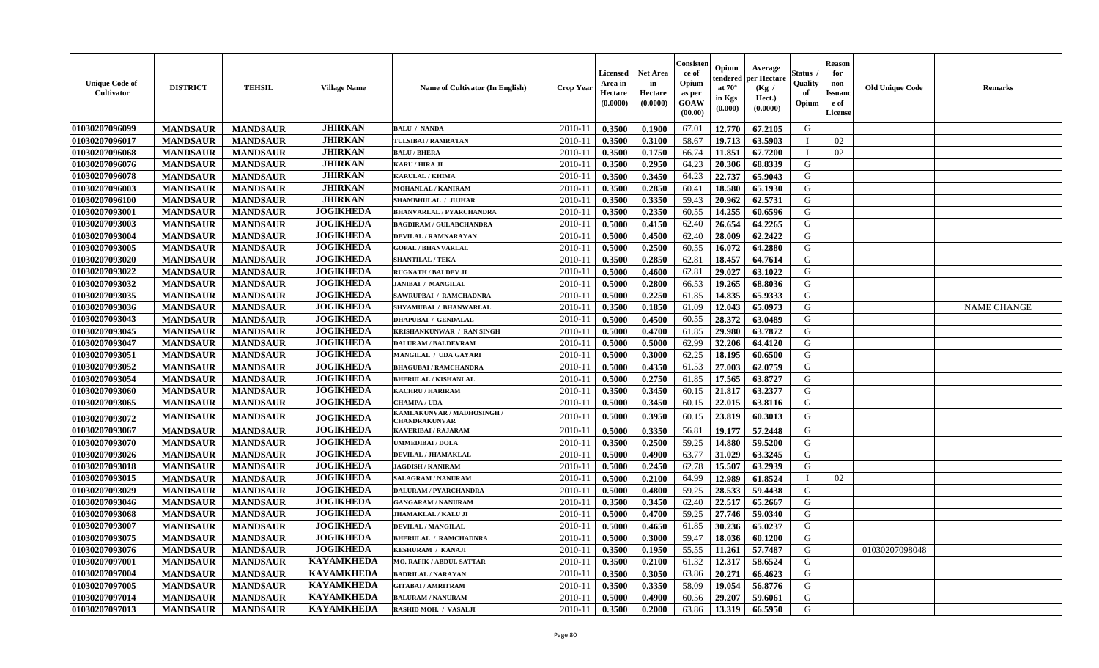| <b>Unique Code of</b><br>Cultivator | <b>DISTRICT</b> | <b>TEHSIL</b>   | <b>Village Name</b> | Name of Cultivator (In English)             | Crop Year   | <b>Licensed</b><br>Area in<br>Hectare<br>(0.0000) | <b>Net Area</b><br>in<br>Hectare<br>(0.0000) | Consister<br>ce of<br>Opium<br>as per<br><b>GOAW</b><br>(00.00) | Opium<br>endered<br>at $70^\circ$<br>in Kgs<br>(0.000) | Average<br>oer Hectare<br>(Kg /<br>Hect.)<br>(0.0000) | Status<br>Quality<br>of<br>Opium | <b>Reason</b><br>for<br>non-<br><b>Issuanc</b><br>e of<br><b>License</b> | <b>Old Unique Code</b> | <b>Remarks</b>     |
|-------------------------------------|-----------------|-----------------|---------------------|---------------------------------------------|-------------|---------------------------------------------------|----------------------------------------------|-----------------------------------------------------------------|--------------------------------------------------------|-------------------------------------------------------|----------------------------------|--------------------------------------------------------------------------|------------------------|--------------------|
| 01030207096099                      | <b>MANDSAUR</b> | <b>MANDSAUR</b> | <b>JHIRKAN</b>      | <b>BALU / NANDA</b>                         | 2010-11     | 0.3500                                            | 0.1900                                       | 67.01                                                           | 12.770                                                 | 67.2105                                               | G                                |                                                                          |                        |                    |
| 01030207096017                      | <b>MANDSAUR</b> | <b>MANDSAUR</b> | <b>JHIRKAN</b>      | TULSIBAI / RAMRATAN                         | 2010-11     | 0.3500                                            | 0.3100                                       | 58.67                                                           | 19.713                                                 | 63.5903                                               | $\mathbf I$                      | 02                                                                       |                        |                    |
| 01030207096068                      | <b>MANDSAUR</b> | <b>MANDSAUR</b> | <b>JHIRKAN</b>      | <b>BALU / BHERA</b>                         | $2010 - 1$  | 0.3500                                            | 0.1750                                       | 66.74                                                           | 11.851                                                 | 67.7200                                               | - I                              | 02                                                                       |                        |                    |
| 01030207096076                      | <b>MANDSAUR</b> | <b>MANDSAUR</b> | <b>JHIRKAN</b>      | KARU / HIRA JI                              | 2010-1      | 0.3500                                            | 0.2950                                       | 64.23                                                           | 20.306                                                 | 68.8339                                               | G                                |                                                                          |                        |                    |
| 01030207096078                      | <b>MANDSAUR</b> | <b>MANDSAUR</b> | <b>JHIRKAN</b>      | <b>KARULAL / KHIMA</b>                      | $2010 - 1$  | 0.3500                                            | 0.3450                                       | 64.23                                                           | 22.737                                                 | 65.9043                                               | G                                |                                                                          |                        |                    |
| 01030207096003                      | <b>MANDSAUR</b> | <b>MANDSAUR</b> | <b>JHIRKAN</b>      | <b>MOHANLAL / KANIRAM</b>                   | 2010-11     | 0.3500                                            | 0.2850                                       | 60.41                                                           | 18.580                                                 | 65.1930                                               | G                                |                                                                          |                        |                    |
| 01030207096100                      | <b>MANDSAUR</b> | <b>MANDSAUR</b> | <b>JHIRKAN</b>      | <b>SHAMBHULAL / JUJHAR</b>                  | $2010-1$    | 0.3500                                            | 0.3350                                       | 59.43                                                           | 20.962                                                 | 62.5731                                               | G                                |                                                                          |                        |                    |
| 01030207093001                      | <b>MANDSAUR</b> | <b>MANDSAUR</b> | <b>JOGIKHEDA</b>    | <b>BHANVARLAL / PYARCHANDRA</b>             | 2010-11     | 0.3500                                            | 0.2350                                       | 60.55                                                           | 14.255                                                 | 60.6596                                               | G                                |                                                                          |                        |                    |
| 01030207093003                      | <b>MANDSAUR</b> | <b>MANDSAUR</b> | <b>JOGIKHEDA</b>    | <b>BAGDIRAM / GULABCHANDRA</b>              | 2010-11     | 0.5000                                            | 0.4150                                       | 62.40                                                           | 26.654                                                 | 64.2265                                               | G                                |                                                                          |                        |                    |
| 01030207093004                      | <b>MANDSAUR</b> | <b>MANDSAUR</b> | <b>JOGIKHEDA</b>    | <b>DEVILAL / RAMNARAYAN</b>                 | $2010 - 1$  | 0.5000                                            | 0.4500                                       | 62.40                                                           | 28.009                                                 | 62.2422                                               | G                                |                                                                          |                        |                    |
| 01030207093005                      | <b>MANDSAUR</b> | <b>MANDSAUR</b> | <b>JOGIKHEDA</b>    | <b>GOPAL / BHANVARLAL</b>                   | $2010-1$    | 0.5000                                            | 0.2500                                       | 60.55                                                           | 16.072                                                 | 64.2880                                               | G                                |                                                                          |                        |                    |
| 01030207093020                      | <b>MANDSAUR</b> | <b>MANDSAUR</b> | <b>JOGIKHEDA</b>    | <b>SHANTILAL / TEKA</b>                     | 2010-11     | 0.3500                                            | 0.2850                                       | 62.81                                                           | 18.457                                                 | 64.7614                                               | G                                |                                                                          |                        |                    |
| 01030207093022                      | <b>MANDSAUR</b> | <b>MANDSAUR</b> | <b>JOGIKHEDA</b>    | <b>RUGNATH / BALDEV JI</b>                  | $2010-1$    | 0.5000                                            | 0.4600                                       | 62.81                                                           | 29.027                                                 | 63.1022                                               | G                                |                                                                          |                        |                    |
| 01030207093032                      | <b>MANDSAUR</b> | <b>MANDSAUR</b> | <b>JOGIKHEDA</b>    | <b>JANIBAI / MANGILAL</b>                   | $2010 - 11$ | 0.5000                                            | 0.2800                                       | 66.53                                                           | 19.265                                                 | 68.8036                                               | G                                |                                                                          |                        |                    |
| 01030207093035                      | <b>MANDSAUR</b> | <b>MANDSAUR</b> | <b>JOGIKHEDA</b>    | SAWRUPBAI / RAMCHADNRA                      | 2010-11     | 0.5000                                            | 0.2250                                       | 61.85                                                           | 14.835                                                 | 65.9333                                               | G                                |                                                                          |                        |                    |
| 01030207093036                      | <b>MANDSAUR</b> | <b>MANDSAUR</b> | <b>JOGIKHEDA</b>    | SHYAMUBAI / BHANWARLAL                      | 2010-1      | 0.3500                                            | 0.1850                                       | 61.09                                                           | 12.043                                                 | 65.0973                                               | G                                |                                                                          |                        | <b>NAME CHANGE</b> |
| 01030207093043                      | <b>MANDSAUR</b> | <b>MANDSAUR</b> | <b>JOGIKHEDA</b>    | <b>DHAPUBAI / GENDALAL</b>                  | 2010-1      | 0.5000                                            | 0.4500                                       | 60.55                                                           | 28.372                                                 | 63.0489                                               | G                                |                                                                          |                        |                    |
| 01030207093045                      | <b>MANDSAUR</b> | <b>MANDSAUR</b> | <b>JOGIKHEDA</b>    | KRISHANKUNWAR / RAN SINGH                   | $2010 - 1$  | 0.5000                                            | 0.4700                                       | 61.85                                                           | 29.980                                                 | 63.7872                                               | G                                |                                                                          |                        |                    |
| 01030207093047                      | <b>MANDSAUR</b> | <b>MANDSAUR</b> | <b>JOGIKHEDA</b>    | <b>DALURAM / BALDEVRAM</b>                  | $2010 - 1$  | 0.5000                                            | 0.5000                                       | 62.99                                                           | 32.206                                                 | 64.4120                                               | G                                |                                                                          |                        |                    |
| 01030207093051                      | <b>MANDSAUR</b> | <b>MANDSAUR</b> | <b>JOGIKHEDA</b>    | MANGILAL / UDA GAYARI                       | $2010 - 11$ | 0.5000                                            | 0.3000                                       | 62.25                                                           | 18.195                                                 | 60.6500                                               | G                                |                                                                          |                        |                    |
| 01030207093052                      | <b>MANDSAUR</b> | <b>MANDSAUR</b> | <b>JOGIKHEDA</b>    | <b>BHAGUBAI / RAMCHANDRA</b>                | 2010-11     | 0.5000                                            | 0.4350                                       | 61.53                                                           | 27.003                                                 | 62.0759                                               | G                                |                                                                          |                        |                    |
| 01030207093054                      | <b>MANDSAUR</b> | <b>MANDSAUR</b> | <b>JOGIKHEDA</b>    | <b>BHERULAL / KISHANLAL</b>                 | 2010-1      | 0.5000                                            | 0.2750                                       | 61.85                                                           | 17.565                                                 | 63.8727                                               | G                                |                                                                          |                        |                    |
| 01030207093060                      | <b>MANDSAUR</b> | <b>MANDSAUR</b> | <b>JOGIKHEDA</b>    | <b>KACHRU / HARIRAM</b>                     | 2010-1      | 0.3500                                            | 0.3450                                       | 60.15                                                           | 21.817                                                 | 63.2377                                               | ${\bf G}$                        |                                                                          |                        |                    |
| 01030207093065                      | <b>MANDSAUR</b> | <b>MANDSAUR</b> | <b>JOGIKHEDA</b>    | <b>CHAMPA / UDA</b>                         | 2010-11     | 0.5000                                            | 0.3450                                       | 60.15                                                           | 22.015                                                 | 63.8116                                               | G                                |                                                                          |                        |                    |
| 01030207093072                      | <b>MANDSAUR</b> | <b>MANDSAUR</b> | <b>JOGIKHEDA</b>    | KAMLAKUNVAR / MADHOSINGH /<br>CHANDRAKUNVAR | $2010 - 11$ | 0.5000                                            | 0.3950                                       | 60.15                                                           | 23.819                                                 | 60.3013                                               | G                                |                                                                          |                        |                    |
| 01030207093067                      | <b>MANDSAUR</b> | <b>MANDSAUR</b> | <b>JOGIKHEDA</b>    | <b>KAVERIBAI/RAJARAM</b>                    | 2010-11     | 0.5000                                            | 0.3350                                       | 56.81                                                           | 19.177                                                 | 57.2448                                               | G                                |                                                                          |                        |                    |
| 01030207093070                      | <b>MANDSAUR</b> | <b>MANDSAUR</b> | <b>JOGIKHEDA</b>    | <b>UMMEDIBAI / DOLA</b>                     | 2010-11     | 0.3500                                            | 0.2500                                       | 59.25                                                           | 14.880                                                 | 59.5200                                               | G                                |                                                                          |                        |                    |
| 01030207093026                      | <b>MANDSAUR</b> | <b>MANDSAUR</b> | <b>JOGIKHEDA</b>    | DEVILAL / JHAMAKLAL                         | 2010-1      | 0.5000                                            | 0.4900                                       | 63.77                                                           | 31.029                                                 | 63.3245                                               | G                                |                                                                          |                        |                    |
| 01030207093018                      | <b>MANDSAUR</b> | <b>MANDSAUR</b> | <b>JOGIKHEDA</b>    | <b>JAGDISH / KANIRAM</b>                    | $2010 - 1$  | 0.5000                                            | 0.2450                                       | 62.78                                                           | 15.507                                                 | 63.2939                                               | G                                |                                                                          |                        |                    |
| 01030207093015                      | <b>MANDSAUR</b> | <b>MANDSAUR</b> | <b>JOGIKHEDA</b>    | <b>SALAGRAM / NANURAM</b>                   | 2010-11     | 0.5000                                            | 0.2100                                       | 64.99                                                           | 12.989                                                 | 61.8524                                               | $\mathbf I$                      | 02                                                                       |                        |                    |
| 01030207093029                      | <b>MANDSAUR</b> | <b>MANDSAUR</b> | <b>JOGIKHEDA</b>    | DALURAM / PYARCHANDRA                       | 2010-11     | 0.5000                                            | 0.4800                                       | 59.25                                                           | 28.533                                                 | 59.4438                                               | G                                |                                                                          |                        |                    |
| 01030207093046                      | <b>MANDSAUR</b> | <b>MANDSAUR</b> | <b>JOGIKHEDA</b>    | <b>GANGARAM / NANURAM</b>                   | $2010 - 1$  | 0.3500                                            | 0.3450                                       | 62.40                                                           | 22.517                                                 | 65.2667                                               | G                                |                                                                          |                        |                    |
| 01030207093068                      | <b>MANDSAUR</b> | <b>MANDSAUR</b> | <b>JOGIKHEDA</b>    | <b>JHAMAKLAL / KALU JI</b>                  | 2010-11     | 0.5000                                            | 0.4700                                       | 59.25                                                           | 27.746                                                 | 59.0340                                               | G                                |                                                                          |                        |                    |
| 01030207093007                      | <b>MANDSAUR</b> | <b>MANDSAUR</b> | <b>JOGIKHEDA</b>    | <b>DEVILAL / MANGILAL</b>                   | 2010-1      | 0.5000                                            | 0.4650                                       | 61.85                                                           | 30.236                                                 | 65.0237                                               | G                                |                                                                          |                        |                    |
| 01030207093075                      | <b>MANDSAUR</b> | <b>MANDSAUR</b> | <b>JOGIKHEDA</b>    | <b>BHERULAL / RAMCHADNRA</b>                | $2010 - 11$ | 0.5000                                            | 0.3000                                       | 59.47                                                           | 18.036                                                 | 60.1200                                               | G                                |                                                                          |                        |                    |
| 01030207093076                      | <b>MANDSAUR</b> | <b>MANDSAUR</b> | <b>JOGIKHEDA</b>    | <b>KESHURAM / KANAJI</b>                    | $2010 - 11$ | 0.3500                                            | 0.1950                                       | 55.55                                                           | 11.261                                                 | 57.7487                                               | G                                |                                                                          | 01030207098048         |                    |
| 01030207097001                      | <b>MANDSAUR</b> | <b>MANDSAUR</b> | <b>KAYAMKHEDA</b>   | <b>MO. RAFIK / ABDUL SATTAR</b>             | $2010 - 11$ | 0.3500                                            | 0.2100                                       | 61.32                                                           | 12.317                                                 | 58.6524                                               | G                                |                                                                          |                        |                    |
| 01030207097004                      | <b>MANDSAUR</b> | <b>MANDSAUR</b> | <b>KAYAMKHEDA</b>   | <b>BADRILAL / NARAYAN</b>                   | 2010-11     | 0.3500                                            | 0.3050                                       | 63.86                                                           | 20.271                                                 | 66.4623                                               | G                                |                                                                          |                        |                    |
| 01030207097005                      | <b>MANDSAUR</b> | <b>MANDSAUR</b> | <b>KAYAMKHEDA</b>   | <b>GITABAI/ AMRITRAM</b>                    | 2010-11     | 0.3500                                            | 0.3350                                       | 58.09                                                           | 19.054                                                 | 56.8776                                               | G                                |                                                                          |                        |                    |
| 01030207097014                      | <b>MANDSAUR</b> | <b>MANDSAUR</b> | <b>KAYAMKHEDA</b>   | <b>BALURAM / NANURAM</b>                    | $2010-1$    | 0.5000                                            | 0.4900                                       | 60.56                                                           | 29.207                                                 | 59.6061                                               | G                                |                                                                          |                        |                    |
| 01030207097013                      | <b>MANDSAUR</b> | <b>MANDSAUR</b> | <b>KAYAMKHEDA</b>   | RASHID MOH. / VASALJI                       | 2010-11     | 0.3500                                            | 0.2000                                       | 63.86                                                           | 13.319                                                 | 66.5950                                               | G                                |                                                                          |                        |                    |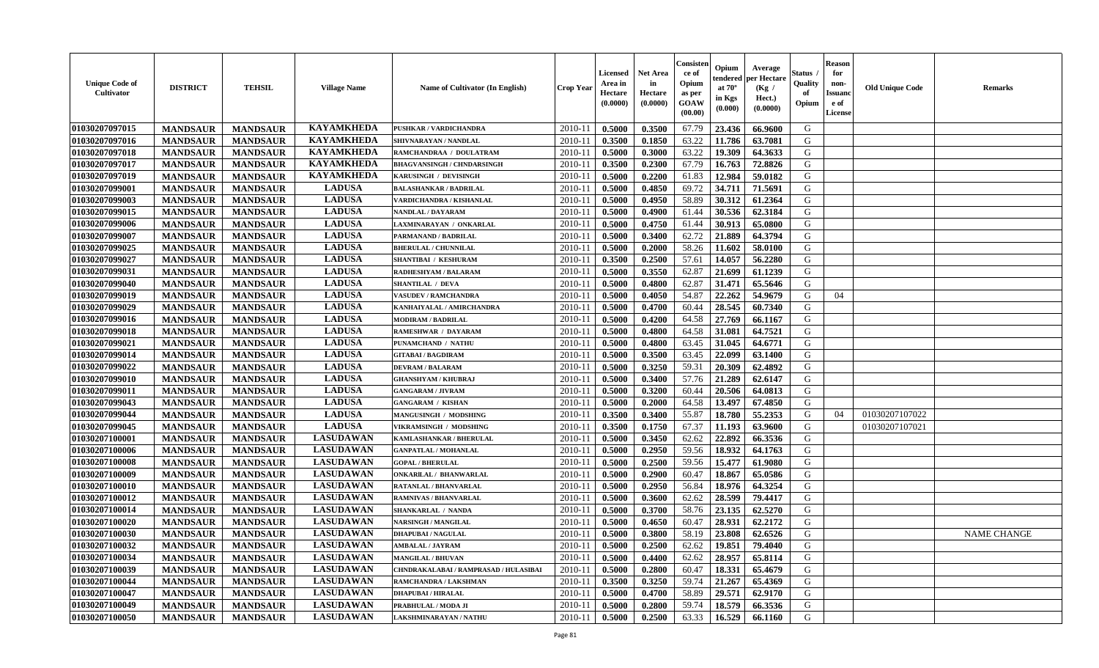| <b>Unique Code of</b><br>Cultivator | <b>DISTRICT</b> | <b>TEHSIL</b>   | <b>Village Name</b> | <b>Name of Cultivator (In English)</b> | <b>Crop Year</b> | <b>Licensed</b><br>Area in<br>Hectare<br>(0.0000) | <b>Net Area</b><br>in<br>Hectare<br>(0.0000) | Consisten<br>ce of<br>Opium<br>as per<br><b>GOAW</b><br>(00.00) | Opium<br>tendered<br>at $70^\circ$<br>in Kgs<br>$(\mathbf{0.000})$ | Average<br>per Hectare<br>(Kg /<br>Hect.)<br>(0.0000) | Status .<br>Quality<br>of<br>Opium | <b>Reason</b><br>for<br>non-<br><b>Issuanc</b><br>e of<br>License | <b>Old Unique Code</b> | <b>Remarks</b>     |
|-------------------------------------|-----------------|-----------------|---------------------|----------------------------------------|------------------|---------------------------------------------------|----------------------------------------------|-----------------------------------------------------------------|--------------------------------------------------------------------|-------------------------------------------------------|------------------------------------|-------------------------------------------------------------------|------------------------|--------------------|
| 01030207097015                      | <b>MANDSAUR</b> | <b>MANDSAUR</b> | <b>KAYAMKHEDA</b>   | <b>PUSHKAR / VARDICHANDRA</b>          | 2010-11          | 0.5000                                            | 0.3500                                       | 67.79                                                           | 23.436                                                             | 66.9600                                               | G                                  |                                                                   |                        |                    |
| 01030207097016                      | <b>MANDSAUR</b> | <b>MANDSAUR</b> | <b>KAYAMKHEDA</b>   | SHIVNARAYAN / NANDLAL                  | $2010 - 11$      | 0.3500                                            | 0.1850                                       | 63.22                                                           | 11.786                                                             | 63.7081                                               | G                                  |                                                                   |                        |                    |
| 01030207097018                      | <b>MANDSAUR</b> | <b>MANDSAUR</b> | <b>KAYAMKHEDA</b>   | RAMCHANDRAA / DOULATRAM                | $2010 - 1$       | 0.5000                                            | 0.3000                                       | 63.22                                                           | 19.309                                                             | 64.3633                                               | G                                  |                                                                   |                        |                    |
| 01030207097017                      | <b>MANDSAUR</b> | <b>MANDSAUR</b> | <b>KAYAMKHEDA</b>   | <b>BHAGVANSINGH / CHNDARSINGH</b>      | 2010-11          | 0.3500                                            | 0.2300                                       | 67.79                                                           | 16.763                                                             | 72.8826                                               | G                                  |                                                                   |                        |                    |
| 01030207097019                      | <b>MANDSAUR</b> | <b>MANDSAUR</b> | <b>KAYAMKHEDA</b>   | KARUSINGH / DEVISINGH                  | 2010-11          | 0.5000                                            | 0.2200                                       | 61.83                                                           | 12.984                                                             | 59.0182                                               | G                                  |                                                                   |                        |                    |
| 01030207099001                      | <b>MANDSAUR</b> | <b>MANDSAUR</b> | <b>LADUSA</b>       | <b>BALASHANKAR / BADRILAL</b>          | $2010 - 11$      | 0.5000                                            | 0.4850                                       | 69.72                                                           | 34.711                                                             | 71.5691                                               | G                                  |                                                                   |                        |                    |
| 01030207099003                      | <b>MANDSAUR</b> | <b>MANDSAUR</b> | <b>LADUSA</b>       | VARDICHANDRA / KISHANLAL               | 2010-11          | 0.5000                                            | 0.4950                                       | 58.89                                                           | 30.312                                                             | 61.2364                                               | G                                  |                                                                   |                        |                    |
| 01030207099015                      | <b>MANDSAUR</b> | <b>MANDSAUR</b> | <b>LADUSA</b>       | NANDLAL / DAYARAM                      | $2010 - 11$      | 0.5000                                            | 0.4900                                       | 61.44                                                           | 30.536                                                             | 62.3184                                               | G                                  |                                                                   |                        |                    |
| 01030207099006                      | <b>MANDSAUR</b> | <b>MANDSAUR</b> | <b>LADUSA</b>       | LAXMINARAYAN / ONKARLAL                | 2010-11          | 0.5000                                            | 0.4750                                       | 61.44                                                           | 30.913                                                             | 65.0800                                               | G                                  |                                                                   |                        |                    |
| 01030207099007                      | <b>MANDSAUR</b> | <b>MANDSAUR</b> | <b>LADUSA</b>       | PARMANAND / BADRILAL                   | 2010-11          | 0.5000                                            | 0.3400                                       | 62.72                                                           | 21.889                                                             | 64.3794                                               | G                                  |                                                                   |                        |                    |
| 01030207099025                      | <b>MANDSAUR</b> | <b>MANDSAUR</b> | <b>LADUSA</b>       | <b>BHERULAL / CHUNNILAL</b>            | $2010 - 11$      | 0.5000                                            | 0.2000                                       | 58.26                                                           | 11.602                                                             | 58.0100                                               | G                                  |                                                                   |                        |                    |
| 01030207099027                      | <b>MANDSAUR</b> | <b>MANDSAUR</b> | <b>LADUSA</b>       | <b>SHANTIBAI / KESHURAM</b>            | 2010-11          | 0.3500                                            | 0.2500                                       | 57.61                                                           | 14.057                                                             | 56.2280                                               | G                                  |                                                                   |                        |                    |
| 01030207099031                      | <b>MANDSAUR</b> | <b>MANDSAUR</b> | <b>LADUSA</b>       | <b>RADHESHYAM / BALARAM</b>            | $2010 - 11$      | 0.5000                                            | 0.3550                                       | 62.87                                                           | 21.699                                                             | 61.1239                                               | G                                  |                                                                   |                        |                    |
| 01030207099040                      | <b>MANDSAUR</b> | <b>MANDSAUR</b> | <b>LADUSA</b>       | <b>SHANTILAL / DEVA</b>                | $2010 - 1$       | 0.5000                                            | 0.4800                                       | 62.87                                                           | 31.471                                                             | 65.5646                                               | G                                  |                                                                   |                        |                    |
| 01030207099019                      | <b>MANDSAUR</b> | <b>MANDSAUR</b> | <b>LADUSA</b>       | <b>VASUDEV / RAMCHANDRA</b>            | 2010-11          | 0.5000                                            | 0.4050                                       | 54.87                                                           | 22.262                                                             | 54.9679                                               | G                                  | 04                                                                |                        |                    |
| 01030207099029                      | <b>MANDSAUR</b> | <b>MANDSAUR</b> | <b>LADUSA</b>       | KANHAIYALAL / AMIRCHANDRA              | 2010-11          | 0.5000                                            | 0.4700                                       | 60.44                                                           | 28.545                                                             | 60.7340                                               | G                                  |                                                                   |                        |                    |
| 01030207099016                      | <b>MANDSAUR</b> | <b>MANDSAUR</b> | <b>LADUSA</b>       | <b>MODIRAM / BADRILAL</b>              | $2010 - 11$      | 0.5000                                            | 0.4200                                       | 64.58                                                           | 27.769                                                             | 66.1167                                               | G                                  |                                                                   |                        |                    |
| 01030207099018                      | <b>MANDSAUR</b> | <b>MANDSAUR</b> | <b>LADUSA</b>       | RAMESHWAR / DAYARAM                    | 2010-11          | 0.5000                                            | 0.4800                                       | 64.58                                                           | 31.081                                                             | 64.7521                                               | G                                  |                                                                   |                        |                    |
| 01030207099021                      | <b>MANDSAUR</b> | <b>MANDSAUR</b> | <b>LADUSA</b>       | PUNAMCHAND / NATHU                     | $2010 - 11$      | 0.5000                                            | 0.4800                                       | 63.45                                                           | 31.045                                                             | 64.6771                                               | G                                  |                                                                   |                        |                    |
| 01030207099014                      | <b>MANDSAUR</b> | <b>MANDSAUR</b> | <b>LADUSA</b>       | <b>GITABAI/BAGDIRAM</b>                | 2010-11          | 0.5000                                            | 0.3500                                       | 63.45                                                           | 22.099                                                             | 63.1400                                               | G                                  |                                                                   |                        |                    |
| 01030207099022                      | <b>MANDSAUR</b> | <b>MANDSAUR</b> | <b>LADUSA</b>       | <b>DEVRAM / BALARAM</b>                | 2010-11          | 0.5000                                            | 0.3250                                       | 59.31                                                           | 20.309                                                             | 62.4892                                               | G                                  |                                                                   |                        |                    |
| 01030207099010                      | <b>MANDSAUR</b> | <b>MANDSAUR</b> | <b>LADUSA</b>       | <b>GHANSHYAM / KHUBRAJ</b>             | $2010 - 11$      | 0.5000                                            | 0.3400                                       | 57.76                                                           | 21.289                                                             | 62.6147                                               | G                                  |                                                                   |                        |                    |
| 01030207099011                      | <b>MANDSAUR</b> | <b>MANDSAUR</b> | <b>LADUSA</b>       | <b>GANGARAM / JIVRAM</b>               | 2010-11          | 0.5000                                            | 0.3200                                       | 60.44                                                           | 20.506                                                             | 64.0813                                               | G                                  |                                                                   |                        |                    |
| 01030207099043                      | <b>MANDSAUR</b> | <b>MANDSAUR</b> | <b>LADUSA</b>       | <b>GANGARAM / KISHAN</b>               | 2010-11          | 0.5000                                            | 0.2000                                       | 64.58                                                           | 13.497                                                             | 67.4850                                               | G                                  |                                                                   |                        |                    |
| 01030207099044                      | <b>MANDSAUR</b> | <b>MANDSAUR</b> | <b>LADUSA</b>       | MANGUSINGH / MODSHING                  | $2010 - 1$       | 0.3500                                            | 0.3400                                       | 55.87                                                           | 18.780                                                             | 55.2353                                               | G                                  | 04                                                                | 01030207107022         |                    |
| 01030207099045                      | <b>MANDSAUR</b> | <b>MANDSAUR</b> | <b>LADUSA</b>       | VIKRAMSINGH / MODSHING                 | 2010-11          | 0.3500                                            | 0.1750                                       | 67.37                                                           | 11.193                                                             | 63.9600                                               | G                                  |                                                                   | 01030207107021         |                    |
| 01030207100001                      | <b>MANDSAUR</b> | <b>MANDSAUR</b> | <b>LASUDAWAN</b>    | KAMLASHANKAR / BHERULAL                | $2010-11$        | 0.5000                                            | 0.3450                                       | 62.62                                                           | 22.892                                                             | 66.3536                                               | G                                  |                                                                   |                        |                    |
| 01030207100006                      | <b>MANDSAUR</b> | <b>MANDSAUR</b> | <b>LASUDAWAN</b>    | <b>GANPATLAL / MOHANLAL</b>            | 2010-11          | 0.5000                                            | 0.2950                                       | 59.56                                                           | 18.932                                                             | 64.1763                                               | G                                  |                                                                   |                        |                    |
| 01030207100008                      | <b>MANDSAUR</b> | <b>MANDSAUR</b> | <b>LASUDAWAN</b>    | <b>GOPAL / BHERULAL</b>                | 2010-11          | 0.5000                                            | 0.2500                                       | 59.56                                                           | 15,477                                                             | 61.9080                                               | G                                  |                                                                   |                        |                    |
| 01030207100009                      | <b>MANDSAUR</b> | <b>MANDSAUR</b> | <b>LASUDAWAN</b>    | <b>ONKARILAL / BHANWARLAL</b>          | $2010 - 11$      | 0.5000                                            | 0.2900                                       | 60.47                                                           | 18.867                                                             | 65.0586                                               | G                                  |                                                                   |                        |                    |
| 01030207100010                      | <b>MANDSAUR</b> | <b>MANDSAUR</b> | <b>LASUDAWAN</b>    | RATANLAL / BHANVARLAL                  | 2010-11          | 0.5000                                            | 0.2950                                       | 56.84                                                           | 18.976                                                             | 64.3254                                               | G                                  |                                                                   |                        |                    |
| 01030207100012                      | <b>MANDSAUR</b> | <b>MANDSAUR</b> | <b>LASUDAWAN</b>    | RAMNIVAS / BHANVARLAL                  | 2010-11          | 0.5000                                            | 0.3600                                       | 62.62                                                           | 28.599                                                             | 79.4417                                               | G                                  |                                                                   |                        |                    |
| 01030207100014                      | <b>MANDSAUR</b> | <b>MANDSAUR</b> | <b>LASUDAWAN</b>    | SHANKARLAL / NANDA                     | $2010 - 11$      | 0.5000                                            | 0.3700                                       | 58.76                                                           | 23.135                                                             | 62.5270                                               | G                                  |                                                                   |                        |                    |
| 01030207100020                      | <b>MANDSAUR</b> | <b>MANDSAUR</b> | <b>LASUDAWAN</b>    | <b>NARSINGH / MANGILAL</b>             | 2010-11          | 0.5000                                            | 0.4650                                       | 60.47                                                           | 28.931                                                             | 62.2172                                               | G                                  |                                                                   |                        |                    |
| 01030207100030                      | <b>MANDSAUR</b> | <b>MANDSAUR</b> | <b>LASUDAWAN</b>    | <b>DHAPUBAI/NAGULAL</b>                | 2010-11          | 0.5000                                            | 0.3800                                       | 58.19                                                           | 23.808                                                             | 62.6526                                               | G                                  |                                                                   |                        | <b>NAME CHANGE</b> |
| 01030207100032                      | <b>MANDSAUR</b> | <b>MANDSAUR</b> | <b>LASUDAWAN</b>    | AMBALAL / JAYRAM                       |                  | $2010-11$ 0.5000                                  | 0.2500                                       | 62.62                                                           |                                                                    | $19.851$ 79.4040                                      | G                                  |                                                                   |                        |                    |
| 01030207100034                      | <b>MANDSAUR</b> | <b>MANDSAUR</b> | <b>LASUDAWAN</b>    | <b>MANGILAL / BHUVAN</b>               | 2010-11          | 0.5000                                            | 0.4400                                       | 62.62                                                           | 28.957                                                             | 65.8114                                               | G                                  |                                                                   |                        |                    |
| 01030207100039                      | <b>MANDSAUR</b> | <b>MANDSAUR</b> | <b>LASUDAWAN</b>    | CHNDRAKALABAI / RAMPRASAD / HULASIBAI  | 2010-11          | 0.5000                                            | 0.2800                                       | 60.47                                                           | 18.331                                                             | 65.4679                                               | G                                  |                                                                   |                        |                    |
| 01030207100044                      | <b>MANDSAUR</b> | <b>MANDSAUR</b> | <b>LASUDAWAN</b>    | RAMCHANDRA / LAKSHMAN                  | 2010-11          | 0.3500                                            | 0.3250                                       | 59.74                                                           | 21.267                                                             | 65.4369                                               | G                                  |                                                                   |                        |                    |
| 01030207100047                      | <b>MANDSAUR</b> | <b>MANDSAUR</b> | <b>LASUDAWAN</b>    | <b>DHAPUBAI/HIRALAL</b>                | 2010-11          | 0.5000                                            | 0.4700                                       | 58.89                                                           | 29.571                                                             | 62.9170                                               | G                                  |                                                                   |                        |                    |
| 01030207100049                      | <b>MANDSAUR</b> | <b>MANDSAUR</b> | <b>LASUDAWAN</b>    | PRABHULAL / MODA JI                    | 2010-11          | 0.5000                                            | 0.2800                                       | 59.74                                                           | 18.579                                                             | 66.3536                                               | G                                  |                                                                   |                        |                    |
| 01030207100050                      | <b>MANDSAUR</b> | <b>MANDSAUR</b> | <b>LASUDAWAN</b>    | <b>LAKSHMINARAYAN / NATHU</b>          | $2010-11$        | 0.5000                                            | 0.2500                                       | 63.33                                                           | 16.529                                                             | 66.1160                                               | G                                  |                                                                   |                        |                    |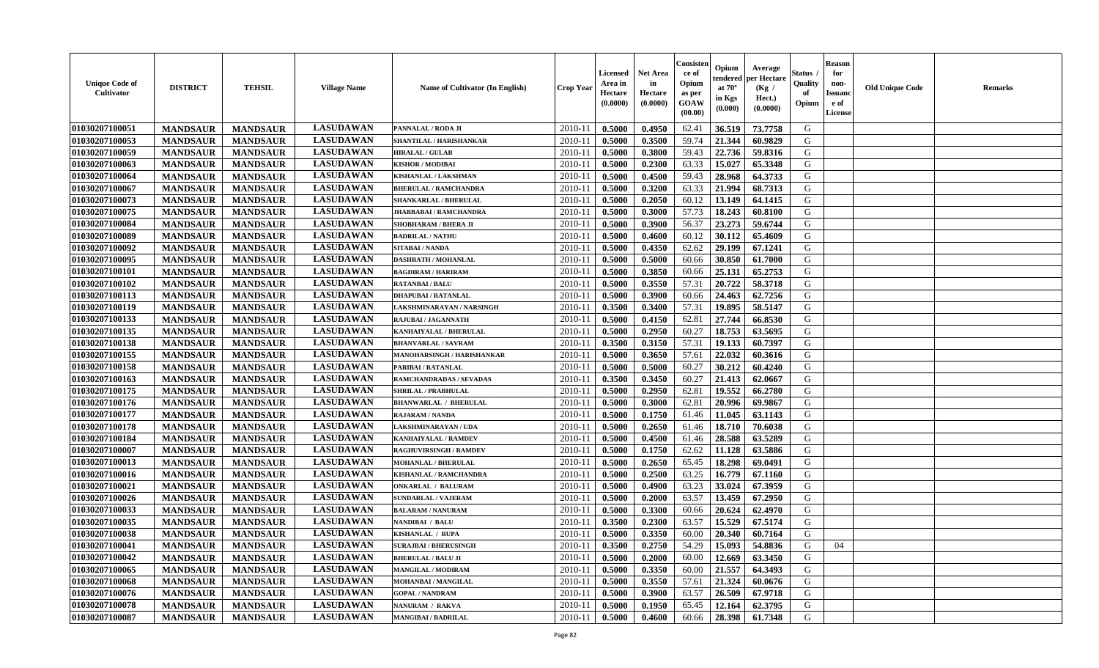| <b>LASUDAWAN</b><br>01030207100051<br>2010-11<br>0.5000<br>0.4950<br>62.41<br>36.519<br>73.7758<br>G<br><b>MANDSAUR</b><br><b>MANDSAUR</b><br>PANNALAL / RODA JI<br><b>LASUDAWAN</b><br>01030207100053<br>59.74<br>G<br><b>MANDSAUR</b><br><b>MANDSAUR</b><br>2010-11<br>0.5000<br>0.3500<br>21.344<br>60.9829<br>SHANTILAL / HARISHANKAR<br><b>LASUDAWAN</b><br>22.736<br>01030207100059<br><b>MANDSAUR</b><br>2010-11<br>0.5000<br>0.3800<br>59.43<br>59.8316<br>G<br><b>MANDSAUR</b><br><b>HIRALAL / GULAB</b><br><b>LASUDAWAN</b><br>01030207100063<br><b>MANDSAUR</b><br><b>MANDSAUR</b><br><b>KISHOR / MODIBAI</b><br>2010-11<br>0.5000<br>0.2300<br>63.33<br>15.027<br>65.3348<br>G<br><b>LASUDAWAN</b><br>01030207100064<br>28.968<br>64.3733<br><b>MANDSAUR</b><br><b>MANDSAUR</b><br>KISHANLAL / LAKSHMAN<br>2010-11<br>0.5000<br>0.4500<br>59.43<br>G<br><b>LASUDAWAN</b><br>01030207100067<br><b>MANDSAUR</b><br><b>MANDSAUR</b><br>0.5000<br>0.3200<br>63.33<br>21.994<br>68.7313<br>G<br>2010-11<br><b>BHERULAL / RAMCHANDRA</b><br><b>LASUDAWAN</b><br>01030207100073<br><b>MANDSAUR</b><br><b>MANDSAUR</b><br>13.149<br>64.1415<br>G<br>$2010 - 11$<br>0.5000<br>0.2050<br>60.12<br>SHANKARLAL / BHERULAL<br><b>LASUDAWAN</b><br>57.73<br>01030207100075<br><b>MANDSAUR</b><br><b>MANDSAUR</b><br>2010-11<br>0.5000<br>0.3000<br>18.243<br>60.8100<br>G<br>JHABBABAI / RAMCHANDRA<br><b>LASUDAWAN</b><br>01030207100084<br>2010-11<br>56.37<br>23.273<br><b>MANDSAUR</b><br><b>MANDSAUR</b><br>0.5000<br>0.3900<br>59.6744<br>G<br>SHOBHARAM / BHERA JI<br><b>LASUDAWAN</b><br>01030207100089<br>60.12<br>G<br><b>MANDSAUR</b><br><b>MANDSAUR</b><br>2010-11<br>0.5000<br>0.4600<br>30.112<br>65.4609<br><b>BADRILAL / NATHU</b><br><b>LASUDAWAN</b><br>29.199<br>G<br>01030207100092<br><b>MANDSAUR</b><br><b>MANDSAUR</b><br><b>SITABAI/NANDA</b><br>2010-11<br>0.5000<br>0.4350<br>62.62<br>67.1241<br><b>LASUDAWAN</b><br>30.850<br>01030207100095<br><b>MANDSAUR</b><br><b>MANDSAUR</b><br><b>DASHRATH / MOHANLAL</b><br>2010-11<br>0.5000<br>0.5000<br>60.66<br>61.7000<br>G<br><b>LASUDAWAN</b><br>01030207100101<br><b>MANDSAUR</b><br><b>MANDSAUR</b><br>25.131<br>G<br><b>BAGDIRAM / HARIRAM</b><br>2010-11<br>0.5000<br>0.3850<br>60.66<br>65.2753<br><b>LASUDAWAN</b><br>01030207100102<br><b>MANDSAUR</b><br><b>MANDSAUR</b><br>0.3550<br>57.31<br>20.722<br>58.3718<br>G<br><b>RATANBAI/BALU</b><br>2010-11<br>0.5000<br><b>LASUDAWAN</b><br>24.463<br>62.7256<br>${\bf G}$<br>01030207100113<br><b>MANDSAUR</b><br><b>MANDSAUR</b><br>0.5000<br>0.3900<br>60.66<br>$2010 - 11$<br><b>DHAPUBAI/RATANLAL</b><br><b>LASUDAWAN</b><br>01030207100119<br><b>MANDSAUR</b><br>57.31<br>19.895<br>58.5147<br>G<br><b>MANDSAUR</b><br>2010-11<br>0.3500<br>0.3400<br>LAKSHMINARAYAN / NARSINGH<br><b>LASUDAWAN</b><br>01030207100133<br>62.81<br>27.744<br>G<br><b>MANDSAUR</b><br><b>MANDSAUR</b><br>2010-11<br>0.5000<br>0.4150<br>66.8530<br>RAJUBAI / JAGANNATH<br>01030207100135<br><b>LASUDAWAN</b><br><b>MANDSAUR</b><br>2010-11<br>0.2950<br>60.27<br>18.753<br>63.5695<br>G<br><b>MANDSAUR</b><br>0.5000<br>KANHAIYALAL / BHERULAL<br><b>LASUDAWAN</b><br>01030207100138<br>0.3150<br>57.31<br>19.133<br>60.7397<br>G<br><b>MANDSAUR</b><br><b>MANDSAUR</b><br><b>BHANVARLAL / SAVRAM</b><br>2010-11<br>0.3500<br><b>LASUDAWAN</b><br>01030207100155<br>0.3650<br>57.61<br>22.032<br>60.3616<br><b>MANDSAUR</b><br><b>MANDSAUR</b><br>MANOHARSINGH / HARISHANKAR<br>2010-11<br>0.5000<br>G<br><b>LASUDAWAN</b><br>01030207100158<br><b>MANDSAUR</b><br><b>MANDSAUR</b><br>2010-11<br>0.5000<br>60.27<br>30.212<br>60.4240<br>G<br>PARIBAI / RATANLAL<br>0.5000<br><b>LASUDAWAN</b><br>01030207100163<br><b>MANDSAUR</b><br><b>MANDSAUR</b><br>2010-11<br>0.3500<br>0.3450<br>60.27<br>21.413<br>62.0667<br>G<br><b>RAMCHANDRADAS / SEVADAS</b><br><b>LASUDAWAN</b><br>01030207100175<br><b>MANDSAUR</b><br>19.552<br>66.2780<br>G<br><b>MANDSAUR</b><br>2010-11<br>0.5000<br>0.2950<br>62.81<br><b>SHRILAL / PRABHULAL</b><br><b>LASUDAWAN</b><br>62.81<br>G<br>01030207100176<br>2010-11<br>20.996<br><b>MANDSAUR</b><br><b>MANDSAUR</b><br>0.5000<br>0.3000<br>69.9867<br><b>BHANWARLAL / BHERULAL</b><br><b>LASUDAWAN</b><br>01030207100177<br><b>MANDSAUR</b><br><b>MANDSAUR</b><br>2010-11<br>0.1750<br>61.46<br>11.045<br>63.1143<br>G<br><b>RAJARAM / NANDA</b><br>0.5000<br><b>LASUDAWAN</b><br>01030207100178<br><b>MANDSAUR</b><br>2010-11<br>0.5000<br>0.2650<br>61.46<br>18.710<br>70.6038<br>G<br><b>MANDSAUR</b><br>LAKSHMINARAYAN / UDA<br><b>LASUDAWAN</b><br>28.588<br>63.5289<br>01030207100184<br><b>MANDSAUR</b><br>2010-11<br>0.4500<br>61.46<br>G<br><b>MANDSAUR</b><br>0.5000<br>KANHAIYALAL / RAMDEV<br><b>LASUDAWAN</b><br>01030207100007<br><b>MANDSAUR</b><br>0.1750<br>62.62<br>11.128<br>63.5886<br><b>MANDSAUR</b><br>RAGHUVIRSINGH / RAMDEV<br>2010-11<br>0.5000<br>G<br><b>LASUDAWAN</b><br>18.298<br>G<br>01030207100013<br><b>MANDSAUR</b><br><b>MANDSAUR</b><br>2010-11<br>0.5000<br>0.2650<br>65.45<br>69.0491<br><b>MOHANLAL / BHERULAL</b><br><b>LASUDAWAN</b><br>01030207100016<br><b>MANDSAUR</b><br><b>MANDSAUR</b><br>KISHANLAL / RAMCHANDRA<br>2010-11<br>0.5000<br>0.2500<br>63.25<br>16.779<br>67.1160<br>G<br><b>LASUDAWAN</b><br>01030207100021<br><b>MANDSAUR</b><br><b>MANDSAUR</b><br>63.23<br>33.024<br>67.3959<br>G<br><b>ONKARLAL / BALURAM</b><br>2010-11<br>0.5000<br>0.4900<br><b>LASUDAWAN</b><br>01030207100026<br>63.57<br>G<br><b>MANDSAUR</b><br><b>MANDSAUR</b><br>2010-11<br>13.459<br>67.2950<br><b>SUNDARLAL / VAJERAM</b><br>0.5000<br>0.2000<br><b>LASUDAWAN</b><br>G<br>01030207100033<br><b>MANDSAUR</b><br>2010-11<br>0.5000<br>0.3300<br>60.66<br>20.624<br>62.4970<br><b>MANDSAUR</b><br><b>BALARAM / NANURAM</b><br><b>LASUDAWAN</b><br>01030207100035<br>63.57<br>15.529<br>67.5174<br><b>MANDSAUR</b><br><b>MANDSAUR</b><br>NANDIBAI / BALU<br>2010-11<br>0.3500<br>0.2300<br>G<br><b>LASUDAWAN</b><br>0.3350<br>01030207100038<br><b>MANDSAUR</b><br>0.5000<br>60.00<br>20.340<br>60.7164<br>G<br><b>MANDSAUR</b><br>KISHANLAL / RUPA<br>2010-11<br><b>LASUDAWAN</b><br>01030207100041<br><b>MANDSAUR</b><br>0.3500<br>0.2750<br>54.29<br>15.093<br>54.8836<br>G<br><b>MANDSAUR</b><br><b>SURAJBAI / BHERUSINGH</b><br>2010-11<br>04<br><b>LASUDAWAN</b><br>01030207100042<br><b>MANDSAUR</b><br><b>MANDSAUR</b><br><b>BHERULAL / BALU JI</b><br>2010-11<br>0.5000<br>0.2000<br>60.00<br>12.669<br>63.3450<br>G<br><b>LASUDAWAN</b><br><b>MANDSAUR</b><br><b>MANDSAUR</b><br>0.3350<br>21.557<br>64.3493<br>G<br>01030207100065<br><b>MANGILAL / MODIRAM</b><br>2010-11<br>0.5000<br>60.00<br><b>LASUDAWAN</b><br>01030207100068<br><b>MANDSAUR</b><br><b>MANDSAUR</b><br>0.3550<br>57.61<br>21.324<br>G<br><b>MOHANBAI/MANGILAL</b><br>2010-11<br>0.5000<br>60.0676<br><b>LASUDAWAN</b><br>26.509<br>${\bf G}$<br>01030207100076<br><b>MANDSAUR</b><br><b>MANDSAUR</b><br>0.3900<br>63.57<br>67.9718<br>2010-11<br>0.5000<br><b>GOPAL / NANDRAM</b><br>G<br><b>LASUDAWAN</b><br>65.45<br>12.164<br>62.3795<br>01030207100078<br><b>MANDSAUR</b><br>2010-11<br>0.5000<br>0.1950<br><b>MANDSAUR</b><br>NANURAM / RAKVA | <b>Unique Code of</b><br><b>Cultivator</b> | <b>DISTRICT</b> | <b>TEHSIL</b>   | <b>Village Name</b> | <b>Name of Cultivator (In English)</b> | <b>Crop Year</b> | <b>Licensed</b><br>Area in<br>Hectare<br>(0.0000) | Net Area<br>in<br>Hectare<br>(0.0000) | Consisteı<br>ce of<br>Opium<br>as per<br>GOAW<br>(00.00) | Opium<br>endered<br>at $70^\circ$<br>in Kgs<br>(0.000) | Average<br>per Hectare<br>(Kg /<br>Hect.)<br>(0.0000) | Status<br>Quality<br>of<br>Opium | <b>Reason</b><br>for<br>non-<br><b>Issuand</b><br>e of<br>License | <b>Old Unique Code</b> | Remarks |
|----------------------------------------------------------------------------------------------------------------------------------------------------------------------------------------------------------------------------------------------------------------------------------------------------------------------------------------------------------------------------------------------------------------------------------------------------------------------------------------------------------------------------------------------------------------------------------------------------------------------------------------------------------------------------------------------------------------------------------------------------------------------------------------------------------------------------------------------------------------------------------------------------------------------------------------------------------------------------------------------------------------------------------------------------------------------------------------------------------------------------------------------------------------------------------------------------------------------------------------------------------------------------------------------------------------------------------------------------------------------------------------------------------------------------------------------------------------------------------------------------------------------------------------------------------------------------------------------------------------------------------------------------------------------------------------------------------------------------------------------------------------------------------------------------------------------------------------------------------------------------------------------------------------------------------------------------------------------------------------------------------------------------------------------------------------------------------------------------------------------------------------------------------------------------------------------------------------------------------------------------------------------------------------------------------------------------------------------------------------------------------------------------------------------------------------------------------------------------------------------------------------------------------------------------------------------------------------------------------------------------------------------------------------------------------------------------------------------------------------------------------------------------------------------------------------------------------------------------------------------------------------------------------------------------------------------------------------------------------------------------------------------------------------------------------------------------------------------------------------------------------------------------------------------------------------------------------------------------------------------------------------------------------------------------------------------------------------------------------------------------------------------------------------------------------------------------------------------------------------------------------------------------------------------------------------------------------------------------------------------------------------------------------------------------------------------------------------------------------------------------------------------------------------------------------------------------------------------------------------------------------------------------------------------------------------------------------------------------------------------------------------------------------------------------------------------------------------------------------------------------------------------------------------------------------------------------------------------------------------------------------------------------------------------------------------------------------------------------------------------------------------------------------------------------------------------------------------------------------------------------------------------------------------------------------------------------------------------------------------------------------------------------------------------------------------------------------------------------------------------------------------------------------------------------------------------------------------------------------------------------------------------------------------------------------------------------------------------------------------------------------------------------------------------------------------------------------------------------------------------------------------------------------------------------------------------------------------------------------------------------------------------------------------------------------------------------------------------------------------------------------------------------------------------------------------------------------------------------------------------------------------------------------------------------------------------------------------------------------------------------------------------------------------------------------------------------------------------------------------------------------------------------------------------------------------------------------------------------------------------------------------------------------------------------------------------------------------------------------------------------------------------------------------------------------------------------------------------------------------------------------------------------------------------------------------------------------------------------------------------------------------------------------------------------------------------------------------------------------------------------------------------------------------------------------------------------------------------------------------------------------------------------------------------------------------------------------------------------------------------------------------------------------------------------------------------------------------------------------------------------------------------------------------------------------------------------------------------------------------------------------------------------------------------------------------------------------------------------------------------------------------------------------------------------------------------------------------------------------------------------------------------------------------------------------------------------------------------------------|--------------------------------------------|-----------------|-----------------|---------------------|----------------------------------------|------------------|---------------------------------------------------|---------------------------------------|----------------------------------------------------------|--------------------------------------------------------|-------------------------------------------------------|----------------------------------|-------------------------------------------------------------------|------------------------|---------|
|                                                                                                                                                                                                                                                                                                                                                                                                                                                                                                                                                                                                                                                                                                                                                                                                                                                                                                                                                                                                                                                                                                                                                                                                                                                                                                                                                                                                                                                                                                                                                                                                                                                                                                                                                                                                                                                                                                                                                                                                                                                                                                                                                                                                                                                                                                                                                                                                                                                                                                                                                                                                                                                                                                                                                                                                                                                                                                                                                                                                                                                                                                                                                                                                                                                                                                                                                                                                                                                                                                                                                                                                                                                                                                                                                                                                                                                                                                                                                                                                                                                                                                                                                                                                                                                                                                                                                                                                                                                                                                                                                                                                                                                                                                                                                                                                                                                                                                                                                                                                                                                                                                                                                                                                                                                                                                                                                                                                                                                                                                                                                                                                                                                                                                                                                                                                                                                                                                                                                                                                                                                                                                                                                                                                                                                                                                                                                                                                                                                                                                                                                                                                                                                                                                                                                                                                                                                                                                                                                                                                                                                                                                                                                                                                                                  |                                            |                 |                 |                     |                                        |                  |                                                   |                                       |                                                          |                                                        |                                                       |                                  |                                                                   |                        |         |
|                                                                                                                                                                                                                                                                                                                                                                                                                                                                                                                                                                                                                                                                                                                                                                                                                                                                                                                                                                                                                                                                                                                                                                                                                                                                                                                                                                                                                                                                                                                                                                                                                                                                                                                                                                                                                                                                                                                                                                                                                                                                                                                                                                                                                                                                                                                                                                                                                                                                                                                                                                                                                                                                                                                                                                                                                                                                                                                                                                                                                                                                                                                                                                                                                                                                                                                                                                                                                                                                                                                                                                                                                                                                                                                                                                                                                                                                                                                                                                                                                                                                                                                                                                                                                                                                                                                                                                                                                                                                                                                                                                                                                                                                                                                                                                                                                                                                                                                                                                                                                                                                                                                                                                                                                                                                                                                                                                                                                                                                                                                                                                                                                                                                                                                                                                                                                                                                                                                                                                                                                                                                                                                                                                                                                                                                                                                                                                                                                                                                                                                                                                                                                                                                                                                                                                                                                                                                                                                                                                                                                                                                                                                                                                                                                                  |                                            |                 |                 |                     |                                        |                  |                                                   |                                       |                                                          |                                                        |                                                       |                                  |                                                                   |                        |         |
|                                                                                                                                                                                                                                                                                                                                                                                                                                                                                                                                                                                                                                                                                                                                                                                                                                                                                                                                                                                                                                                                                                                                                                                                                                                                                                                                                                                                                                                                                                                                                                                                                                                                                                                                                                                                                                                                                                                                                                                                                                                                                                                                                                                                                                                                                                                                                                                                                                                                                                                                                                                                                                                                                                                                                                                                                                                                                                                                                                                                                                                                                                                                                                                                                                                                                                                                                                                                                                                                                                                                                                                                                                                                                                                                                                                                                                                                                                                                                                                                                                                                                                                                                                                                                                                                                                                                                                                                                                                                                                                                                                                                                                                                                                                                                                                                                                                                                                                                                                                                                                                                                                                                                                                                                                                                                                                                                                                                                                                                                                                                                                                                                                                                                                                                                                                                                                                                                                                                                                                                                                                                                                                                                                                                                                                                                                                                                                                                                                                                                                                                                                                                                                                                                                                                                                                                                                                                                                                                                                                                                                                                                                                                                                                                                                  |                                            |                 |                 |                     |                                        |                  |                                                   |                                       |                                                          |                                                        |                                                       |                                  |                                                                   |                        |         |
|                                                                                                                                                                                                                                                                                                                                                                                                                                                                                                                                                                                                                                                                                                                                                                                                                                                                                                                                                                                                                                                                                                                                                                                                                                                                                                                                                                                                                                                                                                                                                                                                                                                                                                                                                                                                                                                                                                                                                                                                                                                                                                                                                                                                                                                                                                                                                                                                                                                                                                                                                                                                                                                                                                                                                                                                                                                                                                                                                                                                                                                                                                                                                                                                                                                                                                                                                                                                                                                                                                                                                                                                                                                                                                                                                                                                                                                                                                                                                                                                                                                                                                                                                                                                                                                                                                                                                                                                                                                                                                                                                                                                                                                                                                                                                                                                                                                                                                                                                                                                                                                                                                                                                                                                                                                                                                                                                                                                                                                                                                                                                                                                                                                                                                                                                                                                                                                                                                                                                                                                                                                                                                                                                                                                                                                                                                                                                                                                                                                                                                                                                                                                                                                                                                                                                                                                                                                                                                                                                                                                                                                                                                                                                                                                                                  |                                            |                 |                 |                     |                                        |                  |                                                   |                                       |                                                          |                                                        |                                                       |                                  |                                                                   |                        |         |
|                                                                                                                                                                                                                                                                                                                                                                                                                                                                                                                                                                                                                                                                                                                                                                                                                                                                                                                                                                                                                                                                                                                                                                                                                                                                                                                                                                                                                                                                                                                                                                                                                                                                                                                                                                                                                                                                                                                                                                                                                                                                                                                                                                                                                                                                                                                                                                                                                                                                                                                                                                                                                                                                                                                                                                                                                                                                                                                                                                                                                                                                                                                                                                                                                                                                                                                                                                                                                                                                                                                                                                                                                                                                                                                                                                                                                                                                                                                                                                                                                                                                                                                                                                                                                                                                                                                                                                                                                                                                                                                                                                                                                                                                                                                                                                                                                                                                                                                                                                                                                                                                                                                                                                                                                                                                                                                                                                                                                                                                                                                                                                                                                                                                                                                                                                                                                                                                                                                                                                                                                                                                                                                                                                                                                                                                                                                                                                                                                                                                                                                                                                                                                                                                                                                                                                                                                                                                                                                                                                                                                                                                                                                                                                                                                                  |                                            |                 |                 |                     |                                        |                  |                                                   |                                       |                                                          |                                                        |                                                       |                                  |                                                                   |                        |         |
|                                                                                                                                                                                                                                                                                                                                                                                                                                                                                                                                                                                                                                                                                                                                                                                                                                                                                                                                                                                                                                                                                                                                                                                                                                                                                                                                                                                                                                                                                                                                                                                                                                                                                                                                                                                                                                                                                                                                                                                                                                                                                                                                                                                                                                                                                                                                                                                                                                                                                                                                                                                                                                                                                                                                                                                                                                                                                                                                                                                                                                                                                                                                                                                                                                                                                                                                                                                                                                                                                                                                                                                                                                                                                                                                                                                                                                                                                                                                                                                                                                                                                                                                                                                                                                                                                                                                                                                                                                                                                                                                                                                                                                                                                                                                                                                                                                                                                                                                                                                                                                                                                                                                                                                                                                                                                                                                                                                                                                                                                                                                                                                                                                                                                                                                                                                                                                                                                                                                                                                                                                                                                                                                                                                                                                                                                                                                                                                                                                                                                                                                                                                                                                                                                                                                                                                                                                                                                                                                                                                                                                                                                                                                                                                                                                  |                                            |                 |                 |                     |                                        |                  |                                                   |                                       |                                                          |                                                        |                                                       |                                  |                                                                   |                        |         |
|                                                                                                                                                                                                                                                                                                                                                                                                                                                                                                                                                                                                                                                                                                                                                                                                                                                                                                                                                                                                                                                                                                                                                                                                                                                                                                                                                                                                                                                                                                                                                                                                                                                                                                                                                                                                                                                                                                                                                                                                                                                                                                                                                                                                                                                                                                                                                                                                                                                                                                                                                                                                                                                                                                                                                                                                                                                                                                                                                                                                                                                                                                                                                                                                                                                                                                                                                                                                                                                                                                                                                                                                                                                                                                                                                                                                                                                                                                                                                                                                                                                                                                                                                                                                                                                                                                                                                                                                                                                                                                                                                                                                                                                                                                                                                                                                                                                                                                                                                                                                                                                                                                                                                                                                                                                                                                                                                                                                                                                                                                                                                                                                                                                                                                                                                                                                                                                                                                                                                                                                                                                                                                                                                                                                                                                                                                                                                                                                                                                                                                                                                                                                                                                                                                                                                                                                                                                                                                                                                                                                                                                                                                                                                                                                                                  |                                            |                 |                 |                     |                                        |                  |                                                   |                                       |                                                          |                                                        |                                                       |                                  |                                                                   |                        |         |
|                                                                                                                                                                                                                                                                                                                                                                                                                                                                                                                                                                                                                                                                                                                                                                                                                                                                                                                                                                                                                                                                                                                                                                                                                                                                                                                                                                                                                                                                                                                                                                                                                                                                                                                                                                                                                                                                                                                                                                                                                                                                                                                                                                                                                                                                                                                                                                                                                                                                                                                                                                                                                                                                                                                                                                                                                                                                                                                                                                                                                                                                                                                                                                                                                                                                                                                                                                                                                                                                                                                                                                                                                                                                                                                                                                                                                                                                                                                                                                                                                                                                                                                                                                                                                                                                                                                                                                                                                                                                                                                                                                                                                                                                                                                                                                                                                                                                                                                                                                                                                                                                                                                                                                                                                                                                                                                                                                                                                                                                                                                                                                                                                                                                                                                                                                                                                                                                                                                                                                                                                                                                                                                                                                                                                                                                                                                                                                                                                                                                                                                                                                                                                                                                                                                                                                                                                                                                                                                                                                                                                                                                                                                                                                                                                                  |                                            |                 |                 |                     |                                        |                  |                                                   |                                       |                                                          |                                                        |                                                       |                                  |                                                                   |                        |         |
|                                                                                                                                                                                                                                                                                                                                                                                                                                                                                                                                                                                                                                                                                                                                                                                                                                                                                                                                                                                                                                                                                                                                                                                                                                                                                                                                                                                                                                                                                                                                                                                                                                                                                                                                                                                                                                                                                                                                                                                                                                                                                                                                                                                                                                                                                                                                                                                                                                                                                                                                                                                                                                                                                                                                                                                                                                                                                                                                                                                                                                                                                                                                                                                                                                                                                                                                                                                                                                                                                                                                                                                                                                                                                                                                                                                                                                                                                                                                                                                                                                                                                                                                                                                                                                                                                                                                                                                                                                                                                                                                                                                                                                                                                                                                                                                                                                                                                                                                                                                                                                                                                                                                                                                                                                                                                                                                                                                                                                                                                                                                                                                                                                                                                                                                                                                                                                                                                                                                                                                                                                                                                                                                                                                                                                                                                                                                                                                                                                                                                                                                                                                                                                                                                                                                                                                                                                                                                                                                                                                                                                                                                                                                                                                                                                  |                                            |                 |                 |                     |                                        |                  |                                                   |                                       |                                                          |                                                        |                                                       |                                  |                                                                   |                        |         |
|                                                                                                                                                                                                                                                                                                                                                                                                                                                                                                                                                                                                                                                                                                                                                                                                                                                                                                                                                                                                                                                                                                                                                                                                                                                                                                                                                                                                                                                                                                                                                                                                                                                                                                                                                                                                                                                                                                                                                                                                                                                                                                                                                                                                                                                                                                                                                                                                                                                                                                                                                                                                                                                                                                                                                                                                                                                                                                                                                                                                                                                                                                                                                                                                                                                                                                                                                                                                                                                                                                                                                                                                                                                                                                                                                                                                                                                                                                                                                                                                                                                                                                                                                                                                                                                                                                                                                                                                                                                                                                                                                                                                                                                                                                                                                                                                                                                                                                                                                                                                                                                                                                                                                                                                                                                                                                                                                                                                                                                                                                                                                                                                                                                                                                                                                                                                                                                                                                                                                                                                                                                                                                                                                                                                                                                                                                                                                                                                                                                                                                                                                                                                                                                                                                                                                                                                                                                                                                                                                                                                                                                                                                                                                                                                                                  |                                            |                 |                 |                     |                                        |                  |                                                   |                                       |                                                          |                                                        |                                                       |                                  |                                                                   |                        |         |
|                                                                                                                                                                                                                                                                                                                                                                                                                                                                                                                                                                                                                                                                                                                                                                                                                                                                                                                                                                                                                                                                                                                                                                                                                                                                                                                                                                                                                                                                                                                                                                                                                                                                                                                                                                                                                                                                                                                                                                                                                                                                                                                                                                                                                                                                                                                                                                                                                                                                                                                                                                                                                                                                                                                                                                                                                                                                                                                                                                                                                                                                                                                                                                                                                                                                                                                                                                                                                                                                                                                                                                                                                                                                                                                                                                                                                                                                                                                                                                                                                                                                                                                                                                                                                                                                                                                                                                                                                                                                                                                                                                                                                                                                                                                                                                                                                                                                                                                                                                                                                                                                                                                                                                                                                                                                                                                                                                                                                                                                                                                                                                                                                                                                                                                                                                                                                                                                                                                                                                                                                                                                                                                                                                                                                                                                                                                                                                                                                                                                                                                                                                                                                                                                                                                                                                                                                                                                                                                                                                                                                                                                                                                                                                                                                                  |                                            |                 |                 |                     |                                        |                  |                                                   |                                       |                                                          |                                                        |                                                       |                                  |                                                                   |                        |         |
|                                                                                                                                                                                                                                                                                                                                                                                                                                                                                                                                                                                                                                                                                                                                                                                                                                                                                                                                                                                                                                                                                                                                                                                                                                                                                                                                                                                                                                                                                                                                                                                                                                                                                                                                                                                                                                                                                                                                                                                                                                                                                                                                                                                                                                                                                                                                                                                                                                                                                                                                                                                                                                                                                                                                                                                                                                                                                                                                                                                                                                                                                                                                                                                                                                                                                                                                                                                                                                                                                                                                                                                                                                                                                                                                                                                                                                                                                                                                                                                                                                                                                                                                                                                                                                                                                                                                                                                                                                                                                                                                                                                                                                                                                                                                                                                                                                                                                                                                                                                                                                                                                                                                                                                                                                                                                                                                                                                                                                                                                                                                                                                                                                                                                                                                                                                                                                                                                                                                                                                                                                                                                                                                                                                                                                                                                                                                                                                                                                                                                                                                                                                                                                                                                                                                                                                                                                                                                                                                                                                                                                                                                                                                                                                                                                  |                                            |                 |                 |                     |                                        |                  |                                                   |                                       |                                                          |                                                        |                                                       |                                  |                                                                   |                        |         |
|                                                                                                                                                                                                                                                                                                                                                                                                                                                                                                                                                                                                                                                                                                                                                                                                                                                                                                                                                                                                                                                                                                                                                                                                                                                                                                                                                                                                                                                                                                                                                                                                                                                                                                                                                                                                                                                                                                                                                                                                                                                                                                                                                                                                                                                                                                                                                                                                                                                                                                                                                                                                                                                                                                                                                                                                                                                                                                                                                                                                                                                                                                                                                                                                                                                                                                                                                                                                                                                                                                                                                                                                                                                                                                                                                                                                                                                                                                                                                                                                                                                                                                                                                                                                                                                                                                                                                                                                                                                                                                                                                                                                                                                                                                                                                                                                                                                                                                                                                                                                                                                                                                                                                                                                                                                                                                                                                                                                                                                                                                                                                                                                                                                                                                                                                                                                                                                                                                                                                                                                                                                                                                                                                                                                                                                                                                                                                                                                                                                                                                                                                                                                                                                                                                                                                                                                                                                                                                                                                                                                                                                                                                                                                                                                                                  |                                            |                 |                 |                     |                                        |                  |                                                   |                                       |                                                          |                                                        |                                                       |                                  |                                                                   |                        |         |
|                                                                                                                                                                                                                                                                                                                                                                                                                                                                                                                                                                                                                                                                                                                                                                                                                                                                                                                                                                                                                                                                                                                                                                                                                                                                                                                                                                                                                                                                                                                                                                                                                                                                                                                                                                                                                                                                                                                                                                                                                                                                                                                                                                                                                                                                                                                                                                                                                                                                                                                                                                                                                                                                                                                                                                                                                                                                                                                                                                                                                                                                                                                                                                                                                                                                                                                                                                                                                                                                                                                                                                                                                                                                                                                                                                                                                                                                                                                                                                                                                                                                                                                                                                                                                                                                                                                                                                                                                                                                                                                                                                                                                                                                                                                                                                                                                                                                                                                                                                                                                                                                                                                                                                                                                                                                                                                                                                                                                                                                                                                                                                                                                                                                                                                                                                                                                                                                                                                                                                                                                                                                                                                                                                                                                                                                                                                                                                                                                                                                                                                                                                                                                                                                                                                                                                                                                                                                                                                                                                                                                                                                                                                                                                                                                                  |                                            |                 |                 |                     |                                        |                  |                                                   |                                       |                                                          |                                                        |                                                       |                                  |                                                                   |                        |         |
|                                                                                                                                                                                                                                                                                                                                                                                                                                                                                                                                                                                                                                                                                                                                                                                                                                                                                                                                                                                                                                                                                                                                                                                                                                                                                                                                                                                                                                                                                                                                                                                                                                                                                                                                                                                                                                                                                                                                                                                                                                                                                                                                                                                                                                                                                                                                                                                                                                                                                                                                                                                                                                                                                                                                                                                                                                                                                                                                                                                                                                                                                                                                                                                                                                                                                                                                                                                                                                                                                                                                                                                                                                                                                                                                                                                                                                                                                                                                                                                                                                                                                                                                                                                                                                                                                                                                                                                                                                                                                                                                                                                                                                                                                                                                                                                                                                                                                                                                                                                                                                                                                                                                                                                                                                                                                                                                                                                                                                                                                                                                                                                                                                                                                                                                                                                                                                                                                                                                                                                                                                                                                                                                                                                                                                                                                                                                                                                                                                                                                                                                                                                                                                                                                                                                                                                                                                                                                                                                                                                                                                                                                                                                                                                                                                  |                                            |                 |                 |                     |                                        |                  |                                                   |                                       |                                                          |                                                        |                                                       |                                  |                                                                   |                        |         |
|                                                                                                                                                                                                                                                                                                                                                                                                                                                                                                                                                                                                                                                                                                                                                                                                                                                                                                                                                                                                                                                                                                                                                                                                                                                                                                                                                                                                                                                                                                                                                                                                                                                                                                                                                                                                                                                                                                                                                                                                                                                                                                                                                                                                                                                                                                                                                                                                                                                                                                                                                                                                                                                                                                                                                                                                                                                                                                                                                                                                                                                                                                                                                                                                                                                                                                                                                                                                                                                                                                                                                                                                                                                                                                                                                                                                                                                                                                                                                                                                                                                                                                                                                                                                                                                                                                                                                                                                                                                                                                                                                                                                                                                                                                                                                                                                                                                                                                                                                                                                                                                                                                                                                                                                                                                                                                                                                                                                                                                                                                                                                                                                                                                                                                                                                                                                                                                                                                                                                                                                                                                                                                                                                                                                                                                                                                                                                                                                                                                                                                                                                                                                                                                                                                                                                                                                                                                                                                                                                                                                                                                                                                                                                                                                                                  |                                            |                 |                 |                     |                                        |                  |                                                   |                                       |                                                          |                                                        |                                                       |                                  |                                                                   |                        |         |
|                                                                                                                                                                                                                                                                                                                                                                                                                                                                                                                                                                                                                                                                                                                                                                                                                                                                                                                                                                                                                                                                                                                                                                                                                                                                                                                                                                                                                                                                                                                                                                                                                                                                                                                                                                                                                                                                                                                                                                                                                                                                                                                                                                                                                                                                                                                                                                                                                                                                                                                                                                                                                                                                                                                                                                                                                                                                                                                                                                                                                                                                                                                                                                                                                                                                                                                                                                                                                                                                                                                                                                                                                                                                                                                                                                                                                                                                                                                                                                                                                                                                                                                                                                                                                                                                                                                                                                                                                                                                                                                                                                                                                                                                                                                                                                                                                                                                                                                                                                                                                                                                                                                                                                                                                                                                                                                                                                                                                                                                                                                                                                                                                                                                                                                                                                                                                                                                                                                                                                                                                                                                                                                                                                                                                                                                                                                                                                                                                                                                                                                                                                                                                                                                                                                                                                                                                                                                                                                                                                                                                                                                                                                                                                                                                                  |                                            |                 |                 |                     |                                        |                  |                                                   |                                       |                                                          |                                                        |                                                       |                                  |                                                                   |                        |         |
|                                                                                                                                                                                                                                                                                                                                                                                                                                                                                                                                                                                                                                                                                                                                                                                                                                                                                                                                                                                                                                                                                                                                                                                                                                                                                                                                                                                                                                                                                                                                                                                                                                                                                                                                                                                                                                                                                                                                                                                                                                                                                                                                                                                                                                                                                                                                                                                                                                                                                                                                                                                                                                                                                                                                                                                                                                                                                                                                                                                                                                                                                                                                                                                                                                                                                                                                                                                                                                                                                                                                                                                                                                                                                                                                                                                                                                                                                                                                                                                                                                                                                                                                                                                                                                                                                                                                                                                                                                                                                                                                                                                                                                                                                                                                                                                                                                                                                                                                                                                                                                                                                                                                                                                                                                                                                                                                                                                                                                                                                                                                                                                                                                                                                                                                                                                                                                                                                                                                                                                                                                                                                                                                                                                                                                                                                                                                                                                                                                                                                                                                                                                                                                                                                                                                                                                                                                                                                                                                                                                                                                                                                                                                                                                                                                  |                                            |                 |                 |                     |                                        |                  |                                                   |                                       |                                                          |                                                        |                                                       |                                  |                                                                   |                        |         |
|                                                                                                                                                                                                                                                                                                                                                                                                                                                                                                                                                                                                                                                                                                                                                                                                                                                                                                                                                                                                                                                                                                                                                                                                                                                                                                                                                                                                                                                                                                                                                                                                                                                                                                                                                                                                                                                                                                                                                                                                                                                                                                                                                                                                                                                                                                                                                                                                                                                                                                                                                                                                                                                                                                                                                                                                                                                                                                                                                                                                                                                                                                                                                                                                                                                                                                                                                                                                                                                                                                                                                                                                                                                                                                                                                                                                                                                                                                                                                                                                                                                                                                                                                                                                                                                                                                                                                                                                                                                                                                                                                                                                                                                                                                                                                                                                                                                                                                                                                                                                                                                                                                                                                                                                                                                                                                                                                                                                                                                                                                                                                                                                                                                                                                                                                                                                                                                                                                                                                                                                                                                                                                                                                                                                                                                                                                                                                                                                                                                                                                                                                                                                                                                                                                                                                                                                                                                                                                                                                                                                                                                                                                                                                                                                                                  |                                            |                 |                 |                     |                                        |                  |                                                   |                                       |                                                          |                                                        |                                                       |                                  |                                                                   |                        |         |
|                                                                                                                                                                                                                                                                                                                                                                                                                                                                                                                                                                                                                                                                                                                                                                                                                                                                                                                                                                                                                                                                                                                                                                                                                                                                                                                                                                                                                                                                                                                                                                                                                                                                                                                                                                                                                                                                                                                                                                                                                                                                                                                                                                                                                                                                                                                                                                                                                                                                                                                                                                                                                                                                                                                                                                                                                                                                                                                                                                                                                                                                                                                                                                                                                                                                                                                                                                                                                                                                                                                                                                                                                                                                                                                                                                                                                                                                                                                                                                                                                                                                                                                                                                                                                                                                                                                                                                                                                                                                                                                                                                                                                                                                                                                                                                                                                                                                                                                                                                                                                                                                                                                                                                                                                                                                                                                                                                                                                                                                                                                                                                                                                                                                                                                                                                                                                                                                                                                                                                                                                                                                                                                                                                                                                                                                                                                                                                                                                                                                                                                                                                                                                                                                                                                                                                                                                                                                                                                                                                                                                                                                                                                                                                                                                                  |                                            |                 |                 |                     |                                        |                  |                                                   |                                       |                                                          |                                                        |                                                       |                                  |                                                                   |                        |         |
|                                                                                                                                                                                                                                                                                                                                                                                                                                                                                                                                                                                                                                                                                                                                                                                                                                                                                                                                                                                                                                                                                                                                                                                                                                                                                                                                                                                                                                                                                                                                                                                                                                                                                                                                                                                                                                                                                                                                                                                                                                                                                                                                                                                                                                                                                                                                                                                                                                                                                                                                                                                                                                                                                                                                                                                                                                                                                                                                                                                                                                                                                                                                                                                                                                                                                                                                                                                                                                                                                                                                                                                                                                                                                                                                                                                                                                                                                                                                                                                                                                                                                                                                                                                                                                                                                                                                                                                                                                                                                                                                                                                                                                                                                                                                                                                                                                                                                                                                                                                                                                                                                                                                                                                                                                                                                                                                                                                                                                                                                                                                                                                                                                                                                                                                                                                                                                                                                                                                                                                                                                                                                                                                                                                                                                                                                                                                                                                                                                                                                                                                                                                                                                                                                                                                                                                                                                                                                                                                                                                                                                                                                                                                                                                                                                  |                                            |                 |                 |                     |                                        |                  |                                                   |                                       |                                                          |                                                        |                                                       |                                  |                                                                   |                        |         |
|                                                                                                                                                                                                                                                                                                                                                                                                                                                                                                                                                                                                                                                                                                                                                                                                                                                                                                                                                                                                                                                                                                                                                                                                                                                                                                                                                                                                                                                                                                                                                                                                                                                                                                                                                                                                                                                                                                                                                                                                                                                                                                                                                                                                                                                                                                                                                                                                                                                                                                                                                                                                                                                                                                                                                                                                                                                                                                                                                                                                                                                                                                                                                                                                                                                                                                                                                                                                                                                                                                                                                                                                                                                                                                                                                                                                                                                                                                                                                                                                                                                                                                                                                                                                                                                                                                                                                                                                                                                                                                                                                                                                                                                                                                                                                                                                                                                                                                                                                                                                                                                                                                                                                                                                                                                                                                                                                                                                                                                                                                                                                                                                                                                                                                                                                                                                                                                                                                                                                                                                                                                                                                                                                                                                                                                                                                                                                                                                                                                                                                                                                                                                                                                                                                                                                                                                                                                                                                                                                                                                                                                                                                                                                                                                                                  |                                            |                 |                 |                     |                                        |                  |                                                   |                                       |                                                          |                                                        |                                                       |                                  |                                                                   |                        |         |
|                                                                                                                                                                                                                                                                                                                                                                                                                                                                                                                                                                                                                                                                                                                                                                                                                                                                                                                                                                                                                                                                                                                                                                                                                                                                                                                                                                                                                                                                                                                                                                                                                                                                                                                                                                                                                                                                                                                                                                                                                                                                                                                                                                                                                                                                                                                                                                                                                                                                                                                                                                                                                                                                                                                                                                                                                                                                                                                                                                                                                                                                                                                                                                                                                                                                                                                                                                                                                                                                                                                                                                                                                                                                                                                                                                                                                                                                                                                                                                                                                                                                                                                                                                                                                                                                                                                                                                                                                                                                                                                                                                                                                                                                                                                                                                                                                                                                                                                                                                                                                                                                                                                                                                                                                                                                                                                                                                                                                                                                                                                                                                                                                                                                                                                                                                                                                                                                                                                                                                                                                                                                                                                                                                                                                                                                                                                                                                                                                                                                                                                                                                                                                                                                                                                                                                                                                                                                                                                                                                                                                                                                                                                                                                                                                                  |                                            |                 |                 |                     |                                        |                  |                                                   |                                       |                                                          |                                                        |                                                       |                                  |                                                                   |                        |         |
|                                                                                                                                                                                                                                                                                                                                                                                                                                                                                                                                                                                                                                                                                                                                                                                                                                                                                                                                                                                                                                                                                                                                                                                                                                                                                                                                                                                                                                                                                                                                                                                                                                                                                                                                                                                                                                                                                                                                                                                                                                                                                                                                                                                                                                                                                                                                                                                                                                                                                                                                                                                                                                                                                                                                                                                                                                                                                                                                                                                                                                                                                                                                                                                                                                                                                                                                                                                                                                                                                                                                                                                                                                                                                                                                                                                                                                                                                                                                                                                                                                                                                                                                                                                                                                                                                                                                                                                                                                                                                                                                                                                                                                                                                                                                                                                                                                                                                                                                                                                                                                                                                                                                                                                                                                                                                                                                                                                                                                                                                                                                                                                                                                                                                                                                                                                                                                                                                                                                                                                                                                                                                                                                                                                                                                                                                                                                                                                                                                                                                                                                                                                                                                                                                                                                                                                                                                                                                                                                                                                                                                                                                                                                                                                                                                  |                                            |                 |                 |                     |                                        |                  |                                                   |                                       |                                                          |                                                        |                                                       |                                  |                                                                   |                        |         |
|                                                                                                                                                                                                                                                                                                                                                                                                                                                                                                                                                                                                                                                                                                                                                                                                                                                                                                                                                                                                                                                                                                                                                                                                                                                                                                                                                                                                                                                                                                                                                                                                                                                                                                                                                                                                                                                                                                                                                                                                                                                                                                                                                                                                                                                                                                                                                                                                                                                                                                                                                                                                                                                                                                                                                                                                                                                                                                                                                                                                                                                                                                                                                                                                                                                                                                                                                                                                                                                                                                                                                                                                                                                                                                                                                                                                                                                                                                                                                                                                                                                                                                                                                                                                                                                                                                                                                                                                                                                                                                                                                                                                                                                                                                                                                                                                                                                                                                                                                                                                                                                                                                                                                                                                                                                                                                                                                                                                                                                                                                                                                                                                                                                                                                                                                                                                                                                                                                                                                                                                                                                                                                                                                                                                                                                                                                                                                                                                                                                                                                                                                                                                                                                                                                                                                                                                                                                                                                                                                                                                                                                                                                                                                                                                                                  |                                            |                 |                 |                     |                                        |                  |                                                   |                                       |                                                          |                                                        |                                                       |                                  |                                                                   |                        |         |
|                                                                                                                                                                                                                                                                                                                                                                                                                                                                                                                                                                                                                                                                                                                                                                                                                                                                                                                                                                                                                                                                                                                                                                                                                                                                                                                                                                                                                                                                                                                                                                                                                                                                                                                                                                                                                                                                                                                                                                                                                                                                                                                                                                                                                                                                                                                                                                                                                                                                                                                                                                                                                                                                                                                                                                                                                                                                                                                                                                                                                                                                                                                                                                                                                                                                                                                                                                                                                                                                                                                                                                                                                                                                                                                                                                                                                                                                                                                                                                                                                                                                                                                                                                                                                                                                                                                                                                                                                                                                                                                                                                                                                                                                                                                                                                                                                                                                                                                                                                                                                                                                                                                                                                                                                                                                                                                                                                                                                                                                                                                                                                                                                                                                                                                                                                                                                                                                                                                                                                                                                                                                                                                                                                                                                                                                                                                                                                                                                                                                                                                                                                                                                                                                                                                                                                                                                                                                                                                                                                                                                                                                                                                                                                                                                                  |                                            |                 |                 |                     |                                        |                  |                                                   |                                       |                                                          |                                                        |                                                       |                                  |                                                                   |                        |         |
|                                                                                                                                                                                                                                                                                                                                                                                                                                                                                                                                                                                                                                                                                                                                                                                                                                                                                                                                                                                                                                                                                                                                                                                                                                                                                                                                                                                                                                                                                                                                                                                                                                                                                                                                                                                                                                                                                                                                                                                                                                                                                                                                                                                                                                                                                                                                                                                                                                                                                                                                                                                                                                                                                                                                                                                                                                                                                                                                                                                                                                                                                                                                                                                                                                                                                                                                                                                                                                                                                                                                                                                                                                                                                                                                                                                                                                                                                                                                                                                                                                                                                                                                                                                                                                                                                                                                                                                                                                                                                                                                                                                                                                                                                                                                                                                                                                                                                                                                                                                                                                                                                                                                                                                                                                                                                                                                                                                                                                                                                                                                                                                                                                                                                                                                                                                                                                                                                                                                                                                                                                                                                                                                                                                                                                                                                                                                                                                                                                                                                                                                                                                                                                                                                                                                                                                                                                                                                                                                                                                                                                                                                                                                                                                                                                  |                                            |                 |                 |                     |                                        |                  |                                                   |                                       |                                                          |                                                        |                                                       |                                  |                                                                   |                        |         |
|                                                                                                                                                                                                                                                                                                                                                                                                                                                                                                                                                                                                                                                                                                                                                                                                                                                                                                                                                                                                                                                                                                                                                                                                                                                                                                                                                                                                                                                                                                                                                                                                                                                                                                                                                                                                                                                                                                                                                                                                                                                                                                                                                                                                                                                                                                                                                                                                                                                                                                                                                                                                                                                                                                                                                                                                                                                                                                                                                                                                                                                                                                                                                                                                                                                                                                                                                                                                                                                                                                                                                                                                                                                                                                                                                                                                                                                                                                                                                                                                                                                                                                                                                                                                                                                                                                                                                                                                                                                                                                                                                                                                                                                                                                                                                                                                                                                                                                                                                                                                                                                                                                                                                                                                                                                                                                                                                                                                                                                                                                                                                                                                                                                                                                                                                                                                                                                                                                                                                                                                                                                                                                                                                                                                                                                                                                                                                                                                                                                                                                                                                                                                                                                                                                                                                                                                                                                                                                                                                                                                                                                                                                                                                                                                                                  |                                            |                 |                 |                     |                                        |                  |                                                   |                                       |                                                          |                                                        |                                                       |                                  |                                                                   |                        |         |
|                                                                                                                                                                                                                                                                                                                                                                                                                                                                                                                                                                                                                                                                                                                                                                                                                                                                                                                                                                                                                                                                                                                                                                                                                                                                                                                                                                                                                                                                                                                                                                                                                                                                                                                                                                                                                                                                                                                                                                                                                                                                                                                                                                                                                                                                                                                                                                                                                                                                                                                                                                                                                                                                                                                                                                                                                                                                                                                                                                                                                                                                                                                                                                                                                                                                                                                                                                                                                                                                                                                                                                                                                                                                                                                                                                                                                                                                                                                                                                                                                                                                                                                                                                                                                                                                                                                                                                                                                                                                                                                                                                                                                                                                                                                                                                                                                                                                                                                                                                                                                                                                                                                                                                                                                                                                                                                                                                                                                                                                                                                                                                                                                                                                                                                                                                                                                                                                                                                                                                                                                                                                                                                                                                                                                                                                                                                                                                                                                                                                                                                                                                                                                                                                                                                                                                                                                                                                                                                                                                                                                                                                                                                                                                                                                                  |                                            |                 |                 |                     |                                        |                  |                                                   |                                       |                                                          |                                                        |                                                       |                                  |                                                                   |                        |         |
|                                                                                                                                                                                                                                                                                                                                                                                                                                                                                                                                                                                                                                                                                                                                                                                                                                                                                                                                                                                                                                                                                                                                                                                                                                                                                                                                                                                                                                                                                                                                                                                                                                                                                                                                                                                                                                                                                                                                                                                                                                                                                                                                                                                                                                                                                                                                                                                                                                                                                                                                                                                                                                                                                                                                                                                                                                                                                                                                                                                                                                                                                                                                                                                                                                                                                                                                                                                                                                                                                                                                                                                                                                                                                                                                                                                                                                                                                                                                                                                                                                                                                                                                                                                                                                                                                                                                                                                                                                                                                                                                                                                                                                                                                                                                                                                                                                                                                                                                                                                                                                                                                                                                                                                                                                                                                                                                                                                                                                                                                                                                                                                                                                                                                                                                                                                                                                                                                                                                                                                                                                                                                                                                                                                                                                                                                                                                                                                                                                                                                                                                                                                                                                                                                                                                                                                                                                                                                                                                                                                                                                                                                                                                                                                                                                  |                                            |                 |                 |                     |                                        |                  |                                                   |                                       |                                                          |                                                        |                                                       |                                  |                                                                   |                        |         |
|                                                                                                                                                                                                                                                                                                                                                                                                                                                                                                                                                                                                                                                                                                                                                                                                                                                                                                                                                                                                                                                                                                                                                                                                                                                                                                                                                                                                                                                                                                                                                                                                                                                                                                                                                                                                                                                                                                                                                                                                                                                                                                                                                                                                                                                                                                                                                                                                                                                                                                                                                                                                                                                                                                                                                                                                                                                                                                                                                                                                                                                                                                                                                                                                                                                                                                                                                                                                                                                                                                                                                                                                                                                                                                                                                                                                                                                                                                                                                                                                                                                                                                                                                                                                                                                                                                                                                                                                                                                                                                                                                                                                                                                                                                                                                                                                                                                                                                                                                                                                                                                                                                                                                                                                                                                                                                                                                                                                                                                                                                                                                                                                                                                                                                                                                                                                                                                                                                                                                                                                                                                                                                                                                                                                                                                                                                                                                                                                                                                                                                                                                                                                                                                                                                                                                                                                                                                                                                                                                                                                                                                                                                                                                                                                                                  |                                            |                 |                 |                     |                                        |                  |                                                   |                                       |                                                          |                                                        |                                                       |                                  |                                                                   |                        |         |
|                                                                                                                                                                                                                                                                                                                                                                                                                                                                                                                                                                                                                                                                                                                                                                                                                                                                                                                                                                                                                                                                                                                                                                                                                                                                                                                                                                                                                                                                                                                                                                                                                                                                                                                                                                                                                                                                                                                                                                                                                                                                                                                                                                                                                                                                                                                                                                                                                                                                                                                                                                                                                                                                                                                                                                                                                                                                                                                                                                                                                                                                                                                                                                                                                                                                                                                                                                                                                                                                                                                                                                                                                                                                                                                                                                                                                                                                                                                                                                                                                                                                                                                                                                                                                                                                                                                                                                                                                                                                                                                                                                                                                                                                                                                                                                                                                                                                                                                                                                                                                                                                                                                                                                                                                                                                                                                                                                                                                                                                                                                                                                                                                                                                                                                                                                                                                                                                                                                                                                                                                                                                                                                                                                                                                                                                                                                                                                                                                                                                                                                                                                                                                                                                                                                                                                                                                                                                                                                                                                                                                                                                                                                                                                                                                                  |                                            |                 |                 |                     |                                        |                  |                                                   |                                       |                                                          |                                                        |                                                       |                                  |                                                                   |                        |         |
|                                                                                                                                                                                                                                                                                                                                                                                                                                                                                                                                                                                                                                                                                                                                                                                                                                                                                                                                                                                                                                                                                                                                                                                                                                                                                                                                                                                                                                                                                                                                                                                                                                                                                                                                                                                                                                                                                                                                                                                                                                                                                                                                                                                                                                                                                                                                                                                                                                                                                                                                                                                                                                                                                                                                                                                                                                                                                                                                                                                                                                                                                                                                                                                                                                                                                                                                                                                                                                                                                                                                                                                                                                                                                                                                                                                                                                                                                                                                                                                                                                                                                                                                                                                                                                                                                                                                                                                                                                                                                                                                                                                                                                                                                                                                                                                                                                                                                                                                                                                                                                                                                                                                                                                                                                                                                                                                                                                                                                                                                                                                                                                                                                                                                                                                                                                                                                                                                                                                                                                                                                                                                                                                                                                                                                                                                                                                                                                                                                                                                                                                                                                                                                                                                                                                                                                                                                                                                                                                                                                                                                                                                                                                                                                                                                  |                                            |                 |                 |                     |                                        |                  |                                                   |                                       |                                                          |                                                        |                                                       |                                  |                                                                   |                        |         |
|                                                                                                                                                                                                                                                                                                                                                                                                                                                                                                                                                                                                                                                                                                                                                                                                                                                                                                                                                                                                                                                                                                                                                                                                                                                                                                                                                                                                                                                                                                                                                                                                                                                                                                                                                                                                                                                                                                                                                                                                                                                                                                                                                                                                                                                                                                                                                                                                                                                                                                                                                                                                                                                                                                                                                                                                                                                                                                                                                                                                                                                                                                                                                                                                                                                                                                                                                                                                                                                                                                                                                                                                                                                                                                                                                                                                                                                                                                                                                                                                                                                                                                                                                                                                                                                                                                                                                                                                                                                                                                                                                                                                                                                                                                                                                                                                                                                                                                                                                                                                                                                                                                                                                                                                                                                                                                                                                                                                                                                                                                                                                                                                                                                                                                                                                                                                                                                                                                                                                                                                                                                                                                                                                                                                                                                                                                                                                                                                                                                                                                                                                                                                                                                                                                                                                                                                                                                                                                                                                                                                                                                                                                                                                                                                                                  |                                            |                 |                 |                     |                                        |                  |                                                   |                                       |                                                          |                                                        |                                                       |                                  |                                                                   |                        |         |
|                                                                                                                                                                                                                                                                                                                                                                                                                                                                                                                                                                                                                                                                                                                                                                                                                                                                                                                                                                                                                                                                                                                                                                                                                                                                                                                                                                                                                                                                                                                                                                                                                                                                                                                                                                                                                                                                                                                                                                                                                                                                                                                                                                                                                                                                                                                                                                                                                                                                                                                                                                                                                                                                                                                                                                                                                                                                                                                                                                                                                                                                                                                                                                                                                                                                                                                                                                                                                                                                                                                                                                                                                                                                                                                                                                                                                                                                                                                                                                                                                                                                                                                                                                                                                                                                                                                                                                                                                                                                                                                                                                                                                                                                                                                                                                                                                                                                                                                                                                                                                                                                                                                                                                                                                                                                                                                                                                                                                                                                                                                                                                                                                                                                                                                                                                                                                                                                                                                                                                                                                                                                                                                                                                                                                                                                                                                                                                                                                                                                                                                                                                                                                                                                                                                                                                                                                                                                                                                                                                                                                                                                                                                                                                                                                                  |                                            |                 |                 |                     |                                        |                  |                                                   |                                       |                                                          |                                                        |                                                       |                                  |                                                                   |                        |         |
|                                                                                                                                                                                                                                                                                                                                                                                                                                                                                                                                                                                                                                                                                                                                                                                                                                                                                                                                                                                                                                                                                                                                                                                                                                                                                                                                                                                                                                                                                                                                                                                                                                                                                                                                                                                                                                                                                                                                                                                                                                                                                                                                                                                                                                                                                                                                                                                                                                                                                                                                                                                                                                                                                                                                                                                                                                                                                                                                                                                                                                                                                                                                                                                                                                                                                                                                                                                                                                                                                                                                                                                                                                                                                                                                                                                                                                                                                                                                                                                                                                                                                                                                                                                                                                                                                                                                                                                                                                                                                                                                                                                                                                                                                                                                                                                                                                                                                                                                                                                                                                                                                                                                                                                                                                                                                                                                                                                                                                                                                                                                                                                                                                                                                                                                                                                                                                                                                                                                                                                                                                                                                                                                                                                                                                                                                                                                                                                                                                                                                                                                                                                                                                                                                                                                                                                                                                                                                                                                                                                                                                                                                                                                                                                                                                  |                                            |                 |                 |                     |                                        |                  |                                                   |                                       |                                                          |                                                        |                                                       |                                  |                                                                   |                        |         |
|                                                                                                                                                                                                                                                                                                                                                                                                                                                                                                                                                                                                                                                                                                                                                                                                                                                                                                                                                                                                                                                                                                                                                                                                                                                                                                                                                                                                                                                                                                                                                                                                                                                                                                                                                                                                                                                                                                                                                                                                                                                                                                                                                                                                                                                                                                                                                                                                                                                                                                                                                                                                                                                                                                                                                                                                                                                                                                                                                                                                                                                                                                                                                                                                                                                                                                                                                                                                                                                                                                                                                                                                                                                                                                                                                                                                                                                                                                                                                                                                                                                                                                                                                                                                                                                                                                                                                                                                                                                                                                                                                                                                                                                                                                                                                                                                                                                                                                                                                                                                                                                                                                                                                                                                                                                                                                                                                                                                                                                                                                                                                                                                                                                                                                                                                                                                                                                                                                                                                                                                                                                                                                                                                                                                                                                                                                                                                                                                                                                                                                                                                                                                                                                                                                                                                                                                                                                                                                                                                                                                                                                                                                                                                                                                                                  |                                            |                 |                 |                     |                                        |                  |                                                   |                                       |                                                          |                                                        |                                                       |                                  |                                                                   |                        |         |
|                                                                                                                                                                                                                                                                                                                                                                                                                                                                                                                                                                                                                                                                                                                                                                                                                                                                                                                                                                                                                                                                                                                                                                                                                                                                                                                                                                                                                                                                                                                                                                                                                                                                                                                                                                                                                                                                                                                                                                                                                                                                                                                                                                                                                                                                                                                                                                                                                                                                                                                                                                                                                                                                                                                                                                                                                                                                                                                                                                                                                                                                                                                                                                                                                                                                                                                                                                                                                                                                                                                                                                                                                                                                                                                                                                                                                                                                                                                                                                                                                                                                                                                                                                                                                                                                                                                                                                                                                                                                                                                                                                                                                                                                                                                                                                                                                                                                                                                                                                                                                                                                                                                                                                                                                                                                                                                                                                                                                                                                                                                                                                                                                                                                                                                                                                                                                                                                                                                                                                                                                                                                                                                                                                                                                                                                                                                                                                                                                                                                                                                                                                                                                                                                                                                                                                                                                                                                                                                                                                                                                                                                                                                                                                                                                                  |                                            |                 |                 |                     |                                        |                  |                                                   |                                       |                                                          |                                                        |                                                       |                                  |                                                                   |                        |         |
|                                                                                                                                                                                                                                                                                                                                                                                                                                                                                                                                                                                                                                                                                                                                                                                                                                                                                                                                                                                                                                                                                                                                                                                                                                                                                                                                                                                                                                                                                                                                                                                                                                                                                                                                                                                                                                                                                                                                                                                                                                                                                                                                                                                                                                                                                                                                                                                                                                                                                                                                                                                                                                                                                                                                                                                                                                                                                                                                                                                                                                                                                                                                                                                                                                                                                                                                                                                                                                                                                                                                                                                                                                                                                                                                                                                                                                                                                                                                                                                                                                                                                                                                                                                                                                                                                                                                                                                                                                                                                                                                                                                                                                                                                                                                                                                                                                                                                                                                                                                                                                                                                                                                                                                                                                                                                                                                                                                                                                                                                                                                                                                                                                                                                                                                                                                                                                                                                                                                                                                                                                                                                                                                                                                                                                                                                                                                                                                                                                                                                                                                                                                                                                                                                                                                                                                                                                                                                                                                                                                                                                                                                                                                                                                                                                  |                                            |                 |                 |                     |                                        |                  |                                                   |                                       |                                                          |                                                        |                                                       |                                  |                                                                   |                        |         |
|                                                                                                                                                                                                                                                                                                                                                                                                                                                                                                                                                                                                                                                                                                                                                                                                                                                                                                                                                                                                                                                                                                                                                                                                                                                                                                                                                                                                                                                                                                                                                                                                                                                                                                                                                                                                                                                                                                                                                                                                                                                                                                                                                                                                                                                                                                                                                                                                                                                                                                                                                                                                                                                                                                                                                                                                                                                                                                                                                                                                                                                                                                                                                                                                                                                                                                                                                                                                                                                                                                                                                                                                                                                                                                                                                                                                                                                                                                                                                                                                                                                                                                                                                                                                                                                                                                                                                                                                                                                                                                                                                                                                                                                                                                                                                                                                                                                                                                                                                                                                                                                                                                                                                                                                                                                                                                                                                                                                                                                                                                                                                                                                                                                                                                                                                                                                                                                                                                                                                                                                                                                                                                                                                                                                                                                                                                                                                                                                                                                                                                                                                                                                                                                                                                                                                                                                                                                                                                                                                                                                                                                                                                                                                                                                                                  |                                            |                 |                 |                     |                                        |                  |                                                   |                                       |                                                          |                                                        |                                                       |                                  |                                                                   |                        |         |
|                                                                                                                                                                                                                                                                                                                                                                                                                                                                                                                                                                                                                                                                                                                                                                                                                                                                                                                                                                                                                                                                                                                                                                                                                                                                                                                                                                                                                                                                                                                                                                                                                                                                                                                                                                                                                                                                                                                                                                                                                                                                                                                                                                                                                                                                                                                                                                                                                                                                                                                                                                                                                                                                                                                                                                                                                                                                                                                                                                                                                                                                                                                                                                                                                                                                                                                                                                                                                                                                                                                                                                                                                                                                                                                                                                                                                                                                                                                                                                                                                                                                                                                                                                                                                                                                                                                                                                                                                                                                                                                                                                                                                                                                                                                                                                                                                                                                                                                                                                                                                                                                                                                                                                                                                                                                                                                                                                                                                                                                                                                                                                                                                                                                                                                                                                                                                                                                                                                                                                                                                                                                                                                                                                                                                                                                                                                                                                                                                                                                                                                                                                                                                                                                                                                                                                                                                                                                                                                                                                                                                                                                                                                                                                                                                                  |                                            |                 |                 |                     |                                        |                  |                                                   |                                       |                                                          |                                                        |                                                       |                                  |                                                                   |                        |         |
|                                                                                                                                                                                                                                                                                                                                                                                                                                                                                                                                                                                                                                                                                                                                                                                                                                                                                                                                                                                                                                                                                                                                                                                                                                                                                                                                                                                                                                                                                                                                                                                                                                                                                                                                                                                                                                                                                                                                                                                                                                                                                                                                                                                                                                                                                                                                                                                                                                                                                                                                                                                                                                                                                                                                                                                                                                                                                                                                                                                                                                                                                                                                                                                                                                                                                                                                                                                                                                                                                                                                                                                                                                                                                                                                                                                                                                                                                                                                                                                                                                                                                                                                                                                                                                                                                                                                                                                                                                                                                                                                                                                                                                                                                                                                                                                                                                                                                                                                                                                                                                                                                                                                                                                                                                                                                                                                                                                                                                                                                                                                                                                                                                                                                                                                                                                                                                                                                                                                                                                                                                                                                                                                                                                                                                                                                                                                                                                                                                                                                                                                                                                                                                                                                                                                                                                                                                                                                                                                                                                                                                                                                                                                                                                                                                  | 01030207100087                             | <b>MANDSAUR</b> | <b>MANDSAUR</b> | <b>LASUDAWAN</b>    | <b>MANGIBAI/BADRILAL</b>               | 2010-11          | 0.5000                                            | 0.4600                                | 60.66                                                    | 28.398                                                 | 61.7348                                               | G                                |                                                                   |                        |         |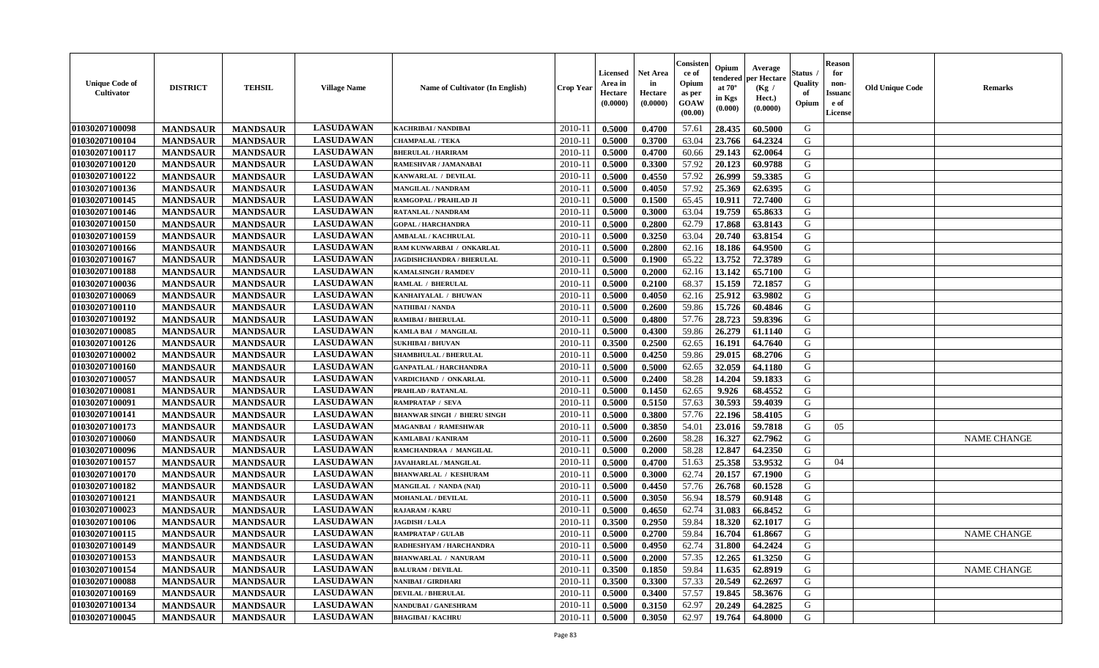| <b>Unique Code of</b><br>Cultivator | <b>DISTRICT</b>                    | <b>TEHSIL</b>                      | <b>Village Name</b> | Name of Cultivator (In English)    | <b>Crop Year</b> | <b>Licensed</b><br>Area in<br>Hectare<br>(0.0000) | <b>Net Area</b><br>in<br>Hectare<br>(0.0000) | Consister<br>ce of<br>Opium<br>as per<br>GOAW<br>(00.00) | Opium<br>endered<br>at $70^\circ$<br>in Kgs<br>(0.000) | Average<br>per Hectare<br>(Kg /<br>Hect.)<br>(0.0000) | <b>Status</b><br>Quality<br>of<br>Opium | <b>Reason</b><br>for<br>non-<br><b>Issuanc</b><br>e of<br>License | <b>Old Unique Code</b> | <b>Remarks</b>     |
|-------------------------------------|------------------------------------|------------------------------------|---------------------|------------------------------------|------------------|---------------------------------------------------|----------------------------------------------|----------------------------------------------------------|--------------------------------------------------------|-------------------------------------------------------|-----------------------------------------|-------------------------------------------------------------------|------------------------|--------------------|
| 01030207100098                      | <b>MANDSAUR</b>                    | <b>MANDSAUR</b>                    | <b>LASUDAWAN</b>    | KACHRIBAI / NANDIBAI               | 2010-11          | 0.5000                                            | 0.4700                                       | 57.61                                                    | 28.435                                                 | 60.5000                                               | G                                       |                                                                   |                        |                    |
| 01030207100104                      | <b>MANDSAUR</b>                    | <b>MANDSAUR</b>                    | <b>LASUDAWAN</b>    | <b>CHAMPALAL / TEKA</b>            | $2010 - 11$      | 0.5000                                            | 0.3700                                       | 63.04                                                    | 23.766                                                 | 64.2324                                               | G                                       |                                                                   |                        |                    |
| 01030207100117                      | <b>MANDSAUR</b>                    | <b>MANDSAUR</b>                    | <b>LASUDAWAN</b>    | <b>BHERULAL / HARIRAM</b>          | 2010-11          | 0.5000                                            | 0.4700                                       | 60.66                                                    | 29.143                                                 | 62.0064                                               | G                                       |                                                                   |                        |                    |
| 01030207100120                      | <b>MANDSAUR</b>                    | <b>MANDSAUR</b>                    | <b>LASUDAWAN</b>    | RAMESHVAR / JAMANABAI              | 2010-11          | 0.5000                                            | 0.3300                                       | 57.92                                                    | 20.123                                                 | 60.9788                                               | G                                       |                                                                   |                        |                    |
| 01030207100122                      | <b>MANDSAUR</b>                    | <b>MANDSAUR</b>                    | <b>LASUDAWAN</b>    | KANWARLAL / DEVILAL                | 2010-11          | 0.5000                                            | 0.4550                                       | 57.92                                                    | 26.999                                                 | 59.3385                                               | G                                       |                                                                   |                        |                    |
| 01030207100136                      | <b>MANDSAUR</b>                    | <b>MANDSAUR</b>                    | <b>LASUDAWAN</b>    | <b>MANGILAL / NANDRAM</b>          | $2010-11$        | 0.5000                                            | 0.4050                                       | 57.92                                                    | 25.369                                                 | 62.6395                                               | G                                       |                                                                   |                        |                    |
| 01030207100145                      | <b>MANDSAUR</b>                    | <b>MANDSAUR</b>                    | <b>LASUDAWAN</b>    | RAMGOPAL / PRAHLAD JI              | $2010 - 11$      | 0.5000                                            | 0.1500                                       | 65.45                                                    | 10.911                                                 | 72.7400                                               | G                                       |                                                                   |                        |                    |
| 01030207100146                      | <b>MANDSAUR</b>                    | <b>MANDSAUR</b>                    | <b>LASUDAWAN</b>    | RATANLAL / NANDRAM                 | 2010-11          | 0.5000                                            | 0.3000                                       | 63.04                                                    | 19.759                                                 | 65.8633                                               | G                                       |                                                                   |                        |                    |
| 01030207100150                      | <b>MANDSAUR</b>                    | <b>MANDSAUR</b>                    | <b>LASUDAWAN</b>    | <b>GOPAL / HARCHANDRA</b>          | 2010-11          | 0.5000                                            | 0.2800                                       | 62.79                                                    | 17.868                                                 | 63.8143                                               | G                                       |                                                                   |                        |                    |
| 01030207100159                      | <b>MANDSAUR</b>                    | <b>MANDSAUR</b>                    | <b>LASUDAWAN</b>    | <b>AMBALAL / KACHRULAL</b>         | 2010-11          | 0.5000                                            | 0.3250                                       | 63.04                                                    | 20.740                                                 | 63.8154                                               | G                                       |                                                                   |                        |                    |
| 01030207100166                      | <b>MANDSAUR</b>                    | <b>MANDSAUR</b>                    | <b>LASUDAWAN</b>    | RAM KUNWARBAI / ONKARLAL           | 2010-11          | 0.5000                                            | 0.2800                                       | 62.16                                                    | 18.186                                                 | 64.9500                                               | G                                       |                                                                   |                        |                    |
| 01030207100167                      | <b>MANDSAUR</b>                    | <b>MANDSAUR</b>                    | <b>LASUDAWAN</b>    | <b>JAGDISHCHANDRA / BHERULAL</b>   | 2010-11          | 0.5000                                            | 0.1900                                       | 65.22                                                    | 13.752                                                 | 72.3789                                               | G                                       |                                                                   |                        |                    |
| 01030207100188                      | <b>MANDSAUR</b>                    | <b>MANDSAUR</b>                    | <b>LASUDAWAN</b>    | <b>KAMALSINGH / RAMDEV</b>         | 2010-11          | 0.5000                                            | 0.2000                                       | 62.16                                                    | 13.142                                                 | 65.7100                                               | G                                       |                                                                   |                        |                    |
| 01030207100036                      | <b>MANDSAUR</b>                    | <b>MANDSAUR</b>                    | <b>LASUDAWAN</b>    | RAMLAL / BHERULAL                  | 2010-11          | 0.5000                                            | 0.2100                                       | 68.37                                                    | 15.159                                                 | 72.1857                                               | G                                       |                                                                   |                        |                    |
| 01030207100069                      | <b>MANDSAUR</b>                    | <b>MANDSAUR</b>                    | <b>LASUDAWAN</b>    | KANHAIYALAL / BHUWAN               | $2010 - 11$      | 0.5000                                            | 0.4050                                       | 62.16                                                    | 25.912                                                 | 63.9802                                               | G                                       |                                                                   |                        |                    |
| 01030207100110                      | <b>MANDSAUR</b>                    | <b>MANDSAUR</b>                    | <b>LASUDAWAN</b>    | NATHIBAI / NANDA                   | 2010-11          | 0.5000                                            | 0.2600                                       | 59.86                                                    | 15.726                                                 | 60.4846                                               | G                                       |                                                                   |                        |                    |
| 01030207100192                      | <b>MANDSAUR</b>                    | <b>MANDSAUR</b>                    | <b>LASUDAWAN</b>    | <b>RAMIBAI / BHERULAL</b>          | 2010-11          | 0.5000                                            | 0.4800                                       | 57.76                                                    | 28.723                                                 | 59.8396                                               | G                                       |                                                                   |                        |                    |
| 01030207100085                      | <b>MANDSAUR</b>                    | <b>MANDSAUR</b>                    | <b>LASUDAWAN</b>    | KAMLA BAI / MANGILAL               | 2010-11          | 0.5000                                            | 0.4300                                       | 59.86                                                    | 26.279                                                 | 61.1140                                               | G                                       |                                                                   |                        |                    |
| 01030207100126                      | <b>MANDSAUR</b>                    | <b>MANDSAUR</b>                    | <b>LASUDAWAN</b>    | <b>SUKHIBAI / BHUVAN</b>           | 2010-11          | 0.3500                                            | 0.2500                                       | 62.65                                                    | 16.191                                                 | 64.7640                                               | G                                       |                                                                   |                        |                    |
| 01030207100002                      | <b>MANDSAUR</b>                    | <b>MANDSAUR</b>                    | <b>LASUDAWAN</b>    | <b>SHAMBHULAL / BHERULAL</b>       | 2010-11          | 0.5000                                            | 0.4250                                       | 59.86                                                    | 29.015                                                 | 68.2706                                               | G                                       |                                                                   |                        |                    |
| 01030207100160                      | <b>MANDSAUR</b>                    | <b>MANDSAUR</b>                    | <b>LASUDAWAN</b>    | <b>GANPATLAL / HARCHANDRA</b>      | 2010-11          | 0.5000                                            | 0.5000                                       | 62.65                                                    | 32.059                                                 | 64.1180                                               | G                                       |                                                                   |                        |                    |
| 01030207100057                      | <b>MANDSAUR</b>                    | <b>MANDSAUR</b>                    | <b>LASUDAWAN</b>    | VARDICHAND / ONKARLAL              | 2010-11          | 0.5000                                            | 0.2400                                       | 58.28                                                    | 14.204                                                 | 59.1833                                               | G                                       |                                                                   |                        |                    |
| 01030207100081                      | <b>MANDSAUR</b>                    | <b>MANDSAUR</b>                    | <b>LASUDAWAN</b>    | PRAHLAD / RATANLAL                 | $2010 - 11$      | 0.5000                                            | 0.1450                                       | 62.65                                                    | 9.926                                                  | 68.4552                                               | ${\bf G}$                               |                                                                   |                        |                    |
| 01030207100091                      | <b>MANDSAUR</b>                    | <b>MANDSAUR</b>                    | <b>LASUDAWAN</b>    | <b>RAMPRATAP / SEVA</b>            | 2010-11          | 0.5000                                            | 0.5150                                       | 57.63                                                    | 30.593                                                 | 59.4039                                               | G                                       |                                                                   |                        |                    |
| 01030207100141                      | <b>MANDSAUR</b>                    | <b>MANDSAUR</b>                    | <b>LASUDAWAN</b>    | <b>BHANWAR SINGH / BHERU SINGH</b> | 2010-11          | 0.5000                                            | 0.3800                                       | 57.76                                                    | 22.196                                                 | 58.4105                                               | G                                       |                                                                   |                        |                    |
| 01030207100173                      |                                    |                                    | <b>LASUDAWAN</b>    | <b>MAGANBAI / RAMESHWAR</b>        | 2010-11          | 0.5000                                            | 0.3850                                       | 54.01                                                    | 23.016                                                 | 59.7818                                               | G                                       | 05                                                                |                        |                    |
| 01030207100060                      | <b>MANDSAUR</b><br><b>MANDSAUR</b> | <b>MANDSAUR</b><br><b>MANDSAUR</b> | <b>LASUDAWAN</b>    | <b>KAMLABAI/KANIRAM</b>            | 2010-11          | 0.5000                                            | 0.2600                                       | 58.28                                                    | 16.327                                                 | 62.7962                                               | G                                       |                                                                   |                        | <b>NAME CHANGE</b> |
| 01030207100096                      |                                    | <b>MANDSAUR</b>                    | <b>LASUDAWAN</b>    | RAMCHANDRAA / MANGILAL             | 2010-11          | 0.5000                                            | 0.2000                                       | 58.28                                                    | 12.847                                                 | 64.2350                                               | G                                       |                                                                   |                        |                    |
| 01030207100157                      | <b>MANDSAUR</b><br><b>MANDSAUR</b> | <b>MANDSAUR</b>                    | <b>LASUDAWAN</b>    | <b>JAVAHARLAL / MANGILAL</b>       | 2010-11          | 0.5000                                            | 0.4700                                       | 51.63                                                    | 25.358                                                 | 53.9532                                               | G                                       | 04                                                                |                        |                    |
| 01030207100170                      | <b>MANDSAUR</b>                    | <b>MANDSAUR</b>                    | <b>LASUDAWAN</b>    | <b>BHANWARLAL / KESHURAM</b>       | 2010-11          | 0.5000                                            | 0.3000                                       | 62.74                                                    | 20.157                                                 | 67.1900                                               | G                                       |                                                                   |                        |                    |
| 01030207100182                      |                                    | <b>MANDSAUR</b>                    | <b>LASUDAWAN</b>    |                                    |                  |                                                   | 0.4450                                       |                                                          | 26.768                                                 | 60.1528                                               | ${\bf G}$                               |                                                                   |                        |                    |
|                                     | <b>MANDSAUR</b>                    |                                    | <b>LASUDAWAN</b>    | MANGILAL / NANDA (NAI)             | $2010 - 11$      | 0.5000                                            |                                              | 57.76                                                    |                                                        |                                                       |                                         |                                                                   |                        |                    |
| 01030207100121                      | <b>MANDSAUR</b>                    | <b>MANDSAUR</b>                    |                     | <b>MOHANLAL / DEVILAL</b>          | 2010-11          | 0.5000                                            | 0.3050                                       | 56.94                                                    | 18.579                                                 | 60.9148                                               | G                                       |                                                                   |                        |                    |
| 01030207100023                      | <b>MANDSAUR</b>                    | <b>MANDSAUR</b>                    | <b>LASUDAWAN</b>    | <b>RAJARAM / KARU</b>              | 2010-11          | 0.5000                                            | 0.4650                                       | 62.74                                                    | 31.083                                                 | 66.8452                                               | G                                       |                                                                   |                        |                    |
| 01030207100106                      | <b>MANDSAUR</b>                    | <b>MANDSAUR</b>                    | <b>LASUDAWAN</b>    | <b>JAGDISH / LALA</b>              | 2010-11          | 0.3500                                            | 0.2950                                       | 59.84                                                    | 18.320                                                 | 62.1017                                               | G                                       |                                                                   |                        |                    |
| 01030207100115                      | <b>MANDSAUR</b>                    | <b>MANDSAUR</b>                    | <b>LASUDAWAN</b>    | <b>RAMPRATAP / GULAB</b>           | 2010-11          | 0.5000                                            | 0.2700                                       | 59.84                                                    | 16.704                                                 | 61.8667                                               | G                                       |                                                                   |                        | <b>NAME CHANGE</b> |
| 01030207100149                      | <b>MANDSAUR</b>                    | <b>MANDSAUR</b>                    | <b>LASUDAWAN</b>    | RADHESHYAM / HARCHANDRA            | 2010-11          | 0.5000                                            | 0.4950                                       | 62.74                                                    | 31.800                                                 | 64.2424                                               | G                                       |                                                                   |                        |                    |
| 01030207100153                      | <b>MANDSAUR</b>                    | <b>MANDSAUR</b>                    | <b>LASUDAWAN</b>    | <b>BHANWARLAL / NANURAM</b>        | 2010-11          | 0.5000                                            | 0.2000                                       | 57.35                                                    | 12.265                                                 | 61.3250                                               | G                                       |                                                                   |                        |                    |
| 01030207100154                      | <b>MANDSAUR</b>                    | <b>MANDSAUR</b>                    | <b>LASUDAWAN</b>    | <b>BALURAM / DEVILAL</b>           | 2010-11          | 0.3500                                            | 0.1850                                       | 59.84                                                    | 11.635                                                 | 62.8919                                               | G                                       |                                                                   |                        | <b>NAME CHANGE</b> |
| 01030207100088                      | <b>MANDSAUR</b>                    | <b>MANDSAUR</b>                    | <b>LASUDAWAN</b>    | <b>NANIBAI / GIRDHARI</b>          | $2010 - 11$      | 0.3500                                            | 0.3300                                       | 57.33                                                    | 20.549                                                 | 62.2697                                               | G                                       |                                                                   |                        |                    |
| 01030207100169                      | <b>MANDSAUR</b>                    | <b>MANDSAUR</b>                    | <b>LASUDAWAN</b>    | <b>DEVILAL / BHERULAL</b>          | $2010 - 11$      | 0.5000                                            | 0.3400                                       | 57.57                                                    | 19.845                                                 | 58.3676                                               | G                                       |                                                                   |                        |                    |
| 01030207100134                      | <b>MANDSAUR</b>                    | <b>MANDSAUR</b>                    | <b>LASUDAWAN</b>    | NANDUBAI / GANESHRAM               | 2010-11          | 0.5000                                            | 0.3150                                       | 62.97                                                    | 20.249                                                 | 64.2825                                               | G                                       |                                                                   |                        |                    |
| 01030207100045                      | <b>MANDSAUR</b>                    | <b>MANDSAUR</b>                    | <b>LASUDAWAN</b>    | <b>BHAGIBAI/KACHRU</b>             | 2010-11          | 0.5000                                            | 0.3050                                       | 62.97                                                    | 19.764                                                 | 64.8000                                               | G                                       |                                                                   |                        |                    |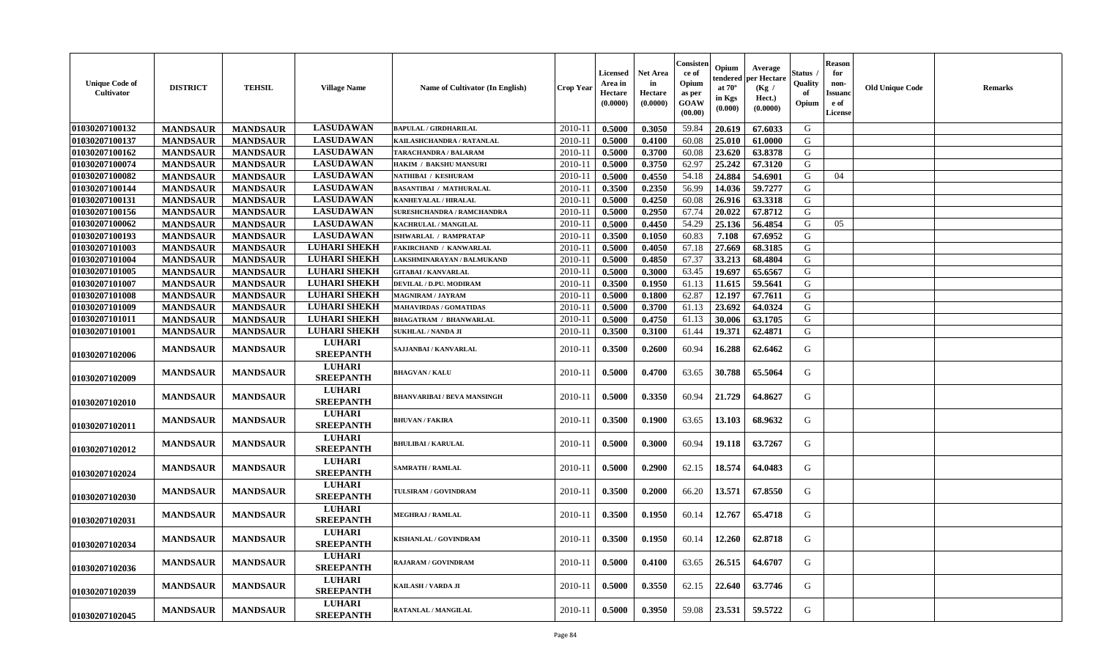| <b>Unique Code of</b><br><b>Cultivator</b> | <b>DISTRICT</b> | <b>TEHSIL</b>   | <b>Village Name</b>               | Name of Cultivator (In English)   | <b>Crop Year</b> | <b>Licensed</b><br>Area in<br>Hectare<br>(0.0000) | Net Area<br>in<br>Hectare<br>(0.0000) | Consisteı<br>-ce of<br>Opium<br>as per<br><b>GOAW</b><br>(00.00) | Opium<br>endered<br>at $70^\circ$<br>in Kgs<br>(0.000) | Average<br>oer Hectare<br>(Kg /<br>Hect.)<br>(0.0000) | Status<br>Quality<br>of<br>Opium | <b>Reason</b><br>for<br>non-<br>Issuanc<br>e of<br><b>License</b> | <b>Old Unique Code</b> | <b>Remarks</b> |
|--------------------------------------------|-----------------|-----------------|-----------------------------------|-----------------------------------|------------------|---------------------------------------------------|---------------------------------------|------------------------------------------------------------------|--------------------------------------------------------|-------------------------------------------------------|----------------------------------|-------------------------------------------------------------------|------------------------|----------------|
| 01030207100132                             | <b>MANDSAUR</b> | <b>MANDSAUR</b> | <b>LASUDAWAN</b>                  | <b>BAPULAL / GIRDHARILAL</b>      | 2010-11          | 0.5000                                            | 0.3050                                | 59.84                                                            | 20.619                                                 | 67.6033                                               | G                                |                                                                   |                        |                |
| 01030207100137                             | <b>MANDSAUR</b> | <b>MANDSAUR</b> | <b>LASUDAWAN</b>                  | KAILASHCHANDRA / RATANLAL         | 2010-11          | 0.5000                                            | 0.4100                                | 60.08                                                            | 25.010                                                 | 61.0000                                               | G                                |                                                                   |                        |                |
| 01030207100162                             | <b>MANDSAUR</b> | <b>MANDSAUR</b> | <b>LASUDAWAN</b>                  | TARACHANDRA / BALARAM             | 2010-11          | 0.5000                                            | 0.3700                                | 60.08                                                            | 23.620                                                 | 63.8378                                               | G                                |                                                                   |                        |                |
| 01030207100074                             | <b>MANDSAUR</b> | <b>MANDSAUR</b> | <b>LASUDAWAN</b>                  | <b>HAKIM / BAKSHU MANSURI</b>     | 2010-11          | 0.5000                                            | 0.3750                                | 62.97                                                            | 25.242                                                 | 67.3120                                               | G                                |                                                                   |                        |                |
| 01030207100082                             | <b>MANDSAUR</b> | <b>MANDSAUR</b> | <b>LASUDAWAN</b>                  | NATHIBAI / KESHURAM               | 2010-11          | 0.5000                                            | 0.4550                                | 54.18                                                            | 24.884                                                 | 54.6901                                               | G                                | 04                                                                |                        |                |
| 01030207100144                             | <b>MANDSAUR</b> | <b>MANDSAUR</b> | <b>LASUDAWAN</b>                  | <b>BASANTIBAI / MATHURALAL</b>    | $2010 - 11$      | 0.3500                                            | 0.2350                                | 56.99                                                            | 14.036                                                 | 59.7277                                               | G                                |                                                                   |                        |                |
| 01030207100131                             | <b>MANDSAUR</b> | <b>MANDSAUR</b> | <b>LASUDAWAN</b>                  | <b>KANHEYALAL / HIRALAL</b>       | 2010-11          | 0.5000                                            | 0.4250                                | 60.08                                                            | 26.916                                                 | 63.3318                                               | G                                |                                                                   |                        |                |
| 01030207100156                             | <b>MANDSAUR</b> | <b>MANDSAUR</b> | <b>LASUDAWAN</b>                  | <b>SURESHCHANDRA / RAMCHANDRA</b> | 2010-11          | 0.5000                                            | 0.2950                                | 67.74                                                            | 20.022                                                 | 67.8712                                               | G                                |                                                                   |                        |                |
| 01030207100062                             | <b>MANDSAUR</b> | <b>MANDSAUR</b> | <b>LASUDAWAN</b>                  | KACHRULAL / MANGILAL              | 2010-11          | 0.5000                                            | 0.4450                                | 54.29                                                            | 25.136                                                 | 56.4854                                               | G                                | 05                                                                |                        |                |
| 01030207100193                             | <b>MANDSAUR</b> | <b>MANDSAUR</b> | <b>LASUDAWAN</b>                  | <b>ISHWARLAL / RAMPRATAP</b>      | 2010-11          | 0.3500                                            | 0.1050                                | 60.83                                                            | 7.108                                                  | 67.6952                                               | G                                |                                                                   |                        |                |
| 01030207101003                             | <b>MANDSAUR</b> | <b>MANDSAUR</b> | <b>LUHARI SHEKH</b>               | <b>FAKIRCHAND / KANWARLAL</b>     | 2010-11          | 0.5000                                            | 0.4050                                | 67.18                                                            | 27.669                                                 | 68.3185                                               | G                                |                                                                   |                        |                |
| 01030207101004                             | <b>MANDSAUR</b> | <b>MANDSAUR</b> | <b>LUHARI SHEKH</b>               | LAKSHMINARAYAN / BALMUKAND        | 2010-11          | 0.5000                                            | 0.4850                                | 67.37                                                            | 33.213                                                 | 68.4804                                               | G                                |                                                                   |                        |                |
| 01030207101005                             | <b>MANDSAUR</b> | <b>MANDSAUR</b> | <b>LUHARI SHEKH</b>               | <b>GITABAI/KANVARLAL</b>          | 2010-11          | 0.5000                                            | 0.3000                                | 63.45                                                            | 19.697                                                 | 65.6567                                               | G                                |                                                                   |                        |                |
| 01030207101007                             | <b>MANDSAUR</b> | <b>MANDSAUR</b> | <b>LUHARI SHEKH</b>               | DEVILAL / D.PU. MODIRAM           | 2010-11          | 0.3500                                            | 0.1950                                | 61.13                                                            | 11.615                                                 | 59.5641                                               | ${\bf G}$                        |                                                                   |                        |                |
| 01030207101008                             | <b>MANDSAUR</b> | <b>MANDSAUR</b> | <b>LUHARI SHEKH</b>               | <b>MAGNIRAM / JAYRAM</b>          | 2010-11          | 0.5000                                            | 0.1800                                | 62.87                                                            | 12.197                                                 | 67.7611                                               | G                                |                                                                   |                        |                |
| 01030207101009                             | <b>MANDSAUR</b> | <b>MANDSAUR</b> | <b>LUHARI SHEKH</b>               | <b>MAHAVIRDAS / GOMATIDAS</b>     | 2010-11          | 0.5000                                            | 0.3700                                | 61.13                                                            | 23.692                                                 | 64.0324                                               | G                                |                                                                   |                        |                |
| 01030207101011                             | <b>MANDSAUR</b> | <b>MANDSAUR</b> | <b>LUHARI SHEKH</b>               | <b>BHAGATRAM / BHANWARLAL</b>     | 2010-11          | 0.5000                                            | 0.4750                                | 61.13                                                            | 30.006                                                 | 63.1705                                               | G                                |                                                                   |                        |                |
| 01030207101001                             | <b>MANDSAUR</b> | <b>MANDSAUR</b> | <b>LUHARI SHEKH</b>               | <b>SUKHLAL / NANDA JI</b>         | 2010-11          | 0.3500                                            | 0.3100                                | 61.44                                                            | 19.371                                                 | 62.4871                                               | G                                |                                                                   |                        |                |
| 01030207102006                             | <b>MANDSAUR</b> | <b>MANDSAUR</b> | <b>LUHARI</b><br><b>SREEPANTH</b> | SAJJANBAI / KANVARLAL             | 2010-11          | 0.3500                                            | 0.2600                                | 60.94                                                            | 16.288                                                 | 62.6462                                               | G                                |                                                                   |                        |                |
| 01030207102009                             | <b>MANDSAUR</b> | <b>MANDSAUR</b> | <b>LUHARI</b><br><b>SREEPANTH</b> | <b>BHAGVAN / KALU</b>             | 2010-11          | 0.5000                                            | 0.4700                                | 63.65                                                            | 30.788                                                 | 65.5064                                               | G                                |                                                                   |                        |                |
| 01030207102010                             | <b>MANDSAUR</b> | <b>MANDSAUR</b> | <b>LUHARI</b><br><b>SREEPANTH</b> | BHANVARIBAI / BEVA MANSINGH       | 2010-11          | 0.5000                                            | 0.3350                                | 60.94                                                            | 21.729                                                 | 64.8627                                               | G                                |                                                                   |                        |                |
| 01030207102011                             | <b>MANDSAUR</b> | <b>MANDSAUR</b> | <b>LUHARI</b><br><b>SREEPANTH</b> | <b>BHUVAN / FAKIRA</b>            | 2010-11          | 0.3500                                            | 0.1900                                | 63.65                                                            | 13.103                                                 | 68.9632                                               | G                                |                                                                   |                        |                |
| 01030207102012                             | <b>MANDSAUR</b> | <b>MANDSAUR</b> | <b>LUHARI</b><br><b>SREEPANTH</b> | <b>BHULIBAI / KARULAL</b>         | 2010-11          | 0.5000                                            | 0.3000                                | 60.94                                                            | 19.118                                                 | 63.7267                                               | G                                |                                                                   |                        |                |
| 01030207102024                             | <b>MANDSAUR</b> | <b>MANDSAUR</b> | <b>LUHARI</b><br><b>SREEPANTH</b> | <b>SAMRATH / RAMLAL</b>           | 2010-11          | 0.5000                                            | 0.2900                                | 62.15                                                            | 18.574                                                 | 64.0483                                               | G                                |                                                                   |                        |                |
| 01030207102030                             | <b>MANDSAUR</b> | <b>MANDSAUR</b> | <b>LUHARI</b><br><b>SREEPANTH</b> | TULSIRAM / GOVINDRAM              | 2010-11          | 0.3500                                            | 0.2000                                | 66.20                                                            | 13.571                                                 | 67.8550                                               | G                                |                                                                   |                        |                |
| 01030207102031                             | <b>MANDSAUR</b> | <b>MANDSAUR</b> | <b>LUHARI</b><br><b>SREEPANTH</b> | MEGHRAJ / RAMLAL                  | 2010-11          | 0.3500                                            | 0.1950                                | 60.14                                                            | 12.767                                                 | 65.4718                                               | G                                |                                                                   |                        |                |
| 01030207102034                             | <b>MANDSAUR</b> | <b>MANDSAUR</b> | <b>LUHARI</b><br><b>SREEPANTH</b> | KISHANLAL / GOVINDRAM             | 2010-11          | 0.3500                                            | 0.1950                                | 60.14                                                            | 12.260                                                 | 62.8718                                               | G                                |                                                                   |                        |                |
| 01030207102036                             | <b>MANDSAUR</b> | <b>MANDSAUR</b> | <b>LUHARI</b><br><b>SREEPANTH</b> | RAJARAM / GOVINDRAM               | 2010-11          | 0.5000                                            | 0.4100                                | 63.65                                                            | 26.515                                                 | 64.6707                                               | G                                |                                                                   |                        |                |
| 01030207102039                             | <b>MANDSAUR</b> | <b>MANDSAUR</b> | <b>LUHARI</b><br><b>SREEPANTH</b> | KAILASH / VARDA JI                | 2010-11          | 0.5000                                            | 0.3550                                | 62.15                                                            | 22.640                                                 | 63.7746                                               | G                                |                                                                   |                        |                |
| 01030207102045                             | <b>MANDSAUR</b> | <b>MANDSAUR</b> | <b>LUHARI</b><br><b>SREEPANTH</b> | RATANLAL / MANGILAL               | 2010-11          | 0.5000                                            | 0.3950                                | 59.08                                                            | 23.531                                                 | 59.5722                                               | G                                |                                                                   |                        |                |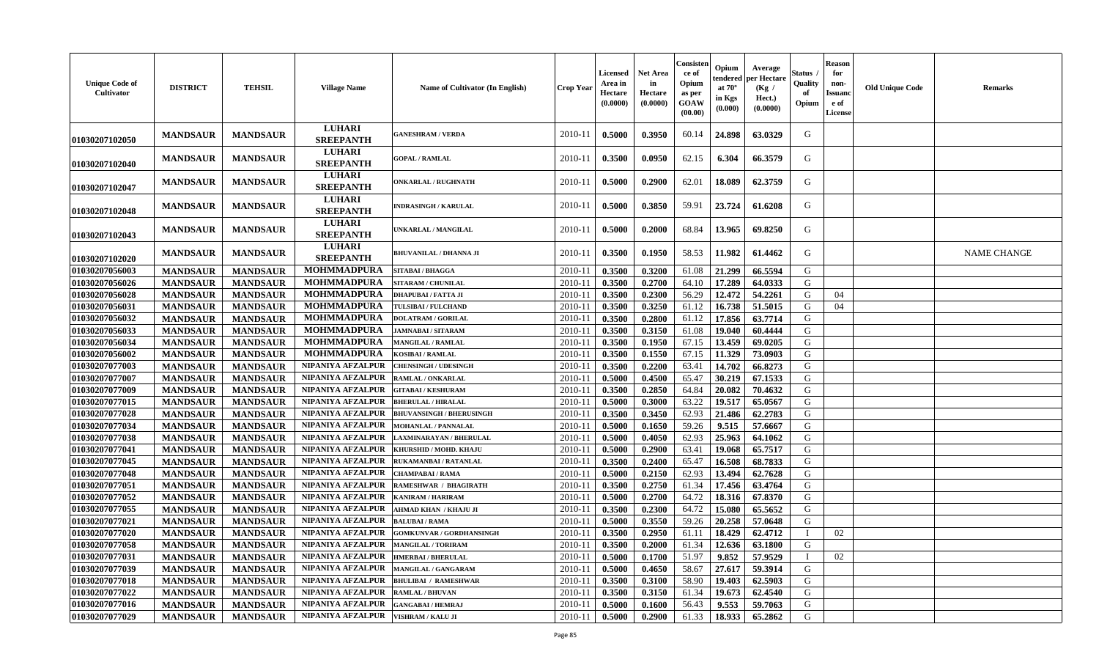| <b>Unique Code of</b><br>Cultivator | <b>DISTRICT</b> | <b>TEHSIL</b>   | <b>Village Name</b>               | Name of Cultivator (In English) | <b>Crop Year</b> | <b>Licensed</b><br>Area in<br>Hectare<br>(0.0000) | <b>Net Area</b><br>in<br>Hectare<br>(0.0000) | Consisten<br>ce of<br>Opium<br>as per<br>GOAW<br>(00.00) | Opium<br>tendered<br>at $70^\circ$<br>in Kgs<br>(0.000) | Average<br>per Hectare<br>(Kg /<br>Hect.)<br>(0.0000) | Status<br>Quality<br>of<br>Opium | <b>Reason</b><br>for<br>non-<br>Issuanc<br>e of<br>License | <b>Old Unique Code</b> | <b>Remarks</b>     |
|-------------------------------------|-----------------|-----------------|-----------------------------------|---------------------------------|------------------|---------------------------------------------------|----------------------------------------------|----------------------------------------------------------|---------------------------------------------------------|-------------------------------------------------------|----------------------------------|------------------------------------------------------------|------------------------|--------------------|
| 01030207102050                      | <b>MANDSAUR</b> | <b>MANDSAUR</b> | <b>LUHARI</b><br><b>SREEPANTH</b> | <b>GANESHRAM / VERDA</b>        | 2010-11          | 0.5000                                            | 0.3950                                       | 60.14                                                    | 24.898                                                  | 63.0329                                               | G                                |                                                            |                        |                    |
| 01030207102040                      | <b>MANDSAUR</b> | <b>MANDSAUR</b> | <b>LUHARI</b><br><b>SREEPANTH</b> | <b>GOPAL / RAMLAL</b>           | 2010-11          | 0.3500                                            | 0.0950                                       | 62.15                                                    | 6.304                                                   | 66.3579                                               | G                                |                                                            |                        |                    |
| 01030207102047                      | <b>MANDSAUR</b> | <b>MANDSAUR</b> | <b>LUHARI</b><br><b>SREEPANTH</b> | <b>ONKARLAL / RUGHNATH</b>      | 2010-11          | 0.5000                                            | 0.2900                                       | 62.01                                                    | 18.089                                                  | 62.3759                                               | G                                |                                                            |                        |                    |
| 01030207102048                      | <b>MANDSAUR</b> | <b>MANDSAUR</b> | <b>LUHARI</b><br><b>SREEPANTH</b> | <b>INDRASINGH / KARULAL</b>     | 2010-11          | 0.5000                                            | 0.3850                                       | 59.91                                                    | 23.724                                                  | 61.6208                                               | G                                |                                                            |                        |                    |
| 01030207102043                      | <b>MANDSAUR</b> | <b>MANDSAUR</b> | <b>LUHARI</b><br><b>SREEPANTH</b> | <b>JNKARLAL / MANGILAL</b>      | 2010-11          | 0.5000                                            | 0.2000                                       | 68.84                                                    | 13.965                                                  | 69.8250                                               | G                                |                                                            |                        |                    |
| 01030207102020                      | <b>MANDSAUR</b> | <b>MANDSAUR</b> | <b>LUHARI</b><br><b>SREEPANTH</b> | BHUVANILAL / DHANNA JI          | 2010-11          | 0.3500                                            | 0.1950                                       | 58.53                                                    | 11.982                                                  | 61.4462                                               | G                                |                                                            |                        | <b>NAME CHANGE</b> |
| 01030207056003                      | <b>MANDSAUR</b> | <b>MANDSAUR</b> | <b>MOHMMADPURA</b>                | <b>SITABAI/BHAGGA</b>           | 2010-11          | 0.3500                                            | 0.3200                                       | 61.08                                                    | 21.299                                                  | 66.5594                                               | G                                |                                                            |                        |                    |
| 01030207056026                      | <b>MANDSAUR</b> | <b>MANDSAUR</b> | <b>MOHMMADPURA</b>                | <b>SITARAM / CHUNILAL</b>       | 2010-11          | 0.3500                                            | 0.2700                                       | 64.10                                                    | 17.289                                                  | 64.0333                                               | G                                |                                                            |                        |                    |
| 01030207056028                      | <b>MANDSAUR</b> | <b>MANDSAUR</b> | <b>MOHMMADPURA</b>                | <b>DHAPUBAI/FATTA JI</b>        | 2010-11          | 0.3500                                            | 0.2300                                       | 56.29                                                    | 12.472                                                  | 54.2261                                               | G                                | 04                                                         |                        |                    |
| 01030207056031                      | <b>MANDSAUR</b> | <b>MANDSAUR</b> | <b>MOHMMADPURA</b>                | <b>TULSIBAI / FULCHAND</b>      | 2010-11          | 0.3500                                            | 0.3250                                       | 61.12                                                    | 16.738                                                  | 51.5015                                               | G                                | 04                                                         |                        |                    |
| 01030207056032                      | <b>MANDSAUR</b> | <b>MANDSAUR</b> | <b>MOHMMADPURA</b>                | <b>DOLATRAM / GORILAL</b>       | 2010-11          | 0.3500                                            | 0.2800                                       | 61.12                                                    | 17.856                                                  | 63.7714                                               | G                                |                                                            |                        |                    |
| 01030207056033                      | <b>MANDSAUR</b> | <b>MANDSAUR</b> | <b>MOHMMADPURA</b>                | <b>JAMNABAI/SITARAM</b>         | 2010-11          | 0.3500                                            | 0.3150                                       | 61.08                                                    | 19.040                                                  | 60.4444                                               | G                                |                                                            |                        |                    |
| 01030207056034                      | <b>MANDSAUR</b> | <b>MANDSAUR</b> | <b>MOHMMADPURA</b>                | <b>MANGILAL / RAMLAL</b>        | 2010-11          | 0.3500                                            | 0.1950                                       | 67.15                                                    | 13.459                                                  | 69.0205                                               | G                                |                                                            |                        |                    |
| 01030207056002                      | <b>MANDSAUR</b> | <b>MANDSAUR</b> | <b>MOHMMADPURA</b>                | <b>KOSIBAI/RAMLAL</b>           | 2010-11          | 0.3500                                            | 0.1550                                       | 67.15                                                    | 11.329                                                  | 73.0903                                               | G                                |                                                            |                        |                    |
| 01030207077003                      | <b>MANDSAUR</b> | <b>MANDSAUR</b> | NIPANIYA AFZALPUR                 | <b>CHENSINGH / UDESINGH</b>     | 2010-11          | 0.3500                                            | 0.2200                                       | 63.41                                                    | 14.702                                                  | 66.8273                                               | G                                |                                                            |                        |                    |
| 01030207077007                      | <b>MANDSAUR</b> | <b>MANDSAUR</b> | <b>NIPANIYA AFZALPUR</b>          | <b>RAMLAL / ONKARLAL</b>        | 2010-11          | 0.5000                                            | 0.4500                                       | 65.47                                                    | 30.219                                                  | 67.1533                                               | G                                |                                                            |                        |                    |
| 01030207077009                      | <b>MANDSAUR</b> | <b>MANDSAUR</b> | NIPANIYA AFZALPUR                 | <b>GITABAI/KESHURAM</b>         | 2010-11          | 0.3500                                            | 0.2850                                       | 64.84                                                    | 20.082                                                  | 70.4632                                               | G                                |                                                            |                        |                    |
| 01030207077015                      | <b>MANDSAUR</b> | <b>MANDSAUR</b> | NIPANIYA AFZALPUR                 | <b>BHERULAL / HIRALAL</b>       | 2010-11          | 0.5000                                            | 0.3000                                       | 63.22                                                    | 19.517                                                  | 65.0567                                               | G                                |                                                            |                        |                    |
| 01030207077028                      | <b>MANDSAUR</b> | <b>MANDSAUR</b> | NIPANIYA AFZALPUR                 | <b>BHUVANSINGH / BHERUSINGH</b> | 2010-11          | 0.3500                                            | 0.3450                                       | 62.93                                                    | 21.486                                                  | 62.2783                                               | G                                |                                                            |                        |                    |
| 01030207077034                      | <b>MANDSAUR</b> | <b>MANDSAUR</b> | NIPANIYA AFZALPUR                 | <b>MOHANLAL / PANNALAL</b>      | 2010-11          | 0.5000                                            | 0.1650                                       | 59.26                                                    | 9.515                                                   | 57.6667                                               | G                                |                                                            |                        |                    |
| 01030207077038                      | <b>MANDSAUR</b> | <b>MANDSAUR</b> | NIPANIYA AFZALPUR                 | AXMINARAYAN / BHERULAL          | 2010-11          | 0.5000                                            | 0.4050                                       | 62.93                                                    | 25.963                                                  | 64.1062                                               | G                                |                                                            |                        |                    |
| 01030207077041                      | <b>MANDSAUR</b> | <b>MANDSAUR</b> | <b>NIPANIYA AFZALPUR</b>          | KHURSHID / MOHD. KHAJU          | 2010-11          | 0.5000                                            | 0.2900                                       | 63.41                                                    | 19.068                                                  | 65.7517                                               | G                                |                                                            |                        |                    |
| 01030207077045                      | <b>MANDSAUR</b> | <b>MANDSAUR</b> | NIPANIYA AFZALPUR                 | <b>RUKAMANBAI/RATANLAL</b>      | 2010-11          | 0.3500                                            | 0.2400                                       | 65.47                                                    | 16.508                                                  | 68.7833                                               | G                                |                                                            |                        |                    |
| 01030207077048                      | <b>MANDSAUR</b> | <b>MANDSAUR</b> | NIPANIYA AFZALPUR                 | <b>CHAMPABAI/RAMA</b>           | 2010-11          | 0.5000                                            | 0.2150                                       | 62.93                                                    | 13.494                                                  | 62.7628                                               | G                                |                                                            |                        |                    |
| 01030207077051                      | <b>MANDSAUR</b> | <b>MANDSAUR</b> | <b>NIPANIYA AFZALPUR</b>          | RAMESHWAR / BHAGIRATH           | 2010-11          | 0.3500                                            | 0.2750                                       | 61.34                                                    | 17.456                                                  | 63.4764                                               | G                                |                                                            |                        |                    |
| 01030207077052                      | <b>MANDSAUR</b> | <b>MANDSAUR</b> | NIPANIYA AFZALPUR                 | <b>ANIRAM / HARIRAM</b>         | 2010-11          | 0.5000                                            | 0.2700                                       | 64.72                                                    | 18.316                                                  | 67.8370                                               | G                                |                                                            |                        |                    |
| 01030207077055                      | <b>MANDSAUR</b> | <b>MANDSAUR</b> | NIPANIYA AFZALPUR                 | AHMAD KHAN / KHAJU JI           | 2010-11          | 0.3500                                            | 0.2300                                       | 64.72                                                    | 15.080                                                  | 65.5652                                               | G                                |                                                            |                        |                    |
| 01030207077021                      | <b>MANDSAUR</b> | <b>MANDSAUR</b> | NIPANIYA AFZALPUR                 | <b>BALUBAI/RAMA</b>             | 2010-11          | 0.5000                                            | 0.3550                                       | 59.26                                                    | 20.258                                                  | 57.0648                                               | G                                |                                                            |                        |                    |
| 01030207077020                      | <b>MANDSAUR</b> | <b>MANDSAUR</b> | NIPANIYA AFZALPUR                 | <b>GOMKUNVAR / GORDHANSINGH</b> | 2010-11          | 0.3500                                            | 0.2950                                       | 61.11                                                    | 18.429                                                  | 62.4712                                               | П                                | 02                                                         |                        |                    |
| 01030207077058                      | <b>MANDSAUR</b> | <b>MANDSAUR</b> | <b>NIPANIYA AFZALPUR</b>          | <b>MANGILAL / TORIRAM</b>       | 2010-11          | 0.3500                                            | 0.2000                                       | 61.34                                                    | 12.636                                                  | 63.1800                                               | G                                |                                                            |                        |                    |
| 01030207077031                      | <b>MANDSAUR</b> | <b>MANDSAUR</b> | <b>NIPANIYA AFZALPUR</b>          | <b>HMERBAI/BHERULAL</b>         | 2010-11          | 0.5000                                            | 0.1700                                       | 51.97                                                    | 9.852                                                   | 57.9529                                               | $\mathbf{I}$                     | 02                                                         |                        |                    |
| 01030207077039                      | <b>MANDSAUR</b> | <b>MANDSAUR</b> | NIPANIYA AFZALPUR                 | <b>MANGILAL / GANGARAM</b>      | 2010-11          | 0.5000                                            | 0.4650                                       | 58.67                                                    | 27.617                                                  | 59.3914                                               | G                                |                                                            |                        |                    |
| 01030207077018                      | <b>MANDSAUR</b> | <b>MANDSAUR</b> | NIPANIYA AFZALPUR                 | <b>BHULIBAI / RAMESHWAR</b>     | 2010-11          | 0.3500                                            | 0.3100                                       | 58.90                                                    | 19.403                                                  | 62.5903                                               | G                                |                                                            |                        |                    |
| 01030207077022                      | <b>MANDSAUR</b> | <b>MANDSAUR</b> | NIPANIYA AFZALPUR                 | RAMLAL / BHUVAN                 | 2010-11          | 0.3500                                            | 0.3150                                       | 61.34                                                    | 19.673                                                  | 62.4540                                               | G                                |                                                            |                        |                    |
| 01030207077016                      | <b>MANDSAUR</b> | <b>MANDSAUR</b> | NIPANIYA AFZALPUR                 | <b>GANGABAI / HEMRAJ</b>        | 2010-11          | 0.5000                                            | 0.1600                                       | 56.43                                                    | 9.553                                                   | 59.7063                                               | G                                |                                                            |                        |                    |
| 01030207077029                      | <b>MANDSAUR</b> | <b>MANDSAUR</b> | NIPANIYA AFZALPUR                 | VISHRAM / KALU JI               | 2010-11          | 0.5000                                            | 0.2900                                       | 61.33                                                    | 18.933                                                  | 65.2862                                               | G                                |                                                            |                        |                    |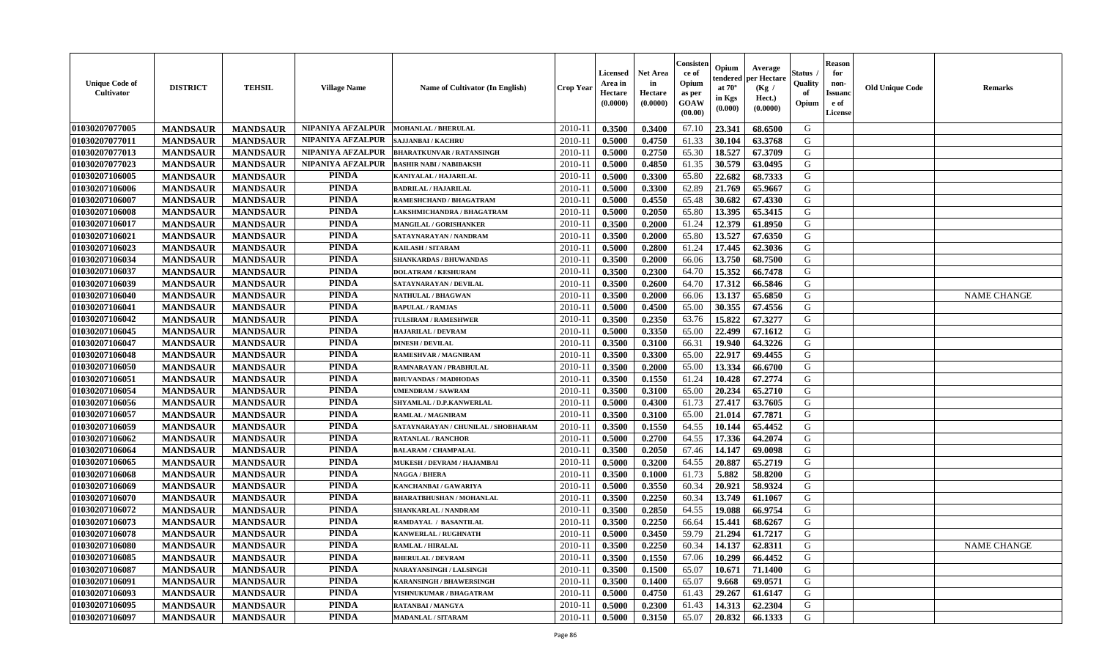| <b>Unique Code of</b><br>Cultivator | <b>DISTRICT</b> | <b>TEHSIL</b>   | <b>Village Name</b> | <b>Name of Cultivator (In English)</b>                  | <b>Crop Year</b> | <b>Licensed</b><br>Area in<br>Hectare<br>(0.0000) | <b>Net Area</b><br>in<br>Hectare<br>(0.0000) | Consisten<br>ce of<br>Opium<br>as per<br>GOAW<br>(00.00) | Opium<br>tendered<br>at $70^\circ$<br>in Kgs<br>(0.000) | Average<br>per Hectare<br>(Kg /<br>Hect.)<br>(0.0000) | Status<br>Quality<br>of<br>Opium | <b>Reason</b><br>for<br>non-<br><b>Issuanc</b><br>e of<br>License | <b>Old Unique Code</b> | <b>Remarks</b>     |
|-------------------------------------|-----------------|-----------------|---------------------|---------------------------------------------------------|------------------|---------------------------------------------------|----------------------------------------------|----------------------------------------------------------|---------------------------------------------------------|-------------------------------------------------------|----------------------------------|-------------------------------------------------------------------|------------------------|--------------------|
| 01030207077005                      | <b>MANDSAUR</b> | <b>MANDSAUR</b> | NIPANIYA AFZALPUR   | <b>MOHANLAL / BHERULAL</b>                              | 2010-11          | 0.3500                                            | 0.3400                                       | 67.10                                                    | 23.341                                                  | 68.6500                                               | G                                |                                                                   |                        |                    |
| 01030207077011                      | <b>MANDSAUR</b> | <b>MANDSAUR</b> | NIPANIYA AFZALPUR   | <b>SAJJANBAI / KACHRU</b>                               | $2010 - 11$      | 0.5000                                            | 0.4750                                       | 61.33                                                    | 30.104                                                  | 63.3768                                               | G                                |                                                                   |                        |                    |
| 01030207077013                      | <b>MANDSAUR</b> | <b>MANDSAUR</b> | NIPANIYA AFZALPUR   | <b>BHARATKUNVAR / RATANSINGH</b>                        | $2010 - 1$       | 0.5000                                            | 0.2750                                       | 65.30                                                    | 18.527                                                  | 67.3709                                               | G                                |                                                                   |                        |                    |
| 01030207077023                      | <b>MANDSAUR</b> | <b>MANDSAUR</b> | NIPANIYA AFZALPUR   | <b>BASHIR NABI / NABIBAKSH</b>                          | 2010-11          | 0.5000                                            | 0.4850                                       | 61.35                                                    | 30.579                                                  | 63.0495                                               | G                                |                                                                   |                        |                    |
| 01030207106005                      | <b>MANDSAUR</b> | <b>MANDSAUR</b> | <b>PINDA</b>        | KANIYALAL / HAJARILAL                                   | 2010-11          | 0.5000                                            | 0.3300                                       | 65.80                                                    | 22.682                                                  | 68.7333                                               | G                                |                                                                   |                        |                    |
| 01030207106006                      | <b>MANDSAUR</b> | <b>MANDSAUR</b> | <b>PINDA</b>        | <b>BADRILAL / HAJARILAL</b>                             | $2010 - 11$      | 0.5000                                            | 0.3300                                       | 62.89                                                    | 21.769                                                  | 65.9667                                               | G                                |                                                                   |                        |                    |
| 01030207106007                      | <b>MANDSAUR</b> | <b>MANDSAUR</b> | <b>PINDA</b>        | RAMESHCHAND / BHAGATRAM                                 | 2010-11          | 0.5000                                            | 0.4550                                       | 65.48                                                    | 30.682                                                  | 67.4330                                               | G                                |                                                                   |                        |                    |
| 01030207106008                      | <b>MANDSAUR</b> | <b>MANDSAUR</b> | <b>PINDA</b>        | LAKSHMICHANDRA / BHAGATRAM                              | $2010 - 11$      | 0.5000                                            | 0.2050                                       | 65.80                                                    | 13.395                                                  | 65.3415                                               | G                                |                                                                   |                        |                    |
| 01030207106017                      | <b>MANDSAUR</b> | <b>MANDSAUR</b> | <b>PINDA</b>        | MANGILAL / GORISHANKER                                  | 2010-11          | 0.3500                                            | 0.2000                                       | 61.24                                                    | 12.379                                                  | 61.8950                                               | G                                |                                                                   |                        |                    |
| 01030207106021                      | <b>MANDSAUR</b> | <b>MANDSAUR</b> | <b>PINDA</b>        | SATAYNARAYAN / NANDRAM                                  | 2010-11          | 0.3500                                            | 0.2000                                       | 65.80                                                    | 13.527                                                  | 67.6350                                               | G                                |                                                                   |                        |                    |
| 01030207106023                      | <b>MANDSAUR</b> | <b>MANDSAUR</b> | <b>PINDA</b>        | KAILASH / SITARAM                                       | $2010 - 11$      | 0.5000                                            | 0.2800                                       | 61.24                                                    | 17.445                                                  | 62.3036                                               | G                                |                                                                   |                        |                    |
| 01030207106034                      | <b>MANDSAUR</b> | <b>MANDSAUR</b> | <b>PINDA</b>        | <b>SHANKARDAS / BHUWANDAS</b>                           | 2010-11          | 0.3500                                            | 0.2000                                       | 66.06                                                    | 13.750                                                  | 68.7500                                               | G                                |                                                                   |                        |                    |
| 01030207106037                      | <b>MANDSAUR</b> | <b>MANDSAUR</b> | <b>PINDA</b>        | <b>DOLATRAM / KESHURAM</b>                              | $2010 - 11$      | 0.3500                                            | 0.2300                                       | 64.70                                                    | 15.352                                                  | 66.7478                                               | G                                |                                                                   |                        |                    |
| 01030207106039                      | <b>MANDSAUR</b> | <b>MANDSAUR</b> | <b>PINDA</b>        | SATAYNARAYAN / DEVILAL                                  | $2010 - 1$       | 0.3500                                            | 0.2600                                       | 64.70                                                    | 17.312                                                  | 66.5846                                               | G                                |                                                                   |                        |                    |
| 01030207106040                      | <b>MANDSAUR</b> | <b>MANDSAUR</b> | <b>PINDA</b>        | <b>NATHULAL / BHAGWAN</b>                               | 2010-11          | 0.3500                                            | 0.2000                                       | 66.06                                                    | 13.137                                                  | 65.6850                                               | G                                |                                                                   |                        | <b>NAME CHANGE</b> |
| 01030207106041                      | <b>MANDSAUR</b> | <b>MANDSAUR</b> | <b>PINDA</b>        | <b>BAPULAL / RAMJAS</b>                                 | 2010-11          | 0.5000                                            | 0.4500                                       | 65.00                                                    | 30.355                                                  | 67.4556                                               | G                                |                                                                   |                        |                    |
| 01030207106042                      | <b>MANDSAUR</b> | <b>MANDSAUR</b> | <b>PINDA</b>        | TULSIRAM / RAMESHWER                                    | $2010 - 11$      | 0.3500                                            | 0.2350                                       | 63.76                                                    | 15.822                                                  | 67.3277                                               | G                                |                                                                   |                        |                    |
| 01030207106045                      | <b>MANDSAUR</b> | <b>MANDSAUR</b> | <b>PINDA</b>        | <b>HAJARILAL / DEVRAM</b>                               | 2010-11          | 0.5000                                            | 0.3350                                       | 65.00                                                    | 22.499                                                  | 67.1612                                               | G                                |                                                                   |                        |                    |
| 01030207106047                      | <b>MANDSAUR</b> | <b>MANDSAUR</b> | <b>PINDA</b>        | <b>DINESH / DEVILAL</b>                                 | $2010 - 11$      | 0.3500                                            | 0.3100                                       | 66.31                                                    | 19.940                                                  | 64.3226                                               | G                                |                                                                   |                        |                    |
| 01030207106048                      | <b>MANDSAUR</b> | <b>MANDSAUR</b> | <b>PINDA</b>        | <b>RAMESHVAR / MAGNIRAM</b>                             | 2010-11          | 0.3500                                            | 0.3300                                       | 65.00                                                    | 22.917                                                  | 69.4455                                               | G                                |                                                                   |                        |                    |
| 01030207106050                      | <b>MANDSAUR</b> | <b>MANDSAUR</b> | <b>PINDA</b>        | RAMNARAYAN / PRABHULAL                                  | 2010-11          | 0.3500                                            | 0.2000                                       | 65.00                                                    | 13.334                                                  | 66.6700                                               | G                                |                                                                   |                        |                    |
| 01030207106051                      | <b>MANDSAUR</b> | <b>MANDSAUR</b> | <b>PINDA</b>        | <b>BHUVANDAS / MADHODAS</b>                             | $2010 - 11$      | 0.3500                                            | 0.1550                                       | 61.24                                                    | 10.428                                                  | 67.2774                                               | G                                |                                                                   |                        |                    |
| 01030207106054                      | <b>MANDSAUR</b> | <b>MANDSAUR</b> | <b>PINDA</b>        | <b>UMENDRAM / SAWRAM</b>                                | 2010-11          | 0.3500                                            | 0.3100                                       | 65.00                                                    | 20.234                                                  | 65.2710                                               | G                                |                                                                   |                        |                    |
| 01030207106056                      | <b>MANDSAUR</b> | <b>MANDSAUR</b> | <b>PINDA</b>        | SHYAMLAL / D.P.KANWERLAL                                | 2010-11          | 0.5000                                            | 0.4300                                       | 61.73                                                    | 27.417                                                  | 63.7605                                               | G                                |                                                                   |                        |                    |
| 01030207106057                      | <b>MANDSAUR</b> | <b>MANDSAUR</b> | <b>PINDA</b>        | <b>RAMLAL / MAGNIRAM</b>                                | $2010 - 1$       | 0.3500                                            | 0.3100                                       | 65.00                                                    | 21.014                                                  | 67.7871                                               | G                                |                                                                   |                        |                    |
| 01030207106059                      | <b>MANDSAUR</b> | <b>MANDSAUR</b> | <b>PINDA</b>        | SATAYNARAYAN / CHUNILAL / SHOBHARAM                     | 2010-11          | 0.3500                                            | 0.1550                                       | 64.55                                                    | 10.144                                                  | 65.4452                                               | G                                |                                                                   |                        |                    |
|                                     |                 |                 | <b>PINDA</b>        |                                                         |                  |                                                   |                                              |                                                          |                                                         | 64.2074                                               | G                                |                                                                   |                        |                    |
| 01030207106062                      | <b>MANDSAUR</b> | <b>MANDSAUR</b> | <b>PINDA</b>        | <b>RATANLAL / RANCHOR</b><br><b>BALARAM / CHAMPALAL</b> | $2010 - 11$      | 0.5000                                            | 0.2700                                       | 64.55                                                    | 17.336<br>14.147                                        |                                                       | G                                |                                                                   |                        |                    |
| 01030207106064                      | <b>MANDSAUR</b> | <b>MANDSAUR</b> | <b>PINDA</b>        |                                                         | 2010-11          | 0.3500                                            | 0.2050                                       | 67.46                                                    |                                                         | 69.0098<br>65,2719                                    | G                                |                                                                   |                        |                    |
| 01030207106065                      | <b>MANDSAUR</b> | <b>MANDSAUR</b> | <b>PINDA</b>        | MUKESH / DEVRAM / HAJAMBAI                              | 2010-11          | 0.5000                                            | 0.3200                                       | 64.55                                                    | 20.887                                                  |                                                       |                                  |                                                                   |                        |                    |
| 01030207106068<br>01030207106069    | <b>MANDSAUR</b> | <b>MANDSAUR</b> | <b>PINDA</b>        | <b>NAGGA / BHERA</b>                                    | $2010 - 11$      | 0.3500                                            | 0.1000                                       | 61.73                                                    | 5.882<br>20.921                                         | 58.8200<br>58.9324                                    | G                                |                                                                   |                        |                    |
|                                     | <b>MANDSAUR</b> | <b>MANDSAUR</b> |                     | KANCHANBAI / GAWARIYA                                   | 2010-11          | 0.5000                                            | 0.3550                                       | 60.34                                                    |                                                         |                                                       | G                                |                                                                   |                        |                    |
| 01030207106070                      | <b>MANDSAUR</b> | <b>MANDSAUR</b> | <b>PINDA</b>        | <b>BHARATBHUSHAN / MOHANLAL</b>                         | 2010-11          | 0.3500                                            | 0.2250                                       | 60.34                                                    | 13.749                                                  | 61.1067                                               | G                                |                                                                   |                        |                    |
| 01030207106072                      | <b>MANDSAUR</b> | <b>MANDSAUR</b> | <b>PINDA</b>        | SHANKARLAL / NANDRAM                                    | $2010-11$        | 0.3500                                            | 0.2850                                       | 64.55                                                    | 19.088                                                  | 66.9754                                               | G                                |                                                                   |                        |                    |
| 01030207106073                      | <b>MANDSAUR</b> | <b>MANDSAUR</b> | <b>PINDA</b>        | RAMDAYAL / BASANTILAL                                   | 2010-11          | 0.3500                                            | 0.2250                                       | 66.64                                                    | 15.441                                                  | 68.6267                                               | G                                |                                                                   |                        |                    |
| 01030207106078                      | <b>MANDSAUR</b> | <b>MANDSAUR</b> | <b>PINDA</b>        | KANWERLAL / RUGHNATH                                    | 2010-11          | 0.5000                                            | 0.3450                                       | 59.79                                                    | 21.294                                                  | 61.7217                                               | G                                |                                                                   |                        |                    |
| 01030207106080                      | <b>MANDSAUR</b> | <b>MANDSAUR</b> | <b>PINDA</b>        | <b>RAMLAL / HIRALAL</b>                                 | $2010 - 11$      | 0.3500                                            | 0.2250                                       | 60.34                                                    | 14.137                                                  | 62.8311                                               | G                                |                                                                   |                        | <b>NAME CHANGE</b> |
| 01030207106085                      | <b>MANDSAUR</b> | <b>MANDSAUR</b> | <b>PINDA</b>        | <b>BHERULAL / DEVRAM</b>                                | 2010-11          | 0.3500                                            | 0.1550                                       | 67.06                                                    | 10.299                                                  | 66.4452                                               | G                                |                                                                   |                        |                    |
| 01030207106087                      | <b>MANDSAUR</b> | <b>MANDSAUR</b> | <b>PINDA</b>        | <b>NARAYANSINGH / LALSINGH</b>                          | 2010-11          | 0.3500                                            | 0.1500                                       | 65.07                                                    | 10.671                                                  | 71.1400                                               | G                                |                                                                   |                        |                    |
| 01030207106091                      | <b>MANDSAUR</b> | <b>MANDSAUR</b> | <b>PINDA</b>        | KARANSINGH / BHAWERSINGH                                | 2010-11          | 0.3500                                            | 0.1400                                       | 65.07                                                    | 9.668                                                   | 69.0571                                               | G                                |                                                                   |                        |                    |
| 01030207106093                      | <b>MANDSAUR</b> | <b>MANDSAUR</b> | PINDA               | VISHNUKUMAR / BHAGATRAM                                 | 2010-11          | 0.5000                                            | 0.4750                                       | 61.43                                                    | 29.267                                                  | 61.6147                                               | G                                |                                                                   |                        |                    |
| 01030207106095                      | <b>MANDSAUR</b> | <b>MANDSAUR</b> | <b>PINDA</b>        | RATANBAI / MANGYA                                       | 2010-11          | 0.5000                                            | 0.2300                                       | 61.43                                                    | 14.313                                                  | 62.2304                                               | G                                |                                                                   |                        |                    |
| 01030207106097                      | <b>MANDSAUR</b> | <b>MANDSAUR</b> | <b>PINDA</b>        | <b>MADANLAL / SITARAM</b>                               | $2010 - 11$      | 0.5000                                            | 0.3150                                       | 65.07                                                    | 20.832                                                  | 66.1333                                               | G                                |                                                                   |                        |                    |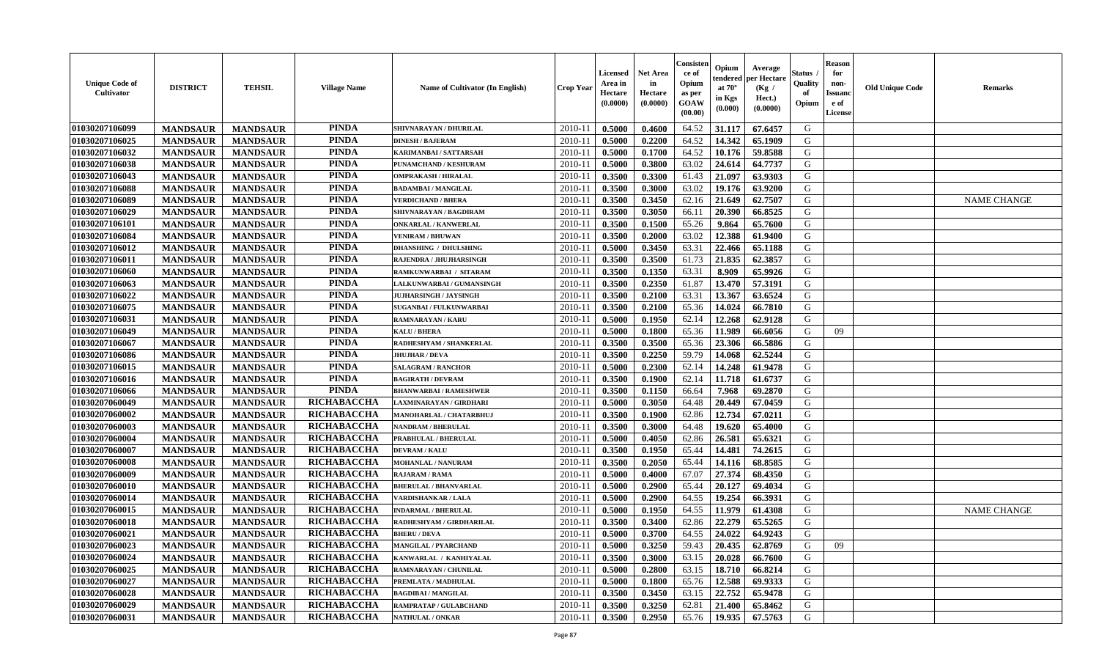| <b>Unique Code of</b><br><b>Cultivator</b> | <b>DISTRICT</b> | <b>TEHSIL</b>   | <b>Village Name</b> | <b>Name of Cultivator (In English)</b> | Crop Year   | Licensed<br>Area in<br>Hectare<br>(0.0000) | <b>Net Area</b><br>in<br>Hectare<br>(0.0000) | Consister<br>ce of<br>Opium<br>as per<br>GOAW<br>(00.00) | Opium<br>endered<br>at $70^\circ$<br>in Kgs<br>(0.000) | Average<br>per Hectare<br>(Kg /<br>Hect.)<br>(0.0000) | Status<br>Quality<br>of<br>Opium | <b>Reason</b><br>for<br>non-<br><b>Issuanc</b><br>e of<br><b>License</b> | <b>Old Unique Code</b> | <b>Remarks</b>     |
|--------------------------------------------|-----------------|-----------------|---------------------|----------------------------------------|-------------|--------------------------------------------|----------------------------------------------|----------------------------------------------------------|--------------------------------------------------------|-------------------------------------------------------|----------------------------------|--------------------------------------------------------------------------|------------------------|--------------------|
| 01030207106099                             | <b>MANDSAUR</b> | <b>MANDSAUR</b> | <b>PINDA</b>        | SHIVNARAYAN / DHURILAL                 | 2010-11     | 0.5000                                     | 0.4600                                       | 64.52                                                    | 31.117                                                 | 67.6457                                               | G                                |                                                                          |                        |                    |
| 01030207106025                             | <b>MANDSAUR</b> | <b>MANDSAUR</b> | <b>PINDA</b>        | <b>DINESH / BAJERAM</b>                | 2010-11     | 0.5000                                     | 0.2200                                       | 64.52                                                    | 14.342                                                 | 65.1909                                               | G                                |                                                                          |                        |                    |
| 01030207106032                             | <b>MANDSAUR</b> | <b>MANDSAUR</b> | <b>PINDA</b>        | KARIMANBAI / SATTARSAH                 | $2010 - 11$ | 0.5000                                     | 0.1700                                       | 64.52                                                    | 10.176                                                 | 59.8588                                               | G                                |                                                                          |                        |                    |
| 01030207106038                             | <b>MANDSAUR</b> | <b>MANDSAUR</b> | <b>PINDA</b>        | PUNAMCHAND / KESHURAM                  | $2010 - 11$ | 0.5000                                     | 0.3800                                       | 63.02                                                    | 24.614                                                 | 64.7737                                               | G                                |                                                                          |                        |                    |
| 01030207106043                             | <b>MANDSAUR</b> | <b>MANDSAUR</b> | <b>PINDA</b>        | <b>OMPRAKASH / HIRALAL</b>             | $2010 - 1$  | 0.3500                                     | 0.3300                                       | 61.43                                                    | 21.097                                                 | 63.9303                                               | G                                |                                                                          |                        |                    |
| 01030207106088                             | <b>MANDSAUR</b> | <b>MANDSAUR</b> | <b>PINDA</b>        | <b>BADAMBAI/MANGILAL</b>               | $2010 - 1$  | 0.3500                                     | 0.3000                                       | 63.02                                                    | 19.176                                                 | 63.9200                                               | G                                |                                                                          |                        |                    |
| 01030207106089                             | <b>MANDSAUR</b> | <b>MANDSAUR</b> | <b>PINDA</b>        | <b>VERDICHAND / BHERA</b>              | $2010 - 1$  | 0.3500                                     | 0.3450                                       | 62.16                                                    | 21.649                                                 | 62.7507                                               | G                                |                                                                          |                        | <b>NAME CHANGE</b> |
| 01030207106029                             | <b>MANDSAUR</b> | <b>MANDSAUR</b> | <b>PINDA</b>        | SHIVNARAYAN / BAGDIRAM                 | $2010 - 1$  | 0.3500                                     | 0.3050                                       | 66.11                                                    | 20.390                                                 | 66.8525                                               | G                                |                                                                          |                        |                    |
| 01030207106101                             | <b>MANDSAUR</b> | <b>MANDSAUR</b> | <b>PINDA</b>        | <b>ONKARLAL / KANWERLAL</b>            | 2010-11     | 0.3500                                     | 0.1500                                       | 65.26                                                    | 9.864                                                  | 65.7600                                               | G                                |                                                                          |                        |                    |
| 01030207106084                             | <b>MANDSAUR</b> | <b>MANDSAUR</b> | <b>PINDA</b>        | <b>VENIRAM / BHUWAN</b>                | 2010-11     | 0.3500                                     | 0.2000                                       | 63.02                                                    | 12.388                                                 | 61.9400                                               | G                                |                                                                          |                        |                    |
| 01030207106012                             | <b>MANDSAUR</b> | <b>MANDSAUR</b> | <b>PINDA</b>        | <b>DHANSHING / DHULSHING</b>           | 2010-11     | 0.5000                                     | 0.3450                                       | 63.31                                                    | 22.466                                                 | 65.1188                                               | G                                |                                                                          |                        |                    |
| 01030207106011                             | <b>MANDSAUR</b> | <b>MANDSAUR</b> | <b>PINDA</b>        | RAJENDRA / JHUJHARSINGH                | 2010-11     | 0.3500                                     | 0.3500                                       | 61.73                                                    | 21.835                                                 | 62.3857                                               | G                                |                                                                          |                        |                    |
| 01030207106060                             | <b>MANDSAUR</b> | <b>MANDSAUR</b> | <b>PINDA</b>        | RAMKUNWARBAI / SITARAM                 | $2010-1$    | 0.3500                                     | 0.1350                                       | 63.31                                                    | 8.909                                                  | 65.9926                                               | G                                |                                                                          |                        |                    |
| 01030207106063                             | <b>MANDSAUR</b> | <b>MANDSAUR</b> | <b>PINDA</b>        | LALKUNWARBAI / GUMANSINGH              | 2010-1      | 0.3500                                     | 0.2350                                       | 61.87                                                    | 13.470                                                 | 57.3191                                               | G                                |                                                                          |                        |                    |
| 01030207106022                             | <b>MANDSAUR</b> | <b>MANDSAUR</b> | <b>PINDA</b>        | <b>JUJHARSINGH / JAYSINGH</b>          | $2010 - 1$  | 0.3500                                     | 0.2100                                       | 63.31                                                    | 13.367                                                 | 63.6524                                               | G                                |                                                                          |                        |                    |
| 01030207106075                             | <b>MANDSAUR</b> | <b>MANDSAUR</b> | <b>PINDA</b>        | <b>SUGANBAI/FULKUNWARBAI</b>           | 2010-11     | 0.3500                                     | 0.2100                                       | 65.36                                                    | 14.024                                                 | 66.7810                                               | G                                |                                                                          |                        |                    |
| 01030207106031                             | <b>MANDSAUR</b> | <b>MANDSAUR</b> | <b>PINDA</b>        | <b>RAMNARAYAN / KARU</b>               | $2010 - 1$  | 0.5000                                     | 0.1950                                       | 62.14                                                    | 12.268                                                 | 62.9128                                               | G                                |                                                                          |                        |                    |
| 01030207106049                             | <b>MANDSAUR</b> | <b>MANDSAUR</b> | <b>PINDA</b>        | <b>KALU / BHERA</b>                    | $2010 - 11$ | 0.5000                                     | 0.1800                                       | 65.36                                                    | 11.989                                                 | 66.6056                                               | G                                | 09                                                                       |                        |                    |
| 01030207106067                             | <b>MANDSAUR</b> | <b>MANDSAUR</b> | <b>PINDA</b>        | RADHESHYAM / SHANKERLAL                | $2010-1$    | 0.3500                                     | 0.3500                                       | 65.36                                                    | 23.306                                                 | 66.5886                                               | G                                |                                                                          |                        |                    |
| 01030207106086                             | <b>MANDSAUR</b> | <b>MANDSAUR</b> | <b>PINDA</b>        | <b>JHUJHAR / DEVA</b>                  | 2010-11     | 0.3500                                     | 0.2250                                       | 59.79                                                    | 14.068                                                 | 62.5244                                               | G                                |                                                                          |                        |                    |
| 01030207106015                             | <b>MANDSAUR</b> | <b>MANDSAUR</b> | <b>PINDA</b>        | <b>SALAGRAM / RANCHOR</b>              | 2010-11     | 0.5000                                     | 0.2300                                       | 62.14                                                    | 14.248                                                 | 61.9478                                               | G                                |                                                                          |                        |                    |
| 01030207106016                             | <b>MANDSAUR</b> | <b>MANDSAUR</b> | <b>PINDA</b>        | <b>BAGIRATH / DEVRAM</b>               | 2010-1      | 0.3500                                     | 0.1900                                       | 62.14                                                    | 11.718                                                 | 61.6737                                               | G                                |                                                                          |                        |                    |
| 01030207106066                             | <b>MANDSAUR</b> | <b>MANDSAUR</b> | <b>PINDA</b>        | <b>BHANWARBAI/RAMESHWER</b>            | 2010-1      | 0.3500                                     | 0.1150                                       | 66.64                                                    | 7.968                                                  | 69.2870                                               | G                                |                                                                          |                        |                    |
| 01030207060049                             | <b>MANDSAUR</b> | <b>MANDSAUR</b> | RICHABACCHA         | LAXMINARAYAN / GIRDHARI                | 2010-11     | 0.5000                                     | 0.3050                                       | 64.48                                                    | 20.449                                                 | 67.0459                                               | G                                |                                                                          |                        |                    |
| 01030207060002                             | <b>MANDSAUR</b> | <b>MANDSAUR</b> | RICHABACCHA         | MANOHARLAL / CHATARBHUJ                | 2010-11     | 0.3500                                     | 0.1900                                       | 62.86                                                    | 12.734                                                 | 67.0211                                               | G                                |                                                                          |                        |                    |
| 01030207060003                             | <b>MANDSAUR</b> | <b>MANDSAUR</b> | RICHABACCHA         | <b>NANDRAM / BHERULAL</b>              | $2010 - 11$ | 0.3500                                     | 0.3000                                       | 64.48                                                    | 19.620                                                 | 65.4000                                               | G                                |                                                                          |                        |                    |
| 01030207060004                             | <b>MANDSAUR</b> | <b>MANDSAUR</b> | RICHABACCHA         | <b>PRABHULAL / BHERULAL</b>            | 2010-11     | 0.5000                                     | 0.4050                                       | 62.86                                                    | 26.581                                                 | 65.6321                                               | G                                |                                                                          |                        |                    |
| 01030207060007                             | <b>MANDSAUR</b> | <b>MANDSAUR</b> | RICHABACCHA         | <b>DEVRAM / KALU</b>                   | 2010-11     | 0.3500                                     | 0.1950                                       | 65.44                                                    | 14.481                                                 | 74.2615                                               | G                                |                                                                          |                        |                    |
| 01030207060008                             | <b>MANDSAUR</b> | <b>MANDSAUR</b> | RICHABACCHA         | <b>MOHANLAL / NANURAM</b>              | 2010-11     | 0.3500                                     | 0.2050                                       | 65.44                                                    | 14.116                                                 | 68.8585                                               | G                                |                                                                          |                        |                    |
| 01030207060009                             | <b>MANDSAUR</b> | <b>MANDSAUR</b> | RICHABACCHA         | <b>RAJARAM / RAMA</b>                  | $2010 - 1$  | 0.5000                                     | 0.4000                                       | 67.07                                                    | 27.374                                                 | 68.4350                                               | G                                |                                                                          |                        |                    |
| 01030207060010                             | <b>MANDSAUR</b> | <b>MANDSAUR</b> | RICHABACCHA         | <b>BHERULAL / BHANVARLAL</b>           | 2010-1      | 0.5000                                     | 0.2900                                       | 65.44                                                    | 20.127                                                 | 69.4034                                               | ${\bf G}$                        |                                                                          |                        |                    |
| 01030207060014                             | <b>MANDSAUR</b> | <b>MANDSAUR</b> | RICHABACCHA         | <b>VARDISHANKAR / LALA</b>             | $2010 - 1$  | 0.5000                                     | 0.2900                                       | 64.55                                                    | 19.254                                                 | 66.3931                                               | G                                |                                                                          |                        |                    |
| 01030207060015                             | <b>MANDSAUR</b> | <b>MANDSAUR</b> | RICHABACCHA         | <b>INDARMAL / BHERULAL</b>             | 2010-11     | 0.5000                                     | 0.1950                                       | 64.55                                                    | 11.979                                                 | 61.4308                                               | G                                |                                                                          |                        | <b>NAME CHANGE</b> |
| 01030207060018                             | <b>MANDSAUR</b> | <b>MANDSAUR</b> | RICHABACCHA         | RADHESHYAM / GIRDHARILAL               | 2010-11     | 0.3500                                     | 0.3400                                       | 62.86                                                    | 22.279                                                 | 65.5265                                               | G                                |                                                                          |                        |                    |
| 01030207060021                             | <b>MANDSAUR</b> | <b>MANDSAUR</b> | RICHABACCHA         | <b>BHERU / DEVA</b>                    | 2010-11     | 0.5000                                     | 0.3700                                       | 64.55                                                    | 24.022                                                 | 64.9243                                               | G                                |                                                                          |                        |                    |
| 01030207060023                             | <b>MANDSAUR</b> | <b>MANDSAUR</b> | RICHABACCHA         | <b>MANGILAL / PYARCHAND</b>            | 2010-11     | 0.5000                                     | 0.3250                                       | 59.43                                                    | 20.435                                                 | 62.8769                                               | G                                | 09                                                                       |                        |                    |
| 01030207060024                             | <b>MANDSAUR</b> | <b>MANDSAUR</b> | RICHABACCHA         | KANWARLAL / KANHIYALAL                 | 2010-11     | 0.3500                                     | 0.3000                                       | 63.15                                                    | 20.028                                                 | 66.7600                                               | G                                |                                                                          |                        |                    |
| 01030207060025                             | <b>MANDSAUR</b> | <b>MANDSAUR</b> | RICHABACCHA         | RAMNARAYAN / CHUNILAI                  | $2010 - 1$  | 0.5000                                     | 0.2800                                       | 63.15                                                    | 18.710                                                 | 66.8214                                               | G                                |                                                                          |                        |                    |
| 01030207060027                             | <b>MANDSAUR</b> | <b>MANDSAUR</b> | RICHABACCHA         | PREMLATA / MADHULAL                    | 2010-1      | 0.5000                                     | 0.1800                                       | 65.76                                                    | 12.588                                                 | 69.9333                                               | G                                |                                                                          |                        |                    |
| 01030207060028                             | <b>MANDSAUR</b> | <b>MANDSAUR</b> | RICHABACCHA         | <b>BAGDIBAI/MANGILAL</b>               | 2010-1      | 0.3500                                     | 0.3450                                       | 63.15                                                    | 22.752                                                 | 65.9478                                               | G                                |                                                                          |                        |                    |
| 01030207060029                             | <b>MANDSAUR</b> | <b>MANDSAUR</b> | RICHABACCHA         | RAMPRATAP / GULABCHAND                 | 2010-11     | 0.3500                                     | 0.3250                                       | 62.81                                                    | 21.400                                                 | 65.8462                                               | G                                |                                                                          |                        |                    |
| 01030207060031                             | <b>MANDSAUR</b> | <b>MANDSAUR</b> | <b>RICHABACCHA</b>  | <b>NATHULAL / ONKAR</b>                | 2010-11     | 0.3500                                     | 0.2950                                       | 65.76                                                    | 19.935                                                 | 67.5763                                               | G                                |                                                                          |                        |                    |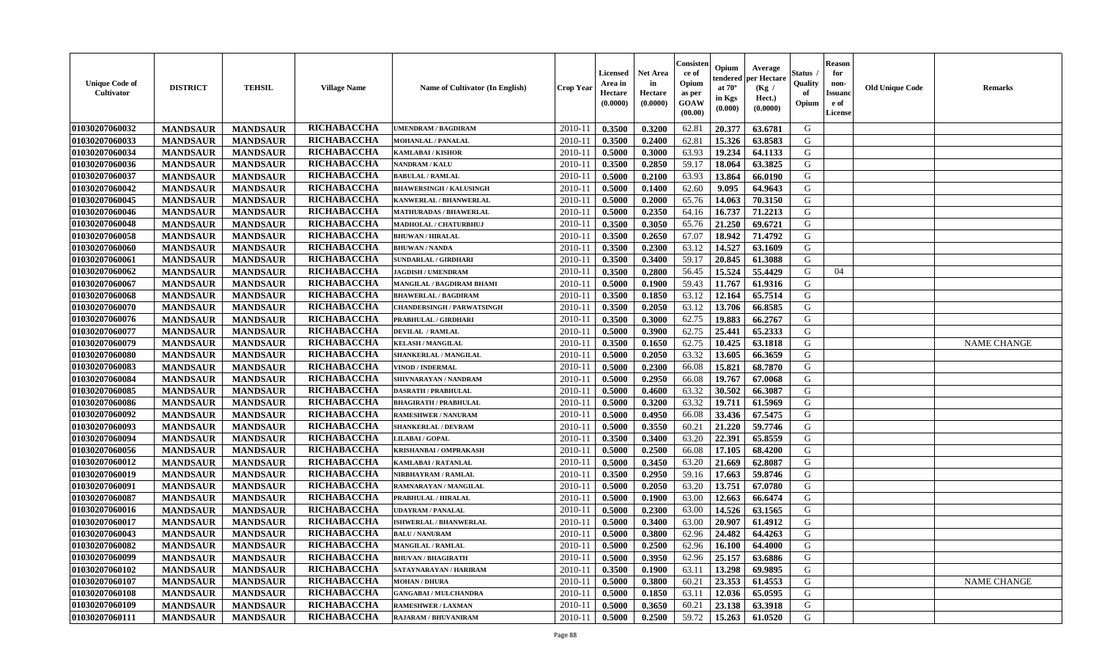| <b>Unique Code of</b><br>Cultivator | <b>DISTRICT</b> | <b>TEHSIL</b>   | <b>Village Name</b> | Name of Cultivator (In English)   | <b>Crop Year</b> | <b>Licensed</b><br>Area in<br>Hectare<br>(0.0000) | <b>Net Area</b><br>in<br>Hectare<br>(0.0000) | Consister<br>ce of<br>Opium<br>as per<br>GOAW<br>(00.00) | Opium<br>endered<br>at $70^{\circ}$<br>in Kgs<br>(0.000) | Average<br>per Hectare<br>(Kg /<br>Hect.)<br>(0.0000) | <b>Status</b> .<br>Quality<br>of<br>Opium | <b>Reason</b><br>for<br>non-<br><b>Issuanc</b><br>e of<br>License | <b>Old Unique Code</b> | <b>Remarks</b>     |
|-------------------------------------|-----------------|-----------------|---------------------|-----------------------------------|------------------|---------------------------------------------------|----------------------------------------------|----------------------------------------------------------|----------------------------------------------------------|-------------------------------------------------------|-------------------------------------------|-------------------------------------------------------------------|------------------------|--------------------|
| 01030207060032                      | <b>MANDSAUR</b> | <b>MANDSAUR</b> | RICHABACCHA         | <b>JMENDRAM / BAGDIRAM</b>        | 2010-11          | 0.3500                                            | 0.3200                                       | 62.81                                                    | 20.377                                                   | 63.6781                                               | G                                         |                                                                   |                        |                    |
| 01030207060033                      | <b>MANDSAUR</b> | <b>MANDSAUR</b> | RICHABACCHA         | <b>MOHANLAL / PANALAL</b>         | $2010 - 11$      | 0.3500                                            | 0.2400                                       | 62.81                                                    | 15.326                                                   | 63.8583                                               | G                                         |                                                                   |                        |                    |
| 01030207060034                      | <b>MANDSAUR</b> | <b>MANDSAUR</b> | RICHABACCHA         | <b>KAMLABAI/KISHOR</b>            | 2010-11          | 0.5000                                            | 0.3000                                       | 63.93                                                    | 19.234                                                   | 64.1133                                               | G                                         |                                                                   |                        |                    |
| 01030207060036                      | <b>MANDSAUR</b> | <b>MANDSAUR</b> | RICHABACCHA         | NANDRAM / KALU                    | 2010-11          | 0.3500                                            | 0.2850                                       | 59.17                                                    | 18.064                                                   | 63.3825                                               | G                                         |                                                                   |                        |                    |
| 01030207060037                      | <b>MANDSAUR</b> | <b>MANDSAUR</b> | RICHABACCHA         | <b>BABULAL / RAMLAL</b>           | 2010-11          | 0.5000                                            | 0.2100                                       | 63.93                                                    | 13.864                                                   | 66.0190                                               | G                                         |                                                                   |                        |                    |
| 01030207060042                      | <b>MANDSAUR</b> | <b>MANDSAUR</b> | RICHABACCHA         | <b>BHAWERSINGH / KALUSINGH</b>    | 2010-11          | 0.5000                                            | 0.1400                                       | 62.60                                                    | 9.095                                                    | 64.9643                                               | G                                         |                                                                   |                        |                    |
| 01030207060045                      | <b>MANDSAUR</b> | <b>MANDSAUR</b> | RICHABACCHA         | KANWERLAL / BHANWERLAL            | $2010 - 1$       | 0.5000                                            | 0.2000                                       | 65.76                                                    | 14.063                                                   | 70.3150                                               | G                                         |                                                                   |                        |                    |
| 01030207060046                      | <b>MANDSAUR</b> | <b>MANDSAUR</b> | RICHABACCHA         | <b>MATHURADAS / BHAWERLAL</b>     | 2010-11          | 0.5000                                            | 0.2350                                       | 64.16                                                    | 16.737                                                   | 71.2213                                               | G                                         |                                                                   |                        |                    |
| 01030207060048                      | <b>MANDSAUR</b> | <b>MANDSAUR</b> | RICHABACCHA         | MADHOLAL / CHATURBHUJ             | 2010-11          | 0.3500                                            | 0.3050                                       | 65.76                                                    | 21.250                                                   | 69.6721                                               | G                                         |                                                                   |                        |                    |
| 01030207060058                      | <b>MANDSAUR</b> | <b>MANDSAUR</b> | RICHABACCHA         | <b>BHUWAN / HIRALAL</b>           | 2010-11          | 0.3500                                            | 0.2650                                       | 67.07                                                    | 18.942                                                   | 71.4792                                               | G                                         |                                                                   |                        |                    |
| 01030207060060                      | <b>MANDSAUR</b> | <b>MANDSAUR</b> | RICHABACCHA         | <b>BHUWAN / NANDA</b>             | 2010-11          | 0.3500                                            | 0.2300                                       | 63.12                                                    | 14.527                                                   | 63.1609                                               | G                                         |                                                                   |                        |                    |
| 01030207060061                      | <b>MANDSAUR</b> | <b>MANDSAUR</b> | RICHABACCHA         | <b>SUNDARLAL / GIRDHARI</b>       | 2010-11          | 0.3500                                            | 0.3400                                       | 59.17                                                    | 20.845                                                   | 61.3088                                               | G                                         |                                                                   |                        |                    |
| 01030207060062                      | <b>MANDSAUR</b> | <b>MANDSAUR</b> | RICHABACCHA         | <b>JAGDISH / UMENDRAM</b>         | 2010-11          | 0.3500                                            | 0.2800                                       | 56.45                                                    | 15.524                                                   | 55.4429                                               | G                                         | 04                                                                |                        |                    |
| 01030207060067                      | <b>MANDSAUR</b> | <b>MANDSAUR</b> | RICHABACCHA         | MANGILAL / BAGDIRAM BHAMI         | 2010-11          | 0.5000                                            | 0.1900                                       | 59.43                                                    | 11.767                                                   | 61.9316                                               | G                                         |                                                                   |                        |                    |
| 01030207060068                      | <b>MANDSAUR</b> | <b>MANDSAUR</b> | RICHABACCHA         | <b>BHAWERLAL / BAGDIRAM</b>       | $2010 - 1$       | 0.3500                                            | 0.1850                                       | 63.12                                                    | 12.164                                                   | 65.7514                                               | ${\bf G}$                                 |                                                                   |                        |                    |
| 01030207060070                      | <b>MANDSAUR</b> | <b>MANDSAUR</b> | RICHABACCHA         | <b>CHANDERSINGH / PARWATSINGH</b> | 2010-11          | 0.3500                                            | 0.2050                                       | 63.12                                                    | 13.706                                                   | 66.8585                                               | G                                         |                                                                   |                        |                    |
| 01030207060076                      | <b>MANDSAUR</b> | <b>MANDSAUR</b> | RICHABACCHA         | PRABHULAL / GIRDHARI              | 2010-11          | 0.3500                                            | 0.3000                                       | 62.75                                                    | 19.883                                                   | 66.2767                                               | ${\bf G}$                                 |                                                                   |                        |                    |
| 01030207060077                      | <b>MANDSAUR</b> | <b>MANDSAUR</b> | RICHABACCHA         | <b>DEVILAL / RAMLAL</b>           | 2010-11          | 0.5000                                            | 0.3900                                       | 62.75                                                    | 25.441                                                   | 65.2333                                               | G                                         |                                                                   |                        |                    |
| 01030207060079                      | <b>MANDSAUR</b> | <b>MANDSAUR</b> | RICHABACCHA         | <b>KELASH / MANGILAL</b>          | 2010-11          | 0.3500                                            | 0.1650                                       | 62.75                                                    | 10.425                                                   | 63.1818                                               | G                                         |                                                                   |                        | <b>NAME CHANGE</b> |
|                                     |                 |                 | <b>RICHABACCHA</b>  | SHANKERLAL / MANGILAL             |                  |                                                   | 0.2050                                       | 63.32                                                    |                                                          | 66.3659                                               | G                                         |                                                                   |                        |                    |
| 01030207060080                      | <b>MANDSAUR</b> | <b>MANDSAUR</b> | RICHABACCHA         | <b>VINOD / INDERMAL</b>           | 2010-11          | 0.5000                                            |                                              |                                                          | 13.605                                                   |                                                       |                                           |                                                                   |                        |                    |
| 01030207060083                      | <b>MANDSAUR</b> | <b>MANDSAUR</b> |                     |                                   | 2010-11          | 0.5000                                            | 0.2300                                       | 66.08                                                    | 15.821                                                   | 68.7870                                               | G                                         |                                                                   |                        |                    |
| 01030207060084                      | <b>MANDSAUR</b> | <b>MANDSAUR</b> | RICHABACCHA         | SHIVNARAYAN / NANDRAM             | 2010-11          | 0.5000                                            | 0.2950                                       | 66.08                                                    | 19.767                                                   | 67.0068                                               | G                                         |                                                                   |                        |                    |
| 01030207060085                      | <b>MANDSAUR</b> | <b>MANDSAUR</b> | RICHABACCHA         | <b>DASRATH / PRABHULAL</b>        | $2010 - 11$      | 0.5000                                            | 0.4600                                       | 63.32                                                    | 30.502                                                   | 66.3087                                               | G                                         |                                                                   |                        |                    |
| 01030207060086                      | <b>MANDSAUR</b> | <b>MANDSAUR</b> | RICHABACCHA         | <b>BHAGIRATH / PRABHULAL</b>      | 2010-11          | 0.5000                                            | 0.3200                                       | 63.32                                                    | 19.711                                                   | 61.5969                                               | G                                         |                                                                   |                        |                    |
| 01030207060092                      | <b>MANDSAUR</b> | <b>MANDSAUR</b> | RICHABACCHA         | <b>RAMESHWER / NANURAM</b>        | 2010-11          | 0.5000                                            | 0.4950                                       | 66.08                                                    | 33.436                                                   | 67.5475                                               | G                                         |                                                                   |                        |                    |
| 01030207060093                      | <b>MANDSAUR</b> | <b>MANDSAUR</b> | RICHABACCHA         | <b>SHANKERLAL / DEVRAM</b>        | 2010-11          | 0.5000                                            | 0.3550                                       | 60.21                                                    | 21.220                                                   | 59.7746                                               | G                                         |                                                                   |                        |                    |
| 01030207060094                      | <b>MANDSAUR</b> | <b>MANDSAUR</b> | RICHABACCHA         | LILABAI / GOPAL                   | 2010-11          | 0.3500                                            | 0.3400                                       | 63.20                                                    | 22.391                                                   | 65.8559                                               | G                                         |                                                                   |                        |                    |
| 01030207060056                      | <b>MANDSAUR</b> | <b>MANDSAUR</b> | RICHABACCHA         | <b>KRISHANBAI / OMPRAKASH</b>     | 2010-11          | 0.5000                                            | 0.2500                                       | 66.08                                                    | 17.105                                                   | 68.4200                                               | G                                         |                                                                   |                        |                    |
| 01030207060012                      | <b>MANDSAUR</b> | <b>MANDSAUR</b> | RICHABACCHA         | KAMLABAI / RATANLAL               | 2010-11          | 0.5000                                            | 0.3450                                       | 63.20                                                    | 21.669                                                   | 62.8087                                               | G                                         |                                                                   |                        |                    |
| 01030207060019                      | <b>MANDSAUR</b> | <b>MANDSAUR</b> | RICHABACCHA         | NIRBHAYRAM / RAMLAL               | 2010-11          | 0.3500                                            | 0.2950                                       | 59.16                                                    | 17.663                                                   | 59.8746                                               | G                                         |                                                                   |                        |                    |
| 01030207060091                      | <b>MANDSAUR</b> | <b>MANDSAUR</b> | RICHABACCHA         | RAMNARAYAN / MANGILAL             | $2010 - 11$      | 0.5000                                            | 0.2050                                       | 63.20                                                    | 13.751                                                   | 67.0780                                               | G                                         |                                                                   |                        |                    |
| 01030207060087                      | <b>MANDSAUR</b> | <b>MANDSAUR</b> | RICHABACCHA         | PRABHULAL / HIRALAL               | 2010-11          | 0.5000                                            | 0.1900                                       | 63.00                                                    | 12.663                                                   | 66.6474                                               | G                                         |                                                                   |                        |                    |
| 01030207060016                      | <b>MANDSAUR</b> | <b>MANDSAUR</b> | RICHABACCHA         | <b>JDAYRAM / PANALAL</b>          | 2010-11          | 0.5000                                            | 0.2300                                       | 63.00                                                    | 14.526                                                   | 63.1565                                               | G                                         |                                                                   |                        |                    |
| 01030207060017                      | <b>MANDSAUR</b> | <b>MANDSAUR</b> | RICHABACCHA         | <b>ISHWERLAL / BHANWERLAL</b>     | 2010-11          | 0.5000                                            | 0.3400                                       | 63.00                                                    | 20.907                                                   | 61.4912                                               | G                                         |                                                                   |                        |                    |
| 01030207060043                      | <b>MANDSAUR</b> | <b>MANDSAUR</b> | RICHABACCHA         | <b>BALU / NANURAM</b>             | 2010-11          | 0.5000                                            | 0.3800                                       | 62.96                                                    | 24.482                                                   | 64.4263                                               | ${\bf G}$                                 |                                                                   |                        |                    |
| 01030207060082                      | <b>MANDSAUR</b> | <b>MANDSAUR</b> | RICHABACCHA         | <b>MANGILAL / RAMLAL</b>          | 2010-11          | 0.5000                                            | 0.2500                                       | 62.96                                                    | 16.100                                                   | 64.4000                                               | G                                         |                                                                   |                        |                    |
| 01030207060099                      | <b>MANDSAUR</b> | <b>MANDSAUR</b> | RICHABACCHA         | <b>BHUVAN / BHAGIRATH</b>         | 2010-11          | 0.5000                                            | 0.3950                                       | 62.96                                                    | 25.157                                                   | 63.6886                                               | G                                         |                                                                   |                        |                    |
| 01030207060102                      | <b>MANDSAUR</b> | <b>MANDSAUR</b> | RICHABACCHA         | SATAYNARAYAN / HARIRAM            | 2010-11          | 0.3500                                            | 0.1900                                       | 63.11                                                    | 13.298                                                   | 69.9895                                               | G                                         |                                                                   |                        |                    |
| 01030207060107                      | <b>MANDSAUR</b> | <b>MANDSAUR</b> | RICHABACCHA         | <b>MOHAN / DHURA</b>              | $2010 - 11$      | 0.5000                                            | 0.3800                                       | 60.21                                                    | 23.353                                                   | 61.4553                                               | G                                         |                                                                   |                        | <b>NAME CHANGE</b> |
| 01030207060108                      | <b>MANDSAUR</b> | <b>MANDSAUR</b> | RICHABACCHA         | <b>GANGABAI/MULCHANDRA</b>        | $2010 - 11$      | 0.5000                                            | 0.1850                                       | 63.11                                                    | 12.036                                                   | 65.0595                                               | ${\bf G}$                                 |                                                                   |                        |                    |
| 01030207060109                      | <b>MANDSAUR</b> | <b>MANDSAUR</b> | RICHABACCHA         | RAMESHWER / LAXMAN                | 2010-11          | 0.5000                                            | 0.3650                                       | 60.21                                                    | 23.138                                                   | 63.3918                                               | G                                         |                                                                   |                        |                    |
| 01030207060111                      | <b>MANDSAUR</b> | <b>MANDSAUR</b> | <b>RICHABACCHA</b>  | RAJARAM / BHUVANIRAM              | 2010-11          | 0.5000                                            | 0.2500                                       | 59.72                                                    | 15.263                                                   | 61.0520                                               | G                                         |                                                                   |                        |                    |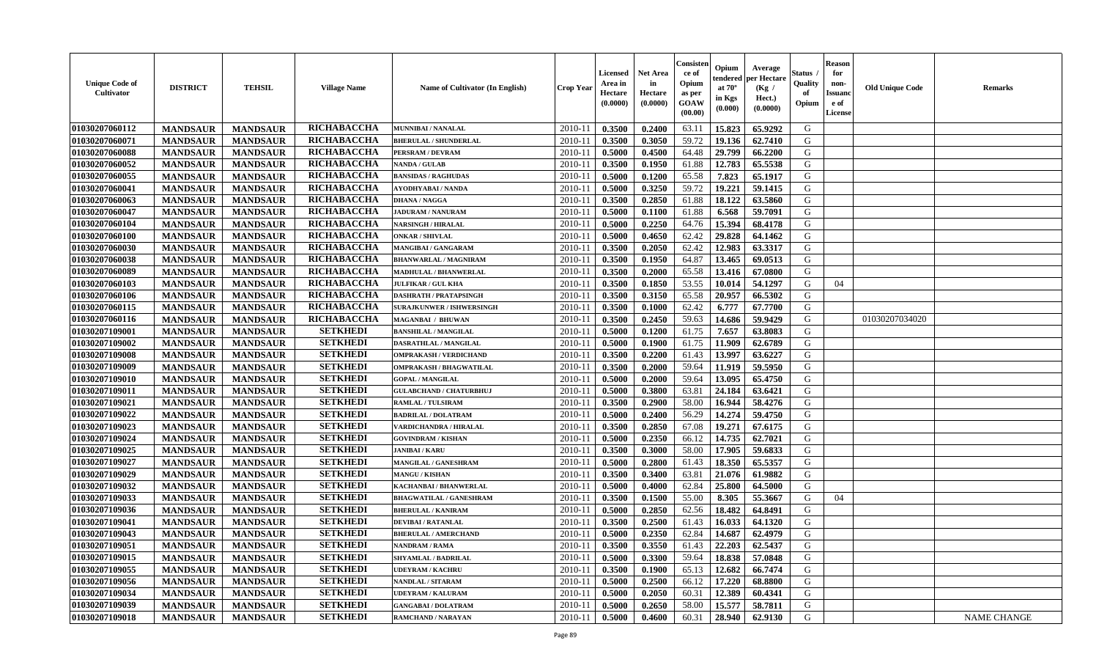| <b>Unique Code of</b><br><b>Cultivator</b> | <b>DISTRICT</b> | <b>TEHSIL</b>   | <b>Village Name</b> | Name of Cultivator (In English)  | <b>Crop Year</b> | <b>Licensed</b><br>Area in<br>Hectare<br>(0.0000) | <b>Net Area</b><br>in<br>Hectare<br>(0.0000) | Consister<br>ce of<br>Opium<br>as per<br>GOAW<br>(00.00) | Opium<br>endered<br>at $70^{\circ}$<br>in Kgs<br>(0.000) | Average<br>per Hectare<br>(Kg /<br>Hect.)<br>(0.0000) | <b>Status</b> .<br>Quality<br>of<br>Opium | <b>Reason</b><br>for<br>non-<br><b>Issuanc</b><br>e of<br>License | <b>Old Unique Code</b> | <b>Remarks</b>     |
|--------------------------------------------|-----------------|-----------------|---------------------|----------------------------------|------------------|---------------------------------------------------|----------------------------------------------|----------------------------------------------------------|----------------------------------------------------------|-------------------------------------------------------|-------------------------------------------|-------------------------------------------------------------------|------------------------|--------------------|
| 01030207060112                             | <b>MANDSAUR</b> | <b>MANDSAUR</b> | RICHABACCHA         | MUNNIBAI / NANALAL               | 2010-11          | 0.3500                                            | 0.2400                                       | 63.11                                                    | 15.823                                                   | 65.9292                                               | G                                         |                                                                   |                        |                    |
| 01030207060071                             | <b>MANDSAUR</b> | <b>MANDSAUR</b> | RICHABACCHA         | <b>BHERULAL / SHUNDERLAL</b>     | $2010 - 11$      | 0.3500                                            | 0.3050                                       | 59.72                                                    | 19.136                                                   | 62.7410                                               | G                                         |                                                                   |                        |                    |
| 01030207060088                             | <b>MANDSAUR</b> | <b>MANDSAUR</b> | RICHABACCHA         | <b>PERSRAM / DEVRAM</b>          | 2010-11          | 0.5000                                            | 0.4500                                       | 64.48                                                    | 29.799                                                   | 66.2200                                               | G                                         |                                                                   |                        |                    |
| 01030207060052                             | <b>MANDSAUR</b> | <b>MANDSAUR</b> | RICHABACCHA         | <b>NANDA / GULAB</b>             | 2010-11          | 0.3500                                            | 0.1950                                       | 61.88                                                    | 12.783                                                   | 65.5538                                               | G                                         |                                                                   |                        |                    |
| 01030207060055                             | <b>MANDSAUR</b> | <b>MANDSAUR</b> | RICHABACCHA         | <b>BANSIDAS / RAGHUDAS</b>       | 2010-11          | 0.5000                                            | 0.1200                                       | 65.58                                                    | 7.823                                                    | 65.1917                                               | G                                         |                                                                   |                        |                    |
| 01030207060041                             | <b>MANDSAUR</b> | <b>MANDSAUR</b> | RICHABACCHA         | <b>AYODHYABAI/NANDA</b>          | $2010 - 11$      | 0.5000                                            | 0.3250                                       | 59.72                                                    | 19.221                                                   | 59.1415                                               | G                                         |                                                                   |                        |                    |
| 01030207060063                             | <b>MANDSAUR</b> | <b>MANDSAUR</b> | RICHABACCHA         | <b>DHANA / NAGGA</b>             | $2010 - 1$       | 0.3500                                            | 0.2850                                       | 61.88                                                    | 18.122                                                   | 63.5860                                               | G                                         |                                                                   |                        |                    |
| 01030207060047                             | <b>MANDSAUR</b> | <b>MANDSAUR</b> | RICHABACCHA         | <b>JADURAM / NANURAM</b>         | 2010-11          | 0.5000                                            | 0.1100                                       | 61.88                                                    | 6.568                                                    | 59.7091                                               | G                                         |                                                                   |                        |                    |
| 01030207060104                             | <b>MANDSAUR</b> | <b>MANDSAUR</b> | RICHABACCHA         | <b>NARSINGH / HIRALAL</b>        | 2010-11          | 0.5000                                            | 0.2250                                       | 64.76                                                    | 15.394                                                   | 68.4178                                               | G                                         |                                                                   |                        |                    |
| 01030207060100                             | <b>MANDSAUR</b> | <b>MANDSAUR</b> | RICHABACCHA         | <b>ONKAR / SHIVLAL</b>           | 2010-11          | 0.5000                                            | 0.4650                                       | 62.42                                                    | 29.828                                                   | 64.1462                                               | G                                         |                                                                   |                        |                    |
| 01030207060030                             | <b>MANDSAUR</b> | <b>MANDSAUR</b> | RICHABACCHA         | MANGIBAI / GANGARAM              | 2010-11          | 0.3500                                            | 0.2050                                       | 62.42                                                    | 12.983                                                   | 63.3317                                               | G                                         |                                                                   |                        |                    |
| 01030207060038                             | <b>MANDSAUR</b> | <b>MANDSAUR</b> | RICHABACCHA         | <b>BHANWARLAL / MAGNIRAM</b>     | 2010-11          | 0.3500                                            | 0.1950                                       | 64.87                                                    | 13.465                                                   | 69.0513                                               | G                                         |                                                                   |                        |                    |
| 01030207060089                             | <b>MANDSAUR</b> | <b>MANDSAUR</b> | RICHABACCHA         | <b>MADHULAL / BHANWERLAL</b>     | 2010-11          | 0.3500                                            | 0.2000                                       | 65.58                                                    | 13.416                                                   | 67.0800                                               | G                                         |                                                                   |                        |                    |
| 01030207060103                             | <b>MANDSAUR</b> | <b>MANDSAUR</b> | RICHABACCHA         | <b>JULFIKAR / GUL KHA</b>        | 2010-11          | 0.3500                                            | 0.1850                                       | 53.55                                                    | 10.014                                                   | 54.1297                                               | G                                         | 04                                                                |                        |                    |
| 01030207060106                             | <b>MANDSAUR</b> | <b>MANDSAUR</b> | <b>RICHABACCHA</b>  | DASHRATH / PRATAPSINGH           | $2010 - 1$       | 0.3500                                            | 0.3150                                       | 65.58                                                    | 20.957                                                   | 66.5302                                               | ${\bf G}$                                 |                                                                   |                        |                    |
| 01030207060115                             | <b>MANDSAUR</b> | <b>MANDSAUR</b> | RICHABACCHA         | <b>SURAJKUNWER / ISHWERSINGH</b> | 2010-11          | 0.3500                                            | 0.1000                                       | 62.42                                                    | 6.777                                                    | 67.7700                                               | G                                         |                                                                   |                        |                    |
| 01030207060116                             | <b>MANDSAUR</b> | <b>MANDSAUR</b> | <b>RICHABACCHA</b>  | <b>MAGANBAI / BHUWAN</b>         | 2010-11          | 0.3500                                            | 0.2450                                       | 59.63                                                    | 14.686                                                   | 59.9429                                               | G                                         |                                                                   | 01030207034020         |                    |
| 01030207109001                             | <b>MANDSAUR</b> | <b>MANDSAUR</b> | <b>SETKHEDI</b>     | <b>BANSHILAL / MANGILAL</b>      | 2010-11          | 0.5000                                            | 0.1200                                       | 61.75                                                    | 7.657                                                    | 63.8083                                               | G                                         |                                                                   |                        |                    |
| 01030207109002                             | <b>MANDSAUR</b> | <b>MANDSAUR</b> | <b>SETKHEDI</b>     | DASRATHLAL / MANGILAL            | 2010-11          | 0.5000                                            | 0.1900                                       | 61.75                                                    | 11.909                                                   | 62.6789                                               | G                                         |                                                                   |                        |                    |
|                                            |                 |                 | <b>SETKHEDI</b>     | <b>OMPRAKASH / VERDICHAND</b>    | 2010-11          | 0.3500                                            | 0.2200                                       | 61.43                                                    | 13.997                                                   | 63.6227                                               | G                                         |                                                                   |                        |                    |
| 01030207109008                             | <b>MANDSAUR</b> | <b>MANDSAUR</b> | <b>SETKHEDI</b>     |                                  |                  |                                                   |                                              |                                                          |                                                          | 59.5950                                               | G                                         |                                                                   |                        |                    |
| 01030207109009                             | <b>MANDSAUR</b> | <b>MANDSAUR</b> | <b>SETKHEDI</b>     | <b>OMPRAKASH / BHAGWATILAL</b>   | 2010-11          | 0.3500                                            | 0.2000                                       | 59.64                                                    | 11.919<br>13.095                                         | 65.4750                                               |                                           |                                                                   |                        |                    |
| 01030207109010                             | <b>MANDSAUR</b> | <b>MANDSAUR</b> | <b>SETKHEDI</b>     | <b>GOPAL / MANGILAL</b>          | 2010-11          | 0.5000                                            | 0.2000                                       | 59.64                                                    |                                                          |                                                       | G                                         |                                                                   |                        |                    |
| 01030207109011                             | <b>MANDSAUR</b> | <b>MANDSAUR</b> |                     | <b>GULABCHAND / CHATURBHUJ</b>   | $2010 - 11$      | 0.5000                                            | 0.3800                                       | 63.81                                                    | 24.184                                                   | 63.6421                                               | G                                         |                                                                   |                        |                    |
| 01030207109021                             | <b>MANDSAUR</b> | <b>MANDSAUR</b> | <b>SETKHEDI</b>     | <b>RAMLAL / TULSIRAM</b>         | 2010-11          | 0.3500                                            | 0.2900                                       | 58.00                                                    | 16.944                                                   | 58.4276                                               | G                                         |                                                                   |                        |                    |
| 01030207109022                             | <b>MANDSAUR</b> | <b>MANDSAUR</b> | <b>SETKHEDI</b>     | <b>BADRILAL / DOLATRAM</b>       | 2010-11          | 0.5000                                            | 0.2400                                       | 56.29                                                    | 14.274                                                   | 59.4750                                               | G                                         |                                                                   |                        |                    |
| 01030207109023                             | <b>MANDSAUR</b> | <b>MANDSAUR</b> | <b>SETKHEDI</b>     | VARDICHANDRA / HIRALAL           | 2010-11          | 0.3500                                            | 0.2850                                       | 67.08                                                    | 19,271                                                   | 67.6175                                               | G                                         |                                                                   |                        |                    |
| 01030207109024                             | <b>MANDSAUR</b> | <b>MANDSAUR</b> | <b>SETKHEDI</b>     | <b>GOVINDRAM / KISHAN</b>        | 2010-11          | 0.5000                                            | 0.2350                                       | 66.12                                                    | 14.735                                                   | 62.7021                                               | G                                         |                                                                   |                        |                    |
| 01030207109025                             | <b>MANDSAUR</b> | <b>MANDSAUR</b> | <b>SETKHEDI</b>     | <b>JANIBAI/KARU</b>              | 2010-11          | 0.3500                                            | 0.3000                                       | 58.00                                                    | 17.905                                                   | 59.6833                                               | G                                         |                                                                   |                        |                    |
| 01030207109027                             | <b>MANDSAUR</b> | <b>MANDSAUR</b> | <b>SETKHEDI</b>     | <b>MANGILAL / GANESHRAM</b>      | 2010-11          | 0.5000                                            | 0.2800                                       | 61.43                                                    | 18.350                                                   | 65.5357                                               | G                                         |                                                                   |                        |                    |
| 01030207109029                             | <b>MANDSAUR</b> | <b>MANDSAUR</b> | <b>SETKHEDI</b>     | <b>MANGU / KISHAN</b>            | 2010-11          | 0.3500                                            | 0.3400                                       | 63.81                                                    | 21.076                                                   | 61.9882                                               | G                                         |                                                                   |                        |                    |
| 01030207109032                             | <b>MANDSAUR</b> | <b>MANDSAUR</b> | <b>SETKHEDI</b>     | KACHANBAI / BHANWERLAL           | $2010 - 11$      | 0.5000                                            | 0.4000                                       | 62.84                                                    | 25.800                                                   | 64.5000                                               | G                                         |                                                                   |                        |                    |
| 01030207109033                             | <b>MANDSAUR</b> | <b>MANDSAUR</b> | <b>SETKHEDI</b>     | <b>BHAGWATILAL / GANESHRAM</b>   | 2010-11          | 0.3500                                            | 0.1500                                       | 55.00                                                    | 8.305                                                    | 55.3667                                               | G                                         | 04                                                                |                        |                    |
| 01030207109036                             | <b>MANDSAUR</b> | <b>MANDSAUR</b> | <b>SETKHEDI</b>     | <b>BHERULAL / KANIRAM</b>        | 2010-11          | 0.5000                                            | 0.2850                                       | 62.56                                                    | 18.482                                                   | 64.8491                                               | G                                         |                                                                   |                        |                    |
| 01030207109041                             | <b>MANDSAUR</b> | <b>MANDSAUR</b> | <b>SETKHEDI</b>     | <b>DEVIBAI/RATANLAL</b>          | 2010-11          | 0.3500                                            | 0.2500                                       | 61.43                                                    | 16.033                                                   | 64.1320                                               | G                                         |                                                                   |                        |                    |
| 01030207109043                             | <b>MANDSAUR</b> | <b>MANDSAUR</b> | <b>SETKHEDI</b>     | <b>BHERULAL / AMERCHAND</b>      | 2010-11          | 0.5000                                            | 0.2350                                       | 62.84                                                    | 14.687                                                   | 62.4979                                               | ${\bf G}$                                 |                                                                   |                        |                    |
| 01030207109051                             | <b>MANDSAUR</b> | <b>MANDSAUR</b> | <b>SETKHEDI</b>     | <b>NANDRAM / RAMA</b>            | 2010-11          | 0.3500                                            | 0.3550                                       | 61.43                                                    | 22.203                                                   | 62.5437                                               | G                                         |                                                                   |                        |                    |
| 01030207109015                             | <b>MANDSAUR</b> | <b>MANDSAUR</b> | <b>SETKHEDI</b>     | <b>SHYAMLAL / BADRILAL</b>       | 2010-11          | 0.5000                                            | 0.3300                                       | 59.64                                                    | 18.838                                                   | 57.0848                                               | G                                         |                                                                   |                        |                    |
| 01030207109055                             | <b>MANDSAUR</b> | <b>MANDSAUR</b> | <b>SETKHEDI</b>     | <b>UDEYRAM / KACHRU</b>          | 2010-11          | 0.3500                                            | 0.1900                                       | 65.13                                                    | 12.682                                                   | 66.7474                                               | G                                         |                                                                   |                        |                    |
| 01030207109056                             | <b>MANDSAUR</b> | <b>MANDSAUR</b> | <b>SETKHEDI</b>     | NANDLAL / SITARAM                | $2010 - 11$      | 0.5000                                            | 0.2500                                       | 66.12                                                    | 17.220                                                   | 68.8800                                               | G                                         |                                                                   |                        |                    |
| 01030207109034                             | <b>MANDSAUR</b> | <b>MANDSAUR</b> | <b>SETKHEDI</b>     | <b>UDEYRAM / KALURAM</b>         | $2010 - 11$      | 0.5000                                            | 0.2050                                       | 60.31                                                    | 12.389                                                   | 60.4341                                               | ${\bf G}$                                 |                                                                   |                        |                    |
| 01030207109039                             | <b>MANDSAUR</b> | <b>MANDSAUR</b> | <b>SETKHEDI</b>     | <b>GANGABAI / DOLATRAM</b>       | 2010-11          | 0.5000                                            | 0.2650                                       | 58.00                                                    | 15.577                                                   | 58.7811                                               | G                                         |                                                                   |                        |                    |
| 01030207109018                             | <b>MANDSAUR</b> | <b>MANDSAUR</b> | <b>SETKHEDI</b>     | <b>RAMCHAND / NARAYAN</b>        | 2010-11          | 0.5000                                            | 0.4600                                       | 60.31                                                    | 28.940                                                   | 62.9130                                               | G                                         |                                                                   |                        | <b>NAME CHANGE</b> |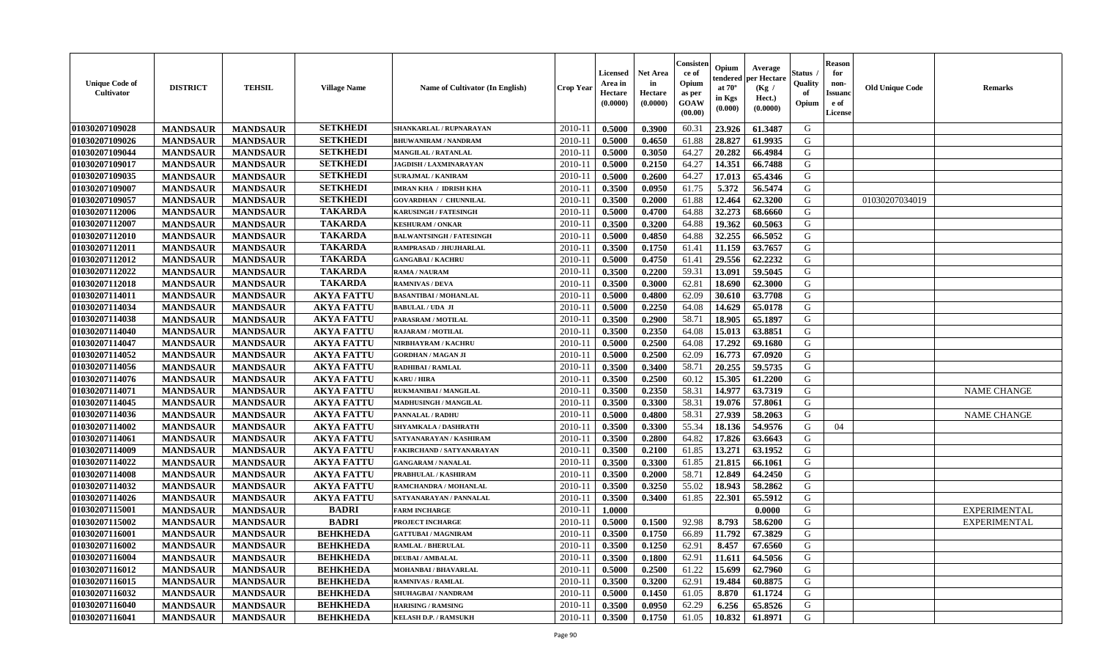| 60.31<br>23.926<br>G<br><b>MANDSAUR</b><br>2010-11<br>0.5000<br>0.3900<br>61.3487<br><b>MANDSAUR</b><br>SHANKARLAL / RUPNARAYAN<br><b>SETKHEDI</b><br>28.827<br><b>MANDSAUR</b><br><b>MANDSAUR</b><br>$2010 - 1$<br>0.5000<br>61.88<br>61.9935<br>G<br>0.4650<br><b>BHUWANIRAM / NANDRAM</b><br><b>SETKHEDI</b><br>01030207109044<br><b>MANDSAUR</b><br><b>MANDSAUR</b><br>0.3050<br>64.27<br>20.282<br>66.4984<br>G<br><b>MANGILAL / RATANLAL</b><br>2010-11<br>0.5000<br><b>SETKHEDI</b><br>64.27<br>14.351<br>66.7488<br>G<br>01030207109017<br><b>MANDSAUR</b><br><b>MANDSAUR</b><br>$2010 - 11$<br>0.5000<br>0.2150<br><b>JAGDISH / LAXMINARAYAN</b><br><b>SETKHEDI</b><br>G<br>17.013<br>65.4346<br>01030207109035<br><b>MANDSAUR</b><br><b>MANDSAUR</b><br>2010-11<br>0.5000<br>0.2600<br>64.27<br><b>SURAJMAL / KANIRAM</b><br><b>SETKHEDI</b><br>G<br><b>MANDSAUR</b><br><b>MANDSAUR</b><br>0.3500<br>0.0950<br>61.75<br>5.372<br>56.5474<br><b>IMRAN KHA / IDRISH KHA</b><br>2010-11<br><b>SETKHEDI</b><br>62.3200<br><b>MANDSAUR</b><br><b>MANDSAUR</b><br>0.3500<br>0.2000<br>61.88<br>12.464<br>G<br><b>GOVARDHAN / CHUNNILAL</b><br>$2010 - 11$<br>01030207034019<br>01030207112006<br><b>TAKARDA</b><br>64.88<br>32.273<br>G<br><b>MANDSAUR</b><br><b>MANDSAUR</b><br>$2010 - 11$<br>0.5000<br>68.6660<br><b>KARUSINGH / FATESINGH</b><br>0.4700<br><b>TAKARDA</b><br>G<br>01030207112007<br><b>MANDSAUR</b><br><b>MANDSAUR</b><br>2010-11<br>0.3500<br>0.3200<br>64.88<br>19.362<br>60.5063<br><b>KESHURAM / ONKAR</b><br><b>TAKARDA</b><br>64.88<br>32.255<br>G<br>01030207112010<br>$2010 - 11$<br>0.5000<br>0.4850<br>66.5052<br><b>MANDSAUR</b><br><b>MANDSAUR</b><br><b>BALWANTSINGH / FATESINGH</b><br><b>TAKARDA</b><br><b>MANDSAUR</b><br><b>MANDSAUR</b><br>0.1750<br>11.159<br>63.7657<br>G<br>01030207112011<br>$2010 - 11$<br>0.3500<br>61.41<br>RAMPRASAD / JHUJHARLAL<br><b>TAKARDA</b><br>G<br>01030207112012<br><b>MANDSAUR</b><br><b>MANDSAUR</b><br>0.5000<br>0.4750<br>61.41<br>29.556<br>62.2232<br><b>GANGABAI/KACHRU</b><br>$2010 - 11$<br><b>TAKARDA</b><br>01030207112022<br>59.31<br>13.091<br><b>MANDSAUR</b><br><b>MANDSAUR</b><br>0.3500<br>0.2200<br>59.5045<br>G<br>$2010 - 11$<br>RAMA / NAURAM<br><b>TAKARDA</b><br>01030207112018<br><b>MANDSAUR</b><br><b>MANDSAUR</b><br>0.3500<br>0.3000<br>62.81<br>18.690<br>62.3000<br>G<br>2010-11<br><b>RAMNIVAS / DEVA</b><br>01030207114011<br><b>MANDSAUR</b><br>0.5000<br>0.4800<br>62.09<br>30.610<br>63.7708<br>G<br><b>MANDSAUR</b><br><b>AKYA FATTU</b><br>$2010 - 11$<br><b>BASANTIBAI / MOHANLAL</b><br>01030207114034<br><b>AKYA FATTU</b><br>0.2250<br>14.629<br>G<br><b>MANDSAUR</b><br><b>MANDSAUR</b><br>2010-11<br>0.5000<br>64.08<br>65.0178<br><b>BABULAL / UDA JI</b><br>G<br>01030207114038<br><b>AKYA FATTU</b><br>58.71<br>18.905<br><b>MANDSAUR</b><br><b>MANDSAUR</b><br>2010-11<br>0.3500<br>0.2900<br>65.1897<br>PARASRAM / MOTILAL<br>01030207114040<br><b>AKYA FATTU</b><br>64.08<br>G<br><b>MANDSAUR</b><br><b>MANDSAUR</b><br>2010-11<br>0.2350<br>15.013<br>63.8851<br><b>RAJARAM / MOTILAL</b><br>0.3500<br>17.292<br>G<br>01030207114047<br><b>MANDSAUR</b><br><b>MANDSAUR</b><br><b>AKYA FATTU</b><br>0.5000<br>0.2500<br>64.08<br>69.1680<br>NIRBHAYRAM / KACHRU<br>$2010-11$<br>01030207114052<br><b>MANDSAUR</b><br><b>MANDSAUR</b><br><b>AKYA FATTU</b><br>0.5000<br>0.2500<br>62.09<br>16.773<br>67.0920<br>G<br><b>GORDHAN / MAGAN JI</b><br>2010-11<br>59.5735<br>01030207114056<br>0.3500<br>0.3400<br>58.71<br>20.255<br>G<br><b>MANDSAUR</b><br><b>MANDSAUR</b><br><b>AKYA FATTU</b><br>2010-11<br>RADHIBAI / RAMLAL<br>15.305<br>G<br><b>MANDSAUR</b><br><b>MANDSAUR</b><br><b>AKYA FATTU</b><br>0.3500<br>0.2500<br>60.12<br>61.2200<br>01030207114076<br>2010-11<br><b>KARU/HIRA</b><br>01030207114071<br><b>MANDSAUR</b><br><b>AKYA FATTU</b><br>0.2350<br>58.31<br>14.977<br>63.7319<br>G<br><b>NAME CHANGE</b><br><b>MANDSAUR</b><br>RUKMANIBAI / MANGILAL<br>2010-11<br>0.3500<br>01030207114045<br><b>AKYA FATTU</b><br>58.31<br>19.076<br>G<br><b>MANDSAUR</b><br><b>MANDSAUR</b><br>$2010 - 11$<br>0.3500<br>0.3300<br>57.8061<br>MADHUSINGH / MANGILAL<br>01030207114036<br><b>AKYA FATTU</b><br>58.31<br>27.939<br>G<br><b>MANDSAUR</b><br><b>MANDSAUR</b><br>2010-11<br>58.2063<br>0.5000<br>0.4800<br><b>NAME CHANGE</b><br>PANNALAL / RADHU<br>55.34<br>G<br>01030207114002<br><b>MANDSAUR</b><br><b>AKYA FATTU</b><br>2010-11<br>0.3500<br>0.3300<br>18.136<br>54.9576<br>04<br><b>MANDSAUR</b><br><b>SHYAMKALA / DASHRATH</b><br>64.82<br>17.826<br>63.6643<br>G<br>01030207114061<br><b>MANDSAUR</b><br><b>MANDSAUR</b><br><b>AKYA FATTU</b><br>2010-11<br>0.3500<br>0.2800<br>SATYANARAYAN / KASHIRAM<br>13.271<br>G<br>01030207114009<br><b>MANDSAUR</b><br><b>MANDSAUR</b><br><b>AKYA FATTU</b><br>0.3500<br>0.2100<br>61.85<br>63.1952<br>2010-11<br>FAKIRCHAND / SATYANARAYAN<br>01030207114022<br><b>MANDSAUR</b><br><b>MANDSAUR</b><br><b>AKYA FATTU</b><br>61.85<br>21.815<br>G<br><b>GANGARAM / NANALAL</b><br>2010-11<br>0.3500<br>0.3300<br>66.1061<br>12.849<br>G<br>01030207114008<br><b>MANDSAUR</b><br><b>MANDSAUR</b><br><b>AKYA FATTU</b><br>58.71<br>64.2450<br>2010-11<br>0.3500<br>0.2000<br>PRABHULAL / KASHIRAM<br>01030207114032<br><b>MANDSAUR</b><br><b>MANDSAUR</b><br><b>AKYA FATTU</b><br>0.3250<br>55.02<br>18.943<br>58.2862<br>G<br>RAMCHANDRA / MOHANLAL<br>2010-11<br>0.3500<br>01030207114026<br>G<br><b>AKYA FATTU</b><br>$2010 - 11$<br>0.3400<br>61.85<br>22.301<br>65.5912<br><b>MANDSAUR</b><br><b>MANDSAUR</b><br>0.3500<br>SATYANARAYAN / PANNALAL<br>01030207115001<br><b>BADRI</b><br>G<br>2010-11<br>1.0000<br><b>MANDSAUR</b><br><b>MANDSAUR</b><br>0.0000<br><b>EXPERIMENTAL</b><br><b>FARM INCHARGE</b><br>G<br>01030207115002<br><b>MANDSAUR</b><br><b>BADRI</b><br>0.1500<br>92.98<br>8.793<br>58.6200<br><b>MANDSAUR</b><br>2010-11<br>0.5000<br><b>EXPERIMENTAL</b><br>PROJECT INCHARGE<br>01030207116001<br><b>BEHKHEDA</b><br>0.3500<br>0.1750<br>11.792<br>67.3829<br>G<br><b>MANDSAUR</b><br><b>MANDSAUR</b><br>2010-11<br>66.89<br><b>GATTUBAI/MAGNIRAM</b><br>01030207116002<br>$2010-11$ 0.3500<br>G<br><b>MANDSAUR</b><br>MANDSAUR<br><b>BEHKHEDA</b><br><b>RAMLAL / BHERULAL</b><br>0.1250<br>62.91<br>8.457 67.6560<br><b>MANDSAUR</b><br><b>BEHKHEDA</b><br>2010-11<br>0.3500<br>0.1800<br>62.91<br>11.611<br>64.5056<br>G<br><b>MANDSAUR</b><br><b>DEUBAI/AMBALAL</b><br><b>BEHKHEDA</b><br>15.699<br>62.7960<br>01030207116012<br><b>MANDSAUR</b><br><b>MANDSAUR</b><br>MOHANBAI / BHAVARLAL<br>2010-11<br>0.5000<br>0.2500<br>61.22<br>G<br>01030207116015<br><b>MANDSAUR</b><br><b>MANDSAUR</b><br><b>BEHKHEDA</b><br>G<br>2010-11<br>0.3500<br>0.3200<br>62.91<br>19.484<br>60.8875<br><b>RAMNIVAS / RAMLAL</b><br>01030207116032<br>G<br><b>MANDSAUR</b><br><b>MANDSAUR</b><br><b>BEHKHEDA</b><br>0.5000<br>61.05<br>8.870<br>61.1724<br><b>SHUHAGBAI/NANDRAM</b><br>2010-11<br>0.1450<br>01030207116040<br><b>MANDSAUR</b><br><b>BEHKHEDA</b><br>62.29<br>G<br><b>MANDSAUR</b><br><b>HARISING / RAMSING</b><br>2010-11<br>0.3500<br>0.0950<br>6.256<br>65.8526 | <b>Unique Code of</b><br><b>Cultivator</b> | <b>DISTRICT</b> | <b>TEHSIL</b>   | <b>Village Name</b> | Name of Cultivator (In English) | <b>Crop Year</b> | <b>Licensed</b><br>Area in<br>Hectare<br>(0.0000) | <b>Net Area</b><br>in<br>Hectare<br>(0.0000) | Consister<br>ce of<br>Opium<br>as per<br><b>GOAW</b><br>(00.00) | Opium<br>endered<br>at $70^{\circ}$<br>in Kgs<br>$(\mathbf{0.000})$ | Average<br>per Hectare<br>(Kg /<br>Hect.)<br>(0.0000) | Status<br>Quality<br>of<br>Opium | <b>Reason</b><br>for<br>non-<br><b>Issuanc</b><br>e of<br>License | <b>Old Unique Code</b> | <b>Remarks</b> |
|--------------------------------------------------------------------------------------------------------------------------------------------------------------------------------------------------------------------------------------------------------------------------------------------------------------------------------------------------------------------------------------------------------------------------------------------------------------------------------------------------------------------------------------------------------------------------------------------------------------------------------------------------------------------------------------------------------------------------------------------------------------------------------------------------------------------------------------------------------------------------------------------------------------------------------------------------------------------------------------------------------------------------------------------------------------------------------------------------------------------------------------------------------------------------------------------------------------------------------------------------------------------------------------------------------------------------------------------------------------------------------------------------------------------------------------------------------------------------------------------------------------------------------------------------------------------------------------------------------------------------------------------------------------------------------------------------------------------------------------------------------------------------------------------------------------------------------------------------------------------------------------------------------------------------------------------------------------------------------------------------------------------------------------------------------------------------------------------------------------------------------------------------------------------------------------------------------------------------------------------------------------------------------------------------------------------------------------------------------------------------------------------------------------------------------------------------------------------------------------------------------------------------------------------------------------------------------------------------------------------------------------------------------------------------------------------------------------------------------------------------------------------------------------------------------------------------------------------------------------------------------------------------------------------------------------------------------------------------------------------------------------------------------------------------------------------------------------------------------------------------------------------------------------------------------------------------------------------------------------------------------------------------------------------------------------------------------------------------------------------------------------------------------------------------------------------------------------------------------------------------------------------------------------------------------------------------------------------------------------------------------------------------------------------------------------------------------------------------------------------------------------------------------------------------------------------------------------------------------------------------------------------------------------------------------------------------------------------------------------------------------------------------------------------------------------------------------------------------------------------------------------------------------------------------------------------------------------------------------------------------------------------------------------------------------------------------------------------------------------------------------------------------------------------------------------------------------------------------------------------------------------------------------------------------------------------------------------------------------------------------------------------------------------------------------------------------------------------------------------------------------------------------------------------------------------------------------------------------------------------------------------------------------------------------------------------------------------------------------------------------------------------------------------------------------------------------------------------------------------------------------------------------------------------------------------------------------------------------------------------------------------------------------------------------------------------------------------------------------------------------------------------------------------------------------------------------------------------------------------------------------------------------------------------------------------------------------------------------------------------------------------------------------------------------------------------------------------------------------------------------------------------------------------------------------------------------------------------------------------------------------------------------------------------------------------------------------------------------------------------------------------------------------------------------------------------------------------------------------------------------------------------------------------------------------------------------------------------------------------------------------------------------------------------------------------------------------------------------------------------------------------------------------------------------------------------------------------------------------------------------------------------------------------------------------------------------------------------------------------------------------------------------------------------------------------------------------------------------------------------------------------------------------------------------------------------------------------------------------------------------------------------------------------------------------------------------------------------------------------------------------------------------------------------------------------------------------------------------------------------------------------------------------------------------------------------|--------------------------------------------|-----------------|-----------------|---------------------|---------------------------------|------------------|---------------------------------------------------|----------------------------------------------|-----------------------------------------------------------------|---------------------------------------------------------------------|-------------------------------------------------------|----------------------------------|-------------------------------------------------------------------|------------------------|----------------|
|                                                                                                                                                                                                                                                                                                                                                                                                                                                                                                                                                                                                                                                                                                                                                                                                                                                                                                                                                                                                                                                                                                                                                                                                                                                                                                                                                                                                                                                                                                                                                                                                                                                                                                                                                                                                                                                                                                                                                                                                                                                                                                                                                                                                                                                                                                                                                                                                                                                                                                                                                                                                                                                                                                                                                                                                                                                                                                                                                                                                                                                                                                                                                                                                                                                                                                                                                                                                                                                                                                                                                                                                                                                                                                                                                                                                                                                                                                                                                                                                                                                                                                                                                                                                                                                                                                                                                                                                                                                                                                                                                                                                                                                                                                                                                                                                                                                                                                                                                                                                                                                                                                                                                                                                                                                                                                                                                                                                                                                                                                                                                                                                                                                                                                                                                                                                                                                                                                                                                                                                                                                                                                                                                                                                                                                                                                                                                                                                                                                                                                                                                                                                                                                                                                                                                                                                                                                                                                                                                                                                                                                                                                                                                                                            | 01030207109028                             |                 |                 | <b>SETKHEDI</b>     |                                 |                  |                                                   |                                              |                                                                 |                                                                     |                                                       |                                  |                                                                   |                        |                |
|                                                                                                                                                                                                                                                                                                                                                                                                                                                                                                                                                                                                                                                                                                                                                                                                                                                                                                                                                                                                                                                                                                                                                                                                                                                                                                                                                                                                                                                                                                                                                                                                                                                                                                                                                                                                                                                                                                                                                                                                                                                                                                                                                                                                                                                                                                                                                                                                                                                                                                                                                                                                                                                                                                                                                                                                                                                                                                                                                                                                                                                                                                                                                                                                                                                                                                                                                                                                                                                                                                                                                                                                                                                                                                                                                                                                                                                                                                                                                                                                                                                                                                                                                                                                                                                                                                                                                                                                                                                                                                                                                                                                                                                                                                                                                                                                                                                                                                                                                                                                                                                                                                                                                                                                                                                                                                                                                                                                                                                                                                                                                                                                                                                                                                                                                                                                                                                                                                                                                                                                                                                                                                                                                                                                                                                                                                                                                                                                                                                                                                                                                                                                                                                                                                                                                                                                                                                                                                                                                                                                                                                                                                                                                                                            | 01030207109026                             |                 |                 |                     |                                 |                  |                                                   |                                              |                                                                 |                                                                     |                                                       |                                  |                                                                   |                        |                |
|                                                                                                                                                                                                                                                                                                                                                                                                                                                                                                                                                                                                                                                                                                                                                                                                                                                                                                                                                                                                                                                                                                                                                                                                                                                                                                                                                                                                                                                                                                                                                                                                                                                                                                                                                                                                                                                                                                                                                                                                                                                                                                                                                                                                                                                                                                                                                                                                                                                                                                                                                                                                                                                                                                                                                                                                                                                                                                                                                                                                                                                                                                                                                                                                                                                                                                                                                                                                                                                                                                                                                                                                                                                                                                                                                                                                                                                                                                                                                                                                                                                                                                                                                                                                                                                                                                                                                                                                                                                                                                                                                                                                                                                                                                                                                                                                                                                                                                                                                                                                                                                                                                                                                                                                                                                                                                                                                                                                                                                                                                                                                                                                                                                                                                                                                                                                                                                                                                                                                                                                                                                                                                                                                                                                                                                                                                                                                                                                                                                                                                                                                                                                                                                                                                                                                                                                                                                                                                                                                                                                                                                                                                                                                                                            |                                            |                 |                 |                     |                                 |                  |                                                   |                                              |                                                                 |                                                                     |                                                       |                                  |                                                                   |                        |                |
|                                                                                                                                                                                                                                                                                                                                                                                                                                                                                                                                                                                                                                                                                                                                                                                                                                                                                                                                                                                                                                                                                                                                                                                                                                                                                                                                                                                                                                                                                                                                                                                                                                                                                                                                                                                                                                                                                                                                                                                                                                                                                                                                                                                                                                                                                                                                                                                                                                                                                                                                                                                                                                                                                                                                                                                                                                                                                                                                                                                                                                                                                                                                                                                                                                                                                                                                                                                                                                                                                                                                                                                                                                                                                                                                                                                                                                                                                                                                                                                                                                                                                                                                                                                                                                                                                                                                                                                                                                                                                                                                                                                                                                                                                                                                                                                                                                                                                                                                                                                                                                                                                                                                                                                                                                                                                                                                                                                                                                                                                                                                                                                                                                                                                                                                                                                                                                                                                                                                                                                                                                                                                                                                                                                                                                                                                                                                                                                                                                                                                                                                                                                                                                                                                                                                                                                                                                                                                                                                                                                                                                                                                                                                                                                            |                                            |                 |                 |                     |                                 |                  |                                                   |                                              |                                                                 |                                                                     |                                                       |                                  |                                                                   |                        |                |
|                                                                                                                                                                                                                                                                                                                                                                                                                                                                                                                                                                                                                                                                                                                                                                                                                                                                                                                                                                                                                                                                                                                                                                                                                                                                                                                                                                                                                                                                                                                                                                                                                                                                                                                                                                                                                                                                                                                                                                                                                                                                                                                                                                                                                                                                                                                                                                                                                                                                                                                                                                                                                                                                                                                                                                                                                                                                                                                                                                                                                                                                                                                                                                                                                                                                                                                                                                                                                                                                                                                                                                                                                                                                                                                                                                                                                                                                                                                                                                                                                                                                                                                                                                                                                                                                                                                                                                                                                                                                                                                                                                                                                                                                                                                                                                                                                                                                                                                                                                                                                                                                                                                                                                                                                                                                                                                                                                                                                                                                                                                                                                                                                                                                                                                                                                                                                                                                                                                                                                                                                                                                                                                                                                                                                                                                                                                                                                                                                                                                                                                                                                                                                                                                                                                                                                                                                                                                                                                                                                                                                                                                                                                                                                                            |                                            |                 |                 |                     |                                 |                  |                                                   |                                              |                                                                 |                                                                     |                                                       |                                  |                                                                   |                        |                |
|                                                                                                                                                                                                                                                                                                                                                                                                                                                                                                                                                                                                                                                                                                                                                                                                                                                                                                                                                                                                                                                                                                                                                                                                                                                                                                                                                                                                                                                                                                                                                                                                                                                                                                                                                                                                                                                                                                                                                                                                                                                                                                                                                                                                                                                                                                                                                                                                                                                                                                                                                                                                                                                                                                                                                                                                                                                                                                                                                                                                                                                                                                                                                                                                                                                                                                                                                                                                                                                                                                                                                                                                                                                                                                                                                                                                                                                                                                                                                                                                                                                                                                                                                                                                                                                                                                                                                                                                                                                                                                                                                                                                                                                                                                                                                                                                                                                                                                                                                                                                                                                                                                                                                                                                                                                                                                                                                                                                                                                                                                                                                                                                                                                                                                                                                                                                                                                                                                                                                                                                                                                                                                                                                                                                                                                                                                                                                                                                                                                                                                                                                                                                                                                                                                                                                                                                                                                                                                                                                                                                                                                                                                                                                                                            | 01030207109007                             |                 |                 |                     |                                 |                  |                                                   |                                              |                                                                 |                                                                     |                                                       |                                  |                                                                   |                        |                |
|                                                                                                                                                                                                                                                                                                                                                                                                                                                                                                                                                                                                                                                                                                                                                                                                                                                                                                                                                                                                                                                                                                                                                                                                                                                                                                                                                                                                                                                                                                                                                                                                                                                                                                                                                                                                                                                                                                                                                                                                                                                                                                                                                                                                                                                                                                                                                                                                                                                                                                                                                                                                                                                                                                                                                                                                                                                                                                                                                                                                                                                                                                                                                                                                                                                                                                                                                                                                                                                                                                                                                                                                                                                                                                                                                                                                                                                                                                                                                                                                                                                                                                                                                                                                                                                                                                                                                                                                                                                                                                                                                                                                                                                                                                                                                                                                                                                                                                                                                                                                                                                                                                                                                                                                                                                                                                                                                                                                                                                                                                                                                                                                                                                                                                                                                                                                                                                                                                                                                                                                                                                                                                                                                                                                                                                                                                                                                                                                                                                                                                                                                                                                                                                                                                                                                                                                                                                                                                                                                                                                                                                                                                                                                                                            | 01030207109057                             |                 |                 |                     |                                 |                  |                                                   |                                              |                                                                 |                                                                     |                                                       |                                  |                                                                   |                        |                |
|                                                                                                                                                                                                                                                                                                                                                                                                                                                                                                                                                                                                                                                                                                                                                                                                                                                                                                                                                                                                                                                                                                                                                                                                                                                                                                                                                                                                                                                                                                                                                                                                                                                                                                                                                                                                                                                                                                                                                                                                                                                                                                                                                                                                                                                                                                                                                                                                                                                                                                                                                                                                                                                                                                                                                                                                                                                                                                                                                                                                                                                                                                                                                                                                                                                                                                                                                                                                                                                                                                                                                                                                                                                                                                                                                                                                                                                                                                                                                                                                                                                                                                                                                                                                                                                                                                                                                                                                                                                                                                                                                                                                                                                                                                                                                                                                                                                                                                                                                                                                                                                                                                                                                                                                                                                                                                                                                                                                                                                                                                                                                                                                                                                                                                                                                                                                                                                                                                                                                                                                                                                                                                                                                                                                                                                                                                                                                                                                                                                                                                                                                                                                                                                                                                                                                                                                                                                                                                                                                                                                                                                                                                                                                                                            |                                            |                 |                 |                     |                                 |                  |                                                   |                                              |                                                                 |                                                                     |                                                       |                                  |                                                                   |                        |                |
|                                                                                                                                                                                                                                                                                                                                                                                                                                                                                                                                                                                                                                                                                                                                                                                                                                                                                                                                                                                                                                                                                                                                                                                                                                                                                                                                                                                                                                                                                                                                                                                                                                                                                                                                                                                                                                                                                                                                                                                                                                                                                                                                                                                                                                                                                                                                                                                                                                                                                                                                                                                                                                                                                                                                                                                                                                                                                                                                                                                                                                                                                                                                                                                                                                                                                                                                                                                                                                                                                                                                                                                                                                                                                                                                                                                                                                                                                                                                                                                                                                                                                                                                                                                                                                                                                                                                                                                                                                                                                                                                                                                                                                                                                                                                                                                                                                                                                                                                                                                                                                                                                                                                                                                                                                                                                                                                                                                                                                                                                                                                                                                                                                                                                                                                                                                                                                                                                                                                                                                                                                                                                                                                                                                                                                                                                                                                                                                                                                                                                                                                                                                                                                                                                                                                                                                                                                                                                                                                                                                                                                                                                                                                                                                            |                                            |                 |                 |                     |                                 |                  |                                                   |                                              |                                                                 |                                                                     |                                                       |                                  |                                                                   |                        |                |
|                                                                                                                                                                                                                                                                                                                                                                                                                                                                                                                                                                                                                                                                                                                                                                                                                                                                                                                                                                                                                                                                                                                                                                                                                                                                                                                                                                                                                                                                                                                                                                                                                                                                                                                                                                                                                                                                                                                                                                                                                                                                                                                                                                                                                                                                                                                                                                                                                                                                                                                                                                                                                                                                                                                                                                                                                                                                                                                                                                                                                                                                                                                                                                                                                                                                                                                                                                                                                                                                                                                                                                                                                                                                                                                                                                                                                                                                                                                                                                                                                                                                                                                                                                                                                                                                                                                                                                                                                                                                                                                                                                                                                                                                                                                                                                                                                                                                                                                                                                                                                                                                                                                                                                                                                                                                                                                                                                                                                                                                                                                                                                                                                                                                                                                                                                                                                                                                                                                                                                                                                                                                                                                                                                                                                                                                                                                                                                                                                                                                                                                                                                                                                                                                                                                                                                                                                                                                                                                                                                                                                                                                                                                                                                                            |                                            |                 |                 |                     |                                 |                  |                                                   |                                              |                                                                 |                                                                     |                                                       |                                  |                                                                   |                        |                |
|                                                                                                                                                                                                                                                                                                                                                                                                                                                                                                                                                                                                                                                                                                                                                                                                                                                                                                                                                                                                                                                                                                                                                                                                                                                                                                                                                                                                                                                                                                                                                                                                                                                                                                                                                                                                                                                                                                                                                                                                                                                                                                                                                                                                                                                                                                                                                                                                                                                                                                                                                                                                                                                                                                                                                                                                                                                                                                                                                                                                                                                                                                                                                                                                                                                                                                                                                                                                                                                                                                                                                                                                                                                                                                                                                                                                                                                                                                                                                                                                                                                                                                                                                                                                                                                                                                                                                                                                                                                                                                                                                                                                                                                                                                                                                                                                                                                                                                                                                                                                                                                                                                                                                                                                                                                                                                                                                                                                                                                                                                                                                                                                                                                                                                                                                                                                                                                                                                                                                                                                                                                                                                                                                                                                                                                                                                                                                                                                                                                                                                                                                                                                                                                                                                                                                                                                                                                                                                                                                                                                                                                                                                                                                                                            |                                            |                 |                 |                     |                                 |                  |                                                   |                                              |                                                                 |                                                                     |                                                       |                                  |                                                                   |                        |                |
|                                                                                                                                                                                                                                                                                                                                                                                                                                                                                                                                                                                                                                                                                                                                                                                                                                                                                                                                                                                                                                                                                                                                                                                                                                                                                                                                                                                                                                                                                                                                                                                                                                                                                                                                                                                                                                                                                                                                                                                                                                                                                                                                                                                                                                                                                                                                                                                                                                                                                                                                                                                                                                                                                                                                                                                                                                                                                                                                                                                                                                                                                                                                                                                                                                                                                                                                                                                                                                                                                                                                                                                                                                                                                                                                                                                                                                                                                                                                                                                                                                                                                                                                                                                                                                                                                                                                                                                                                                                                                                                                                                                                                                                                                                                                                                                                                                                                                                                                                                                                                                                                                                                                                                                                                                                                                                                                                                                                                                                                                                                                                                                                                                                                                                                                                                                                                                                                                                                                                                                                                                                                                                                                                                                                                                                                                                                                                                                                                                                                                                                                                                                                                                                                                                                                                                                                                                                                                                                                                                                                                                                                                                                                                                                            |                                            |                 |                 |                     |                                 |                  |                                                   |                                              |                                                                 |                                                                     |                                                       |                                  |                                                                   |                        |                |
|                                                                                                                                                                                                                                                                                                                                                                                                                                                                                                                                                                                                                                                                                                                                                                                                                                                                                                                                                                                                                                                                                                                                                                                                                                                                                                                                                                                                                                                                                                                                                                                                                                                                                                                                                                                                                                                                                                                                                                                                                                                                                                                                                                                                                                                                                                                                                                                                                                                                                                                                                                                                                                                                                                                                                                                                                                                                                                                                                                                                                                                                                                                                                                                                                                                                                                                                                                                                                                                                                                                                                                                                                                                                                                                                                                                                                                                                                                                                                                                                                                                                                                                                                                                                                                                                                                                                                                                                                                                                                                                                                                                                                                                                                                                                                                                                                                                                                                                                                                                                                                                                                                                                                                                                                                                                                                                                                                                                                                                                                                                                                                                                                                                                                                                                                                                                                                                                                                                                                                                                                                                                                                                                                                                                                                                                                                                                                                                                                                                                                                                                                                                                                                                                                                                                                                                                                                                                                                                                                                                                                                                                                                                                                                                            |                                            |                 |                 |                     |                                 |                  |                                                   |                                              |                                                                 |                                                                     |                                                       |                                  |                                                                   |                        |                |
|                                                                                                                                                                                                                                                                                                                                                                                                                                                                                                                                                                                                                                                                                                                                                                                                                                                                                                                                                                                                                                                                                                                                                                                                                                                                                                                                                                                                                                                                                                                                                                                                                                                                                                                                                                                                                                                                                                                                                                                                                                                                                                                                                                                                                                                                                                                                                                                                                                                                                                                                                                                                                                                                                                                                                                                                                                                                                                                                                                                                                                                                                                                                                                                                                                                                                                                                                                                                                                                                                                                                                                                                                                                                                                                                                                                                                                                                                                                                                                                                                                                                                                                                                                                                                                                                                                                                                                                                                                                                                                                                                                                                                                                                                                                                                                                                                                                                                                                                                                                                                                                                                                                                                                                                                                                                                                                                                                                                                                                                                                                                                                                                                                                                                                                                                                                                                                                                                                                                                                                                                                                                                                                                                                                                                                                                                                                                                                                                                                                                                                                                                                                                                                                                                                                                                                                                                                                                                                                                                                                                                                                                                                                                                                                            |                                            |                 |                 |                     |                                 |                  |                                                   |                                              |                                                                 |                                                                     |                                                       |                                  |                                                                   |                        |                |
|                                                                                                                                                                                                                                                                                                                                                                                                                                                                                                                                                                                                                                                                                                                                                                                                                                                                                                                                                                                                                                                                                                                                                                                                                                                                                                                                                                                                                                                                                                                                                                                                                                                                                                                                                                                                                                                                                                                                                                                                                                                                                                                                                                                                                                                                                                                                                                                                                                                                                                                                                                                                                                                                                                                                                                                                                                                                                                                                                                                                                                                                                                                                                                                                                                                                                                                                                                                                                                                                                                                                                                                                                                                                                                                                                                                                                                                                                                                                                                                                                                                                                                                                                                                                                                                                                                                                                                                                                                                                                                                                                                                                                                                                                                                                                                                                                                                                                                                                                                                                                                                                                                                                                                                                                                                                                                                                                                                                                                                                                                                                                                                                                                                                                                                                                                                                                                                                                                                                                                                                                                                                                                                                                                                                                                                                                                                                                                                                                                                                                                                                                                                                                                                                                                                                                                                                                                                                                                                                                                                                                                                                                                                                                                                            |                                            |                 |                 |                     |                                 |                  |                                                   |                                              |                                                                 |                                                                     |                                                       |                                  |                                                                   |                        |                |
|                                                                                                                                                                                                                                                                                                                                                                                                                                                                                                                                                                                                                                                                                                                                                                                                                                                                                                                                                                                                                                                                                                                                                                                                                                                                                                                                                                                                                                                                                                                                                                                                                                                                                                                                                                                                                                                                                                                                                                                                                                                                                                                                                                                                                                                                                                                                                                                                                                                                                                                                                                                                                                                                                                                                                                                                                                                                                                                                                                                                                                                                                                                                                                                                                                                                                                                                                                                                                                                                                                                                                                                                                                                                                                                                                                                                                                                                                                                                                                                                                                                                                                                                                                                                                                                                                                                                                                                                                                                                                                                                                                                                                                                                                                                                                                                                                                                                                                                                                                                                                                                                                                                                                                                                                                                                                                                                                                                                                                                                                                                                                                                                                                                                                                                                                                                                                                                                                                                                                                                                                                                                                                                                                                                                                                                                                                                                                                                                                                                                                                                                                                                                                                                                                                                                                                                                                                                                                                                                                                                                                                                                                                                                                                                            |                                            |                 |                 |                     |                                 |                  |                                                   |                                              |                                                                 |                                                                     |                                                       |                                  |                                                                   |                        |                |
|                                                                                                                                                                                                                                                                                                                                                                                                                                                                                                                                                                                                                                                                                                                                                                                                                                                                                                                                                                                                                                                                                                                                                                                                                                                                                                                                                                                                                                                                                                                                                                                                                                                                                                                                                                                                                                                                                                                                                                                                                                                                                                                                                                                                                                                                                                                                                                                                                                                                                                                                                                                                                                                                                                                                                                                                                                                                                                                                                                                                                                                                                                                                                                                                                                                                                                                                                                                                                                                                                                                                                                                                                                                                                                                                                                                                                                                                                                                                                                                                                                                                                                                                                                                                                                                                                                                                                                                                                                                                                                                                                                                                                                                                                                                                                                                                                                                                                                                                                                                                                                                                                                                                                                                                                                                                                                                                                                                                                                                                                                                                                                                                                                                                                                                                                                                                                                                                                                                                                                                                                                                                                                                                                                                                                                                                                                                                                                                                                                                                                                                                                                                                                                                                                                                                                                                                                                                                                                                                                                                                                                                                                                                                                                                            |                                            |                 |                 |                     |                                 |                  |                                                   |                                              |                                                                 |                                                                     |                                                       |                                  |                                                                   |                        |                |
|                                                                                                                                                                                                                                                                                                                                                                                                                                                                                                                                                                                                                                                                                                                                                                                                                                                                                                                                                                                                                                                                                                                                                                                                                                                                                                                                                                                                                                                                                                                                                                                                                                                                                                                                                                                                                                                                                                                                                                                                                                                                                                                                                                                                                                                                                                                                                                                                                                                                                                                                                                                                                                                                                                                                                                                                                                                                                                                                                                                                                                                                                                                                                                                                                                                                                                                                                                                                                                                                                                                                                                                                                                                                                                                                                                                                                                                                                                                                                                                                                                                                                                                                                                                                                                                                                                                                                                                                                                                                                                                                                                                                                                                                                                                                                                                                                                                                                                                                                                                                                                                                                                                                                                                                                                                                                                                                                                                                                                                                                                                                                                                                                                                                                                                                                                                                                                                                                                                                                                                                                                                                                                                                                                                                                                                                                                                                                                                                                                                                                                                                                                                                                                                                                                                                                                                                                                                                                                                                                                                                                                                                                                                                                                                            |                                            |                 |                 |                     |                                 |                  |                                                   |                                              |                                                                 |                                                                     |                                                       |                                  |                                                                   |                        |                |
|                                                                                                                                                                                                                                                                                                                                                                                                                                                                                                                                                                                                                                                                                                                                                                                                                                                                                                                                                                                                                                                                                                                                                                                                                                                                                                                                                                                                                                                                                                                                                                                                                                                                                                                                                                                                                                                                                                                                                                                                                                                                                                                                                                                                                                                                                                                                                                                                                                                                                                                                                                                                                                                                                                                                                                                                                                                                                                                                                                                                                                                                                                                                                                                                                                                                                                                                                                                                                                                                                                                                                                                                                                                                                                                                                                                                                                                                                                                                                                                                                                                                                                                                                                                                                                                                                                                                                                                                                                                                                                                                                                                                                                                                                                                                                                                                                                                                                                                                                                                                                                                                                                                                                                                                                                                                                                                                                                                                                                                                                                                                                                                                                                                                                                                                                                                                                                                                                                                                                                                                                                                                                                                                                                                                                                                                                                                                                                                                                                                                                                                                                                                                                                                                                                                                                                                                                                                                                                                                                                                                                                                                                                                                                                                            |                                            |                 |                 |                     |                                 |                  |                                                   |                                              |                                                                 |                                                                     |                                                       |                                  |                                                                   |                        |                |
|                                                                                                                                                                                                                                                                                                                                                                                                                                                                                                                                                                                                                                                                                                                                                                                                                                                                                                                                                                                                                                                                                                                                                                                                                                                                                                                                                                                                                                                                                                                                                                                                                                                                                                                                                                                                                                                                                                                                                                                                                                                                                                                                                                                                                                                                                                                                                                                                                                                                                                                                                                                                                                                                                                                                                                                                                                                                                                                                                                                                                                                                                                                                                                                                                                                                                                                                                                                                                                                                                                                                                                                                                                                                                                                                                                                                                                                                                                                                                                                                                                                                                                                                                                                                                                                                                                                                                                                                                                                                                                                                                                                                                                                                                                                                                                                                                                                                                                                                                                                                                                                                                                                                                                                                                                                                                                                                                                                                                                                                                                                                                                                                                                                                                                                                                                                                                                                                                                                                                                                                                                                                                                                                                                                                                                                                                                                                                                                                                                                                                                                                                                                                                                                                                                                                                                                                                                                                                                                                                                                                                                                                                                                                                                                            |                                            |                 |                 |                     |                                 |                  |                                                   |                                              |                                                                 |                                                                     |                                                       |                                  |                                                                   |                        |                |
|                                                                                                                                                                                                                                                                                                                                                                                                                                                                                                                                                                                                                                                                                                                                                                                                                                                                                                                                                                                                                                                                                                                                                                                                                                                                                                                                                                                                                                                                                                                                                                                                                                                                                                                                                                                                                                                                                                                                                                                                                                                                                                                                                                                                                                                                                                                                                                                                                                                                                                                                                                                                                                                                                                                                                                                                                                                                                                                                                                                                                                                                                                                                                                                                                                                                                                                                                                                                                                                                                                                                                                                                                                                                                                                                                                                                                                                                                                                                                                                                                                                                                                                                                                                                                                                                                                                                                                                                                                                                                                                                                                                                                                                                                                                                                                                                                                                                                                                                                                                                                                                                                                                                                                                                                                                                                                                                                                                                                                                                                                                                                                                                                                                                                                                                                                                                                                                                                                                                                                                                                                                                                                                                                                                                                                                                                                                                                                                                                                                                                                                                                                                                                                                                                                                                                                                                                                                                                                                                                                                                                                                                                                                                                                                            |                                            |                 |                 |                     |                                 |                  |                                                   |                                              |                                                                 |                                                                     |                                                       |                                  |                                                                   |                        |                |
|                                                                                                                                                                                                                                                                                                                                                                                                                                                                                                                                                                                                                                                                                                                                                                                                                                                                                                                                                                                                                                                                                                                                                                                                                                                                                                                                                                                                                                                                                                                                                                                                                                                                                                                                                                                                                                                                                                                                                                                                                                                                                                                                                                                                                                                                                                                                                                                                                                                                                                                                                                                                                                                                                                                                                                                                                                                                                                                                                                                                                                                                                                                                                                                                                                                                                                                                                                                                                                                                                                                                                                                                                                                                                                                                                                                                                                                                                                                                                                                                                                                                                                                                                                                                                                                                                                                                                                                                                                                                                                                                                                                                                                                                                                                                                                                                                                                                                                                                                                                                                                                                                                                                                                                                                                                                                                                                                                                                                                                                                                                                                                                                                                                                                                                                                                                                                                                                                                                                                                                                                                                                                                                                                                                                                                                                                                                                                                                                                                                                                                                                                                                                                                                                                                                                                                                                                                                                                                                                                                                                                                                                                                                                                                                            |                                            |                 |                 |                     |                                 |                  |                                                   |                                              |                                                                 |                                                                     |                                                       |                                  |                                                                   |                        |                |
|                                                                                                                                                                                                                                                                                                                                                                                                                                                                                                                                                                                                                                                                                                                                                                                                                                                                                                                                                                                                                                                                                                                                                                                                                                                                                                                                                                                                                                                                                                                                                                                                                                                                                                                                                                                                                                                                                                                                                                                                                                                                                                                                                                                                                                                                                                                                                                                                                                                                                                                                                                                                                                                                                                                                                                                                                                                                                                                                                                                                                                                                                                                                                                                                                                                                                                                                                                                                                                                                                                                                                                                                                                                                                                                                                                                                                                                                                                                                                                                                                                                                                                                                                                                                                                                                                                                                                                                                                                                                                                                                                                                                                                                                                                                                                                                                                                                                                                                                                                                                                                                                                                                                                                                                                                                                                                                                                                                                                                                                                                                                                                                                                                                                                                                                                                                                                                                                                                                                                                                                                                                                                                                                                                                                                                                                                                                                                                                                                                                                                                                                                                                                                                                                                                                                                                                                                                                                                                                                                                                                                                                                                                                                                                                            |                                            |                 |                 |                     |                                 |                  |                                                   |                                              |                                                                 |                                                                     |                                                       |                                  |                                                                   |                        |                |
|                                                                                                                                                                                                                                                                                                                                                                                                                                                                                                                                                                                                                                                                                                                                                                                                                                                                                                                                                                                                                                                                                                                                                                                                                                                                                                                                                                                                                                                                                                                                                                                                                                                                                                                                                                                                                                                                                                                                                                                                                                                                                                                                                                                                                                                                                                                                                                                                                                                                                                                                                                                                                                                                                                                                                                                                                                                                                                                                                                                                                                                                                                                                                                                                                                                                                                                                                                                                                                                                                                                                                                                                                                                                                                                                                                                                                                                                                                                                                                                                                                                                                                                                                                                                                                                                                                                                                                                                                                                                                                                                                                                                                                                                                                                                                                                                                                                                                                                                                                                                                                                                                                                                                                                                                                                                                                                                                                                                                                                                                                                                                                                                                                                                                                                                                                                                                                                                                                                                                                                                                                                                                                                                                                                                                                                                                                                                                                                                                                                                                                                                                                                                                                                                                                                                                                                                                                                                                                                                                                                                                                                                                                                                                                                            |                                            |                 |                 |                     |                                 |                  |                                                   |                                              |                                                                 |                                                                     |                                                       |                                  |                                                                   |                        |                |
|                                                                                                                                                                                                                                                                                                                                                                                                                                                                                                                                                                                                                                                                                                                                                                                                                                                                                                                                                                                                                                                                                                                                                                                                                                                                                                                                                                                                                                                                                                                                                                                                                                                                                                                                                                                                                                                                                                                                                                                                                                                                                                                                                                                                                                                                                                                                                                                                                                                                                                                                                                                                                                                                                                                                                                                                                                                                                                                                                                                                                                                                                                                                                                                                                                                                                                                                                                                                                                                                                                                                                                                                                                                                                                                                                                                                                                                                                                                                                                                                                                                                                                                                                                                                                                                                                                                                                                                                                                                                                                                                                                                                                                                                                                                                                                                                                                                                                                                                                                                                                                                                                                                                                                                                                                                                                                                                                                                                                                                                                                                                                                                                                                                                                                                                                                                                                                                                                                                                                                                                                                                                                                                                                                                                                                                                                                                                                                                                                                                                                                                                                                                                                                                                                                                                                                                                                                                                                                                                                                                                                                                                                                                                                                                            |                                            |                 |                 |                     |                                 |                  |                                                   |                                              |                                                                 |                                                                     |                                                       |                                  |                                                                   |                        |                |
|                                                                                                                                                                                                                                                                                                                                                                                                                                                                                                                                                                                                                                                                                                                                                                                                                                                                                                                                                                                                                                                                                                                                                                                                                                                                                                                                                                                                                                                                                                                                                                                                                                                                                                                                                                                                                                                                                                                                                                                                                                                                                                                                                                                                                                                                                                                                                                                                                                                                                                                                                                                                                                                                                                                                                                                                                                                                                                                                                                                                                                                                                                                                                                                                                                                                                                                                                                                                                                                                                                                                                                                                                                                                                                                                                                                                                                                                                                                                                                                                                                                                                                                                                                                                                                                                                                                                                                                                                                                                                                                                                                                                                                                                                                                                                                                                                                                                                                                                                                                                                                                                                                                                                                                                                                                                                                                                                                                                                                                                                                                                                                                                                                                                                                                                                                                                                                                                                                                                                                                                                                                                                                                                                                                                                                                                                                                                                                                                                                                                                                                                                                                                                                                                                                                                                                                                                                                                                                                                                                                                                                                                                                                                                                                            |                                            |                 |                 |                     |                                 |                  |                                                   |                                              |                                                                 |                                                                     |                                                       |                                  |                                                                   |                        |                |
|                                                                                                                                                                                                                                                                                                                                                                                                                                                                                                                                                                                                                                                                                                                                                                                                                                                                                                                                                                                                                                                                                                                                                                                                                                                                                                                                                                                                                                                                                                                                                                                                                                                                                                                                                                                                                                                                                                                                                                                                                                                                                                                                                                                                                                                                                                                                                                                                                                                                                                                                                                                                                                                                                                                                                                                                                                                                                                                                                                                                                                                                                                                                                                                                                                                                                                                                                                                                                                                                                                                                                                                                                                                                                                                                                                                                                                                                                                                                                                                                                                                                                                                                                                                                                                                                                                                                                                                                                                                                                                                                                                                                                                                                                                                                                                                                                                                                                                                                                                                                                                                                                                                                                                                                                                                                                                                                                                                                                                                                                                                                                                                                                                                                                                                                                                                                                                                                                                                                                                                                                                                                                                                                                                                                                                                                                                                                                                                                                                                                                                                                                                                                                                                                                                                                                                                                                                                                                                                                                                                                                                                                                                                                                                                            |                                            |                 |                 |                     |                                 |                  |                                                   |                                              |                                                                 |                                                                     |                                                       |                                  |                                                                   |                        |                |
|                                                                                                                                                                                                                                                                                                                                                                                                                                                                                                                                                                                                                                                                                                                                                                                                                                                                                                                                                                                                                                                                                                                                                                                                                                                                                                                                                                                                                                                                                                                                                                                                                                                                                                                                                                                                                                                                                                                                                                                                                                                                                                                                                                                                                                                                                                                                                                                                                                                                                                                                                                                                                                                                                                                                                                                                                                                                                                                                                                                                                                                                                                                                                                                                                                                                                                                                                                                                                                                                                                                                                                                                                                                                                                                                                                                                                                                                                                                                                                                                                                                                                                                                                                                                                                                                                                                                                                                                                                                                                                                                                                                                                                                                                                                                                                                                                                                                                                                                                                                                                                                                                                                                                                                                                                                                                                                                                                                                                                                                                                                                                                                                                                                                                                                                                                                                                                                                                                                                                                                                                                                                                                                                                                                                                                                                                                                                                                                                                                                                                                                                                                                                                                                                                                                                                                                                                                                                                                                                                                                                                                                                                                                                                                                            |                                            |                 |                 |                     |                                 |                  |                                                   |                                              |                                                                 |                                                                     |                                                       |                                  |                                                                   |                        |                |
|                                                                                                                                                                                                                                                                                                                                                                                                                                                                                                                                                                                                                                                                                                                                                                                                                                                                                                                                                                                                                                                                                                                                                                                                                                                                                                                                                                                                                                                                                                                                                                                                                                                                                                                                                                                                                                                                                                                                                                                                                                                                                                                                                                                                                                                                                                                                                                                                                                                                                                                                                                                                                                                                                                                                                                                                                                                                                                                                                                                                                                                                                                                                                                                                                                                                                                                                                                                                                                                                                                                                                                                                                                                                                                                                                                                                                                                                                                                                                                                                                                                                                                                                                                                                                                                                                                                                                                                                                                                                                                                                                                                                                                                                                                                                                                                                                                                                                                                                                                                                                                                                                                                                                                                                                                                                                                                                                                                                                                                                                                                                                                                                                                                                                                                                                                                                                                                                                                                                                                                                                                                                                                                                                                                                                                                                                                                                                                                                                                                                                                                                                                                                                                                                                                                                                                                                                                                                                                                                                                                                                                                                                                                                                                                            |                                            |                 |                 |                     |                                 |                  |                                                   |                                              |                                                                 |                                                                     |                                                       |                                  |                                                                   |                        |                |
|                                                                                                                                                                                                                                                                                                                                                                                                                                                                                                                                                                                                                                                                                                                                                                                                                                                                                                                                                                                                                                                                                                                                                                                                                                                                                                                                                                                                                                                                                                                                                                                                                                                                                                                                                                                                                                                                                                                                                                                                                                                                                                                                                                                                                                                                                                                                                                                                                                                                                                                                                                                                                                                                                                                                                                                                                                                                                                                                                                                                                                                                                                                                                                                                                                                                                                                                                                                                                                                                                                                                                                                                                                                                                                                                                                                                                                                                                                                                                                                                                                                                                                                                                                                                                                                                                                                                                                                                                                                                                                                                                                                                                                                                                                                                                                                                                                                                                                                                                                                                                                                                                                                                                                                                                                                                                                                                                                                                                                                                                                                                                                                                                                                                                                                                                                                                                                                                                                                                                                                                                                                                                                                                                                                                                                                                                                                                                                                                                                                                                                                                                                                                                                                                                                                                                                                                                                                                                                                                                                                                                                                                                                                                                                                            |                                            |                 |                 |                     |                                 |                  |                                                   |                                              |                                                                 |                                                                     |                                                       |                                  |                                                                   |                        |                |
|                                                                                                                                                                                                                                                                                                                                                                                                                                                                                                                                                                                                                                                                                                                                                                                                                                                                                                                                                                                                                                                                                                                                                                                                                                                                                                                                                                                                                                                                                                                                                                                                                                                                                                                                                                                                                                                                                                                                                                                                                                                                                                                                                                                                                                                                                                                                                                                                                                                                                                                                                                                                                                                                                                                                                                                                                                                                                                                                                                                                                                                                                                                                                                                                                                                                                                                                                                                                                                                                                                                                                                                                                                                                                                                                                                                                                                                                                                                                                                                                                                                                                                                                                                                                                                                                                                                                                                                                                                                                                                                                                                                                                                                                                                                                                                                                                                                                                                                                                                                                                                                                                                                                                                                                                                                                                                                                                                                                                                                                                                                                                                                                                                                                                                                                                                                                                                                                                                                                                                                                                                                                                                                                                                                                                                                                                                                                                                                                                                                                                                                                                                                                                                                                                                                                                                                                                                                                                                                                                                                                                                                                                                                                                                                            |                                            |                 |                 |                     |                                 |                  |                                                   |                                              |                                                                 |                                                                     |                                                       |                                  |                                                                   |                        |                |
|                                                                                                                                                                                                                                                                                                                                                                                                                                                                                                                                                                                                                                                                                                                                                                                                                                                                                                                                                                                                                                                                                                                                                                                                                                                                                                                                                                                                                                                                                                                                                                                                                                                                                                                                                                                                                                                                                                                                                                                                                                                                                                                                                                                                                                                                                                                                                                                                                                                                                                                                                                                                                                                                                                                                                                                                                                                                                                                                                                                                                                                                                                                                                                                                                                                                                                                                                                                                                                                                                                                                                                                                                                                                                                                                                                                                                                                                                                                                                                                                                                                                                                                                                                                                                                                                                                                                                                                                                                                                                                                                                                                                                                                                                                                                                                                                                                                                                                                                                                                                                                                                                                                                                                                                                                                                                                                                                                                                                                                                                                                                                                                                                                                                                                                                                                                                                                                                                                                                                                                                                                                                                                                                                                                                                                                                                                                                                                                                                                                                                                                                                                                                                                                                                                                                                                                                                                                                                                                                                                                                                                                                                                                                                                                            |                                            |                 |                 |                     |                                 |                  |                                                   |                                              |                                                                 |                                                                     |                                                       |                                  |                                                                   |                        |                |
|                                                                                                                                                                                                                                                                                                                                                                                                                                                                                                                                                                                                                                                                                                                                                                                                                                                                                                                                                                                                                                                                                                                                                                                                                                                                                                                                                                                                                                                                                                                                                                                                                                                                                                                                                                                                                                                                                                                                                                                                                                                                                                                                                                                                                                                                                                                                                                                                                                                                                                                                                                                                                                                                                                                                                                                                                                                                                                                                                                                                                                                                                                                                                                                                                                                                                                                                                                                                                                                                                                                                                                                                                                                                                                                                                                                                                                                                                                                                                                                                                                                                                                                                                                                                                                                                                                                                                                                                                                                                                                                                                                                                                                                                                                                                                                                                                                                                                                                                                                                                                                                                                                                                                                                                                                                                                                                                                                                                                                                                                                                                                                                                                                                                                                                                                                                                                                                                                                                                                                                                                                                                                                                                                                                                                                                                                                                                                                                                                                                                                                                                                                                                                                                                                                                                                                                                                                                                                                                                                                                                                                                                                                                                                                                            |                                            |                 |                 |                     |                                 |                  |                                                   |                                              |                                                                 |                                                                     |                                                       |                                  |                                                                   |                        |                |
|                                                                                                                                                                                                                                                                                                                                                                                                                                                                                                                                                                                                                                                                                                                                                                                                                                                                                                                                                                                                                                                                                                                                                                                                                                                                                                                                                                                                                                                                                                                                                                                                                                                                                                                                                                                                                                                                                                                                                                                                                                                                                                                                                                                                                                                                                                                                                                                                                                                                                                                                                                                                                                                                                                                                                                                                                                                                                                                                                                                                                                                                                                                                                                                                                                                                                                                                                                                                                                                                                                                                                                                                                                                                                                                                                                                                                                                                                                                                                                                                                                                                                                                                                                                                                                                                                                                                                                                                                                                                                                                                                                                                                                                                                                                                                                                                                                                                                                                                                                                                                                                                                                                                                                                                                                                                                                                                                                                                                                                                                                                                                                                                                                                                                                                                                                                                                                                                                                                                                                                                                                                                                                                                                                                                                                                                                                                                                                                                                                                                                                                                                                                                                                                                                                                                                                                                                                                                                                                                                                                                                                                                                                                                                                                            |                                            |                 |                 |                     |                                 |                  |                                                   |                                              |                                                                 |                                                                     |                                                       |                                  |                                                                   |                        |                |
|                                                                                                                                                                                                                                                                                                                                                                                                                                                                                                                                                                                                                                                                                                                                                                                                                                                                                                                                                                                                                                                                                                                                                                                                                                                                                                                                                                                                                                                                                                                                                                                                                                                                                                                                                                                                                                                                                                                                                                                                                                                                                                                                                                                                                                                                                                                                                                                                                                                                                                                                                                                                                                                                                                                                                                                                                                                                                                                                                                                                                                                                                                                                                                                                                                                                                                                                                                                                                                                                                                                                                                                                                                                                                                                                                                                                                                                                                                                                                                                                                                                                                                                                                                                                                                                                                                                                                                                                                                                                                                                                                                                                                                                                                                                                                                                                                                                                                                                                                                                                                                                                                                                                                                                                                                                                                                                                                                                                                                                                                                                                                                                                                                                                                                                                                                                                                                                                                                                                                                                                                                                                                                                                                                                                                                                                                                                                                                                                                                                                                                                                                                                                                                                                                                                                                                                                                                                                                                                                                                                                                                                                                                                                                                                            |                                            |                 |                 |                     |                                 |                  |                                                   |                                              |                                                                 |                                                                     |                                                       |                                  |                                                                   |                        |                |
|                                                                                                                                                                                                                                                                                                                                                                                                                                                                                                                                                                                                                                                                                                                                                                                                                                                                                                                                                                                                                                                                                                                                                                                                                                                                                                                                                                                                                                                                                                                                                                                                                                                                                                                                                                                                                                                                                                                                                                                                                                                                                                                                                                                                                                                                                                                                                                                                                                                                                                                                                                                                                                                                                                                                                                                                                                                                                                                                                                                                                                                                                                                                                                                                                                                                                                                                                                                                                                                                                                                                                                                                                                                                                                                                                                                                                                                                                                                                                                                                                                                                                                                                                                                                                                                                                                                                                                                                                                                                                                                                                                                                                                                                                                                                                                                                                                                                                                                                                                                                                                                                                                                                                                                                                                                                                                                                                                                                                                                                                                                                                                                                                                                                                                                                                                                                                                                                                                                                                                                                                                                                                                                                                                                                                                                                                                                                                                                                                                                                                                                                                                                                                                                                                                                                                                                                                                                                                                                                                                                                                                                                                                                                                                                            |                                            |                 |                 |                     |                                 |                  |                                                   |                                              |                                                                 |                                                                     |                                                       |                                  |                                                                   |                        |                |
|                                                                                                                                                                                                                                                                                                                                                                                                                                                                                                                                                                                                                                                                                                                                                                                                                                                                                                                                                                                                                                                                                                                                                                                                                                                                                                                                                                                                                                                                                                                                                                                                                                                                                                                                                                                                                                                                                                                                                                                                                                                                                                                                                                                                                                                                                                                                                                                                                                                                                                                                                                                                                                                                                                                                                                                                                                                                                                                                                                                                                                                                                                                                                                                                                                                                                                                                                                                                                                                                                                                                                                                                                                                                                                                                                                                                                                                                                                                                                                                                                                                                                                                                                                                                                                                                                                                                                                                                                                                                                                                                                                                                                                                                                                                                                                                                                                                                                                                                                                                                                                                                                                                                                                                                                                                                                                                                                                                                                                                                                                                                                                                                                                                                                                                                                                                                                                                                                                                                                                                                                                                                                                                                                                                                                                                                                                                                                                                                                                                                                                                                                                                                                                                                                                                                                                                                                                                                                                                                                                                                                                                                                                                                                                                            | 01030207116004                             |                 |                 |                     |                                 |                  |                                                   |                                              |                                                                 |                                                                     |                                                       |                                  |                                                                   |                        |                |
|                                                                                                                                                                                                                                                                                                                                                                                                                                                                                                                                                                                                                                                                                                                                                                                                                                                                                                                                                                                                                                                                                                                                                                                                                                                                                                                                                                                                                                                                                                                                                                                                                                                                                                                                                                                                                                                                                                                                                                                                                                                                                                                                                                                                                                                                                                                                                                                                                                                                                                                                                                                                                                                                                                                                                                                                                                                                                                                                                                                                                                                                                                                                                                                                                                                                                                                                                                                                                                                                                                                                                                                                                                                                                                                                                                                                                                                                                                                                                                                                                                                                                                                                                                                                                                                                                                                                                                                                                                                                                                                                                                                                                                                                                                                                                                                                                                                                                                                                                                                                                                                                                                                                                                                                                                                                                                                                                                                                                                                                                                                                                                                                                                                                                                                                                                                                                                                                                                                                                                                                                                                                                                                                                                                                                                                                                                                                                                                                                                                                                                                                                                                                                                                                                                                                                                                                                                                                                                                                                                                                                                                                                                                                                                                            |                                            |                 |                 |                     |                                 |                  |                                                   |                                              |                                                                 |                                                                     |                                                       |                                  |                                                                   |                        |                |
|                                                                                                                                                                                                                                                                                                                                                                                                                                                                                                                                                                                                                                                                                                                                                                                                                                                                                                                                                                                                                                                                                                                                                                                                                                                                                                                                                                                                                                                                                                                                                                                                                                                                                                                                                                                                                                                                                                                                                                                                                                                                                                                                                                                                                                                                                                                                                                                                                                                                                                                                                                                                                                                                                                                                                                                                                                                                                                                                                                                                                                                                                                                                                                                                                                                                                                                                                                                                                                                                                                                                                                                                                                                                                                                                                                                                                                                                                                                                                                                                                                                                                                                                                                                                                                                                                                                                                                                                                                                                                                                                                                                                                                                                                                                                                                                                                                                                                                                                                                                                                                                                                                                                                                                                                                                                                                                                                                                                                                                                                                                                                                                                                                                                                                                                                                                                                                                                                                                                                                                                                                                                                                                                                                                                                                                                                                                                                                                                                                                                                                                                                                                                                                                                                                                                                                                                                                                                                                                                                                                                                                                                                                                                                                                            |                                            |                 |                 |                     |                                 |                  |                                                   |                                              |                                                                 |                                                                     |                                                       |                                  |                                                                   |                        |                |
|                                                                                                                                                                                                                                                                                                                                                                                                                                                                                                                                                                                                                                                                                                                                                                                                                                                                                                                                                                                                                                                                                                                                                                                                                                                                                                                                                                                                                                                                                                                                                                                                                                                                                                                                                                                                                                                                                                                                                                                                                                                                                                                                                                                                                                                                                                                                                                                                                                                                                                                                                                                                                                                                                                                                                                                                                                                                                                                                                                                                                                                                                                                                                                                                                                                                                                                                                                                                                                                                                                                                                                                                                                                                                                                                                                                                                                                                                                                                                                                                                                                                                                                                                                                                                                                                                                                                                                                                                                                                                                                                                                                                                                                                                                                                                                                                                                                                                                                                                                                                                                                                                                                                                                                                                                                                                                                                                                                                                                                                                                                                                                                                                                                                                                                                                                                                                                                                                                                                                                                                                                                                                                                                                                                                                                                                                                                                                                                                                                                                                                                                                                                                                                                                                                                                                                                                                                                                                                                                                                                                                                                                                                                                                                                            |                                            |                 |                 |                     |                                 |                  |                                                   |                                              |                                                                 |                                                                     |                                                       |                                  |                                                                   |                        |                |
|                                                                                                                                                                                                                                                                                                                                                                                                                                                                                                                                                                                                                                                                                                                                                                                                                                                                                                                                                                                                                                                                                                                                                                                                                                                                                                                                                                                                                                                                                                                                                                                                                                                                                                                                                                                                                                                                                                                                                                                                                                                                                                                                                                                                                                                                                                                                                                                                                                                                                                                                                                                                                                                                                                                                                                                                                                                                                                                                                                                                                                                                                                                                                                                                                                                                                                                                                                                                                                                                                                                                                                                                                                                                                                                                                                                                                                                                                                                                                                                                                                                                                                                                                                                                                                                                                                                                                                                                                                                                                                                                                                                                                                                                                                                                                                                                                                                                                                                                                                                                                                                                                                                                                                                                                                                                                                                                                                                                                                                                                                                                                                                                                                                                                                                                                                                                                                                                                                                                                                                                                                                                                                                                                                                                                                                                                                                                                                                                                                                                                                                                                                                                                                                                                                                                                                                                                                                                                                                                                                                                                                                                                                                                                                                            |                                            |                 |                 |                     |                                 |                  |                                                   |                                              |                                                                 |                                                                     |                                                       |                                  |                                                                   |                        |                |
|                                                                                                                                                                                                                                                                                                                                                                                                                                                                                                                                                                                                                                                                                                                                                                                                                                                                                                                                                                                                                                                                                                                                                                                                                                                                                                                                                                                                                                                                                                                                                                                                                                                                                                                                                                                                                                                                                                                                                                                                                                                                                                                                                                                                                                                                                                                                                                                                                                                                                                                                                                                                                                                                                                                                                                                                                                                                                                                                                                                                                                                                                                                                                                                                                                                                                                                                                                                                                                                                                                                                                                                                                                                                                                                                                                                                                                                                                                                                                                                                                                                                                                                                                                                                                                                                                                                                                                                                                                                                                                                                                                                                                                                                                                                                                                                                                                                                                                                                                                                                                                                                                                                                                                                                                                                                                                                                                                                                                                                                                                                                                                                                                                                                                                                                                                                                                                                                                                                                                                                                                                                                                                                                                                                                                                                                                                                                                                                                                                                                                                                                                                                                                                                                                                                                                                                                                                                                                                                                                                                                                                                                                                                                                                                            | 01030207116041                             | <b>MANDSAUR</b> | <b>MANDSAUR</b> | <b>BEHKHEDA</b>     | <b>KELASH D.P. / RAMSUKH</b>    | 2010-11          | 0.3500                                            | 0.1750                                       | 61.05                                                           | 10.832                                                              | 61.8971                                               | G                                |                                                                   |                        |                |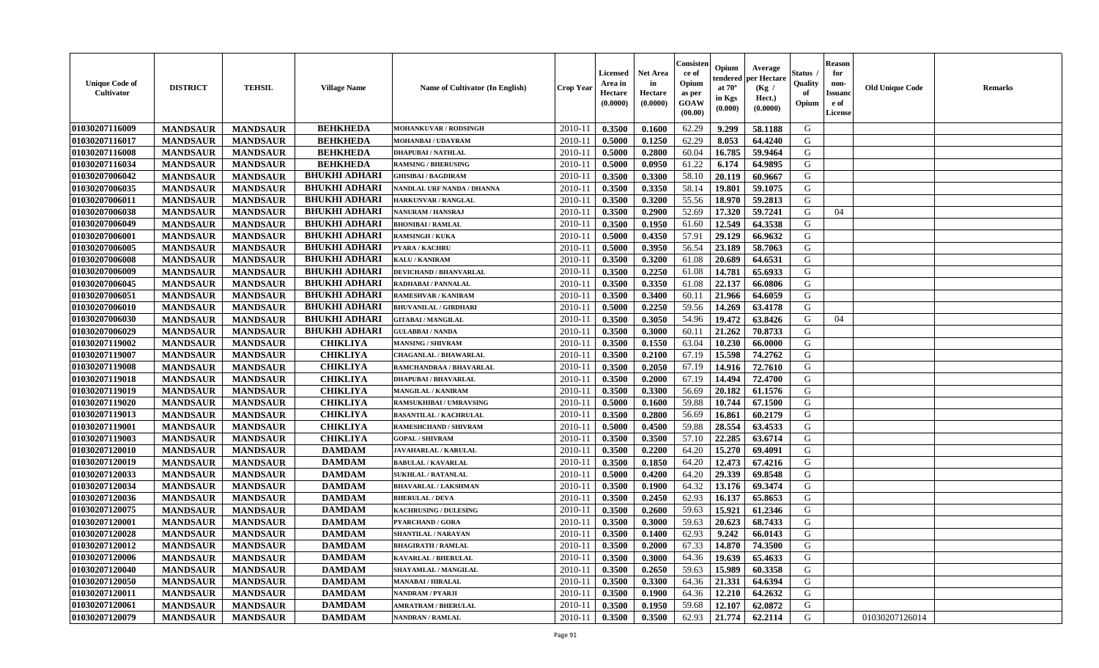| <b>Unique Code of</b><br><b>Cultivator</b> | <b>DISTRICT</b> | <b>TEHSIL</b>   | <b>Village Name</b>  | Name of Cultivator (In English) | <b>Crop Year</b> | <b>Licensed</b><br>Area in<br>Hectare<br>(0.0000) | <b>Net Area</b><br>in<br>Hectare<br>(0.0000) | Consisteı<br>ce of<br>Opium<br>as per<br>GOAW<br>(00.00) | Opium<br>endered<br>at $70^\circ$<br>in Kgs<br>(0.000) | Average<br>per Hectare<br>(Kg /<br>Hect.)<br>(0.0000) | Status<br>Quality<br>of<br>Opium | <b>Reason</b><br>for<br>non-<br><b>Issuand</b><br>e of<br>License | <b>Old Unique Code</b> | <b>Remarks</b> |
|--------------------------------------------|-----------------|-----------------|----------------------|---------------------------------|------------------|---------------------------------------------------|----------------------------------------------|----------------------------------------------------------|--------------------------------------------------------|-------------------------------------------------------|----------------------------------|-------------------------------------------------------------------|------------------------|----------------|
| 01030207116009                             | <b>MANDSAUR</b> | <b>MANDSAUR</b> | <b>BEHKHEDA</b>      | MOHANKUVAR / RODSINGH           | 2010-11          | 0.3500                                            | 0.1600                                       | 62.29                                                    | 9.299                                                  | 58.1188                                               | G                                |                                                                   |                        |                |
| 01030207116017                             | <b>MANDSAUR</b> | <b>MANDSAUR</b> | <b>BEHKHEDA</b>      | MOHANBAI / UDAYRAM              | 2010-11          | 0.5000                                            | 0.1250                                       | 62.29                                                    | 8.053                                                  | 64.4240                                               | G                                |                                                                   |                        |                |
| 01030207116008                             | <b>MANDSAUR</b> | <b>MANDSAUR</b> | <b>BEHKHEDA</b>      | <b>DHAPUBAI/NATHLAL</b>         | 2010-11          | 0.5000                                            | 0.2800                                       | 60.04                                                    | 16.785                                                 | 59.9464                                               | G                                |                                                                   |                        |                |
| 01030207116034                             | <b>MANDSAUR</b> | <b>MANDSAUR</b> | <b>BEHKHEDA</b>      | <b>RAMSING / BHERUSING</b>      | 2010-11          | 0.5000                                            | 0.0950                                       | 61.22                                                    | 6.174                                                  | 64.9895                                               | G                                |                                                                   |                        |                |
| 01030207006042                             | <b>MANDSAUR</b> | <b>MANDSAUR</b> | <b>BHUKHI ADHARI</b> | <b>GHISIBAI/BAGDIRAM</b>        | 2010-11          | 0.3500                                            | 0.3300                                       | 58.10                                                    | 20.119                                                 | 60.9667                                               | G                                |                                                                   |                        |                |
| 01030207006035                             | <b>MANDSAUR</b> | <b>MANDSAUR</b> | <b>BHUKHI ADHARI</b> | NANDLAL URF NANDA / DHANNA      | $2010-11$        | 0.3500                                            | 0.3350                                       | 58.14                                                    | 19.801                                                 | 59.1075                                               | G                                |                                                                   |                        |                |
| 01030207006011                             | <b>MANDSAUR</b> | <b>MANDSAUR</b> | <b>BHUKHI ADHARI</b> | <b>HARKUNVAR / RANGLAL</b>      | 2010-11          | 0.3500                                            | 0.3200                                       | 55.56                                                    | 18.970                                                 | 59.2813                                               | G                                |                                                                   |                        |                |
| 01030207006038                             | <b>MANDSAUR</b> | <b>MANDSAUR</b> | <b>BHUKHI ADHARI</b> | <b>NANURAM / HANSRAJ</b>        | 2010-11          | 0.3500                                            | 0.2900                                       | 52.69                                                    | 17.320                                                 | 59.7241                                               | G                                | 04                                                                |                        |                |
| 01030207006049                             | <b>MANDSAUR</b> | <b>MANDSAUR</b> | <b>BHUKHI ADHARI</b> | <b>BHONIBAI/RAMLAL</b>          | 2010-11          | 0.3500                                            | 0.1950                                       | 61.60                                                    | 12.549                                                 | 64.3538                                               | G                                |                                                                   |                        |                |
| 01030207006001                             | <b>MANDSAUR</b> | <b>MANDSAUR</b> | <b>BHUKHI ADHARI</b> | <b>RAMSINGH / KUKA</b>          | 2010-11          | 0.5000                                            | 0.4350                                       | 57.91                                                    | 29.129                                                 | 66.9632                                               | G                                |                                                                   |                        |                |
| 01030207006005                             | <b>MANDSAUR</b> | <b>MANDSAUR</b> | <b>BHUKHI ADHARI</b> | PYARA / KACHRU                  | 2010-11          | 0.5000                                            | 0.3950                                       | 56.54                                                    | 23.189                                                 | 58.7063                                               | $\mathbf G$                      |                                                                   |                        |                |
| 01030207006008                             | <b>MANDSAUR</b> | <b>MANDSAUR</b> | <b>BHUKHI ADHARI</b> | <b>KALU / KANIRAM</b>           | 2010-11          | 0.3500                                            | 0.3200                                       | 61.08                                                    | 20.689                                                 | 64.6531                                               | G                                |                                                                   |                        |                |
| 01030207006009                             | <b>MANDSAUR</b> | <b>MANDSAUR</b> | <b>BHUKHI ADHARI</b> | <b>DEVICHAND / BHANVARLAL</b>   | 2010-11          | 0.3500                                            | 0.2250                                       | 61.08                                                    | 14.781                                                 | 65.6933                                               | G                                |                                                                   |                        |                |
| 01030207006045                             | <b>MANDSAUR</b> | <b>MANDSAUR</b> | <b>BHUKHI ADHARI</b> | RADHABAI / PANNALAL             | $2010 - 11$      | 0.3500                                            | 0.3350                                       | 61.08                                                    | 22.137                                                 | 66.0806                                               | G                                |                                                                   |                        |                |
| 01030207006051                             | <b>MANDSAUR</b> | <b>MANDSAUR</b> | <b>BHUKHI ADHARI</b> | <b>RAMESHVAR / KANIRAM</b>      | 2010-11          | 0.3500                                            | 0.3400                                       | 60.11                                                    | 21.966                                                 | 64.6059                                               | G                                |                                                                   |                        |                |
| 01030207006010                             | <b>MANDSAUR</b> | <b>MANDSAUR</b> | <b>BHUKHI ADHARI</b> | <b>BHUVANILAL / GIRDHARI</b>    | 2010-11          | 0.5000                                            | 0.2250                                       | 59.56                                                    | 14.269                                                 | 63.4178                                               | G                                |                                                                   |                        |                |
| 01030207006030                             | <b>MANDSAUR</b> | <b>MANDSAUR</b> | <b>BHUKHI ADHARI</b> | <b>GITABAI/MANGILAL</b>         | 2010-11          | 0.3500                                            | 0.3050                                       | 54.96                                                    | 19.472                                                 | 63.8426                                               | G                                | 04                                                                |                        |                |
| 01030207006029                             | <b>MANDSAUR</b> | <b>MANDSAUR</b> | <b>BHUKHI ADHARI</b> | <b>GULABBAI/NANDA</b>           | 2010-11          | 0.3500                                            | 0.3000                                       | 60.11                                                    | 21.262                                                 | 70.8733                                               | G                                |                                                                   |                        |                |
| 01030207119002                             | <b>MANDSAUR</b> | <b>MANDSAUR</b> | <b>CHIKLIYA</b>      | <b>MANSING / SHIVRAM</b>        | 2010-11          | 0.3500                                            | 0.1550                                       | 63.04                                                    | 10.230                                                 | 66.0000                                               | G                                |                                                                   |                        |                |
| 01030207119007                             | <b>MANDSAUR</b> | <b>MANDSAUR</b> | <b>CHIKLIYA</b>      | <b>CHAGANLAL / BHAWARLAL</b>    | 2010-11          | 0.3500                                            | 0.2100                                       | 67.19                                                    | 15.598                                                 | 74.2762                                               | G                                |                                                                   |                        |                |
| 01030207119008                             | <b>MANDSAUR</b> | <b>MANDSAUR</b> | <b>CHIKLIYA</b>      | RAMCHANDRAA / BHAVARLAL         | 2010-11          | 0.3500                                            | 0.2050                                       | 67.19                                                    | 14.916                                                 | 72.7610                                               | G                                |                                                                   |                        |                |
| 01030207119018                             | <b>MANDSAUR</b> | <b>MANDSAUR</b> | <b>CHIKLIYA</b>      | <b>DHAPUBAI/BHAVARLAI</b>       | 2010-11          | 0.3500                                            | 0.2000                                       | 67.19                                                    | 14.494                                                 | 72.4700                                               | G                                |                                                                   |                        |                |
| 01030207119019                             | <b>MANDSAUR</b> | <b>MANDSAUR</b> | <b>CHIKLIYA</b>      | <b>MANGILAL / KANIRAM</b>       | $2010 - 11$      | 0.3500                                            | 0.3300                                       | 56.69                                                    | 20.182                                                 | 61.1576                                               | G                                |                                                                   |                        |                |
| 01030207119020                             | <b>MANDSAUR</b> | <b>MANDSAUR</b> | <b>CHIKLIYA</b>      | RAMSUKHIBAI / UMRAVSING         | 2010-11          | 0.5000                                            | 0.1600                                       | 59.88                                                    | 10.744                                                 | 67.1500                                               | G                                |                                                                   |                        |                |
| 01030207119013                             | <b>MANDSAUR</b> | <b>MANDSAUR</b> | <b>CHIKLIYA</b>      | <b>BASANTILAL / KACHRULAL</b>   | 2010-11          | 0.3500                                            | 0.2800                                       | 56.69                                                    | 16.861                                                 | 60.2179                                               | G                                |                                                                   |                        |                |
| 01030207119001                             | <b>MANDSAUR</b> | <b>MANDSAUR</b> | <b>CHIKLIYA</b>      | RAMESHCHAND / SHIVRAM           | 2010-11          | 0.5000                                            | 0.4500                                       | 59.88                                                    | 28.554                                                 | 63.4533                                               | G                                |                                                                   |                        |                |
| 01030207119003                             | <b>MANDSAUR</b> | <b>MANDSAUR</b> | <b>CHIKLIYA</b>      | <b>GOPAL / SHIVRAM</b>          | 2010-11          | 0.3500                                            | 0.3500                                       | 57.10                                                    | 22.285                                                 | 63.6714                                               | G                                |                                                                   |                        |                |
| 01030207120010                             | <b>MANDSAUR</b> | <b>MANDSAUR</b> | <b>DAMDAM</b>        | <b>JAVAHARLAL / KARULAL</b>     | 2010-11          | 0.3500                                            | 0.2200                                       | 64.20                                                    | 15.270                                                 | 69.4091                                               | G                                |                                                                   |                        |                |
| 01030207120019                             | <b>MANDSAUR</b> | <b>MANDSAUR</b> | <b>DAMDAM</b>        | <b>BABULAL / KAVARLAL</b>       | 2010-11          | 0.3500                                            | 0.1850                                       | 64.20                                                    | 12.473                                                 | 67.4216                                               | G                                |                                                                   |                        |                |
| 01030207120033                             | <b>MANDSAUR</b> | <b>MANDSAUR</b> | <b>DAMDAM</b>        | <b>SUKHLAL / RATANLAL</b>       | 2010-11          | 0.5000                                            | 0.4200                                       | 64.20                                                    | 29.339                                                 | 69.8548                                               | G                                |                                                                   |                        |                |
| 01030207120034                             | <b>MANDSAUR</b> | <b>MANDSAUR</b> | <b>DAMDAM</b>        | <b>BHAVARLAL / LAKSHMAN</b>     | $2010 - 1$       | 0.3500                                            | 0.1900                                       | 64.32                                                    | 13.176                                                 | 69.3474                                               | ${\bf G}$                        |                                                                   |                        |                |
| 01030207120036                             | <b>MANDSAUR</b> | <b>MANDSAUR</b> | $\mathbf{DAMDAM}$    | <b>BHERULAL / DEVA</b>          | 2010-11          | 0.3500                                            | 0.2450                                       | 62.93                                                    | 16.137                                                 | 65.8653                                               | G                                |                                                                   |                        |                |
| 01030207120075                             | <b>MANDSAUR</b> | <b>MANDSAUR</b> | <b>DAMDAM</b>        | <b>KACHRUSING / DULESING</b>    | 2010-11          | 0.3500                                            | 0.2600                                       | 59.63                                                    | 15.921                                                 | 61.2346                                               | G                                |                                                                   |                        |                |
| 01030207120001                             | <b>MANDSAUR</b> | <b>MANDSAUR</b> | <b>DAMDAM</b>        | <b>PYARCHAND / GORA</b>         | 2010-11          | 0.3500                                            | 0.3000                                       | 59.63                                                    | 20.623                                                 | 68.7433                                               | G                                |                                                                   |                        |                |
| 01030207120028                             | <b>MANDSAUR</b> | <b>MANDSAUR</b> | <b>DAMDAM</b>        | <b>SHANTILAL / NARAYAN</b>      | 2010-11          | 0.3500                                            | 0.1400                                       | 62.93                                                    | 9.242                                                  | 66.0143                                               | G                                |                                                                   |                        |                |
| 01030207120012                             | <b>MANDSAUR</b> | <b>MANDSAUR</b> | <b>DAMDAM</b>        | <b>BHAGIRATH / RAMLAL</b>       | 2010-11          | 0.3500                                            | 0.2000                                       | 67.33                                                    | 14.870                                                 | 74.3500                                               | G                                |                                                                   |                        |                |
| 01030207120006                             | <b>MANDSAUR</b> | <b>MANDSAUR</b> | <b>DAMDAM</b>        | <b>KAVARLAL / BHERULAL</b>      | 2010-11          | 0.3500                                            | 0.3000                                       | 64.36                                                    | 19.639                                                 | 65.4633                                               | G                                |                                                                   |                        |                |
| 01030207120040                             | <b>MANDSAUR</b> | <b>MANDSAUR</b> | <b>DAMDAM</b>        | SHAYAMLAL / MANGILAL            | 2010-11          | 0.3500                                            | 0.2650                                       | 59.63                                                    | 15.989                                                 | 60.3358                                               | G                                |                                                                   |                        |                |
| 01030207120050                             | <b>MANDSAUR</b> | <b>MANDSAUR</b> | <b>DAMDAM</b>        | <b>MANABAI/HIRALAL</b>          | 2010-11          | 0.3500                                            | 0.3300                                       | 64.36                                                    | 21.331                                                 | 64.6394                                               | ${\bf G}$                        |                                                                   |                        |                |
| 01030207120011                             | <b>MANDSAUR</b> | <b>MANDSAUR</b> | <b>DAMDAM</b>        | NANDRAM / PYARJI                | $2010 - 11$      | 0.3500                                            | 0.1900                                       | 64.36                                                    | 12.210                                                 | 64.2632                                               | G                                |                                                                   |                        |                |
| 01030207120061                             | <b>MANDSAUR</b> | <b>MANDSAUR</b> | <b>DAMDAM</b>        | <b>AMRATRAM / BHERULAL</b>      | 2010-11          | 0.3500                                            | 0.1950                                       | 59.68                                                    | 12.107                                                 | 62.0872                                               | G                                |                                                                   |                        |                |
| 01030207120079                             | <b>MANDSAUR</b> | <b>MANDSAUR</b> | <b>DAMDAM</b>        | <b>NANDRAN / RAMLAL</b>         | 2010-11          | 0.3500                                            | 0.3500                                       | 62.93                                                    | 21,774                                                 | 62.2114                                               | G                                |                                                                   | 01030207126014         |                |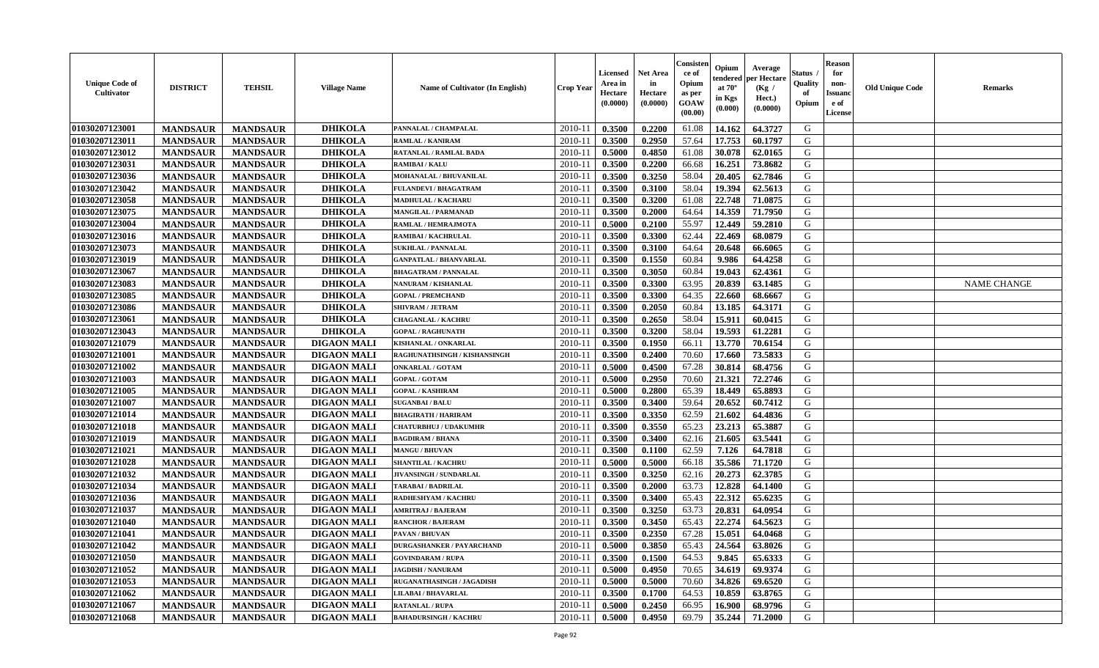| <b>Unique Code of</b><br><b>Cultivator</b> | <b>DISTRICT</b> | <b>TEHSIL</b>   | <b>Village Name</b> | <b>Name of Cultivator (In English)</b> | <b>Crop Year</b> | <b>Licensed</b><br>Area in<br>Hectare<br>(0.0000) | <b>Net Area</b><br>in<br>Hectare<br>(0.0000) | Consister<br>ce of<br>Opium<br>as per<br><b>GOAW</b><br>(00.00) | Opium<br>endered<br>at $70^\circ$<br>in Kgs<br>$(\mathbf{0.000})$ | Average<br>per Hectare<br>(Kg)<br>Hect.)<br>(0.0000) | Status<br>Quality<br>of<br>Opium | <b>Reason</b><br>for<br>non-<br><b>Issuano</b><br>e of<br>License | <b>Old Unique Code</b> | <b>Remarks</b>     |
|--------------------------------------------|-----------------|-----------------|---------------------|----------------------------------------|------------------|---------------------------------------------------|----------------------------------------------|-----------------------------------------------------------------|-------------------------------------------------------------------|------------------------------------------------------|----------------------------------|-------------------------------------------------------------------|------------------------|--------------------|
| 01030207123001                             | <b>MANDSAUR</b> | <b>MANDSAUR</b> | <b>DHIKOLA</b>      | PANNALAL / CHAMPALAL                   | 2010-11          | 0.3500                                            | 0.2200                                       | 61.08                                                           | 14.162                                                            | 64.3727                                              | G                                |                                                                   |                        |                    |
| 01030207123011                             | <b>MANDSAUR</b> | <b>MANDSAUR</b> | <b>DHIKOLA</b>      | RAMLAL / KANIRAM                       | $2010 - 11$      | 0.3500                                            | 0.2950                                       | 57.64                                                           | 17.753                                                            | 60.1797                                              | G                                |                                                                   |                        |                    |
| 01030207123012                             | <b>MANDSAUR</b> | <b>MANDSAUR</b> | <b>DHIKOLA</b>      | RATANLAL / RAMLAL BADA                 | $2010 - 1$       | 0.5000                                            | 0.4850                                       | 61.08                                                           | 30.078                                                            | 62.0165                                              | G                                |                                                                   |                        |                    |
| 01030207123031                             | <b>MANDSAUR</b> | <b>MANDSAUR</b> | <b>DHIKOLA</b>      | <b>RAMIBAI/KALU</b>                    | 2010-11          | 0.3500                                            | 0.2200                                       | 66.68                                                           | 16.251                                                            | 73.8682                                              | G                                |                                                                   |                        |                    |
| 01030207123036                             | <b>MANDSAUR</b> | <b>MANDSAUR</b> | <b>DHIKOLA</b>      | MOHANALAL / BHUVANILAL                 | 2010-11          | 0.3500                                            | 0.3250                                       | 58.04                                                           | 20.405                                                            | 62.7846                                              | G                                |                                                                   |                        |                    |
| 01030207123042                             | <b>MANDSAUR</b> | <b>MANDSAUR</b> | <b>DHIKOLA</b>      | <b>FULANDEVI / BHAGATRAM</b>           | $2010 - 11$      | 0.3500                                            | 0.3100                                       | 58.04                                                           | 19.394                                                            | 62.5613                                              | G                                |                                                                   |                        |                    |
| 01030207123058                             | <b>MANDSAUR</b> | <b>MANDSAUR</b> | <b>DHIKOLA</b>      | <b>MADHULAL / KACHARU</b>              | 2010-11          | 0.3500                                            | 0.3200                                       | 61.08                                                           | 22.748                                                            | 71.0875                                              | G                                |                                                                   |                        |                    |
| 01030207123075                             | <b>MANDSAUR</b> | <b>MANDSAUR</b> | <b>DHIKOLA</b>      | <b>MANGILAL / PARMANAD</b>             | 2010-11          | 0.3500                                            | 0.2000                                       | 64.64                                                           | 14.359                                                            | 71.7950                                              | G                                |                                                                   |                        |                    |
| 01030207123004                             | <b>MANDSAUR</b> | <b>MANDSAUR</b> | <b>DHIKOLA</b>      | RAMLAL / HEMRAJMOTA                    | 2010-11          | 0.5000                                            | 0.2100                                       | 55.97                                                           | 12.449                                                            | 59.2810                                              | G                                |                                                                   |                        |                    |
| 01030207123016                             | <b>MANDSAUR</b> | <b>MANDSAUR</b> | <b>DHIKOLA</b>      | RAMIBAI / KACHRULAL                    | $2010 - 11$      | 0.3500                                            | 0.3300                                       | 62.44                                                           | 22.469                                                            | 68.0879                                              | G                                |                                                                   |                        |                    |
| 01030207123073                             | <b>MANDSAUR</b> | <b>MANDSAUR</b> | <b>DHIKOLA</b>      | <b>SUKHLAL / PANNALAL</b>              | 2010-11          | 0.3500                                            | 0.3100                                       | 64.64                                                           | 20.648                                                            | 66.6065                                              | G                                |                                                                   |                        |                    |
| 01030207123019                             | <b>MANDSAUR</b> | <b>MANDSAUR</b> | <b>DHIKOLA</b>      | <b>GANPATLAL / BHANVARLAL</b>          | 2010-11          | 0.3500                                            | 0.1550                                       | 60.84                                                           | 9.986                                                             | 64.4258                                              | G                                |                                                                   |                        |                    |
| 01030207123067                             | <b>MANDSAUR</b> | <b>MANDSAUR</b> | <b>DHIKOLA</b>      | <b>BHAGATRAM / PANNALAL</b>            | 2010-11          | 0.3500                                            | 0.3050                                       | 60.84                                                           | 19.043                                                            | 62.4361                                              | G                                |                                                                   |                        |                    |
| 01030207123083                             | <b>MANDSAUR</b> | <b>MANDSAUR</b> | <b>DHIKOLA</b>      | NANURAM / KISHANLAL                    | $2010 - 11$      | 0.3500                                            | 0.3300                                       | 63.95                                                           | 20.839                                                            | 63.1485                                              | G                                |                                                                   |                        | <b>NAME CHANGE</b> |
| 01030207123085                             | <b>MANDSAUR</b> | <b>MANDSAUR</b> | <b>DHIKOLA</b>      | <b>GOPAL / PREMCHAND</b>               | $2010 - 11$      | 0.3500                                            | 0.3300                                       | 64.35                                                           | 22.660                                                            | 68.6667                                              | G                                |                                                                   |                        |                    |
| 01030207123086                             | <b>MANDSAUR</b> | <b>MANDSAUR</b> | <b>DHIKOLA</b>      | <b>SHIVRAM / JETRAM</b>                | 2010-11          | 0.3500                                            | 0.2050                                       | 60.84                                                           | 13.185                                                            | 64.3171                                              | G                                |                                                                   |                        |                    |
| 01030207123061                             | <b>MANDSAUR</b> | <b>MANDSAUR</b> | <b>DHIKOLA</b>      | <b>CHAGANLAL / KACHRU</b>              | 2010-11          | 0.3500                                            | 0.2650                                       | 58.04                                                           | 15.911                                                            | 60.0415                                              | G                                |                                                                   |                        |                    |
| 01030207123043                             | <b>MANDSAUR</b> | <b>MANDSAUR</b> | <b>DHIKOLA</b>      | <b>GOPAL / RAGHUNATH</b>               | 2010-11          | 0.3500                                            | 0.3200                                       | 58.04                                                           | 19.593                                                            | 61.2281                                              | G                                |                                                                   |                        |                    |
| 01030207121079                             | <b>MANDSAUR</b> | <b>MANDSAUR</b> | <b>DIGAON MALI</b>  | KISHANLAL / ONKARLAL                   | 2010-11          | 0.3500                                            | 0.1950                                       | 66.11                                                           | 13.770                                                            | 70.6154                                              | G                                |                                                                   |                        |                    |
| 01030207121001                             | <b>MANDSAUR</b> | <b>MANDSAUR</b> | <b>DIGAON MALI</b>  | RAGHUNATHSINGH / KISHANSINGH           | 2010-11          | 0.3500                                            | 0.2400                                       | 70.60                                                           | 17.660                                                            | 73.5833                                              | G                                |                                                                   |                        |                    |
| 01030207121002                             | <b>MANDSAUR</b> | <b>MANDSAUR</b> | <b>DIGAON MALI</b>  | <b>ONKARLAL / GOTAM</b>                | $2010 - 11$      | 0.5000                                            | 0.4500                                       | 67.28                                                           | 30.814                                                            | 68.4756                                              | G                                |                                                                   |                        |                    |
| 01030207121003                             | <b>MANDSAUR</b> | <b>MANDSAUR</b> | <b>DIGAON MALI</b>  | <b>GOPAL / GOTAM</b>                   | 2010-11          | 0.5000                                            | 0.2950                                       | 70.60                                                           | 21.321                                                            | 72.2746                                              | G                                |                                                                   |                        |                    |
| 01030207121005                             | <b>MANDSAUR</b> | <b>MANDSAUR</b> | <b>DIGAON MALI</b>  | <b>GOPAL / KASHIRAM</b>                | 2010-11          | 0.5000                                            | 0.2800                                       | 65.39                                                           | 18.449                                                            | 65.8893                                              | G                                |                                                                   |                        |                    |
| 01030207121007                             | <b>MANDSAUR</b> | <b>MANDSAUR</b> | <b>DIGAON MALI</b>  | <b>SUGANBAI/BALU</b>                   | $2010 - 11$      | 0.3500                                            | 0.3400                                       | 59.64                                                           | 20.652                                                            | 60.7412                                              | G                                |                                                                   |                        |                    |
| 01030207121014                             | <b>MANDSAUR</b> | <b>MANDSAUR</b> | <b>DIGAON MALI</b>  | <b>BHAGIRATH / HARIRAM</b>             | $2010 - 11$      | 0.3500                                            | 0.3350                                       | 62.59                                                           | 21.602                                                            | 64.4836                                              | G                                |                                                                   |                        |                    |
| 01030207121018                             | <b>MANDSAUR</b> | <b>MANDSAUR</b> | <b>DIGAON MALI</b>  | <b>CHATURBHUJ / UDAKUMHR</b>           | 2010-11          | 0.3500                                            | 0.3550                                       | 65.23                                                           | 23.213                                                            | 65.3887                                              | G                                |                                                                   |                        |                    |
| 01030207121019                             | <b>MANDSAUR</b> | <b>MANDSAUR</b> | <b>DIGAON MALI</b>  | <b>BAGDIRAM / BHANA</b>                | 2010-11          | 0.3500                                            | 0.3400                                       | 62.16                                                           | 21.605                                                            | 63.5441                                              | G                                |                                                                   |                        |                    |
| 01030207121021                             | <b>MANDSAUR</b> | <b>MANDSAUR</b> | <b>DIGAON MALI</b>  | <b>MANGU / BHUVAN</b>                  | 2010-11          | 0.3500                                            | 0.1100                                       | 62.59                                                           | 7.126                                                             | 64.7818                                              | G                                |                                                                   |                        |                    |
| 01030207121028                             | <b>MANDSAUR</b> | <b>MANDSAUR</b> | <b>DIGAON MALI</b>  | <b>SHANTILAL / KACHRU</b>              | 2010-11          | 0.5000                                            | 0.5000                                       | 66.18                                                           | 35.586                                                            | 71.1720                                              | G                                |                                                                   |                        |                    |
| 01030207121032                             | <b>MANDSAUR</b> | <b>MANDSAUR</b> | <b>DIGAON MALI</b>  | JIVANSINGH / SUNDARLAL                 | $2010 - 11$      | 0.3500                                            | 0.3250                                       | 62.16                                                           | 20.273                                                            | 62.3785                                              | G                                |                                                                   |                        |                    |
| 01030207121034                             | <b>MANDSAUR</b> | <b>MANDSAUR</b> | <b>DIGAON MALI</b>  | TARABAI / BADRILAL                     | 2010-11          | 0.3500                                            | 0.2000                                       | 63.73                                                           | 12.828                                                            | 64.1400                                              | G                                |                                                                   |                        |                    |
| 01030207121036                             | <b>MANDSAUR</b> | <b>MANDSAUR</b> | <b>DIGAON MALI</b>  | RADHESHYAM / KACHRU                    | 2010-11          | 0.3500                                            | 0.3400                                       | 65.43                                                           | 22.312                                                            | 65.6235                                              | G                                |                                                                   |                        |                    |
| 01030207121037                             | <b>MANDSAUR</b> | <b>MANDSAUR</b> | <b>DIGAON MALI</b>  | AMRITRAJ / BAJERAM                     | $2010 - 11$      | 0.3500                                            | 0.3250                                       | 63.73                                                           | 20.831                                                            | 64.0954                                              | G                                |                                                                   |                        |                    |
| 01030207121040                             | <b>MANDSAUR</b> | <b>MANDSAUR</b> | <b>DIGAON MALI</b>  | <b>RANCHOR / BAJERAM</b>               | 2010-11          | 0.3500                                            | 0.3450                                       | 65.43                                                           | 22,274                                                            | 64.5623                                              | G                                |                                                                   |                        |                    |
| 01030207121041                             | <b>MANDSAUR</b> | <b>MANDSAUR</b> | <b>DIGAON MALI</b>  | PAVAN / BHUVAN                         | 2010-11          | 0.3500                                            | 0.2350                                       | 67.28                                                           | 15.051                                                            | 64.0468                                              | G                                |                                                                   |                        |                    |
| 01030207121042                             | <b>MANDSAUR</b> | <b>MANDSAUR</b> | <b>DIGAON MALI</b>  | <b>DURGASHANKER / PAYARCHAND</b>       | $2010-11$ 0.5000 |                                                   | 0.3850                                       | 65.43                                                           | 24.564                                                            | 63.8026                                              | G                                |                                                                   |                        |                    |
| 01030207121050                             | <b>MANDSAUR</b> | <b>MANDSAUR</b> | <b>DIGAON MALI</b>  | <b>GOVINDARAM / RUPA</b>               | 2010-11          | 0.3500                                            | 0.1500                                       | 64.53                                                           | 9.845                                                             | 65.6333                                              | G                                |                                                                   |                        |                    |
| 01030207121052                             | <b>MANDSAUR</b> | <b>MANDSAUR</b> | <b>DIGAON MALI</b>  | <b>JAGDISH / NANURAM</b>               | 2010-11          | 0.5000                                            | 0.4950                                       | 70.65                                                           | 34.619                                                            | 69.9374                                              | G                                |                                                                   |                        |                    |
| 01030207121053                             | <b>MANDSAUR</b> | <b>MANDSAUR</b> | <b>DIGAON MALI</b>  | RUGANATHASINGH / JAGADISH              | 2010-11          | 0.5000                                            | 0.5000                                       | 70.60                                                           | 34.826                                                            | 69.6520                                              | G                                |                                                                   |                        |                    |
| 01030207121062                             | <b>MANDSAUR</b> | <b>MANDSAUR</b> | <b>DIGAON MALI</b>  | <b>LILABAI/BHAVARLAL</b>               | 2010-11          | 0.3500                                            | 0.1700                                       | 64.53                                                           | 10.859                                                            | 63.8765                                              | G                                |                                                                   |                        |                    |
| 01030207121067                             | <b>MANDSAUR</b> | <b>MANDSAUR</b> | <b>DIGAON MALI</b>  | <b>RATANLAL / RUPA</b>                 | 2010-11          | 0.5000                                            | 0.2450                                       | 66.95                                                           | 16.900                                                            | 68.9796                                              | G                                |                                                                   |                        |                    |
| 01030207121068                             | <b>MANDSAUR</b> | <b>MANDSAUR</b> | <b>DIGAON MALI</b>  | <b>BAHADURSINGH / KACHRU</b>           | $2010-11$        | 0.5000                                            | 0.4950                                       | 69.79                                                           | 35.244                                                            | 71.2000                                              | G                                |                                                                   |                        |                    |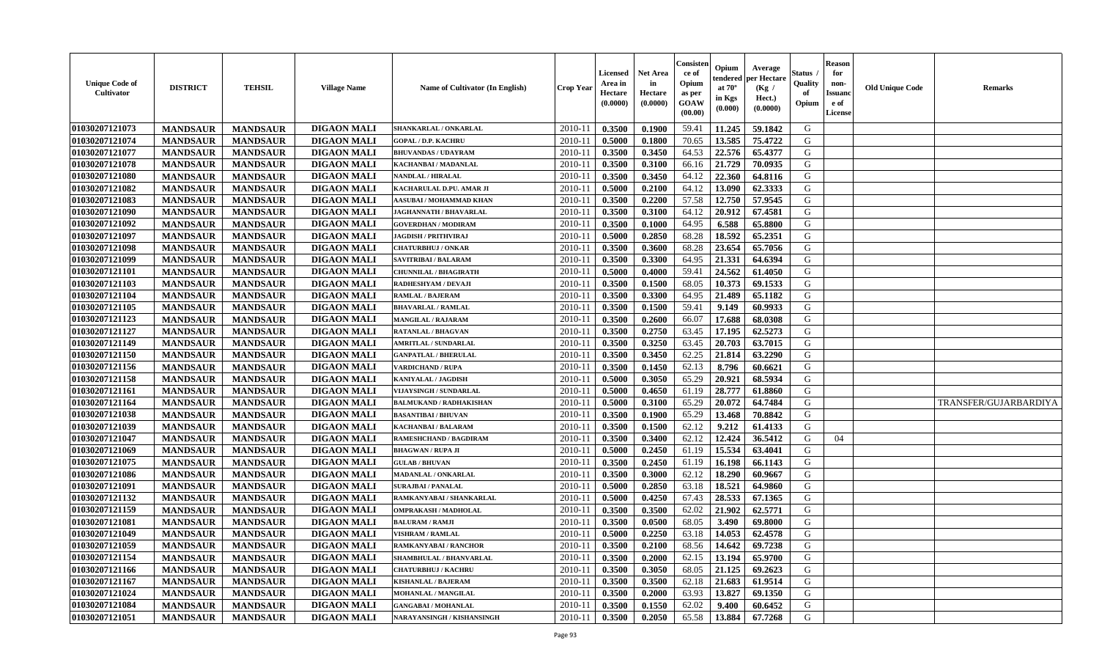| <b>Unique Code of</b><br><b>Cultivator</b> | <b>DISTRICT</b> | <b>TEHSIL</b>   | <b>Village Name</b> | Name of Cultivator (In English) | <b>Crop Year</b> | <b>Licensed</b><br>Area in<br>Hectare<br>(0.0000) | <b>Net Area</b><br>in<br>Hectare<br>(0.0000) | Consister<br>ce of<br>Opium<br>as per<br><b>GOAW</b><br>(00.00) | Opium<br>endered<br>at $70^\circ$<br>in Kgs<br>$(\mathbf{0.000})$ | Average<br>per Hectare<br>(Kg)<br>Hect.)<br>(0.0000) | Status<br>Quality<br>of<br>Opium | <b>Reason</b><br>for<br>non-<br><b>Issuano</b><br>e of<br>License | <b>Old Unique Code</b> | <b>Remarks</b>        |
|--------------------------------------------|-----------------|-----------------|---------------------|---------------------------------|------------------|---------------------------------------------------|----------------------------------------------|-----------------------------------------------------------------|-------------------------------------------------------------------|------------------------------------------------------|----------------------------------|-------------------------------------------------------------------|------------------------|-----------------------|
| 01030207121073                             | <b>MANDSAUR</b> | <b>MANDSAUR</b> | <b>DIGAON MALI</b>  | SHANKARLAL / ONKARLAL           | 2010-11          | 0.3500                                            | 0.1900                                       | 59.41                                                           | 11.245                                                            | 59.1842                                              | G                                |                                                                   |                        |                       |
| 01030207121074                             | <b>MANDSAUR</b> | <b>MANDSAUR</b> | <b>DIGAON MALI</b>  | <b>GOPAL / D.P. KACHRU</b>      | $2010 - 11$      | 0.5000                                            | 0.1800                                       | 70.65                                                           | 13.585                                                            | 75.4722                                              | G                                |                                                                   |                        |                       |
| 01030207121077                             | <b>MANDSAUR</b> | <b>MANDSAUR</b> | <b>DIGAON MALI</b>  | <b>BHUVANDAS / UDAYRAM</b>      | $2010 - 1$       | 0.3500                                            | 0.3450                                       | 64.53                                                           | 22.576                                                            | 65.4377                                              | G                                |                                                                   |                        |                       |
| 01030207121078                             | <b>MANDSAUR</b> | <b>MANDSAUR</b> | <b>DIGAON MALI</b>  | KACHANBAI / MADANLAL            | 2010-11          | 0.3500                                            | 0.3100                                       | 66.16                                                           | 21.729                                                            | 70.0935                                              | G                                |                                                                   |                        |                       |
| 01030207121080                             | <b>MANDSAUR</b> | <b>MANDSAUR</b> | <b>DIGAON MALI</b>  | NANDLAL / HIRALAL               | 2010-11          | 0.3500                                            | 0.3450                                       | 64.12                                                           | 22.360                                                            | 64.8116                                              | G                                |                                                                   |                        |                       |
| 01030207121082                             | <b>MANDSAUR</b> | <b>MANDSAUR</b> | <b>DIGAON MALI</b>  | KACHARULAL D.PU. AMAR JI        | $2010 - 11$      | 0.5000                                            | 0.2100                                       | 64.12                                                           | 13.090                                                            | 62.3333                                              | G                                |                                                                   |                        |                       |
| 01030207121083                             | <b>MANDSAUR</b> | <b>MANDSAUR</b> | <b>DIGAON MALI</b>  | <b>AASUBAI / MOHAMMAD KHAN</b>  | 2010-11          | 0.3500                                            | 0.2200                                       | 57.58                                                           | 12.750                                                            | 57.9545                                              | G                                |                                                                   |                        |                       |
| 01030207121090                             | <b>MANDSAUR</b> | <b>MANDSAUR</b> | <b>DIGAON MALI</b>  | JAGHANNATH / BHAVARLAL          | 2010-11          | 0.3500                                            | 0.3100                                       | 64.12                                                           | 20.912                                                            | 67.4581                                              | G                                |                                                                   |                        |                       |
| 01030207121092                             | <b>MANDSAUR</b> | <b>MANDSAUR</b> | <b>DIGAON MALI</b>  | <b>GOVERDHAN / MODIRAM</b>      | 2010-11          | 0.3500                                            | 0.1000                                       | 64.95                                                           | 6.588                                                             | 65.8800                                              | G                                |                                                                   |                        |                       |
| 01030207121097                             | <b>MANDSAUR</b> | <b>MANDSAUR</b> | <b>DIGAON MALI</b>  | <b>JAGDISH / PRITHVIRAJ</b>     | $2010 - 11$      | 0.5000                                            | 0.2850                                       | 68.28                                                           | 18.592                                                            | 65.2351                                              | G                                |                                                                   |                        |                       |
| 01030207121098                             | <b>MANDSAUR</b> | <b>MANDSAUR</b> | <b>DIGAON MALI</b>  | <b>CHATURBHUJ / ONKAR</b>       | 2010-11          | 0.3500                                            | 0.3600                                       | 68.28                                                           | 23.654                                                            | 65.7056                                              | G                                |                                                                   |                        |                       |
| 01030207121099                             | <b>MANDSAUR</b> | <b>MANDSAUR</b> | <b>DIGAON MALI</b>  | SAVITRIBAI / BALARAM            | 2010-11          | 0.3500                                            | 0.3300                                       | 64.95                                                           | 21.331                                                            | 64.6394                                              | G                                |                                                                   |                        |                       |
| 01030207121101                             | <b>MANDSAUR</b> | <b>MANDSAUR</b> | <b>DIGAON MALI</b>  | <b>CHUNNILAL / BHAGIRATH</b>    | 2010-11          | 0.5000                                            | 0.4000                                       | 59.41                                                           | 24.562                                                            | 61.4050                                              | G                                |                                                                   |                        |                       |
| 01030207121103                             | <b>MANDSAUR</b> | <b>MANDSAUR</b> | <b>DIGAON MALI</b>  | RADHESHYAM / DEVAJI             | $2010 - 11$      | 0.3500                                            | 0.1500                                       | 68.05                                                           | 10.373                                                            | 69.1533                                              | G                                |                                                                   |                        |                       |
| 01030207121104                             | <b>MANDSAUR</b> | <b>MANDSAUR</b> | <b>DIGAON MALI</b>  | <b>RAMLAL / BAJERAM</b>         | $2010 - 11$      | 0.3500                                            | 0.3300                                       | 64.95                                                           | 21.489                                                            | 65.1182                                              | G                                |                                                                   |                        |                       |
| 01030207121105                             | <b>MANDSAUR</b> | <b>MANDSAUR</b> | <b>DIGAON MALI</b>  | <b>BHAVARLAL / RAMLAL</b>       | 2010-11          | 0.3500                                            | 0.1500                                       | 59.41                                                           | 9.149                                                             | 60.9933                                              | G                                |                                                                   |                        |                       |
| 01030207121123                             | <b>MANDSAUR</b> | <b>MANDSAUR</b> | <b>DIGAON MALI</b>  | <b>MANGILAL / RAJARAM</b>       | 2010-11          | 0.3500                                            | 0.2600                                       | 66.07                                                           | 17.688                                                            | 68.0308                                              | G                                |                                                                   |                        |                       |
| 01030207121127                             | <b>MANDSAUR</b> | <b>MANDSAUR</b> | <b>DIGAON MALI</b>  | <b>RATANLAL / BHAGVAN</b>       | 2010-11          | 0.3500                                            | 0.2750                                       | 63.45                                                           | 17.195                                                            | 62.5273                                              | G                                |                                                                   |                        |                       |
| 01030207121149                             | <b>MANDSAUR</b> | <b>MANDSAUR</b> | <b>DIGAON MALI</b>  | <b>AMRITLAL / SUNDARLAL</b>     | 2010-11          | 0.3500                                            | 0.3250                                       | 63.45                                                           | 20.703                                                            | 63.7015                                              | G                                |                                                                   |                        |                       |
| 01030207121150                             | <b>MANDSAUR</b> | <b>MANDSAUR</b> | <b>DIGAON MALI</b>  | <b>GANPATLAL / BHERULAL</b>     | 2010-11          | 0.3500                                            | 0.3450                                       | 62.25                                                           | 21.814                                                            | 63.2290                                              | G                                |                                                                   |                        |                       |
| 01030207121156                             | <b>MANDSAUR</b> | <b>MANDSAUR</b> | <b>DIGAON MALI</b>  | <b>VARDICHAND / RUPA</b>        | 2010-11          | 0.3500                                            | 0.1450                                       | 62.13                                                           | 8.796                                                             | 60.6621                                              | G                                |                                                                   |                        |                       |
| 01030207121158                             | <b>MANDSAUR</b> | <b>MANDSAUR</b> | <b>DIGAON MALI</b>  | KANIYALAL / JAGDISH             | 2010-11          | 0.5000                                            | 0.3050                                       | 65.29                                                           | 20.921                                                            | 68.5934                                              | G                                |                                                                   |                        |                       |
| 01030207121161                             | <b>MANDSAUR</b> | <b>MANDSAUR</b> | <b>DIGAON MALI</b>  | VIJAYSINGH / SUNDARLAL          | 2010-11          | 0.5000                                            | 0.4650                                       | 61.19                                                           | 28.777                                                            | 61.8860                                              | G                                |                                                                   |                        |                       |
| 01030207121164                             | <b>MANDSAUR</b> | <b>MANDSAUR</b> | <b>DIGAON MALI</b>  | <b>BALMUKAND / RADHAKISHAN</b>  | $2010 - 11$      | 0.5000                                            | 0.3100                                       | 65.29                                                           | 20.072                                                            | 64.7484                                              | G                                |                                                                   |                        | TRANSFER/GUJARBARDIYA |
| 01030207121038                             | <b>MANDSAUR</b> | <b>MANDSAUR</b> | <b>DIGAON MALI</b>  | <b>BASANTIBAI / BHUVAN</b>      | $2010 - 11$      | 0.3500                                            | 0.1900                                       | 65.29                                                           | 13.468                                                            | 70.8842                                              | G                                |                                                                   |                        |                       |
| 01030207121039                             | <b>MANDSAUR</b> | <b>MANDSAUR</b> | <b>DIGAON MALI</b>  | KACHANBAI / BALARAM             | 2010-11          | 0.3500                                            | 0.1500                                       | 62.12                                                           | 9.212                                                             | 61.4133                                              | G                                |                                                                   |                        |                       |
| 01030207121047                             | <b>MANDSAUR</b> | <b>MANDSAUR</b> | <b>DIGAON MALI</b>  | RAMESHCHAND / BAGDIRAM          | 2010-11          | 0.3500                                            | 0.3400                                       | 62.12                                                           | 12.424                                                            | 36.5412                                              | G                                | 04                                                                |                        |                       |
| 01030207121069                             | <b>MANDSAUR</b> | <b>MANDSAUR</b> | <b>DIGAON MALI</b>  | <b>BHAGWAN / RUPA JI</b>        | 2010-11          | 0.5000                                            | 0.2450                                       | 61.19                                                           | 15.534                                                            | 63.4041                                              | G                                |                                                                   |                        |                       |
| 01030207121075                             | <b>MANDSAUR</b> | <b>MANDSAUR</b> | <b>DIGAON MALI</b>  | <b>GULAB / BHUVAN</b>           | 2010-11          | 0.3500                                            | 0.2450                                       | 61.19                                                           | 16.198                                                            | 66.1143                                              | G                                |                                                                   |                        |                       |
| 01030207121086                             | <b>MANDSAUR</b> | <b>MANDSAUR</b> | <b>DIGAON MALI</b>  | <b>MADANLAL / ONKARLAL</b>      | $2010 - 11$      | 0.3500                                            | 0.3000                                       | 62.12                                                           | 18.290                                                            | 60.9667                                              | G                                |                                                                   |                        |                       |
| 01030207121091                             | <b>MANDSAUR</b> | <b>MANDSAUR</b> | <b>DIGAON MALI</b>  | <b>SURAJBAI / PANALAL</b>       | 2010-11          | 0.5000                                            | 0.2850                                       | 63.18                                                           | 18.521                                                            | 64.9860                                              | G                                |                                                                   |                        |                       |
| 01030207121132                             | <b>MANDSAUR</b> | <b>MANDSAUR</b> | <b>DIGAON MALI</b>  | RAMKANYABAI / SHANKARLAL        | 2010-11          | 0.5000                                            | 0.4250                                       | 67.43                                                           | 28.533                                                            | 67.1365                                              | G                                |                                                                   |                        |                       |
| 01030207121159                             | <b>MANDSAUR</b> | <b>MANDSAUR</b> | <b>DIGAON MALI</b>  | OMPRAKASH / MADHOLAL            | $2010 - 11$      | 0.3500                                            | 0.3500                                       | 62.02                                                           | 21.902                                                            | 62.5771                                              | G                                |                                                                   |                        |                       |
| 01030207121081                             | <b>MANDSAUR</b> | <b>MANDSAUR</b> | <b>DIGAON MALI</b>  | <b>BALURAM / RAMJI</b>          | 2010-11          | 0.3500                                            | 0.0500                                       | 68.05                                                           | 3.490                                                             | 69.8000                                              | G                                |                                                                   |                        |                       |
| 01030207121049                             | <b>MANDSAUR</b> | <b>MANDSAUR</b> | <b>DIGAON MALI</b>  | VISHRAM / RAMLAL                | 2010-11          | 0.5000                                            | 0.2250                                       | 63.18                                                           | 14.053                                                            | 62.4578                                              | G                                |                                                                   |                        |                       |
| 01030207121059                             | <b>MANDSAUR</b> | <b>MANDSAUR</b> | <b>DIGAON MALI</b>  | RAMKANYABAI / RANCHOR           | $2010-11$ 0.3500 |                                                   | 0.2100                                       |                                                                 | 68.56 14.642                                                      | 69.7238                                              | G                                |                                                                   |                        |                       |
| 01030207121154                             | <b>MANDSAUR</b> | <b>MANDSAUR</b> | <b>DIGAON MALI</b>  | SHAMBHULAL / BHANVARLAL         | 2010-11          | 0.3500                                            | 0.2000                                       | 62.15                                                           | 13.194                                                            | 65.9700                                              | G                                |                                                                   |                        |                       |
| 01030207121166                             | <b>MANDSAUR</b> | <b>MANDSAUR</b> | <b>DIGAON MALI</b>  | <b>CHATURBHUJ / KACHRU</b>      | 2010-11          | 0.3500                                            | 0.3050                                       | 68.05                                                           | 21.125                                                            | 69.2623                                              | G                                |                                                                   |                        |                       |
| 01030207121167                             | <b>MANDSAUR</b> | <b>MANDSAUR</b> | <b>DIGAON MALI</b>  | <b>KISHANLAL / BAJERAM</b>      | 2010-11          | 0.3500                                            | 0.3500                                       | 62.18                                                           | 21.683                                                            | 61.9514                                              | G                                |                                                                   |                        |                       |
| 01030207121024                             | <b>MANDSAUR</b> | <b>MANDSAUR</b> | <b>DIGAON MALI</b>  | MOHANLAL / MANGILAL             | 2010-11          | 0.3500                                            | 0.2000                                       | 63.93                                                           | 13.827                                                            | 69.1350                                              | G                                |                                                                   |                        |                       |
| 01030207121084                             | <b>MANDSAUR</b> | <b>MANDSAUR</b> | <b>DIGAON MALI</b>  | <b>GANGABAI / MOHANLAL</b>      | 2010-11          | 0.3500                                            | 0.1550                                       | 62.02                                                           | 9.400                                                             | 60.6452                                              | G                                |                                                                   |                        |                       |
| 01030207121051                             | <b>MANDSAUR</b> | <b>MANDSAUR</b> | <b>DIGAON MALI</b>  | NARAYANSINGH / KISHANSINGH      | $2010-11$        | 0.3500                                            | 0.2050                                       | 65.58                                                           | 13.884                                                            | 67.7268                                              | G                                |                                                                   |                        |                       |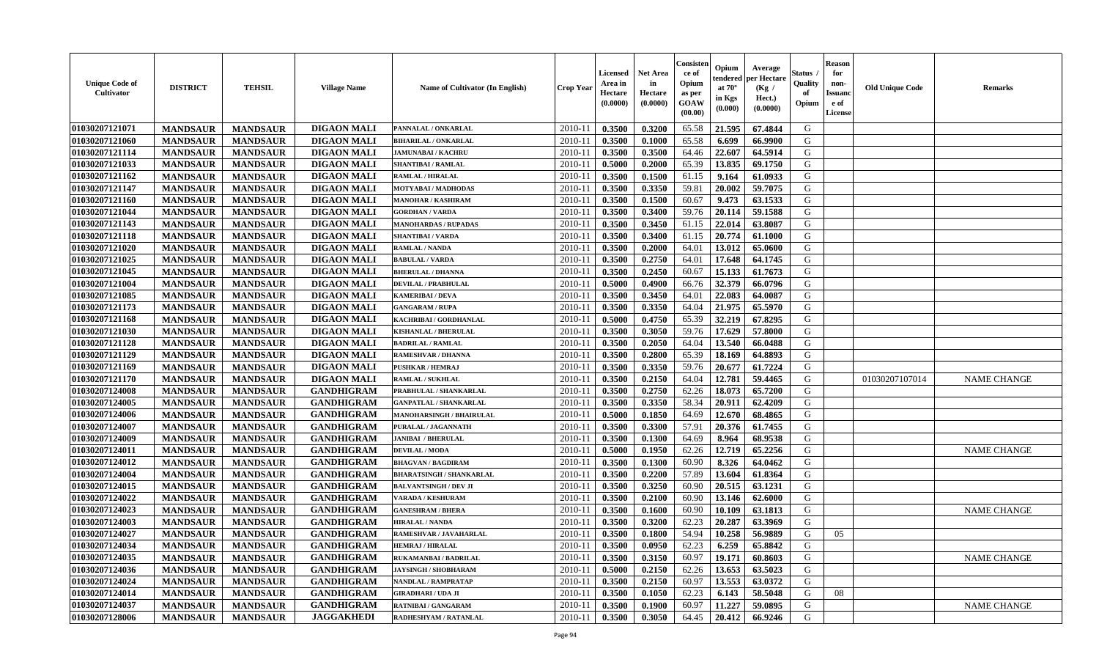| <b>Unique Code of</b><br>Cultivator | <b>DISTRICT</b> | <b>TEHSIL</b>   | <b>Village Name</b> | <b>Name of Cultivator (In English)</b> | Crop Year   | <b>Licensed</b><br>Area in<br>Hectare<br>(0.0000) | Net Area<br>in<br>Hectare<br>(0.0000) | Consisteı<br>ce of<br>Opium<br>as per<br><b>GOAW</b><br>(00.00) | Opium<br>endered<br>at $70^\circ$<br>in Kgs<br>(0.000) | Average<br><b>per Hectare</b><br>(Kg /<br>Hect.)<br>(0.0000) | Status<br>Quality<br>of<br>Opium | <b>Reason</b><br>for<br>non-<br>Issuand<br>e of<br>License | <b>Old Unique Code</b> | <b>Remarks</b>     |
|-------------------------------------|-----------------|-----------------|---------------------|----------------------------------------|-------------|---------------------------------------------------|---------------------------------------|-----------------------------------------------------------------|--------------------------------------------------------|--------------------------------------------------------------|----------------------------------|------------------------------------------------------------|------------------------|--------------------|
| 01030207121071                      | <b>MANDSAUR</b> | <b>MANDSAUR</b> | <b>DIGAON MALI</b>  | PANNALAL / ONKARLAL                    | 2010-11     | 0.3500                                            | 0.3200                                | 65.58                                                           | 21.595                                                 | 67.4844                                                      | G                                |                                                            |                        |                    |
| 01030207121060                      | <b>MANDSAUR</b> | <b>MANDSAUR</b> | <b>DIGAON MALI</b>  | <b>BIHARILAL / ONKARLAL</b>            | 2010-11     | 0.3500                                            | 0.1000                                | 65.58                                                           | 6.699                                                  | 66.9900                                                      | G                                |                                                            |                        |                    |
| 01030207121114                      | <b>MANDSAUR</b> | <b>MANDSAUR</b> | <b>DIGAON MALI</b>  | <b>JAMUNABAI / KACHRU</b>              | 2010-11     | 0.3500                                            | 0.3500                                | 64.46                                                           | 22.607                                                 | 64.5914                                                      | G                                |                                                            |                        |                    |
| 01030207121033                      | <b>MANDSAUR</b> | <b>MANDSAUR</b> | <b>DIGAON MALI</b>  | <b>SHANTIBAI / RAMLAL</b>              | 2010-11     | 0.5000                                            | 0.2000                                | 65.39                                                           | 13.835                                                 | 69.1750                                                      | G                                |                                                            |                        |                    |
| 01030207121162                      | <b>MANDSAUR</b> | <b>MANDSAUR</b> | <b>DIGAON MALI</b>  | <b>RAMLAL / HIRALAL</b>                | 2010-11     | 0.3500                                            | 0.1500                                | 61.15                                                           | 9.164                                                  | 61.0933                                                      | G                                |                                                            |                        |                    |
| 01030207121147                      | <b>MANDSAUR</b> | <b>MANDSAUR</b> | <b>DIGAON MALI</b>  | MOTYABAI / MADHODAS                    | $2010 - 1$  | 0.3500                                            | 0.3350                                | 59.81                                                           | 20.002                                                 | 59.7075                                                      | G                                |                                                            |                        |                    |
| 01030207121160                      | <b>MANDSAUR</b> | <b>MANDSAUR</b> | <b>DIGAON MALI</b>  | <b>MANOHAR / KASHIRAM</b>              | 2010-11     | 0.3500                                            | 0.1500                                | 60.67                                                           | 9.473                                                  | 63.1533                                                      | G                                |                                                            |                        |                    |
| 01030207121044                      | <b>MANDSAUR</b> | <b>MANDSAUR</b> | <b>DIGAON MALI</b>  | <b>GORDHAN / VARDA</b>                 | 2010-11     | 0.3500                                            | 0.3400                                | 59.76                                                           | 20.114                                                 | 59.1588                                                      | G                                |                                                            |                        |                    |
| 01030207121143                      | <b>MANDSAUR</b> | <b>MANDSAUR</b> | <b>DIGAON MALI</b>  | <b>MANOHARDAS / RUPADAS</b>            | 2010-11     | 0.3500                                            | 0.3450                                | 61.15                                                           | 22.014                                                 | 63.8087                                                      | G                                |                                                            |                        |                    |
| 01030207121118                      | <b>MANDSAUR</b> | <b>MANDSAUR</b> | <b>DIGAON MALI</b>  | <b>SHANTIBAI / VARDA</b>               | 2010-11     | 0.3500                                            | 0.3400                                | 61.15                                                           | 20.774                                                 | 61.1000                                                      | G                                |                                                            |                        |                    |
| 01030207121020                      | <b>MANDSAUR</b> | <b>MANDSAUR</b> | <b>DIGAON MALI</b>  | <b>RAMLAL / NANDA</b>                  | 2010-11     | 0.3500                                            | 0.2000                                | 64.01                                                           | 13.012                                                 | 65.0600                                                      | G                                |                                                            |                        |                    |
| 01030207121025                      | <b>MANDSAUR</b> | <b>MANDSAUR</b> | <b>DIGAON MALI</b>  | <b>BABULAL / VARDA</b>                 | 2010-11     | 0.3500                                            | 0.2750                                | 64.01                                                           | 17.648                                                 | 64.1745                                                      | G                                |                                                            |                        |                    |
| 01030207121045                      | <b>MANDSAUR</b> | <b>MANDSAUR</b> | <b>DIGAON MALI</b>  | <b>BHERULAL / DHANNA</b>               | 2010-11     | 0.3500                                            | 0.2450                                | 60.67                                                           | 15.133                                                 | 61.7673                                                      | G                                |                                                            |                        |                    |
| 01030207121004                      | <b>MANDSAUR</b> | <b>MANDSAUR</b> | <b>DIGAON MALI</b>  | <b>DEVILAL / PRABHULAL</b>             | $2010 - 11$ | 0.5000                                            | 0.4900                                | 66.76                                                           | 32.379                                                 | 66.0796                                                      | G                                |                                                            |                        |                    |
| 01030207121085                      | <b>MANDSAUR</b> | <b>MANDSAUR</b> | <b>DIGAON MALI</b>  | <b>KAMERIBAI / DEVA</b>                | 2010-11     | 0.3500                                            | 0.3450                                | 64.01                                                           | 22.083                                                 | 64.0087                                                      | G                                |                                                            |                        |                    |
| 01030207121173                      | <b>MANDSAUR</b> | <b>MANDSAUR</b> | <b>DIGAON MALI</b>  | <b>GANGARAM / RUPA</b>                 | 2010-11     | 0.3500                                            | 0.3350                                | 64.04                                                           | 21.975                                                 | 65.5970                                                      | G                                |                                                            |                        |                    |
| 01030207121168                      | <b>MANDSAUR</b> | <b>MANDSAUR</b> | <b>DIGAON MALI</b>  | KACHRIBAI / GORDHANLAL                 | 2010-11     | 0.5000                                            | 0.4750                                | 65.39                                                           | 32.219                                                 | 67.8295                                                      | G                                |                                                            |                        |                    |
| 01030207121030                      | <b>MANDSAUR</b> | <b>MANDSAUR</b> | <b>DIGAON MALI</b>  | KISHANLAL / BHERULAL                   | $2010 - 11$ | 0.3500                                            | 0.3050                                | 59.76                                                           | 17.629                                                 | 57.8000                                                      | G                                |                                                            |                        |                    |
| 01030207121128                      | <b>MANDSAUR</b> | <b>MANDSAUR</b> | <b>DIGAON MALI</b>  | <b>BADRILAL / RAMLAL</b>               | 2010-11     | 0.3500                                            | 0.2050                                | 64.04                                                           | 13.540                                                 | 66.0488                                                      | G                                |                                                            |                        |                    |
| 01030207121129                      | <b>MANDSAUR</b> | <b>MANDSAUR</b> | <b>DIGAON MALI</b>  | <b>RAMESHVAR / DHANNA</b>              | 2010-11     | 0.3500                                            | 0.2800                                | 65.39                                                           | 18.169                                                 | 64.8893                                                      | G                                |                                                            |                        |                    |
| 01030207121169                      | <b>MANDSAUR</b> | <b>MANDSAUR</b> | <b>DIGAON MALI</b>  | <b>PUSHKAR / HEMRAJ</b>                | 2010-11     | 0.3500                                            | 0.3350                                | 59.76                                                           | 20.677                                                 | 61.7224                                                      | G                                |                                                            |                        |                    |
| 01030207121170                      | <b>MANDSAUR</b> | <b>MANDSAUR</b> | <b>DIGAON MALI</b>  | <b>RAMLAL / SUKHLAL</b>                | $2010-11$   | 0.3500                                            | 0.2150                                | 64.04                                                           | 12.781                                                 | 59.4465                                                      | G                                |                                                            | 01030207107014         | <b>NAME CHANGE</b> |
| 01030207124008                      | <b>MANDSAUR</b> | <b>MANDSAUR</b> | <b>GANDHIGRAM</b>   | PRABHULAL / SHANKARLAL                 | $2010 - 11$ | 0.3500                                            | 0.2750                                | 62.26                                                           | 18.073                                                 | 65.7200                                                      | G                                |                                                            |                        |                    |
| 01030207124005                      | <b>MANDSAUR</b> | <b>MANDSAUR</b> | <b>GANDHIGRAM</b>   | <b>GANPATLAL / SHANKARLAL</b>          | 2010-11     | 0.3500                                            | 0.3350                                | 58.34                                                           | 20.911                                                 | 62.4209                                                      | G                                |                                                            |                        |                    |
| 01030207124006                      | <b>MANDSAUR</b> | <b>MANDSAUR</b> | <b>GANDHIGRAM</b>   | <b>MANOHARSINGH / BHAIRULAL</b>        | 2010-11     | 0.5000                                            | 0.1850                                | 64.69                                                           | 12.670                                                 | 68.4865                                                      | G                                |                                                            |                        |                    |
| 01030207124007                      | <b>MANDSAUR</b> | <b>MANDSAUR</b> | <b>GANDHIGRAM</b>   | PURALAL / JAGANNATH                    | 2010-11     | 0.3500                                            | 0.3300                                | 57.91                                                           | 20.376                                                 | 61.7455                                                      | G                                |                                                            |                        |                    |
| 01030207124009                      | <b>MANDSAUR</b> | <b>MANDSAUR</b> | <b>GANDHIGRAM</b>   | <b>JANIBAI / BHERULAL</b>              | 2010-11     | 0.3500                                            | 0.1300                                | 64.69                                                           | 8.964                                                  | 68.9538                                                      | G                                |                                                            |                        |                    |
| 01030207124011                      | <b>MANDSAUR</b> | <b>MANDSAUR</b> | <b>GANDHIGRAM</b>   | <b>DEVILAL / MODA</b>                  | 2010-11     | 0.5000                                            | 0.1950                                | 62.26                                                           | 12.719                                                 | 65.2256                                                      | G                                |                                                            |                        | <b>NAME CHANGE</b> |
| 01030207124012                      | <b>MANDSAUR</b> | <b>MANDSAUR</b> | <b>GANDHIGRAM</b>   | <b>BHAGVAN / BAGDIRAM</b>              | 2010-11     | 0.3500                                            | 0.1300                                | 60.90                                                           | 8.326                                                  | 64.0462                                                      | G                                |                                                            |                        |                    |
| 01030207124004                      | <b>MANDSAUR</b> | <b>MANDSAUR</b> | <b>GANDHIGRAM</b>   | <b>BHARATSINGH / SHANKARLAL</b>        | 2010-11     | 0.3500                                            | 0.2200                                | 57.89                                                           | 13.604                                                 | 61.8364                                                      | G                                |                                                            |                        |                    |
| 01030207124015                      | <b>MANDSAUR</b> | <b>MANDSAUR</b> | <b>GANDHIGRAM</b>   | <b>BALVANTSINGH / DEV JI</b>           | $2010 - 11$ | 0.3500                                            | 0.3250                                | 60.90                                                           | 20.515                                                 | 63.1231                                                      | G                                |                                                            |                        |                    |
| 01030207124022                      | <b>MANDSAUR</b> | <b>MANDSAUR</b> | <b>GANDHIGRAM</b>   | <b>VARADA / KESHURAM</b>               | 2010-11     | 0.3500                                            | 0.2100                                | 60.90                                                           | 13.146                                                 | 62.6000                                                      | G                                |                                                            |                        |                    |
| 01030207124023                      | <b>MANDSAUR</b> | <b>MANDSAUR</b> | <b>GANDHIGRAM</b>   | <b>GANESHRAM / BHERA</b>               | 2010-11     | 0.3500                                            | 0.1600                                | 60.90                                                           | 10.109                                                 | 63.1813                                                      | G                                |                                                            |                        | <b>NAME CHANGE</b> |
| 01030207124003                      | <b>MANDSAUR</b> | <b>MANDSAUR</b> | <b>GANDHIGRAM</b>   | <b>HIRALAL / NANDA</b>                 | 2010-11     | 0.3500                                            | 0.3200                                | 62.23                                                           | 20.287                                                 | 63.3969                                                      | G                                |                                                            |                        |                    |
| 01030207124027                      | <b>MANDSAUR</b> | <b>MANDSAUR</b> | <b>GANDHIGRAM</b>   | RAMESHVAR / JAVAHARLAL                 | 2010-11     | 0.3500                                            | 0.1800                                | 54.94                                                           | 10.258                                                 | 56.9889                                                      | G                                | 0.5                                                        |                        |                    |
| 01030207124034                      | <b>MANDSAUR</b> | <b>MANDSAUR</b> | <b>GANDHIGRAM</b>   | <b>HEMRAJ / HIRALAL</b>                | 2010-11     | 0.3500                                            | 0.0950                                | 62.23                                                           | 6.259                                                  | 65.8842                                                      | G                                |                                                            |                        |                    |
| 01030207124035                      | <b>MANDSAUR</b> | <b>MANDSAUR</b> | <b>GANDHIGRAM</b>   | RUKAMANBAI / BADRILAL                  | 2010-11     | 0.3500                                            | 0.3150                                | 60.97                                                           | 19.171                                                 | 60.8603                                                      | G                                |                                                            |                        | <b>NAME CHANGE</b> |
| 01030207124036                      | <b>MANDSAUR</b> | <b>MANDSAUR</b> | <b>GANDHIGRAM</b>   | <b>JAYSINGH / SHOBHARAM</b>            | 2010-11     | 0.5000                                            | 0.2150                                | 62.26                                                           | 13.653                                                 | 63.5023                                                      | G                                |                                                            |                        |                    |
| 01030207124024                      | <b>MANDSAUR</b> | <b>MANDSAUR</b> | <b>GANDHIGRAM</b>   | <b>NANDLAL / RAMPRATAP</b>             | 2010-11     | 0.3500                                            | 0.2150                                | 60.97                                                           | 13.553                                                 | 63.0372                                                      | G                                |                                                            |                        |                    |
| 01030207124014                      | <b>MANDSAUR</b> | <b>MANDSAUR</b> | <b>GANDHIGRAM</b>   | <b>GIRADHARI / UDA JI</b>              | $2010 - 11$ | 0.3500                                            | 0.1050                                | 62.23                                                           | 6.143                                                  | 58.5048                                                      | G                                | 08                                                         |                        |                    |
| 01030207124037                      | <b>MANDSAUR</b> | <b>MANDSAUR</b> | <b>GANDHIGRAM</b>   | <b>RATNIBAI / GANGARAM</b>             | 2010-11     | 0.3500                                            | 0.1900                                | 60.97                                                           | 11.227                                                 | 59.0895                                                      | G                                |                                                            |                        | <b>NAME CHANGE</b> |
| 01030207128006                      | <b>MANDSAUR</b> | <b>MANDSAUR</b> | <b>JAGGAKHEDI</b>   | RADHESHYAM / RATANLAL                  | 2010-11     | 0.3500                                            | 0.3050                                | 64.45                                                           | 20.412                                                 | 66.9246                                                      | G                                |                                                            |                        |                    |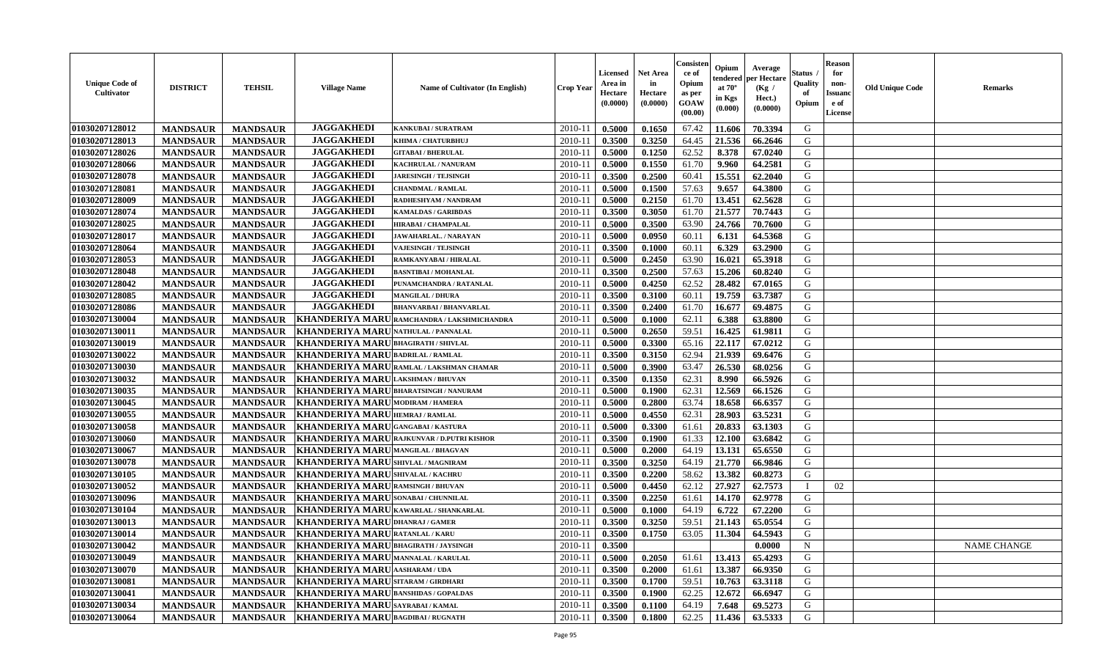| <b>Unique Code of</b><br>Cultivator | <b>DISTRICT</b> | <b>TEHSIL</b>   | <b>Village Name</b>                             | Name of Cultivator (In English)                   | <b>Crop Year</b> | Licensed<br>Area in<br>Hectare<br>(0.0000) | <b>Net Area</b><br>in<br>Hectare<br>(0.0000) | Consisten<br>ce of<br>Opium<br>as per<br><b>GOAW</b><br>(00.00) | Opium<br>tendered<br>at $70^\circ$<br>in Kgs<br>$(\mathbf{0.000})$ | Average<br>per Hectare<br>(Kg /<br>Hect.)<br>(0.0000) | Status<br>Quality<br>of<br>Opium | <b>Reason</b><br>for<br>non-<br><b>Issuand</b><br>e of<br>License | <b>Old Unique Code</b> | <b>Remarks</b> |
|-------------------------------------|-----------------|-----------------|-------------------------------------------------|---------------------------------------------------|------------------|--------------------------------------------|----------------------------------------------|-----------------------------------------------------------------|--------------------------------------------------------------------|-------------------------------------------------------|----------------------------------|-------------------------------------------------------------------|------------------------|----------------|
| 01030207128012                      | <b>MANDSAUR</b> | <b>MANDSAUR</b> | <b>JAGGAKHEDI</b>                               | <b>KANKUBAI/SURATRAM</b>                          | 2010-11          | 0.5000                                     | 0.1650                                       | 67.42                                                           | 11.606                                                             | 70.3394                                               | G                                |                                                                   |                        |                |
| 01030207128013                      | <b>MANDSAUR</b> | <b>MANDSAUR</b> | <b>JAGGAKHEDI</b>                               | KHIMA / CHATURBHUJ                                | 2010-1           | 0.3500                                     | 0.3250                                       | 64.45                                                           | 21.536                                                             | 66.2646                                               | G                                |                                                                   |                        |                |
| 01030207128026                      | <b>MANDSAUR</b> | <b>MANDSAUR</b> | <b>JAGGAKHEDI</b>                               | <b>GITABAI/BHERULAL</b>                           | 2010-1           | 0.5000                                     | 0.1250                                       | 62.52                                                           | 8.378                                                              | 67.0240                                               | G                                |                                                                   |                        |                |
| 01030207128066                      | <b>MANDSAUR</b> | <b>MANDSAUR</b> | <b>JAGGAKHEDI</b>                               | KACHRULAL / NANURAM                               | $2010 - 1$       | 0.5000                                     | 0.1550                                       | 61.70                                                           | 9.960                                                              | 64.2581                                               | G                                |                                                                   |                        |                |
| 01030207128078                      | <b>MANDSAUR</b> | <b>MANDSAUR</b> | <b>JAGGAKHEDI</b>                               | <b>JARESINGH / TEJSINGH</b>                       | 2010-11          | 0.3500                                     | 0.2500                                       | 60.41                                                           | 15.551                                                             | 62.2040                                               | G                                |                                                                   |                        |                |
| 01030207128081                      | <b>MANDSAUR</b> | <b>MANDSAUR</b> | <b>JAGGAKHEDI</b>                               | <b>CHANDMAL / RAMLAL</b>                          | $2010-1$         | 0.5000                                     | 0.1500                                       | 57.63                                                           | 9.657                                                              | 64.3800                                               | G                                |                                                                   |                        |                |
| 01030207128009                      | <b>MANDSAUR</b> | <b>MANDSAUR</b> | <b>JAGGAKHEDI</b>                               | <b>RADHESHYAM / NANDRAM</b>                       | $2010 - 11$      | 0.5000                                     | 0.2150                                       | 61.70                                                           | 13.451                                                             | 62.5628                                               | G                                |                                                                   |                        |                |
| 01030207128074                      | <b>MANDSAUR</b> | <b>MANDSAUR</b> | <b>JAGGAKHEDI</b>                               | <b>KAMALDAS / GARIBDAS</b>                        | 2010-11          | 0.3500                                     | 0.3050                                       | 61.70                                                           | 21.577                                                             | 70.7443                                               | G                                |                                                                   |                        |                |
| 01030207128025                      | <b>MANDSAUR</b> | <b>MANDSAUR</b> | <b>JAGGAKHEDI</b>                               | <b>HIRABAI/ CHAMPALAL</b>                         | 2010-11          | 0.5000                                     | 0.3500                                       | 63.90                                                           | 24.766                                                             | 70.7600                                               | G                                |                                                                   |                        |                |
| 01030207128017                      | <b>MANDSAUR</b> | <b>MANDSAUR</b> | <b>JAGGAKHEDI</b>                               | JAWAHARLAL. / NARAYAN                             | $2010 - 1$       | 0.5000                                     | 0.0950                                       | 60.11                                                           | 6.131                                                              | 64.5368                                               | G                                |                                                                   |                        |                |
| 01030207128064                      | <b>MANDSAUR</b> | <b>MANDSAUR</b> | <b>JAGGAKHEDI</b>                               | <b>VAJESINGH / TEJSINGH</b>                       | 2010-11          | 0.3500                                     | 0.1000                                       | 60.11                                                           | 6.329                                                              | 63.2900                                               | G                                |                                                                   |                        |                |
| 01030207128053                      | <b>MANDSAUR</b> | <b>MANDSAUR</b> | <b>JAGGAKHEDI</b>                               | RAMKANYABAI / HIRALAL                             | 2010-11          | 0.5000                                     | 0.2450                                       | 63.90                                                           | 16.021                                                             | 65.3918                                               | G                                |                                                                   |                        |                |
| 01030207128048                      | <b>MANDSAUR</b> | <b>MANDSAUR</b> | <b>JAGGAKHEDI</b>                               | <b>BASNTIBAI / MOHANLAL</b>                       | $2010 - 11$      | 0.3500                                     | 0.2500                                       | 57.63                                                           | 15.206                                                             | 60.8240                                               | G                                |                                                                   |                        |                |
| 01030207128042                      | <b>MANDSAUR</b> | <b>MANDSAUR</b> | <b>JAGGAKHEDI</b>                               | PUNAMCHANDRA / RATANLAL                           | $2010-1$         | 0.5000                                     | 0.4250                                       | 62.52                                                           | 28.482                                                             | 67.0165                                               | G                                |                                                                   |                        |                |
| 01030207128085                      | <b>MANDSAUR</b> | <b>MANDSAUR</b> | <b>JAGGAKHEDI</b>                               | <b>MANGILAL / DHURA</b>                           | $2010 - 1$       | 0.3500                                     | 0.3100                                       | 60.11                                                           | 19.759                                                             | 63.7387                                               | G                                |                                                                   |                        |                |
| 01030207128086                      | <b>MANDSAUR</b> | <b>MANDSAUR</b> | <b>JAGGAKHEDI</b>                               | <b>BHANVARBAI/BHANVARLAL</b>                      | $2010 - 1$       | 0.3500                                     | 0.2400                                       | 61.70                                                           | 16.677                                                             | 69.4875                                               | G                                |                                                                   |                        |                |
| 01030207130004                      | <b>MANDSAUR</b> | <b>MANDSAUR</b> |                                                 | KHANDERIYA MARU RAMCHANDRA / LAKSHMICHANDRA       | 2010-11          | 0.5000                                     | 0.1000                                       | 62.11                                                           | 6.388                                                              | 63.8800                                               | G                                |                                                                   |                        |                |
| 01030207130011                      | <b>MANDSAUR</b> | <b>MANDSAUR</b> | <b>KHANDERIYA MARU</b>                          | NATHULAL / PANNALAI                               | $2010 - 11$      | 0.5000                                     | 0.2650                                       | 59.51                                                           | 16.425                                                             | 61.9811                                               | G                                |                                                                   |                        |                |
| 01030207130019                      | <b>MANDSAUR</b> | <b>MANDSAUR</b> | <b>KHANDERIYA MARU</b>                          | <b>BHAGIRATH / SHIVLAL</b>                        | 2010-11          | 0.5000                                     | 0.3300                                       | 65.16                                                           | 22.117                                                             | 67.0212                                               | G                                |                                                                   |                        |                |
| 01030207130022                      | <b>MANDSAUR</b> | <b>MANDSAUR</b> | <b>KHANDERIYA MARU</b>                          | <b>BADRILAL / RAMLAL</b>                          | $2010 - 11$      | 0.3500                                     | 0.3150                                       | 62.94                                                           | 21.939                                                             | 69.6476                                               | G                                |                                                                   |                        |                |
| 01030207130030                      | <b>MANDSAUR</b> | <b>MANDSAUR</b> | <b>KHANDERIYA MARU</b>                          | RAMLAL / LAKSHMAN CHAMAR                          | $2010 - 1$       | 0.5000                                     | 0.3900                                       | 63.47                                                           | 26.530                                                             | 68.0256                                               | G                                |                                                                   |                        |                |
| 01030207130032                      | <b>MANDSAUR</b> | <b>MANDSAUR</b> | <b>KHANDERIYA MARU LAKSHMAN / BHUVAN</b>        |                                                   | 2010-11          | 0.3500                                     | 0.1350                                       | 62.31                                                           | 8.990                                                              | 66.5926                                               | G                                |                                                                   |                        |                |
| 01030207130035                      | <b>MANDSAUR</b> | <b>MANDSAUR</b> | <b>KHANDERIYA MARUBHARATSINGH/NANURAM</b>       |                                                   | 2010-11          | 0.5000                                     | 0.1900                                       | 62.31                                                           | 12.569                                                             | 66.1526                                               | G                                |                                                                   |                        |                |
| 01030207130045                      | <b>MANDSAUR</b> | <b>MANDSAUR</b> | KHANDERIYA MARU MODIRAM / HAMERA                |                                                   | 2010-1           | 0.5000                                     | 0.2800                                       | 63.74                                                           | 18.658                                                             | 66.6357                                               | G                                |                                                                   |                        |                |
| 01030207130055                      | <b>MANDSAUR</b> | <b>MANDSAUR</b> | KHANDERIYA MARU HEMRAJ / RAMLAL                 |                                                   | $2010-1$         | 0.5000                                     | 0.4550                                       | 62.31                                                           | 28.903                                                             | 63.5231                                               | G                                |                                                                   |                        |                |
| 01030207130058                      | <b>MANDSAUR</b> | <b>MANDSAUR</b> | <b>KHANDERIYA MARU</b>                          | <b>GANGABAI/KASTURA</b>                           | 2010-11          | 0.5000                                     | 0.3300                                       | 61.61                                                           | 20.833                                                             | 63.1303                                               | G                                |                                                                   |                        |                |
| 01030207130060                      | <b>MANDSAUR</b> | <b>MANDSAUR</b> |                                                 | <b>KHANDERIYA MARU RAJKUNVAR / D.PUTRI KISHOR</b> | $2010 - 1$       | 0.3500                                     | 0.1900                                       | 61.33                                                           | 12.100                                                             | 63.6842                                               | G                                |                                                                   |                        |                |
| 01030207130067                      | <b>MANDSAUR</b> | <b>MANDSAUR</b> | KHANDERIYA MARUMANGILAL / BHAGVAN               |                                                   | 2010-11          | 0.5000                                     | 0.2000                                       | 64.19                                                           | 13.131                                                             | 65.6550                                               | G                                |                                                                   |                        |                |
| 01030207130078                      | <b>MANDSAUR</b> | <b>MANDSAUR</b> | KHANDERIYA MARUSHIVLAL / MAGNIRAM               |                                                   | 2010-11          | 0.3500                                     | 0.3250                                       | 64.19                                                           | 21.770                                                             | 66.9846                                               | G                                |                                                                   |                        |                |
| 01030207130105                      | <b>MANDSAUR</b> | <b>MANDSAUR</b> | KHANDERIYA MARUSHIVALAL / KACHRU                |                                                   | $2010 - 1$       | 0.3500                                     | 0.2200                                       | 58.62                                                           | 13.382                                                             | 60.8273                                               | G                                |                                                                   |                        |                |
| 01030207130052                      | <b>MANDSAUR</b> | <b>MANDSAUR</b> | KHANDERIYA MARU RAMSINGH / BHUVAN               |                                                   | $2010 - 11$      | 0.5000                                     | 0.4450                                       | 62.12                                                           | 27.927                                                             | 62.7573                                               |                                  | 02                                                                |                        |                |
| 01030207130096                      | <b>MANDSAUR</b> | <b>MANDSAUR</b> | <b>KHANDERIYA MARU</b>                          | <b>SONABAI / CHUNNILAL</b>                        | 2010-11          | 0.3500                                     | 0.2250                                       | 61.61                                                           | 14.170                                                             | 62.9778                                               | G                                |                                                                   |                        |                |
| 01030207130104                      | <b>MANDSAUR</b> | <b>MANDSAUR</b> | <b>KHANDERIYA MARU KAWARLAL / SHANKARLAL</b>    |                                                   | 2010-1           | 0.5000                                     | 0.1000                                       | 64.19                                                           | 6.722                                                              | 67.2200                                               | G                                |                                                                   |                        |                |
| 01030207130013                      | <b>MANDSAUR</b> | <b>MANDSAUR</b> | <b>KHANDERIYA MARU DHANRAJ / GAMER</b>          |                                                   | 2010-11          | 0.3500                                     | 0.3250                                       | 59.51                                                           | 21.143                                                             | 65.0554                                               | G                                |                                                                   |                        |                |
| 01030207130014                      | <b>MANDSAUR</b> | <b>MANDSAUR</b> | KHANDERIYA MARURATANLAL / KARU                  |                                                   | 2010-11          | 0.3500                                     | 0.1750                                       | 63.05                                                           | 11.304                                                             | 64.5943                                               | G                                |                                                                   |                        |                |
| 01030207130042                      | <b>MANDSAUR</b> |                 | MANDSAUR   KHANDERIYA MARU BHAGIRATH / JAYSINGH |                                                   | 2010-11          | 0.3500                                     |                                              |                                                                 |                                                                    | 0.0000                                                | N                                |                                                                   |                        | NAME CHANGE    |
| 01030207130049                      | <b>MANDSAUR</b> | <b>MANDSAUR</b> | KHANDERIYA MARU MANNALAL / KARULAL              |                                                   | 2010-11          | 0.5000                                     | 0.2050                                       | 61.61                                                           | 13.413                                                             | 65.4293                                               | G                                |                                                                   |                        |                |
| 01030207130070                      | <b>MANDSAUR</b> | <b>MANDSAUR</b> | KHANDERIYA MARU AASHARAM / UDA                  |                                                   | 2010-11          | 0.3500                                     | 0.2000                                       | 61.61                                                           | 13.387                                                             | 66.9350                                               | G                                |                                                                   |                        |                |
| 01030207130081                      | <b>MANDSAUR</b> | <b>MANDSAUR</b> | KHANDERIYA MARU SITARAM / GIRDHARI              |                                                   | 2010-11          | 0.3500                                     | 0.1700                                       | 59.51                                                           | 10.763                                                             | 63.3118                                               | G                                |                                                                   |                        |                |
| 01030207130041                      | <b>MANDSAUR</b> | <b>MANDSAUR</b> | <b>KHANDERIYA MARU BANSHIDAS / GOPALDAS</b>     |                                                   | 2010-11          | 0.3500                                     | 0.1900                                       | 62.25                                                           | 12.672                                                             | 66.6947                                               | G                                |                                                                   |                        |                |
| 01030207130034                      | <b>MANDSAUR</b> | <b>MANDSAUR</b> | KHANDERIYA MARUSAYRABAI/KAMAL                   |                                                   | 2010-11          | 0.3500                                     | 0.1100                                       | 64.19                                                           | 7.648                                                              | 69.5273                                               | $\mathsf G$                      |                                                                   |                        |                |
| 01030207130064                      | <b>MANDSAUR</b> |                 | MANDSAUR   KHANDERIYA MARU BAGDIBAI / RUGNATH   |                                                   | 2010-11          | 0.3500                                     | 0.1800                                       | 62.25                                                           | 11.436                                                             | 63.5333                                               | G                                |                                                                   |                        |                |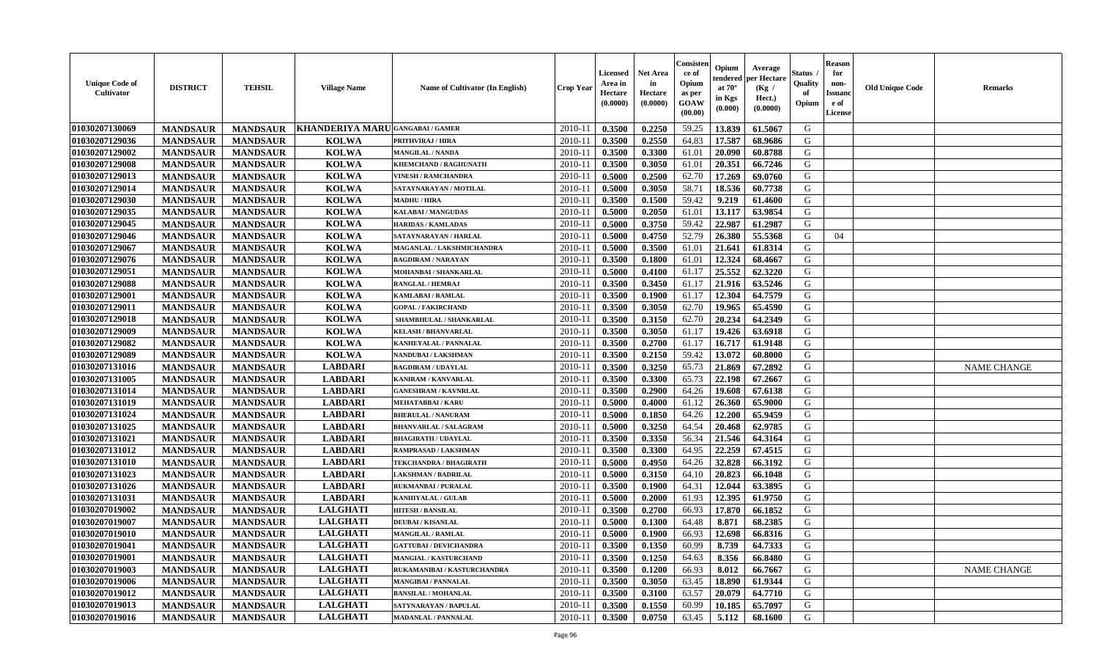| <b>Unique Code of</b><br>Cultivator | <b>DISTRICT</b> | <b>TEHSIL</b>   | <b>Village Name</b>           | <b>Name of Cultivator (In English)</b> | <b>Crop Year</b> | <b>Licensed</b><br>Area in<br>Hectare<br>(0.0000) | <b>Net Area</b><br>in<br>Hectare<br>(0.0000) | Consisten<br>ce of<br>Opium<br>as per<br><b>GOAW</b><br>(00.00) | Opium<br>tendered<br>at $70^\circ$<br>in Kgs<br>(0.000) | Average<br>per Hectare<br>(Kg /<br>Hect.)<br>(0.0000) | Status .<br>Quality<br>of<br>Opium | <b>Reason</b><br>for<br>non-<br><b>Issuanc</b><br>e of<br>License | <b>Old Unique Code</b> | <b>Remarks</b>     |
|-------------------------------------|-----------------|-----------------|-------------------------------|----------------------------------------|------------------|---------------------------------------------------|----------------------------------------------|-----------------------------------------------------------------|---------------------------------------------------------|-------------------------------------------------------|------------------------------------|-------------------------------------------------------------------|------------------------|--------------------|
| 01030207130069                      | <b>MANDSAUR</b> | <b>MANDSAUR</b> | KHANDERIYA MARUGANGABAI/GAMER |                                        | 2010-11          | 0.3500                                            | 0.2250                                       | 59.25                                                           | 13.839                                                  | 61.5067                                               | G                                  |                                                                   |                        |                    |
| 01030207129036                      | <b>MANDSAUR</b> | <b>MANDSAUR</b> | <b>KOLWA</b>                  | <b>PRITHVIRAJ / HIRA</b>               | $2010 - 11$      | 0.3500                                            | 0.2550                                       | 64.83                                                           | 17.587                                                  | 68.9686                                               | G                                  |                                                                   |                        |                    |
| 01030207129002                      | <b>MANDSAUR</b> | <b>MANDSAUR</b> | <b>KOLWA</b>                  | <b>MANGILAL / NANDA</b>                | $2010 - 1$       | 0.3500                                            | 0.3300                                       | 61.01                                                           | 20.090                                                  | 60.8788                                               | G                                  |                                                                   |                        |                    |
| 01030207129008                      | <b>MANDSAUR</b> | <b>MANDSAUR</b> | <b>KOLWA</b>                  | KHEMCHAND / RAGHUNATH                  | 2010-11          | 0.3500                                            | 0.3050                                       | 61.01                                                           | 20.351                                                  | 66.7246                                               | G                                  |                                                                   |                        |                    |
| 01030207129013                      | <b>MANDSAUR</b> | <b>MANDSAUR</b> | <b>KOLWA</b>                  | <b>VINESH / RAMCHANDRA</b>             | 2010-11          | 0.5000                                            | 0.2500                                       | 62.70                                                           | 17.269                                                  | 69.0760                                               | G                                  |                                                                   |                        |                    |
| 01030207129014                      | <b>MANDSAUR</b> | <b>MANDSAUR</b> | <b>KOLWA</b>                  | SATAYNARAYAN / MOTILAL                 | $2010 - 11$      | 0.5000                                            | 0.3050                                       | 58.71                                                           | 18.536                                                  | 60.7738                                               | G                                  |                                                                   |                        |                    |
| 01030207129030                      | <b>MANDSAUR</b> | <b>MANDSAUR</b> | <b>KOLWA</b>                  | <b>MADHU / HIRA</b>                    | 2010-11          | 0.3500                                            | 0.1500                                       | 59.42                                                           | 9.219                                                   | 61.4600                                               | G                                  |                                                                   |                        |                    |
| 01030207129035                      | <b>MANDSAUR</b> | <b>MANDSAUR</b> | <b>KOLWA</b>                  | <b>KALABAI/MANGUDAS</b>                | $2010 - 11$      | 0.5000                                            | 0.2050                                       | 61.01                                                           | 13.117                                                  | 63.9854                                               | G                                  |                                                                   |                        |                    |
| 01030207129045                      | <b>MANDSAUR</b> | <b>MANDSAUR</b> | <b>KOLWA</b>                  | <b>HARIDAS / KAMLADAS</b>              | 2010-11          | 0.5000                                            | 0.3750                                       | 59.42                                                           | 22.987                                                  | 61.2987                                               | G                                  |                                                                   |                        |                    |
| 01030207129046                      | <b>MANDSAUR</b> | <b>MANDSAUR</b> | <b>KOLWA</b>                  | SATAYNARAYAN / HARLAL                  | 2010-11          | 0.5000                                            | 0.4750                                       | 52.79                                                           | 26.380                                                  | 55.5368                                               | G                                  | 04                                                                |                        |                    |
| 01030207129067                      | <b>MANDSAUR</b> | <b>MANDSAUR</b> | <b>KOLWA</b>                  | MAGANLAL / LAKSHMICHANDRA              | $2010 - 11$      | 0.5000                                            | 0.3500                                       | 61.01                                                           | 21.641                                                  | 61.8314                                               | G                                  |                                                                   |                        |                    |
| 01030207129076                      | <b>MANDSAUR</b> | <b>MANDSAUR</b> | <b>KOLWA</b>                  | <b>BAGDIRAM / NARAYAN</b>              | 2010-11          | 0.3500                                            | 0.1800                                       | 61.01                                                           | 12.324                                                  | 68.4667                                               | G                                  |                                                                   |                        |                    |
| 01030207129051                      | <b>MANDSAUR</b> | <b>MANDSAUR</b> | <b>KOLWA</b>                  | <b>MOHANBAI/SHANKARLAL</b>             | $2010 - 11$      | 0.5000                                            | 0.4100                                       | 61.17                                                           | 25.552                                                  | 62.3220                                               | G                                  |                                                                   |                        |                    |
| 01030207129088                      | <b>MANDSAUR</b> | <b>MANDSAUR</b> | <b>KOLWA</b>                  | RANGLAL / HEMRAJ                       | $2010 - 1$       | 0.3500                                            | 0.3450                                       | 61.17                                                           | 21.916                                                  | 63.5246                                               | G                                  |                                                                   |                        |                    |
| 01030207129001                      | <b>MANDSAUR</b> | <b>MANDSAUR</b> | <b>KOLWA</b>                  | <b>KAMLABAI/RAMLAL</b>                 | 2010-11          | 0.3500                                            | 0.1900                                       | 61.17                                                           | 12.304                                                  | 64.7579                                               | G                                  |                                                                   |                        |                    |
| 01030207129011                      | <b>MANDSAUR</b> | <b>MANDSAUR</b> | <b>KOLWA</b>                  | <b>GOPAL / FAKIRCHAND</b>              | 2010-11          | 0.3500                                            | 0.3050                                       | 62.70                                                           | 19.965                                                  | 65.4590                                               | G                                  |                                                                   |                        |                    |
| 01030207129018                      | <b>MANDSAUR</b> | <b>MANDSAUR</b> | <b>KOLWA</b>                  | SHAMBHULAL / SHANKARLAL                | $2010 - 11$      | 0.3500                                            | 0.3150                                       | 62.70                                                           | 20.234                                                  | 64.2349                                               | G                                  |                                                                   |                        |                    |
| 01030207129009                      | <b>MANDSAUR</b> | <b>MANDSAUR</b> | <b>KOLWA</b>                  | <b>KELASH / BHANVARLAL</b>             | 2010-11          | 0.3500                                            | 0.3050                                       | 61.17                                                           | 19.426                                                  | 63.6918                                               | G                                  |                                                                   |                        |                    |
| 01030207129082                      | <b>MANDSAUR</b> | <b>MANDSAUR</b> | <b>KOLWA</b>                  | <b>KANHEYALAL / PANNALAL</b>           | $2010 - 11$      | 0.3500                                            | 0.2700                                       | 61.17                                                           | 16.717                                                  | 61.9148                                               | G                                  |                                                                   |                        |                    |
| 01030207129089                      | <b>MANDSAUR</b> | <b>MANDSAUR</b> | <b>KOLWA</b>                  | NANDUBAI/LAKSHMAN                      | 2010-11          | 0.3500                                            | 0.2150                                       | 59.42                                                           | 13.072                                                  | 60.8000                                               | G                                  |                                                                   |                        |                    |
| 01030207131016                      | <b>MANDSAUR</b> | <b>MANDSAUR</b> | <b>LABDARI</b>                | <b>BAGDIRAM / UDAYLAL</b>              | 2010-11          | 0.3500                                            | 0.3250                                       | 65.73                                                           | 21.869                                                  | 67.2892                                               | G                                  |                                                                   |                        | <b>NAME CHANGE</b> |
| 01030207131005                      | <b>MANDSAUR</b> | <b>MANDSAUR</b> | <b>LABDARI</b>                | KANIRAM / KANVARLAL                    | $2010 - 11$      | 0.3500                                            | 0.3300                                       | 65.73                                                           | 22.198                                                  | 67.2667                                               | G                                  |                                                                   |                        |                    |
| 01030207131014                      | <b>MANDSAUR</b> | <b>MANDSAUR</b> | <b>LABDARI</b>                | <b>GANESHRAM / KAVNRLAL</b>            | 2010-11          | 0.3500                                            | 0.2900                                       | 64.26                                                           | 19.608                                                  | 67.6138                                               | G                                  |                                                                   |                        |                    |
| 01030207131019                      | <b>MANDSAUR</b> | <b>MANDSAUR</b> | <b>LABDARI</b>                | <b>MEHATABBAI/KARU</b>                 | 2010-11          | 0.5000                                            | 0.4000                                       | 61.12                                                           | 26.360                                                  | 65.9000                                               | G                                  |                                                                   |                        |                    |
| 01030207131024                      | <b>MANDSAUR</b> | <b>MANDSAUR</b> | <b>LABDARI</b>                | <b>BHERULAL / NANURAM</b>              | $2010 - 1$       | 0.5000                                            | 0.1850                                       | 64.26                                                           | 12.200                                                  | 65.9459                                               | G                                  |                                                                   |                        |                    |
| 01030207131025                      | <b>MANDSAUR</b> | <b>MANDSAUR</b> | <b>LABDARI</b>                | <b>BHANVARLAL / SALAGRAM</b>           | 2010-11          | 0.5000                                            | 0.3250                                       | 64.54                                                           | 20.468                                                  | 62.9785                                               | G                                  |                                                                   |                        |                    |
| 01030207131021                      | <b>MANDSAUR</b> | <b>MANDSAUR</b> | <b>LABDARI</b>                | <b>BHAGIRATH / UDAYLAL</b>             | $2010-11$        | 0.3500                                            | 0.3350                                       | 56.34                                                           | 21.546                                                  | 64.3164                                               | G                                  |                                                                   |                        |                    |
| 01030207131012                      | <b>MANDSAUR</b> | <b>MANDSAUR</b> | <b>LABDARI</b>                | RAMPRASAD / LAKSHMAN                   | 2010-11          | 0.3500                                            | 0.3300                                       | 64.95                                                           | 22.259                                                  | 67.4515                                               | G                                  |                                                                   |                        |                    |
| 01030207131010                      | <b>MANDSAUR</b> | <b>MANDSAUR</b> | <b>LABDARI</b>                | TEKCHANDRA / BHAGIRATH                 | 2010-11          | 0.5000                                            | 0.4950                                       | 64.26                                                           | 32.828                                                  | 66.3192                                               | G                                  |                                                                   |                        |                    |
| 01030207131023                      | <b>MANDSAUR</b> | <b>MANDSAUR</b> | <b>LABDARI</b>                | <b>LAKSHMAN / BADRILAL</b>             | $2010 - 11$      | 0.5000                                            | 0.3150                                       | 64.10                                                           | 20.823                                                  | 66.1048                                               | G                                  |                                                                   |                        |                    |
| 01030207131026                      | <b>MANDSAUR</b> | <b>MANDSAUR</b> | <b>LABDARI</b>                | RUKMANBAI / PURALAL                    | 2010-11          | 0.3500                                            | 0.1900                                       | 64.31                                                           | 12.044                                                  | 63.3895                                               | G                                  |                                                                   |                        |                    |
| 01030207131031                      | <b>MANDSAUR</b> | <b>MANDSAUR</b> | <b>LABDARI</b>                | <b>KANHIYALAL / GULAB</b>              | 2010-11          | 0.5000                                            | 0.2000                                       | 61.93                                                           | 12.395                                                  | 61.9750                                               | G                                  |                                                                   |                        |                    |
| 01030207019002                      | <b>MANDSAUR</b> | <b>MANDSAUR</b> | <b>LALGHATI</b>               | <b>HITESH / BANSILAL</b>               | $2010 - 11$      | 0.3500                                            | 0.2700                                       | 66.93                                                           | 17.870                                                  | 66.1852                                               | G                                  |                                                                   |                        |                    |
| 01030207019007                      | <b>MANDSAUR</b> | <b>MANDSAUR</b> | <b>LALGHATI</b>               | <b>DEUBAI/KISANLAL</b>                 | 2010-11          | 0.5000                                            | 0.1300                                       | 64.48                                                           | 8.871                                                   | 68.2385                                               | G                                  |                                                                   |                        |                    |
| 01030207019010                      | <b>MANDSAUR</b> | <b>MANDSAUR</b> | <b>LALGHATI</b>               | <b>MANGILAL / RAMLAL</b>               | 2010-11          | 0.5000                                            | 0.1900                                       | 66.93                                                           | 12.698                                                  | 66.8316                                               | G                                  |                                                                   |                        |                    |
| 01030207019041                      | <b>MANDSAUR</b> | <b>MANDSAUR</b> | <b>LALGHATI</b>               | <b>GATTUBAI / DEVICHANDRA</b>          |                  | $2010-11$ 0.3500                                  | 0.1350                                       | 60.99                                                           | 8.739                                                   | 64.7333                                               | G                                  |                                                                   |                        |                    |
| 01030207019001                      | <b>MANDSAUR</b> | <b>MANDSAUR</b> | <b>LALGHATI</b>               | <b>MANGIAL / KASTURCHAND</b>           | 2010-11          | 0.3500                                            | 0.1250                                       | 64.63                                                           | 8.356                                                   | 66.8480                                               | G                                  |                                                                   |                        |                    |
| 01030207019003                      | <b>MANDSAUR</b> | <b>MANDSAUR</b> | <b>LALGHATI</b>               | RUKAMANIBAI / KASTURCHANDRA            | 2010-11          | 0.3500                                            | 0.1200                                       | 66.93                                                           | 8.012                                                   | 66.7667                                               | G                                  |                                                                   |                        | <b>NAME CHANGE</b> |
| 01030207019006                      | <b>MANDSAUR</b> | <b>MANDSAUR</b> | <b>LALGHATI</b>               | MANGIBAI / PANNALAL                    | 2010-11          | 0.3500                                            | 0.3050                                       | 63.45                                                           | 18.890                                                  | 61.9344                                               | G                                  |                                                                   |                        |                    |
| 01030207019012                      | <b>MANDSAUR</b> | <b>MANDSAUR</b> | <b>LALGHATI</b>               | <b>BANSILAL / MOHANLAL</b>             | 2010-11          | 0.3500                                            | 0.3100                                       | 63.57                                                           | 20.079                                                  | 64.7710                                               | G                                  |                                                                   |                        |                    |
| 01030207019013                      | <b>MANDSAUR</b> | <b>MANDSAUR</b> | <b>LALGHATI</b>               | SATYNARAYAN / BAPULAL                  | 2010-11          | 0.3500                                            | 0.1550                                       | 60.99                                                           | 10.185                                                  | 65.7097                                               | G                                  |                                                                   |                        |                    |
| 01030207019016                      | <b>MANDSAUR</b> | <b>MANDSAUR</b> | <b>LALGHATI</b>               | <b>MADANLAL / PANNALAL</b>             | $2010 - 11$      | 0.3500                                            | 0.0750                                       | 63.45                                                           | 5.112                                                   | 68.1600                                               | G                                  |                                                                   |                        |                    |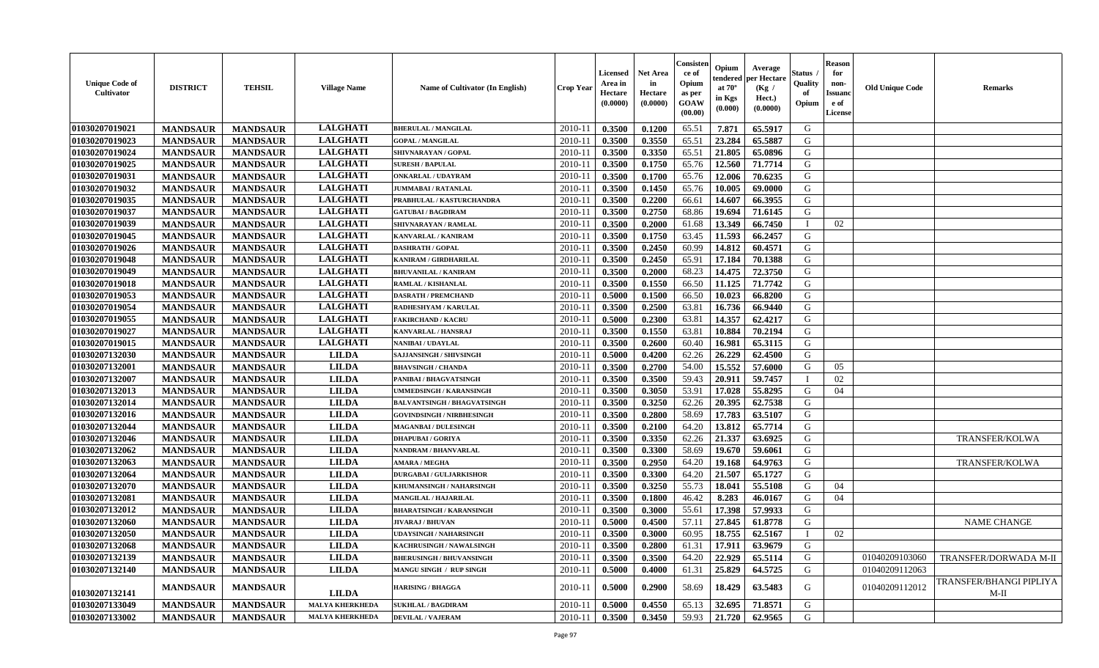| <b>Unique Code of</b><br><b>Cultivator</b> | <b>DISTRICT</b> | <b>TEHSIL</b>   | <b>Village Name</b>    | <b>Name of Cultivator (In English)</b> | <b>Crop Year</b> | <b>Licensed</b><br>Area in<br>Hectare<br>(0.0000) | Net Area<br>in<br>Hectare<br>(0.0000) | Consister<br>ce of<br>Opium<br>as per<br>GOAW<br>(00.00) | Opium<br>endereo<br>at $70^\circ$<br>in Kgs<br>(0.000) | Average<br>per Hectare<br>(Kg /<br>Hect.)<br>(0.0000) | Status<br>Quality<br>of<br>Opium | <b>Reason</b><br>for<br>non-<br>Issuan<br>e of<br><b>License</b> | <b>Old Unique Code</b> | <b>Remarks</b>                         |
|--------------------------------------------|-----------------|-----------------|------------------------|----------------------------------------|------------------|---------------------------------------------------|---------------------------------------|----------------------------------------------------------|--------------------------------------------------------|-------------------------------------------------------|----------------------------------|------------------------------------------------------------------|------------------------|----------------------------------------|
| 01030207019021                             | <b>MANDSAUR</b> | <b>MANDSAUR</b> | <b>LALGHATI</b>        | <b>BHERULAL / MANGILAL</b>             | 2010-11          | 0.3500                                            | 0.1200                                | 65.51                                                    | 7.871                                                  | 65.5917                                               | G                                |                                                                  |                        |                                        |
| 01030207019023                             | <b>MANDSAUR</b> | <b>MANDSAUR</b> | <b>LALGHATI</b>        | <b>GOPAL / MANGILAL</b>                | $2010 - 1$       | 0.3500                                            | 0.3550                                | 65.51                                                    | 23.284                                                 | 65.5887                                               | G                                |                                                                  |                        |                                        |
| 01030207019024                             | <b>MANDSAUR</b> | <b>MANDSAUR</b> | <b>LALGHATI</b>        | SHIVNARAYAN / GOPAL                    | $2010 - 1$       | 0.3500                                            | 0.3350                                | 65.51                                                    | 21.805                                                 | 65.0896                                               | G                                |                                                                  |                        |                                        |
| 01030207019025                             | <b>MANDSAUR</b> | <b>MANDSAUR</b> | <b>LALGHATI</b>        | <b>SURESH / BAPULAI</b>                | 2010-11          | 0.3500                                            | 0.1750                                | 65.76                                                    | 12.560                                                 | 71.7714                                               | G                                |                                                                  |                        |                                        |
| 01030207019031                             | <b>MANDSAUR</b> | <b>MANDSAUR</b> | <b>LALGHATI</b>        | <b>ONKARLAL / UDAYRAM</b>              | 2010-11          | 0.3500                                            | 0.1700                                | 65.76                                                    | 12.006                                                 | 70.6235                                               | G                                |                                                                  |                        |                                        |
| 01030207019032                             | <b>MANDSAUR</b> | <b>MANDSAUR</b> | <b>LALGHATI</b>        | <b>JUMMABAI/RATANLAL</b>               | 2010-11          | 0.3500                                            | 0.1450                                | 65.76                                                    | 10.005                                                 | 69.0000                                               | G                                |                                                                  |                        |                                        |
| 01030207019035                             | <b>MANDSAUR</b> | <b>MANDSAUR</b> | <b>LALGHATI</b>        | PRABHULAL / KASTURCHANDRA              | 2010-11          | 0.3500                                            | 0.2200                                | 66.61                                                    | 14.607                                                 | 66.3955                                               | G                                |                                                                  |                        |                                        |
| 01030207019037                             | <b>MANDSAUR</b> | <b>MANDSAUR</b> | <b>LALGHATI</b>        | <b>GATUBAI/BAGDIRAM</b>                | $2010 - 1$       | 0.3500                                            | 0.2750                                | 68.86                                                    | 19.694                                                 | 71.6145                                               | G                                |                                                                  |                        |                                        |
| 01030207019039                             | <b>MANDSAUR</b> | <b>MANDSAUR</b> | <b>LALGHATI</b>        | SHIVNARAYAN / RAMLAL                   | 2010-11          | 0.3500                                            | 0.2000                                | 61.68                                                    | 13.349                                                 | 66.7450                                               | $\blacksquare$                   | 02                                                               |                        |                                        |
| 01030207019045                             | <b>MANDSAUR</b> | <b>MANDSAUR</b> | <b>LALGHATI</b>        | KANVARLAL / KANIRAM                    | 2010-11          | 0.3500                                            | 0.1750                                | 63.45                                                    | 11.593                                                 | 66.2457                                               | G                                |                                                                  |                        |                                        |
| 01030207019026                             | <b>MANDSAUR</b> | <b>MANDSAUR</b> | <b>LALGHATI</b>        | <b>DASHRATH / GOPAL</b>                | 2010-11          | 0.3500                                            | 0.2450                                | 60.99                                                    | 14.812                                                 | 60.4571                                               | G                                |                                                                  |                        |                                        |
| 01030207019048                             | <b>MANDSAUR</b> | <b>MANDSAUR</b> | <b>LALGHATI</b>        | KANIRAM / GIRDHARILAL                  | 2010-11          | 0.3500                                            | 0.2450                                | 65.91                                                    | 17.184                                                 | 70.1388                                               | G                                |                                                                  |                        |                                        |
| 01030207019049                             | <b>MANDSAUR</b> | <b>MANDSAUR</b> | <b>LALGHATI</b>        | <b>BHUVANILAL / KANIRAM</b>            | 2010-11          | 0.3500                                            | 0.2000                                | 68.23                                                    | 14.475                                                 | 72.3750                                               | G                                |                                                                  |                        |                                        |
| 01030207019018                             | <b>MANDSAUR</b> | <b>MANDSAUR</b> | <b>LALGHATI</b>        | RAMLAL / KISHANLAL                     | $2010-1$         | 0.3500                                            | 0.1550                                | 66.50                                                    | 11.125                                                 | 71,7742                                               | G                                |                                                                  |                        |                                        |
| 01030207019053                             | <b>MANDSAUR</b> | <b>MANDSAUR</b> | <b>LALGHATI</b>        | <b>DASRATH / PREMCHAND</b>             | 2010-11          | 0.5000                                            | 0.1500                                | 66.50                                                    | 10.023                                                 | 66.8200                                               | G                                |                                                                  |                        |                                        |
| 01030207019054                             | <b>MANDSAUR</b> | <b>MANDSAUR</b> | <b>LALGHATI</b>        | RADHESHYAM / KARULAL                   | 2010-11          | 0.3500                                            | 0.2500                                | 63.81                                                    | 16.736                                                 | 66.9440                                               | G                                |                                                                  |                        |                                        |
| 01030207019055                             | <b>MANDSAUR</b> | <b>MANDSAUR</b> | <b>LALGHATI</b>        | <b>FAKIRCHAND / KACRU</b>              | $2010 - 11$      | 0.5000                                            | 0.2300                                | 63.81                                                    | 14.357                                                 | 62,4217                                               | G                                |                                                                  |                        |                                        |
| 01030207019027                             | <b>MANDSAUR</b> | <b>MANDSAUR</b> | <b>LALGHATI</b>        | <b>KANVARLAL / HANSRAJ</b>             | 2010-11          | 0.3500                                            | 0.1550                                | 63.81                                                    | 10.884                                                 | 70.2194                                               | G                                |                                                                  |                        |                                        |
| 01030207019015                             | <b>MANDSAUR</b> | <b>MANDSAUR</b> | <b>LALGHATI</b>        | <b>NANIBAI/UDAYLAL</b>                 | $2010 - 1$       | 0.3500                                            | 0.2600                                | 60.40                                                    | 16.981                                                 | 65.3115                                               | G                                |                                                                  |                        |                                        |
| 01030207132030                             | <b>MANDSAUR</b> | <b>MANDSAUR</b> | <b>LILDA</b>           | <b>SAJJANSINGH / SHIVSINGH</b>         | 2010-11          | 0.5000                                            | 0.4200                                | 62.26                                                    | 26.229                                                 | 62.4500                                               | G                                |                                                                  |                        |                                        |
| 01030207132001                             | <b>MANDSAUR</b> | <b>MANDSAUR</b> | <b>LILDA</b>           | <b>BHAVSINGH / CHANDA</b>              | 2010-11          | 0.3500                                            | 0.2700                                | 54.00                                                    | 15.552                                                 | 57.6000                                               | G                                | 05                                                               |                        |                                        |
| 01030207132007                             | <b>MANDSAUR</b> | <b>MANDSAUR</b> | <b>LILDA</b>           | PANIBAI / BHAGVATSINGH                 | $2010 - 1$       | 0.3500                                            | 0.3500                                | 59.43                                                    | 20.911                                                 | 59.7457                                               |                                  | 02                                                               |                        |                                        |
| 01030207132013                             | <b>MANDSAUR</b> | <b>MANDSAUR</b> | <b>LILDA</b>           | <b>UMMEDSINGH / KARANSINGH</b>         | 2010-11          | 0.3500                                            | 0.3050                                | 53.91                                                    | 17.028                                                 | 55.8295                                               | G                                | 04                                                               |                        |                                        |
| 01030207132014                             | <b>MANDSAUR</b> | <b>MANDSAUR</b> | <b>LILDA</b>           | <b>BALVANTSINGH / BHAGVATSINGH</b>     | 2010-11          | 0.3500                                            | 0.3250                                | 62.26                                                    | 20.395                                                 | 62.7538                                               | G                                |                                                                  |                        |                                        |
| 01030207132016                             | <b>MANDSAUR</b> | <b>MANDSAUR</b> | <b>LILDA</b>           | <b>GOVINDSINGH / NIRBHESINGH</b>       | 2010-1           | 0.3500                                            | 0.2800                                | 58.69                                                    | 17.783                                                 | 63.5107                                               | G                                |                                                                  |                        |                                        |
| 01030207132044                             | <b>MANDSAUR</b> | <b>MANDSAUR</b> | <b>LILDA</b>           | <b>MAGANBAI/DULESINGH</b>              | 2010-11          | 0.3500                                            | 0.2100                                | 64.20                                                    | 13.812                                                 | 65.7714                                               | G                                |                                                                  |                        |                                        |
| 01030207132046                             | <b>MANDSAUR</b> | <b>MANDSAUR</b> | <b>LILDA</b>           | <b>DHAPUBAI/GORIYA</b>                 | $2010 - 1$       | 0.3500                                            | 0.3350                                | 62.26                                                    | 21.337                                                 | 63.6925                                               | G                                |                                                                  |                        | TRANSFER/KOLWA                         |
| 01030207132062                             | <b>MANDSAUR</b> | <b>MANDSAUR</b> | <b>LILDA</b>           | NANDRAM / BHANVARLAL                   | 2010-11          | 0.3500                                            | 0.3300                                | 58.69                                                    | 19.670                                                 | 59.6061                                               | G                                |                                                                  |                        |                                        |
| 01030207132063                             | <b>MANDSAUR</b> | <b>MANDSAUR</b> | <b>LILDA</b>           | <b>AMARA / MEGHA</b>                   | 2010-11          | 0.3500                                            | 0.2950                                | 64.20                                                    | 19.168                                                 | 64.9763                                               | G                                |                                                                  |                        | <b>TRANSFER/KOLWA</b>                  |
| 01030207132064                             | <b>MANDSAUR</b> | <b>MANDSAUR</b> | <b>LILDA</b>           | <b>DURGABAI/GULJARKISHOR</b>           | $2010 - 1$       | 0.3500                                            | 0.3300                                | 64.20                                                    | 21.507                                                 | 65.1727                                               | G                                |                                                                  |                        |                                        |
| 01030207132070                             | <b>MANDSAUR</b> | <b>MANDSAUR</b> | <b>LILDA</b>           | KHUMANSINGH / NAHARSINGH               | 2010-11          | 0.3500                                            | 0.3250                                | 55.73                                                    | 18.041                                                 | 55.5108                                               | G                                | 04                                                               |                        |                                        |
| 01030207132081                             | <b>MANDSAUR</b> | <b>MANDSAUR</b> | <b>LILDA</b>           | MANGILAL / HAJARILAL                   | 2010-11          | 0.3500                                            | 0.1800                                | 46.42                                                    | 8.283                                                  | 46.0167                                               | G                                | 04                                                               |                        |                                        |
| 01030207132012                             | <b>MANDSAUR</b> | <b>MANDSAUR</b> | <b>LILDA</b>           | <b>BHARATSINGH / KARANSINGH</b>        | $2010 - 1$       | 0.3500                                            | 0.3000                                | 55.61                                                    | 17.398                                                 | 57.9933                                               | G                                |                                                                  |                        |                                        |
| 01030207132060                             | <b>MANDSAUR</b> | <b>MANDSAUR</b> | <b>LILDA</b>           | <b>JIVARAJ / BHUVAN</b>                | 2010-11          | 0.5000                                            | 0.4500                                | 57.11                                                    | 27.845                                                 | 61.8778                                               | G                                |                                                                  |                        | <b>NAME CHANGE</b>                     |
| 01030207132050                             | <b>MANDSAUR</b> | <b>MANDSAUR</b> | <b>LILDA</b>           | <b>UDAYSINGH / NAHARSINGH</b>          | 2010-11          | 0.3500                                            | 0.3000                                | 60.95                                                    | 18.755                                                 | 62.5167                                               |                                  | 02                                                               |                        |                                        |
| 01030207132068                             | <b>MANDSAUR</b> | <b>MANDSAUR</b> | <b>LILDA</b>           | KACHRUSINGH / NAWALSINGH               | 2010-11          | 0.3500                                            | 0.2800                                | 61.31                                                    | 17.911                                                 | 63.9679                                               | G                                |                                                                  |                        |                                        |
| 01030207132139                             | <b>MANDSAUR</b> | <b>MANDSAUR</b> | <b>LILDA</b>           | <b>BHERUSINGH / BHUVANSINGH</b>        | 2010-11          | 0.3500                                            | 0.3500                                | 64.20                                                    | 22.929                                                 | 65.5114                                               | G                                |                                                                  | 01040209103060         | TRANSFER/DORWADA M-II                  |
| 01030207132140                             | <b>MANDSAUR</b> | <b>MANDSAUR</b> | <b>LILDA</b>           | MANGU SINGH / RUP SINGH                | 2010-11          | 0.5000                                            | 0.4000                                | 61.31                                                    | 25.829                                                 | 64.5725                                               | G                                |                                                                  | 01040209112063         |                                        |
| 01030207132141                             | <b>MANDSAUR</b> | <b>MANDSAUR</b> | <b>LILDA</b>           | <b>HARISING / BHAGGA</b>               | 2010-11          | 0.5000                                            | 0.2900                                | 58.69                                                    | 18.429                                                 | 63.5483                                               | G                                |                                                                  | 01040209112012         | <b>TRANSFER/BHANGI PIPLIYA</b><br>M-II |
| 01030207133049                             | <b>MANDSAUR</b> | <b>MANDSAUR</b> | <b>MALYA KHERKHEDA</b> | <b>SUKHLAL / BAGDIRAM</b>              | 2010-11          | 0.5000                                            | 0.4550                                | 65.13                                                    | 32.695                                                 | 71.8571                                               | G                                |                                                                  |                        |                                        |
| 01030207133002                             | <b>MANDSAUR</b> | <b>MANDSAUR</b> | <b>MALYA KHERKHEDA</b> | <b>DEVILAL / VAJERAM</b>               | 2010-11          | 0.3500                                            | 0.3450                                | 59.93                                                    | 21.720                                                 | 62.9565                                               | G                                |                                                                  |                        |                                        |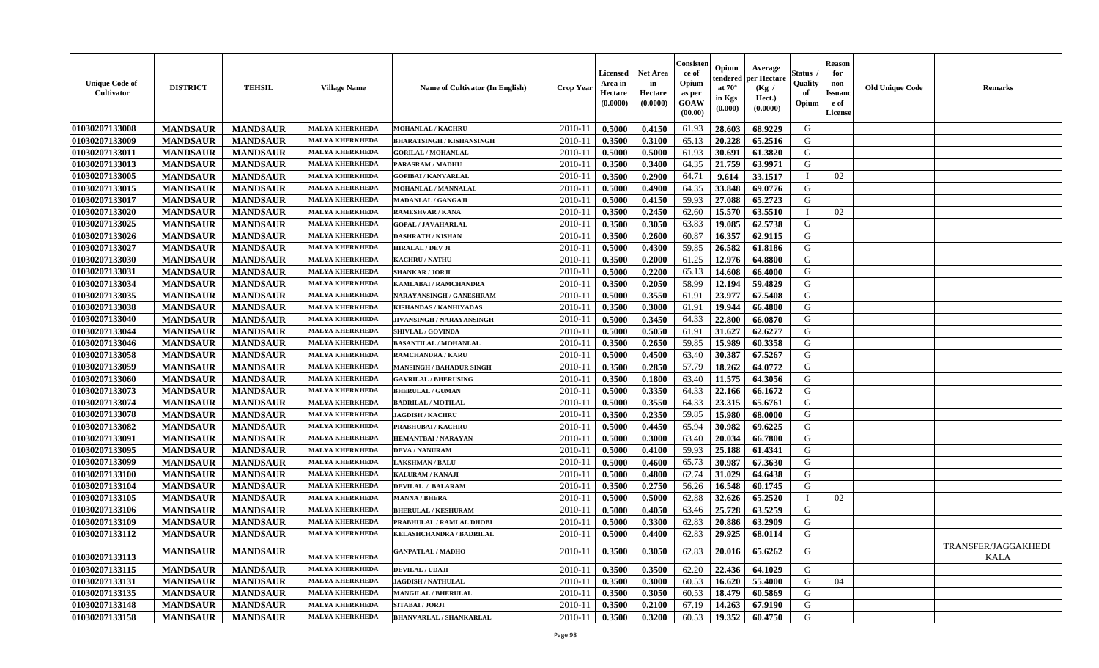| <b>Unique Code of</b><br>Cultivator | <b>DISTRICT</b> | <b>TEHSIL</b>   | <b>Village Name</b>    | <b>Name of Cultivator (In English)</b> | <b>Crop Year</b> | <b>Licensed</b><br>Area in<br>Hectare<br>(0.0000) | <b>Net Area</b><br>in<br>Hectare<br>(0.0000) | Consister<br>ce of<br>Opium<br>as per<br><b>GOAW</b><br>(00.00) | Opium<br>endered<br>at $70^\circ$<br>in Kgs<br>$(\mathbf{0.000})$ | Average<br>per Hectare<br>(Kg)<br>Hect.)<br>(0.0000) | Status<br>Quality<br>of<br>Opium | <b>Reason</b><br>for<br>non-<br><b>Issuanc</b><br>e of<br>License | <b>Old Unique Code</b> | <b>Remarks</b>              |
|-------------------------------------|-----------------|-----------------|------------------------|----------------------------------------|------------------|---------------------------------------------------|----------------------------------------------|-----------------------------------------------------------------|-------------------------------------------------------------------|------------------------------------------------------|----------------------------------|-------------------------------------------------------------------|------------------------|-----------------------------|
| 01030207133008                      | <b>MANDSAUR</b> | <b>MANDSAUR</b> | <b>MALYA KHERKHEDA</b> | <b>MOHANLAL / KACHRU</b>               | 2010-11          | 0.5000                                            | 0.4150                                       | 61.93                                                           | 28.603                                                            | 68.9229                                              | G                                |                                                                   |                        |                             |
| 01030207133009                      | <b>MANDSAUR</b> | <b>MANDSAUR</b> | <b>MALYA KHERKHEDA</b> | <b>BHARATSINGH / KISHANSINGH</b>       | 2010-1           | 0.3500                                            | 0.3100                                       | 65.13                                                           | 20.228                                                            | 65.2516                                              | G                                |                                                                   |                        |                             |
| 01030207133011                      | <b>MANDSAUR</b> | <b>MANDSAUR</b> | <b>MALYA KHERKHEDA</b> | <b>GORILAL / MOHANLAL</b>              | 2010-11          | 0.5000                                            | 0.5000                                       | 61.93                                                           | 30.691                                                            | 61.3820                                              | G                                |                                                                   |                        |                             |
| 01030207133013                      | <b>MANDSAUR</b> | <b>MANDSAUR</b> | <b>MALYA KHERKHEDA</b> | <b>PARASRAM / MADHU</b>                | $2010 - 11$      | 0.3500                                            | 0.3400                                       | 64.35                                                           | 21.759                                                            | 63.9971                                              | G                                |                                                                   |                        |                             |
| 01030207133005                      | <b>MANDSAUR</b> | <b>MANDSAUR</b> | <b>MALYA KHERKHEDA</b> | <b>GOPIBAI/KANVARLAL</b>               | 2010-11          | 0.3500                                            | 0.2900                                       | 64.71                                                           | 9.614                                                             | 33.1517                                              |                                  | 02                                                                |                        |                             |
| 01030207133015                      | <b>MANDSAUR</b> | <b>MANDSAUR</b> | <b>MALYA KHERKHEDA</b> | MOHANLAL / MANNALAL                    | 2010-11          | 0.5000                                            | 0.4900                                       | 64.35                                                           | 33.848                                                            | 69.0776                                              | G                                |                                                                   |                        |                             |
| 01030207133017                      | <b>MANDSAUR</b> | <b>MANDSAUR</b> | <b>MALYA KHERKHEDA</b> | MADANLAL / GANGAJI                     | $2010 - 11$      | 0.5000                                            | 0.4150                                       | 59.93                                                           | 27.088                                                            | 65.2723                                              | G                                |                                                                   |                        |                             |
| 01030207133020                      | <b>MANDSAUR</b> | <b>MANDSAUR</b> | <b>MALYA KHERKHEDA</b> | RAMESHVAR / KANA                       | $2010 - 11$      | 0.3500                                            | 0.2450                                       | 62.60                                                           | 15.570                                                            | 63.5510                                              |                                  | 02                                                                |                        |                             |
| 01030207133025                      | <b>MANDSAUR</b> | <b>MANDSAUR</b> | <b>MALYA KHERKHEDA</b> | <b>GOPAL / JAVAHARLAL</b>              | 2010-11          | 0.3500                                            | 0.3050                                       | 63.83                                                           | 19.085                                                            | 62.5738                                              | G                                |                                                                   |                        |                             |
| 01030207133026                      | <b>MANDSAUR</b> | <b>MANDSAUR</b> | <b>MALYA KHERKHEDA</b> | <b>DASHRATH / KISHAN</b>               | $2010 - 11$      | 0.3500                                            | 0.2600                                       | 60.87                                                           | 16.357                                                            | 62.9115                                              | G                                |                                                                   |                        |                             |
| 01030207133027                      | <b>MANDSAUR</b> | <b>MANDSAUR</b> | <b>MALYA KHERKHEDA</b> | <b>HIRALAL / DEV JI</b>                | $2010-11$        | 0.5000                                            | 0.4300                                       | 59.85                                                           | 26.582                                                            | 61.8186                                              | G                                |                                                                   |                        |                             |
| 01030207133030                      | <b>MANDSAUR</b> | <b>MANDSAUR</b> | <b>MALYA KHERKHEDA</b> | <b>KACHRU / NATHU</b>                  | $2010 - 11$      | 0.3500                                            | 0.2000                                       | 61.25                                                           | 12.976                                                            | 64.8800                                              | G                                |                                                                   |                        |                             |
| 01030207133031                      | <b>MANDSAUR</b> | <b>MANDSAUR</b> | <b>MALYA KHERKHEDA</b> | <b>SHANKAR / JORJI</b>                 | $2010 - 11$      | 0.5000                                            | 0.2200                                       | 65.13                                                           | 14.608                                                            | 66.4000                                              | G                                |                                                                   |                        |                             |
| 01030207133034                      | <b>MANDSAUR</b> | <b>MANDSAUR</b> | <b>MALYA KHERKHEDA</b> | KAMLABAI / RAMCHANDRA                  | $2010 - 11$      | 0.3500                                            | 0.2050                                       | 58.99                                                           | 12.194                                                            | 59.4829                                              | G                                |                                                                   |                        |                             |
| 01030207133035                      | <b>MANDSAUR</b> | <b>MANDSAUR</b> | <b>MALYA KHERKHEDA</b> | NARAYANSINGH / GANESHRAM               | $2010 - 11$      | 0.5000                                            | 0.3550                                       | 61.91                                                           | 23.977                                                            | 67.5408                                              | G                                |                                                                   |                        |                             |
| 01030207133038                      | <b>MANDSAUR</b> | <b>MANDSAUR</b> | <b>MALYA KHERKHEDA</b> | KISHANDAS / KANHIYADAS                 | $2010 - 11$      | 0.3500                                            | 0.3000                                       | 61.91                                                           | 19.944                                                            | 66.4800                                              | G                                |                                                                   |                        |                             |
| 01030207133040                      | <b>MANDSAUR</b> | <b>MANDSAUR</b> | <b>MALYA KHERKHEDA</b> | JIVANSINGH / NARAYANSINGH              | 2010-11          | 0.5000                                            | 0.3450                                       | 64.33                                                           | 22.800                                                            | 66.0870                                              | G                                |                                                                   |                        |                             |
| 01030207133044                      | <b>MANDSAUR</b> | <b>MANDSAUR</b> | <b>MALYA KHERKHEDA</b> | <b>SHIVLAL / GOVINDA</b>               | $2010-11$        | 0.5000                                            | 0.5050                                       | 61.91                                                           | 31.627                                                            | 62.6277                                              | G                                |                                                                   |                        |                             |
| 01030207133046                      | <b>MANDSAUR</b> | <b>MANDSAUR</b> | <b>MALYA KHERKHEDA</b> | <b>BASANTILAL / MOHANLAL</b>           | $2010 - 11$      | 0.3500                                            | 0.2650                                       | 59.85                                                           | 15.989                                                            | 60.3358                                              | G                                |                                                                   |                        |                             |
| 01030207133058                      | <b>MANDSAUR</b> | <b>MANDSAUR</b> | <b>MALYA KHERKHEDA</b> | <b>RAMCHANDRA / KARU</b>               | $2010 - 11$      | 0.5000                                            | 0.4500                                       | 63.40                                                           | 30.387                                                            | 67.5267                                              | G                                |                                                                   |                        |                             |
| 01030207133059                      | <b>MANDSAUR</b> | <b>MANDSAUR</b> | <b>MALYA KHERKHEDA</b> | <b>MANSINGH / BAHADUR SINGH</b>        | $2010 - 11$      | 0.3500                                            | 0.2850                                       | 57.79                                                           | 18.262                                                            | 64.0772                                              | G                                |                                                                   |                        |                             |
| 01030207133060                      | <b>MANDSAUR</b> | <b>MANDSAUR</b> | <b>MALYA KHERKHEDA</b> | <b>GAVRILAL / BHERUSING</b>            | $2010 - 11$      | 0.3500                                            | 0.1800                                       | 63.40                                                           | 11.575                                                            | 64.3056                                              | G                                |                                                                   |                        |                             |
| 01030207133073                      | <b>MANDSAUR</b> | <b>MANDSAUR</b> | <b>MALYA KHERKHEDA</b> | <b>BHERULAL / GUMAN</b>                | $2010 - 11$      | 0.5000                                            | 0.3350                                       | 64.33                                                           | 22.166                                                            | 66.1672                                              | G                                |                                                                   |                        |                             |
| 01030207133074                      | <b>MANDSAUR</b> | <b>MANDSAUR</b> | <b>MALYA KHERKHEDA</b> | <b>BADRILAL / MOTILAL</b>              | $2010 - 1$       | 0.5000                                            | 0.3550                                       | 64.33                                                           | 23.315                                                            | 65.6761                                              | G                                |                                                                   |                        |                             |
| 01030207133078                      | <b>MANDSAUR</b> | <b>MANDSAUR</b> | <b>MALYA KHERKHEDA</b> | <b>JAGDISH / KACHRU</b>                | 2010-11          | 0.3500                                            | 0.2350                                       | 59.85                                                           | 15.980                                                            | 68.0000                                              | G                                |                                                                   |                        |                             |
| 01030207133082                      | <b>MANDSAUR</b> | <b>MANDSAUR</b> | <b>MALYA KHERKHEDA</b> | PRABHUBAI / KACHRU                     | 2010-11          | 0.5000                                            | 0.4450                                       | 65.94                                                           | 30.982                                                            | 69.6225                                              | G                                |                                                                   |                        |                             |
| 01030207133091                      | <b>MANDSAUR</b> | <b>MANDSAUR</b> | <b>MALYA KHERKHEDA</b> | <b>HEMANTBAI/NARAYAN</b>               | 2010-11          | 0.5000                                            | 0.3000                                       | 63.40                                                           | 20.034                                                            | 66.7800                                              | G                                |                                                                   |                        |                             |
| 01030207133095                      | <b>MANDSAUR</b> | <b>MANDSAUR</b> | <b>MALYA KHERKHEDA</b> | <b>DEVA / NANURAM</b>                  | 2010-11          | 0.5000                                            | 0.4100                                       | 59.93                                                           | 25.188                                                            | 61.4341                                              | G                                |                                                                   |                        |                             |
| 01030207133099                      | <b>MANDSAUR</b> | <b>MANDSAUR</b> | <b>MALYA KHERKHEDA</b> | <b>LAKSHMAN / BALU</b>                 | 2010-11          | 0.5000                                            | 0.4600                                       | 65.73                                                           | 30.987                                                            | 67.3630                                              | G                                |                                                                   |                        |                             |
| 01030207133100                      | <b>MANDSAUR</b> | <b>MANDSAUR</b> | <b>MALYA KHERKHEDA</b> | KALURAM / KANAJI                       | $2010 - 11$      | 0.5000                                            | 0.4800                                       | 62.74                                                           | 31.029                                                            | 64.6438                                              | G                                |                                                                   |                        |                             |
| 01030207133104                      | <b>MANDSAUR</b> | <b>MANDSAUR</b> | <b>MALYA KHERKHEDA</b> | <b>DEVILAL / BALARAM</b>               | 2010-11          | 0.3500                                            | 0.2750                                       | 56.26                                                           | 16.548                                                            | 60.1745                                              | G                                |                                                                   |                        |                             |
| 01030207133105                      | <b>MANDSAUR</b> | <b>MANDSAUR</b> | <b>MALYA KHERKHEDA</b> | <b>MANNA / BHERA</b>                   | $2010 - 1$       | 0.5000                                            | 0.5000                                       | 62.88                                                           | 32.626                                                            | 65.2520                                              |                                  | 02                                                                |                        |                             |
| 01030207133106                      | <b>MANDSAUR</b> | <b>MANDSAUR</b> | <b>MALYA KHERKHEDA</b> | <b>BHERULAL / KESHURAM</b>             | $2010-11$        | 0.5000                                            | 0.4050                                       | 63.46                                                           | 25.728                                                            | 63.5259                                              | G                                |                                                                   |                        |                             |
| 01030207133109                      | <b>MANDSAUR</b> | <b>MANDSAUR</b> | <b>MALYA KHERKHEDA</b> | PRABHULAL / RAMLAL DHOBI               | $2010-11$        | 0.5000                                            | 0.3300                                       | 62.83                                                           | 20.886                                                            | 63.2909                                              | G                                |                                                                   |                        |                             |
| 01030207133112                      | <b>MANDSAUR</b> | <b>MANDSAUR</b> | <b>MALYA KHERKHEDA</b> | KELASHCHANDRA / BADRILAL               | 2010-11          | 0.5000                                            | 0.4400                                       | 62.83                                                           | 29.925                                                            | 68.0114                                              | G                                |                                                                   |                        |                             |
| 01030207133113                      | <b>MANDSAUR</b> | <b>MANDSAUR</b> | <b>MALYA KHERKHEDA</b> | <b>GANPATLAL / MADHO</b>               | 2010-11          | 0.3500                                            | 0.3050                                       | 62.83                                                           | 20.016                                                            | 65.6262                                              | G                                |                                                                   |                        | TRANSFER/JAGGAKHEDI<br>KALA |
| 01030207133115                      | <b>MANDSAUR</b> | <b>MANDSAUR</b> | <b>MALYA KHERKHEDA</b> | <b>DEVILAL / UDAJI</b>                 | 2010-11          | 0.3500                                            | 0.3500                                       | 62.20                                                           | 22.436                                                            | 64.1029                                              | G                                |                                                                   |                        |                             |
| 01030207133131                      | <b>MANDSAUR</b> | <b>MANDSAUR</b> | <b>MALYA KHERKHEDA</b> | <b>JAGDISH / NATHULAL</b>              | 2010-11          | 0.3500                                            | 0.3000                                       | 60.53                                                           | 16.620                                                            | 55.4000                                              | G                                | 04                                                                |                        |                             |
| 01030207133135                      | <b>MANDSAUR</b> | <b>MANDSAUR</b> | <b>MALYA KHERKHEDA</b> | <b>MANGILAL / BHERULAL</b>             | 2010-11          | 0.3500                                            | 0.3050                                       | 60.53                                                           | 18.479                                                            | 60.5869                                              | G                                |                                                                   |                        |                             |
| 01030207133148                      | <b>MANDSAUR</b> | <b>MANDSAUR</b> | <b>MALYA KHERKHEDA</b> | SITABAI / JORJI                        | 2010-11          | 0.3500                                            | 0.2100                                       | 67.19                                                           | 14.263                                                            | 67.9190                                              | G                                |                                                                   |                        |                             |
| 01030207133158                      | <b>MANDSAUR</b> | <b>MANDSAUR</b> | <b>MALYA KHERKHEDA</b> | <b>BHANVARLAL / SHANKARLAL</b>         | 2010-11          | 0.3500                                            | 0.3200                                       | 60.53                                                           | 19.352                                                            | 60.4750                                              | G                                |                                                                   |                        |                             |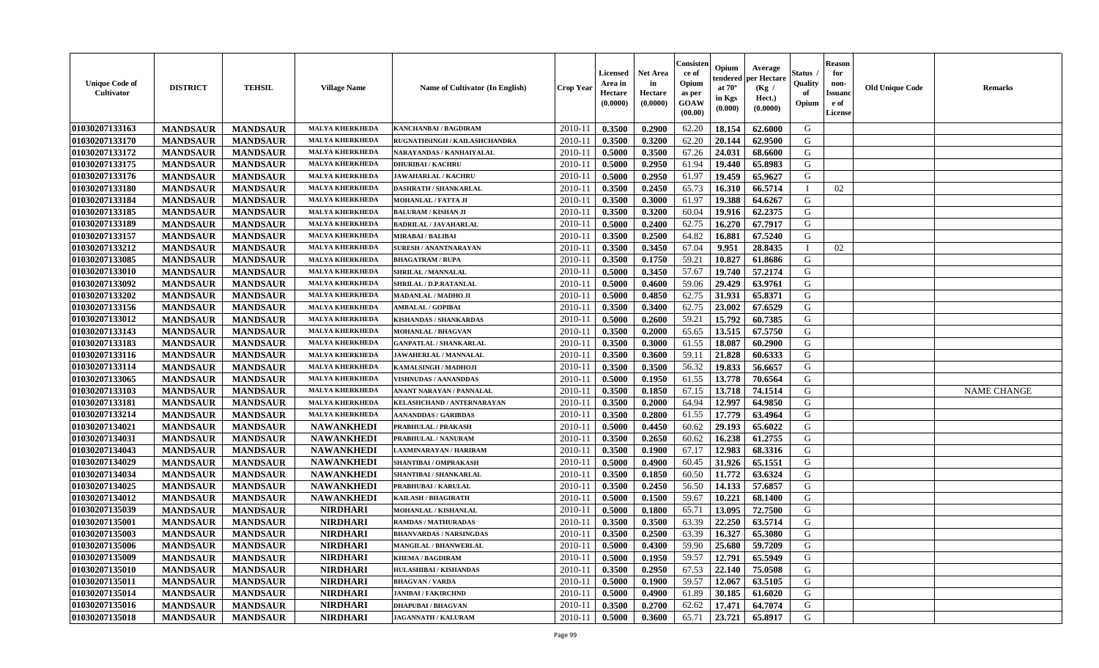| <b>Unique Code of</b><br><b>Cultivator</b> | <b>DISTRICT</b> | <b>TEHSIL</b>   | <b>Village Name</b>    | Name of Cultivator (In English) | <b>Crop Year</b> | <b>Licensed</b><br>Area in<br>Hectare<br>(0.0000) | <b>Net Area</b><br>in<br>Hectare<br>(0.0000) | Consister<br>ce of<br>Opium<br>as per<br>GOAW<br>(00.00) | Opium<br>endered<br>at $70^{\circ}$<br>in Kgs<br>(0.000) | Average<br>per Hectare<br>(Kg /<br>Hect.)<br>(0.0000) | Status<br>Quality<br>of<br>Opium | <b>Reason</b><br>for<br>non-<br><b>Issuand</b><br>e of<br>License | <b>Old Unique Code</b> | <b>Remarks</b> |
|--------------------------------------------|-----------------|-----------------|------------------------|---------------------------------|------------------|---------------------------------------------------|----------------------------------------------|----------------------------------------------------------|----------------------------------------------------------|-------------------------------------------------------|----------------------------------|-------------------------------------------------------------------|------------------------|----------------|
| 01030207133163                             | <b>MANDSAUR</b> | <b>MANDSAUR</b> | <b>MALYA KHERKHEDA</b> | KANCHANBAI / BAGDIRAM           | 2010-11          | 0.3500                                            | 0.2900                                       | 62.20                                                    | 18.154                                                   | 62.6000                                               | G                                |                                                                   |                        |                |
| 01030207133170                             | <b>MANDSAUR</b> | <b>MANDSAUR</b> | <b>MALYA KHERKHEDA</b> | RUGNATHSINGH / KAILASHCHANDRA   | $2010 - 1$       | 0.3500                                            | 0.3200                                       | 62.20                                                    | 20.144                                                   | 62.9500                                               | G                                |                                                                   |                        |                |
| 01030207133172                             | <b>MANDSAUR</b> | <b>MANDSAUR</b> | <b>MALYA KHERKHEDA</b> | NARAYANDAS / KANHAIYALAL        | 2010-11          | 0.5000                                            | 0.3500                                       | 67.26                                                    | 24.031                                                   | 68.6600                                               | G                                |                                                                   |                        |                |
| 01030207133175                             | <b>MANDSAUR</b> | <b>MANDSAUR</b> | <b>MALYA KHERKHEDA</b> | <b>DHURIBAI / KACHRU</b>        | 2010-11          | 0.5000                                            | 0.2950                                       | 61.94                                                    | 19.440                                                   | 65.8983                                               | G                                |                                                                   |                        |                |
| 01030207133176                             | <b>MANDSAUR</b> | <b>MANDSAUR</b> | <b>MALYA KHERKHEDA</b> | <b>JAWAHARLAL / KACHRU</b>      | 2010-11          | 0.5000                                            | 0.2950                                       | 61.97                                                    | 19.459                                                   | 65.9627                                               | G                                |                                                                   |                        |                |
| 01030207133180                             | <b>MANDSAUR</b> | <b>MANDSAUR</b> | MALYA KHERKHEDA        | <b>DASHRATH / SHANKARLAL</b>    | $2010-11$        | 0.3500                                            | 0.2450                                       | 65.73                                                    | 16.310                                                   | 66.5714                                               |                                  | 02                                                                |                        |                |
| 01030207133184                             | <b>MANDSAUR</b> | <b>MANDSAUR</b> | <b>MALYA KHERKHEDA</b> | MOHANLAL / FATTA JI             | $2010 - 1$       | 0.3500                                            | 0.3000                                       | 61.97                                                    | 19.388                                                   | 64.6267                                               | ${\bf G}$                        |                                                                   |                        |                |
| 01030207133185                             | <b>MANDSAUR</b> | <b>MANDSAUR</b> | <b>MALYA KHERKHEDA</b> | <b>BALURAM / KISHAN JI</b>      | 2010-11          | 0.3500                                            | 0.3200                                       | 60.04                                                    | 19.916                                                   | 62.2375                                               | G                                |                                                                   |                        |                |
| 01030207133189                             | <b>MANDSAUR</b> | <b>MANDSAUR</b> | <b>MALYA KHERKHEDA</b> | <b>BADRILAL / JAVAHARLAL</b>    | 2010-11          | 0.5000                                            | 0.2400                                       | 62.75                                                    | 16.270                                                   | 67.7917                                               | G                                |                                                                   |                        |                |
| 01030207133157                             | <b>MANDSAUR</b> | <b>MANDSAUR</b> | <b>MALYA KHERKHEDA</b> | <b>MIRABAI / BALIBAI</b>        | 2010-11          | 0.3500                                            | 0.2500                                       | 64.82                                                    | 16.881                                                   | 67.5240                                               | G                                |                                                                   |                        |                |
| 01030207133212                             | <b>MANDSAUR</b> | <b>MANDSAUR</b> | <b>MALYA KHERKHEDA</b> | <b>SURESH / ANANTNARAYAN</b>    | 2010-11          | 0.3500                                            | 0.3450                                       | 67.04                                                    | 9.951                                                    | 28.8435                                               | $\mathbf{I}$                     | 02                                                                |                        |                |
| 01030207133085                             | <b>MANDSAUR</b> | <b>MANDSAUR</b> | <b>MALYA KHERKHEDA</b> | <b>BHAGATRAM / RUPA</b>         | 2010-11          | 0.3500                                            | 0.1750                                       | 59.21                                                    | 10.827                                                   | 61.8686                                               | G                                |                                                                   |                        |                |
| 01030207133010                             | <b>MANDSAUR</b> | <b>MANDSAUR</b> | <b>MALYA KHERKHEDA</b> | <b>SHRILAL / MANNALAL</b>       | 2010-11          | 0.5000                                            | 0.3450                                       | 57.67                                                    | 19.740                                                   | 57.2174                                               | G                                |                                                                   |                        |                |
| 01030207133092                             | <b>MANDSAUR</b> | <b>MANDSAUR</b> | <b>MALYA KHERKHEDA</b> | SHRILAL / D.P.RATANLAL          | $2010 - 11$      | 0.5000                                            | 0.4600                                       | 59.06                                                    | 29.429                                                   | 63.9761                                               | G                                |                                                                   |                        |                |
| 01030207133202                             | <b>MANDSAUR</b> | <b>MANDSAUR</b> | <b>MALYA KHERKHEDA</b> | MADANLAL / MADHO JI             | $2010 - 11$      | 0.5000                                            | 0.4850                                       | 62.75                                                    | 31.931                                                   | 65.8371                                               | G                                |                                                                   |                        |                |
| 01030207133156                             | <b>MANDSAUR</b> | <b>MANDSAUR</b> | <b>MALYA KHERKHEDA</b> | <b>AMBALAL / GOPIBAI</b>        | 2010-11          | 0.3500                                            | 0.3400                                       | 62.75                                                    | 23.002                                                   | 67.6529                                               | G                                |                                                                   |                        |                |
| 01030207133012                             | <b>MANDSAUR</b> | <b>MANDSAUR</b> | <b>MALYA KHERKHEDA</b> | KISHANDAS / SHANKARDAS          | 2010-11          | 0.5000                                            | 0.2600                                       | 59.21                                                    | 15.792                                                   | 60.7385                                               | G                                |                                                                   |                        |                |
| 01030207133143                             | <b>MANDSAUR</b> | <b>MANDSAUR</b> | <b>MALYA KHERKHEDA</b> | MOHANLAL / BHAGVAN              | 2010-11          | 0.3500                                            | 0.2000                                       | 65.65                                                    | 13.515                                                   | 67.5750                                               | G                                |                                                                   |                        |                |
| 01030207133183                             | <b>MANDSAUR</b> | <b>MANDSAUR</b> | <b>MALYA KHERKHEDA</b> | <b>GANPATLAL / SHANKARLAL</b>   | 2010-11          | 0.3500                                            | 0.3000                                       | 61.55                                                    | 18.087                                                   | 60.2900                                               | G                                |                                                                   |                        |                |
| 01030207133116                             | <b>MANDSAUR</b> | <b>MANDSAUR</b> | MALYA KHERKHEDA        | JAWAHERLAL / MANNALAL           | 2010-11          | 0.3500                                            | 0.3600                                       | 59.11                                                    | 21.828                                                   | 60.6333                                               | G                                |                                                                   |                        |                |
| 01030207133114                             | <b>MANDSAUR</b> | <b>MANDSAUR</b> | <b>MALYA KHERKHEDA</b> | KAMALSINGH / MADHOJI            | 2010-11          | 0.3500                                            | 0.3500                                       | 56.32                                                    | 19.833                                                   | 56.6657                                               | G                                |                                                                   |                        |                |
| 01030207133065                             | <b>MANDSAUR</b> | <b>MANDSAUR</b> | MALYA KHERKHEDA        | <b>VISHNUDAS / AANANDDAS</b>    | $2010 - 11$      | 0.5000                                            | 0.1950                                       | 61.55                                                    | 13.778                                                   | 70.6564                                               | G                                |                                                                   |                        |                |
| 01030207133103                             | <b>MANDSAUR</b> | <b>MANDSAUR</b> | <b>MALYA KHERKHEDA</b> | ANANT NARAYAN / PANNALAL        | $2010 - 11$      | 0.3500                                            | 0.1850                                       | 67.15                                                    | 13.718                                                   | 74.1514                                               | G                                |                                                                   |                        | NAME CHANGE    |
| 01030207133181                             | <b>MANDSAUR</b> | <b>MANDSAUR</b> | <b>MALYA KHERKHEDA</b> | KELASHCHAND / ANTERNARAYAN      | $2010 - 11$      | 0.3500                                            | 0.2000                                       | 64.94                                                    | 12.997                                                   | 64.9850                                               | G                                |                                                                   |                        |                |
| 01030207133214                             | <b>MANDSAUR</b> | <b>MANDSAUR</b> | <b>MALYA KHERKHEDA</b> | <b>AANANDDAS / GARIBDAS</b>     | 2010-11          | 0.3500                                            | 0.2800                                       | 61.55                                                    | 17.779                                                   | 63.4964                                               | G                                |                                                                   |                        |                |
| 01030207134021                             | <b>MANDSAUR</b> | <b>MANDSAUR</b> | <b>NAWANKHEDI</b>      | PRABHULAL / PRAKASH             | 2010-11          | 0.5000                                            | 0.4450                                       | 60.62                                                    | 29.193                                                   | 65.6022                                               | G                                |                                                                   |                        |                |
| 01030207134031                             | <b>MANDSAUR</b> | <b>MANDSAUR</b> | <b>NAWANKHEDI</b>      | PRABHULAL / NANURAM             | 2010-11          | 0.3500                                            | 0.2650                                       | 60.62                                                    | 16.238                                                   | 61.2755                                               | G                                |                                                                   |                        |                |
| 01030207134043                             | <b>MANDSAUR</b> | <b>MANDSAUR</b> | <b>NAWANKHEDI</b>      | LAXMINARAYAN / HARIRAM          | 2010-11          | 0.3500                                            | 0.1900                                       | 67.17                                                    | 12.983                                                   | 68.3316                                               | G                                |                                                                   |                        |                |
| 01030207134029                             | <b>MANDSAUR</b> | <b>MANDSAUR</b> | <b>NAWANKHEDI</b>      | SHANTIBAI / OMPRAKASH           | 2010-11          | 0.5000                                            | 0.4900                                       | 60.45                                                    | 31.926                                                   | 65.1551                                               | G                                |                                                                   |                        |                |
| 01030207134034                             | <b>MANDSAUR</b> | <b>MANDSAUR</b> | <b>NAWANKHEDI</b>      | SHANTIBAI / SHANKARLAL          | 2010-11          | 0.3500                                            | 0.1850                                       | 60.50                                                    | 11.772                                                   | 63.6324                                               | G                                |                                                                   |                        |                |
| 01030207134025                             | <b>MANDSAUR</b> | <b>MANDSAUR</b> | <b>NAWANKHEDI</b>      | PRABHUBAI / KARULAL             | $2010 - 11$      | 0.3500                                            | 0.2450                                       | 56.50                                                    | 14.133                                                   | 57.6857                                               | ${\bf G}$                        |                                                                   |                        |                |
| 01030207134012                             | <b>MANDSAUR</b> | <b>MANDSAUR</b> | <b>NAWANKHEDI</b>      | KAILASH / BHAGIRATH             | $2010 - 11$      | 0.5000                                            | 0.1500                                       | 59.67                                                    | 10.221                                                   | 68.1400                                               | G                                |                                                                   |                        |                |
| 01030207135039                             | <b>MANDSAUR</b> | <b>MANDSAUR</b> | <b>NIRDHARI</b>        | MOHANLAL / KISHANLAL            | 2010-11          | 0.5000                                            | 0.1800                                       | 65.71                                                    | 13.095                                                   | 72.7500                                               | G                                |                                                                   |                        |                |
| 01030207135001                             | <b>MANDSAUR</b> | <b>MANDSAUR</b> | <b>NIRDHARI</b>        | RAMDAS / MATHURADAS             | 2010-11          | 0.3500                                            | 0.3500                                       | 63.39                                                    | 22.250                                                   | 63.5714                                               | G                                |                                                                   |                        |                |
| 01030207135003                             | <b>MANDSAUR</b> | <b>MANDSAUR</b> | <b>NIRDHARI</b>        | <b>BHANVARDAS / NARSINGDAS</b>  | 2010-11          | 0.3500                                            | 0.2500                                       | 63.39                                                    | 16.327                                                   | 65.3080                                               | G                                |                                                                   |                        |                |
| 01030207135006                             | <b>MANDSAUR</b> | <b>MANDSAUR</b> | <b>NIRDHARI</b>        | <b>MANGILAL / BHANWERLAL</b>    | 2010-11          | 0.5000                                            | 0.4300                                       | 59.90                                                    | 25.680                                                   | 59.7209                                               | G                                |                                                                   |                        |                |
| 01030207135009                             | <b>MANDSAUR</b> | <b>MANDSAUR</b> | <b>NIRDHARI</b>        | <b>KHEMA / BAGDIRAM</b>         | 2010-11          | 0.5000                                            | 0.1950                                       | 59.57                                                    | 12.791                                                   | 65.5949                                               | G                                |                                                                   |                        |                |
| 01030207135010                             | <b>MANDSAUR</b> | <b>MANDSAUR</b> | <b>NIRDHARI</b>        | HULASHIBAI / KISHANDAS          | 2010-11          | 0.3500                                            | 0.2950                                       | 67.53                                                    | 22.140                                                   | 75.0508                                               | G                                |                                                                   |                        |                |
| 01030207135011                             |                 |                 | <b>NIRDHARI</b>        | <b>BHAGVAN / VARDA</b>          |                  |                                                   |                                              | 59.57                                                    | 12.067                                                   |                                                       | ${\bf G}$                        |                                                                   |                        |                |
|                                            | <b>MANDSAUR</b> | <b>MANDSAUR</b> | <b>NIRDHARI</b>        |                                 | $2010 - 11$      | 0.5000                                            | 0.1900                                       |                                                          | 30.185                                                   | 63.5105                                               | G                                |                                                                   |                        |                |
| 01030207135014                             | <b>MANDSAUR</b> | <b>MANDSAUR</b> |                        | <b>JANIBAI / FAKIRCHND</b>      | $2010 - 11$      | 0.5000                                            | 0.4900                                       | 61.89                                                    |                                                          | 61.6020                                               | G                                |                                                                   |                        |                |
| 01030207135016                             | <b>MANDSAUR</b> | <b>MANDSAUR</b> | <b>NIRDHARI</b>        | <b>DHAPUBAI/BHAGVAN</b>         | 2010-11          | 0.3500                                            | 0.2700                                       | 62.62                                                    | 17.471                                                   | 64.7074                                               | G                                |                                                                   |                        |                |
| 01030207135018                             | <b>MANDSAUR</b> | <b>MANDSAUR</b> | <b>NIRDHARI</b>        | <b>JAGANNATH / KALURAM</b>      | 2010-11          | 0.5000                                            | 0.3600                                       | 65.71                                                    | 23.721                                                   | 65.8917                                               |                                  |                                                                   |                        |                |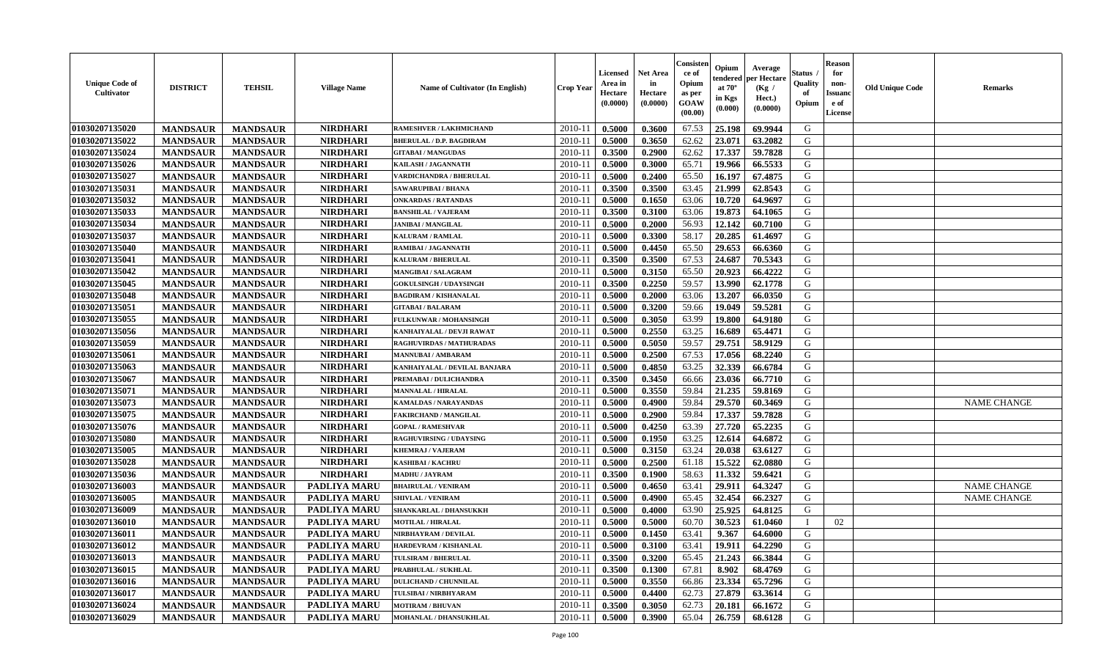| <b>Unique Code of</b><br><b>Cultivator</b> | <b>DISTRICT</b> | <b>TEHSIL</b>   | <b>Village Name</b> | <b>Name of Cultivator (In English)</b> | <b>Crop Year</b> | Licensed<br>Area in<br>Hectare<br>(0.0000) | <b>Net Area</b><br>in<br>Hectare<br>(0.0000) | Consister<br>ce of<br>Opium<br>as per<br>GOAW<br>(00.00) | Opium<br>endered<br>at $70^{\circ}$<br>in Kgs<br>$(\mathbf{0.000})$ | Average<br>per Hectare<br>(Kg /<br>Hect.)<br>(0.0000) | <b>Status</b> .<br>Quality<br>of<br>Opium | <b>Reason</b><br>for<br>non-<br><b>Issuanc</b><br>e of<br>License | <b>Old Unique Code</b> | <b>Remarks</b>     |
|--------------------------------------------|-----------------|-----------------|---------------------|----------------------------------------|------------------|--------------------------------------------|----------------------------------------------|----------------------------------------------------------|---------------------------------------------------------------------|-------------------------------------------------------|-------------------------------------------|-------------------------------------------------------------------|------------------------|--------------------|
| 01030207135020                             | <b>MANDSAUR</b> | <b>MANDSAUR</b> | <b>NIRDHARI</b>     | RAMESHVER / LAKHMICHAND                | 2010-11          | 0.5000                                     | 0.3600                                       | 67.53                                                    | 25.198                                                              | 69.9944                                               | G                                         |                                                                   |                        |                    |
| 01030207135022                             | <b>MANDSAUR</b> | <b>MANDSAUR</b> | <b>NIRDHARI</b>     | <b>BHERULAL / D.P. BAGDIRAM</b>        | $2010 - 11$      | 0.5000                                     | 0.3650                                       | 62.62                                                    | 23.071                                                              | 63.2082                                               | G                                         |                                                                   |                        |                    |
| 01030207135024                             | <b>MANDSAUR</b> | <b>MANDSAUR</b> | <b>NIRDHARI</b>     | <b>GITABAI/MANGUDAS</b>                | 2010-11          | 0.3500                                     | 0.2900                                       | 62.62                                                    | 17.337                                                              | 59.7828                                               | G                                         |                                                                   |                        |                    |
| 01030207135026                             | <b>MANDSAUR</b> | <b>MANDSAUR</b> | <b>NIRDHARI</b>     | <b>KAILASH / JAGANNATH</b>             | 2010-11          | 0.5000                                     | 0.3000                                       | 65.71                                                    | 19.966                                                              | 66.5533                                               | G                                         |                                                                   |                        |                    |
| 01030207135027                             | <b>MANDSAUR</b> | <b>MANDSAUR</b> | <b>NIRDHARI</b>     | <b>VARDICHANDRA / BHERULAL</b>         | 2010-11          | 0.5000                                     | 0.2400                                       | 65.50                                                    | 16.197                                                              | 67.4875                                               | G                                         |                                                                   |                        |                    |
| 01030207135031                             | <b>MANDSAUR</b> | <b>MANDSAUR</b> | <b>NIRDHARI</b>     | SAWARUPIBAI / BHANA                    | $2010 - 11$      | 0.3500                                     | 0.3500                                       | 63.45                                                    | 21.999                                                              | 62.8543                                               | G                                         |                                                                   |                        |                    |
| 01030207135032                             | <b>MANDSAUR</b> | <b>MANDSAUR</b> | <b>NIRDHARI</b>     | <b>ONKARDAS / RATANDAS</b>             | $2010 - 1$       | 0.5000                                     | 0.1650                                       | 63.06                                                    | 10.720                                                              | 64.9697                                               | G                                         |                                                                   |                        |                    |
| 01030207135033                             | <b>MANDSAUR</b> | <b>MANDSAUR</b> | <b>NIRDHARI</b>     | <b>BANSHILAL / VAJERAM</b>             | 2010-11          | 0.3500                                     | 0.3100                                       | 63.06                                                    | 19.873                                                              | 64.1065                                               | G                                         |                                                                   |                        |                    |
| 01030207135034                             | <b>MANDSAUR</b> | <b>MANDSAUR</b> | <b>NIRDHARI</b>     | <b>JANIBAI / MANGILAL</b>              | 2010-11          | 0.5000                                     | 0.2000                                       | 56.93                                                    | 12.142                                                              | 60.7100                                               | G                                         |                                                                   |                        |                    |
| 01030207135037                             | <b>MANDSAUR</b> | <b>MANDSAUR</b> | <b>NIRDHARI</b>     | KALURAM / RAMLAL                       | 2010-11          | 0.5000                                     | 0.3300                                       | 58.17                                                    | 20.285                                                              | 61.4697                                               | G                                         |                                                                   |                        |                    |
| 01030207135040                             | <b>MANDSAUR</b> | <b>MANDSAUR</b> | <b>NIRDHARI</b>     | RAMIBAI / JAGANNATH                    | 2010-11          | 0.5000                                     | 0.4450                                       | 65.50                                                    | 29.653                                                              | 66.6360                                               | G                                         |                                                                   |                        |                    |
| 01030207135041                             | <b>MANDSAUR</b> | <b>MANDSAUR</b> | <b>NIRDHARI</b>     | <b>KALURAM / BHERULAL</b>              | 2010-11          | 0.3500                                     | 0.3500                                       | 67.53                                                    | 24.687                                                              | 70.5343                                               | G                                         |                                                                   |                        |                    |
| 01030207135042                             | <b>MANDSAUR</b> | <b>MANDSAUR</b> | <b>NIRDHARI</b>     | <b>MANGIBAI/SALAGRAM</b>               | 2010-11          | 0.5000                                     | 0.3150                                       | 65.50                                                    | 20.923                                                              | 66.4222                                               | G                                         |                                                                   |                        |                    |
| 01030207135045                             | <b>MANDSAUR</b> | <b>MANDSAUR</b> | <b>NIRDHARI</b>     | <b>GOKULSINGH / UDAYSINGH</b>          | 2010-11          | 0.3500                                     | 0.2250                                       | 59.57                                                    | 13.990                                                              | 62.1778                                               | G                                         |                                                                   |                        |                    |
| 01030207135048                             | <b>MANDSAUR</b> | <b>MANDSAUR</b> | <b>NIRDHARI</b>     | <b>BAGDIRAM / KISHANALAL</b>           | $2010 - 1$       | 0.5000                                     | 0.2000                                       | 63.06                                                    | 13.207                                                              | 66.0350                                               | ${\bf G}$                                 |                                                                   |                        |                    |
| 01030207135051                             | <b>MANDSAUR</b> | <b>MANDSAUR</b> | <b>NIRDHARI</b>     | <b>GITABAI/BALARAM</b>                 | 2010-11          | 0.5000                                     | 0.3200                                       | 59.66                                                    | 19.049                                                              | 59.5281                                               | G                                         |                                                                   |                        |                    |
| 01030207135055                             | <b>MANDSAUR</b> | <b>MANDSAUR</b> | <b>NIRDHARI</b>     | FULKUNWAR / MOHANSINGH                 | 2010-11          | 0.5000                                     | 0.3050                                       | 63.99                                                    | 19.800                                                              | 64.9180                                               | G                                         |                                                                   |                        |                    |
| 01030207135056                             | <b>MANDSAUR</b> | <b>MANDSAUR</b> | <b>NIRDHARI</b>     | KANHAIYALAL / DEVJI RAWAT              | 2010-11          | 0.5000                                     | 0.2550                                       | 63.25                                                    | 16.689                                                              | 65.4471                                               | G                                         |                                                                   |                        |                    |
| 01030207135059                             | <b>MANDSAUR</b> | <b>MANDSAUR</b> | <b>NIRDHARI</b>     | RAGHUVIRDAS / MATHURADAS               | 2010-11          | 0.5000                                     | 0.5050                                       | 59.57                                                    | 29.751                                                              | 58.9129                                               | G                                         |                                                                   |                        |                    |
| 01030207135061                             | <b>MANDSAUR</b> | <b>MANDSAUR</b> | <b>NIRDHARI</b>     | <b>MANNUBAI/AMBARAM</b>                | 2010-11          | 0.5000                                     | 0.2500                                       | 67.53                                                    | 17.056                                                              | 68.2240                                               | G                                         |                                                                   |                        |                    |
| 01030207135063                             | <b>MANDSAUR</b> | <b>MANDSAUR</b> | <b>NIRDHARI</b>     | KANHAIYALAL / DEVILAL BANJARA          | 2010-11          | 0.5000                                     | 0.4850                                       | 63.25                                                    | 32.339                                                              | 66.6784                                               | G                                         |                                                                   |                        |                    |
| 01030207135067                             | <b>MANDSAUR</b> | <b>MANDSAUR</b> | <b>NIRDHARI</b>     | PREMABAI / DULICHANDRA                 | 2010-11          | 0.3500                                     | 0.3450                                       | 66.66                                                    | 23.036                                                              | 66.7710                                               | G                                         |                                                                   |                        |                    |
| 01030207135071                             | <b>MANDSAUR</b> | <b>MANDSAUR</b> | <b>NIRDHARI</b>     | <b>MANNALAL / HIRALAL</b>              | $2010 - 11$      | 0.5000                                     | 0.3550                                       | 59.84                                                    | 21.235                                                              | 59.8169                                               | ${\bf G}$                                 |                                                                   |                        |                    |
| 01030207135073                             | <b>MANDSAUR</b> | <b>MANDSAUR</b> | <b>NIRDHARI</b>     | <b>KAMALDAS / NARAYANDAS</b>           | 2010-11          | 0.5000                                     | 0.4900                                       | 59.84                                                    | 29.570                                                              | 60.3469                                               | ${\bf G}$                                 |                                                                   |                        | <b>NAME CHANGE</b> |
| 01030207135075                             | <b>MANDSAUR</b> | <b>MANDSAUR</b> | <b>NIRDHARI</b>     | <b>FAKIRCHAND / MANGILAL</b>           | 2010-11          | 0.5000                                     | 0.2900                                       | 59.84                                                    | 17.337                                                              | 59.7828                                               | G                                         |                                                                   |                        |                    |
| 01030207135076                             | <b>MANDSAUR</b> | <b>MANDSAUR</b> | <b>NIRDHARI</b>     | <b>GOPAL / RAMESHVAR</b>               | 2010-11          | 0.5000                                     | 0.4250                                       | 63.39                                                    | 27.720                                                              | 65.2235                                               | G                                         |                                                                   |                        |                    |
| 01030207135080                             | <b>MANDSAUR</b> | <b>MANDSAUR</b> | <b>NIRDHARI</b>     | <b>RAGHUVIRSING / UDAYSING</b>         | 2010-11          | 0.5000                                     | 0.1950                                       | 63.25                                                    | 12.614                                                              | 64.6872                                               | G                                         |                                                                   |                        |                    |
| 01030207135005                             | <b>MANDSAUR</b> | <b>MANDSAUR</b> | <b>NIRDHARI</b>     | <b>KHEMRAJ / VAJERAM</b>               | 2010-11          | 0.5000                                     | 0.3150                                       | 63.24                                                    | 20.038                                                              | 63.6127                                               | G                                         |                                                                   |                        |                    |
| 01030207135028                             | <b>MANDSAUR</b> | <b>MANDSAUR</b> | <b>NIRDHARI</b>     | <b>KASHIBAI / KACHRU</b>               | 2010-11          | 0.5000                                     | 0.2500                                       | 61.18                                                    | 15.522                                                              | 62.0880                                               | G                                         |                                                                   |                        |                    |
| 01030207135036                             | <b>MANDSAUR</b> | <b>MANDSAUR</b> | <b>NIRDHARI</b>     | <b>MADHU / JAYRAM</b>                  | 2010-11          | 0.3500                                     | 0.1900                                       | 58.63                                                    | 11.332                                                              | 59.6421                                               | G                                         |                                                                   |                        |                    |
| 01030207136003                             | <b>MANDSAUR</b> | <b>MANDSAUR</b> | PADLIYA MARU        | <b>BHAIRULAL / VENIRAM</b>             | $2010 - 11$      | 0.5000                                     | 0.4650                                       | 63.41                                                    | 29.911                                                              | 64.3247                                               | G                                         |                                                                   |                        | <b>NAME CHANGE</b> |
| 01030207136005                             | <b>MANDSAUR</b> | <b>MANDSAUR</b> | PADLIYA MARU        | <b>SHIVLAL / VENIRAM</b>               | 2010-11          | 0.5000                                     | 0.4900                                       | 65.45                                                    | 32.454                                                              | 66.2327                                               | G                                         |                                                                   |                        | <b>NAME CHANGE</b> |
| 01030207136009                             | <b>MANDSAUR</b> | <b>MANDSAUR</b> | <b>PADLIYA MARU</b> | SHANKARLAL / DHANSUKKH                 | 2010-11          | 0.5000                                     | 0.4000                                       | 63.90                                                    | 25.925                                                              | 64.8125                                               | G                                         |                                                                   |                        |                    |
| 01030207136010                             | <b>MANDSAUR</b> | <b>MANDSAUR</b> | PADLIYA MARU        | <b>MOTILAL / HIRALAL</b>               | 2010-11          | 0.5000                                     | 0.5000                                       | 60.70                                                    | 30.523                                                              | 61.0460                                               | Л                                         | 02                                                                |                        |                    |
| 01030207136011                             | <b>MANDSAUR</b> | <b>MANDSAUR</b> | PADLIYA MARU        | NIRBHAYRAM / DEVILAL                   | 2010-11          | 0.5000                                     | 0.1450                                       | 63.41                                                    | 9.367                                                               | 64.6000                                               | G                                         |                                                                   |                        |                    |
| 01030207136012                             | <b>MANDSAUR</b> | <b>MANDSAUR</b> | PADLIYA MARU        | HARDEVRAM / KISHANLAL                  | 2010-11          | 0.5000                                     | 0.3100                                       | 63.41                                                    | 19.911                                                              | 64.2290                                               | G                                         |                                                                   |                        |                    |
| 01030207136013                             | <b>MANDSAUR</b> | <b>MANDSAUR</b> | PADLIYA MARU        | TULSIRAM / BHERULAL                    | 2010-11          | 0.3500                                     | 0.3200                                       | 65.45                                                    | 21.243                                                              | 66.3844                                               | G                                         |                                                                   |                        |                    |
| 01030207136015                             | <b>MANDSAUR</b> | <b>MANDSAUR</b> | PADLIYA MARU        | PRABHULAL / SUKHLAL                    | 2010-11          | 0.3500                                     | 0.1300                                       | 67.81                                                    | 8.902                                                               | 68.4769                                               | G                                         |                                                                   |                        |                    |
| 01030207136016                             | <b>MANDSAUR</b> | <b>MANDSAUR</b> | PADLIYA MARU        | <b>DULICHAND / CHUNNILAL</b>           | $2010 - 11$      | 0.5000                                     | 0.3550                                       | 66.86                                                    | 23.334                                                              | 65.7296                                               | G                                         |                                                                   |                        |                    |
| 01030207136017                             | <b>MANDSAUR</b> | <b>MANDSAUR</b> | PADLIYA MARU        | TULSIBAI / NIRBHYARAM                  | $2010 - 11$      | 0.5000                                     | 0.4400                                       | 62.73                                                    | 27.879                                                              | 63.3614                                               | ${\bf G}$                                 |                                                                   |                        |                    |
| 01030207136024                             | <b>MANDSAUR</b> | <b>MANDSAUR</b> | <b>PADLIYA MARU</b> | <b>MOTIRAM / BHUVAN</b>                | 2010-11          | 0.3500                                     | 0.3050                                       | 62.73                                                    | 20.181                                                              | 66.1672                                               | G                                         |                                                                   |                        |                    |
| 01030207136029                             | <b>MANDSAUR</b> | <b>MANDSAUR</b> | <b>PADLIYA MARU</b> | MOHANLAL / DHANSUKHLAL                 | 2010-11          | 0.5000                                     | 0.3900                                       | 65.04                                                    | 26.759                                                              | 68.6128                                               | G                                         |                                                                   |                        |                    |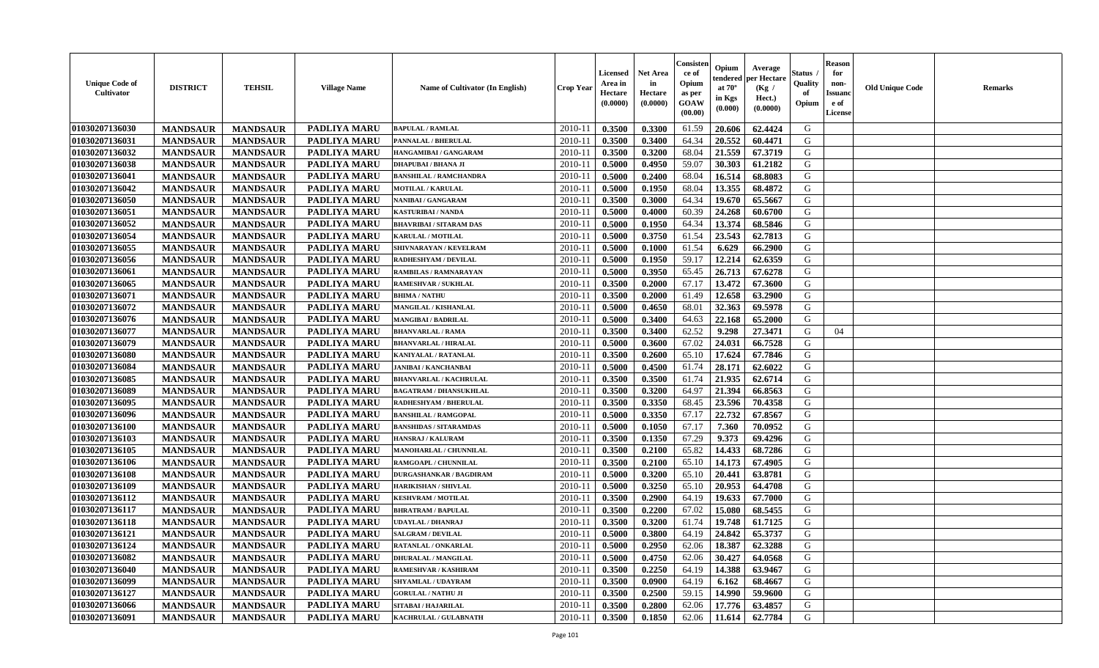| <b>Unique Code of</b><br><b>Cultivator</b> | <b>DISTRICT</b> | <b>TEHSIL</b>   | <b>Village Name</b> | Name of Cultivator (In English) | <b>Crop Year</b> | <b>Licensed</b><br>Area in<br>Hectare<br>(0.0000) | <b>Net Area</b><br>in<br>Hectare<br>(0.0000) | Consister<br>ce of<br>Opium<br>as per<br>GOAW<br>(00.00) | Opium<br>endered<br>at $70^\circ$<br>in Kgs<br>(0.000) | Average<br>per Hectare<br>(Kg /<br>Hect.)<br>(0.0000) | Status<br>Quality<br>of<br>Opium | <b>Reason</b><br>for<br>non-<br><b>Issuand</b><br>e of<br><b>License</b> | <b>Old Unique Code</b> | <b>Remarks</b> |
|--------------------------------------------|-----------------|-----------------|---------------------|---------------------------------|------------------|---------------------------------------------------|----------------------------------------------|----------------------------------------------------------|--------------------------------------------------------|-------------------------------------------------------|----------------------------------|--------------------------------------------------------------------------|------------------------|----------------|
| 01030207136030                             | <b>MANDSAUR</b> | <b>MANDSAUR</b> | <b>PADLIYA MARU</b> | <b>BAPULAL / RAMLAL</b>         | 2010-11          | 0.3500                                            | 0.3300                                       | 61.59                                                    | 20.606                                                 | 62.4424                                               | G                                |                                                                          |                        |                |
| 01030207136031                             | <b>MANDSAUR</b> | <b>MANDSAUR</b> | <b>PADLIYA MARU</b> | PANNALAL / BHERULAL             | 2010-11          | 0.3500                                            | 0.3400                                       | 64.34                                                    | 20.552                                                 | 60.4471                                               | G                                |                                                                          |                        |                |
| 01030207136032                             | <b>MANDSAUR</b> | <b>MANDSAUR</b> | PADLIYA MARU        | HANGAMIBAI / GANGARAM           | 2010-11          | 0.3500                                            | 0.3200                                       | 68.04                                                    | 21.559                                                 | 67.3719                                               | G                                |                                                                          |                        |                |
| 01030207136038                             | <b>MANDSAUR</b> | <b>MANDSAUR</b> | <b>PADLIYA MARU</b> | <b>DHAPUBAI/BHANA JI</b>        | 2010-11          | 0.5000                                            | 0.4950                                       | 59.07                                                    | 30.303                                                 | 61.2182                                               | G                                |                                                                          |                        |                |
| 01030207136041                             | <b>MANDSAUR</b> | <b>MANDSAUR</b> | <b>PADLIYA MARU</b> | <b>BANSHILAL / RAMCHANDRA</b>   | 2010-11          | 0.5000                                            | 0.2400                                       | 68.04                                                    | 16.514                                                 | 68.8083                                               | G                                |                                                                          |                        |                |
| 01030207136042                             | <b>MANDSAUR</b> | <b>MANDSAUR</b> | PADLIYA MARU        | <b>MOTILAL / KARULAL</b>        | 2010-11          | 0.5000                                            | 0.1950                                       | 68.04                                                    | 13.355                                                 | 68.4872                                               | G                                |                                                                          |                        |                |
| 01030207136050                             | <b>MANDSAUR</b> | <b>MANDSAUR</b> | PADLIYA MARU        | NANIBAI / GANGARAM              | 2010-11          | 0.3500                                            | 0.3000                                       | 64.34                                                    | 19.670                                                 | 65.5667                                               | G                                |                                                                          |                        |                |
| 01030207136051                             | <b>MANDSAUR</b> | <b>MANDSAUR</b> | <b>PADLIYA MARU</b> | <b>KASTURIBAI / NANDA</b>       | 2010-11          | 0.5000                                            | 0.4000                                       | 60.39                                                    | 24.268                                                 | 60.6700                                               | G                                |                                                                          |                        |                |
| 01030207136052                             | <b>MANDSAUR</b> | <b>MANDSAUR</b> | PADLIYA MARU        | <b>BHAVRIBAI / SITARAM DAS</b>  | 2010-11          | 0.5000                                            | 0.1950                                       | 64.34                                                    | 13.374                                                 | 68.5846                                               | G                                |                                                                          |                        |                |
| 01030207136054                             | <b>MANDSAUR</b> | <b>MANDSAUR</b> | PADLIYA MARU        | KARULAL / MOTILAL               | 2010-11          | 0.5000                                            | 0.3750                                       | 61.54                                                    | 23.543                                                 | 62.7813                                               | G                                |                                                                          |                        |                |
| 01030207136055                             | <b>MANDSAUR</b> | <b>MANDSAUR</b> | <b>PADLIYA MARU</b> | SHIVNARAYAN / KEVELRAM          | 2010-11          | 0.5000                                            | 0.1000                                       | 61.54                                                    | 6.629                                                  | 66.2900                                               | $\mathbf G$                      |                                                                          |                        |                |
| 01030207136056                             | <b>MANDSAUR</b> | <b>MANDSAUR</b> | PADLIYA MARU        | RADHESHYAM / DEVILAL            | 2010-11          | 0.5000                                            | 0.1950                                       | 59.17                                                    | 12.214                                                 | 62.6359                                               | G                                |                                                                          |                        |                |
| 01030207136061                             | <b>MANDSAUR</b> | <b>MANDSAUR</b> | PADLIYA MARU        | RAMBILAS / RAMNARAYAN           | 2010-11          | 0.5000                                            | 0.3950                                       | 65.45                                                    | 26.713                                                 | 67.6278                                               | G                                |                                                                          |                        |                |
| 01030207136065                             | <b>MANDSAUR</b> | <b>MANDSAUR</b> | PADLIYA MARU        | <b>RAMESHVAR / SUKHLAL</b>      | 2010-11          | 0.3500                                            | 0.2000                                       | 67.17                                                    | 13.472                                                 | 67.3600                                               | G                                |                                                                          |                        |                |
| 01030207136071                             | <b>MANDSAUR</b> | <b>MANDSAUR</b> | PADLIYA MARU        | <b>BHIMA / NATHU</b>            | 2010-11          | 0.3500                                            | 0.2000                                       | 61.49                                                    | 12.658                                                 | 63.2900                                               | G                                |                                                                          |                        |                |
| 01030207136072                             | <b>MANDSAUR</b> | <b>MANDSAUR</b> | PADLIYA MARU        | MANGILAL / KISHANLAL            | 2010-11          | 0.5000                                            | 0.4650                                       | 68.01                                                    | 32.363                                                 | 69.5978                                               | G                                |                                                                          |                        |                |
| 01030207136076                             | <b>MANDSAUR</b> | <b>MANDSAUR</b> | PADLIYA MARU        | <b>MANGIBAI/BADRILAL</b>        | 2010-11          | 0.5000                                            | 0.3400                                       | 64.63                                                    | 22.168                                                 | 65.2000                                               | G                                |                                                                          |                        |                |
| 01030207136077                             | <b>MANDSAUR</b> | <b>MANDSAUR</b> | <b>PADLIYA MARU</b> | <b>BHANVARLAL / RAMA</b>        | 2010-11          | 0.3500                                            | 0.3400                                       | 62.52                                                    | 9.298                                                  | 27.3471                                               | G                                | 04                                                                       |                        |                |
| 01030207136079                             | <b>MANDSAUR</b> | <b>MANDSAUR</b> | PADLIYA MARU        | <b>BHANVARLAL / HIRALAL</b>     | 2010-11          | 0.5000                                            | 0.3600                                       | 67.02                                                    | 24.031                                                 | 66.7528                                               | G                                |                                                                          |                        |                |
| 01030207136080                             | <b>MANDSAUR</b> | <b>MANDSAUR</b> | <b>PADLIYA MARU</b> | <b>KANIYALAL / RATANLAL</b>     | 2010-11          | 0.3500                                            | 0.2600                                       | 65.10                                                    | 17.624                                                 | 67.7846                                               | G                                |                                                                          |                        |                |
| 01030207136084                             | <b>MANDSAUR</b> | <b>MANDSAUR</b> | PADLIYA MARU        | <b>JANIBAI / KANCHANBAI</b>     | 2010-11          | 0.5000                                            | 0.4500                                       | 61.74                                                    | 28.171                                                 | 62.6022                                               | G                                |                                                                          |                        |                |
| 01030207136085                             | <b>MANDSAUR</b> | <b>MANDSAUR</b> | PADLIYA MARU        | <b>BHANVARLAL / KACHRULAL</b>   | 2010-11          | 0.3500                                            | 0.3500                                       | 61.74                                                    | 21.935                                                 | 62.6714                                               | G                                |                                                                          |                        |                |
| 01030207136089                             | <b>MANDSAUR</b> | <b>MANDSAUR</b> | PADLIYA MARU        | <b>BAGATRAM / DHANSUKHLAL</b>   | $2010 - 11$      | 0.3500                                            | 0.3200                                       | 64.97                                                    | 21.394                                                 | 66.8563                                               | G                                |                                                                          |                        |                |
| 01030207136095                             | <b>MANDSAUR</b> | <b>MANDSAUR</b> | PADLIYA MARU        | RADHESHYAM / BHERULAL           | 2010-11          | 0.3500                                            | 0.3350                                       | 68.45                                                    | 23.596                                                 | 70.4358                                               | G                                |                                                                          |                        |                |
| 01030207136096                             | <b>MANDSAUR</b> | <b>MANDSAUR</b> | <b>PADLIYA MARU</b> | <b>BANSHILAL / RAMGOPAL</b>     | 2010-11          | 0.5000                                            | 0.3350                                       | 67.17                                                    | 22.732                                                 | 67.8567                                               | G                                |                                                                          |                        |                |
| 01030207136100                             | <b>MANDSAUR</b> | <b>MANDSAUR</b> | PADLIYA MARU        | <b>BANSHIDAS / SITARAMDAS</b>   | 2010-11          | 0.5000                                            | 0.1050                                       | 67.17                                                    | 7.360                                                  | 70.0952                                               | G                                |                                                                          |                        |                |
| 01030207136103                             | <b>MANDSAUR</b> | <b>MANDSAUR</b> | PADLIYA MARU        | <b>HANSRAJ / KALURAM</b>        | 2010-11          | 0.3500                                            | 0.1350                                       | 67.29                                                    | 9.373                                                  | 69.4296                                               | G                                |                                                                          |                        |                |
| 01030207136105                             | <b>MANDSAUR</b> | <b>MANDSAUR</b> | <b>PADLIYA MARU</b> | MANOHARLAL / CHUNNILAL          | 2010-11          | 0.3500                                            | 0.2100                                       | 65.82                                                    | 14.433                                                 | 68.7286                                               | G                                |                                                                          |                        |                |
| 01030207136106                             | <b>MANDSAUR</b> | <b>MANDSAUR</b> | PADLIYA MARU        | RAMGOAPL / CHUNNILAL            | 2010-11          | 0.3500                                            | 0.2100                                       | 65.10                                                    | 14.173                                                 | 67.4905                                               | G                                |                                                                          |                        |                |
| 01030207136108                             | <b>MANDSAUR</b> | <b>MANDSAUR</b> | PADLIYA MARU        | <b>DURGASHANKAR / BAGDIRAM</b>  | 2010-11          | 0.5000                                            | 0.3200                                       | 65.10                                                    | 20.441                                                 | 63.8781                                               | G                                |                                                                          |                        |                |
| 01030207136109                             | <b>MANDSAUR</b> | <b>MANDSAUR</b> | PADLIYA MARU        | <b>HARIKISHAN / SHIVLAL</b>     | $2010 - 11$      | 0.5000                                            | 0.3250                                       | 65.10                                                    | 20.953                                                 | 64.4708                                               | ${\bf G}$                        |                                                                          |                        |                |
| 01030207136112                             | <b>MANDSAUR</b> | <b>MANDSAUR</b> | <b>PADLIYA MARU</b> | <b>KESHVRAM / MOTILAL</b>       | 2010-11          | 0.3500                                            | 0.2900                                       | 64.19                                                    | 19.633                                                 | 67.7000                                               | G                                |                                                                          |                        |                |
| 01030207136117                             | <b>MANDSAUR</b> | <b>MANDSAUR</b> | PADLIYA MARU        | <b>BHRATRAM / BAPULAL</b>       | 2010-11          | 0.3500                                            | 0.2200                                       | 67.02                                                    | 15.080                                                 | 68.5455                                               | G                                |                                                                          |                        |                |
| 01030207136118                             | <b>MANDSAUR</b> | <b>MANDSAUR</b> | PADLIYA MARU        | UDAYLAL / DHANRAJ               | 2010-11          | 0.3500                                            | 0.3200                                       | 61.74                                                    | 19.748                                                 | 61.7125                                               | G                                |                                                                          |                        |                |
| 01030207136121                             | <b>MANDSAUR</b> | <b>MANDSAUR</b> | <b>PADLIYA MARU</b> | <b>SALGRAM / DEVILAL</b>        | 2010-11          | 0.5000                                            | 0.3800                                       | 64.19                                                    | 24.842                                                 | 65.3737                                               | G                                |                                                                          |                        |                |
| 01030207136124                             | <b>MANDSAUR</b> | <b>MANDSAUR</b> | <b>PADLIYA MARU</b> | RATANLAL / ONKARLAL             | 2010-11          | 0.5000                                            | 0.2950                                       | 62.06                                                    | 18.387                                                 | 62.3288                                               | G                                |                                                                          |                        |                |
| 01030207136082                             | <b>MANDSAUR</b> | <b>MANDSAUR</b> | PADLIYA MARU        | <b>DHURALAL / MANGILAL</b>      | 2010-11          | 0.5000                                            | 0.4750                                       | 62.06                                                    | 30.427                                                 | 64.0568                                               | G                                |                                                                          |                        |                |
| 01030207136040                             | <b>MANDSAUR</b> | <b>MANDSAUR</b> | PADLIYA MARU        | RAMESHVAR / KASHIRAM            | 2010-11          | 0.3500                                            | 0.2250                                       | 64.19                                                    | 14.388                                                 | 63.9467                                               | G                                |                                                                          |                        |                |
| 01030207136099                             | <b>MANDSAUR</b> | <b>MANDSAUR</b> | PADLIYA MARU        | SHYAMLAL / UDAYRAM              | 2010-11          | 0.3500                                            | 0.0900                                       | 64.19                                                    | 6.162                                                  | 68.4667                                               | ${\bf G}$                        |                                                                          |                        |                |
| 01030207136127                             | <b>MANDSAUR</b> | <b>MANDSAUR</b> | PADLIYA MARU        | <b>GORULAL / NATHU JI</b>       | $2010 - 11$      | 0.3500                                            | 0.2500                                       | 59.15                                                    | 14.990                                                 | 59.9600                                               | G                                |                                                                          |                        |                |
| 01030207136066                             | <b>MANDSAUR</b> | <b>MANDSAUR</b> | PADLIYA MARU        | SITABAI / HAJARILAL             | 2010-11          | 0.3500                                            | 0.2800                                       | 62.06                                                    | 17.776                                                 | 63.4857                                               | G                                |                                                                          |                        |                |
| 01030207136091                             | <b>MANDSAUR</b> | <b>MANDSAUR</b> | PADLIYA MARU        | KACHRULAL / GULABNATH           | 2010-11          | 0.3500                                            | 0.1850                                       | 62.06                                                    | 11.614                                                 | 62.7784                                               | G                                |                                                                          |                        |                |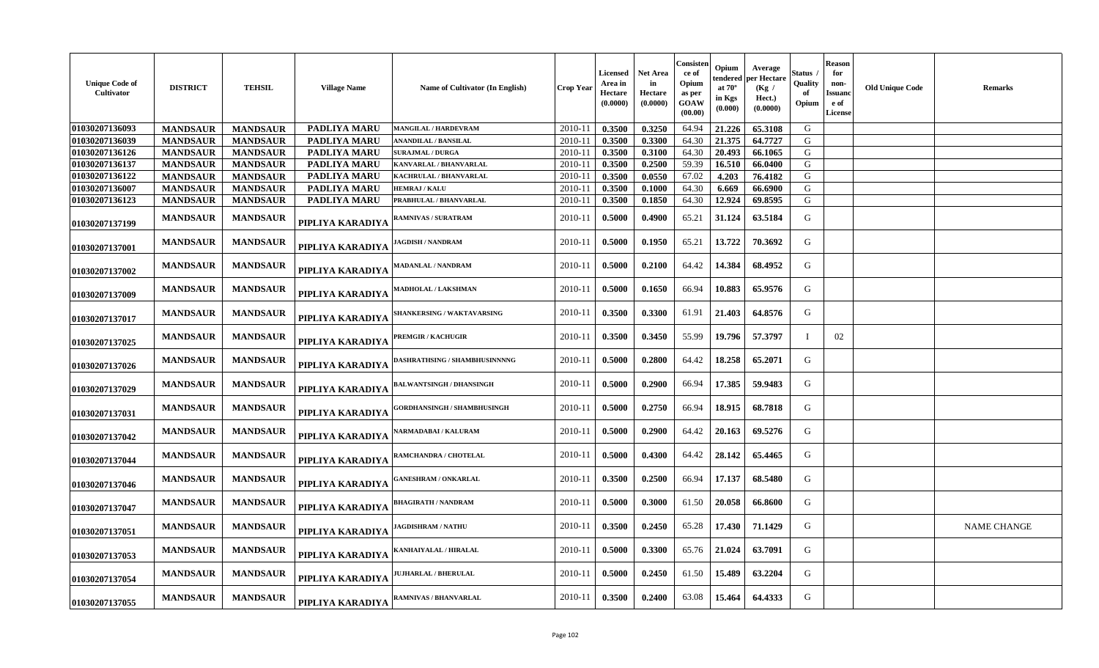| <b>Unique Code of</b><br>Cultivator | <b>DISTRICT</b> | <b>TEHSIL</b>   | <b>Village Name</b> | <b>Name of Cultivator (In English)</b> | <b>Crop Year</b> | <b>Licensed</b><br>Area in<br>Hectare<br>(0.0000) | Net Area<br>in<br>Hectare<br>(0.0000) | Consisten<br>ce of<br>Opium<br>as per<br>GOAW<br>(00.00) | Opium<br>tendered<br>at $70^\circ$<br>in Kgs<br>(0.000) | Average<br><b>per Hectare</b><br>(Kg /<br>Hect.)<br>(0.0000) | Status<br>Quality<br>Opium | <b>Reason</b><br>for<br>non-<br>Issuanc<br>e of<br>License | <b>Old Unique Code</b> | Remarks            |
|-------------------------------------|-----------------|-----------------|---------------------|----------------------------------------|------------------|---------------------------------------------------|---------------------------------------|----------------------------------------------------------|---------------------------------------------------------|--------------------------------------------------------------|----------------------------|------------------------------------------------------------|------------------------|--------------------|
| 01030207136093                      | <b>MANDSAUR</b> | <b>MANDSAUR</b> | <b>PADLIYA MARU</b> | MANGILAL / HARDEVRAM                   | 2010-11          | 0.3500                                            | 0.3250                                | 64.94                                                    | 21.226                                                  | 65.3108                                                      | G                          |                                                            |                        |                    |
| 01030207136039                      | <b>MANDSAUR</b> | <b>MANDSAUR</b> | PADLIYA MARU        | <b>ANANDILAL / BANSILAL</b>            | 2010-11          | 0.3500                                            | 0.3300                                | 64.30                                                    | 21.375                                                  | 64.7727                                                      | G                          |                                                            |                        |                    |
| 01030207136126                      | <b>MANDSAUR</b> | <b>MANDSAUR</b> | PADLIYA MARU        | <b>SURAJMAL / DURGA</b>                | 2010-11          | 0.3500                                            | 0.3100                                | 64.30                                                    | 20.493                                                  | 66.1065                                                      | G                          |                                                            |                        |                    |
| 01030207136137                      | <b>MANDSAUR</b> | <b>MANDSAUR</b> | PADLIYA MARU        | KANVARLAL / BHANVARLAL                 | 2010-11          | 0.3500                                            | 0.2500                                | 59.39                                                    | 16.510                                                  | 66.0400                                                      | G                          |                                                            |                        |                    |
| 01030207136122                      | <b>MANDSAUR</b> | <b>MANDSAUR</b> | <b>PADLIYA MARU</b> | KACHRULAL / BHANVARLAL                 | 2010-11          | 0.3500                                            | 0.0550                                | 67.02                                                    | 4.203                                                   | 76.4182                                                      | G                          |                                                            |                        |                    |
| 01030207136007                      | <b>MANDSAUR</b> | <b>MANDSAUR</b> | <b>PADLIYA MARU</b> | HEMRAJ / KALU                          | 2010-11          | 0.3500                                            | 0.1000                                | 64.30                                                    | 6.669                                                   | 66.6900                                                      | G                          |                                                            |                        |                    |
| 01030207136123                      | <b>MANDSAUR</b> | <b>MANDSAUR</b> | PADLIYA MARU        | PRABHULAL / BHANVARLAL                 | 2010-11          | 0.3500                                            | 0.1850                                | 64.30                                                    | 12.924                                                  | 69.8595                                                      | ${\bf G}$                  |                                                            |                        |                    |
| 01030207137199                      | <b>MANDSAUR</b> | <b>MANDSAUR</b> | PIPLIYA KARADIYA    | <b>RAMNIVAS / SURATRAM</b>             | 2010-11          | 0.5000                                            | 0.4900                                | 65.21                                                    | 31.124                                                  | 63.5184                                                      | G                          |                                                            |                        |                    |
| 01030207137001                      | <b>MANDSAUR</b> | <b>MANDSAUR</b> | PIPLIYA KARADIYA    | <b>JAGDISH / NANDRAM</b>               | 2010-11          | 0.5000                                            | 0.1950                                | 65.21                                                    | 13.722                                                  | 70.3692                                                      | G                          |                                                            |                        |                    |
| 01030207137002                      | <b>MANDSAUR</b> | <b>MANDSAUR</b> | PIPLIYA KARADIYA    | <b>MADANLAL / NANDRAM</b>              | 2010-11          | 0.5000                                            | 0.2100                                | 64.42                                                    | 14.384                                                  | 68.4952                                                      | G                          |                                                            |                        |                    |
| 01030207137009                      | <b>MANDSAUR</b> | <b>MANDSAUR</b> | PIPLIYA KARADIYA    | <b>MADHOLAL / LAKSHMAN</b>             | 2010-11          | 0.5000                                            | 0.1650                                | 66.94                                                    | 10.883                                                  | 65.9576                                                      | G                          |                                                            |                        |                    |
| 01030207137017                      | <b>MANDSAUR</b> | <b>MANDSAUR</b> | PIPLIYA KARADIYA    | SHANKERSING / WAKTAVARSING             | 2010-11          | 0.3500                                            | 0.3300                                | 61.91                                                    | 21.403                                                  | 64.8576                                                      | G                          |                                                            |                        |                    |
| 01030207137025                      | <b>MANDSAUR</b> | <b>MANDSAUR</b> | PIPLIYA KARADIYA    | PREMGIR / KACHUGIR                     | 2010-11          | 0.3500                                            | 0.3450                                | 55.99                                                    | 19.796                                                  | 57.3797                                                      |                            | 02                                                         |                        |                    |
| 01030207137026                      | <b>MANDSAUR</b> | <b>MANDSAUR</b> | PIPLIYA KARADIYA    | <b>DASHRATHSING / SHAMBHUSINNNNG</b>   | 2010-11          | 0.5000                                            | 0.2800                                | 64.42                                                    | 18.258                                                  | 65.2071                                                      | G                          |                                                            |                        |                    |
| 01030207137029                      | <b>MANDSAUR</b> | <b>MANDSAUR</b> | PIPLIYA KARADIYA    | <b>BALWANTSINGH / DHANSINGH</b>        | 2010-11          | 0.5000                                            | 0.2900                                | 66.94                                                    | 17.385                                                  | 59.9483                                                      | G                          |                                                            |                        |                    |
| 01030207137031                      | <b>MANDSAUR</b> | <b>MANDSAUR</b> | PIPLIYA KARADIYA    | GORDHANSINGH / SHAMBHUSINGH            | 2010-11          | 0.5000                                            | 0.2750                                | 66.94                                                    | 18.915                                                  | 68.7818                                                      | G                          |                                                            |                        |                    |
| 01030207137042                      | <b>MANDSAUR</b> | <b>MANDSAUR</b> | PIPLIYA KARADIYA    | NARMADABAI / KALURAM                   | 2010-11          | 0.5000                                            | 0.2900                                | 64.42                                                    | 20.163                                                  | 69.5276                                                      | G                          |                                                            |                        |                    |
| 01030207137044                      | <b>MANDSAUR</b> | <b>MANDSAUR</b> | PIPLIYA KARADIYA    | <b>RAMCHANDRA / CHOTELAL</b>           | 2010-11          | 0.5000                                            | 0.4300                                | 64.42                                                    | 28.142                                                  | 65.4465                                                      | G                          |                                                            |                        |                    |
| 01030207137046                      | <b>MANDSAUR</b> | <b>MANDSAUR</b> | PIPLIYA KARADIYA    | <b>GANESHRAM / ONKARLAL</b>            | 2010-11          | 0.3500                                            | 0.2500                                | 66.94                                                    | 17.137                                                  | 68.5480                                                      | G                          |                                                            |                        |                    |
| 01030207137047                      | <b>MANDSAUR</b> | <b>MANDSAUR</b> | PIPLIYA KARADIYA    | <b>BHAGIRATH / NANDRAM</b>             | 2010-11          | 0.5000                                            | 0.3000                                | 61.50                                                    | 20.058                                                  | 66.8600                                                      | G                          |                                                            |                        |                    |
| 01030207137051                      | <b>MANDSAUR</b> | <b>MANDSAUR</b> | PIPLIYA KARADIYA    | <b>JAGDISHRAM / NATHU</b>              | 2010-11          | 0.3500                                            | 0.2450                                | 65.28                                                    | 17.430                                                  | 71.1429                                                      | G                          |                                                            |                        | <b>NAME CHANGE</b> |
| 01030207137053                      | <b>MANDSAUR</b> | <b>MANDSAUR</b> | PIPLIYA KARADIYA    | KANHAIYALAL / HIRALAL                  | 2010-11          | 0.5000                                            | 0.3300                                | 65.76                                                    | 21.024                                                  | 63.7091                                                      | G                          |                                                            |                        |                    |
| 01030207137054                      | <b>MANDSAUR</b> | <b>MANDSAUR</b> | PIPLIYA KARADIYA    | <b>JUJHARLAL / BHERULAL</b>            | 2010-11          | 0.5000                                            | 0.2450                                | 61.50                                                    | 15.489                                                  | 63.2204                                                      | G                          |                                                            |                        |                    |
| 01030207137055                      | <b>MANDSAUR</b> | <b>MANDSAUR</b> | PIPLIYA KARADIYA    | <b>RAMNIVAS / BHANVARLAL</b>           | 2010-11          | 0.3500                                            | 0.2400                                | 63.08                                                    | 15.464                                                  | 64.4333                                                      | G                          |                                                            |                        |                    |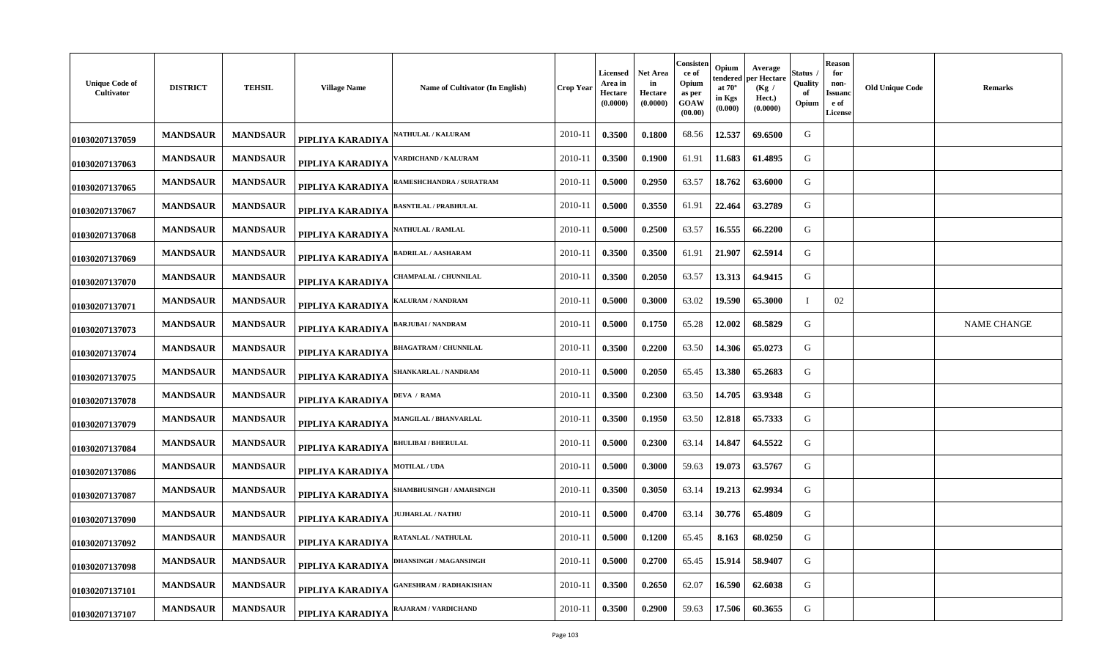| <b>Unique Code of</b><br>Cultivator | <b>DISTRICT</b> | <b>TEHSIL</b>   | <b>Village Name</b> | Name of Cultivator (In English) | <b>Crop Year</b> | <b>Licensed</b><br>Area in<br>Hectare<br>(0.0000) | <b>Net Area</b><br>in<br>Hectare<br>(0.0000) | Consister<br>ce of<br>Opium<br>as per<br>GOAW<br>(00.00) | Opium<br>Average<br>endered per Hectare<br>at $70^\circ$<br>(Kg /<br>in Kgs<br>Hect.)<br>(0.000)<br>(0.0000) | <b>Status</b><br>Quality<br>of<br>Opium | Reason<br>for<br>non-<br><b>Issuand</b><br>e of<br>License | <b>Old Unique Code</b> | <b>Remarks</b>     |
|-------------------------------------|-----------------|-----------------|---------------------|---------------------------------|------------------|---------------------------------------------------|----------------------------------------------|----------------------------------------------------------|--------------------------------------------------------------------------------------------------------------|-----------------------------------------|------------------------------------------------------------|------------------------|--------------------|
| 01030207137059                      | <b>MANDSAUR</b> | <b>MANDSAUR</b> | PIPLIYA KARADIYA    | <b>NATHULAL / KALURAM</b>       | 2010-11          | 0.3500                                            | 0.1800                                       | 68.56                                                    | 12.537<br>69.6500                                                                                            | G                                       |                                                            |                        |                    |
| 01030207137063                      | <b>MANDSAUR</b> | <b>MANDSAUR</b> | PIPLIYA KARADIYA    | 'ARDICHAND / KALURAM            | 2010-11          | 0.3500                                            | 0.1900                                       | 61.91                                                    | 11.683<br>61.4895                                                                                            | G                                       |                                                            |                        |                    |
| 01030207137065                      | <b>MANDSAUR</b> | <b>MANDSAUR</b> | PIPLIYA KARADIYA    | RAMESHCHANDRA / SURATRAM        | 2010-11          | 0.5000                                            | 0.2950                                       | 63.57                                                    | 18.762<br>63.6000                                                                                            | G                                       |                                                            |                        |                    |
| 01030207137067                      | <b>MANDSAUR</b> | <b>MANDSAUR</b> | PIPLIYA KARADIYA    | <b>BASNTILAL / PRABHULAL</b>    | 2010-11          | 0.5000                                            | 0.3550                                       | 61.91                                                    | 22.464<br>63.2789                                                                                            | G                                       |                                                            |                        |                    |
| 01030207137068                      | <b>MANDSAUR</b> | <b>MANDSAUR</b> | PIPLIYA KARADIYA    | <b>\ATHULAL / RAMLAL</b>        | 2010-11          | 0.5000                                            | 0.2500                                       | 63.57                                                    | 16.555<br>66.2200                                                                                            | G                                       |                                                            |                        |                    |
| 01030207137069                      | <b>MANDSAUR</b> | <b>MANDSAUR</b> | PIPLIYA KARADIYA    | <b>BADRILAL / AASHARAM</b>      | 2010-11          | 0.3500                                            | 0.3500                                       | 61.91                                                    | 21.907<br>62.5914                                                                                            | G                                       |                                                            |                        |                    |
| 01030207137070                      | <b>MANDSAUR</b> | <b>MANDSAUR</b> | PIPLIYA KARADIYA    | <b>HAMPALAL / CHUNNILAL</b>     | 2010-11          | 0.3500                                            | 0.2050                                       | 63.57                                                    | 13.313<br>64.9415                                                                                            | G                                       |                                                            |                        |                    |
| 01030207137071                      | <b>MANDSAUR</b> | <b>MANDSAUR</b> | PIPLIYA KARADIYA    | KALURAM / NANDRAM               | 2010-11          | 0.5000                                            | 0.3000                                       | 63.02                                                    | 65.3000<br>19.590                                                                                            | $\mathbf I$                             | 02                                                         |                        |                    |
| 01030207137073                      | <b>MANDSAUR</b> | <b>MANDSAUR</b> | PIPLIYA KARADIYA    | BARJUBAI / NANDRAM              | 2010-11          | 0.5000                                            | 0.1750                                       | 65.28                                                    | 12.002<br>68.5829                                                                                            | G                                       |                                                            |                        | <b>NAME CHANGE</b> |
| 01030207137074                      | <b>MANDSAUR</b> | <b>MANDSAUR</b> | PIPLIYA KARADIYA    | <b>BHAGATRAM / CHUNNILAL</b>    | 2010-11          | 0.3500                                            | 0.2200                                       | 63.50                                                    | 14.306<br>65.0273                                                                                            | G                                       |                                                            |                        |                    |
| 01030207137075                      | <b>MANDSAUR</b> | <b>MANDSAUR</b> | PIPLIYA KARADIYA    | SHANKARLAL / NANDRAM            | 2010-11          | 0.5000                                            | 0.2050                                       | 65.45                                                    | 13.380<br>65.2683                                                                                            | G                                       |                                                            |                        |                    |
| 01030207137078                      | <b>MANDSAUR</b> | <b>MANDSAUR</b> | PIPLIYA KARADIYA    | <b>DEVA / RAMA</b>              | 2010-11          | 0.3500                                            | 0.2300                                       | 63.50                                                    | 63.9348<br>14.705                                                                                            | G                                       |                                                            |                        |                    |
| 01030207137079                      | <b>MANDSAUR</b> | <b>MANDSAUR</b> | PIPLIYA KARADIYA    | MANGILAL / BHANVARLAL           | 2010-11          | 0.3500                                            | 0.1950                                       | 63.50                                                    | 12.818<br>65.7333                                                                                            | G                                       |                                                            |                        |                    |
| 01030207137084                      | <b>MANDSAUR</b> | <b>MANDSAUR</b> | PIPLIYA KARADIYA    | <b>BHULIBAI / BHERULAL</b>      | 2010-11          | 0.5000                                            | 0.2300                                       | 63.14                                                    | 14.847<br>64.5522                                                                                            | G                                       |                                                            |                        |                    |
| 01030207137086                      | <b>MANDSAUR</b> | <b>MANDSAUR</b> | PIPLIYA KARADIYA    | <b>MOTILAL / UDA</b>            | 2010-11          | 0.5000                                            | 0.3000                                       | 59.63                                                    | 63.5767<br>19.073                                                                                            | G                                       |                                                            |                        |                    |
| 01030207137087                      | <b>MANDSAUR</b> | <b>MANDSAUR</b> | PIPLIYA KARADIYA    | <b>SHAMBHUSINGH / AMARSINGH</b> | 2010-11          | 0.3500                                            | 0.3050                                       | 63.14                                                    | 19.213<br>62.9934                                                                                            | G                                       |                                                            |                        |                    |
| 01030207137090                      | <b>MANDSAUR</b> | <b>MANDSAUR</b> | PIPLIYA KARADIYA    | <b>JUJHARLAL / NATHU</b>        | 2010-11          | 0.5000                                            | 0.4700                                       | 63.14                                                    | 65.4809<br>30.776                                                                                            | G                                       |                                                            |                        |                    |
| 01030207137092                      | <b>MANDSAUR</b> | <b>MANDSAUR</b> | PIPLIYA KARADIYA    | RATANLAL / NATHULAL             | 2010-11          | 0.5000                                            | 0.1200                                       | 65.45                                                    | 8.163<br>68.0250                                                                                             | G                                       |                                                            |                        |                    |
| 01030207137098                      | <b>MANDSAUR</b> | <b>MANDSAUR</b> | PIPLIYA KARADIYA    | <b>DHANSINGH / MAGANSINGH</b>   | 2010-11          | 0.5000                                            | 0.2700                                       | 65.45                                                    | 15.914<br>58.9407                                                                                            | G                                       |                                                            |                        |                    |
| 01030207137101                      | <b>MANDSAUR</b> | <b>MANDSAUR</b> | PIPLIYA KARADIYA    | GANESHRAM / RADHAKISHAN         | 2010-11          | 0.3500                                            | 0.2650                                       | 62.07                                                    | 16.590<br>62.6038                                                                                            | G                                       |                                                            |                        |                    |
| 01030207137107                      | <b>MANDSAUR</b> | <b>MANDSAUR</b> | PIPLIYA KARADIYA    | RAJARAM / VARDICHAND            | 2010-11          | 0.3500                                            | 0.2900                                       | 59.63                                                    | 60.3655<br>17.506                                                                                            | G                                       |                                                            |                        |                    |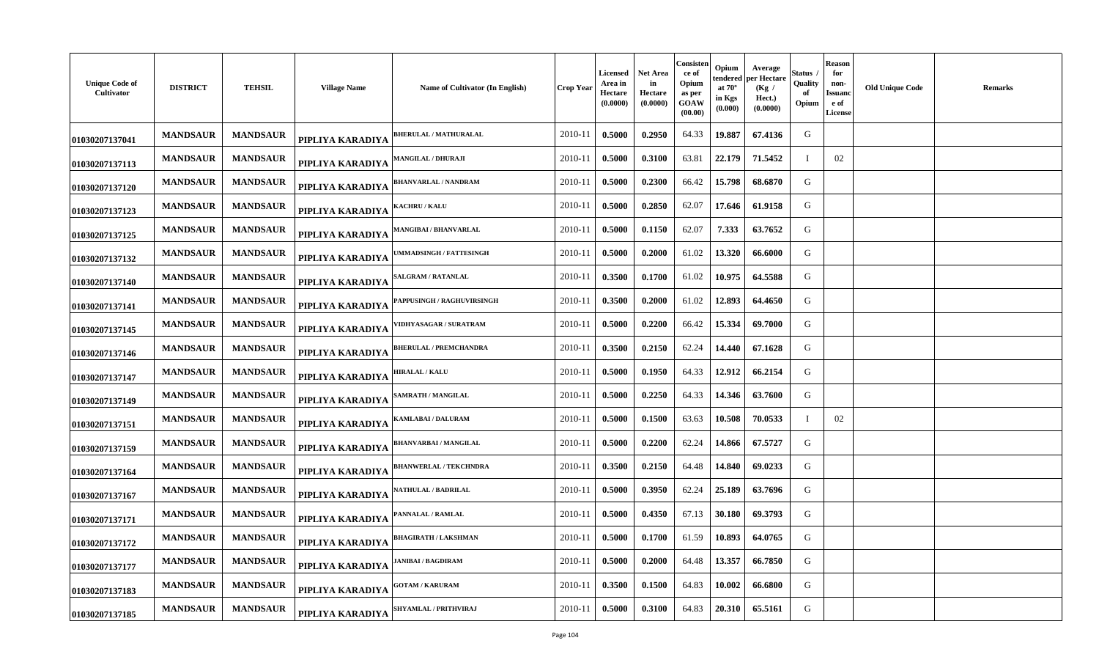| <b>Unique Code of</b><br>Cultivator | <b>DISTRICT</b> | <b>TEHSIL</b>   | <b>Village Name</b> | Name of Cultivator (In English)  | Crop Year | Licensed<br>Area in<br>Hectare<br>(0.0000) | Net Area<br>in<br>Hectare<br>(0.0000) | Consisten<br>ce of<br>Opium<br>as per<br>GOAW<br>(00.00) | Opium<br>tendered<br>at $70^\circ$<br>in Kgs<br>(0.000) | Average<br>oer Hectare<br>(Kg)<br>Hect.)<br>(0.0000) | Status<br>Quality<br>-of<br>Opium | <b>Reason</b><br>for<br>non-<br>Issuano<br>e of<br><b>License</b> | <b>Old Unique Code</b> | <b>Remarks</b> |
|-------------------------------------|-----------------|-----------------|---------------------|----------------------------------|-----------|--------------------------------------------|---------------------------------------|----------------------------------------------------------|---------------------------------------------------------|------------------------------------------------------|-----------------------------------|-------------------------------------------------------------------|------------------------|----------------|
| 01030207137041                      | <b>MANDSAUR</b> | <b>MANDSAUR</b> | PIPLIYA KARADIYA    | <b>BHERULAL / MATHURALAL</b>     | 2010-11   | 0.5000                                     | 0.2950                                | 64.33                                                    | 19.887                                                  | 67.4136                                              | G                                 |                                                                   |                        |                |
| 01030207137113                      | <b>MANDSAUR</b> | <b>MANDSAUR</b> | PIPLIYA KARADIYA    | <b>MANGILAL / DHURAJI</b>        | 2010-11   | 0.5000                                     | 0.3100                                | 63.81                                                    | 22.179                                                  | 71.5452                                              | - 1                               | 02                                                                |                        |                |
| 01030207137120                      | <b>MANDSAUR</b> | <b>MANDSAUR</b> | PIPLIYA KARADIYA    | <b>BHANVARLAL / NANDRAM</b>      | 2010-11   | 0.5000                                     | 0.2300                                | 66.42                                                    | 15.798                                                  | 68.6870                                              | G                                 |                                                                   |                        |                |
| 01030207137123                      | <b>MANDSAUR</b> | <b>MANDSAUR</b> | PIPLIYA KARADIYA    | <b>(ACHRU / KALU</b>             | 2010-11   | 0.5000                                     | 0.2850                                | 62.07                                                    | 17.646                                                  | 61.9158                                              | G                                 |                                                                   |                        |                |
| 01030207137125                      | <b>MANDSAUR</b> | <b>MANDSAUR</b> | PIPLIYA KARADIYA    | <b>AANGIBAI / BHANVARLAL</b>     | 2010-11   | 0.5000                                     | 0.1150                                | 62.07                                                    | 7.333                                                   | 63.7652                                              | G                                 |                                                                   |                        |                |
| 01030207137132                      | <b>MANDSAUR</b> | <b>MANDSAUR</b> | PIPLIYA KARADIYA    | <b>MMADSINGH / FATTESINGH</b>    | 2010-11   | 0.5000                                     | 0.2000                                | 61.02                                                    | 13.320                                                  | 66.6000                                              | G                                 |                                                                   |                        |                |
| 01030207137140                      | <b>MANDSAUR</b> | <b>MANDSAUR</b> | PIPLIYA KARADIYA    | <b>ALGRAM / RATANLAL</b>         | 2010-11   | 0.3500                                     | 0.1700                                | 61.02                                                    | 10.975                                                  | 64.5588                                              | G                                 |                                                                   |                        |                |
| 01030207137141                      | <b>MANDSAUR</b> | <b>MANDSAUR</b> | PIPLIYA KARADIYA    | <b>APPUSINGH / RAGHUVIRSINGH</b> | 2010-11   | 0.3500                                     | 0.2000                                | 61.02                                                    | 12.893                                                  | 64.4650                                              | G                                 |                                                                   |                        |                |
| 01030207137145                      | <b>MANDSAUR</b> | <b>MANDSAUR</b> | PIPLIYA KARADIYA    | <b>IDHYASAGAR / SURATRAM</b>     | 2010-11   | 0.5000                                     | 0.2200                                | 66.42                                                    | 15.334                                                  | 69.7000                                              | G                                 |                                                                   |                        |                |
| 01030207137146                      | <b>MANDSAUR</b> | <b>MANDSAUR</b> | PIPLIYA KARADIYA    | <b>BHERULAL / PREMCHANDRA</b>    | 2010-11   | 0.3500                                     | 0.2150                                | 62.24                                                    | 14.440                                                  | 67.1628                                              | G                                 |                                                                   |                        |                |
| 01030207137147                      | <b>MANDSAUR</b> | <b>MANDSAUR</b> | PIPLIYA KARADIYA    | HIRALAL / KALU                   | 2010-11   | 0.5000                                     | 0.1950                                | 64.33                                                    | 12.912                                                  | 66.2154                                              | G                                 |                                                                   |                        |                |
| 01030207137149                      | <b>MANDSAUR</b> | <b>MANDSAUR</b> | PIPLIYA KARADIYA    | <b>SAMRATH / MANGILAL</b>        | 2010-11   | 0.5000                                     | 0.2250                                | 64.33                                                    | 14.346                                                  | 63.7600                                              | G                                 |                                                                   |                        |                |
| 01030207137151                      | <b>MANDSAUR</b> | <b>MANDSAUR</b> | PIPLIYA KARADIYA    | <b>(AMLABAI / DALURAM</b>        | 2010-11   | 0.5000                                     | 0.1500                                | 63.63                                                    | 10.508                                                  | 70.0533                                              | $\mathbf{I}$                      | 02                                                                |                        |                |
| 01030207137159                      | <b>MANDSAUR</b> | <b>MANDSAUR</b> | PIPLIYA KARADIYA    | <b>HANVARBAI/MANGILAL</b>        | 2010-11   | 0.5000                                     | 0.2200                                | 62.24                                                    | 14.866                                                  | 67.5727                                              | G                                 |                                                                   |                        |                |
| 01030207137164                      | <b>MANDSAUR</b> | <b>MANDSAUR</b> | PIPLIYA KARADIYA    | <b>BHANWERLAL / TEKCHNDRA</b>    | 2010-11   | 0.3500                                     | 0.2150                                | 64.48                                                    | 14.840                                                  | 69.0233                                              | G                                 |                                                                   |                        |                |
| 01030207137167                      | <b>MANDSAUR</b> | <b>MANDSAUR</b> | PIPLIYA KARADIYA    | <b>NATHULAL / BADRILAL</b>       | 2010-11   | 0.5000                                     | 0.3950                                | 62.24                                                    | 25.189                                                  | 63.7696                                              | G                                 |                                                                   |                        |                |
| 01030207137171                      | <b>MANDSAUR</b> | <b>MANDSAUR</b> | PIPLIYA KARADIYA    | <b>ANNALAL / RAMLAL</b>          | 2010-11   | 0.5000                                     | 0.4350                                | 67.13                                                    | 30.180                                                  | 69.3793                                              | G                                 |                                                                   |                        |                |
| 01030207137172                      | <b>MANDSAUR</b> | <b>MANDSAUR</b> | PIPLIYA KARADIYA    | BHAGIRATH / LAKSHMAN             | 2010-11   | 0.5000                                     | 0.1700                                | 61.59                                                    | 10.893                                                  | 64.0765                                              | G                                 |                                                                   |                        |                |
| 01030207137177                      | <b>MANDSAUR</b> | <b>MANDSAUR</b> | PIPLIYA KARADIYA    | <b>ANIBAI / BAGDIRAM</b>         | 2010-11   | 0.5000                                     | 0.2000                                | 64.48                                                    | 13.357                                                  | 66.7850                                              | G                                 |                                                                   |                        |                |
| 01030207137183                      | <b>MANDSAUR</b> | <b>MANDSAUR</b> | PIPLIYA KARADIYA    | <b>GOTAM / KARURAM</b>           | 2010-11   | 0.3500                                     | 0.1500                                | 64.83                                                    | 10.002                                                  | 66.6800                                              | G                                 |                                                                   |                        |                |
| 01030207137185                      | <b>MANDSAUR</b> | <b>MANDSAUR</b> | PIPLIYA KARADIYA    | <b>SHYAMLAL / PRITHVIRAJ</b>     | 2010-11   | 0.5000                                     | 0.3100                                | 64.83                                                    | 20.310                                                  | 65.5161                                              | G                                 |                                                                   |                        |                |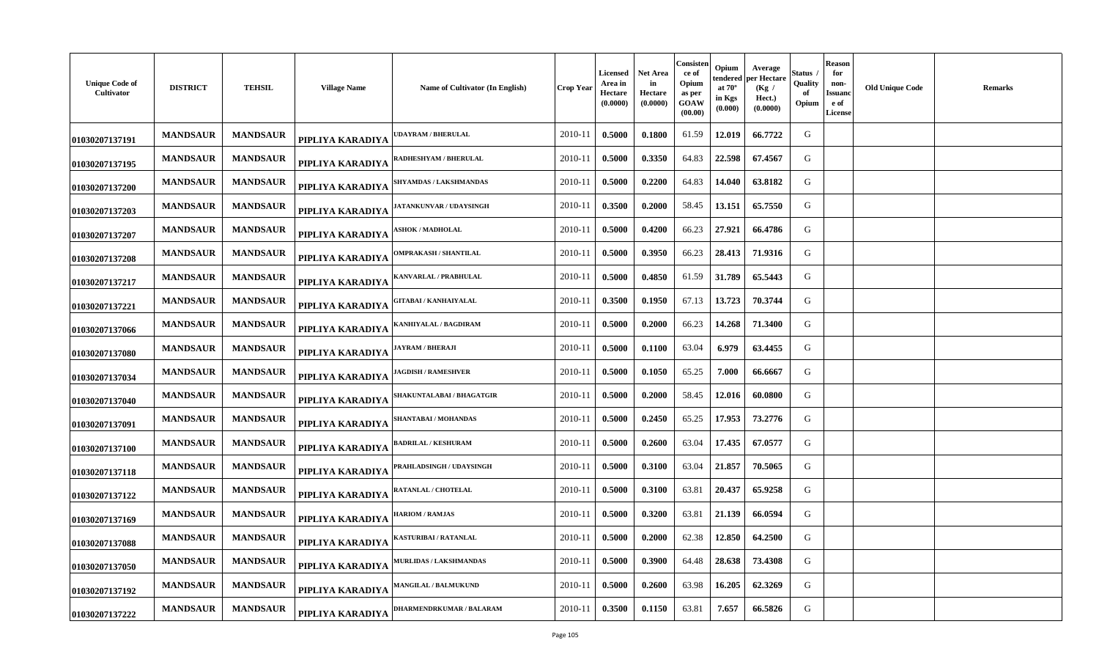| <b>Unique Code of</b><br>Cultivator | <b>DISTRICT</b> | <b>TEHSIL</b>   | <b>Village Name</b> | Name of Cultivator (In English)  | <b>Crop Year</b> | Licensed<br>Area in<br>Hectare<br>(0.0000) | Net Area<br>in<br>Hectare<br>(0.0000) | Consisten<br>ce of<br>Opium<br>as per<br>GOAW<br>(00.00) | Opium<br>tendered<br>at $70^\circ$<br>in Kgs<br>(0.000) | Average<br>per Hectare<br>(Kg)<br>Hect.)<br>(0.0000) | Status<br>Quality<br>of<br>Opium | <b>Reason</b><br>for<br>non-<br>Issuanc<br>e of<br><b>License</b> | <b>Old Unique Code</b> | <b>Remarks</b> |
|-------------------------------------|-----------------|-----------------|---------------------|----------------------------------|------------------|--------------------------------------------|---------------------------------------|----------------------------------------------------------|---------------------------------------------------------|------------------------------------------------------|----------------------------------|-------------------------------------------------------------------|------------------------|----------------|
| 01030207137191                      | <b>MANDSAUR</b> | <b>MANDSAUR</b> | PIPLIYA KARADIYA    | <b>DAYRAM / BHERULAL</b>         | 2010-11          | 0.5000                                     | 0.1800                                | 61.59                                                    | 12.019                                                  | 66.7722                                              | G                                |                                                                   |                        |                |
| 01030207137195                      | <b>MANDSAUR</b> | <b>MANDSAUR</b> | PIPLIYA KARADIYA    | ADHESHYAM / BHERULAL             | 2010-11          | 0.5000                                     | 0.3350                                | 64.83                                                    | 22.598                                                  | 67.4567                                              | G                                |                                                                   |                        |                |
| 01030207137200                      | <b>MANDSAUR</b> | <b>MANDSAUR</b> | PIPLIYA KARADIYA    | SHYAMDAS / LAKSHMANDAS           | 2010-11          | 0.5000                                     | 0.2200                                | 64.83                                                    | 14.040                                                  | 63.8182                                              | G                                |                                                                   |                        |                |
| 01030207137203                      | <b>MANDSAUR</b> | <b>MANDSAUR</b> | PIPLIYA KARADIYA    | ATANKUNVAR / UDAYSINGH           | 2010-11          | 0.3500                                     | 0.2000                                | 58.45                                                    | 13.151                                                  | 65.7550                                              | G                                |                                                                   |                        |                |
| 01030207137207                      | <b>MANDSAUR</b> | <b>MANDSAUR</b> | PIPLIYA KARADIYA    | <b>SHOK / MADHOLAL</b>           | 2010-11          | 0.5000                                     | 0.4200                                | 66.23                                                    | 27.921                                                  | 66.4786                                              | G                                |                                                                   |                        |                |
| 01030207137208                      | <b>MANDSAUR</b> | <b>MANDSAUR</b> | PIPLIYA KARADIYA    | <b>DMPRAKASH / SHANTILAL</b>     | 2010-11          | 0.5000                                     | 0.3950                                | 66.23                                                    | 28.413                                                  | 71.9316                                              | G                                |                                                                   |                        |                |
| 01030207137217                      | <b>MANDSAUR</b> | <b>MANDSAUR</b> | PIPLIYA KARADIYA    | ANVARLAL / PRABHULAL             | 2010-11          | 0.5000                                     | 0.4850                                | 61.59                                                    | 31.789                                                  | 65.5443                                              | G                                |                                                                   |                        |                |
| 01030207137221                      | <b>MANDSAUR</b> | <b>MANDSAUR</b> | PIPLIYA KARADIYA    | <b>GITABAI / KANHAIYALAL</b>     | 2010-11          | 0.3500                                     | 0.1950                                | 67.13                                                    | 13.723                                                  | 70.3744                                              | G                                |                                                                   |                        |                |
| 01030207137066                      | <b>MANDSAUR</b> | <b>MANDSAUR</b> | PIPLIYA KARADIYA    | ANHIYALAL / BAGDIRAM             | 2010-11          | 0.5000                                     | 0.2000                                | 66.23                                                    | 14.268                                                  | 71.3400                                              | G                                |                                                                   |                        |                |
| 01030207137080                      | <b>MANDSAUR</b> | <b>MANDSAUR</b> | PIPLIYA KARADIYA    | <b>IAYRAM / BHERAJI</b>          | 2010-11          | 0.5000                                     | 0.1100                                | 63.04                                                    | 6.979                                                   | 63.4455                                              | G                                |                                                                   |                        |                |
| 01030207137034                      | <b>MANDSAUR</b> | <b>MANDSAUR</b> | PIPLIYA KARADIYA    | <b>AGDISH / RAMESHVER</b>        | 2010-11          | 0.5000                                     | 0.1050                                | 65.25                                                    | 7.000                                                   | 66.6667                                              | G                                |                                                                   |                        |                |
| 01030207137040                      | <b>MANDSAUR</b> | <b>MANDSAUR</b> | PIPLIYA KARADIYA    | <b>SHAKUNTALABAI / BHAGATGIR</b> | 2010-11          | 0.5000                                     | 0.2000                                | 58.45                                                    | 12.016                                                  | 60.0800                                              | G                                |                                                                   |                        |                |
| 01030207137091                      | <b>MANDSAUR</b> | <b>MANDSAUR</b> | PIPLIYA KARADIYA    | <b>SHANTABAI / MOHANDAS</b>      | 2010-11          | 0.5000                                     | 0.2450                                | 65.25                                                    | 17.953                                                  | 73.2776                                              | G                                |                                                                   |                        |                |
| 01030207137100                      | <b>MANDSAUR</b> | <b>MANDSAUR</b> | PIPLIYA KARADIYA    | <b>ADRILAL / KESHURAM</b>        | 2010-11          | 0.5000                                     | 0.2600                                | 63.04                                                    | 17.435                                                  | 67.0577                                              | G                                |                                                                   |                        |                |
| 01030207137118                      | <b>MANDSAUR</b> | <b>MANDSAUR</b> | PIPLIYA KARADIYA    | <b>PRAHLADSINGH / UDAYSINGH</b>  | 2010-11          | 0.5000                                     | 0.3100                                | 63.04                                                    | 21.857                                                  | 70.5065                                              | G                                |                                                                   |                        |                |
| 01030207137122                      | <b>MANDSAUR</b> | <b>MANDSAUR</b> | PIPLIYA KARADIYA    | <b>ATANLAL / CHOTELAL</b>        | 2010-11          | 0.5000                                     | 0.3100                                | 63.81                                                    | 20.437                                                  | 65.9258                                              | G                                |                                                                   |                        |                |
| 01030207137169                      | <b>MANDSAUR</b> | <b>MANDSAUR</b> | PIPLIYA KARADIYA    | <b>HARIOM / RAMJAS</b>           | 2010-11          | 0.5000                                     | 0.3200                                | 63.81                                                    | 21.139                                                  | 66.0594                                              | G                                |                                                                   |                        |                |
| 01030207137088                      | <b>MANDSAUR</b> | <b>MANDSAUR</b> | PIPLIYA KARADIYA    | <b>ASTURIBAI / RATANLAL</b>      | 2010-11          | 0.5000                                     | 0.2000                                | 62.38                                                    | 12.850                                                  | 64.2500                                              | G                                |                                                                   |                        |                |
| 01030207137050                      | <b>MANDSAUR</b> | <b>MANDSAUR</b> | PIPLIYA KARADIYA    | AURLIDAS / LAKSHMANDAS           | 2010-11          | 0.5000                                     | 0.3900                                | 64.48                                                    | 28.638                                                  | 73.4308                                              | G                                |                                                                   |                        |                |
| 01030207137192                      | <b>MANDSAUR</b> | <b>MANDSAUR</b> | PIPLIYA KARADIYA    | <b>MANGILAL / BALMUKUND</b>      | 2010-11          | 0.5000                                     | 0.2600                                | 63.98                                                    | 16.205                                                  | 62.3269                                              | G                                |                                                                   |                        |                |
| 01030207137222                      | <b>MANDSAUR</b> | <b>MANDSAUR</b> | PIPLIYA KARADIYA    | <b>HARMENDRKUMAR / BALARAM</b>   | 2010-11          | 0.3500                                     | 0.1150                                | 63.81                                                    | 7.657                                                   | 66.5826                                              | G                                |                                                                   |                        |                |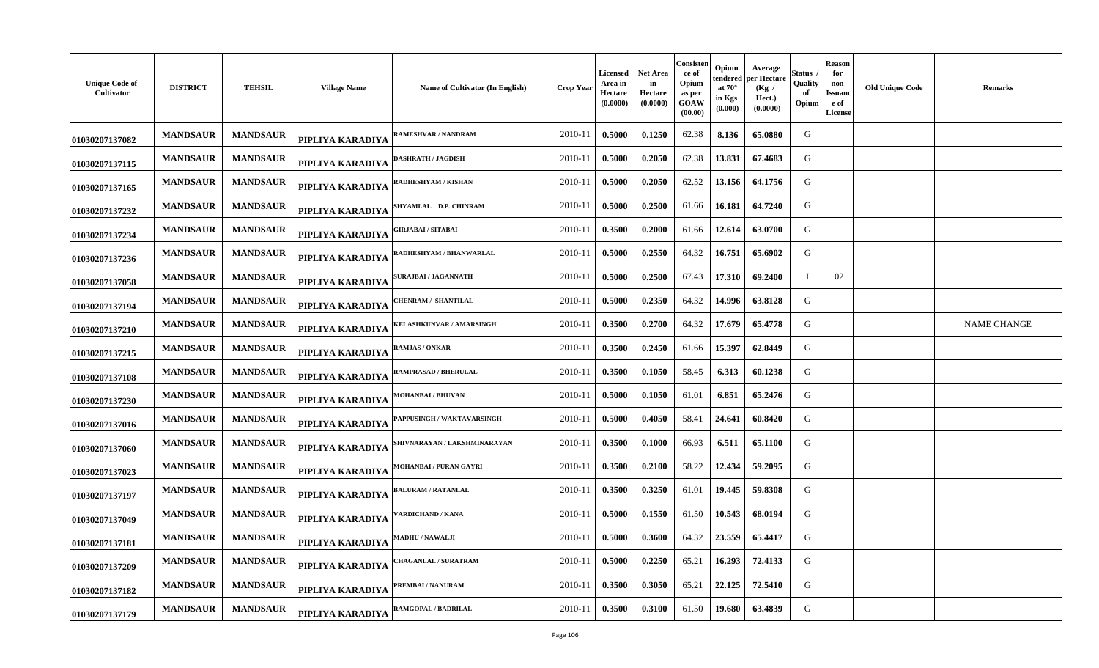| <b>Unique Code of</b><br>Cultivator | <b>DISTRICT</b> | <b>TEHSIL</b>   | <b>Village Name</b> | Name of Cultivator (In English) | <b>Crop Year</b> | <b>Licensed</b><br>Area in<br>Hectare<br>(0.0000) | <b>Net Area</b><br>in<br>Hectare<br>(0.0000) | Consister<br>ce of<br>Opium<br>as per<br>GOAW<br>(00.00) | Opium<br>Average<br>endered per Hectare<br>at $70^\circ$<br>(Kg /<br>in Kgs<br>Hect.)<br>(0.000)<br>(0.0000) | <b>Status</b><br>Quality<br>of<br>Opium | Reason<br>for<br>non-<br><b>Issuano</b><br>e of<br>License | <b>Old Unique Code</b> | <b>Remarks</b>     |
|-------------------------------------|-----------------|-----------------|---------------------|---------------------------------|------------------|---------------------------------------------------|----------------------------------------------|----------------------------------------------------------|--------------------------------------------------------------------------------------------------------------|-----------------------------------------|------------------------------------------------------------|------------------------|--------------------|
| 01030207137082                      | <b>MANDSAUR</b> | <b>MANDSAUR</b> | PIPLIYA KARADIYA    | RAMESHVAR / NANDRAM             | 2010-11          | 0.5000                                            | 0.1250                                       | 62.38                                                    | 8.136<br>65.0880                                                                                             | G                                       |                                                            |                        |                    |
| 01030207137115                      | <b>MANDSAUR</b> | <b>MANDSAUR</b> | PIPLIYA KARADIYA    | DASHRATH / JAGDISH              | 2010-11          | 0.5000                                            | 0.2050                                       | 62.38                                                    | 13.831<br>67.4683                                                                                            | G                                       |                                                            |                        |                    |
| 01030207137165                      | <b>MANDSAUR</b> | <b>MANDSAUR</b> | PIPLIYA KARADIYA    | RADHESHYAM / KISHAN             | 2010-11          | 0.5000                                            | 0.2050                                       | 62.52                                                    | 13.156<br>64.1756                                                                                            | G                                       |                                                            |                        |                    |
| 01030207137232                      | <b>MANDSAUR</b> | <b>MANDSAUR</b> | PIPLIYA KARADIYA    | SHYAMLAL D.P. CHINRAM           | 2010-11          | 0.5000                                            | 0.2500                                       | 61.66                                                    | 16.181<br>64.7240                                                                                            | G                                       |                                                            |                        |                    |
| 01030207137234                      | <b>MANDSAUR</b> | <b>MANDSAUR</b> | PIPLIYA KARADIYA    | <b>;IRJABAI / SITABAI</b>       | 2010-11          | 0.3500                                            | 0.2000                                       | 61.66                                                    | 12.614<br>63.0700                                                                                            | G                                       |                                                            |                        |                    |
| 01030207137236                      | <b>MANDSAUR</b> | <b>MANDSAUR</b> | PIPLIYA KARADIYA    | RADHESHYAM / BHANWARLAL         | 2010-11          | 0.5000                                            | 0.2550                                       | 64.32                                                    | 16.751<br>65.6902                                                                                            | G                                       |                                                            |                        |                    |
| 01030207137058                      | <b>MANDSAUR</b> | <b>MANDSAUR</b> | PIPLIYA KARADIYA    | <b>SURAJBAI / JAGANNATH</b>     | 2010-11          | 0.5000                                            | 0.2500                                       | 67.43                                                    | 17.310<br>69.2400                                                                                            |                                         | 02                                                         |                        |                    |
| 01030207137194                      | <b>MANDSAUR</b> | <b>MANDSAUR</b> | PIPLIYA KARADIYA    | CHENRAM / SHANTILAL             | 2010-11          | 0.5000                                            | 0.2350                                       | 64.32                                                    | 14.996<br>63.8128                                                                                            | G                                       |                                                            |                        |                    |
| 01030207137210                      | <b>MANDSAUR</b> | <b>MANDSAUR</b> | PIPLIYA KARADIYA    | KELASHKUNVAR / AMARSINGH        | 2010-11          | 0.3500                                            | 0.2700                                       | 64.32                                                    | 17.679<br>65.4778                                                                                            | G                                       |                                                            |                        | <b>NAME CHANGE</b> |
| 01030207137215                      | <b>MANDSAUR</b> | <b>MANDSAUR</b> | PIPLIYA KARADIYA    | <b>RAMJAS / ONKAR</b>           | 2010-11          | 0.3500                                            | 0.2450                                       | 61.66                                                    | 15.397<br>62.8449                                                                                            | G                                       |                                                            |                        |                    |
| 01030207137108                      | <b>MANDSAUR</b> | <b>MANDSAUR</b> | PIPLIYA KARADIYA    | <b>RAMPRASAD / BHERULAL</b>     | 2010-11          | 0.3500                                            | 0.1050                                       | 58.45                                                    | 6.313<br>60.1238                                                                                             | G                                       |                                                            |                        |                    |
| 01030207137230                      | <b>MANDSAUR</b> | <b>MANDSAUR</b> | PIPLIYA KARADIYA    | <b>MOHANBAI / BHUVAN</b>        | 2010-11          | 0.5000                                            | 0.1050                                       | 61.01                                                    | 6.851<br>65.2476                                                                                             | G                                       |                                                            |                        |                    |
| 01030207137016                      | <b>MANDSAUR</b> | <b>MANDSAUR</b> | PIPLIYA KARADIYA    | PAPPUSINGH / WAKTAVARSINGH      | 2010-11          | 0.5000                                            | 0.4050                                       | 58.41                                                    | 24.641<br>60.8420                                                                                            | G                                       |                                                            |                        |                    |
| 01030207137060                      | <b>MANDSAUR</b> | <b>MANDSAUR</b> | PIPLIYA KARADIYA    | SHIVNARAYAN / LAKSHMINARAYAN    | 2010-11          | 0.3500                                            | 0.1000                                       | 66.93                                                    | 6.511<br>65.1100                                                                                             | G                                       |                                                            |                        |                    |
| 01030207137023                      | <b>MANDSAUR</b> | <b>MANDSAUR</b> | PIPLIYA KARADIYA    | MOHANBAI / PURAN GAYRI          | 2010-11          | 0.3500                                            | 0.2100                                       | 58.22                                                    | 12.434<br>59.2095                                                                                            | G                                       |                                                            |                        |                    |
| 01030207137197                      | <b>MANDSAUR</b> | <b>MANDSAUR</b> | PIPLIYA KARADIYA    | <b>BALURAM / RATANLAL</b>       | 2010-11          | 0.3500                                            | 0.3250                                       | 61.01                                                    | 19.445<br>59.8308                                                                                            | G                                       |                                                            |                        |                    |
| 01030207137049                      | <b>MANDSAUR</b> | <b>MANDSAUR</b> | PIPLIYA KARADIYA    | <b>/ARDICHAND / KANA</b>        | 2010-11          | 0.5000                                            | 0.1550                                       | 61.50                                                    | 68.0194<br>10.543                                                                                            | G                                       |                                                            |                        |                    |
| 01030207137181                      | <b>MANDSAUR</b> | <b>MANDSAUR</b> | PIPLIYA KARADIYA    | <b>MADHU / NAWALJI</b>          | 2010-11          | 0.5000                                            | 0.3600                                       | 64.32                                                    | 23.559<br>65.4417                                                                                            | G                                       |                                                            |                        |                    |
| 01030207137209                      | <b>MANDSAUR</b> | <b>MANDSAUR</b> | PIPLIYA KARADIYA    | <b>CHAGANLAL / SURATRAM</b>     | 2010-11          | 0.5000                                            | 0.2250                                       | 65.21                                                    | 16.293<br>72.4133                                                                                            | G                                       |                                                            |                        |                    |
| 01030207137182                      | <b>MANDSAUR</b> | <b>MANDSAUR</b> | PIPLIYA KARADIYA    | PREMBAI / NANURAM               | 2010-11          | 0.3500                                            | 0.3050                                       | 65.21                                                    | 22.125<br>72.5410                                                                                            | G                                       |                                                            |                        |                    |
| 01030207137179                      | <b>MANDSAUR</b> | <b>MANDSAUR</b> | PIPLIYA KARADIYA    | RAMGOPAL / BADRILAL             | 2010-11          | 0.3500                                            | 0.3100                                       | 61.50                                                    | 19.680<br>63.4839                                                                                            | G                                       |                                                            |                        |                    |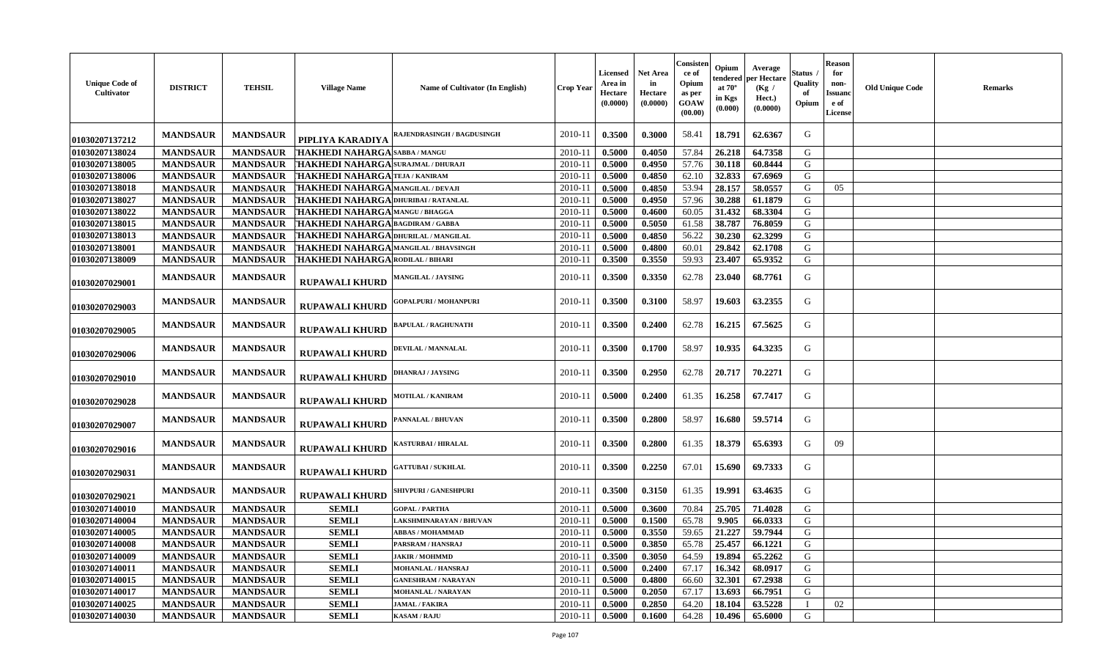| <b>Unique Code of</b><br>Cultivator | <b>DISTRICT</b> | <b>TEHSIL</b>   | <b>Village Name</b>                         | Name of Cultivator (In English)   | Crop Year   | Licensed<br>Area in<br>Hectare<br>(0.0000) | <b>Net Area</b><br>in<br>Hectare<br>(0.0000) | Consister<br>ce of<br>Opium<br>as per<br>GOAW<br>(00.00) | Opium<br>endered<br>at $70^\circ$<br>in Kgs<br>$(\mathbf{0.000})$ | Average<br>per Hectare<br>(Kg /<br>Hect.)<br>(0.0000) | Status<br>Quality<br>Opium | <b>Reason</b><br>for<br>non-<br><b>Issuanc</b><br>e of<br>License | <b>Old Unique Code</b> | Remarks |
|-------------------------------------|-----------------|-----------------|---------------------------------------------|-----------------------------------|-------------|--------------------------------------------|----------------------------------------------|----------------------------------------------------------|-------------------------------------------------------------------|-------------------------------------------------------|----------------------------|-------------------------------------------------------------------|------------------------|---------|
| 01030207137212                      | <b>MANDSAUR</b> | <b>MANDSAUR</b> | PIPLIYA KARADIYA                            | <b>RAJENDRASINGH / BAGDUSINGH</b> | 2010-11     | 0.3500                                     | 0.3000                                       | 58.41                                                    | 18.791                                                            | 62.6367                                               | G                          |                                                                   |                        |         |
| 01030207138024                      | <b>MANDSAUR</b> | <b>MANDSAUR</b> | T <b>HAKHEDI NAHARGA</b> sabba / mangu      |                                   | 2010-11     | 0.5000                                     | 0.4050                                       | 57.84                                                    | 26.218                                                            | 64.7358                                               | G                          |                                                                   |                        |         |
| 01030207138005                      | <b>MANDSAUR</b> | <b>MANDSAUR</b> | THAKHEDI NAHARGA SURAJMAL / DHURAJI         |                                   | 2010-11     | 0.5000                                     | 0.4950                                       | 57.76                                                    | 30.118                                                            | 60.8444                                               | G                          |                                                                   |                        |         |
| 01030207138006                      | <b>MANDSAUR</b> | <b>MANDSAUR</b> | THAKHEDI NAHARGA TEJA / KANIRAM             |                                   | 2010-11     | 0.5000                                     | 0.4850                                       | 62.10                                                    | 32.833                                                            | 67.6969                                               | G                          |                                                                   |                        |         |
| 01030207138018                      | <b>MANDSAUR</b> | <b>MANDSAUR</b> | THAKHEDI NAHARGA MANGILAL / DEVAJI          |                                   | 2010-1      | 0.5000                                     | 0.4850                                       | 53.94                                                    | 28.157                                                            | 58.0557                                               | G                          | 05                                                                |                        |         |
| 01030207138027                      | <b>MANDSAUR</b> | <b>MANDSAUR</b> | THAKHEDI NAHARGA DHURIBAI / RATANLAL        |                                   | 2010-11     | 0.5000                                     | 0.4950                                       | 57.96                                                    | 30.288                                                            | 61.1879                                               | G                          |                                                                   |                        |         |
| 01030207138022                      | <b>MANDSAUR</b> | <b>MANDSAUR</b> | THAKHEDI NAHARGA MANGU / BHAGGA             |                                   | 2010-11     | 0.5000                                     | 0.4600                                       | 60.05                                                    | 31.432                                                            | 68.3304                                               | G                          |                                                                   |                        |         |
| 01030207138015                      | <b>MANDSAUR</b> | <b>MANDSAUR</b> | THAKHEDI NAHARGA BAGDIRAM / GABBA           |                                   | 2010-11     | 0.5000                                     | 0.5050                                       | 61.58                                                    | 38.787                                                            | 76.8059                                               | G                          |                                                                   |                        |         |
| 01030207138013                      | <b>MANDSAUR</b> | <b>MANDSAUR</b> | 'HAKHEDI NAHARGA DHURILAL / MANGILAL        |                                   | 2010-11     | 0.5000                                     | 0.4850                                       | 56.22                                                    | 30.230                                                            | 62.3299                                               | G                          |                                                                   |                        |         |
| 01030207138001                      | <b>MANDSAUR</b> | <b>MANDSAUR</b> | <b>HAKHEDI NAHARGA MANGILAL / BHAVSINGH</b> |                                   | 2010-11     | 0.5000                                     | 0.4800                                       | 60.01                                                    | 29.842                                                            | 62.1708                                               | G                          |                                                                   |                        |         |
| 01030207138009                      | <b>MANDSAUR</b> | <b>MANDSAUR</b> | THAKHEDI NAHARGA RODILAL / BIHARI           |                                   | 2010-11     | 0.3500                                     | 0.3550                                       | 59.93                                                    | 23.407                                                            | 65.9352                                               | G                          |                                                                   |                        |         |
| 01030207029001                      | <b>MANDSAUR</b> | <b>MANDSAUR</b> | <b>RUPAWALI KHURD</b>                       | <b>MANGILAL / JAYSING</b>         | 2010-11     | 0.3500                                     | 0.3350                                       | 62.78                                                    | 23.040                                                            | 68.7761                                               | G                          |                                                                   |                        |         |
| 01030207029003                      | <b>MANDSAUR</b> | <b>MANDSAUR</b> | <b>RUPAWALI KHURD</b>                       | <b>GOPALPURI / MOHANPURI</b>      | 2010-11     | 0.3500                                     | 0.3100                                       | 58.97                                                    | 19.603                                                            | 63.2355                                               | G                          |                                                                   |                        |         |
| 01030207029005                      | <b>MANDSAUR</b> | <b>MANDSAUR</b> | <b>RUPAWALI KHURD</b>                       | <b>BAPULAL / RAGHUNATH</b>        | 2010-11     | 0.3500                                     | 0.2400                                       | 62.78                                                    | 16.215                                                            | 67.5625                                               | G                          |                                                                   |                        |         |
| 01030207029006                      | <b>MANDSAUR</b> | <b>MANDSAUR</b> | <b>RUPAWALI KHURD</b>                       | DEVILAL / MANNALAL                | 2010-11     | 0.3500                                     | 0.1700                                       | 58.97                                                    | 10.935                                                            | 64.3235                                               | G                          |                                                                   |                        |         |
| 01030207029010                      | <b>MANDSAUR</b> | <b>MANDSAUR</b> | <b>RUPAWALI KHURD</b>                       | DHANRAJ / JAYSING                 | 2010-11     | 0.3500                                     | 0.2950                                       | 62.78                                                    | 20.717                                                            | 70.2271                                               | G                          |                                                                   |                        |         |
| 01030207029028                      | <b>MANDSAUR</b> | <b>MANDSAUR</b> | <b>RUPAWALI KHURD</b>                       | <b>MOTILAL / KANIRAM</b>          | 2010-11     | 0.5000                                     | 0.2400                                       | 61.35                                                    | 16.258                                                            | 67.7417                                               | G                          |                                                                   |                        |         |
| 01030207029007                      | <b>MANDSAUR</b> | <b>MANDSAUR</b> | <b>RUPAWALI KHURD</b>                       | PANNALAL / BHUVAN                 | 2010-11     | 0.3500                                     | 0.2800                                       | 58.97                                                    | 16.680                                                            | 59.5714                                               | G                          |                                                                   |                        |         |
| 01030207029016                      | <b>MANDSAUR</b> | <b>MANDSAUR</b> | <b>RUPAWALI KHURD</b>                       | KASTURBAI / HIRALAL               | 2010-11     | 0.3500                                     | 0.2800                                       | 61.35                                                    | 18.379                                                            | 65.6393                                               | G                          | 09                                                                |                        |         |
| 01030207029031                      | <b>MANDSAUR</b> | <b>MANDSAUR</b> | <b>RUPAWALI KHURD</b>                       | <b>GATTUBAI/SUKHLAL</b>           | 2010-11     | 0.3500                                     | 0.2250                                       | 67.01                                                    | 15.690                                                            | 69.7333                                               | G                          |                                                                   |                        |         |
| 01030207029021                      | <b>MANDSAUR</b> | <b>MANDSAUR</b> | <b>RUPAWALI KHURD</b>                       | <b>SHIVPURI / GANESHPURI</b>      | 2010-11     | 0.3500                                     | 0.3150                                       | 61.35                                                    | 19.991                                                            | 63.4635                                               | G                          |                                                                   |                        |         |
| 01030207140010                      | <b>MANDSAUR</b> | <b>MANDSAUR</b> | <b>SEMLI</b>                                | <b>GOPAL / PARTHA</b>             | $2010 - 1$  | 0.5000                                     | 0.3600                                       | 70.84                                                    | 25.705                                                            | 71.4028                                               | G                          |                                                                   |                        |         |
| 01030207140004                      | <b>MANDSAUR</b> | <b>MANDSAUR</b> | <b>SEMLI</b>                                | LAKSHMINARAYAN / BHUVAN           | $2010 - 1$  | 0.5000                                     | 0.1500                                       | 65.78                                                    | 9.905                                                             | 66.0333                                               | G                          |                                                                   |                        |         |
| 01030207140005                      | <b>MANDSAUR</b> | <b>MANDSAUR</b> | <b>SEMLI</b>                                | <b>ABBAS / MOHAMMAD</b>           | 2010-11     | 0.5000                                     | 0.3550                                       | 59.65                                                    | 21.227                                                            | 59.7944                                               | G                          |                                                                   |                        |         |
| 01030207140008                      | <b>MANDSAUR</b> | <b>MANDSAUR</b> | <b>SEMLI</b>                                | PARSRAM / HANSRAJ                 | 2010-11     | 0.5000                                     | 0.3850                                       | 65.78                                                    | 25,457                                                            | 66.1221                                               | G                          |                                                                   |                        |         |
| 01030207140009                      | <b>MANDSAUR</b> | <b>MANDSAUR</b> | <b>SEMLI</b>                                | <b>JAKIR / MOHMMD</b>             | $2010 - 11$ | 0.3500                                     | 0.3050                                       | 64.59                                                    | 19.894                                                            | 65.2262                                               | G                          |                                                                   |                        |         |
| 01030207140011                      | <b>MANDSAUR</b> | <b>MANDSAUR</b> | <b>SEMLI</b>                                | <b>MOHANLAL / HANSRAJ</b>         | 2010-11     | 0.5000                                     | 0.2400                                       | 67.17                                                    | 16.342                                                            | 68.0917                                               | G                          |                                                                   |                        |         |
| 01030207140015                      | <b>MANDSAUR</b> | <b>MANDSAUR</b> | <b>SEMLI</b>                                | <b>GANESHRAM / NARAYAN</b>        | 2010-11     | 0.5000                                     | 0.4800                                       | 66.60                                                    | 32.301                                                            | 67.2938                                               | G                          |                                                                   |                        |         |
| 01030207140017                      | <b>MANDSAUR</b> | <b>MANDSAUR</b> | <b>SEMLI</b>                                | <b>MOHANLAL / NARAYAN</b>         | 2010-11     | 0.5000                                     | 0.2050                                       | 67.17                                                    | 13.693                                                            | 66.7951                                               | G                          |                                                                   |                        |         |
| 01030207140025                      | <b>MANDSAUR</b> | <b>MANDSAUR</b> | <b>SEMLI</b>                                | <b>JAMAL / FAKIRA</b>             | $2010-1$    | 0.5000                                     | 0.2850                                       | 64.20                                                    | 18.104                                                            | 63.5228                                               |                            | 02                                                                |                        |         |
| 01030207140030                      | <b>MANDSAUR</b> | <b>MANDSAUR</b> | <b>SEMLI</b>                                | <b>KASAM / RAJU</b>               | 2010-11     | 0.5000                                     | 0.1600                                       | 64.28                                                    | 10.496                                                            | 65.6000                                               | G                          |                                                                   |                        |         |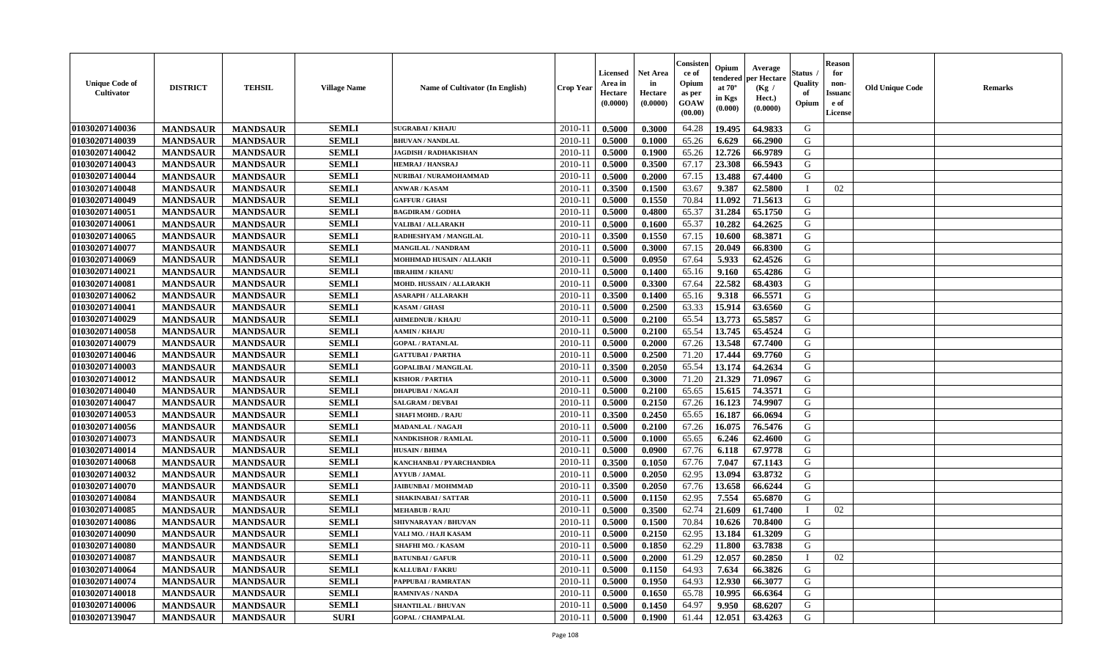| <b>Unique Code of</b><br><b>Cultivator</b> | <b>DISTRICT</b> | <b>TEHSIL</b>   | <b>Village Name</b> | Name of Cultivator (In English) | <b>Crop Year</b> | <b>Licensed</b><br>Area in<br>Hectare<br>(0.0000) | <b>Net Area</b><br>in<br>Hectare<br>(0.0000) | Consister<br>ce of<br>Opium<br>as per<br><b>GOAW</b><br>(00.00) | Opium<br>endered<br>at $70^\circ$<br>in Kgs<br>(0.000) | Average<br>per Hectare<br>(Kg /<br>Hect.)<br>(0.0000) | Status<br>Quality<br>of<br>Opium | <b>Reason</b><br>for<br>non-<br><b>Issuand</b><br>e of<br><b>License</b> | <b>Old Unique Code</b> | <b>Remarks</b> |
|--------------------------------------------|-----------------|-----------------|---------------------|---------------------------------|------------------|---------------------------------------------------|----------------------------------------------|-----------------------------------------------------------------|--------------------------------------------------------|-------------------------------------------------------|----------------------------------|--------------------------------------------------------------------------|------------------------|----------------|
| 01030207140036                             | <b>MANDSAUR</b> | <b>MANDSAUR</b> | <b>SEMLI</b>        | <b>SUGRABAI/KHAJU</b>           | 2010-11          | 0.5000                                            | 0.3000                                       | 64.28                                                           | 19.495                                                 | 64.9833                                               | G                                |                                                                          |                        |                |
| 01030207140039                             | <b>MANDSAUR</b> | <b>MANDSAUR</b> | <b>SEMLI</b>        | <b>BHUVAN / NANDLAL</b>         | 2010-11          | 0.5000                                            | 0.1000                                       | 65.26                                                           | 6.629                                                  | 66.2900                                               | G                                |                                                                          |                        |                |
| 01030207140042                             | <b>MANDSAUR</b> | <b>MANDSAUR</b> | <b>SEMLI</b>        | <b>JAGDISH / RADHAKISHAN</b>    | 2010-11          | 0.5000                                            | 0.1900                                       | 65.26                                                           | 12.726                                                 | 66.9789                                               | G                                |                                                                          |                        |                |
| 01030207140043                             | <b>MANDSAUR</b> | <b>MANDSAUR</b> | <b>SEMLI</b>        | <b>HEMRAJ / HANSRAJ</b>         | 2010-11          | 0.5000                                            | 0.3500                                       | 67.17                                                           | 23.308                                                 | 66.5943                                               | G                                |                                                                          |                        |                |
| 01030207140044                             | <b>MANDSAUR</b> | <b>MANDSAUR</b> | <b>SEMLI</b>        | NURIBAI / NURAMOHAMMAD          | 2010-11          | 0.5000                                            | 0.2000                                       | 67.15                                                           | 13.488                                                 | 67.4400                                               | G                                |                                                                          |                        |                |
| 01030207140048                             | <b>MANDSAUR</b> | <b>MANDSAUR</b> | <b>SEMLI</b>        | <b>ANWAR / KASAM</b>            | 2010-11          | 0.3500                                            | 0.1500                                       | 63.67                                                           | 9.387                                                  | 62.5800                                               | $\mathbf I$                      | 02                                                                       |                        |                |
| 01030207140049                             | <b>MANDSAUR</b> | <b>MANDSAUR</b> | <b>SEMLI</b>        | <b>GAFFUR / GHASI</b>           | 2010-11          | 0.5000                                            | 0.1550                                       | 70.84                                                           | 11.092                                                 | 71.5613                                               | G                                |                                                                          |                        |                |
| 01030207140051                             | <b>MANDSAUR</b> | <b>MANDSAUR</b> | <b>SEMLI</b>        | <b>BAGDIRAM / GODHA</b>         | 2010-11          | 0.5000                                            | 0.4800                                       | 65.37                                                           | 31.284                                                 | 65.1750                                               | G                                |                                                                          |                        |                |
| 01030207140061                             | <b>MANDSAUR</b> | <b>MANDSAUR</b> | <b>SEMLI</b>        | <b>VALIBAI/ALLARAKH</b>         | 2010-11          | 0.5000                                            | 0.1600                                       | 65.37                                                           | 10.282                                                 | 64.2625                                               | G                                |                                                                          |                        |                |
| 01030207140065                             | <b>MANDSAUR</b> | <b>MANDSAUR</b> | <b>SEMLI</b>        | RADHESHYAM / MANGILAL           | 2010-11          | 0.3500                                            | 0.1550                                       | 67.15                                                           | 10.600                                                 | 68.3871                                               | G                                |                                                                          |                        |                |
| 01030207140077                             | <b>MANDSAUR</b> | <b>MANDSAUR</b> | <b>SEMLI</b>        | <b>MANGILAL / NANDRAM</b>       | 2010-11          | 0.5000                                            | 0.3000                                       | 67.15                                                           | 20.049                                                 | 66.8300                                               | G                                |                                                                          |                        |                |
| 01030207140069                             | <b>MANDSAUR</b> | <b>MANDSAUR</b> | <b>SEMLI</b>        | MOHHMAD HUSAIN / ALLAKH         | 2010-11          | 0.5000                                            | 0.0950                                       | 67.64                                                           | 5.933                                                  | 62.4526                                               | G                                |                                                                          |                        |                |
| 01030207140021                             | <b>MANDSAUR</b> | <b>MANDSAUR</b> | <b>SEMLI</b>        | <b>IBRAHIM / KHANU</b>          | 2010-11          | 0.5000                                            | 0.1400                                       | 65.16                                                           | 9.160                                                  | 65.4286                                               | G                                |                                                                          |                        |                |
| 01030207140081                             | <b>MANDSAUR</b> | <b>MANDSAUR</b> | <b>SEMLI</b>        | MOHD. HUSSAIN / ALLARAKH        | 2010-11          | 0.5000                                            | 0.3300                                       | 67.64                                                           | 22.582                                                 | 68.4303                                               | G                                |                                                                          |                        |                |
| 01030207140062                             | <b>MANDSAUR</b> | <b>MANDSAUR</b> | <b>SEMLI</b>        | <b>ASARAPH / ALLARAKH</b>       | $2010 - 11$      | 0.3500                                            | 0.1400                                       | 65.16                                                           | 9.318                                                  | 66.5571                                               | ${\bf G}$                        |                                                                          |                        |                |
| 01030207140041                             | <b>MANDSAUR</b> | <b>MANDSAUR</b> | <b>SEMLI</b>        | <b>KASAM / GHASI</b>            | 2010-11          | 0.5000                                            | 0.2500                                       | 63.33                                                           | 15.914                                                 | 63.6560                                               | G                                |                                                                          |                        |                |
| 01030207140029                             | <b>MANDSAUR</b> | <b>MANDSAUR</b> | <b>SEMLI</b>        | <b>AHMEDNUR / KHAJU</b>         | 2010-11          | 0.5000                                            | 0.2100                                       | 65.54                                                           | 13.773                                                 | 65.5857                                               | G                                |                                                                          |                        |                |
| 01030207140058                             | <b>MANDSAUR</b> | <b>MANDSAUR</b> | <b>SEMLI</b>        | <b>AAMIN / KHAJU</b>            | 2010-11          | 0.5000                                            | 0.2100                                       | 65.54                                                           | 13.745                                                 | 65.4524                                               | G                                |                                                                          |                        |                |
| 01030207140079                             | <b>MANDSAUR</b> | <b>MANDSAUR</b> | <b>SEMLI</b>        | <b>GOPAL / RATANLAL</b>         | 2010-11          | 0.5000                                            | 0.2000                                       | 67.26                                                           | 13.548                                                 | 67.7400                                               | G                                |                                                                          |                        |                |
| 01030207140046                             | <b>MANDSAUR</b> | <b>MANDSAUR</b> | <b>SEMLI</b>        | <b>GATTUBAI/PARTHA</b>          | 2010-11          | 0.5000                                            | 0.2500                                       | 71.20                                                           | 17,444                                                 | 69.7760                                               | G                                |                                                                          |                        |                |
| 01030207140003                             | <b>MANDSAUR</b> | <b>MANDSAUR</b> | <b>SEMLI</b>        | <b>GOPALIBAI/MANGILAL</b>       | 2010-11          | 0.3500                                            | 0.2050                                       | 65.54                                                           | 13.174                                                 | 64.2634                                               | G                                |                                                                          |                        |                |
| 01030207140012                             | <b>MANDSAUR</b> | <b>MANDSAUR</b> | <b>SEMLI</b>        | <b>KISHOR / PARTHA</b>          | 2010-11          | 0.5000                                            | 0.3000                                       | 71.20                                                           | 21.329                                                 | 71.0967                                               | G                                |                                                                          |                        |                |
| 01030207140040                             | <b>MANDSAUR</b> | <b>MANDSAUR</b> | <b>SEMLI</b>        | <b>DHAPUBAI/NAGAJI</b>          | $2010 - 11$      | 0.5000                                            | 0.2100                                       | 65.65                                                           | 15.615                                                 | 74.3571                                               | ${\bf G}$                        |                                                                          |                        |                |
| 01030207140047                             | <b>MANDSAUR</b> | <b>MANDSAUR</b> | <b>SEMLI</b>        | <b>SALGRAM / DEVBAI</b>         | 2010-11          | 0.5000                                            | 0.2150                                       | 67.26                                                           | 16.123                                                 | 74.9907                                               | G                                |                                                                          |                        |                |
| 01030207140053                             | <b>MANDSAUR</b> | <b>MANDSAUR</b> | <b>SEMLI</b>        | <b>SHAFI MOHD. / RAJU</b>       | 2010-11          | 0.3500                                            | 0.2450                                       | 65.65                                                           | 16.187                                                 | 66.0694                                               | G                                |                                                                          |                        |                |
| 01030207140056                             | <b>MANDSAUR</b> | <b>MANDSAUR</b> | <b>SEMLI</b>        | <b>MADANLAL / NAGAJI</b>        | 2010-11          | 0.5000                                            | 0.2100                                       | 67.26                                                           | 16.075                                                 | 76.5476                                               | G                                |                                                                          |                        |                |
| 01030207140073                             | <b>MANDSAUR</b> | <b>MANDSAUR</b> | <b>SEMLI</b>        | <b>NANDKISHOR / RAMLAL</b>      | 2010-11          | 0.5000                                            | 0.1000                                       | 65.65                                                           | 6.246                                                  | 62.4600                                               | G                                |                                                                          |                        |                |
| 01030207140014                             | <b>MANDSAUR</b> | <b>MANDSAUR</b> | <b>SEMLI</b>        | <b>HUSAIN / BHIMA</b>           | 2010-11          | 0.5000                                            | 0.0900                                       | 67.76                                                           | 6.118                                                  | 67.9778                                               | G                                |                                                                          |                        |                |
| 01030207140068                             | <b>MANDSAUR</b> | <b>MANDSAUR</b> | <b>SEMLI</b>        | KANCHANBAI / PYARCHANDRA        | 2010-11          | 0.3500                                            | 0.1050                                       | 67.76                                                           | 7.047                                                  | 67.1143                                               | G                                |                                                                          |                        |                |
| 01030207140032                             | <b>MANDSAUR</b> | <b>MANDSAUR</b> | <b>SEMLI</b>        | <b>AYYUB / JAMAL</b>            | 2010-11          | 0.5000                                            | 0.2050                                       | 62.95                                                           | 13.094                                                 | 63.8732                                               | G                                |                                                                          |                        |                |
| 01030207140070                             | <b>MANDSAUR</b> | <b>MANDSAUR</b> | <b>SEMLI</b>        | <b>JAIBUNBAI / MOHMMAD</b>      | $2010 - 11$      | 0.3500                                            | 0.2050                                       | 67.76                                                           | 13.658                                                 | 66.6244                                               | $\mathbf G$                      |                                                                          |                        |                |
| 01030207140084                             | <b>MANDSAUR</b> | <b>MANDSAUR</b> | <b>SEMLI</b>        | <b>SHAKINABAI/SATTAR</b>        | 2010-11          | 0.5000                                            | 0.1150                                       | 62.95                                                           | 7.554                                                  | 65.6870                                               | G                                |                                                                          |                        |                |
| 01030207140085                             | <b>MANDSAUR</b> | <b>MANDSAUR</b> | <b>SEMLI</b>        | <b>MEHABUB / RAJU</b>           | 2010-11          | 0.5000                                            | 0.3500                                       | 62.74                                                           | 21.609                                                 | 61.7400                                               | T                                | 02                                                                       |                        |                |
| 01030207140086                             | <b>MANDSAUR</b> | <b>MANDSAUR</b> | <b>SEMLI</b>        | SHIVNARAYAN / BHUVAN            | 2010-11          | 0.5000                                            | 0.1500                                       | 70.84                                                           | 10.626                                                 | 70.8400                                               | G                                |                                                                          |                        |                |
| 01030207140090                             | <b>MANDSAUR</b> | <b>MANDSAUR</b> | <b>SEMLI</b>        | VALI MO. / HAJI KASAM           | 2010-11          | 0.5000                                            | 0.2150                                       | 62.95                                                           | 13.184                                                 | 61.3209                                               | G                                |                                                                          |                        |                |
| 01030207140080                             | <b>MANDSAUR</b> | <b>MANDSAUR</b> | <b>SEMLI</b>        | <b>SHAFHI MO. / KASAM</b>       | 2010-11          | 0.5000                                            | 0.1850                                       | 62.29                                                           | 11.800                                                 | 63.7838                                               | G                                |                                                                          |                        |                |
| 01030207140087                             | <b>MANDSAUR</b> | <b>MANDSAUR</b> | <b>SEMLI</b>        | <b>BATUNBAI/GAFUR</b>           | 2010-11          | 0.5000                                            | 0.2000                                       | 61.29                                                           | 12.057                                                 | 60.2850                                               | $\mathbf I$                      | 02                                                                       |                        |                |
| 01030207140064                             | <b>MANDSAUR</b> | <b>MANDSAUR</b> | <b>SEMLI</b>        | KALLUBAI / FAKRU                | 2010-11          | 0.5000                                            | 0.1150                                       | 64.93                                                           | 7.634                                                  | 66.3826                                               | G                                |                                                                          |                        |                |
| 01030207140074                             | <b>MANDSAUR</b> | <b>MANDSAUR</b> | <b>SEMLI</b>        | PAPPUBAI / RAMRATAN             | 2010-11          | 0.5000                                            | 0.1950                                       | 64.93                                                           | 12.930                                                 | 66.3077                                               | G                                |                                                                          |                        |                |
| 01030207140018                             | <b>MANDSAUR</b> | <b>MANDSAUR</b> | <b>SEMLI</b>        | RAMNIVAS / NANDA                | $2010 - 11$      | 0.5000                                            | 0.1650                                       | 65.78                                                           | 10.995                                                 | 66.6364                                               | G                                |                                                                          |                        |                |
| 01030207140006                             | <b>MANDSAUR</b> | <b>MANDSAUR</b> | <b>SEMLI</b>        | <b>SHANTILAL / BHUVAN</b>       | 2010-11          | 0.5000                                            | 0.1450                                       | 64.97                                                           | 9.950                                                  | 68.6207                                               | G                                |                                                                          |                        |                |
| 01030207139047                             | <b>MANDSAUR</b> | <b>MANDSAUR</b> | <b>SURI</b>         | <b>GOPAL / CHAMPALAL</b>        | 2010-11          | 0.5000                                            | 0.1900                                       | 61.44                                                           | 12.051                                                 | 63.4263                                               | G                                |                                                                          |                        |                |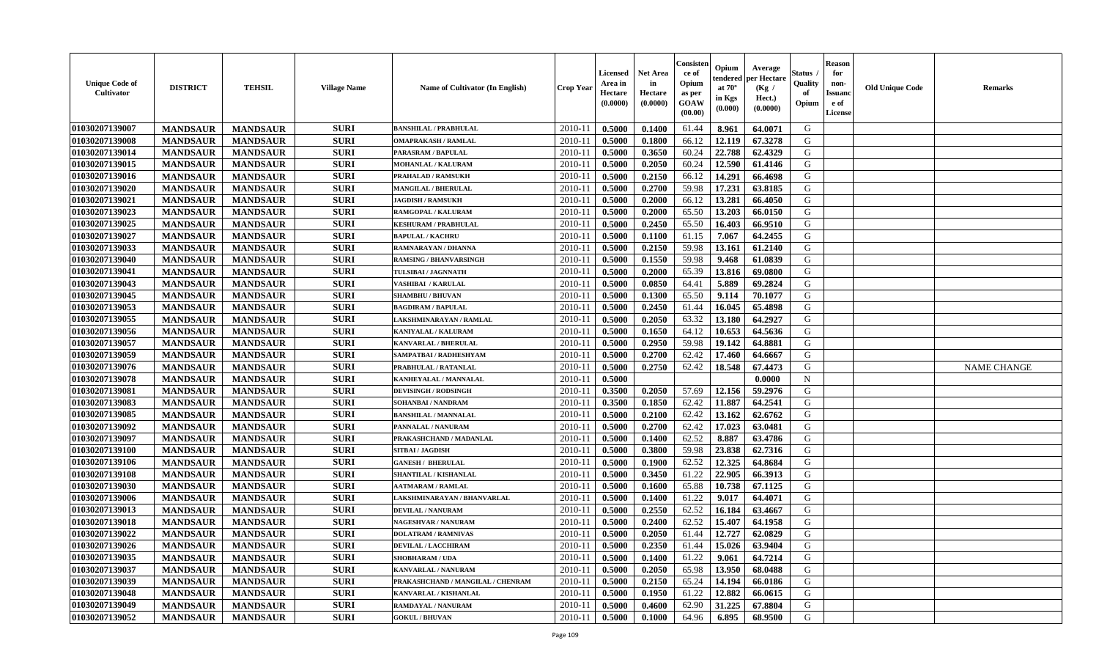| <b>Unique Code of</b><br><b>Cultivator</b> | <b>DISTRICT</b> | <b>TEHSIL</b>   | <b>Village Name</b> | Name of Cultivator (In English)   | <b>Crop Year</b> | Licensed<br>Area in<br>Hectare<br>(0.0000) | <b>Net Area</b><br>in<br>Hectare<br>(0.0000) | Consisteı<br>ce of<br>Opium<br>as per<br>GOAW<br>(00.00) | Opium<br>endered<br>at $70^\circ$<br>in Kgs<br>(0.000) | Average<br>per Hectare<br>(Kg /<br>Hect.)<br>(0.0000) | Status<br>Quality<br>of<br>Opium | <b>Reason</b><br>for<br>non-<br><b>Issuand</b><br>e of<br><b>License</b> | <b>Old Unique Code</b> | <b>Remarks</b>     |
|--------------------------------------------|-----------------|-----------------|---------------------|-----------------------------------|------------------|--------------------------------------------|----------------------------------------------|----------------------------------------------------------|--------------------------------------------------------|-------------------------------------------------------|----------------------------------|--------------------------------------------------------------------------|------------------------|--------------------|
| 01030207139007                             | <b>MANDSAUR</b> | <b>MANDSAUR</b> | <b>SURI</b>         | <b>BANSHILAL / PRABHULAL</b>      | 2010-11          | 0.5000                                     | 0.1400                                       | 61.44                                                    | 8.961                                                  | 64.0071                                               | G                                |                                                                          |                        |                    |
| 01030207139008                             | <b>MANDSAUR</b> | <b>MANDSAUR</b> | <b>SURI</b>         | <b>OMAPRAKASH / RAMLAL</b>        | 2010-11          | 0.5000                                     | 0.1800                                       | 66.12                                                    | 12.119                                                 | 67.3278                                               | G                                |                                                                          |                        |                    |
| 01030207139014                             | <b>MANDSAUR</b> | <b>MANDSAUR</b> | <b>SURI</b>         | PARASRAM / BAPULAL                | 2010-11          | 0.5000                                     | 0.3650                                       | 60.24                                                    | 22.788                                                 | 62.4329                                               | G                                |                                                                          |                        |                    |
| 01030207139015                             | <b>MANDSAUR</b> | <b>MANDSAUR</b> | <b>SURI</b>         | <b>MOHANLAL / KALURAM</b>         | 2010-11          | 0.5000                                     | 0.2050                                       | 60.24                                                    | 12.590                                                 | 61.4146                                               | G                                |                                                                          |                        |                    |
| 01030207139016                             | <b>MANDSAUR</b> | <b>MANDSAUR</b> | <b>SURI</b>         | <b>PRAHALAD / RAMSUKH</b>         | 2010-11          | 0.5000                                     | 0.2150                                       | 66.12                                                    | 14.291                                                 | 66.4698                                               | G                                |                                                                          |                        |                    |
| 01030207139020                             | <b>MANDSAUR</b> | <b>MANDSAUR</b> | <b>SURI</b>         | <b>MANGILAL / BHERULAL</b>        | 2010-11          | 0.5000                                     | 0.2700                                       | 59.98                                                    | 17.231                                                 | 63.8185                                               | G                                |                                                                          |                        |                    |
| 01030207139021                             | <b>MANDSAUR</b> | <b>MANDSAUR</b> | <b>SURI</b>         | <b>JAGDISH / RAMSUKH</b>          | 2010-11          | 0.5000                                     | 0.2000                                       | 66.12                                                    | 13.281                                                 | 66.4050                                               | G                                |                                                                          |                        |                    |
| 01030207139023                             | <b>MANDSAUR</b> | <b>MANDSAUR</b> | <b>SURI</b>         | RAMGOPAL / KALURAM                | 2010-11          | 0.5000                                     | 0.2000                                       | 65.50                                                    | 13.203                                                 | 66.0150                                               | G                                |                                                                          |                        |                    |
| 01030207139025                             | <b>MANDSAUR</b> | <b>MANDSAUR</b> | <b>SURI</b>         | <b>KESHURAM / PRABHULAL</b>       | 2010-11          | 0.5000                                     | 0.2450                                       | 65.50                                                    | 16.403                                                 | 66.9510                                               | G                                |                                                                          |                        |                    |
| 01030207139027                             | <b>MANDSAUR</b> | <b>MANDSAUR</b> | <b>SURI</b>         | <b>BAPULAL / KACHRU</b>           | 2010-11          | 0.5000                                     | 0.1100                                       | 61.15                                                    | 7.067                                                  | 64.2455                                               | G                                |                                                                          |                        |                    |
| 01030207139033                             | <b>MANDSAUR</b> | <b>MANDSAUR</b> | <b>SURI</b>         | RAMNARAYAN / DHANNA               | 2010-11          | 0.5000                                     | 0.2150                                       | 59.98                                                    | 13.161                                                 | 61.2140                                               | G                                |                                                                          |                        |                    |
| 01030207139040                             | <b>MANDSAUR</b> | <b>MANDSAUR</b> | <b>SURI</b>         | <b>RAMSING / BHANVARSINGH</b>     | 2010-11          | 0.5000                                     | 0.1550                                       | 59.98                                                    | 9.468                                                  | 61.0839                                               | G                                |                                                                          |                        |                    |
| 01030207139041                             | <b>MANDSAUR</b> | <b>MANDSAUR</b> | <b>SURI</b>         | TULSIBAI / JAGNNATH               | 2010-11          | 0.5000                                     | 0.2000                                       | 65.39                                                    | 13.816                                                 | 69.0800                                               | G                                |                                                                          |                        |                    |
| 01030207139043                             | <b>MANDSAUR</b> | <b>MANDSAUR</b> | <b>SURI</b>         | VASHIBAI / KARULAL                | $2010 - 11$      | 0.5000                                     | 0.0850                                       | 64.41                                                    | 5.889                                                  | 69.2824                                               | G                                |                                                                          |                        |                    |
| 01030207139045                             | <b>MANDSAUR</b> | <b>MANDSAUR</b> | <b>SURI</b>         | <b>SHAMBHU / BHUVAN</b>           | 2010-11          | 0.5000                                     | 0.1300                                       | 65.50                                                    | 9.114                                                  | 70.1077                                               | G                                |                                                                          |                        |                    |
| 01030207139053                             | <b>MANDSAUR</b> | <b>MANDSAUR</b> | <b>SURI</b>         | <b>BAGDIRAM / BAPULAL</b>         | 2010-11          | 0.5000                                     | 0.2450                                       | 61.44                                                    | 16.045                                                 | 65.4898                                               | G                                |                                                                          |                        |                    |
| 01030207139055                             | <b>MANDSAUR</b> | <b>MANDSAUR</b> | <b>SURI</b>         | LAKSHMINARAYAN / RAMLAL           | 2010-11          | 0.5000                                     | 0.2050                                       | 63.32                                                    | 13.180                                                 | 64.2927                                               | G                                |                                                                          |                        |                    |
| 01030207139056                             | <b>MANDSAUR</b> | <b>MANDSAUR</b> | <b>SURI</b>         | KANIYALAL / KALURAM               | 2010-11          | 0.5000                                     | 0.1650                                       | 64.12                                                    | 10.653                                                 | 64.5636                                               | G                                |                                                                          |                        |                    |
| 01030207139057                             | <b>MANDSAUR</b> | <b>MANDSAUR</b> | <b>SURI</b>         | <b>KANVARLAL / BHERULAL</b>       | 2010-11          | 0.5000                                     | 0.2950                                       | 59.98                                                    | 19.142                                                 | 64.8881                                               | G                                |                                                                          |                        |                    |
| 01030207139059                             | <b>MANDSAUR</b> | <b>MANDSAUR</b> | <b>SURI</b>         | SAMPATBAI / RADHESHYAM            | 2010-11          | 0.5000                                     | 0.2700                                       | 62.42                                                    | 17.460                                                 | 64.6667                                               | G                                |                                                                          |                        |                    |
| 01030207139076                             | <b>MANDSAUR</b> | <b>MANDSAUR</b> | <b>SURI</b>         | PRABHULAL / RATANLAL              | 2010-11          | 0.5000                                     | 0.2750                                       | 62.42                                                    | 18.548                                                 | 67.4473                                               | G                                |                                                                          |                        | <b>NAME CHANGE</b> |
| 01030207139078                             | <b>MANDSAUR</b> | <b>MANDSAUR</b> | <b>SURI</b>         | KANHEYALAL / MANNALAL             | 2010-11          | 0.5000                                     |                                              |                                                          |                                                        | 0.0000                                                | $\mathbf N$                      |                                                                          |                        |                    |
| 01030207139081                             | <b>MANDSAUR</b> | <b>MANDSAUR</b> | <b>SURI</b>         | <b>DEVISINGH / RODSINGH</b>       | $2010 - 11$      | 0.3500                                     | 0.2050                                       | 57.69                                                    | 12.156                                                 | 59.2976                                               | G                                |                                                                          |                        |                    |
| 01030207139083                             | <b>MANDSAUR</b> | <b>MANDSAUR</b> | <b>SURI</b>         | SOHANBAI / NANDRAM                | 2010-11          | 0.3500                                     | 0.1850                                       | 62.42                                                    | 11.887                                                 | 64.2541                                               | G                                |                                                                          |                        |                    |
| 01030207139085                             | <b>MANDSAUR</b> | <b>MANDSAUR</b> | <b>SURI</b>         | <b>BANSHILAL / MANNALAL</b>       | 2010-11          | 0.5000                                     | 0.2100                                       | 62.42                                                    | 13.162                                                 | 62.6762                                               | G                                |                                                                          |                        |                    |
| 01030207139092                             | <b>MANDSAUR</b> | <b>MANDSAUR</b> | <b>SURI</b>         | PANNALAL / NANURAM                | 2010-11          | 0.5000                                     | 0.2700                                       | 62.42                                                    | 17.023                                                 | 63.0481                                               | G                                |                                                                          |                        |                    |
| 01030207139097                             | <b>MANDSAUR</b> | <b>MANDSAUR</b> | <b>SURI</b>         | PRAKASHCHAND / MADANLAL           | 2010-11          | 0.5000                                     | 0.1400                                       | 62.52                                                    | 8.887                                                  | 63.4786                                               | G                                |                                                                          |                        |                    |
| 01030207139100                             | <b>MANDSAUR</b> | <b>MANDSAUR</b> | <b>SURI</b>         | SITBAI / JAGDISH                  | 2010-11          | 0.5000                                     | 0.3800                                       | 59.98                                                    | 23.838                                                 | 62.7316                                               | G                                |                                                                          |                        |                    |
| 01030207139106                             | <b>MANDSAUR</b> | <b>MANDSAUR</b> | <b>SURI</b>         | <b>GANESH / BHERULAL</b>          | 2010-11          | 0.5000                                     | 0.1900                                       | 62.52                                                    | 12.325                                                 | 64.8684                                               | G                                |                                                                          |                        |                    |
| 01030207139108                             | <b>MANDSAUR</b> | <b>MANDSAUR</b> | <b>SURI</b>         | SHANTILAL / KISHANLAL             | 2010-11          | 0.5000                                     | 0.3450                                       | 61.22                                                    | 22.905                                                 | 66.3913                                               | G                                |                                                                          |                        |                    |
| 01030207139030                             | <b>MANDSAUR</b> | <b>MANDSAUR</b> | <b>SURI</b>         | <b>AATMARAM / RAMLAL</b>          | $2010 - 1$       | 0.5000                                     | 0.1600                                       | 65.88                                                    | 10.738                                                 | 67.1125                                               | ${\bf G}$                        |                                                                          |                        |                    |
| 01030207139006                             | <b>MANDSAUR</b> | <b>MANDSAUR</b> | <b>SURI</b>         | LAKSHMINARAYAN / BHANVARLAL       | 2010-11          | 0.5000                                     | 0.1400                                       | 61.22                                                    | 9.017                                                  | 64.4071                                               | G                                |                                                                          |                        |                    |
| 01030207139013                             | <b>MANDSAUR</b> | <b>MANDSAUR</b> | <b>SURI</b>         | <b>DEVILAL / NANURAM</b>          | 2010-11          | 0.5000                                     | 0.2550                                       | 62.52                                                    | 16.184                                                 | 63.4667                                               | G                                |                                                                          |                        |                    |
| 01030207139018                             | <b>MANDSAUR</b> | <b>MANDSAUR</b> | <b>SURI</b>         | <b>NAGESHVAR / NANURAM</b>        | 2010-11          | 0.5000                                     | 0.2400                                       | 62.52                                                    | 15.407                                                 | 64.1958                                               | G                                |                                                                          |                        |                    |
| 01030207139022                             | <b>MANDSAUR</b> | <b>MANDSAUR</b> | <b>SURI</b>         | <b>DOLATRAM / RAMNIVAS</b>        | 2010-11          | 0.5000                                     | 0.2050                                       | 61.44                                                    | 12.727                                                 | 62.0829                                               | G                                |                                                                          |                        |                    |
| 01030207139026                             | <b>MANDSAUR</b> | <b>MANDSAUR</b> | <b>SURI</b>         | <b>DEVILAL / LACCHIRAM</b>        | 2010-11          | 0.5000                                     | 0.2350                                       | 61.44                                                    | 15.026                                                 | 63.9404                                               | G                                |                                                                          |                        |                    |
| 01030207139035                             | <b>MANDSAUR</b> | <b>MANDSAUR</b> | <b>SURI</b>         | <b>SHOBHARAM / UDA</b>            | 2010-11          | 0.5000                                     | 0.1400                                       | 61.22                                                    | 9.061                                                  | 64.7214                                               | G                                |                                                                          |                        |                    |
| 01030207139037                             | <b>MANDSAUR</b> | <b>MANDSAUR</b> | <b>SURI</b>         | <b>KANVARLAL / NANURAM</b>        | 2010-11          | 0.5000                                     | 0.2050                                       | 65.98                                                    | 13.950                                                 | 68.0488                                               | G                                |                                                                          |                        |                    |
| 01030207139039                             | <b>MANDSAUR</b> | <b>MANDSAUR</b> | <b>SURI</b>         | PRAKASHCHAND / MANGILAL / CHENRAM | $2010 - 11$      | 0.5000                                     | 0.2150                                       | 65.24                                                    | 14.194                                                 | 66.0186                                               | G                                |                                                                          |                        |                    |
| 01030207139048                             | <b>MANDSAUR</b> | <b>MANDSAUR</b> | <b>SURI</b>         | KANVARLAL / KISHANLAL             | $2010 - 11$      | 0.5000                                     | 0.1950                                       | 61.22                                                    | 12.882                                                 | 66.0615                                               | G                                |                                                                          |                        |                    |
| 01030207139049                             | <b>MANDSAUR</b> | <b>MANDSAUR</b> | <b>SURI</b>         | <b>RAMDAYAL / NANURAM</b>         | 2010-11          | 0.5000                                     | 0.4600                                       | 62.90                                                    | 31.225                                                 | 67.8804                                               | G                                |                                                                          |                        |                    |
| 01030207139052                             | <b>MANDSAUR</b> | <b>MANDSAUR</b> | <b>SURI</b>         | <b>GOKUL / BHUVAN</b>             | 2010-11          | 0.5000                                     | 0.1000                                       | 64.96                                                    | 6.895                                                  | 68.9500                                               | G                                |                                                                          |                        |                    |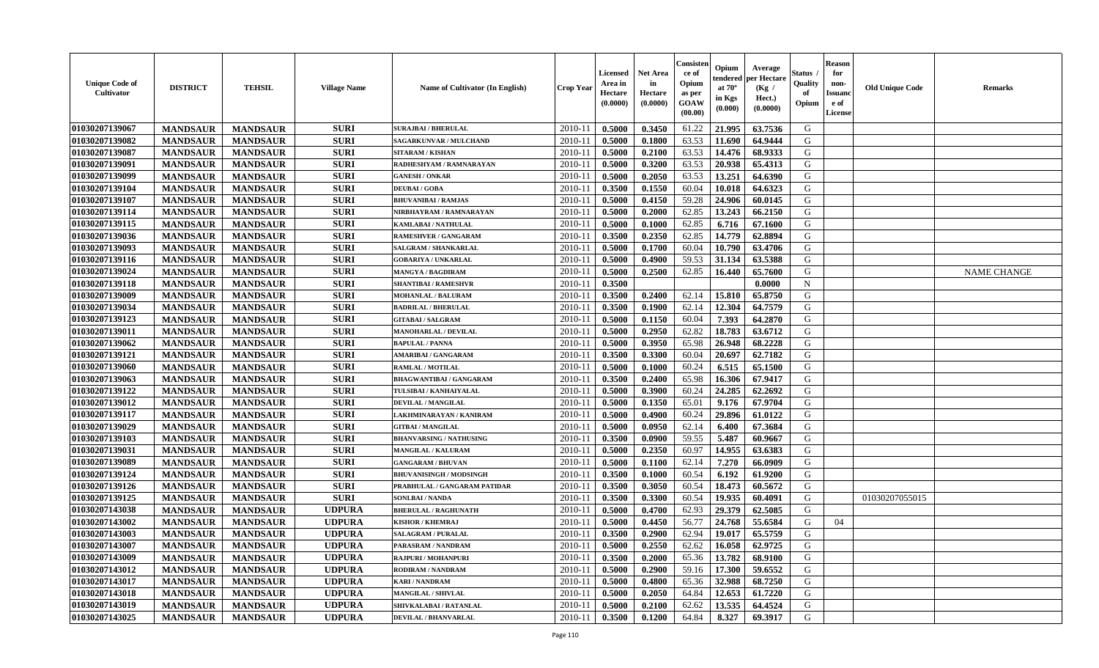| <b>Unique Code of</b><br>Cultivator | <b>DISTRICT</b> | <b>TEHSIL</b>   | <b>Village Name</b> | <b>Name of Cultivator (In English)</b> | <b>Crop Year</b> | <b>Licensed</b><br>Area in<br>Hectare<br>(0.0000) | Net Area<br>in<br>Hectare<br>(0.0000) | Consisteı<br>-ce of<br>Opium<br>as per<br><b>GOAW</b><br>(00.00) | Opium<br>endered<br>at $70^\circ$<br>in Kgs<br>(0.000) | Average<br>per Hectare<br>(Kg /<br>Hect.)<br>(0.0000) | Status<br>Quality<br>of<br>Opium | <b>Reason</b><br>for<br>non-<br><b>Issuanc</b><br>e of<br><b>License</b> | <b>Old Unique Code</b> | Remarks            |
|-------------------------------------|-----------------|-----------------|---------------------|----------------------------------------|------------------|---------------------------------------------------|---------------------------------------|------------------------------------------------------------------|--------------------------------------------------------|-------------------------------------------------------|----------------------------------|--------------------------------------------------------------------------|------------------------|--------------------|
| 01030207139067                      | <b>MANDSAUR</b> | <b>MANDSAUR</b> | <b>SURI</b>         | <b>SURAJBAI / BHERULAL</b>             | 2010-11          | 0.5000                                            | 0.3450                                | 61.22                                                            | 21.995                                                 | 63.7536                                               | G                                |                                                                          |                        |                    |
| 01030207139082                      | <b>MANDSAUR</b> | <b>MANDSAUR</b> | <b>SURI</b>         | <b>SAGARKUNVAR / MULCHAND</b>          | 2010-11          | 0.5000                                            | 0.1800                                | 63.53                                                            | 11.690                                                 | 64.9444                                               | G                                |                                                                          |                        |                    |
| 01030207139087                      | <b>MANDSAUR</b> | <b>MANDSAUR</b> | <b>SURI</b>         | <b>SITARAM / KISHAN</b>                | 2010-11          | 0.5000                                            | 0.2100                                | 63.53                                                            | 14.476                                                 | 68.9333                                               | G                                |                                                                          |                        |                    |
| 01030207139091                      | <b>MANDSAUR</b> | <b>MANDSAUR</b> | <b>SURI</b>         | RADHESHYAM / RAMNARAYAN                | 2010-11          | 0.5000                                            | 0.3200                                | 63.53                                                            | 20.938                                                 | 65.4313                                               | G                                |                                                                          |                        |                    |
| 01030207139099                      | <b>MANDSAUR</b> | <b>MANDSAUR</b> | <b>SURI</b>         | <b>GANESH / ONKAR</b>                  | 2010-11          | 0.5000                                            | 0.2050                                | 63.53                                                            | 13.251                                                 | 64.6390                                               | G                                |                                                                          |                        |                    |
| 01030207139104                      | <b>MANDSAUR</b> | <b>MANDSAUR</b> | <b>SURI</b>         | <b>DEUBAI/GOBA</b>                     | $2010 - 11$      | 0.3500                                            | 0.1550                                | 60.04                                                            | 10.018                                                 | 64.6323                                               | G                                |                                                                          |                        |                    |
| 01030207139107                      | <b>MANDSAUR</b> | <b>MANDSAUR</b> | <b>SURI</b>         | <b>BHUVANIBAI / RAMJAS</b>             | 2010-11          | 0.5000                                            | 0.4150                                | 59.28                                                            | 24.906                                                 | 60.0145                                               | G                                |                                                                          |                        |                    |
| 01030207139114                      | <b>MANDSAUR</b> | <b>MANDSAUR</b> | <b>SURI</b>         | NIRBHAYRAM / RAMNARAYAN                | 2010-11          | 0.5000                                            | 0.2000                                | 62.85                                                            | 13.243                                                 | 66.2150                                               | G                                |                                                                          |                        |                    |
| 01030207139115                      | <b>MANDSAUR</b> | <b>MANDSAUR</b> | <b>SURI</b>         | <b>KAMLABAI/NATHULAL</b>               | 2010-11          | 0.5000                                            | 0.1000                                | 62.85                                                            | 6.716                                                  | 67.1600                                               | G                                |                                                                          |                        |                    |
| 01030207139036                      | <b>MANDSAUR</b> | <b>MANDSAUR</b> | <b>SURI</b>         | <b>RAMESHVER / GANGARAM</b>            | 2010-11          | 0.3500                                            | 0.2350                                | 62.85                                                            | 14.779                                                 | 62.8894                                               | G                                |                                                                          |                        |                    |
| 01030207139093                      | <b>MANDSAUR</b> | <b>MANDSAUR</b> | <b>SURI</b>         | SALGRAM / SHANKARLAL                   | 2010-11          | 0.5000                                            | 0.1700                                | 60.04                                                            | 10.790                                                 | 63.4706                                               | G                                |                                                                          |                        |                    |
| 01030207139116                      | <b>MANDSAUR</b> | <b>MANDSAUR</b> | <b>SURI</b>         | <b>GOBARIYA / UNKARLAL</b>             | 2010-11          | 0.5000                                            | 0.4900                                | 59.53                                                            | 31.134                                                 | 63.5388                                               | G                                |                                                                          |                        |                    |
| 01030207139024                      | <b>MANDSAUR</b> | <b>MANDSAUR</b> | <b>SURI</b>         | <b>MANGYA / BAGDIRAM</b>               | 2010-11          | 0.5000                                            | 0.2500                                | 62.85                                                            | 16.440                                                 | 65.7600                                               | G                                |                                                                          |                        | <b>NAME CHANGE</b> |
| 01030207139118                      | <b>MANDSAUR</b> | <b>MANDSAUR</b> | <b>SURI</b>         | <b>SHANTIBAI / RAMESHVR</b>            | $2010 - 11$      | 0.3500                                            |                                       |                                                                  |                                                        | 0.0000                                                | $\mathbf N$                      |                                                                          |                        |                    |
| 01030207139009                      | <b>MANDSAUR</b> | <b>MANDSAUR</b> | <b>SURI</b>         | MOHANLAL / BALURAM                     | 2010-11          | 0.3500                                            | 0.2400                                | 62.14                                                            | 15.810                                                 | 65.8750                                               | G                                |                                                                          |                        |                    |
| 01030207139034                      | <b>MANDSAUR</b> | <b>MANDSAUR</b> | <b>SURI</b>         | <b>BADRILAL / BHERULAL</b>             | 2010-11          | 0.3500                                            | 0.1900                                | 62.14                                                            | 12.304                                                 | 64.7579                                               | G                                |                                                                          |                        |                    |
| 01030207139123                      | <b>MANDSAUR</b> | <b>MANDSAUR</b> | <b>SURI</b>         | <b>GITABAI/SALGRAM</b>                 | 2010-11          | 0.5000                                            | 0.1150                                | 60.04                                                            | 7.393                                                  | 64.2870                                               | G                                |                                                                          |                        |                    |
| 01030207139011                      | <b>MANDSAUR</b> | <b>MANDSAUR</b> | <b>SURI</b>         | <b>MANOHARLAL / DEVILAL</b>            | 2010-11          | 0.5000                                            | 0.2950                                | 62.82                                                            | 18.783                                                 | 63.6712                                               | G                                |                                                                          |                        |                    |
| 01030207139062                      | <b>MANDSAUR</b> | <b>MANDSAUR</b> | <b>SURI</b>         | <b>BAPULAL / PANNA</b>                 | 2010-11          | 0.5000                                            | 0.3950                                | 65.98                                                            | 26.948                                                 | 68.2228                                               | G                                |                                                                          |                        |                    |
| 01030207139121                      | <b>MANDSAUR</b> | <b>MANDSAUR</b> | <b>SURI</b>         | <b>AMARIBAI/GANGARAM</b>               | 2010-11          | 0.3500                                            | 0.3300                                | 60.04                                                            | 20.697                                                 | 62.7182                                               | G                                |                                                                          |                        |                    |
| 01030207139060                      | <b>MANDSAUR</b> | <b>MANDSAUR</b> | <b>SURI</b>         | <b>RAMLAL / MOTILAL</b>                | 2010-11          | 0.5000                                            | 0.1000                                | 60.24                                                            | 6.515                                                  | 65.1500                                               | G                                |                                                                          |                        |                    |
| 01030207139063                      | <b>MANDSAUR</b> | <b>MANDSAUR</b> | <b>SURI</b>         | <b>BHAGWANTIBAI/GANGARAM</b>           | $2010 - 11$      | 0.3500                                            | 0.2400                                | 65.98                                                            | 16.306                                                 | 67.9417                                               | G                                |                                                                          |                        |                    |
| 01030207139122                      | <b>MANDSAUR</b> | <b>MANDSAUR</b> | <b>SURI</b>         | TULSIBAI / KANHAIYALAL                 | $2010 - 11$      | 0.5000                                            | 0.3900                                | 60.24                                                            | 24.285                                                 | 62.2692                                               | G                                |                                                                          |                        |                    |
| 01030207139012                      | <b>MANDSAUR</b> | <b>MANDSAUR</b> | <b>SURI</b>         | DEVILAL / MANGILAL                     | 2010-11          | 0.5000                                            | 0.1350                                | 65.01                                                            | 9.176                                                  | 67.9704                                               | G                                |                                                                          |                        |                    |
| 01030207139117                      | <b>MANDSAUR</b> | <b>MANDSAUR</b> | <b>SURI</b>         | LAKHMINARAYAN / KANIRAM                | 2010-11          | 0.5000                                            | 0.4900                                | 60.24                                                            | 29.896                                                 | 61.0122                                               | G                                |                                                                          |                        |                    |
| 01030207139029                      | <b>MANDSAUR</b> | <b>MANDSAUR</b> | <b>SURI</b>         | <b>GITBAI/MANGILAL</b>                 | 2010-11          | 0.5000                                            | 0.0950                                | 62.14                                                            | 6.400                                                  | 67.3684                                               | G                                |                                                                          |                        |                    |
| 01030207139103                      | <b>MANDSAUR</b> | <b>MANDSAUR</b> | <b>SURI</b>         | <b>BHANVARSING / NATHUSING</b>         | 2010-11          | 0.3500                                            | 0.0900                                | 59.55                                                            | 5.487                                                  | 60.9667                                               | G                                |                                                                          |                        |                    |
| 01030207139031                      | <b>MANDSAUR</b> | <b>MANDSAUR</b> | <b>SURI</b>         | <b>MANGILAL / KALURAM</b>              | 2010-11          | 0.5000                                            | 0.2350                                | 60.97                                                            | 14.955                                                 | 63.6383                                               | G                                |                                                                          |                        |                    |
| 01030207139089                      | <b>MANDSAUR</b> | <b>MANDSAUR</b> | <b>SURI</b>         | <b>GANGARAM / BHUVAN</b>               | 2010-11          | 0.5000                                            | 0.1100                                | 62.14                                                            | 7.270                                                  | 66.0909                                               | G                                |                                                                          |                        |                    |
| 01030207139124                      | <b>MANDSAUR</b> | <b>MANDSAUR</b> | <b>SURI</b>         | <b>BHUVANISINGH / MODSINGH</b>         | 2010-11          | 0.3500                                            | 0.1000                                | 60.54                                                            | 6.192                                                  | 61.9200                                               | G                                |                                                                          |                        |                    |
| 01030207139126                      | <b>MANDSAUR</b> | <b>MANDSAUR</b> | <b>SURI</b>         | PRABHULAL / GANGARAM PATIDAR           | $2010 - 11$      | 0.3500                                            | 0.3050                                | 60.54                                                            | 18.473                                                 | 60.5672                                               | G                                |                                                                          |                        |                    |
| 01030207139125                      | <b>MANDSAUR</b> | <b>MANDSAUR</b> | <b>SURI</b>         | SONI.BAI / NANDA                       | 2010-11          | 0.3500                                            | 0.3300                                | 60.54                                                            | 19.935                                                 | 60.4091                                               | G                                |                                                                          | 01030207055015         |                    |
| 01030207143038                      | <b>MANDSAUR</b> | <b>MANDSAUR</b> | <b>UDPURA</b>       | <b>BHERULAL / RAGHUNATH</b>            | 2010-11          | 0.5000                                            | 0.4700                                | 62.93                                                            | 29.379                                                 | 62.5085                                               | G                                |                                                                          |                        |                    |
| 01030207143002                      | <b>MANDSAUR</b> | <b>MANDSAUR</b> | <b>UDPURA</b>       | <b>KISHOR / KHEMRAJ</b>                | 2010-11          | 0.5000                                            | 0.4450                                | 56.77                                                            | 24.768                                                 | 55.6584                                               | G                                | 04                                                                       |                        |                    |
| 01030207143003                      | <b>MANDSAUR</b> | <b>MANDSAUR</b> | <b>UDPURA</b>       | <b>SALAGRAM / PURALAL</b>              | 2010-11          | 0.3500                                            | 0.2900                                | 62.94                                                            | 19.017                                                 | 65.5759                                               | G                                |                                                                          |                        |                    |
| 01030207143007                      | <b>MANDSAUR</b> | <b>MANDSAUR</b> | <b>UDPURA</b>       | PARASRAM / NANDRAM                     | 2010-11          | 0.5000                                            | 0.2550                                | 62.62                                                            | 16.058                                                 | 62.9725                                               | G                                |                                                                          |                        |                    |
| 01030207143009                      | <b>MANDSAUR</b> | <b>MANDSAUR</b> | <b>UDPURA</b>       | <b>RAJPURI / MOHANPURI</b>             | 2010-11          | 0.3500                                            | 0.2000                                | 65.36                                                            | 13.782                                                 | 68.9100                                               | G                                |                                                                          |                        |                    |
| 01030207143012                      | <b>MANDSAUR</b> | <b>MANDSAUR</b> | <b>UDPURA</b>       | <b>RODIRAM / NANDRAM</b>               | 2010-11          | 0.5000                                            | 0.2900                                | 59.16                                                            | 17.300                                                 | 59.6552                                               | G                                |                                                                          |                        |                    |
| 01030207143017                      | <b>MANDSAUR</b> | <b>MANDSAUR</b> | <b>UDPURA</b>       | <b>KARI / NANDRAM</b>                  | $2010 - 11$      | 0.5000                                            | 0.4800                                | 65.36                                                            | 32.988                                                 | 68.7250                                               | G                                |                                                                          |                        |                    |
| 01030207143018                      | <b>MANDSAUR</b> | <b>MANDSAUR</b> | <b>UDPURA</b>       | <b>MANGILAL / SHIVLAL</b>              | $2010 - 11$      | 0.5000                                            | 0.2050                                | 64.84                                                            | 12.653                                                 | 61.7220                                               | G                                |                                                                          |                        |                    |
| 01030207143019                      | <b>MANDSAUR</b> | <b>MANDSAUR</b> | <b>UDPURA</b>       | SHIVKALABAI / RATANLAL                 | 2010-11          | 0.5000                                            | 0.2100                                | 62.62                                                            | 13.535                                                 | 64.4524                                               | G                                |                                                                          |                        |                    |
| 01030207143025                      | <b>MANDSAUR</b> | <b>MANDSAUR</b> | <b>UDPURA</b>       | <b>DEVILAL / BHANVARLAL</b>            | 2010-11          | 0.3500                                            | 0.1200                                | 64.84                                                            | 8.327                                                  | 69.3917                                               | G                                |                                                                          |                        |                    |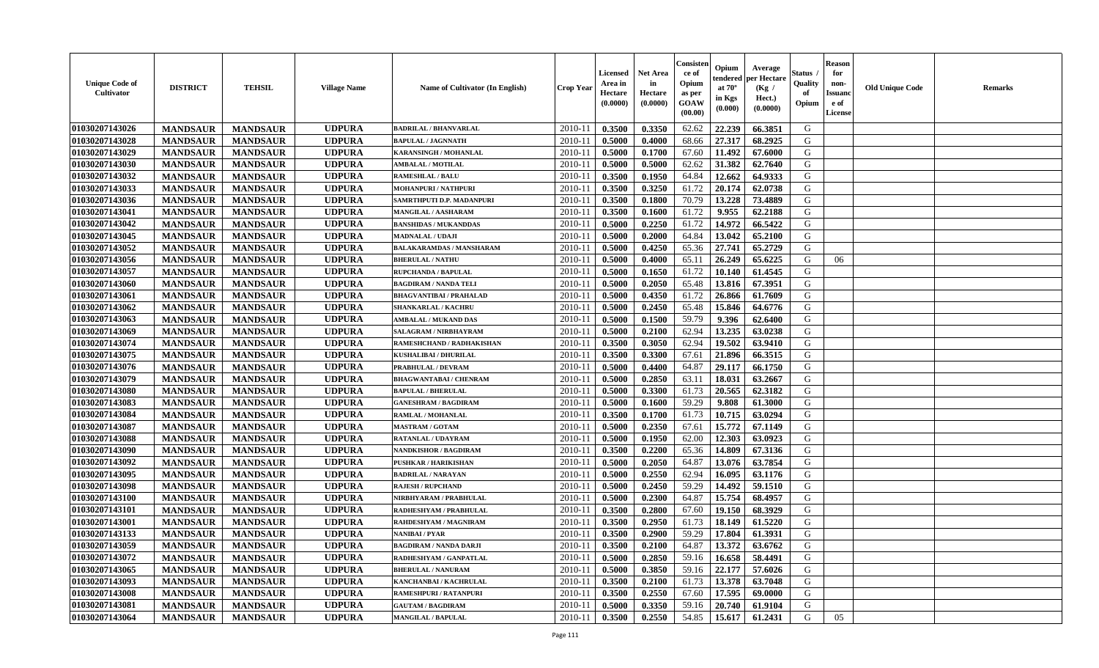| <b>Unique Code of</b><br><b>Cultivator</b> | <b>DISTRICT</b> | <b>TEHSIL</b>   | <b>Village Name</b> | Name of Cultivator (In English) | <b>Crop Year</b> | <b>Licensed</b><br>Area in<br>Hectare<br>(0.0000) | <b>Net Area</b><br>in<br>Hectare<br>(0.0000) | Consisteı<br>ce of<br>Opium<br>as per<br>GOAW<br>(00.00) | Opium<br>endered<br>at $70^{\circ}$<br>in Kgs<br>(0.000) | Average<br>per Hectare<br>(Kg /<br>Hect.)<br>(0.0000) | Status<br>Quality<br>of<br>Opium | <b>Reason</b><br>for<br>non-<br><b>Issuand</b><br>e of<br><b>License</b> | <b>Old Unique Code</b> | <b>Remarks</b> |
|--------------------------------------------|-----------------|-----------------|---------------------|---------------------------------|------------------|---------------------------------------------------|----------------------------------------------|----------------------------------------------------------|----------------------------------------------------------|-------------------------------------------------------|----------------------------------|--------------------------------------------------------------------------|------------------------|----------------|
| 01030207143026                             | <b>MANDSAUR</b> | <b>MANDSAUR</b> | <b>UDPURA</b>       | <b>BADRILAL / BHANVARLAL</b>    | 2010-11          | 0.3500                                            | 0.3350                                       | 62.62                                                    | 22.239                                                   | 66.3851                                               | G                                |                                                                          |                        |                |
| 01030207143028                             | <b>MANDSAUR</b> | <b>MANDSAUR</b> | <b>UDPURA</b>       | <b>BAPULAL / JAGNNATH</b>       | 2010-11          | 0.5000                                            | 0.4000                                       | 68.66                                                    | 27.317                                                   | 68.2925                                               | G                                |                                                                          |                        |                |
| 01030207143029                             | <b>MANDSAUR</b> | <b>MANDSAUR</b> | <b>UDPURA</b>       | <b>KARANSINGH / MOHANLAL</b>    | 2010-11          | 0.5000                                            | 0.1700                                       | 67.60                                                    | 11.492                                                   | 67.6000                                               | G                                |                                                                          |                        |                |
| 01030207143030                             | <b>MANDSAUR</b> | <b>MANDSAUR</b> | <b>UDPURA</b>       | <b>AMBALAL / MOTILAL</b>        | 2010-11          | 0.5000                                            | 0.5000                                       | 62.62                                                    | 31.382                                                   | 62.7640                                               | G                                |                                                                          |                        |                |
| 01030207143032                             | <b>MANDSAUR</b> | <b>MANDSAUR</b> | <b>UDPURA</b>       | <b>RAMESHLAL / BALU</b>         | 2010-11          | 0.3500                                            | 0.1950                                       | 64.84                                                    | 12.662                                                   | 64.9333                                               | G                                |                                                                          |                        |                |
| 01030207143033                             | <b>MANDSAUR</b> | <b>MANDSAUR</b> | <b>UDPURA</b>       | <b>MOHANPURI / NATHPURI</b>     | $2010 - 11$      | 0.3500                                            | 0.3250                                       | 61.72                                                    | 20.174                                                   | 62.0738                                               | G                                |                                                                          |                        |                |
| 01030207143036                             | <b>MANDSAUR</b> | <b>MANDSAUR</b> | <b>UDPURA</b>       | SAMRTHPUTI D.P. MADANPURI       | 2010-11          | 0.3500                                            | 0.1800                                       | 70.79                                                    | 13.228                                                   | 73.4889                                               | G                                |                                                                          |                        |                |
| 01030207143041                             | <b>MANDSAUR</b> | <b>MANDSAUR</b> | <b>UDPURA</b>       | MANGILAL / AASHARAM             | 2010-11          | 0.3500                                            | 0.1600                                       | 61.72                                                    | 9.955                                                    | 62.2188                                               | G                                |                                                                          |                        |                |
| 01030207143042                             | <b>MANDSAUR</b> | <b>MANDSAUR</b> | <b>UDPURA</b>       | <b>BANSHIDAS / MUKANDDAS</b>    | 2010-11          | 0.5000                                            | 0.2250                                       | 61.72                                                    | 14.972                                                   | 66.5422                                               | G                                |                                                                          |                        |                |
| 01030207143045                             | <b>MANDSAUR</b> | <b>MANDSAUR</b> | <b>UDPURA</b>       | MADNALAL / UDAJI                | 2010-11          | 0.5000                                            | 0.2000                                       | 64.84                                                    | 13.042                                                   | 65.2100                                               | G                                |                                                                          |                        |                |
| 01030207143052                             | <b>MANDSAUR</b> | <b>MANDSAUR</b> | <b>UDPURA</b>       | <b>BALAKARAMDAS / MANSHARAM</b> | 2010-11          | 0.5000                                            | 0.4250                                       | 65.36                                                    | 27.741                                                   | 65.2729                                               | G                                |                                                                          |                        |                |
| 01030207143056                             | <b>MANDSAUR</b> | <b>MANDSAUR</b> | <b>UDPURA</b>       | <b>BHERULAL / NATHU</b>         | 2010-11          | 0.5000                                            | 0.4000                                       | 65.11                                                    | 26.249                                                   | 65.6225                                               | G                                | 06                                                                       |                        |                |
| 01030207143057                             | <b>MANDSAUR</b> | <b>MANDSAUR</b> | <b>UDPURA</b>       | <b>RUPCHANDA / BAPULAL</b>      | 2010-11          | 0.5000                                            | 0.1650                                       | 61.72                                                    | 10.140                                                   | 61.4545                                               | G                                |                                                                          |                        |                |
| 01030207143060                             | <b>MANDSAUR</b> | <b>MANDSAUR</b> | <b>UDPURA</b>       | <b>BAGDIRAM / NANDA TELI</b>    | $2010 - 11$      | 0.5000                                            | 0.2050                                       | 65.48                                                    | 13.816                                                   | 67.3951                                               | G                                |                                                                          |                        |                |
| 01030207143061                             | <b>MANDSAUR</b> | <b>MANDSAUR</b> | <b>UDPURA</b>       | <b>BHAGVANTIBAI / PRAHALAD</b>  | 2010-11          | 0.5000                                            | 0.4350                                       | 61.72                                                    | 26.866                                                   | 61.7609                                               | G                                |                                                                          |                        |                |
| 01030207143062                             | <b>MANDSAUR</b> | <b>MANDSAUR</b> | <b>UDPURA</b>       | <b>SHANKARLAL / KACHRU</b>      | 2010-11          | 0.5000                                            | 0.2450                                       | 65.48                                                    | 15.846                                                   | 64.6776                                               | G                                |                                                                          |                        |                |
| 01030207143063                             | <b>MANDSAUR</b> | <b>MANDSAUR</b> | <b>UDPURA</b>       | <b>AMBALAL / MUKAND DAS</b>     | 2010-11          | 0.5000                                            | 0.1500                                       | 59.79                                                    | 9.396                                                    | 62.6400                                               | G                                |                                                                          |                        |                |
| 01030207143069                             | <b>MANDSAUR</b> | <b>MANDSAUR</b> | <b>UDPURA</b>       | SALAGRAM / NIRBHAYRAM           | 2010-11          | 0.5000                                            | 0.2100                                       | 62.94                                                    | 13.235                                                   | 63.0238                                               | G                                |                                                                          |                        |                |
| 01030207143074                             | <b>MANDSAUR</b> | <b>MANDSAUR</b> | <b>UDPURA</b>       | RAMESHCHAND / RADHAKISHAN       | 2010-11          | 0.3500                                            | 0.3050                                       | 62.94                                                    | 19.502                                                   | 63.9410                                               | G                                |                                                                          |                        |                |
| 01030207143075                             | <b>MANDSAUR</b> | <b>MANDSAUR</b> | <b>UDPURA</b>       | <b>KUSHALIBAI / DHURILAL</b>    | 2010-11          | 0.3500                                            | 0.3300                                       | 67.61                                                    | 21.896                                                   | 66.3515                                               | G                                |                                                                          |                        |                |
| 01030207143076                             | <b>MANDSAUR</b> | <b>MANDSAUR</b> | <b>UDPURA</b>       | <b>PRABHULAL / DEVRAM</b>       | 2010-11          | 0.5000                                            | 0.4400                                       | 64.87                                                    | 29.117                                                   | 66.1750                                               | G                                |                                                                          |                        |                |
| 01030207143079                             | <b>MANDSAUR</b> | <b>MANDSAUR</b> | <b>UDPURA</b>       | <b>BHAGWANTABAI / CHENRAM</b>   | $2010 - 11$      | 0.5000                                            | 0.2850                                       | 63.11                                                    | 18.031                                                   | 63.2667                                               | G                                |                                                                          |                        |                |
| 01030207143080                             | <b>MANDSAUR</b> | <b>MANDSAUR</b> | <b>UDPURA</b>       | <b>BAPULAL / BHERULAL</b>       | $2010 - 11$      | 0.5000                                            | 0.3300                                       | 61.73                                                    | 20.565                                                   | 62.3182                                               | G                                |                                                                          |                        |                |
| 01030207143083                             | <b>MANDSAUR</b> | <b>MANDSAUR</b> | <b>UDPURA</b>       | <b>GANESHRAM / BAGDIRAM</b>     | 2010-11          | 0.5000                                            | 0.1600                                       | 59.29                                                    | 9.808                                                    | 61.3000                                               | G                                |                                                                          |                        |                |
| 01030207143084                             | <b>MANDSAUR</b> | <b>MANDSAUR</b> | <b>UDPURA</b>       | RAMLAL / MOHANLAL               | 2010-11          | 0.3500                                            | 0.1700                                       | 61.73                                                    | 10.715                                                   | 63.0294                                               | G                                |                                                                          |                        |                |
| 01030207143087                             | <b>MANDSAUR</b> | <b>MANDSAUR</b> | <b>UDPURA</b>       | <b>MASTRAM / GOTAM</b>          | 2010-11          | 0.5000                                            | 0.2350                                       | 67.61                                                    | 15.772                                                   | 67.1149                                               | G                                |                                                                          |                        |                |
| 01030207143088                             | <b>MANDSAUR</b> | <b>MANDSAUR</b> | <b>UDPURA</b>       | <b>RATANLAL / UDAYRAM</b>       | 2010-11          | 0.5000                                            | 0.1950                                       | 62.00                                                    | 12.303                                                   | 63.0923                                               | G                                |                                                                          |                        |                |
| 01030207143090                             | <b>MANDSAUR</b> | <b>MANDSAUR</b> | <b>UDPURA</b>       | <b>NANDKISHOR / BAGDIRAM</b>    | 2010-11          | 0.3500                                            | 0.2200                                       | 65.36                                                    | 14.809                                                   | 67.3136                                               | G                                |                                                                          |                        |                |
| 01030207143092                             | <b>MANDSAUR</b> | <b>MANDSAUR</b> | <b>UDPURA</b>       | PUSHKAR / HARIKISHAN            | 2010-11          | 0.5000                                            | 0.2050                                       | 64.87                                                    | 13.076                                                   | 63.7854                                               | G                                |                                                                          |                        |                |
| 01030207143095                             | <b>MANDSAUR</b> | <b>MANDSAUR</b> | <b>UDPURA</b>       | <b>BADRILAL / NARAYAN</b>       | 2010-11          | 0.5000                                            | 0.2550                                       | 62.94                                                    | 16.095                                                   | 63.1176                                               | G                                |                                                                          |                        |                |
| 01030207143098                             | <b>MANDSAUR</b> | <b>MANDSAUR</b> | <b>UDPURA</b>       | <b>RAJESH / RUPCHAND</b>        | $2010 - 11$      | 0.5000                                            | 0.2450                                       | 59.29                                                    | 14.492                                                   | 59.1510                                               | ${\bf G}$                        |                                                                          |                        |                |
| 01030207143100                             | <b>MANDSAUR</b> | <b>MANDSAUR</b> | <b>UDPURA</b>       | NIRBHYARAM / PRABHULAL          | 2010-11          | 0.5000                                            | 0.2300                                       | 64.87                                                    | 15.754                                                   | 68.4957                                               | G                                |                                                                          |                        |                |
| 01030207143101                             | <b>MANDSAUR</b> | <b>MANDSAUR</b> | <b>UDPURA</b>       | RADHESHYAM / PRABHULAL          | 2010-11          | 0.3500                                            | 0.2800                                       | 67.60                                                    | 19.150                                                   | 68.3929                                               | G                                |                                                                          |                        |                |
| 01030207143001                             | <b>MANDSAUR</b> | <b>MANDSAUR</b> | <b>UDPURA</b>       | RAHDESHYAM / MAGNIRAM           | 2010-11          | 0.3500                                            | 0.2950                                       | 61.73                                                    | 18.149                                                   | 61.5220                                               | G                                |                                                                          |                        |                |
| 01030207143133                             | <b>MANDSAUR</b> | <b>MANDSAUR</b> | <b>UDPURA</b>       | NANIBAI / PYAR                  | 2010-11          | 0.3500                                            | 0.2900                                       | 59.29                                                    | 17.804                                                   | 61.3931                                               | G                                |                                                                          |                        |                |
| 01030207143059                             | <b>MANDSAUR</b> | <b>MANDSAUR</b> | <b>UDPURA</b>       | <b>BAGDIRAM / NANDA DARJI</b>   | 2010-11          | 0.3500                                            | 0.2100                                       | 64.87                                                    | 13.372                                                   | 63.6762                                               | G                                |                                                                          |                        |                |
| 01030207143072                             | <b>MANDSAUR</b> | <b>MANDSAUR</b> | <b>UDPURA</b>       | RADHESHYAM / GANPATLAL          | 2010-11          | 0.5000                                            | 0.2850                                       | 59.16                                                    | 16.658                                                   | 58.4491                                               | G                                |                                                                          |                        |                |
| 01030207143065                             | <b>MANDSAUR</b> | <b>MANDSAUR</b> | <b>UDPURA</b>       | <b>BHERULAL / NANURAM</b>       | 2010-11          | 0.5000                                            | 0.3850                                       | 59.16                                                    | 22.177                                                   | 57.6026                                               | G                                |                                                                          |                        |                |
| 01030207143093                             | <b>MANDSAUR</b> | <b>MANDSAUR</b> | <b>UDPURA</b>       | KANCHANBAI / KACHRULAL          | $2010 - 11$      | 0.3500                                            | 0.2100                                       | 61.73                                                    | 13.378                                                   | 63.7048                                               | ${\bf G}$                        |                                                                          |                        |                |
| 01030207143008                             | <b>MANDSAUR</b> | <b>MANDSAUR</b> | <b>UDPURA</b>       | RAMESHPURI / RATANPURI          | $2010 - 11$      | 0.3500                                            | 0.2550                                       | 67.60                                                    | 17.595                                                   | 69.0000                                               | G                                |                                                                          |                        |                |
| 01030207143081                             | <b>MANDSAUR</b> | <b>MANDSAUR</b> | <b>UDPURA</b>       | <b>GAUTAM / BAGDIRAM</b>        | 2010-11          | 0.5000                                            | 0.3350                                       | 59.16                                                    | 20.740                                                   | 61.9104                                               | G                                |                                                                          |                        |                |
| 01030207143064                             | <b>MANDSAUR</b> | <b>MANDSAUR</b> | <b>UDPURA</b>       | <b>MANGILAL / BAPULAL</b>       | 2010-11          | 0.3500                                            | 0.2550                                       | 54.85                                                    | 15.617                                                   | 61.2431                                               | G                                | 05                                                                       |                        |                |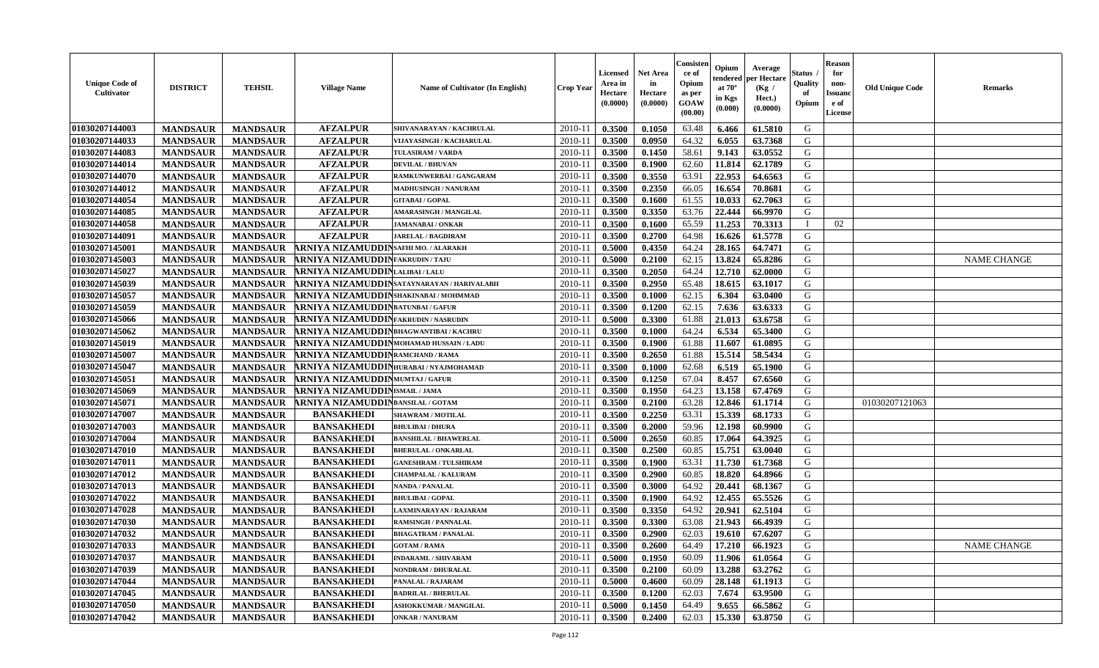| <b>Unique Code of</b><br><b>Cultivator</b> | <b>DISTRICT</b> | <b>TEHSIL</b>   | <b>Village Name</b>                     | Name of Cultivator (In English)          | <b>Crop Year</b> | Licensed<br>Area in<br>Hectare<br>(0.0000) | <b>Net Area</b><br>in<br>Hectare<br>(0.0000) | Consisteı<br>ce of<br>Opium<br>as per<br>GOAW<br>(00.00) | Opium<br>endered<br>at $70^\circ$<br>in Kgs<br>(0.000) | Average<br>per Hectare<br>(Kg /<br>Hect.)<br>(0.0000) | Status<br>Quality<br>of<br>Opium | <b>Reason</b><br>for<br>non-<br>Issuano<br>e of<br>License | <b>Old Unique Code</b> | <b>Remarks</b>     |
|--------------------------------------------|-----------------|-----------------|-----------------------------------------|------------------------------------------|------------------|--------------------------------------------|----------------------------------------------|----------------------------------------------------------|--------------------------------------------------------|-------------------------------------------------------|----------------------------------|------------------------------------------------------------|------------------------|--------------------|
| 01030207144003                             | <b>MANDSAUR</b> | <b>MANDSAUR</b> | <b>AFZALPUR</b>                         | SHIVANARAYAN / KACHRULAL                 | 2010-11          | 0.3500                                     | 0.1050                                       | 63.48                                                    | 6.466                                                  | 61.5810                                               | G                                |                                                            |                        |                    |
| 01030207144033                             | <b>MANDSAUR</b> | <b>MANDSAUR</b> | <b>AFZALPUR</b>                         | VIJAYASINGH / KACHARULAL                 | 2010-11          | 0.3500                                     | 0.0950                                       | 64.32                                                    | 6.055                                                  | 63.7368                                               | G                                |                                                            |                        |                    |
| 01030207144083                             | <b>MANDSAUR</b> | <b>MANDSAUR</b> | <b>AFZALPUR</b>                         | <b>TULASIRAM / VARDA</b>                 | 2010-11          | 0.3500                                     | 0.1450                                       | 58.61                                                    | 9.143                                                  | 63.0552                                               | G                                |                                                            |                        |                    |
| 01030207144014                             | <b>MANDSAUR</b> | <b>MANDSAUR</b> | <b>AFZALPUR</b>                         | <b>DEVILAL / BHUVAN</b>                  | 2010-11          | 0.3500                                     | 0.1900                                       | 62.60                                                    | 11.814                                                 | 62.1789                                               | G                                |                                                            |                        |                    |
| 01030207144070                             | <b>MANDSAUR</b> | <b>MANDSAUR</b> | <b>AFZALPUR</b>                         | RAMKUNWERBAI / GANGARAM                  | 2010-11          | 0.3500                                     | 0.3550                                       | 63.91                                                    | 22.953                                                 | 64.6563                                               | G                                |                                                            |                        |                    |
| 01030207144012                             | <b>MANDSAUR</b> | <b>MANDSAUR</b> | <b>AFZALPUR</b>                         | <b>MADHUSINGH / NANURAM</b>              | 2010-11          | 0.3500                                     | 0.2350                                       | 66.05                                                    | 16.654                                                 | 70.8681                                               | G                                |                                                            |                        |                    |
| 01030207144054                             | <b>MANDSAUR</b> | <b>MANDSAUR</b> | <b>AFZALPUR</b>                         | <b>GITABAI/GOPAL</b>                     | 2010-11          | 0.3500                                     | 0.1600                                       | 61.55                                                    | 10.033                                                 | 62.7063                                               | G                                |                                                            |                        |                    |
| 01030207144085                             | <b>MANDSAUR</b> | <b>MANDSAUR</b> | <b>AFZALPUR</b>                         | AMARASINGH / MANGILAL                    | 2010-11          | 0.3500                                     | 0.3350                                       | 63.76                                                    | 22.444                                                 | 66.9970                                               | G                                |                                                            |                        |                    |
| 01030207144058                             | <b>MANDSAUR</b> | <b>MANDSAUR</b> | <b>AFZALPUR</b>                         | <b>JAMANABAI/ONKAR</b>                   | 2010-11          | 0.3500                                     | 0.1600                                       | 65.59                                                    | 11.253                                                 | 70.3313                                               | <sup>1</sup>                     | 02                                                         |                        |                    |
| 01030207144091                             | <b>MANDSAUR</b> | <b>MANDSAUR</b> | <b>AFZALPUR</b>                         | <b>JARELAL / BAGDIRAM</b>                | 2010-11          | 0.3500                                     | 0.2700                                       | 64.98                                                    | 16.626                                                 | 61.5778                                               | G                                |                                                            |                        |                    |
| 01030207145001                             | <b>MANDSAUR</b> | <b>MANDSAUR</b> | RNIYA NIZAMUDDINSAFHI MO. / ALARAKH     |                                          | 2010-11          | 0.5000                                     | 0.4350                                       | 64.24                                                    | 28.165                                                 | 64.7471                                               | $\mathbf G$                      |                                                            |                        |                    |
| 01030207145003                             | <b>MANDSAUR</b> | <b>MANDSAUR</b> | <b>RNIYA NIZAMUDDINFAKRUDIN/TAJU</b>    |                                          | 2010-11          | 0.5000                                     | 0.2100                                       | 62.15                                                    | 13.824                                                 | 65.8286                                               | G                                |                                                            |                        | <b>NAME CHANGE</b> |
| 01030207145027                             | <b>MANDSAUR</b> | <b>MANDSAUR</b> | <b>RNIYA NIZAMUDDIN</b> LALIBAI/LALU    |                                          | 2010-11          | 0.3500                                     | 0.2050                                       | 64.24                                                    | 12.710                                                 | 62.0000                                               | G                                |                                                            |                        |                    |
| 01030207145039                             | <b>MANDSAUR</b> | <b>MANDSAUR</b> |                                         | ARNIYA NIZAMUDDINSATAYNARAYAN/HARIVALABH | $2010 - 11$      | 0.3500                                     | 0.2950                                       | 65.48                                                    | 18.615                                                 | 63.1017                                               | G                                |                                                            |                        |                    |
| 01030207145057                             | <b>MANDSAUR</b> | <b>MANDSAUR</b> | RNIYA NIZAMUDDIN SHAKINABAI/MOHMMAD     |                                          | 2010-11          | 0.3500                                     | 0.1000                                       | 62.15                                                    | 6.304                                                  | 63.0400                                               | G                                |                                                            |                        |                    |
| 01030207145059                             | <b>MANDSAUR</b> | <b>MANDSAUR</b> | <b>RNIYA NIZAMUDDIN</b> BATUNBAI/GAFUR  |                                          | 2010-11          | 0.3500                                     | 0.1200                                       | 62.15                                                    | 7.636                                                  | 63.6333                                               | G                                |                                                            |                        |                    |
| 01030207145066                             | <b>MANDSAUR</b> | <b>MANDSAUR</b> | RNIYA NIZAMUDDINFAKRUDIN/NASRUDIN.      |                                          | 2010-11          | 0.5000                                     | 0.3300                                       | 61.88                                                    | 21.013                                                 | 63.6758                                               | G                                |                                                            |                        |                    |
| 01030207145062                             | <b>MANDSAUR</b> | <b>MANDSAUR</b> | ARNIYA NIZAMUDDIN BHAGWANTIBAI/KACHRU   |                                          | 2010-11          | 0.3500                                     | 0.1000                                       | 64.24                                                    | 6.534                                                  | 65.3400                                               | G                                |                                                            |                        |                    |
| 01030207145019                             | <b>MANDSAUR</b> | <b>MANDSAUR</b> | RNIYA NIZAMUDDINMOHAMAD HUSSAIN / LADU  |                                          | 2010-11          | 0.3500                                     | 0.1900                                       | 61.88                                                    | 11.607                                                 | 61.0895                                               | G                                |                                                            |                        |                    |
| 01030207145007                             | <b>MANDSAUR</b> | <b>MANDSAUR</b> | <b>RNIYA NIZAMUDDIN</b> RAMCHAND / RAMA |                                          | 2010-11          | 0.3500                                     | 0.2650                                       | 61.88                                                    | 15.514                                                 | 58.5434                                               | G                                |                                                            |                        |                    |
| 01030207145047                             | <b>MANDSAUR</b> | <b>MANDSAUR</b> | RNIYA NIZAMUDDINHURABAI/NYAJMOHAMAD     |                                          | 2010-11          | 0.3500                                     | 0.1000                                       | 62.68                                                    | 6.519                                                  | 65.1900                                               | G                                |                                                            |                        |                    |
| 01030207145051                             | <b>MANDSAUR</b> | <b>MANDSAUR</b> | <b>RNIYA NIZAMUDDINMUMTAJ/GAFUR</b>     |                                          | 2010-11          | 0.3500                                     | 0.1250                                       | 67.04                                                    | 8.457                                                  | 67.6560                                               | G                                |                                                            |                        |                    |
| 01030207145069                             | <b>MANDSAUR</b> | <b>MANDSAUR</b> | RNIYA NIZAMUDDINISMAIL/JAMA             |                                          | $2010 - 11$      | 0.3500                                     | 0.1950                                       | 64.23                                                    | 13.158                                                 | 67.4769                                               | G                                |                                                            |                        |                    |
| 01030207145071                             | <b>MANDSAUR</b> | <b>MANDSAUR</b> | RNIYA NIZAMUDDINBANSILAL / GOTAM        |                                          | 2010-11          | 0.3500                                     | 0.2100                                       | 63.28                                                    | 12.846                                                 | 61.1714                                               | G                                |                                                            | 01030207121063         |                    |
| 01030207147007                             | <b>MANDSAUR</b> | <b>MANDSAUR</b> | <b>BANSAKHEDI</b>                       | <b>SHAWRAM / MOTILAL</b>                 | 2010-11          | 0.3500                                     | 0.2250                                       | 63.31                                                    | 15.339                                                 | 68.1733                                               | G                                |                                                            |                        |                    |
| 01030207147003                             | <b>MANDSAUR</b> | <b>MANDSAUR</b> | <b>BANSAKHEDI</b>                       | <b>BHULIBAI / DHURA</b>                  | 2010-11          | 0.3500                                     | 0.2000                                       | 59.96                                                    | 12.198                                                 | 60.9900                                               | G                                |                                                            |                        |                    |
| 01030207147004                             | <b>MANDSAUR</b> | <b>MANDSAUR</b> | <b>BANSAKHEDI</b>                       | <b>BANSHILAL / BHAWERLAL</b>             | 2010-11          | 0.5000                                     | 0.2650                                       | 60.85                                                    | 17.064                                                 | 64.3925                                               | G                                |                                                            |                        |                    |
| 01030207147010                             | <b>MANDSAUR</b> | <b>MANDSAUR</b> | <b>BANSAKHEDI</b>                       | <b>BHERULAL / ONKARLAL</b>               | 2010-11          | 0.3500                                     | 0.2500                                       | 60.85                                                    | 15.751                                                 | 63.0040                                               | G                                |                                                            |                        |                    |
| 01030207147011                             | <b>MANDSAUR</b> | <b>MANDSAUR</b> | <b>BANSAKHEDI</b>                       | <b>GANESHRAM / TULSHIRAM</b>             | 2010-11          | 0.3500                                     | 0.1900                                       | 63.31                                                    | 11.730                                                 | 61.7368                                               | G                                |                                                            |                        |                    |
| 01030207147012                             | <b>MANDSAUR</b> | <b>MANDSAUR</b> | <b>BANSAKHEDI</b>                       | <b>CHAMPALAL / KALURAM</b>               | 2010-11          | 0.3500                                     | 0.2900                                       | 60.85                                                    | 18.820                                                 | 64.8966                                               | G                                |                                                            |                        |                    |
| 01030207147013                             | <b>MANDSAUR</b> | <b>MANDSAUR</b> | <b>BANSAKHEDI</b>                       | NANDA / PANALAL                          | 2010-11          | 0.3500                                     | 0.3000                                       | 64.92                                                    | 20.441                                                 | 68.1367                                               | ${\bf G}$                        |                                                            |                        |                    |
| 01030207147022                             | <b>MANDSAUR</b> | <b>MANDSAUR</b> | <b>BANSAKHEDI</b>                       | <b>BHULIBAI/GOPAL</b>                    | 2010-11          | 0.3500                                     | 0.1900                                       | 64.92                                                    | 12.455                                                 | 65.5526                                               | G                                |                                                            |                        |                    |
| 01030207147028                             | <b>MANDSAUR</b> | <b>MANDSAUR</b> | <b>BANSAKHEDI</b>                       | LAXMINARAYAN / RAJARAM                   | 2010-11          | 0.3500                                     | 0.3350                                       | 64.92                                                    | 20.941                                                 | 62.5104                                               | G                                |                                                            |                        |                    |
| 01030207147030                             | <b>MANDSAUR</b> | <b>MANDSAUR</b> | <b>BANSAKHEDI</b>                       | <b>RAMSINGH / PANNALAL</b>               | 2010-11          | 0.3500                                     | 0.3300                                       | 63.08                                                    | 21.943                                                 | 66.4939                                               | G                                |                                                            |                        |                    |
| 01030207147032                             | <b>MANDSAUR</b> | <b>MANDSAUR</b> | <b>BANSAKHEDI</b>                       | <b>BHAGATRAM / PANALAL</b>               | 2010-11          | 0.3500                                     | 0.2900                                       | 62.03                                                    | 19.610                                                 | 67.6207                                               | G                                |                                                            |                        |                    |
| 01030207147033                             | <b>MANDSAUR</b> | <b>MANDSAUR</b> | <b>BANSAKHEDI</b>                       | <b>GOTAM / RAMA</b>                      | 2010-11          | 0.3500                                     | 0.2600                                       | 64.49                                                    | 17.210                                                 | 66.1923                                               | G                                |                                                            |                        | <b>NAME CHANGE</b> |
| 01030207147037                             | <b>MANDSAUR</b> | <b>MANDSAUR</b> | <b>BANSAKHEDI</b>                       | <b>INDARAML / SHIVARAM</b>               | 2010-11          | 0.5000                                     | 0.1950                                       | 60.09                                                    | 11.906                                                 | 61.0564                                               | G                                |                                                            |                        |                    |
| 01030207147039                             | <b>MANDSAUR</b> | <b>MANDSAUR</b> | <b>BANSAKHEDI</b>                       | NONDRAM / DHURALAL                       | 2010-11          | 0.3500                                     | 0.2100                                       | 60.09                                                    | 13.288                                                 | 63.2762                                               | G                                |                                                            |                        |                    |
| 01030207147044                             | <b>MANDSAUR</b> | <b>MANDSAUR</b> | <b>BANSAKHEDI</b>                       | PANALAL / RAJARAM                        | $2010 - 11$      | 0.5000                                     | 0.4600                                       | 60.09                                                    | 28.148                                                 | 61.1913                                               | G                                |                                                            |                        |                    |
| 01030207147045                             | <b>MANDSAUR</b> | <b>MANDSAUR</b> | <b>BANSAKHEDI</b>                       | <b>BADRILAL / BHERULAL</b>               | $2010 - 11$      | 0.3500                                     | 0.1200                                       | 62.03                                                    | 7.674                                                  | 63.9500                                               | G                                |                                                            |                        |                    |
| 01030207147050                             | <b>MANDSAUR</b> | <b>MANDSAUR</b> | <b>BANSAKHEDI</b>                       | <b>ASHOKKUMAR / MANGILAL</b>             | 2010-11          | 0.5000                                     | 0.1450                                       | 64.49                                                    | 9.655                                                  | 66.5862                                               | G                                |                                                            |                        |                    |
| 01030207147042                             | <b>MANDSAUR</b> | <b>MANDSAUR</b> | <b>BANSAKHEDI</b>                       | <b>ONKAR / NANURAM</b>                   | 2010-11          | 0.3500                                     | 0.2400                                       | 62.03                                                    | 15.330                                                 | 63.8750                                               | G                                |                                                            |                        |                    |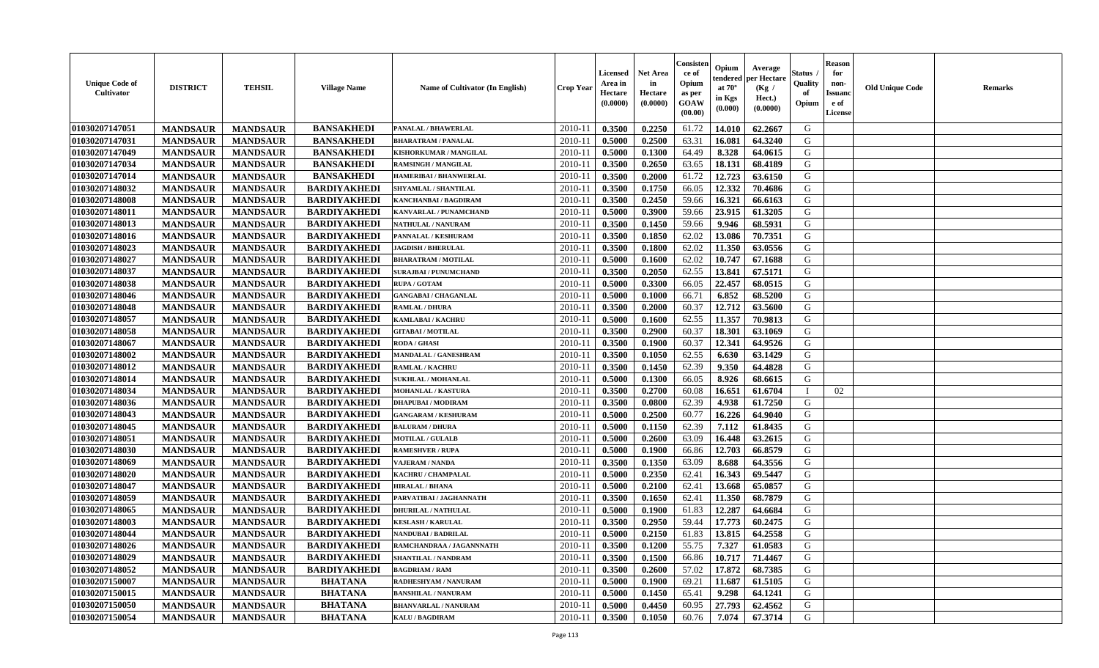| <b>Unique Code of</b><br><b>Cultivator</b> | <b>DISTRICT</b> | <b>TEHSIL</b>   | <b>Village Name</b> | Name of Cultivator (In English) | <b>Crop Year</b> | Licensed<br>Area in<br>Hectare<br>(0.0000) | <b>Net Area</b><br>in<br>Hectare<br>(0.0000) | Consisteı<br>ce of<br>Opium<br>as per<br>GOAW<br>(00.00) | Opium<br>endered<br>at $70^\circ$<br>in Kgs<br>(0.000) | Average<br>per Hectare<br>(Kg /<br>Hect.)<br>(0.0000) | Status<br>Quality<br>of<br>Opium | <b>Reason</b><br>for<br>non-<br><b>Issuand</b><br>e of<br>License | <b>Old Unique Code</b> | <b>Remarks</b> |
|--------------------------------------------|-----------------|-----------------|---------------------|---------------------------------|------------------|--------------------------------------------|----------------------------------------------|----------------------------------------------------------|--------------------------------------------------------|-------------------------------------------------------|----------------------------------|-------------------------------------------------------------------|------------------------|----------------|
| 01030207147051                             | <b>MANDSAUR</b> | <b>MANDSAUR</b> | <b>BANSAKHEDI</b>   | PANALAL / BHAWERLAL             | 2010-11          | 0.3500                                     | 0.2250                                       | 61.72                                                    | 14.010                                                 | 62.2667                                               | G                                |                                                                   |                        |                |
| 01030207147031                             | <b>MANDSAUR</b> | <b>MANDSAUR</b> | <b>BANSAKHEDI</b>   | <b>BHARATRAM / PANALAL</b>      | 2010-11          | 0.5000                                     | 0.2500                                       | 63.31                                                    | 16.081                                                 | 64.3240                                               | G                                |                                                                   |                        |                |
| 01030207147049                             | <b>MANDSAUR</b> | <b>MANDSAUR</b> | <b>BANSAKHEDI</b>   | KISHORKUMAR / MANGILAL          | 2010-11          | 0.5000                                     | 0.1300                                       | 64.49                                                    | 8.328                                                  | 64.0615                                               | G                                |                                                                   |                        |                |
| 01030207147034                             | <b>MANDSAUR</b> | <b>MANDSAUR</b> | <b>BANSAKHEDI</b>   | <b>RAMSINGH / MANGILAL</b>      | 2010-11          | 0.3500                                     | 0.2650                                       | 63.65                                                    | 18.131                                                 | 68.4189                                               | G                                |                                                                   |                        |                |
| 01030207147014                             | <b>MANDSAUR</b> | <b>MANDSAUR</b> | <b>BANSAKHEDI</b>   | <b>HAMERIBAI / BHANWERLAL</b>   | 2010-11          | 0.3500                                     | 0.2000                                       | 61.72                                                    | 12.723                                                 | 63.6150                                               | G                                |                                                                   |                        |                |
| 01030207148032                             | <b>MANDSAUR</b> | <b>MANDSAUR</b> | <b>BARDIYAKHEDI</b> | <b>SHYAMLAL / SHANTILAL</b>     | 2010-11          | 0.3500                                     | 0.1750                                       | 66.05                                                    | 12.332                                                 | 70.4686                                               | G                                |                                                                   |                        |                |
| 01030207148008                             | <b>MANDSAUR</b> | <b>MANDSAUR</b> | <b>BARDIYAKHEDI</b> | <b>KANCHANBAI / BAGDIRAM</b>    | 2010-11          | 0.3500                                     | 0.2450                                       | 59.66                                                    | 16.321                                                 | 66.6163                                               | G                                |                                                                   |                        |                |
| 01030207148011                             | <b>MANDSAUR</b> | <b>MANDSAUR</b> | <b>BARDIYAKHEDI</b> | KANVARLAL / PUNAMCHAND          | 2010-11          | 0.5000                                     | 0.3900                                       | 59.66                                                    | 23.915                                                 | 61.3205                                               | G                                |                                                                   |                        |                |
| 01030207148013                             | <b>MANDSAUR</b> | <b>MANDSAUR</b> | <b>BARDIYAKHEDI</b> | NATHULAL / NANURAM              | 2010-11          | 0.3500                                     | 0.1450                                       | 59.66                                                    | 9.946                                                  | 68.5931                                               | G                                |                                                                   |                        |                |
| 01030207148016                             | <b>MANDSAUR</b> | <b>MANDSAUR</b> | <b>BARDIYAKHEDI</b> | PANNALAL / KESHURAM             | 2010-11          | 0.3500                                     | 0.1850                                       | 62.02                                                    | 13.086                                                 | 70.7351                                               | G                                |                                                                   |                        |                |
| 01030207148023                             | <b>MANDSAUR</b> | <b>MANDSAUR</b> | <b>BARDIYAKHEDI</b> | <b>JAGDISH / BHERULAL</b>       | 2010-11          | 0.3500                                     | 0.1800                                       | 62.02                                                    | 11.350                                                 | 63.0556                                               | $\mathbf G$                      |                                                                   |                        |                |
| 01030207148027                             | <b>MANDSAUR</b> | <b>MANDSAUR</b> | <b>BARDIYAKHEDI</b> | <b>BHARATRAM / MOTILAL</b>      | 2010-11          | 0.5000                                     | 0.1600                                       | 62.02                                                    | 10.747                                                 | 67.1688                                               | G                                |                                                                   |                        |                |
| 01030207148037                             | <b>MANDSAUR</b> | <b>MANDSAUR</b> | <b>BARDIYAKHEDI</b> | <b>SURAJBAI / PUNUMCHAND</b>    | 2010-11          | 0.3500                                     | 0.2050                                       | 62.55                                                    | 13.841                                                 | 67.5171                                               | G                                |                                                                   |                        |                |
| 01030207148038                             | <b>MANDSAUR</b> | <b>MANDSAUR</b> | <b>BARDIYAKHEDI</b> | <b>RUPA / GOTAM</b>             | $2010 - 11$      | 0.5000                                     | 0.3300                                       | 66.05                                                    | 22.457                                                 | 68.0515                                               | G                                |                                                                   |                        |                |
| 01030207148046                             | <b>MANDSAUR</b> | <b>MANDSAUR</b> | <b>BARDIYAKHEDI</b> | <b>GANGABAI / CHAGANLAL</b>     | 2010-11          | 0.5000                                     | 0.1000                                       | 66.71                                                    | 6.852                                                  | 68.5200                                               | G                                |                                                                   |                        |                |
| 01030207148048                             | <b>MANDSAUR</b> | <b>MANDSAUR</b> | <b>BARDIYAKHEDI</b> | <b>RAMLAL / DHURA</b>           | 2010-11          | 0.3500                                     | 0.2000                                       | 60.37                                                    | 12.712                                                 | 63.5600                                               | G                                |                                                                   |                        |                |
| 01030207148057                             | <b>MANDSAUR</b> | <b>MANDSAUR</b> | <b>BARDIYAKHEDI</b> | <b>KAMLABAI/KACHRU</b>          | 2010-11          | 0.5000                                     | 0.1600                                       | 62.55                                                    | 11.357                                                 | 70.9813                                               | G                                |                                                                   |                        |                |
| 01030207148058                             | <b>MANDSAUR</b> | <b>MANDSAUR</b> | <b>BARDIYAKHEDI</b> | <b>GITABAI/MOTILAL</b>          | 2010-11          | 0.3500                                     | 0.2900                                       | 60.37                                                    | 18.301                                                 | 63.1069                                               | G                                |                                                                   |                        |                |
| 01030207148067                             | <b>MANDSAUR</b> | <b>MANDSAUR</b> | <b>BARDIYAKHEDI</b> | RODA / GHASI                    | 2010-11          | 0.3500                                     | 0.1900                                       | 60.37                                                    | 12.341                                                 | 64.9526                                               | G                                |                                                                   |                        |                |
| 01030207148002                             | <b>MANDSAUR</b> | <b>MANDSAUR</b> | <b>BARDIYAKHEDI</b> | <b>MANDALAL / GANESHRAM</b>     | 2010-11          | 0.3500                                     | 0.1050                                       | 62.55                                                    | 6.630                                                  | 63.1429                                               | G                                |                                                                   |                        |                |
| 01030207148012                             | <b>MANDSAUR</b> | <b>MANDSAUR</b> | <b>BARDIYAKHEDI</b> | <b>RAMLAL / KACHRU</b>          | 2010-11          | 0.3500                                     | 0.1450                                       | 62.39                                                    | 9.350                                                  | 64.4828                                               | G                                |                                                                   |                        |                |
| 01030207148014                             | <b>MANDSAUR</b> | <b>MANDSAUR</b> | <b>BARDIYAKHEDI</b> | <b>SUKHLAL / MOHANLAL</b>       | 2010-11          | 0.5000                                     | 0.1300                                       | 66.05                                                    | 8.926                                                  | 68.6615                                               | G                                |                                                                   |                        |                |
| 01030207148034                             | <b>MANDSAUR</b> | <b>MANDSAUR</b> | <b>BARDIYAKHEDI</b> | MOHANLAL / KASTURA              | $2010 - 11$      | 0.3500                                     | 0.2700                                       | 60.08                                                    | 16.651                                                 | 61.6704                                               |                                  | 02                                                                |                        |                |
| 01030207148036                             | <b>MANDSAUR</b> | <b>MANDSAUR</b> | <b>BARDIYAKHEDI</b> | <b>DHAPUBAI/MODIRAM</b>         | 2010-11          | 0.3500                                     | 0.0800                                       | 62.39                                                    | 4.938                                                  | 61.7250                                               | G                                |                                                                   |                        |                |
| 01030207148043                             | <b>MANDSAUR</b> | <b>MANDSAUR</b> | <b>BARDIYAKHEDI</b> | <b>GANGARAM / KESHURAM</b>      | 2010-11          | 0.5000                                     | 0.2500                                       | 60.77                                                    | 16.226                                                 | 64.9040                                               | G                                |                                                                   |                        |                |
| 01030207148045                             | <b>MANDSAUR</b> | <b>MANDSAUR</b> | <b>BARDIYAKHEDI</b> | <b>BALURAM / DHURA</b>          | 2010-11          | 0.5000                                     | 0.1150                                       | 62.39                                                    | 7.112                                                  | 61.8435                                               | G                                |                                                                   |                        |                |
| 01030207148051                             | <b>MANDSAUR</b> | <b>MANDSAUR</b> | <b>BARDIYAKHEDI</b> | <b>MOTILAL / GULALB</b>         | 2010-11          | 0.5000                                     | 0.2600                                       | 63.09                                                    | 16.448                                                 | 63.2615                                               | G                                |                                                                   |                        |                |
| 01030207148030                             | <b>MANDSAUR</b> | <b>MANDSAUR</b> | <b>BARDIYAKHEDI</b> | <b>RAMESHVER / RUPA</b>         | 2010-11          | 0.5000                                     | 0.1900                                       | 66.86                                                    | 12.703                                                 | 66.8579                                               | G                                |                                                                   |                        |                |
| 01030207148069                             | <b>MANDSAUR</b> | <b>MANDSAUR</b> | <b>BARDIYAKHEDI</b> | <b>VAJERAM / NANDA</b>          | 2010-11          | 0.3500                                     | 0.1350                                       | 63.09                                                    | 8.688                                                  | 64.3556                                               | G                                |                                                                   |                        |                |
| 01030207148020                             | <b>MANDSAUR</b> | <b>MANDSAUR</b> | <b>BARDIYAKHEDI</b> | KACHRU / CHAMPALAL              | 2010-11          | 0.5000                                     | 0.2350                                       | 62.41                                                    | 16.343                                                 | 69.5447                                               | G                                |                                                                   |                        |                |
| 01030207148047                             | <b>MANDSAUR</b> | <b>MANDSAUR</b> | <b>BARDIYAKHEDI</b> | <b>HIRALAL / BHANA</b>          | 2010-11          | 0.5000                                     | 0.2100                                       | 62.41                                                    | 13.668                                                 | 65.0857                                               | ${\bf G}$                        |                                                                   |                        |                |
| 01030207148059                             | <b>MANDSAUR</b> | <b>MANDSAUR</b> | <b>BARDIYAKHEDI</b> | PARVATIBAI / JAGHANNATH         | 2010-11          | 0.3500                                     | 0.1650                                       | 62.41                                                    | 11.350                                                 | 68.7879                                               | G                                |                                                                   |                        |                |
| 01030207148065                             | <b>MANDSAUR</b> | <b>MANDSAUR</b> | <b>BARDIYAKHEDI</b> | <b>DHURILAL / NATHULAL</b>      | 2010-11          | 0.5000                                     | 0.1900                                       | 61.83                                                    | 12.287                                                 | 64.6684                                               | G                                |                                                                   |                        |                |
| 01030207148003                             | <b>MANDSAUR</b> | <b>MANDSAUR</b> | <b>BARDIYAKHEDI</b> | <b>KESLASH / KARULAL</b>        | 2010-11          | 0.3500                                     | 0.2950                                       | 59.44                                                    | 17.773                                                 | 60.2475                                               | G                                |                                                                   |                        |                |
| 01030207148044                             | <b>MANDSAUR</b> | <b>MANDSAUR</b> | <b>BARDIYAKHEDI</b> | <b>NANDUBAI/BADRILAL</b>        | 2010-11          | 0.5000                                     | 0.2150                                       | 61.83                                                    | 13.815                                                 | 64.2558                                               | G                                |                                                                   |                        |                |
| 01030207148026                             | <b>MANDSAUR</b> | <b>MANDSAUR</b> | <b>BARDIYAKHEDI</b> | RAMCHANDRAA / JAGANNNATH        | 2010-11          | 0.3500                                     | 0.1200                                       | 55.75                                                    | 7.327                                                  | 61.0583                                               | G                                |                                                                   |                        |                |
| 01030207148029                             | <b>MANDSAUR</b> | <b>MANDSAUR</b> | <b>BARDIYAKHEDI</b> | <b>SHANTILAL / NANDRAM</b>      | 2010-11          | 0.3500                                     | 0.1500                                       | 66.86                                                    | 10.717                                                 | 71.4467                                               | G                                |                                                                   |                        |                |
| 01030207148052                             | <b>MANDSAUR</b> | <b>MANDSAUR</b> | <b>BARDIYAKHEDI</b> | <b>BAGDRIAM / RAM</b>           | 2010-11          | 0.3500                                     | 0.2600                                       | 57.02                                                    | 17.872                                                 | 68.7385                                               | G                                |                                                                   |                        |                |
| 01030207150007                             | <b>MANDSAUR</b> | <b>MANDSAUR</b> | <b>BHATANA</b>      | RADHESHYAM / NANURAM            | $2010 - 11$      | 0.5000                                     | 0.1900                                       | 69.21                                                    | 11.687                                                 | 61.5105                                               | G                                |                                                                   |                        |                |
| 01030207150015                             | <b>MANDSAUR</b> | <b>MANDSAUR</b> | <b>BHATANA</b>      | <b>BANSHILAL / NANURAM</b>      | $2010 - 11$      | 0.5000                                     | 0.1450                                       | 65.41                                                    | 9.298                                                  | 64.1241                                               | G                                |                                                                   |                        |                |
| 01030207150050                             | <b>MANDSAUR</b> | <b>MANDSAUR</b> | <b>BHATANA</b>      | <b>BHANVARLAL / NANURAM</b>     | 2010-11          | 0.5000                                     | 0.4450                                       | 60.95                                                    | 27.793                                                 | 62.4562                                               | G                                |                                                                   |                        |                |
| 01030207150054                             | <b>MANDSAUR</b> | <b>MANDSAUR</b> | <b>BHATANA</b>      | <b>KALU / BAGDIRAM</b>          | 2010-11          | 0.3500                                     | 0.1050                                       | 60.76                                                    | 7.074                                                  | 67.3714                                               | G                                |                                                                   |                        |                |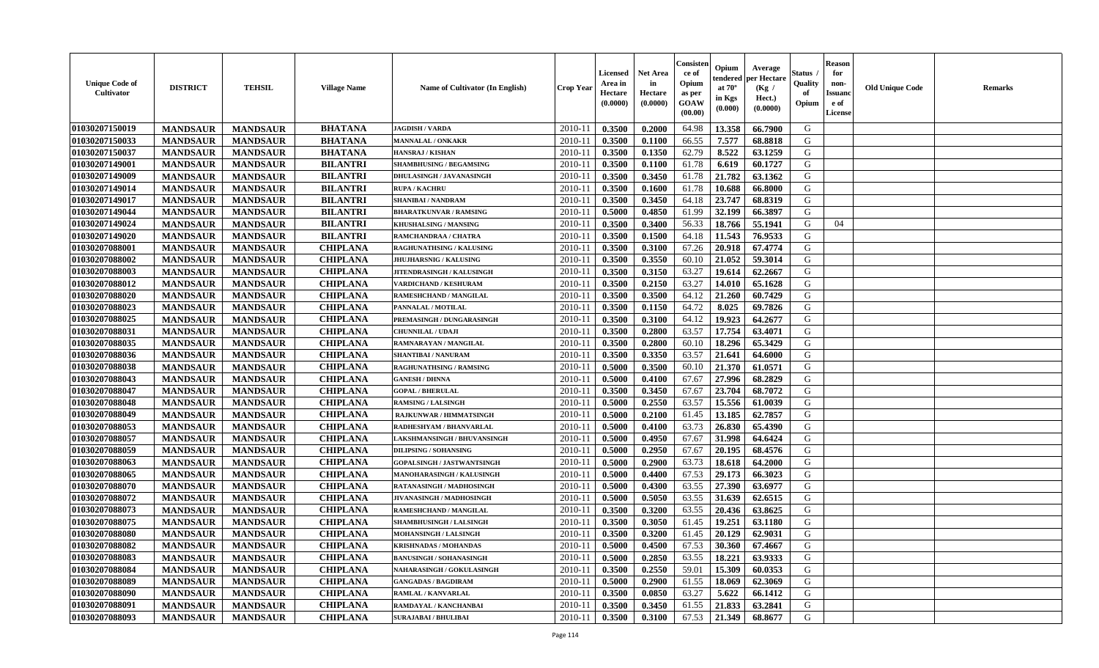| 01030207150019<br><b>BHATANA</b><br>2010-11<br>0.3500<br>0.2000<br>64.98<br>13.358<br>66.7900<br>G<br><b>MANDSAUR</b><br><b>MANDSAUR</b><br><b>JAGDISH / VARDA</b><br>01030207150033<br>7.577<br>G<br><b>MANDSAUR</b><br><b>BHATANA</b><br>$2010 - 11$<br>0.3500<br>66.55<br>68.8818<br><b>MANDSAUR</b><br>0.1100<br><b>MANNALAL / ONKAKR</b><br>62.79<br>8.522<br>G<br>01030207150037<br><b>MANDSAUR</b><br><b>MANDSAUR</b><br><b>BHATANA</b><br><b>HANSRAJ / KISHAN</b><br>2010-11<br>0.3500<br>0.1350<br>63.1259<br>01030207149001<br><b>MANDSAUR</b><br><b>MANDSAUR</b><br><b>BILANTRI</b><br>60.1727<br>G<br><b>SHAMBHUSING / BEGAMSING</b><br>2010-11<br>0.3500<br>0.1100<br>61.78<br>6.619<br>01030207149009<br><b>MANDSAUR</b><br><b>MANDSAUR</b><br><b>BILANTRI</b><br>2010-11<br>0.3500<br>0.3450<br>21.782<br>63.1362<br>G<br>DHULASINGH / JAVANASINGH<br>61.78<br>01030207149014<br><b>MANDSAUR</b><br><b>MANDSAUR</b><br><b>BILANTRI</b><br>0.3500<br>61.78<br>10.688<br>66.8000<br>G<br>$2010 - 11$<br>0.1600<br><b>RUPA / KACHRU</b><br>01030207149017<br>64.18<br>23.747<br>${\bf G}$<br><b>MANDSAUR</b><br><b>MANDSAUR</b><br><b>BILANTRI</b><br>$2010 - 1$<br>0.3500<br>0.3450<br>68.8319<br>SHANIBAI / NANDRAM<br><b>BILANTRI</b><br>01030207149044<br><b>MANDSAUR</b><br>2010-11<br>0.5000<br>61.99<br>32.199<br>66.3897<br>G<br><b>MANDSAUR</b><br>0.4850<br><b>BHARATKUNVAR / RAMSING</b><br>01030207149024<br><b>BILANTRI</b><br><b>MANDSAUR</b><br><b>MANDSAUR</b><br>2010-11<br>0.3500<br>0.3400<br>56.33<br>18.766<br>55.1941<br>G<br>04<br>KHUSHALSING / MANSING<br>01030207149020<br><b>BILANTRI</b><br>G<br>2010-11<br>0.3500<br>0.1500<br>64.18<br>11.543<br>76.9533<br><b>MANDSAUR</b><br><b>MANDSAUR</b><br>RAMCHANDRAA / CHATRA<br>01030207088001<br><b>MANDSAUR</b><br><b>CHIPLANA</b><br>0.3500<br>0.3100<br>67.26<br>20.918<br>67.4774<br>G<br><b>MANDSAUR</b><br>RAGHUNATHSING / KALUSING<br>2010-11<br>01030207088002<br><b>MANDSAUR</b><br><b>MANDSAUR</b><br><b>CHIPLANA</b><br>2010-11<br>0.3550<br>60.10<br>21.052<br>59.3014<br>G<br><b>JHUJHARSNIG / KALUSING</b><br>0.3500<br>01030207088003<br><b>MANDSAUR</b><br><b>MANDSAUR</b><br><b>CHIPLANA</b><br>2010-11<br>0.3500<br>0.3150<br>63.27<br>19.614<br>62.2667<br>G<br><b>JITENDRASINGH / KALUSINGH</b><br>01030207088012<br><b>MANDSAUR</b><br><b>CHIPLANA</b><br>63.27<br>14.010<br>G<br><b>MANDSAUR</b><br>$2010 - 11$<br>0.3500<br>0.2150<br>65.1628<br>VARDICHAND / KESHURAM<br><b>MANDSAUR</b><br><b>CHIPLANA</b><br>0.3500<br>0.3500<br>64.12<br>21.260<br>60.7429<br>G<br>01030207088020<br><b>MANDSAUR</b><br>$2010 - 1$<br>RAMESHCHAND / MANGILAL<br>01030207088023<br>64.72<br>8.025<br>69.7826<br>G<br><b>MANDSAUR</b><br><b>MANDSAUR</b><br><b>CHIPLANA</b><br>2010-11<br>0.3500<br>0.1150<br>PANNALAL / MOTILAL<br>01030207088025<br><b>CHIPLANA</b><br>G<br><b>MANDSAUR</b><br><b>MANDSAUR</b><br>2010-11<br>0.3500<br>0.3100<br>64.12<br>19.923<br>64.2677<br>PREMASINGH / DUNGARASINGH<br>01030207088031<br><b>CHIPLANA</b><br>63.57<br>17.754<br>G<br><b>MANDSAUR</b><br>2010-11<br>0.3500<br>0.2800<br>63.4071<br><b>MANDSAUR</b><br><b>CHUNNILAL / UDAJI</b><br>01030207088035<br><b>MANDSAUR</b><br><b>CHIPLANA</b><br>2010-11<br>0.3500<br>0.2800<br>60.10<br>18.296<br>65.3429<br>G<br><b>MANDSAUR</b><br>RAMNARAYAN / MANGILAL<br>01030207088036<br><b>MANDSAUR</b><br><b>MANDSAUR</b><br><b>CHIPLANA</b><br>2010-11<br>0.3500<br>0.3350<br>63.57<br>21.641<br>64.6000<br>G<br><b>SHANTIBAI / NANURAM</b><br>01030207088038<br><b>MANDSAUR</b><br><b>MANDSAUR</b><br><b>CHIPLANA</b><br>2010-11<br>0.5000<br>0.3500<br>60.10<br>21.370<br>61.0571<br>G<br><b>RAGHUNATHSING / RAMSING</b><br>01030207088043<br><b>MANDSAUR</b><br><b>MANDSAUR</b><br><b>CHIPLANA</b><br>67.67<br>27.996<br>68.2829<br>G<br>$2010 - 11$<br>0.5000<br>0.4100<br><b>GANESH / DHNNA</b><br>${\bf G}$<br>01030207088047<br><b>MANDSAUR</b><br><b>CHIPLANA</b><br>0.3450<br>67.67<br>23.704<br>68.7072<br><b>MANDSAUR</b><br>$2010 - 11$<br>0.3500<br><b>GOPAL / BHERULAL</b><br>63.57<br>01030207088048<br><b>MANDSAUR</b><br><b>CHIPLANA</b><br>2010-11<br>0.5000<br>0.2550<br>15.556<br>61.0039<br>G<br><b>MANDSAUR</b><br><b>RAMSING / LALSINGH</b><br>01030207088049<br><b>MANDSAUR</b><br><b>CHIPLANA</b><br>2010-11<br>61.45<br>13.185<br>62.7857<br>G<br><b>MANDSAUR</b><br>0.5000<br>0.2100<br><b>RAJKUNWAR / HIMMATSINGH</b> | <b>Unique Code of</b><br>Cultivator | <b>DISTRICT</b> | <b>TEHSIL</b>   | <b>Village Name</b> | Name of Cultivator (In English) | <b>Crop Year</b> | <b>Licensed</b><br>Area in<br>Hectare<br>(0.0000) | <b>Net Area</b><br>in<br>Hectare<br>(0.0000) | Consister<br>ce of<br>Opium<br>as per<br>GOAW<br>(00.00) | Opium<br>endered<br>at $70^{\circ}$<br>in Kgs<br>(0.000) | Average<br>per Hectare<br>(Kg /<br>Hect.)<br>(0.0000) | Status<br>Quality<br>of<br>Opium | <b>Reason</b><br>for<br>non-<br><b>Issuand</b><br>e of<br>License | <b>Old Unique Code</b> | <b>Remarks</b> |
|------------------------------------------------------------------------------------------------------------------------------------------------------------------------------------------------------------------------------------------------------------------------------------------------------------------------------------------------------------------------------------------------------------------------------------------------------------------------------------------------------------------------------------------------------------------------------------------------------------------------------------------------------------------------------------------------------------------------------------------------------------------------------------------------------------------------------------------------------------------------------------------------------------------------------------------------------------------------------------------------------------------------------------------------------------------------------------------------------------------------------------------------------------------------------------------------------------------------------------------------------------------------------------------------------------------------------------------------------------------------------------------------------------------------------------------------------------------------------------------------------------------------------------------------------------------------------------------------------------------------------------------------------------------------------------------------------------------------------------------------------------------------------------------------------------------------------------------------------------------------------------------------------------------------------------------------------------------------------------------------------------------------------------------------------------------------------------------------------------------------------------------------------------------------------------------------------------------------------------------------------------------------------------------------------------------------------------------------------------------------------------------------------------------------------------------------------------------------------------------------------------------------------------------------------------------------------------------------------------------------------------------------------------------------------------------------------------------------------------------------------------------------------------------------------------------------------------------------------------------------------------------------------------------------------------------------------------------------------------------------------------------------------------------------------------------------------------------------------------------------------------------------------------------------------------------------------------------------------------------------------------------------------------------------------------------------------------------------------------------------------------------------------------------------------------------------------------------------------------------------------------------------------------------------------------------------------------------------------------------------------------------------------------------------------------------------------------------------------------------------------------------------------------------------------------------------------------------------------------------------------------------------------------------------------------------------------------------------------------------------------------------------------------------------------------------------------------------------------------------------------------------------------------------------------------------------------------------------------------------------------------------------------------------------------------------------------------------------------------------------------------------------------------------------------------------|-------------------------------------|-----------------|-----------------|---------------------|---------------------------------|------------------|---------------------------------------------------|----------------------------------------------|----------------------------------------------------------|----------------------------------------------------------|-------------------------------------------------------|----------------------------------|-------------------------------------------------------------------|------------------------|----------------|
|                                                                                                                                                                                                                                                                                                                                                                                                                                                                                                                                                                                                                                                                                                                                                                                                                                                                                                                                                                                                                                                                                                                                                                                                                                                                                                                                                                                                                                                                                                                                                                                                                                                                                                                                                                                                                                                                                                                                                                                                                                                                                                                                                                                                                                                                                                                                                                                                                                                                                                                                                                                                                                                                                                                                                                                                                                                                                                                                                                                                                                                                                                                                                                                                                                                                                                                                                                                                                                                                                                                                                                                                                                                                                                                                                                                                                                                                                                                                                                                                                                                                                                                                                                                                                                                                                                                                                                                                                                          |                                     |                 |                 |                     |                                 |                  |                                                   |                                              |                                                          |                                                          |                                                       |                                  |                                                                   |                        |                |
|                                                                                                                                                                                                                                                                                                                                                                                                                                                                                                                                                                                                                                                                                                                                                                                                                                                                                                                                                                                                                                                                                                                                                                                                                                                                                                                                                                                                                                                                                                                                                                                                                                                                                                                                                                                                                                                                                                                                                                                                                                                                                                                                                                                                                                                                                                                                                                                                                                                                                                                                                                                                                                                                                                                                                                                                                                                                                                                                                                                                                                                                                                                                                                                                                                                                                                                                                                                                                                                                                                                                                                                                                                                                                                                                                                                                                                                                                                                                                                                                                                                                                                                                                                                                                                                                                                                                                                                                                                          |                                     |                 |                 |                     |                                 |                  |                                                   |                                              |                                                          |                                                          |                                                       |                                  |                                                                   |                        |                |
|                                                                                                                                                                                                                                                                                                                                                                                                                                                                                                                                                                                                                                                                                                                                                                                                                                                                                                                                                                                                                                                                                                                                                                                                                                                                                                                                                                                                                                                                                                                                                                                                                                                                                                                                                                                                                                                                                                                                                                                                                                                                                                                                                                                                                                                                                                                                                                                                                                                                                                                                                                                                                                                                                                                                                                                                                                                                                                                                                                                                                                                                                                                                                                                                                                                                                                                                                                                                                                                                                                                                                                                                                                                                                                                                                                                                                                                                                                                                                                                                                                                                                                                                                                                                                                                                                                                                                                                                                                          |                                     |                 |                 |                     |                                 |                  |                                                   |                                              |                                                          |                                                          |                                                       |                                  |                                                                   |                        |                |
|                                                                                                                                                                                                                                                                                                                                                                                                                                                                                                                                                                                                                                                                                                                                                                                                                                                                                                                                                                                                                                                                                                                                                                                                                                                                                                                                                                                                                                                                                                                                                                                                                                                                                                                                                                                                                                                                                                                                                                                                                                                                                                                                                                                                                                                                                                                                                                                                                                                                                                                                                                                                                                                                                                                                                                                                                                                                                                                                                                                                                                                                                                                                                                                                                                                                                                                                                                                                                                                                                                                                                                                                                                                                                                                                                                                                                                                                                                                                                                                                                                                                                                                                                                                                                                                                                                                                                                                                                                          |                                     |                 |                 |                     |                                 |                  |                                                   |                                              |                                                          |                                                          |                                                       |                                  |                                                                   |                        |                |
|                                                                                                                                                                                                                                                                                                                                                                                                                                                                                                                                                                                                                                                                                                                                                                                                                                                                                                                                                                                                                                                                                                                                                                                                                                                                                                                                                                                                                                                                                                                                                                                                                                                                                                                                                                                                                                                                                                                                                                                                                                                                                                                                                                                                                                                                                                                                                                                                                                                                                                                                                                                                                                                                                                                                                                                                                                                                                                                                                                                                                                                                                                                                                                                                                                                                                                                                                                                                                                                                                                                                                                                                                                                                                                                                                                                                                                                                                                                                                                                                                                                                                                                                                                                                                                                                                                                                                                                                                                          |                                     |                 |                 |                     |                                 |                  |                                                   |                                              |                                                          |                                                          |                                                       |                                  |                                                                   |                        |                |
|                                                                                                                                                                                                                                                                                                                                                                                                                                                                                                                                                                                                                                                                                                                                                                                                                                                                                                                                                                                                                                                                                                                                                                                                                                                                                                                                                                                                                                                                                                                                                                                                                                                                                                                                                                                                                                                                                                                                                                                                                                                                                                                                                                                                                                                                                                                                                                                                                                                                                                                                                                                                                                                                                                                                                                                                                                                                                                                                                                                                                                                                                                                                                                                                                                                                                                                                                                                                                                                                                                                                                                                                                                                                                                                                                                                                                                                                                                                                                                                                                                                                                                                                                                                                                                                                                                                                                                                                                                          |                                     |                 |                 |                     |                                 |                  |                                                   |                                              |                                                          |                                                          |                                                       |                                  |                                                                   |                        |                |
|                                                                                                                                                                                                                                                                                                                                                                                                                                                                                                                                                                                                                                                                                                                                                                                                                                                                                                                                                                                                                                                                                                                                                                                                                                                                                                                                                                                                                                                                                                                                                                                                                                                                                                                                                                                                                                                                                                                                                                                                                                                                                                                                                                                                                                                                                                                                                                                                                                                                                                                                                                                                                                                                                                                                                                                                                                                                                                                                                                                                                                                                                                                                                                                                                                                                                                                                                                                                                                                                                                                                                                                                                                                                                                                                                                                                                                                                                                                                                                                                                                                                                                                                                                                                                                                                                                                                                                                                                                          |                                     |                 |                 |                     |                                 |                  |                                                   |                                              |                                                          |                                                          |                                                       |                                  |                                                                   |                        |                |
|                                                                                                                                                                                                                                                                                                                                                                                                                                                                                                                                                                                                                                                                                                                                                                                                                                                                                                                                                                                                                                                                                                                                                                                                                                                                                                                                                                                                                                                                                                                                                                                                                                                                                                                                                                                                                                                                                                                                                                                                                                                                                                                                                                                                                                                                                                                                                                                                                                                                                                                                                                                                                                                                                                                                                                                                                                                                                                                                                                                                                                                                                                                                                                                                                                                                                                                                                                                                                                                                                                                                                                                                                                                                                                                                                                                                                                                                                                                                                                                                                                                                                                                                                                                                                                                                                                                                                                                                                                          |                                     |                 |                 |                     |                                 |                  |                                                   |                                              |                                                          |                                                          |                                                       |                                  |                                                                   |                        |                |
|                                                                                                                                                                                                                                                                                                                                                                                                                                                                                                                                                                                                                                                                                                                                                                                                                                                                                                                                                                                                                                                                                                                                                                                                                                                                                                                                                                                                                                                                                                                                                                                                                                                                                                                                                                                                                                                                                                                                                                                                                                                                                                                                                                                                                                                                                                                                                                                                                                                                                                                                                                                                                                                                                                                                                                                                                                                                                                                                                                                                                                                                                                                                                                                                                                                                                                                                                                                                                                                                                                                                                                                                                                                                                                                                                                                                                                                                                                                                                                                                                                                                                                                                                                                                                                                                                                                                                                                                                                          |                                     |                 |                 |                     |                                 |                  |                                                   |                                              |                                                          |                                                          |                                                       |                                  |                                                                   |                        |                |
|                                                                                                                                                                                                                                                                                                                                                                                                                                                                                                                                                                                                                                                                                                                                                                                                                                                                                                                                                                                                                                                                                                                                                                                                                                                                                                                                                                                                                                                                                                                                                                                                                                                                                                                                                                                                                                                                                                                                                                                                                                                                                                                                                                                                                                                                                                                                                                                                                                                                                                                                                                                                                                                                                                                                                                                                                                                                                                                                                                                                                                                                                                                                                                                                                                                                                                                                                                                                                                                                                                                                                                                                                                                                                                                                                                                                                                                                                                                                                                                                                                                                                                                                                                                                                                                                                                                                                                                                                                          |                                     |                 |                 |                     |                                 |                  |                                                   |                                              |                                                          |                                                          |                                                       |                                  |                                                                   |                        |                |
|                                                                                                                                                                                                                                                                                                                                                                                                                                                                                                                                                                                                                                                                                                                                                                                                                                                                                                                                                                                                                                                                                                                                                                                                                                                                                                                                                                                                                                                                                                                                                                                                                                                                                                                                                                                                                                                                                                                                                                                                                                                                                                                                                                                                                                                                                                                                                                                                                                                                                                                                                                                                                                                                                                                                                                                                                                                                                                                                                                                                                                                                                                                                                                                                                                                                                                                                                                                                                                                                                                                                                                                                                                                                                                                                                                                                                                                                                                                                                                                                                                                                                                                                                                                                                                                                                                                                                                                                                                          |                                     |                 |                 |                     |                                 |                  |                                                   |                                              |                                                          |                                                          |                                                       |                                  |                                                                   |                        |                |
|                                                                                                                                                                                                                                                                                                                                                                                                                                                                                                                                                                                                                                                                                                                                                                                                                                                                                                                                                                                                                                                                                                                                                                                                                                                                                                                                                                                                                                                                                                                                                                                                                                                                                                                                                                                                                                                                                                                                                                                                                                                                                                                                                                                                                                                                                                                                                                                                                                                                                                                                                                                                                                                                                                                                                                                                                                                                                                                                                                                                                                                                                                                                                                                                                                                                                                                                                                                                                                                                                                                                                                                                                                                                                                                                                                                                                                                                                                                                                                                                                                                                                                                                                                                                                                                                                                                                                                                                                                          |                                     |                 |                 |                     |                                 |                  |                                                   |                                              |                                                          |                                                          |                                                       |                                  |                                                                   |                        |                |
|                                                                                                                                                                                                                                                                                                                                                                                                                                                                                                                                                                                                                                                                                                                                                                                                                                                                                                                                                                                                                                                                                                                                                                                                                                                                                                                                                                                                                                                                                                                                                                                                                                                                                                                                                                                                                                                                                                                                                                                                                                                                                                                                                                                                                                                                                                                                                                                                                                                                                                                                                                                                                                                                                                                                                                                                                                                                                                                                                                                                                                                                                                                                                                                                                                                                                                                                                                                                                                                                                                                                                                                                                                                                                                                                                                                                                                                                                                                                                                                                                                                                                                                                                                                                                                                                                                                                                                                                                                          |                                     |                 |                 |                     |                                 |                  |                                                   |                                              |                                                          |                                                          |                                                       |                                  |                                                                   |                        |                |
|                                                                                                                                                                                                                                                                                                                                                                                                                                                                                                                                                                                                                                                                                                                                                                                                                                                                                                                                                                                                                                                                                                                                                                                                                                                                                                                                                                                                                                                                                                                                                                                                                                                                                                                                                                                                                                                                                                                                                                                                                                                                                                                                                                                                                                                                                                                                                                                                                                                                                                                                                                                                                                                                                                                                                                                                                                                                                                                                                                                                                                                                                                                                                                                                                                                                                                                                                                                                                                                                                                                                                                                                                                                                                                                                                                                                                                                                                                                                                                                                                                                                                                                                                                                                                                                                                                                                                                                                                                          |                                     |                 |                 |                     |                                 |                  |                                                   |                                              |                                                          |                                                          |                                                       |                                  |                                                                   |                        |                |
|                                                                                                                                                                                                                                                                                                                                                                                                                                                                                                                                                                                                                                                                                                                                                                                                                                                                                                                                                                                                                                                                                                                                                                                                                                                                                                                                                                                                                                                                                                                                                                                                                                                                                                                                                                                                                                                                                                                                                                                                                                                                                                                                                                                                                                                                                                                                                                                                                                                                                                                                                                                                                                                                                                                                                                                                                                                                                                                                                                                                                                                                                                                                                                                                                                                                                                                                                                                                                                                                                                                                                                                                                                                                                                                                                                                                                                                                                                                                                                                                                                                                                                                                                                                                                                                                                                                                                                                                                                          |                                     |                 |                 |                     |                                 |                  |                                                   |                                              |                                                          |                                                          |                                                       |                                  |                                                                   |                        |                |
|                                                                                                                                                                                                                                                                                                                                                                                                                                                                                                                                                                                                                                                                                                                                                                                                                                                                                                                                                                                                                                                                                                                                                                                                                                                                                                                                                                                                                                                                                                                                                                                                                                                                                                                                                                                                                                                                                                                                                                                                                                                                                                                                                                                                                                                                                                                                                                                                                                                                                                                                                                                                                                                                                                                                                                                                                                                                                                                                                                                                                                                                                                                                                                                                                                                                                                                                                                                                                                                                                                                                                                                                                                                                                                                                                                                                                                                                                                                                                                                                                                                                                                                                                                                                                                                                                                                                                                                                                                          |                                     |                 |                 |                     |                                 |                  |                                                   |                                              |                                                          |                                                          |                                                       |                                  |                                                                   |                        |                |
|                                                                                                                                                                                                                                                                                                                                                                                                                                                                                                                                                                                                                                                                                                                                                                                                                                                                                                                                                                                                                                                                                                                                                                                                                                                                                                                                                                                                                                                                                                                                                                                                                                                                                                                                                                                                                                                                                                                                                                                                                                                                                                                                                                                                                                                                                                                                                                                                                                                                                                                                                                                                                                                                                                                                                                                                                                                                                                                                                                                                                                                                                                                                                                                                                                                                                                                                                                                                                                                                                                                                                                                                                                                                                                                                                                                                                                                                                                                                                                                                                                                                                                                                                                                                                                                                                                                                                                                                                                          |                                     |                 |                 |                     |                                 |                  |                                                   |                                              |                                                          |                                                          |                                                       |                                  |                                                                   |                        |                |
|                                                                                                                                                                                                                                                                                                                                                                                                                                                                                                                                                                                                                                                                                                                                                                                                                                                                                                                                                                                                                                                                                                                                                                                                                                                                                                                                                                                                                                                                                                                                                                                                                                                                                                                                                                                                                                                                                                                                                                                                                                                                                                                                                                                                                                                                                                                                                                                                                                                                                                                                                                                                                                                                                                                                                                                                                                                                                                                                                                                                                                                                                                                                                                                                                                                                                                                                                                                                                                                                                                                                                                                                                                                                                                                                                                                                                                                                                                                                                                                                                                                                                                                                                                                                                                                                                                                                                                                                                                          |                                     |                 |                 |                     |                                 |                  |                                                   |                                              |                                                          |                                                          |                                                       |                                  |                                                                   |                        |                |
|                                                                                                                                                                                                                                                                                                                                                                                                                                                                                                                                                                                                                                                                                                                                                                                                                                                                                                                                                                                                                                                                                                                                                                                                                                                                                                                                                                                                                                                                                                                                                                                                                                                                                                                                                                                                                                                                                                                                                                                                                                                                                                                                                                                                                                                                                                                                                                                                                                                                                                                                                                                                                                                                                                                                                                                                                                                                                                                                                                                                                                                                                                                                                                                                                                                                                                                                                                                                                                                                                                                                                                                                                                                                                                                                                                                                                                                                                                                                                                                                                                                                                                                                                                                                                                                                                                                                                                                                                                          |                                     |                 |                 |                     |                                 |                  |                                                   |                                              |                                                          |                                                          |                                                       |                                  |                                                                   |                        |                |
|                                                                                                                                                                                                                                                                                                                                                                                                                                                                                                                                                                                                                                                                                                                                                                                                                                                                                                                                                                                                                                                                                                                                                                                                                                                                                                                                                                                                                                                                                                                                                                                                                                                                                                                                                                                                                                                                                                                                                                                                                                                                                                                                                                                                                                                                                                                                                                                                                                                                                                                                                                                                                                                                                                                                                                                                                                                                                                                                                                                                                                                                                                                                                                                                                                                                                                                                                                                                                                                                                                                                                                                                                                                                                                                                                                                                                                                                                                                                                                                                                                                                                                                                                                                                                                                                                                                                                                                                                                          |                                     |                 |                 |                     |                                 |                  |                                                   |                                              |                                                          |                                                          |                                                       |                                  |                                                                   |                        |                |
|                                                                                                                                                                                                                                                                                                                                                                                                                                                                                                                                                                                                                                                                                                                                                                                                                                                                                                                                                                                                                                                                                                                                                                                                                                                                                                                                                                                                                                                                                                                                                                                                                                                                                                                                                                                                                                                                                                                                                                                                                                                                                                                                                                                                                                                                                                                                                                                                                                                                                                                                                                                                                                                                                                                                                                                                                                                                                                                                                                                                                                                                                                                                                                                                                                                                                                                                                                                                                                                                                                                                                                                                                                                                                                                                                                                                                                                                                                                                                                                                                                                                                                                                                                                                                                                                                                                                                                                                                                          |                                     |                 |                 |                     |                                 |                  |                                                   |                                              |                                                          |                                                          |                                                       |                                  |                                                                   |                        |                |
|                                                                                                                                                                                                                                                                                                                                                                                                                                                                                                                                                                                                                                                                                                                                                                                                                                                                                                                                                                                                                                                                                                                                                                                                                                                                                                                                                                                                                                                                                                                                                                                                                                                                                                                                                                                                                                                                                                                                                                                                                                                                                                                                                                                                                                                                                                                                                                                                                                                                                                                                                                                                                                                                                                                                                                                                                                                                                                                                                                                                                                                                                                                                                                                                                                                                                                                                                                                                                                                                                                                                                                                                                                                                                                                                                                                                                                                                                                                                                                                                                                                                                                                                                                                                                                                                                                                                                                                                                                          |                                     |                 |                 |                     |                                 |                  |                                                   |                                              |                                                          |                                                          |                                                       |                                  |                                                                   |                        |                |
|                                                                                                                                                                                                                                                                                                                                                                                                                                                                                                                                                                                                                                                                                                                                                                                                                                                                                                                                                                                                                                                                                                                                                                                                                                                                                                                                                                                                                                                                                                                                                                                                                                                                                                                                                                                                                                                                                                                                                                                                                                                                                                                                                                                                                                                                                                                                                                                                                                                                                                                                                                                                                                                                                                                                                                                                                                                                                                                                                                                                                                                                                                                                                                                                                                                                                                                                                                                                                                                                                                                                                                                                                                                                                                                                                                                                                                                                                                                                                                                                                                                                                                                                                                                                                                                                                                                                                                                                                                          |                                     |                 |                 |                     |                                 |                  |                                                   |                                              |                                                          |                                                          |                                                       |                                  |                                                                   |                        |                |
|                                                                                                                                                                                                                                                                                                                                                                                                                                                                                                                                                                                                                                                                                                                                                                                                                                                                                                                                                                                                                                                                                                                                                                                                                                                                                                                                                                                                                                                                                                                                                                                                                                                                                                                                                                                                                                                                                                                                                                                                                                                                                                                                                                                                                                                                                                                                                                                                                                                                                                                                                                                                                                                                                                                                                                                                                                                                                                                                                                                                                                                                                                                                                                                                                                                                                                                                                                                                                                                                                                                                                                                                                                                                                                                                                                                                                                                                                                                                                                                                                                                                                                                                                                                                                                                                                                                                                                                                                                          |                                     |                 |                 |                     |                                 |                  |                                                   |                                              |                                                          |                                                          |                                                       |                                  |                                                                   |                        |                |
|                                                                                                                                                                                                                                                                                                                                                                                                                                                                                                                                                                                                                                                                                                                                                                                                                                                                                                                                                                                                                                                                                                                                                                                                                                                                                                                                                                                                                                                                                                                                                                                                                                                                                                                                                                                                                                                                                                                                                                                                                                                                                                                                                                                                                                                                                                                                                                                                                                                                                                                                                                                                                                                                                                                                                                                                                                                                                                                                                                                                                                                                                                                                                                                                                                                                                                                                                                                                                                                                                                                                                                                                                                                                                                                                                                                                                                                                                                                                                                                                                                                                                                                                                                                                                                                                                                                                                                                                                                          |                                     |                 |                 |                     |                                 |                  |                                                   |                                              |                                                          |                                                          |                                                       |                                  |                                                                   |                        |                |
|                                                                                                                                                                                                                                                                                                                                                                                                                                                                                                                                                                                                                                                                                                                                                                                                                                                                                                                                                                                                                                                                                                                                                                                                                                                                                                                                                                                                                                                                                                                                                                                                                                                                                                                                                                                                                                                                                                                                                                                                                                                                                                                                                                                                                                                                                                                                                                                                                                                                                                                                                                                                                                                                                                                                                                                                                                                                                                                                                                                                                                                                                                                                                                                                                                                                                                                                                                                                                                                                                                                                                                                                                                                                                                                                                                                                                                                                                                                                                                                                                                                                                                                                                                                                                                                                                                                                                                                                                                          | 01030207088053                      | <b>MANDSAUR</b> | <b>MANDSAUR</b> | <b>CHIPLANA</b>     | RADHESHYAM / BHANVARLAL         | 2010-11          | 0.5000                                            | 0.4100                                       | 63.73                                                    | 26.830                                                   | 65.4390                                               | G                                |                                                                   |                        |                |
| G<br>01030207088057<br><b>MANDSAUR</b><br><b>MANDSAUR</b><br><b>CHIPLANA</b><br>2010-11<br>0.5000<br>0.4950<br>67.67<br>31.998<br>64.6424<br><b>LAKSHMANSINGH / BHUVANSINGH</b>                                                                                                                                                                                                                                                                                                                                                                                                                                                                                                                                                                                                                                                                                                                                                                                                                                                                                                                                                                                                                                                                                                                                                                                                                                                                                                                                                                                                                                                                                                                                                                                                                                                                                                                                                                                                                                                                                                                                                                                                                                                                                                                                                                                                                                                                                                                                                                                                                                                                                                                                                                                                                                                                                                                                                                                                                                                                                                                                                                                                                                                                                                                                                                                                                                                                                                                                                                                                                                                                                                                                                                                                                                                                                                                                                                                                                                                                                                                                                                                                                                                                                                                                                                                                                                                          |                                     |                 |                 |                     |                                 |                  |                                                   |                                              |                                                          |                                                          |                                                       |                                  |                                                                   |                        |                |
| 01030207088059<br><b>MANDSAUR</b><br><b>MANDSAUR</b><br><b>CHIPLANA</b><br>2010-11<br>0.5000<br>0.2950<br>67.67<br>20.195<br>68.4576<br>G<br><b>DILIPSING / SOHANSING</b>                                                                                                                                                                                                                                                                                                                                                                                                                                                                                                                                                                                                                                                                                                                                                                                                                                                                                                                                                                                                                                                                                                                                                                                                                                                                                                                                                                                                                                                                                                                                                                                                                                                                                                                                                                                                                                                                                                                                                                                                                                                                                                                                                                                                                                                                                                                                                                                                                                                                                                                                                                                                                                                                                                                                                                                                                                                                                                                                                                                                                                                                                                                                                                                                                                                                                                                                                                                                                                                                                                                                                                                                                                                                                                                                                                                                                                                                                                                                                                                                                                                                                                                                                                                                                                                                |                                     |                 |                 |                     |                                 |                  |                                                   |                                              |                                                          |                                                          |                                                       |                                  |                                                                   |                        |                |
| <b>MANDSAUR</b><br><b>MANDSAUR</b><br><b>CHIPLANA</b><br>0.2900<br>63.73<br>18.618<br>64.2000<br>G<br>01030207088063<br>2010-11<br>0.5000<br><b>GOPALSINGH / JASTWANTSINGH</b>                                                                                                                                                                                                                                                                                                                                                                                                                                                                                                                                                                                                                                                                                                                                                                                                                                                                                                                                                                                                                                                                                                                                                                                                                                                                                                                                                                                                                                                                                                                                                                                                                                                                                                                                                                                                                                                                                                                                                                                                                                                                                                                                                                                                                                                                                                                                                                                                                                                                                                                                                                                                                                                                                                                                                                                                                                                                                                                                                                                                                                                                                                                                                                                                                                                                                                                                                                                                                                                                                                                                                                                                                                                                                                                                                                                                                                                                                                                                                                                                                                                                                                                                                                                                                                                           |                                     |                 |                 |                     |                                 |                  |                                                   |                                              |                                                          |                                                          |                                                       |                                  |                                                                   |                        |                |
| 01030207088065<br><b>MANDSAUR</b><br><b>MANDSAUR</b><br><b>CHIPLANA</b><br>0.4400<br>67.53<br>29.173<br>66.3023<br>G<br>2010-11<br>0.5000<br>MANOHARASINGH / KALUSINGH                                                                                                                                                                                                                                                                                                                                                                                                                                                                                                                                                                                                                                                                                                                                                                                                                                                                                                                                                                                                                                                                                                                                                                                                                                                                                                                                                                                                                                                                                                                                                                                                                                                                                                                                                                                                                                                                                                                                                                                                                                                                                                                                                                                                                                                                                                                                                                                                                                                                                                                                                                                                                                                                                                                                                                                                                                                                                                                                                                                                                                                                                                                                                                                                                                                                                                                                                                                                                                                                                                                                                                                                                                                                                                                                                                                                                                                                                                                                                                                                                                                                                                                                                                                                                                                                   |                                     |                 |                 |                     |                                 |                  |                                                   |                                              |                                                          |                                                          |                                                       |                                  |                                                                   |                        |                |
| 27.390<br>${\bf G}$<br>01030207088070<br><b>MANDSAUR</b><br><b>MANDSAUR</b><br><b>CHIPLANA</b><br>0.4300<br>63.55<br>63.6977<br>$2010 - 11$<br>0.5000<br>RATANASINGH / MADHOSINGH                                                                                                                                                                                                                                                                                                                                                                                                                                                                                                                                                                                                                                                                                                                                                                                                                                                                                                                                                                                                                                                                                                                                                                                                                                                                                                                                                                                                                                                                                                                                                                                                                                                                                                                                                                                                                                                                                                                                                                                                                                                                                                                                                                                                                                                                                                                                                                                                                                                                                                                                                                                                                                                                                                                                                                                                                                                                                                                                                                                                                                                                                                                                                                                                                                                                                                                                                                                                                                                                                                                                                                                                                                                                                                                                                                                                                                                                                                                                                                                                                                                                                                                                                                                                                                                        |                                     |                 |                 |                     |                                 |                  |                                                   |                                              |                                                          |                                                          |                                                       |                                  |                                                                   |                        |                |
| 63.55<br>G<br>01030207088072<br><b>MANDSAUR</b><br><b>MANDSAUR</b><br><b>CHIPLANA</b><br>$2010 - 11$<br>0.5000<br>0.5050<br>31.639<br>62.6515<br>JIVANASINGH / MADHOSINGH                                                                                                                                                                                                                                                                                                                                                                                                                                                                                                                                                                                                                                                                                                                                                                                                                                                                                                                                                                                                                                                                                                                                                                                                                                                                                                                                                                                                                                                                                                                                                                                                                                                                                                                                                                                                                                                                                                                                                                                                                                                                                                                                                                                                                                                                                                                                                                                                                                                                                                                                                                                                                                                                                                                                                                                                                                                                                                                                                                                                                                                                                                                                                                                                                                                                                                                                                                                                                                                                                                                                                                                                                                                                                                                                                                                                                                                                                                                                                                                                                                                                                                                                                                                                                                                                |                                     |                 |                 |                     |                                 |                  |                                                   |                                              |                                                          |                                                          |                                                       |                                  |                                                                   |                        |                |
| 01030207088073<br><b>CHIPLANA</b><br>63.55<br>20.436<br>G<br><b>MANDSAUR</b><br><b>MANDSAUR</b><br>2010-11<br>0.3500<br>0.3200<br>63.8625<br>RAMESHCHAND / MANGILAL                                                                                                                                                                                                                                                                                                                                                                                                                                                                                                                                                                                                                                                                                                                                                                                                                                                                                                                                                                                                                                                                                                                                                                                                                                                                                                                                                                                                                                                                                                                                                                                                                                                                                                                                                                                                                                                                                                                                                                                                                                                                                                                                                                                                                                                                                                                                                                                                                                                                                                                                                                                                                                                                                                                                                                                                                                                                                                                                                                                                                                                                                                                                                                                                                                                                                                                                                                                                                                                                                                                                                                                                                                                                                                                                                                                                                                                                                                                                                                                                                                                                                                                                                                                                                                                                      |                                     |                 |                 |                     |                                 |                  |                                                   |                                              |                                                          |                                                          |                                                       |                                  |                                                                   |                        |                |
| 01030207088075<br><b>CHIPLANA</b><br>2010-11<br>61.45<br>19.251<br>63.1180<br>G<br><b>MANDSAUR</b><br><b>MANDSAUR</b><br>0.3500<br>0.3050<br>SHAMBHUSINGH / LALSINGH                                                                                                                                                                                                                                                                                                                                                                                                                                                                                                                                                                                                                                                                                                                                                                                                                                                                                                                                                                                                                                                                                                                                                                                                                                                                                                                                                                                                                                                                                                                                                                                                                                                                                                                                                                                                                                                                                                                                                                                                                                                                                                                                                                                                                                                                                                                                                                                                                                                                                                                                                                                                                                                                                                                                                                                                                                                                                                                                                                                                                                                                                                                                                                                                                                                                                                                                                                                                                                                                                                                                                                                                                                                                                                                                                                                                                                                                                                                                                                                                                                                                                                                                                                                                                                                                     |                                     |                 |                 |                     |                                 |                  |                                                   |                                              |                                                          |                                                          |                                                       |                                  |                                                                   |                        |                |
| 61.45<br>20.129<br>G<br>01030207088080<br><b>MANDSAUR</b><br><b>MANDSAUR</b><br><b>CHIPLANA</b><br>2010-11<br>0.3500<br>0.3200<br>62.9031<br>MOHANSINGH / LALSINGH                                                                                                                                                                                                                                                                                                                                                                                                                                                                                                                                                                                                                                                                                                                                                                                                                                                                                                                                                                                                                                                                                                                                                                                                                                                                                                                                                                                                                                                                                                                                                                                                                                                                                                                                                                                                                                                                                                                                                                                                                                                                                                                                                                                                                                                                                                                                                                                                                                                                                                                                                                                                                                                                                                                                                                                                                                                                                                                                                                                                                                                                                                                                                                                                                                                                                                                                                                                                                                                                                                                                                                                                                                                                                                                                                                                                                                                                                                                                                                                                                                                                                                                                                                                                                                                                       |                                     |                 |                 |                     |                                 |                  |                                                   |                                              |                                                          |                                                          |                                                       |                                  |                                                                   |                        |                |
| 01030207088082<br><b>MANDSAUR</b><br><b>MANDSAUR</b><br><b>CHIPLANA</b><br>2010-11<br>0.5000<br>0.4500<br>67.53<br>30.360<br>67.4667<br>G<br><b>KRISHNADAS / MOHANDAS</b>                                                                                                                                                                                                                                                                                                                                                                                                                                                                                                                                                                                                                                                                                                                                                                                                                                                                                                                                                                                                                                                                                                                                                                                                                                                                                                                                                                                                                                                                                                                                                                                                                                                                                                                                                                                                                                                                                                                                                                                                                                                                                                                                                                                                                                                                                                                                                                                                                                                                                                                                                                                                                                                                                                                                                                                                                                                                                                                                                                                                                                                                                                                                                                                                                                                                                                                                                                                                                                                                                                                                                                                                                                                                                                                                                                                                                                                                                                                                                                                                                                                                                                                                                                                                                                                                |                                     |                 |                 |                     |                                 |                  |                                                   |                                              |                                                          |                                                          |                                                       |                                  |                                                                   |                        |                |
| 01030207088083<br><b>MANDSAUR</b><br><b>CHIPLANA</b><br>18.221<br>63.9333<br><b>MANDSAUR</b><br>2010-11<br>0.5000<br>0.2850<br>63.55<br>G<br><b>BANUSINGH / SOHANASINGH</b>                                                                                                                                                                                                                                                                                                                                                                                                                                                                                                                                                                                                                                                                                                                                                                                                                                                                                                                                                                                                                                                                                                                                                                                                                                                                                                                                                                                                                                                                                                                                                                                                                                                                                                                                                                                                                                                                                                                                                                                                                                                                                                                                                                                                                                                                                                                                                                                                                                                                                                                                                                                                                                                                                                                                                                                                                                                                                                                                                                                                                                                                                                                                                                                                                                                                                                                                                                                                                                                                                                                                                                                                                                                                                                                                                                                                                                                                                                                                                                                                                                                                                                                                                                                                                                                              |                                     |                 |                 |                     |                                 |                  |                                                   |                                              |                                                          |                                                          |                                                       |                                  |                                                                   |                        |                |
| 01030207088084<br><b>MANDSAUR</b><br><b>MANDSAUR</b><br><b>CHIPLANA</b><br>2010-11<br>0.3500<br>0.2550<br>59.01<br>15.309<br>60.0353<br>G<br><b>NAHARASINGH / GOKULASINGH</b>                                                                                                                                                                                                                                                                                                                                                                                                                                                                                                                                                                                                                                                                                                                                                                                                                                                                                                                                                                                                                                                                                                                                                                                                                                                                                                                                                                                                                                                                                                                                                                                                                                                                                                                                                                                                                                                                                                                                                                                                                                                                                                                                                                                                                                                                                                                                                                                                                                                                                                                                                                                                                                                                                                                                                                                                                                                                                                                                                                                                                                                                                                                                                                                                                                                                                                                                                                                                                                                                                                                                                                                                                                                                                                                                                                                                                                                                                                                                                                                                                                                                                                                                                                                                                                                            |                                     |                 |                 |                     |                                 |                  |                                                   |                                              |                                                          |                                                          |                                                       |                                  |                                                                   |                        |                |
| ${\bf G}$<br>01030207088089<br><b>MANDSAUR</b><br><b>MANDSAUR</b><br><b>CHIPLANA</b><br>0.2900<br>61.55<br>18.069<br>62.3069<br>$2010 - 11$<br>0.5000<br><b>GANGADAS / BAGDIRAM</b>                                                                                                                                                                                                                                                                                                                                                                                                                                                                                                                                                                                                                                                                                                                                                                                                                                                                                                                                                                                                                                                                                                                                                                                                                                                                                                                                                                                                                                                                                                                                                                                                                                                                                                                                                                                                                                                                                                                                                                                                                                                                                                                                                                                                                                                                                                                                                                                                                                                                                                                                                                                                                                                                                                                                                                                                                                                                                                                                                                                                                                                                                                                                                                                                                                                                                                                                                                                                                                                                                                                                                                                                                                                                                                                                                                                                                                                                                                                                                                                                                                                                                                                                                                                                                                                      |                                     |                 |                 |                     |                                 |                  |                                                   |                                              |                                                          |                                                          |                                                       |                                  |                                                                   |                        |                |
| 63.27<br>5.622<br>G<br>01030207088090<br><b>MANDSAUR</b><br><b>MANDSAUR</b><br><b>CHIPLANA</b><br>$2010 - 11$<br>0.3500<br>0.0850<br>66.1412<br>RAMLAL / KANVARLAL                                                                                                                                                                                                                                                                                                                                                                                                                                                                                                                                                                                                                                                                                                                                                                                                                                                                                                                                                                                                                                                                                                                                                                                                                                                                                                                                                                                                                                                                                                                                                                                                                                                                                                                                                                                                                                                                                                                                                                                                                                                                                                                                                                                                                                                                                                                                                                                                                                                                                                                                                                                                                                                                                                                                                                                                                                                                                                                                                                                                                                                                                                                                                                                                                                                                                                                                                                                                                                                                                                                                                                                                                                                                                                                                                                                                                                                                                                                                                                                                                                                                                                                                                                                                                                                                       |                                     |                 |                 |                     |                                 |                  |                                                   |                                              |                                                          |                                                          |                                                       |                                  |                                                                   |                        |                |
| 01030207088091<br><b>CHIPLANA</b><br>0.3450<br>61.55<br>G<br><b>MANDSAUR</b><br><b>MANDSAUR</b><br>2010-11<br>0.3500<br>21.833<br>63.2841<br>RAMDAYAL / KANCHANBAI                                                                                                                                                                                                                                                                                                                                                                                                                                                                                                                                                                                                                                                                                                                                                                                                                                                                                                                                                                                                                                                                                                                                                                                                                                                                                                                                                                                                                                                                                                                                                                                                                                                                                                                                                                                                                                                                                                                                                                                                                                                                                                                                                                                                                                                                                                                                                                                                                                                                                                                                                                                                                                                                                                                                                                                                                                                                                                                                                                                                                                                                                                                                                                                                                                                                                                                                                                                                                                                                                                                                                                                                                                                                                                                                                                                                                                                                                                                                                                                                                                                                                                                                                                                                                                                                       |                                     |                 |                 |                     |                                 |                  |                                                   |                                              |                                                          |                                                          |                                                       |                                  |                                                                   |                        |                |
| 01030207088093<br><b>CHIPLANA</b><br>2010-11<br>0.3500<br>0.3100<br>67.53<br>21.349<br>68.8677<br>G<br><b>MANDSAUR</b><br><b>MANDSAUR</b><br><b>SURAJABAI / BHULIBAI</b>                                                                                                                                                                                                                                                                                                                                                                                                                                                                                                                                                                                                                                                                                                                                                                                                                                                                                                                                                                                                                                                                                                                                                                                                                                                                                                                                                                                                                                                                                                                                                                                                                                                                                                                                                                                                                                                                                                                                                                                                                                                                                                                                                                                                                                                                                                                                                                                                                                                                                                                                                                                                                                                                                                                                                                                                                                                                                                                                                                                                                                                                                                                                                                                                                                                                                                                                                                                                                                                                                                                                                                                                                                                                                                                                                                                                                                                                                                                                                                                                                                                                                                                                                                                                                                                                 |                                     |                 |                 |                     |                                 |                  |                                                   |                                              |                                                          |                                                          |                                                       |                                  |                                                                   |                        |                |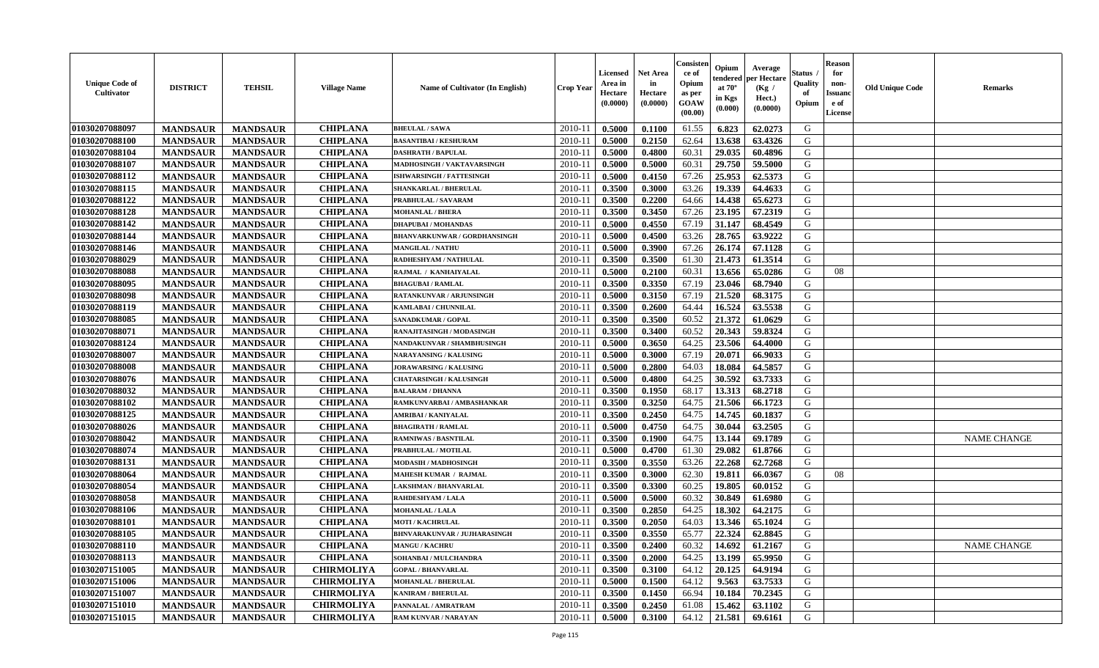| <b>Unique Code of</b><br>Cultivator | <b>DISTRICT</b> | <b>TEHSIL</b>   | <b>Village Name</b> | Name of Cultivator (In English)     | <b>Crop Year</b> | <b>Licensed</b><br>Area in<br>Hectare<br>(0.0000) | <b>Net Area</b><br>in<br>Hectare<br>(0.0000) | Consister<br>ce of<br>Opium<br>as per<br>GOAW<br>(00.00) | Opium<br>endered<br>at $70^\circ$<br>in Kgs<br>$(\mathbf{0.000})$ | Average<br>per Hectare<br>(Kg /<br>Hect.)<br>(0.0000) | <b>Status</b> .<br>Quality<br>of<br>Opium | <b>Reason</b><br>for<br>non-<br><b>Issuand</b><br>e of<br>License | <b>Old Unique Code</b> | <b>Remarks</b>     |
|-------------------------------------|-----------------|-----------------|---------------------|-------------------------------------|------------------|---------------------------------------------------|----------------------------------------------|----------------------------------------------------------|-------------------------------------------------------------------|-------------------------------------------------------|-------------------------------------------|-------------------------------------------------------------------|------------------------|--------------------|
| 01030207088097                      | <b>MANDSAUR</b> | <b>MANDSAUR</b> | <b>CHIPLANA</b>     | <b>BHEULAL/SAWA</b>                 | 2010-11          | 0.5000                                            | 0.1100                                       | 61.55                                                    | 6.823                                                             | 62.0273                                               | G                                         |                                                                   |                        |                    |
| 01030207088100                      | <b>MANDSAUR</b> | <b>MANDSAUR</b> | <b>CHIPLANA</b>     | <b>BASANTIBAI / KESHURAM</b>        | $2010 - 11$      | 0.5000                                            | 0.2150                                       | 62.64                                                    | 13.638                                                            | 63.4326                                               | G                                         |                                                                   |                        |                    |
| 01030207088104                      | <b>MANDSAUR</b> | <b>MANDSAUR</b> | <b>CHIPLANA</b>     | <b>DASHRATH / BAPULAL</b>           | 2010-11          | 0.5000                                            | 0.4800                                       | 60.31                                                    | 29.035                                                            | 60.4896                                               | G                                         |                                                                   |                        |                    |
| 01030207088107                      | <b>MANDSAUR</b> | <b>MANDSAUR</b> | <b>CHIPLANA</b>     | MADHOSINGH / VAKTAVARSINGH          | 2010-11          | 0.5000                                            | 0.5000                                       | 60.31                                                    | 29.750                                                            | 59.5000                                               | G                                         |                                                                   |                        |                    |
| 01030207088112                      | <b>MANDSAUR</b> | <b>MANDSAUR</b> | <b>CHIPLANA</b>     | <b>ISHWARSINGH / FATTESINGH</b>     | 2010-11          | 0.5000                                            | 0.4150                                       | 67.26                                                    | 25.953                                                            | 62.5373                                               | G                                         |                                                                   |                        |                    |
| 01030207088115                      | <b>MANDSAUR</b> | <b>MANDSAUR</b> | <b>CHIPLANA</b>     | <b>SHANKARLAL / BHERULAL</b>        | 2010-11          | 0.3500                                            | 0.3000                                       | 63.26                                                    | 19.339                                                            | 64.4633                                               | G                                         |                                                                   |                        |                    |
| 01030207088122                      | <b>MANDSAUR</b> | <b>MANDSAUR</b> | <b>CHIPLANA</b>     | PRABHULAL / SAVARAM                 | $2010 - 1$       | 0.3500                                            | 0.2200                                       | 64.66                                                    | 14.438                                                            | 65.6273                                               | G                                         |                                                                   |                        |                    |
| 01030207088128                      | <b>MANDSAUR</b> | <b>MANDSAUR</b> | <b>CHIPLANA</b>     | <b>MOHANLAL / BHERA</b>             | 2010-11          | 0.3500                                            | 0.3450                                       | 67.26                                                    | 23.195                                                            | 67.2319                                               | G                                         |                                                                   |                        |                    |
| 01030207088142                      | <b>MANDSAUR</b> | <b>MANDSAUR</b> | <b>CHIPLANA</b>     | <b>DHAPUBAI/MOHANDAS</b>            | 2010-11          | 0.5000                                            | 0.4550                                       | 67.19                                                    | 31.147                                                            | 68.4549                                               | G                                         |                                                                   |                        |                    |
| 01030207088144                      | <b>MANDSAUR</b> | <b>MANDSAUR</b> | <b>CHIPLANA</b>     | <b>BHANVARKUNWAR / GORDHANSINGH</b> | 2010-11          | 0.5000                                            | 0.4500                                       | 63.26                                                    | 28.765                                                            | 63.9222                                               | G                                         |                                                                   |                        |                    |
| 01030207088146                      | <b>MANDSAUR</b> | <b>MANDSAUR</b> | <b>CHIPLANA</b>     | MANGILAL / NATHU                    | 2010-11          | 0.5000                                            | 0.3900                                       | 67.26                                                    | 26.174                                                            | 67.1128                                               | G                                         |                                                                   |                        |                    |
| 01030207088029                      | <b>MANDSAUR</b> | <b>MANDSAUR</b> | <b>CHIPLANA</b>     | RADHESHYAM / NATHULAL               | 2010-11          | 0.3500                                            | 0.3500                                       | 61.30                                                    | 21.473                                                            | 61.3514                                               | G                                         |                                                                   |                        |                    |
| 01030207088088                      | <b>MANDSAUR</b> | <b>MANDSAUR</b> | <b>CHIPLANA</b>     | RAJMAL / KANHAIYALAL                | 2010-11          | 0.5000                                            | 0.2100                                       | 60.31                                                    | 13.656                                                            | 65.0286                                               | G                                         | 08                                                                |                        |                    |
| 01030207088095                      | <b>MANDSAUR</b> | <b>MANDSAUR</b> | <b>CHIPLANA</b>     | <b>BHAGUBAI/RAMLAL</b>              | 2010-11          | 0.3500                                            | 0.3350                                       | 67.19                                                    | 23.046                                                            | 68.7940                                               | G                                         |                                                                   |                        |                    |
| 01030207088098                      | <b>MANDSAUR</b> | <b>MANDSAUR</b> | <b>CHIPLANA</b>     | RATANKUNVAR / ARJUNSINGH            | $2010 - 1$       | 0.5000                                            | 0.3150                                       | 67.19                                                    | 21.520                                                            | 68.3175                                               | ${\bf G}$                                 |                                                                   |                        |                    |
| 01030207088119                      | <b>MANDSAUR</b> | <b>MANDSAUR</b> | <b>CHIPLANA</b>     | KAMLABAI / CHUNNILAL                | 2010-11          | 0.3500                                            | 0.2600                                       | 64.44                                                    | 16.524                                                            | 63.5538                                               | G                                         |                                                                   |                        |                    |
| 01030207088085                      | <b>MANDSAUR</b> | <b>MANDSAUR</b> | <b>CHIPLANA</b>     | <b>SANADKUMAR / GOPAL</b>           | 2010-11          | 0.3500                                            | 0.3500                                       | 60.52                                                    | 21.372                                                            | 61.0629                                               | G                                         |                                                                   |                        |                    |
| 01030207088071                      | <b>MANDSAUR</b> | <b>MANDSAUR</b> | <b>CHIPLANA</b>     | RANAJITASINGH / MODASINGH           | 2010-11          | 0.3500                                            | 0.3400                                       | 60.52                                                    | 20.343                                                            | 59.8324                                               | G                                         |                                                                   |                        |                    |
| 01030207088124                      | <b>MANDSAUR</b> | <b>MANDSAUR</b> | <b>CHIPLANA</b>     | NANDAKUNVAR / SHAMBHUSINGH          | 2010-11          | 0.5000                                            | 0.3650                                       | 64.25                                                    | 23.506                                                            | 64.4000                                               | G                                         |                                                                   |                        |                    |
|                                     |                 |                 |                     | <b>NARAYANSING / KALUSING</b>       | 2010-11          | 0.5000                                            | 0.3000                                       | 67.19                                                    | 20.071                                                            | 66.9033                                               | G                                         |                                                                   |                        |                    |
| 01030207088007<br>01030207088008    | <b>MANDSAUR</b> | <b>MANDSAUR</b> | <b>CHIPLANA</b>     |                                     |                  |                                                   |                                              |                                                          |                                                                   |                                                       |                                           |                                                                   |                        |                    |
|                                     | <b>MANDSAUR</b> | <b>MANDSAUR</b> | <b>CHIPLANA</b>     | <b>JORAWARSING / KALUSING</b>       | 2010-11          | 0.5000                                            | 0.2800                                       | 64.03                                                    | 18.084                                                            | 64.5857                                               | G                                         |                                                                   |                        |                    |
| 01030207088076                      | <b>MANDSAUR</b> | <b>MANDSAUR</b> | <b>CHIPLANA</b>     | <b>CHATARSINGH / KALUSINGH</b>      | 2010-11          | 0.5000                                            | 0.4800                                       | 64.25                                                    | 30.592                                                            | 63.7333                                               | G                                         |                                                                   |                        |                    |
| 01030207088032                      | <b>MANDSAUR</b> | <b>MANDSAUR</b> | <b>CHIPLANA</b>     | <b>BALARAM / DHANNA</b>             | $2010 - 1$       | 0.3500                                            | 0.1950                                       | 68.17                                                    | 13.313                                                            | 68.2718                                               | ${\bf G}$                                 |                                                                   |                        |                    |
| 01030207088102                      | <b>MANDSAUR</b> | <b>MANDSAUR</b> | <b>CHIPLANA</b>     | RAMKUNVARBAI / AMBASHANKAR          | 2010-11          | 0.3500                                            | 0.3250                                       | 64.75                                                    | 21.506                                                            | 66.1723                                               | ${\bf G}$                                 |                                                                   |                        |                    |
| 01030207088125                      | <b>MANDSAUR</b> | <b>MANDSAUR</b> | <b>CHIPLANA</b>     | <b>AMRIBAI / KANIYALAL</b>          | 2010-11          | 0.3500                                            | 0.2450                                       | 64.75                                                    | 14.745                                                            | 60.1837                                               | G                                         |                                                                   |                        |                    |
| 01030207088026                      | <b>MANDSAUR</b> | <b>MANDSAUR</b> | <b>CHIPLANA</b>     | <b>BHAGIRATH / RAMLAL</b>           | 2010-11          | 0.5000                                            | 0.4750                                       | 64.75                                                    | 30.044                                                            | 63.2505                                               | G                                         |                                                                   |                        |                    |
| 01030207088042                      | <b>MANDSAUR</b> | <b>MANDSAUR</b> | <b>CHIPLANA</b>     | <b>RAMNIWAS / BASNTILAL</b>         | 2010-11          | 0.3500                                            | 0.1900                                       | 64.75                                                    | 13.144                                                            | 69.1789                                               | G                                         |                                                                   |                        | <b>NAME CHANGE</b> |
| 01030207088074                      | <b>MANDSAUR</b> | <b>MANDSAUR</b> | <b>CHIPLANA</b>     | PRABHULAL / MOTILAL                 | 2010-11          | 0.5000                                            | 0.4700                                       | 61.30                                                    | 29.082                                                            | 61.8766                                               | G                                         |                                                                   |                        |                    |
| 01030207088131                      | <b>MANDSAUR</b> | <b>MANDSAUR</b> | <b>CHIPLANA</b>     | MODASIH / MADHOSINGH                | 2010-11          | 0.3500                                            | 0.3550                                       | 63.26                                                    | 22.268                                                            | 62.7268                                               | G                                         |                                                                   |                        |                    |
| 01030207088064                      | <b>MANDSAUR</b> | <b>MANDSAUR</b> | <b>CHIPLANA</b>     | <b>MAHESH KUMAR / RAJMAL</b>        | 2010-11          | 0.3500                                            | 0.3000                                       | 62.30                                                    | 19.811                                                            | 66.0367                                               | G                                         | 08                                                                |                        |                    |
| 01030207088054                      | <b>MANDSAUR</b> | <b>MANDSAUR</b> | <b>CHIPLANA</b>     | <b>LAKSHMAN / BHANVARLAL</b>        | $2010 - 11$      | 0.3500                                            | 0.3300                                       | 60.25                                                    | 19.805                                                            | 60.0152                                               | G                                         |                                                                   |                        |                    |
| 01030207088058                      | <b>MANDSAUR</b> | <b>MANDSAUR</b> | <b>CHIPLANA</b>     | RAHDESHYAM / LALA                   | 2010-11          | 0.5000                                            | 0.5000                                       | 60.32                                                    | 30.849                                                            | 61.6980                                               | G                                         |                                                                   |                        |                    |
| 01030207088106                      | <b>MANDSAUR</b> | <b>MANDSAUR</b> | <b>CHIPLANA</b>     | <b>MOHANLAL / LALA</b>              | 2010-11          | 0.3500                                            | 0.2850                                       | 64.25                                                    | 18.302                                                            | 64.2175                                               | G                                         |                                                                   |                        |                    |
| 01030207088101                      | <b>MANDSAUR</b> | <b>MANDSAUR</b> | <b>CHIPLANA</b>     | <b>MOTI / KACHRULAL</b>             | 2010-11          | 0.3500                                            | 0.2050                                       | 64.03                                                    | 13.346                                                            | 65.1024                                               | G                                         |                                                                   |                        |                    |
| 01030207088105                      | <b>MANDSAUR</b> | <b>MANDSAUR</b> | <b>CHIPLANA</b>     | BHNVARAKUNVAR / JUJHARASINGH        | 2010-11          | 0.3500                                            | 0.3550                                       | 65.77                                                    | 22.324                                                            | 62.8845                                               | ${\bf G}$                                 |                                                                   |                        |                    |
| 01030207088110                      | <b>MANDSAUR</b> | <b>MANDSAUR</b> | <b>CHIPLANA</b>     | <b>MANGU / KACHRU</b>               | 2010-11          | 0.3500                                            | 0.2400                                       | 60.32                                                    | 14.692                                                            | 61.2167                                               | G                                         |                                                                   |                        | <b>NAME CHANGE</b> |
| 01030207088113                      | <b>MANDSAUR</b> | <b>MANDSAUR</b> | <b>CHIPLANA</b>     | SOHANBAI / MULCHANDRA               | 2010-11          | 0.3500                                            | 0.2000                                       | 64.25                                                    | 13.199                                                            | 65.9950                                               | G                                         |                                                                   |                        |                    |
| 01030207151005                      | <b>MANDSAUR</b> | <b>MANDSAUR</b> | <b>CHIRMOLIYA</b>   | <b>GOPAL / BHANVARLAL</b>           | 2010-11          | 0.3500                                            | 0.3100                                       | 64.12                                                    | 20.125                                                            | 64.9194                                               | G                                         |                                                                   |                        |                    |
| 01030207151006                      | <b>MANDSAUR</b> | <b>MANDSAUR</b> | <b>CHIRMOLIYA</b>   | <b>MOHANLAL / BHERULAL</b>          | $2010 - 11$      | 0.5000                                            | 0.1500                                       | 64.12                                                    | 9.563                                                             | 63.7533                                               | G                                         |                                                                   |                        |                    |
| 01030207151007                      | <b>MANDSAUR</b> | <b>MANDSAUR</b> | <b>CHIRMOLIYA</b>   | KANIRAM / BHERULAL                  | $2010 - 11$      | 0.3500                                            | 0.1450                                       | 66.94                                                    | 10.184                                                            | 70.2345                                               | ${\bf G}$                                 |                                                                   |                        |                    |
| 01030207151010                      | <b>MANDSAUR</b> | <b>MANDSAUR</b> | <b>CHIRMOLIYA</b>   | PANNALAL / AMRATRAM                 | 2010-11          | 0.3500                                            | 0.2450                                       | 61.08                                                    | 15.462                                                            | 63.1102                                               | G                                         |                                                                   |                        |                    |
| 01030207151015                      | <b>MANDSAUR</b> | <b>MANDSAUR</b> | <b>CHIRMOLIYA</b>   | <b>RAM KUNVAR / NARAYAN</b>         | 2010-11          | 0.5000                                            | 0.3100                                       | 64.12                                                    | 21.581                                                            | 69.6161                                               | G                                         |                                                                   |                        |                    |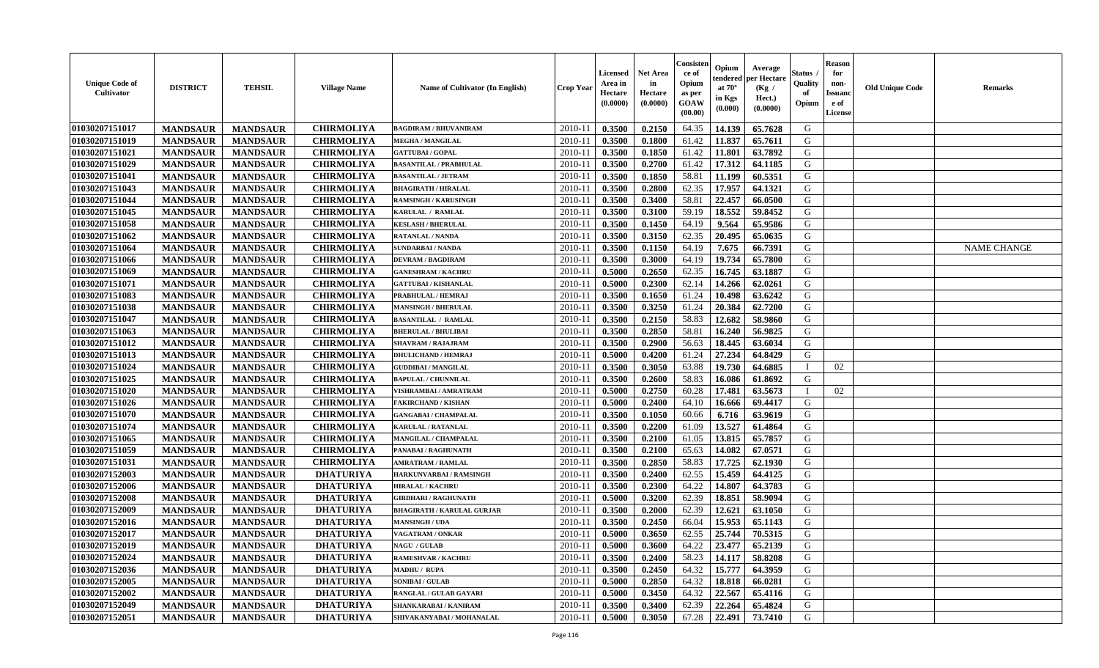| <b>Unique Code of</b><br><b>Cultivator</b> | <b>DISTRICT</b> | <b>TEHSIL</b>   | <b>Village Name</b> | <b>Name of Cultivator (In English)</b> | <b>Crop Year</b> | <b>Licensed</b><br>Area in<br>Hectare<br>(0.0000) | <b>Net Area</b><br>in<br>Hectare<br>(0.0000) | Consisteı<br>ce of<br>Opium<br>as per<br>GOAW<br>(00.00) | Opium<br>endered<br>at $70^\circ$<br>in Kgs<br>(0.000) | Average<br>per Hectare<br>(Kg /<br>Hect.)<br>(0.0000) | Status<br>Quality<br>of<br>Opium | <b>Reason</b><br>for<br>non-<br>Issuano<br>e of<br>License | <b>Old Unique Code</b> | Remarks            |
|--------------------------------------------|-----------------|-----------------|---------------------|----------------------------------------|------------------|---------------------------------------------------|----------------------------------------------|----------------------------------------------------------|--------------------------------------------------------|-------------------------------------------------------|----------------------------------|------------------------------------------------------------|------------------------|--------------------|
| 01030207151017                             | <b>MANDSAUR</b> | <b>MANDSAUR</b> | <b>CHIRMOLIYA</b>   | <b>BAGDIRAM / BHUVANIRAM</b>           | 2010-11          | 0.3500                                            | 0.2150                                       | 64.35                                                    | 14.139                                                 | 65.7628                                               | G                                |                                                            |                        |                    |
| 01030207151019                             | <b>MANDSAUR</b> | <b>MANDSAUR</b> | <b>CHIRMOLIYA</b>   | <b>MEGHA / MANGILAL</b>                | 2010-11          | 0.3500                                            | 0.1800                                       | 61.42                                                    | 11.837                                                 | 65.7611                                               | G                                |                                                            |                        |                    |
| 01030207151021                             | <b>MANDSAUR</b> | <b>MANDSAUR</b> | <b>CHIRMOLIYA</b>   | <b>GATTUBAI/GOPAL</b>                  | 2010-11          | 0.3500                                            | 0.1850                                       | 61.42                                                    | 11.801                                                 | 63.7892                                               | G                                |                                                            |                        |                    |
| 01030207151029                             | <b>MANDSAUR</b> | <b>MANDSAUR</b> | <b>CHIRMOLIYA</b>   | <b>BASANTILAL / PRABHULAL</b>          | 2010-11          | 0.3500                                            | 0.2700                                       | 61.42                                                    | 17.312                                                 | 64.1185                                               | G                                |                                                            |                        |                    |
| 01030207151041                             | <b>MANDSAUR</b> | <b>MANDSAUR</b> | <b>CHIRMOLIYA</b>   | <b>BASANTILAL / JETRAM</b>             | 2010-11          | 0.3500                                            | 0.1850                                       | 58.81                                                    | 11.199                                                 | 60.5351                                               | G                                |                                                            |                        |                    |
| 01030207151043                             | <b>MANDSAUR</b> | <b>MANDSAUR</b> | <b>CHIRMOLIYA</b>   | <b>BHAGIRATH / HIRALAL</b>             | 2010-11          | 0.3500                                            | 0.2800                                       | 62.35                                                    | 17.957                                                 | 64.1321                                               | G                                |                                                            |                        |                    |
| 01030207151044                             | <b>MANDSAUR</b> | <b>MANDSAUR</b> | <b>CHIRMOLIYA</b>   | <b>RAMSINGH / KARUSINGH</b>            | $2010 - 11$      | 0.3500                                            | 0.3400                                       | 58.81                                                    | 22.457                                                 | 66.0500                                               | G                                |                                                            |                        |                    |
| 01030207151045                             | <b>MANDSAUR</b> | <b>MANDSAUR</b> | <b>CHIRMOLIYA</b>   | KARULAL / RAMLAL                       | 2010-11          | 0.3500                                            | 0.3100                                       | 59.19                                                    | 18.552                                                 | 59.8452                                               | G                                |                                                            |                        |                    |
| 01030207151058                             | <b>MANDSAUR</b> | <b>MANDSAUR</b> | <b>CHIRMOLIYA</b>   | <b>KESLASH / BHERULAL</b>              | 2010-11          | 0.3500                                            | 0.1450                                       | 64.19                                                    | 9.564                                                  | 65.9586                                               | G                                |                                                            |                        |                    |
| 01030207151062                             | <b>MANDSAUR</b> | <b>MANDSAUR</b> | <b>CHIRMOLIYA</b>   | <b>RATANLAL / NANDA</b>                | 2010-11          | 0.3500                                            | 0.3150                                       | 62.35                                                    | 20.495                                                 | 65.0635                                               | G                                |                                                            |                        |                    |
| 01030207151064                             | <b>MANDSAUR</b> | <b>MANDSAUR</b> | <b>CHIRMOLIYA</b>   | <b>SUNDARBAI / NANDA</b>               | 2010-11          | 0.3500                                            | 0.1150                                       | 64.19                                                    | 7.675                                                  | 66.7391                                               | G                                |                                                            |                        | <b>NAME CHANGE</b> |
| 01030207151066                             | <b>MANDSAUR</b> | <b>MANDSAUR</b> | <b>CHIRMOLIYA</b>   | <b>DEVRAM / BAGDIRAM</b>               | 2010-11          | 0.3500                                            | 0.3000                                       | 64.19                                                    | 19.734                                                 | 65.7800                                               | G                                |                                                            |                        |                    |
| 01030207151069                             | <b>MANDSAUR</b> | <b>MANDSAUR</b> | <b>CHIRMOLIYA</b>   | <b>GANESHRAM / KACHRU</b>              | 2010-11          | 0.5000                                            | 0.2650                                       | 62.35                                                    | 16.745                                                 | 63.1887                                               | G                                |                                                            |                        |                    |
| 01030207151071                             | <b>MANDSAUR</b> | <b>MANDSAUR</b> | <b>CHIRMOLIYA</b>   | <b>GATTUBAI/KISHANLAL</b>              | 2010-11          | 0.5000                                            | 0.2300                                       | 62.14                                                    | 14.266                                                 | 62.0261                                               | G                                |                                                            |                        |                    |
| 01030207151083                             | <b>MANDSAUR</b> | <b>MANDSAUR</b> | <b>CHIRMOLIYA</b>   | PRABHULAL / HEMRAJ                     | 2010-11          | 0.3500                                            | 0.1650                                       | 61.24                                                    | 10.498                                                 | 63.6242                                               | $\mathbf G$                      |                                                            |                        |                    |
| 01030207151038                             | <b>MANDSAUR</b> | <b>MANDSAUR</b> | <b>CHIRMOLIYA</b>   | <b>MANSINGH / BHERULAL</b>             | 2010-11          | 0.3500                                            | 0.3250                                       | 61.24                                                    | 20.384                                                 | 62.7200                                               | G                                |                                                            |                        |                    |
| 01030207151047                             | <b>MANDSAUR</b> | <b>MANDSAUR</b> | <b>CHIRMOLIYA</b>   | <b>BASANTILAL / RAMLAL</b>             | 2010-11          | 0.3500                                            | 0.2150                                       | 58.83                                                    | 12.682                                                 | 58.9860                                               | G                                |                                                            |                        |                    |
| 01030207151063                             | <b>MANDSAUR</b> | <b>MANDSAUR</b> | <b>CHIRMOLIYA</b>   | <b>BHERULAL / BHULIBAI</b>             | 2010-11          | 0.3500                                            | 0.2850                                       | 58.81                                                    | 16.240                                                 | 56.9825                                               | G                                |                                                            |                        |                    |
| 01030207151012                             | <b>MANDSAUR</b> | <b>MANDSAUR</b> | <b>CHIRMOLIYA</b>   | <b>SHAVRAM / RAJAJRAM</b>              | 2010-11          | 0.3500                                            | 0.2900                                       | 56.63                                                    | 18.445                                                 | 63.6034                                               | G                                |                                                            |                        |                    |
| 01030207151013                             | <b>MANDSAUR</b> | <b>MANDSAUR</b> | <b>CHIRMOLIYA</b>   | <b>DHULICHAND / HEMRAJ</b>             | 2010-11          | 0.5000                                            | 0.4200                                       | 61.24                                                    | 27.234                                                 | 64.8429                                               | G                                |                                                            |                        |                    |
| 01030207151024                             | <b>MANDSAUR</b> | <b>MANDSAUR</b> | <b>CHIRMOLIYA</b>   | <b>GUDDIBAI / MANGILAL</b>             | 2010-11          | 0.3500                                            | 0.3050                                       | 63.88                                                    | 19.730                                                 | 64.6885                                               | $\mathbf{I}$                     | 02                                                         |                        |                    |
| 01030207151025                             | <b>MANDSAUR</b> | <b>MANDSAUR</b> | <b>CHIRMOLIYA</b>   | <b>BAPULAL / CHUNNILAL</b>             | 2010-11          | 0.3500                                            | 0.2600                                       | 58.83                                                    | 16.086                                                 | 61.8692                                               | G                                |                                                            |                        |                    |
| 01030207151020                             | <b>MANDSAUR</b> | <b>MANDSAUR</b> | <b>CHIRMOLIYA</b>   | <b>VISHRAMBAI / AMRATRAM</b>           | 2010-11          | 0.5000                                            | 0.2750                                       | 60.28                                                    | 17.481                                                 | 63.5673                                               |                                  | 02                                                         |                        |                    |
| 01030207151026                             | <b>MANDSAUR</b> | <b>MANDSAUR</b> | <b>CHIRMOLIYA</b>   | <b>FAKIRCHAND / KISHAN</b>             | 2010-11          | 0.5000                                            | 0.2400                                       | 64.10                                                    | 16.666                                                 | 69.4417                                               | G                                |                                                            |                        |                    |
| 01030207151070                             | <b>MANDSAUR</b> | <b>MANDSAUR</b> | <b>CHIRMOLIYA</b>   | <b>GANGABAI/CHAMPALAL</b>              | 2010-11          | 0.3500                                            | 0.1050                                       | 60.66                                                    | 6.716                                                  | 63.9619                                               | G                                |                                                            |                        |                    |
| 01030207151074                             | <b>MANDSAUR</b> | <b>MANDSAUR</b> | <b>CHIRMOLIYA</b>   | KARULAL / RATANLAL                     | 2010-11          | 0.3500                                            | 0.2200                                       | 61.09                                                    | 13.527                                                 | 61.4864                                               | G                                |                                                            |                        |                    |
| 01030207151065                             | <b>MANDSAUR</b> | <b>MANDSAUR</b> | <b>CHIRMOLIYA</b>   | MANGILAL / CHAMPALAL                   | 2010-11          | 0.3500                                            | 0.2100                                       | 61.05                                                    | 13.815                                                 | 65.7857                                               | G                                |                                                            |                        |                    |
| 01030207151059                             | <b>MANDSAUR</b> | <b>MANDSAUR</b> | <b>CHIRMOLIYA</b>   | PANABAI / RAGHUNATH                    | 2010-11          | 0.3500                                            | 0.2100                                       | 65.63                                                    | 14.082                                                 | 67.0571                                               | G                                |                                                            |                        |                    |
| 01030207151031                             | <b>MANDSAUR</b> | <b>MANDSAUR</b> | <b>CHIRMOLIYA</b>   | <b>AMRATRAM / RAMLAL</b>               | 2010-11          | 0.3500                                            | 0.2850                                       | 58.83                                                    | 17.725                                                 | 62.1930                                               | G                                |                                                            |                        |                    |
| 01030207152003                             | <b>MANDSAUR</b> | <b>MANDSAUR</b> | <b>DHATURIYA</b>    | HARKUNVARBAI / RAMSINGH                | 2010-11          | 0.3500                                            | 0.2400                                       | 62.55                                                    | 15.459                                                 | 64.4125                                               | G                                |                                                            |                        |                    |
| 01030207152006                             | <b>MANDSAUR</b> | <b>MANDSAUR</b> | <b>DHATURIYA</b>    | <b>HIRALAL / KACHRU</b>                | 2010-11          | 0.3500                                            | 0.2300                                       | 64.22                                                    | 14.807                                                 | 64.3783                                               | G                                |                                                            |                        |                    |
| 01030207152008                             | <b>MANDSAUR</b> | <b>MANDSAUR</b> | <b>DHATURIYA</b>    | <b>GIRDHARI / RAGHUNATH</b>            | 2010-11          | 0.5000                                            | 0.3200                                       | 62.39                                                    | 18.851                                                 | 58.9094                                               | G                                |                                                            |                        |                    |
| 01030207152009                             | <b>MANDSAUR</b> | <b>MANDSAUR</b> | <b>DHATURIYA</b>    | <b>BHAGIRATH / KARULAL GURJAR</b>      | 2010-11          | 0.3500                                            | 0.2000                                       | 62.39                                                    | 12.621                                                 | 63.1050                                               | G                                |                                                            |                        |                    |
| 01030207152016                             | <b>MANDSAUR</b> | <b>MANDSAUR</b> | <b>DHATURIYA</b>    | <b>MANSINGH / UDA</b>                  | 2010-11          | 0.3500                                            | 0.2450                                       | 66.04                                                    | 15.953                                                 | 65.1143                                               | G                                |                                                            |                        |                    |
| 01030207152017                             | <b>MANDSAUR</b> | <b>MANDSAUR</b> | <b>DHATURIYA</b>    | VAGATRAM / ONKAR                       | 2010-11          | 0.5000                                            | 0.3650                                       | 62.55                                                    | 25.744                                                 | 70.5315                                               | G                                |                                                            |                        |                    |
| 01030207152019                             | <b>MANDSAUR</b> | <b>MANDSAUR</b> | <b>DHATURIYA</b>    | NAGU / GULAB                           | 2010-11          | 0.5000                                            | 0.3600                                       | 64.22                                                    | 23.477                                                 | 65.2139                                               | G                                |                                                            |                        |                    |
| 01030207152024                             | <b>MANDSAUR</b> | <b>MANDSAUR</b> | <b>DHATURIYA</b>    | <b>RAMESHVAR / KACHRU</b>              | 2010-11          | 0.3500                                            | 0.2400                                       | 58.23                                                    | 14.117                                                 | 58.8208                                               | G                                |                                                            |                        |                    |
| 01030207152036                             | <b>MANDSAUR</b> | <b>MANDSAUR</b> | <b>DHATURIYA</b>    | <b>MADHU / RUPA</b>                    | 2010-11          | 0.3500                                            | 0.2450                                       | 64.32                                                    | 15.777                                                 | 64.3959                                               | G                                |                                                            |                        |                    |
| 01030207152005                             | <b>MANDSAUR</b> | <b>MANDSAUR</b> | <b>DHATURIYA</b>    | <b>SONIBAI/GULAB</b>                   | 2010-11          | 0.5000                                            | 0.2850                                       | 64.32                                                    | 18.818                                                 | 66.0281                                               | G                                |                                                            |                        |                    |
| 01030207152002                             | <b>MANDSAUR</b> | <b>MANDSAUR</b> | <b>DHATURIYA</b>    | RANGLAL / GULAB GAYARI                 | 2010-11          | 0.5000                                            | 0.3450                                       | 64.32                                                    | 22.567                                                 | 65.4116                                               | ${\bf G}$                        |                                                            |                        |                    |
| 01030207152049                             | <b>MANDSAUR</b> | <b>MANDSAUR</b> | <b>DHATURIYA</b>    | SHANKARABAI / KANIRAM                  | 2010-11          | 0.3500                                            | 0.3400                                       | 62.39                                                    | 22.264                                                 | 65.4824                                               | G                                |                                                            |                        |                    |
| 01030207152051                             | <b>MANDSAUR</b> | <b>MANDSAUR</b> | <b>DHATURIYA</b>    | SHIVAKANYABAI / MOHANALAL              | 2010-11          | 0.5000                                            | 0.3050                                       | 67.28                                                    | 22.491                                                 | 73.7410                                               | G                                |                                                            |                        |                    |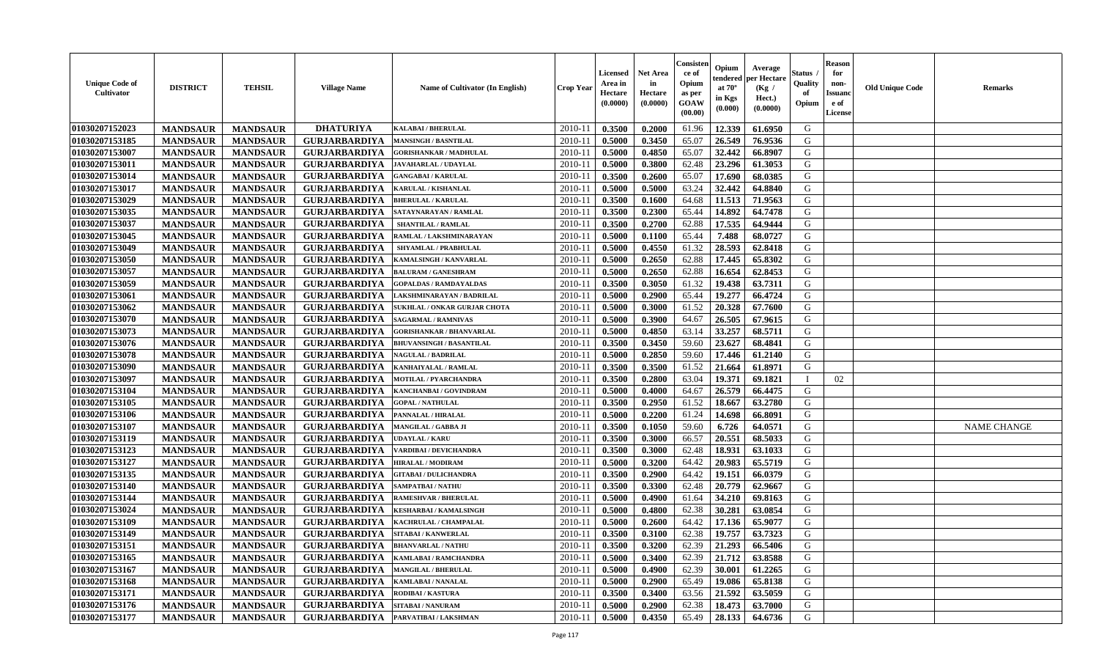| <b>Unique Code of</b><br><b>Cultivator</b> | <b>DISTRICT</b> | <b>TEHSIL</b>   | <b>Village Name</b>  | <b>Name of Cultivator (In English)</b> | <b>Crop Year</b> | <b>Licensed</b><br>Area in<br>Hectare<br>(0.0000) | <b>Net Area</b><br>in<br>Hectare<br>(0.0000) | Consister<br>ce of<br>Opium<br>as per<br><b>GOAW</b><br>(00.00) | Opium<br>endered<br>at $70^\circ$<br>in Kgs<br>$(\mathbf{0.000})$ | Average<br>per Hectare<br>(Kg /<br>Hect.)<br>(0.0000) | Status<br>Quality<br>of<br>Opium | <b>Reason</b><br>for<br>non-<br><b>Issuano</b><br>e of<br>License | <b>Old Unique Code</b> | <b>Remarks</b>     |
|--------------------------------------------|-----------------|-----------------|----------------------|----------------------------------------|------------------|---------------------------------------------------|----------------------------------------------|-----------------------------------------------------------------|-------------------------------------------------------------------|-------------------------------------------------------|----------------------------------|-------------------------------------------------------------------|------------------------|--------------------|
| 01030207152023                             | <b>MANDSAUR</b> | <b>MANDSAUR</b> | <b>DHATURIYA</b>     | <b>KALABAI/BHERULAL</b>                | 2010-11          | 0.3500                                            | 0.2000                                       | 61.96                                                           | 12.339                                                            | 61.6950                                               | G                                |                                                                   |                        |                    |
| 01030207153185                             | <b>MANDSAUR</b> | <b>MANDSAUR</b> | <b>GURJARBARDIYA</b> | <b>MANSINGH / BASNTILAL</b>            | $2010 - 11$      | 0.5000                                            | 0.3450                                       | 65.07                                                           | 26.549                                                            | 76.9536                                               | G                                |                                                                   |                        |                    |
| 01030207153007                             | <b>MANDSAUR</b> | <b>MANDSAUR</b> | <b>GURJARBARDIYA</b> | <b>GORISHANKAR / MADHULAL</b>          | $2010 - 1$       | 0.5000                                            | 0.4850                                       | 65.07                                                           | 32.442                                                            | 66.8907                                               | G                                |                                                                   |                        |                    |
| 01030207153011                             | <b>MANDSAUR</b> | <b>MANDSAUR</b> | <b>GURJARBARDIYA</b> | <b>JAVAHARLAL / UDAYLAL</b>            | 2010-11          | 0.5000                                            | 0.3800                                       | 62.48                                                           | 23.296                                                            | 61.3053                                               | G                                |                                                                   |                        |                    |
| 01030207153014                             | <b>MANDSAUR</b> | <b>MANDSAUR</b> | <b>GURJARBARDIYA</b> | <b>GANGABAI / KARULAL</b>              | 2010-11          | 0.3500                                            | 0.2600                                       | 65.07                                                           | 17.690                                                            | 68.0385                                               | G                                |                                                                   |                        |                    |
| 01030207153017                             | <b>MANDSAUR</b> | <b>MANDSAUR</b> | <b>GURJARBARDIYA</b> | KARULAL / KISHANLAL                    | $2010 - 11$      | 0.5000                                            | 0.5000                                       | 63.24                                                           | 32.442                                                            | 64.8840                                               | G                                |                                                                   |                        |                    |
| 01030207153029                             | <b>MANDSAUR</b> | <b>MANDSAUR</b> | <b>GURJARBARDIYA</b> | <b>BHERULAL / KARULAL</b>              | 2010-11          | 0.3500                                            | 0.1600                                       | 64.68                                                           | 11.513                                                            | 71.9563                                               | G                                |                                                                   |                        |                    |
| 01030207153035                             | <b>MANDSAUR</b> | <b>MANDSAUR</b> | <b>GURJARBARDIYA</b> | SATAYNARAYAN / RAMLAL                  | 2010-11          | 0.3500                                            | 0.2300                                       | 65.44                                                           | 14.892                                                            | 64.7478                                               | G                                |                                                                   |                        |                    |
| 01030207153037                             | <b>MANDSAUR</b> | <b>MANDSAUR</b> | <b>GURJARBARDIYA</b> | <b>SHANTILAL / RAMLAL</b>              | 2010-11          | 0.3500                                            | 0.2700                                       | 62.88                                                           | 17.535                                                            | 64.9444                                               | G                                |                                                                   |                        |                    |
| 01030207153045                             | <b>MANDSAUR</b> | <b>MANDSAUR</b> | <b>GURJARBARDIYA</b> | RAMLAL / LAKSHMINARAYAN                | $2010 - 11$      | 0.5000                                            | 0.1100                                       | 65.44                                                           | 7.488                                                             | 68.0727                                               | G                                |                                                                   |                        |                    |
| 01030207153049                             | <b>MANDSAUR</b> | <b>MANDSAUR</b> | <b>GURJARBARDIYA</b> | SHYAMLAL / PRABHULAL                   | 2010-11          | 0.5000                                            | 0.4550                                       | 61.32                                                           | 28.593                                                            | 62.8418                                               | G                                |                                                                   |                        |                    |
| 01030207153050                             | <b>MANDSAUR</b> | <b>MANDSAUR</b> | <b>GURJARBARDIYA</b> | KAMALSINGH / KANVARLAL                 | 2010-11          | 0.5000                                            | 0.2650                                       | 62.88                                                           | 17.445                                                            | 65.8302                                               | G                                |                                                                   |                        |                    |
| 01030207153057                             | <b>MANDSAUR</b> | <b>MANDSAUR</b> | <b>GURJARBARDIYA</b> | <b>BALURAM / GANESHRAM</b>             | 2010-11          | 0.5000                                            | 0.2650                                       | 62.88                                                           | 16.654                                                            | 62.8453                                               | G                                |                                                                   |                        |                    |
| 01030207153059                             | <b>MANDSAUR</b> | <b>MANDSAUR</b> | <b>GURJARBARDIYA</b> | <b>GOPALDAS / RAMDAYALDAS</b>          | 2010-11          | 0.3500                                            | 0.3050                                       | 61.32                                                           | 19.438                                                            | 63.7311                                               | G                                |                                                                   |                        |                    |
| 01030207153061                             | <b>MANDSAUR</b> | <b>MANDSAUR</b> | <b>GURJARBARDIYA</b> | LAKSHMINARAYAN / BADRILAL              | $2010 - 11$      | 0.5000                                            | 0.2900                                       | 65.44                                                           | 19.277                                                            | 66.4724                                               | G                                |                                                                   |                        |                    |
| 01030207153062                             | <b>MANDSAUR</b> | <b>MANDSAUR</b> | <b>GURJARBARDIYA</b> | SUKHLAL / ONKAR GURJAR CHOTA           | 2010-11          | 0.5000                                            | 0.3000                                       | 61.52                                                           | 20.328                                                            | 67.7600                                               | G                                |                                                                   |                        |                    |
| 01030207153070                             | <b>MANDSAUR</b> | <b>MANDSAUR</b> | <b>GURJARBARDIYA</b> | <b>SAGARMAL / RAMNIVAS</b>             | 2010-11          | 0.5000                                            | 0.3900                                       | 64.67                                                           | 26.505                                                            | 67.9615                                               | G                                |                                                                   |                        |                    |
| 01030207153073                             | <b>MANDSAUR</b> | <b>MANDSAUR</b> | <b>GURJARBARDIYA</b> | <b>GORISHANKAR / BHANVARLAL</b>        | 2010-11          | 0.5000                                            | 0.4850                                       | 63.14                                                           | 33.257                                                            | 68.5711                                               | G                                |                                                                   |                        |                    |
| 01030207153076                             | <b>MANDSAUR</b> | <b>MANDSAUR</b> | <b>GURJARBARDIYA</b> | <b>BHUVANSINGH / BASANTILAL</b>        | 2010-11          | 0.3500                                            | 0.3450                                       | 59.60                                                           | 23.627                                                            | 68.4841                                               | G                                |                                                                   |                        |                    |
| 01030207153078                             | <b>MANDSAUR</b> | <b>MANDSAUR</b> | <b>GURJARBARDIYA</b> | <b>NAGULAL / BADRILAL</b>              | 2010-11          | 0.5000                                            | 0.2850                                       | 59.60                                                           | 17.446                                                            | 61.2140                                               | G                                |                                                                   |                        |                    |
| 01030207153090                             | <b>MANDSAUR</b> | <b>MANDSAUR</b> | <b>GURJARBARDIYA</b> | KANHAIYALAL / RAMLAL                   | $2010 - 11$      | 0.3500                                            | 0.3500                                       | 61.52                                                           | 21.664                                                            | 61.8971                                               | G                                |                                                                   |                        |                    |
| 01030207153097                             | <b>MANDSAUR</b> | <b>MANDSAUR</b> | <b>GURJARBARDIYA</b> | MOTILAL / PYARCHANDRA                  | 2010-11          | 0.3500                                            | 0.2800                                       | 63.04                                                           | 19.371                                                            | 69.1821                                               | $\blacksquare$                   | 02                                                                |                        |                    |
| 01030207153104                             | <b>MANDSAUR</b> | <b>MANDSAUR</b> | <b>GURJARBARDIYA</b> | KANCHANBAI / GOVINDRAM                 | 2010-11          | 0.5000                                            | 0.4000                                       | 64.67                                                           | 26.579                                                            | 66.4475                                               | G                                |                                                                   |                        |                    |
| 01030207153105                             | <b>MANDSAUR</b> | <b>MANDSAUR</b> | <b>GURJARBARDIYA</b> | <b>GOPAL / NATHULAL</b>                | $2010 - 11$      | 0.3500                                            | 0.2950                                       | 61.52                                                           | 18.667                                                            | 63.2780                                               | G                                |                                                                   |                        |                    |
| 01030207153106                             | <b>MANDSAUR</b> | <b>MANDSAUR</b> | <b>GURJARBARDIYA</b> | PANNALAL / HIRALAL                     | $2010 - 11$      | 0.5000                                            | 0.2200                                       | 61.24                                                           | 14.698                                                            | 66.8091                                               | G                                |                                                                   |                        |                    |
| 01030207153107                             | <b>MANDSAUR</b> | <b>MANDSAUR</b> | <b>GURJARBARDIYA</b> | MANGILAL / GABBA JI                    | 2010-11          | 0.3500                                            | 0.1050                                       | 59.60                                                           | 6.726                                                             | 64.0571                                               | G                                |                                                                   |                        | <b>NAME CHANGE</b> |
| 01030207153119                             | <b>MANDSAUR</b> | <b>MANDSAUR</b> | <b>GURJARBARDIYA</b> | <b>JDAYLAL / KARU</b>                  | 2010-11          | 0.3500                                            | 0.3000                                       | 66.57                                                           | 20.551                                                            | 68.5033                                               | G                                |                                                                   |                        |                    |
| 01030207153123                             | <b>MANDSAUR</b> | <b>MANDSAUR</b> | <b>GURJARBARDIYA</b> | VARDIBAI / DEVICHANDRA                 | 2010-11          | 0.3500                                            | 0.3000                                       | 62.48                                                           | 18.931                                                            | 63.1033                                               | G                                |                                                                   |                        |                    |
| 01030207153127                             | <b>MANDSAUR</b> | <b>MANDSAUR</b> | <b>GURJARBARDIYA</b> | <b>HIRALAL / MODIRAM</b>               | 2010-11          | 0.5000                                            | 0.3200                                       | 64.42                                                           | 20.983                                                            | 65.5719                                               | G                                |                                                                   |                        |                    |
| 01030207153135                             | <b>MANDSAUR</b> | <b>MANDSAUR</b> | <b>GURJARBARDIYA</b> | <b>GITABAI/DULICHANDRA</b>             | $2010 - 11$      | 0.3500                                            | 0.2900                                       | 64.42                                                           | 19.151                                                            | 66.0379                                               | G                                |                                                                   |                        |                    |
| 01030207153140                             | <b>MANDSAUR</b> | <b>MANDSAUR</b> | <b>GURJARBARDIYA</b> | SAMPATBAI / NATHU                      | 2010-11          | 0.3500                                            | 0.3300                                       | 62.48                                                           | 20.779                                                            | 62.9667                                               | G                                |                                                                   |                        |                    |
| 01030207153144                             | <b>MANDSAUR</b> | <b>MANDSAUR</b> | <b>GURJARBARDIYA</b> | <b>RAMESHVAR / BHERULAL</b>            | 2010-11          | 0.5000                                            | 0.4900                                       | 61.64                                                           | 34.210                                                            | 69.8163                                               | G                                |                                                                   |                        |                    |
| 01030207153024                             | <b>MANDSAUR</b> | <b>MANDSAUR</b> | <b>GURJARBARDIYA</b> | KESHARBAI / KAMALSINGH                 | $2010 - 11$      | 0.5000                                            | 0.4800                                       | 62.38                                                           | 30.281                                                            | 63.0854                                               | G                                |                                                                   |                        |                    |
| 01030207153109                             | <b>MANDSAUR</b> | <b>MANDSAUR</b> | <b>GURJARBARDIYA</b> | KACHRULAL / CHAMPALAL                  | 2010-11          | 0.5000                                            | 0.2600                                       | 64.42                                                           | 17.136                                                            | 65.9077                                               | G                                |                                                                   |                        |                    |
| 01030207153149                             | <b>MANDSAUR</b> | <b>MANDSAUR</b> | <b>GURJARBARDIYA</b> | SITABAI / KANWERLAL                    | 2010-11          | 0.3500                                            | 0.3100                                       | 62.38                                                           | 19.757                                                            | 63.7323                                               | G                                |                                                                   |                        |                    |
| 01030207153151                             | <b>MANDSAUR</b> | <b>MANDSAUR</b> | <b>GURJARBARDIYA</b> | <b>BHANVARLAL / NATHU</b>              | $2010-11$ 0.3500 |                                                   | 0.3200                                       | 62.39                                                           | 21.293                                                            | 66.5406                                               | G                                |                                                                   |                        |                    |
| 01030207153165                             | <b>MANDSAUR</b> | <b>MANDSAUR</b> | <b>GURJARBARDIYA</b> | <b>KAMLABAI/RAMCHANDRA</b>             | 2010-11          | 0.5000                                            | 0.3400                                       | 62.39                                                           | 21.712                                                            | 63.8588                                               | G                                |                                                                   |                        |                    |
| 01030207153167                             | <b>MANDSAUR</b> | <b>MANDSAUR</b> | <b>GURJARBARDIYA</b> | <b>MANGILAL / BHERULAL</b>             | 2010-11          | 0.5000                                            | 0.4900                                       | 62.39                                                           | 30.001                                                            | 61.2265                                               | G                                |                                                                   |                        |                    |
| 01030207153168                             | <b>MANDSAUR</b> | <b>MANDSAUR</b> | <b>GURJARBARDIYA</b> | <b>KAMLABAI/NANALAL</b>                | 2010-11          | 0.5000                                            | 0.2900                                       | 65.49                                                           | 19.086                                                            | 65.8138                                               | G                                |                                                                   |                        |                    |
| 01030207153171                             | <b>MANDSAUR</b> | <b>MANDSAUR</b> | <b>GURJARBARDIYA</b> | <b>RODIBAI/KASTURA</b>                 | 2010-11          | 0.3500                                            | 0.3400                                       | 63.56                                                           | 21.592                                                            | 63.5059                                               | G                                |                                                                   |                        |                    |
| 01030207153176                             | <b>MANDSAUR</b> | <b>MANDSAUR</b> | <b>GURJARBARDIYA</b> | <b>SITABAI/NANURAM</b>                 | 2010-11          | 0.5000                                            | 0.2900                                       | 62.38                                                           | 18.473                                                            | 63.7000                                               | G                                |                                                                   |                        |                    |
| 01030207153177                             | <b>MANDSAUR</b> | <b>MANDSAUR</b> | <b>GURJARBARDIYA</b> | PARVATIBAI / LAKSHMAN                  | $2010 - 11$      | 0.5000                                            | 0.4350                                       | 65.49                                                           | 28.133                                                            | 64.6736                                               | G                                |                                                                   |                        |                    |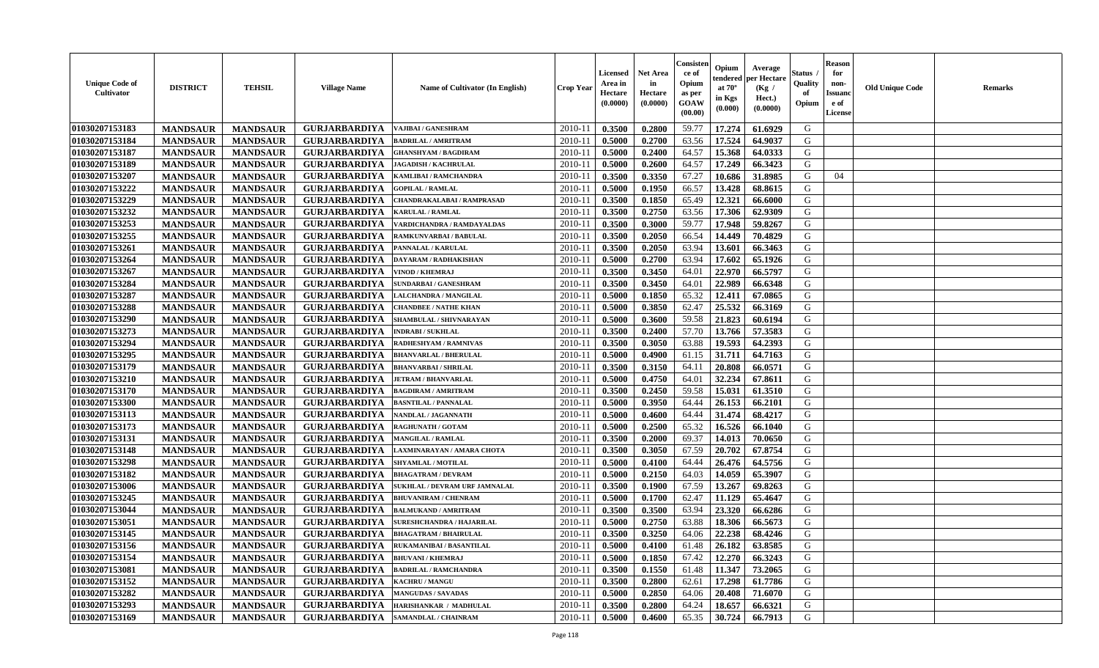| <b>Unique Code of</b><br>Cultivator | <b>DISTRICT</b> | <b>TEHSIL</b>   | <b>Village Name</b>  | Name of Cultivator (In English)  | Crop Year   | Licensed<br>Area in<br>Hectare<br>(0.0000) | <b>Net Area</b><br>in<br>Hectare<br>(0.0000) | Consisten<br>ce of<br>Opium<br>as per<br><b>GOAW</b><br>(00.00) | Opium<br>tendered<br>at $70^\circ$<br>in Kgs<br>$(\mathbf{0.000})$ | Average<br>per Hectare<br>(Kg /<br>Hect.)<br>(0.0000) | Status<br>Quality<br>of<br>Opium | <b>Reason</b><br>for<br>non-<br><b>Issuand</b><br>e of<br>License | <b>Old Unique Code</b> | <b>Remarks</b> |
|-------------------------------------|-----------------|-----------------|----------------------|----------------------------------|-------------|--------------------------------------------|----------------------------------------------|-----------------------------------------------------------------|--------------------------------------------------------------------|-------------------------------------------------------|----------------------------------|-------------------------------------------------------------------|------------------------|----------------|
| 01030207153183                      | <b>MANDSAUR</b> | <b>MANDSAUR</b> | <b>GURJARBARDIYA</b> | VAJIBAI / GANESHRAM              | 2010-11     | 0.3500                                     | 0.2800                                       | 59.77                                                           | 17.274                                                             | 61.6929                                               | G                                |                                                                   |                        |                |
| 01030207153184                      | <b>MANDSAUR</b> | <b>MANDSAUR</b> | <b>GURJARBARDIYA</b> | <b>BADRILAL / AMRITRAM</b>       | 2010-1      | 0.5000                                     | 0.2700                                       | 63.56                                                           | 17.524                                                             | 64.9037                                               | G                                |                                                                   |                        |                |
| 01030207153187                      | <b>MANDSAUR</b> | <b>MANDSAUR</b> | <b>GURJARBARDIYA</b> | <b>GHANSHYAM / BAGDIRAM</b>      | 2010-1      | 0.5000                                     | 0.2400                                       | 64.57                                                           | 15.368                                                             | 64.0333                                               | G                                |                                                                   |                        |                |
| 01030207153189                      | <b>MANDSAUR</b> | <b>MANDSAUR</b> | <b>GURJARBARDIYA</b> | <b>JAGADISH / KACHRULAL</b>      | $2010 - 1$  | 0.5000                                     | 0.2600                                       | 64.57                                                           | 17.249                                                             | 66.3423                                               | G                                |                                                                   |                        |                |
| 01030207153207                      | <b>MANDSAUR</b> | <b>MANDSAUR</b> | <b>GURJARBARDIYA</b> | KAMLIBAI / RAMCHANDRA            | 2010-11     | 0.3500                                     | 0.3350                                       | 67.27                                                           | 10.686                                                             | 31.8985                                               | G                                | 04                                                                |                        |                |
| 01030207153222                      | <b>MANDSAUR</b> | <b>MANDSAUR</b> | <b>GURJARBARDIYA</b> | <b>GOPILAL / RAMLAL</b>          | 2010-1      | 0.5000                                     | 0.1950                                       | 66.57                                                           | 13.428                                                             | 68.8615                                               | G                                |                                                                   |                        |                |
| 01030207153229                      | <b>MANDSAUR</b> | <b>MANDSAUR</b> | <b>GURJARBARDIYA</b> | CHANDRAKALABAI / RAMPRASAD       | $2010-1$    | 0.3500                                     | 0.1850                                       | 65.49                                                           | 12.321                                                             | 66.6000                                               | G                                |                                                                   |                        |                |
| 01030207153232                      | <b>MANDSAUR</b> | <b>MANDSAUR</b> | <b>GURJARBARDIYA</b> | <b>KARULAL / RAMLAL</b>          | $2010 - 1$  | 0.3500                                     | 0.2750                                       | 63.56                                                           | 17.306                                                             | 62.9309                                               | G                                |                                                                   |                        |                |
| 01030207153253                      | <b>MANDSAUR</b> | <b>MANDSAUR</b> | <b>GURJARBARDIYA</b> | VARDICHANDRA / RAMDAYALDAS       | 2010-11     | 0.3500                                     | 0.3000                                       | 59.77                                                           | 17.948                                                             | 59.8267                                               | G                                |                                                                   |                        |                |
| 01030207153255                      | <b>MANDSAUR</b> | <b>MANDSAUR</b> | <b>GURJARBARDIYA</b> | RAMKUNVARBAI / BABULAL           | 2010-1      | 0.3500                                     | 0.2050                                       | 66.54                                                           | 14.449                                                             | 70.4829                                               | G                                |                                                                   |                        |                |
| 01030207153261                      | <b>MANDSAUR</b> | <b>MANDSAUR</b> | <b>GURJARBARDIYA</b> | PANNALAL / KARULAL               | 2010-11     | 0.3500                                     | 0.2050                                       | 63.94                                                           | 13.601                                                             | 66.3463                                               | G                                |                                                                   |                        |                |
| 01030207153264                      | <b>MANDSAUR</b> | <b>MANDSAUR</b> | <b>GURJARBARDIYA</b> | DAYARAM / RADHAKISHAN            | 2010-11     | 0.5000                                     | 0.2700                                       | 63.94                                                           | 17.602                                                             | 65.1926                                               | G                                |                                                                   |                        |                |
| 01030207153267                      | <b>MANDSAUR</b> | <b>MANDSAUR</b> | <b>GURJARBARDIYA</b> | <b>VINOD / KHEMRAJ</b>           | $2010 - 11$ | 0.3500                                     | 0.3450                                       | 64.01                                                           | 22.970                                                             | 66.5797                                               | G                                |                                                                   |                        |                |
| 01030207153284                      | <b>MANDSAUR</b> | <b>MANDSAUR</b> | <b>GURJARBARDIYA</b> | SUNDARBAI / GANESHRAM            | $2010-1$    | 0.3500                                     | 0.3450                                       | 64.01                                                           | 22.989                                                             | 66.6348                                               | G                                |                                                                   |                        |                |
| 01030207153287                      | <b>MANDSAUR</b> | <b>MANDSAUR</b> | <b>GURJARBARDIYA</b> | <b>LALCHANDRA / MANGILAL</b>     | $2010 - 1$  | 0.5000                                     | 0.1850                                       | 65.32                                                           | 12.411                                                             | 67.0865                                               | G                                |                                                                   |                        |                |
| 01030207153288                      | <b>MANDSAUR</b> | <b>MANDSAUR</b> | <b>GURJARBARDIYA</b> | <b>CHANDBEE / NATHE KHAN</b>     | $2010 - 1$  | 0.5000                                     | 0.3850                                       | 62.47                                                           | 25.532                                                             | 66.3169                                               | G                                |                                                                   |                        |                |
| 01030207153290                      | <b>MANDSAUR</b> | <b>MANDSAUR</b> | <b>GURJARBARDIYA</b> | SHAMBULAL / SHIVNARAYAN          | 2010-11     | 0.5000                                     | 0.3600                                       | 59.58                                                           | 21.823                                                             | 60.6194                                               | G                                |                                                                   |                        |                |
| 01030207153273                      | <b>MANDSAUR</b> | <b>MANDSAUR</b> | <b>GURJARBARDIYA</b> | <b>INDRABI/SUKHLAL</b>           | $2010 - 11$ | 0.3500                                     | 0.2400                                       | 57.70                                                           | 13.766                                                             | 57.3583                                               | G                                |                                                                   |                        |                |
| 01030207153294                      | <b>MANDSAUR</b> | <b>MANDSAUR</b> | <b>GURJARBARDIYA</b> | RADHESHYAM / RAMNIVAS            | $2010-1$    | 0.3500                                     | 0.3050                                       | 63.88                                                           | 19.593                                                             | 64.2393                                               | G                                |                                                                   |                        |                |
| 01030207153295                      | <b>MANDSAUR</b> | <b>MANDSAUR</b> | <b>GURJARBARDIYA</b> | <b>BHANVARLAL / BHERULAI</b>     | $2010 - 11$ | 0.5000                                     | 0.4900                                       | 61.15                                                           | 31.711                                                             | 64.7163                                               | G                                |                                                                   |                        |                |
| 01030207153179                      | <b>MANDSAUR</b> | <b>MANDSAUR</b> | <b>GURJARBARDIYA</b> | <b>BHANVARBAI/SHRILAL</b>        | $2010-1$    | 0.3500                                     | 0.3150                                       | 64.11                                                           | 20.808                                                             | 66.0571                                               | G                                |                                                                   |                        |                |
| 01030207153210                      | <b>MANDSAUR</b> | <b>MANDSAUR</b> | <b>GURJARBARDIYA</b> | <b>JETRAM / BHANVARLAL</b>       | 2010-11     | 0.5000                                     | 0.4750                                       | 64.01                                                           | 32.234                                                             | 67.8611                                               | G                                |                                                                   |                        |                |
| 01030207153170                      | <b>MANDSAUR</b> | <b>MANDSAUR</b> | <b>GURJARBARDIYA</b> | <b>BAGDIRAM / AMRITRAM</b>       | 2010-11     | 0.3500                                     | 0.2450                                       | 59.58                                                           | 15.031                                                             | 61.3510                                               | G                                |                                                                   |                        |                |
| 01030207153300                      | <b>MANDSAUR</b> | <b>MANDSAUR</b> | <b>GURJARBARDIYA</b> | <b>BASNTILAL / PANNALAL</b>      | 2010-1      | 0.5000                                     | 0.3950                                       | 64.44                                                           | 26.153                                                             | 66.2101                                               | G                                |                                                                   |                        |                |
| 01030207153113                      | <b>MANDSAUR</b> | <b>MANDSAUR</b> | <b>GURJARBARDIYA</b> | NANDLAL / JAGANNATH              | $2010-1$    | 0.5000                                     | 0.4600                                       | 64.44                                                           | 31.474                                                             | 68.4217                                               | G                                |                                                                   |                        |                |
| 01030207153173                      | <b>MANDSAUR</b> | <b>MANDSAUR</b> | <b>GURJARBARDIYA</b> | <b>RAGHUNATH / GOTAM</b>         | 2010-11     | 0.5000                                     | 0.2500                                       | 65.32                                                           | 16.526                                                             | 66.1040                                               | G                                |                                                                   |                        |                |
| 01030207153131                      | <b>MANDSAUR</b> | <b>MANDSAUR</b> | <b>GURJARBARDIYA</b> | <b>MANGILAL / RAMLAL</b>         | $2010 - 1$  | 0.3500                                     | 0.2000                                       | 69.37                                                           | 14.013                                                             | 70.0650                                               | G                                |                                                                   |                        |                |
| 01030207153148                      | <b>MANDSAUR</b> | <b>MANDSAUR</b> | <b>GURJARBARDIYA</b> | LAXMINARAYAN / AMARA CHOTA       | $2010 - 11$ | 0.3500                                     | 0.3050                                       | 67.59                                                           | 20.702                                                             | 67.8754                                               | G                                |                                                                   |                        |                |
| 01030207153298                      | <b>MANDSAUR</b> | <b>MANDSAUR</b> | <b>GURJARBARDIYA</b> | SHYAMLAL / MOTILAL               | $2010 - 1$  | 0.5000                                     | 0.4100                                       | 64.44                                                           | 26.476                                                             | 64.5756                                               | G                                |                                                                   |                        |                |
| 01030207153182                      | <b>MANDSAUR</b> | <b>MANDSAUR</b> | <b>GURJARBARDIYA</b> | <b>BHAGATRAM / DEVRAM</b>        | $2010 - 1$  | 0.5000                                     | 0.2150                                       | 64.03                                                           | 14.059                                                             | 65.3907                                               | G                                |                                                                   |                        |                |
| 01030207153006                      | <b>MANDSAUR</b> | <b>MANDSAUR</b> | <b>GURJARBARDIYA</b> | SUKHLAL / DEVRAM URF JAMNALAL    | $2010 - 11$ | 0.3500                                     | 0.1900                                       | 67.59                                                           | 13.267                                                             | 69.8263                                               | G                                |                                                                   |                        |                |
| 01030207153245                      | <b>MANDSAUR</b> | <b>MANDSAUR</b> | <b>GURJARBARDIYA</b> | <b>BHUVANIRAM / CHENRAM</b>      | 2010-11     | 0.5000                                     | 0.1700                                       | 62.47                                                           | 11.129                                                             | 65.4647                                               | G                                |                                                                   |                        |                |
| 01030207153044                      | <b>MANDSAUR</b> | <b>MANDSAUR</b> | <b>GURJARBARDIYA</b> | <b>BALMUKAND / AMRITRAM</b>      | 2010-1      | 0.3500                                     | 0.3500                                       | 63.94                                                           | 23.320                                                             | 66.6286                                               | G                                |                                                                   |                        |                |
| 01030207153051                      | <b>MANDSAUR</b> | <b>MANDSAUR</b> | <b>GURJARBARDIYA</b> | <b>SURESHCHANDRA / HAJARILAL</b> | 2010-11     | 0.5000                                     | 0.2750                                       | 63.88                                                           | 18.306                                                             | 66.5673                                               | G                                |                                                                   |                        |                |
| 01030207153145                      | <b>MANDSAUR</b> | <b>MANDSAUR</b> | <b>GURJARBARDIYA</b> | <b>BHAGATRAM / BHAIRULAL</b>     | 2010-11     | 0.3500                                     | 0.3250                                       | 64.06                                                           | 22.238                                                             | 68.4246                                               | G                                |                                                                   |                        |                |
| 01030207153156                      | <b>MANDSAUR</b> | <b>MANDSAUR</b> | <b>GURJARBARDIYA</b> | RUKAMANIBAI / BASANTILAL         | 2010-11     | 0.5000                                     | 0.4100                                       |                                                                 | 61.48   26.182                                                     | 63.8585                                               | G                                |                                                                   |                        |                |
| 01030207153154                      | <b>MANDSAUR</b> | <b>MANDSAUR</b> | <b>GURJARBARDIYA</b> | <b>BHUVANI / KHEMRAJ</b>         | 2010-11     | 0.5000                                     | 0.1850                                       | 67.42                                                           | 12.270                                                             | 66.3243                                               | G                                |                                                                   |                        |                |
| 01030207153081                      | <b>MANDSAUR</b> | <b>MANDSAUR</b> | <b>GURJARBARDIYA</b> | <b>BADRILAL / RAMCHANDRA</b>     | 2010-11     | 0.3500                                     | 0.1550                                       | 61.48                                                           | 11.347                                                             | 73.2065                                               | G                                |                                                                   |                        |                |
| 01030207153152                      | <b>MANDSAUR</b> | <b>MANDSAUR</b> | <b>GURJARBARDIYA</b> | <b>KACHRU / MANGU</b>            | 2010-11     | 0.3500                                     | 0.2800                                       | 62.61                                                           | 17.298                                                             | 61.7786                                               | G                                |                                                                   |                        |                |
| 01030207153282                      | <b>MANDSAUR</b> | <b>MANDSAUR</b> | <b>GURJARBARDIYA</b> | <b>MANGUDAS / SAVADAS</b>        | 2010-11     | 0.5000                                     | 0.2850                                       | 64.06                                                           | 20.408                                                             | 71.6070                                               | G                                |                                                                   |                        |                |
| 01030207153293                      | <b>MANDSAUR</b> | <b>MANDSAUR</b> | <b>GURJARBARDIYA</b> | HARISHANKAR / MADHULAL           | 2010-11     | 0.3500                                     | 0.2800                                       | 64.24                                                           | 18.657                                                             | 66.6321                                               | G                                |                                                                   |                        |                |
| 01030207153169                      | <b>MANDSAUR</b> | <b>MANDSAUR</b> | <b>GURJARBARDIYA</b> | <b>SAMANDLAL / CHAINRAM</b>      | 2010-11     | 0.5000                                     | 0.4600                                       | 65.35                                                           | 30.724                                                             | 66.7913                                               | G                                |                                                                   |                        |                |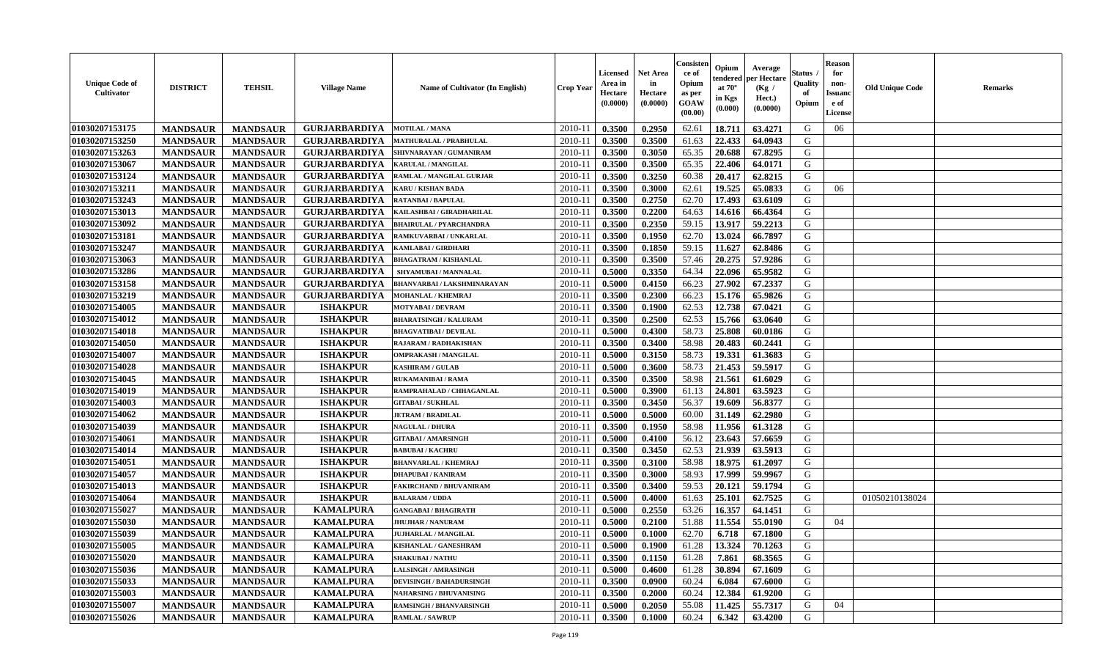| <b>Unique Code of</b><br>Cultivator | <b>DISTRICT</b> | <b>TEHSIL</b>   | <b>Village Name</b>  | <b>Name of Cultivator (In English)</b> | Crop Year   | <b>Licensed</b><br>Area in<br>Hectare<br>(0.0000) | <b>Net Area</b><br>in<br>Hectare<br>(0.0000) | Consister<br>ce of<br>Opium<br>as per<br><b>GOAW</b><br>(00.00) | Opium<br>endered<br>at $70^{\circ}$<br>in Kgs<br>$(\mathbf{0.000})$ | Average<br>per Hectare<br>(Kg /<br>Hect.)<br>(0.0000) | Status<br>Quality<br>of<br>Opium | <b>Reason</b><br>for<br>non-<br><b>Issuanc</b><br>e of<br><b>License</b> | <b>Old Unique Code</b> | <b>Remarks</b> |
|-------------------------------------|-----------------|-----------------|----------------------|----------------------------------------|-------------|---------------------------------------------------|----------------------------------------------|-----------------------------------------------------------------|---------------------------------------------------------------------|-------------------------------------------------------|----------------------------------|--------------------------------------------------------------------------|------------------------|----------------|
| 01030207153175                      | <b>MANDSAUR</b> | <b>MANDSAUR</b> | <b>GURJARBARDIYA</b> | <b>MOTILAL / MANA</b>                  | 2010-11     | 0.3500                                            | 0.2950                                       | 62.61                                                           | 18.711                                                              | 63.4271                                               | G                                | 06                                                                       |                        |                |
| 01030207153250                      | <b>MANDSAUR</b> | <b>MANDSAUR</b> | <b>GURJARBARDIYA</b> | <b>MATHURALAL / PRABHULAL</b>          | 2010-11     | 0.3500                                            | 0.3500                                       | 61.63                                                           | 22.433                                                              | 64.0943                                               | G                                |                                                                          |                        |                |
| 01030207153263                      | <b>MANDSAUR</b> | <b>MANDSAUR</b> | <b>GURJARBARDIYA</b> | SHIVNARAYAN / GUMANIRAM                | 2010-11     | 0.3500                                            | 0.3050                                       | 65.35                                                           | 20.688                                                              | 67.8295                                               | G                                |                                                                          |                        |                |
| 01030207153067                      | <b>MANDSAUR</b> | <b>MANDSAUR</b> | <b>GURJARBARDIYA</b> | <b>KARULAL / MANGILAL</b>              | 2010-11     | 0.3500                                            | 0.3500                                       | 65.35                                                           | 22.406                                                              | 64.0171                                               | G                                |                                                                          |                        |                |
| 01030207153124                      | <b>MANDSAUR</b> | <b>MANDSAUR</b> | <b>GURJARBARDIYA</b> | RAMLAL / MANGILAL GURJAR               | $2010 - 11$ | 0.3500                                            | 0.3250                                       | 60.38                                                           | 20.417                                                              | 62.8215                                               | G                                |                                                                          |                        |                |
| 01030207153211                      | <b>MANDSAUR</b> | <b>MANDSAUR</b> | <b>GURJARBARDIYA</b> | KARU / KISHAN BADA                     | 2010-11     | 0.3500                                            | 0.3000                                       | 62.61                                                           | 19.525                                                              | 65.0833                                               | G                                | 06                                                                       |                        |                |
| 01030207153243                      | <b>MANDSAUR</b> | <b>MANDSAUR</b> | <b>GURJARBARDIYA</b> | <b>RATANBAI/BAPULAL</b>                | 2010-11     | 0.3500                                            | 0.2750                                       | 62.70                                                           | 17.493                                                              | 63.6109                                               | G                                |                                                                          |                        |                |
| 01030207153013                      | <b>MANDSAUR</b> | <b>MANDSAUR</b> | <b>GURJARBARDIYA</b> | KAILASHBAI / GIRADHARILAL              | 2010-11     | 0.3500                                            | 0.2200                                       | 64.63                                                           | 14.616                                                              | 66.4364                                               | G                                |                                                                          |                        |                |
| 01030207153092                      | <b>MANDSAUR</b> | <b>MANDSAUR</b> | <b>GURJARBARDIYA</b> | <b>BHAIRULAL / PYARCHANDRA</b>         | 2010-11     | 0.3500                                            | 0.2350                                       | 59.15                                                           | 13.917                                                              | 59.2213                                               | G                                |                                                                          |                        |                |
| 01030207153181                      | <b>MANDSAUR</b> | <b>MANDSAUR</b> | <b>GURJARBARDIYA</b> | RAMKUVARBAI / UNKARLAL                 | 2010-11     | 0.3500                                            | 0.1950                                       | 62.70                                                           | 13.024                                                              | 66.7897                                               | G                                |                                                                          |                        |                |
| 01030207153247                      | <b>MANDSAUR</b> | <b>MANDSAUR</b> | <b>GURJARBARDIYA</b> | KAMLABAI / GIRDHARI                    | 2010-11     | 0.3500                                            | 0.1850                                       | 59.15                                                           | 11.627                                                              | 62.8486                                               | G                                |                                                                          |                        |                |
| 01030207153063                      | <b>MANDSAUR</b> | <b>MANDSAUR</b> | <b>GURJARBARDIYA</b> | <b>BHAGATRAM / KISHANLAL</b>           | 2010-11     | 0.3500                                            | 0.3500                                       | 57.46                                                           | 20.275                                                              | 57.9286                                               | G                                |                                                                          |                        |                |
| 01030207153286                      | <b>MANDSAUR</b> | <b>MANDSAUR</b> | <b>GURJARBARDIYA</b> | SHYAMUBAI / MANNALAL                   | 2010-11     | 0.5000                                            | 0.3350                                       | 64.34                                                           | 22.096                                                              | 65.9582                                               | G                                |                                                                          |                        |                |
| 01030207153158                      | <b>MANDSAUR</b> | <b>MANDSAUR</b> | <b>GURJARBARDIYA</b> | BHANVARBAI / LAKSHMINARAYAN            | $2010 - 11$ | 0.5000                                            | 0.4150                                       | 66.23                                                           | 27.902                                                              | 67.2337                                               | ${\bf G}$                        |                                                                          |                        |                |
| 01030207153219                      | <b>MANDSAUR</b> | <b>MANDSAUR</b> | <b>GURJARBARDIYA</b> | <b>MOHANLAL / KHEMRAJ</b>              | 2010-11     | 0.3500                                            | 0.2300                                       | 66.23                                                           | 15.176                                                              | 65.9826                                               | G                                |                                                                          |                        |                |
| 01030207154005                      | <b>MANDSAUR</b> | <b>MANDSAUR</b> | <b>ISHAKPUR</b>      | <b>MOTYABAI/DEVRAM</b>                 | 2010-11     | 0.3500                                            | 0.1900                                       | 62.53                                                           | 12.738                                                              | 67.0421                                               | G                                |                                                                          |                        |                |
| 01030207154012                      | <b>MANDSAUR</b> | <b>MANDSAUR</b> | <b>ISHAKPUR</b>      | <b>BHARATSINGH / KALURAM</b>           | 2010-11     | 0.3500                                            | 0.2500                                       | 62.53                                                           | 15.766                                                              | 63.0640                                               | G                                |                                                                          |                        |                |
| 01030207154018                      | <b>MANDSAUR</b> | <b>MANDSAUR</b> | <b>ISHAKPUR</b>      | <b>BHAGVATIBAI / DEVILAL</b>           | 2010-11     | 0.5000                                            | 0.4300                                       | 58.73                                                           | 25.808                                                              | 60.0186                                               | G                                |                                                                          |                        |                |
| 01030207154050                      | <b>MANDSAUR</b> | <b>MANDSAUR</b> | <b>ISHAKPUR</b>      | RAJARAM / RADHAKISHAN                  | 2010-11     | 0.3500                                            | 0.3400                                       | 58.98                                                           | 20.483                                                              | 60.2441                                               | G                                |                                                                          |                        |                |
| 01030207154007                      | <b>MANDSAUR</b> | <b>MANDSAUR</b> | <b>ISHAKPUR</b>      | <b>OMPRAKASH / MANGILAL</b>            | 2010-11     | 0.5000                                            | 0.3150                                       | 58.73                                                           | 19.331                                                              | 61.3683                                               | G                                |                                                                          |                        |                |
| 01030207154028                      | <b>MANDSAUR</b> | <b>MANDSAUR</b> | <b>ISHAKPUR</b>      | <b>KASHIRAM / GULAB</b>                | 2010-11     | 0.5000                                            | 0.3600                                       | 58.73                                                           | 21.453                                                              | 59.5917                                               | G                                |                                                                          |                        |                |
| 01030207154045                      | <b>MANDSAUR</b> | <b>MANDSAUR</b> | <b>ISHAKPUR</b>      | <b>RUKAMANIBAI / RAMA</b>              | $2010 - 11$ | 0.3500                                            | 0.3500                                       | 58.98                                                           | 21.561                                                              | 61.6029                                               | G                                |                                                                          |                        |                |
| 01030207154019                      | <b>MANDSAUR</b> | <b>MANDSAUR</b> | <b>ISHAKPUR</b>      | RAMPRAHALAD / CHHAGANLAL               | 2010-11     | 0.5000                                            | 0.3900                                       | 61.13                                                           | 24.801                                                              | 63.5923                                               | G                                |                                                                          |                        |                |
| 01030207154003                      | <b>MANDSAUR</b> | <b>MANDSAUR</b> | <b>ISHAKPUR</b>      | <b>GITABAI/SUKHLAL</b>                 | 2010-11     | 0.3500                                            | 0.3450                                       | 56.37                                                           | 19.609                                                              | 56.8377                                               | G                                |                                                                          |                        |                |
| 01030207154062                      | <b>MANDSAUR</b> | <b>MANDSAUR</b> | <b>ISHAKPUR</b>      | <b>JETRAM / BRADILAL</b>               | 2010-11     | 0.5000                                            | 0.5000                                       | 60.00                                                           | 31.149                                                              | 62.2980                                               | G                                |                                                                          |                        |                |
| 01030207154039                      | <b>MANDSAUR</b> | <b>MANDSAUR</b> | <b>ISHAKPUR</b>      | <b>NAGULAL / DHURA</b>                 | 2010-11     | 0.3500                                            | 0.1950                                       | 58.98                                                           | 11.956                                                              | 61.3128                                               | G                                |                                                                          |                        |                |
| 01030207154061                      | <b>MANDSAUR</b> | <b>MANDSAUR</b> | <b>ISHAKPUR</b>      | <b>GITABAI/AMARSINGH</b>               | 2010-11     | 0.5000                                            | 0.4100                                       | 56.12                                                           | 23.643                                                              | 57.6659                                               | G                                |                                                                          |                        |                |
| 01030207154014                      | <b>MANDSAUR</b> | <b>MANDSAUR</b> | <b>ISHAKPUR</b>      | <b>BABUBAI/KACHRU</b>                  | 2010-11     | 0.3500                                            | 0.3450                                       | 62.53                                                           | 21.939                                                              | 63.5913                                               | G                                |                                                                          |                        |                |
| 01030207154051                      | <b>MANDSAUR</b> | <b>MANDSAUR</b> | <b>ISHAKPUR</b>      | <b>BHANVARLAL / KHEMRAJ</b>            | 2010-11     | 0.3500                                            | 0.3100                                       | 58.98                                                           | 18.975                                                              | 61.2097                                               | G                                |                                                                          |                        |                |
| 01030207154057                      | <b>MANDSAUR</b> | <b>MANDSAUR</b> | <b>ISHAKPUR</b>      | <b>DHAPUBAI/KANIRAM</b>                | 2010-11     | 0.3500                                            | 0.3000                                       | 58.93                                                           | 17.999                                                              | 59.9967                                               | G                                |                                                                          |                        |                |
| 01030207154013                      | <b>MANDSAUR</b> | <b>MANDSAUR</b> | <b>ISHAKPUR</b>      | FAKIRCHAND / BHUVANIRAM                | 2010-11     | 0.3500                                            | 0.3400                                       | 59.53                                                           | 20.121                                                              | 59.1794                                               | G                                |                                                                          |                        |                |
| 01030207154064                      | <b>MANDSAUR</b> | <b>MANDSAUR</b> | <b>ISHAKPUR</b>      | <b>BALARAM / UDDA</b>                  | 2010-11     | 0.5000                                            | 0.4000                                       | 61.63                                                           | 25.101                                                              | 62.7525                                               | G                                |                                                                          | 01050210138024         |                |
| 01030207155027                      | <b>MANDSAUR</b> | <b>MANDSAUR</b> | <b>KAMALPURA</b>     | <b>GANGABAI / BHAGIRATH</b>            | 2010-11     | 0.5000                                            | 0.2550                                       | 63.26                                                           | 16.357                                                              | 64.1451                                               | G                                |                                                                          |                        |                |
| 01030207155030                      | <b>MANDSAUR</b> | <b>MANDSAUR</b> | <b>KAMALPURA</b>     | <b>JHUJHAR / NANURAM</b>               | 2010-11     | 0.5000                                            | 0.2100                                       | 51.88                                                           | 11.554                                                              | 55.0190                                               | G                                | 04                                                                       |                        |                |
| 01030207155039                      | <b>MANDSAUR</b> | <b>MANDSAUR</b> | <b>KAMALPURA</b>     | <b>JUJHARLAL / MANGILAL</b>            | 2010-11     | 0.5000                                            | 0.1000                                       | 62.70                                                           | 6.718                                                               | 67.1800                                               | G                                |                                                                          |                        |                |
| 01030207155005                      | <b>MANDSAUR</b> | <b>MANDSAUR</b> | <b>KAMALPURA</b>     | <b>KISHANLAL / GANESHRAM</b>           | 2010-11     | 0.5000                                            | 0.1900                                       | 61.28                                                           | 13.324                                                              | 70.1263                                               | G                                |                                                                          |                        |                |
| 01030207155020                      | <b>MANDSAUR</b> | <b>MANDSAUR</b> | <b>KAMALPURA</b>     | <b>SHAKUBAI/NATHU</b>                  | 2010-11     | 0.3500                                            | 0.1150                                       | 61.28                                                           | 7.861                                                               | 68.3565                                               | G                                |                                                                          |                        |                |
| 01030207155036                      | <b>MANDSAUR</b> | <b>MANDSAUR</b> | <b>KAMALPURA</b>     | <b>LALSINGH / AMRASINGH</b>            | 2010-11     | 0.5000                                            | 0.4600                                       | 61.28                                                           | 30.894                                                              | 67.1609                                               | G                                |                                                                          |                        |                |
| 01030207155033                      | <b>MANDSAUR</b> | <b>MANDSAUR</b> | <b>KAMALPURA</b>     | <b>DEVISINGH / BAHADURSINGH</b>        | 2010-11     | 0.3500                                            | 0.0900                                       | 60.24                                                           | 6.084                                                               | 67.6000                                               | G                                |                                                                          |                        |                |
| 01030207155003                      | <b>MANDSAUR</b> | <b>MANDSAUR</b> | <b>KAMALPURA</b>     | <b>NAHARSING / BHUVANISING</b>         | $2010 - 11$ | 0.3500                                            | 0.2000                                       | 60.24                                                           | 12.384                                                              | 61.9200                                               | G                                |                                                                          |                        |                |
| 01030207155007                      | <b>MANDSAUR</b> | <b>MANDSAUR</b> | <b>KAMALPURA</b>     | <b>RAMSINGH / BHANVARSINGH</b>         | 2010-11     | 0.5000                                            | 0.2050                                       | 55.08                                                           | 11.425                                                              | 55.7317                                               | G                                | 04                                                                       |                        |                |
| 01030207155026                      | <b>MANDSAUR</b> | <b>MANDSAUR</b> | <b>KAMALPURA</b>     | <b>RAMLAL / SAWRUP</b>                 | 2010-11     | 0.3500                                            | 0.1000                                       | 60.24                                                           | 6.342                                                               | 63.4200                                               | G                                |                                                                          |                        |                |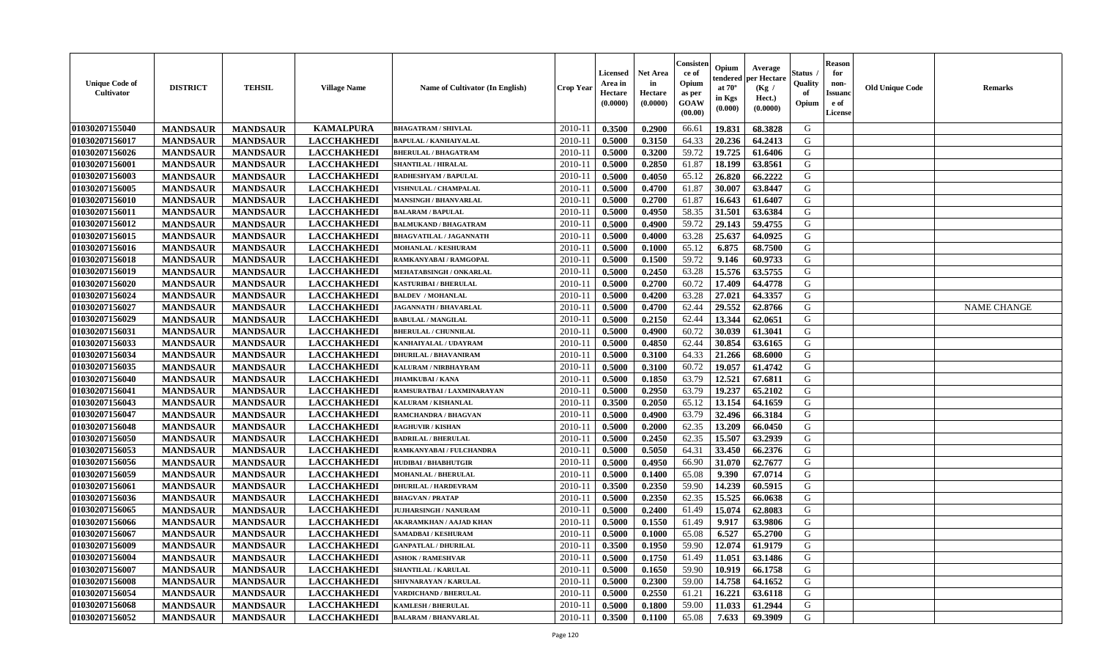| <b>Unique Code of</b><br><b>Cultivator</b> | <b>DISTRICT</b> | <b>TEHSIL</b>   | <b>Village Name</b> | Name of Cultivator (In English) | <b>Crop Year</b> | Licensed<br>Area in<br>Hectare<br>(0.0000) | <b>Net Area</b><br>in<br>Hectare<br>(0.0000) | Consisteı<br>ce of<br>Opium<br>as per<br>GOAW<br>(00.00) | Opium<br>endered<br>at $70^\circ$<br>in Kgs<br>(0.000) | Average<br>per Hectare<br>(Kg /<br>Hect.)<br>(0.0000) | Status<br>Quality<br>of<br>Opium | <b>Reason</b><br>for<br>non-<br>Issuano<br>e of<br>License | <b>Old Unique Code</b> | Remarks            |
|--------------------------------------------|-----------------|-----------------|---------------------|---------------------------------|------------------|--------------------------------------------|----------------------------------------------|----------------------------------------------------------|--------------------------------------------------------|-------------------------------------------------------|----------------------------------|------------------------------------------------------------|------------------------|--------------------|
| 01030207155040                             | <b>MANDSAUR</b> | <b>MANDSAUR</b> | <b>KAMALPURA</b>    | <b>BHAGATRAM / SHIVLAL</b>      | 2010-11          | 0.3500                                     | 0.2900                                       | 66.61                                                    | 19.831                                                 | 68.3828                                               | G                                |                                                            |                        |                    |
| 01030207156017                             | <b>MANDSAUR</b> | <b>MANDSAUR</b> | <b>LACCHAKHEDI</b>  | <b>BAPULAL / KANHAIYALAL</b>    | 2010-11          | 0.5000                                     | 0.3150                                       | 64.33                                                    | 20.236                                                 | 64.2413                                               | G                                |                                                            |                        |                    |
| 01030207156026                             | <b>MANDSAUR</b> | <b>MANDSAUR</b> | <b>LACCHAKHEDI</b>  | <b>BHERULAL / BHAGATRAM</b>     | 2010-11          | 0.5000                                     | 0.3200                                       | 59.72                                                    | 19.725                                                 | 61.6406                                               | G                                |                                                            |                        |                    |
| 01030207156001                             | <b>MANDSAUR</b> | <b>MANDSAUR</b> | <b>LACCHAKHEDI</b>  | <b>SHANTILAL / HIRALAL</b>      | 2010-11          | 0.5000                                     | 0.2850                                       | 61.87                                                    | 18.199                                                 | 63.8561                                               | G                                |                                                            |                        |                    |
| 01030207156003                             | <b>MANDSAUR</b> | <b>MANDSAUR</b> | <b>LACCHAKHEDI</b>  | RADHESHYAM / BAPULAL            | 2010-11          | 0.5000                                     | 0.4050                                       | 65.12                                                    | 26.820                                                 | 66.2222                                               | G                                |                                                            |                        |                    |
| 01030207156005                             | <b>MANDSAUR</b> | <b>MANDSAUR</b> | <b>LACCHAKHEDI</b>  | <b>VISHNULAL / CHAMPALAL</b>    | 2010-11          | 0.5000                                     | 0.4700                                       | 61.87                                                    | 30.007                                                 | 63.8447                                               | G                                |                                                            |                        |                    |
| 01030207156010                             | <b>MANDSAUR</b> | <b>MANDSAUR</b> | <b>LACCHAKHEDI</b>  | <b>MANSINGH / BHANVARLAL</b>    | $2010 - 11$      | 0.5000                                     | 0.2700                                       | 61.87                                                    | 16.643                                                 | 61.6407                                               | G                                |                                                            |                        |                    |
| 01030207156011                             | <b>MANDSAUR</b> | <b>MANDSAUR</b> | <b>LACCHAKHEDI</b>  | <b>BALARAM / BAPULAL</b>        | 2010-11          | 0.5000                                     | 0.4950                                       | 58.35                                                    | 31.501                                                 | 63.6384                                               | G                                |                                                            |                        |                    |
| 01030207156012                             | <b>MANDSAUR</b> | <b>MANDSAUR</b> | <b>LACCHAKHEDI</b>  | <b>BALMUKAND / BHAGATRAM</b>    | 2010-11          | 0.5000                                     | 0.4900                                       | 59.72                                                    | 29.143                                                 | 59.4755                                               | G                                |                                                            |                        |                    |
| 01030207156015                             | <b>MANDSAUR</b> | <b>MANDSAUR</b> | <b>LACCHAKHEDI</b>  | <b>BHAGVATILAL / JAGANNATH</b>  | 2010-11          | 0.5000                                     | 0.4000                                       | 63.28                                                    | 25.637                                                 | 64.0925                                               | G                                |                                                            |                        |                    |
| 01030207156016                             | <b>MANDSAUR</b> | <b>MANDSAUR</b> | <b>LACCHAKHEDI</b>  | MOHANLAL / KESHURAM             | 2010-11          | 0.5000                                     | 0.1000                                       | 65.12                                                    | 6.875                                                  | 68.7500                                               | G                                |                                                            |                        |                    |
| 01030207156018                             | <b>MANDSAUR</b> | <b>MANDSAUR</b> | <b>LACCHAKHEDI</b>  | RAMKANYABAI / RAMGOPAL          | 2010-11          | 0.5000                                     | 0.1500                                       | 59.72                                                    | 9.146                                                  | 60.9733                                               | G                                |                                                            |                        |                    |
| 01030207156019                             | <b>MANDSAUR</b> | <b>MANDSAUR</b> | <b>LACCHAKHEDI</b>  | MEHATABSINGH / ONKARLAL         | 2010-11          | 0.5000                                     | 0.2450                                       | 63.28                                                    | 15.576                                                 | 63.5755                                               | G                                |                                                            |                        |                    |
| 01030207156020                             | <b>MANDSAUR</b> | <b>MANDSAUR</b> | <b>LACCHAKHEDI</b>  | KASTURIBAI / BHERULAL           | 2010-11          | 0.5000                                     | 0.2700                                       | 60.72                                                    | 17.409                                                 | 64.4778                                               | G                                |                                                            |                        |                    |
| 01030207156024                             | <b>MANDSAUR</b> | <b>MANDSAUR</b> | <b>LACCHAKHEDI</b>  | <b>BALDEV / MOHANLAL</b>        | 2010-11          | 0.5000                                     | 0.4200                                       | 63.28                                                    | 27.021                                                 | 64.3357                                               | ${\bf G}$                        |                                                            |                        |                    |
| 01030207156027                             | <b>MANDSAUR</b> | <b>MANDSAUR</b> | <b>LACCHAKHEDI</b>  | <b>JAGANNATH / BHAVARLAL</b>    | 2010-11          | 0.5000                                     | 0.4700                                       | 62.44                                                    | 29.552                                                 | 62.8766                                               | G                                |                                                            |                        | <b>NAME CHANGE</b> |
| 01030207156029                             | <b>MANDSAUR</b> | <b>MANDSAUR</b> | <b>LACCHAKHEDI</b>  | <b>BABULAL / MANGILAL</b>       | 2010-11          | 0.5000                                     | 0.2150                                       | 62.44                                                    | 13.344                                                 | 62.0651                                               | G                                |                                                            |                        |                    |
| 01030207156031                             | <b>MANDSAUR</b> | <b>MANDSAUR</b> | <b>LACCHAKHEDI</b>  | <b>BHERULAL / CHUNNILAL</b>     | 2010-11          | 0.5000                                     | 0.4900                                       | 60.72                                                    | 30.039                                                 | 61.3041                                               | G                                |                                                            |                        |                    |
| 01030207156033                             | <b>MANDSAUR</b> | <b>MANDSAUR</b> | <b>LACCHAKHEDI</b>  | KANHAIYALAL / UDAYRAM           | 2010-11          | 0.5000                                     | 0.4850                                       | 62.44                                                    | 30.854                                                 | 63.6165                                               | G                                |                                                            |                        |                    |
| 01030207156034                             | <b>MANDSAUR</b> | <b>MANDSAUR</b> | <b>LACCHAKHEDI</b>  | <b>DHURILAL / BHAVANIRAM</b>    | 2010-11          | 0.5000                                     | 0.3100                                       | 64.33                                                    | 21.266                                                 | 68.6000                                               | G                                |                                                            |                        |                    |
| 01030207156035                             | <b>MANDSAUR</b> | <b>MANDSAUR</b> | <b>LACCHAKHEDI</b>  | KALURAM / NIRBHAYRAM            | 2010-11          | 0.5000                                     | 0.3100                                       | 60.72                                                    | 19.057                                                 | 61.4742                                               | G                                |                                                            |                        |                    |
| 01030207156040                             | <b>MANDSAUR</b> | <b>MANDSAUR</b> | <b>LACCHAKHEDI</b>  | <b>JHAMKUBAI/KANA</b>           | 2010-11          | 0.5000                                     | 0.1850                                       | 63.79                                                    | 12.521                                                 | 67.6811                                               | G                                |                                                            |                        |                    |
| 01030207156041                             | <b>MANDSAUR</b> | <b>MANDSAUR</b> | <b>LACCHAKHEDI</b>  | RAMSURATBAI / LAXMINARAYAN      | 2010-11          | 0.5000                                     | 0.2950                                       | 63.79                                                    | 19.237                                                 | 65.2102                                               | G                                |                                                            |                        |                    |
| 01030207156043                             | <b>MANDSAUR</b> | <b>MANDSAUR</b> | <b>LACCHAKHEDI</b>  | KALURAM / KISHANLAL             | 2010-11          | 0.3500                                     | 0.2050                                       | 65.12                                                    | 13.154                                                 | 64.1659                                               | G                                |                                                            |                        |                    |
| 01030207156047                             | <b>MANDSAUR</b> | <b>MANDSAUR</b> | <b>LACCHAKHEDI</b>  | RAMCHANDRA / BHAGVAN            | 2010-11          | 0.5000                                     | 0.4900                                       | 63.79                                                    | 32.496                                                 | 66.3184                                               | G                                |                                                            |                        |                    |
| 01030207156048                             | <b>MANDSAUR</b> | <b>MANDSAUR</b> | <b>LACCHAKHEDI</b>  | <b>RAGHUVIR / KISHAN</b>        | 2010-11          | 0.5000                                     | 0.2000                                       | 62.35                                                    | 13.209                                                 | 66.0450                                               | G                                |                                                            |                        |                    |
| 01030207156050                             | <b>MANDSAUR</b> | <b>MANDSAUR</b> | <b>LACCHAKHEDI</b>  | <b>BADRILAL / BHERULAL</b>      | 2010-11          | 0.5000                                     | 0.2450                                       | 62.35                                                    | 15.507                                                 | 63.2939                                               | G                                |                                                            |                        |                    |
| 01030207156053                             | <b>MANDSAUR</b> | <b>MANDSAUR</b> | <b>LACCHAKHEDI</b>  | RAMKANYABAI / FULCHANDRA        | 2010-11          | 0.5000                                     | 0.5050                                       | 64.31                                                    | 33.450                                                 | 66.2376                                               | G                                |                                                            |                        |                    |
| 01030207156056                             | <b>MANDSAUR</b> | <b>MANDSAUR</b> | <b>LACCHAKHEDI</b>  | <b>HUDIBAI/BHABHUTGIR</b>       | 2010-11          | 0.5000                                     | 0.4950                                       | 66.90                                                    | 31.070                                                 | 62.7677                                               | G                                |                                                            |                        |                    |
| 01030207156059                             | <b>MANDSAUR</b> | <b>MANDSAUR</b> | <b>LACCHAKHEDI</b>  | <b>MOHANLAL / BHERULAL</b>      | 2010-11          | 0.5000                                     | 0.1400                                       | 65.08                                                    | 9.390                                                  | 67.0714                                               | G                                |                                                            |                        |                    |
| 01030207156061                             | <b>MANDSAUR</b> | <b>MANDSAUR</b> | <b>LACCHAKHEDI</b>  | <b>DHURILAL / HARDEVRAM</b>     | 2010-11          | 0.3500                                     | 0.2350                                       | 59.90                                                    | 14.239                                                 | 60.5915                                               | G                                |                                                            |                        |                    |
| 01030207156036                             | <b>MANDSAUR</b> | <b>MANDSAUR</b> | <b>LACCHAKHEDI</b>  | <b>BHAGVAN / PRATAP</b>         | 2010-11          | 0.5000                                     | 0.2350                                       | 62.35                                                    | 15.525                                                 | 66.0638                                               | G                                |                                                            |                        |                    |
| 01030207156065                             | <b>MANDSAUR</b> | <b>MANDSAUR</b> | <b>LACCHAKHEDI</b>  | <b>JUJHARSINGH / NANURAM</b>    | 2010-11          | 0.5000                                     | 0.2400                                       | 61.49                                                    | 15.074                                                 | 62.8083                                               | G                                |                                                            |                        |                    |
| 01030207156066                             | <b>MANDSAUR</b> | <b>MANDSAUR</b> | <b>LACCHAKHEDI</b>  | <b>AKARAMKHAN / AAJAD KHAN</b>  | 2010-11          | 0.5000                                     | 0.1550                                       | 61.49                                                    | 9.917                                                  | 63.9806                                               | G                                |                                                            |                        |                    |
| 01030207156067                             | <b>MANDSAUR</b> | <b>MANDSAUR</b> | <b>LACCHAKHEDI</b>  | SAMADBAI / KESHURAM             | 2010-11          | 0.5000                                     | 0.1000                                       | 65.08                                                    | 6.527                                                  | 65.2700                                               | G                                |                                                            |                        |                    |
| 01030207156009                             | <b>MANDSAUR</b> | <b>MANDSAUR</b> | <b>LACCHAKHEDI</b>  | <b>GANPATLAL / DHURILAL</b>     | 2010-11          | 0.3500                                     | 0.1950                                       | 59.90                                                    | 12.074                                                 | 61.9179                                               | G                                |                                                            |                        |                    |
| 01030207156004                             | <b>MANDSAUR</b> | <b>MANDSAUR</b> | <b>LACCHAKHEDI</b>  | <b>ASHOK / RAMESHVAR</b>        | 2010-11          | 0.5000                                     | 0.1750                                       | 61.49                                                    | 11.051                                                 | 63.1486                                               | G                                |                                                            |                        |                    |
| 01030207156007                             | <b>MANDSAUR</b> | <b>MANDSAUR</b> | <b>LACCHAKHEDI</b>  | <b>SHANTILAL / KARULAL</b>      | 2010-11          | 0.5000                                     | 0.1650                                       | 59.90                                                    | 10.919                                                 | 66.1758                                               | G                                |                                                            |                        |                    |
| 01030207156008                             | <b>MANDSAUR</b> | <b>MANDSAUR</b> | <b>LACCHAKHEDI</b>  | SHIVNARAYAN / KARULAL           | $2010 - 11$      | 0.5000                                     | 0.2300                                       | 59.00                                                    | 14.758                                                 | 64.1652                                               | G                                |                                                            |                        |                    |
| 01030207156054                             | <b>MANDSAUR</b> | <b>MANDSAUR</b> | <b>LACCHAKHEDI</b>  | <b>ARDICHAND / BHERULAL</b>     | $2010 - 11$      | 0.5000                                     | 0.2550                                       | 61.21                                                    | 16.221                                                 | 63.6118                                               | ${\bf G}$                        |                                                            |                        |                    |
| 01030207156068                             | <b>MANDSAUR</b> | <b>MANDSAUR</b> | <b>LACCHAKHEDI</b>  | <b>KAMLESH / BHERULAL</b>       | 2010-11          | 0.5000                                     | 0.1800                                       | 59.00                                                    | 11.033                                                 | 61.2944                                               | G                                |                                                            |                        |                    |
| 01030207156052                             | <b>MANDSAUR</b> | <b>MANDSAUR</b> | <b>LACCHAKHEDI</b>  | <b>BALARAM / BHANVARLAL</b>     | 2010-11          | 0.3500                                     | 0.1100                                       | 65.08                                                    | 7.633                                                  | 69.3909                                               | G                                |                                                            |                        |                    |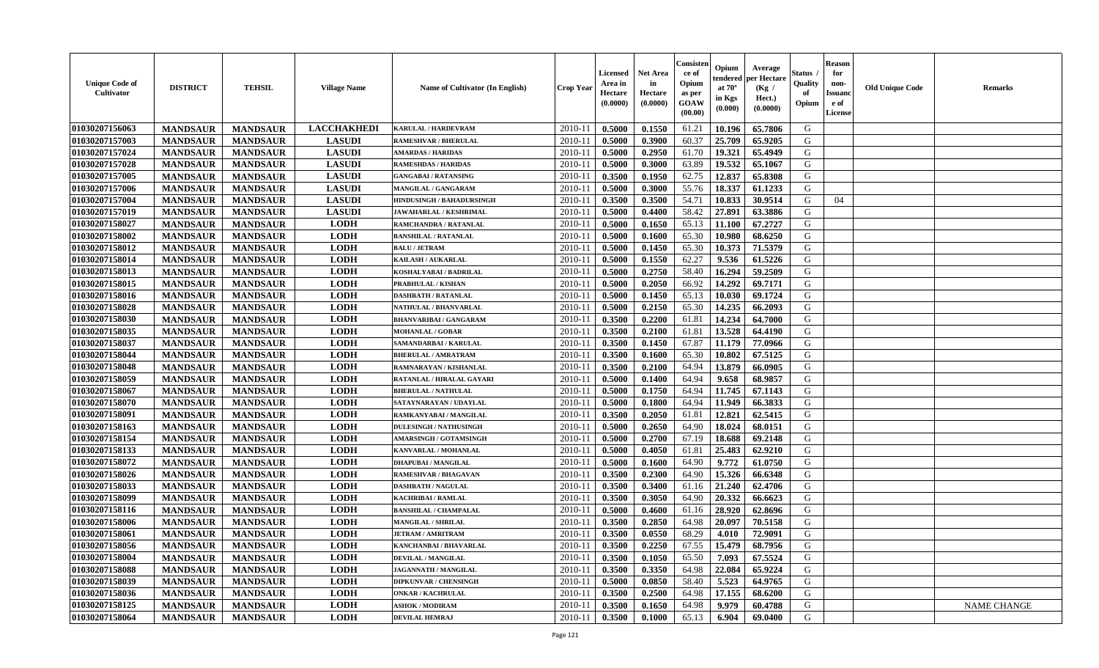| <b>Unique Code of</b><br><b>Cultivator</b> | <b>DISTRICT</b> | <b>TEHSIL</b>   | <b>Village Name</b> | Name of Cultivator (In English) | <b>Crop Year</b> | <b>Licensed</b><br>Area in<br>Hectare<br>(0.0000) | <b>Net Area</b><br>in<br>Hectare<br>(0.0000) | Consister<br>ce of<br>Opium<br>as per<br>GOAW<br>(00.00) | Opium<br>endered<br>at $70^\circ$<br>in Kgs<br>(0.000) | Average<br>per Hectare<br>(Kg /<br>Hect.)<br>(0.0000) | Status<br>Quality<br>of<br>Opium | <b>Reason</b><br>for<br>non-<br><b>Issuand</b><br>e of<br>License | <b>Old Unique Code</b> | <b>Remarks</b>     |
|--------------------------------------------|-----------------|-----------------|---------------------|---------------------------------|------------------|---------------------------------------------------|----------------------------------------------|----------------------------------------------------------|--------------------------------------------------------|-------------------------------------------------------|----------------------------------|-------------------------------------------------------------------|------------------------|--------------------|
| 01030207156063                             | <b>MANDSAUR</b> | <b>MANDSAUR</b> | <b>LACCHAKHEDI</b>  | KARULAL / HARDEVRAM             | 2010-11          | 0.5000                                            | 0.1550                                       | 61.21                                                    | 10.196                                                 | 65.7806                                               | G                                |                                                                   |                        |                    |
| 01030207157003                             | <b>MANDSAUR</b> | <b>MANDSAUR</b> | <b>LASUDI</b>       | <b>RAMESHVAR / BHERULAL</b>     | 2010-11          | 0.5000                                            | 0.3900                                       | 60.37                                                    | 25.709                                                 | 65.9205                                               | G                                |                                                                   |                        |                    |
| 01030207157024                             | <b>MANDSAUR</b> | <b>MANDSAUR</b> | <b>LASUDI</b>       | <b>AMARDAS / HARIDAS</b>        | 2010-11          | 0.5000                                            | 0.2950                                       | 61.70                                                    | 19.321                                                 | 65.4949                                               | G                                |                                                                   |                        |                    |
| 01030207157028                             | <b>MANDSAUR</b> | <b>MANDSAUR</b> | <b>LASUDI</b>       | <b>RAMESHDAS / HARIDAS</b>      | 2010-11          | 0.5000                                            | 0.3000                                       | 63.89                                                    | 19.532                                                 | 65.1067                                               | G                                |                                                                   |                        |                    |
| 01030207157005                             | <b>MANDSAUR</b> | <b>MANDSAUR</b> | <b>LASUDI</b>       | <b>GANGABAI/RATANSING</b>       | 2010-11          | 0.3500                                            | 0.1950                                       | 62.75                                                    | 12.837                                                 | 65.8308                                               | G                                |                                                                   |                        |                    |
| 01030207157006                             | <b>MANDSAUR</b> | <b>MANDSAUR</b> | <b>LASUDI</b>       | <b>MANGILAL / GANGARAM</b>      | 2010-11          | 0.5000                                            | 0.3000                                       | 55.76                                                    | 18.337                                                 | 61.1233                                               | G                                |                                                                   |                        |                    |
| 01030207157004                             | <b>MANDSAUR</b> | <b>MANDSAUR</b> | <b>LASUDI</b>       | HINDUSINGH / BAHADURSINGH       | 2010-11          | 0.3500                                            | 0.3500                                       | 54.71                                                    | 10.833                                                 | 30.9514                                               | G                                | 04                                                                |                        |                    |
| 01030207157019                             | <b>MANDSAUR</b> | <b>MANDSAUR</b> | <b>LASUDI</b>       | <b>JAWAHARLAL / KESHRIMAL</b>   | 2010-11          | 0.5000                                            | 0.4400                                       | 58.42                                                    | 27.891                                                 | 63.3886                                               | G                                |                                                                   |                        |                    |
| 01030207158027                             | <b>MANDSAUR</b> | <b>MANDSAUR</b> | <b>LODH</b>         | RAMCHANDRA / RATANLAL           | 2010-11          | 0.5000                                            | 0.1650                                       | 65.13                                                    | 11.100                                                 | 67.2727                                               | G                                |                                                                   |                        |                    |
| 01030207158002                             | <b>MANDSAUR</b> | <b>MANDSAUR</b> | <b>LODH</b>         | <b>BANSHILAL / RATANLAL</b>     | 2010-11          | 0.5000                                            | 0.1600                                       | 65.30                                                    | 10.980                                                 | 68.6250                                               | G                                |                                                                   |                        |                    |
| 01030207158012                             | <b>MANDSAUR</b> | <b>MANDSAUR</b> | <b>LODH</b>         | <b>BALU / JETRAM</b>            | 2010-11          | 0.5000                                            | 0.1450                                       | 65.30                                                    | 10.373                                                 | 71.5379                                               | $\mathbf G$                      |                                                                   |                        |                    |
| 01030207158014                             | <b>MANDSAUR</b> | <b>MANDSAUR</b> | <b>LODH</b>         | <b>KAILASH / AUKARLAL</b>       | 2010-11          | 0.5000                                            | 0.1550                                       | 62.27                                                    | 9.536                                                  | 61.5226                                               | G                                |                                                                   |                        |                    |
| 01030207158013                             | <b>MANDSAUR</b> | <b>MANDSAUR</b> | <b>LODH</b>         | KOSHALYABAI / BADRILAL          | 2010-11          | 0.5000                                            | 0.2750                                       | 58.40                                                    | 16.294                                                 | 59.2509                                               | G                                |                                                                   |                        |                    |
| 01030207158015                             | <b>MANDSAUR</b> | <b>MANDSAUR</b> | <b>LODH</b>         | <b>PRABHULAL / KISHAN</b>       | $2010 - 11$      | 0.5000                                            | 0.2050                                       | 66.92                                                    | 14.292                                                 | 69.7171                                               | G                                |                                                                   |                        |                    |
| 01030207158016                             | <b>MANDSAUR</b> | <b>MANDSAUR</b> | <b>LODH</b>         | <b>DASHRATH / RATANLAL</b>      | 2010-11          | 0.5000                                            | 0.1450                                       | 65.13                                                    | 10.030                                                 | 69.1724                                               | G                                |                                                                   |                        |                    |
| 01030207158028                             | <b>MANDSAUR</b> | <b>MANDSAUR</b> | <b>LODH</b>         | NATHULAL / BHANVARLAL           | 2010-11          | 0.5000                                            | 0.2150                                       | 65.30                                                    | 14.235                                                 | 66.2093                                               | G                                |                                                                   |                        |                    |
| 01030207158030                             | <b>MANDSAUR</b> | <b>MANDSAUR</b> | <b>LODH</b>         | <b>BHANVARIBAI / GANGARAM</b>   | 2010-11          | 0.3500                                            | 0.2200                                       | 61.81                                                    | 14.234                                                 | 64.7000                                               | G                                |                                                                   |                        |                    |
| 01030207158035                             | <b>MANDSAUR</b> | <b>MANDSAUR</b> | <b>LODH</b>         | <b>MOHANLAL / GOBAR</b>         | 2010-11          | 0.3500                                            | 0.2100                                       | 61.81                                                    | 13.528                                                 | 64.4190                                               | G                                |                                                                   |                        |                    |
| 01030207158037                             | <b>MANDSAUR</b> | <b>MANDSAUR</b> | <b>LODH</b>         | SAMANDARBAI / KARULAL           | 2010-11          | 0.3500                                            | 0.1450                                       | 67.87                                                    | 11.179                                                 | 77.0966                                               | G                                |                                                                   |                        |                    |
| 01030207158044                             | <b>MANDSAUR</b> | <b>MANDSAUR</b> | <b>LODH</b>         | <b>BHERULAL / AMRATRAM</b>      | 2010-11          | 0.3500                                            | 0.1600                                       | 65.30                                                    | 10.802                                                 | 67.5125                                               | G                                |                                                                   |                        |                    |
| 01030207158048                             | <b>MANDSAUR</b> | <b>MANDSAUR</b> | <b>LODH</b>         | RAMNARAYAN / KISHANLAL          | 2010-11          | 0.3500                                            | 0.2100                                       | 64.94                                                    | 13.879                                                 | 66.0905                                               | G                                |                                                                   |                        |                    |
| 01030207158059                             | <b>MANDSAUR</b> | <b>MANDSAUR</b> | <b>LODH</b>         | RATANLAL / HIRALAL GAYARI       | $2010 - 11$      | 0.5000                                            | 0.1400                                       | 64.94                                                    | 9.658                                                  | 68.9857                                               | G                                |                                                                   |                        |                    |
| 01030207158067                             | <b>MANDSAUR</b> | <b>MANDSAUR</b> | <b>LODH</b>         | <b>BHERULAL / NATHULAL</b>      | $2010 - 11$      | 0.5000                                            | 0.1750                                       | 64.94                                                    | 11.745                                                 | 67.1143                                               | G                                |                                                                   |                        |                    |
| 01030207158070                             | <b>MANDSAUR</b> | <b>MANDSAUR</b> | <b>LODH</b>         | SATAYNARAYAN / UDAYLAL          | 2010-11          | 0.5000                                            | 0.1800                                       | 64.94                                                    | 11.949                                                 | 66.3833                                               | G                                |                                                                   |                        |                    |
| 01030207158091                             | <b>MANDSAUR</b> | <b>MANDSAUR</b> | <b>LODH</b>         | RAMKANYABAI / MANGILAL          | 2010-11          | 0.3500                                            | 0.2050                                       | 61.81                                                    | 12.821                                                 | 62.5415                                               | G                                |                                                                   |                        |                    |
| 01030207158163                             | <b>MANDSAUR</b> | <b>MANDSAUR</b> | <b>LODH</b>         | <b>DULESINGH / NATHUSINGH</b>   | 2010-11          | 0.5000                                            | 0.2650                                       | 64.90                                                    | 18.024                                                 | 68.0151                                               | G                                |                                                                   |                        |                    |
| 01030207158154                             | <b>MANDSAUR</b> | <b>MANDSAUR</b> | <b>LODH</b>         | <b>AMARSINGH / GOTAMSINGH</b>   | 2010-11          | 0.5000                                            | 0.2700                                       | 67.19                                                    | 18.688                                                 | 69.2148                                               | G                                |                                                                   |                        |                    |
| 01030207158133                             | <b>MANDSAUR</b> | <b>MANDSAUR</b> | <b>LODH</b>         | <b>KANVARLAL / MOHANLAL</b>     | 2010-11          | 0.5000                                            | 0.4050                                       | 61.81                                                    | 25.483                                                 | 62.9210                                               | G                                |                                                                   |                        |                    |
| 01030207158072                             | <b>MANDSAUR</b> | <b>MANDSAUR</b> | <b>LODH</b>         | <b>DHAPUBAI/MANGILAL</b>        | 2010-11          | 0.5000                                            | 0.1600                                       | 64.90                                                    | 9.772                                                  | 61.0750                                               | G                                |                                                                   |                        |                    |
| 01030207158026                             | <b>MANDSAUR</b> | <b>MANDSAUR</b> | <b>LODH</b>         | <b>RAMESHVAR / BHAGAVAN</b>     | 2010-11          | 0.3500                                            | 0.2300                                       | 64.90                                                    | 15.326                                                 | 66.6348                                               | G                                |                                                                   |                        |                    |
| 01030207158033                             | <b>MANDSAUR</b> | <b>MANDSAUR</b> | <b>LODH</b>         | <b>DASHRATH / NAGULAL</b>       | $2010 - 1$       | 0.3500                                            | 0.3400                                       | 61.16                                                    | 21.240                                                 | 62.4706                                               | ${\bf G}$                        |                                                                   |                        |                    |
| 01030207158099                             | <b>MANDSAUR</b> | <b>MANDSAUR</b> | <b>LODH</b>         | <b>KACHRIBAI/RAMLAL</b>         | 2010-11          | 0.3500                                            | 0.3050                                       | 64.90                                                    | 20.332                                                 | 66.6623                                               | G                                |                                                                   |                        |                    |
| 01030207158116                             | <b>MANDSAUR</b> | <b>MANDSAUR</b> | <b>LODH</b>         | <b>BANSHILAL / CHAMPALAL</b>    | 2010-11          | 0.5000                                            | 0.4600                                       | 61.16                                                    | 28.920                                                 | 62.8696                                               | G                                |                                                                   |                        |                    |
| 01030207158006                             | <b>MANDSAUR</b> | <b>MANDSAUR</b> | <b>LODH</b>         | <b>MANGILAL / SHRILAL</b>       | 2010-11          | 0.3500                                            | 0.2850                                       | 64.98                                                    | 20.097                                                 | 70.5158                                               | G                                |                                                                   |                        |                    |
| 01030207158061                             | <b>MANDSAUR</b> | <b>MANDSAUR</b> | <b>LODH</b>         | <b>JETRAM / AMRITRAM</b>        | 2010-11          | 0.3500                                            | 0.0550                                       | 68.29                                                    | 4.010                                                  | 72.9091                                               | G                                |                                                                   |                        |                    |
| 01030207158056                             | <b>MANDSAUR</b> | <b>MANDSAUR</b> | <b>LODH</b>         | <b>KANCHANBAI / BHAVARLAL</b>   | 2010-11          | 0.3500                                            | 0.2250                                       | 67.55                                                    | 15.479                                                 | 68.7956                                               | G                                |                                                                   |                        |                    |
| 01030207158004                             | <b>MANDSAUR</b> | <b>MANDSAUR</b> | <b>LODH</b>         | <b>DEVILAL / MANGILAL</b>       | 2010-11          | 0.3500                                            | 0.1050                                       | 65.50                                                    | 7.093                                                  | 67.5524                                               | G                                |                                                                   |                        |                    |
| 01030207158088                             | <b>MANDSAUR</b> | <b>MANDSAUR</b> | <b>LODH</b>         | <b>JAGANNATH / MANGILAL</b>     | 2010-11          | 0.3500                                            | 0.3350                                       | 64.98                                                    | 22.084                                                 | 65.9224                                               | G                                |                                                                   |                        |                    |
| 01030207158039                             | <b>MANDSAUR</b> | <b>MANDSAUR</b> | <b>LODH</b>         | <b>DIPKUNVAR / CHENSINGH</b>    | $2010 - 11$      | 0.5000                                            | 0.0850                                       | 58.40                                                    | 5.523                                                  | 64.9765                                               | G                                |                                                                   |                        |                    |
| 01030207158036                             | <b>MANDSAUR</b> | <b>MANDSAUR</b> | <b>LODH</b>         | <b>ONKAR / KACHRULAL</b>        | $2010 - 11$      | 0.3500                                            | 0.2500                                       | 64.98                                                    | 17.155                                                 | 68.6200                                               | G                                |                                                                   |                        |                    |
| 01030207158125                             | <b>MANDSAUR</b> | <b>MANDSAUR</b> | <b>LODH</b>         | <b>ASHOK / MODIRAM</b>          | 2010-11          | 0.3500                                            | 0.1650                                       | 64.98                                                    | 9.979                                                  | 60.4788                                               | G                                |                                                                   |                        | <b>NAME CHANGE</b> |
| 01030207158064                             | <b>MANDSAUR</b> | <b>MANDSAUR</b> | <b>LODH</b>         | <b>DEVILAL HEMRAJ</b>           | 2010-11          | 0.3500                                            | 0.1000                                       | 65.13                                                    | 6.904                                                  | 69.0400                                               | G                                |                                                                   |                        |                    |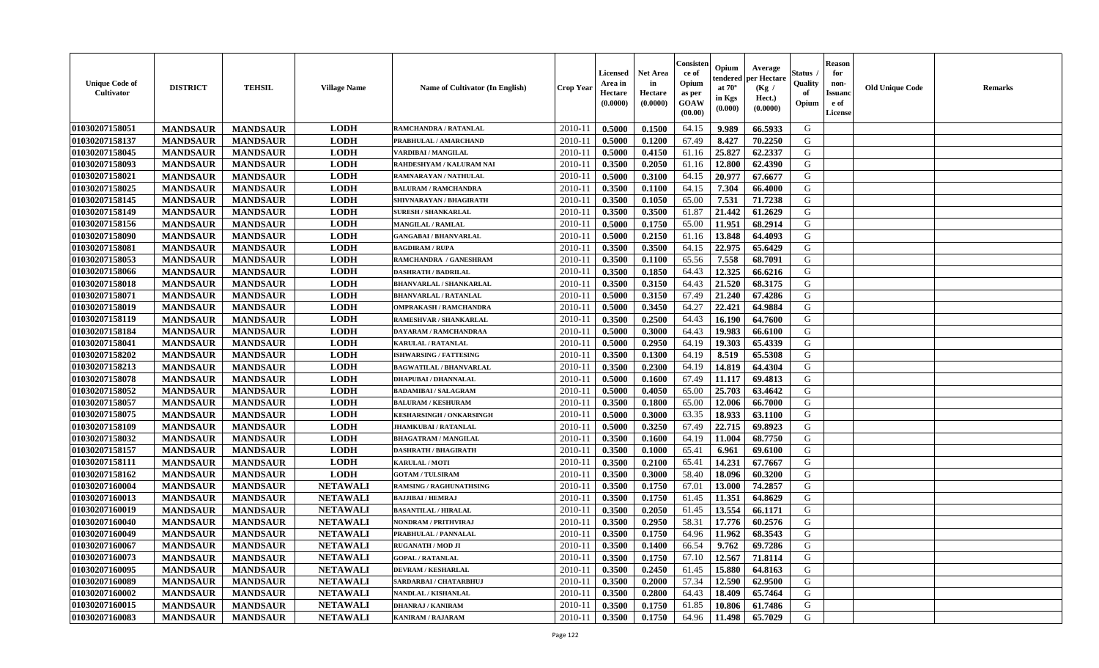| <b>Unique Code of</b><br><b>Cultivator</b> | <b>DISTRICT</b> | <b>TEHSIL</b>   | <b>Village Name</b> | Name of Cultivator (In English) | <b>Crop Year</b> | <b>Licensed</b><br>Area in<br>Hectare<br>(0.0000) | <b>Net Area</b><br>in<br>Hectare<br>(0.0000) | Consisteı<br>ce of<br>Opium<br>as per<br>GOAW<br>(00.00) | Opium<br>endered<br>at $70^\circ$<br>in Kgs<br>(0.000) | Average<br>per Hectare<br>(Kg /<br>Hect.)<br>(0.0000) | Status<br>Quality<br>of<br>Opium | <b>Reason</b><br>for<br>non-<br><b>Issuand</b><br>e of<br><b>License</b> | <b>Old Unique Code</b> | <b>Remarks</b> |
|--------------------------------------------|-----------------|-----------------|---------------------|---------------------------------|------------------|---------------------------------------------------|----------------------------------------------|----------------------------------------------------------|--------------------------------------------------------|-------------------------------------------------------|----------------------------------|--------------------------------------------------------------------------|------------------------|----------------|
| 01030207158051                             | <b>MANDSAUR</b> | <b>MANDSAUR</b> | <b>LODH</b>         | RAMCHANDRA / RATANLAL           | 2010-11          | 0.5000                                            | 0.1500                                       | 64.15                                                    | 9.989                                                  | 66.5933                                               | G                                |                                                                          |                        |                |
| 01030207158137                             | <b>MANDSAUR</b> | <b>MANDSAUR</b> | <b>LODH</b>         | PRABHULAL / AMARCHAND           | 2010-11          | 0.5000                                            | 0.1200                                       | 67.49                                                    | 8.427                                                  | 70.2250                                               | G                                |                                                                          |                        |                |
| 01030207158045                             | <b>MANDSAUR</b> | <b>MANDSAUR</b> | <b>LODH</b>         | VARDIBAI / MANGILAL             | 2010-11          | 0.5000                                            | 0.4150                                       | 61.16                                                    | 25.827                                                 | 62.2337                                               | G                                |                                                                          |                        |                |
| 01030207158093                             | <b>MANDSAUR</b> | <b>MANDSAUR</b> | <b>LODH</b>         | RAHDESHYAM / KALURAM NAI        | 2010-11          | 0.3500                                            | 0.2050                                       | 61.16                                                    | 12.800                                                 | 62.4390                                               | G                                |                                                                          |                        |                |
| 01030207158021                             | <b>MANDSAUR</b> | <b>MANDSAUR</b> | <b>LODH</b>         | RAMNARAYAN / NATHULAL           | 2010-11          | 0.5000                                            | 0.3100                                       | 64.15                                                    | 20.977                                                 | 67.6677                                               | G                                |                                                                          |                        |                |
| 01030207158025                             | <b>MANDSAUR</b> | <b>MANDSAUR</b> | <b>LODH</b>         | <b>BALURAM / RAMCHANDRA</b>     | $2010 - 11$      | 0.3500                                            | 0.1100                                       | 64.15                                                    | 7.304                                                  | 66.4000                                               | G                                |                                                                          |                        |                |
| 01030207158145                             | <b>MANDSAUR</b> | <b>MANDSAUR</b> | <b>LODH</b>         | SHIVNARAYAN / BHAGIRATH         | 2010-11          | 0.3500                                            | 0.1050                                       | 65.00                                                    | 7.531                                                  | 71.7238                                               | G                                |                                                                          |                        |                |
| 01030207158149                             | <b>MANDSAUR</b> | <b>MANDSAUR</b> | <b>LODH</b>         | <b>SURESH / SHANKARLAL</b>      | 2010-11          | 0.3500                                            | 0.3500                                       | 61.87                                                    | 21.442                                                 | 61.2629                                               | G                                |                                                                          |                        |                |
| 01030207158156                             | <b>MANDSAUR</b> | <b>MANDSAUR</b> | <b>LODH</b>         | <b>MANGILAL / RAMLAL</b>        | 2010-11          | 0.5000                                            | 0.1750                                       | 65.00                                                    | 11.951                                                 | 68.2914                                               | G                                |                                                                          |                        |                |
| 01030207158090                             | <b>MANDSAUR</b> | <b>MANDSAUR</b> | <b>LODH</b>         | <b>GANGABAI / BHANVARLAL</b>    | 2010-11          | 0.5000                                            | 0.2150                                       | 61.16                                                    | 13.848                                                 | 64.4093                                               | G                                |                                                                          |                        |                |
| 01030207158081                             | <b>MANDSAUR</b> | <b>MANDSAUR</b> | <b>LODH</b>         | <b>BAGDIRAM / RUPA</b>          | 2010-11          | 0.3500                                            | 0.3500                                       | 64.15                                                    | 22.975                                                 | 65.6429                                               | $\mathbf G$                      |                                                                          |                        |                |
| 01030207158053                             | <b>MANDSAUR</b> | <b>MANDSAUR</b> | <b>LODH</b>         | RAMCHANDRA / GANESHRAM          | 2010-11          | 0.3500                                            | 0.1100                                       | 65.56                                                    | 7.558                                                  | 68.7091                                               | G                                |                                                                          |                        |                |
| 01030207158066                             | <b>MANDSAUR</b> | <b>MANDSAUR</b> | <b>LODH</b>         | <b>DASHRATH / BADRILAL</b>      | 2010-11          | 0.3500                                            | 0.1850                                       | 64.43                                                    | 12.325                                                 | 66.6216                                               | G                                |                                                                          |                        |                |
| 01030207158018                             | <b>MANDSAUR</b> | <b>MANDSAUR</b> | <b>LODH</b>         | <b>BHANVARLAL / SHANKARLAL</b>  | $2010 - 11$      | 0.3500                                            | 0.3150                                       | 64.43                                                    | 21.520                                                 | 68.3175                                               | G                                |                                                                          |                        |                |
| 01030207158071                             | <b>MANDSAUR</b> | <b>MANDSAUR</b> | <b>LODH</b>         | <b>BHANVARLAL / RATANLAL</b>    | 2010-11          | 0.5000                                            | 0.3150                                       | 67.49                                                    | 21.240                                                 | 67.4286                                               | G                                |                                                                          |                        |                |
| 01030207158019                             | <b>MANDSAUR</b> | <b>MANDSAUR</b> | <b>LODH</b>         | <b>OMPRAKASH / RAMCHANDRA</b>   | 2010-11          | 0.5000                                            | 0.3450                                       | 64.27                                                    | 22.421                                                 | 64.9884                                               | G                                |                                                                          |                        |                |
| 01030207158119                             | <b>MANDSAUR</b> | <b>MANDSAUR</b> | <b>LODH</b>         | RAMESHVAR / SHANKARLAL          | 2010-11          | 0.3500                                            | 0.2500                                       | 64.43                                                    | 16.190                                                 | 64.7600                                               | G                                |                                                                          |                        |                |
| 01030207158184                             | <b>MANDSAUR</b> | <b>MANDSAUR</b> | <b>LODH</b>         | DAYARAM / RAMCHANDRAA           | 2010-11          | 0.5000                                            | 0.3000                                       | 64.43                                                    | 19.983                                                 | 66.6100                                               | G                                |                                                                          |                        |                |
| 01030207158041                             | <b>MANDSAUR</b> | <b>MANDSAUR</b> | <b>LODH</b>         | <b>KARULAL / RATANLAL</b>       | 2010-11          | 0.5000                                            | 0.2950                                       | 64.19                                                    | 19.303                                                 | 65.4339                                               | G                                |                                                                          |                        |                |
| 01030207158202                             | <b>MANDSAUR</b> | <b>MANDSAUR</b> | <b>LODH</b>         | <b>ISHWARSING / FATTESING</b>   | 2010-11          | 0.3500                                            | 0.1300                                       | 64.19                                                    | 8.519                                                  | 65.5308                                               | G                                |                                                                          |                        |                |
| 01030207158213                             | <b>MANDSAUR</b> | <b>MANDSAUR</b> | <b>LODH</b>         | <b>BAGWATILAL / BHANVARLAL</b>  | 2010-11          | 0.3500                                            | 0.2300                                       | 64.19                                                    | 14.819                                                 | 64.4304                                               | G                                |                                                                          |                        |                |
| 01030207158078                             | <b>MANDSAUR</b> | <b>MANDSAUR</b> | <b>LODH</b>         | <b>DHAPUBAI / DHANNALAL</b>     | $2010 - 11$      | 0.5000                                            | 0.1600                                       | 67.49                                                    | 11.117                                                 | 69.4813                                               | G                                |                                                                          |                        |                |
| 01030207158052                             | <b>MANDSAUR</b> | <b>MANDSAUR</b> | <b>LODH</b>         | <b>BADAMIBAI / SALAGRAM</b>     | $2010 - 11$      | 0.5000                                            | 0.4050                                       | 65.00                                                    | 25.703                                                 | 63.4642                                               | G                                |                                                                          |                        |                |
| 01030207158057                             | <b>MANDSAUR</b> | <b>MANDSAUR</b> | <b>LODH</b>         | <b>BALURAM / KESHURAM</b>       | 2010-11          | 0.3500                                            | 0.1800                                       | 65.00                                                    | 12.006                                                 | 66.7000                                               | G                                |                                                                          |                        |                |
| 01030207158075                             | <b>MANDSAUR</b> | <b>MANDSAUR</b> | <b>LODH</b>         | <b>KESHARSINGH / ONKARSINGH</b> | 2010-11          | 0.5000                                            | 0.3000                                       | 63.35                                                    | 18.933                                                 | 63.1100                                               | G                                |                                                                          |                        |                |
| 01030207158109                             | <b>MANDSAUR</b> | <b>MANDSAUR</b> | <b>LODH</b>         | <b>JHAMKUBAI / RATANLAL</b>     | 2010-11          | 0.5000                                            | 0.3250                                       | 67.49                                                    | 22.715                                                 | 69.8923                                               | G                                |                                                                          |                        |                |
| 01030207158032                             | <b>MANDSAUR</b> | <b>MANDSAUR</b> | <b>LODH</b>         | <b>BHAGATRAM / MANGILAL</b>     | 2010-11          | 0.3500                                            | 0.1600                                       | 64.19                                                    | 11.004                                                 | 68.7750                                               | G                                |                                                                          |                        |                |
| 01030207158157                             | <b>MANDSAUR</b> | <b>MANDSAUR</b> | <b>LODH</b>         | <b>DASHRATH / BHAGIRATH</b>     | 2010-11          | 0.3500                                            | 0.1000                                       | 65.41                                                    | 6.961                                                  | 69.6100                                               | G                                |                                                                          |                        |                |
| 01030207158111                             | <b>MANDSAUR</b> | <b>MANDSAUR</b> | <b>LODH</b>         | <b>KARULAL / MOTI</b>           | 2010-11          | 0.3500                                            | 0.2100                                       | 65.41                                                    | 14.231                                                 | 67.7667                                               | G                                |                                                                          |                        |                |
| 01030207158162                             | <b>MANDSAUR</b> | <b>MANDSAUR</b> | <b>LODH</b>         | <b>GOTAM / TULSIRAM</b>         | 2010-11          | 0.3500                                            | 0.3000                                       | 58.40                                                    | 18.096                                                 | 60.3200                                               | G                                |                                                                          |                        |                |
| 01030207160004                             | <b>MANDSAUR</b> | <b>MANDSAUR</b> | <b>NETAWALI</b>     | <b>RAMSING / RAGHUNATHSING</b>  | $2010 - 11$      | 0.3500                                            | 0.1750                                       | 67.01                                                    | 13.000                                                 | 74.2857                                               | ${\bf G}$                        |                                                                          |                        |                |
| 01030207160013                             | <b>MANDSAUR</b> | <b>MANDSAUR</b> | <b>NETAWALI</b>     | <b>BAJJIBAI / HEMRAJ</b>        | 2010-11          | 0.3500                                            | 0.1750                                       | 61.45                                                    | 11.351                                                 | 64.8629                                               | G                                |                                                                          |                        |                |
| 01030207160019                             | <b>MANDSAUR</b> | <b>MANDSAUR</b> | <b>NETAWALI</b>     | <b>BASANTILAL / HIRALAL</b>     | 2010-11          | 0.3500                                            | 0.2050                                       | 61.45                                                    | 13.554                                                 | 66.1171                                               | G                                |                                                                          |                        |                |
| 01030207160040                             | <b>MANDSAUR</b> | <b>MANDSAUR</b> | <b>NETAWALI</b>     | <b>NONDRAM / PRITHVIRAJ</b>     | 2010-11          | 0.3500                                            | 0.2950                                       | 58.31                                                    | 17.776                                                 | 60.2576                                               | G                                |                                                                          |                        |                |
| 01030207160049                             | <b>MANDSAUR</b> | <b>MANDSAUR</b> | <b>NETAWALI</b>     | PRABHULAL / PANNALAL            | 2010-11          | 0.3500                                            | 0.1750                                       | 64.96                                                    | 11.962                                                 | 68.3543                                               | G                                |                                                                          |                        |                |
| 01030207160067                             | <b>MANDSAUR</b> | <b>MANDSAUR</b> | <b>NETAWALI</b>     | <b>RUGANATH / MOD JI</b>        | 2010-11          | 0.3500                                            | 0.1400                                       | 66.54                                                    | 9.762                                                  | 69.7286                                               | G                                |                                                                          |                        |                |
| 01030207160073                             | <b>MANDSAUR</b> | <b>MANDSAUR</b> | <b>NETAWALI</b>     | <b>GOPAL / RATANLAL</b>         | 2010-11          | 0.3500                                            | 0.1750                                       | 67.10                                                    | 12.567                                                 | 71.8114                                               | G                                |                                                                          |                        |                |
| 01030207160095                             | <b>MANDSAUR</b> | <b>MANDSAUR</b> | <b>NETAWALI</b>     | <b>DEVRAM / KESHARLAL</b>       | 2010-11          | 0.3500                                            | 0.2450                                       | 61.45                                                    | 15.880                                                 | 64.8163                                               | G                                |                                                                          |                        |                |
| 01030207160089                             | <b>MANDSAUR</b> | <b>MANDSAUR</b> | <b>NETAWALI</b>     | SARDARBAI / CHATARBHUJ          | $2010 - 11$      | 0.3500                                            | 0.2000                                       | 57.34                                                    | 12.590                                                 | 62.9500                                               | G                                |                                                                          |                        |                |
| 01030207160002                             | <b>MANDSAUR</b> | <b>MANDSAUR</b> | <b>NETAWALI</b>     | NANDLAL / KISHANLAL             | $2010 - 11$      | 0.3500                                            | 0.2800                                       | 64.43                                                    | 18.409                                                 | 65.7464                                               | G                                |                                                                          |                        |                |
| 01030207160015                             | <b>MANDSAUR</b> | <b>MANDSAUR</b> | <b>NETAWALI</b>     | <b>DHANRAJ / KANIRAM</b>        | 2010-11          | 0.3500                                            | 0.1750                                       | 61.85                                                    | 10.806                                                 | 61.7486                                               | G                                |                                                                          |                        |                |
| 01030207160083                             | <b>MANDSAUR</b> | <b>MANDSAUR</b> | <b>NETAWALI</b>     | <b>KANIRAM / RAJARAM</b>        | 2010-11          | 0.3500                                            | 0.1750                                       | 64.96                                                    | 11.498                                                 | 65.7029                                               | G                                |                                                                          |                        |                |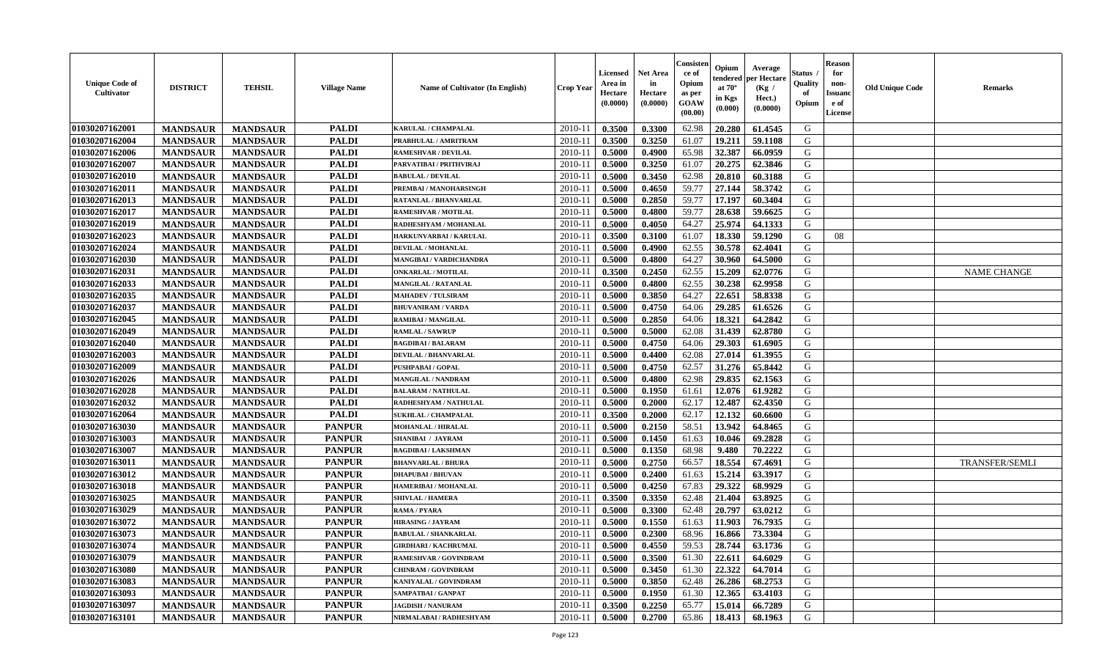| <b>Unique Code of</b><br><b>Cultivator</b> | <b>DISTRICT</b> | <b>TEHSIL</b>   | <b>Village Name</b> | Name of Cultivator (In English) | <b>Crop Year</b> | Licensed<br>Area in<br>Hectare<br>(0.0000) | <b>Net Area</b><br>in<br>Hectare<br>(0.0000) | Consisteı<br>ce of<br>Opium<br>as per<br>GOAW<br>(00.00) | Opium<br>endered<br>at $70^\circ$<br>in Kgs<br>(0.000) | Average<br>oer Hectare<br>(Kg /<br>Hect.)<br>(0.0000) | Status<br>Quality<br>of<br>Opium | <b>Reason</b><br>for<br>non-<br>Issuano<br>e of<br>License | <b>Old Unique Code</b> | <b>Remarks</b>        |
|--------------------------------------------|-----------------|-----------------|---------------------|---------------------------------|------------------|--------------------------------------------|----------------------------------------------|----------------------------------------------------------|--------------------------------------------------------|-------------------------------------------------------|----------------------------------|------------------------------------------------------------|------------------------|-----------------------|
| 01030207162001                             | <b>MANDSAUR</b> | <b>MANDSAUR</b> | <b>PALDI</b>        | KARULAL / CHAMPALAL             | 2010-11          | 0.3500                                     | 0.3300                                       | 62.98                                                    | 20.280                                                 | 61.4545                                               | G                                |                                                            |                        |                       |
| 01030207162004                             | <b>MANDSAUR</b> | <b>MANDSAUR</b> | <b>PALDI</b>        | PRABHULAL / AMRITRAM            | 2010-11          | 0.3500                                     | 0.3250                                       | 61.07                                                    | 19.211                                                 | 59.1108                                               | G                                |                                                            |                        |                       |
| 01030207162006                             | <b>MANDSAUR</b> | <b>MANDSAUR</b> | <b>PALDI</b>        | <b>RAMESHVAR / DEVILAL</b>      | 2010-11          | 0.5000                                     | 0.4900                                       | 65.98                                                    | 32.387                                                 | 66.0959                                               | G                                |                                                            |                        |                       |
| 01030207162007                             | <b>MANDSAUR</b> | <b>MANDSAUR</b> | <b>PALDI</b>        | PARVATIBAI / PRITHVIRAJ         | 2010-11          | 0.5000                                     | 0.3250                                       | 61.07                                                    | 20.275                                                 | 62.3846                                               | G                                |                                                            |                        |                       |
| 01030207162010                             | <b>MANDSAUR</b> | <b>MANDSAUR</b> | <b>PALDI</b>        | <b>BABULAL / DEVILAL</b>        | 2010-11          | 0.5000                                     | 0.3450                                       | 62.98                                                    | 20.810                                                 | 60.3188                                               | G                                |                                                            |                        |                       |
| 01030207162011                             | <b>MANDSAUR</b> | <b>MANDSAUR</b> | <b>PALDI</b>        | PREMBAI / MANOHARSINGH          | $2010 - 11$      | 0.5000                                     | 0.4650                                       | 59.77                                                    | 27.144                                                 | 58.3742                                               | G                                |                                                            |                        |                       |
| 01030207162013                             | <b>MANDSAUR</b> | <b>MANDSAUR</b> | <b>PALDI</b>        | <b>RATANLAL / BHANVARLAL</b>    | 2010-11          | 0.5000                                     | 0.2850                                       | 59.77                                                    | 17.197                                                 | 60.3404                                               | G                                |                                                            |                        |                       |
| 01030207162017                             | <b>MANDSAUR</b> | <b>MANDSAUR</b> | <b>PALDI</b>        | <b>RAMESHVAR / MOTILAL</b>      | 2010-11          | 0.5000                                     | 0.4800                                       | 59.77                                                    | 28.638                                                 | 59.6625                                               | G                                |                                                            |                        |                       |
| 01030207162019                             | <b>MANDSAUR</b> | <b>MANDSAUR</b> | <b>PALDI</b>        | RADHESHYAM / MOHANLAL           | 2010-11          | 0.5000                                     | 0.4050                                       | 64.27                                                    | 25.974                                                 | 64.1333                                               | G                                |                                                            |                        |                       |
| 01030207162023                             | <b>MANDSAUR</b> | <b>MANDSAUR</b> | <b>PALDI</b>        | HARKUNVARBAI / KARULAL          | 2010-11          | 0.3500                                     | 0.3100                                       | 61.07                                                    | 18.330                                                 | 59.1290                                               | G                                | 08                                                         |                        |                       |
| 01030207162024                             | <b>MANDSAUR</b> | <b>MANDSAUR</b> | <b>PALDI</b>        | DEVILAL / MOHANLAL              | 2010-11          | 0.5000                                     | 0.4900                                       | 62.55                                                    | 30.578                                                 | 62.4041                                               | G                                |                                                            |                        |                       |
| 01030207162030                             | <b>MANDSAUR</b> | <b>MANDSAUR</b> | <b>PALDI</b>        | <b>MANGIBAI/VARDICHANDRA</b>    | 2010-11          | 0.5000                                     | 0.4800                                       | 64.27                                                    | 30.960                                                 | 64.5000                                               | G                                |                                                            |                        |                       |
| 01030207162031                             | <b>MANDSAUR</b> | <b>MANDSAUR</b> | <b>PALDI</b>        | <b>ONKARLAL / MOTILAL</b>       | 2010-11          | 0.3500                                     | 0.2450                                       | 62.55                                                    | 15.209                                                 | 62.0776                                               | G                                |                                                            |                        | <b>NAME CHANGE</b>    |
| 01030207162033                             | <b>MANDSAUR</b> | <b>MANDSAUR</b> | <b>PALDI</b>        | <b>MANGILAL / RATANLAL</b>      | $2010 - 11$      | 0.5000                                     | 0.4800                                       | 62.55                                                    | 30.238                                                 | 62.9958                                               | G                                |                                                            |                        |                       |
| 01030207162035                             | <b>MANDSAUR</b> | <b>MANDSAUR</b> | <b>PALDI</b>        | <b>MAHADEV / TULSIRAM</b>       | 2010-11          | 0.5000                                     | 0.3850                                       | 64.27                                                    | 22.651                                                 | 58.8338                                               | G                                |                                                            |                        |                       |
| 01030207162037                             | <b>MANDSAUR</b> | <b>MANDSAUR</b> | <b>PALDI</b>        | <b>BHUVANIRAM / VARDA</b>       | 2010-11          | 0.5000                                     | 0.4750                                       | 64.06                                                    | 29.285                                                 | 61.6526                                               | G                                |                                                            |                        |                       |
| 01030207162045                             | <b>MANDSAUR</b> | <b>MANDSAUR</b> | <b>PALDI</b>        | <b>RAMIBAI / MANGILAL</b>       | 2010-11          | 0.5000                                     | 0.2850                                       | 64.06                                                    | 18.321                                                 | 64.2842                                               | G                                |                                                            |                        |                       |
| 01030207162049                             | <b>MANDSAUR</b> | <b>MANDSAUR</b> | <b>PALDI</b>        | <b>RAMLAL / SAWRUP</b>          | 2010-11          | 0.5000                                     | 0.5000                                       | 62.08                                                    | 31.439                                                 | 62.8780                                               | G                                |                                                            |                        |                       |
| 01030207162040                             | <b>MANDSAUR</b> | <b>MANDSAUR</b> | <b>PALDI</b>        | <b>BAGDIBAI / BALARAM</b>       | 2010-11          | 0.5000                                     | 0.4750                                       | 64.06                                                    | 29.303                                                 | 61.6905                                               | G                                |                                                            |                        |                       |
| 01030207162003                             | <b>MANDSAUR</b> | <b>MANDSAUR</b> | <b>PALDI</b>        | <b>DEVILAL / BHANVARLAL</b>     | 2010-11          | 0.5000                                     | 0.4400                                       | 62.08                                                    | 27.014                                                 | 61.3955                                               | G                                |                                                            |                        |                       |
| 01030207162009                             | <b>MANDSAUR</b> | <b>MANDSAUR</b> | <b>PALDI</b>        | <b>PUSHPABAI/GOPAL</b>          | 2010-11          | 0.5000                                     | 0.4750                                       | 62.57                                                    | 31.276                                                 | 65.8442                                               | G                                |                                                            |                        |                       |
| 01030207162026                             | <b>MANDSAUR</b> | <b>MANDSAUR</b> | <b>PALDI</b>        | <b>MANGILAL / NANDRAM</b>       | $2010 - 11$      | 0.5000                                     | 0.4800                                       | 62.98                                                    | 29.835                                                 | 62.1563                                               | G                                |                                                            |                        |                       |
| 01030207162028                             | <b>MANDSAUR</b> | <b>MANDSAUR</b> | <b>PALDI</b>        | <b>BALARAM / NATHULAL</b>       | $2010 - 11$      | 0.5000                                     | 0.1950                                       | 61.61                                                    | 12.076                                                 | 61.9282                                               | G                                |                                                            |                        |                       |
| 01030207162032                             | <b>MANDSAUR</b> | <b>MANDSAUR</b> | <b>PALDI</b>        | RADHESHYAM / NATHULAL           | 2010-11          | 0.5000                                     | 0.2000                                       | 62.17                                                    | 12.487                                                 | 62.4350                                               | G                                |                                                            |                        |                       |
| 01030207162064                             | <b>MANDSAUR</b> | <b>MANDSAUR</b> | <b>PALDI</b>        | <b>SUKHLAL / CHAMPALAL</b>      | 2010-11          | 0.3500                                     | 0.2000                                       | 62.17                                                    | 12.132                                                 | 60.6600                                               | G                                |                                                            |                        |                       |
| 01030207163030                             | <b>MANDSAUR</b> | <b>MANDSAUR</b> | <b>PANPUR</b>       | <b>MOHANLAL / HIRALAL</b>       | 2010-11          | 0.5000                                     | 0.2150                                       | 58.51                                                    | 13.942                                                 | 64.8465                                               | G                                |                                                            |                        |                       |
| 01030207163003                             | <b>MANDSAUR</b> | <b>MANDSAUR</b> | <b>PANPUR</b>       | <b>SHANIBAI / JAYRAM</b>        | 2010-11          | 0.5000                                     | 0.1450                                       | 61.63                                                    | 10.046                                                 | 69.2828                                               | G                                |                                                            |                        |                       |
| 01030207163007                             | <b>MANDSAUR</b> | <b>MANDSAUR</b> | <b>PANPUR</b>       | <b>BAGDIBAI/LAKSHMAN</b>        | 2010-11          | 0.5000                                     | 0.1350                                       | 68.98                                                    | 9.480                                                  | 70.2222                                               | G                                |                                                            |                        |                       |
| 01030207163011                             | <b>MANDSAUR</b> | <b>MANDSAUR</b> | <b>PANPUR</b>       | <b>BHANVARLAL / BHURA</b>       | 2010-11          | 0.5000                                     | 0.2750                                       | 66.57                                                    | 18.554                                                 | 67.4691                                               | G                                |                                                            |                        | <b>TRANSFER/SEMLI</b> |
| 01030207163012                             | <b>MANDSAUR</b> | <b>MANDSAUR</b> | <b>PANPUR</b>       | <b>DHAPUBAI/BHUVAN</b>          | 2010-11          | 0.5000                                     | 0.2400                                       | 61.63                                                    | 15.214                                                 | 63.3917                                               | G                                |                                                            |                        |                       |
| 01030207163018                             | <b>MANDSAUR</b> | <b>MANDSAUR</b> | <b>PANPUR</b>       | HAMERIBAI / MOHANLAL            | $2010 - 1$       | 0.5000                                     | 0.4250                                       | 67.83                                                    | 29.322                                                 | 68.9929                                               | ${\bf G}$                        |                                                            |                        |                       |
| 01030207163025                             | <b>MANDSAUR</b> | <b>MANDSAUR</b> | <b>PANPUR</b>       | <b>SHIVLAL / HAMERA</b>         | 2010-11          | 0.3500                                     | 0.3350                                       | 62.48                                                    | 21.404                                                 | 63.8925                                               | G                                |                                                            |                        |                       |
| 01030207163029                             | <b>MANDSAUR</b> | <b>MANDSAUR</b> | <b>PANPUR</b>       | <b>RAMA / PYARA</b>             | 2010-11          | 0.5000                                     | 0.3300                                       | 62.48                                                    | 20.797                                                 | 63.0212                                               | G                                |                                                            |                        |                       |
| 01030207163072                             | <b>MANDSAUR</b> | <b>MANDSAUR</b> | <b>PANPUR</b>       | <b>HIRASING / JAYRAM</b>        | 2010-11          | 0.5000                                     | 0.1550                                       | 61.63                                                    | 11.903                                                 | 76.7935                                               | G                                |                                                            |                        |                       |
| 01030207163073                             | <b>MANDSAUR</b> | <b>MANDSAUR</b> | <b>PANPUR</b>       | <b>BABULAL / SHANKARLAL</b>     | 2010-11          | 0.5000                                     | 0.2300                                       | 68.96                                                    | 16.866                                                 | 73.3304                                               | G                                |                                                            |                        |                       |
| 01030207163074                             | <b>MANDSAUR</b> | <b>MANDSAUR</b> | <b>PANPUR</b>       | <b>GIRDHARI / KACHRUMAL</b>     | 2010-11          | 0.5000                                     | 0.4550                                       | 59.53                                                    | 28.744                                                 | 63.1736                                               | G                                |                                                            |                        |                       |
| 01030207163079                             | <b>MANDSAUR</b> | <b>MANDSAUR</b> | <b>PANPUR</b>       | <b>RAMESHVAR / GOVINDRAM</b>    | 2010-11          | 0.5000                                     | 0.3500                                       | 61.30                                                    | 22.611                                                 | 64.6029                                               | G                                |                                                            |                        |                       |
| 01030207163080                             | <b>MANDSAUR</b> | <b>MANDSAUR</b> | <b>PANPUR</b>       | <b>CHINRAM / GOVINDRAM</b>      | 2010-11          | 0.5000                                     | 0.3450                                       | 61.30                                                    | 22.322                                                 | 64.7014                                               | G                                |                                                            |                        |                       |
| 01030207163083                             | <b>MANDSAUR</b> | <b>MANDSAUR</b> | <b>PANPUR</b>       | KANIYALAL / GOVINDRAM           | $2010 - 11$      | 0.5000                                     | 0.3850                                       | 62.48                                                    | 26.286                                                 | 68.2753                                               | G                                |                                                            |                        |                       |
| 01030207163093                             | <b>MANDSAUR</b> | <b>MANDSAUR</b> | <b>PANPUR</b>       | SAMPATBAI / GANPAT              | $2010 - 11$      | 0.5000                                     | 0.1950                                       | 61.30                                                    | 12.365                                                 | 63.4103                                               | G                                |                                                            |                        |                       |
| 01030207163097                             | <b>MANDSAUR</b> | <b>MANDSAUR</b> | <b>PANPUR</b>       | <b>JAGDISH / NANURAM</b>        | 2010-11          | 0.3500                                     | 0.2250                                       | 65.77                                                    | 15.014                                                 | 66.7289                                               | G                                |                                                            |                        |                       |
| 01030207163101                             | <b>MANDSAUR</b> | <b>MANDSAUR</b> | <b>PANPUR</b>       | NIRMALABAI / RADHESHYAM         | 2010-11          | 0.5000                                     | 0.2700                                       | 65.86                                                    | 18.413                                                 | 68.1963                                               | G                                |                                                            |                        |                       |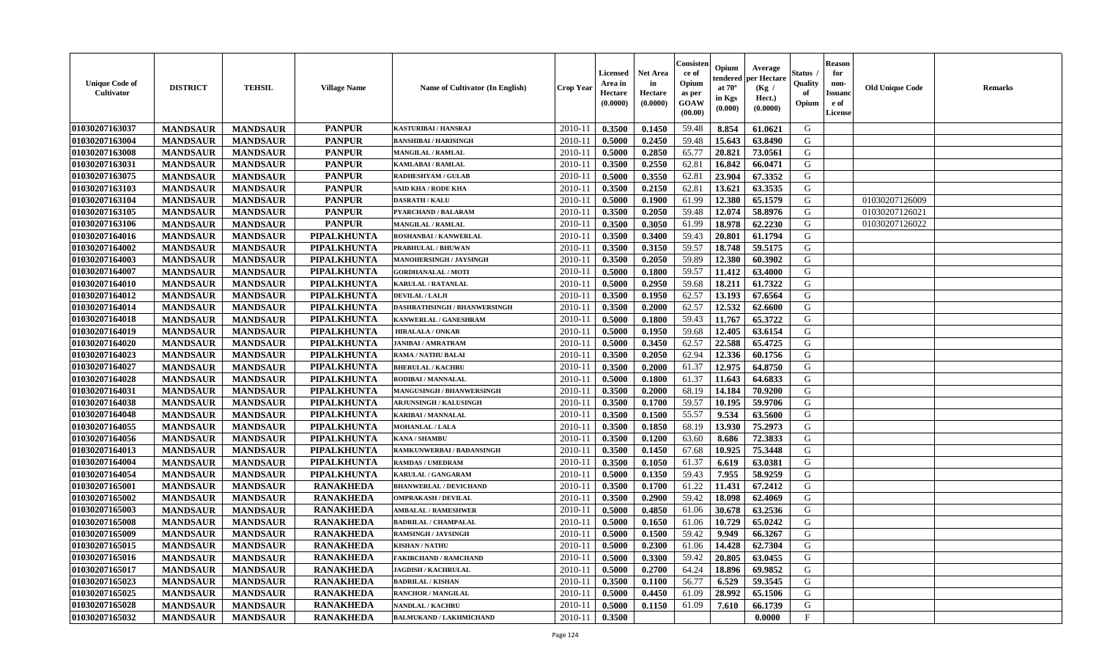| <b>Unique Code of</b><br><b>Cultivator</b> | <b>DISTRICT</b> | <b>TEHSIL</b>   | <b>Village Name</b> | Name of Cultivator (In English)  | <b>Crop Year</b> | Licensed<br>Area in<br>Hectare<br>(0.0000) | <b>Net Area</b><br>in<br>Hectare<br>(0.0000) | Consisteı<br>ce of<br>Opium<br>as per<br>GOAW<br>(00.00) | Opium<br>endered<br>at $70^\circ$<br>in Kgs<br>(0.000) | Average<br>per Hectare<br>(Kg /<br>Hect.)<br>(0.0000) | Status<br>Quality<br>of<br>Opium | <b>Reason</b><br>for<br>non-<br><b>Issuand</b><br>e of<br>License | <b>Old Unique Code</b> | Remarks |
|--------------------------------------------|-----------------|-----------------|---------------------|----------------------------------|------------------|--------------------------------------------|----------------------------------------------|----------------------------------------------------------|--------------------------------------------------------|-------------------------------------------------------|----------------------------------|-------------------------------------------------------------------|------------------------|---------|
| 01030207163037                             | <b>MANDSAUR</b> | <b>MANDSAUR</b> | <b>PANPUR</b>       | KASTURIBAI / HANSRAJ             | 2010-11          | 0.3500                                     | 0.1450                                       | 59.48                                                    | 8.854                                                  | 61.0621                                               | G                                |                                                                   |                        |         |
| 01030207163004                             | <b>MANDSAUR</b> | <b>MANDSAUR</b> | <b>PANPUR</b>       | <b>BANSHIBAI / HARISINGH</b>     | 2010-11          | 0.5000                                     | 0.2450                                       | 59.48                                                    | 15.643                                                 | 63.8490                                               | G                                |                                                                   |                        |         |
| 01030207163008                             | <b>MANDSAUR</b> | <b>MANDSAUR</b> | <b>PANPUR</b>       | <b>MANGILAL / RAMLAL</b>         | 2010-11          | 0.5000                                     | 0.2850                                       | 65.77                                                    | 20.821                                                 | 73.0561                                               | G                                |                                                                   |                        |         |
| 01030207163031                             | <b>MANDSAUR</b> | <b>MANDSAUR</b> | <b>PANPUR</b>       | <b>KAMLABAI/RAMLAL</b>           | 2010-11          | 0.3500                                     | 0.2550                                       | 62.81                                                    | 16.842                                                 | 66.0471                                               | G                                |                                                                   |                        |         |
| 01030207163075                             | <b>MANDSAUR</b> | <b>MANDSAUR</b> | <b>PANPUR</b>       | <b>RADHESHYAM / GULAE</b>        | 2010-11          | 0.5000                                     | 0.3550                                       | 62.81                                                    | 23.904                                                 | 67.3352                                               | G                                |                                                                   |                        |         |
| 01030207163103                             | <b>MANDSAUR</b> | <b>MANDSAUR</b> | <b>PANPUR</b>       | <b>SAID KHA / RODE KHA</b>       | 2010-11          | 0.3500                                     | 0.2150                                       | 62.81                                                    | 13.621                                                 | 63.3535                                               | G                                |                                                                   |                        |         |
| 01030207163104                             | <b>MANDSAUR</b> | <b>MANDSAUR</b> | <b>PANPUR</b>       | <b>DASRATH / KALU</b>            | $2010 - 11$      | 0.5000                                     | 0.1900                                       | 61.99                                                    | 12.380                                                 | 65.1579                                               | G                                |                                                                   | 01030207126009         |         |
| 01030207163105                             | <b>MANDSAUR</b> | <b>MANDSAUR</b> | <b>PANPUR</b>       | PYARCHAND / BALARAM              | 2010-11          | 0.3500                                     | 0.2050                                       | 59.48                                                    | 12.074                                                 | 58.8976                                               | G                                |                                                                   | 01030207126021         |         |
| 01030207163106                             | <b>MANDSAUR</b> | <b>MANDSAUR</b> | <b>PANPUR</b>       | <b>MANGILAL / RAMLAL</b>         | 2010-11          | 0.3500                                     | 0.3050                                       | 61.99                                                    | 18.978                                                 | 62.2230                                               | G                                |                                                                   | 01030207126022         |         |
| 01030207164016                             | <b>MANDSAUR</b> | <b>MANDSAUR</b> | PIPALKHUNTA         | ROSHANBAI / KANWERLAL            | 2010-11          | 0.3500                                     | 0.3400                                       | 59.43                                                    | 20.801                                                 | 61.1794                                               | G                                |                                                                   |                        |         |
| 01030207164002                             | <b>MANDSAUR</b> | <b>MANDSAUR</b> | <b>PIPALKHUNTA</b>  | PRABHULAL / BHUWAN               | 2010-11          | 0.3500                                     | 0.3150                                       | 59.57                                                    | 18.748                                                 | 59.5175                                               | G                                |                                                                   |                        |         |
| 01030207164003                             | <b>MANDSAUR</b> | <b>MANDSAUR</b> | PIPALKHUNTA         | MANOHERSINGH / JAYSINGH          | 2010-11          | 0.3500                                     | 0.2050                                       | 59.89                                                    | 12.380                                                 | 60.3902                                               | G                                |                                                                   |                        |         |
| 01030207164007                             | <b>MANDSAUR</b> | <b>MANDSAUR</b> | PIPALKHUNTA         | <b>GORDHANALAL / MOTI</b>        | 2010-11          | 0.5000                                     | 0.1800                                       | 59.57                                                    | 11.412                                                 | 63.4000                                               | G                                |                                                                   |                        |         |
| 01030207164010                             | <b>MANDSAUR</b> | <b>MANDSAUR</b> | PIPALKHUNTA         | KARULAL / RATANLAL               | 2010-11          | 0.5000                                     | 0.2950                                       | 59.68                                                    | 18.211                                                 | 61.7322                                               | G                                |                                                                   |                        |         |
| 01030207164012                             | <b>MANDSAUR</b> | <b>MANDSAUR</b> | PIPALKHUNTA         | DEVILAL / LALJI                  | $2010 - 11$      | 0.3500                                     | 0.1950                                       | 62.57                                                    | 13.193                                                 | 67.6564                                               | ${\bf G}$                        |                                                                   |                        |         |
| 01030207164014                             | <b>MANDSAUR</b> | <b>MANDSAUR</b> | PIPALKHUNTA         | DASHRATHSINGH / BHANWERSINGH     | 2010-11          | 0.3500                                     | 0.2000                                       | 62.57                                                    | 12.532                                                 | 62.6600                                               | G                                |                                                                   |                        |         |
| 01030207164018                             | <b>MANDSAUR</b> | <b>MANDSAUR</b> | PIPALKHUNTA         | KANWERLAL / GANESHRAM            | 2010-11          | 0.5000                                     | 0.1800                                       | 59.43                                                    | 11.767                                                 | 65.3722                                               | G                                |                                                                   |                        |         |
| 01030207164019                             | <b>MANDSAUR</b> | <b>MANDSAUR</b> | PIPALKHUNTA         | <b>HIRALALA / ONKAR</b>          | 2010-11          | 0.5000                                     | 0.1950                                       | 59.68                                                    | 12.405                                                 | 63.6154                                               | G                                |                                                                   |                        |         |
| 01030207164020                             | <b>MANDSAUR</b> | <b>MANDSAUR</b> | PIPALKHUNTA         | <b>JANIBAI / AMRATRAM</b>        | 2010-11          | 0.5000                                     | 0.3450                                       | 62.57                                                    | 22.588                                                 | 65.4725                                               | G                                |                                                                   |                        |         |
| 01030207164023                             | <b>MANDSAUR</b> | <b>MANDSAUR</b> | PIPALKHUNTA         | <b>RAMA / NATHU BALAI</b>        | 2010-11          | 0.3500                                     | 0.2050                                       | 62.94                                                    | 12.336                                                 | 60.1756                                               | G                                |                                                                   |                        |         |
| 01030207164027                             | <b>MANDSAUR</b> | <b>MANDSAUR</b> | PIPALKHUNTA         | <b>BHERULAL / KACHRU</b>         | 2010-11          | 0.3500                                     | 0.2000                                       | 61.37                                                    | 12.975                                                 | 64.8750                                               | G                                |                                                                   |                        |         |
| 01030207164028                             | <b>MANDSAUR</b> | <b>MANDSAUR</b> | PIPALKHUNTA         | RODIBAI / MANNALAL               | 2010-11          | 0.5000                                     | 0.1800                                       | 61.37                                                    | 11.643                                                 | 64.6833                                               | G                                |                                                                   |                        |         |
| 01030207164031                             | <b>MANDSAUR</b> | <b>MANDSAUR</b> | PIPALKHUNTA         | <b>MANGUSINGH / BHANWERSINGH</b> | 2010-11          | 0.3500                                     | 0.2000                                       | 68.19                                                    | 14.184                                                 | 70.9200                                               | G                                |                                                                   |                        |         |
| 01030207164038                             | <b>MANDSAUR</b> | <b>MANDSAUR</b> | PIPALKHUNTA         | <b>ARJUNSINGH / KALUSINGH</b>    | 2010-11          | 0.3500                                     | 0.1700                                       | 59.57                                                    | 10.195                                                 | 59.9706                                               | G                                |                                                                   |                        |         |
| 01030207164048                             | <b>MANDSAUR</b> | <b>MANDSAUR</b> | PIPALKHUNTA         | <b>KARIBAI/MANNALAL</b>          | 2010-11          | 0.3500                                     | 0.1500                                       | 55.57                                                    | 9.534                                                  | 63.5600                                               | G                                |                                                                   |                        |         |
| 01030207164055                             | <b>MANDSAUR</b> | <b>MANDSAUR</b> | PIPALKHUNTA         | <b>MOHANLAL / LALA</b>           | 2010-11          | 0.3500                                     | 0.1850                                       | 68.19                                                    | 13.930                                                 | 75.2973                                               | G                                |                                                                   |                        |         |
| 01030207164056                             | <b>MANDSAUR</b> | <b>MANDSAUR</b> | <b>PIPALKHUNTA</b>  | <b>KANA / SHAMBU</b>             | 2010-11          | 0.3500                                     | 0.1200                                       | 63.60                                                    | 8.686                                                  | 72.3833                                               | G                                |                                                                   |                        |         |
| 01030207164013                             | <b>MANDSAUR</b> | <b>MANDSAUR</b> | PIPALKHUNTA         | RAMKUNWERBAI / BADANSINGH        | 2010-11          | 0.3500                                     | 0.1450                                       | 67.68                                                    | 10.925                                                 | 75.3448                                               | G                                |                                                                   |                        |         |
| 01030207164004                             | <b>MANDSAUR</b> | <b>MANDSAUR</b> | PIPALKHUNTA         | <b>RAMDAS / UMEDRAM</b>          | 2010-11          | 0.3500                                     | 0.1050                                       | 61.37                                                    | 6.619                                                  | 63.0381                                               | G                                |                                                                   |                        |         |
| 01030207164054                             | <b>MANDSAUR</b> | <b>MANDSAUR</b> | PIPALKHUNTA         | KARULAL / GANGARAM               | 2010-11          | 0.5000                                     | 0.1350                                       | 59.43                                                    | 7.955                                                  | 58.9259                                               | G                                |                                                                   |                        |         |
| 01030207165001                             | <b>MANDSAUR</b> | <b>MANDSAUR</b> | <b>RANAKHEDA</b>    | <b>BHANWERLAL / DEVICHAND</b>    | 2010-11          | 0.3500                                     | 0.1700                                       | 61.22                                                    | 11.431                                                 | 67.2412                                               | G                                |                                                                   |                        |         |
| 01030207165002                             | <b>MANDSAUR</b> | <b>MANDSAUR</b> | <b>RANAKHEDA</b>    | <b>OMPRAKASH / DEVILAL</b>       | 2010-11          | 0.3500                                     | 0.2900                                       | 59.42                                                    | 18.098                                                 | 62.4069                                               | G                                |                                                                   |                        |         |
| 01030207165003                             | <b>MANDSAUR</b> | <b>MANDSAUR</b> | <b>RANAKHEDA</b>    | <b>AMBALAL / RAMESHWER</b>       | 2010-11          | 0.5000                                     | 0.4850                                       | 61.06                                                    | 30.678                                                 | 63.2536                                               | G                                |                                                                   |                        |         |
| 01030207165008                             | <b>MANDSAUR</b> | <b>MANDSAUR</b> | <b>RANAKHEDA</b>    | <b>BADRILAL / CHAMPALAL</b>      | 2010-11          | 0.5000                                     | 0.1650                                       | 61.06                                                    | 10.729                                                 | 65.0242                                               | G                                |                                                                   |                        |         |
| 01030207165009                             | <b>MANDSAUR</b> | <b>MANDSAUR</b> | <b>RANAKHEDA</b>    | RAMSINGH / JAYSINGH              | 2010-11          | 0.5000                                     | 0.1500                                       | 59.42                                                    | 9.949                                                  | 66.3267                                               | G                                |                                                                   |                        |         |
| 01030207165015                             | <b>MANDSAUR</b> | <b>MANDSAUR</b> | <b>RANAKHEDA</b>    | <b>KISHAN/NATHU</b>              | 2010-11          | 0.5000                                     | 0.2300                                       | 61.06                                                    | 14.428                                                 | 62.7304                                               | G                                |                                                                   |                        |         |
| 01030207165016                             | <b>MANDSAUR</b> | <b>MANDSAUR</b> | <b>RANAKHEDA</b>    | <b>FAKIRCHAND / RAMCHAND</b>     | 2010-11          | 0.5000                                     | 0.3300                                       | 59.42                                                    | 20.805                                                 | 63.0455                                               | G                                |                                                                   |                        |         |
| 01030207165017                             | <b>MANDSAUR</b> | <b>MANDSAUR</b> | <b>RANAKHEDA</b>    | <b>JAGDISH / KACHRULAL</b>       | 2010-11          | 0.5000                                     | 0.2700                                       | 64.24                                                    | 18.896                                                 | 69.9852                                               | G                                |                                                                   |                        |         |
| 01030207165023                             | <b>MANDSAUR</b> | <b>MANDSAUR</b> | <b>RANAKHEDA</b>    | <b>BADRILAL / KISHAN</b>         | 2010-11          | 0.3500                                     | 0.1100                                       | 56.77                                                    | 6.529                                                  | 59.3545                                               | G                                |                                                                   |                        |         |
| 01030207165025                             | <b>MANDSAUR</b> | <b>MANDSAUR</b> | <b>RANAKHEDA</b>    | <b>RANCHOR / MANGILAL</b>        | 2010-11          | 0.5000                                     | 0.4450                                       | 61.09                                                    | 28.992                                                 | 65.1506                                               | ${\bf G}$                        |                                                                   |                        |         |
| 01030207165028                             | <b>MANDSAUR</b> | <b>MANDSAUR</b> | <b>RANAKHEDA</b>    | <b>NANDLAL / KACHRU</b>          | 2010-11          | 0.5000                                     | 0.1150                                       | 61.09                                                    | 7.610                                                  | 66.1739                                               | G                                |                                                                   |                        |         |
| 01030207165032                             | <b>MANDSAUR</b> | <b>MANDSAUR</b> | <b>RANAKHEDA</b>    | <b>BALMUKAND / LAKHMICHAND</b>   | 2010-11          | 0.3500                                     |                                              |                                                          |                                                        | 0.0000                                                | $\mathbf{F}$                     |                                                                   |                        |         |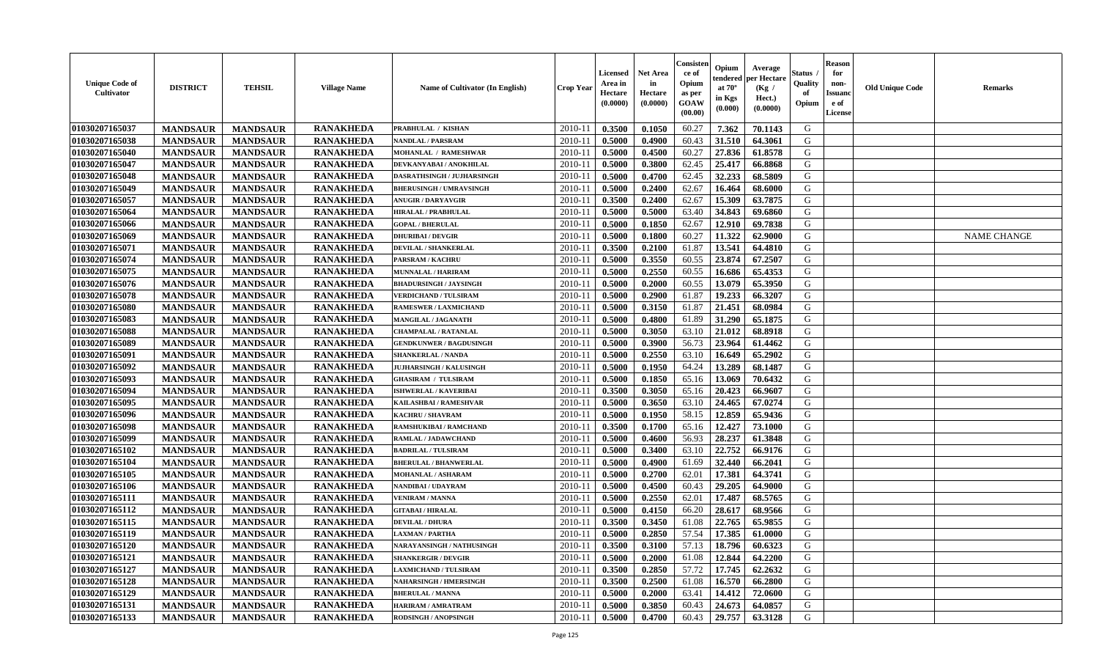| <b>Unique Code of</b><br><b>Cultivator</b> | <b>DISTRICT</b> | <b>TEHSIL</b>   | <b>Village Name</b> | Name of Cultivator (In English) | <b>Crop Year</b> | <b>Licensed</b><br>Area in<br>Hectare<br>(0.0000) | <b>Net Area</b><br>in<br>Hectare<br>(0.0000) | Consisteı<br>ce of<br>Opium<br>as per<br>GOAW<br>(00.00) | Opium<br>endered<br>at $70^\circ$<br>in Kgs<br>(0.000) | Average<br>oer Hectare<br>(Kg /<br>Hect.)<br>(0.0000) | Status<br>Quality<br>of<br>Opium | <b>Reason</b><br>for<br>non-<br>Issuano<br>e of<br>License | <b>Old Unique Code</b> | <b>Remarks</b>     |
|--------------------------------------------|-----------------|-----------------|---------------------|---------------------------------|------------------|---------------------------------------------------|----------------------------------------------|----------------------------------------------------------|--------------------------------------------------------|-------------------------------------------------------|----------------------------------|------------------------------------------------------------|------------------------|--------------------|
| 01030207165037                             | <b>MANDSAUR</b> | <b>MANDSAUR</b> | <b>RANAKHEDA</b>    | PRABHULAL / KISHAN              | 2010-11          | 0.3500                                            | 0.1050                                       | 60.27                                                    | 7.362                                                  | 70.1143                                               | G                                |                                                            |                        |                    |
| 01030207165038                             | <b>MANDSAUR</b> | <b>MANDSAUR</b> | <b>RANAKHEDA</b>    | <b>NANDLAL / PARSRAM</b>        | 2010-11          | 0.5000                                            | 0.4900                                       | 60.43                                                    | 31.510                                                 | 64.3061                                               | G                                |                                                            |                        |                    |
| 01030207165040                             | <b>MANDSAUR</b> | <b>MANDSAUR</b> | <b>RANAKHEDA</b>    | <b>MOHANLAL / RAMESHWAR</b>     | 2010-11          | 0.5000                                            | 0.4500                                       | 60.27                                                    | 27.836                                                 | 61.8578                                               | G                                |                                                            |                        |                    |
| 01030207165047                             | <b>MANDSAUR</b> | <b>MANDSAUR</b> | <b>RANAKHEDA</b>    | DEVKANYABAI / ANOKHILAL         | 2010-11          | 0.5000                                            | 0.3800                                       | 62.45                                                    | 25.417                                                 | 66.8868                                               | G                                |                                                            |                        |                    |
| 01030207165048                             | <b>MANDSAUR</b> | <b>MANDSAUR</b> | <b>RANAKHEDA</b>    | DASRATHSINGH / JUJHARSINGH      | 2010-11          | 0.5000                                            | 0.4700                                       | 62.45                                                    | 32.233                                                 | 68.5809                                               | G                                |                                                            |                        |                    |
| 01030207165049                             | <b>MANDSAUR</b> | <b>MANDSAUR</b> | <b>RANAKHEDA</b>    | <b>BHERUSINGH / UMRAVSINGH</b>  | $2010 - 11$      | 0.5000                                            | 0.2400                                       | 62.67                                                    | 16.464                                                 | 68.6000                                               | G                                |                                                            |                        |                    |
| 01030207165057                             | <b>MANDSAUR</b> | <b>MANDSAUR</b> | <b>RANAKHEDA</b>    | <b>ANUGIR / DARYAVGIR</b>       | 2010-11          | 0.3500                                            | 0.2400                                       | 62.67                                                    | 15.309                                                 | 63.7875                                               | G                                |                                                            |                        |                    |
| 01030207165064                             | <b>MANDSAUR</b> | <b>MANDSAUR</b> | <b>RANAKHEDA</b>    | <b>HIRALAL / PRABHULAL</b>      | 2010-11          | 0.5000                                            | 0.5000                                       | 63.40                                                    | 34.843                                                 | 69.6860                                               | G                                |                                                            |                        |                    |
| 01030207165066                             | <b>MANDSAUR</b> | <b>MANDSAUR</b> | <b>RANAKHEDA</b>    | <b>GOPAL / BHERULAL</b>         | 2010-11          | 0.5000                                            | 0.1850                                       | 62.67                                                    | 12.910                                                 | 69.7838                                               | G                                |                                                            |                        |                    |
| 01030207165069                             | <b>MANDSAUR</b> | <b>MANDSAUR</b> | <b>RANAKHEDA</b>    | <b>DHURIBAI / DEVGIR</b>        | 2010-11          | 0.5000                                            | 0.1800                                       | 60.27                                                    | 11.322                                                 | 62.9000                                               | G                                |                                                            |                        | <b>NAME CHANGE</b> |
| 01030207165071                             | <b>MANDSAUR</b> | <b>MANDSAUR</b> | <b>RANAKHEDA</b>    | <b>DEVILAL / SHANKERLAL</b>     | 2010-11          | 0.3500                                            | 0.2100                                       | 61.87                                                    | 13.541                                                 | 64.4810                                               | $\mathbf G$                      |                                                            |                        |                    |
| 01030207165074                             | <b>MANDSAUR</b> | <b>MANDSAUR</b> | <b>RANAKHEDA</b>    | PARSRAM / KACHRU                | 2010-11          | 0.5000                                            | 0.3550                                       | 60.55                                                    | 23.874                                                 | 67.2507                                               | G                                |                                                            |                        |                    |
| 01030207165075                             | <b>MANDSAUR</b> | <b>MANDSAUR</b> | <b>RANAKHEDA</b>    | <b>MUNNALAL / HARIRAM</b>       | 2010-11          | 0.5000                                            | 0.2550                                       | 60.55                                                    | 16.686                                                 | 65.4353                                               | G                                |                                                            |                        |                    |
| 01030207165076                             | <b>MANDSAUR</b> | <b>MANDSAUR</b> | <b>RANAKHEDA</b>    | <b>BHADURSINGH / JAYSINGH</b>   | $2010 - 11$      | 0.5000                                            | 0.2000                                       | 60.55                                                    | 13.079                                                 | 65.3950                                               | G                                |                                                            |                        |                    |
| 01030207165078                             | <b>MANDSAUR</b> | <b>MANDSAUR</b> | <b>RANAKHEDA</b>    | <b>VERDICHAND / TULSIRAM</b>    | 2010-11          | 0.5000                                            | 0.2900                                       | 61.87                                                    | 19.233                                                 | 66.3207                                               | G                                |                                                            |                        |                    |
| 01030207165080                             | <b>MANDSAUR</b> | <b>MANDSAUR</b> | <b>RANAKHEDA</b>    | <b>RAMESWER / LAXMICHAND</b>    | 2010-11          | 0.5000                                            | 0.3150                                       | 61.87                                                    | 21.451                                                 | 68.0984                                               | G                                |                                                            |                        |                    |
| 01030207165083                             | <b>MANDSAUR</b> | <b>MANDSAUR</b> | <b>RANAKHEDA</b>    | MANGILAL / JAGANATH             | 2010-11          | 0.5000                                            | 0.4800                                       | 61.89                                                    | 31.290                                                 | 65.1875                                               | G                                |                                                            |                        |                    |
| 01030207165088                             | <b>MANDSAUR</b> | <b>MANDSAUR</b> | <b>RANAKHEDA</b>    | <b>CHAMPALAL / RATANLAL</b>     | 2010-11          | 0.5000                                            | 0.3050                                       | 63.10                                                    | 21.012                                                 | 68.8918                                               | G                                |                                                            |                        |                    |
| 01030207165089                             | <b>MANDSAUR</b> | <b>MANDSAUR</b> | <b>RANAKHEDA</b>    | <b>GENDKUNWER / BAGDUSINGH</b>  | 2010-11          | 0.5000                                            | 0.3900                                       | 56.73                                                    | 23.964                                                 | 61.4462                                               | G                                |                                                            |                        |                    |
| 01030207165091                             | <b>MANDSAUR</b> | <b>MANDSAUR</b> | <b>RANAKHEDA</b>    | <b>SHANKERLAL / NANDA</b>       | 2010-11          | 0.5000                                            | 0.2550                                       | 63.10                                                    | 16.649                                                 | 65.2902                                               | G                                |                                                            |                        |                    |
| 01030207165092                             | <b>MANDSAUR</b> | <b>MANDSAUR</b> | <b>RANAKHEDA</b>    | <b>JUJHARSINGH / KALUSINGH</b>  | 2010-11          | 0.5000                                            | 0.1950                                       | 64.24                                                    | 13.289                                                 | 68.1487                                               | G                                |                                                            |                        |                    |
| 01030207165093                             | <b>MANDSAUR</b> | <b>MANDSAUR</b> | <b>RANAKHEDA</b>    | <b>GHASIRAM / TULSIRAM</b>      | 2010-11          | 0.5000                                            | 0.1850                                       | 65.16                                                    | 13.069                                                 | 70.6432                                               | G                                |                                                            |                        |                    |
| 01030207165094                             | <b>MANDSAUR</b> | <b>MANDSAUR</b> | <b>RANAKHEDA</b>    | ISHWERLAL / KAVERIBAI           | $2010 - 11$      | 0.3500                                            | 0.3050                                       | 65.16                                                    | 20.423                                                 | 66.9607                                               | G                                |                                                            |                        |                    |
| 01030207165095                             | <b>MANDSAUR</b> | <b>MANDSAUR</b> | <b>RANAKHEDA</b>    | KAILASHBAI / RAMESHVAR          | 2010-11          | 0.5000                                            | 0.3650                                       | 63.10                                                    | 24.465                                                 | 67.0274                                               | G                                |                                                            |                        |                    |
| 01030207165096                             | <b>MANDSAUR</b> | <b>MANDSAUR</b> | <b>RANAKHEDA</b>    | KACHRU / SHAVRAM                | 2010-11          | 0.5000                                            | 0.1950                                       | 58.15                                                    | 12.859                                                 | 65.9436                                               | G                                |                                                            |                        |                    |
| 01030207165098                             | <b>MANDSAUR</b> | <b>MANDSAUR</b> | <b>RANAKHEDA</b>    | <b>RAMSHUKIBAI / RAMCHAND</b>   | 2010-11          | 0.3500                                            | 0.1700                                       | 65.16                                                    | 12.427                                                 | 73.1000                                               | G                                |                                                            |                        |                    |
| 01030207165099                             | <b>MANDSAUR</b> | <b>MANDSAUR</b> | <b>RANAKHEDA</b>    | RAMLAL / JADAWCHAND             | 2010-11          | 0.5000                                            | 0.4600                                       | 56.93                                                    | 28.237                                                 | 61.3848                                               | G                                |                                                            |                        |                    |
| 01030207165102                             | <b>MANDSAUR</b> | <b>MANDSAUR</b> | <b>RANAKHEDA</b>    | <b>BADRILAL / TULSIRAM</b>      | 2010-11          | 0.5000                                            | 0.3400                                       | 63.10                                                    | 22.752                                                 | 66.9176                                               | G                                |                                                            |                        |                    |
| 01030207165104                             | <b>MANDSAUR</b> | <b>MANDSAUR</b> | <b>RANAKHEDA</b>    | <b>BHERULAL / BHANWERLAL</b>    | 2010-11          | 0.5000                                            | 0.4900                                       | 61.69                                                    | 32.440                                                 | 66.2041                                               | G                                |                                                            |                        |                    |
| 01030207165105                             | <b>MANDSAUR</b> | <b>MANDSAUR</b> | <b>RANAKHEDA</b>    | <b>MOHANLAL / ASHARAM</b>       | 2010-11          | 0.5000                                            | 0.2700                                       | 62.01                                                    | 17.381                                                 | 64.3741                                               | G                                |                                                            |                        |                    |
| 01030207165106                             | <b>MANDSAUR</b> | <b>MANDSAUR</b> | <b>RANAKHEDA</b>    | NANDIBAI / UDAYRAM              | $2010 - 11$      | 0.5000                                            | 0.4500                                       | 60.43                                                    | 29.205                                                 | 64.9000                                               | ${\bf G}$                        |                                                            |                        |                    |
| 01030207165111                             | <b>MANDSAUR</b> | <b>MANDSAUR</b> | <b>RANAKHEDA</b>    | <b>VENIRAM / MANNA</b>          | 2010-11          | 0.5000                                            | 0.2550                                       | 62.01                                                    | 17.487                                                 | 68.5765                                               | G                                |                                                            |                        |                    |
| 01030207165112                             | <b>MANDSAUR</b> | <b>MANDSAUR</b> | <b>RANAKHEDA</b>    | <b>GITABAI/HIRALAL</b>          | 2010-11          | 0.5000                                            | 0.4150                                       | 66.20                                                    | 28.617                                                 | 68.9566                                               | G                                |                                                            |                        |                    |
| 01030207165115                             | <b>MANDSAUR</b> | <b>MANDSAUR</b> | <b>RANAKHEDA</b>    | <b>DEVILAL / DHURA</b>          | 2010-11          | 0.3500                                            | 0.3450                                       | 61.08                                                    | 22.765                                                 | 65.9855                                               | G                                |                                                            |                        |                    |
| 01030207165119                             | <b>MANDSAUR</b> | <b>MANDSAUR</b> | <b>RANAKHEDA</b>    | <b>LAXMAN / PARTHA</b>          | 2010-11          | 0.5000                                            | 0.2850                                       | 57.54                                                    | 17.385                                                 | 61.0000                                               | G                                |                                                            |                        |                    |
| 01030207165120                             | <b>MANDSAUR</b> | <b>MANDSAUR</b> | <b>RANAKHEDA</b>    | NARAYANSINGH / NATHUSINGH       | 2010-11          | 0.3500                                            | 0.3100                                       | 57.13                                                    | 18.796                                                 | 60.6323                                               | G                                |                                                            |                        |                    |
| 01030207165121                             | <b>MANDSAUR</b> | <b>MANDSAUR</b> | <b>RANAKHEDA</b>    | <b>SHANKERGIR / DEVGIR</b>      | 2010-11          | 0.5000                                            | 0.2000                                       | 61.08                                                    | 12.844                                                 | 64.2200                                               | G                                |                                                            |                        |                    |
| 01030207165127                             | <b>MANDSAUR</b> | <b>MANDSAUR</b> | <b>RANAKHEDA</b>    | <b>LAXMICHAND / TULSIRAM</b>    | 2010-11          | 0.3500                                            | 0.2850                                       | 57.72                                                    | 17.745                                                 | 62.2632                                               | G                                |                                                            |                        |                    |
| 01030207165128                             |                 | <b>MANDSAUR</b> | <b>RANAKHEDA</b>    |                                 |                  |                                                   |                                              | 61.08                                                    |                                                        | 66.2800                                               | G                                |                                                            |                        |                    |
|                                            | <b>MANDSAUR</b> |                 |                     | <b>NAHARSINGH / HMERSINGH</b>   | $2010 - 11$      | 0.3500                                            | 0.2500                                       | 63.41                                                    | 16.570<br>14.412                                       |                                                       | G                                |                                                            |                        |                    |
| 01030207165129                             | <b>MANDSAUR</b> | <b>MANDSAUR</b> | <b>RANAKHEDA</b>    | <b>BHERULAL / MANNA</b>         | $2010 - 11$      | 0.5000                                            | 0.2000                                       |                                                          |                                                        | 72.0600                                               | G                                |                                                            |                        |                    |
| 01030207165131                             | <b>MANDSAUR</b> | <b>MANDSAUR</b> | <b>RANAKHEDA</b>    | HARIRAM / AMRATRAM              | 2010-11          | 0.5000                                            | 0.3850                                       | 60.43                                                    | 24.673                                                 | 64.0857                                               | G                                |                                                            |                        |                    |
| 01030207165133                             | <b>MANDSAUR</b> | <b>MANDSAUR</b> | <b>RANAKHEDA</b>    | <b>RODSINGH / ANOPSINGH</b>     | 2010-11          | 0.5000                                            | 0.4700                                       | 60.43                                                    | 29.757                                                 | 63.3128                                               |                                  |                                                            |                        |                    |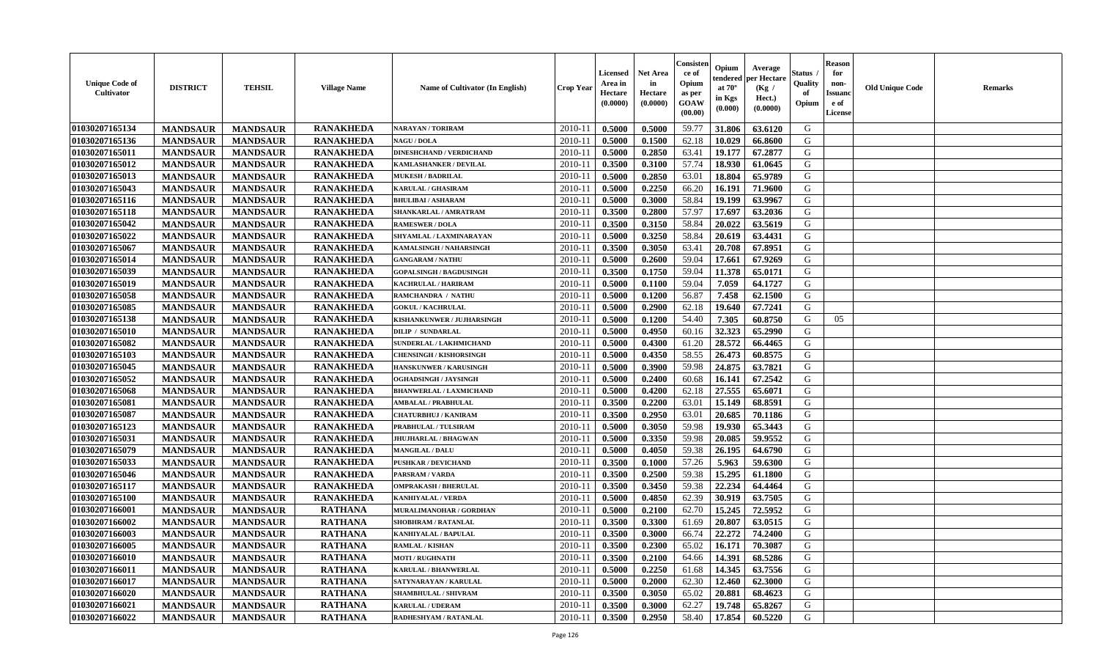| <b>Unique Code of</b><br><b>Cultivator</b> | <b>DISTRICT</b> | <b>TEHSIL</b>   | <b>Village Name</b> | Name of Cultivator (In English) | <b>Crop Year</b> | <b>Licensed</b><br>Area in<br>Hectare<br>(0.0000) | <b>Net Area</b><br>in<br>Hectare<br>(0.0000) | Consister<br>ce of<br>Opium<br>as per<br>GOAW<br>(00.00) | Opium<br>endered<br>at $70^\circ$<br>in Kgs<br>(0.000) | Average<br>per Hectare<br>(Kg /<br>Hect.)<br>(0.0000) | <b>Status</b><br>Quality<br>of<br>Opium | <b>Reason</b><br>for<br>non-<br><b>Issuand</b><br>e of<br>License | <b>Old Unique Code</b> | <b>Remarks</b> |
|--------------------------------------------|-----------------|-----------------|---------------------|---------------------------------|------------------|---------------------------------------------------|----------------------------------------------|----------------------------------------------------------|--------------------------------------------------------|-------------------------------------------------------|-----------------------------------------|-------------------------------------------------------------------|------------------------|----------------|
| 01030207165134                             | <b>MANDSAUR</b> | <b>MANDSAUR</b> | <b>RANAKHEDA</b>    | <b>NARAYAN / TORIRAM</b>        | 2010-11          | 0.5000                                            | 0.5000                                       | 59.77                                                    | 31.806                                                 | 63.6120                                               | G                                       |                                                                   |                        |                |
| 01030207165136                             | <b>MANDSAUR</b> | <b>MANDSAUR</b> | <b>RANAKHEDA</b>    | <b>NAGU / DOLA</b>              | $2010 - 11$      | 0.5000                                            | 0.1500                                       | 62.18                                                    | 10.029                                                 | 66.8600                                               | G                                       |                                                                   |                        |                |
| 01030207165011                             | <b>MANDSAUR</b> | <b>MANDSAUR</b> | <b>RANAKHEDA</b>    | <b>DINESHCHAND / VERDICHAND</b> | 2010-11          | 0.5000                                            | 0.2850                                       | 63.41                                                    | 19.177                                                 | 67.2877                                               | G                                       |                                                                   |                        |                |
| 01030207165012                             | <b>MANDSAUR</b> | <b>MANDSAUR</b> | <b>RANAKHEDA</b>    | <b>KAMLASHANKER / DEVILAL</b>   | 2010-11          | 0.3500                                            | 0.3100                                       | 57.74                                                    | 18.930                                                 | 61.0645                                               | G                                       |                                                                   |                        |                |
| 01030207165013                             | <b>MANDSAUR</b> | <b>MANDSAUR</b> | <b>RANAKHEDA</b>    | <b>MUKESH / BADRILAL</b>        | 2010-11          | 0.5000                                            | 0.2850                                       | 63.01                                                    | 18.804                                                 | 65.9789                                               | G                                       |                                                                   |                        |                |
| 01030207165043                             | <b>MANDSAUR</b> | <b>MANDSAUR</b> | <b>RANAKHEDA</b>    | KARULAL / GHASIRAM              | $2010 - 11$      | 0.5000                                            | 0.2250                                       | 66.20                                                    | 16.191                                                 | 71.9600                                               | G                                       |                                                                   |                        |                |
| 01030207165116                             | <b>MANDSAUR</b> | <b>MANDSAUR</b> | <b>RANAKHEDA</b>    | <b>BHULIBAI / ASHARAM</b>       | $2010 - 1$       | 0.5000                                            | 0.3000                                       | 58.84                                                    | 19.199                                                 | 63.9967                                               | ${\bf G}$                               |                                                                   |                        |                |
| 01030207165118                             | <b>MANDSAUR</b> | <b>MANDSAUR</b> | <b>RANAKHEDA</b>    | SHANKARLAL / AMRATRAM           | 2010-11          | 0.3500                                            | 0.2800                                       | 57.97                                                    | 17.697                                                 | 63.2036                                               | G                                       |                                                                   |                        |                |
| 01030207165042                             | <b>MANDSAUR</b> | <b>MANDSAUR</b> | <b>RANAKHEDA</b>    | <b>RAMESWER / DOLA</b>          | 2010-11          | 0.3500                                            | 0.3150                                       | 58.84                                                    | 20.022                                                 | 63.5619                                               | G                                       |                                                                   |                        |                |
| 01030207165022                             | <b>MANDSAUR</b> | <b>MANDSAUR</b> | <b>RANAKHEDA</b>    | SHYAMLAL / LAXMINARAYAN         | 2010-11          | 0.5000                                            | 0.3250                                       | 58.84                                                    | 20.619                                                 | 63.4431                                               | G                                       |                                                                   |                        |                |
| 01030207165067                             | <b>MANDSAUR</b> | <b>MANDSAUR</b> | <b>RANAKHEDA</b>    | KAMALSINGH / NAHARSINGH         | 2010-11          | 0.3500                                            | 0.3050                                       | 63.41                                                    | 20.708                                                 | 67.8951                                               | ${\bf G}$                               |                                                                   |                        |                |
| 01030207165014                             | <b>MANDSAUR</b> | <b>MANDSAUR</b> | <b>RANAKHEDA</b>    | <b>GANGARAM / NATHU</b>         | 2010-11          | 0.5000                                            | 0.2600                                       | 59.04                                                    | 17.661                                                 | 67.9269                                               | G                                       |                                                                   |                        |                |
| 01030207165039                             | <b>MANDSAUR</b> | <b>MANDSAUR</b> | <b>RANAKHEDA</b>    | <b>GOPALSINGH / BAGDUSINGH</b>  | 2010-11          | 0.3500                                            | 0.1750                                       | 59.04                                                    | 11.378                                                 | 65.0171                                               | G                                       |                                                                   |                        |                |
| 01030207165019                             | <b>MANDSAUR</b> | <b>MANDSAUR</b> | <b>RANAKHEDA</b>    | KACHRULAL / HARIRAM             | 2010-11          | 0.5000                                            | 0.1100                                       | 59.04                                                    | 7.059                                                  | 64.1727                                               | G                                       |                                                                   |                        |                |
| 01030207165058                             | <b>MANDSAUR</b> | <b>MANDSAUR</b> | <b>RANAKHEDA</b>    | RAMCHANDRA / NATHU              | $2010 - 11$      | 0.5000                                            | 0.1200                                       | 56.87                                                    | 7.458                                                  | 62.1500                                               | G                                       |                                                                   |                        |                |
| 01030207165085                             | <b>MANDSAUR</b> | <b>MANDSAUR</b> | <b>RANAKHEDA</b>    | <b>GOKUL / KACHRULAL</b>        | 2010-11          | 0.5000                                            | 0.2900                                       | 62.18                                                    | 19.640                                                 | 67.7241                                               | G                                       |                                                                   |                        |                |
| 01030207165138                             | <b>MANDSAUR</b> | <b>MANDSAUR</b> | <b>RANAKHEDA</b>    | KISHANKUNWER / JUJHARSINGH      | 2010-11          | 0.5000                                            | 0.1200                                       | 54.40                                                    | 7.305                                                  | 60.8750                                               | G                                       | 05                                                                |                        |                |
| 01030207165010                             | <b>MANDSAUR</b> | <b>MANDSAUR</b> | <b>RANAKHEDA</b>    | <b>DILIP / SUNDARLAL</b>        | 2010-11          | 0.5000                                            | 0.4950                                       | 60.16                                                    | 32.323                                                 | 65.2990                                               | G                                       |                                                                   |                        |                |
| 01030207165082                             | <b>MANDSAUR</b> | <b>MANDSAUR</b> | <b>RANAKHEDA</b>    | SUNDERLAL / LAKHMICHAND         | 2010-11          | 0.5000                                            | 0.4300                                       | 61.20                                                    | 28.572                                                 | 66.4465                                               | G                                       |                                                                   |                        |                |
| 01030207165103                             | <b>MANDSAUR</b> | <b>MANDSAUR</b> | <b>RANAKHEDA</b>    | <b>CHENSINGH / KISHORSINGH</b>  | 2010-11          | 0.5000                                            | 0.4350                                       | 58.55                                                    | 26.473                                                 | 60.8575                                               | G                                       |                                                                   |                        |                |
| 01030207165045                             | <b>MANDSAUR</b> | <b>MANDSAUR</b> | <b>RANAKHEDA</b>    | <b>HANSKUNWER / KARUSINGH</b>   | 2010-11          | 0.5000                                            | 0.3900                                       | 59.98                                                    | 24.875                                                 | 63.7821                                               | G                                       |                                                                   |                        |                |
| 01030207165052                             | <b>MANDSAUR</b> | <b>MANDSAUR</b> | <b>RANAKHEDA</b>    | OGHADSINGH / JAYSINGH           | 2010-11          | 0.5000                                            | 0.2400                                       | 60.68                                                    | 16.141                                                 | 67.2542                                               | G                                       |                                                                   |                        |                |
| 01030207165068                             | <b>MANDSAUR</b> | <b>MANDSAUR</b> | <b>RANAKHEDA</b>    | <b>BHANWERLAL / LAXMICHAND</b>  | $2010 - 11$      | 0.5000                                            | 0.4200                                       | 62.18                                                    | 27.555                                                 | 65.6071                                               | ${\bf G}$                               |                                                                   |                        |                |
| 01030207165081                             | <b>MANDSAUR</b> | <b>MANDSAUR</b> | <b>RANAKHEDA</b>    | <b>AMBALAL / PRABHULAL</b>      | 2010-11          | 0.3500                                            | 0.2200                                       | 63.01                                                    | 15.149                                                 | 68.8591                                               | G                                       |                                                                   |                        |                |
| 01030207165087                             | <b>MANDSAUR</b> | <b>MANDSAUR</b> | <b>RANAKHEDA</b>    | <b>CHATURBHUJ / KANIRAM</b>     | 2010-11          | 0.3500                                            | 0.2950                                       | 63.01                                                    | 20.685                                                 | 70.1186                                               | G                                       |                                                                   |                        |                |
| 01030207165123                             | <b>MANDSAUR</b> | <b>MANDSAUR</b> | <b>RANAKHEDA</b>    | PRABHULAL / TULSIRAM            | 2010-11          | 0.5000                                            | 0.3050                                       | 59.98                                                    | 19.930                                                 | 65.3443                                               | G                                       |                                                                   |                        |                |
| 01030207165031                             | <b>MANDSAUR</b> | <b>MANDSAUR</b> | <b>RANAKHEDA</b>    | <b>JHUJHARLAL / BHAGWAN</b>     | 2010-11          | 0.5000                                            | 0.3350                                       | 59.98                                                    | 20.085                                                 | 59.9552                                               | G                                       |                                                                   |                        |                |
| 01030207165079                             | <b>MANDSAUR</b> | <b>MANDSAUR</b> | <b>RANAKHEDA</b>    | <b>MANGILAL / DALU</b>          | 2010-11          | 0.5000                                            | 0.4050                                       | 59.38                                                    | 26.195                                                 | 64.6790                                               | G                                       |                                                                   |                        |                |
| 01030207165033                             | <b>MANDSAUR</b> | <b>MANDSAUR</b> | <b>RANAKHEDA</b>    | <b>PUSHKAR / DEVICHAND</b>      | 2010-11          | 0.3500                                            | 0.1000                                       | 57.26                                                    | 5.963                                                  | 59.6300                                               | G                                       |                                                                   |                        |                |
| 01030207165046                             | <b>MANDSAUR</b> | <b>MANDSAUR</b> | <b>RANAKHEDA</b>    | PARSRAM / VARDA                 | 2010-11          | 0.3500                                            | 0.2500                                       | 59.38                                                    | 15.295                                                 | 61.1800                                               | G                                       |                                                                   |                        |                |
| 01030207165117                             | <b>MANDSAUR</b> | <b>MANDSAUR</b> | <b>RANAKHEDA</b>    | <b>OMPRAKASH / BHERULAL</b>     | $2010 - 11$      | 0.3500                                            | 0.3450                                       | 59.38                                                    | 22.234                                                 | 64.4464                                               | ${\bf G}$                               |                                                                   |                        |                |
| 01030207165100                             | <b>MANDSAUR</b> | <b>MANDSAUR</b> | <b>RANAKHEDA</b>    | <b>KANHIYALAL / VERDA</b>       | 2010-11          | 0.5000                                            | 0.4850                                       | 62.39                                                    | 30.919                                                 | 63.7505                                               | G                                       |                                                                   |                        |                |
| 01030207166001                             | <b>MANDSAUR</b> | <b>MANDSAUR</b> | <b>RATHANA</b>      | MURALIMANOHAR / GORDHAN         | 2010-11          | 0.5000                                            | 0.2100                                       | 62.70                                                    | 15.245                                                 | 72.5952                                               | G                                       |                                                                   |                        |                |
| 01030207166002                             | <b>MANDSAUR</b> | <b>MANDSAUR</b> | <b>RATHANA</b>      | SHOBHRAM / RATANLAL             | 2010-11          | 0.3500                                            | 0.3300                                       | 61.69                                                    | 20.807                                                 | 63.0515                                               | G                                       |                                                                   |                        |                |
| 01030207166003                             | <b>MANDSAUR</b> | <b>MANDSAUR</b> | <b>RATHANA</b>      | <b>KANHIYALAL / BAPULAL</b>     | 2010-11          | 0.3500                                            | 0.3000                                       | 66.74                                                    | 22.272                                                 | 74.2400                                               | G                                       |                                                                   |                        |                |
| 01030207166005                             | <b>MANDSAUR</b> | <b>MANDSAUR</b> | <b>RATHANA</b>      | <b>RAMLAL / KISHAN</b>          | 2010-11          | 0.3500                                            | 0.2300                                       | 65.02                                                    | 16.171                                                 | 70.3087                                               | G                                       |                                                                   |                        |                |
| 01030207166010                             | <b>MANDSAUR</b> | <b>MANDSAUR</b> | <b>RATHANA</b>      | <b>MOTI / RUGHNATH</b>          | 2010-11          | 0.3500                                            | 0.2100                                       | 64.66                                                    | 14.391                                                 | 68.5286                                               | G                                       |                                                                   |                        |                |
| 01030207166011                             | <b>MANDSAUR</b> | <b>MANDSAUR</b> | <b>RATHANA</b>      | <b>KARULAL / BHANWERLAL</b>     | 2010-11          | 0.5000                                            | 0.2250                                       | 61.68                                                    | 14.345                                                 | 63.7556                                               | G                                       |                                                                   |                        |                |
| 01030207166017                             | <b>MANDSAUR</b> | <b>MANDSAUR</b> | <b>RATHANA</b>      | SATYNARAYAN / KARULAL           | $2010 - 11$      | 0.5000                                            | 0.2000                                       | 62.30                                                    | 12.460                                                 | 62.3000                                               | ${\bf G}$                               |                                                                   |                        |                |
| 01030207166020                             | <b>MANDSAUR</b> | <b>MANDSAUR</b> | <b>RATHANA</b>      | <b>SHAMBHULAL / SHIVRAM</b>     | $2010 - 11$      | 0.3500                                            | 0.3050                                       | 65.02                                                    | 20.881                                                 | 68.4623                                               | G                                       |                                                                   |                        |                |
| 01030207166021                             | <b>MANDSAUR</b> | <b>MANDSAUR</b> | <b>RATHANA</b>      | <b>KARULAL / UDERAM</b>         | 2010-11          | 0.3500                                            | 0.3000                                       | 62.27                                                    | 19.748                                                 | 65.8267                                               | G                                       |                                                                   |                        |                |
| 01030207166022                             | <b>MANDSAUR</b> | <b>MANDSAUR</b> | <b>RATHANA</b>      | RADHESHYAM / RATANLAL           | 2010-11          | 0.3500                                            | 0.2950                                       | 58.40                                                    | 17.854                                                 | 60.5220                                               | G                                       |                                                                   |                        |                |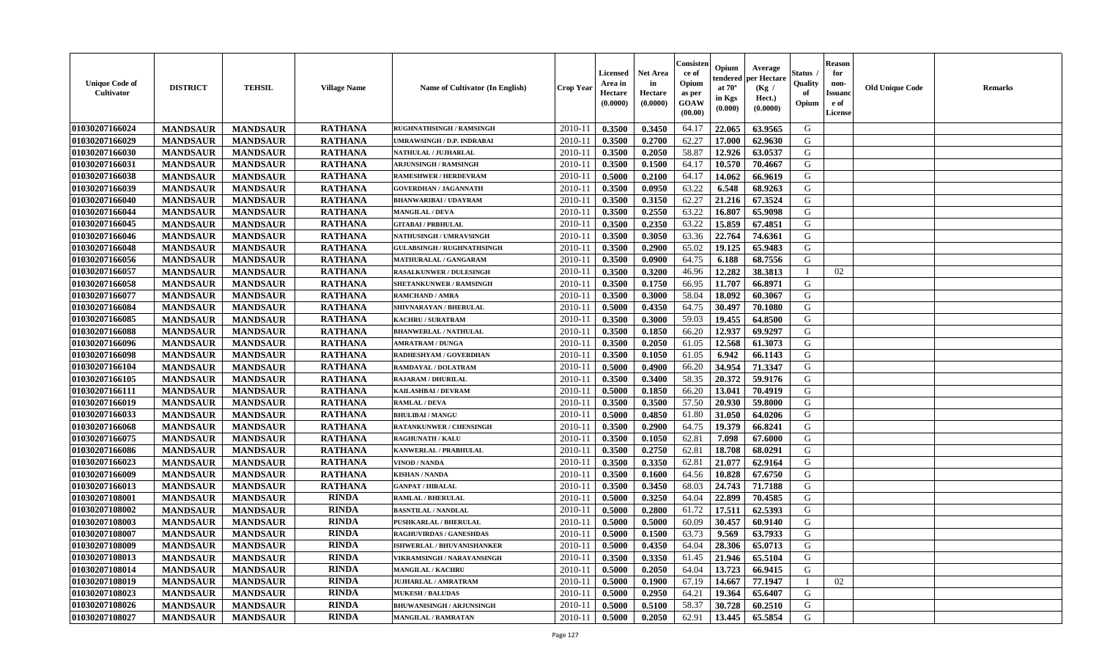| <b>Unique Code of</b><br><b>Cultivator</b> | <b>DISTRICT</b> | <b>TEHSIL</b>   | <b>Village Name</b> | Name of Cultivator (In English)   | <b>Crop Year</b> | <b>Licensed</b><br>Area in<br>Hectare<br>(0.0000) | <b>Net Area</b><br>in<br>Hectare<br>(0.0000) | Consisteı<br>ce of<br>Opium<br>as per<br>GOAW<br>(00.00) | Opium<br>endered<br>at $70^\circ$<br>in Kgs<br>(0.000) | Average<br>per Hectare<br>(Kg /<br>Hect.)<br>(0.0000) | Status<br>Quality<br>of<br>Opium | <b>Reason</b><br>for<br>non-<br><b>Issuand</b><br>e of<br>License | <b>Old Unique Code</b> | Remarks |
|--------------------------------------------|-----------------|-----------------|---------------------|-----------------------------------|------------------|---------------------------------------------------|----------------------------------------------|----------------------------------------------------------|--------------------------------------------------------|-------------------------------------------------------|----------------------------------|-------------------------------------------------------------------|------------------------|---------|
| 01030207166024                             | <b>MANDSAUR</b> | <b>MANDSAUR</b> | <b>RATHANA</b>      | RUGHNATHSINGH / RAMSINGH          | 2010-11          | 0.3500                                            | 0.3450                                       | 64.17                                                    | 22.065                                                 | 63.9565                                               | G                                |                                                                   |                        |         |
| 01030207166029                             | <b>MANDSAUR</b> | <b>MANDSAUR</b> | <b>RATHANA</b>      | UMRAWSINGH / D.P. INDRABAI        | $2010 - 11$      | 0.3500                                            | 0.2700                                       | 62.27                                                    | 17.000                                                 | 62.9630                                               | G                                |                                                                   |                        |         |
| 01030207166030                             | <b>MANDSAUR</b> | <b>MANDSAUR</b> | <b>RATHANA</b>      | NATHULAL / JUJHARLAL              | 2010-11          | 0.3500                                            | 0.2050                                       | 58.87                                                    | 12.926                                                 | 63.0537                                               | G                                |                                                                   |                        |         |
| 01030207166031                             | <b>MANDSAUR</b> | <b>MANDSAUR</b> | <b>RATHANA</b>      | <b>ARJUNSINGH / RAMSINGH</b>      | 2010-11          | 0.3500                                            | 0.1500                                       | 64.17                                                    | 10.570                                                 | 70.4667                                               | G                                |                                                                   |                        |         |
| 01030207166038                             | <b>MANDSAUR</b> | <b>MANDSAUR</b> | <b>RATHANA</b>      | <b>RAMESHWER / HERDEVRAM</b>      | 2010-11          | 0.5000                                            | 0.2100                                       | 64.17                                                    | 14.062                                                 | 66.9619                                               | G                                |                                                                   |                        |         |
| 01030207166039                             | <b>MANDSAUR</b> | <b>MANDSAUR</b> | <b>RATHANA</b>      | <b>GOVERDHAN / JAGANNATH</b>      | $2010 - 11$      | 0.3500                                            | 0.0950                                       | 63.22                                                    | 6.548                                                  | 68.9263                                               | G                                |                                                                   |                        |         |
| 01030207166040                             | <b>MANDSAUR</b> | <b>MANDSAUR</b> | <b>RATHANA</b>      | <b>BHANWARIBAI / UDAYRAM</b>      | $2010 - 11$      | 0.3500                                            | 0.3150                                       | 62.27                                                    | 21.216                                                 | 67.3524                                               | G                                |                                                                   |                        |         |
| 01030207166044                             | <b>MANDSAUR</b> | <b>MANDSAUR</b> | <b>RATHANA</b>      | <b>MANGILAL / DEVA</b>            | 2010-11          | 0.3500                                            | 0.2550                                       | 63.22                                                    | 16.807                                                 | 65.9098                                               | G                                |                                                                   |                        |         |
| 01030207166045                             | <b>MANDSAUR</b> | <b>MANDSAUR</b> | <b>RATHANA</b>      | <b>GITABAI/PRBHULAL</b>           | 2010-11          | 0.3500                                            | 0.2350                                       | 63.22                                                    | 15.859                                                 | 67.4851                                               | G                                |                                                                   |                        |         |
| 01030207166046                             | <b>MANDSAUR</b> | <b>MANDSAUR</b> | <b>RATHANA</b>      | <b>NATHUSINGH / UMRAVSINGH</b>    | 2010-11          | 0.3500                                            | 0.3050                                       | 63.36                                                    | 22.764                                                 | 74.6361                                               | G                                |                                                                   |                        |         |
| 01030207166048                             | <b>MANDSAUR</b> | <b>MANDSAUR</b> | <b>RATHANA</b>      | <b>GULABSINGH / RUGHNATHSINGH</b> | 2010-11          | 0.3500                                            | 0.2900                                       | 65.02                                                    | 19.125                                                 | 65.9483                                               | G                                |                                                                   |                        |         |
| 01030207166056                             | <b>MANDSAUR</b> | <b>MANDSAUR</b> | <b>RATHANA</b>      | MATHURALAL / GANGARAM             | 2010-11          | 0.3500                                            | 0.0900                                       | 64.75                                                    | 6.188                                                  | 68.7556                                               | G                                |                                                                   |                        |         |
| 01030207166057                             | <b>MANDSAUR</b> | <b>MANDSAUR</b> | <b>RATHANA</b>      | <b>RASALKUNWER / DULESINGH</b>    | 2010-11          | 0.3500                                            | 0.3200                                       | 46.96                                                    | 12.282                                                 | 38.3813                                               | $\mathbf{I}$                     | 02                                                                |                        |         |
| 01030207166058                             | <b>MANDSAUR</b> | <b>MANDSAUR</b> | <b>RATHANA</b>      | <b>SHETANKUNWER / RAMSINGH</b>    | 2010-11          | 0.3500                                            | 0.1750                                       | 66.95                                                    | 11.707                                                 | 66.8971                                               | G                                |                                                                   |                        |         |
| 01030207166077                             | <b>MANDSAUR</b> | <b>MANDSAUR</b> | <b>RATHANA</b>      | <b>RAMCHAND / AMRA</b>            | $2010 - 11$      | 0.3500                                            | 0.3000                                       | 58.04                                                    | 18.092                                                 | 60.3067                                               | $\mathbf G$                      |                                                                   |                        |         |
| 01030207166084                             | <b>MANDSAUR</b> | <b>MANDSAUR</b> | <b>RATHANA</b>      | SHIVNARAYAN / BHERULAL            | 2010-11          | 0.5000                                            | 0.4350                                       | 64.75                                                    | 30.497                                                 | 70.1080                                               | G                                |                                                                   |                        |         |
| 01030207166085                             | <b>MANDSAUR</b> | <b>MANDSAUR</b> | <b>RATHANA</b>      | KACHRU / SURATRAM                 | 2010-11          | 0.3500                                            | 0.3000                                       | 59.03                                                    | 19.455                                                 | 64.8500                                               | G                                |                                                                   |                        |         |
| 01030207166088                             | <b>MANDSAUR</b> | <b>MANDSAUR</b> | <b>RATHANA</b>      | <b>BHANWERLAL / NATHULAL</b>      | 2010-11          | 0.3500                                            | 0.1850                                       | 66.20                                                    | 12.937                                                 | 69.9297                                               | G                                |                                                                   |                        |         |
| 01030207166096                             | <b>MANDSAUR</b> | <b>MANDSAUR</b> | <b>RATHANA</b>      | <b>AMRATRAM / DUNGA</b>           | 2010-11          | 0.3500                                            | 0.2050                                       | 61.05                                                    | 12.568                                                 | 61.3073                                               | G                                |                                                                   |                        |         |
| 01030207166098                             | <b>MANDSAUR</b> | <b>MANDSAUR</b> | <b>RATHANA</b>      | RADHESHYAM / GOVERDHAN            | 2010-11          | 0.3500                                            | 0.1050                                       | 61.05                                                    | 6.942                                                  | 66.1143                                               | G                                |                                                                   |                        |         |
| 01030207166104                             | <b>MANDSAUR</b> | <b>MANDSAUR</b> | <b>RATHANA</b>      | <b>RAMDAYAL / DOLATRAM</b>        | 2010-11          | 0.5000                                            | 0.4900                                       | 66.20                                                    | 34.954                                                 | 71.3347                                               | G                                |                                                                   |                        |         |
| 01030207166105                             | <b>MANDSAUR</b> | <b>MANDSAUR</b> | <b>RATHANA</b>      | <b>RAJARAM / DHURILAL</b>         | 2010-11          | 0.3500                                            | 0.3400                                       | 58.35                                                    | 20.372                                                 | 59.9176                                               | G                                |                                                                   |                        |         |
| 01030207166111                             | <b>MANDSAUR</b> | <b>MANDSAUR</b> | <b>RATHANA</b>      | KAILASHBAI / DEVRAM               | 2010-11          | 0.5000                                            | 0.1850                                       | 66.20                                                    | 13.041                                                 | 70.4919                                               | G                                |                                                                   |                        |         |
| 01030207166019                             | <b>MANDSAUR</b> | <b>MANDSAUR</b> | <b>RATHANA</b>      | <b>RAMLAL / DEVA</b>              | 2010-11          | 0.3500                                            | 0.3500                                       | 57.50                                                    | 20.930                                                 | 59.8000                                               | G                                |                                                                   |                        |         |
| 01030207166033                             | <b>MANDSAUR</b> | <b>MANDSAUR</b> | <b>RATHANA</b>      | <b>BHULIBAI/MANGU</b>             | 2010-11          | 0.5000                                            | 0.4850                                       | 61.80                                                    | 31.050                                                 | 64.0206                                               | G                                |                                                                   |                        |         |
| 01030207166068                             | <b>MANDSAUR</b> | <b>MANDSAUR</b> | <b>RATHANA</b>      | <b>RATANKUNWER / CHENSINGH</b>    | 2010-11          | 0.3500                                            | 0.2900                                       | 64.75                                                    | 19.379                                                 | 66.8241                                               | G                                |                                                                   |                        |         |
| 01030207166075                             | <b>MANDSAUR</b> | <b>MANDSAUR</b> | <b>RATHANA</b>      | <b>RAGHUNATH / KALU</b>           | $2010 - 11$      | 0.3500                                            | 0.1050                                       | 62.81                                                    | 7.098                                                  | 67.6000                                               | G                                |                                                                   |                        |         |
| 01030207166086                             | <b>MANDSAUR</b> | <b>MANDSAUR</b> | <b>RATHANA</b>      | KANWERLAL / PRABHULAL             | 2010-11          | 0.3500                                            | 0.2750                                       | 62.81                                                    | 18.708                                                 | 68.0291                                               | G                                |                                                                   |                        |         |
| 01030207166023                             | <b>MANDSAUR</b> | <b>MANDSAUR</b> | <b>RATHANA</b>      | VINOD / NANDA                     | 2010-11          | 0.3500                                            | 0.3350                                       | 62.81                                                    | 21.077                                                 | 62.9164                                               | G                                |                                                                   |                        |         |
| 01030207166009                             | <b>MANDSAUR</b> | <b>MANDSAUR</b> | <b>RATHANA</b>      | <b>KISHAN / NANDA</b>             | 2010-11          | 0.3500                                            | 0.1600                                       | 64.56                                                    | 10.828                                                 | 67.6750                                               | G                                |                                                                   |                        |         |
| 01030207166013                             | <b>MANDSAUR</b> | <b>MANDSAUR</b> | <b>RATHANA</b>      | <b>GANPAT / HIRALAL</b>           | 2010-11          | 0.3500                                            | 0.3450                                       | 68.03                                                    | 24.743                                                 | 71.7188                                               | G                                |                                                                   |                        |         |
| 01030207108001                             | <b>MANDSAUR</b> | <b>MANDSAUR</b> | <b>RINDA</b>        | <b>RAMLAL / BHERULAL</b>          | 2010-11          | 0.5000                                            | 0.3250                                       | 64.04                                                    | 22.899                                                 | 70.4585                                               | G                                |                                                                   |                        |         |
| 01030207108002                             | <b>MANDSAUR</b> | <b>MANDSAUR</b> | <b>RINDA</b>        | <b>BASNTILAL / NANDLAL</b>        | 2010-11          | 0.5000                                            | 0.2800                                       | 61.72                                                    | 17.511                                                 | 62.5393                                               | G                                |                                                                   |                        |         |
| 01030207108003                             | <b>MANDSAUR</b> | <b>MANDSAUR</b> | <b>RINDA</b>        | <b>PUSHKARLAL / BHERULAL</b>      | 2010-11          | 0.5000                                            | 0.5000                                       | 60.09                                                    | 30.457                                                 | 60.9140                                               | G                                |                                                                   |                        |         |
| 01030207108007                             | <b>MANDSAUR</b> | <b>MANDSAUR</b> | <b>RINDA</b>        | <b>RAGHUVIRDAS / GANESHDAS</b>    | 2010-11          | 0.5000                                            | 0.1500                                       | 63.73                                                    | 9.569                                                  | 63.7933                                               | G                                |                                                                   |                        |         |
| 01030207108009                             | <b>MANDSAUR</b> | <b>MANDSAUR</b> | <b>RINDA</b>        | ISHWERLAL / BHUVANISHANKER        | 2010-11          | 0.5000                                            | 0.4350                                       | 64.04                                                    | 28.306                                                 | 65.0713                                               | G                                |                                                                   |                        |         |
| 01030207108013                             | <b>MANDSAUR</b> | <b>MANDSAUR</b> | <b>RINDA</b>        | <b>VIKRAMSINGH / NARAYANSINGH</b> | 2010-11          | 0.3500                                            | 0.3350                                       | 61.45                                                    | 21.946                                                 | 65.5104                                               | G                                |                                                                   |                        |         |
| 01030207108014                             | <b>MANDSAUR</b> | <b>MANDSAUR</b> | <b>RINDA</b>        | <b>MANGILAL / KACHRU</b>          | 2010-11          | 0.5000                                            | 0.2050                                       | 64.04                                                    | 13.723                                                 | 66.9415                                               | G                                |                                                                   |                        |         |
| 01030207108019                             | <b>MANDSAUR</b> | <b>MANDSAUR</b> | <b>RINDA</b>        | <b>JUJHARLAL / AMRATRAM</b>       | $2010 - 11$      | 0.5000                                            | 0.1900                                       | 67.19                                                    | 14.667                                                 | 77.1947                                               | T                                | 02                                                                |                        |         |
| 01030207108023                             | <b>MANDSAUR</b> | <b>MANDSAUR</b> | <b>RINDA</b>        | <b>MUKESH / BALUDAS</b>           | $2010 - 11$      | 0.5000                                            | 0.2950                                       | 64.21                                                    | 19.364                                                 | 65.6407                                               | G                                |                                                                   |                        |         |
| 01030207108026                             | <b>MANDSAUR</b> | <b>MANDSAUR</b> | RINDA               | <b>BHUWANISINGH / ARJUNSINGH</b>  | 2010-11          | 0.5000                                            | 0.5100                                       | 58.37                                                    | 30.728                                                 | 60.2510                                               | G                                |                                                                   |                        |         |
| 01030207108027                             | <b>MANDSAUR</b> | <b>MANDSAUR</b> | RINDA               | <b>MANGILAL / RAMRATAN</b>        | 2010-11          | 0.5000                                            | 0.2050                                       | 62.91                                                    | 13.445                                                 | 65.5854                                               | G                                |                                                                   |                        |         |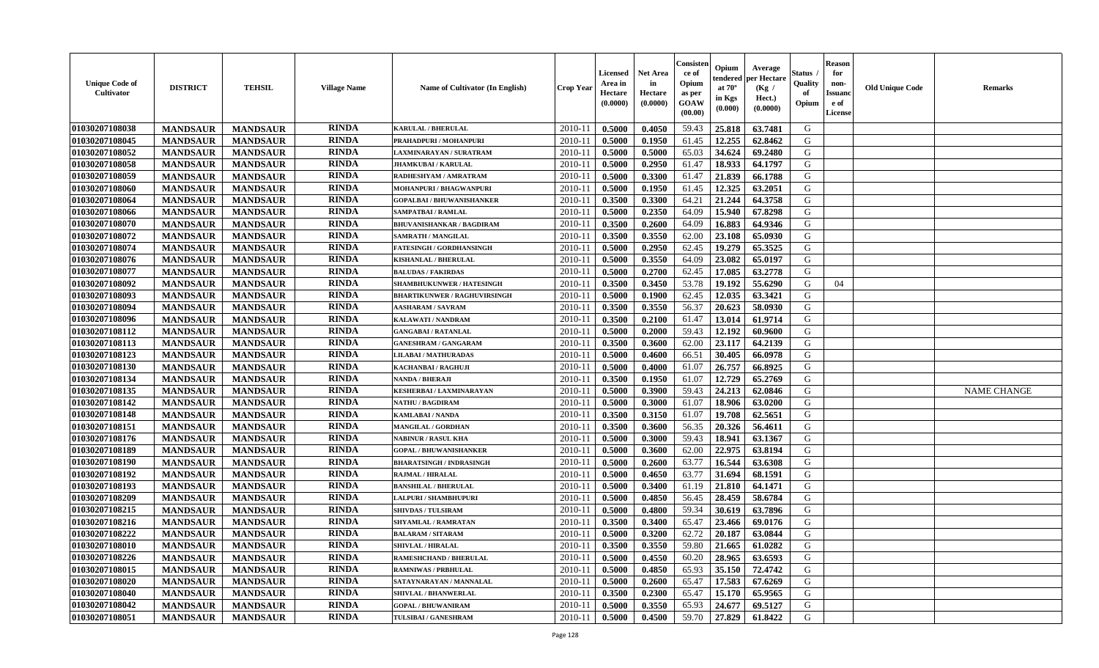| <b>Unique Code of</b><br><b>Cultivator</b> | <b>DISTRICT</b> | <b>TEHSIL</b>   | <b>Village Name</b> | Name of Cultivator (In English)     | <b>Crop Year</b> | <b>Licensed</b><br>Area in<br>Hectare<br>(0.0000) | <b>Net Area</b><br>in<br>Hectare<br>(0.0000) | Consisteı<br>ce of<br>Opium<br>as per<br>GOAW<br>(00.00) | Opium<br>endered<br>at $70^\circ$<br>in Kgs<br>(0.000) | Average<br>oer Hectare<br>(Kg /<br>Hect.)<br>(0.0000) | Status<br>Quality<br>of<br>Opium | <b>Reason</b><br>for<br>non-<br>Issuano<br>e of<br>License | <b>Old Unique Code</b> | Remarks            |
|--------------------------------------------|-----------------|-----------------|---------------------|-------------------------------------|------------------|---------------------------------------------------|----------------------------------------------|----------------------------------------------------------|--------------------------------------------------------|-------------------------------------------------------|----------------------------------|------------------------------------------------------------|------------------------|--------------------|
| 01030207108038                             | <b>MANDSAUR</b> | <b>MANDSAUR</b> | <b>RINDA</b>        | <b>KARULAL / BHERULAL</b>           | 2010-11          | 0.5000                                            | 0.4050                                       | 59.43                                                    | 25.818                                                 | 63.7481                                               | G                                |                                                            |                        |                    |
| 01030207108045                             | <b>MANDSAUR</b> | <b>MANDSAUR</b> | <b>RINDA</b>        | PRAHADPURI / MOHANPURI              | 2010-11          | 0.5000                                            | 0.1950                                       | 61.45                                                    | 12.255                                                 | 62.8462                                               | G                                |                                                            |                        |                    |
| 01030207108052                             | <b>MANDSAUR</b> | <b>MANDSAUR</b> | <b>RINDA</b>        | LAXMINARAYAN / SURATRAM             | 2010-11          | 0.5000                                            | 0.5000                                       | 65.03                                                    | 34.624                                                 | 69.2480                                               | G                                |                                                            |                        |                    |
| 01030207108058                             | <b>MANDSAUR</b> | <b>MANDSAUR</b> | <b>RINDA</b>        | <b>JHAMKUBAI/KARULAL</b>            | 2010-11          | 0.5000                                            | 0.2950                                       | 61.47                                                    | 18.933                                                 | 64.1797                                               | G                                |                                                            |                        |                    |
| 01030207108059                             | <b>MANDSAUR</b> | <b>MANDSAUR</b> | <b>RINDA</b>        | RADHESHYAM / AMRATRAM               | 2010-11          | 0.5000                                            | 0.3300                                       | 61.47                                                    | 21.839                                                 | 66.1788                                               | G                                |                                                            |                        |                    |
| 01030207108060                             | <b>MANDSAUR</b> | <b>MANDSAUR</b> | <b>RINDA</b>        | MOHANPURI / BHAGWANPURI             | $2010 - 11$      | 0.5000                                            | 0.1950                                       | 61.45                                                    | 12.325                                                 | 63.2051                                               | G                                |                                                            |                        |                    |
| 01030207108064                             | <b>MANDSAUR</b> | <b>MANDSAUR</b> | <b>RINDA</b>        | <b>GOPALBAI / BHUWANISHANKER</b>    | $2010 - 11$      | 0.3500                                            | 0.3300                                       | 64.21                                                    | 21.244                                                 | 64.3758                                               | G                                |                                                            |                        |                    |
| 01030207108066                             | <b>MANDSAUR</b> | <b>MANDSAUR</b> | <b>RINDA</b>        | SAMPATBAI / RAMLAL                  | 2010-11          | 0.5000                                            | 0.2350                                       | 64.09                                                    | 15.940                                                 | 67.8298                                               | G                                |                                                            |                        |                    |
| 01030207108070                             | <b>MANDSAUR</b> | <b>MANDSAUR</b> | <b>RINDA</b>        | <b>BHUVANISHANKAR / BAGDIRAM</b>    | 2010-11          | 0.3500                                            | 0.2600                                       | 64.09                                                    | 16.883                                                 | 64.9346                                               | G                                |                                                            |                        |                    |
| 01030207108072                             | <b>MANDSAUR</b> | <b>MANDSAUR</b> | <b>RINDA</b>        | SAMRATH / MANGILAL                  | 2010-11          | 0.3500                                            | 0.3550                                       | 62.00                                                    | 23.108                                                 | 65.0930                                               | G                                |                                                            |                        |                    |
| 01030207108074                             | <b>MANDSAUR</b> | <b>MANDSAUR</b> | <b>RINDA</b>        | <b>FATESINGH / GORDHANSINGH</b>     | 2010-11          | 0.5000                                            | 0.2950                                       | 62.45                                                    | 19.279                                                 | 65.3525                                               | G                                |                                                            |                        |                    |
| 01030207108076                             | <b>MANDSAUR</b> | <b>MANDSAUR</b> | <b>RINDA</b>        | <b>KISHANLAL / BHERULAL</b>         | 2010-11          | 0.5000                                            | 0.3550                                       | 64.09                                                    | 23.082                                                 | 65.0197                                               | G                                |                                                            |                        |                    |
| 01030207108077                             | <b>MANDSAUR</b> | <b>MANDSAUR</b> | <b>RINDA</b>        | <b>BALUDAS / FAKIRDAS</b>           | 2010-11          | 0.5000                                            | 0.2700                                       | 62.45                                                    | 17.085                                                 | 63.2778                                               | G                                |                                                            |                        |                    |
| 01030207108092                             | <b>MANDSAUR</b> | <b>MANDSAUR</b> | <b>RINDA</b>        | <b>SHAMBHUKUNWER / HATESINGH</b>    | 2010-11          | 0.3500                                            | 0.3450                                       | 53.78                                                    | 19.192                                                 | 55.6290                                               | G                                | 04                                                         |                        |                    |
| 01030207108093                             | <b>MANDSAUR</b> | <b>MANDSAUR</b> | <b>RINDA</b>        | <b>BHARTIKUNWER / RAGHUVIRSINGH</b> | $2010 - 11$      | 0.5000                                            | 0.1900                                       | 62.45                                                    | 12.035                                                 | 63.3421                                               | $\mathbf G$                      |                                                            |                        |                    |
| 01030207108094                             | <b>MANDSAUR</b> | <b>MANDSAUR</b> | <b>RINDA</b>        | <b>AASHARAM / SAVRAM</b>            | $2010 - 11$      | 0.3500                                            | 0.3550                                       | 56.37                                                    | 20.623                                                 | 58.0930                                               | G                                |                                                            |                        |                    |
| 01030207108096                             | <b>MANDSAUR</b> | <b>MANDSAUR</b> | <b>RINDA</b>        | KALAWATI / NANDRAM                  | 2010-11          | 0.3500                                            | 0.2100                                       | 61.47                                                    | 13.014                                                 | 61.9714                                               | G                                |                                                            |                        |                    |
| 01030207108112                             | <b>MANDSAUR</b> | <b>MANDSAUR</b> | <b>RINDA</b>        | <b>GANGABAI / RATANLAL</b>          | 2010-11          | 0.5000                                            | 0.2000                                       | 59.43                                                    | 12.192                                                 | 60.9600                                               | G                                |                                                            |                        |                    |
| 01030207108113                             | <b>MANDSAUR</b> | <b>MANDSAUR</b> | <b>RINDA</b>        | <b>GANESHRAM / GANGARAM</b>         | 2010-11          | 0.3500                                            | 0.3600                                       | 62.00                                                    | 23.117                                                 | 64.2139                                               | G                                |                                                            |                        |                    |
| 01030207108123                             | <b>MANDSAUR</b> | <b>MANDSAUR</b> | <b>RINDA</b>        | <b>LILABAI/MATHURADAS</b>           | 2010-11          | 0.5000                                            | 0.4600                                       | 66.51                                                    | 30.405                                                 | 66.0978                                               | G                                |                                                            |                        |                    |
| 01030207108130                             | <b>MANDSAUR</b> | <b>MANDSAUR</b> | <b>RINDA</b>        | <b>KACHANBAI/RAGHUJI</b>            | 2010-11          | 0.5000                                            | 0.4000                                       | 61.07                                                    | 26.757                                                 | 66.8925                                               | G                                |                                                            |                        |                    |
| 01030207108134                             | <b>MANDSAUR</b> | <b>MANDSAUR</b> | <b>RINDA</b>        | NANDA / BHERAJI                     | 2010-11          | 0.3500                                            | 0.1950                                       | 61.07                                                    | 12.729                                                 | 65.2769                                               | G                                |                                                            |                        |                    |
| 01030207108135                             | <b>MANDSAUR</b> | <b>MANDSAUR</b> | <b>RINDA</b>        | KESHERBAI / LAXMINARAYAN            | 2010-11          | 0.5000                                            | 0.3900                                       | 59.43                                                    | 24.213                                                 | 62.0846                                               | G                                |                                                            |                        | <b>NAME CHANGE</b> |
| 01030207108142                             | <b>MANDSAUR</b> | <b>MANDSAUR</b> | <b>RINDA</b>        | <b>NATHU / BAGDIRAM</b>             | 2010-11          | 0.5000                                            | 0.3000                                       | 61.07                                                    | 18.906                                                 | 63.0200                                               | G                                |                                                            |                        |                    |
| 01030207108148                             | <b>MANDSAUR</b> | <b>MANDSAUR</b> | <b>RINDA</b>        | <b>KAMLABAI/NANDA</b>               | 2010-11          | 0.3500                                            | 0.3150                                       | 61.07                                                    | 19.708                                                 | 62.5651                                               | G                                |                                                            |                        |                    |
| 01030207108151                             | <b>MANDSAUR</b> | <b>MANDSAUR</b> | <b>RINDA</b>        | <b>MANGILAL / GORDHAN</b>           | 2010-11          | 0.3500                                            | 0.3600                                       | 56.35                                                    | 20.326                                                 | 56.4611                                               | G                                |                                                            |                        |                    |
| 01030207108176                             | <b>MANDSAUR</b> | <b>MANDSAUR</b> | <b>RINDA</b>        | <b>NABINUR / RASUL KHA</b>          | 2010-11          | 0.5000                                            | 0.3000                                       | 59.43                                                    | 18.941                                                 | 63.1367                                               | G                                |                                                            |                        |                    |
| 01030207108189                             | <b>MANDSAUR</b> | <b>MANDSAUR</b> | <b>RINDA</b>        | <b>GOPAL / BHUWANISHANKER</b>       | 2010-11          | 0.5000                                            | 0.3600                                       | 62.00                                                    | 22.975                                                 | 63.8194                                               | G                                |                                                            |                        |                    |
| 01030207108190                             | <b>MANDSAUR</b> | <b>MANDSAUR</b> | <b>RINDA</b>        | <b>BHARATSINGH / INDRASINGH</b>     | 2010-11          | 0.5000                                            | 0.2600                                       | 63.77                                                    | 16.544                                                 | 63.6308                                               | G                                |                                                            |                        |                    |
| 01030207108192                             | <b>MANDSAUR</b> | <b>MANDSAUR</b> | <b>RINDA</b>        | <b>RAJMAL / HIRALAL</b>             | 2010-11          | 0.5000                                            | 0.4650                                       | 63.77                                                    | 31.694                                                 | 68.1591                                               | G                                |                                                            |                        |                    |
| 01030207108193                             | <b>MANDSAUR</b> | <b>MANDSAUR</b> | <b>RINDA</b>        | <b>BANSHILAL / BHERULAL</b>         | 2010-11          | 0.5000                                            | 0.3400                                       | 61.19                                                    | 21.810                                                 | 64.1471                                               | G                                |                                                            |                        |                    |
| 01030207108209                             | <b>MANDSAUR</b> | <b>MANDSAUR</b> | <b>RINDA</b>        | LALPURI / SHAMBHUPURI               | 2010-11          | 0.5000                                            | 0.4850                                       | 56.45                                                    | 28.459                                                 | 58.6784                                               | G                                |                                                            |                        |                    |
| 01030207108215                             | <b>MANDSAUR</b> | <b>MANDSAUR</b> | <b>RINDA</b>        | <b>SHIVDAS / TULSIRAM</b>           | 2010-11          | 0.5000                                            | 0.4800                                       | 59.34                                                    | 30.619                                                 | 63.7896                                               | G                                |                                                            |                        |                    |
| 01030207108216                             | <b>MANDSAUR</b> | <b>MANDSAUR</b> | <b>RINDA</b>        | <b>SHYAMLAL / RAMRATAN</b>          | 2010-11          | 0.3500                                            | 0.3400                                       | 65.47                                                    | 23.466                                                 | 69.0176                                               | G                                |                                                            |                        |                    |
| 01030207108222                             | <b>MANDSAUR</b> | <b>MANDSAUR</b> | <b>RINDA</b>        | <b>BALARAM / SITARAM</b>            | 2010-11          | 0.5000                                            | 0.3200                                       | 62.72                                                    | 20.187                                                 | 63.0844                                               | G                                |                                                            |                        |                    |
| 01030207108010                             | <b>MANDSAUR</b> | <b>MANDSAUR</b> | <b>RINDA</b>        | <b>SHIVLAL / HIRALAL</b>            | 2010-11          | 0.3500                                            | 0.3550                                       | 59.80                                                    | 21.665                                                 | 61.0282                                               | G                                |                                                            |                        |                    |
| 01030207108226                             | <b>MANDSAUR</b> | <b>MANDSAUR</b> | <b>RINDA</b>        | RAMESHCHAND / BHERULAL              | 2010-11          | 0.5000                                            | 0.4550                                       | 60.20                                                    | 28.965                                                 | 63.6593                                               | G                                |                                                            |                        |                    |
| 01030207108015                             | <b>MANDSAUR</b> | <b>MANDSAUR</b> | <b>RINDA</b>        | <b>RAMNIWAS / PRBHULAL</b>          | 2010-11          | 0.5000                                            | 0.4850                                       | 65.93                                                    | 35.150                                                 | 72.4742                                               | G                                |                                                            |                        |                    |
| 01030207108020                             | <b>MANDSAUR</b> | <b>MANDSAUR</b> | <b>RINDA</b>        | SATAYNARAYAN / MANNALAL             | $2010 - 11$      | 0.5000                                            | 0.2600                                       | 65.47                                                    | 17.583                                                 | 67.6269                                               | G                                |                                                            |                        |                    |
| 01030207108040                             | <b>MANDSAUR</b> | <b>MANDSAUR</b> | <b>RINDA</b>        | <b>SHIVLAL / BHANWERLAI</b>         | $2010 - 11$      | 0.3500                                            | 0.2300                                       | 65.47                                                    | 15.170                                                 | 65.9565                                               | ${\bf G}$                        |                                                            |                        |                    |
| 01030207108042                             | <b>MANDSAUR</b> | <b>MANDSAUR</b> | RINDA               | <b>GOPAL / BHUWANIRAM</b>           | 2010-11          | 0.5000                                            | 0.3550                                       | 65.93                                                    | 24.677                                                 | 69.5127                                               | G                                |                                                            |                        |                    |
| 01030207108051                             | <b>MANDSAUR</b> | <b>MANDSAUR</b> | RINDA               | TULSIBAI / GANESHRAM                | 2010-11          | 0.5000                                            | 0.4500                                       | 59.70                                                    | 27.829                                                 | 61.8422                                               | G                                |                                                            |                        |                    |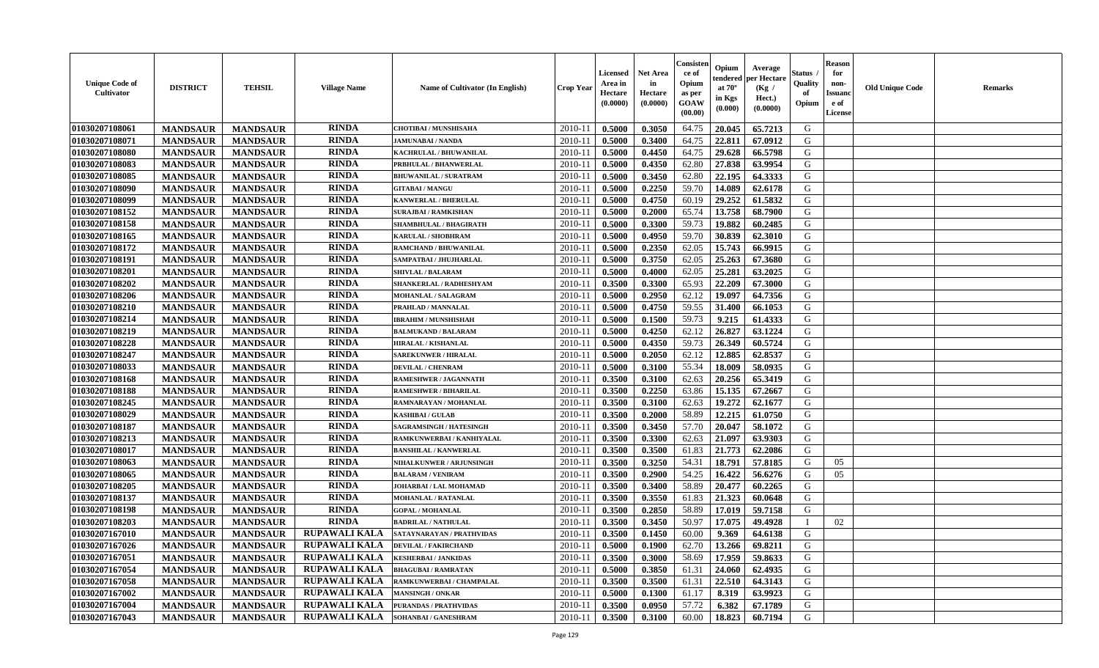| <b>Unique Code of</b><br><b>Cultivator</b> | <b>DISTRICT</b> | <b>TEHSIL</b>   | <b>Village Name</b>  | Name of Cultivator (In English) | <b>Crop Year</b> | <b>Licensed</b><br>Area in<br>Hectare<br>(0.0000) | <b>Net Area</b><br>in<br>Hectare<br>(0.0000) | Consister<br>ce of<br>Opium<br>as per<br><b>GOAW</b><br>(00.00) | Opium<br>endered<br>at $70^\circ$<br>in Kgs<br>$(\mathbf{0.000})$ | Average<br>per Hectare<br>(Kg /<br>Hect.)<br>(0.0000) | Status<br>Quality<br>of<br>Opium | Reason<br>for<br>non-<br>Issuan<br>e of<br><b>License</b> | <b>Old Unique Code</b> | <b>Remarks</b> |
|--------------------------------------------|-----------------|-----------------|----------------------|---------------------------------|------------------|---------------------------------------------------|----------------------------------------------|-----------------------------------------------------------------|-------------------------------------------------------------------|-------------------------------------------------------|----------------------------------|-----------------------------------------------------------|------------------------|----------------|
| 01030207108061                             | <b>MANDSAUR</b> | <b>MANDSAUR</b> | <b>RINDA</b>         | <b>CHOTIBAI / MUNSHISAHA</b>    | 2010-11          | 0.5000                                            | 0.3050                                       | 64.75                                                           | 20.045                                                            | 65.7213                                               | G                                |                                                           |                        |                |
| 01030207108071                             | <b>MANDSAUR</b> | <b>MANDSAUR</b> | <b>RINDA</b>         | <b>JAMUNABAI / NANDA</b>        | $2010 - 11$      | 0.5000                                            | 0.3400                                       | 64.75                                                           | 22.811                                                            | 67.0912                                               | G                                |                                                           |                        |                |
| 01030207108080                             | <b>MANDSAUR</b> | <b>MANDSAUR</b> | <b>RINDA</b>         | KACHRULAL / BHUWANILAL          | 2010-11          | 0.5000                                            | 0.4450                                       | 64.75                                                           | 29.628                                                            | 66.5798                                               | G                                |                                                           |                        |                |
| 01030207108083                             | <b>MANDSAUR</b> | <b>MANDSAUR</b> | <b>RINDA</b>         | PRBHULAL / BHANWERLAL           | 2010-11          | 0.5000                                            | 0.4350                                       | 62.80                                                           | 27.838                                                            | 63.9954                                               | G                                |                                                           |                        |                |
| 01030207108085                             | <b>MANDSAUR</b> | <b>MANDSAUR</b> | <b>RINDA</b>         | <b>BHUWANILAL / SURATRAM</b>    | $2010 - 11$      | 0.5000                                            | 0.3450                                       | 62.80                                                           | 22.195                                                            | 64.3333                                               | G                                |                                                           |                        |                |
| 01030207108090                             | <b>MANDSAUR</b> | <b>MANDSAUR</b> | <b>RINDA</b>         | <b>GITABAI/MANGU</b>            | 2010-11          | 0.5000                                            | 0.2250                                       | 59.70                                                           | 14.089                                                            | 62.6178                                               | G                                |                                                           |                        |                |
| 01030207108099                             | <b>MANDSAUR</b> | <b>MANDSAUR</b> | <b>RINDA</b>         | <b>KANWERLAL / BHERULAL</b>     | 2010-11          | 0.5000                                            | 0.4750                                       | 60.19                                                           | 29.252                                                            | 61.5832                                               | G                                |                                                           |                        |                |
| 01030207108152                             | <b>MANDSAUR</b> | <b>MANDSAUR</b> | <b>RINDA</b>         | <b>SURAJBAI / RAMKISHAN</b>     | $2010 - 1$       | 0.5000                                            | 0.2000                                       | 65.74                                                           | 13.758                                                            | 68.7900                                               | G                                |                                                           |                        |                |
| 01030207108158                             | <b>MANDSAUR</b> | <b>MANDSAUR</b> | <b>RINDA</b>         | SHAMBHULAL / BHAGIRATH          | 2010-11          | 0.5000                                            | 0.3300                                       | 59.73                                                           | 19.882                                                            | 60.2485                                               | G                                |                                                           |                        |                |
| 01030207108165                             | <b>MANDSAUR</b> | <b>MANDSAUR</b> | <b>RINDA</b>         | <b>KARULAL / SHOBHRAM</b>       | 2010-11          | 0.5000                                            | 0.4950                                       | 59.70                                                           | 30.839                                                            | 62.3010                                               | G                                |                                                           |                        |                |
| 01030207108172                             | <b>MANDSAUR</b> | <b>MANDSAUR</b> | <b>RINDA</b>         | RAMCHAND / BHUWANILAL           | $2010 - 11$      | 0.5000                                            | 0.2350                                       | 62.05                                                           | 15.743                                                            | 66.9915                                               | G                                |                                                           |                        |                |
| 01030207108191                             | <b>MANDSAUR</b> | <b>MANDSAUR</b> | <b>RINDA</b>         | SAMPATBAI / JHUJHARLAL          | 2010-11          | 0.5000                                            | 0.3750                                       | 62.05                                                           | 25.263                                                            | 67.3680                                               | G                                |                                                           |                        |                |
| 01030207108201                             | <b>MANDSAUR</b> | <b>MANDSAUR</b> | <b>RINDA</b>         | <b>SHIVLAL / BALARAM</b>        | $2010 - 11$      | 0.5000                                            | 0.4000                                       | 62.05                                                           | 25,281                                                            | 63.2025                                               | G                                |                                                           |                        |                |
| 01030207108202                             | <b>MANDSAUR</b> | <b>MANDSAUR</b> | <b>RINDA</b>         | SHANKERLAL / RADHESHYAM         | $2010 - 11$      | 0.3500                                            | 0.3300                                       | 65.93                                                           | 22.209                                                            | 67.3000                                               | G                                |                                                           |                        |                |
| 01030207108206                             | <b>MANDSAUR</b> | <b>MANDSAUR</b> | <b>RINDA</b>         | MOHANLAL / SALAGRAM             | 2010-11          | 0.5000                                            | 0.2950                                       | 62.12                                                           | 19.097                                                            | 64.7356                                               | G                                |                                                           |                        |                |
| 01030207108210                             | <b>MANDSAUR</b> | <b>MANDSAUR</b> | <b>RINDA</b>         | PRAHLAD / MANNALAL              | 2010-11          | 0.5000                                            | 0.4750                                       | 59.55                                                           | 31.400                                                            | 66.1053                                               | G                                |                                                           |                        |                |
| 01030207108214                             | <b>MANDSAUR</b> | <b>MANDSAUR</b> | <b>RINDA</b>         | <b>IBRAHIM / MUNSHISHAH</b>     | 2010-11          | 0.5000                                            | 0.1500                                       | 59.73                                                           | 9.215                                                             | 61.4333                                               | G                                |                                                           |                        |                |
| 01030207108219                             | <b>MANDSAUR</b> | <b>MANDSAUR</b> | <b>RINDA</b>         | <b>BALMUKAND / BALARAM</b>      | 2010-11          | 0.5000                                            | 0.4250                                       | 62.12                                                           | 26.827                                                            | 63.1224                                               | G                                |                                                           |                        |                |
| 01030207108228                             | <b>MANDSAUR</b> | <b>MANDSAUR</b> | <b>RINDA</b>         | HIRALAL / KISHANLAL             | $2010 - 11$      | 0.5000                                            | 0.4350                                       | 59.73                                                           | 26.349                                                            | 60.5724                                               | G                                |                                                           |                        |                |
| 01030207108247                             | <b>MANDSAUR</b> | <b>MANDSAUR</b> | <b>RINDA</b>         | <b>SAREKUNWER / HIRALAL</b>     | 2010-11          | 0.5000                                            | 0.2050                                       | 62.12                                                           | 12.885                                                            | 62.8537                                               | G                                |                                                           |                        |                |
| 01030207108033                             | <b>MANDSAUR</b> | <b>MANDSAUR</b> | <b>RINDA</b>         | <b>DEVILAL / CHENRAM</b>        | 2010-11          | 0.5000                                            | 0.3100                                       | 55.34                                                           | 18.009                                                            | 58.0935                                               | G                                |                                                           |                        |                |
| 01030207108168                             | <b>MANDSAUR</b> | <b>MANDSAUR</b> | <b>RINDA</b>         | RAMESHWER / JAGANNATH           | $2010 - 11$      | 0.3500                                            | 0.3100                                       | 62.63                                                           | 20.256                                                            | 65.3419                                               | G                                |                                                           |                        |                |
| 01030207108188                             | <b>MANDSAUR</b> | <b>MANDSAUR</b> | <b>RINDA</b>         | <b>RAMESHWER / BIHARILAL</b>    | 2010-11          | 0.3500                                            | 0.2250                                       | 63.86                                                           | 15.135                                                            | 67.2667                                               | G                                |                                                           |                        |                |
| 01030207108245                             | <b>MANDSAUR</b> | <b>MANDSAUR</b> | <b>RINDA</b>         | RAMNARAYAN / MOHANLAL           | $2010 - 11$      | 0.3500                                            | 0.3100                                       | 62.63                                                           | 19.272                                                            | 62.1677                                               | G                                |                                                           |                        |                |
| 01030207108029                             | <b>MANDSAUR</b> | <b>MANDSAUR</b> | RINDA                | <b>KASHIBAI / GULAB</b>         | $2010 - 11$      | 0.3500                                            | 0.2000                                       | 58.89                                                           | 12.215                                                            | 61.0750                                               | G                                |                                                           |                        |                |
| 01030207108187                             | <b>MANDSAUR</b> | <b>MANDSAUR</b> | <b>RINDA</b>         | SAGRAMSINGH / HATESINGH         | $2010 - 11$      | 0.3500                                            | 0.3450                                       | 57.70                                                           | 20.047                                                            | 58.1072                                               | G                                |                                                           |                        |                |
| 01030207108213                             | <b>MANDSAUR</b> | <b>MANDSAUR</b> | <b>RINDA</b>         | RAMKUNWERBAI / KANHIYALAL       | 2010-11          | 0.3500                                            | 0.3300                                       | 62.63                                                           | 21.097                                                            | 63.9303                                               | G                                |                                                           |                        |                |
| 01030207108017                             | <b>MANDSAUR</b> | <b>MANDSAUR</b> | <b>RINDA</b>         | <b>BANSHILAL / KANWERLAL</b>    | 2010-11          | 0.3500                                            | 0.3500                                       | 61.83                                                           | 21.773                                                            | 62.2086                                               | G                                |                                                           |                        |                |
| 01030207108063                             | <b>MANDSAUR</b> | <b>MANDSAUR</b> | <b>RINDA</b>         | NIHALKUNWER / ARJUNSINGH        | 2010-11          | 0.3500                                            | 0.3250                                       | 54.31                                                           | 18.791                                                            | 57.8185                                               | G                                | 05                                                        |                        |                |
| 01030207108065                             | <b>MANDSAUR</b> | <b>MANDSAUR</b> | <b>RINDA</b>         | <b>BALARAM / VENIRAM</b>        | $2010 - 11$      | 0.3500                                            | 0.2900                                       | 54.25                                                           | 16.422                                                            | 56.6276                                               | G                                | 05                                                        |                        |                |
| 01030207108205                             | <b>MANDSAUR</b> | <b>MANDSAUR</b> | <b>RINDA</b>         | JOHARBAI / LAL MOHAMAD          | 2010-11          | 0.3500                                            | 0.3400                                       | 58.89                                                           | 20.477                                                            | 60.2265                                               | G                                |                                                           |                        |                |
| 01030207108137                             | <b>MANDSAUR</b> | <b>MANDSAUR</b> | <b>RINDA</b>         | MOHANLAL / RATANLAL             | $2010 - 11$      | 0.3500                                            | 0.3550                                       | 61.83                                                           | 21.323                                                            | 60.0648                                               | G                                |                                                           |                        |                |
| 01030207108198                             | <b>MANDSAUR</b> | <b>MANDSAUR</b> | <b>RINDA</b>         | <b>GOPAL / MOHANLAL</b>         | 2010-11          | 0.3500                                            | 0.2850                                       | 58.89                                                           | 17.019                                                            | 59.7158                                               | G                                |                                                           |                        |                |
| 01030207108203                             | <b>MANDSAUR</b> | <b>MANDSAUR</b> | <b>RINDA</b>         | <b>BADRILAL / NATHULAL</b>      | 2010-11          | 0.3500                                            | 0.3450                                       | 50.97                                                           | 17.075                                                            | 49.4928                                               |                                  | 02                                                        |                        |                |
| 01030207167010                             | <b>MANDSAUR</b> | <b>MANDSAUR</b> | <b>RUPAWALI KALA</b> | SATAYNARAYAN / PRATHVIDAS       | 2010-11          | 0.3500                                            | 0.1450                                       | 60.00                                                           | 9.369                                                             | 64.6138                                               | G                                |                                                           |                        |                |
| <b>01030207167026</b>                      | <b>MANDSAUR</b> | <b>MANDSAUR</b> | RUPAWALI KALA        | <b>DEVILAL / FAKIRCHAND</b>     | $2010-11$ 0.5000 |                                                   | 0.1900                                       | 62.70                                                           | 13.266                                                            | 69.8211                                               | G                                |                                                           |                        |                |
| 01030207167051                             | <b>MANDSAUR</b> | <b>MANDSAUR</b> | <b>RUPAWALI KALA</b> | <b>KESHERBAI / JANKIDAS</b>     | 2010-11          | 0.3500                                            | 0.3000                                       | 58.69                                                           | 17.959                                                            | 59.8633                                               | G                                |                                                           |                        |                |
| 01030207167054                             | <b>MANDSAUR</b> | <b>MANDSAUR</b> | RUPAWALI KALA        | <b>BHAGUBAI/RAMRATAN</b>        | 2010-11          | 0.5000                                            | 0.3850                                       | 61.31                                                           | 24.060                                                            | 62.4935                                               | G                                |                                                           |                        |                |
| 01030207167058                             | <b>MANDSAUR</b> | <b>MANDSAUR</b> | <b>RUPAWALI KALA</b> | RAMKUNWERBAI / CHAMPALAL        | 2010-11          | 0.3500                                            | 0.3500                                       | 61.31                                                           | 22.510                                                            | 64.3143                                               | G                                |                                                           |                        |                |
| 01030207167002                             | <b>MANDSAUR</b> | <b>MANDSAUR</b> | <b>RUPAWALI KALA</b> | <b>MANSINGH / ONKAR</b>         | 2010-11          | 0.5000                                            | 0.1300                                       | 61.17                                                           | 8.319                                                             | 63.9923                                               | G                                |                                                           |                        |                |
| 01030207167004                             | <b>MANDSAUR</b> | <b>MANDSAUR</b> | <b>RUPAWALI KALA</b> | <b>PURANDAS / PRATHVIDAS</b>    | 2010-11          | 0.3500                                            | 0.0950                                       | 57.72                                                           | 6.382                                                             | 67.1789                                               | G                                |                                                           |                        |                |
| 01030207167043                             | <b>MANDSAUR</b> | <b>MANDSAUR</b> | <b>RUPAWALI KALA</b> | SOHANBAI / GANESHRAM            | 2010-11          | 0.3500                                            | 0.3100                                       | 60.00                                                           | 18.823                                                            | 60.7194                                               | G                                |                                                           |                        |                |
|                                            |                 |                 |                      |                                 |                  |                                                   |                                              |                                                                 |                                                                   |                                                       |                                  |                                                           |                        |                |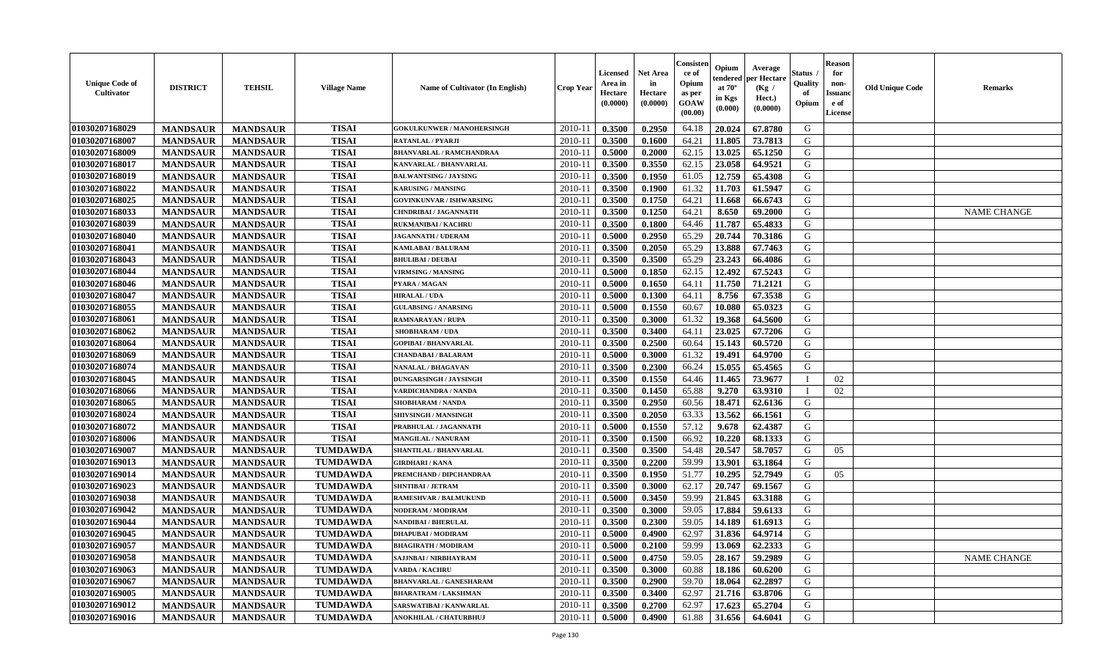| <b>Unique Code of</b><br><b>Cultivator</b> | <b>DISTRICT</b> | <b>TEHSIL</b>   | <b>Village Name</b> | Name of Cultivator (In English)   | <b>Crop Year</b> | <b>Licensed</b><br>Area in<br>Hectare<br>(0.0000) | <b>Net Area</b><br>in<br>Hectare<br>(0.0000) | Consisteı<br>ce of<br>Opium<br>as per<br>GOAW<br>(00.00) | Opium<br>endered<br>at $70^{\circ}$<br>in Kgs<br>(0.000) | Average<br>er Hectare<br>(Kg /<br>Hect.)<br>(0.0000) | Status<br>Quality<br>of<br>Opium | <b>Reason</b><br>for<br>non-<br><b>Issuand</b><br>e of<br>License | <b>Old Unique Code</b> | <b>Remarks</b>     |
|--------------------------------------------|-----------------|-----------------|---------------------|-----------------------------------|------------------|---------------------------------------------------|----------------------------------------------|----------------------------------------------------------|----------------------------------------------------------|------------------------------------------------------|----------------------------------|-------------------------------------------------------------------|------------------------|--------------------|
| 01030207168029                             | <b>MANDSAUR</b> | <b>MANDSAUR</b> | <b>TISAI</b>        | <b>GOKULKUNWER / MANOHERSINGH</b> | 2010-11          | 0.3500                                            | 0.2950                                       | 64.18                                                    | 20.024                                                   | 67.8780                                              | G                                |                                                                   |                        |                    |
| 01030207168007                             | <b>MANDSAUR</b> | <b>MANDSAUR</b> | <b>TISAI</b>        | <b>RATANLAL / PYARJI</b>          | $2010 - 11$      | 0.3500                                            | 0.1600                                       | 64.21                                                    | 11.805                                                   | 73.7813                                              | G                                |                                                                   |                        |                    |
| 01030207168009                             | <b>MANDSAUR</b> | <b>MANDSAUR</b> | <b>TISAI</b>        | <b>BHANVARLAL / RAMCHANDRAA</b>   | 2010-11          | 0.5000                                            | 0.2000                                       | 62.15                                                    | 13.025                                                   | 65.1250                                              | G                                |                                                                   |                        |                    |
| 01030207168017                             | <b>MANDSAUR</b> | <b>MANDSAUR</b> | <b>TISAI</b>        | KANVARLAL / BHANVARLAL            | 2010-11          | 0.3500                                            | 0.3550                                       | 62.15                                                    | 23.058                                                   | 64.9521                                              | G                                |                                                                   |                        |                    |
| 01030207168019                             | <b>MANDSAUR</b> | <b>MANDSAUR</b> | <b>TISAI</b>        | <b>BALWANTSING / JAYSING</b>      | 2010-11          | 0.3500                                            | 0.1950                                       | 61.05                                                    | 12.759                                                   | 65.4308                                              | G                                |                                                                   |                        |                    |
| 01030207168022                             | <b>MANDSAUR</b> | <b>MANDSAUR</b> | <b>TISAI</b>        | <b>KARUSING / MANSING</b>         | 2010-11          | 0.3500                                            | 0.1900                                       | 61.32                                                    | 11.703                                                   | 61.5947                                              | G                                |                                                                   |                        |                    |
| 01030207168025                             | <b>MANDSAUR</b> | <b>MANDSAUR</b> | <b>TISAI</b>        | <b>GOVINKUNVAR / ISHWARSING</b>   | $2010 - 11$      | 0.3500                                            | 0.1750                                       | 64.21                                                    | 11.668                                                   | 66.6743                                              | ${\bf G}$                        |                                                                   |                        |                    |
| 01030207168033                             | <b>MANDSAUR</b> | <b>MANDSAUR</b> | <b>TISAI</b>        | CHNDRIBAI / JAGANNATH             | 2010-11          | 0.3500                                            | 0.1250                                       | 64.21                                                    | 8.650                                                    | 69.2000                                              | G                                |                                                                   |                        | <b>NAME CHANGE</b> |
| 01030207168039                             | <b>MANDSAUR</b> | <b>MANDSAUR</b> | <b>TISAI</b>        | <b>RUKMANIBAI/KACHRU</b>          | 2010-11          | 0.3500                                            | 0.1800                                       | 64.46                                                    | 11.787                                                   | 65.4833                                              | G                                |                                                                   |                        |                    |
| 01030207168040                             | <b>MANDSAUR</b> | <b>MANDSAUR</b> | <b>TISAI</b>        | <b>JAGANNATH / UDERAM</b>         | 2010-11          | 0.5000                                            | 0.2950                                       | 65.29                                                    | 20.744                                                   | 70.3186                                              | G                                |                                                                   |                        |                    |
| 01030207168041                             | <b>MANDSAUR</b> | <b>MANDSAUR</b> | <b>TISAI</b>        | KAMLABAI / BALURAM                | 2010-11          | 0.3500                                            | 0.2050                                       | 65.29                                                    | 13.888                                                   | 67.7463                                              | G                                |                                                                   |                        |                    |
| 01030207168043                             | <b>MANDSAUR</b> | <b>MANDSAUR</b> | <b>TISAI</b>        | <b>BHULIBAI / DEUBAI</b>          | 2010-11          | 0.3500                                            | 0.3500                                       | 65.29                                                    | 23.243                                                   | 66.4086                                              | G                                |                                                                   |                        |                    |
| 01030207168044                             | <b>MANDSAUR</b> | <b>MANDSAUR</b> | <b>TISAI</b>        | <b>VIRMSING / MANSING</b>         | 2010-11          | 0.5000                                            | 0.1850                                       | 62.15                                                    | 12.492                                                   | 67.5243                                              | G                                |                                                                   |                        |                    |
| 01030207168046                             | <b>MANDSAUR</b> | <b>MANDSAUR</b> | <b>TISAI</b>        | PYARA / MAGAN                     | 2010-11          | 0.5000                                            | 0.1650                                       | 64.11                                                    | 11.750                                                   | 71.2121                                              | G                                |                                                                   |                        |                    |
| 01030207168047                             | <b>MANDSAUR</b> | <b>MANDSAUR</b> | <b>TISAI</b>        | <b>HIRALAL / UDA</b>              | 2010-11          | 0.5000                                            | 0.1300                                       | 64.11                                                    | 8.756                                                    | 67.3538                                              | G                                |                                                                   |                        |                    |
| 01030207168055                             | <b>MANDSAUR</b> | <b>MANDSAUR</b> | <b>TISAI</b>        | <b>GULABSING / ANARSING</b>       | 2010-11          | 0.5000                                            | 0.1550                                       | 60.67                                                    | 10.080                                                   | 65.0323                                              | G                                |                                                                   |                        |                    |
| 01030207168061                             | <b>MANDSAUR</b> | <b>MANDSAUR</b> | <b>TISAI</b>        | RAMNARAYAN / RUPA                 | 2010-11          | 0.3500                                            | 0.3000                                       | 61.32                                                    | 19.368                                                   | 64.5600                                              | G                                |                                                                   |                        |                    |
| 01030207168062                             | <b>MANDSAUR</b> | <b>MANDSAUR</b> | <b>TISAI</b>        | <b>SHOBHARAM / UDA</b>            | 2010-11          | 0.3500                                            | 0.3400                                       | 64.11                                                    | 23.025                                                   | 67.7206                                              | G                                |                                                                   |                        |                    |
| 01030207168064                             | <b>MANDSAUR</b> | <b>MANDSAUR</b> | <b>TISAI</b>        | <b>GOPIBAI/BHANVARLAL</b>         | 2010-11          | 0.3500                                            | 0.2500                                       | 60.64                                                    | 15.143                                                   | 60.5720                                              | G                                |                                                                   |                        |                    |
| 01030207168069                             | <b>MANDSAUR</b> | <b>MANDSAUR</b> | <b>TISAI</b>        | <b>CHANDABAI / BALARAM</b>        | 2010-11          | 0.5000                                            | 0.3000                                       | 61.32                                                    | 19.491                                                   | 64.9700                                              | G                                |                                                                   |                        |                    |
| 01030207168074                             | <b>MANDSAUR</b> | <b>MANDSAUR</b> | <b>TISAI</b>        | <b>NANALAL / BHAGAVAN</b>         | 2010-11          | 0.3500                                            | 0.2300                                       | 66.24                                                    | 15.055                                                   | 65.4565                                              | G                                |                                                                   |                        |                    |
| 01030207168045                             | <b>MANDSAUR</b> | <b>MANDSAUR</b> | <b>TISAI</b>        | <b>DUNGARSINGH / JAYSINGH</b>     | 2010-11          | 0.3500                                            | 0.1550                                       | 64.46                                                    | 11.465                                                   | 73.9677                                              | $\mathbf{I}$                     | 02                                                                |                        |                    |
| 01030207168066                             | <b>MANDSAUR</b> | <b>MANDSAUR</b> | <b>TISAI</b>        | <b>/ARDICHANDRA / NANDA</b>       | 2010-11          | 0.3500                                            | 0.1450                                       | 65.88                                                    | 9.270                                                    | 63.9310                                              |                                  | 02                                                                |                        |                    |
| 01030207168065                             | <b>MANDSAUR</b> | <b>MANDSAUR</b> | <b>TISAI</b>        | <b>SHOBHARAM / NANDA</b>          | 2010-11          | 0.3500                                            | 0.2950                                       | 60.56                                                    | 18.471                                                   | 62.6136                                              | G                                |                                                                   |                        |                    |
| 01030207168024                             | <b>MANDSAUR</b> | <b>MANDSAUR</b> | <b>TISAI</b>        | SHIVSINGH / MANSINGH              | 2010-11          | 0.3500                                            | 0.2050                                       | 63.33                                                    | 13.562                                                   | 66.1561                                              | G                                |                                                                   |                        |                    |
| 01030207168072                             | <b>MANDSAUR</b> | <b>MANDSAUR</b> | <b>TISAI</b>        | PRABHULAL / JAGANNATH             | 2010-11          | 0.5000                                            | 0.1550                                       | 57.12                                                    | 9.678                                                    | 62.4387                                              | G                                |                                                                   |                        |                    |
| 01030207168006                             | <b>MANDSAUR</b> | <b>MANDSAUR</b> | <b>TISAI</b>        | MANGILAL / NANURAM                | 2010-11          | 0.3500                                            | 0.1500                                       | 66.92                                                    | 10.220                                                   | 68.1333                                              | G                                |                                                                   |                        |                    |
| 01030207169007                             | <b>MANDSAUR</b> | <b>MANDSAUR</b> | <b>TUMDAWDA</b>     | <b>SHANTILAL / BHANVARLAL</b>     | 2010-11          | 0.3500                                            | 0.3500                                       | 54.48                                                    | 20.547                                                   | 58.7057                                              | G                                | 05                                                                |                        |                    |
| 01030207169013                             | <b>MANDSAUR</b> | <b>MANDSAUR</b> | <b>TUMDAWDA</b>     | <b>GIRDHARI / KANA</b>            | $2010 - 11$      | 0.3500                                            | 0.2200                                       | 59.99                                                    | 13.901                                                   | 63.1864                                              | G                                |                                                                   |                        |                    |
| 01030207169014                             | <b>MANDSAUR</b> | <b>MANDSAUR</b> | <b>TUMDAWDA</b>     | PREMCHAND / DIPCHANDRAA           | 2010-11          | 0.3500                                            | 0.1950                                       | 51.77                                                    | 10.295                                                   | 52.7949                                              | G                                | 05                                                                |                        |                    |
| 01030207169023                             | <b>MANDSAUR</b> | <b>MANDSAUR</b> | <b>TUMDAWDA</b>     | SHNTIBAI / JETRAM                 | 2010-11          | 0.3500                                            | 0.3000                                       | 62.17                                                    | 20.747                                                   | 69.1567                                              | ${\bf G}$                        |                                                                   |                        |                    |
| 01030207169038                             | <b>MANDSAUR</b> | <b>MANDSAUR</b> | <b>TUMDAWDA</b>     | <b>RAMESHVAR / BALMUKUND</b>      | 2010-11          | 0.5000                                            | 0.3450                                       | 59.99                                                    | 21.845                                                   | 63.3188                                              | G                                |                                                                   |                        |                    |
| 01030207169042                             | <b>MANDSAUR</b> | <b>MANDSAUR</b> | <b>TUMDAWDA</b>     | NODERAM / MODIRAM                 | 2010-11          | 0.3500                                            | 0.3000                                       | 59.05                                                    | 17.884                                                   | 59.6133                                              | G                                |                                                                   |                        |                    |
| 01030207169044                             | <b>MANDSAUR</b> | <b>MANDSAUR</b> | <b>TUMDAWDA</b>     | <b>NANDIBAI / BHERULAL</b>        | 2010-11          | 0.3500                                            | 0.2300                                       | 59.05                                                    | 14.189                                                   | 61.6913                                              | G                                |                                                                   |                        |                    |
| 01030207169045                             | <b>MANDSAUR</b> | <b>MANDSAUR</b> | <b>TUMDAWDA</b>     | <b>DHAPUBAI/MODIRAM</b>           | 2010-11          | 0.5000                                            | 0.4900                                       | 62.97                                                    | 31.836                                                   | 64.9714                                              | G                                |                                                                   |                        |                    |
| 01030207169057                             | <b>MANDSAUR</b> | <b>MANDSAUR</b> | <b>TUMDAWDA</b>     | <b>BHAGIRATH / MODIRAM</b>        | 2010-11          | 0.5000                                            | 0.2100                                       | 59.99                                                    | 13.069                                                   | 62.2333                                              | G                                |                                                                   |                        |                    |
| 01030207169058                             | <b>MANDSAUR</b> | <b>MANDSAUR</b> | <b>TUMDAWDA</b>     | SAJJNBAI / NIRBHAYRAM             | $2010 - 11$      | 0.5000                                            | 0.4750                                       | 59.05                                                    | 28.167                                                   | 59.2989                                              | G                                |                                                                   |                        | <b>NAME CHANGE</b> |
| 01030207169063                             | <b>MANDSAUR</b> | <b>MANDSAUR</b> | <b>TUMDAWDA</b>     | VARDA / KACHRU                    | 2010-11          | 0.3500                                            | 0.3000                                       | 60.88                                                    | 18.186                                                   | 60.6200                                              | G                                |                                                                   |                        |                    |
| 01030207169067                             | <b>MANDSAUR</b> | <b>MANDSAUR</b> | <b>TUMDAWDA</b>     | <b>BHANVARLAL / GANESHARAM</b>    | 2010-11          | 0.3500                                            | 0.2900                                       | 59.70                                                    | 18.064                                                   | 62.2897                                              | ${\bf G}$                        |                                                                   |                        |                    |
| 01030207169005                             | <b>MANDSAUR</b> | <b>MANDSAUR</b> | <b>TUMDAWDA</b>     | <b>BHARATRAM / LAKSHMAN</b>       | $2010 - 11$      | 0.3500                                            | 0.3400                                       | 62.97                                                    | 21.716                                                   | 63.8706                                              | G                                |                                                                   |                        |                    |
| 01030207169012                             | <b>MANDSAUR</b> | <b>MANDSAUR</b> | <b>TUMDAWDA</b>     | SARSWATIBAI / KANWARLAL           | 2010-11          | 0.3500                                            | 0.2700                                       | 62.97                                                    | 17.623                                                   | 65.2704                                              | G                                |                                                                   |                        |                    |
| 01030207169016                             | <b>MANDSAUR</b> | <b>MANDSAUR</b> | <b>TUMDAWDA</b>     | ANOKHILAL / CHATURBHUJ            | 2010-11          | 0.5000                                            | 0.4900                                       | 61.88                                                    | 31.656                                                   | 64.6041                                              | G                                |                                                                   |                        |                    |